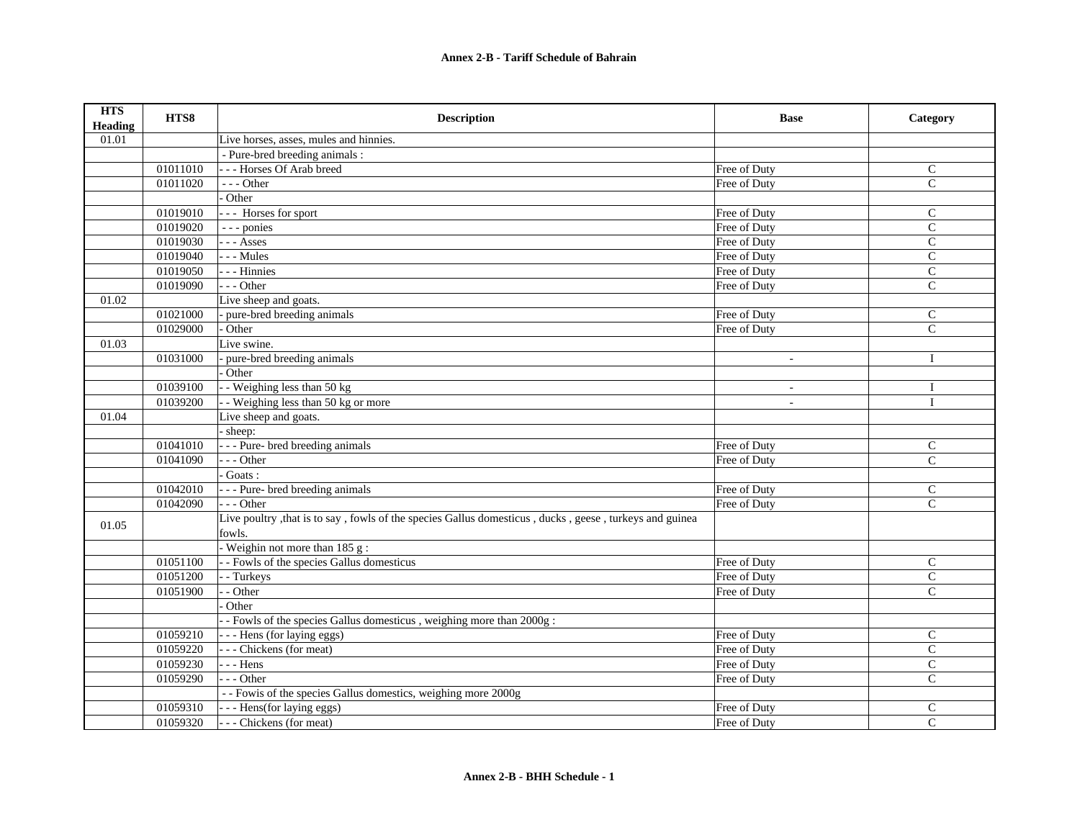| <b>HTS</b><br><b>Heading</b> | HTS8     | <b>Description</b>                                                                                      | <b>Base</b>  | Category       |
|------------------------------|----------|---------------------------------------------------------------------------------------------------------|--------------|----------------|
| 01.01                        |          | Live horses, asses, mules and hinnies.                                                                  |              |                |
|                              |          | - Pure-bred breeding animals :                                                                          |              |                |
|                              | 01011010 | --- Horses Of Arab breed                                                                                | Free of Duty | $\mathsf{C}$   |
|                              | 01011020 | $--$ Other                                                                                              | Free of Duty | $\mathsf{C}$   |
|                              |          | Other                                                                                                   |              |                |
|                              | 01019010 | --- Horses for sport                                                                                    | Free of Duty | $\mathsf{C}$   |
|                              | 01019020 | --- ponies                                                                                              | Free of Duty | $\mathsf{C}$   |
|                              | 01019030 | $- -$ Asses                                                                                             | Free of Duty | $\mathcal{C}$  |
|                              | 01019040 | $- -$ Mules                                                                                             | Free of Duty | $\mathsf{C}$   |
|                              | 01019050 | - - - Hinnies                                                                                           | Free of Duty | $\mathbf C$    |
|                              | 01019090 | $- -$ Other                                                                                             | Free of Duty | $\overline{C}$ |
| 01.02                        |          | Live sheep and goats.                                                                                   |              |                |
|                              | 01021000 | pure-bred breeding animals                                                                              | Free of Duty | $\mathsf{C}$   |
|                              | 01029000 | Other                                                                                                   | Free of Duty | $\mathcal{C}$  |
| 01.03                        |          | Live swine.                                                                                             |              |                |
|                              | 01031000 | pure-bred breeding animals                                                                              | $\omega$     | $\mathbf{I}$   |
|                              |          | Other                                                                                                   |              |                |
|                              | 01039100 | - Weighing less than 50 kg                                                                              | $\sim$       | $\mathbf I$    |
|                              | 01039200 | - Weighing less than $50 \text{ kg}$ or more                                                            |              | $\mathbf{I}$   |
| 01.04                        |          | Live sheep and goats.                                                                                   |              |                |
|                              |          | sheep:                                                                                                  |              |                |
|                              | 01041010 | - - - Pure- bred breeding animals                                                                       | Free of Duty | $\mathsf{C}$   |
|                              | 01041090 | $-$ - Other                                                                                             | Free of Duty | $\mathcal{C}$  |
|                              |          | Goats:                                                                                                  |              |                |
|                              | 01042010 | - - - Pure- bred breeding animals                                                                       | Free of Duty | C              |
|                              | 01042090 | $- -$ Other                                                                                             | Free of Duty | $\overline{C}$ |
| 01.05                        |          | Live poultry , that is to say, fowls of the species Gallus domesticus, ducks, geese, turkeys and guinea |              |                |
|                              |          | fowls.                                                                                                  |              |                |
|                              |          | - Weighin not more than 185 g:                                                                          |              |                |
|                              | 01051100 | - - Fowls of the species Gallus domesticus                                                              | Free of Duty | $\mathbf C$    |
|                              | 01051200 | - Turkeys                                                                                               | Free of Duty | $\mathbf C$    |
|                              | 01051900 | - Other                                                                                                 | Free of Duty | $\mathcal{C}$  |
|                              |          | Other                                                                                                   |              |                |
|                              |          | - Fowls of the species Gallus domesticus, weighing more than 2000g:                                     |              |                |
|                              | 01059210 | - - - Hens (for laying eggs)                                                                            | Free of Duty | $\mathbf C$    |
|                              | 01059220 | --- Chickens (for meat)                                                                                 | Free of Duty | $\mathcal{C}$  |
|                              | 01059230 | $- -$ Hens                                                                                              | Free of Duty | $\mathsf{C}$   |
|                              | 01059290 | $- -$ Other                                                                                             | Free of Duty | $\mathcal{C}$  |
|                              |          | - - Fowis of the species Gallus domestics, weighing more 2000g                                          |              |                |
|                              | 01059310 | - - - Hens(for laying eggs)                                                                             | Free of Duty | $\mathcal{C}$  |
|                              | 01059320 | --- Chickens (for meat)                                                                                 | Free of Duty | $\mathsf{C}$   |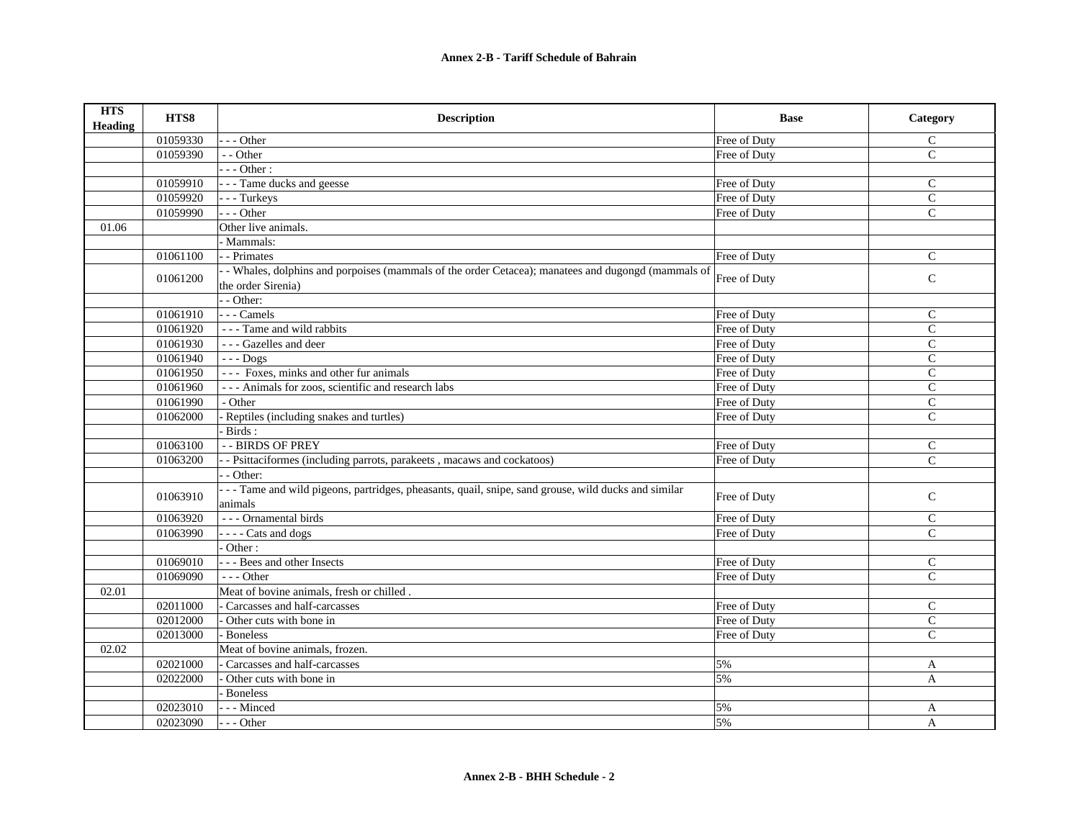| <b>HTS</b><br><b>Heading</b> | HTS8     | <b>Description</b>                                                                                    | <b>Base</b>  | Category      |
|------------------------------|----------|-------------------------------------------------------------------------------------------------------|--------------|---------------|
|                              | 01059330 | --- Other                                                                                             | Free of Duty | $\mathsf{C}$  |
|                              | 01059390 | - - Other                                                                                             | Free of Duty | $\mathcal{C}$ |
|                              |          | $--$ Other :                                                                                          |              |               |
|                              | 01059910 | - - - Tame ducks and geesse                                                                           | Free of Duty | $\mathsf{C}$  |
|                              | 01059920 | --- Turkeys                                                                                           | Free of Duty | $\mathsf{C}$  |
|                              | 01059990 | --- Other                                                                                             | Free of Duty | $\mathcal{C}$ |
| 01.06                        |          | Other live animals.                                                                                   |              |               |
|                              |          | - Mammals:                                                                                            |              |               |
|                              | 01061100 | - - Primates                                                                                          | Free of Duty | $\mathsf{C}$  |
|                              | 01061200 | - Whales, dolphins and porpoises (mammals of the order Cetacea); manatees and dugongd (mammals of     | Free of Duty | $\mathbf C$   |
|                              |          | the order Sirenia)                                                                                    |              |               |
|                              |          | - - Other:                                                                                            |              |               |
|                              | 01061910 | $- -$ Camels                                                                                          | Free of Duty | $\mathsf{C}$  |
|                              | 01061920 | - - - Tame and wild rabbits                                                                           | Free of Duty | $\mathsf{C}$  |
|                              | 01061930 | --- Gazelles and deer                                                                                 | Free of Duty | $\mathbf C$   |
|                              | 01061940 | $--$ Dogs                                                                                             | Free of Duty | $\mathcal{C}$ |
|                              | 01061950 | --- Foxes, minks and other fur animals                                                                | Free of Duty | $\mathcal{C}$ |
|                              | 01061960 | --- Animals for zoos, scientific and research labs                                                    | Free of Duty | $\mathbf C$   |
|                              | 01061990 | - Other                                                                                               | Free of Duty | $\mathsf{C}$  |
|                              | 01062000 | Reptiles (including snakes and turtles)                                                               | Free of Duty | $\mathsf{C}$  |
|                              |          | Birds:                                                                                                |              |               |
|                              | 01063100 | -- BIRDS OF PREY                                                                                      | Free of Duty | $\mathbf C$   |
|                              | 01063200 | - Psittaciformes (including parrots, parakeets, macaws and cockatoos)                                 | Free of Duty | $\mathcal{C}$ |
|                              |          | - - Other:                                                                                            |              |               |
|                              | 01063910 | - - - Tame and wild pigeons, partridges, pheasants, quail, snipe, sand grouse, wild ducks and similar | Free of Duty | $\mathsf{C}$  |
|                              |          | animals                                                                                               |              |               |
|                              | 01063920 | --- Ornamental birds                                                                                  | Free of Duty | $\mathcal{C}$ |
|                              | 01063990 | - - - - Cats and dogs                                                                                 | Free of Duty | $\mathcal{C}$ |
|                              |          | Other:                                                                                                |              |               |
|                              | 01069010 | - - - Bees and other Insects                                                                          | Free of Duty | $\mathsf{C}$  |
|                              | 01069090 | $- -$ Other                                                                                           | Free of Duty | $\mathcal{C}$ |
| 02.01                        |          | Meat of bovine animals, fresh or chilled.                                                             |              |               |
|                              | 02011000 | - Carcasses and half-carcasses                                                                        | Free of Duty | $\mathsf{C}$  |
|                              | 02012000 | Other cuts with bone in                                                                               | Free of Duty | $\mathsf{C}$  |
|                              | 02013000 | <b>Boneless</b>                                                                                       | Free of Duty | $\mathsf{C}$  |
| 02.02                        |          | Meat of bovine animals, frozen.                                                                       |              |               |
|                              | 02021000 | Carcasses and half-carcasses                                                                          | 5%           | A             |
|                              | 02022000 | Other cuts with bone in                                                                               | 5%           | A             |
|                              |          | - Boneless                                                                                            |              |               |
|                              | 02023010 | --- Minced                                                                                            | 5%           | A             |
|                              | 02023090 | --- Other                                                                                             | 5%           | A             |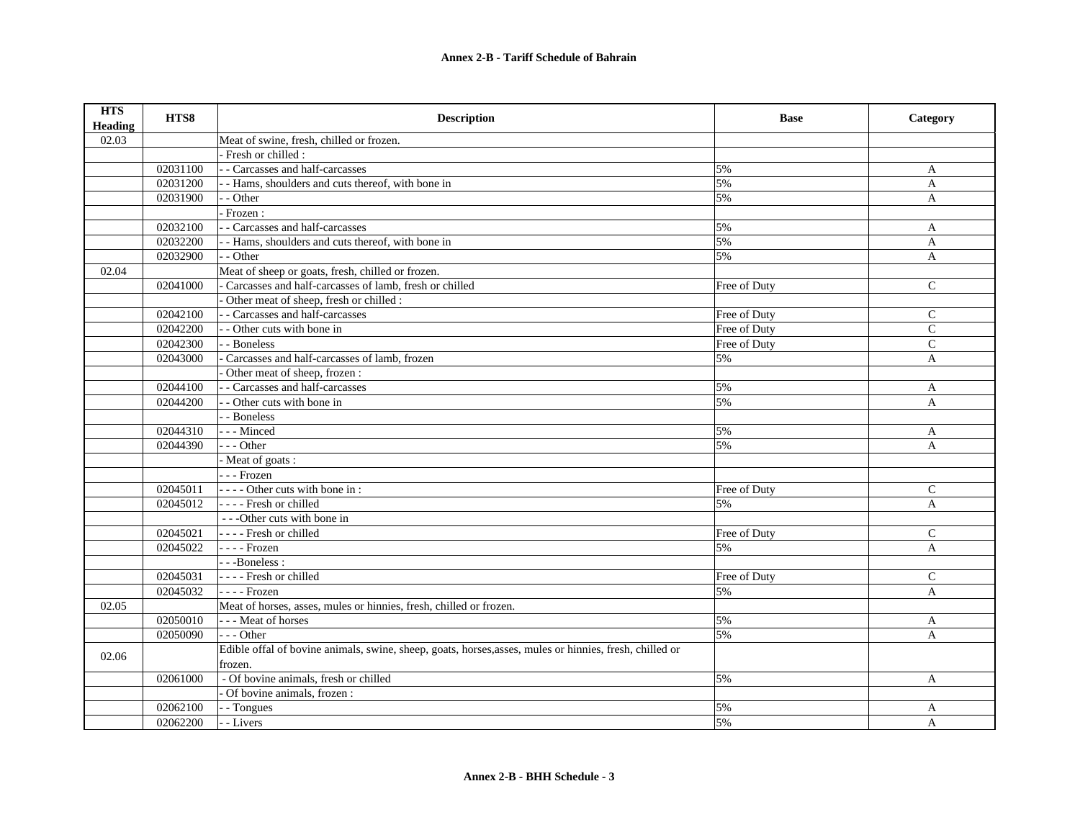| <b>HTS</b><br><b>Heading</b> | HTS8     | <b>Description</b>                                                                                      | <b>Base</b>  | Category      |
|------------------------------|----------|---------------------------------------------------------------------------------------------------------|--------------|---------------|
| 02.03                        |          | Meat of swine, fresh, chilled or frozen.                                                                |              |               |
|                              |          | Fresh or chilled :                                                                                      |              |               |
|                              | 02031100 | - - Carcasses and half-carcasses                                                                        | 5%           | A             |
|                              | 02031200 | - - Hams, shoulders and cuts thereof, with bone in                                                      | 5%           | $\mathbf{A}$  |
|                              | 02031900 | - - Other                                                                                               | 5%           | A             |
|                              |          | Frozen:                                                                                                 |              |               |
|                              | 02032100 | - - Carcasses and half-carcasses                                                                        | 5%           | $\mathbf{A}$  |
|                              | 02032200 | - - Hams, shoulders and cuts thereof, with bone in                                                      | 5%           | $\mathbf{A}$  |
|                              | 02032900 | - - Other                                                                                               | 5%           | A             |
| 02.04                        |          | Meat of sheep or goats, fresh, chilled or frozen.                                                       |              |               |
|                              | 02041000 | Carcasses and half-carcasses of lamb, fresh or chilled                                                  | Free of Duty | $\mathsf{C}$  |
|                              |          | Other meat of sheep, fresh or chilled :                                                                 |              |               |
|                              | 02042100 | - - Carcasses and half-carcasses                                                                        | Free of Duty | $\mathsf{C}$  |
|                              | 02042200 | - - Other cuts with bone in                                                                             | Free of Duty | $\mathcal{C}$ |
|                              | 02042300 | - - Boneless                                                                                            | Free of Duty | $\mathcal{C}$ |
|                              | 02043000 | Carcasses and half-carcasses of lamb, frozen                                                            | 5%           | A             |
|                              |          | Other meat of sheep, frozen :                                                                           |              |               |
|                              | 02044100 | - - Carcasses and half-carcasses                                                                        | 5%           | $\mathbf{A}$  |
|                              | 02044200 | - - Other cuts with bone in                                                                             | 5%           | $\mathbf{A}$  |
|                              |          | - - Boneless                                                                                            |              |               |
|                              | 02044310 | --- Minced                                                                                              | 5%           | A             |
|                              | 02044390 | --- Other                                                                                               | 5%           | $\mathbf{A}$  |
|                              |          | - Meat of goats :                                                                                       |              |               |
|                              |          | - - - Frozen                                                                                            |              |               |
|                              | 02045011 | ---- Other cuts with bone in:                                                                           | Free of Duty | $\mathsf{C}$  |
|                              | 02045012 | - - - - Fresh or chilled                                                                                | 5%           | $\mathbf{A}$  |
|                              |          | ---Other cuts with bone in                                                                              |              |               |
|                              | 02045021 | - - - - Fresh or chilled                                                                                | Free of Duty | $\mathbf C$   |
|                              | 02045022 | - - - - Frozen                                                                                          | 5%           | A             |
|                              |          | --Boneless:                                                                                             |              |               |
|                              | 02045031 | ---- Fresh or chilled                                                                                   | Free of Duty | $\mathsf{C}$  |
|                              | 02045032 | - - - - Frozen                                                                                          | 5%           | $\mathbf{A}$  |
| 02.05                        |          | Meat of horses, asses, mules or hinnies, fresh, chilled or frozen.                                      |              |               |
|                              | 02050010 | --- Meat of horses                                                                                      | 5%           | A             |
|                              | 02050090 | $- -$ Other                                                                                             | 5%           | $\mathbf{A}$  |
|                              |          | Edible offal of bovine animals, swine, sheep, goats, horses, asses, mules or hinnies, fresh, chilled or |              |               |
| 02.06                        |          | frozen.                                                                                                 |              |               |
|                              | 02061000 | - Of bovine animals, fresh or chilled                                                                   | 5%           | $\mathbf{A}$  |
|                              |          | Of bovine animals, frozen :                                                                             |              |               |
|                              | 02062100 | - - Tongues                                                                                             | 5%           | A             |
|                              | 02062200 | - - Livers                                                                                              | 5%           | A             |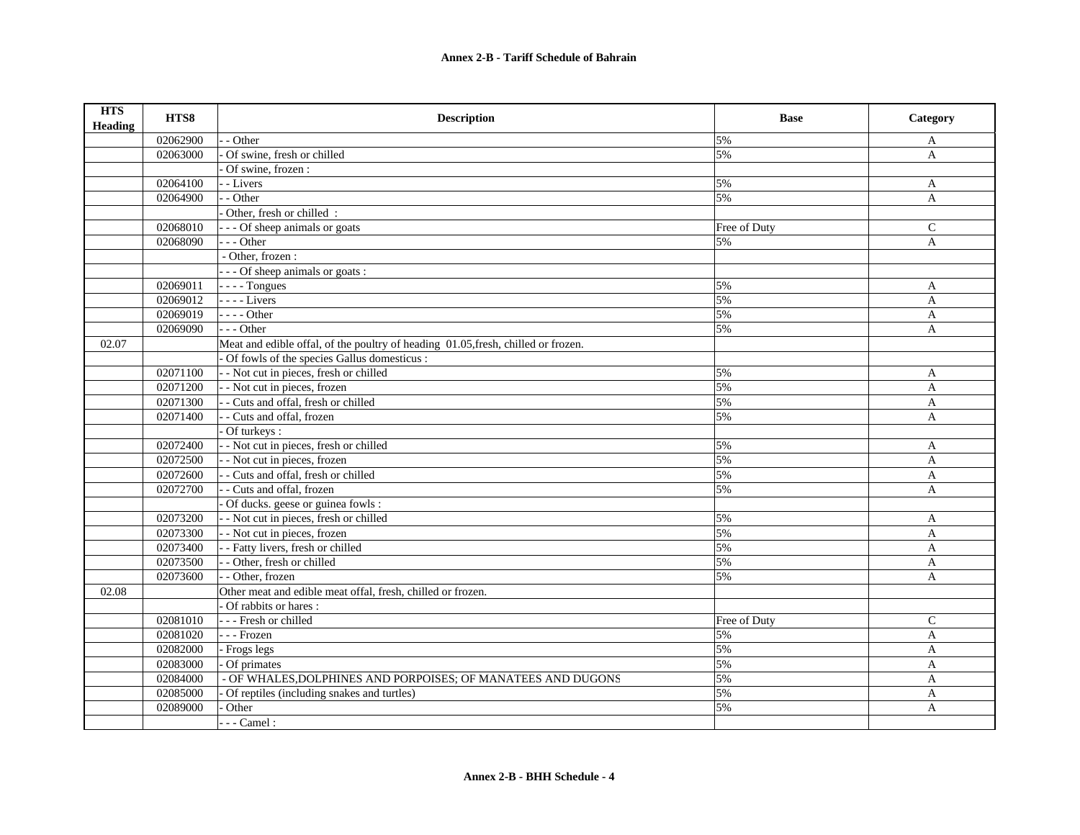| <b>HTS</b><br>Heading | HTS8     | <b>Description</b>                                                                | <b>Base</b>  | Category     |
|-----------------------|----------|-----------------------------------------------------------------------------------|--------------|--------------|
|                       | 02062900 | - - Other                                                                         | 5%           | A            |
|                       | 02063000 | Of swine, fresh or chilled                                                        | 5%           | $\mathbf{A}$ |
|                       |          | Of swine, frozen :                                                                |              |              |
|                       | 02064100 | - - Livers                                                                        | 5%           | $\mathbf{A}$ |
|                       | 02064900 | - - Other                                                                         | 5%           | $\mathbf{A}$ |
|                       |          | Other, fresh or chilled :                                                         |              |              |
|                       | 02068010 | --- Of sheep animals or goats                                                     | Free of Duty | $\mathsf{C}$ |
|                       | 02068090 | --- Other                                                                         | 5%           | A            |
|                       |          | - Other, frozen :                                                                 |              |              |
|                       |          | --- Of sheep animals or goats :                                                   |              |              |
|                       | 02069011 | $---$ Tongues                                                                     | 5%           | A            |
|                       | 02069012 | - - - - Livers                                                                    | 5%           | $\mathbf{A}$ |
|                       | 02069019 | - - - - Other                                                                     | 5%           | $\mathbf{A}$ |
|                       | 02069090 | $- -$ Other                                                                       | 5%           | $\mathbf{A}$ |
| 02.07                 |          | Meat and edible offal, of the poultry of heading 01.05, fresh, chilled or frozen. |              |              |
|                       |          | - Of fowls of the species Gallus domesticus :                                     |              |              |
|                       | 02071100 | - - Not cut in pieces, fresh or chilled                                           | 5%           | $\mathbf{A}$ |
|                       | 02071200 | - - Not cut in pieces, frozen                                                     | 5%           | $\mathbf{A}$ |
|                       | 02071300 | - - Cuts and offal, fresh or chilled                                              | 5%           | $\mathbf{A}$ |
|                       | 02071400 | - - Cuts and offal, frozen                                                        | 5%           | A            |
|                       |          | Of turkeys:                                                                       |              |              |
|                       | 02072400 | - - Not cut in pieces, fresh or chilled                                           | 5%           | A            |
|                       | 02072500 | - - Not cut in pieces, frozen                                                     | 5%           | A            |
|                       | 02072600 | - - Cuts and offal, fresh or chilled                                              | 5%           | A            |
|                       | 02072700 | - - Cuts and offal, frozen                                                        | 5%           | A            |
|                       |          | Of ducks. geese or guinea fowls :                                                 |              |              |
|                       | 02073200 | - - Not cut in pieces, fresh or chilled                                           | 5%           | $\mathbf{A}$ |
|                       | 02073300 | - - Not cut in pieces, frozen                                                     | 5%           | A            |
|                       | 02073400 | - - Fatty livers, fresh or chilled                                                | 5%           | $\mathbf{A}$ |
|                       | 02073500 | - - Other, fresh or chilled                                                       | 5%           | $\mathbf{A}$ |
|                       | 02073600 | - - Other, frozen                                                                 | 5%           | A            |
| 02.08                 |          | Other meat and edible meat offal, fresh, chilled or frozen.                       |              |              |
|                       |          | - Of rabbits or hares:                                                            |              |              |
|                       | 02081010 | - - - Fresh or chilled                                                            | Free of Duty | $\mathsf{C}$ |
|                       | 02081020 | - - - Frozen                                                                      | 5%           | A            |
|                       | 02082000 | - Frogs legs                                                                      | 5%           | A            |
|                       | 02083000 | Of primates                                                                       | 5%           | A            |
|                       | 02084000 | - OF WHALES, DOLPHINES AND PORPOISES; OF MANATEES AND DUGONS                      | 5%           | $\mathbf{A}$ |
|                       | 02085000 | Of reptiles (including snakes and turtles)                                        | 5%           | A            |
|                       | 02089000 | Other                                                                             | 5%           | $\mathbf{A}$ |
|                       |          | $---$ Camel:                                                                      |              |              |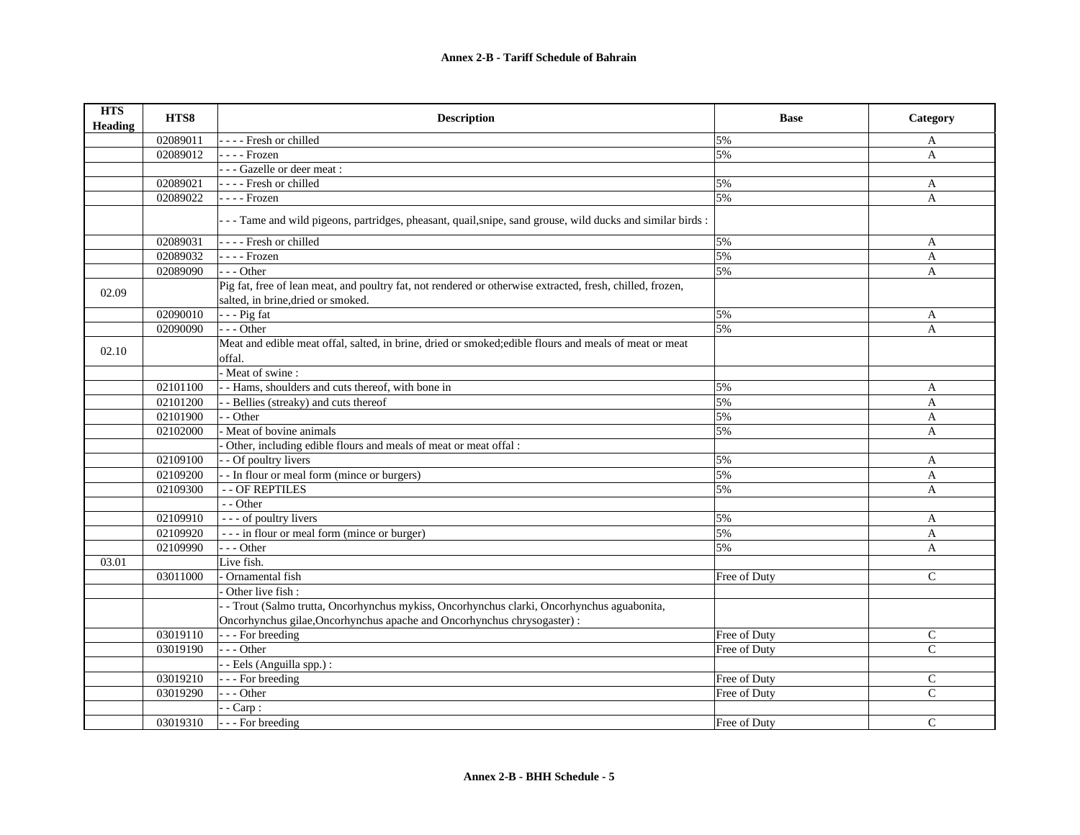| <b>HTS</b><br><b>Heading</b> | HTS8     | <b>Description</b>                                                                                                                              | <b>Base</b>  | Category      |
|------------------------------|----------|-------------------------------------------------------------------------------------------------------------------------------------------------|--------------|---------------|
|                              | 02089011 | ---- Fresh or chilled                                                                                                                           | 5%           | A             |
|                              | 02089012 | $---$ Frozen                                                                                                                                    | 5%           | A             |
|                              |          | --- Gazelle or deer meat :                                                                                                                      |              |               |
|                              | 02089021 | - - - - Fresh or chilled                                                                                                                        | 5%           | A             |
|                              | 02089022 | - - - - Frozen                                                                                                                                  | 5%           | $\mathbf{A}$  |
|                              |          | - - Tame and wild pigeons, partridges, pheasant, quail, snipe, sand grouse, wild ducks and similar birds :                                      |              |               |
|                              | 02089031 | - - - - Fresh or chilled                                                                                                                        | 5%           | A             |
|                              | 02089032 | - - - - Frozen                                                                                                                                  | 5%           | A             |
|                              | 02089090 | --- Other                                                                                                                                       | 5%           | A             |
| 02.09                        |          | Pig fat, free of lean meat, and poultry fat, not rendered or otherwise extracted, fresh, chilled, frozen,<br>salted, in brine, dried or smoked. |              |               |
|                              | 02090010 | $- -$ Pig fat                                                                                                                                   | 5%           | A             |
|                              | 02090090 | --- Other                                                                                                                                       | 5%           | $\mathbf{A}$  |
| 02.10                        |          | Meat and edible meat offal, salted, in brine, dried or smoked;edible flours and meals of meat or meat<br>offal.                                 |              |               |
|                              |          | - Meat of swine:                                                                                                                                |              |               |
|                              | 02101100 | - - Hams, shoulders and cuts thereof, with bone in                                                                                              | 5%           | A             |
|                              | 02101200 | - - Bellies (streaky) and cuts thereof                                                                                                          | 5%           | A             |
|                              | 02101900 | - - Other                                                                                                                                       | 5%           | A             |
|                              | 02102000 | Meat of bovine animals                                                                                                                          | 5%           | A             |
|                              |          | Other, including edible flours and meals of meat or meat offal :                                                                                |              |               |
|                              | 02109100 | - - Of poultry livers                                                                                                                           | 5%           | A             |
|                              | 02109200 | - - In flour or meal form (mince or burgers)                                                                                                    | 5%           | A             |
|                              | 02109300 | - - OF REPTILES                                                                                                                                 | 5%           | A             |
|                              |          | - - Other                                                                                                                                       |              |               |
|                              | 02109910 | - - - of poultry livers                                                                                                                         | 5%           | A             |
|                              | 02109920 | --- in flour or meal form (mince or burger)                                                                                                     | 5%           | A             |
|                              | 02109990 | --- Other                                                                                                                                       | 5%           | $\mathbf{A}$  |
| 03.01                        |          | Live fish.                                                                                                                                      |              |               |
|                              | 03011000 | Ornamental fish                                                                                                                                 | Free of Duty | $\mathcal{C}$ |
|                              |          | Other live fish:                                                                                                                                |              |               |
|                              |          | - - Trout (Salmo trutta, Oncorhynchus mykiss, Oncorhynchus clarki, Oncorhynchus aguabonita,                                                     |              |               |
|                              |          | Oncorhynchus gilae, Oncorhynchus apache and Oncorhynchus chrysogaster) :                                                                        |              |               |
|                              | 03019110 | - - - For breeding                                                                                                                              | Free of Duty | $\mathsf{C}$  |
|                              | 03019190 | $-- Other$                                                                                                                                      | Free of Duty | $\mathsf{C}$  |
|                              |          | - - Eels (Anguilla spp.) :                                                                                                                      |              |               |
|                              | 03019210 | --- For breeding                                                                                                                                | Free of Duty | $\mathsf{C}$  |
|                              | 03019290 | $- -$ Other                                                                                                                                     | Free of Duty | $\mathsf{C}$  |
|                              |          | $-$ - Carp :                                                                                                                                    |              |               |
|                              | 03019310 | - - - For breeding                                                                                                                              | Free of Duty | $\mathsf{C}$  |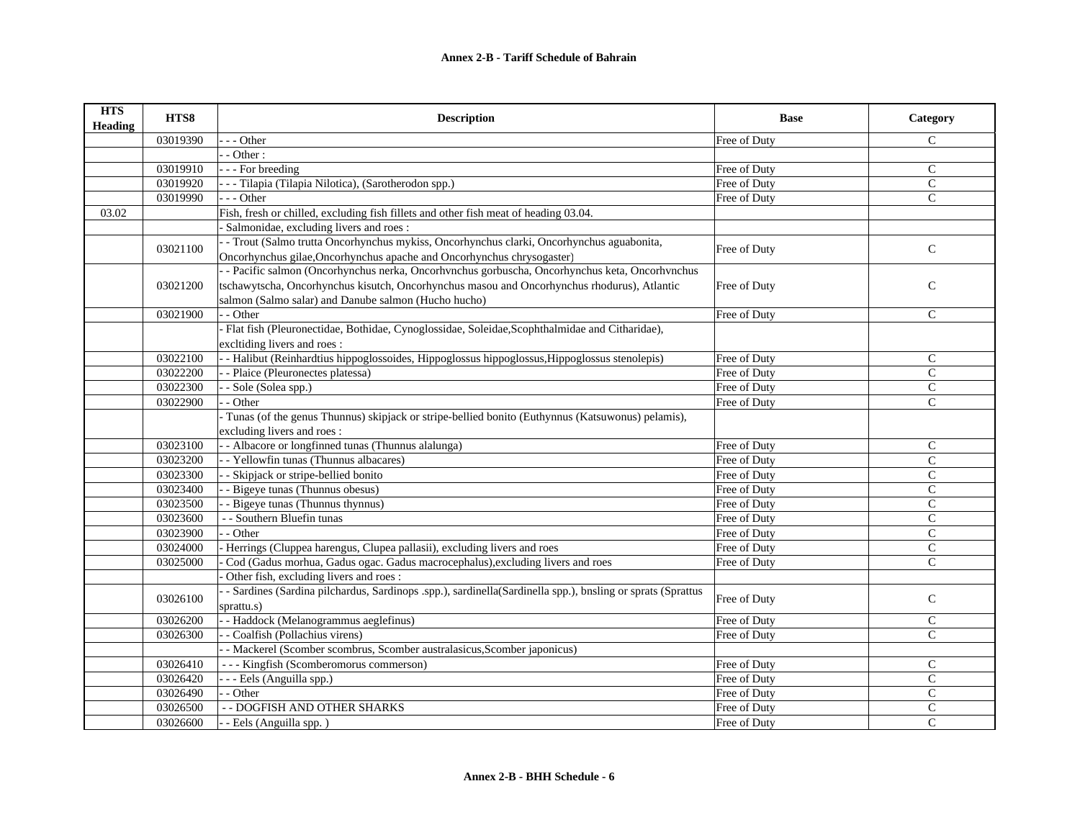| <b>HTS</b><br><b>Heading</b> | HTS8     | <b>Description</b>                                                                                         | <b>Base</b>  | Category      |
|------------------------------|----------|------------------------------------------------------------------------------------------------------------|--------------|---------------|
|                              | 03019390 | - - Other                                                                                                  | Free of Duty | $\mathsf{C}$  |
|                              |          | - Other:                                                                                                   |              |               |
|                              | 03019910 | - - - For breeding                                                                                         | Free of Duty | $\mathcal{C}$ |
|                              | 03019920 | - - - Tilapia (Tilapia Nilotica), (Sarotherodon spp.)                                                      | Free of Duty | $\mathsf{C}$  |
|                              | 03019990 | $- -$ Other                                                                                                | Free of Duty | $\mathbf{C}$  |
| 03.02                        |          | Fish, fresh or chilled, excluding fish fillets and other fish meat of heading 03.04.                       |              |               |
|                              |          | Salmonidae, excluding livers and roes:                                                                     |              |               |
|                              | 03021100 | - Trout (Salmo trutta Oncorhynchus mykiss, Oncorhynchus clarki, Oncorhynchus aguabonita,                   | Free of Duty | $\mathsf{C}$  |
|                              |          | Oncorhynchus gilae, Oncorhynchus apache and Oncorhynchus chrysogaster)                                     |              |               |
|                              |          | - - Pacific salmon (Oncorhynchus nerka, Oncorhynchus gorbuscha, Oncorhynchus keta, Oncorhynchus            |              |               |
|                              | 03021200 | tschawytscha, Oncorhynchus kisutch, Oncorhynchus masou and Oncorhynchus rhodurus), Atlantic                | Free of Duty | ${\bf C}$     |
|                              |          | salmon (Salmo salar) and Danube salmon (Hucho hucho)                                                       |              |               |
|                              | 03021900 | - - Other                                                                                                  | Free of Duty | $\mathsf{C}$  |
|                              |          | - Flat fish (Pleuronectidae, Bothidae, Cynoglossidae, Soleidae, Scophthalmidae and Citharidae),            |              |               |
|                              |          | excltiding livers and roes:                                                                                |              |               |
|                              | 03022100 | - Halibut (Reinhardtius hippoglossoides, Hippoglossus hippoglossus, Hippoglossus stenolepis)               | Free of Duty | $\mathcal{C}$ |
|                              | 03022200 | - Plaice (Pleuronectes platessa)                                                                           | Free of Duty | $\mathsf{C}$  |
|                              | 03022300 | - Sole (Solea spp.)                                                                                        | Free of Duty | $\mathbf C$   |
|                              | 03022900 | - Other                                                                                                    | Free of Duty | $\mathbf C$   |
|                              |          | - Tunas (of the genus Thunnus) skipjack or stripe-bellied bonito (Euthynnus (Katsuwonus) pelamis),         |              |               |
|                              |          | excluding livers and roes:                                                                                 |              |               |
|                              | 03023100 | - - Albacore or longfinned tunas (Thunnus alalunga)                                                        | Free of Duty | $\mathbf C$   |
|                              | 03023200 | - - Yellowfin tunas (Thunnus albacares)                                                                    | Free of Duty | $\mathbf{C}$  |
|                              | 03023300 | - Skipjack or stripe-bellied bonito                                                                        | Free of Duty | C             |
|                              | 03023400 | - - Bigeye tunas (Thunnus obesus)                                                                          | Free of Duty | $\mathbf C$   |
|                              | 03023500 | - Bigeye tunas (Thunnus thynnus)                                                                           | Free of Duty | $\mathbf C$   |
|                              | 03023600 | - - Southern Bluefin tunas                                                                                 | Free of Duty | $\mathcal{C}$ |
|                              | 03023900 | - Other                                                                                                    | Free of Duty | $\mathsf{C}$  |
|                              | 03024000 | Herrings (Cluppea harengus, Clupea pallasii), excluding livers and roes                                    | Free of Duty | $\mathbf C$   |
|                              | 03025000 | Cod (Gadus morhua, Gadus ogac. Gadus macrocephalus), excluding livers and roes                             | Free of Duty | $\mathsf{C}$  |
|                              |          | Other fish, excluding livers and roes:                                                                     |              |               |
|                              | 03026100 | - Sardines (Sardina pilchardus, Sardinops .spp.), sardinella(Sardinella spp.), bnsling or sprats (Sprattus | Free of Duty | $\mathsf{C}$  |
|                              |          | sprattu.s)                                                                                                 |              |               |
|                              | 03026200 | - - Haddock (Melanogrammus aeglefinus)                                                                     | Free of Duty | $\mathsf{C}$  |
|                              | 03026300 | - Coalfish (Pollachius virens)                                                                             | Free of Duty | $\mathcal{C}$ |
|                              |          | - Mackerel (Scomber scombrus, Scomber australasicus, Scomber japonicus)                                    |              |               |
|                              | 03026410 | --- Kingfish (Scomberomorus commerson)                                                                     | Free of Duty | $\mathcal{C}$ |
|                              | 03026420 | - - - Eels (Anguilla spp.)                                                                                 | Free of Duty | $\mathcal{C}$ |
|                              | 03026490 | - Other                                                                                                    | Free of Duty | $\mathsf{C}$  |
|                              | 03026500 | - - DOGFISH AND OTHER SHARKS                                                                               | Free of Duty | $\mathsf C$   |
|                              | 03026600 | - - Eels (Anguilla spp.)                                                                                   | Free of Duty | $\mathsf{C}$  |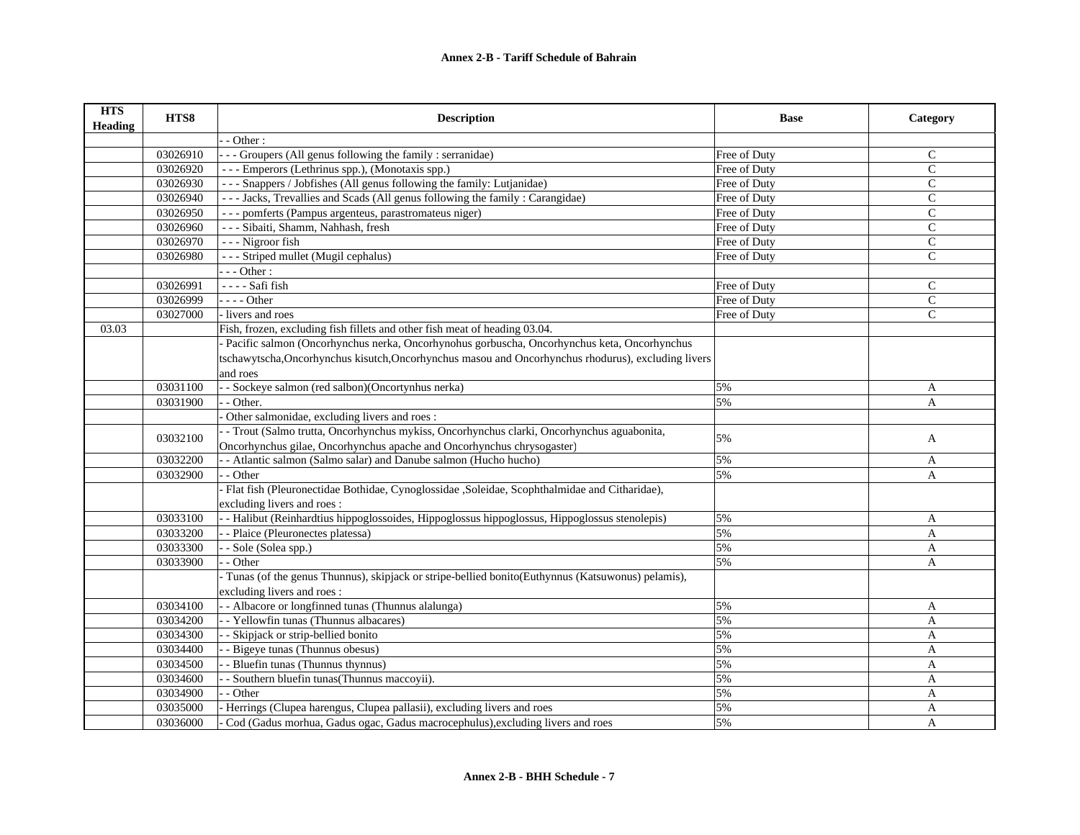| <b>HTS</b><br><b>Heading</b> | HTS8     | <b>Description</b>                                                                                  | <b>Base</b>  | Category      |
|------------------------------|----------|-----------------------------------------------------------------------------------------------------|--------------|---------------|
|                              |          | - Other:                                                                                            |              |               |
|                              | 03026910 | - Groupers (All genus following the family : serranidae)                                            | Free of Duty | $\mathsf{C}$  |
|                              | 03026920 | --- Emperors (Lethrinus spp.), (Monotaxis spp.)                                                     | Free of Duty | $\mathsf{C}$  |
|                              | 03026930 | - - - Snappers / Jobfishes (All genus following the family: Lutjanidae)                             | Free of Duty | $\mathsf{C}$  |
|                              | 03026940 | --- Jacks, Trevallies and Scads (All genus following the family: Carangidae)                        | Free of Duty | $\mathcal{C}$ |
|                              | 03026950 | --- pomferts (Pampus argenteus, parastromateus niger)                                               | Free of Duty | $\mathsf{C}$  |
|                              | 03026960 | - - - Sibaiti, Shamm, Nahhash, fresh                                                                | Free of Duty | $\mathsf{C}$  |
|                              | 03026970 | --- Nigroor fish                                                                                    | Free of Duty | $\mathcal{C}$ |
|                              | 03026980 | --- Striped mullet (Mugil cephalus)                                                                 | Free of Duty | $\mathsf{C}$  |
|                              |          | $-$ - Other :                                                                                       |              |               |
|                              | 03026991 | - - - - Safi fish                                                                                   | Free of Duty | C             |
|                              | 03026999 | $---Other$                                                                                          | Free of Duty | $\mathsf{C}$  |
|                              | 03027000 | - livers and roes                                                                                   | Free of Duty | $\mathsf{C}$  |
| 03.03                        |          | Fish, frozen, excluding fish fillets and other fish meat of heading 03.04.                          |              |               |
|                              |          | - Pacific salmon (Oncorhynchus nerka, Oncorhynohus gorbuscha, Oncorhynchus keta, Oncorhynchus       |              |               |
|                              |          | tschawytscha, Oncorhynchus kisutch, Oncorhynchus masou and Oncorhynchus rhodurus), excluding livers |              |               |
|                              |          | and roes                                                                                            |              |               |
|                              | 03031100 | - - Sockeye salmon (red salbon)(Oncortynhus nerka)                                                  | 5%           | A             |
|                              | 03031900 | - Other.                                                                                            | 5%           | A             |
|                              |          | Other salmonidae, excluding livers and roes:                                                        |              |               |
|                              | 03032100 | - Trout (Salmo trutta, Oncorhynchus mykiss, Oncorhynchus clarki, Oncorhynchus aguabonita,           | 5%           | A             |
|                              |          | Oncorhynchus gilae, Oncorhynchus apache and Oncorhynchus chrysogaster)                              |              |               |
|                              | 03032200 | - Atlantic salmon (Salmo salar) and Danube salmon (Hucho hucho)                                     | 5%           | A             |
|                              | 03032900 | - - Other                                                                                           | 5%           | A             |
|                              |          | Flat fish (Pleuronectidae Bothidae, Cynoglossidae, Soleidae, Scophthalmidae and Citharidae),        |              |               |
|                              |          | excluding livers and roes:                                                                          |              |               |
|                              | 03033100 | - Halibut (Reinhardtius hippoglossoides, Hippoglossus hippoglossus, Hippoglossus stenolepis)        | 5%           | A             |
|                              | 03033200 | - - Plaice (Pleuronectes platessa)                                                                  | 5%           | A             |
|                              | 03033300 | - Sole (Solea spp.)                                                                                 | 5%           | A             |
|                              | 03033900 | - Other                                                                                             | 5%           | A             |
|                              |          | Tunas (of the genus Thunnus), skipjack or stripe-bellied bonito(Euthynnus (Katsuwonus) pelamis),    |              |               |
|                              |          | excluding livers and roes:                                                                          |              |               |
|                              | 03034100 | - - Albacore or longfinned tunas (Thunnus alalunga)                                                 | 5%           | A             |
|                              | 03034200 | - - Yellowfin tunas (Thunnus albacares)                                                             | 5%           | $\mathbf{A}$  |
|                              | 03034300 | - Skipjack or strip-bellied bonito                                                                  | 5%           | A             |
|                              | 03034400 | - Bigeye tunas (Thunnus obesus)                                                                     | 5%           | A             |
|                              | 03034500 | - Bluefin tunas (Thunnus thynnus)                                                                   | 5%           | A             |
|                              | 03034600 | - Southern bluefin tunas(Thunnus maccoyii).                                                         | 5%           | $\mathbf{A}$  |
|                              | 03034900 | - - Other                                                                                           | 5%           | A             |
|                              | 03035000 | Herrings (Clupea harengus, Clupea pallasii), excluding livers and roes                              | 5%           | A             |
|                              | 03036000 | Cod (Gadus morhua, Gadus ogac, Gadus macrocephulus), excluding livers and roes                      | 5%           | $\mathbf{A}$  |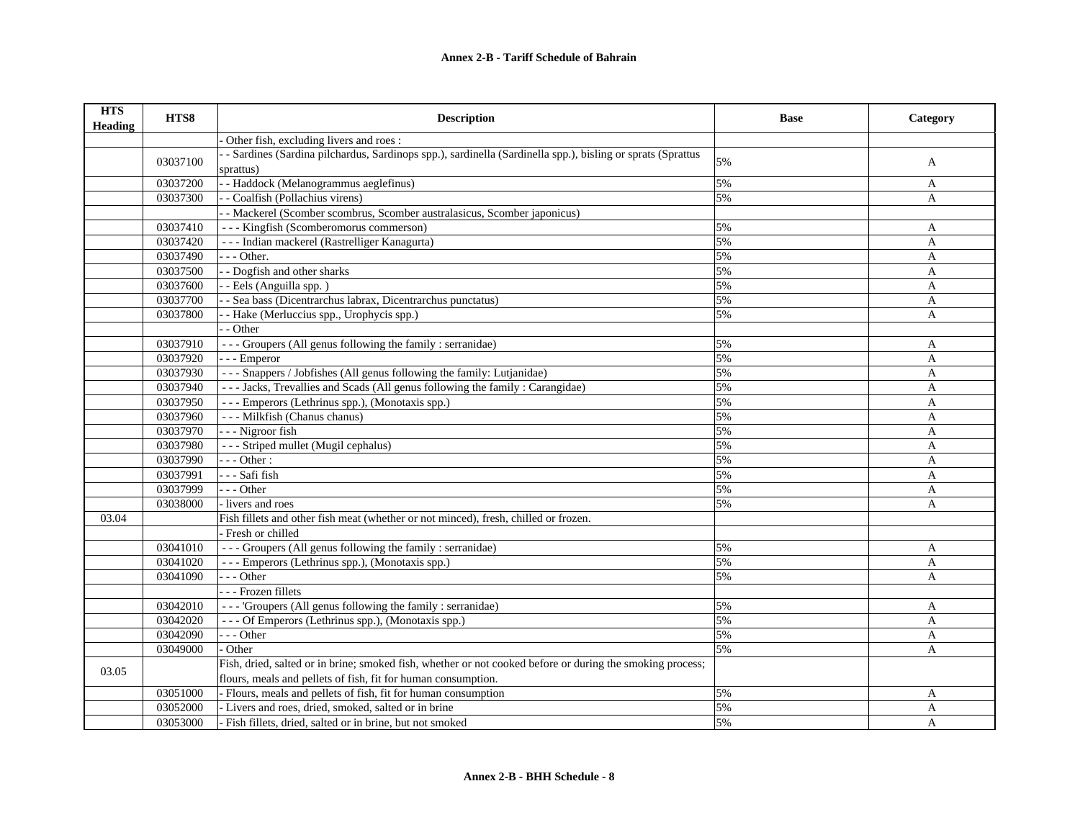| <b>HTS</b><br><b>Heading</b> | HTS8     | <b>Description</b>                                                                                         | <b>Base</b> | Category     |
|------------------------------|----------|------------------------------------------------------------------------------------------------------------|-------------|--------------|
|                              |          | Other fish, excluding livers and roes:                                                                     |             |              |
|                              | 03037100 | - Sardines (Sardina pilchardus, Sardinops spp.), sardinella (Sardinella spp.), bisling or sprats (Sprattus | 5%          | A            |
|                              |          | sprattus)                                                                                                  |             |              |
|                              | 03037200 | - Haddock (Melanogrammus aeglefinus)                                                                       | 5%          | A            |
|                              | 03037300 | - Coalfish (Pollachius virens)                                                                             | 5%          | A            |
|                              |          | - Mackerel (Scomber scombrus, Scomber australasicus, Scomber japonicus)                                    |             |              |
|                              | 03037410 | --- Kingfish (Scomberomorus commerson)                                                                     | 5%          | A            |
|                              | 03037420 | --- Indian mackerel (Rastrelliger Kanagurta)                                                               | 5%          | A            |
|                              | 03037490 | - - - Other.                                                                                               | 5%          | A            |
|                              | 03037500 | - - Dogfish and other sharks                                                                               | 5%          | A            |
|                              | 03037600 | - Eels (Anguilla spp.)                                                                                     | 5%          | $\mathbf{A}$ |
|                              | 03037700 | - Sea bass (Dicentrarchus labrax, Dicentrarchus punctatus)                                                 | 5%          | A            |
|                              | 03037800 | - Hake (Merluccius spp., Urophycis spp.)                                                                   | 5%          | A            |
|                              |          | - Other                                                                                                    |             |              |
|                              | 03037910 | --- Groupers (All genus following the family : serranidae)                                                 | 5%          | A            |
|                              | 03037920 | - - - Emperor                                                                                              | 5%          | A            |
|                              | 03037930 | --- Snappers / Jobfishes (All genus following the family: Lutjanidae)                                      | 5%          | A            |
|                              | 03037940 | --- Jacks, Trevallies and Scads (All genus following the family: Carangidae)                               | 5%          | A            |
|                              | 03037950 | --- Emperors (Lethrinus spp.), (Monotaxis spp.)                                                            | 5%          | A            |
|                              | 03037960 | - - - Milkfish (Chanus chanus)                                                                             | 5%          | A            |
|                              | 03037970 | --- Nigroor fish                                                                                           | 5%          | A            |
|                              | 03037980 | --- Striped mullet (Mugil cephalus)                                                                        | 5%          | A            |
|                              | 03037990 | $- -$ Other :                                                                                              | 5%          | A            |
|                              | 03037991 | - - - Safi fish                                                                                            | 5%          | A            |
|                              | 03037999 | $- -$ Other                                                                                                | 5%          | A            |
|                              | 03038000 | - livers and roes                                                                                          | 5%          | A            |
| 03.04                        |          | Fish fillets and other fish meat (whether or not minced), fresh, chilled or frozen.                        |             |              |
|                              |          | - Fresh or chilled                                                                                         |             |              |
|                              | 03041010 | --- Groupers (All genus following the family : serranidae)                                                 | 5%          | A            |
|                              | 03041020 | --- Emperors (Lethrinus spp.), (Monotaxis spp.)                                                            | 5%          | A            |
|                              | 03041090 | $- -$ Other                                                                                                | 5%          | A            |
|                              |          | - - - Frozen fillets                                                                                       |             |              |
|                              | 03042010 | --- 'Groupers (All genus following the family : serranidae)                                                | 5%          | A            |
|                              | 03042020 | --- Of Emperors (Lethrinus spp.), (Monotaxis spp.)                                                         | 5%          | $\mathbf{A}$ |
|                              | 03042090 | - - - Other                                                                                                | 5%          | A            |
|                              | 03049000 | Other                                                                                                      | 5%          | A            |
|                              |          | Fish, dried, salted or in brine; smoked fish, whether or not cooked before or during the smoking process;  |             |              |
| 03.05                        |          | flours, meals and pellets of fish, fit for human consumption.                                              |             |              |
|                              | 03051000 | - Flours, meals and pellets of fish, fit for human consumption                                             | 5%          | A            |
|                              | 03052000 | - Livers and roes, dried, smoked, salted or in brine                                                       | 5%          | A            |
|                              | 03053000 | - Fish fillets, dried, salted or in brine, but not smoked                                                  | 5%          | A            |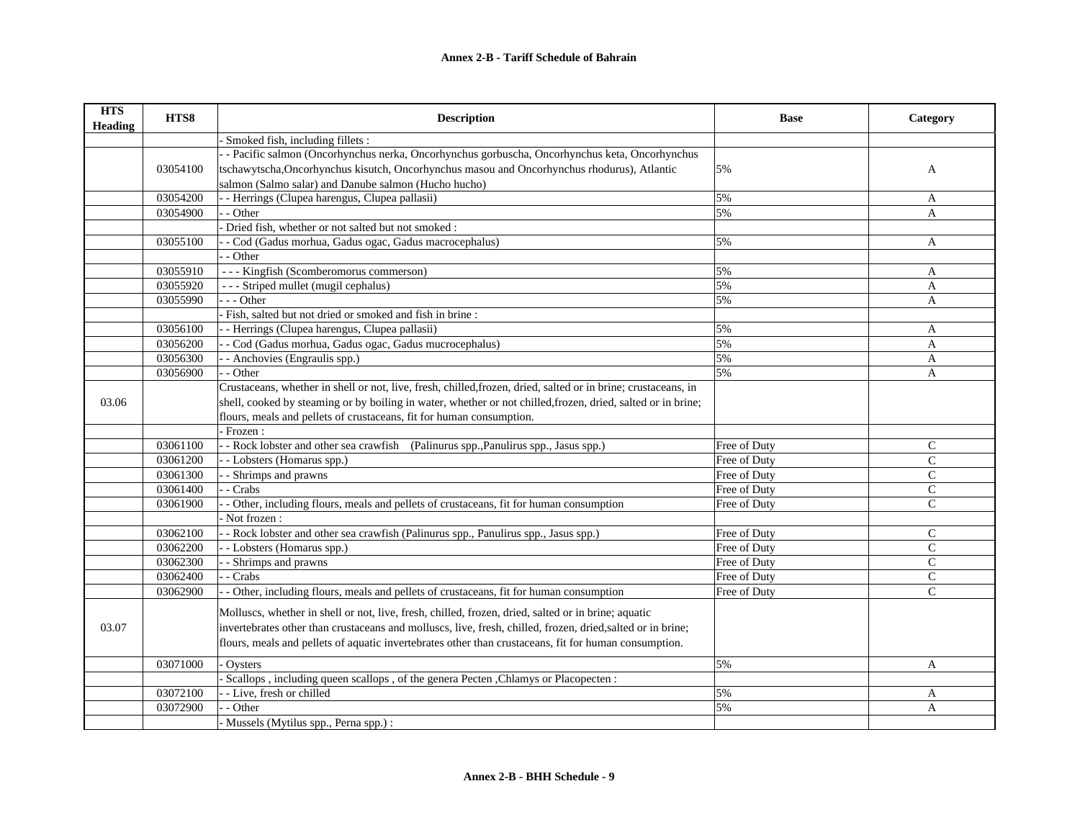| <b>HTS</b><br><b>Heading</b> | HTS8     | <b>Description</b>                                                                                             | <b>Base</b>  | Category      |
|------------------------------|----------|----------------------------------------------------------------------------------------------------------------|--------------|---------------|
|                              |          | Smoked fish, including fillets :                                                                               |              |               |
|                              |          | - Pacific salmon (Oncorhynchus nerka, Oncorhynchus gorbuscha, Oncorhynchus keta, Oncorhynchus                  |              |               |
|                              | 03054100 | tschawytscha, Oncorhynchus kisutch, Oncorhynchus masou and Oncorhynchus rhodurus), Atlantic                    | 5%           | A             |
|                              |          | salmon (Salmo salar) and Danube salmon (Hucho hucho)                                                           |              |               |
|                              | 03054200 | - - Herrings (Clupea harengus, Clupea pallasii)                                                                | 5%           | A             |
|                              | 03054900 | - Other                                                                                                        | 5%           | A             |
|                              |          | Dried fish, whether or not salted but not smoked :                                                             |              |               |
|                              | 03055100 | - Cod (Gadus morhua, Gadus ogac, Gadus macrocephalus)                                                          | 5%           | $\mathbf{A}$  |
|                              |          | - - Other                                                                                                      |              |               |
|                              | 03055910 | --- Kingfish (Scomberomorus commerson)                                                                         | 5%           | A             |
|                              | 03055920 | --- Striped mullet (mugil cephalus)                                                                            | 5%           | A             |
|                              | 03055990 | $-$ - Other                                                                                                    | 5%           | A             |
|                              |          | Fish, salted but not dried or smoked and fish in brine :                                                       |              |               |
|                              | 03056100 | - Herrings (Clupea harengus, Clupea pallasii)                                                                  | 5%           | A             |
|                              | 03056200 | - Cod (Gadus morhua, Gadus ogac, Gadus mucrocephalus)                                                          | 5%           | A             |
|                              | 03056300 | - Anchovies (Engraulis spp.)                                                                                   | 5%           | A             |
|                              | 03056900 | - - Other                                                                                                      | 5%           | A             |
|                              |          | Crustaceans, whether in shell or not, live, fresh, chilled, frozen, dried, salted or in brine; crustaceans, in |              |               |
| 03.06                        |          | shell, cooked by steaming or by boiling in water, whether or not chilled, frozen, dried, salted or in brine;   |              |               |
|                              |          | flours, meals and pellets of crustaceans, fit for human consumption.                                           |              |               |
|                              |          | Frozen:                                                                                                        |              |               |
|                              | 03061100 | - - Rock lobster and other sea crawfish (Palinurus spp., Panulirus spp., Jasus spp.)                           | Free of Duty | $\mathsf{C}$  |
|                              | 03061200 | - Lobsters (Homarus spp.)                                                                                      | Free of Duty | $\mathcal{C}$ |
|                              | 03061300 | - Shrimps and prawns                                                                                           | Free of Duty | $\mathsf{C}$  |
|                              | 03061400 | - Crabs                                                                                                        | Free of Duty | $\mathsf{C}$  |
|                              | 03061900 | - Other, including flours, meals and pellets of crustaceans, fit for human consumption                         | Free of Duty | $\mathsf{C}$  |
|                              |          | Not frozen:                                                                                                    |              |               |
|                              | 03062100 | - - Rock lobster and other sea crawfish (Palinurus spp., Panulirus spp., Jasus spp.)                           | Free of Duty | C             |
|                              | 03062200 | - - Lobsters (Homarus spp.)                                                                                    | Free of Duty | $\mathsf{C}$  |
|                              | 03062300 | - Shrimps and prawns                                                                                           | Free of Duty | $\mathsf{C}$  |
|                              | 03062400 | - Crabs                                                                                                        | Free of Duty | $\mathsf{C}$  |
|                              | 03062900 | - Other, including flours, meals and pellets of crustaceans, fit for human consumption                         | Free of Duty | $\mathcal{C}$ |
|                              |          | Molluscs, whether in shell or not, live, fresh, chilled, frozen, dried, salted or in brine; aquatic            |              |               |
| 03.07                        |          | invertebrates other than crustaceans and molluscs, live, fresh, chilled, frozen, dried, salted or in brine;    |              |               |
|                              |          | flours, meals and pellets of aquatic invertebrates other than crustaceans, fit for human consumption.          |              |               |
|                              |          |                                                                                                                |              |               |
|                              | 03071000 | Ovsters                                                                                                        | 5%           | A             |
|                              |          | Scallops, including queen scallops, of the genera Pecten, Chlamys or Placopecten:                              |              |               |
|                              | 03072100 | - Live, fresh or chilled                                                                                       | 5%           | A             |
|                              | 03072900 | - Other                                                                                                        | 5%           | A             |
|                              |          | Mussels (Mytilus spp., Perna spp.) :                                                                           |              |               |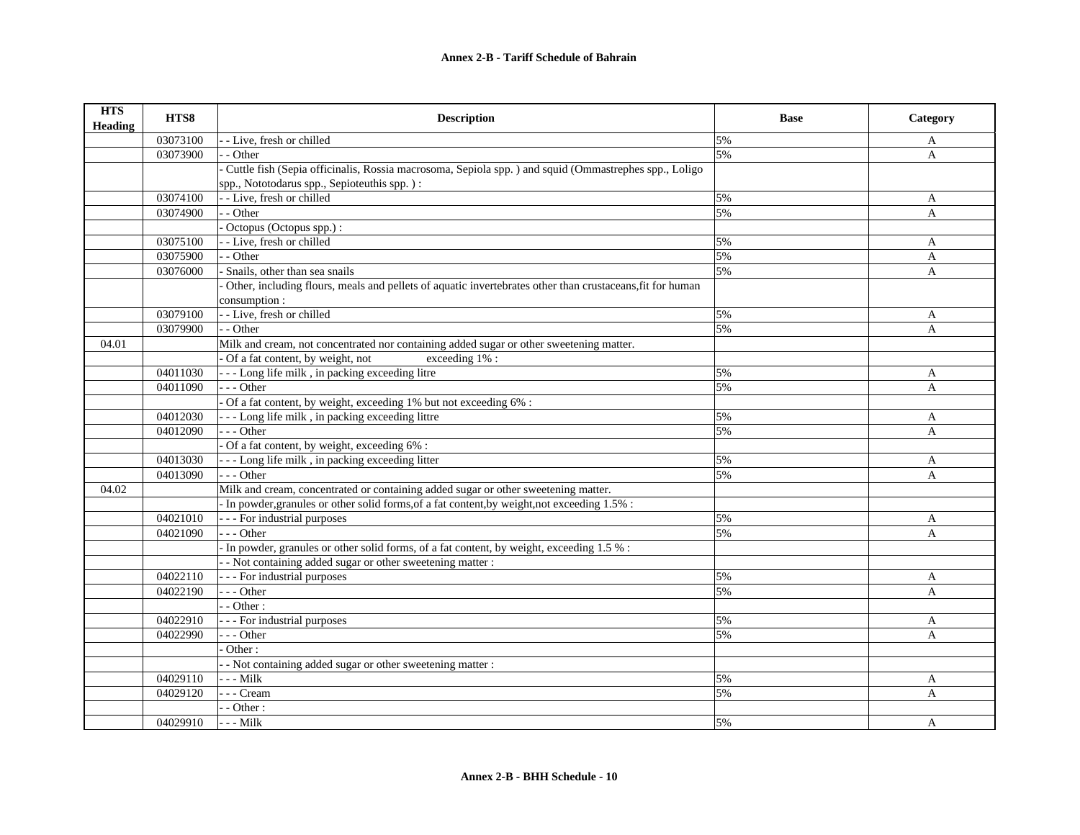| <b>HTS</b><br><b>Heading</b> | HTS8     | <b>Description</b>                                                                                        | <b>Base</b> | Category     |
|------------------------------|----------|-----------------------------------------------------------------------------------------------------------|-------------|--------------|
|                              | 03073100 | - - Live, fresh or chilled                                                                                | 5%          | A            |
|                              | 03073900 | - Other                                                                                                   | 5%          | $\mathbf{A}$ |
|                              |          | Cuttle fish (Sepia officinalis, Rossia macrosoma, Sepiola spp.) and squid (Ommastrephes spp., Loligo      |             |              |
|                              |          | spp., Nototodarus spp., Sepioteuthis spp.):                                                               |             |              |
|                              | 03074100 | - - Live, fresh or chilled                                                                                | 5%          | A            |
|                              | 03074900 | - - Other                                                                                                 | 5%          | A            |
|                              |          | Octopus (Octopus spp.) :                                                                                  |             |              |
|                              | 03075100 | - - Live, fresh or chilled                                                                                | 5%          | A            |
|                              | 03075900 | - - Other                                                                                                 | 5%          | A            |
|                              | 03076000 | Snails, other than sea snails                                                                             | 5%          | A            |
|                              |          | Other, including flours, meals and pellets of aquatic invertebrates other than crustaceans, fit for human |             |              |
|                              |          | consumption:                                                                                              |             |              |
|                              | 03079100 | - - Live, fresh or chilled                                                                                | 5%          | A            |
|                              | 03079900 | - - Other                                                                                                 | 5%          | A            |
| 04.01                        |          | Milk and cream, not concentrated nor containing added sugar or other sweetening matter.                   |             |              |
|                              |          | Of a fat content, by weight, not<br>exceeding 1% :                                                        |             |              |
|                              | 04011030 | --- Long life milk, in packing exceeding litre                                                            | 5%          | A            |
|                              | 04011090 | --- Other                                                                                                 | 5%          | $\mathbf{A}$ |
|                              |          | Of a fat content, by weight, exceeding 1% but not exceeding 6% :                                          |             |              |
|                              | 04012030 | --- Long life milk, in packing exceeding littre                                                           | 5%          | A            |
|                              | 04012090 | $- -$ Other                                                                                               | 5%          | A            |
|                              |          | Of a fat content, by weight, exceeding 6% :                                                               |             |              |
|                              | 04013030 | --- Long life milk, in packing exceeding litter                                                           | 5%          | A            |
|                              | 04013090 | $- -$ Other                                                                                               | 5%          | A            |
| 04.02                        |          | Milk and cream, concentrated or containing added sugar or other sweetening matter.                        |             |              |
|                              |          | - In powder, granules or other solid forms, of a fat content, by weight, not exceeding 1.5% :             |             |              |
|                              | 04021010 | - - - For industrial purposes                                                                             | 5%          | A            |
|                              | 04021090 | $- -$ Other                                                                                               | 5%          | A            |
|                              |          | In powder, granules or other solid forms, of a fat content, by weight, exceeding 1.5 % :                  |             |              |
|                              |          | - Not containing added sugar or other sweetening matter :                                                 |             |              |
|                              | 04022110 | --- For industrial purposes                                                                               | 5%          | A            |
|                              | 04022190 | $- -$ Other                                                                                               | 5%          | $\mathbf{A}$ |
|                              |          | $-$ Other :                                                                                               |             |              |
|                              | 04022910 | - - - For industrial purposes                                                                             | 5%          | A            |
|                              | 04022990 | $- -$ Other                                                                                               | 5%          | A            |
|                              |          | Other:                                                                                                    |             |              |
|                              |          | - Not containing added sugar or other sweetening matter :                                                 |             |              |
|                              | 04029110 | - - - Milk                                                                                                | 5%          | A            |
|                              | 04029120 | - - - Cream                                                                                               | 5%          | A            |
|                              |          | $-$ - Other :                                                                                             |             |              |
|                              | 04029910 | $- -$ Milk                                                                                                | 5%          | A            |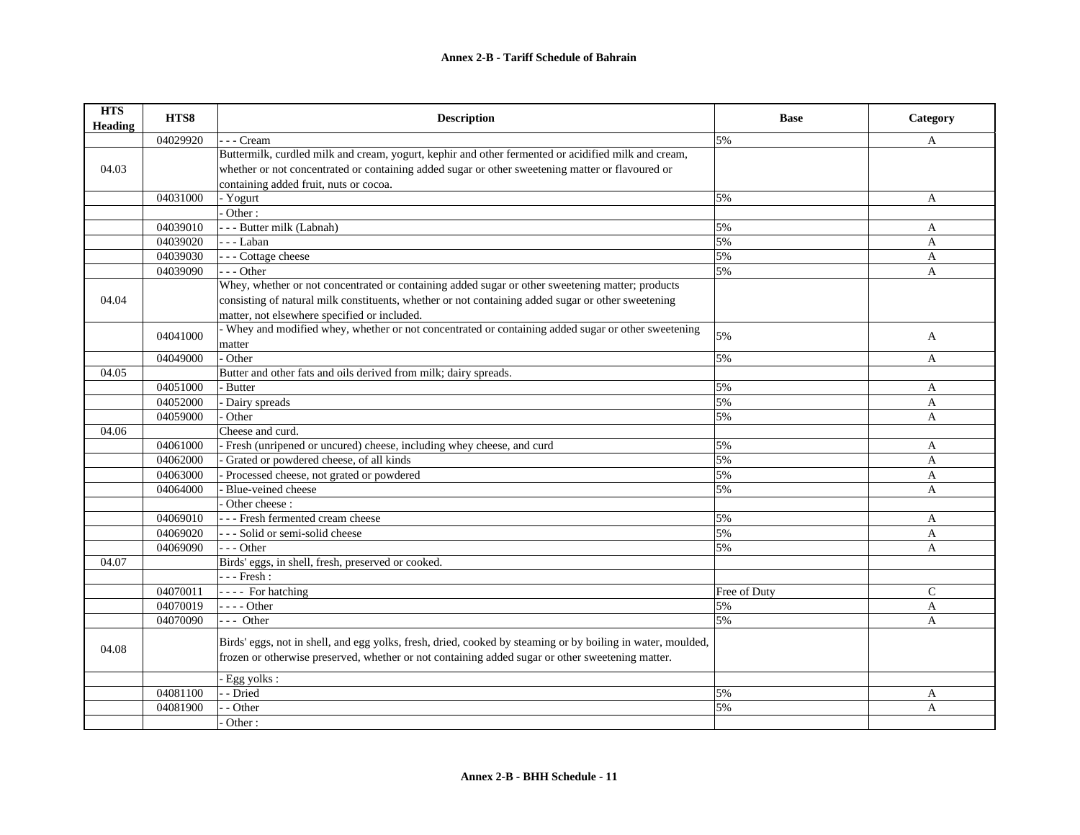| <b>HTS</b><br>Heading | HTS8     | <b>Description</b>                                                                                                                                                                                              | <b>Base</b>  | Category      |
|-----------------------|----------|-----------------------------------------------------------------------------------------------------------------------------------------------------------------------------------------------------------------|--------------|---------------|
|                       | 04029920 | - Cream                                                                                                                                                                                                         | 5%           | A             |
|                       |          | Buttermilk, curdled milk and cream, yogurt, kephir and other fermented or acidified milk and cream,                                                                                                             |              |               |
| 04.03                 |          | whether or not concentrated or containing added sugar or other sweetening matter or flavoured or                                                                                                                |              |               |
|                       |          | containing added fruit, nuts or cocoa.                                                                                                                                                                          |              |               |
|                       | 04031000 | - Yogurt                                                                                                                                                                                                        | 5%           | A             |
|                       |          | Other:                                                                                                                                                                                                          |              |               |
|                       | 04039010 | - - - Butter milk (Labnah)                                                                                                                                                                                      | 5%           | A             |
|                       | 04039020 | - - Laban                                                                                                                                                                                                       | 5%           | A             |
|                       | 04039030 | - - - Cottage cheese                                                                                                                                                                                            | 5%           | A             |
|                       | 04039090 | $- -$ Other                                                                                                                                                                                                     | 5%           | A             |
|                       |          | Whey, whether or not concentrated or containing added sugar or other sweetening matter; products                                                                                                                |              |               |
| 04.04                 |          | consisting of natural milk constituents, whether or not containing added sugar or other sweetening                                                                                                              |              |               |
|                       |          | matter, not elsewhere specified or included.                                                                                                                                                                    |              |               |
|                       | 04041000 | - Whey and modified whey, whether or not concentrated or containing added sugar or other sweetening                                                                                                             | 5%           |               |
|                       |          | matter                                                                                                                                                                                                          |              | A             |
|                       | 04049000 | Other                                                                                                                                                                                                           | 5%           | A             |
| 04.05                 |          | Butter and other fats and oils derived from milk; dairy spreads.                                                                                                                                                |              |               |
|                       | 04051000 | - Butter                                                                                                                                                                                                        | 5%           | A             |
|                       | 04052000 | Dairy spreads                                                                                                                                                                                                   | 5%           | A             |
|                       | 04059000 | Other                                                                                                                                                                                                           | 5%           | A             |
| 04.06                 |          | Cheese and curd.                                                                                                                                                                                                |              |               |
|                       | 04061000 | - Fresh (unripened or uncured) cheese, including whey cheese, and curd                                                                                                                                          | 5%           | A             |
|                       | 04062000 | Grated or powdered cheese, of all kinds                                                                                                                                                                         | 5%           | A             |
|                       | 04063000 | Processed cheese, not grated or powdered                                                                                                                                                                        | 5%           | A             |
|                       | 04064000 | Blue-veined cheese                                                                                                                                                                                              | 5%           | A             |
|                       |          | $\overline{\overline{\mathrm{O}}}$ ther cheese:                                                                                                                                                                 |              |               |
|                       | 04069010 | - - - Fresh fermented cream cheese                                                                                                                                                                              | 5%           | A             |
|                       | 04069020 | --- Solid or semi-solid cheese                                                                                                                                                                                  | 5%           | A             |
|                       | 04069090 | $- -$ Other                                                                                                                                                                                                     | 5%           | A             |
| 04.07                 |          | Birds' eggs, in shell, fresh, preserved or cooked.                                                                                                                                                              |              |               |
|                       |          | $--$ Fresh:                                                                                                                                                                                                     |              |               |
|                       | 04070011 | - - - - For hatching                                                                                                                                                                                            | Free of Duty | $\mathcal{C}$ |
|                       | 04070019 | $- - -$ Other                                                                                                                                                                                                   | 5%           | $\mathbf{A}$  |
|                       | 04070090 | $-$ - Other                                                                                                                                                                                                     | 5%           | $\mathbf{A}$  |
| 04.08                 |          | Birds' eggs, not in shell, and egg yolks, fresh, dried, cooked by steaming or by boiling in water, moulded,<br>frozen or otherwise preserved, whether or not containing added sugar or other sweetening matter. |              |               |
|                       |          | Egg yolks:                                                                                                                                                                                                      |              |               |
|                       | 04081100 | - Dried                                                                                                                                                                                                         | 5%           | A             |
|                       | 04081900 | - Other                                                                                                                                                                                                         | 5%           | A             |
|                       |          | Other:                                                                                                                                                                                                          |              |               |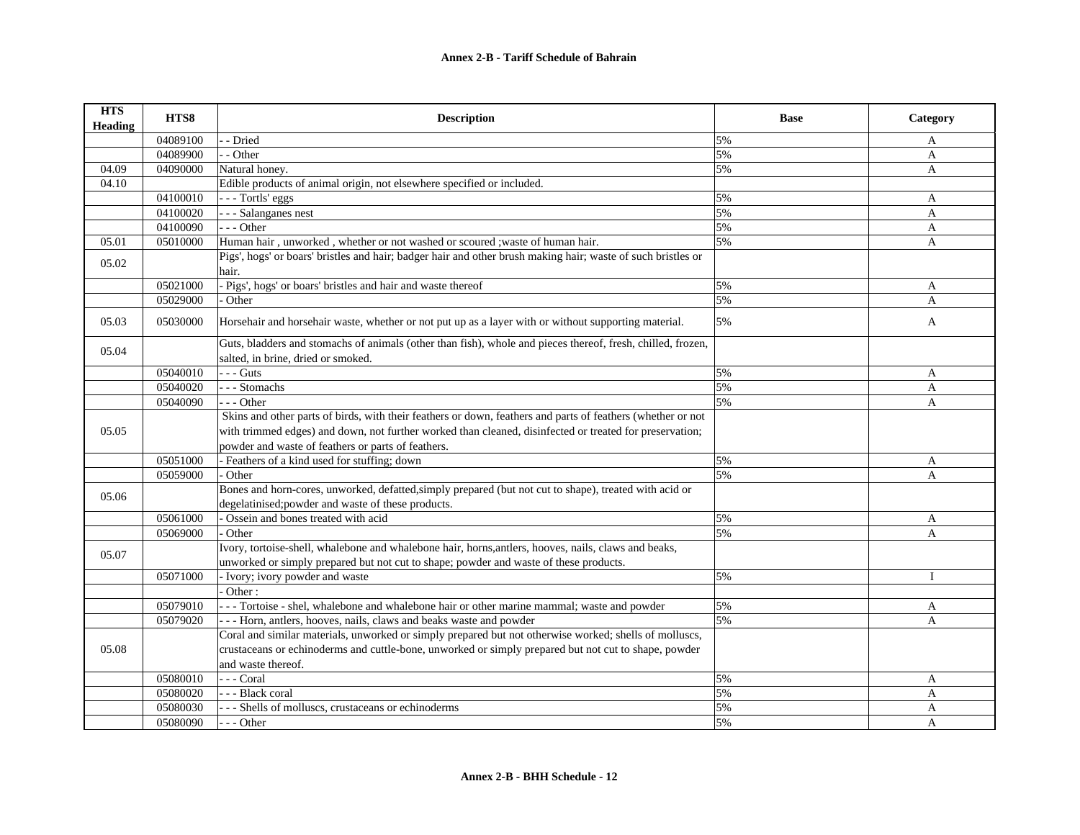| <b>HTS</b><br><b>Heading</b> | HTS8     | <b>Description</b>                                                                                           | <b>Base</b> | Category     |
|------------------------------|----------|--------------------------------------------------------------------------------------------------------------|-------------|--------------|
|                              | 04089100 | - Dried                                                                                                      | 5%          | A            |
|                              | 04089900 | - Other                                                                                                      | 5%          | A            |
| 04.09                        | 04090000 | Natural honey.                                                                                               | 5%          | A            |
| 04.10                        |          | Edible products of animal origin, not elsewhere specified or included.                                       |             |              |
|                              | 04100010 | - - - Tortls' eggs                                                                                           | 5%          | A            |
|                              | 04100020 | - - Salanganes nest                                                                                          | 5%          | $\mathbf{A}$ |
|                              | 04100090 | $--$ Other                                                                                                   | 5%          | A            |
| 05.01                        | 05010000 | Human hair, unworked, whether or not washed or scoured; waste of human hair.                                 | 5%          | A            |
| 05.02                        |          | Pigs', hogs' or boars' bristles and hair; badger hair and other brush making hair; waste of such bristles or |             |              |
|                              |          | hair.                                                                                                        |             |              |
|                              | 05021000 | - Pigs', hogs' or boars' bristles and hair and waste thereof                                                 | 5%          | A            |
|                              | 05029000 | Other                                                                                                        | 5%          | A            |
| 05.03                        | 05030000 | Horsehair and horsehair waste, whether or not put up as a layer with or without supporting material.         | 5%          | A            |
|                              |          | Guts, bladders and stomachs of animals (other than fish), whole and pieces thereof, fresh, chilled, frozen,  |             |              |
| 05.04                        |          | salted, in brine, dried or smoked.                                                                           |             |              |
|                              | 05040010 | $- -$ Guts                                                                                                   | 5%          | A            |
|                              | 05040020 | --- Stomachs                                                                                                 | 5%          | A            |
|                              | 05040090 | $- -$ Other                                                                                                  | 5%          | A            |
|                              |          | Skins and other parts of birds, with their feathers or down, feathers and parts of feathers (whether or not  |             |              |
| 05.05                        |          | with trimmed edges) and down, not further worked than cleaned, disinfected or treated for preservation;      |             |              |
|                              |          | powder and waste of feathers or parts of feathers.                                                           |             |              |
|                              | 05051000 | - Feathers of a kind used for stuffing; down                                                                 | 5%          | $\mathbf{A}$ |
|                              | 05059000 | Other                                                                                                        | 5%          | A            |
| 05.06                        |          | Bones and horn-cores, unworked, defatted, simply prepared (but not cut to shape), treated with acid or       |             |              |
|                              |          | degelatinised;powder and waste of these products.                                                            |             |              |
|                              | 05061000 | Ossein and bones treated with acid                                                                           | 5%          | A            |
|                              | 05069000 | Other                                                                                                        | 5%          | A            |
| 05.07                        |          | Ivory, tortoise-shell, whalebone and whalebone hair, horns, antlers, hooves, nails, claws and beaks,         |             |              |
|                              |          | unworked or simply prepared but not cut to shape; powder and waste of these products.                        |             |              |
|                              | 05071000 | - Ivory; ivory powder and waste                                                                              | 5%          | $\mathbf{I}$ |
|                              |          | Other:                                                                                                       |             |              |
|                              | 05079010 | --- Tortoise - shel, whalebone and whalebone hair or other marine mammal; waste and powder                   | 5%          | A            |
|                              | 05079020 | - - - Horn, antlers, hooves, nails, claws and beaks waste and powder                                         | 5%          | A            |
|                              |          | Coral and similar materials, unworked or simply prepared but not otherwise worked; shells of molluscs,       |             |              |
| 05.08                        |          | crustaceans or echinoderms and cuttle-bone, unworked or simply prepared but not cut to shape, powder         |             |              |
|                              |          | and waste thereof.                                                                                           |             |              |
|                              | 05080010 | --- Coral                                                                                                    | 5%          | A            |
|                              | 05080020 | - - - Black coral                                                                                            | 5%          | A            |
|                              | 05080030 | --- Shells of molluscs, crustaceans or echinoderms                                                           | 5%          | A            |
|                              | 05080090 | --- Other                                                                                                    | 5%          | $\mathsf{A}$ |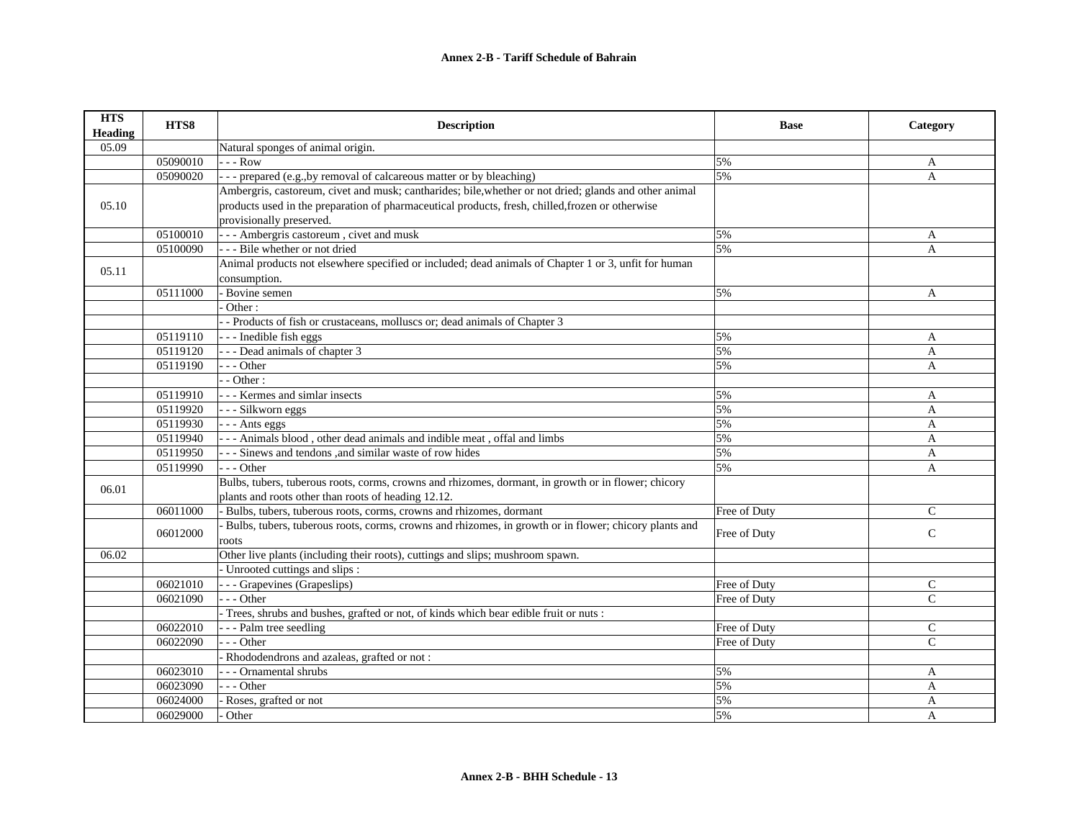| <b>HTS</b><br><b>Heading</b> | HTS8     | <b>Description</b>                                                                                     | <b>Base</b>  | Category      |
|------------------------------|----------|--------------------------------------------------------------------------------------------------------|--------------|---------------|
| 05.09                        |          | Natural sponges of animal origin.                                                                      |              |               |
|                              | 05090010 | - - - Row                                                                                              | 5%           | A             |
|                              | 05090020 | --- prepared (e.g., by removal of calcareous matter or by bleaching)                                   | 5%           | A             |
|                              |          | Ambergris, castoreum, civet and musk; cantharides; bile, whether or not dried; glands and other animal |              |               |
| 05.10                        |          | products used in the preparation of pharmaceutical products, fresh, chilled, frozen or otherwise       |              |               |
|                              |          | provisionally preserved.                                                                               |              |               |
|                              | 05100010 | - - - Ambergris castoreum, civet and musk                                                              | 5%           | A             |
|                              | 05100090 | --- Bile whether or not dried                                                                          | 5%           | A             |
| 05.11                        |          | Animal products not elsewhere specified or included; dead animals of Chapter 1 or 3, unfit for human   |              |               |
|                              |          | consumption.                                                                                           |              |               |
|                              | 05111000 | - Bovine semen                                                                                         | 5%           | $\mathbf{A}$  |
|                              |          | Other:                                                                                                 |              |               |
|                              |          | - Products of fish or crustaceans, molluscs or; dead animals of Chapter 3                              |              |               |
|                              | 05119110 | --- Inedible fish eggs                                                                                 | 5%           | A             |
|                              | 05119120 | - - - Dead animals of chapter 3                                                                        | 5%           | A             |
|                              | 05119190 | $- -$ Other                                                                                            | 5%           | A             |
|                              |          | $-$ Other :                                                                                            |              |               |
|                              | 05119910 | - - - Kermes and simlar insects                                                                        | 5%           | A             |
|                              | 05119920 | - - - Silkworn eggs                                                                                    | 5%           | A             |
|                              | 05119930 | - - - Ants eggs                                                                                        | 5%           | A             |
|                              | 05119940 | --- Animals blood, other dead animals and indible meat, offal and limbs                                | 5%           | A             |
|                              | 05119950 | - - - Sinews and tendons , and similar waste of row hides                                              | 5%           | A             |
|                              | 05119990 | $- -$ Other                                                                                            | 5%           | A             |
|                              |          | Bulbs, tubers, tuberous roots, corms, crowns and rhizomes, dormant, in growth or in flower; chicory    |              |               |
| 06.01                        |          | plants and roots other than roots of heading 12.12.                                                    |              |               |
|                              | 06011000 | Bulbs, tubers, tuberous roots, corms, crowns and rhizomes, dormant                                     | Free of Duty | $\mathcal{C}$ |
|                              |          | Bulbs, tubers, tuberous roots, corms, crowns and rhizomes, in growth or in flower; chicory plants and  |              |               |
|                              | 06012000 | roots                                                                                                  | Free of Duty | $\mathsf{C}$  |
| 06.02                        |          | Other live plants (including their roots), cuttings and slips; mushroom spawn.                         |              |               |
|                              |          | - Unrooted cuttings and slips :                                                                        |              |               |
|                              | 06021010 | --- Grapevines (Grapeslips)                                                                            | Free of Duty | C             |
|                              | 06021090 | $-$ - Other                                                                                            | Free of Duty | $\mathcal{C}$ |
|                              |          | - Trees, shrubs and bushes, grafted or not, of kinds which bear edible fruit or nuts :                 |              |               |
|                              | 06022010 | - - - Palm tree seedling                                                                               | Free of Duty | C             |
|                              | 06022090 | - - - Other                                                                                            | Free of Duty | $\mathsf{C}$  |
|                              |          | - Rhododendrons and azaleas, grafted or not:                                                           |              |               |
|                              | 06023010 | - - - Ornamental shrubs                                                                                | 5%           | A             |
|                              | 06023090 | $- -$ Other                                                                                            | 5%           | A             |
|                              | 06024000 | Roses, grafted or not                                                                                  | 5%           | A             |
|                              | 06029000 | Other                                                                                                  | 5%           | A             |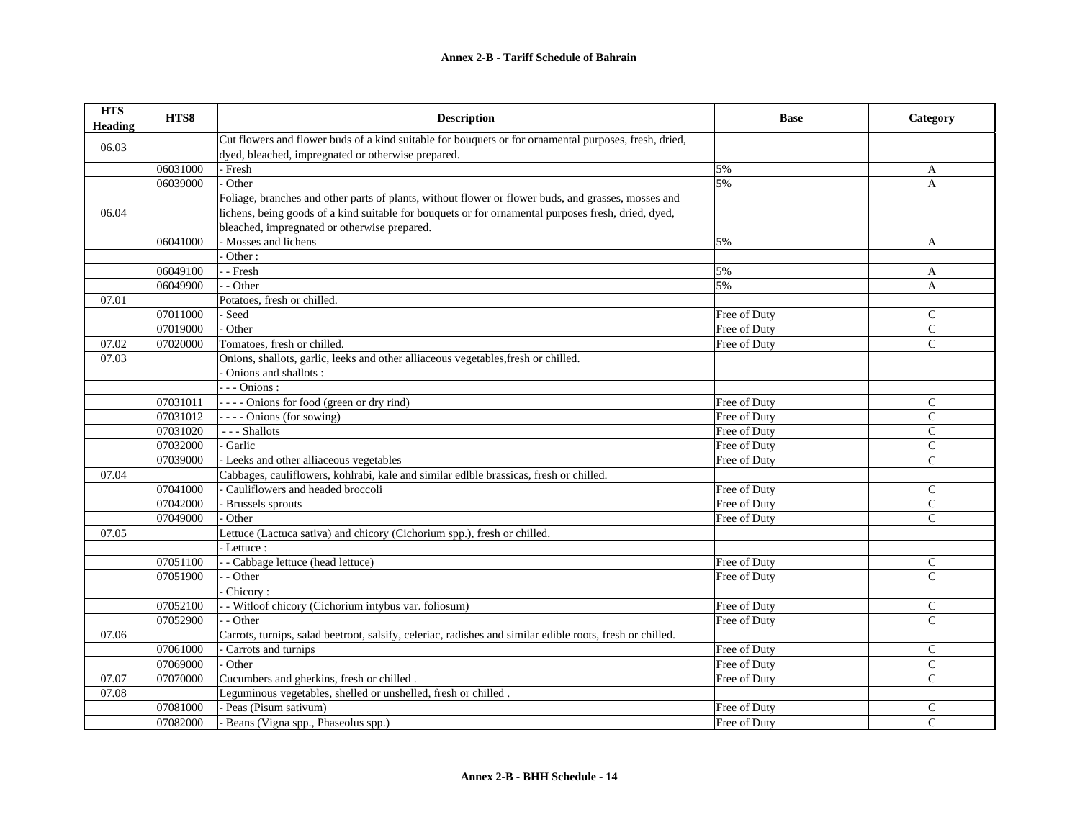| <b>HTS</b><br><b>Heading</b> | HTS8     | <b>Description</b>                                                                                        | <b>Base</b>  | Category       |
|------------------------------|----------|-----------------------------------------------------------------------------------------------------------|--------------|----------------|
| 06.03                        |          | Cut flowers and flower buds of a kind suitable for bouquets or for ornamental purposes, fresh, dried,     |              |                |
|                              |          | dyed, bleached, impregnated or otherwise prepared.                                                        |              |                |
|                              | 06031000 | - Fresh                                                                                                   | 5%           | A              |
|                              | 06039000 | Other                                                                                                     | 5%           | A              |
|                              |          | Foliage, branches and other parts of plants, without flower or flower buds, and grasses, mosses and       |              |                |
| 06.04                        |          | lichens, being goods of a kind suitable for bouquets or for ornamental purposes fresh, dried, dyed,       |              |                |
|                              |          | bleached, impregnated or otherwise prepared.                                                              |              |                |
|                              | 06041000 | - Mosses and lichens                                                                                      | 5%           | A              |
|                              |          | $\cdot$ Other :                                                                                           |              |                |
|                              | 06049100 | - - Fresh                                                                                                 | 5%           | $\mathbf{A}$   |
|                              | 06049900 | - - Other                                                                                                 | 5%           | A              |
| 07.01                        |          | Potatoes, fresh or chilled.                                                                               |              |                |
|                              | 07011000 | - Seed                                                                                                    | Free of Duty | $\mathcal{C}$  |
|                              | 07019000 | - Other                                                                                                   | Free of Duty | $\mathcal{C}$  |
| 07.02                        | 07020000 | Tomatoes, fresh or chilled.                                                                               | Free of Duty | $\mathsf{C}$   |
| 07.03                        |          | Onions, shallots, garlic, leeks and other alliaceous vegetables, fresh or chilled.                        |              |                |
|                              |          | Onions and shallots:                                                                                      |              |                |
|                              |          | $---Onions:$                                                                                              |              |                |
|                              | 07031011 | ---- Onions for food (green or dry rind)                                                                  | Free of Duty | $\mathsf{C}$   |
|                              | 07031012 | ---- Onions (for sowing)                                                                                  | Free of Duty | $\mathsf{C}$   |
|                              | 07031020 | --- Shallots                                                                                              | Free of Duty | $\mathcal{C}$  |
|                              | 07032000 | - Garlic                                                                                                  | Free of Duty | $\mathsf{C}$   |
|                              | 07039000 | - Leeks and other alliaceous vegetables                                                                   | Free of Duty | $\mathcal{C}$  |
| 07.04                        |          | Cabbages, cauliflowers, kohlrabi, kale and similar edlble brassicas, fresh or chilled.                    |              |                |
|                              | 07041000 | - Cauliflowers and headed broccoli                                                                        | Free of Duty | $\mathcal{C}$  |
|                              | 07042000 | Brussels sprouts                                                                                          | Free of Duty | $\mathcal{C}$  |
|                              | 07049000 | Other                                                                                                     | Free of Duty | $\mathsf{C}$   |
| 07.05                        |          | Lettuce (Lactuca sativa) and chicory (Cichorium spp.), fresh or chilled.                                  |              |                |
|                              |          | - Lettuce :                                                                                               |              |                |
|                              | 07051100 | - - Cabbage lettuce (head lettuce)                                                                        | Free of Duty | C              |
|                              | 07051900 | - Other                                                                                                   | Free of Duty | $\mathcal{C}$  |
|                              |          | Chicory:                                                                                                  |              |                |
|                              | 07052100 | - Witloof chicory (Cichorium intybus var. foliosum)                                                       | Free of Duty | $\mathsf{C}$   |
|                              | 07052900 | - - Other                                                                                                 | Free of Duty | $\mathsf{C}$   |
| 07.06                        |          | Carrots, turnips, salad beetroot, salsify, celeriac, radishes and similar edible roots, fresh or chilled. |              |                |
|                              | 07061000 | Carrots and turnips                                                                                       | Free of Duty | $\mathsf{C}$   |
|                              | 07069000 | - Other                                                                                                   | Free of Duty | $\mathsf{C}$   |
| 07.07                        | 07070000 | Cucumbers and gherkins, fresh or chilled.                                                                 | Free of Duty | $\mathcal{C}$  |
| 07.08                        |          | Leguminous vegetables, shelled or unshelled, fresh or chilled.                                            |              |                |
|                              | 07081000 | - Peas (Pisum sativum)                                                                                    | Free of Duty | C              |
|                              | 07082000 | - Beans (Vigna spp., Phaseolus spp.)                                                                      | Free of Duty | $\overline{C}$ |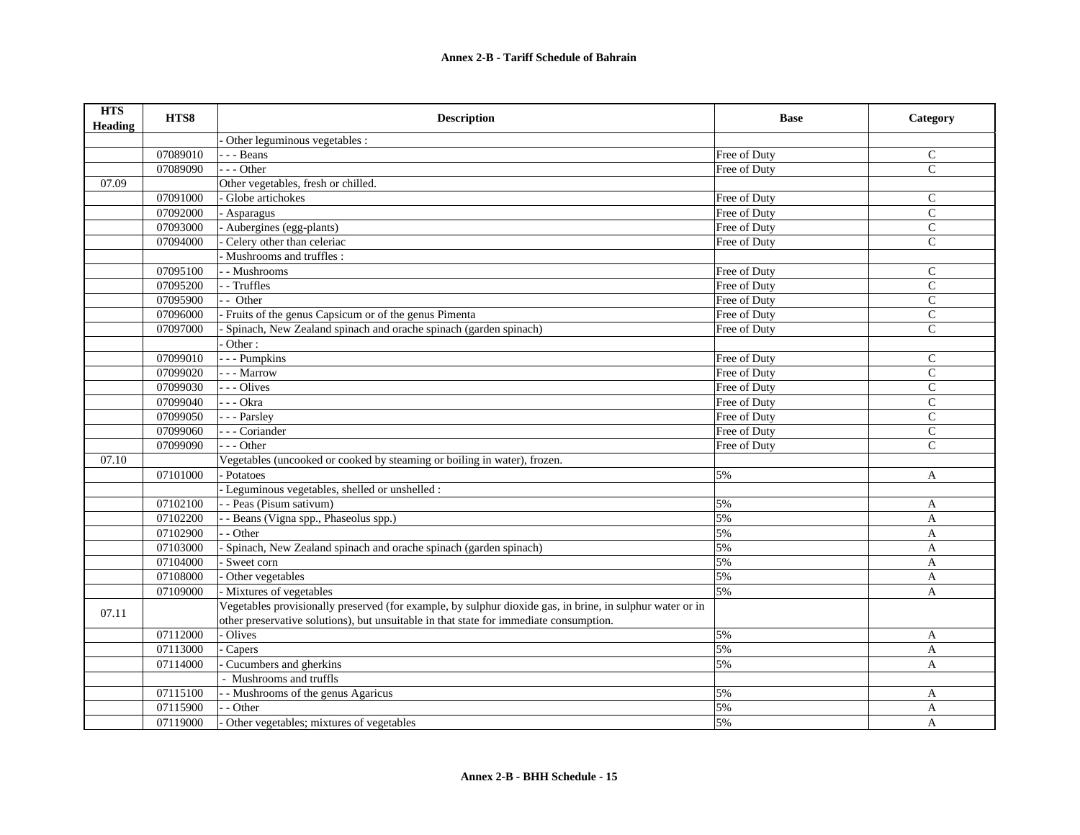| <b>HTS</b><br><b>Heading</b> | HTS8     | <b>Description</b>                                                                                        | <b>Base</b>  | Category      |
|------------------------------|----------|-----------------------------------------------------------------------------------------------------------|--------------|---------------|
|                              |          | Other leguminous vegetables :                                                                             |              |               |
|                              | 07089010 | $-$ - Beans                                                                                               | Free of Duty | $\mathsf{C}$  |
|                              | 07089090 | $--$ Other                                                                                                | Free of Duty | $\mathbf C$   |
| 07.09                        |          | Other vegetables, fresh or chilled.                                                                       |              |               |
|                              | 07091000 | Globe artichokes                                                                                          | Free of Duty | $\mathcal{C}$ |
|                              | 07092000 | Asparagus                                                                                                 | Free of Duty | ${\bf C}$     |
|                              | 07093000 | Aubergines (egg-plants)                                                                                   | Free of Duty | $\mathsf{C}$  |
|                              | 07094000 | Celery other than celeriac                                                                                | Free of Duty | $\mathcal{C}$ |
|                              |          | Mushrooms and truffles:                                                                                   |              |               |
|                              | 07095100 | - Mushrooms                                                                                               | Free of Duty | $\mathsf{C}$  |
|                              | 07095200 | - - Truffles                                                                                              | Free of Duty | $\mathcal{C}$ |
|                              | 07095900 | - Other                                                                                                   | Free of Duty | $\mathsf{C}$  |
|                              | 07096000 | - Fruits of the genus Capsicum or of the genus Pimenta                                                    | Free of Duty | $\mathsf C$   |
|                              | 07097000 | Spinach, New Zealand spinach and orache spinach (garden spinach)                                          | Free of Duty | $\mathsf{C}$  |
|                              |          | $\overline{\overline{\text{Other}}:}$                                                                     |              |               |
|                              | 07099010 | - - - Pumpkins                                                                                            | Free of Duty | $\mathsf{C}$  |
|                              | 07099020 | - - - Marrow                                                                                              | Free of Duty | $\mathcal{C}$ |
|                              | 07099030 | - - - Olives                                                                                              | Free of Duty | $\mathsf{C}$  |
|                              | 07099040 | - - - Okra                                                                                                | Free of Duty | $\mathbf C$   |
|                              | 07099050 | --- Parsley                                                                                               | Free of Duty | $\mathcal{C}$ |
|                              | 07099060 | - - - Coriander                                                                                           | Free of Duty | $\mathbf C$   |
|                              | 07099090 | $- -$ Other                                                                                               | Free of Duty | $\mathsf{C}$  |
| 07.10                        |          | Vegetables (uncooked or cooked by steaming or boiling in water), frozen.                                  |              |               |
|                              | 07101000 | - Potatoes                                                                                                | 5%           | A             |
|                              |          | Leguminous vegetables, shelled or unshelled :                                                             |              |               |
|                              | 07102100 | - - Peas (Pisum sativum)                                                                                  | 5%           | $\mathbf{A}$  |
|                              | 07102200 | - Beans (Vigna spp., Phaseolus spp.)                                                                      | 5%           | A             |
|                              | 07102900 | - Other                                                                                                   | 5%           | A             |
|                              | 07103000 | Spinach, New Zealand spinach and orache spinach (garden spinach)                                          | 5%           | A             |
|                              | 07104000 | Sweet corn                                                                                                | 5%           | $\mathbf{A}$  |
|                              | 07108000 | Other vegetables                                                                                          | 5%           | A             |
|                              | 07109000 | - Mixtures of vegetables                                                                                  | 5%           | A             |
| 07.11                        |          | Vegetables provisionally preserved (for example, by sulphur dioxide gas, in brine, in sulphur water or in |              |               |
|                              |          | other preservative solutions), but unsuitable in that state for immediate consumption.                    |              |               |
|                              | 07112000 | Olives                                                                                                    | 5%           | $\mathbf{A}$  |
|                              | 07113000 | Capers                                                                                                    | 5%           | A             |
|                              | 07114000 | Cucumbers and gherkins                                                                                    | 5%           | A             |
|                              |          | - Mushrooms and truffls                                                                                   |              |               |
|                              | 07115100 | - Mushrooms of the genus Agaricus                                                                         | 5%           | A             |
|                              | 07115900 | - Other                                                                                                   | 5%           | A             |
|                              | 07119000 | Other vegetables; mixtures of vegetables                                                                  | 5%           | $\mathbf{A}$  |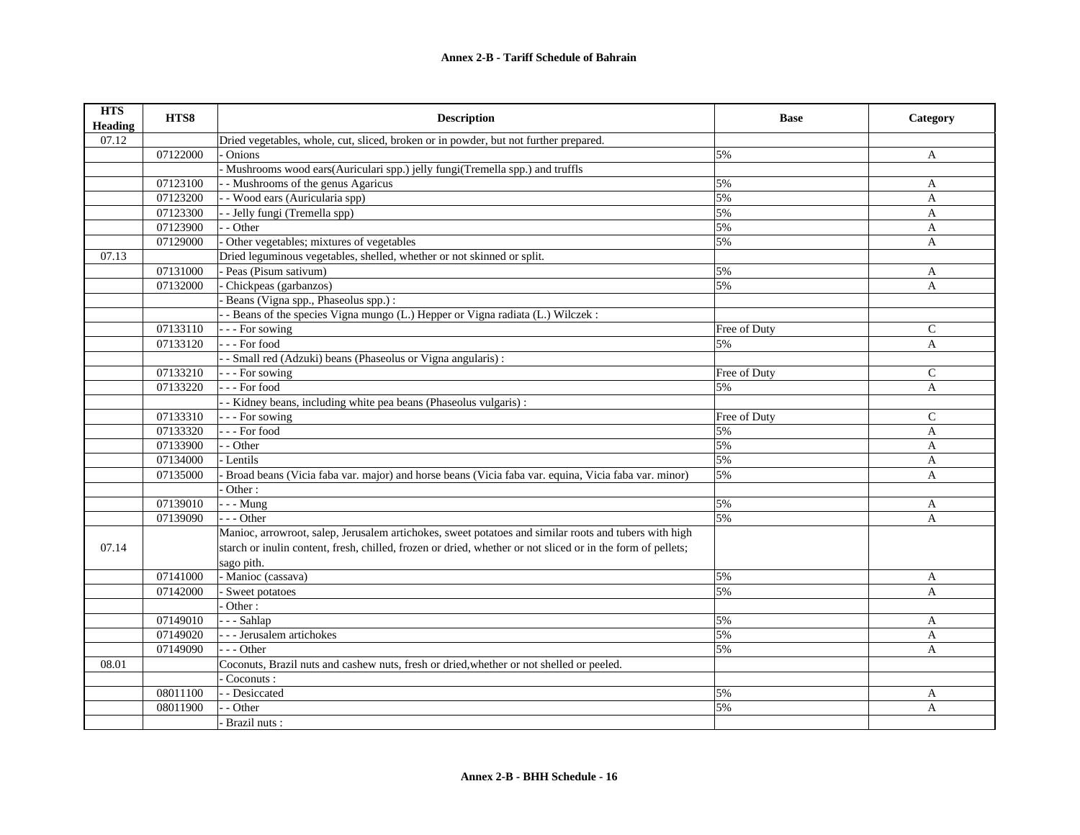| <b>HTS</b><br><b>Heading</b> | HTS8     | <b>Description</b>                                                                                          | <b>Base</b>  | Category      |
|------------------------------|----------|-------------------------------------------------------------------------------------------------------------|--------------|---------------|
| 07.12                        |          | Dried vegetables, whole, cut, sliced, broken or in powder, but not further prepared.                        |              |               |
|                              | 07122000 | Onions                                                                                                      | 5%           | A             |
|                              |          | Mushrooms wood ears(Auriculari spp.) jelly fungi(Tremella spp.) and truffls                                 |              |               |
|                              | 07123100 | - Mushrooms of the genus Agaricus                                                                           | 5%           | A             |
|                              | 07123200 | - Wood ears (Auricularia spp)                                                                               | 5%           | A             |
|                              | 07123300 | - Jelly fungi (Tremella spp)                                                                                | 5%           | $\mathbf{A}$  |
|                              | 07123900 | - - Other                                                                                                   | 5%           | A             |
|                              | 07129000 | Other vegetables; mixtures of vegetables                                                                    | 5%           | $\mathbf{A}$  |
| 07.13                        |          | Dried leguminous vegetables, shelled, whether or not skinned or split.                                      |              |               |
|                              | 07131000 | - Peas (Pisum sativum)                                                                                      | 5%           | A             |
|                              | 07132000 | Chickpeas (garbanzos)                                                                                       | 5%           | A             |
|                              |          | Beans (Vigna spp., Phaseolus spp.) :                                                                        |              |               |
|                              |          | - Beans of the species Vigna mungo (L.) Hepper or Vigna radiata (L.) Wilczek:                               |              |               |
|                              | 07133110 | - - - For sowing                                                                                            | Free of Duty | $\mathcal{C}$ |
|                              | 07133120 | --- For food                                                                                                | 5%           | $\mathbf{A}$  |
|                              |          | - Small red (Adzuki) beans (Phaseolus or Vigna angularis) :                                                 |              |               |
|                              | 07133210 | - - For sowing                                                                                              | Free of Duty | $\mathsf{C}$  |
|                              | 07133220 | --- For food                                                                                                | 5%           | $\mathbf{A}$  |
|                              |          | - Kidney beans, including white pea beans (Phaseolus vulgaris):                                             |              |               |
|                              | 07133310 | - - - For sowing                                                                                            | Free of Duty | $\mathsf{C}$  |
|                              | 07133320 | --- For food                                                                                                | 5%           | $\mathbf{A}$  |
|                              | 07133900 | - - Other                                                                                                   | 5%           | A             |
|                              | 07134000 | - Lentils                                                                                                   | 5%           | A             |
|                              | 07135000 | Broad beans (Vicia faba var. major) and horse beans (Vicia faba var. equina, Vicia faba var. minor)         | 5%           | A             |
|                              |          | Other:                                                                                                      |              |               |
|                              | 07139010 | $- -$ Mung                                                                                                  | 5%           | A             |
|                              | 07139090 | $- -$ Other                                                                                                 | 5%           | A             |
|                              |          | Manioc, arrowroot, salep, Jerusalem artichokes, sweet potatoes and similar roots and tubers with high       |              |               |
| 07.14                        |          | starch or inulin content, fresh, chilled, frozen or dried, whether or not sliced or in the form of pellets; |              |               |
|                              |          | sago pith.                                                                                                  |              |               |
|                              | 07141000 | - Manioc (cassava)                                                                                          | 5%           | A             |
|                              | 07142000 | Sweet potatoes                                                                                              | 5%           | A             |
|                              |          | Other:                                                                                                      |              |               |
|                              | 07149010 | $- -$ Sahlap                                                                                                | 5%           | A             |
|                              | 07149020 | - - Jerusalem artichokes                                                                                    | 5%           | A             |
|                              | 07149090 | $-$ - Other                                                                                                 | 5%           | A             |
| 08.01                        |          | Coconuts, Brazil nuts and cashew nuts, fresh or dried, whether or not shelled or peeled.                    |              |               |
|                              |          | Coconuts:                                                                                                   |              |               |
|                              | 08011100 | - Desiccated                                                                                                | 5%           | A             |
|                              | 08011900 | - Other                                                                                                     | 5%           | A             |
|                              |          | Brazil nuts:                                                                                                |              |               |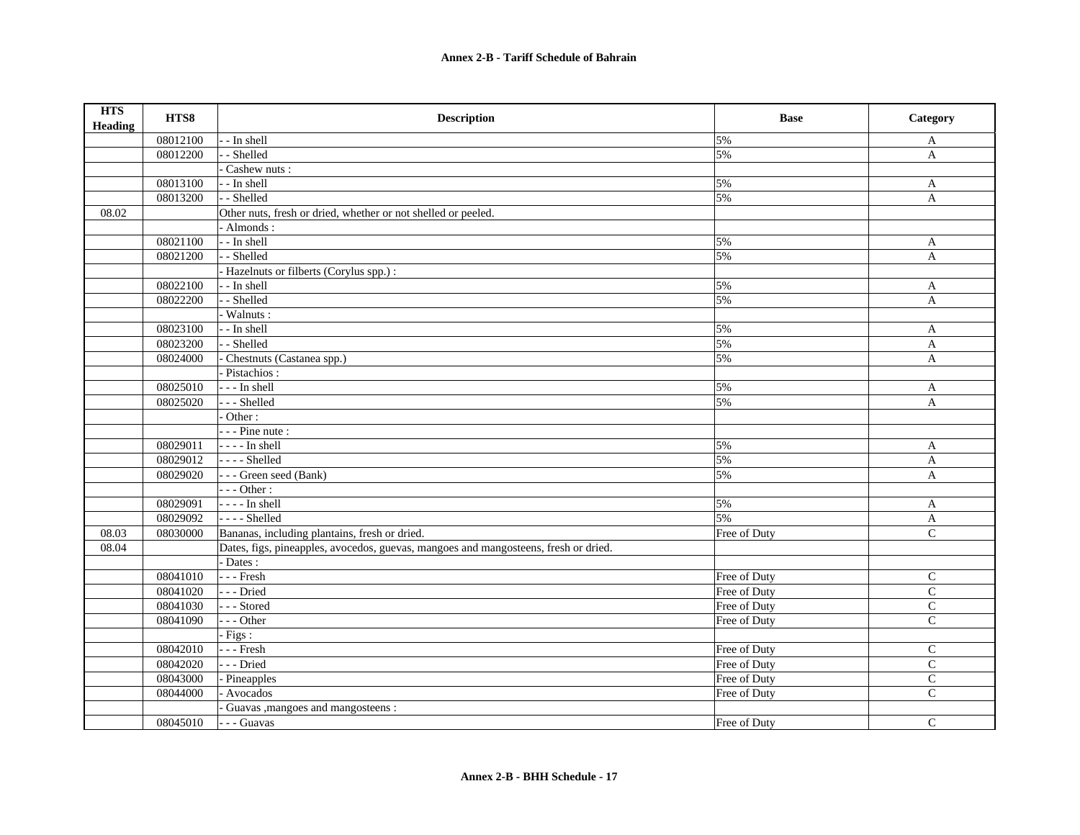| <b>HTS</b><br><b>Heading</b> | HTS8     | <b>Description</b>                                                                  | <b>Base</b>  | Category     |
|------------------------------|----------|-------------------------------------------------------------------------------------|--------------|--------------|
|                              | 08012100 | - In shell                                                                          | 5%           | A            |
|                              | 08012200 | - Shelled                                                                           | 5%           | A            |
|                              |          | Cashew nuts:                                                                        |              |              |
|                              | 08013100 | - - In shell                                                                        | 5%           | A            |
|                              | 08013200 | - Shelled                                                                           | 5%           | A            |
| 08.02                        |          | Other nuts, fresh or dried, whether or not shelled or peeled.                       |              |              |
|                              |          | - Almonds:                                                                          |              |              |
|                              | 08021100 | - In shell                                                                          | 5%           | $\mathbf{A}$ |
|                              | 08021200 | - Shelled                                                                           | 5%           | $\mathbf{A}$ |
|                              |          | Hazelnuts or filberts (Corylus spp.) :                                              |              |              |
|                              | 08022100 | - - In shell                                                                        | 5%           | A            |
|                              | 08022200 | - Shelled                                                                           | 5%           | $\mathbf{A}$ |
|                              |          | Walnuts:                                                                            |              |              |
|                              | 08023100 | - In shell                                                                          | 5%           | $\mathbf{A}$ |
|                              | 08023200 | - Shelled                                                                           | 5%           | $\mathbf{A}$ |
|                              | 08024000 | Chestnuts (Castanea spp.)                                                           | 5%           | $\mathbf{A}$ |
|                              |          | Pistachios:                                                                         |              |              |
|                              | 08025010 | - - - In shell                                                                      | 5%           | A            |
|                              | 08025020 | - - - Shelled                                                                       | 5%           | A            |
|                              |          | Other:                                                                              |              |              |
|                              |          | $-$ - Pine nute :                                                                   |              |              |
|                              | 08029011 | $--- In shell$                                                                      | 5%           | A            |
|                              | 08029012 | $---$ Shelled                                                                       | 5%           | A            |
|                              | 08029020 | --- Green seed (Bank)                                                               | 5%           | A            |
|                              |          | $---Other:$                                                                         |              |              |
|                              | 08029091 | $--- In shell$                                                                      | 5%           | A            |
|                              | 08029092 | $---$ Shelled                                                                       | 5%           | $\mathbf{A}$ |
| 08.03                        | 08030000 | Bananas, including plantains, fresh or dried.                                       | Free of Duty | ${\bf C}$    |
| 08.04                        |          | Dates, figs, pineapples, avocedos, guevas, mangoes and mangosteens, fresh or dried. |              |              |
|                              |          | - Dates :                                                                           |              |              |
|                              | 08041010 | $- -$ Fresh                                                                         | Free of Duty | $\mathsf{C}$ |
|                              | 08041020 | --- Dried                                                                           | Free of Duty | $\mathbf C$  |
|                              | 08041030 | --- Stored                                                                          | Free of Duty | $\mathbf C$  |
|                              | 08041090 | --- Other                                                                           | Free of Duty | $\mathsf{C}$ |
|                              |          | $-Figs:$                                                                            |              |              |
|                              | 08042010 | $- -$ Fresh                                                                         | Free of Duty | $\mathbf C$  |
|                              | 08042020 | --- Dried                                                                           | Free of Duty | $\mathbf C$  |
|                              | 08043000 | Pineapples                                                                          | Free of Duty | $\mathbf C$  |
|                              | 08044000 | Avocados                                                                            | Free of Duty | $\mathbf C$  |
|                              |          | Guavas , mangoes and mangosteens :                                                  |              |              |
|                              | 08045010 | - - - Guavas                                                                        | Free of Duty | $\mathsf{C}$ |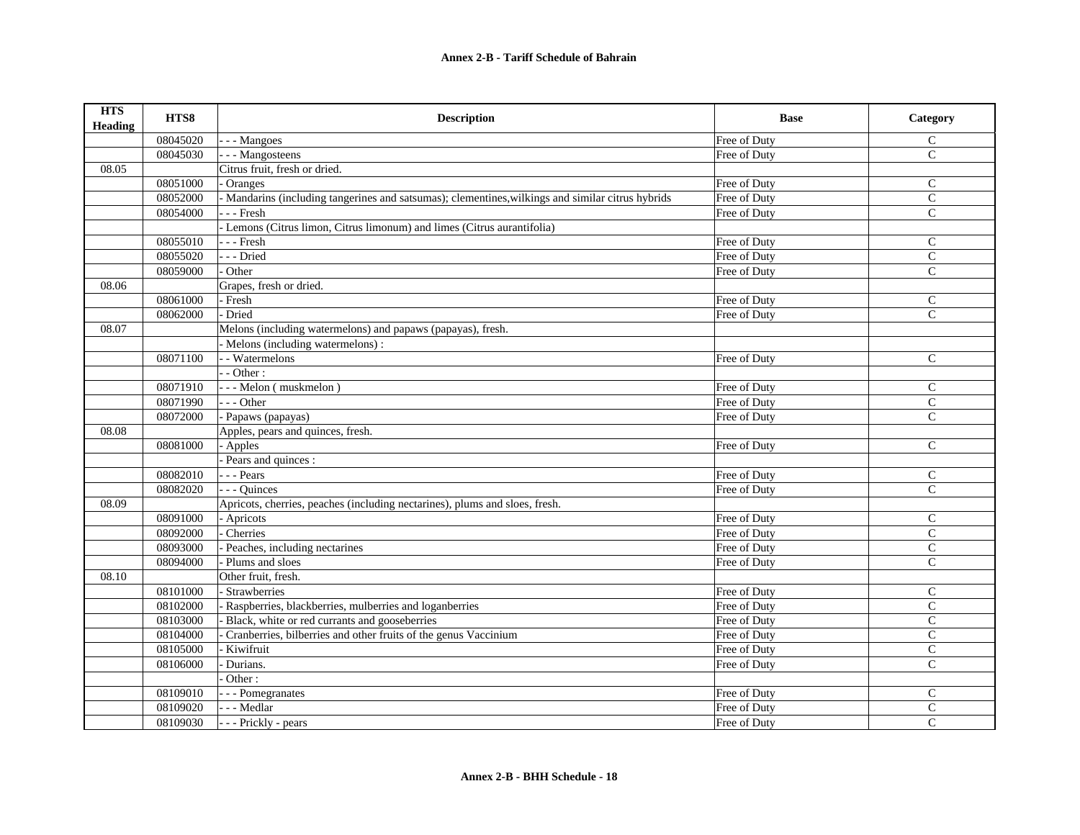| <b>HTS</b><br><b>Heading</b> | HTS8     | <b>Description</b>                                                                                | <b>Base</b>  | Category       |
|------------------------------|----------|---------------------------------------------------------------------------------------------------|--------------|----------------|
|                              | 08045020 | - - - Mangoes                                                                                     | Free of Duty | $\mathsf{C}$   |
|                              | 08045030 | - - - Mangosteens                                                                                 | Free of Duty | $\mathcal{C}$  |
| 08.05                        |          | Citrus fruit, fresh or dried.                                                                     |              |                |
|                              | 08051000 | Oranges                                                                                           | Free of Duty | $\mathsf{C}$   |
|                              | 08052000 | - Mandarins (including tangerines and satsumas); clementines, wilkings and similar citrus hybrids | Free of Duty | $\mathsf{C}$   |
|                              | 08054000 | $-$ - Fresh                                                                                       | Free of Duty | $\mathcal{C}$  |
|                              |          | - Lemons (Citrus limon, Citrus limonum) and limes (Citrus aurantifolia)                           |              |                |
|                              | 08055010 | --- Fresh                                                                                         | Free of Duty | $\mathsf{C}$   |
|                              | 08055020 | --- Dried                                                                                         | Free of Duty | $\mathsf{C}$   |
|                              | 08059000 | Other                                                                                             | Free of Duty | $\mathsf{C}$   |
| 08.06                        |          | Grapes, fresh or dried.                                                                           |              |                |
|                              | 08061000 | - Fresh                                                                                           | Free of Duty | $\mathcal{C}$  |
|                              | 08062000 | Dried                                                                                             | Free of Duty | $\mathsf{C}$   |
| 08.07                        |          | Melons (including watermelons) and papaws (papayas), fresh.                                       |              |                |
|                              |          | - Melons (including watermelons):                                                                 |              |                |
|                              | 08071100 | - - Watermelons                                                                                   | Free of Duty | $\mathsf{C}$   |
|                              |          | $-$ Other :                                                                                       |              |                |
|                              | 08071910 | --- Melon (muskmelon)                                                                             | Free of Duty | $\mathcal{C}$  |
|                              | 08071990 | $--$ Other                                                                                        | Free of Duty | $\mathcal{C}$  |
|                              | 08072000 | - Papaws (papayas)                                                                                | Free of Duty | $\mathbf C$    |
| 08.08                        |          | Apples, pears and quinces, fresh.                                                                 |              |                |
|                              | 08081000 | - Apples                                                                                          | Free of Duty | $\mathcal{C}$  |
|                              |          | Pears and quinces :                                                                               |              |                |
|                              | 08082010 | $-$ - Pears                                                                                       | Free of Duty | $\mathbf C$    |
|                              | 08082020 | - - Quinces                                                                                       | Free of Duty | $\mathsf{C}$   |
| 08.09                        |          | Apricots, cherries, peaches (including nectarines), plums and sloes, fresh.                       |              |                |
|                              | 08091000 | - Apricots                                                                                        | Free of Duty | $\mathsf{C}$   |
|                              | 08092000 | Cherries                                                                                          | Free of Duty | $\mathsf{C}$   |
|                              | 08093000 | Peaches, including nectarines                                                                     | Free of Duty | $\mathsf{C}$   |
|                              | 08094000 | Plums and sloes                                                                                   | Free of Duty | $\mathcal{C}$  |
| 08.10                        |          | Other fruit, fresh.                                                                               |              |                |
|                              | 08101000 | Strawberries                                                                                      | Free of Duty | $\mathsf{C}$   |
|                              | 08102000 | Raspberries, blackberries, mulberries and loganberries                                            | Free of Duty | $\mathsf{C}$   |
|                              | 08103000 | Black, white or red currants and gooseberries                                                     | Free of Duty | $\mathcal{C}$  |
|                              | 08104000 | Cranberries, bilberries and other fruits of the genus Vaccinium                                   | Free of Duty | $\mathbf C$    |
|                              | 08105000 | Kiwifruit                                                                                         | Free of Duty | $\mathbf C$    |
|                              | 08106000 | Durians.                                                                                          | Free of Duty | $\mathsf{C}$   |
|                              |          | Other:                                                                                            |              |                |
|                              | 08109010 | - - Pomegranates                                                                                  | Free of Duty | $\mathsf{C}$   |
|                              | 08109020 | - - Medlar                                                                                        | Free of Duty | $\mathbf C$    |
|                              | 08109030 | - - - Prickly - pears                                                                             | Free of Duty | $\overline{C}$ |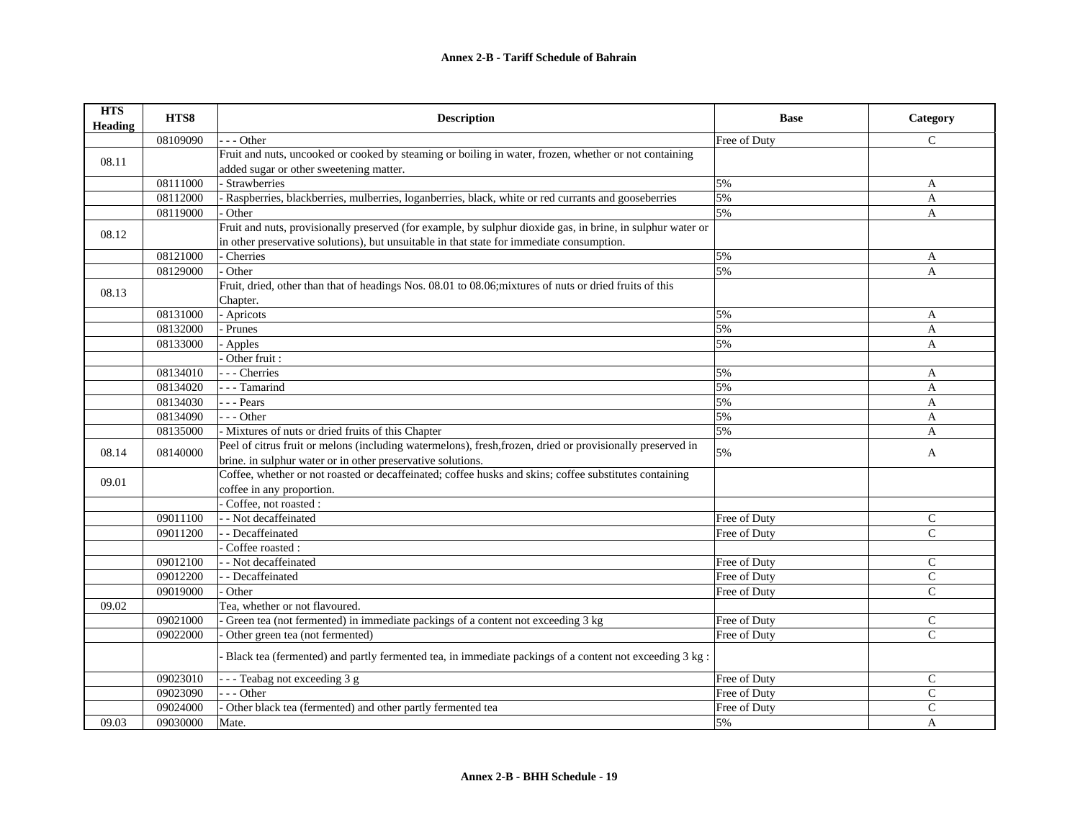| <b>HTS</b><br>Heading | HTS8     | <b>Description</b>                                                                                          | <b>Base</b>  | Category      |
|-----------------------|----------|-------------------------------------------------------------------------------------------------------------|--------------|---------------|
|                       | 08109090 | - - Other                                                                                                   | Free of Duty | $\mathsf{C}$  |
| 08.11                 |          | Fruit and nuts, uncooked or cooked by steaming or boiling in water, frozen, whether or not containing       |              |               |
|                       |          | added sugar or other sweetening matter.                                                                     |              |               |
|                       | 08111000 | Strawberries                                                                                                | 5%           | A             |
|                       | 08112000 | - Raspberries, blackberries, mulberries, loganberries, black, white or red currants and gooseberries        | 5%           | A             |
|                       | 08119000 | Other                                                                                                       | 5%           | A             |
| 08.12                 |          | Fruit and nuts, provisionally preserved (for example, by sulphur dioxide gas, in brine, in sulphur water or |              |               |
|                       |          | in other preservative solutions), but unsuitable in that state for immediate consumption.                   |              |               |
|                       | 08121000 | Cherries                                                                                                    | 5%           | A             |
|                       | 08129000 | Other                                                                                                       | 5%           | A             |
| 08.13                 |          | Fruit, dried, other than that of headings Nos. 08.01 to 08.06; mixtures of nuts or dried fruits of this     |              |               |
|                       |          | Chapter.                                                                                                    |              |               |
|                       | 08131000 | - Apricots                                                                                                  | 5%           | A             |
|                       | 08132000 | Prunes                                                                                                      | 5%           | A             |
|                       | 08133000 | Apples                                                                                                      | 5%           | A             |
|                       |          | Other fruit:                                                                                                |              |               |
|                       | 08134010 | - - Cherries                                                                                                | 5%           | A             |
|                       | 08134020 | - - Tamarind                                                                                                | 5%           | A             |
|                       | 08134030 | - - - Pears                                                                                                 | 5%           | A             |
|                       | 08134090 | - - Other                                                                                                   | 5%           | A             |
|                       | 08135000 | - Mixtures of nuts or dried fruits of this Chapter                                                          | 5%           | A             |
| 08.14                 | 08140000 | Peel of citrus fruit or melons (including watermelons), fresh, frozen, dried or provisionally preserved in  | 5%           | $\mathbf{A}$  |
|                       |          | brine. in sulphur water or in other preservative solutions.                                                 |              |               |
| 09.01                 |          | Coffee, whether or not roasted or decaffeinated; coffee husks and skins; coffee substitutes containing      |              |               |
|                       |          | coffee in any proportion.                                                                                   |              |               |
|                       |          | Coffee, not roasted :                                                                                       |              |               |
|                       | 09011100 | - Not decaffeinated                                                                                         | Free of Duty | $\mathsf{C}$  |
|                       | 09011200 | - Decaffeinated                                                                                             | Free of Duty | $\mathcal{C}$ |
|                       |          | Coffee roasted:                                                                                             |              |               |
|                       | 09012100 | - Not decaffeinated                                                                                         | Free of Duty | $\mathsf{C}$  |
|                       | 09012200 | - Decaffeinated                                                                                             | Free of Duty | $\mathcal{C}$ |
|                       | 09019000 | Other                                                                                                       | Free of Duty | $\mathcal{C}$ |
| 09.02                 |          | Tea, whether or not flavoured.                                                                              |              |               |
|                       | 09021000 | Green tea (not fermented) in immediate packings of a content not exceeding 3 kg                             | Free of Duty | $\mathsf{C}$  |
|                       | 09022000 | Other green tea (not fermented)                                                                             | Free of Duty | $\mathsf{C}$  |
|                       |          | Black tea (fermented) and partly fermented tea, in immediate packings of a content not exceeding 3 kg:      |              |               |
|                       | 09023010 | -- Teabag not exceeding 3 g                                                                                 | Free of Duty | $\mathcal{C}$ |
|                       | 09023090 | $-$ - Other                                                                                                 | Free of Duty | $\mathsf{C}$  |
|                       | 09024000 | Other black tea (fermented) and other partly fermented tea                                                  | Free of Duty | $\mathbf C$   |
| 09.03                 | 09030000 | Mate.                                                                                                       | 5%           | A             |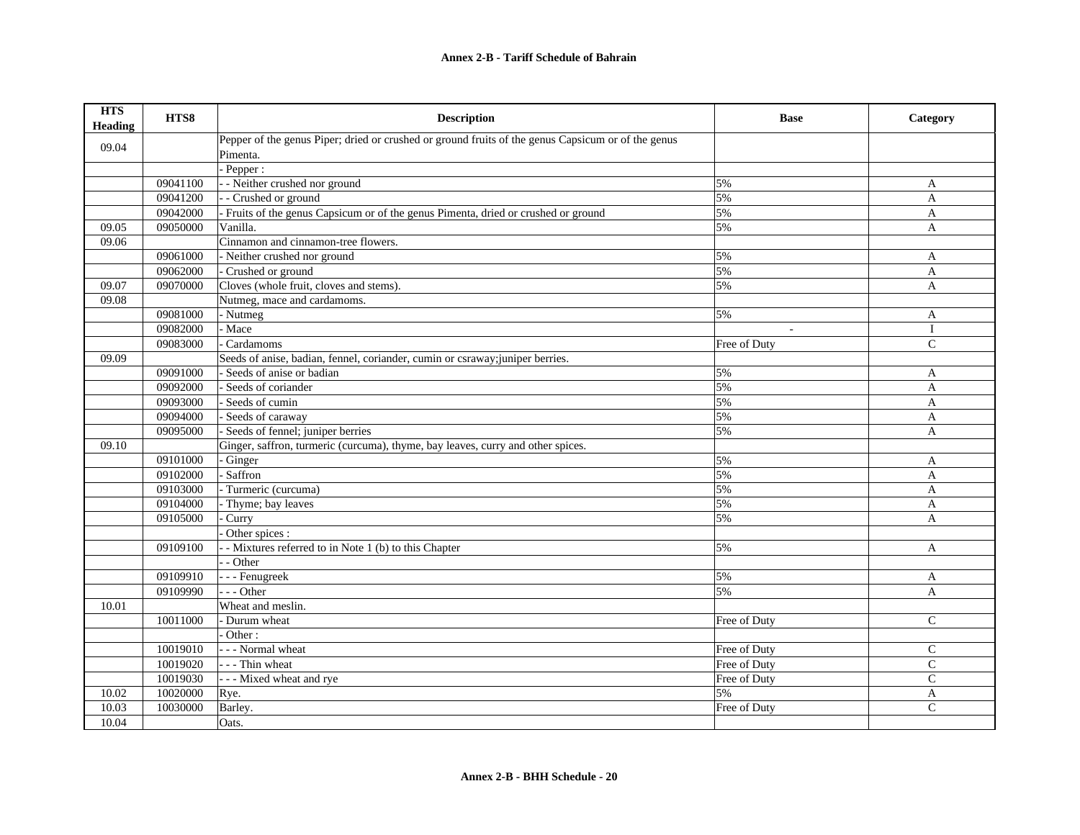| <b>HTS</b><br><b>Heading</b> | HTS8     | <b>Description</b>                                                                                 | <b>Base</b>  | Category       |
|------------------------------|----------|----------------------------------------------------------------------------------------------------|--------------|----------------|
| 09.04                        |          | Pepper of the genus Piper; dried or crushed or ground fruits of the genus Capsicum or of the genus |              |                |
|                              |          | Pimenta.                                                                                           |              |                |
|                              |          | Pepper:                                                                                            |              |                |
|                              | 09041100 | - - Neither crushed nor ground                                                                     | 5%           | A              |
|                              | 09041200 | - - Crushed or ground                                                                              | 5%           | $\overline{A}$ |
|                              | 09042000 | - Fruits of the genus Capsicum or of the genus Pimenta, dried or crushed or ground                 | 5%           | A              |
| 09.05                        | 09050000 | Vanilla.                                                                                           | 5%           | A              |
| 09.06                        |          | Cinnamon and cinnamon-tree flowers.                                                                |              |                |
|                              | 09061000 | - Neither crushed nor ground                                                                       | 5%           | A              |
|                              | 09062000 | - Crushed or ground                                                                                | 5%           | A              |
| 09.07                        | 09070000 | Cloves (whole fruit, cloves and stems).                                                            | 5%           | $\overline{A}$ |
| 09.08                        |          | Nutmeg, mace and cardamoms.                                                                        |              |                |
|                              | 09081000 | - Nutmeg                                                                                           | 5%           | A              |
|                              | 09082000 | - Mace                                                                                             |              | $\mathbf{I}$   |
|                              | 09083000 | Cardamoms                                                                                          | Free of Duty | $\mathsf{C}$   |
| 09.09                        |          | Seeds of anise, badian, fennel, coriander, cumin or csraway; juniper berries.                      |              |                |
|                              | 09091000 | - Seeds of anise or badian                                                                         | 5%           | A              |
|                              | 09092000 | - Seeds of coriander                                                                               | 5%           | $\mathbf{A}$   |
|                              | 09093000 | Seeds of cumin                                                                                     | 5%           | A              |
|                              | 09094000 | - Seeds of caraway                                                                                 | 5%           | $\overline{A}$ |
|                              | 09095000 | Seeds of fennel; juniper berries                                                                   | 5%           | $\mathbf{A}$   |
| 09.10                        |          | Ginger, saffron, turmeric (curcuma), thyme, bay leaves, curry and other spices.                    |              |                |
|                              | 09101000 | Ginger                                                                                             | 5%           | A              |
|                              | 09102000 | - Saffron                                                                                          | 5%           | A              |
|                              | 09103000 | - Turmeric (curcuma)                                                                               | 5%           | A              |
|                              | 09104000 | Thyme; bay leaves                                                                                  | 5%           | A              |
|                              | 09105000 | Curry                                                                                              | 5%           | A              |
|                              |          | Other spices :                                                                                     |              |                |
|                              | 09109100 | - Mixtures referred to in Note 1 (b) to this Chapter                                               | 5%           | $\overline{A}$ |
|                              |          | - Other                                                                                            |              |                |
|                              | 09109910 | - - - Fenugreek                                                                                    | 5%           | A              |
|                              | 09109990 | $- -$ Other                                                                                        | 5%           | $\mathbf{A}$   |
| 10.01                        |          | Wheat and meslin.                                                                                  |              |                |
|                              | 10011000 | - Durum wheat                                                                                      | Free of Duty | $\mathsf{C}$   |
|                              |          | Other:                                                                                             |              |                |
|                              | 10019010 | - - - Normal wheat                                                                                 | Free of Duty | $\mathsf{C}$   |
|                              | 10019020 | - - - Thin wheat                                                                                   | Free of Duty | $\mathsf{C}$   |
|                              | 10019030 | --- Mixed wheat and rye                                                                            | Free of Duty | $\mathsf{C}$   |
| 10.02                        | 10020000 | Rye.                                                                                               | 5%           | A              |
| 10.03                        | 10030000 | Barley.                                                                                            | Free of Duty | $\mathsf{C}$   |
| 10.04                        |          | Oats.                                                                                              |              |                |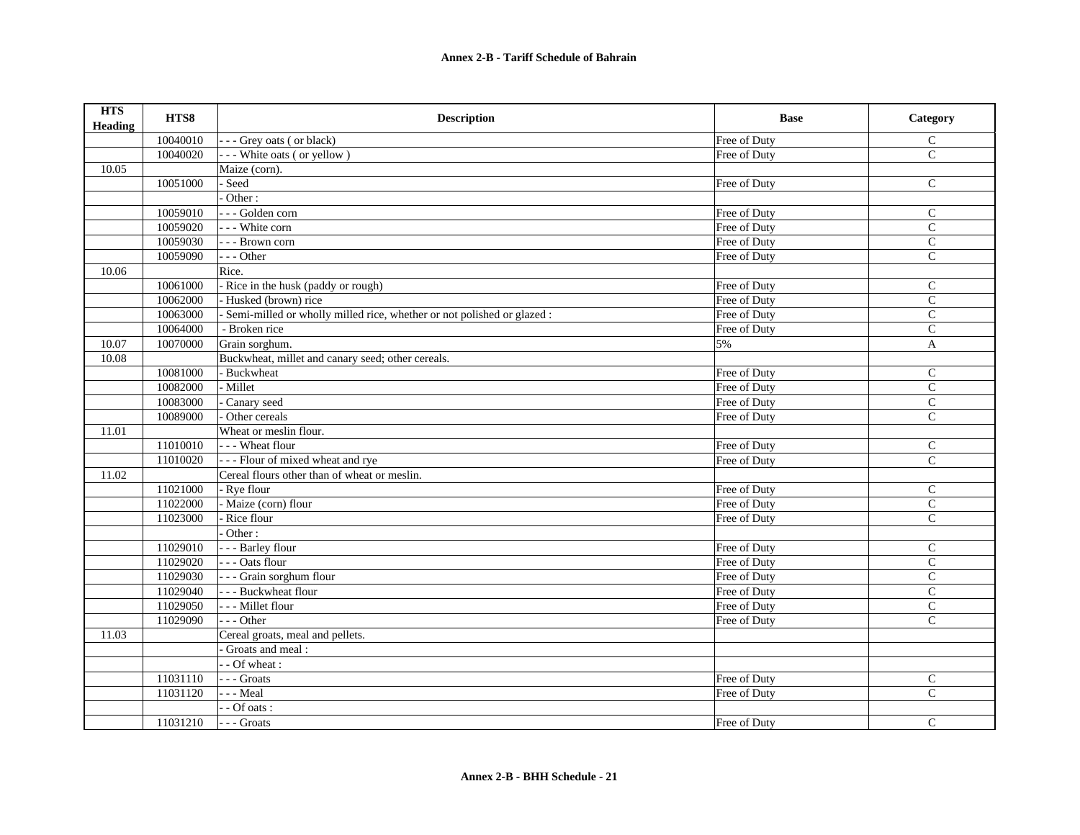| <b>HTS</b><br><b>Heading</b> | HTS8     | <b>Description</b>                                                       | <b>Base</b>  | Category       |
|------------------------------|----------|--------------------------------------------------------------------------|--------------|----------------|
|                              | 10040010 | --- Grey oats (or black)                                                 | Free of Duty | $\mathsf{C}$   |
|                              | 10040020 | --- White oats (or yellow)                                               | Free of Duty | $\mathsf{C}$   |
| 10.05                        |          | Maize (corn).                                                            |              |                |
|                              | 10051000 | - Seed                                                                   | Free of Duty | $\mathsf{C}$   |
|                              |          | Other:                                                                   |              |                |
|                              | 10059010 | --- Golden corn                                                          | Free of Duty | $\mathcal{C}$  |
|                              | 10059020 | --- White corn                                                           | Free of Duty | $\mathsf{C}$   |
|                              | 10059030 | - - - Brown corn                                                         | Free of Duty | $\mathbf C$    |
|                              | 10059090 | $--$ Other                                                               | Free of Duty | $\mathsf{C}$   |
| 10.06                        |          | Rice.                                                                    |              |                |
|                              | 10061000 | - Rice in the husk (paddy or rough)                                      | Free of Duty | $\mathsf{C}$   |
|                              | 10062000 | - Husked (brown) rice                                                    | Free of Duty | $\mathbf C$    |
|                              | 10063000 | - Semi-milled or wholly milled rice, whether or not polished or glazed : | Free of Duty | $\mathbf C$    |
|                              | 10064000 | - Broken rice                                                            | Free of Duty | $\mathbf C$    |
| 10.07                        | 10070000 | Grain sorghum.                                                           | 5%           | $\mathbf{A}$   |
| 10.08                        |          | Buckwheat, millet and canary seed; other cereals.                        |              |                |
|                              | 10081000 | - Buckwheat                                                              | Free of Duty | $\mathsf{C}$   |
|                              | 10082000 | - Millet                                                                 | Free of Duty | $\mathsf{C}$   |
|                              | 10083000 | Canary seed                                                              | Free of Duty | $\mathsf{C}$   |
|                              | 10089000 | Other cereals                                                            | Free of Duty | $\overline{C}$ |
| 11.01                        |          | Wheat or meslin flour.                                                   |              |                |
|                              | 11010010 | --- Wheat flour                                                          | Free of Duty | $\mathsf{C}$   |
|                              | 11010020 | --- Flour of mixed wheat and rye                                         | Free of Duty | $\mathsf{C}$   |
| 11.02                        |          | Cereal flours other than of wheat or meslin.                             |              |                |
|                              | 11021000 | - Rye flour                                                              | Free of Duty | $\mathsf{C}$   |
|                              | 11022000 | - Maize (corn) flour                                                     | Free of Duty | $\mathbf C$    |
|                              | 11023000 | Rice flour                                                               | Free of Duty | $\mathbf C$    |
|                              |          | Other:                                                                   |              |                |
|                              | 11029010 | - - - Barley flour                                                       | Free of Duty | $\mathcal{C}$  |
|                              | 11029020 | --- Oats flour                                                           | Free of Duty | $\mathsf{C}$   |
|                              | 11029030 | - - - Grain sorghum flour                                                | Free of Duty | $\mathsf{C}$   |
|                              | 11029040 | - - - Buckwheat flour                                                    | Free of Duty | $\mathsf{C}$   |
|                              | 11029050 | - - - Millet flour                                                       | Free of Duty | $\mathsf{C}$   |
|                              | 11029090 | $--$ Other                                                               | Free of Duty | $\mathcal{C}$  |
| 11.03                        |          | Cereal groats, meal and pellets.                                         |              |                |
|                              |          | Groats and meal:                                                         |              |                |
|                              |          | - - Of wheat :                                                           |              |                |
|                              | 11031110 | --- Groats                                                               | Free of Duty | $\mathsf{C}$   |
|                              | 11031120 | $- -$ Meal                                                               | Free of Duty | $\mathsf{C}$   |
|                              |          | - - Of oats :                                                            |              |                |
|                              | 11031210 | --- Groats                                                               | Free of Duty | $\mathsf{C}$   |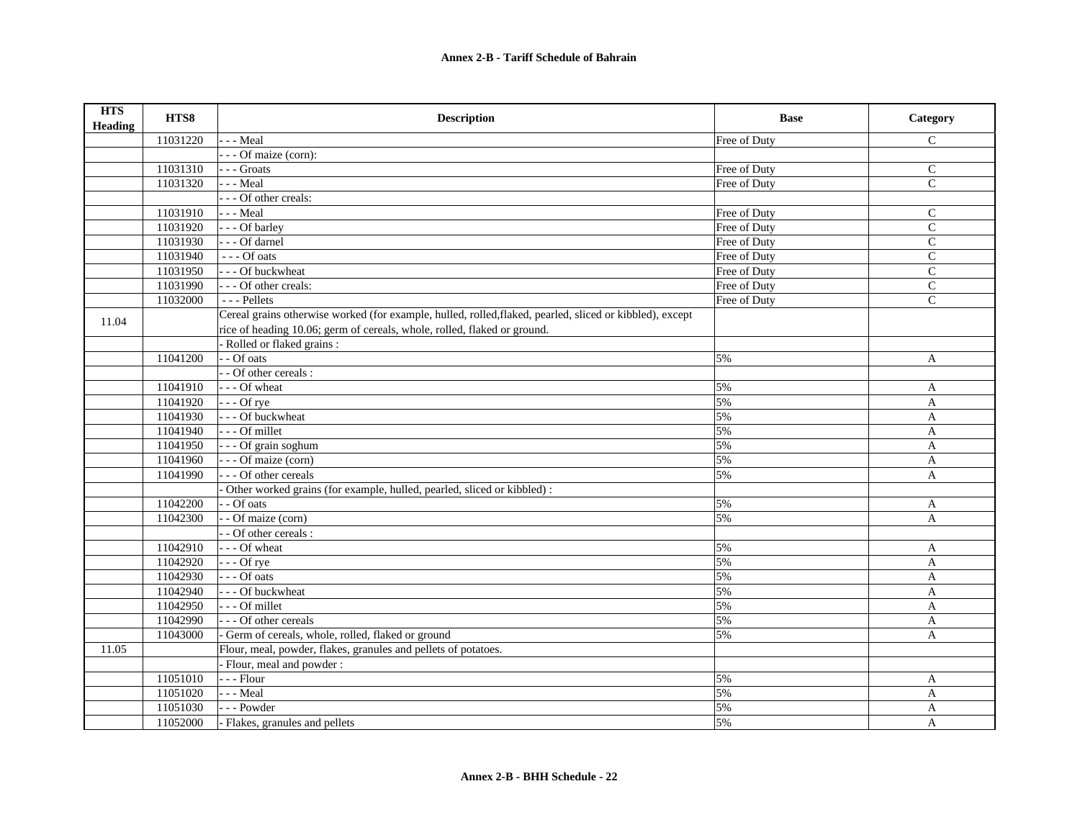| <b>HTS</b><br><b>Heading</b> | HTS8     | <b>Description</b>                                                                                       | <b>Base</b>  | Category      |
|------------------------------|----------|----------------------------------------------------------------------------------------------------------|--------------|---------------|
|                              | 11031220 | - - - Meal                                                                                               | Free of Duty | $\mathsf{C}$  |
|                              |          | - - - Of maize (corn):                                                                                   |              |               |
|                              | 11031310 | $\overline{\ }$ - $\overline{\ }$ - Groats                                                               | Free of Duty | $\mathsf{C}$  |
|                              | 11031320 | - - - Meal                                                                                               | Free of Duty | $\mathsf{C}$  |
|                              |          | --- Of other creals:                                                                                     |              |               |
|                              | 11031910 | - - - Meal                                                                                               | Free of Duty | $\mathcal{C}$ |
|                              | 11031920 | --- Of barley                                                                                            | Free of Duty | $\mathsf{C}$  |
|                              | 11031930 | --- Of darnel                                                                                            | Free of Duty | $\mathsf{C}$  |
|                              | 11031940 | $---$ Of oats                                                                                            | Free of Duty | $\mathsf{C}$  |
|                              | 11031950 | --- Of buckwheat                                                                                         | Free of Duty | $\mathcal{C}$ |
|                              | 11031990 | --- Of other creals:                                                                                     | Free of Duty | $\mathsf{C}$  |
|                              | 11032000 | $\overline{\phantom{a}}$ - Pellets                                                                       | Free of Duty | $\mathbf C$   |
| 11.04                        |          | Cereal grains otherwise worked (for example, hulled, rolled, flaked, pearled, sliced or kibbled), except |              |               |
|                              |          | rice of heading 10.06; germ of cereals, whole, rolled, flaked or ground.                                 |              |               |
|                              |          | Rolled or flaked grains :                                                                                |              |               |
|                              | 11041200 | - - Of oats                                                                                              | 5%           | A             |
|                              |          | - Of other cereals :                                                                                     |              |               |
|                              | 11041910 | $\vert$ --Of wheat                                                                                       | 5%           | A             |
|                              | 11041920 | $\left  - -$ Of rye                                                                                      | 5%           | A             |
|                              | 11041930 | - - - Of buckwheat                                                                                       | 5%           | $\mathbf{A}$  |
|                              | 11041940 | --- Of millet                                                                                            | 5%           | $\mathbf{A}$  |
|                              | 11041950 | - - - Of grain soghum                                                                                    | 5%           | $\mathbf{A}$  |
|                              | 11041960 | --- Of maize (corn)                                                                                      | 5%           | A             |
|                              | 11041990 | - - - Of other cereals                                                                                   | 5%           | A             |
|                              |          | Other worked grains (for example, hulled, pearled, sliced or kibbled):                                   |              |               |
|                              | 11042200 | - - Of oats                                                                                              | 5%           | A             |
|                              | 11042300 | - Of maize (corn)                                                                                        | 5%           | $\mathbf{A}$  |
|                              |          | - - Of other cereals :                                                                                   |              |               |
|                              | 11042910 | --- Of wheat                                                                                             | 5%           | A             |
|                              | 11042920 | $- -$ Of rye                                                                                             | 5%           | A             |
|                              | 11042930 | $--$ Of oats                                                                                             | 5%           | $\mathbf{A}$  |
|                              | 11042940 | --- Of buckwheat                                                                                         | 5%           | A             |
|                              | 11042950 | --- Of millet                                                                                            | 5%           | $\mathbf{A}$  |
|                              | 11042990 | - - - Of other cereals                                                                                   | 5%           | A             |
|                              | 11043000 | - Germ of cereals, whole, rolled, flaked or ground                                                       | 5%           | A             |
| 11.05                        |          | Flour, meal, powder, flakes, granules and pellets of potatoes.                                           |              |               |
|                              |          | - Flour, meal and powder:                                                                                |              |               |
|                              | 11051010 | - - - Flour                                                                                              | 5%           | A             |
|                              | 11051020 | $- -$ Meal                                                                                               | 5%           | A             |
|                              | 11051030 | --- Powder                                                                                               | 5%           | $\mathbf{A}$  |
|                              | 11052000 | - Flakes, granules and pellets                                                                           | 5%           | A             |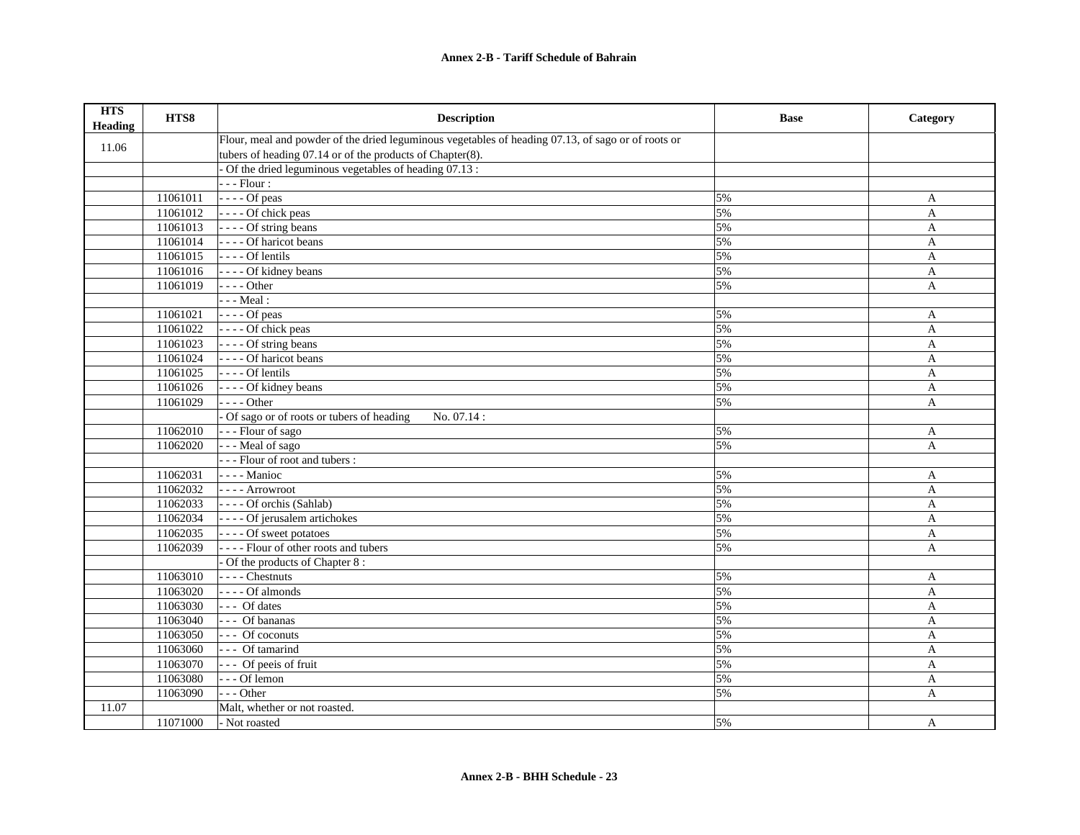| <b>HTS</b><br><b>Heading</b> | HTS8     | <b>Description</b>                                                                                 | <b>Base</b> | Category     |
|------------------------------|----------|----------------------------------------------------------------------------------------------------|-------------|--------------|
| 11.06                        |          | Flour, meal and powder of the dried leguminous vegetables of heading 07.13, of sago or of roots or |             |              |
|                              |          | tubers of heading 07.14 or of the products of Chapter(8).                                          |             |              |
|                              |          | Of the dried leguminous vegetables of heading 07.13 :                                              |             |              |
|                              |          | $- -$ Flour :                                                                                      |             |              |
|                              | 11061011 | $---$ Of peas                                                                                      | 5%          | A            |
|                              | 11061012 | - - - - Of chick peas                                                                              | 5%          | A            |
|                              | 11061013 | ---- Of string beans                                                                               | 5%          | A            |
|                              | 11061014 | - - - - Of haricot beans                                                                           | 5%          | A            |
|                              | 11061015 | $---$ Of lentils                                                                                   | 5%          | $\mathbf{A}$ |
|                              | 11061016 | - - - - Of kidney beans                                                                            | 5%          | $\mathbf{A}$ |
|                              | 11061019 | $---Other$                                                                                         | 5%          | $\mathbf{A}$ |
|                              |          | $- -$ Meal :                                                                                       |             |              |
|                              | 11061021 | $---$ Of peas                                                                                      | 5%          | A            |
|                              | 11061022 | - - - - Of chick peas                                                                              | 5%          | $\mathbf{A}$ |
|                              | 11061023 | ---- Of string beans                                                                               | 5%          | $\mathbf{A}$ |
|                              | 11061024 | - - - - Of haricot beans                                                                           | 5%          | A            |
|                              | 11061025 | $---$ Of lentils                                                                                   | 5%          | A            |
|                              | 11061026 | - - - - Of kidney beans                                                                            | 5%          | A            |
|                              | 11061029 | $--- Other$                                                                                        | 5%          | A            |
|                              |          | Of sago or of roots or tubers of heading<br>No. 07.14:                                             |             |              |
|                              | 11062010 | --- Flour of sago                                                                                  | 5%          | A            |
|                              | 11062020 | - - - Meal of sago                                                                                 | 5%          | A            |
|                              |          | --- Flour of root and tubers :                                                                     |             |              |
|                              | 11062031 | - - - - Manioc                                                                                     | 5%          | A            |
|                              | 11062032 | - - - - Arrowroot                                                                                  | 5%          | A            |
|                              | 11062033 | ---- Of orchis (Sahlab)                                                                            | 5%          | A            |
|                              | 11062034 | ---- Of jerusalem artichokes                                                                       | 5%          | A            |
|                              | 11062035 | ---- Of sweet potatoes                                                                             | 5%          | A            |
|                              | 11062039 | ---- Flour of other roots and tubers                                                               | 5%          | A            |
|                              |          | - Of the products of Chapter 8:                                                                    |             |              |
|                              | 11063010 | $---$ Chestnuts                                                                                    | 5%          | $\mathbf{A}$ |
|                              | 11063020 | $---$ Of almonds                                                                                   | 5%          | A            |
|                              | 11063030 | $---$ Of dates                                                                                     | 5%          | $\mathbf{A}$ |
|                              | 11063040 | --- Of bananas                                                                                     | 5%          | $\mathbf{A}$ |
|                              | 11063050 | $\overline{\cdot \cdot \cdot}$ Of coconuts                                                         | 5%          | A            |
|                              | 11063060 | --- Of tamarind                                                                                    | 5%          | A            |
|                              | 11063070 | --- Of peeis of fruit                                                                              | 5%          | A            |
|                              | 11063080 | $--$ Of lemon                                                                                      | 5%          | A            |
|                              | 11063090 | $-- Other$                                                                                         | 5%          | A            |
| 11.07                        |          | Malt, whether or not roasted.                                                                      |             |              |
|                              | 11071000 | - Not roasted                                                                                      | 5%          | A            |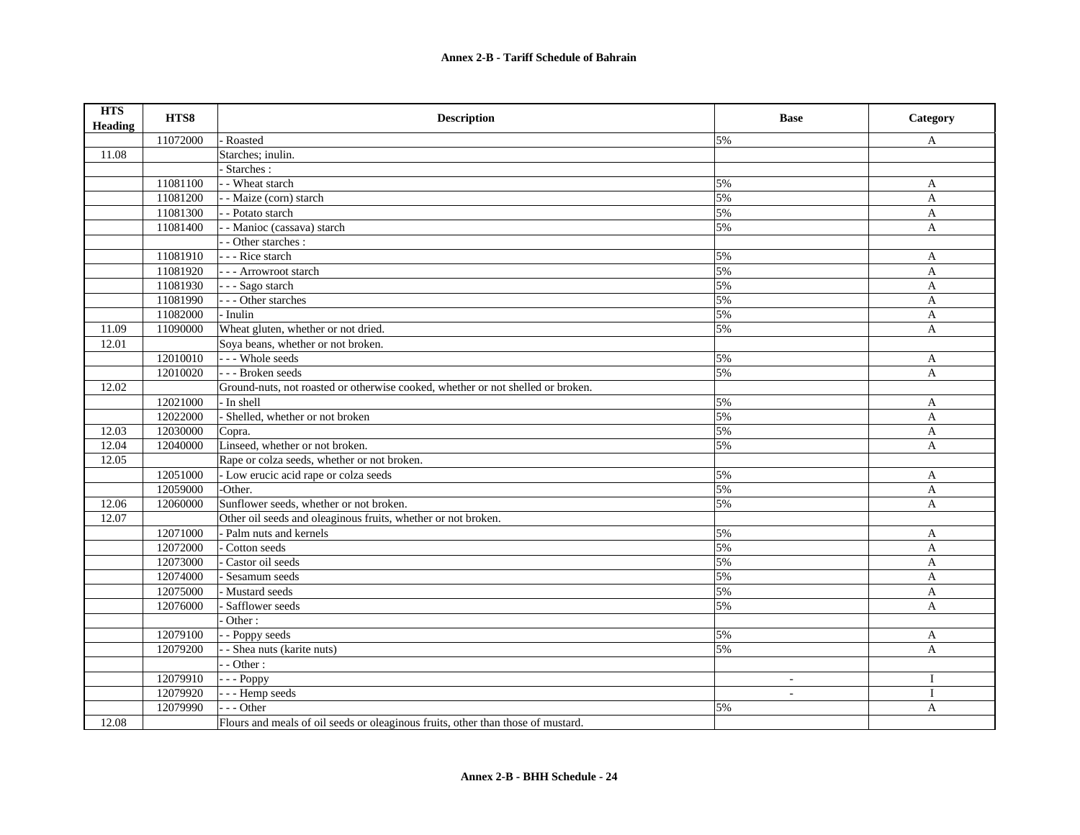| <b>HTS</b><br><b>Heading</b> | HTS8     | <b>Description</b>                                                               | <b>Base</b> | Category     |
|------------------------------|----------|----------------------------------------------------------------------------------|-------------|--------------|
|                              | 11072000 | - Roasted                                                                        | 5%          | A            |
| 11.08                        |          | Starches; inulin.                                                                |             |              |
|                              |          | - Starches :                                                                     |             |              |
|                              | 11081100 | - - Wheat starch                                                                 | 5%          | A            |
|                              | 11081200 | -- Maize (corn) starch                                                           | 5%          | A            |
|                              | 11081300 | - - Potato starch                                                                | 5%          | A            |
|                              | 11081400 | - Manioc (cassava) starch                                                        | 5%          | A            |
|                              |          | - - Other starches :                                                             |             |              |
|                              | 11081910 | - - - Rice starch                                                                | 5%          | A            |
|                              | 11081920 | - - - Arrowroot starch                                                           | 5%          | A            |
|                              | 11081930 | $\overline{\cdot \cdot \cdot$ Sago starch                                        | 5%          | $\mathbf{A}$ |
|                              | 11081990 | --- Other starches                                                               | 5%          | $\mathbf{A}$ |
|                              | 11082000 | - Inulin                                                                         | 5%          | A            |
| 11.09                        | 11090000 | Wheat gluten, whether or not dried.                                              | 5%          | A            |
| 12.01                        |          | Soya beans, whether or not broken.                                               |             |              |
|                              | 12010010 | --- Whole seeds                                                                  | 5%          | A            |
|                              | 12010020 | --- Broken seeds                                                                 | 5%          | $\mathbf{A}$ |
| 12.02                        |          | Ground-nuts, not roasted or otherwise cooked, whether or not shelled or broken.  |             |              |
|                              | 12021000 | - In shell                                                                       | 5%          | A            |
|                              | 12022000 | - Shelled, whether or not broken                                                 | 5%          | A            |
| 12.03                        | 12030000 | Copra.                                                                           | 5%          | A            |
| 12.04                        | 12040000 | Linseed, whether or not broken.                                                  | 5%          | A            |
| 12.05                        |          | Rape or colza seeds, whether or not broken.                                      |             |              |
|                              | 12051000 | - Low erucic acid rape or colza seeds                                            | 5%          | A            |
|                              | 12059000 | -Other.                                                                          | 5%          | A            |
| 12.06                        | 12060000 | Sunflower seeds, whether or not broken.                                          | 5%          | A            |
| 12.07                        |          | Other oil seeds and oleaginous fruits, whether or not broken.                    |             |              |
|                              | 12071000 | - Palm nuts and kernels                                                          | 5%          | A            |
|                              | 12072000 | Cotton seeds                                                                     | 5%          | A            |
|                              | 12073000 | Castor oil seeds                                                                 | 5%          | A            |
|                              | 12074000 | Sesamum seeds                                                                    | 5%          | $\mathbf{A}$ |
|                              | 12075000 | - Mustard seeds                                                                  | 5%          | $\mathbf{A}$ |
|                              | 12076000 | Safflower seeds                                                                  | 5%          | $\mathbf{A}$ |
|                              |          | Other:                                                                           |             |              |
|                              | 12079100 | - Poppy seeds                                                                    | 5%          | A            |
|                              | 12079200 | - Shea nuts (karite nuts)                                                        | 5%          | A            |
|                              |          | $-$ Other :                                                                      |             |              |
|                              | 12079910 | $- -$ Poppy                                                                      | $\sim$      | $\mathbf{I}$ |
|                              | 12079920 | --- Hemp seeds                                                                   | $\sim$      | $\mathbf{I}$ |
|                              | 12079990 | $-- Other$                                                                       | 5%          | A            |
| 12.08                        |          | Flours and meals of oil seeds or oleaginous fruits, other than those of mustard. |             |              |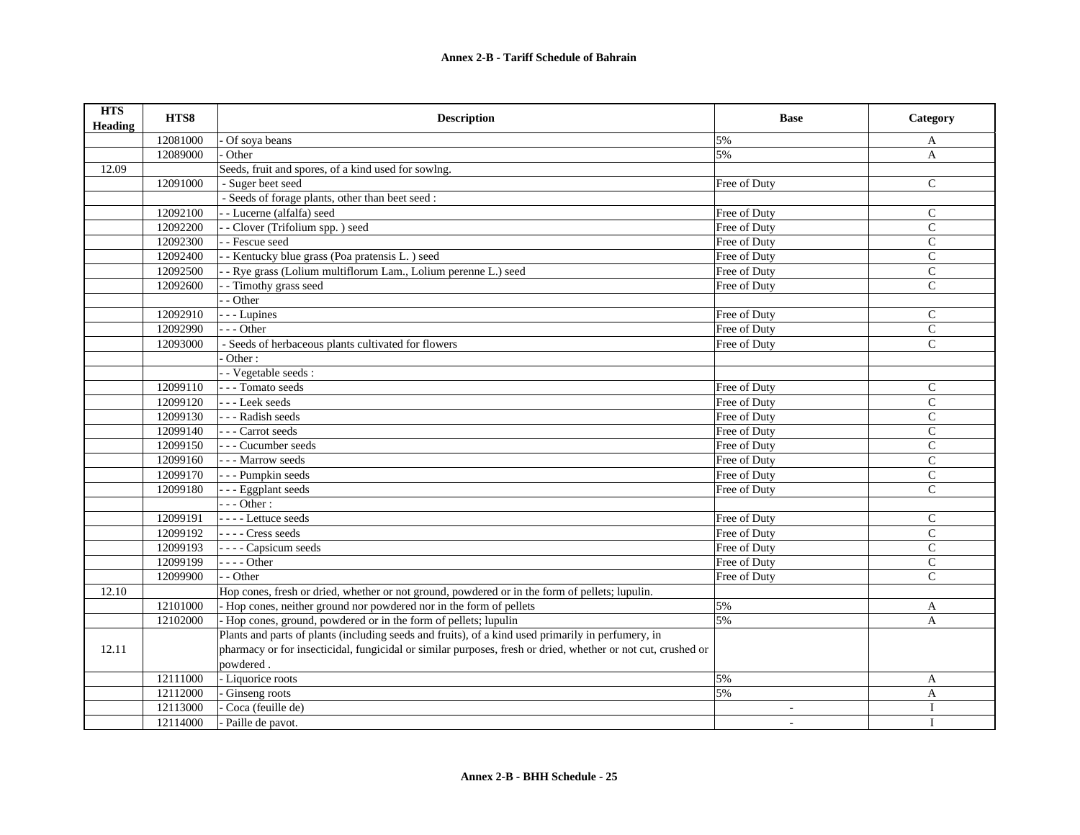| <b>HTS</b><br><b>Heading</b> | HTS8     | <b>Description</b>                                                                                           | <b>Base</b>  | Category       |
|------------------------------|----------|--------------------------------------------------------------------------------------------------------------|--------------|----------------|
|                              | 12081000 | Of soya beans                                                                                                | 5%           | A              |
|                              | 12089000 | Other                                                                                                        | 5%           | $\mathbf{A}$   |
| 12.09                        |          | Seeds, fruit and spores, of a kind used for sowlng.                                                          |              |                |
|                              | 12091000 | - Suger beet seed                                                                                            | Free of Duty | $\mathsf{C}$   |
|                              |          | - Seeds of forage plants, other than beet seed :                                                             |              |                |
|                              | 12092100 | - - Lucerne (alfalfa) seed                                                                                   | Free of Duty | $\mathsf{C}$   |
|                              | 12092200 | - - Clover (Trifolium spp.) seed                                                                             | Free of Duty | $\mathsf{C}$   |
|                              | 12092300 | - - Fescue seed                                                                                              | Free of Duty | $\mathcal{C}$  |
|                              | 12092400 | - - Kentucky blue grass (Poa pratensis L.) seed                                                              | Free of Duty | C              |
|                              | 12092500 | - Rye grass (Lolium multiflorum Lam., Lolium perenne L.) seed                                                | Free of Duty | $\mathbf C$    |
|                              | 12092600 | - - Timothy grass seed                                                                                       | Free of Duty | $\overline{C}$ |
|                              |          | - - Other                                                                                                    |              |                |
|                              | 12092910 | - - - Lupines                                                                                                | Free of Duty | $\mathsf{C}$   |
|                              | 12092990 | $- -$ Other                                                                                                  | Free of Duty | $\mathbf C$    |
|                              | 12093000 | - Seeds of herbaceous plants cultivated for flowers                                                          | Free of Duty | $\mathcal{C}$  |
|                              |          | Other:                                                                                                       |              |                |
|                              |          | - Vegetable seeds :                                                                                          |              |                |
|                              | 12099110 | --- Tomato seeds                                                                                             | Free of Duty | $\mathcal{C}$  |
|                              | 12099120 | --- Leek seeds                                                                                               | Free of Duty | $\mathcal{C}$  |
|                              | 12099130 | --- Radish seeds                                                                                             | Free of Duty | $\mathsf{C}$   |
|                              | 12099140 | --- Carrot seeds                                                                                             | Free of Duty | $\mathcal{C}$  |
|                              | 12099150 | --- Cucumber seeds                                                                                           | Free of Duty | $\mathsf{C}$   |
|                              | 12099160 | --- Marrow seeds                                                                                             | Free of Duty | $\mathsf{C}$   |
|                              | 12099170 | - - - Pumpkin seeds                                                                                          | Free of Duty | $\mathsf{C}$   |
|                              | 12099180 | --- Eggplant seeds                                                                                           | Free of Duty | $\mathcal{C}$  |
|                              |          | $-- Other:$                                                                                                  |              |                |
|                              | 12099191 | - - - - Lettuce seeds                                                                                        | Free of Duty | $\mathsf{C}$   |
|                              | 12099192 | ---- Cress seeds                                                                                             | Free of Duty | $\mathsf{C}$   |
|                              | 12099193 | - - - - Capsicum seeds                                                                                       | Free of Duty | $\mathsf{C}$   |
|                              | 12099199 | $---Other$                                                                                                   | Free of Duty | $\overline{C}$ |
|                              | 12099900 | - - Other                                                                                                    | Free of Duty | $\mathcal{C}$  |
| 12.10                        |          | Hop cones, fresh or dried, whether or not ground, powdered or in the form of pellets; lupulin.               |              |                |
|                              | 12101000 | - Hop cones, neither ground nor powdered nor in the form of pellets                                          | 5%           | A              |
|                              | 12102000 | Hop cones, ground, powdered or in the form of pellets; lupulin                                               | 5%           | $\mathbf{A}$   |
|                              |          | Plants and parts of plants (including seeds and fruits), of a kind used primarily in perfumery, in           |              |                |
| 12.11                        |          | pharmacy or for insecticidal, fungicidal or similar purposes, fresh or dried, whether or not cut, crushed or |              |                |
|                              |          | powdered.                                                                                                    |              |                |
|                              | 12111000 | - Liquorice roots                                                                                            | 5%           | $\mathbf{A}$   |
|                              | 12112000 | Ginseng roots                                                                                                | 5%           | A              |
|                              | 12113000 | Coca (feuille de)                                                                                            |              | $\mathbf I$    |
|                              | 12114000 | Paille de pavot.                                                                                             | ÷.           |                |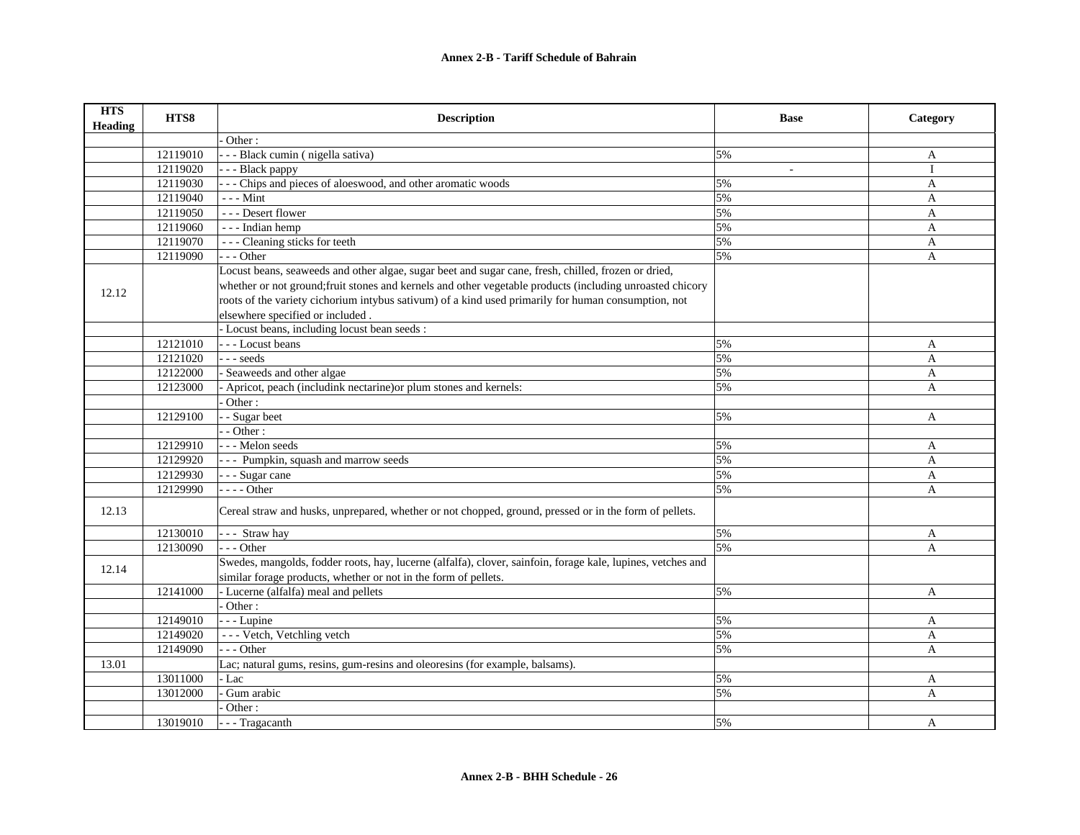| <b>HTS</b><br>Heading | HTS8     | <b>Description</b>                                                                                                                                                             | <b>Base</b> | Category     |
|-----------------------|----------|--------------------------------------------------------------------------------------------------------------------------------------------------------------------------------|-------------|--------------|
|                       |          | Other:                                                                                                                                                                         |             |              |
|                       | 12119010 | - - - Black cumin (nigella sativa)                                                                                                                                             | 5%          | A            |
|                       | 12119020 | - - - Black pappy                                                                                                                                                              |             | $\mathbf{I}$ |
|                       | 12119030 | - - - Chips and pieces of aloeswood, and other aromatic woods                                                                                                                  | 5%          | $\mathbf{A}$ |
|                       | 12119040 | $- -$ - Mint                                                                                                                                                                   | 5%          | A            |
|                       | 12119050 | --- Desert flower                                                                                                                                                              | 5%          | $\mathbf{A}$ |
|                       | 12119060 | --- Indian hemp                                                                                                                                                                | 5%          | A            |
|                       | 12119070 | --- Cleaning sticks for teeth                                                                                                                                                  | 5%          | A            |
|                       | 12119090 | $--$ Other                                                                                                                                                                     | 5%          | A            |
|                       |          | Locust beans, seaweeds and other algae, sugar beet and sugar cane, fresh, chilled, frozen or dried,                                                                            |             |              |
| 12.12                 |          | whether or not ground; fruit stones and kernels and other vegetable products (including unroasted chicory                                                                      |             |              |
|                       |          | roots of the variety cichorium intybus sativum) of a kind used primarily for human consumption, not                                                                            |             |              |
|                       |          | elsewhere specified or included.                                                                                                                                               |             |              |
|                       |          | - Locust beans, including locust bean seeds :                                                                                                                                  |             |              |
|                       | 12121010 | --- Locust beans                                                                                                                                                               | 5%          | A            |
|                       | 12121020 | --- seeds                                                                                                                                                                      | 5%          | A            |
|                       | 12122000 | Seaweeds and other algae                                                                                                                                                       | 5%          | A            |
|                       | 12123000 | Apricot, peach (includink nectarine) or plum stones and kernels:                                                                                                               | 5%          | A            |
|                       |          | Other:                                                                                                                                                                         |             |              |
|                       | 12129100 | - Sugar beet                                                                                                                                                                   | 5%          | A            |
|                       |          | $\cdot$ - Other :                                                                                                                                                              |             |              |
|                       | 12129910 | --- Melon seeds                                                                                                                                                                | 5%          | A            |
|                       | 12129920 | --- Pumpkin, squash and marrow seeds                                                                                                                                           | 5%          | A            |
|                       | 12129930 | - - - Sugar cane                                                                                                                                                               | 5%          | A            |
|                       | 12129990 | $---Other$                                                                                                                                                                     | 5%          | A            |
| 12.13                 |          | Cereal straw and husks, unprepared, whether or not chopped, ground, pressed or in the form of pellets.                                                                         |             |              |
|                       | 12130010 | --- Straw hay                                                                                                                                                                  | 5%          | A            |
|                       | 12130090 | $- -$ Other                                                                                                                                                                    | 5%          | A            |
| 12.14                 |          | Swedes, mangolds, fodder roots, hay, lucerne (alfalfa), clover, sainfoin, forage kale, lupines, vetches and<br>similar forage products, whether or not in the form of pellets. |             |              |
|                       | 12141000 | - Lucerne (alfalfa) meal and pellets                                                                                                                                           | 5%          | A            |
|                       |          | Other:                                                                                                                                                                         |             |              |
|                       | 12149010 | - - - Lupine                                                                                                                                                                   | 5%          | A            |
|                       | 12149020 | --- Vetch, Vetchling vetch                                                                                                                                                     | 5%          | A            |
|                       | 12149090 | --- Other                                                                                                                                                                      | 5%          | A            |
| 13.01                 |          | Lac; natural gums, resins, gum-resins and oleoresins (for example, balsams).                                                                                                   |             |              |
|                       | 13011000 | Lac -                                                                                                                                                                          | 5%          | A            |
|                       | 13012000 | Gum arabic                                                                                                                                                                     | 5%          | A            |
|                       |          | Other:                                                                                                                                                                         |             |              |
|                       | 13019010 | - - - Tragacanth                                                                                                                                                               | 5%          | A            |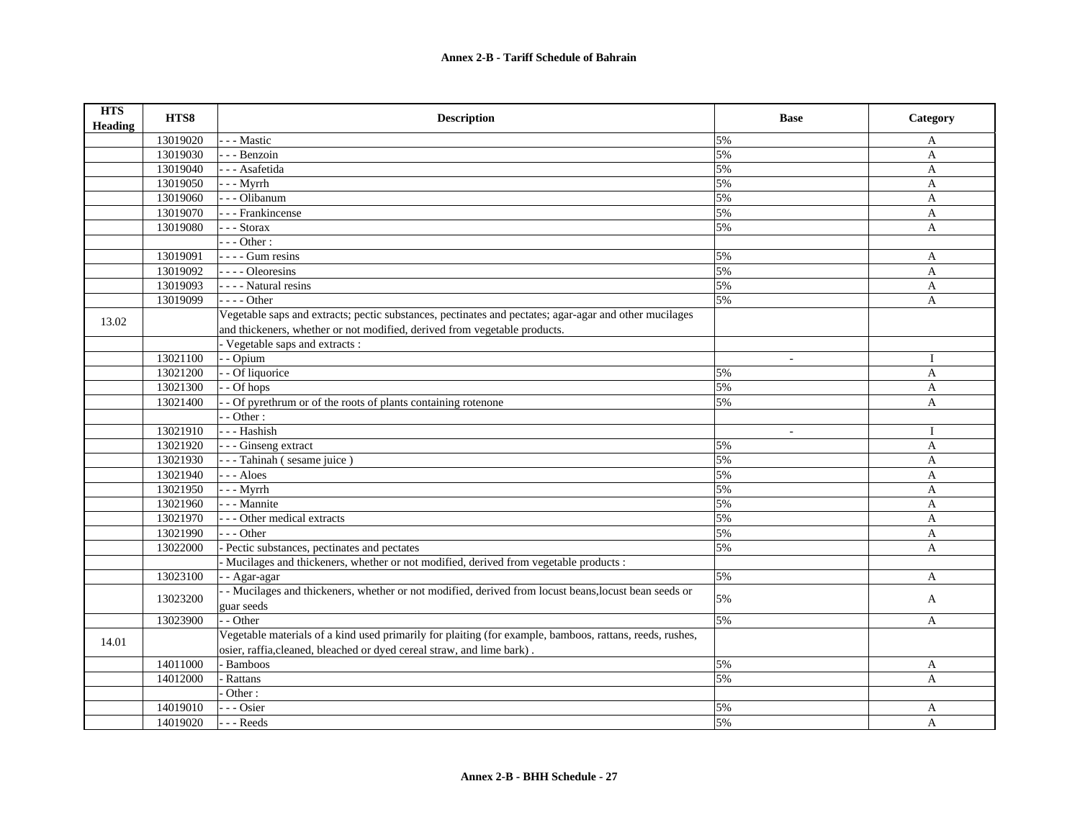| <b>HTS</b><br><b>Heading</b> | HTS8     | <b>Description</b>                                                                                                                                                                  | <b>Base</b> | Category     |
|------------------------------|----------|-------------------------------------------------------------------------------------------------------------------------------------------------------------------------------------|-------------|--------------|
|                              | 13019020 | - - Mastic                                                                                                                                                                          | 5%          | A            |
|                              | 13019030 | - - - Benzoin                                                                                                                                                                       | 5%          | A            |
|                              | 13019040 | - - - Asafetida                                                                                                                                                                     | 5%          | $\mathbf{A}$ |
|                              | 13019050 | $- -$ Myrrh                                                                                                                                                                         | 5%          | $\mathbf{A}$ |
|                              | 13019060 | - - - Olibanum                                                                                                                                                                      | 5%          | A            |
|                              | 13019070 | - - - Frankincense                                                                                                                                                                  | 5%          | A            |
|                              | 13019080 | - - - Storax                                                                                                                                                                        | 5%          | A            |
|                              |          | $- -$ Other :                                                                                                                                                                       |             |              |
|                              | 13019091 | $---$ Gum resins                                                                                                                                                                    | 5%          | A            |
|                              | 13019092 | - - - - Oleoresins                                                                                                                                                                  | 5%          | A            |
|                              | 13019093 | - - - - Natural resins                                                                                                                                                              | 5%          | A            |
|                              | 13019099 | $---Other$                                                                                                                                                                          | 5%          | A            |
| 13.02                        |          | Vegetable saps and extracts; pectic substances, pectinates and pectates; agar-agar and other mucilages<br>and thickeners, whether or not modified, derived from vegetable products. |             |              |
|                              |          | - Vegetable saps and extracts :                                                                                                                                                     |             |              |
|                              | 13021100 | - Opium                                                                                                                                                                             | $\sim$      | $\bf{I}$     |
|                              | 13021200 | - Of liquorice                                                                                                                                                                      | 5%          | A            |
|                              | 13021300 | - Of hops                                                                                                                                                                           | 5%          | $\mathbf{A}$ |
|                              | 13021400 | - Of pyrethrum or of the roots of plants containing rotenone                                                                                                                        | 5%          | A            |
|                              |          | $-$ Other :                                                                                                                                                                         |             |              |
|                              | 13021910 | - - - Hashish                                                                                                                                                                       |             | $\bf{I}$     |
|                              | 13021920 | - - - Ginseng extract                                                                                                                                                               | 5%          | A            |
|                              | 13021930 | - - - Tahinah (sesame juice)                                                                                                                                                        | 5%          | $\mathbf{A}$ |
|                              | 13021940 | --- Aloes                                                                                                                                                                           | 5%          | A            |
|                              | 13021950 | - - - Myrrh                                                                                                                                                                         | 5%          | A            |
|                              | 13021960 | - - - Mannite                                                                                                                                                                       | 5%          | $\mathbf{A}$ |
|                              | 13021970 | --- Other medical extracts                                                                                                                                                          | 5%          | A            |
|                              | 13021990 | $- -$ Other                                                                                                                                                                         | 5%          | A            |
|                              | 13022000 | Pectic substances, pectinates and pectates                                                                                                                                          | 5%          | A            |
|                              |          | Mucilages and thickeners, whether or not modified, derived from vegetable products :                                                                                                |             |              |
|                              | 13023100 | - - Agar-agar                                                                                                                                                                       | 5%          | $\mathbf{A}$ |
|                              | 13023200 | - Mucilages and thickeners, whether or not modified, derived from locust beans, locust bean seeds or                                                                                | 5%          | A            |
|                              |          | guar seeds                                                                                                                                                                          |             |              |
|                              | 13023900 | - - Other                                                                                                                                                                           | 5%          | A            |
| 14.01                        |          | Vegetable materials of a kind used primarily for plaiting (for example, bamboos, rattans, reeds, rushes,<br>osier, raffia, cleaned, bleached or dyed cereal straw, and lime bark).  |             |              |
|                              | 14011000 | <b>Bamboos</b>                                                                                                                                                                      | 5%          | A            |
|                              | 14012000 | Rattans                                                                                                                                                                             | 5%          | $\mathsf{A}$ |
|                              |          | Other:                                                                                                                                                                              |             |              |
|                              | 14019010 | - - Osier                                                                                                                                                                           | 5%          | A            |
|                              | 14019020 | --- Reeds                                                                                                                                                                           | 5%          | $\mathbf{A}$ |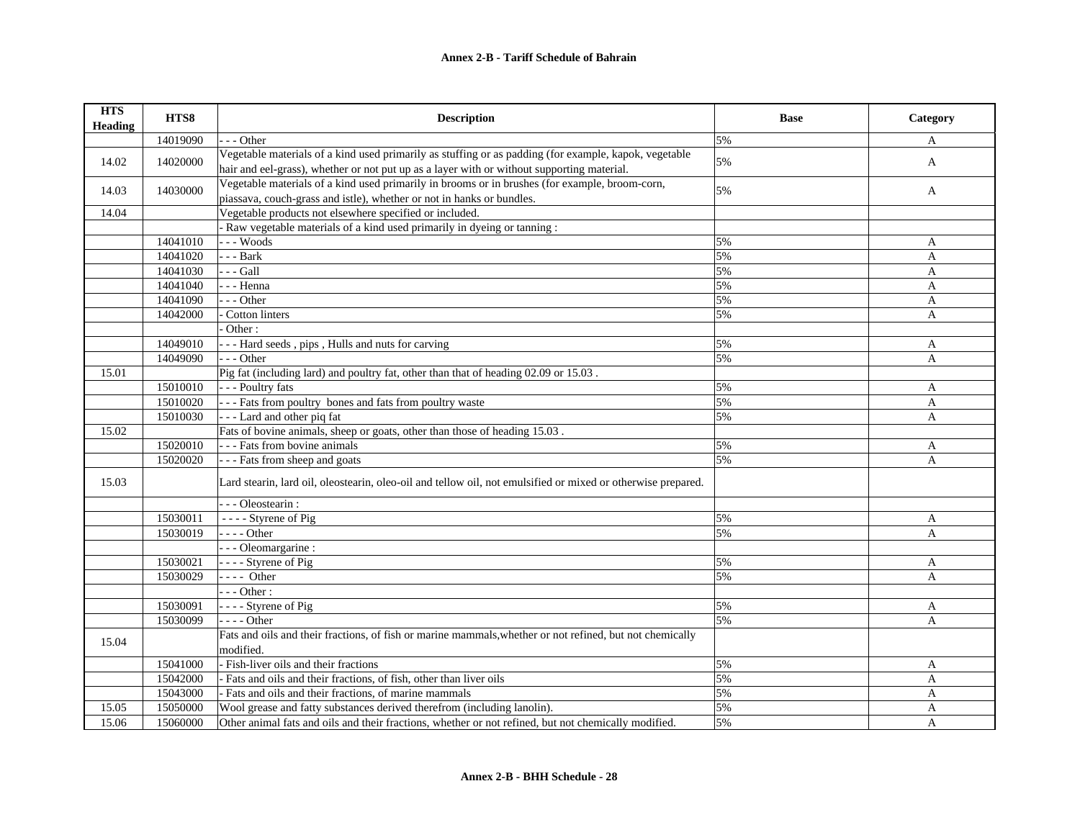## **Annex 2-B - Tariff Schedule of Bahrain**

| <b>HTS</b><br><b>Heading</b> | HTS8     | <b>Description</b>                                                                                                    | <b>Base</b> | Category |
|------------------------------|----------|-----------------------------------------------------------------------------------------------------------------------|-------------|----------|
|                              | 14019090 | - Other                                                                                                               | 5%          | A        |
|                              |          | Vegetable materials of a kind used primarily as stuffing or as padding (for example, kapok, vegetable                 | 5%          |          |
| 14.02                        | 14020000 | hair and eel-grass), whether or not put up as a layer with or without supporting material.                            |             | A        |
| 14.03                        | 14030000 | Vegetable materials of a kind used primarily in brooms or in brushes (for example, broom-corn,                        | 5%          | A        |
|                              |          | piassava, couch-grass and istle), whether or not in hanks or bundles.                                                 |             |          |
| 14.04                        |          | Vegetable products not elsewhere specified or included.                                                               |             |          |
|                              |          | - Raw vegetable materials of a kind used primarily in dyeing or tanning :                                             |             |          |
|                              | 14041010 | $- -$ Woods                                                                                                           | 5%          | A        |
|                              | 14041020 | $--$ Bark                                                                                                             | 5%          | A        |
|                              | 14041030 | $-$ - Gall                                                                                                            | 5%          | A        |
|                              | 14041040 | - - - Henna                                                                                                           | 5%          | A        |
|                              | 14041090 | - - Other                                                                                                             | 5%          | A        |
|                              | 14042000 | - Cotton linters                                                                                                      | 5%          | A        |
|                              |          | Other:                                                                                                                |             |          |
|                              | 14049010 | --- Hard seeds, pips, Hulls and nuts for carving                                                                      | 5%          | A        |
|                              | 14049090 | - - Other                                                                                                             | 5%          | A        |
| 15.01                        |          | Pig fat (including lard) and poultry fat, other than that of heading 02.09 or 15.03.                                  |             |          |
|                              | 15010010 | --- Poultry fats                                                                                                      | 5%          | A        |
|                              | 15010020 | --- Fats from poultry bones and fats from poultry waste                                                               | 5%          | A        |
|                              | 15010030 | --- Lard and other piq fat                                                                                            | 5%          | A        |
| 15.02                        |          | Fats of bovine animals, sheep or goats, other than those of heading 15.03.                                            |             |          |
|                              | 15020010 | --- Fats from bovine animals                                                                                          | 5%          | A        |
|                              | 15020020 | --- Fats from sheep and goats                                                                                         | 5%          | A        |
| 15.03                        |          | Lard stearin, lard oil, oleostearin, oleo-oil and tellow oil, not emulsified or mixed or otherwise prepared.          |             |          |
|                              |          | - - - Oleostearin :                                                                                                   |             |          |
|                              | 15030011 | $\overline{\phantom{a} \phantom{a}}$ - $\overline{\phantom{a}}$ - Styrene of Pig                                      | 5%          | A        |
|                              | 15030019 | $---Other$                                                                                                            | 5%          | A        |
|                              |          | - - - Oleomargarine :                                                                                                 |             |          |
|                              | 15030021 | - - - - Styrene of Pig                                                                                                | 5%          | A        |
|                              | 15030029 | $---$ Other                                                                                                           | 5%          | A        |
|                              |          | $--$ Other :                                                                                                          |             |          |
|                              | 15030091 | - - - - Styrene of Pig                                                                                                | 5%          | A        |
|                              | 15030099 | $---Other$                                                                                                            | 5%          | A        |
| 15.04                        |          | Fats and oils and their fractions, of fish or marine mammals, whether or not refined, but not chemically<br>modified. |             |          |
|                              | 15041000 | - Fish-liver oils and their fractions                                                                                 | 5%          | A        |
|                              | 15042000 | Fats and oils and their fractions, of fish, other than liver oils                                                     | 5%          | A        |
|                              | 15043000 | - Fats and oils and their fractions, of marine mammals                                                                | 5%          | A        |
| 15.05                        | 15050000 | Wool grease and fatty substances derived therefrom (including lanolin).                                               | 5%          | A        |
| 15.06                        | 15060000 | Other animal fats and oils and their fractions, whether or not refined, but not chemically modified.                  | 5%          | A        |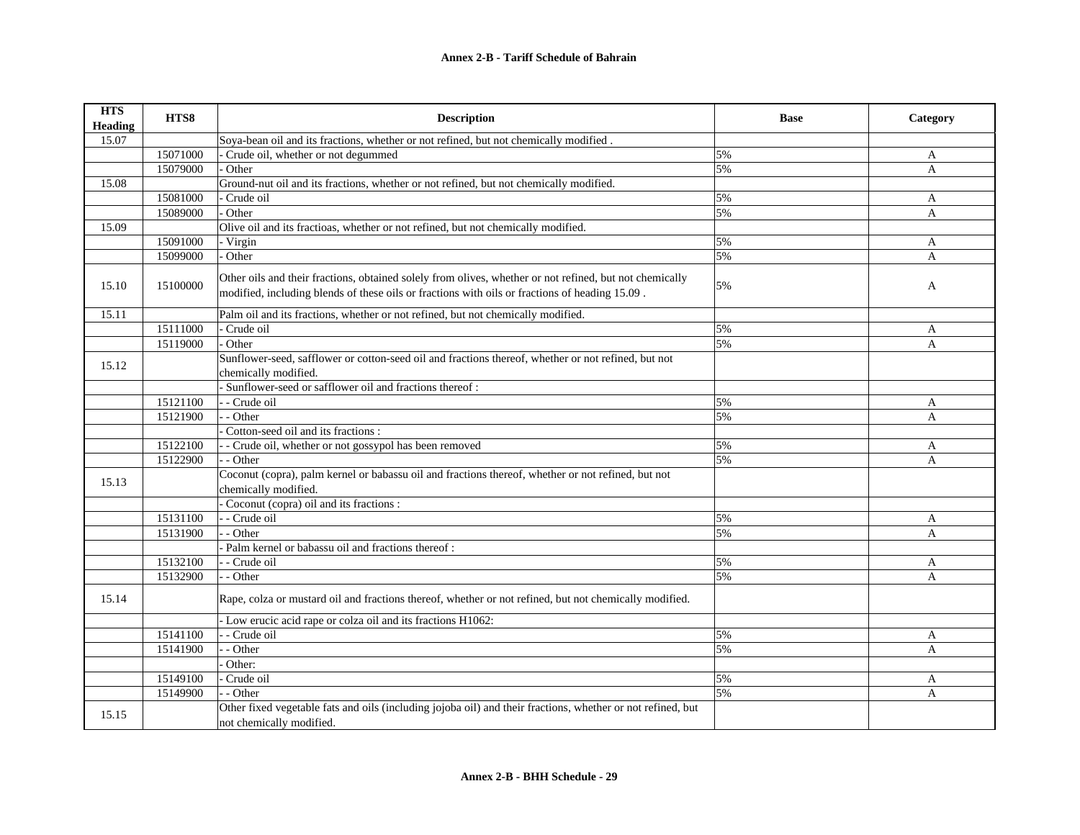| <b>HTS</b><br><b>Heading</b> | HTS8     | <b>Description</b>                                                                                                                                                                                        | <b>Base</b> | Category     |
|------------------------------|----------|-----------------------------------------------------------------------------------------------------------------------------------------------------------------------------------------------------------|-------------|--------------|
| 15.07                        |          | Soya-bean oil and its fractions, whether or not refined, but not chemically modified.                                                                                                                     |             |              |
|                              | 15071000 | Crude oil, whether or not degummed                                                                                                                                                                        | 5%          | A            |
|                              | 15079000 | Other                                                                                                                                                                                                     | 5%          | A            |
| 15.08                        |          | Ground-nut oil and its fractions, whether or not refined, but not chemically modified.                                                                                                                    |             |              |
|                              | 15081000 | Crude oil                                                                                                                                                                                                 | 5%          | A            |
|                              | 15089000 | Other                                                                                                                                                                                                     | 5%          | A            |
| 15.09                        |          | Olive oil and its fractioas, whether or not refined, but not chemically modified.                                                                                                                         |             |              |
|                              | 15091000 | - Virgin                                                                                                                                                                                                  | 5%          | A            |
|                              | 15099000 | Other                                                                                                                                                                                                     | 5%          | A            |
| 15.10                        | 15100000 | Other oils and their fractions, obtained solely from olives, whether or not refined, but not chemically<br>modified, including blends of these oils or fractions with oils or fractions of heading 15.09. | 5%          | A            |
| 15.11                        |          | Palm oil and its fractions, whether or not refined, but not chemically modified.                                                                                                                          |             |              |
|                              | 15111000 | Crude oil                                                                                                                                                                                                 | 5%          | A            |
|                              | 15119000 | Other                                                                                                                                                                                                     | 5%          | $\mathbf{A}$ |
| 15.12                        |          | Sunflower-seed, safflower or cotton-seed oil and fractions thereof, whether or not refined, but not                                                                                                       |             |              |
|                              |          | chemically modified.                                                                                                                                                                                      |             |              |
|                              |          | Sunflower-seed or safflower oil and fractions thereof:                                                                                                                                                    |             |              |
|                              | 15121100 | - - Crude oil                                                                                                                                                                                             | 5%          | A            |
|                              | 15121900 | - Other                                                                                                                                                                                                   | 5%          | A            |
|                              |          | Cotton-seed oil and its fractions :                                                                                                                                                                       |             |              |
|                              | 15122100 | - Crude oil, whether or not gossypol has been removed                                                                                                                                                     | 5%          | A            |
|                              | 15122900 | - - Other                                                                                                                                                                                                 | 5%          | A            |
| 15.13                        |          | Coconut (copra), palm kernel or babassu oil and fractions thereof, whether or not refined, but not<br>chemically modified.                                                                                |             |              |
|                              |          | Coconut (copra) oil and its fractions :                                                                                                                                                                   |             |              |
|                              | 15131100 | - Crude oil                                                                                                                                                                                               | 5%          | A            |
|                              | 15131900 | - Other                                                                                                                                                                                                   | 5%          | A            |
|                              |          | Palm kernel or babassu oil and fractions thereof:                                                                                                                                                         |             |              |
|                              | 15132100 | - - Crude oil                                                                                                                                                                                             | 5%          | A            |
|                              | 15132900 | - Other                                                                                                                                                                                                   | 5%          | $\mathbf{A}$ |
| 15.14                        |          | Rape, colza or mustard oil and fractions thereof, whether or not refined, but not chemically modified.                                                                                                    |             |              |
|                              |          | - Low erucic acid rape or colza oil and its fractions H1062:                                                                                                                                              |             |              |
|                              | 15141100 | - Crude oil                                                                                                                                                                                               | 5%          | A            |
|                              | 15141900 | - Other                                                                                                                                                                                                   | 5%          | A            |
|                              |          | Other:                                                                                                                                                                                                    |             |              |
|                              | 15149100 | Crude oil                                                                                                                                                                                                 | 5%          | A            |
|                              | 15149900 | - Other                                                                                                                                                                                                   | 5%          | A            |
| 15.15                        |          | Other fixed vegetable fats and oils (including jojoba oil) and their fractions, whether or not refined, but<br>not chemically modified.                                                                   |             |              |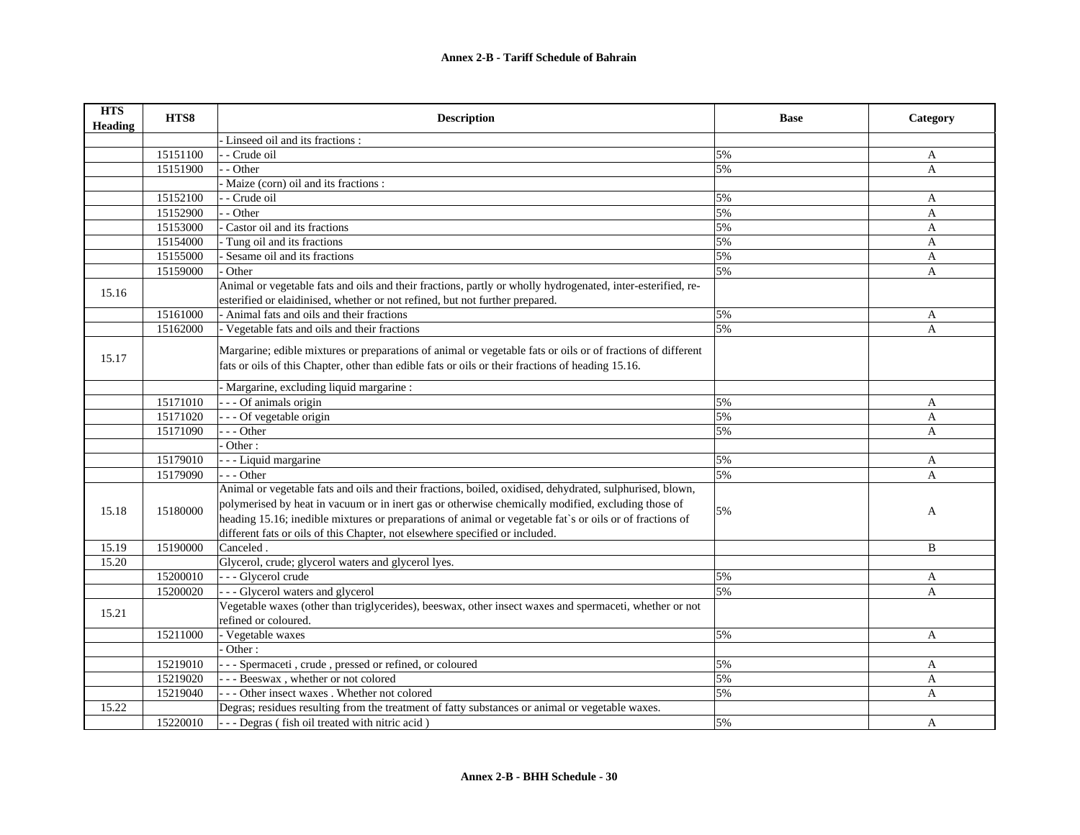| <b>HTS</b><br><b>Heading</b> | HTS8     | <b>Description</b>                                                                                                                                                                                                                                                                                                                                                                                         | <b>Base</b> | Category     |
|------------------------------|----------|------------------------------------------------------------------------------------------------------------------------------------------------------------------------------------------------------------------------------------------------------------------------------------------------------------------------------------------------------------------------------------------------------------|-------------|--------------|
|                              |          | Linseed oil and its fractions :                                                                                                                                                                                                                                                                                                                                                                            |             |              |
|                              | 15151100 | - Crude oil                                                                                                                                                                                                                                                                                                                                                                                                | 5%          | A            |
|                              | 15151900 | - Other                                                                                                                                                                                                                                                                                                                                                                                                    | 5%          | A            |
|                              |          | Maize (corn) oil and its fractions :                                                                                                                                                                                                                                                                                                                                                                       |             |              |
|                              | 15152100 | - Crude oil                                                                                                                                                                                                                                                                                                                                                                                                | 5%          | A            |
|                              | 15152900 | - Other                                                                                                                                                                                                                                                                                                                                                                                                    | 5%          | $\mathbf{A}$ |
|                              | 15153000 | Castor oil and its fractions                                                                                                                                                                                                                                                                                                                                                                               | 5%          | A            |
|                              | 15154000 | Tung oil and its fractions                                                                                                                                                                                                                                                                                                                                                                                 | 5%          | $\mathbf{A}$ |
|                              | 15155000 | Sesame oil and its fractions                                                                                                                                                                                                                                                                                                                                                                               | 5%          | A            |
|                              | 15159000 | <b>Other</b>                                                                                                                                                                                                                                                                                                                                                                                               | 5%          | A            |
|                              |          | Animal or vegetable fats and oils and their fractions, partly or wholly hydrogenated, inter-esterified, re-                                                                                                                                                                                                                                                                                                |             |              |
| 15.16                        |          | esterified or elaidinised, whether or not refined, but not further prepared.                                                                                                                                                                                                                                                                                                                               |             |              |
|                              | 15161000 | - Animal fats and oils and their fractions                                                                                                                                                                                                                                                                                                                                                                 | 5%          | A            |
|                              | 15162000 | - Vegetable fats and oils and their fractions                                                                                                                                                                                                                                                                                                                                                              | 5%          | A            |
| 15.17                        |          | Margarine; edible mixtures or preparations of animal or vegetable fats or oils or of fractions of different<br>fats or oils of this Chapter, other than edible fats or oils or their fractions of heading 15.16.                                                                                                                                                                                           |             |              |
|                              |          | Margarine, excluding liquid margarine :                                                                                                                                                                                                                                                                                                                                                                    |             |              |
|                              | 15171010 | -- Of animals origin                                                                                                                                                                                                                                                                                                                                                                                       | 5%          | A            |
|                              | 15171020 | - - Of vegetable origin                                                                                                                                                                                                                                                                                                                                                                                    | 5%          | A            |
|                              | 15171090 | - - Other                                                                                                                                                                                                                                                                                                                                                                                                  | 5%          | A            |
|                              |          | Other:                                                                                                                                                                                                                                                                                                                                                                                                     |             |              |
|                              | 15179010 | - - Liquid margarine                                                                                                                                                                                                                                                                                                                                                                                       | 5%          | A            |
|                              | 15179090 | $- -$ Other                                                                                                                                                                                                                                                                                                                                                                                                | 5%          | A            |
| 15.18                        | 15180000 | Animal or vegetable fats and oils and their fractions, boiled, oxidised, dehydrated, sulphurised, blown,<br>polymerised by heat in vacuum or in inert gas or otherwise chemically modified, excluding those of<br>heading 15.16; inedible mixtures or preparations of animal or vegetable fat's or oils or of fractions of<br>different fats or oils of this Chapter, not elsewhere specified or included. | 5%          | A            |
| 15.19                        | 15190000 | Canceled.                                                                                                                                                                                                                                                                                                                                                                                                  |             | B            |
| 15.20                        |          | Glycerol, crude; glycerol waters and glycerol lyes.                                                                                                                                                                                                                                                                                                                                                        |             |              |
|                              | 15200010 | - - - Glycerol crude                                                                                                                                                                                                                                                                                                                                                                                       | 5%          | A            |
|                              | 15200020 | - - - Glycerol waters and glycerol                                                                                                                                                                                                                                                                                                                                                                         | 5%          | A            |
| 15.21                        |          | Vegetable waxes (other than triglycerides), beeswax, other insect waxes and spermaceti, whether or not<br>refined or coloured.                                                                                                                                                                                                                                                                             |             |              |
|                              | 15211000 | - Vegetable waxes                                                                                                                                                                                                                                                                                                                                                                                          | 5%          | A            |
|                              |          | Other:                                                                                                                                                                                                                                                                                                                                                                                                     |             |              |
|                              | 15219010 | - - Spermaceti, crude, pressed or refined, or coloured                                                                                                                                                                                                                                                                                                                                                     | 5%          | A            |
|                              | 15219020 | --- Beeswax, whether or not colored                                                                                                                                                                                                                                                                                                                                                                        | 5%          | A            |
|                              | 15219040 | - - Other insect waxes . Whether not colored                                                                                                                                                                                                                                                                                                                                                               | 5%          | A            |
| 15.22                        |          | Degras; residues resulting from the treatment of fatty substances or animal or vegetable waxes.                                                                                                                                                                                                                                                                                                            |             |              |
|                              | 15220010 | --- Degras (fish oil treated with nitric acid)                                                                                                                                                                                                                                                                                                                                                             | 5%          | A            |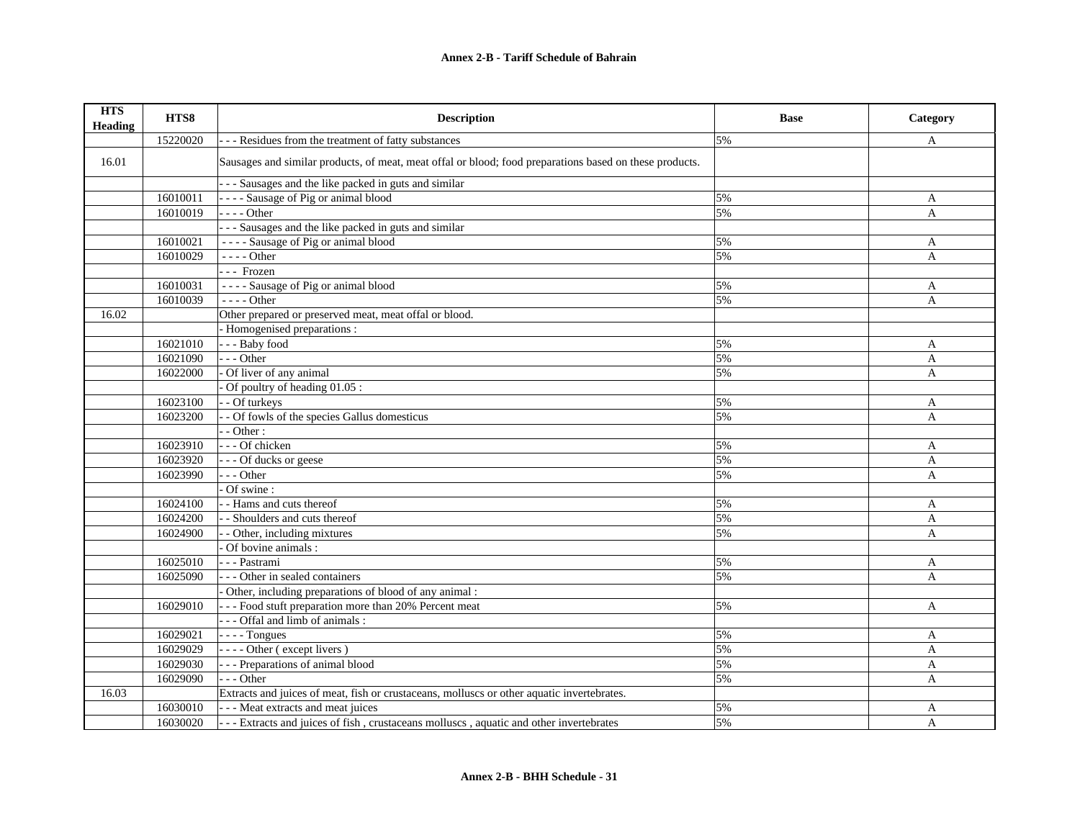| <b>HTS</b><br><b>Heading</b> | HTS8     | <b>Description</b>                                                                                      | <b>Base</b> | Category     |
|------------------------------|----------|---------------------------------------------------------------------------------------------------------|-------------|--------------|
|                              | 15220020 | - - - Residues from the treatment of fatty substances                                                   | 5%          | A            |
| 16.01                        |          | Sausages and similar products, of meat, meat offal or blood; food preparations based on these products. |             |              |
|                              |          | - - - Sausages and the like packed in guts and similar                                                  |             |              |
|                              | 16010011 | - - - - Sausage of Pig or animal blood                                                                  | 5%          | A            |
|                              | 16010019 | $---Other$                                                                                              | 5%          | A            |
|                              |          | -- Sausages and the like packed in guts and similar                                                     |             |              |
|                              | 16010021 | ---- Sausage of Pig or animal blood                                                                     | 5%          | A            |
|                              | 16010029 | - - - - Other                                                                                           | 5%          | A            |
|                              |          | --- Frozen                                                                                              |             |              |
|                              | 16010031 | ---- Sausage of Pig or animal blood                                                                     | 5%          | A            |
|                              | 16010039 | - - - - Other                                                                                           | 5%          | A            |
| 16.02                        |          | Other prepared or preserved meat, meat offal or blood.                                                  |             |              |
|                              |          | Homogenised preparations :                                                                              |             |              |
|                              | 16021010 | --- Baby food                                                                                           | 5%          | A            |
|                              | 16021090 | $-$ - Other                                                                                             | 5%          | A            |
|                              | 16022000 | Of liver of any animal                                                                                  | 5%          | A            |
|                              |          | Of poultry of heading 01.05 :                                                                           |             |              |
|                              | 16023100 | - Of turkeys                                                                                            | 5%          | A            |
|                              | 16023200 | - Of fowls of the species Gallus domesticus                                                             | 5%          | A            |
|                              |          | $-$ Other :                                                                                             |             |              |
|                              | 16023910 | --- Of chicken                                                                                          | 5%          | A            |
|                              | 16023920 | --- Of ducks or geese                                                                                   | 5%          | A            |
|                              | 16023990 | $- -$ Other                                                                                             | 5%          | A            |
|                              |          | Of swine:                                                                                               |             |              |
|                              | 16024100 | - Hams and cuts thereof                                                                                 | 5%          | A            |
|                              | 16024200 | - Shoulders and cuts thereof                                                                            | 5%          | A            |
|                              | 16024900 | - Other, including mixtures                                                                             | 5%          | A            |
|                              |          | Of bovine animals :                                                                                     |             |              |
|                              | 16025010 | - - - Pastrami                                                                                          | 5%          | A            |
|                              | 16025090 | - - - Other in sealed containers                                                                        | 5%          | A            |
|                              |          | Other, including preparations of blood of any animal :                                                  |             |              |
|                              | 16029010 | - - - Food stuft preparation more than 20% Percent meat                                                 | 5%          | A            |
|                              |          | --- Offal and limb of animals :                                                                         |             |              |
|                              | 16029021 | $---$ Tongues                                                                                           | 5%          | A            |
|                              | 16029029 | ---- Other (except livers)                                                                              | 5%          | A            |
|                              | 16029030 | - - - Preparations of animal blood                                                                      | 5%          | A            |
|                              | 16029090 | $- -$ Other                                                                                             | 5%          | $\mathsf{A}$ |
| 16.03                        |          | Extracts and juices of meat, fish or crustaceans, molluscs or other aquatic invertebrates.              |             |              |
|                              | 16030010 | - - - Meat extracts and meat juices                                                                     | 5%          | A            |
|                              | 16030020 | --- Extracts and juices of fish, crustaceans molluscs, aquatic and other invertebrates                  | 5%          | $\mathbf{A}$ |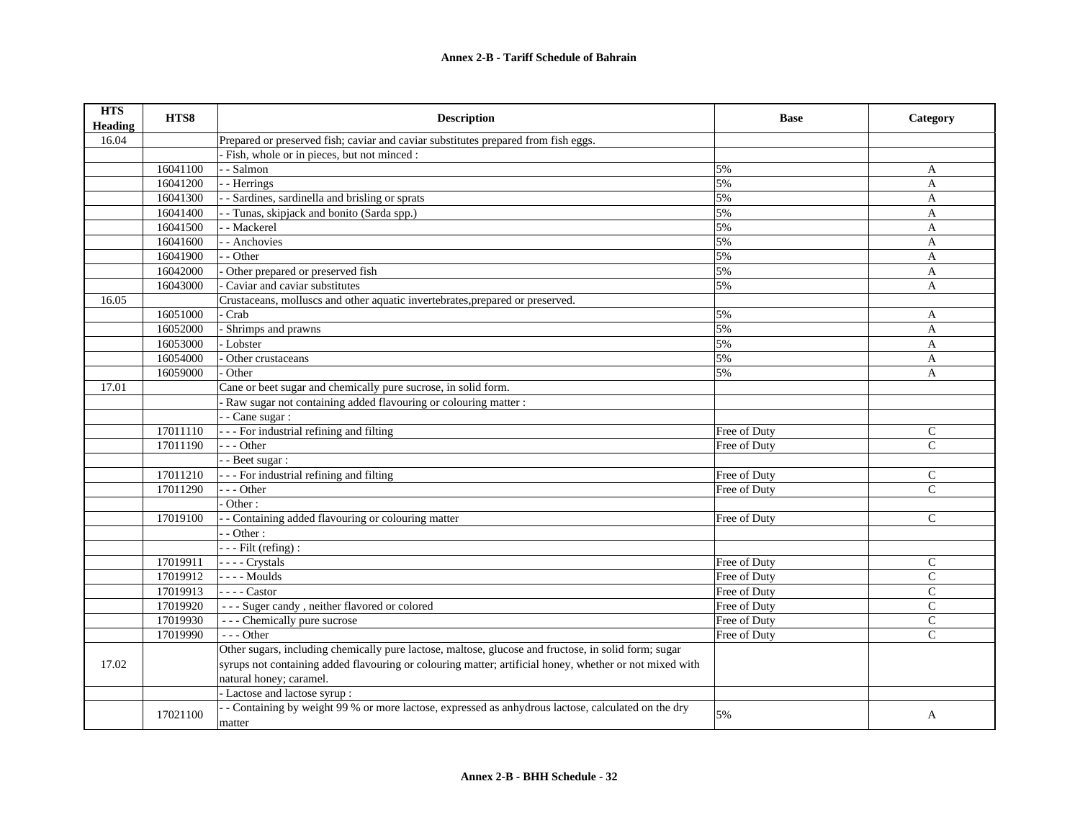| <b>HTS</b><br><b>Heading</b> | HTS8     | <b>Description</b>                                                                                      | <b>Base</b>  | Category      |
|------------------------------|----------|---------------------------------------------------------------------------------------------------------|--------------|---------------|
| 16.04                        |          | Prepared or preserved fish; caviar and caviar substitutes prepared from fish eggs.                      |              |               |
|                              |          | Fish, whole or in pieces, but not minced :                                                              |              |               |
|                              | 16041100 | - Salmon                                                                                                | 5%           | A             |
|                              | 16041200 | - Herrings                                                                                              | 5%           | A             |
|                              | 16041300 | - Sardines, sardinella and brisling or sprats                                                           | 5%           | A             |
|                              | 16041400 | - Tunas, skipjack and bonito (Sarda spp.)                                                               | 5%           | A             |
|                              | 16041500 | - Mackerel                                                                                              | 5%           | A             |
|                              | 16041600 | - Anchovies                                                                                             | 5%           | A             |
|                              | 16041900 | - Other                                                                                                 | 5%           | A             |
|                              | 16042000 | Other prepared or preserved fish                                                                        | 5%           | A             |
|                              | 16043000 | Caviar and caviar substitutes                                                                           | 5%           | $\mathbf{A}$  |
| 16.05                        |          | Crustaceans, molluscs and other aquatic invertebrates, prepared or preserved.                           |              |               |
|                              | 16051000 | Crab                                                                                                    | 5%           | A             |
|                              | 16052000 | Shrimps and prawns                                                                                      | 5%           | A             |
|                              | 16053000 | Lobster                                                                                                 | 5%           | $\mathbf{A}$  |
|                              | 16054000 | Other crustaceans                                                                                       | 5%           | A             |
|                              | 16059000 | Other                                                                                                   | 5%           | A             |
| 17.01                        |          | Cane or beet sugar and chemically pure sucrose, in solid form.                                          |              |               |
|                              |          | Raw sugar not containing added flavouring or colouring matter :                                         |              |               |
|                              |          | - Cane sugar :                                                                                          |              |               |
|                              | 17011110 | - - - For industrial refining and filting                                                               | Free of Duty | $\mathsf{C}$  |
|                              | 17011190 | $- -$ Other                                                                                             | Free of Duty | $\mathsf{C}$  |
|                              |          | - - Beet sugar :                                                                                        |              |               |
|                              | 17011210 | - - - For industrial refining and filting                                                               | Free of Duty | C             |
|                              | 17011290 | $-$ - Other                                                                                             | Free of Duty | $\mathcal{C}$ |
|                              |          | Other:                                                                                                  |              |               |
|                              | 17019100 | - Containing added flavouring or colouring matter                                                       | Free of Duty | $\mathcal{C}$ |
|                              |          | - Other:                                                                                                |              |               |
|                              |          | $-$ - Filt (refing) :                                                                                   |              |               |
|                              | 17019911 | - - - - Crystals                                                                                        | Free of Duty | $\mathsf{C}$  |
|                              | 17019912 | - - - - Moulds                                                                                          | Free of Duty | $\mathcal{C}$ |
|                              | 17019913 | $---$ Castor                                                                                            | Free of Duty | $\mathcal{C}$ |
|                              | 17019920 | --- Suger candy, neither flavored or colored                                                            | Free of Duty | $\mathbf C$   |
|                              | 17019930 | --- Chemically pure sucrose                                                                             | Free of Duty | $\mathcal{C}$ |
|                              | 17019990 | $- -$ Other                                                                                             | Free of Duty | $\mathsf{C}$  |
|                              |          | Other sugars, including chemically pure lactose, maltose, glucose and fructose, in solid form; sugar    |              |               |
| 17.02                        |          | syrups not containing added flavouring or colouring matter; artificial honey, whether or not mixed with |              |               |
|                              |          | natural honey; caramel.                                                                                 |              |               |
|                              |          | - Lactose and lactose syrup :                                                                           |              |               |
|                              | 17021100 | - Containing by weight 99 % or more lactose, expressed as anhydrous lactose, calculated on the dry      | 5%           | A             |
|                              |          | matter                                                                                                  |              |               |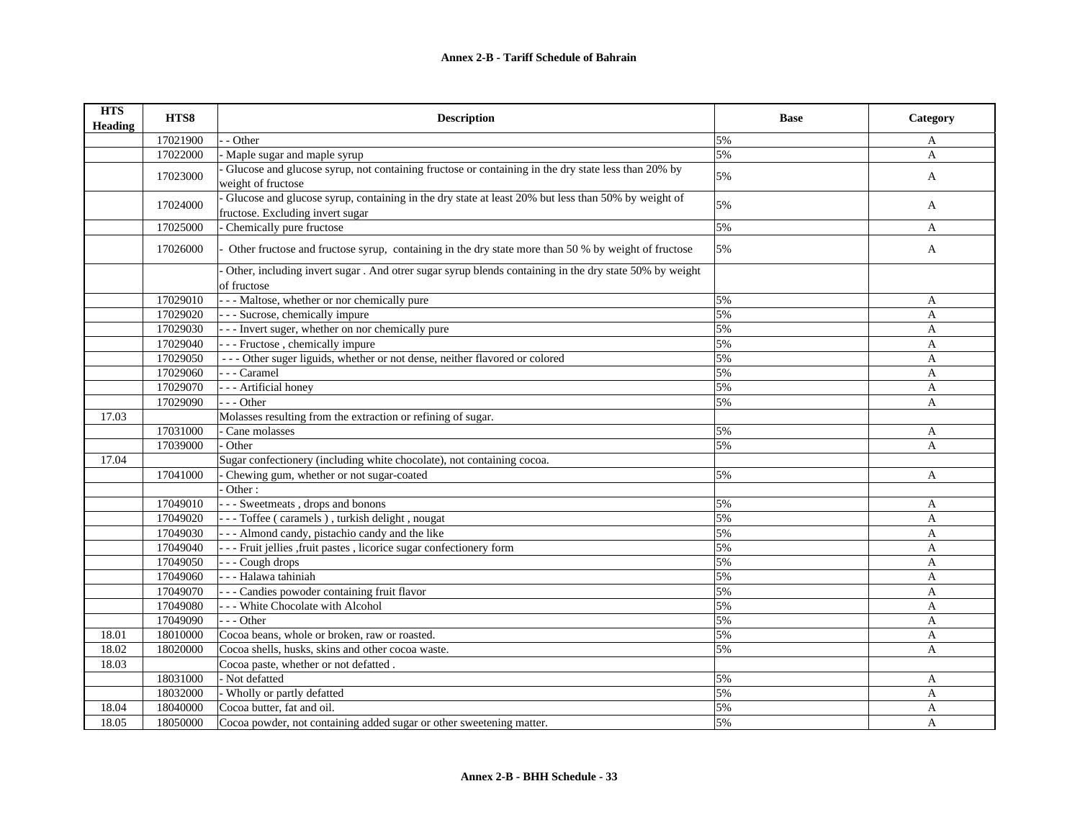| <b>HTS</b><br><b>Heading</b> | HTS8     | <b>Description</b>                                                                                                                     | <b>Base</b> | Category     |
|------------------------------|----------|----------------------------------------------------------------------------------------------------------------------------------------|-------------|--------------|
|                              | 17021900 | - Other                                                                                                                                | 5%          | A            |
|                              | 17022000 | Maple sugar and maple syrup                                                                                                            | 5%          | A            |
|                              | 17023000 | Glucose and glucose syrup, not containing fructose or containing in the dry state less than 20% by<br>weight of fructose               | 5%          | A            |
|                              | 17024000 | Glucose and glucose syrup, containing in the dry state at least 20% but less than 50% by weight of<br>fructose. Excluding invert sugar | 5%          | A            |
|                              | 17025000 | Chemically pure fructose                                                                                                               | 5%          | A            |
|                              | 17026000 | Other fructose and fructose syrup, containing in the dry state more than 50 % by weight of fructose                                    | 5%          | A            |
|                              |          | Other, including invert sugar . And otrer sugar syrup blends containing in the dry state 50% by weight<br>of fructose                  |             |              |
|                              | 17029010 | --- Maltose, whether or nor chemically pure                                                                                            | 5%          | A            |
|                              | 17029020 | - - - Sucrose, chemically impure                                                                                                       | 5%          | $\mathbf{A}$ |
|                              | 17029030 | - - - Invert suger, whether on nor chemically pure                                                                                     | 5%          | $\mathbf{A}$ |
|                              | 17029040 | --- Fructose, chemically impure                                                                                                        | 5%          | $\mathbf{A}$ |
|                              | 17029050 | --- Other suger liguids, whether or not dense, neither flavored or colored                                                             | 5%          | A            |
|                              | 17029060 | - - - Caramel                                                                                                                          | 5%          | $\mathbf{A}$ |
|                              | 17029070 | - - - Artificial honey                                                                                                                 | 5%          | $\mathbf{A}$ |
|                              | 17029090 | $- -$ Other                                                                                                                            | 5%          | $\mathbf{A}$ |
| 17.03                        |          | Molasses resulting from the extraction or refining of sugar.                                                                           |             |              |
|                              | 17031000 | Cane molasses                                                                                                                          | 5%          | A            |
|                              | 17039000 | Other                                                                                                                                  | 5%          | $\mathbf{A}$ |
| 17.04                        |          | Sugar confectionery (including white chocolate), not containing cocoa.                                                                 |             |              |
|                              | 17041000 | Chewing gum, whether or not sugar-coated                                                                                               | 5%          | A            |
|                              |          | Other:                                                                                                                                 |             |              |
|                              | 17049010 | --- Sweetmeats, drops and bonons                                                                                                       | 5%          | A            |
|                              | 17049020 | --- Toffee (caramels), turkish delight, nougat                                                                                         | 5%          | A            |
|                              | 17049030 | - - - Almond candy, pistachio candy and the like                                                                                       | 5%          | A            |
|                              | 17049040 | - - - Fruit jellies , fruit pastes, licorice sugar confectionery form                                                                  | 5%          | A            |
|                              | 17049050 | --- Cough drops                                                                                                                        | 5%          | A            |
|                              | 17049060 | - - - Halawa tahiniah                                                                                                                  | 5%          | $\mathbf{A}$ |
|                              | 17049070 | - - - Candies powoder containing fruit flavor                                                                                          | 5%          | $\mathbf{A}$ |
|                              | 17049080 | --- White Chocolate with Alcohol                                                                                                       | 5%          | $\mathbf{A}$ |
|                              | 17049090 | $- -$ Other                                                                                                                            | 5%          | $\mathbf{A}$ |
| 18.01                        | 18010000 | Cocoa beans, whole or broken, raw or roasted.                                                                                          | 5%          | A            |
| 18.02                        | 18020000 | Cocoa shells, husks, skins and other cocoa waste.                                                                                      | 5%          | $\mathbf{A}$ |
| 18.03                        |          | Cocoa paste, whether or not defatted.                                                                                                  |             |              |
|                              | 18031000 | - Not defatted                                                                                                                         | 5%          | A            |
|                              | 18032000 | - Wholly or partly defatted                                                                                                            | 5%          | A            |
| 18.04                        | 18040000 | Cocoa butter, fat and oil.                                                                                                             | 5%          | A            |
| 18.05                        | 18050000 | Cocoa powder, not containing added sugar or other sweetening matter.                                                                   | 5%          | $\mathbf{A}$ |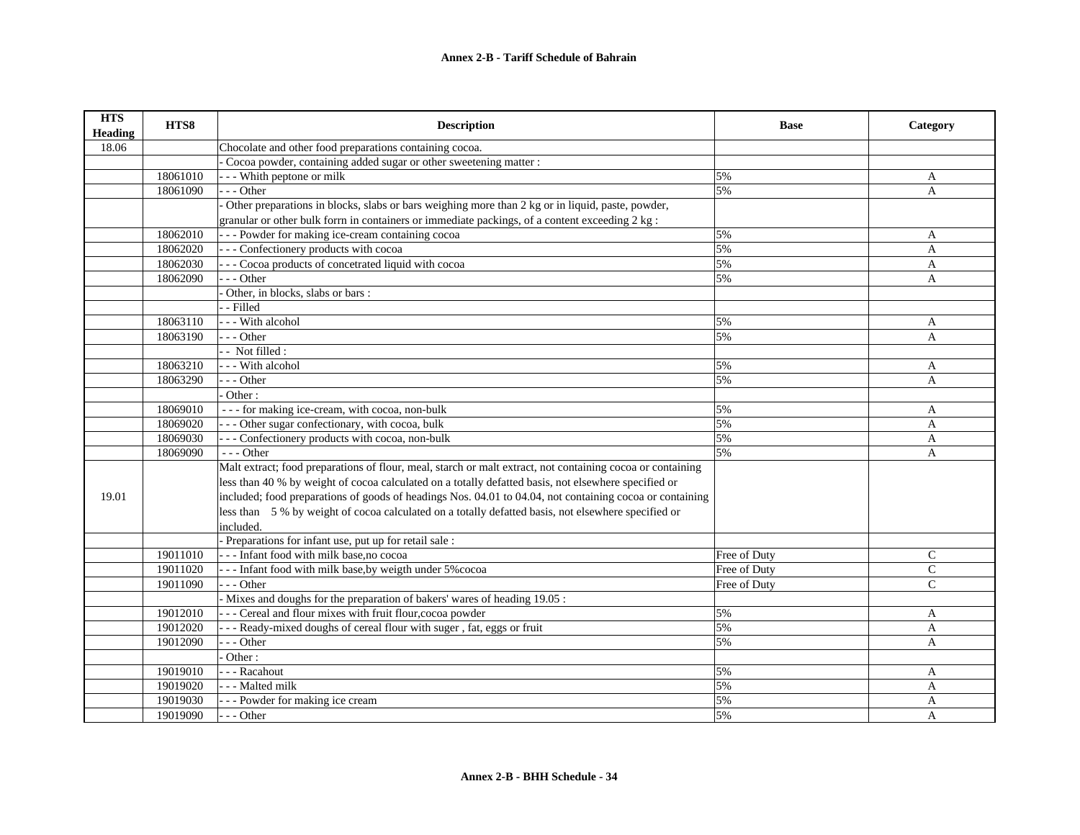| <b>HTS</b><br><b>Heading</b> | HTS8     | <b>Description</b>                                                                                         | <b>Base</b>  | Category       |
|------------------------------|----------|------------------------------------------------------------------------------------------------------------|--------------|----------------|
| 18.06                        |          | Chocolate and other food preparations containing cocoa.                                                    |              |                |
|                              |          | Cocoa powder, containing added sugar or other sweetening matter :                                          |              |                |
|                              | 18061010 | - - Whith peptone or milk                                                                                  | 5%           | A              |
|                              | 18061090 | --- Other                                                                                                  | 5%           | $\overline{A}$ |
|                              |          | Other preparations in blocks, slabs or bars weighing more than 2 kg or in liquid, paste, powder,           |              |                |
|                              |          | granular or other bulk form in containers or immediate packings, of a content exceeding 2 kg :             |              |                |
|                              | 18062010 | - - - Powder for making ice-cream containing cocoa                                                         | 5%           | A              |
|                              | 18062020 | - - - Confectionery products with cocoa                                                                    | 5%           | $\overline{A}$ |
|                              | 18062030 | - - - Cocoa products of concetrated liquid with cocoa                                                      | 5%           | $\mathbf{A}$   |
|                              | 18062090 | $-$ - Other                                                                                                | 5%           | A              |
|                              |          | Other, in blocks, slabs or bars:                                                                           |              |                |
|                              |          | - Filled                                                                                                   |              |                |
|                              | 18063110 | --- With alcohol                                                                                           | 5%           | A              |
|                              | 18063190 | $- -$ Other                                                                                                | 5%           | $\overline{A}$ |
|                              |          | - - Not filled :                                                                                           |              |                |
|                              | 18063210 | - - - With alcohol                                                                                         | 5%           | A              |
|                              | 18063290 | $-$ - Other                                                                                                | 5%           | $\overline{A}$ |
|                              |          | Other:                                                                                                     |              |                |
|                              | 18069010 | --- for making ice-cream, with cocoa, non-bulk                                                             | 5%           | A              |
|                              | 18069020 | - - - Other sugar confectionary, with cocoa, bulk                                                          | 5%           | A              |
|                              | 18069030 | - - - Confectionery products with cocoa, non-bulk                                                          | 5%           | A              |
|                              | 18069090 | --- Other                                                                                                  | 5%           | A              |
|                              |          | Malt extract; food preparations of flour, meal, starch or malt extract, not containing cocoa or containing |              |                |
|                              |          | less than 40 % by weight of cocoa calculated on a totally defatted basis, not elsewhere specified or       |              |                |
| 19.01                        |          | included; food preparations of goods of headings Nos. 04.01 to 04.04, not containing cocoa or containing   |              |                |
|                              |          | less than 5 % by weight of cocoa calculated on a totally defatted basis, not elsewhere specified or        |              |                |
|                              |          | included.                                                                                                  |              |                |
|                              |          | - Preparations for infant use, put up for retail sale :                                                    |              |                |
|                              | 19011010 | --- Infant food with milk base, no cocoa                                                                   | Free of Duty | $\mathsf{C}$   |
|                              | 19011020 | -- Infant food with milk base, by weigth under 5% cocoa                                                    | Free of Duty | $\mathbf C$    |
|                              | 19011090 | --- Other                                                                                                  | Free of Duty | $\mathsf{C}$   |
|                              |          | Mixes and doughs for the preparation of bakers' wares of heading 19.05 :                                   |              |                |
|                              | 19012010 | - - - Cereal and flour mixes with fruit flour, cocoa powder                                                | 5%           | A              |
|                              | 19012020 | - - - Ready-mixed doughs of cereal flour with suger, fat, eggs or fruit                                    | 5%           | A              |
|                              | 19012090 | $-$ - Other                                                                                                | 5%           | A              |
|                              |          | Other:                                                                                                     |              |                |
|                              | 19019010 | - - - Racahout                                                                                             | 5%           | A              |
|                              | 19019020 | - - - Malted milk                                                                                          | 5%           | A              |
|                              | 19019030 | --- Powder for making ice cream                                                                            | 5%           | A              |
|                              | 19019090 | --- Other                                                                                                  | 5%           | A              |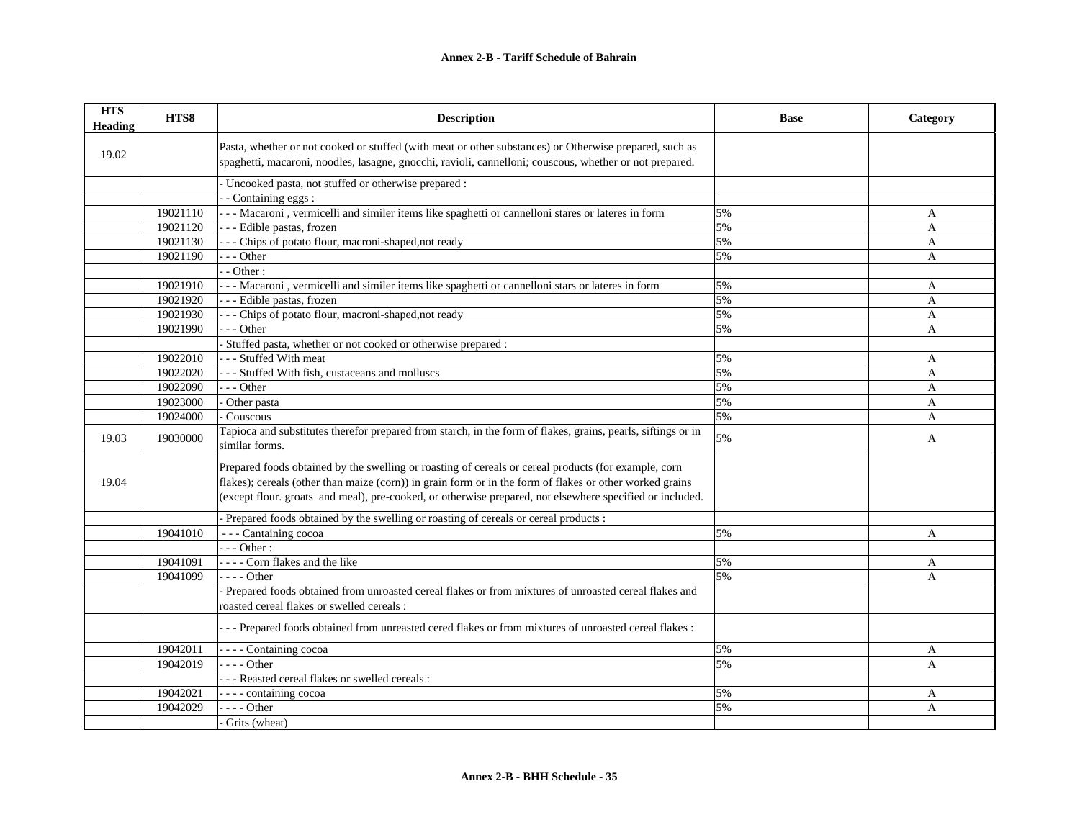## **Annex 2-B - Tariff Schedule of Bahrain**

| <b>HTS</b><br><b>Heading</b> | HTS8                 | <b>Description</b>                                                                                                                                                                                                                                                                                                           | <b>Base</b> | Category     |
|------------------------------|----------------------|------------------------------------------------------------------------------------------------------------------------------------------------------------------------------------------------------------------------------------------------------------------------------------------------------------------------------|-------------|--------------|
| 19.02                        |                      | Pasta, whether or not cooked or stuffed (with meat or other substances) or Otherwise prepared, such as<br>spaghetti, macaroni, noodles, lasagne, gnocchi, ravioli, cannelloni; couscous, whether or not prepared.                                                                                                            |             |              |
|                              |                      | Uncooked pasta, not stuffed or otherwise prepared :                                                                                                                                                                                                                                                                          |             |              |
|                              |                      | $\overline{-}$ Containing eggs :                                                                                                                                                                                                                                                                                             |             |              |
|                              | 19021110             | -- Macaroni, vermicelli and similer items like spaghetti or cannelloni stares or lateres in form                                                                                                                                                                                                                             | 5%          | A            |
|                              | 19021120             | -- Edible pastas, frozen                                                                                                                                                                                                                                                                                                     | 5%          | A            |
|                              | 19021130             | - - Chips of potato flour, macroni-shaped, not ready                                                                                                                                                                                                                                                                         | 5%          | A            |
|                              | 19021190             | $-$ - Other                                                                                                                                                                                                                                                                                                                  | 5%          | A            |
|                              |                      | - Other:                                                                                                                                                                                                                                                                                                                     |             |              |
|                              | 19021910             | --- Macaroni, vermicelli and similer items like spaghetti or cannelloni stars or lateres in form                                                                                                                                                                                                                             | 5%          | A            |
|                              | 19021920             | - - Edible pastas, frozen                                                                                                                                                                                                                                                                                                    | 5%          | $\mathbf{A}$ |
|                              | 19021930             | - - Chips of potato flour, macroni-shaped, not ready                                                                                                                                                                                                                                                                         | 5%          | A            |
|                              | 19021990             | $-$ - Other                                                                                                                                                                                                                                                                                                                  | 5%          | $\mathbf{A}$ |
|                              |                      | Stuffed pasta, whether or not cooked or otherwise prepared :                                                                                                                                                                                                                                                                 |             |              |
|                              | 19022010             | - - Stuffed With meat                                                                                                                                                                                                                                                                                                        | 5%          | A            |
|                              | 19022020             | - - Stuffed With fish, custaceans and molluscs                                                                                                                                                                                                                                                                               | 5%          | A            |
|                              | 19022090             | $-$ - Other                                                                                                                                                                                                                                                                                                                  | 5%          | $\mathbf{A}$ |
|                              | 19023000             | - Other pasta                                                                                                                                                                                                                                                                                                                | 5%          | A            |
|                              | 19024000             | Couscous                                                                                                                                                                                                                                                                                                                     | 5%          | A            |
| 19.03                        | 19030000             | Tapioca and substitutes therefor prepared from starch, in the form of flakes, grains, pearls, siftings or in<br>similar forms.                                                                                                                                                                                               | 5%          | A            |
| 19.04                        |                      | Prepared foods obtained by the swelling or roasting of cereals or cereal products (for example, corn<br>flakes); cereals (other than maize (corn)) in grain form or in the form of flakes or other worked grains<br>(except flour. groats and meal), pre-cooked, or otherwise prepared, not elsewhere specified or included. |             |              |
|                              |                      |                                                                                                                                                                                                                                                                                                                              |             |              |
|                              |                      | Prepared foods obtained by the swelling or roasting of cereals or cereal products :                                                                                                                                                                                                                                          |             |              |
|                              | 19041010             | - - - Cantaining cocoa<br>$-$ - Other :                                                                                                                                                                                                                                                                                      | 5%          | A            |
|                              |                      |                                                                                                                                                                                                                                                                                                                              |             |              |
|                              | 19041091<br>19041099 | ---- Corn flakes and the like<br>$- - -$ Other                                                                                                                                                                                                                                                                               | 5%          | A            |
|                              |                      |                                                                                                                                                                                                                                                                                                                              | 5%          | $\mathbf{A}$ |
|                              |                      | Prepared foods obtained from unroasted cereal flakes or from mixtures of unroasted cereal flakes and                                                                                                                                                                                                                         |             |              |
|                              |                      | roasted cereal flakes or swelled cereals :                                                                                                                                                                                                                                                                                   |             |              |
|                              |                      | - - - Prepared foods obtained from unreasted cered flakes or from mixtures of unroasted cereal flakes :                                                                                                                                                                                                                      |             |              |
|                              | 19042011             | ---- Containing cocoa                                                                                                                                                                                                                                                                                                        | 5%          | A            |
|                              | 19042019             | $- - -$ Other                                                                                                                                                                                                                                                                                                                | 5%          | $\mathsf{A}$ |
|                              |                      | - - Reasted cereal flakes or swelled cereals :                                                                                                                                                                                                                                                                               |             |              |
|                              | 19042021             | - - - - containing cocoa                                                                                                                                                                                                                                                                                                     | 5%          | A            |
|                              | 19042029             | $--- Other$                                                                                                                                                                                                                                                                                                                  | 5%          | $\mathbf{A}$ |
|                              |                      | Grits (wheat)                                                                                                                                                                                                                                                                                                                |             |              |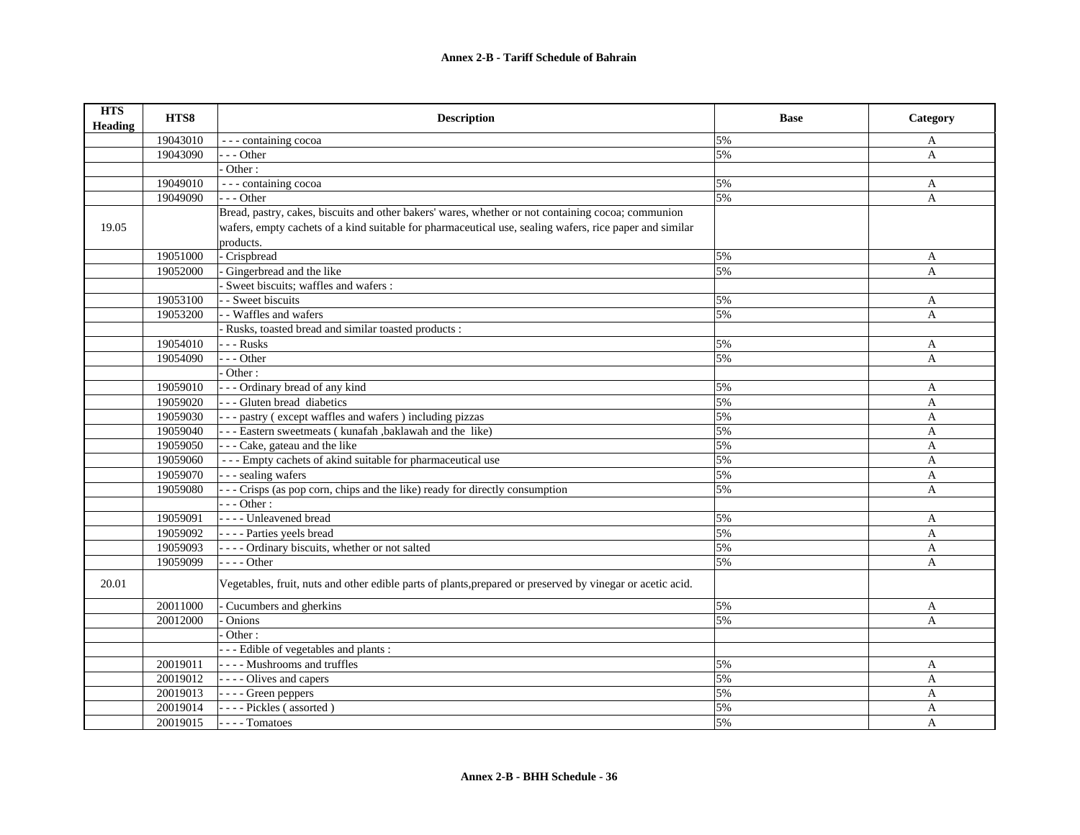## **Annex 2-B - Tariff Schedule of Bahrain**

| <b>HTS</b><br><b>Heading</b> | HTS8     | <b>Description</b>                                                                                         | <b>Base</b> | Category     |
|------------------------------|----------|------------------------------------------------------------------------------------------------------------|-------------|--------------|
|                              | 19043010 | --- containing cocoa                                                                                       | 5%          | A            |
|                              | 19043090 | $- -$ Other                                                                                                | 5%          | A            |
|                              |          | Other:                                                                                                     |             |              |
|                              | 19049010 | --- containing cocoa                                                                                       | 5%          | A            |
|                              | 19049090 | $- -$ Other                                                                                                | 5%          | $\mathbf{A}$ |
|                              |          | Bread, pastry, cakes, biscuits and other bakers' wares, whether or not containing cocoa; communion         |             |              |
| 19.05                        |          | wafers, empty cachets of a kind suitable for pharmaceutical use, sealing wafers, rice paper and similar    |             |              |
|                              |          | products.                                                                                                  |             |              |
|                              | 19051000 | - Crispbread                                                                                               | 5%          | A            |
|                              | 19052000 | Gingerbread and the like                                                                                   | 5%          | A            |
|                              |          | Sweet biscuits; waffles and wafers :                                                                       |             |              |
|                              | 19053100 | - Sweet biscuits                                                                                           | 5%          | A            |
|                              | 19053200 | - Waffles and wafers                                                                                       | 5%          | $\mathbf{A}$ |
|                              |          | Rusks, toasted bread and similar toasted products :                                                        |             |              |
|                              | 19054010 | - - - Rusks                                                                                                | 5%          | A            |
|                              | 19054090 | $-$ - Other                                                                                                | 5%          | A            |
|                              |          | Other:                                                                                                     |             |              |
|                              | 19059010 | - - - Ordinary bread of any kind                                                                           | 5%          | A            |
|                              | 19059020 | --- Gluten bread diabetics                                                                                 | 5%          | $\mathbf{A}$ |
|                              | 19059030 | --- pastry (except waffles and wafers) including pizzas                                                    | 5%          | A            |
|                              | 19059040 | --- Eastern sweetmeats (kunafah ,baklawah and the like)                                                    | 5%          | A            |
|                              | 19059050 | - - - Cake, gateau and the like                                                                            | 5%          | A            |
|                              | 19059060 | --- Empty cachets of akind suitable for pharmaceutical use                                                 | 5%          | A            |
|                              | 19059070 | - - - sealing wafers                                                                                       | 5%          | A            |
|                              | 19059080 | - - - Crisps (as pop corn, chips and the like) ready for directly consumption                              | 5%          | A            |
|                              |          | $- -$ Other :                                                                                              |             |              |
|                              | 19059091 | - - - - Unleavened bread                                                                                   | 5%          | A            |
|                              | 19059092 | ---- Parties yeels bread                                                                                   | 5%          | A            |
|                              | 19059093 | - - - - Ordinary biscuits, whether or not salted                                                           | 5%          | $\mathbf{A}$ |
|                              | 19059099 | $- - -$ Other                                                                                              | 5%          | A            |
| 20.01                        |          | Vegetables, fruit, nuts and other edible parts of plants, prepared or preserved by vinegar or acetic acid. |             |              |
|                              | 20011000 | Cucumbers and gherkins                                                                                     | 5%          | A            |
|                              | 20012000 | Onions                                                                                                     | 5%          | A            |
|                              |          | Other:                                                                                                     |             |              |
|                              |          | - - Edible of vegetables and plants :                                                                      |             |              |
|                              | 20019011 | ---- Mushrooms and truffles                                                                                | 5%          | A            |
|                              | 20019012 | - - - - Olives and capers                                                                                  | 5%          | $\mathbf{A}$ |
|                              | 20019013 | - - - - Green peppers                                                                                      | 5%          | A            |
|                              | 20019014 | ---- Pickles (assorted)                                                                                    | 5%          | $\mathbf{A}$ |
|                              | 20019015 | ---- Tomatoes                                                                                              | 5%          | A            |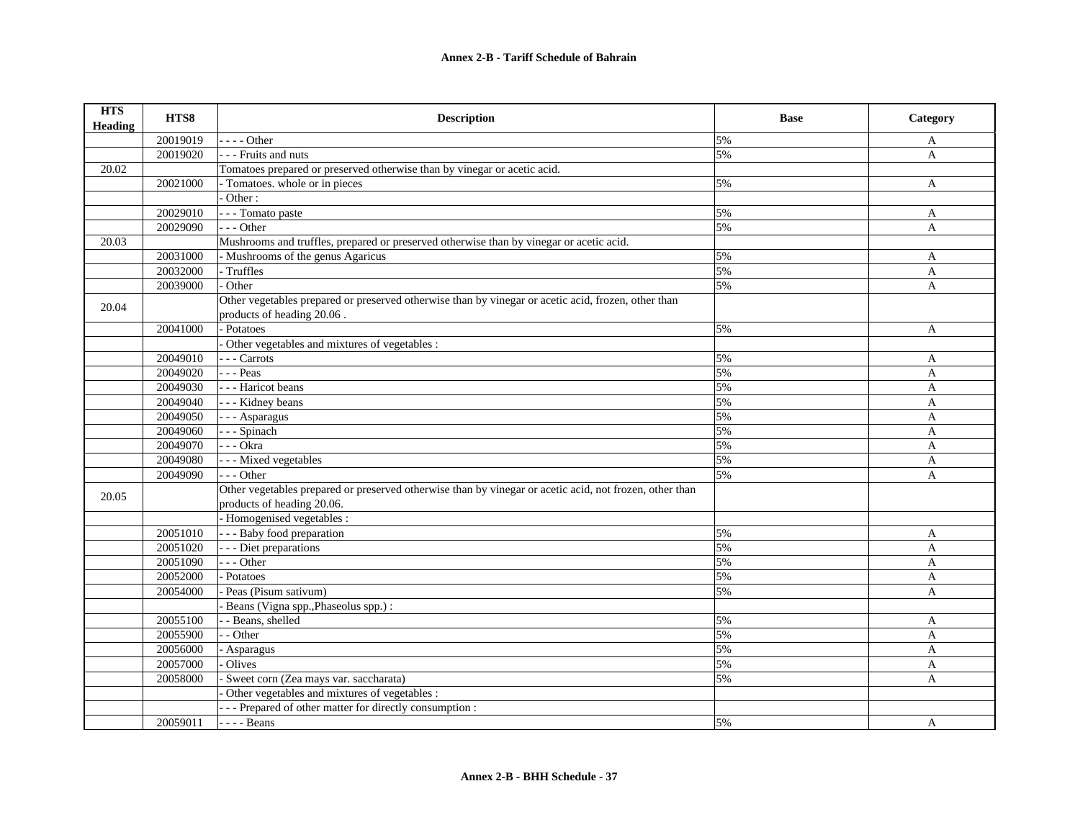| <b>HTS</b><br><b>Heading</b> | HTS8     | <b>Description</b>                                                                                                                    | <b>Base</b> | Category     |
|------------------------------|----------|---------------------------------------------------------------------------------------------------------------------------------------|-------------|--------------|
|                              | 20019019 | $---Other$                                                                                                                            | 5%          | A            |
|                              | 20019020 | - - - Fruits and nuts                                                                                                                 | 5%          | $\mathbf{A}$ |
| 20.02                        |          | Tomatoes prepared or preserved otherwise than by vinegar or acetic acid.                                                              |             |              |
|                              | 20021000 | - Tomatoes. whole or in pieces                                                                                                        | 5%          | A            |
|                              |          | Other:                                                                                                                                |             |              |
|                              | 20029010 | - - - Tomato paste                                                                                                                    | 5%          | A            |
|                              | 20029090 | $- -$ Other                                                                                                                           | 5%          | A            |
| 20.03                        |          | Mushrooms and truffles, prepared or preserved otherwise than by vinegar or acetic acid.                                               |             |              |
|                              | 20031000 | - Mushrooms of the genus Agaricus                                                                                                     | 5%          | A            |
|                              | 20032000 | - Truffles                                                                                                                            | 5%          | A            |
|                              | 20039000 | Other                                                                                                                                 | 5%          | A            |
| 20.04                        |          | Other vegetables prepared or preserved otherwise than by vinegar or acetic acid, frozen, other than<br>products of heading 20.06.     |             |              |
|                              | 20041000 | - Potatoes                                                                                                                            | 5%          | A            |
|                              |          | Other vegetables and mixtures of vegetables :                                                                                         |             |              |
|                              | 20049010 | - - - Carrots                                                                                                                         | 5%          | $\mathbf{A}$ |
|                              | 20049020 | $- -$ Peas                                                                                                                            | 5%          | A            |
|                              | 20049030 | - - - Haricot beans                                                                                                                   | 5%          | $\mathbf{A}$ |
|                              | 20049040 | - - - Kidney beans                                                                                                                    | 5%          | A            |
|                              | 20049050 | - - - Asparagus                                                                                                                       | 5%          | A            |
|                              | 20049060 | --- Spinach                                                                                                                           | 5%          | A            |
|                              | 20049070 | - - - Okra                                                                                                                            | 5%          | A            |
|                              | 20049080 | - - - Mixed vegetables                                                                                                                | 5%          | A            |
|                              | 20049090 | $- -$ Other                                                                                                                           | 5%          | A            |
| 20.05                        |          | Other vegetables prepared or preserved otherwise than by vinegar or acetic acid, not frozen, other than<br>products of heading 20.06. |             |              |
|                              |          | - Homogenised vegetables :                                                                                                            |             |              |
|                              | 20051010 | - - - Baby food preparation                                                                                                           | 5%          | A            |
|                              | 20051020 | - - - Diet preparations                                                                                                               | 5%          | A            |
|                              | 20051090 | $- -$ Other                                                                                                                           | 5%          | $\mathbf{A}$ |
|                              | 20052000 | Potatoes                                                                                                                              | 5%          | $\mathbf{A}$ |
|                              | 20054000 | Peas (Pisum sativum)                                                                                                                  | 5%          | A            |
|                              |          | Beans (Vigna spp., Phaseolus spp.):                                                                                                   |             |              |
|                              | 20055100 | - Beans, shelled                                                                                                                      | 5%          | A            |
|                              | 20055900 | - Other                                                                                                                               | 5%          | A            |
|                              | 20056000 | Asparagus                                                                                                                             | 5%          | A            |
|                              | 20057000 | Olives                                                                                                                                | 5%          | A            |
|                              | 20058000 | Sweet corn (Zea mays var. saccharata)                                                                                                 | 5%          | A            |
|                              |          | Other vegetables and mixtures of vegetables :                                                                                         |             |              |
|                              |          | --- Prepared of other matter for directly consumption :                                                                               |             |              |
|                              | 20059011 | - - - - Beans                                                                                                                         | 5%          | A            |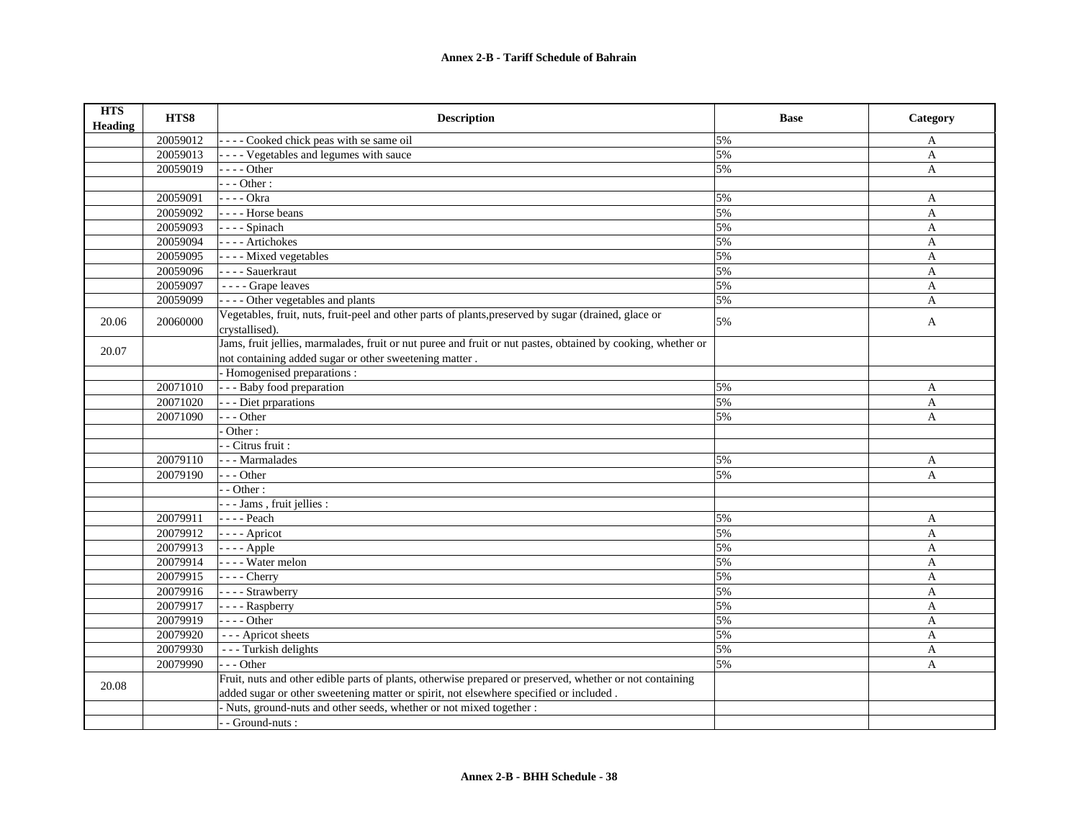| <b>HTS</b><br><b>Heading</b> | HTS8     | <b>Description</b>                                                                                                     | <b>Base</b> | Category     |
|------------------------------|----------|------------------------------------------------------------------------------------------------------------------------|-------------|--------------|
|                              | 20059012 | ---- Cooked chick peas with se same oil                                                                                | 5%          | A            |
|                              | 20059013 | - - - - Vegetables and legumes with sauce                                                                              | 5%          | A            |
|                              | 20059019 | - - - - Other                                                                                                          | 5%          | $\mathbf{A}$ |
|                              |          | $---Other:$                                                                                                            |             |              |
|                              | 20059091 | - - - - Okra                                                                                                           | 5%          | A            |
|                              | 20059092 | ---- Horse beans                                                                                                       | 5%          | $\mathbf{A}$ |
|                              | 20059093 | $---$ Spinach                                                                                                          | 5%          | A            |
|                              | 20059094 | ---- Artichokes                                                                                                        | 5%          | $\mathbf{A}$ |
|                              | 20059095 | - - - - Mixed vegetables                                                                                               | 5%          | A            |
|                              | 20059096 | - - - - Sauerkraut                                                                                                     | 5%          | A            |
|                              | 20059097 | ---- Grape leaves                                                                                                      | 5%          | A            |
|                              | 20059099 | ---- Other vegetables and plants                                                                                       | 5%          | A            |
| 20.06                        | 20060000 | Vegetables, fruit, nuts, fruit-peel and other parts of plants, preserved by sugar (drained, glace or<br>crystallised). | 5%          | A            |
| 20.07                        |          | Jams, fruit jellies, marmalades, fruit or nut puree and fruit or nut pastes, obtained by cooking, whether or           |             |              |
|                              |          | not containing added sugar or other sweetening matter.                                                                 |             |              |
|                              |          | - Homogenised preparations :                                                                                           |             |              |
|                              | 20071010 | - - - Baby food preparation                                                                                            | 5%          | A            |
|                              | 20071020 | - - - Diet prparations                                                                                                 | 5%          | $\mathbf{A}$ |
|                              | 20071090 | --- Other                                                                                                              | 5%          | A            |
|                              |          | Other:                                                                                                                 |             |              |
|                              |          | - - Citrus fruit :                                                                                                     |             |              |
|                              | 20079110 | --- Marmalades                                                                                                         | 5%          | A            |
|                              | 20079190 | --- Other                                                                                                              | 5%          | A            |
|                              |          | $-$ - Other :                                                                                                          |             |              |
|                              |          | - - - Jams, fruit jellies :                                                                                            |             |              |
|                              | 20079911 | - - - - Peach                                                                                                          | 5%          | A            |
|                              | 20079912 | $---$ Apricot                                                                                                          | 5%          | $\mathbf{A}$ |
|                              | 20079913 | $--- Apple$                                                                                                            | 5%          | $\mathbf{A}$ |
|                              | 20079914 | - - - - Water melon                                                                                                    | 5%          | $\mathbf{A}$ |
|                              | 20079915 | $---$ Cherry                                                                                                           | 5%          | A            |
|                              | 20079916 | - - - - Strawberry                                                                                                     | 5%          | $\mathbf{A}$ |
|                              | 20079917 | - - - - Raspberry                                                                                                      | 5%          | A            |
|                              | 20079919 | $---Other$                                                                                                             | 5%          | A            |
|                              | 20079920 | --- Apricot sheets                                                                                                     | 5%          | A            |
|                              | 20079930 | --- Turkish delights                                                                                                   | 5%          | A            |
|                              | 20079990 | $- -$ Other                                                                                                            | 5%          | A            |
| 20.08                        |          | Fruit, nuts and other edible parts of plants, otherwise prepared or preserved, whether or not containing               |             |              |
|                              |          | added sugar or other sweetening matter or spirit, not elsewhere specified or included.                                 |             |              |
|                              |          | Nuts, ground-nuts and other seeds, whether or not mixed together :                                                     |             |              |
|                              |          | - Ground-nuts :                                                                                                        |             |              |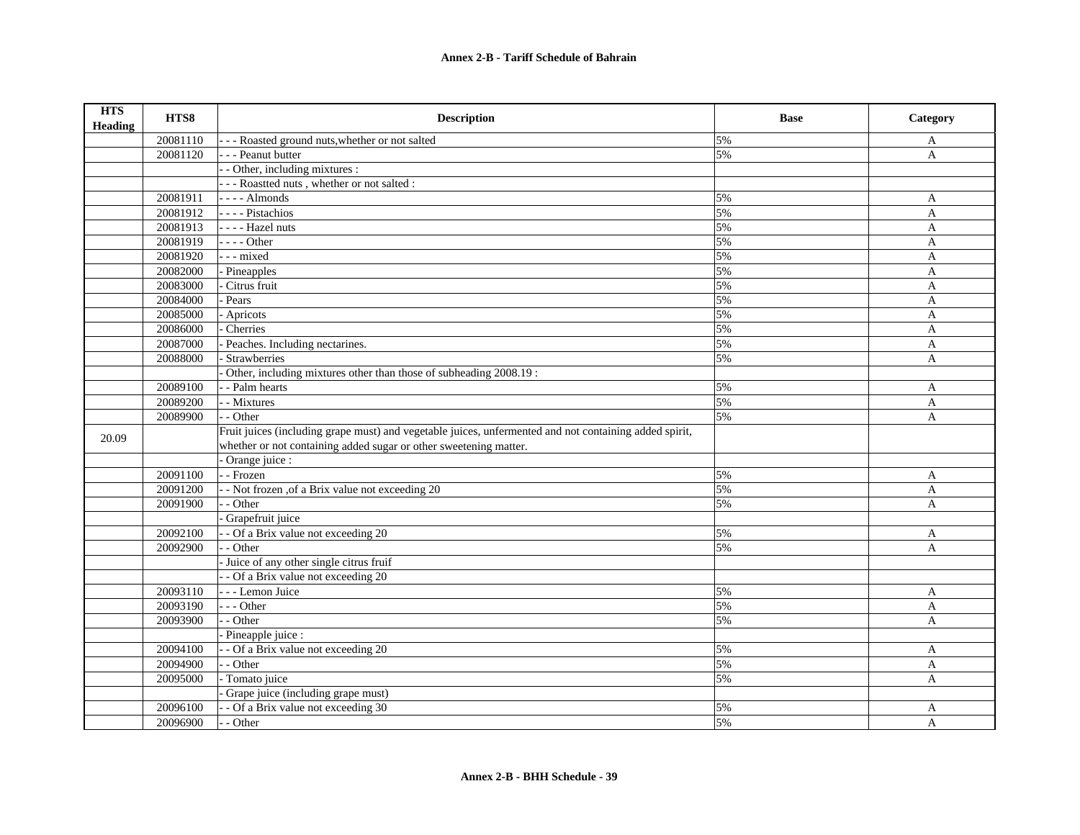| <b>HTS</b><br><b>Heading</b> | HTS8     | <b>Description</b>                                                                                                                                                          | <b>Base</b> | Category     |
|------------------------------|----------|-----------------------------------------------------------------------------------------------------------------------------------------------------------------------------|-------------|--------------|
|                              | 20081110 | --- Roasted ground nuts, whether or not salted                                                                                                                              | 5%          | A            |
|                              | 20081120 | - - - Peanut butter                                                                                                                                                         | 5%          | A            |
|                              |          | - Other, including mixtures :                                                                                                                                               |             |              |
|                              |          | - - - Roastted nuts, whether or not salted :                                                                                                                                |             |              |
|                              | 20081911 | $---$ Almonds                                                                                                                                                               | 5%          | A            |
|                              | 20081912 | - - - - Pistachios                                                                                                                                                          | 5%          | A            |
|                              | 20081913 | - - - - Hazel nuts                                                                                                                                                          | 5%          | A            |
|                              | 20081919 | $--- Other$                                                                                                                                                                 | 5%          | $\mathbf{A}$ |
|                              | 20081920 | --- mixed                                                                                                                                                                   | 5%          | A            |
|                              | 20082000 | Pineapples                                                                                                                                                                  | 5%          | A            |
|                              | 20083000 | Citrus fruit                                                                                                                                                                | 5%          | A            |
|                              | 20084000 | Pears                                                                                                                                                                       | 5%          | A            |
|                              | 20085000 | - Apricots                                                                                                                                                                  | 5%          | A            |
|                              | 20086000 | Cherries                                                                                                                                                                    | 5%          | A            |
|                              | 20087000 | Peaches. Including nectarines.                                                                                                                                              | 5%          | A            |
|                              | 20088000 | Strawberries                                                                                                                                                                | 5%          | $\mathbf{A}$ |
|                              |          | Other, including mixtures other than those of subheading 2008.19:                                                                                                           |             |              |
|                              | 20089100 | - - Palm hearts                                                                                                                                                             | 5%          | A            |
|                              | 20089200 | - - Mixtures                                                                                                                                                                | 5%          | $\mathbf{A}$ |
|                              | 20089900 | - - Other                                                                                                                                                                   | 5%          | $\mathbf{A}$ |
| 20.09                        |          | Fruit juices (including grape must) and vegetable juices, unfermented and not containing added spirit,<br>whether or not containing added sugar or other sweetening matter. |             |              |
|                              |          | Orange juice :                                                                                                                                                              |             |              |
|                              | 20091100 | - - Frozen                                                                                                                                                                  | 5%          | A            |
|                              | 20091200 | - - Not frozen , of a Brix value not exceeding 20                                                                                                                           | 5%          | A            |
|                              | 20091900 | - - Other                                                                                                                                                                   | 5%          | A            |
|                              |          | Grapefruit juice                                                                                                                                                            |             |              |
|                              | 20092100 | - Of a Brix value not exceeding 20                                                                                                                                          | 5%          | A            |
|                              | 20092900 | - - Other                                                                                                                                                                   | 5%          | A            |
|                              |          | Juice of any other single citrus fruif                                                                                                                                      |             |              |
|                              |          | - - Of a Brix value not exceeding 20                                                                                                                                        |             |              |
|                              | 20093110 | - - - Lemon Juice                                                                                                                                                           | 5%          | A            |
|                              | 20093190 | --- Other                                                                                                                                                                   | 5%          | $\mathbf{A}$ |
|                              | 20093900 | $-$ Other                                                                                                                                                                   | 5%          | $\mathbf{A}$ |
|                              |          | Pineapple juice :                                                                                                                                                           |             |              |
|                              | 20094100 | - Of a Brix value not exceeding 20                                                                                                                                          | 5%          | A            |
|                              | 20094900 | - - Other                                                                                                                                                                   | 5%          | A            |
|                              | 20095000 | - Tomato juice                                                                                                                                                              | 5%          | A            |
|                              |          | Grape juice (including grape must)                                                                                                                                          |             |              |
|                              | 20096100 | - - Of a Brix value not exceeding 30                                                                                                                                        | 5%          | A            |
|                              | 20096900 | - - Other                                                                                                                                                                   | 5%          | A            |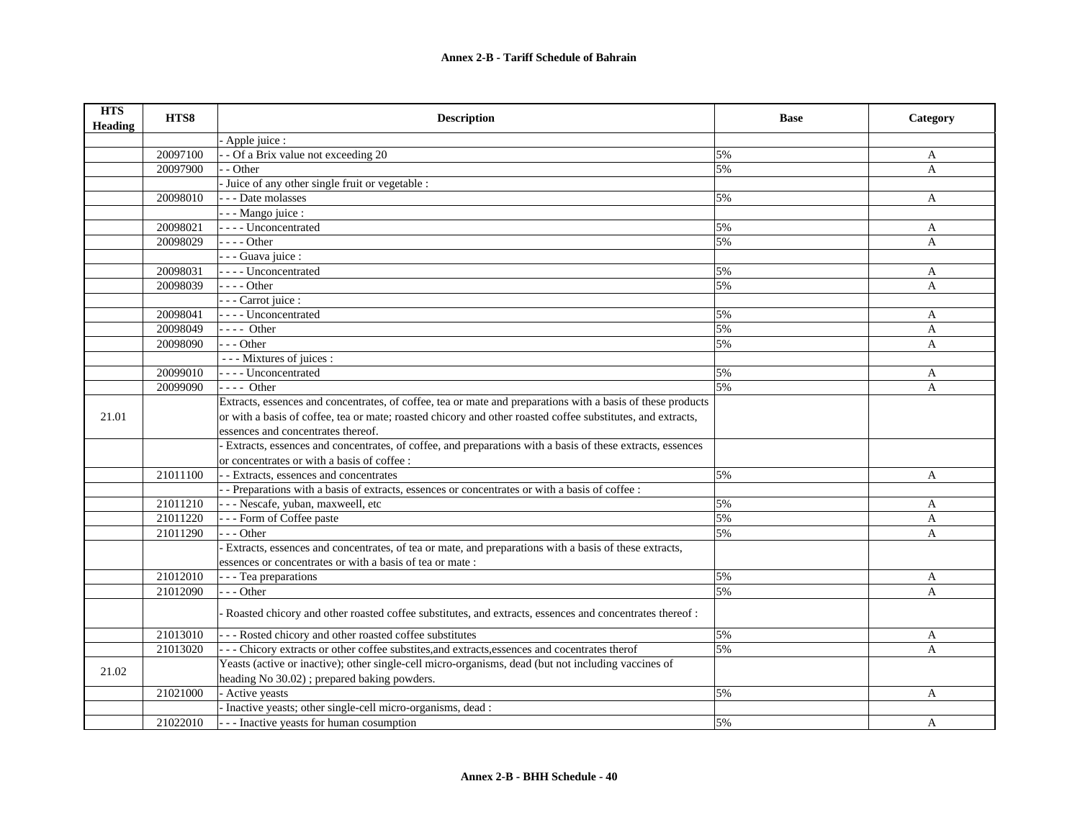| <b>HTS</b><br><b>Heading</b> | HTS8     | <b>Description</b>                                                                                          | <b>Base</b> | Category     |
|------------------------------|----------|-------------------------------------------------------------------------------------------------------------|-------------|--------------|
|                              |          | Apple juice :                                                                                               |             |              |
|                              | 20097100 | - - Of a Brix value not exceeding 20                                                                        | 5%          | A            |
|                              | 20097900 | - - Other                                                                                                   | 5%          | A            |
|                              |          | Juice of any other single fruit or vegetable :                                                              |             |              |
|                              | 20098010 | - - - Date molasses                                                                                         | 5%          | A            |
|                              |          | - - - Mango juice :                                                                                         |             |              |
|                              | 20098021 | - - - - Unconcentrated                                                                                      | 5%          | A            |
|                              | 20098029 | $- - -$ Other                                                                                               | 5%          | $\mathbf{A}$ |
|                              |          | - - - Guava juice :                                                                                         |             |              |
|                              | 20098031 | - - - - Unconcentrated                                                                                      | 5%          | A            |
|                              | 20098039 | $---$ Other                                                                                                 | 5%          | A            |
|                              |          | - - - Carrot juice :                                                                                        |             |              |
|                              | 20098041 | - - - - Unconcentrated                                                                                      | 5%          | A            |
|                              | 20098049 | $---$ Other                                                                                                 | 5%          | A            |
|                              | 20098090 | $- -$ Other                                                                                                 | 5%          | A            |
|                              |          | - - - Mixtures of juices :                                                                                  |             |              |
|                              | 20099010 | ---- Unconcentrated                                                                                         | 5%          | A            |
|                              | 20099090 | $---$ Other                                                                                                 | 5%          | A            |
|                              |          | Extracts, essences and concentrates, of coffee, tea or mate and preparations with a basis of these products |             |              |
| 21.01                        |          | or with a basis of coffee, tea or mate; roasted chicory and other roasted coffee substitutes, and extracts, |             |              |
|                              |          | essences and concentrates thereof.                                                                          |             |              |
|                              |          | Extracts, essences and concentrates, of coffee, and preparations with a basis of these extracts, essences   |             |              |
|                              |          | or concentrates or with a basis of coffee :                                                                 |             |              |
|                              | 21011100 | - - Extracts, essences and concentrates                                                                     | 5%          | A            |
|                              |          | - Preparations with a basis of extracts, essences or concentrates or with a basis of coffee :               |             |              |
|                              | 21011210 | - - - Nescafe, yuban, maxweell, etc                                                                         | 5%          | A            |
|                              | 21011220 | --- Form of Coffee paste                                                                                    | 5%          | A            |
|                              | 21011290 | $- -$ Other                                                                                                 | 5%          | A            |
|                              |          | Extracts, essences and concentrates, of tea or mate, and preparations with a basis of these extracts,       |             |              |
|                              |          | essences or concentrates or with a basis of tea or mate :                                                   |             |              |
|                              | 21012010 | - - - Tea preparations                                                                                      | 5%          | A            |
|                              | 21012090 | --- Other                                                                                                   | 5%          | A            |
|                              |          | Roasted chicory and other roasted coffee substitutes, and extracts, essences and concentrates thereof:      |             |              |
|                              | 21013010 | --- Rosted chicory and other roasted coffee substitutes                                                     | 5%          | A            |
|                              | 21013020 | - - - Chicory extracts or other coffee substites, and extracts, essences and cocentrates therof             | 5%          | A            |
|                              |          | Yeasts (active or inactive); other single-cell micro-organisms, dead (but not including vaccines of         |             |              |
| 21.02                        |          | heading No 30.02); prepared baking powders.                                                                 |             |              |
|                              | 21021000 | - Active yeasts                                                                                             | 5%          | A            |
|                              |          | Inactive yeasts; other single-cell micro-organisms, dead :                                                  |             |              |
|                              | 21022010 | --- Inactive yeasts for human cosumption                                                                    | 5%          | A            |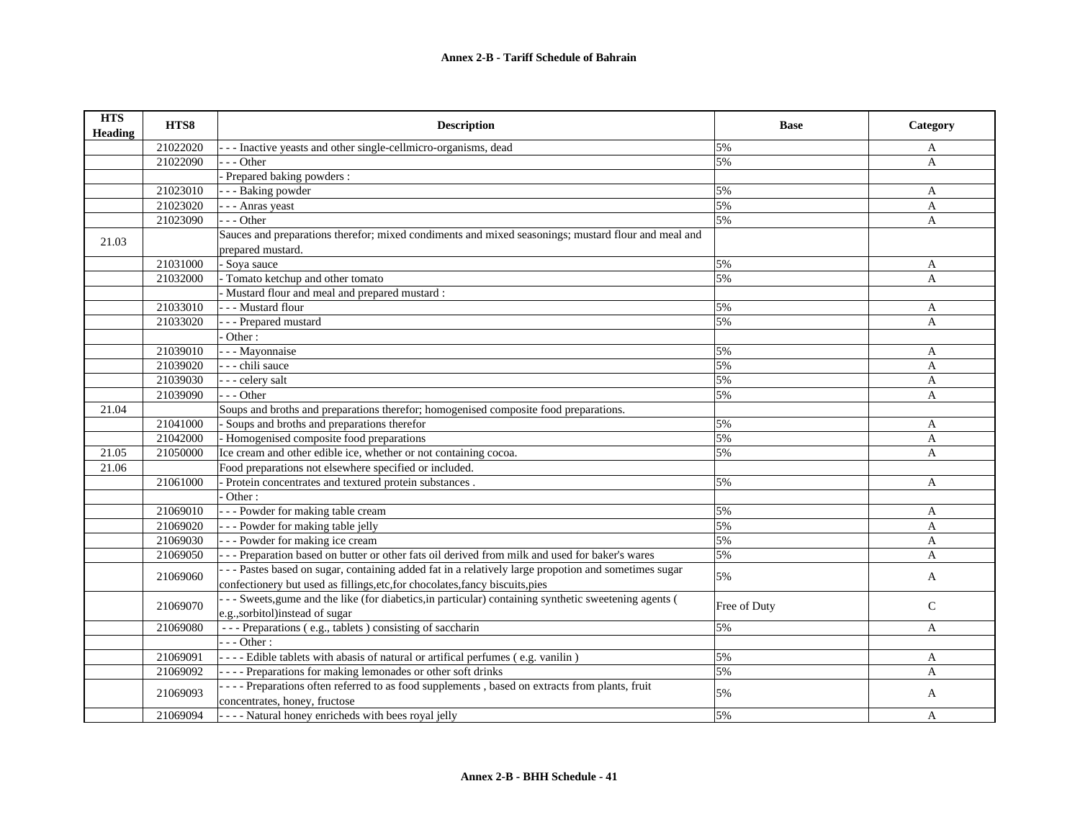| <b>HTS</b><br><b>Heading</b> | HTS8     | <b>Description</b>                                                                                    | <b>Base</b>  | Category     |
|------------------------------|----------|-------------------------------------------------------------------------------------------------------|--------------|--------------|
|                              | 21022020 | --- Inactive yeasts and other single-cellmicro-organisms, dead                                        | 5%           | A            |
|                              | 21022090 | $-$ - Other                                                                                           | 5%           | A            |
|                              |          | Prepared baking powders :                                                                             |              |              |
|                              | 21023010 | - - - Baking powder                                                                                   | 5%           | A            |
|                              | 21023020 | - - - Anras yeast                                                                                     | 5%           | A            |
|                              | 21023090 | $- -$ Other                                                                                           | 5%           | A            |
| 21.03                        |          | Sauces and preparations therefor; mixed condiments and mixed seasonings; mustard flour and meal and   |              |              |
|                              |          | prepared mustard.                                                                                     |              |              |
|                              | 21031000 | - Soya sauce                                                                                          | 5%           | A            |
|                              | 21032000 | Tomato ketchup and other tomato                                                                       | 5%           | $\mathbf{A}$ |
|                              |          | - Mustard flour and meal and prepared mustard :                                                       |              |              |
|                              | 21033010 | - - - Mustard flour                                                                                   | 5%           | A            |
|                              | 21033020 | - - - Prepared mustard                                                                                | 5%           | A            |
|                              |          | Other:                                                                                                |              |              |
|                              | 21039010 | - - - Mayonnaise                                                                                      | 5%           | A            |
|                              | 21039020 | - - - chili sauce                                                                                     | 5%           | A            |
|                              | 21039030 | - - - celery salt                                                                                     | 5%           | A            |
|                              | 21039090 | $- -$ Other                                                                                           | 5%           | A            |
| 21.04                        |          | Soups and broths and preparations therefor; homogenised composite food preparations.                  |              |              |
|                              | 21041000 | - Soups and broths and preparations therefor                                                          | 5%           | A            |
|                              | 21042000 | - Homogenised composite food preparations                                                             | 5%           | A            |
| 21.05                        | 21050000 | Ice cream and other edible ice, whether or not containing cocoa.                                      | 5%           | $\mathbf{A}$ |
| 21.06                        |          | Food preparations not elsewhere specified or included.                                                |              |              |
|                              | 21061000 | - Protein concentrates and textured protein substances.                                               | 5%           | $\mathbf{A}$ |
|                              |          | Other:                                                                                                |              |              |
|                              | 21069010 | - - - Powder for making table cream                                                                   | 5%           | A            |
|                              | 21069020 | --- Powder for making table jelly                                                                     | 5%           | A            |
|                              | 21069030 | --- Powder for making ice cream                                                                       | 5%           | A            |
|                              | 21069050 | --- Preparation based on butter or other fats oil derived from milk and used for baker's wares        | 5%           | A            |
|                              | 21069060 | --- Pastes based on sugar, containing added fat in a relatively large propotion and sometimes sugar   | 5%           | A            |
|                              |          | confectionery but used as fillings, etc, for chocolates, fancy biscuits, pies                         |              |              |
|                              | 21069070 | --- Sweets, gume and the like (for diabetics, in particular) containing synthetic sweetening agents ( | Free of Duty | $\mathsf{C}$ |
|                              |          | e.g.,sorbitol)instead of sugar                                                                        |              |              |
|                              | 21069080 | --- Preparations (e.g., tablets) consisting of saccharin                                              | 5%           | A            |
|                              |          | $-- Other:$                                                                                           |              |              |
|                              | 21069091 | - - - - Edible tablets with abasis of natural or artifical perfumes (e.g. vanilin)                    | 5%           | A            |
|                              | 21069092 | ---- Preparations for making lemonades or other soft drinks                                           | 5%           | A            |
|                              | 21069093 | ---- Preparations often referred to as food supplements, based on extracts from plants, fruit         | 5%           | A            |
|                              |          | concentrates, honey, fructose                                                                         |              |              |
|                              | 21069094 | - - - - Natural honey enricheds with bees royal jelly                                                 | 5%           | A            |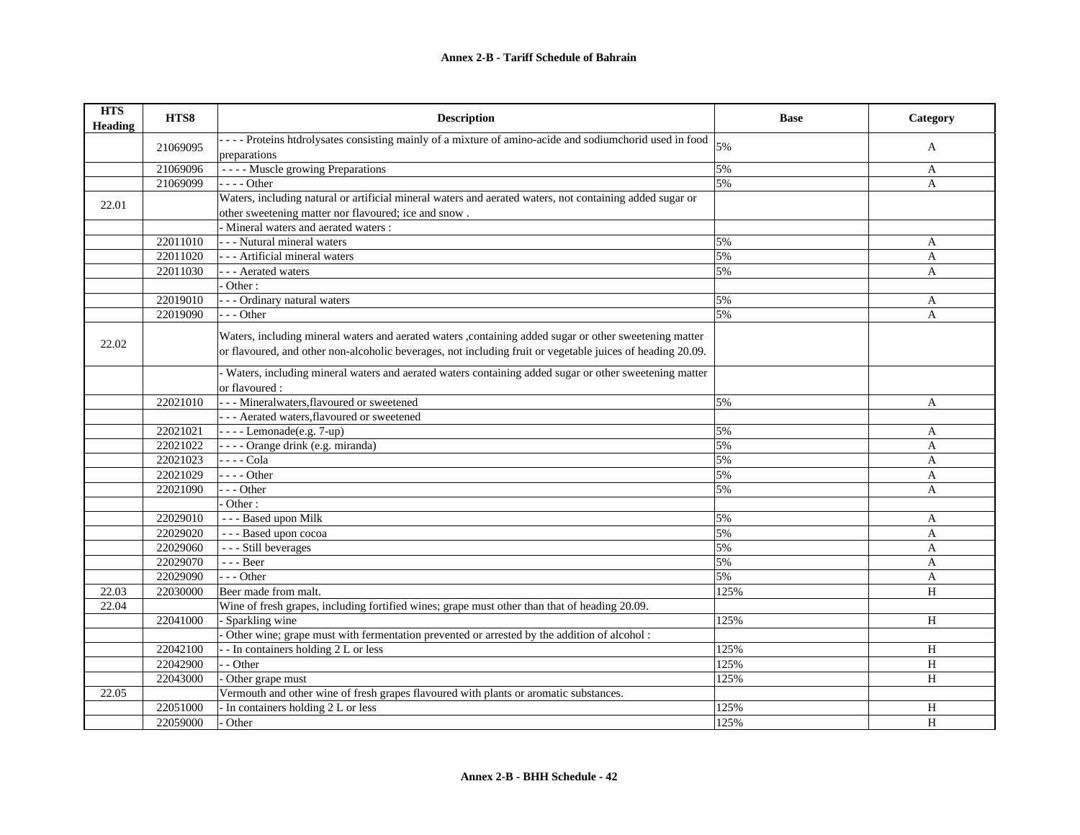| <b>HTS</b><br><b>Heading</b> | HTS8     | <b>Description</b>                                                                                         | <b>Base</b> | Category     |
|------------------------------|----------|------------------------------------------------------------------------------------------------------------|-------------|--------------|
|                              | 21069095 | ---- Proteins htdrolysates consisting mainly of a mixture of amino-acide and sodiumchorid used in food     | 5%          |              |
|                              |          | preparations                                                                                               |             | A            |
|                              | 21069096 | ---- Muscle growing Preparations                                                                           | 5%          | A            |
|                              | 21069099 | $---Other$                                                                                                 | 5%          | $\mathbf{A}$ |
| 22.01                        |          | Waters, including natural or artificial mineral waters and aerated waters, not containing added sugar or   |             |              |
|                              |          | other sweetening matter nor flavoured; ice and snow.                                                       |             |              |
|                              |          | - Mineral waters and aerated waters :                                                                      |             |              |
|                              | 22011010 | - - - Nutural mineral waters                                                                               | 5%          | A            |
|                              | 22011020 | - - - Artificial mineral waters                                                                            | 5%          | A            |
|                              | 22011030 | - - - Aerated waters                                                                                       | 5%          | A            |
|                              |          | Other:                                                                                                     |             |              |
|                              | 22019010 | - - - Ordinary natural waters                                                                              | 5%          | A            |
|                              | 22019090 | $- -$ Other                                                                                                | 5%          | A            |
|                              |          | Waters, including mineral waters and aerated waters ,containing added sugar or other sweetening matter     |             |              |
| 22.02                        |          | or flavoured, and other non-alcoholic beverages, not including fruit or vegetable juices of heading 20.09. |             |              |
|                              |          |                                                                                                            |             |              |
|                              |          | Waters, including mineral waters and aerated waters containing added sugar or other sweetening matter      |             |              |
|                              |          | or flavoured :                                                                                             |             |              |
|                              | 22021010 | --- Mineralwaters, flavoured or sweetened                                                                  | 5%          | A            |
|                              |          | --- Aerated waters, flavoured or sweetened                                                                 |             |              |
|                              | 22021021 | $---$ Lemonade(e.g. 7-up)                                                                                  | 5%          | A            |
|                              | 22021022 | - - - - Orange drink (e.g. miranda)                                                                        | 5%          | A            |
|                              | 22021023 | - - - - Cola                                                                                               | 5%          | A            |
|                              | 22021029 | $---Other$                                                                                                 | 5%          | A            |
|                              | 22021090 | $-- Other$                                                                                                 | 5%          | A            |
|                              |          | Other:                                                                                                     |             |              |
|                              | 22029010 | - - - Based upon Milk                                                                                      | 5%          | A            |
|                              | 22029020 | - - - Based upon cocoa                                                                                     | 5%          | A            |
|                              | 22029060 | - - - Still beverages                                                                                      | 5%          | A            |
|                              | 22029070 | - - - Beer                                                                                                 | 5%          | $\mathbf{A}$ |
|                              | 22029090 | $- -$ Other                                                                                                | 5%          | $\mathbf{A}$ |
| 22.03                        | 22030000 | Beer made from malt.                                                                                       | 125%        | H            |
| 22.04                        |          | Wine of fresh grapes, including fortified wines; grape must other than that of heading 20.09.              |             |              |
|                              | 22041000 | - Sparkling wine                                                                                           | 125%        | H            |
|                              |          | Other wine; grape must with fermentation prevented or arrested by the addition of alcohol :                |             |              |
|                              | 22042100 | - In containers holding 2 L or less                                                                        | 125%        | H            |
|                              | 22042900 | - Other                                                                                                    | 125%        | H            |
|                              | 22043000 | Other grape must                                                                                           | 125%        | H            |
| 22.05                        |          | Vermouth and other wine of fresh grapes flavoured with plants or aromatic substances.                      |             |              |
|                              | 22051000 | In containers holding 2 L or less                                                                          | 125%        | H            |
|                              | 22059000 | Other                                                                                                      | 125%        | H            |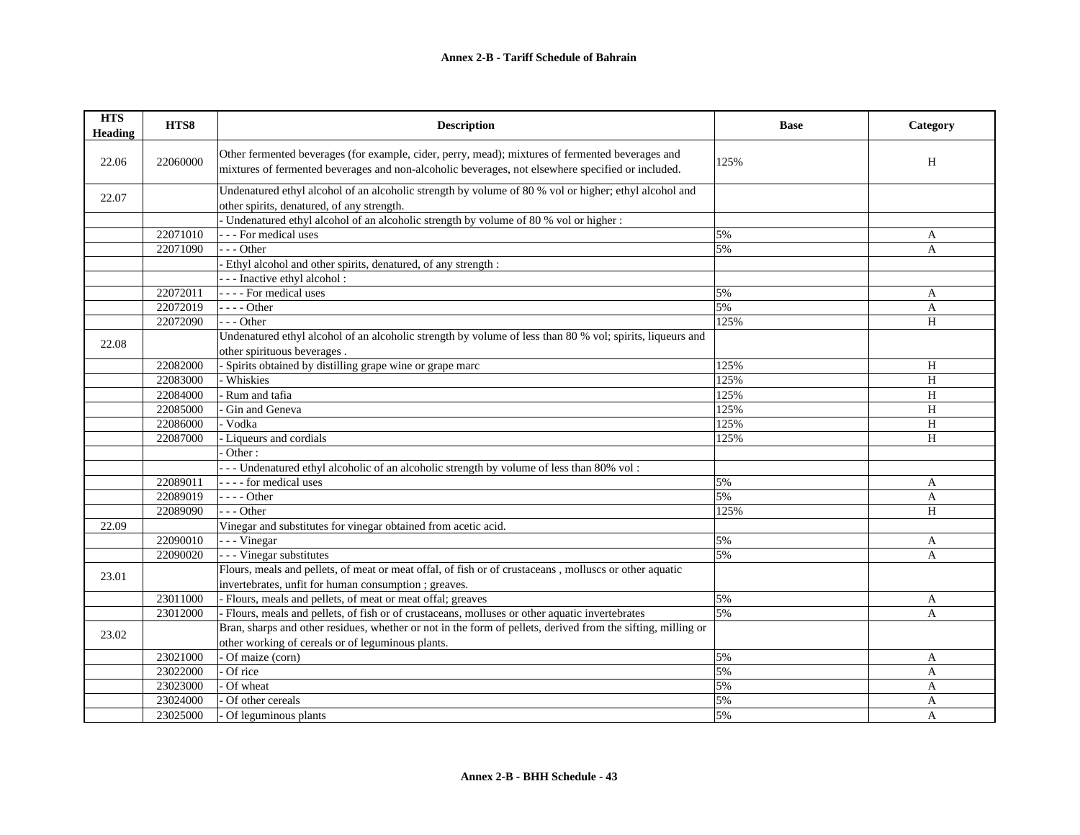| <b>HTS</b><br><b>Heading</b> | HTS8     | <b>Description</b>                                                                                                                                                                                    | <b>Base</b> | Category       |
|------------------------------|----------|-------------------------------------------------------------------------------------------------------------------------------------------------------------------------------------------------------|-------------|----------------|
| 22.06                        | 22060000 | Other fermented beverages (for example, cider, perry, mead); mixtures of fermented beverages and<br>mixtures of fermented beverages and non-alcoholic beverages, not elsewhere specified or included. | 125%        | H              |
| 22.07                        |          | Undenatured ethyl alcohol of an alcoholic strength by volume of 80 % vol or higher; ethyl alcohol and<br>other spirits, denatured, of any strength.                                                   |             |                |
|                              |          | - Undenatured ethyl alcohol of an alcoholic strength by volume of 80 % vol or higher:                                                                                                                 |             |                |
|                              | 22071010 | - - - For medical uses                                                                                                                                                                                | 5%          | A              |
|                              | 22071090 | $- -$ Other                                                                                                                                                                                           | 5%          | A              |
|                              |          | Ethyl alcohol and other spirits, denatured, of any strength :                                                                                                                                         |             |                |
|                              |          | - - - Inactive ethyl alcohol :                                                                                                                                                                        |             |                |
|                              | 22072011 | - - - - For medical uses                                                                                                                                                                              | 5%          | $\mathbf{A}$   |
|                              | 22072019 | $- - -$ Other                                                                                                                                                                                         | 5%          | $\mathbf{A}$   |
|                              | 22072090 | --- Other                                                                                                                                                                                             | 125%        | H              |
| 22.08                        |          | Undenatured ethyl alcohol of an alcoholic strength by volume of less than 80 % vol; spirits, liqueurs and                                                                                             |             |                |
|                              |          | other spirituous beverages.                                                                                                                                                                           |             |                |
|                              | 22082000 | - Spirits obtained by distilling grape wine or grape marc                                                                                                                                             | 125%        | H              |
|                              | 22083000 | Whiskies                                                                                                                                                                                              | 125%        | $\, {\rm H}$   |
|                              | 22084000 | Rum and tafia                                                                                                                                                                                         | 125%        | H              |
|                              | 22085000 | Gin and Geneva                                                                                                                                                                                        | 125%        | H              |
|                              | 22086000 | Vodka                                                                                                                                                                                                 | 125%        | H              |
|                              | 22087000 | Liqueurs and cordials                                                                                                                                                                                 | 125%        | H              |
|                              |          | Other:                                                                                                                                                                                                |             |                |
|                              |          | --- Undenatured ethyl alcoholic of an alcoholic strength by volume of less than 80% vol:                                                                                                              |             |                |
|                              | 22089011 | - - - - for medical uses                                                                                                                                                                              | 5%          | $\mathbf{A}$   |
|                              | 22089019 | $---Other$                                                                                                                                                                                            | 5%          | A              |
|                              | 22089090 | $- -$ Other                                                                                                                                                                                           | 125%        | H              |
| 22.09                        |          | Vinegar and substitutes for vinegar obtained from acetic acid.                                                                                                                                        |             |                |
|                              | 22090010 | - - - Vinegar                                                                                                                                                                                         | 5%          | A              |
|                              | 22090020 | - - - Vinegar substitutes                                                                                                                                                                             | 5%          | A              |
|                              |          | Flours, meals and pellets, of meat or meat offal, of fish or of crustaceans, molluscs or other aquatic                                                                                                |             |                |
| 23.01                        |          | invertebrates, unfit for human consumption; greaves.                                                                                                                                                  |             |                |
|                              | 23011000 | - Flours, meals and pellets, of meat or meat offal; greaves                                                                                                                                           | 5%          | A              |
|                              | 23012000 | - Flours, meals and pellets, of fish or of crustaceans, molluses or other aquatic invertebrates                                                                                                       | 5%          | $\mathbf{A}$   |
|                              |          | Bran, sharps and other residues, whether or not in the form of pellets, derived from the sifting, milling or                                                                                          |             |                |
| 23.02                        |          | other working of cereals or of leguminous plants.                                                                                                                                                     |             |                |
|                              | 23021000 | Of maize (corn)                                                                                                                                                                                       | 5%          | A              |
|                              | 23022000 | Of rice                                                                                                                                                                                               | 5%          | A              |
|                              | 23023000 | Of wheat                                                                                                                                                                                              | 5%          | A              |
|                              | 23024000 | Of other cereals                                                                                                                                                                                      | 5%          | $\mathbf{A}$   |
|                              | 23025000 | Of leguminous plants                                                                                                                                                                                  | 5%          | $\overline{A}$ |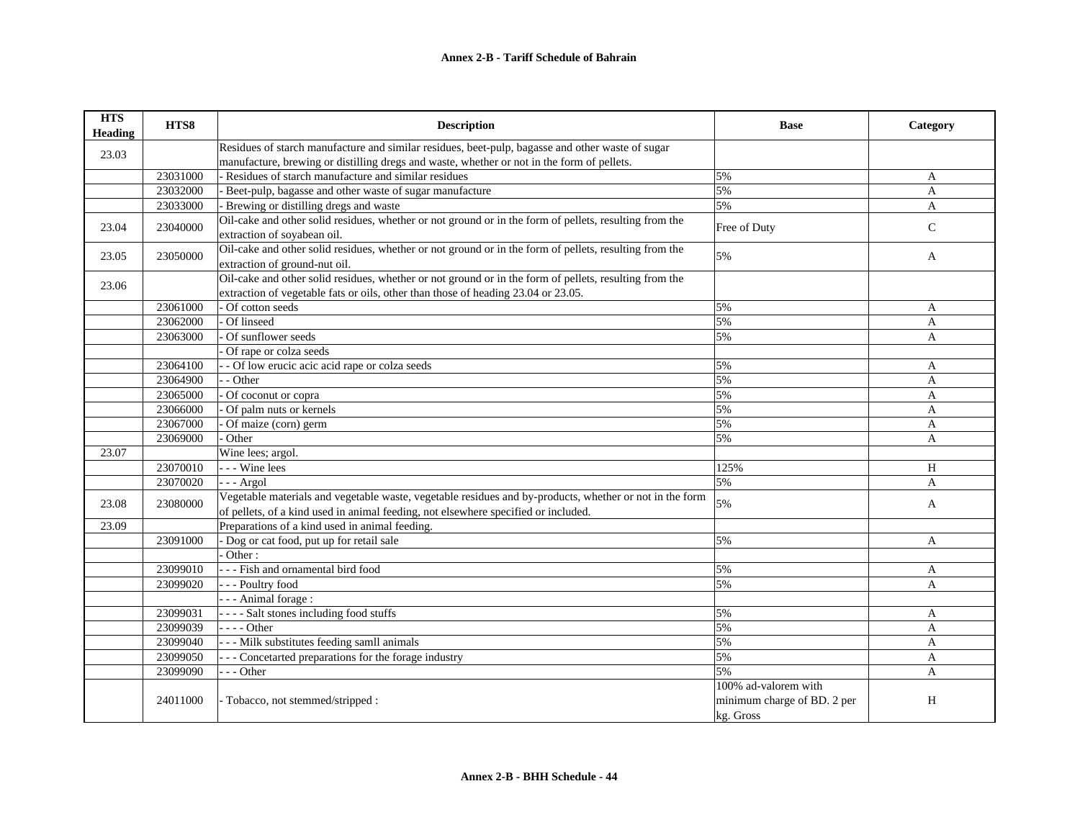## **Annex 2-B - Tariff Schedule of Bahrain**

| <b>HTS</b><br><b>Heading</b> | HTS8     | <b>Description</b>                                                                                                                                                                            | <b>Base</b>                                                      | Category       |
|------------------------------|----------|-----------------------------------------------------------------------------------------------------------------------------------------------------------------------------------------------|------------------------------------------------------------------|----------------|
| 23.03                        |          | Residues of starch manufacture and similar residues, beet-pulp, bagasse and other waste of sugar                                                                                              |                                                                  |                |
|                              |          | manufacture, brewing or distilling dregs and waste, whether or not in the form of pellets.                                                                                                    |                                                                  |                |
|                              | 23031000 | Residues of starch manufacture and similar residues                                                                                                                                           | 5%                                                               | A              |
|                              | 23032000 | - Beet-pulp, bagasse and other waste of sugar manufacture                                                                                                                                     | 5%                                                               | $\overline{A}$ |
|                              | 23033000 | - Brewing or distilling dregs and waste                                                                                                                                                       | 5%                                                               | $\mathbf{A}$   |
| 23.04                        | 23040000 | Oil-cake and other solid residues, whether or not ground or in the form of pellets, resulting from the<br>extraction of soyabean oil.                                                         | Free of Duty                                                     | $\mathsf{C}$   |
| 23.05                        | 23050000 | Oil-cake and other solid residues, whether or not ground or in the form of pellets, resulting from the<br>extraction of ground-nut oil.                                                       | 5%                                                               | A              |
| 23.06                        |          | Oil-cake and other solid residues, whether or not ground or in the form of pellets, resulting from the<br>extraction of vegetable fats or oils, other than those of heading 23.04 or 23.05.   |                                                                  |                |
|                              | 23061000 | Of cotton seeds                                                                                                                                                                               | 5%                                                               | A              |
|                              | 23062000 | Of linseed                                                                                                                                                                                    | 5%                                                               | A              |
|                              | 23063000 | Of sunflower seeds                                                                                                                                                                            | 5%                                                               | A              |
|                              |          | Of rape or colza seeds                                                                                                                                                                        |                                                                  |                |
|                              | 23064100 | - Of low erucic acic acid rape or colza seeds                                                                                                                                                 | 5%                                                               | A              |
|                              | 23064900 | - Other                                                                                                                                                                                       | 5%                                                               | $\overline{A}$ |
|                              | 23065000 | $\overline{\overline{\text{Of}}}$ coconut or copra                                                                                                                                            | 5%                                                               | A              |
|                              | 23066000 | Of palm nuts or kernels                                                                                                                                                                       | 5%                                                               | A              |
|                              | 23067000 | Of maize (corn) germ                                                                                                                                                                          | 5%                                                               | A              |
|                              | 23069000 | Other                                                                                                                                                                                         | 5%                                                               | A              |
| 23.07                        |          | Wine lees; argol.                                                                                                                                                                             |                                                                  |                |
|                              | 23070010 | --- Wine lees                                                                                                                                                                                 | 125%                                                             | H              |
|                              | 23070020 | - - - Argol                                                                                                                                                                                   | 5%                                                               | A              |
| 23.08                        | 23080000 | Vegetable materials and vegetable waste, vegetable residues and by-products, whether or not in the form<br>of pellets, of a kind used in animal feeding, not elsewhere specified or included. | 5%                                                               | $\overline{A}$ |
| 23.09                        |          | Preparations of a kind used in animal feeding.                                                                                                                                                |                                                                  |                |
|                              | 23091000 | - Dog or cat food, put up for retail sale                                                                                                                                                     | 5%                                                               | A              |
|                              |          | Other:                                                                                                                                                                                        |                                                                  |                |
|                              | 23099010 | - - - Fish and ornamental bird food                                                                                                                                                           | 5%                                                               | A              |
|                              | 23099020 | --- Poultry food                                                                                                                                                                              | 5%                                                               | $\mathbf{A}$   |
|                              |          | - - - Animal forage :                                                                                                                                                                         |                                                                  |                |
|                              | 23099031 | ---- Salt stones including food stuffs                                                                                                                                                        | 5%                                                               | A              |
|                              | 23099039 | $---Other$                                                                                                                                                                                    | 5%                                                               | A              |
|                              | 23099040 | --- Milk substitutes feeding samll animals                                                                                                                                                    | 5%                                                               | A              |
|                              | 23099050 | --- Concetarted preparations for the forage industry                                                                                                                                          | 5%                                                               | A              |
|                              | 23099090 | $- -$ Other                                                                                                                                                                                   | 5%                                                               | A              |
|                              | 24011000 | - Tobacco, not stemmed/stripped :                                                                                                                                                             | 100% ad-valorem with<br>minimum charge of BD. 2 per<br>kg. Gross | H              |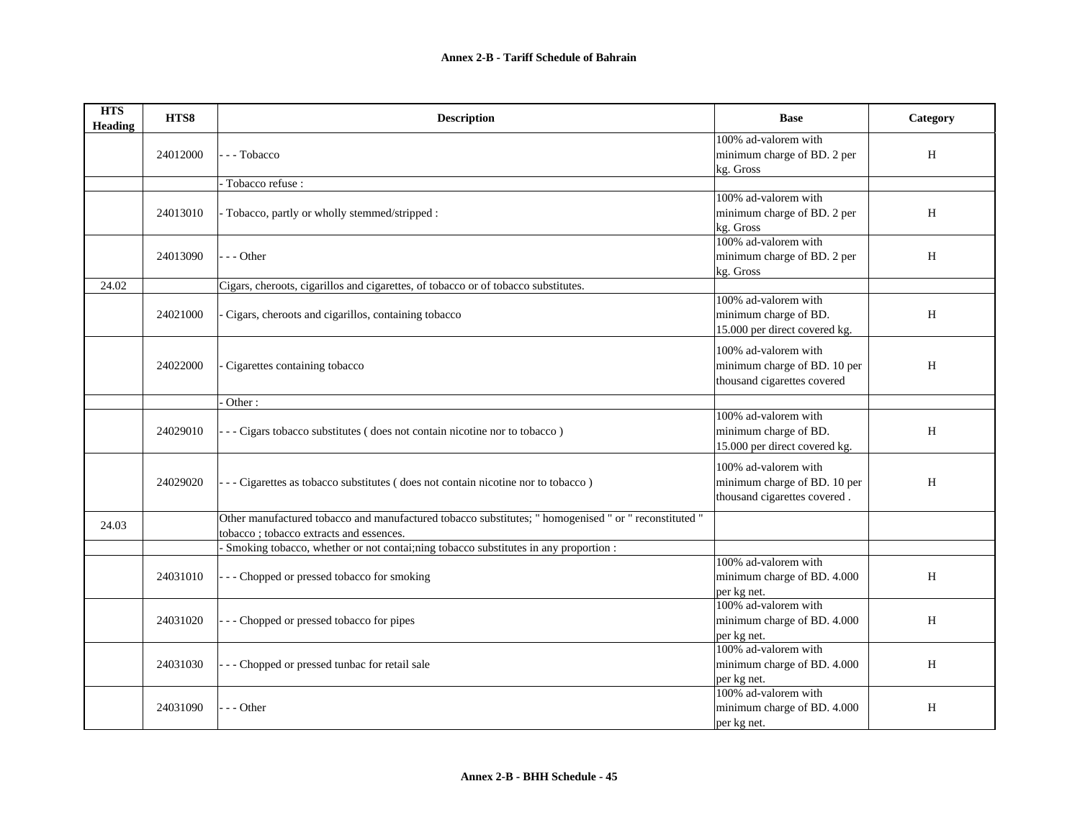| <b>HTS</b><br><b>Heading</b> | HTS8     | <b>Description</b>                                                                                                                               | <b>Base</b>                                                                          | Category |
|------------------------------|----------|--------------------------------------------------------------------------------------------------------------------------------------------------|--------------------------------------------------------------------------------------|----------|
|                              | 24012000 | - - Tobacco                                                                                                                                      | 100% ad-valorem with<br>minimum charge of BD. 2 per<br>kg. Gross                     | H        |
|                              |          | Tobacco refuse:                                                                                                                                  |                                                                                      |          |
|                              | 24013010 | - Tobacco, partly or wholly stemmed/stripped :                                                                                                   | 100% ad-valorem with<br>minimum charge of BD. 2 per<br>kg. Gross                     | H        |
|                              | 24013090 | - - Other                                                                                                                                        | 100% ad-valorem with<br>minimum charge of BD. 2 per<br>kg. Gross                     | H        |
| 24.02                        |          | Cigars, cheroots, cigarillos and cigarettes, of tobacco or of tobacco substitutes.                                                               |                                                                                      |          |
|                              | 24021000 | Cigars, cheroots and cigarillos, containing tobacco                                                                                              | 100% ad-valorem with<br>minimum charge of BD.<br>15.000 per direct covered kg.       | H        |
|                              | 24022000 | Cigarettes containing tobacco                                                                                                                    | 100% ad-valorem with<br>minimum charge of BD. 10 per<br>thousand cigarettes covered  | H        |
|                              |          | Other:                                                                                                                                           |                                                                                      |          |
|                              | 24029010 | - - Cigars tobacco substitutes (does not contain nicotine nor to tobacco)                                                                        | 100% ad-valorem with<br>minimum charge of BD.<br>15.000 per direct covered kg.       | H        |
|                              | 24029020 | - - Cigarettes as tobacco substitutes (does not contain nicotine nor to tobacco)                                                                 | 100% ad-valorem with<br>minimum charge of BD. 10 per<br>thousand cigarettes covered. | H        |
| 24.03                        |          | Other manufactured tobacco and manufactured tobacco substitutes; " homogenised " or " reconstituted "<br>tobacco; tobacco extracts and essences. |                                                                                      |          |
|                              |          | Smoking tobacco, whether or not contai;ning tobacco substitutes in any proportion :                                                              |                                                                                      |          |
|                              | 24031010 | - Chopped or pressed tobacco for smoking                                                                                                         | 100% ad-valorem with<br>minimum charge of BD. 4.000<br>per kg net.                   | H        |
|                              | 24031020 | Chopped or pressed tobacco for pipes                                                                                                             | 100% ad-valorem with<br>minimum charge of BD. 4.000<br>per kg net.                   | H        |
|                              | 24031030 | - Chopped or pressed tunbac for retail sale                                                                                                      | 100% ad-valorem with<br>minimum charge of BD. 4.000<br>per kg net.                   | H        |
|                              | 24031090 | - - Other                                                                                                                                        | 100% ad-valorem with<br>minimum charge of BD. 4.000<br>per kg net.                   | H        |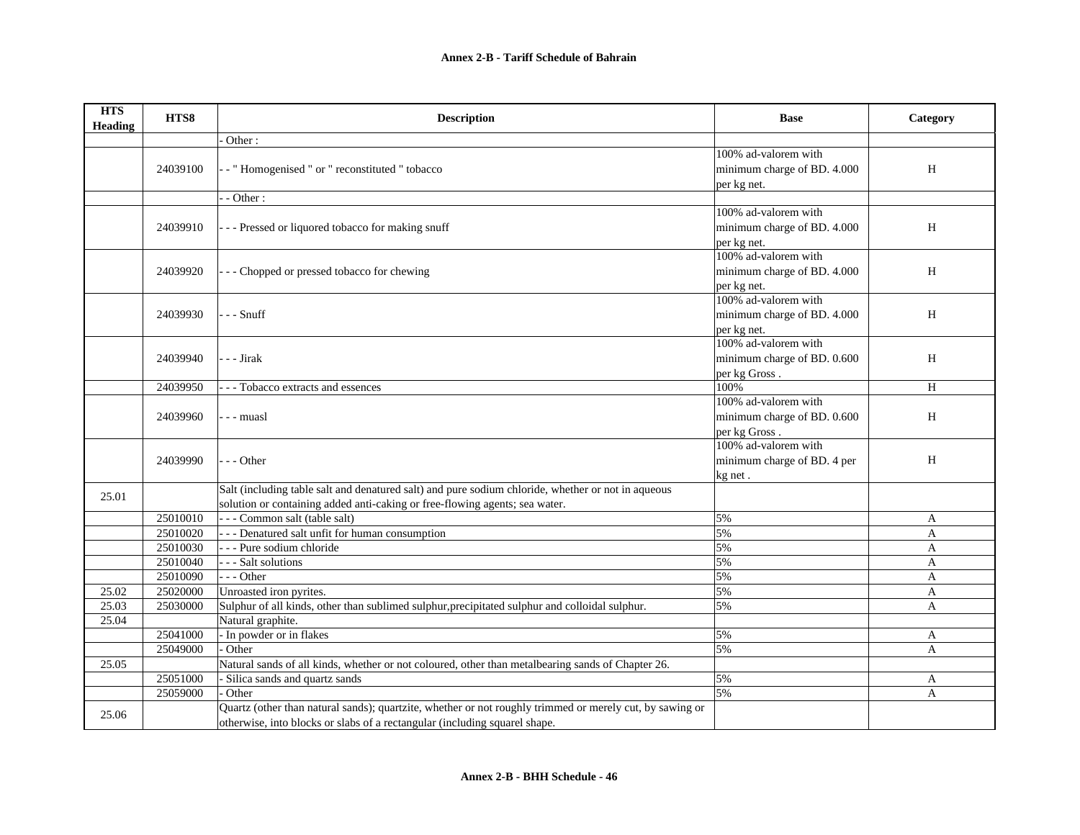| <b>HTS</b><br>Heading | HTS8     | <b>Description</b>                                                                                       | <b>Base</b>                 | Category     |
|-----------------------|----------|----------------------------------------------------------------------------------------------------------|-----------------------------|--------------|
|                       |          | Other:                                                                                                   |                             |              |
|                       |          |                                                                                                          | 100% ad-valorem with        |              |
|                       | 24039100 | - "Homogenised " or " reconstituted " tobacco                                                            | minimum charge of BD. 4.000 | H            |
|                       |          |                                                                                                          | per kg net.                 |              |
|                       |          | - Other:                                                                                                 |                             |              |
|                       |          |                                                                                                          | 100% ad-valorem with        |              |
|                       | 24039910 | --- Pressed or liquored tobacco for making snuff                                                         | minimum charge of BD. 4.000 | H            |
|                       |          |                                                                                                          | per kg net.                 |              |
|                       |          |                                                                                                          | 100% ad-valorem with        |              |
|                       | 24039920 | - - Chopped or pressed tobacco for chewing                                                               | minimum charge of BD. 4.000 | H            |
|                       |          |                                                                                                          | per kg net.                 |              |
|                       |          |                                                                                                          | 100% ad-valorem with        |              |
|                       | 24039930 | - - - Snuff                                                                                              | minimum charge of BD. 4.000 | H            |
|                       |          |                                                                                                          | per kg net.                 |              |
|                       |          |                                                                                                          | 100% ad-valorem with        |              |
|                       | 24039940 | - - Jirak                                                                                                | minimum charge of BD. 0.600 | H            |
|                       |          |                                                                                                          | per kg Gross.               |              |
|                       | 24039950 | - Tobacco extracts and essences                                                                          | 100%                        | H            |
|                       |          |                                                                                                          | 100% ad-valorem with        |              |
|                       | 24039960 | - - muasl                                                                                                | minimum charge of BD. 0.600 | H            |
|                       |          |                                                                                                          | per kg Gross.               |              |
|                       |          |                                                                                                          | 100% ad-valorem with        |              |
|                       | 24039990 | - - Other                                                                                                | minimum charge of BD. 4 per | H            |
|                       |          |                                                                                                          | kg net.                     |              |
| 25.01                 |          | Salt (including table salt and denatured salt) and pure sodium chloride, whether or not in aqueous       |                             |              |
|                       |          | solution or containing added anti-caking or free-flowing agents; sea water.                              |                             |              |
|                       | 25010010 | --- Common salt (table salt)                                                                             | 5%                          | A            |
|                       | 25010020 | - - - Denatured salt unfit for human consumption                                                         | 5%                          | A            |
|                       | 25010030 | - - - Pure sodium chloride                                                                               | 5%                          | A            |
|                       | 25010040 | --- Salt solutions                                                                                       | 5%                          | A            |
|                       | 25010090 | $- -$ Other                                                                                              | 5%                          | A            |
| 25.02                 | 25020000 | Unroasted iron pyrites.                                                                                  | 5%                          | A            |
| 25.03                 | 25030000 | Sulphur of all kinds, other than sublimed sulphur, precipitated sulphur and colloidal sulphur.           | 5%                          | $\mathbf{A}$ |
| 25.04                 |          | Natural graphite.                                                                                        |                             |              |
|                       | 25041000 | - In powder or in flakes                                                                                 | 5%                          | A            |
|                       | 25049000 | Other                                                                                                    | 5%                          | A            |
| 25.05                 |          | Natural sands of all kinds, whether or not coloured, other than metalbearing sands of Chapter 26.        |                             |              |
|                       | 25051000 | - Silica sands and quartz sands                                                                          | 5%                          | A            |
|                       | 25059000 | Other                                                                                                    | 5%                          | A            |
| 25.06                 |          | Quartz (other than natural sands); quartzite, whether or not roughly trimmed or merely cut, by sawing or |                             |              |
|                       |          | otherwise, into blocks or slabs of a rectangular (including squarel shape.                               |                             |              |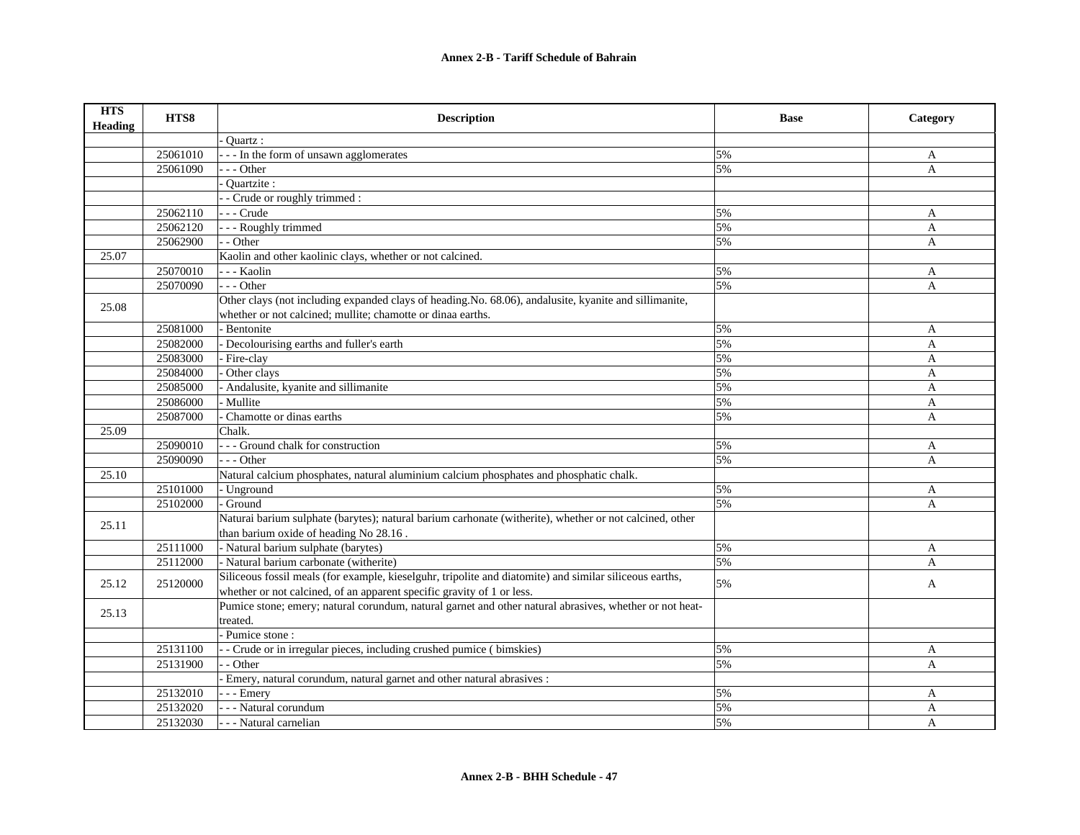| <b>HTS</b><br>Heading | HTS8     | <b>Description</b>                                                                                                                                                                | <b>Base</b> | Category     |
|-----------------------|----------|-----------------------------------------------------------------------------------------------------------------------------------------------------------------------------------|-------------|--------------|
|                       |          | Ouartz:                                                                                                                                                                           |             |              |
|                       | 25061010 | - - - In the form of unsawn agglomerates                                                                                                                                          | 5%          | A            |
|                       | 25061090 | --- Other                                                                                                                                                                         | 5%          | $\mathbf{A}$ |
|                       |          | Ouartzite :                                                                                                                                                                       |             |              |
|                       |          | - Crude or roughly trimmed :                                                                                                                                                      |             |              |
|                       | 25062110 | - - - Crude                                                                                                                                                                       | 5%          | A            |
|                       | 25062120 | - - - Roughly trimmed                                                                                                                                                             | 5%          | A            |
|                       | 25062900 | - - Other                                                                                                                                                                         | 5%          | $\mathbf{A}$ |
| 25.07                 |          | Kaolin and other kaolinic clays, whether or not calcined.                                                                                                                         |             |              |
|                       | 25070010 | - - - Kaolin                                                                                                                                                                      | 5%          | A            |
|                       | 25070090 | $- -$ Other                                                                                                                                                                       | 5%          | A            |
| 25.08                 |          | Other clays (not including expanded clays of heading.No. 68.06), andalusite, kyanite and sillimanite,                                                                             |             |              |
|                       |          | whether or not calcined; mullite; chamotte or dinaa earths.                                                                                                                       |             |              |
|                       | 25081000 | - Bentonite                                                                                                                                                                       | 5%          | A            |
|                       | 25082000 | Decolourising earths and fuller's earth                                                                                                                                           | 5%          | $\mathbf{A}$ |
|                       | 25083000 | Fire-clay                                                                                                                                                                         | 5%          | A            |
|                       | 25084000 | Other clays                                                                                                                                                                       | 5%          | $\mathbf{A}$ |
|                       | 25085000 | - Andalusite, kyanite and sillimanite                                                                                                                                             | 5%          | $\mathbf{A}$ |
|                       | 25086000 | Mullite                                                                                                                                                                           | 5%          | $\mathbf{A}$ |
|                       | 25087000 | Chamotte or dinas earths                                                                                                                                                          | 5%          | A            |
| 25.09                 |          | Chalk.                                                                                                                                                                            |             |              |
|                       | 25090010 | --- Ground chalk for construction                                                                                                                                                 | 5%          | A            |
|                       | 25090090 | $- -$ Other                                                                                                                                                                       | 5%          | A            |
| 25.10                 |          | Natural calcium phosphates, natural aluminium calcium phosphates and phosphatic chalk.                                                                                            |             |              |
|                       | 25101000 | - Unground                                                                                                                                                                        | 5%          | A            |
|                       | 25102000 | Ground                                                                                                                                                                            | 5%          | $\mathbf{A}$ |
| 25.11                 |          | Naturai barium sulphate (barytes); natural barium carhonate (witherite), whether or not calcined, other<br>than barium oxide of heading No 28.16.                                 |             |              |
|                       | 25111000 | - Natural barium sulphate (barytes)                                                                                                                                               | 5%          |              |
|                       |          |                                                                                                                                                                                   | 5%          | A            |
|                       | 25112000 | - Natural barium carbonate (witherite)                                                                                                                                            |             | A            |
| 25.12                 | 25120000 | Siliceous fossil meals (for example, kieselguhr, tripolite and diatomite) and similar siliceous earths,<br>whether or not calcined, of an apparent specific gravity of 1 or less. | 5%          | A            |
| 25.13                 |          | Pumice stone; emery; natural corundum, natural garnet and other natural abrasives, whether or not heat-                                                                           |             |              |
|                       |          | treated.                                                                                                                                                                          |             |              |
|                       |          | - Pumice stone:                                                                                                                                                                   |             |              |
|                       | 25131100 | - Crude or in irregular pieces, including crushed pumice (bimskies)                                                                                                               | 5%          | A            |
|                       | 25131900 | - Other                                                                                                                                                                           | 5%          | A            |
|                       |          | Emery, natural corundum, natural garnet and other natural abrasives :                                                                                                             |             |              |
|                       | 25132010 | - - Emery                                                                                                                                                                         | 5%          | A            |
|                       | 25132020 | - - Natural corundum                                                                                                                                                              | 5%          | A            |
|                       | 25132030 | - - - Natural carnelian                                                                                                                                                           | 5%          | A            |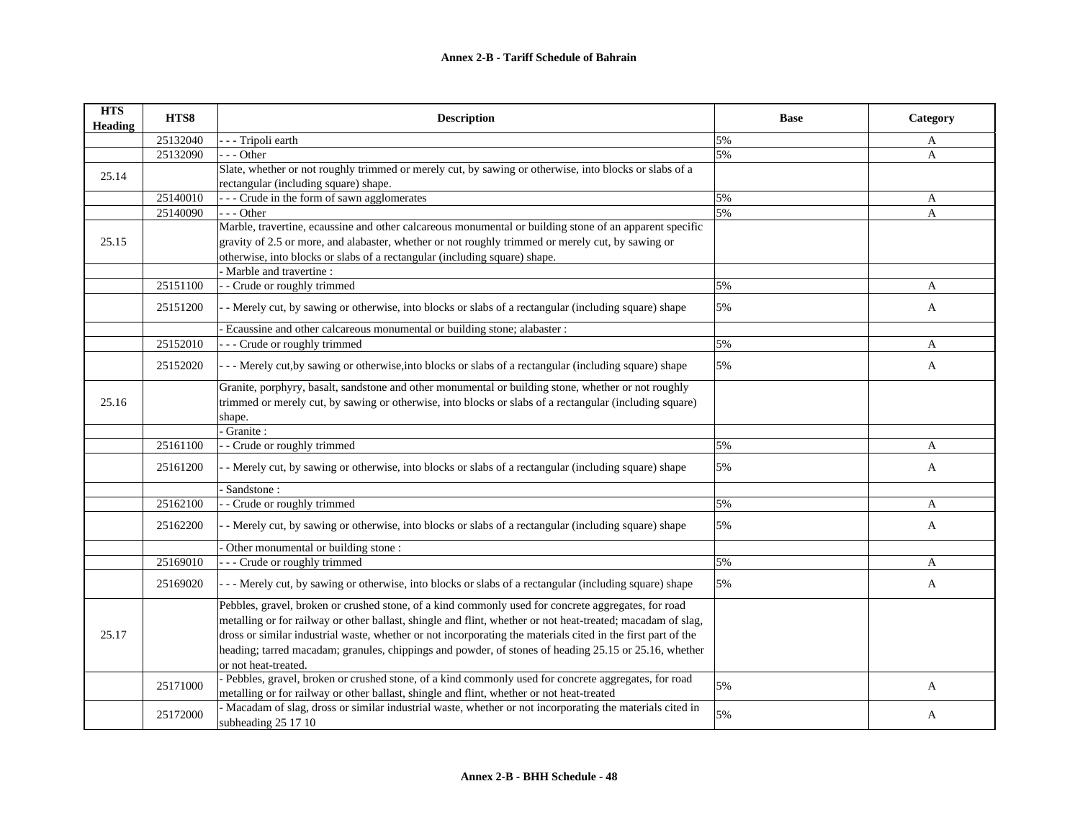| <b>HTS</b><br><b>Heading</b> | HTS8     | <b>Description</b>                                                                                                               | <b>Base</b> | Category |
|------------------------------|----------|----------------------------------------------------------------------------------------------------------------------------------|-------------|----------|
|                              | 25132040 | - - Tripoli earth                                                                                                                | 5%          | A        |
|                              | 25132090 | $-$ - Other                                                                                                                      | 5%          | A        |
| 25.14                        |          | Slate, whether or not roughly trimmed or merely cut, by sawing or otherwise, into blocks or slabs of a                           |             |          |
|                              |          | rectangular (including square) shape.                                                                                            |             |          |
|                              | 25140010 | -- Crude in the form of sawn agglomerates                                                                                        | 5%          | A        |
|                              | 25140090 | - - - Other                                                                                                                      | 5%          | A        |
|                              |          | Marble, travertine, ecaussine and other calcareous monumental or building stone of an apparent specific                          |             |          |
| 25.15                        |          | gravity of 2.5 or more, and alabaster, whether or not roughly trimmed or merely cut, by sawing or                                |             |          |
|                              |          | otherwise, into blocks or slabs of a rectangular (including square) shape.                                                       |             |          |
|                              |          | Marble and travertine :                                                                                                          |             |          |
|                              | 25151100 | - Crude or roughly trimmed                                                                                                       | 5%          | A        |
|                              | 25151200 | - Merely cut, by sawing or otherwise, into blocks or slabs of a rectangular (including square) shape                             | 5%          | A        |
|                              |          | Ecaussine and other calcareous monumental or building stone; alabaster :                                                         |             |          |
|                              | 25152010 | - - Crude or roughly trimmed                                                                                                     | 5%          | A        |
|                              | 25152020 | - - Merely cut, by sawing or otherwise, into blocks or slabs of a rectangular (including square) shape                           | 5%          | A        |
|                              |          | Granite, porphyry, basalt, sandstone and other monumental or building stone, whether or not roughly                              |             |          |
| 25.16                        |          | trimmed or merely cut, by sawing or otherwise, into blocks or slabs of a rectangular (including square)                          |             |          |
|                              |          | shape.                                                                                                                           |             |          |
|                              |          | Granite:                                                                                                                         |             |          |
|                              | 25161100 | - Crude or roughly trimmed                                                                                                       | 5%          | A        |
|                              | 25161200 | - Merely cut, by sawing or otherwise, into blocks or slabs of a rectangular (including square) shape                             | 5%          | A        |
|                              |          | Sandstone:                                                                                                                       |             |          |
|                              | 25162100 | - Crude or roughly trimmed                                                                                                       | 5%          | A        |
|                              | 25162200 | - Merely cut, by sawing or otherwise, into blocks or slabs of a rectangular (including square) shape                             | 5%          | A        |
|                              |          | Other monumental or building stone:                                                                                              |             |          |
|                              | 25169010 | - Crude or roughly trimmed                                                                                                       | 5%          | A        |
|                              | 25169020 | - - Merely cut, by sawing or otherwise, into blocks or slabs of a rectangular (including square) shape                           | 5%          | A        |
|                              |          | Pebbles, gravel, broken or crushed stone, of a kind commonly used for concrete aggregates, for road                              |             |          |
|                              |          | metalling or for railway or other ballast, shingle and flint, whether or not heat-treated; macadam of slag,                      |             |          |
| 25.17                        |          | dross or similar industrial waste, whether or not incorporating the materials cited in the first part of the                     |             |          |
|                              |          | heading; tarred macadam; granules, chippings and powder, of stones of heading 25.15 or 25.16, whether                            |             |          |
|                              |          | or not heat-treated.                                                                                                             |             |          |
|                              |          | - Pebbles, gravel, broken or crushed stone, of a kind commonly used for concrete aggregates, for road                            |             |          |
|                              | 25171000 | metalling or for railway or other ballast, shingle and flint, whether or not heat-treated                                        | 5%          | A        |
|                              | 25172000 | - Macadam of slag, dross or similar industrial waste, whether or not incorporating the materials cited in<br>subheading 25 17 10 | 5%          | A        |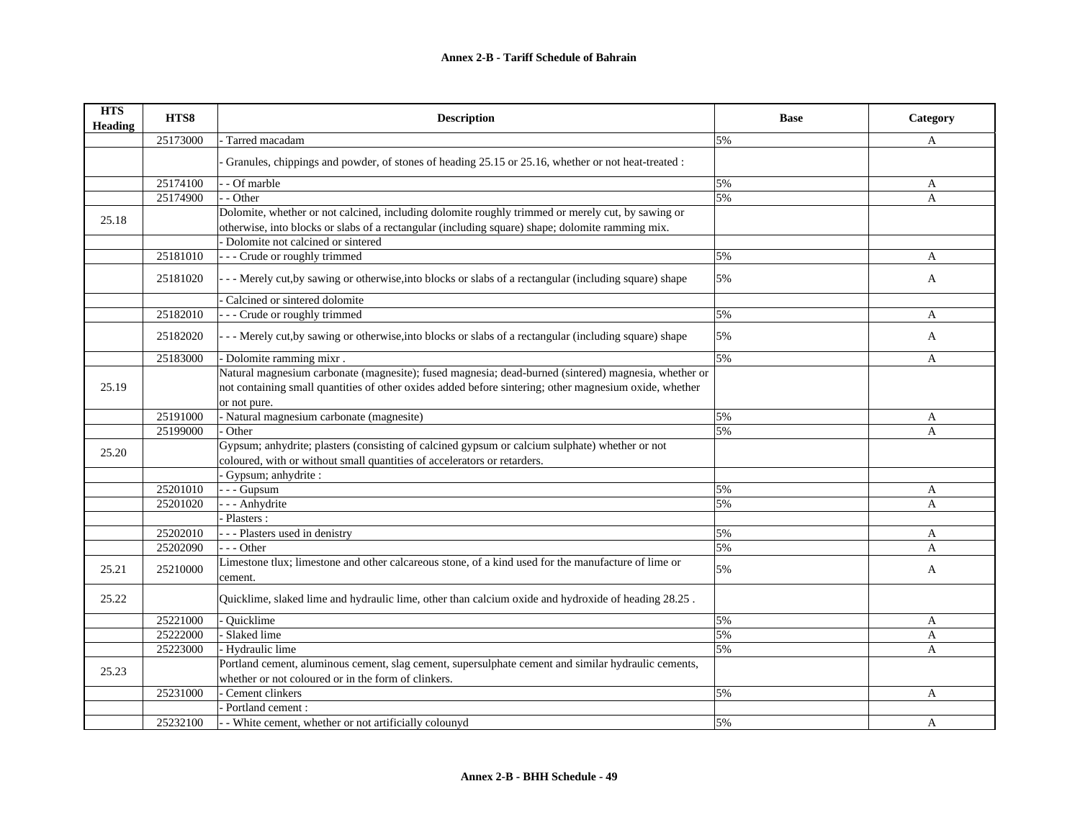| <b>HTS</b><br>Heading | HTS8     | <b>Description</b>                                                                                                                                                         | <b>Base</b> | Category |
|-----------------------|----------|----------------------------------------------------------------------------------------------------------------------------------------------------------------------------|-------------|----------|
|                       | 25173000 | Tarred macadam                                                                                                                                                             | 5%          | A        |
|                       |          | Granules, chippings and powder, of stones of heading 25.15 or 25.16, whether or not heat-treated :                                                                         |             |          |
|                       | 25174100 | - Of marble                                                                                                                                                                | 5%          | A        |
|                       | 25174900 | - Other                                                                                                                                                                    | 5%          | A        |
| 25.18                 |          | Dolomite, whether or not calcined, including dolomite roughly trimmed or merely cut, by sawing or                                                                          |             |          |
|                       |          | otherwise, into blocks or slabs of a rectangular (including square) shape; dolomite ramming mix.                                                                           |             |          |
|                       |          | Dolomite not calcined or sintered                                                                                                                                          |             |          |
|                       | 25181010 | - - - Crude or roughly trimmed                                                                                                                                             | 5%          | A        |
|                       | 25181020 | --- Merely cut, by sawing or otherwise, into blocks or slabs of a rectangular (including square) shape                                                                     | 5%          | A        |
|                       |          | Calcined or sintered dolomite                                                                                                                                              |             |          |
|                       | 25182010 | - - - Crude or roughly trimmed                                                                                                                                             | 5%          | A        |
|                       | 25182020 | --- Merely cut, by sawing or otherwise, into blocks or slabs of a rectangular (including square) shape                                                                     | 5%          | A        |
|                       | 25183000 | - Dolomite ramming mixr.                                                                                                                                                   | 5%          | A        |
|                       |          | Natural magnesium carbonate (magnesite); fused magnesia; dead-burned (sintered) magnesia, whether or                                                                       |             |          |
| 25.19                 |          | not containing small quantities of other oxides added before sintering; other magnesium oxide, whether                                                                     |             |          |
|                       |          | or not pure.                                                                                                                                                               |             |          |
|                       | 25191000 | - Natural magnesium carbonate (magnesite)                                                                                                                                  | 5%          | A        |
|                       | 25199000 | Other                                                                                                                                                                      | 5%          | A        |
| 25.20                 |          | Gypsum; anhydrite; plasters (consisting of calcined gypsum or calcium sulphate) whether or not<br>coloured, with or without small quantities of accelerators or retarders. |             |          |
|                       |          | Gypsum; anhydrite :                                                                                                                                                        |             |          |
|                       | 25201010 | - - - Gupsum                                                                                                                                                               | 5%          | A        |
|                       | 25201020 | - - - Anhydrite                                                                                                                                                            | 5%          | A        |
|                       |          | Plasters :                                                                                                                                                                 |             |          |
|                       | 25202010 | - - - Plasters used in denistry                                                                                                                                            | 5%          | A        |
|                       | 25202090 | $- -$ Other                                                                                                                                                                | 5%          | A        |
| 25.21                 | 25210000 | Limestone tlux; limestone and other calcareous stone, of a kind used for the manufacture of lime or<br>cement.                                                             | 5%          | A        |
| 25.22                 |          | Quicklime, slaked lime and hydraulic lime, other than calcium oxide and hydroxide of heading 28.25.                                                                        |             |          |
|                       | 25221000 | Quicklime                                                                                                                                                                  | 5%          | A        |
|                       | 25222000 | Slaked lime                                                                                                                                                                | 5%          | A        |
|                       | 25223000 | - Hydraulic lime                                                                                                                                                           | 5%          | A        |
| 25.23                 |          | Portland cement, aluminous cement, slag cement, supersulphate cement and similar hydraulic cements,                                                                        |             |          |
|                       |          | whether or not coloured or in the form of clinkers.                                                                                                                        |             |          |
|                       | 25231000 | Cement clinkers                                                                                                                                                            | 5%          | A        |
|                       |          | Portland cement:                                                                                                                                                           |             |          |
|                       | 25232100 | - White cement, whether or not artificially colounyd                                                                                                                       | 5%          | A        |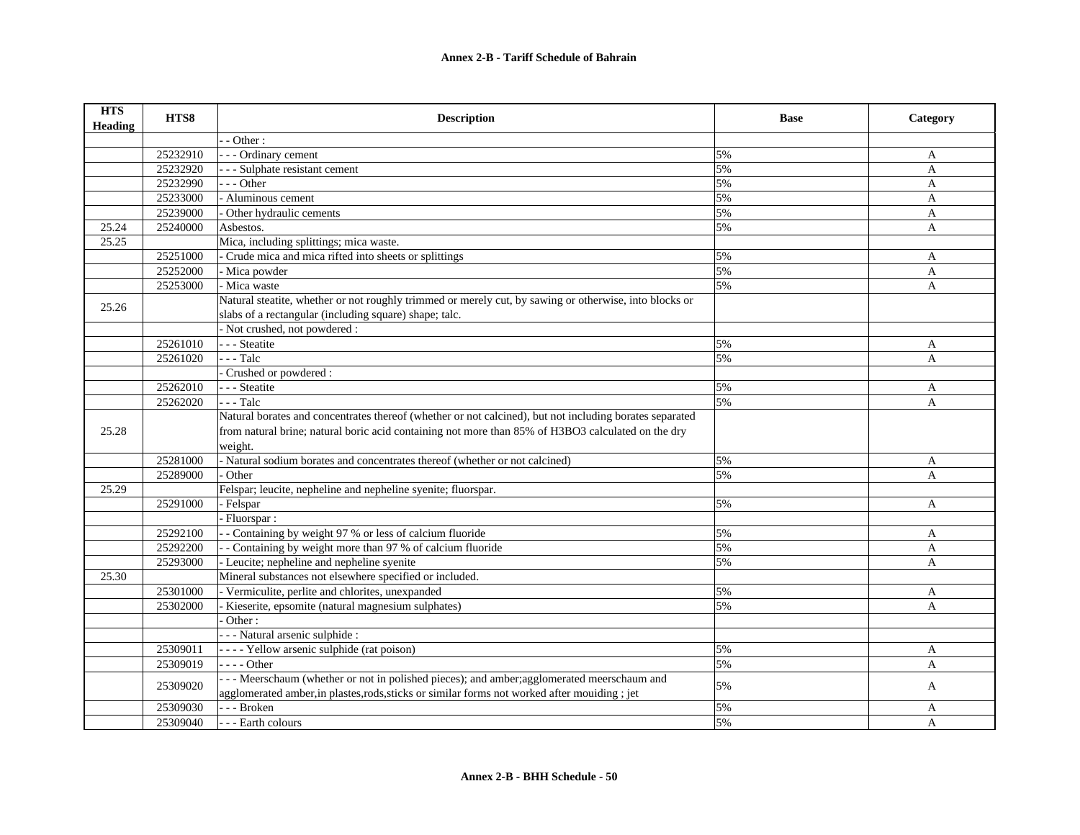| <b>HTS</b><br><b>Heading</b> | HTS8     | <b>Description</b>                                                                                      | <b>Base</b> | Category     |
|------------------------------|----------|---------------------------------------------------------------------------------------------------------|-------------|--------------|
|                              |          | - Other:                                                                                                |             |              |
|                              | 25232910 | - - Ordinary cement                                                                                     | 5%          | A            |
|                              | 25232920 | - - Sulphate resistant cement                                                                           | 5%          | $\mathbf{A}$ |
|                              | 25232990 | $-$ - Other                                                                                             | 5%          | $\mathbf{A}$ |
|                              | 25233000 | - Aluminous cement                                                                                      | 5%          | A            |
|                              | 25239000 | Other hydraulic cements                                                                                 | 5%          | $\mathbf{A}$ |
| 25.24                        | 25240000 | Asbestos.                                                                                               | 5%          | A            |
| 25.25                        |          | Mica, including splittings; mica waste.                                                                 |             |              |
|                              | 25251000 | - Crude mica and mica rifted into sheets or splittings                                                  | 5%          | A            |
|                              | 25252000 | - Mica powder                                                                                           | 5%          | A            |
|                              | 25253000 | - Mica waste                                                                                            | 5%          | A            |
| 25.26                        |          | Natural steatite, whether or not roughly trimmed or merely cut, by sawing or otherwise, into blocks or  |             |              |
|                              |          | slabs of a rectangular (including square) shape; talc.                                                  |             |              |
|                              |          | - Not crushed, not powdered :                                                                           |             |              |
|                              | 25261010 | - - - Steatite                                                                                          | 5%          | A            |
|                              | 25261020 | $- -$ Talc                                                                                              | 5%          | A            |
|                              |          | Crushed or powdered:                                                                                    |             |              |
|                              | 25262010 | - - - Steatite                                                                                          | 5%          | A            |
|                              | 25262020 | $-$ - Talc                                                                                              | 5%          | $\mathbf{A}$ |
|                              |          | Natural borates and concentrates thereof (whether or not calcined), but not including borates separated |             |              |
| 25.28                        |          | from natural brine; natural boric acid containing not more than 85% of H3BO3 calculated on the dry      |             |              |
|                              |          | weight.                                                                                                 |             |              |
|                              | 25281000 | - Natural sodium borates and concentrates thereof (whether or not calcined)                             | 5%          | A            |
|                              | 25289000 | Other                                                                                                   | 5%          | A            |
| 25.29                        |          | Felspar; leucite, nepheline and nepheline syenite; fluorspar.                                           |             |              |
|                              | 25291000 | - Felspar                                                                                               | 5%          | A            |
|                              |          | Fluorspar:                                                                                              |             |              |
|                              | 25292100 | - Containing by weight 97 % or less of calcium fluoride                                                 | 5%          | A            |
|                              | 25292200 | - Containing by weight more than 97 % of calcium fluoride                                               | 5%          | A            |
|                              | 25293000 | - Leucite; nepheline and nepheline syenite                                                              | 5%          | A            |
| 25.30                        |          | Mineral substances not elsewhere specified or included.                                                 |             |              |
|                              | 25301000 | - Vermiculite, perlite and chlorites, unexpanded                                                        | 5%          | A            |
|                              | 25302000 | Kieserite, epsomite (natural magnesium sulphates)                                                       | 5%          | A            |
|                              |          | Other:                                                                                                  |             |              |
|                              |          | - - - Natural arsenic sulphide :                                                                        |             |              |
|                              | 25309011 | - - - - Yellow arsenic sulphide (rat poison)                                                            | 5%          | A            |
|                              | 25309019 | $- -$ - Other                                                                                           | 5%          | A            |
|                              | 25309020 | --- Meerschaum (whether or not in polished pieces); and amber;agglomerated meerschaum and               | 5%          | A            |
|                              |          | agglomerated amber, in plastes, rods, sticks or similar forms not worked after mouiding; jet            |             |              |
|                              | 25309030 | --- Broken                                                                                              | 5%          | A            |
|                              | 25309040 | --- Earth colours                                                                                       | 5%          | A            |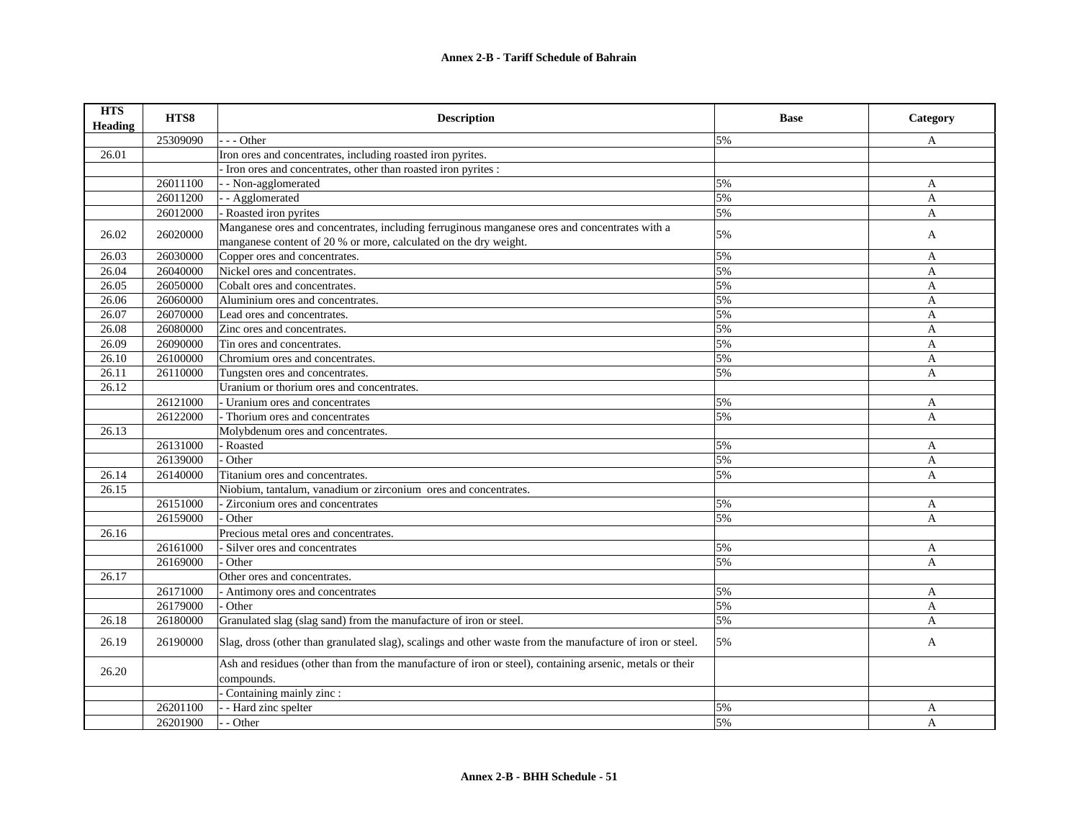## **Annex 2-B - Tariff Schedule of Bahrain**

| <b>HTS</b><br>Heading | HTS8     | <b>Description</b>                                                                                        | <b>Base</b> | Category     |
|-----------------------|----------|-----------------------------------------------------------------------------------------------------------|-------------|--------------|
|                       | 25309090 | - Other                                                                                                   | 5%          | A            |
| 26.01                 |          | Iron ores and concentrates, including roasted iron pyrites.                                               |             |              |
|                       |          | - Iron ores and concentrates, other than roasted iron pyrites :                                           |             |              |
|                       | 26011100 | - - Non-agglomerated                                                                                      | 5%          | A            |
|                       | 26011200 | - - Agglomerated                                                                                          | 5%          | $\mathbf{A}$ |
|                       | 26012000 | - Roasted iron pyrites                                                                                    | 5%          | A            |
|                       | 26020000 | Manganese ores and concentrates, including ferruginous manganese ores and concentrates with a             |             |              |
| 26.02                 |          | manganese content of 20 % or more, calculated on the dry weight.                                          | 5%          | A            |
| 26.03                 | 26030000 | Copper ores and concentrates.                                                                             | 5%          | A            |
| 26.04                 | 26040000 | Nickel ores and concentrates.                                                                             | 5%          | A            |
| 26.05                 | 26050000 | Cobalt ores and concentrates.                                                                             | 5%          | $\mathbf{A}$ |
| 26.06                 | 26060000 | Aluminium ores and concentrates.                                                                          | 5%          | A            |
| 26.07                 | 26070000 | Lead ores and concentrates.                                                                               | 5%          | $\mathbf{A}$ |
| 26.08                 | 26080000 | Zinc ores and concentrates.                                                                               | 5%          | A            |
| 26.09                 | 26090000 | Tin ores and concentrates.                                                                                | 5%          | A            |
| 26.10                 | 26100000 | Chromium ores and concentrates.                                                                           | 5%          | $\mathbf{A}$ |
| 26.11                 | 26110000 | Tungsten ores and concentrates.                                                                           | 5%          | A            |
| 26.12                 |          | Uranium or thorium ores and concentrates.                                                                 |             |              |
|                       | 26121000 | - Uranium ores and concentrates                                                                           | 5%          | A            |
|                       | 26122000 | - Thorium ores and concentrates                                                                           | 5%          | A            |
| 26.13                 |          | Molybdenum ores and concentrates.                                                                         |             |              |
|                       | 26131000 | - Roasted                                                                                                 | 5%          | A            |
|                       | 26139000 | Other                                                                                                     | 5%          | A            |
| 26.14                 | 26140000 | Titanium ores and concentrates.                                                                           | 5%          | A            |
| 26.15                 |          | Niobium, tantalum, vanadium or zirconium ores and concentrates.                                           |             |              |
|                       | 26151000 | - Zirconium ores and concentrates                                                                         | 5%          | A            |
|                       | 26159000 | Other                                                                                                     | 5%          | A            |
| 26.16                 |          | Precious metal ores and concentrates.                                                                     |             |              |
|                       | 26161000 | - Silver ores and concentrates                                                                            | 5%          | A            |
|                       | 26169000 | - Other                                                                                                   | 5%          | A            |
| 26.17                 |          | Other ores and concentrates.                                                                              |             |              |
|                       | 26171000 | - Antimony ores and concentrates                                                                          | 5%          | A            |
|                       | 26179000 | - Other                                                                                                   | 5%          | A            |
| 26.18                 | 26180000 | Granulated slag (slag sand) from the manufacture of iron or steel.                                        | 5%          | $\mathbf{A}$ |
| 26.19                 | 26190000 | Slag, dross (other than granulated slag), scalings and other waste from the manufacture of iron or steel. | 5%          | A            |
|                       |          | Ash and residues (other than from the manufacture of iron or steel), containing arsenic, metals or their  |             |              |
| 26.20                 |          | compounds.                                                                                                |             |              |
|                       |          | - Containing mainly zinc :                                                                                |             |              |
|                       | 26201100 | - Hard zinc spelter                                                                                       | 5%          | A            |
|                       | 26201900 | - - Other                                                                                                 | 5%          | A            |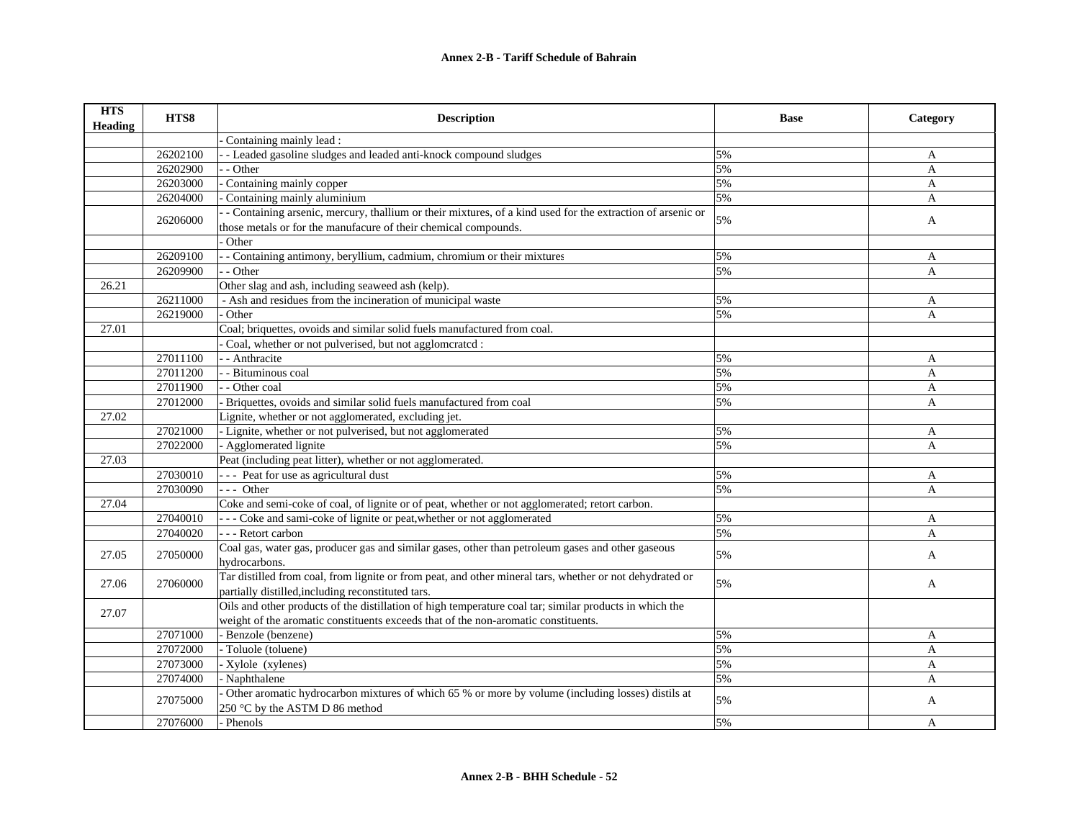| <b>HTS</b><br><b>Heading</b> | HTS8     | <b>Description</b>                                                                                         | <b>Base</b> | Category       |
|------------------------------|----------|------------------------------------------------------------------------------------------------------------|-------------|----------------|
|                              |          | Containing mainly lead :                                                                                   |             |                |
|                              | 26202100 | - Leaded gasoline sludges and leaded anti-knock compound sludges                                           | 5%          | A              |
|                              | 26202900 | - Other                                                                                                    | 5%          | $\overline{A}$ |
|                              | 26203000 | Containing mainly copper                                                                                   | 5%          | $\mathbf{A}$   |
|                              | 26204000 | Containing mainly aluminium                                                                                | 5%          | $\mathbf{A}$   |
|                              |          | - Containing arsenic, mercury, thallium or their mixtures, of a kind used for the extraction of arsenic or | 5%          |                |
|                              | 26206000 | those metals or for the manufacure of their chemical compounds.                                            |             | $\mathbf{A}$   |
|                              |          | Other                                                                                                      |             |                |
|                              | 26209100 | - Containing antimony, beryllium, cadmium, chromium or their mixtures                                      | 5%          | A              |
|                              | 26209900 | - Other                                                                                                    | 5%          | $\mathbf{A}$   |
| 26.21                        |          | Other slag and ash, including seaweed ash (kelp).                                                          |             |                |
|                              | 26211000 | - Ash and residues from the incineration of municipal waste                                                | 5%          | A              |
|                              | 26219000 | Other                                                                                                      | 5%          | A              |
| 27.01                        |          | Coal; briquettes, ovoids and similar solid fuels manufactured from coal.                                   |             |                |
|                              |          | Coal, whether or not pulverised, but not agglomcrated :                                                    |             |                |
|                              | 27011100 | - - Anthracite                                                                                             | 5%          | A              |
|                              | 27011200 | - - Bituminous coal                                                                                        | 5%          | $\mathbf{A}$   |
|                              | 27011900 | - - Other coal                                                                                             | 5%          | $\mathbf{A}$   |
|                              | 27012000 | Briquettes, ovoids and similar solid fuels manufactured from coal                                          | 5%          | $\mathbf{A}$   |
| 27.02                        |          | Lignite, whether or not agglomerated, excluding jet.                                                       |             |                |
|                              | 27021000 | - Lignite, whether or not pulverised, but not agglomerated                                                 | 5%          | A              |
|                              | 27022000 | - Agglomerated lignite                                                                                     | 5%          | $\mathbf{A}$   |
| 27.03                        |          | Peat (including peat litter), whether or not agglomerated.                                                 |             |                |
|                              | 27030010 | - - - Peat for use as agricultural dust                                                                    | 5%          | A              |
|                              | 27030090 | $--$ Other                                                                                                 | 5%          | $\mathbf{A}$   |
| 27.04                        |          | Coke and semi-coke of coal, of lignite or of peat, whether or not agglomerated; retort carbon.             |             |                |
|                              | 27040010 | --- Coke and sami-coke of lignite or peat, whether or not agglomerated                                     | 5%          | A              |
|                              | 27040020 | --- Retort carbon                                                                                          | 5%          | A              |
|                              |          | Coal gas, water gas, producer gas and similar gases, other than petroleum gases and other gaseous          |             |                |
| 27.05                        | 27050000 | hydrocarbons.                                                                                              | 5%          | A              |
|                              |          | Tar distilled from coal, from lignite or from peat, and other mineral tars, whether or not dehydrated or   |             |                |
| 27.06                        | 27060000 | partially distilled, including reconstituted tars.                                                         | 5%          | A              |
|                              |          | Oils and other products of the distillation of high temperature coal tar; similar products in which the    |             |                |
| 27.07                        |          | weight of the aromatic constituents exceeds that of the non-aromatic constituents.                         |             |                |
|                              | 27071000 | - Benzole (benzene)                                                                                        | 5%          | A              |
|                              | 27072000 | - Toluole (toluene)                                                                                        | 5%          | A              |
|                              | 27073000 | - Xylole (xylenes)                                                                                         | 5%          | $\mathbf{A}$   |
|                              | 27074000 | - Naphthalene                                                                                              | 5%          | $\mathbf{A}$   |
|                              |          | Other aromatic hydrocarbon mixtures of which 65 % or more by volume (including losses) distils at          |             |                |
|                              | 27075000 | 250 °C by the ASTM D 86 method                                                                             | 5%          | A              |
|                              | 27076000 | - Phenols                                                                                                  | 5%          | A              |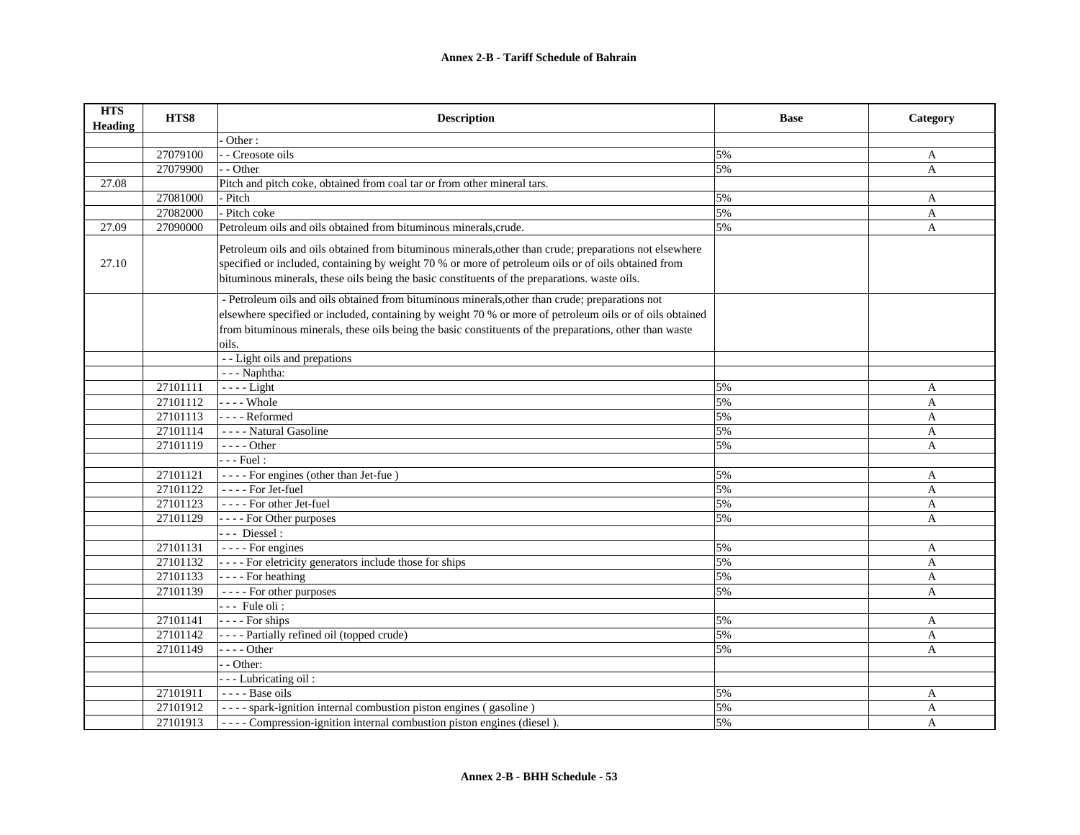## **Annex 2-B - Tariff Schedule of Bahrain**

| <b>HTS</b><br><b>Heading</b> | HTS8     | <b>Description</b>                                                                                                                                                                                                                                                                                                              | <b>Base</b> | Category     |
|------------------------------|----------|---------------------------------------------------------------------------------------------------------------------------------------------------------------------------------------------------------------------------------------------------------------------------------------------------------------------------------|-------------|--------------|
|                              |          | Other:                                                                                                                                                                                                                                                                                                                          |             |              |
|                              | 27079100 | - Creosote oils                                                                                                                                                                                                                                                                                                                 | 5%          | A            |
|                              | 27079900 | - - Other                                                                                                                                                                                                                                                                                                                       | 5%          | A            |
| 27.08                        |          | Pitch and pitch coke, obtained from coal tar or from other mineral tars.                                                                                                                                                                                                                                                        |             |              |
|                              | 27081000 | - Pitch                                                                                                                                                                                                                                                                                                                         | 5%          | A            |
|                              | 27082000 | - Pitch coke                                                                                                                                                                                                                                                                                                                    | 5%          | A            |
| 27.09                        | 27090000 | Petroleum oils and oils obtained from bituminous minerals, crude.                                                                                                                                                                                                                                                               | 5%          | A            |
| 27.10                        |          | Petroleum oils and oils obtained from bituminous minerals, other than crude; preparations not elsewhere<br>specified or included, containing by weight 70 % or more of petroleum oils or of oils obtained from<br>bituminous minerals, these oils being the basic constituents of the preparations. waste oils.                 |             |              |
|                              |          | - Petroleum oils and oils obtained from bituminous minerals, other than crude; preparations not<br>elsewhere specified or included, containing by weight 70 % or more of petroleum oils or of oils obtained<br>from bituminous minerals, these oils being the basic constituents of the preparations, other than waste<br>oils. |             |              |
|                              |          | - - Light oils and prepations                                                                                                                                                                                                                                                                                                   |             |              |
|                              |          | --- Naphtha:                                                                                                                                                                                                                                                                                                                    |             |              |
|                              | 27101111 | $---$ Light                                                                                                                                                                                                                                                                                                                     | 5%          | A            |
|                              | 27101112 | $---$ Whole                                                                                                                                                                                                                                                                                                                     | 5%          | $\mathbf{A}$ |
|                              | 27101113 | ---- Reformed                                                                                                                                                                                                                                                                                                                   | 5%          | A            |
|                              | 27101114 | - - - - Natural Gasoline                                                                                                                                                                                                                                                                                                        | 5%          | A            |
|                              | 27101119 | - - - - Other                                                                                                                                                                                                                                                                                                                   | 5%          | A            |
|                              |          | - - - Fuel :                                                                                                                                                                                                                                                                                                                    |             |              |
|                              | 27101121 | ---- For engines (other than Jet-fue)                                                                                                                                                                                                                                                                                           | 5%          | A            |
|                              | 27101122 | ---- For Jet-fuel                                                                                                                                                                                                                                                                                                               | 5%          | A            |
|                              | 27101123 | ---- For other Jet-fuel                                                                                                                                                                                                                                                                                                         | 5%          | A            |
|                              | 27101129 | - - - - For Other purposes                                                                                                                                                                                                                                                                                                      | 5%          | A            |
|                              |          | --- Diessel:                                                                                                                                                                                                                                                                                                                    |             |              |
|                              | 27101131 | - - - - For engines                                                                                                                                                                                                                                                                                                             | 5%          | A            |
|                              | 27101132 | ---- For eletricity generators include those for ships                                                                                                                                                                                                                                                                          | 5%          | A            |
|                              | 27101133 | $\vert$ - - - For heathing                                                                                                                                                                                                                                                                                                      | 5%          | A            |
|                              | 27101139 | ---- For other purposes                                                                                                                                                                                                                                                                                                         | 5%          | A            |
|                              |          | --- Fule oli:                                                                                                                                                                                                                                                                                                                   |             |              |
|                              | 27101141 | $\vert$ - - - For ships                                                                                                                                                                                                                                                                                                         | 5%          | $\mathbf{A}$ |
|                              | 27101142 | - - - - Partially refined oil (topped crude)                                                                                                                                                                                                                                                                                    | 5%          | A            |
|                              | 27101149 | $--- Other$                                                                                                                                                                                                                                                                                                                     | 5%          | A            |
|                              |          | - - Other:                                                                                                                                                                                                                                                                                                                      |             |              |
|                              |          | - - - Lubricating oil:                                                                                                                                                                                                                                                                                                          |             |              |
|                              | 27101911 | ---- Base oils                                                                                                                                                                                                                                                                                                                  | 5%          | A            |
|                              | 27101912 | ---- spark-ignition internal combustion piston engines (gasoline)                                                                                                                                                                                                                                                               | 5%          | A            |
|                              | 27101913 | - - - - Compression-ignition internal combustion piston engines (diesel).                                                                                                                                                                                                                                                       | 5%          | A            |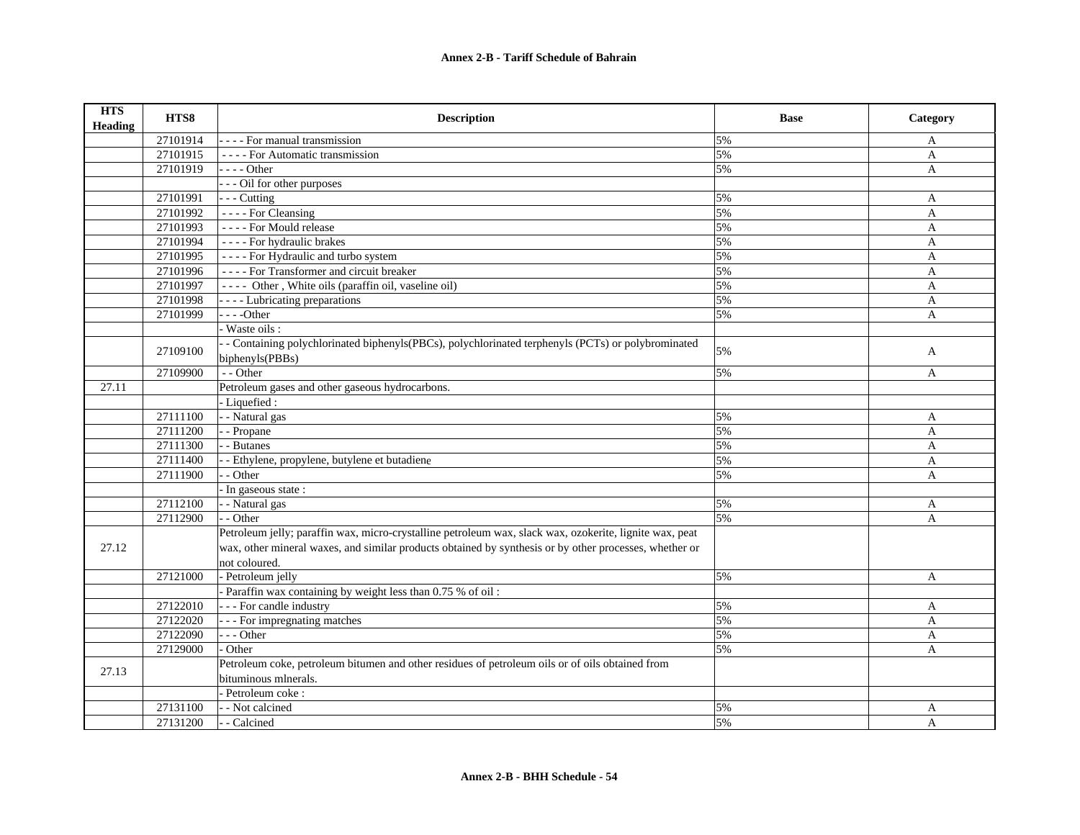| <b>HTS</b><br>Heading | HTS8     | <b>Description</b>                                                                                      | <b>Base</b> | Category     |
|-----------------------|----------|---------------------------------------------------------------------------------------------------------|-------------|--------------|
|                       | 27101914 | - - - - For manual transmission                                                                         | 5%          | A            |
|                       | 27101915 | - - - - For Automatic transmission                                                                      | 5%          | $\mathbf{A}$ |
|                       | 27101919 | - - - - Other                                                                                           | 5%          | $\mathbf{A}$ |
|                       |          | --- Oil for other purposes                                                                              |             |              |
|                       | 27101991 | $--$ Cutting                                                                                            | 5%          | A            |
|                       | 27101992 | - - - - For Cleansing                                                                                   | 5%          | $\mathbf{A}$ |
|                       | 27101993 | ---- For Mould release                                                                                  | 5%          | A            |
|                       | 27101994 | - - - - For hydraulic brakes                                                                            | 5%          | $\mathbf{A}$ |
|                       | 27101995 | ---- For Hydraulic and turbo system                                                                     | 5%          | A            |
|                       | 27101996 | - - - - For Transformer and circuit breaker                                                             | 5%          | A            |
|                       | 27101997 | ---- Other, White oils (paraffin oil, vaseline oil)                                                     | 5%          | A            |
|                       | 27101998 | - - - - Lubricating preparations                                                                        | 5%          | A            |
|                       | 27101999 | $--Other$                                                                                               | 5%          | A            |
|                       |          | Waste oils:                                                                                             |             |              |
|                       | 27109100 | - Containing polychlorinated biphenyls (PBCs), polychlorinated terphenyls (PCTs) or polybrominated      | 5%          |              |
|                       |          | biphenyls(PBBs)                                                                                         |             | A            |
|                       | 27109900 | - - Other                                                                                               | 5%          | A            |
| 27.11                 |          | Petroleum gases and other gaseous hydrocarbons.                                                         |             |              |
|                       |          | - Liquefied :                                                                                           |             |              |
|                       | 27111100 | - - Natural gas                                                                                         | 5%          | A            |
|                       | 27111200 | - Propane                                                                                               | 5%          | $\mathbf{A}$ |
|                       | 27111300 | - - Butanes                                                                                             | 5%          | A            |
|                       | 27111400 | - Ethylene, propylene, butylene et butadiene                                                            | 5%          | A            |
|                       | 27111900 | - - Other                                                                                               | 5%          | A            |
|                       |          | In gaseous state:                                                                                       |             |              |
|                       | 27112100 | - - Natural gas                                                                                         | 5%          | A            |
|                       | 27112900 | - - Other                                                                                               | 5%          | A            |
|                       |          | Petroleum jelly; paraffin wax, micro-crystalline petroleum wax, slack wax, ozokerite, lignite wax, peat |             |              |
| 27.12                 |          | wax, other mineral waxes, and similar products obtained by synthesis or by other processes, whether or  |             |              |
|                       |          | not coloured.                                                                                           |             |              |
|                       | 27121000 | - Petroleum jelly                                                                                       | 5%          | $\mathbf{A}$ |
|                       |          | Paraffin wax containing by weight less than 0.75 % of oil:                                              |             |              |
|                       | 27122010 | - - - For candle industry                                                                               | 5%          | $\mathbf{A}$ |
|                       | 27122020 | --- For impregnating matches                                                                            | 5%          | A            |
|                       | 27122090 | --- Other                                                                                               | 5%          | A            |
|                       | 27129000 | Other                                                                                                   | 5%          | A            |
| 27.13                 |          | Petroleum coke, petroleum bitumen and other residues of petroleum oils or of oils obtained from         |             |              |
|                       |          | bituminous mlnerals.                                                                                    |             |              |
|                       |          | - Petroleum coke :                                                                                      |             |              |
|                       | 27131100 | - - Not calcined                                                                                        | 5%          | A            |
|                       | 27131200 | - - Calcined                                                                                            | 5%          | A            |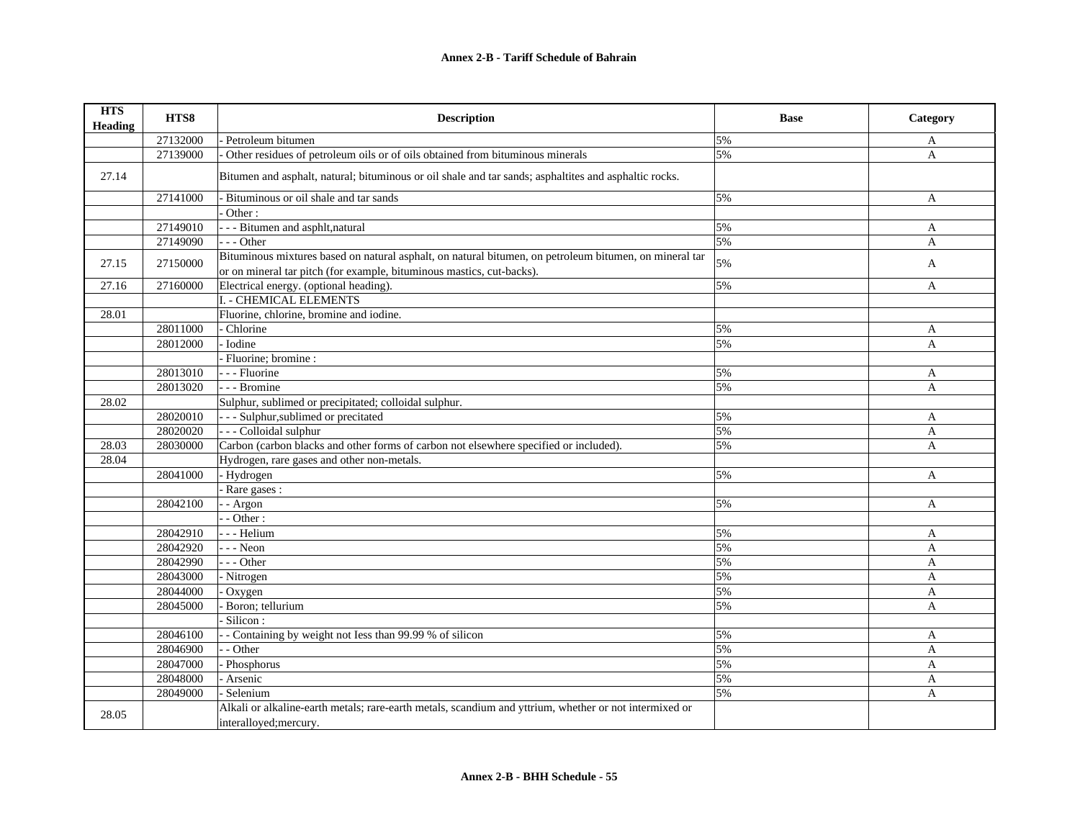| <b>HTS</b><br><b>Heading</b> | HTS8     | <b>Description</b>                                                                                                               | <b>Base</b> | Category     |
|------------------------------|----------|----------------------------------------------------------------------------------------------------------------------------------|-------------|--------------|
|                              | 27132000 | - Petroleum bitumen                                                                                                              | 5%          | A            |
|                              | 27139000 | Other residues of petroleum oils or of oils obtained from bituminous minerals                                                    | 5%          | A            |
| 27.14                        |          | Bitumen and asphalt, natural; bituminous or oil shale and tar sands; asphaltites and asphaltic rocks.                            |             |              |
|                              | 27141000 | - Bituminous or oil shale and tar sands                                                                                          | 5%          | A            |
|                              |          | Other:                                                                                                                           |             |              |
|                              | 27149010 | - - - Bitumen and asphlt, natural                                                                                                | 5%          | A            |
|                              | 27149090 | $- -$ Other                                                                                                                      | 5%          | A            |
| 27.15                        | 27150000 | Bituminous mixtures based on natural asphalt, on natural bitumen, on petroleum bitumen, on mineral tar                           | 5%          |              |
|                              |          | or on mineral tar pitch (for example, bituminous mastics, cut-backs).                                                            |             | A            |
| 27.16                        | 27160000 | Electrical energy. (optional heading).                                                                                           | 5%          | A            |
|                              |          | I. - CHEMICAL ELEMENTS                                                                                                           |             |              |
| 28.01                        |          | Fluorine, chlorine, bromine and iodine                                                                                           |             |              |
|                              | 28011000 | Chlorine                                                                                                                         | 5%          | A            |
|                              | 28012000 | - Iodine                                                                                                                         | 5%          | A            |
|                              |          | Fluorine; bromine :                                                                                                              |             |              |
|                              | 28013010 | - - - Fluorine                                                                                                                   | 5%          | A            |
|                              | 28013020 | - - Bromine                                                                                                                      | 5%          | A            |
| 28.02                        |          | Sulphur, sublimed or precipitated; colloidal sulphur.                                                                            |             |              |
|                              | 28020010 | - - - Sulphur, sublimed or precitated                                                                                            | 5%          | A            |
|                              | 28020020 | - - - Colloidal sulphur                                                                                                          | 5%          | A            |
| 28.03                        | 28030000 | Carbon (carbon blacks and other forms of carbon not elsewhere specified or included).                                            | 5%          | A            |
| 28.04                        |          | Hydrogen, rare gases and other non-metals.                                                                                       |             |              |
|                              | 28041000 | - Hydrogen                                                                                                                       | 5%          | A            |
|                              |          | Rare gases :                                                                                                                     |             |              |
|                              | 28042100 | - Argon                                                                                                                          | 5%          | A            |
|                              |          | $-$ Other :                                                                                                                      |             |              |
|                              | 28042910 | - - Helium                                                                                                                       | 5%          | A            |
|                              | 28042920 | $-$ - Neon                                                                                                                       | 5%          | $\mathbf{A}$ |
|                              | 28042990 | $- -$ Other                                                                                                                      | 5%          | A            |
|                              | 28043000 | - Nitrogen                                                                                                                       | 5%          | $\mathbf{A}$ |
|                              | 28044000 | Oxygen                                                                                                                           | 5%          | A            |
|                              | 28045000 | Boron; tellurium                                                                                                                 | 5%          | A            |
|                              |          | Silicon:                                                                                                                         |             |              |
|                              | 28046100 | - Containing by weight not Iess than 99.99 % of silicon                                                                          | 5%          | A            |
|                              | 28046900 | - Other                                                                                                                          | 5%          | A            |
|                              | 28047000 | Phosphorus                                                                                                                       | 5%          | A            |
|                              | 28048000 | Arsenic                                                                                                                          | 5%          | A            |
|                              | 28049000 | Selenium                                                                                                                         | 5%          | A            |
| 28.05                        |          | Alkali or alkaline-earth metals; rare-earth metals, scandium and yttrium, whether or not intermixed or<br>interalloyed; mercury. |             |              |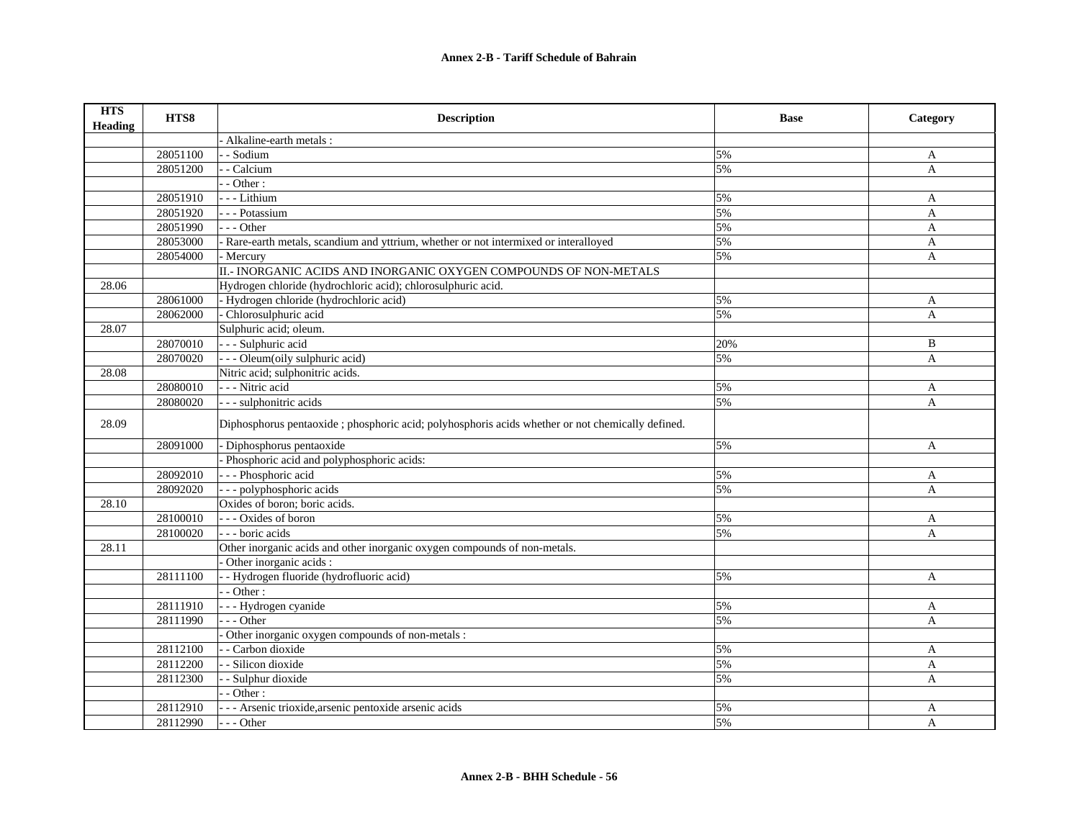| <b>HTS</b><br><b>Heading</b> | HTS8     | <b>Description</b>                                                                               | <b>Base</b> | Category     |
|------------------------------|----------|--------------------------------------------------------------------------------------------------|-------------|--------------|
|                              |          | Alkaline-earth metals:                                                                           |             |              |
|                              | 28051100 | - Sodium                                                                                         | 5%          | A            |
|                              | 28051200 | - Calcium                                                                                        | 5%          | $\mathbf{A}$ |
|                              |          | - Other:                                                                                         |             |              |
|                              | 28051910 | - - - Lithium                                                                                    | 5%          | A            |
|                              | 28051920 | - - Potassium                                                                                    | 5%          | $\mathbf{A}$ |
|                              | 28051990 | $- -$ Other                                                                                      | 5%          | A            |
|                              | 28053000 | Rare-earth metals, scandium and yttrium, whether or not intermixed or interalloyed               | 5%          | A            |
|                              | 28054000 | - Mercury                                                                                        | 5%          | A            |
|                              |          | II.- INORGANIC ACIDS AND INORGANIC OXYGEN COMPOUNDS OF NON-METALS                                |             |              |
| 28.06                        |          | Hydrogen chloride (hydrochloric acid); chlorosulphuric acid.                                     |             |              |
|                              | 28061000 | - Hydrogen chloride (hydrochloric acid)                                                          | 5%          | A            |
|                              | 28062000 | Chlorosulphuric acid                                                                             | 5%          | A            |
| 28.07                        |          | Sulphuric acid; oleum.                                                                           |             |              |
|                              | 28070010 | - - - Sulphuric acid                                                                             | 20%         | B            |
|                              | 28070020 | - - - Oleum(oily sulphuric acid)                                                                 | 5%          | A            |
| 28.08                        |          | Nitric acid; sulphonitric acids.                                                                 |             |              |
|                              | 28080010 | - - - Nitric acid                                                                                | 5%          | A            |
|                              | 28080020 | - - - sulphonitric acids                                                                         | 5%          | $\mathbf{A}$ |
| 28.09                        |          | Diphosphorus pentaoxide; phosphoric acid; polyhosphoris acids whether or not chemically defined. |             |              |
|                              | 28091000 | - Diphosphorus pentaoxide                                                                        | 5%          | A            |
|                              |          | Phosphoric acid and polyphosphoric acids:                                                        |             |              |
|                              | 28092010 | - - - Phosphoric acid                                                                            | 5%          | A            |
|                              | 28092020 | - - - polyphosphoric acids                                                                       | 5%          | A            |
| 28.10                        |          | Oxides of boron; boric acids.                                                                    |             |              |
|                              | 28100010 | --- Oxides of boron                                                                              | 5%          | A            |
|                              | 28100020 | --- boric acids                                                                                  | 5%          | A            |
| 28.11                        |          | Other inorganic acids and other inorganic oxygen compounds of non-metals.                        |             |              |
|                              |          | Other inorganic acids :                                                                          |             |              |
|                              | 28111100 | - Hydrogen fluoride (hydrofluoric acid)                                                          | 5%          | A            |
|                              |          | $-Other:$                                                                                        |             |              |
|                              | 28111910 | - - - Hydrogen cyanide                                                                           | 5%          | $\mathbf{A}$ |
|                              | 28111990 | - - Other                                                                                        | 5%          | $\mathbf{A}$ |
|                              |          | Other inorganic oxygen compounds of non-metals :                                                 |             |              |
|                              | 28112100 | - Carbon dioxide                                                                                 | 5%          | A            |
|                              | 28112200 | - Silicon dioxide                                                                                | 5%          | A            |
|                              | 28112300 | - Sulphur dioxide                                                                                | 5%          | A            |
|                              |          | $\cdot$ - Other :                                                                                |             |              |
|                              | 28112910 | - - - Arsenic trioxide, arsenic pentoxide arsenic acids                                          | 5%          | A            |
|                              | 28112990 | --- Other                                                                                        | 5%          | A            |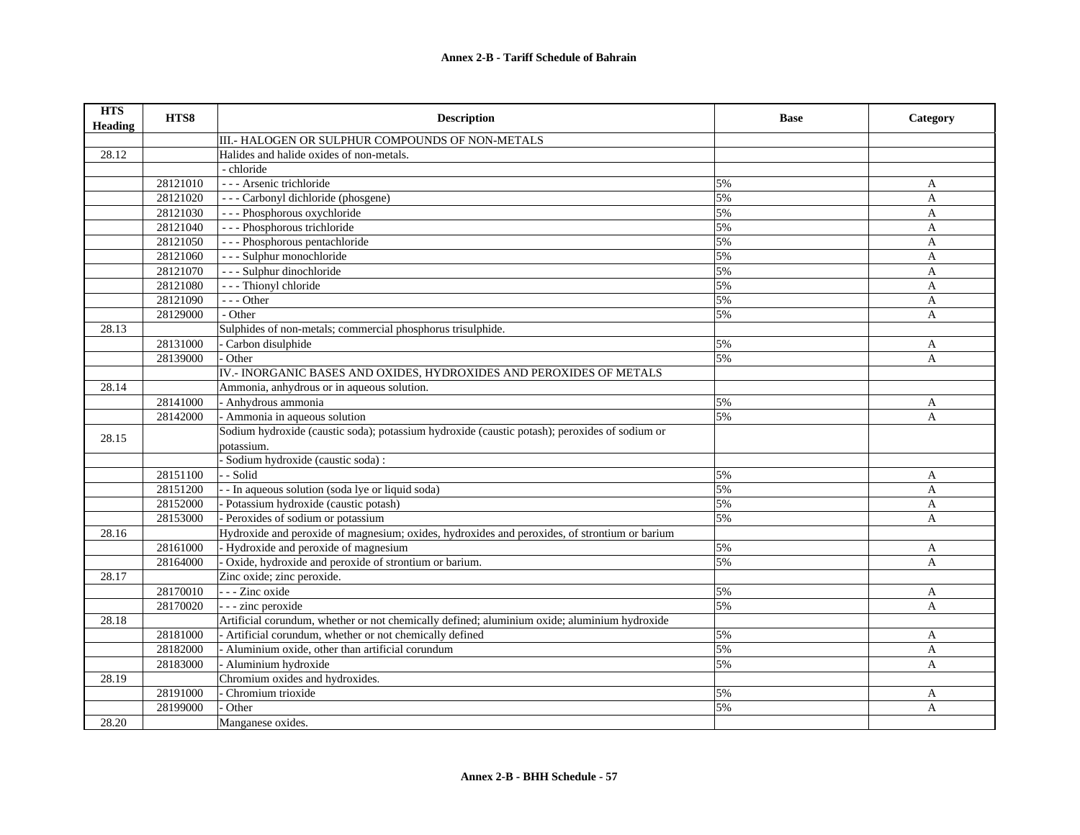| <b>HTS</b><br><b>Heading</b> | HTS8     | <b>Description</b>                                                                            | <b>Base</b> | Category       |
|------------------------------|----------|-----------------------------------------------------------------------------------------------|-------------|----------------|
|                              |          | III.- HALOGEN OR SULPHUR COMPOUNDS OF NON-METALS                                              |             |                |
| 28.12                        |          | Halides and halide oxides of non-metals.                                                      |             |                |
|                              |          | - chloride                                                                                    |             |                |
|                              | 28121010 | - - - Arsenic trichloride                                                                     | 5%          | A              |
|                              | 28121020 | --- Carbonyl dichloride (phosgene)                                                            | 5%          | $\overline{A}$ |
|                              | 28121030 | --- Phosphorous oxychloride                                                                   | 5%          | A              |
|                              | 28121040 | --- Phosphorous trichloride                                                                   | 5%          | $\overline{A}$ |
|                              | 28121050 | --- Phosphorous pentachloride                                                                 | 5%          | A              |
|                              | 28121060 | --- Sulphur monochloride                                                                      | 5%          | A              |
|                              | 28121070 | --- Sulphur dinochloride                                                                      | 5%          | A              |
|                              | 28121080 | --- Thionyl chloride                                                                          | 5%          | A              |
|                              | 28121090 | $- -$ Other                                                                                   | 5%          | A              |
|                              | 28129000 | - Other                                                                                       | 5%          | A              |
| 28.13                        |          | Sulphides of non-metals; commercial phosphorus trisulphide.                                   |             |                |
|                              | 28131000 | - Carbon disulphide                                                                           | 5%          | A              |
|                              | 28139000 | Other                                                                                         | 5%          | A              |
|                              |          | IV.- INORGANIC BASES AND OXIDES, HYDROXIDES AND PEROXIDES OF METALS                           |             |                |
| 28.14                        |          | Ammonia, anhydrous or in aqueous solution.                                                    |             |                |
|                              | 28141000 | - Anhydrous ammonia                                                                           | 5%          | A              |
|                              | 28142000 | - Ammonia in aqueous solution                                                                 | 5%          | $\mathbf{A}$   |
| 28.15                        |          | Sodium hydroxide (caustic soda); potassium hydroxide (caustic potash); peroxides of sodium or |             |                |
|                              |          | potassium.                                                                                    |             |                |
|                              |          | Sodium hydroxide (caustic soda):                                                              |             |                |
|                              | 28151100 | - - Solid                                                                                     | 5%          | A              |
|                              | 28151200 | - - In aqueous solution (soda lye or liquid soda)                                             | 5%          | A              |
|                              | 28152000 | - Potassium hydroxide (caustic potash)                                                        | 5%          | $\overline{A}$ |
|                              | 28153000 | Peroxides of sodium or potassium                                                              | 5%          | A              |
| 28.16                        |          | Hydroxide and peroxide of magnesium; oxides, hydroxides and peroxides, of strontium or barium |             |                |
|                              | 28161000 | Hydroxide and peroxide of magnesium                                                           | 5%          | A              |
|                              | 28164000 | - Oxide, hydroxide and peroxide of strontium or barium.                                       | 5%          | A              |
| 28.17                        |          | Zinc oxide; zinc peroxide.                                                                    |             |                |
|                              | 28170010 | --- Zinc oxide                                                                                | 5%          | A              |
|                              | 28170020 | - - - zinc peroxide                                                                           | 5%          | A              |
| 28.18                        |          | Artificial corundum, whether or not chemically defined; aluminium oxide; aluminium hydroxide  |             |                |
|                              | 28181000 | - Artificial corundum, whether or not chemically defined                                      | 5%          | A              |
|                              | 28182000 | - Aluminium oxide, other than artificial corundum                                             | 5%          | A              |
|                              | 28183000 | - Aluminium hydroxide                                                                         | 5%          | A              |
| 28.19                        |          | Chromium oxides and hydroxides.                                                               |             |                |
|                              | 28191000 | Chromium trioxide                                                                             | 5%          | A              |
|                              | 28199000 | Other                                                                                         | 5%          | A              |
| 28.20                        |          | Manganese oxides.                                                                             |             |                |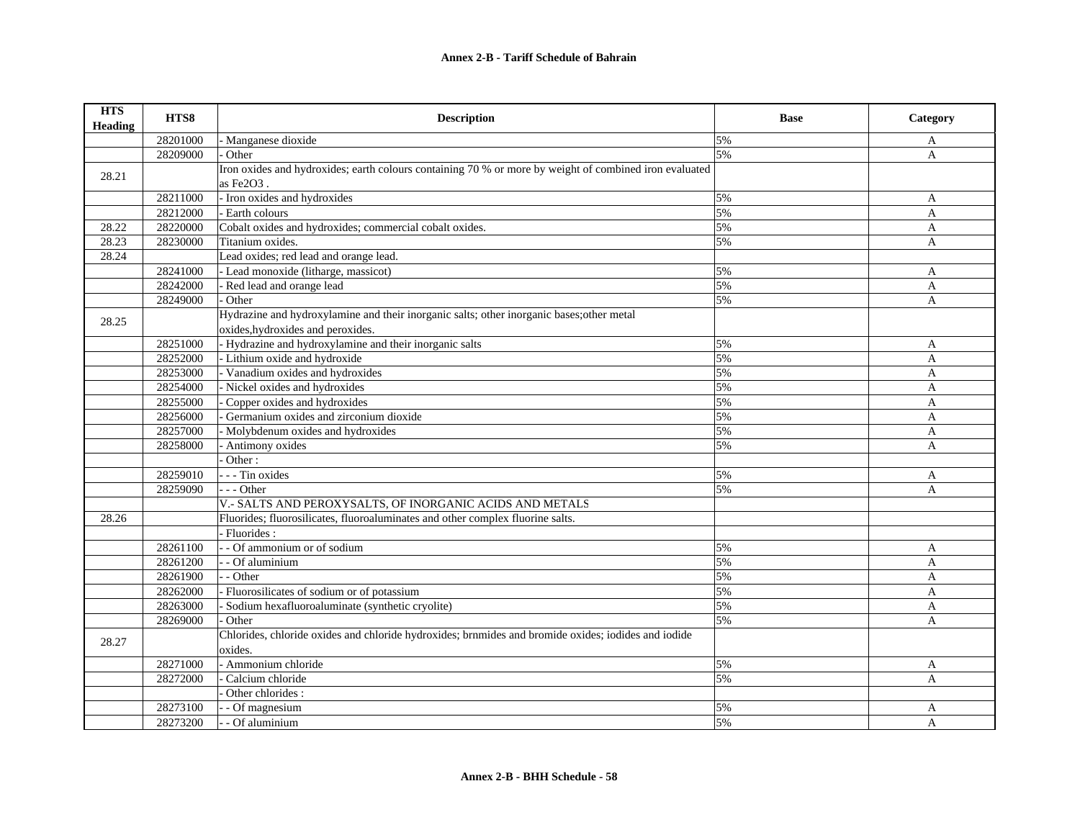| <b>HTS</b><br>Heading | HTS8     | <b>Description</b>                                                                                     | <b>Base</b> | Category     |
|-----------------------|----------|--------------------------------------------------------------------------------------------------------|-------------|--------------|
|                       | 28201000 | - Manganese dioxide                                                                                    | 5%          | A            |
|                       | 28209000 | Other                                                                                                  | 5%          | A            |
| 28.21                 |          | Iron oxides and hydroxides; earth colours containing 70 % or more by weight of combined iron evaluated |             |              |
|                       |          | as Fe2O3.                                                                                              |             |              |
|                       | 28211000 | - Iron oxides and hydroxides                                                                           | 5%          | A            |
|                       | 28212000 | - Earth colours                                                                                        | 5%          | A            |
| 28.22                 | 28220000 | Cobalt oxides and hydroxides; commercial cobalt oxides.                                                | 5%          | A            |
| 28.23                 | 28230000 | Titanium oxides.                                                                                       | 5%          | A            |
| 28.24                 |          | Lead oxides; red lead and orange lead.                                                                 |             |              |
|                       | 28241000 | - Lead monoxide (litharge, massicot)                                                                   | 5%          | A            |
|                       | 28242000 | - Red lead and orange lead                                                                             | 5%          | $\mathbf{A}$ |
|                       | 28249000 | Other                                                                                                  | 5%          | A            |
|                       |          | Hydrazine and hydroxylamine and their inorganic salts; other inorganic bases; other metal              |             |              |
| 28.25                 |          | oxides, hydroxides and peroxides.                                                                      |             |              |
|                       | 28251000 | - Hydrazine and hydroxylamine and their inorganic salts                                                | 5%          | A            |
|                       | 28252000 | - Lithium oxide and hydroxide                                                                          | 5%          | A            |
|                       | 28253000 | - Vanadium oxides and hydroxides                                                                       | 5%          | A            |
|                       | 28254000 | - Nickel oxides and hydroxides                                                                         | 5%          | A            |
|                       | 28255000 | Copper oxides and hydroxides                                                                           | 5%          | A            |
|                       | 28256000 | Germanium oxides and zirconium dioxide                                                                 | 5%          | A            |
|                       | 28257000 | Molybdenum oxides and hydroxides                                                                       | 5%          | A            |
|                       | 28258000 | - Antimony oxides                                                                                      | 5%          | A            |
|                       |          | Other:                                                                                                 |             |              |
|                       | 28259010 | - - - Tin oxides                                                                                       | 5%          | A            |
|                       | 28259090 | --- Other                                                                                              | 5%          | A            |
|                       |          | V.- SALTS AND PEROXYSALTS, OF INORGANIC ACIDS AND METALS                                               |             |              |
| 28.26                 |          | Fluorides; fluorosilicates, fluoroaluminates and other complex fluorine salts.                         |             |              |
|                       |          | - Fluorides:                                                                                           |             |              |
|                       | 28261100 | - - Of ammonium or of sodium                                                                           | 5%          | A            |
|                       | 28261200 | - Of aluminium                                                                                         | 5%          | A            |
|                       | 28261900 | - Other                                                                                                | 5%          | A            |
|                       | 28262000 | Fluorosilicates of sodium or of potassium                                                              | 5%          | A            |
|                       | 28263000 | Sodium hexafluoroaluminate (synthetic cryolite)                                                        | 5%          | A            |
|                       | 28269000 | Other                                                                                                  | 5%          | A            |
|                       |          | Chlorides, chloride oxides and chloride hydroxides; brnmides and bromide oxides; iodides and iodide    |             |              |
| 28.27                 |          | oxides.                                                                                                |             |              |
|                       | 28271000 | - Ammonium chloride                                                                                    | 5%          | A            |
|                       | 28272000 | Calcium chloride                                                                                       | 5%          | A            |
|                       |          | Other chlorides :                                                                                      |             |              |
|                       | 28273100 | - Of magnesium                                                                                         | 5%          | A            |
|                       | 28273200 | - Of aluminium                                                                                         | 5%          | A            |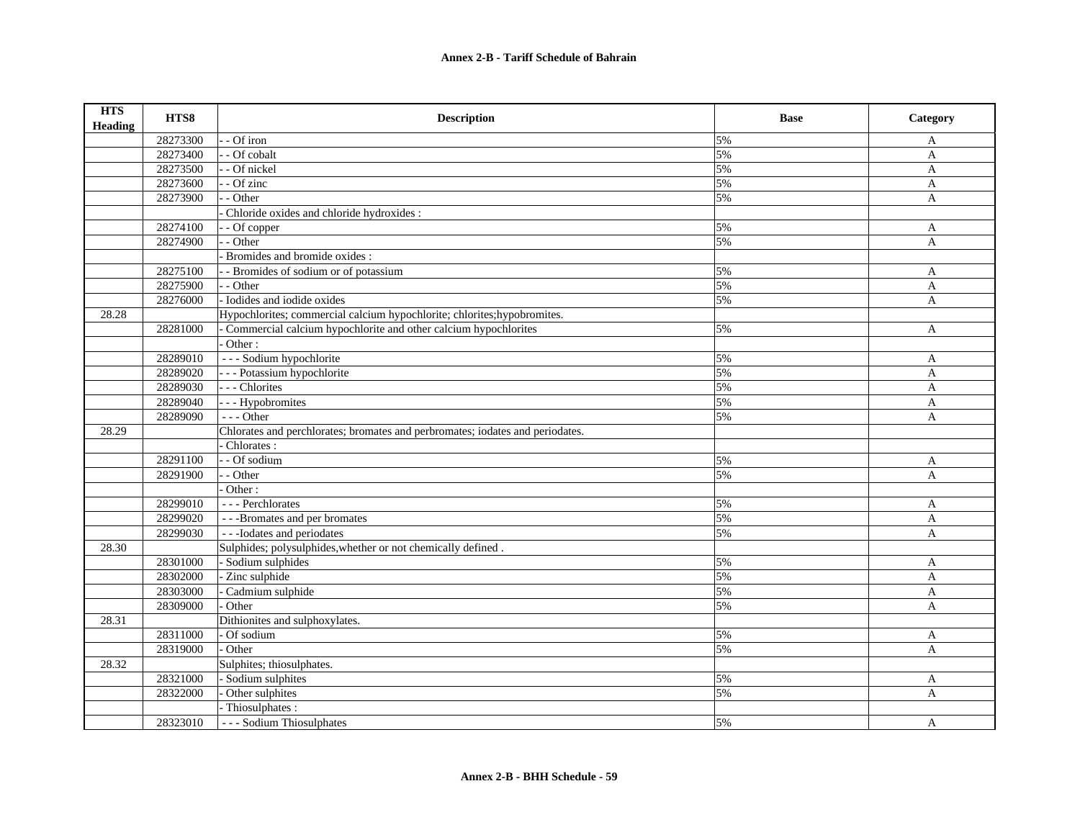| <b>HTS</b><br><b>Heading</b> | HTS8     | <b>Description</b>                                                            | <b>Base</b> | Category     |
|------------------------------|----------|-------------------------------------------------------------------------------|-------------|--------------|
|                              | 28273300 | - Of iron                                                                     | 5%          | A            |
|                              | 28273400 | - Of cobalt                                                                   | 5%          | A            |
|                              | 28273500 | - - Of nickel                                                                 | 5%          | $\mathbf{A}$ |
|                              | 28273600 | - - Of zinc                                                                   | 5%          | A            |
|                              | 28273900 | - - Other                                                                     | 5%          | A            |
|                              |          | Chloride oxides and chloride hydroxides :                                     |             |              |
|                              | 28274100 | - - Of copper                                                                 | 5%          | A            |
|                              | 28274900 | - Other                                                                       | 5%          | A            |
|                              |          | Bromides and bromide oxides:                                                  |             |              |
|                              | 28275100 | - Bromides of sodium or of potassium                                          | 5%          | A            |
|                              | 28275900 | - - Other                                                                     | 5%          | A            |
|                              | 28276000 | - Iodides and iodide oxides                                                   | 5%          | A            |
| 28.28                        |          | Hypochlorites; commercial calcium hypochlorite; chlorites; hypobromites.      |             |              |
|                              | 28281000 | Commercial calcium hypochlorite and other calcium hypochlorites               | 5%          | A            |
|                              |          | Other:                                                                        |             |              |
|                              | 28289010 | --- Sodium hypochlorite                                                       | 5%          | A            |
|                              | 28289020 | --- Potassium hypochlorite                                                    | 5%          | A            |
|                              | 28289030 | --- Chlorites                                                                 | 5%          | A            |
|                              | 28289040 | - - - Hypobromites                                                            | 5%          | A            |
|                              | 28289090 | $- -$ Other                                                                   | 5%          | $\mathbf{A}$ |
| 28.29                        |          | Chlorates and perchlorates; bromates and perbromates; iodates and periodates. |             |              |
|                              |          | Chlorates:                                                                    |             |              |
|                              | 28291100 | - Of sodium                                                                   | 5%          | A            |
|                              | 28291900 | - - Other                                                                     | 5%          | A            |
|                              |          | Other:                                                                        |             |              |
|                              | 28299010 | --- Perchlorates                                                              | 5%          | A            |
|                              | 28299020 | ---Bromates and per bromates                                                  | 5%          | A            |
|                              | 28299030 | --Dodates and periodates                                                      | 5%          | A            |
| 28.30                        |          | Sulphides; polysulphides, whether or not chemically defined.                  |             |              |
|                              | 28301000 | - Sodium sulphides                                                            | 5%          | A            |
|                              | 28302000 | Zinc sulphide                                                                 | 5%          | A            |
|                              | 28303000 | Cadmium sulphide                                                              | 5%          | A            |
|                              | 28309000 | Other                                                                         | 5%          | A            |
| 28.31                        |          | Dithionites and sulphoxylates.                                                |             |              |
|                              | 28311000 | Of sodium                                                                     | 5%          | A            |
|                              | 28319000 | Other                                                                         | 5%          | A            |
| 28.32                        |          | Sulphites; thiosulphates.                                                     |             |              |
|                              | 28321000 | Sodium sulphites                                                              | 5%          | A            |
|                              | 28322000 | Other sulphites                                                               | 5%          | A            |
|                              |          | Thiosulphates:                                                                |             |              |
|                              | 28323010 | --- Sodium Thiosulphates                                                      | 5%          | A            |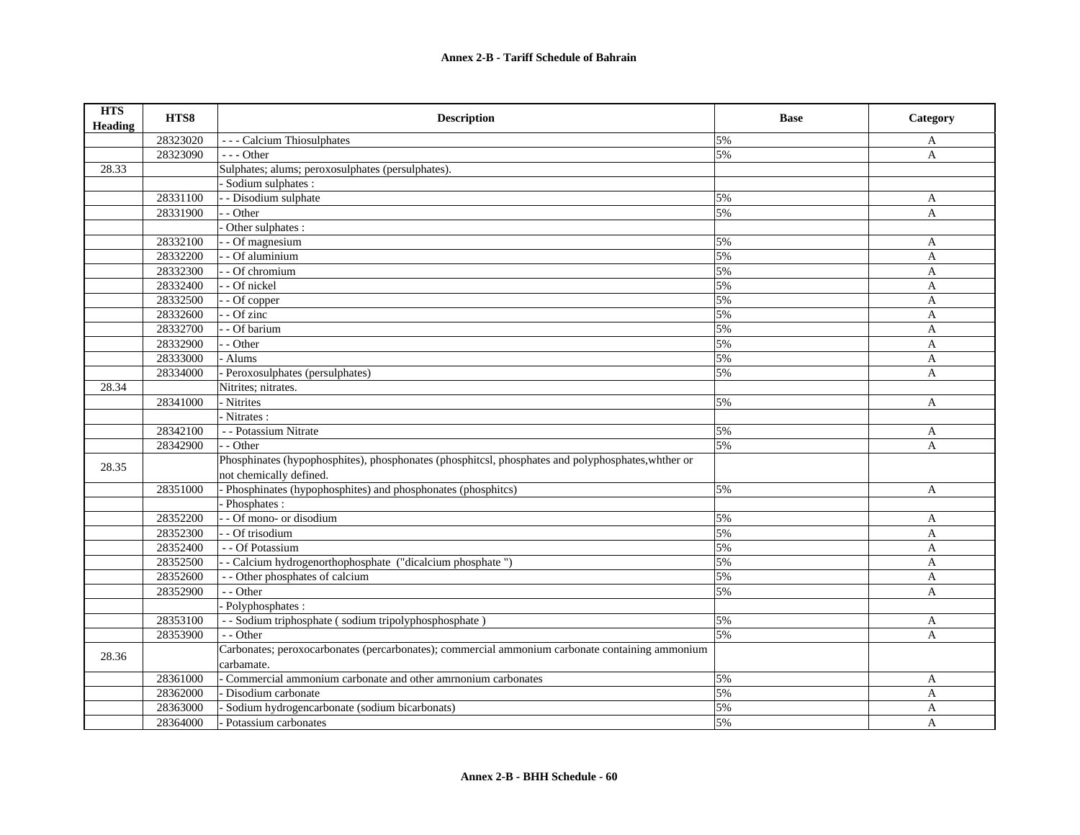| <b>HTS</b><br><b>Heading</b> | HTS8     | <b>Description</b>                                                                                                            | <b>Base</b> | Category     |
|------------------------------|----------|-------------------------------------------------------------------------------------------------------------------------------|-------------|--------------|
|                              | 28323020 | --- Calcium Thiosulphates                                                                                                     | 5%          | A            |
|                              | 28323090 | $- -$ Other                                                                                                                   | 5%          | A            |
| 28.33                        |          | Sulphates; alums; peroxosulphates (persulphates).                                                                             |             |              |
|                              |          | Sodium sulphates :                                                                                                            |             |              |
|                              | 28331100 | - - Disodium sulphate                                                                                                         | 5%          | A            |
|                              | 28331900 | - Other                                                                                                                       | 5%          | A            |
|                              |          | Other sulphates :                                                                                                             |             |              |
|                              | 28332100 | $\overline{-}$ Of magnesium                                                                                                   | 5%          | A            |
|                              | 28332200 | - Of aluminium                                                                                                                | 5%          | A            |
|                              | 28332300 | - - Of chromium                                                                                                               | 5%          | A            |
|                              | 28332400 | - - Of nickel                                                                                                                 | 5%          | $\mathbf{A}$ |
|                              | 28332500 | - - Of copper                                                                                                                 | 5%          | $\mathbf{A}$ |
|                              | 28332600 | $-$ Of zinc                                                                                                                   | 5%          | A            |
|                              | 28332700 | - Of barium                                                                                                                   | 5%          | $\mathbf{A}$ |
|                              | 28332900 | - Other                                                                                                                       | 5%          | $\mathbf{A}$ |
|                              | 28333000 | - Alums                                                                                                                       | 5%          | $\mathbf{A}$ |
|                              | 28334000 | Peroxosulphates (persulphates)                                                                                                | 5%          | A            |
| 28.34                        |          | Nitrites; nitrates.                                                                                                           |             |              |
|                              | 28341000 | - Nitrites                                                                                                                    | 5%          | A            |
|                              |          | - Nitrates :                                                                                                                  |             |              |
|                              | 28342100 | - - Potassium Nitrate                                                                                                         | 5%          | A            |
|                              | 28342900 | - - Other                                                                                                                     | 5%          | A            |
| 28.35                        |          | Phosphinates (hypophosphites), phosphonates (phosphitesl, phosphates and polyphosphates, whther or<br>not chemically defined. |             |              |
|                              | 28351000 | - Phosphinates (hypophosphites) and phosphonates (phosphitcs)                                                                 | 5%          | A            |
|                              |          | - Phosphates:                                                                                                                 |             |              |
|                              | 28352200 | - - Of mono- or disodium                                                                                                      | 5%          | A            |
|                              | 28352300 | - - Of trisodium                                                                                                              | 5%          | A            |
|                              | 28352400 | - - Of Potassium                                                                                                              | 5%          | A            |
|                              | 28352500 | - Calcium hydrogenorthophosphate ("dicalcium phosphate")                                                                      | 5%          | $\mathbf{A}$ |
|                              | 28352600 | - - Other phosphates of calcium                                                                                               | 5%          | $\mathbf{A}$ |
|                              | 28352900 | - - Other                                                                                                                     | 5%          | A            |
|                              |          | Polyphosphates:                                                                                                               |             |              |
|                              | 28353100 | - - Sodium triphosphate (sodium tripolyphosphosphate)                                                                         | 5%          | A            |
|                              | 28353900 | - - Other                                                                                                                     | 5%          | A            |
| 28.36                        |          | Carbonates; peroxocarbonates (percarbonates); commercial ammonium carbonate containing ammonium                               |             |              |
|                              |          | carbamate.                                                                                                                    |             |              |
|                              | 28361000 | Commercial ammonium carbonate and other amrnonium carbonates                                                                  | 5%          | A            |
|                              | 28362000 | Disodium carbonate                                                                                                            | 5%          | A            |
|                              | 28363000 | Sodium hydrogencarbonate (sodium bicarbonats)                                                                                 | 5%          | A            |
|                              | 28364000 | - Potassium carbonates                                                                                                        | 5%          | A            |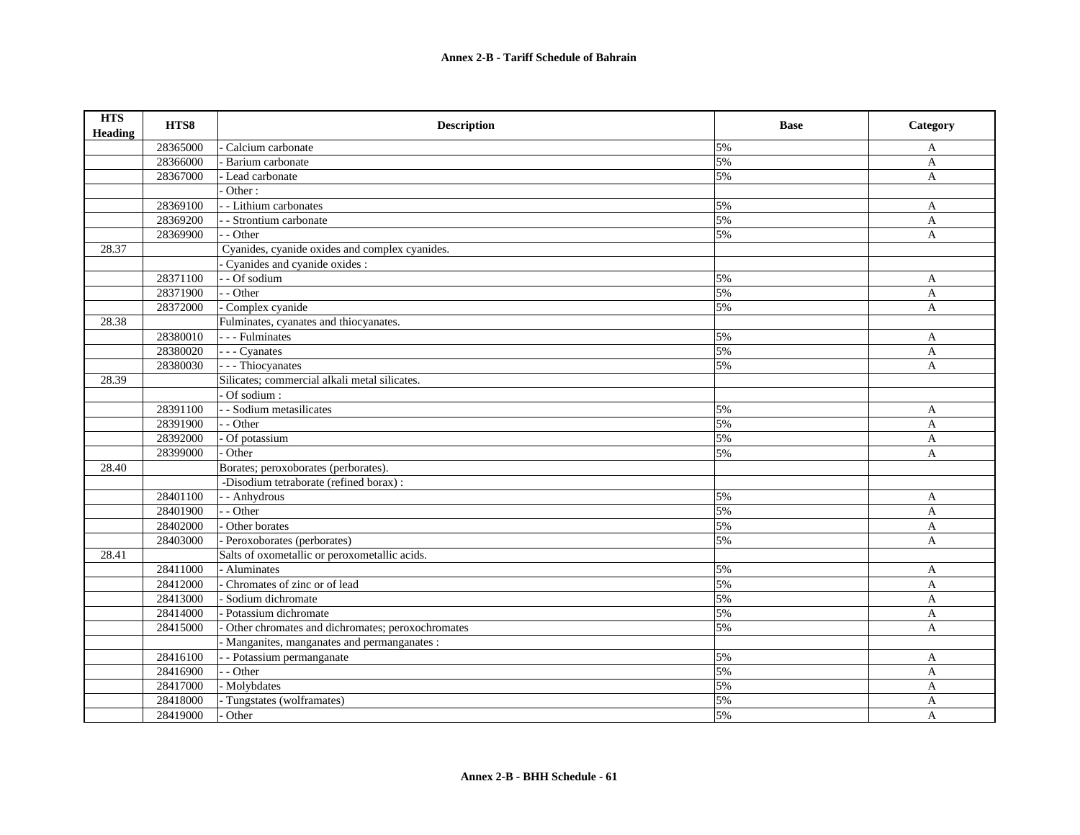| <b>HTS</b><br><b>Heading</b> | HTS8     | <b>Description</b>                               | <b>Base</b> | Category     |
|------------------------------|----------|--------------------------------------------------|-------------|--------------|
|                              | 28365000 | Calcium carbonate                                | 5%          | A            |
|                              | 28366000 | Barium carbonate                                 | 5%          | A            |
|                              | 28367000 | - Lead carbonate                                 | 5%          | A            |
|                              |          | Other:                                           |             |              |
|                              | 28369100 | - Lithium carbonates                             | 5%          | $\mathbf{A}$ |
|                              | 28369200 | - Strontium carbonate                            | 5%          | $\mathbf{A}$ |
|                              | 28369900 | - Other                                          | 5%          | A            |
| 28.37                        |          | Cyanides, cyanide oxides and complex cyanides.   |             |              |
|                              |          | Cyanides and cyanide oxides :                    |             |              |
|                              | 28371100 | - - Of sodium                                    | 5%          | A            |
|                              | 28371900 | - Other                                          | 5%          | A            |
|                              | 28372000 | Complex cyanide                                  | 5%          | $\mathbf{A}$ |
| 28.38                        |          | Fulminates, cyanates and thiocyanates.           |             |              |
|                              | 28380010 | - - - Fulminates                                 | 5%          | A            |
|                              | 28380020 | - - - Cyanates                                   | 5%          | A            |
|                              | 28380030 | - - - Thiocyanates                               | 5%          | $\mathbf{A}$ |
| 28.39                        |          | Silicates; commercial alkali metal silicates.    |             |              |
|                              |          | Of sodium:                                       |             |              |
|                              | 28391100 | - - Sodium metasilicates                         | 5%          | $\mathbf{A}$ |
|                              | 28391900 | - - Other                                        | 5%          | A            |
|                              | 28392000 | - Of potassium                                   | 5%          | A            |
|                              | 28399000 | - Other                                          | 5%          | A            |
| 28.40                        |          | Borates; peroxoborates (perborates).             |             |              |
|                              |          | -Disodium tetraborate (refined borax) :          |             |              |
|                              | 28401100 | - - Anhydrous                                    | 5%          | A            |
|                              | 28401900 | - - Other                                        | 5%          | A            |
|                              | 28402000 | - Other borates                                  | 5%          | A            |
|                              | 28403000 | Peroxoborates (perborates)                       | 5%          | $\mathbf{A}$ |
| 28.41                        |          | Salts of oxometallic or peroxometallic acids.    |             |              |
|                              | 28411000 | - Aluminates                                     | 5%          | A            |
|                              | 28412000 | - Chromates of zinc or of lead                   | 5%          | $\mathbf{A}$ |
|                              | 28413000 | Sodium dichromate                                | 5%          | $\mathbf{A}$ |
|                              | 28414000 | - Potassium dichromate                           | 5%          | A            |
|                              | 28415000 | Other chromates and dichromates; peroxochromates | 5%          | A            |
|                              |          | Manganites, manganates and permanganates :       |             |              |
|                              | 28416100 | - Potassium permanganate                         | 5%          | A            |
|                              | 28416900 | - Other                                          | 5%          | A            |
|                              | 28417000 | Molybdates                                       | 5%          | A            |
|                              | 28418000 | Tungstates (wolframates)                         | 5%          | $\mathbf{A}$ |
|                              | 28419000 | Other                                            | 5%          | A            |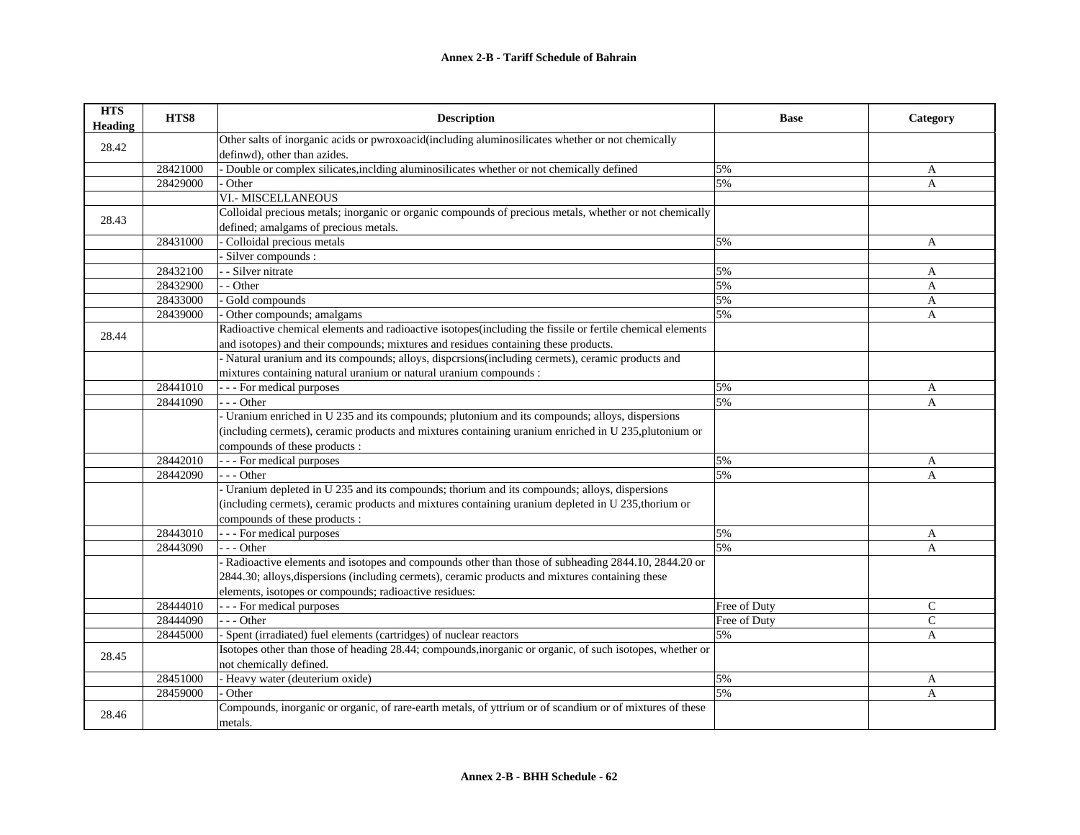| <b>HTS</b><br><b>Heading</b> | HTS8     | <b>Description</b>                                                                                        | <b>Base</b>  | Category       |
|------------------------------|----------|-----------------------------------------------------------------------------------------------------------|--------------|----------------|
|                              |          | Other salts of inorganic acids or pwroxoacid(including aluminosilicates whether or not chemically         |              |                |
| 28.42                        |          | definwd), other than azides.                                                                              |              |                |
|                              | 28421000 | - Double or complex silicates, inclding aluminosilicates whether or not chemically defined                | 5%           | A              |
|                              | 28429000 | Other                                                                                                     | 5%           | $\overline{A}$ |
|                              |          | <b>VI.- MISCELLANEOUS</b>                                                                                 |              |                |
|                              |          | Colloidal precious metals; inorganic or organic compounds of precious metals, whether or not chemically   |              |                |
| 28.43                        |          | defined; amalgams of precious metals.                                                                     |              |                |
|                              | 28431000 | Colloidal precious metals                                                                                 | 5%           | A              |
|                              |          | Silver compounds :                                                                                        |              |                |
|                              | 28432100 | - Silver nitrate                                                                                          | 5%           | A              |
|                              | 28432900 | - Other                                                                                                   | 5%           | A              |
|                              | 28433000 | Gold compounds                                                                                            | 5%           | A              |
|                              | 28439000 | Other compounds; amalgams                                                                                 | 5%           | A              |
|                              |          | Radioactive chemical elements and radioactive isotopes(including the fissile or fertile chemical elements |              |                |
| 28.44                        |          | and isotopes) and their compounds; mixtures and residues containing these products.                       |              |                |
|                              |          | - Natural uranium and its compounds; alloys, dispersions(including cermets), ceramic products and         |              |                |
|                              |          | mixtures containing natural uranium or natural uranium compounds :                                        |              |                |
|                              | 28441010 | - - - For medical purposes                                                                                | 5%           | A              |
|                              | 28441090 | $-$ - Other                                                                                               | 5%           | $\mathbf{A}$   |
|                              |          | - Uranium enriched in U 235 and its compounds; plutonium and its compounds; alloys, dispersions           |              |                |
|                              |          | (including cermets), ceramic products and mixtures containing uranium enriched in U 235, plutonium or     |              |                |
|                              |          | compounds of these products :                                                                             |              |                |
|                              | 28442010 | - - - For medical purposes                                                                                | 5%           | A              |
|                              | 28442090 | $- -$ Other                                                                                               | 5%           | A              |
|                              |          | - Uranium depleted in U 235 and its compounds; thorium and its compounds; alloys, dispersions             |              |                |
|                              |          | (including cermets), ceramic products and mixtures containing uranium depleted in U 235, thorium or       |              |                |
|                              |          | compounds of these products :                                                                             |              |                |
|                              | 28443010 | - - - For medical purposes                                                                                | 5%           | A              |
|                              | 28443090 | --- Other                                                                                                 | 5%           | A              |
|                              |          | - Radioactive elements and isotopes and compounds other than those of subheading 2844.10, 2844.20 or      |              |                |
|                              |          | 2844.30; alloys, dispersions (including cermets), ceramic products and mixtures containing these          |              |                |
|                              |          | elements, isotopes or compounds; radioactive residues:                                                    |              |                |
|                              | 28444010 | - - For medical purposes                                                                                  | Free of Duty | $\mathcal{C}$  |
|                              | 28444090 | - - - Other                                                                                               | Free of Duty | $\mathsf{C}$   |
|                              | 28445000 | - Spent (irradiated) fuel elements (cartridges) of nuclear reactors                                       | 5%           | A              |
|                              |          | Isotopes other than those of heading 28.44; compounds, inorganic or organic, of such isotopes, whether or |              |                |
| 28.45                        |          | not chemically defined.                                                                                   |              |                |
|                              | 28451000 | - Heavy water (deuterium oxide)                                                                           | 5%           | A              |
|                              | 28459000 | Other                                                                                                     | 5%           | A              |
|                              |          | Compounds, inorganic or organic, of rare-earth metals, of yttrium or of scandium or of mixtures of these  |              |                |
| 28.46                        |          | metals.                                                                                                   |              |                |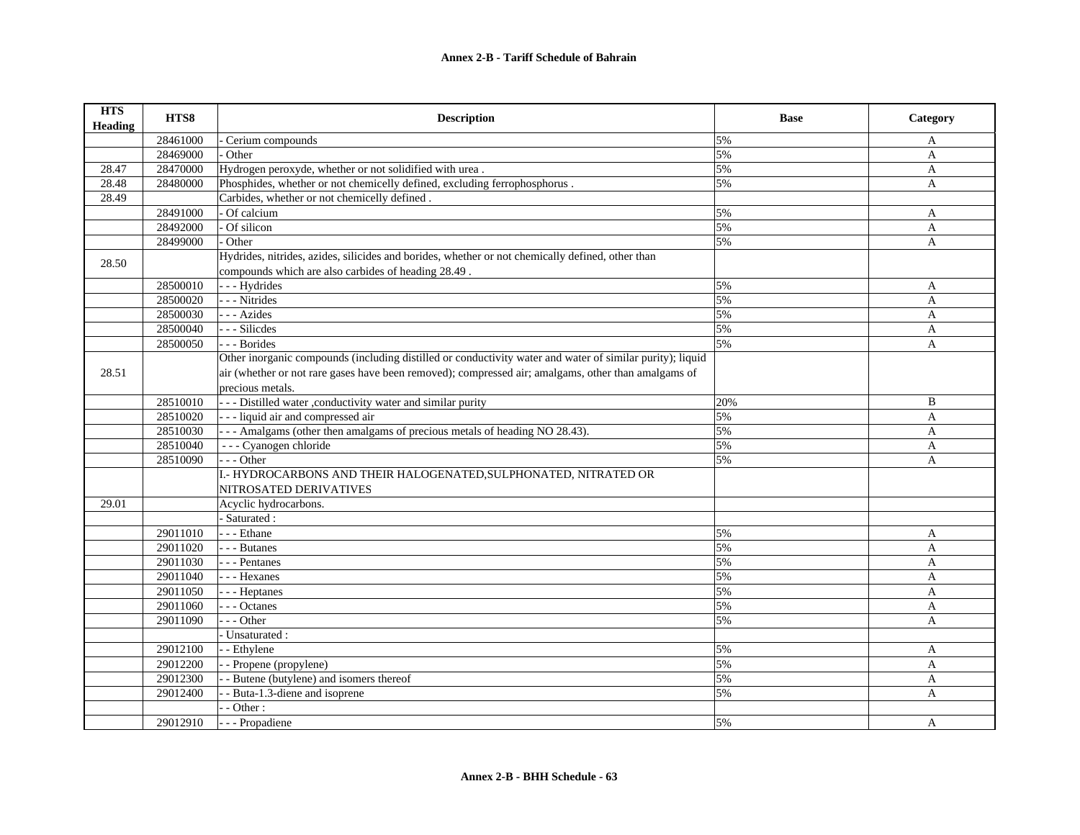| <b>HTS</b><br><b>Heading</b> | HTS8     | <b>Description</b>                                                                                        | <b>Base</b> | Category     |
|------------------------------|----------|-----------------------------------------------------------------------------------------------------------|-------------|--------------|
|                              | 28461000 | Cerium compounds                                                                                          | 5%          | A            |
|                              | 28469000 | Other                                                                                                     | 5%          | $\mathbf{A}$ |
| 28.47                        | 28470000 | Hydrogen peroxyde, whether or not solidified with urea.                                                   | 5%          | $\mathbf{A}$ |
| 28.48                        | 28480000 | Phosphides, whether or not chemicelly defined, excluding ferrophosphorus.                                 | 5%          | $\mathbf{A}$ |
| 28.49                        |          | Carbides, whether or not chemicelly defined.                                                              |             |              |
|                              | 28491000 | Of calcium                                                                                                | 5%          | $\mathbf{A}$ |
|                              | 28492000 | Of silicon                                                                                                | 5%          | A            |
|                              | 28499000 | Other                                                                                                     | 5%          | $\mathbf{A}$ |
|                              |          | Hydrides, nitrides, azides, silicides and borides, whether or not chemically defined, other than          |             |              |
| 28.50                        |          | compounds which are also carbides of heading 28.49.                                                       |             |              |
|                              | 28500010 | --- Hydrides                                                                                              | 5%          | A            |
|                              | 28500020 | - - - Nitrides                                                                                            | 5%          | A            |
|                              | 28500030 | - - - Azides                                                                                              | 5%          | A            |
|                              | 28500040 | --- Silicdes                                                                                              | 5%          | A            |
|                              | 28500050 | --- Borides                                                                                               | 5%          | A            |
|                              |          | Other inorganic compounds (including distilled or conductivity water and water of similar purity); liquid |             |              |
| 28.51                        |          | air (whether or not rare gases have been removed); compressed air; amalgams, other than amalgams of       |             |              |
|                              |          | precious metals.                                                                                          |             |              |
|                              | 28510010 | - - - Distilled water , conductivity water and similar purity                                             | 20%         | B            |
|                              | 28510020 | --- liquid air and compressed air                                                                         | 5%          | A            |
|                              | 28510030 | --- Amalgams (other then amalgams of precious metals of heading NO 28.43).                                | 5%          | $\mathbf{A}$ |
|                              | 28510040 | - - - Cyanogen chloride                                                                                   | 5%          | A            |
|                              | 28510090 | $- -$ Other                                                                                               | 5%          | A            |
|                              |          | I.- HYDROCARBONS AND THEIR HALOGENATED, SULPHONATED, NITRATED OR                                          |             |              |
|                              |          | NITROSATED DERIVATIVES                                                                                    |             |              |
| 29.01                        |          | Acyclic hydrocarbons.                                                                                     |             |              |
|                              |          | - Saturated :                                                                                             |             |              |
|                              | 29011010 | - - Ethane                                                                                                | 5%          | A            |
|                              | 29011020 | - - - Butanes                                                                                             | 5%          | $\mathbf{A}$ |
|                              | 29011030 | - - - Pentanes                                                                                            | 5%          | $\mathbf{A}$ |
|                              | 29011040 | - - - Hexanes                                                                                             | 5%          | A            |
|                              | 29011050 | - - - Heptanes                                                                                            | 5%          | A            |
|                              | 29011060 | - - Octanes                                                                                               | 5%          | $\mathbf{A}$ |
|                              | 29011090 | - - Other                                                                                                 | 5%          | $\mathbf{A}$ |
|                              |          | - Unsaturated :                                                                                           |             |              |
|                              | 29012100 | - - Ethylene                                                                                              | 5%          | A            |
|                              | 29012200 | - Propene (propylene)                                                                                     | 5%          | A            |
|                              | 29012300 | - Butene (butylene) and isomers thereof                                                                   | 5%          | A            |
|                              | 29012400 | - Buta-1.3-diene and isoprene                                                                             | 5%          | A            |
|                              |          | $-$ Other :                                                                                               |             |              |
|                              | 29012910 | - - - Propadiene                                                                                          | 5%          | A            |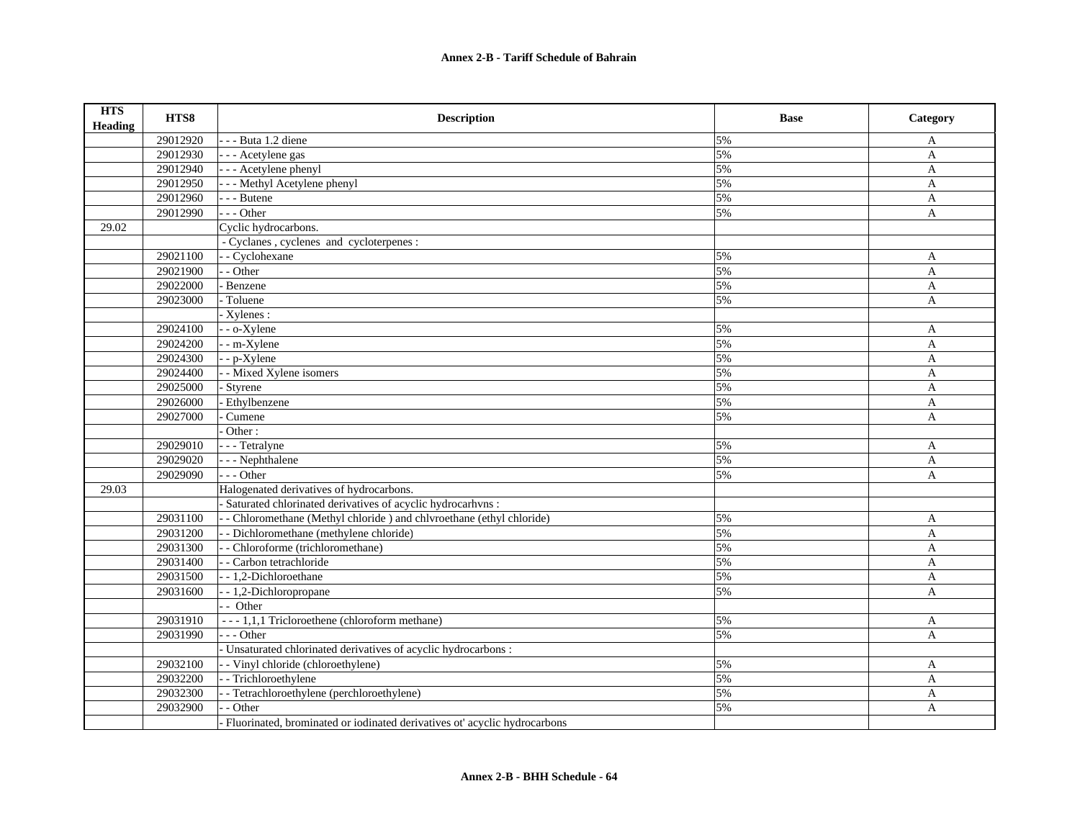| <b>HTS</b><br><b>Heading</b> | HTS8     | <b>Description</b>                                                          | <b>Base</b> | Category     |
|------------------------------|----------|-----------------------------------------------------------------------------|-------------|--------------|
|                              | 29012920 | - - - Buta 1.2 diene                                                        | 5%          | A            |
|                              | 29012930 | - - - Acetylene gas                                                         | 5%          | $\mathbf{A}$ |
|                              | 29012940 | - - - Acetylene phenyl                                                      | 5%          | $\mathbf{A}$ |
|                              | 29012950 | - - - Methyl Acetylene phenyl                                               | 5%          | $\mathbf{A}$ |
|                              | 29012960 | --- Butene                                                                  | 5%          | A            |
|                              | 29012990 | $- -$ Other                                                                 | 5%          | $\mathbf{A}$ |
| 29.02                        |          | Cyclic hydrocarbons.                                                        |             |              |
|                              |          | - Cyclanes, cyclenes and cycloterpenes:                                     |             |              |
|                              | 29021100 | - Cyclohexane                                                               | 5%          | A            |
|                              | 29021900 | - Other                                                                     | 5%          | A            |
|                              | 29022000 | - Benzene                                                                   | 5%          | A            |
|                              | 29023000 | Toluene                                                                     | 5%          | A            |
|                              |          | - Xylenes :                                                                 |             |              |
|                              | 29024100 | - - o-Xylene                                                                | 5%          | A            |
|                              | 29024200 | - - m-Xylene                                                                | 5%          | $\mathbf{A}$ |
|                              | 29024300 | - - p-Xylene                                                                | 5%          | A            |
|                              | 29024400 | - Mixed Xylene isomers                                                      | 5%          | A            |
|                              | 29025000 | - Styrene                                                                   | 5%          | $\mathbf{A}$ |
|                              | 29026000 | <b>Ethylbenzene</b>                                                         | 5%          | A            |
|                              | 29027000 | Cumene                                                                      | 5%          | A            |
|                              |          | Other:                                                                      |             |              |
|                              | 29029010 | - - - Tetralyne                                                             | 5%          | $\mathbf{A}$ |
|                              | 29029020 | - - - Nephthalene                                                           | 5%          | A            |
|                              | 29029090 | --- Other                                                                   | 5%          | A            |
| 29.03                        |          | Halogenated derivatives of hydrocarbons.                                    |             |              |
|                              |          | - Saturated chlorinated derivatives of acyclic hydrocarhvns :               |             |              |
|                              | 29031100 | - Chloromethane (Methyl chloride) and chlyroethane (ethyl chloride)         | 5%          | A            |
|                              | 29031200 | - - Dichloromethane (methylene chloride)                                    | 5%          | A            |
|                              | 29031300 | - - Chloroforme (trichloromethane)                                          | 5%          | A            |
|                              | 29031400 | - - Carbon tetrachloride                                                    | 5%          | A            |
|                              | 29031500 | - - 1,2-Dichloroethane                                                      | 5%          | A            |
|                              | 29031600 | - - 1,2-Dichloropropane                                                     | 5%          | $\mathbf{A}$ |
|                              |          | - Other                                                                     |             |              |
|                              | 29031910 | --- 1,1,1 Tricloroethene (chloroform methane)                               | 5%          | A            |
|                              | 29031990 | $- -$ Other                                                                 | 5%          | $\mathbf{A}$ |
|                              |          | - Unsaturated chlorinated derivatives of acyclic hydrocarbons :             |             |              |
|                              | 29032100 | - Vinyl chloride (chloroethylene)                                           | 5%          | A            |
|                              | 29032200 | - - Trichloroethylene                                                       | 5%          | A            |
|                              | 29032300 | - Tetrachloroethylene (perchloroethylene)                                   | 5%          | A            |
|                              | 29032900 | - - Other                                                                   | 5%          | A            |
|                              |          | - Fluorinated, brominated or iodinated derivatives ot' acyclic hydrocarbons |             |              |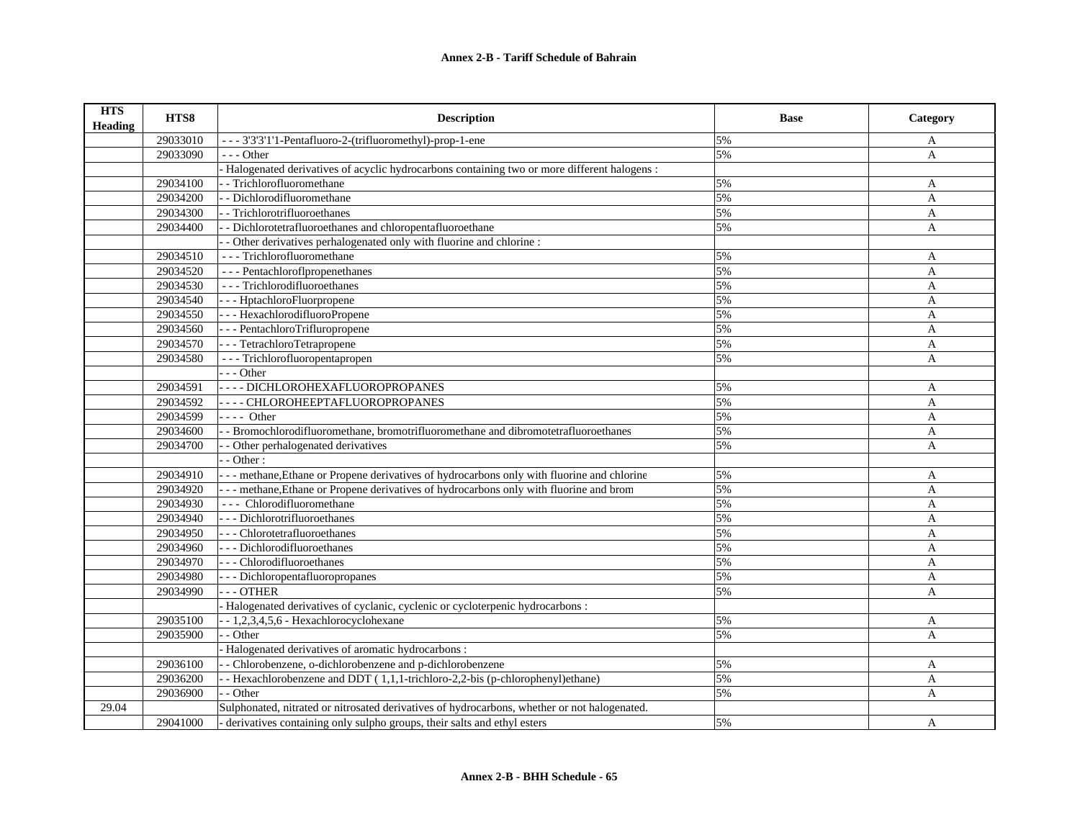| <b>HTS</b><br><b>Heading</b> | HTS8     | <b>Description</b>                                                                           | <b>Base</b> | Category     |
|------------------------------|----------|----------------------------------------------------------------------------------------------|-------------|--------------|
|                              | 29033010 | - - - 3'3'3'1'1-Pentafluoro-2-(trifluoromethyl)-prop-1-ene                                   | 5%          | A            |
|                              | 29033090 | $- -$ Other                                                                                  | 5%          | $\mathbf{A}$ |
|                              |          | Halogenated derivatives of acyclic hydrocarbons containing two or more different halogens :  |             |              |
|                              | 29034100 | - Trichlorofluoromethane                                                                     | 5%          | A            |
|                              | 29034200 | - Dichlorodifluoromethane                                                                    | 5%          | A            |
|                              | 29034300 | - Trichlorotrifluoroethanes                                                                  | 5%          | A            |
|                              | 29034400 | - Dichlorotetrafluoroethanes and chloropentafluoroethane                                     | 5%          | $\mathbf{A}$ |
|                              |          | - Other derivatives perhalogenated only with fluorine and chlorine :                         |             |              |
|                              | 29034510 | --- Trichlorofluoromethane                                                                   | 5%          | A            |
|                              | 29034520 | --- Pentachloroflpropenethanes                                                               | 5%          | A            |
|                              | 29034530 | --- Trichlorodifluoroethanes                                                                 | 5%          | A            |
|                              | 29034540 | - - - HptachloroFluorpropene                                                                 | 5%          | A            |
|                              | 29034550 | - - - HexachlorodifluoroPropene                                                              | 5%          | A            |
|                              | 29034560 | - - - PentachloroTrifluropropene                                                             | 5%          | A            |
|                              | 29034570 | - - - TetrachloroTetrapropene                                                                | 5%          | A            |
|                              | 29034580 | --- Trichlorofluoropentapropen                                                               | 5%          | A            |
|                              |          | $- -$ Other                                                                                  |             |              |
|                              | 29034591 | ---- DICHLOROHEXAFLUOROPROPANES                                                              | 5%          | A            |
|                              | 29034592 | ---- CHLOROHEEPTAFLUOROPROPANES                                                              | 5%          | A            |
|                              | 29034599 | $---$ Other                                                                                  | 5%          | A            |
|                              | 29034600 | - Bromochlorodifluoromethane, bromotrifluoromethane and dibromotetrafluoroethanes            | 5%          | A            |
|                              | 29034700 | - Other perhalogenated derivatives                                                           | 5%          | $\mathbf{A}$ |
|                              |          | - Other:                                                                                     |             |              |
|                              | 29034910 | --- methane, Ethane or Propene derivatives of hydrocarbons only with fluorine and chlorine   | 5%          | A            |
|                              | 29034920 | --- methane, Ethane or Propene derivatives of hydrocarbons only with fluorine and brom       | 5%          | A            |
|                              | 29034930 | --- Chlorodifluoromethane                                                                    | 5%          | A            |
|                              | 29034940 | --- Dichlorotrifluoroethanes                                                                 | 5%          | A            |
|                              | 29034950 | --- Chlorotetrafluoroethanes                                                                 | 5%          | A            |
|                              | 29034960 | --- Dichlorodifluoroethanes                                                                  | 5%          | A            |
|                              | 29034970 | --- Chlorodifluoroethanes                                                                    | 5%          | A            |
|                              | 29034980 | - - - Dichloropentafluoropropanes                                                            | 5%          | A            |
|                              | 29034990 | $-$ - OTHER                                                                                  | 5%          | A            |
|                              |          | Halogenated derivatives of cyclanic, cyclenic or cycloterpenic hydrocarbons :                |             |              |
|                              | 29035100 | $-1,2,3,4,5,6$ - Hexachlorocyclohexane                                                       | 5%          | A            |
|                              | 29035900 | - Other                                                                                      | 5%          | A            |
|                              |          | Halogenated derivatives of aromatic hydrocarbons :                                           |             |              |
|                              | 29036100 | - Chlorobenzene, o-dichlorobenzene and p-dichlorobenzene                                     | 5%          | $\mathbf{A}$ |
|                              | 29036200 | - Hexachlorobenzene and DDT (1,1,1-trichloro-2,2-bis (p-chlorophenyl)ethane)                 | 5%          | A            |
|                              | 29036900 | - Other                                                                                      | 5%          | A            |
| 29.04                        |          | Sulphonated, nitrated or nitrosated derivatives of hydrocarbons, whether or not halogenated. |             |              |
|                              | 29041000 | - derivatives containing only sulpho groups, their salts and ethyl esters                    | 5%          | A            |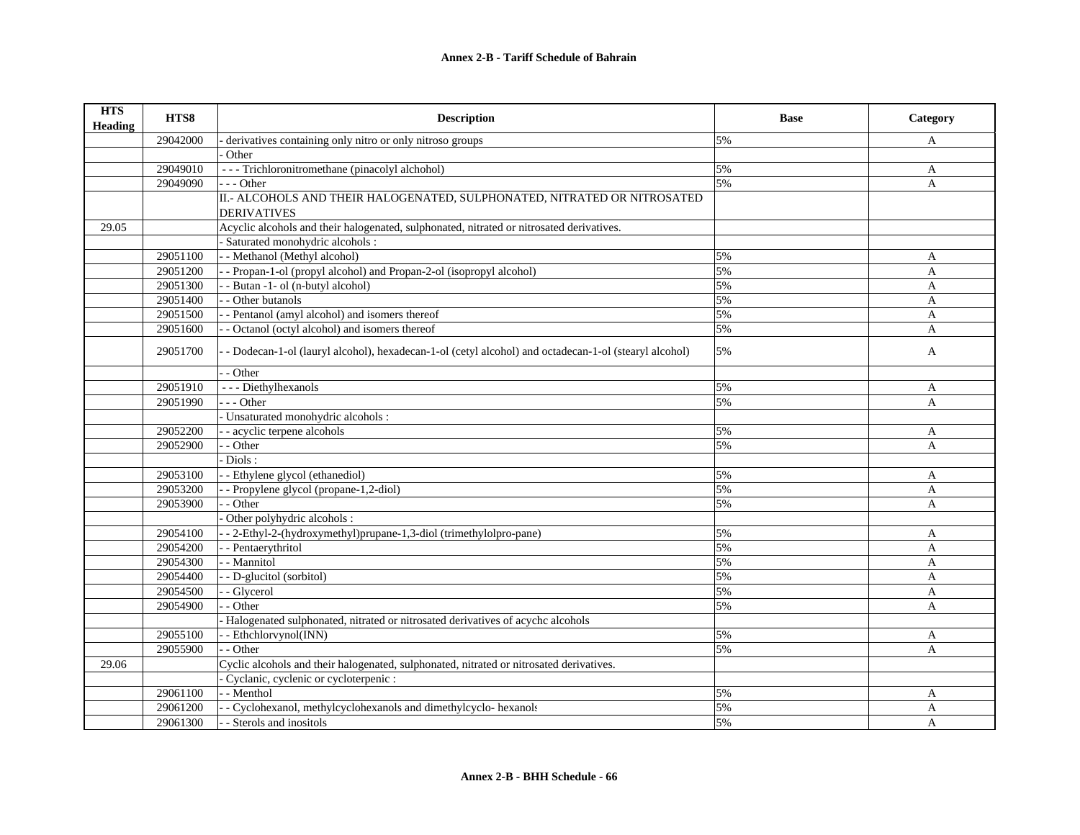| <b>HTS</b><br><b>Heading</b> | HTS8     | <b>Description</b>                                                                                   | <b>Base</b> | Category     |
|------------------------------|----------|------------------------------------------------------------------------------------------------------|-------------|--------------|
|                              | 29042000 | derivatives containing only nitro or only nitroso groups                                             | 5%          | A            |
|                              |          | Other                                                                                                |             |              |
|                              | 29049010 | --- Trichloronitromethane (pinacolyl alchohol)                                                       | 5%          | A            |
|                              | 29049090 | $- -$ Other                                                                                          | 5%          | A            |
|                              |          | II.- ALCOHOLS AND THEIR HALOGENATED, SULPHONATED, NITRATED OR NITROSATED                             |             |              |
|                              |          | <b>DERIVATIVES</b>                                                                                   |             |              |
| 29.05                        |          | Acyclic alcohols and their halogenated, sulphonated, nitrated or nitrosated derivatives.             |             |              |
|                              |          | Saturated monohydric alcohols :                                                                      |             |              |
|                              | 29051100 | - - Methanol (Methyl alcohol)                                                                        | 5%          | A            |
|                              | 29051200 | - Propan-1-ol (propyl alcohol) and Propan-2-ol (isopropyl alcohol)                                   | 5%          | A            |
|                              | 29051300 | - Butan -1- ol (n-butyl alcohol)                                                                     | 5%          | $\mathbf{A}$ |
|                              | 29051400 | - Other butanols                                                                                     | 5%          | A            |
|                              | 29051500 | - Pentanol (amyl alcohol) and isomers thereof                                                        | 5%          | A            |
|                              | 29051600 | - Octanol (octyl alcohol) and isomers thereof                                                        | 5%          | A            |
|                              | 29051700 | - Dodecan-1-ol (lauryl alcohol), hexadecan-1-ol (cetyl alcohol) and octadecan-1-ol (stearyl alcohol) | 5%          | A            |
|                              |          | - Other                                                                                              |             |              |
|                              | 29051910 | - - - Diethylhexanols                                                                                | 5%          | A            |
|                              | 29051990 | $- -$ Other                                                                                          | 5%          | A            |
|                              |          | - Unsaturated monohydric alcohols :                                                                  |             |              |
|                              | 29052200 | - acyclic terpene alcohols                                                                           | 5%          | A            |
|                              | 29052900 | - Other                                                                                              | 5%          | A            |
|                              |          | Diols:                                                                                               |             |              |
|                              | 29053100 | - Ethylene glycol (ethanediol)                                                                       | 5%          | A            |
|                              | 29053200 | - Propylene glycol (propane-1,2-diol)                                                                | 5%          | A            |
|                              | 29053900 | - Other                                                                                              | 5%          | A            |
|                              |          | Other polyhydric alcohols :                                                                          |             |              |
|                              | 29054100 | - 2-Ethyl-2-(hydroxymethyl)prupane-1,3-diol (trimethylolpro-pane)                                    | 5%          | A            |
|                              | 29054200 | - Pentaerythritol                                                                                    | 5%          | $\mathbf{A}$ |
|                              | 29054300 | - Mannitol                                                                                           | 5%          | A            |
|                              | 29054400 | - D-glucitol (sorbitol)                                                                              | 5%          | A            |
|                              | 29054500 | - Glycerol                                                                                           | 5%          | A            |
|                              | 29054900 | - Other                                                                                              | 5%          | A            |
|                              |          | Halogenated sulphonated, nitrated or nitrosated derivatives of acychc alcohols                       |             |              |
|                              | 29055100 | - Ethchlorvynol(INN)                                                                                 | 5%          | A            |
|                              | 29055900 | - Other                                                                                              | 5%          | A            |
| 29.06                        |          | Cyclic alcohols and their halogenated, sulphonated, nitrated or nitrosated derivatives.              |             |              |
|                              |          | Cyclanic, cyclenic or cycloterpenic :                                                                |             |              |
|                              | 29061100 | - Menthol                                                                                            | 5%          | A            |
|                              | 29061200 | - Cyclohexanol, methylcyclohexanols and dimethylcyclo- hexanols                                      | 5%          | A            |
|                              | 29061300 | - Sterols and inositols                                                                              | 5%          | A            |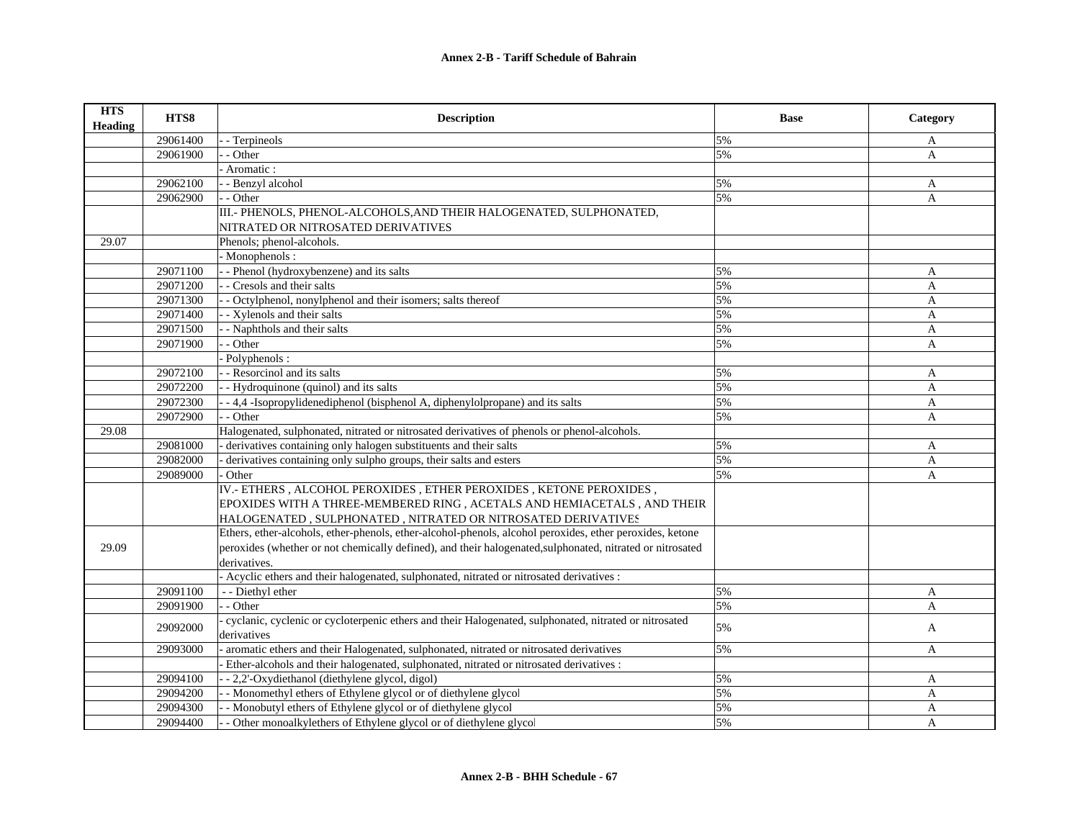| <b>HTS</b><br><b>Heading</b> | HTS8     | <b>Description</b>                                                                                        | <b>Base</b> | Category     |
|------------------------------|----------|-----------------------------------------------------------------------------------------------------------|-------------|--------------|
|                              | 29061400 | - Terpineols                                                                                              | 5%          | A            |
|                              | 29061900 | - Other                                                                                                   | 5%          | $\mathbf{A}$ |
|                              |          | Aromatic:                                                                                                 |             |              |
|                              | 29062100 | - Benzyl alcohol                                                                                          | 5%          | A            |
|                              | 29062900 | - Other                                                                                                   | 5%          | A            |
|                              |          | III.- PHENOLS, PHENOL-ALCOHOLS, AND THEIR HALOGENATED, SULPHONATED,                                       |             |              |
|                              |          | NITRATED OR NITROSATED DERIVATIVES                                                                        |             |              |
| 29.07                        |          | Phenols; phenol-alcohols.                                                                                 |             |              |
|                              |          | Monophenols:                                                                                              |             |              |
|                              | 29071100 | - Phenol (hydroxybenzene) and its salts                                                                   | 5%          | A            |
|                              | 29071200 | - Cresols and their salts                                                                                 | 5%          | A            |
|                              | 29071300 | - Octylphenol, nonylphenol and their isomers; salts thereof                                               | 5%          | $\mathbf{A}$ |
|                              | 29071400 | - Xylenols and their salts                                                                                | 5%          | A            |
|                              | 29071500 | - Naphthols and their salts                                                                               | 5%          | A            |
|                              | 29071900 | - Other                                                                                                   | 5%          | A            |
|                              |          | Polyphenols:                                                                                              |             |              |
|                              | 29072100 | - Resorcinol and its salts                                                                                | 5%          | A            |
|                              | 29072200 | - Hydroquinone (quinol) and its salts                                                                     | 5%          | A            |
|                              | 29072300 | -4,4-Isopropylidenediphenol (bisphenol A, diphenylolpropane) and its salts                                | 5%          | $\mathbf{A}$ |
|                              | 29072900 | - Other                                                                                                   | 5%          | A            |
| 29.08                        |          | Halogenated, sulphonated, nitrated or nitrosated derivatives of phenols or phenol-alcohols.               |             |              |
|                              | 29081000 | derivatives containing only halogen substituents and their salts                                          | 5%          | A            |
|                              | 29082000 | derivatives containing only sulpho groups, their salts and esters                                         | 5%          | A            |
|                              | 29089000 | Other                                                                                                     | 5%          | A            |
|                              |          | IV.- ETHERS, ALCOHOL PEROXIDES, ETHER PEROXIDES, KETONE PEROXIDES,                                        |             |              |
|                              |          | EPOXIDES WITH A THREE-MEMBERED RING, ACETALS AND HEMIACETALS, AND THEIR                                   |             |              |
|                              |          | HALOGENATED, SULPHONATED, NITRATED OR NITROSATED DERIVATIVES                                              |             |              |
|                              |          | Ethers, ether-alcohols, ether-phenols, ether-alcohol-phenols, alcohol peroxides, ether peroxides, ketone  |             |              |
| 29.09                        |          | peroxides (whether or not chemically defined), and their halogenated, sulphonated, nitrated or nitrosated |             |              |
|                              |          | derivatives.                                                                                              |             |              |
|                              |          | - Acyclic ethers and their halogenated, sulphonated, nitrated or nitrosated derivatives :                 |             |              |
|                              | 29091100 | - - Diethyl ether                                                                                         | 5%          | A            |
|                              | 29091900 | - Other                                                                                                   | 5%          | A            |
|                              |          | cyclanic, cyclenic or cycloterpenic ethers and their Halogenated, sulphonated, nitrated or nitrosated     |             |              |
|                              | 29092000 | derivatives                                                                                               | 5%          | A            |
|                              | 29093000 | aromatic ethers and their Halogenated, sulphonated, nitrated or nitrosated derivatives                    | 5%          | A            |
|                              |          | Ether-alcohols and their halogenated, sulphonated, nitrated or nitrosated derivatives :                   |             |              |
|                              | 29094100 | - - 2,2'-Oxydiethanol (diethylene glycol, digol)                                                          | 5%          | A            |
|                              | 29094200 | - Monomethyl ethers of Ethylene glycol or of diethylene glycol                                            | 5%          | A            |
|                              | 29094300 | - Monobutyl ethers of Ethylene glycol or of diethylene glycol                                             | 5%          | A            |
|                              | 29094400 | - Other monoalkylethers of Ethylene glycol or of diethylene glycol                                        | 5%          | A            |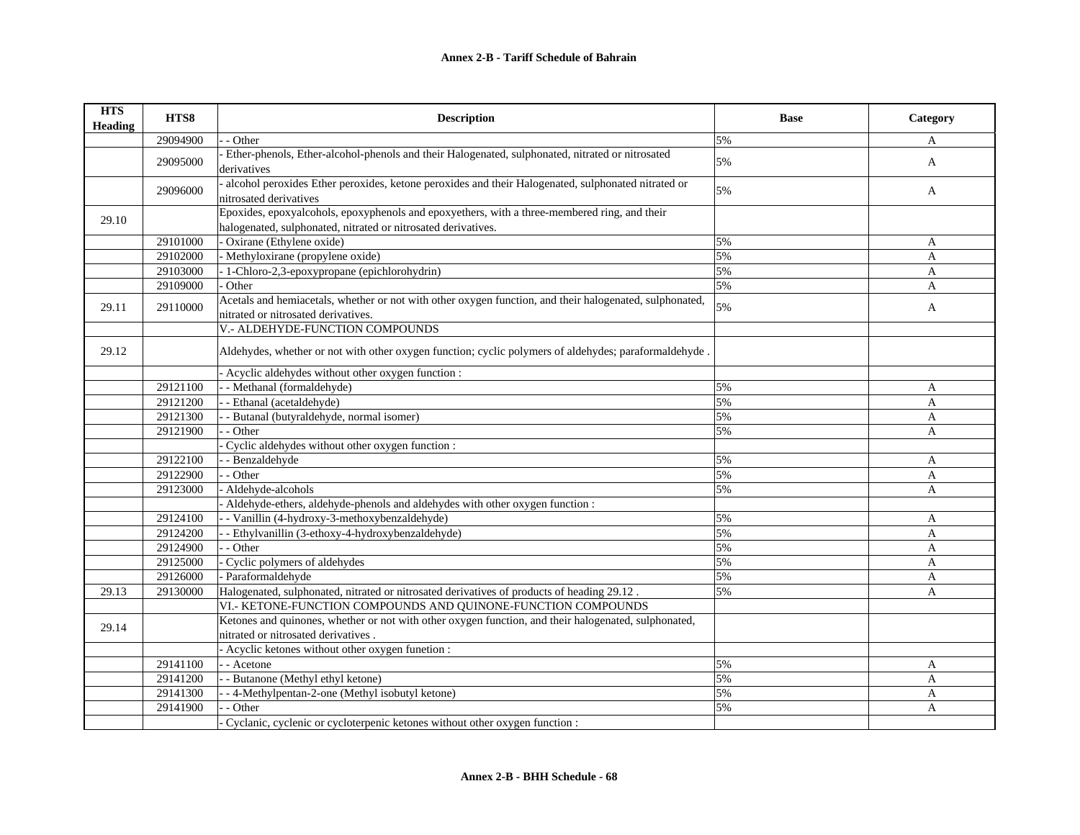| <b>HTS</b><br><b>Heading</b> | HTS8     | <b>Description</b>                                                                                                                                            | <b>Base</b> | Category     |
|------------------------------|----------|---------------------------------------------------------------------------------------------------------------------------------------------------------------|-------------|--------------|
|                              | 29094900 | - Other                                                                                                                                                       | 5%          | A            |
|                              | 29095000 | Ether-phenols, Ether-alcohol-phenols and their Halogenated, sulphonated, nitrated or nitrosated<br>derivatives                                                | 5%          | $\mathbf{A}$ |
|                              | 29096000 | alcohol peroxides Ether peroxides, ketone peroxides and their Halogenated, sulphonated nitrated or<br>nitrosated derivatives                                  | 5%          | A            |
| 29.10                        |          | Epoxides, epoxyalcohols, epoxyphenols and epoxyethers, with a three-membered ring, and their<br>halogenated, sulphonated, nitrated or nitrosated derivatives. |             |              |
|                              | 29101000 | Oxirane (Ethylene oxide)                                                                                                                                      | 5%          | A            |
|                              | 29102000 | - Methyloxirane (propylene oxide)                                                                                                                             | 5%          | A            |
|                              | 29103000 | - 1-Chloro-2,3-epoxypropane (epichlorohydrin)                                                                                                                 | 5%          | A            |
|                              | 29109000 | Other                                                                                                                                                         | 5%          | A            |
| 29.11                        | 29110000 | Acetals and hemiacetals, whether or not with other oxygen function, and their halogenated, sulphonated,<br>nitrated or nitrosated derivatives.                | 5%          | A            |
|                              |          | V.- ALDEHYDE-FUNCTION COMPOUNDS                                                                                                                               |             |              |
| 29.12                        |          | Aldehydes, whether or not with other oxygen function; cyclic polymers of aldehydes; paraformaldehyde.                                                         |             |              |
|                              |          | Acyclic aldehydes without other oxygen function:                                                                                                              |             |              |
|                              | 29121100 | - Methanal (formaldehyde)                                                                                                                                     | 5%          | A            |
|                              | 29121200 | - Ethanal (acetaldehyde)                                                                                                                                      | 5%          | A            |
|                              | 29121300 | - Butanal (butyraldehyde, normal isomer)                                                                                                                      | 5%          | A            |
|                              | 29121900 | - Other                                                                                                                                                       | 5%          | A            |
|                              |          | Cyclic aldehydes without other oxygen function :                                                                                                              |             |              |
|                              | 29122100 | - Benzaldehyde                                                                                                                                                | 5%          | $\mathbf{A}$ |
|                              | 29122900 | - Other                                                                                                                                                       | 5%          | A            |
|                              | 29123000 | Aldehyde-alcohols                                                                                                                                             | 5%          | A            |
|                              |          | Aldehyde-ethers, aldehyde-phenols and aldehydes with other oxygen function :                                                                                  |             |              |
|                              | 29124100 | - Vanillin (4-hydroxy-3-methoxybenzaldehyde)                                                                                                                  | 5%          | A            |
|                              | 29124200 | - Ethylvanillin (3-ethoxy-4-hydroxybenzaldehyde)                                                                                                              | 5%          | A            |
|                              | 29124900 | - Other                                                                                                                                                       | 5%          | A            |
|                              | 29125000 | Cyclic polymers of aldehydes                                                                                                                                  | 5%          | A            |
|                              | 29126000 | - Paraformaldehyde                                                                                                                                            | 5%          | A            |
| 29.13                        | 29130000 | Halogenated, sulphonated, nitrated or nitrosated derivatives of products of heading 29.12.                                                                    | 5%          | A            |
|                              |          | VI.- KETONE-FUNCTION COMPOUNDS AND QUINONE-FUNCTION COMPOUNDS                                                                                                 |             |              |
|                              |          | Ketones and quinones, whether or not with other oxygen function, and their halogenated, sulphonated,                                                          |             |              |
| 29.14                        |          | nitrated or nitrosated derivatives.                                                                                                                           |             |              |
|                              |          | - Acyclic ketones without other oxygen funetion :                                                                                                             |             |              |
|                              | 29141100 | - Acetone                                                                                                                                                     | 5%          | A            |
|                              | 29141200 | - Butanone (Methyl ethyl ketone)                                                                                                                              | 5%          | $\mathbf{A}$ |
|                              | 29141300 | - 4-Methylpentan-2-one (Methyl isobutyl ketone)                                                                                                               | 5%          | A            |
|                              | 29141900 | - Other                                                                                                                                                       | 5%          | A            |
|                              |          | Cyclanic, cyclenic or cycloterpenic ketones without other oxygen function :                                                                                   |             |              |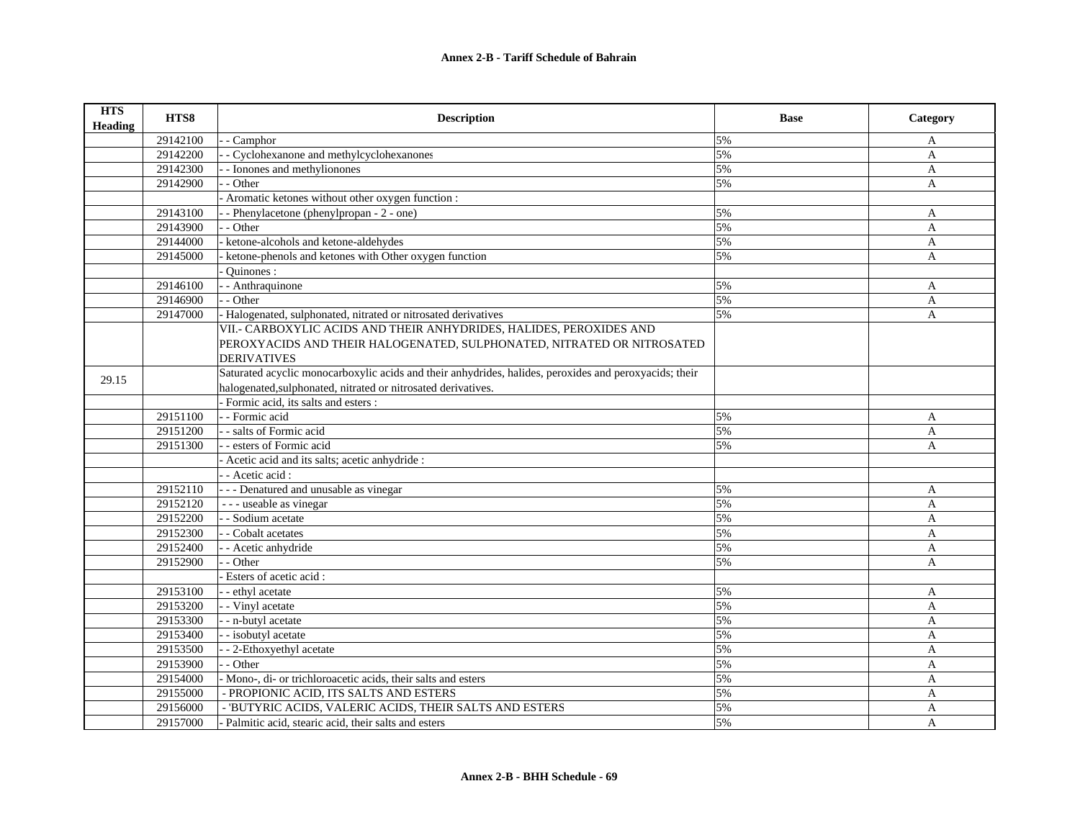| <b>HTS</b><br><b>Heading</b> | HTS8     | <b>Description</b>                                                                                     | <b>Base</b> | Category     |
|------------------------------|----------|--------------------------------------------------------------------------------------------------------|-------------|--------------|
|                              | 29142100 | - Camphor                                                                                              | 5%          | A            |
|                              | 29142200 | - Cyclohexanone and methylcyclohexanones                                                               | 5%          | A            |
|                              | 29142300 | - Ionones and methylionones                                                                            | 5%          | A            |
|                              | 29142900 | - Other                                                                                                | 5%          | A            |
|                              |          | - Aromatic ketones without other oxygen function :                                                     |             |              |
|                              | 29143100 | - Phenylacetone (phenylpropan - 2 - one)                                                               | 5%          | A            |
|                              | 29143900 | - Other                                                                                                | 5%          | A            |
|                              | 29144000 | ketone-alcohols and ketone-aldehydes                                                                   | 5%          | A            |
|                              | 29145000 | ketone-phenols and ketones with Other oxygen function                                                  | 5%          | A            |
|                              |          | Ouinones:                                                                                              |             |              |
|                              | 29146100 | - - Anthraquinone                                                                                      | 5%          | A            |
|                              | 29146900 | - - Other                                                                                              | 5%          | $\mathbf{A}$ |
|                              | 29147000 | - Halogenated, sulphonated, nitrated or nitrosated derivatives                                         | 5%          | $\mathbf{A}$ |
|                              |          | VII.- CARBOXYLIC ACIDS AND THEIR ANHYDRIDES, HALIDES, PEROXIDES AND                                    |             |              |
|                              |          | PEROXYACIDS AND THEIR HALOGENATED, SULPHONATED, NITRATED OR NITROSATED                                 |             |              |
|                              |          | <b>DERIVATIVES</b>                                                                                     |             |              |
| 29.15                        |          | Saturated acyclic monocarboxylic acids and their anhydrides, halides, peroxides and peroxyacids; their |             |              |
|                              |          | halogenated, sulphonated, nitrated or nitrosated derivatives.                                          |             |              |
|                              |          | - Formic acid, its salts and esters :                                                                  |             |              |
|                              | 29151100 | - - Formic acid                                                                                        | 5%          | A            |
|                              | 29151200 | - - salts of Formic acid                                                                               | 5%          | A            |
|                              | 29151300 | - - esters of Formic acid                                                                              | 5%          | A            |
|                              |          | Acetic acid and its salts; acetic anhydride :                                                          |             |              |
|                              |          | - - Acetic acid:                                                                                       |             |              |
|                              | 29152110 | - - - Denatured and unusable as vinegar                                                                | 5%          | A            |
|                              | 29152120 | - - - useable as vinegar                                                                               | 5%          | A            |
|                              | 29152200 | - - Sodium acetate                                                                                     | 5%          | $\mathbf{A}$ |
|                              | 29152300 | - Cobalt acetates                                                                                      | 5%          | A            |
|                              | 29152400 | - - Acetic anhydride                                                                                   | 5%          | A            |
|                              | 29152900 | - Other                                                                                                | 5%          | A            |
|                              |          | Esters of acetic acid:                                                                                 |             |              |
|                              | 29153100 | - - ethyl acetate                                                                                      | 5%          | A            |
|                              | 29153200 | - Vinyl acetate                                                                                        | 5%          | A            |
|                              | 29153300 | - - n-butyl acetate                                                                                    | 5%          | $\mathbf{A}$ |
|                              | 29153400 | - isobutyl acetate                                                                                     | 5%          | A            |
|                              | 29153500 | -- 2-Ethoxyethyl acetate                                                                               | 5%          | A            |
|                              | 29153900 | - - Other                                                                                              | 5%          | $\mathbf{A}$ |
|                              | 29154000 | - Mono-, di- or trichloroacetic acids, their salts and esters                                          | 5%          | A            |
|                              | 29155000 | - PROPIONIC ACID, ITS SALTS AND ESTERS                                                                 | 5%          | A            |
|                              | 29156000 | - 'BUTYRIC ACIDS, VALERIC ACIDS, THEIR SALTS AND ESTERS                                                | 5%          | A            |
|                              | 29157000 | - Palmitic acid, stearic acid, their salts and esters                                                  | 5%          | A            |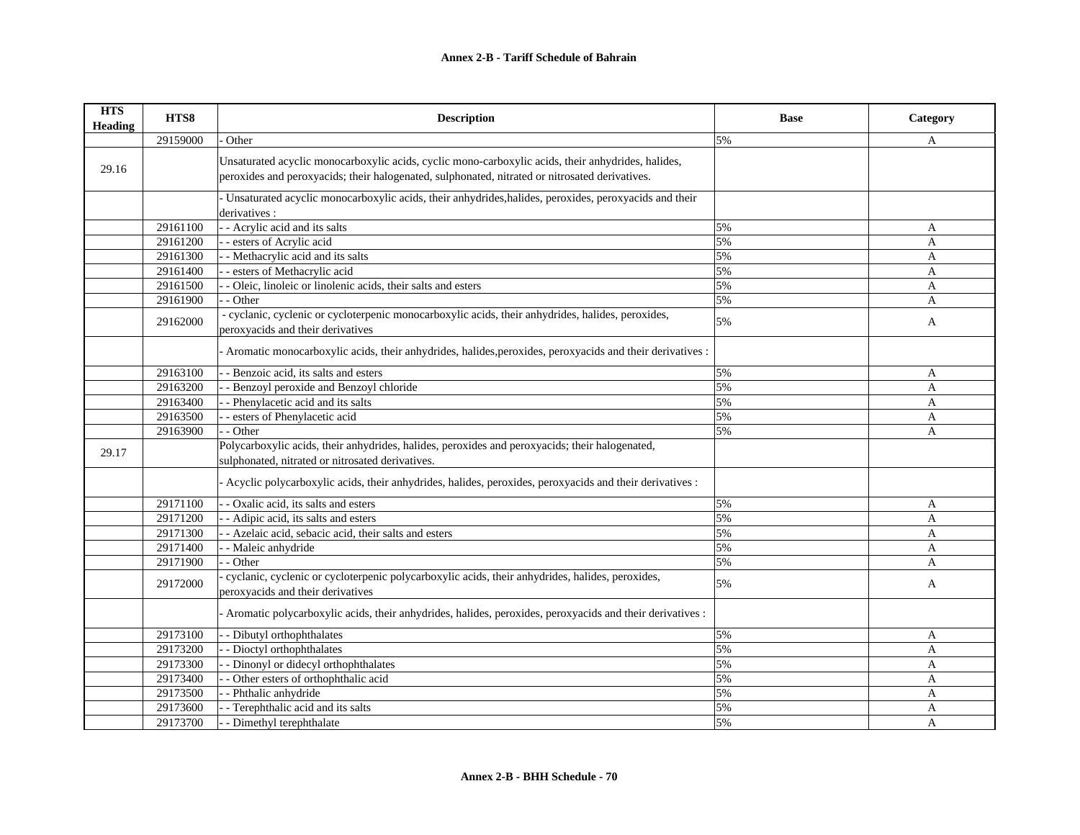| <b>HTS</b><br><b>Heading</b> | HTS8     | <b>Description</b>                                                                                                                                                                                   | <b>Base</b> | Category     |
|------------------------------|----------|------------------------------------------------------------------------------------------------------------------------------------------------------------------------------------------------------|-------------|--------------|
|                              | 29159000 | Other                                                                                                                                                                                                | 5%          | A            |
| 29.16                        |          | Unsaturated acyclic monocarboxylic acids, cyclic mono-carboxylic acids, their anhydrides, halides,<br>peroxides and peroxyacids; their halogenated, sulphonated, nitrated or nitrosated derivatives. |             |              |
|                              |          | - Unsaturated acyclic monocarboxylic acids, their anhydrides, halides, peroxides, peroxyacids and their<br>derivatives :                                                                             |             |              |
|                              | 29161100 | - - Acrylic acid and its salts                                                                                                                                                                       | 5%          | A            |
|                              | 29161200 | - esters of Acrylic acid                                                                                                                                                                             | 5%          | A            |
|                              | 29161300 | - Methacrylic acid and its salts                                                                                                                                                                     | 5%          | A            |
|                              | 29161400 | esters of Methacrylic acid                                                                                                                                                                           | 5%          | A            |
|                              | 29161500 | - Oleic, linoleic or linolenic acids, their salts and esters                                                                                                                                         | 5%          | A            |
|                              | 29161900 | - Other                                                                                                                                                                                              | 5%          | A            |
|                              | 29162000 | - cyclanic, cyclenic or cycloterpenic monocarboxylic acids, their anhydrides, halides, peroxides,<br>peroxyacids and their derivatives                                                               | 5%          | A            |
|                              |          | Aromatic monocarboxylic acids, their anhydrides, halides, peroxides, peroxyacids and their derivatives :                                                                                             |             |              |
|                              | 29163100 | - Benzoic acid, its salts and esters                                                                                                                                                                 | 5%          | A            |
|                              | 29163200 | - Benzoyl peroxide and Benzoyl chloride                                                                                                                                                              | 5%          | $\mathbf{A}$ |
|                              | 29163400 | - Phenylacetic acid and its salts                                                                                                                                                                    | 5%          | $\mathbf{A}$ |
|                              | 29163500 | - esters of Phenylacetic acid                                                                                                                                                                        | 5%          | A            |
|                              | 29163900 | - Other                                                                                                                                                                                              | 5%          | A            |
| 29.17                        |          | Polycarboxylic acids, their anhydrides, halides, peroxides and peroxyacids; their halogenated,<br>sulphonated, nitrated or nitrosated derivatives.                                                   |             |              |
|                              |          | - Acyclic polycarboxylic acids, their anhydrides, halides, peroxides, peroxyacids and their derivatives :                                                                                            |             |              |
|                              | 29171100 | - Oxalic acid, its salts and esters                                                                                                                                                                  | 5%          | A            |
|                              | 29171200 | - Adipic acid, its salts and esters                                                                                                                                                                  | 5%          | A            |
|                              | 29171300 | - Azelaic acid, sebacic acid, their salts and esters                                                                                                                                                 | 5%          | A            |
|                              | 29171400 | - Maleic anhydride                                                                                                                                                                                   | 5%          | A            |
|                              | 29171900 | - Other                                                                                                                                                                                              | 5%          | A            |
|                              | 29172000 | cyclanic, cyclenic or cycloterpenic polycarboxylic acids, their anhydrides, halides, peroxides,<br>peroxyacids and their derivatives                                                                 | 5%          | A            |
|                              |          | - Aromatic polycarboxylic acids, their anhydrides, halides, peroxides, peroxyacids and their derivatives :                                                                                           |             |              |
|                              | 29173100 | - Dibutyl orthophthalates                                                                                                                                                                            | 5%          | A            |
|                              | 29173200 | - Dioctyl orthophthalates                                                                                                                                                                            | 5%          | A            |
|                              | 29173300 | - Dinonyl or didecyl orthophthalates                                                                                                                                                                 | 5%          | $\mathbf{A}$ |
|                              | 29173400 | - Other esters of orthophthalic acid                                                                                                                                                                 | 5%          | $\mathbf{A}$ |
|                              | 29173500 | - Phthalic anhydride                                                                                                                                                                                 | 5%          | A            |
|                              | 29173600 | - Terephthalic acid and its salts                                                                                                                                                                    | 5%          | A            |
|                              | 29173700 | - Dimethyl terephthalate                                                                                                                                                                             | 5%          | A            |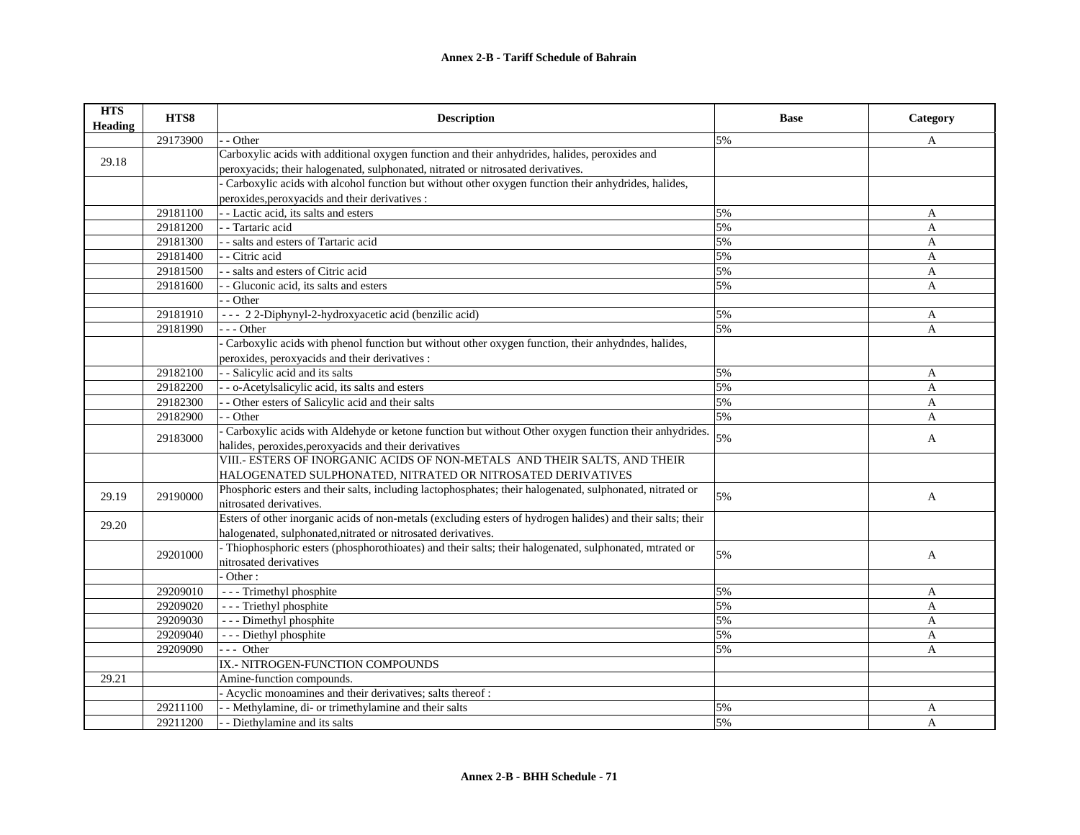| <b>HTS</b><br>Heading | HTS8     | <b>Description</b>                                                                                          | <b>Base</b> | Category       |
|-----------------------|----------|-------------------------------------------------------------------------------------------------------------|-------------|----------------|
|                       | 29173900 | - Other                                                                                                     | 5%          | A              |
| 29.18                 |          | Carboxylic acids with additional oxygen function and their anhydrides, halides, peroxides and               |             |                |
|                       |          | peroxyacids; their halogenated, sulphonated, nitrated or nitrosated derivatives.                            |             |                |
|                       |          | Carboxylic acids with alcohol function but without other oxygen function their anhydrides, halides,         |             |                |
|                       |          | peroxides, peroxyacids and their derivatives :                                                              |             |                |
|                       | 29181100 | - Lactic acid, its salts and esters                                                                         | 5%          | A              |
|                       | 29181200 | - Tartaric acid                                                                                             | 5%          | A              |
|                       | 29181300 | - salts and esters of Tartaric acid                                                                         | 5%          | A              |
|                       | 29181400 | - Citric acid                                                                                               | 5%          | A              |
|                       | 29181500 | - salts and esters of Citric acid                                                                           | 5%          | A              |
|                       | 29181600 | - Gluconic acid, its salts and esters                                                                       | 5%          | A              |
|                       |          | - Other                                                                                                     |             |                |
|                       | 29181910 | --- 22-Diphynyl-2-hydroxyacetic acid (benzilic acid)                                                        | 5%          | A              |
|                       | 29181990 | - - Other                                                                                                   | 5%          | A              |
|                       |          | Carboxylic acids with phenol function but without other oxygen function, their anhydndes, halides,          |             |                |
|                       |          | peroxides, peroxyacids and their derivatives :                                                              |             |                |
|                       | 29182100 | - Salicylic acid and its salts                                                                              | 5%          | A              |
|                       | 29182200 | - o-Acetylsalicylic acid, its salts and esters                                                              | 5%          | $\mathbf{A}$   |
|                       | 29182300 | - Other esters of Salicylic acid and their salts                                                            | 5%          | $\overline{A}$ |
|                       | 29182900 | - Other                                                                                                     | 5%          | A              |
|                       |          | Carboxylic acids with Aldehyde or ketone function but without Other oxygen function their anhydrides.       | 5%          |                |
|                       | 29183000 | halides, peroxides, peroxyacids and their derivatives                                                       |             | A              |
|                       |          | VIII.- ESTERS OF INORGANIC ACIDS OF NON-METALS AND THEIR SALTS, AND THEIR                                   |             |                |
|                       |          | HALOGENATED SULPHONATED, NITRATED OR NITROSATED DERIVATIVES                                                 |             |                |
|                       |          | Phosphoric esters and their salts, including lactophosphates; their halogenated, sulphonated, nitrated or   |             |                |
| 29.19                 | 29190000 | nitrosated derivatives.                                                                                     | 5%          | A              |
|                       |          | Esters of other inorganic acids of non-metals (excluding esters of hydrogen halides) and their salts; their |             |                |
| 29.20                 |          | halogenated, sulphonated, nitrated or nitrosated derivatives.                                               |             |                |
|                       | 29201000 | - Thiophosphoric esters (phosphorothioates) and their salts; their halogenated, sulphonated, mtrated or     | 5%          |                |
|                       |          | nitrosated derivatives                                                                                      |             | A              |
|                       |          | Other:                                                                                                      |             |                |
|                       | 29209010 | - - - Trimethyl phosphite                                                                                   | 5%          | A              |
|                       | 29209020 | - - - Triethyl phosphite                                                                                    | 5%          | A              |
|                       | 29209030 | - - - Dimethyl phosphite                                                                                    | 5%          | A              |
|                       | 29209040 | - - - Diethyl phosphite                                                                                     | 5%          | A              |
|                       | 29209090 | $-$ - Other                                                                                                 | 5%          | A              |
|                       |          | IX.- NITROGEN-FUNCTION COMPOUNDS                                                                            |             |                |
| 29.21                 |          | Amine-function compounds.                                                                                   |             |                |
|                       |          | - Acyclic monoamines and their derivatives; salts thereof :                                                 |             |                |
|                       | 29211100 | - Methylamine, di- or trimethylamine and their salts                                                        | 5%          | A              |
|                       | 29211200 | - Diethylamine and its salts                                                                                | 5%          | $\overline{A}$ |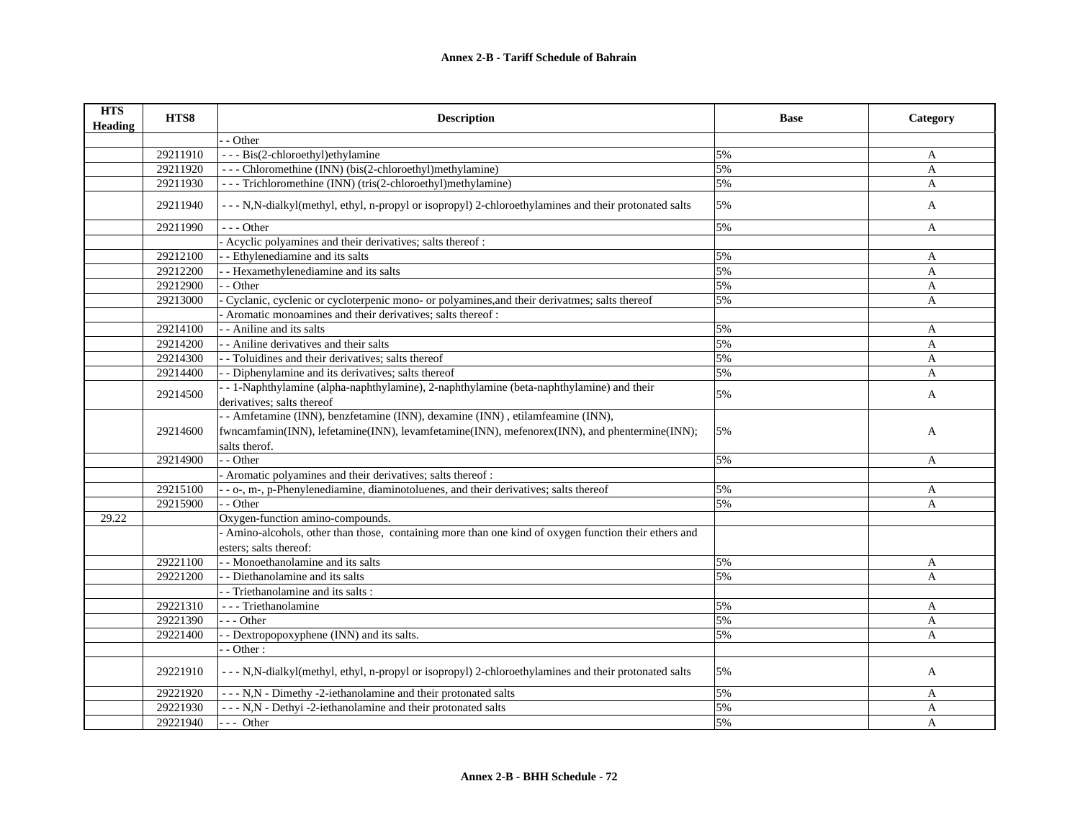| <b>HTS</b><br><b>Heading</b> | HTS8     | <b>Description</b>                                                                                     | <b>Base</b> | Category |
|------------------------------|----------|--------------------------------------------------------------------------------------------------------|-------------|----------|
|                              |          | - Other                                                                                                |             |          |
|                              | 29211910 | --- Bis(2-chloroethyl)ethylamine                                                                       | 5%          | A        |
|                              | 29211920 | --- Chloromethine (INN) (bis(2-chloroethyl)methylamine)                                                | 5%          | A        |
|                              | 29211930 | --- Trichloromethine (INN) (tris(2-chloroethyl)methylamine)                                            | 5%          | A        |
|                              | 29211940 | --- N,N-dialkyl(methyl, ethyl, n-propyl or isopropyl) 2-chloroethylamines and their protonated salts   | 5%          | A        |
|                              | 29211990 | $- -$ Other                                                                                            | 5%          | A        |
|                              |          | Acyclic polyamines and their derivatives; salts thereof :                                              |             |          |
|                              | 29212100 | - Ethylenediamine and its salts                                                                        | 5%          | A        |
|                              | 29212200 | - Hexamethylenediamine and its salts                                                                   | 5%          | A        |
|                              | 29212900 | - - Other                                                                                              | 5%          | A        |
|                              | 29213000 | Cyclanic, cyclenic or cycloterpenic mono- or polyamines, and their derivatmes; salts thereof           | 5%          | A        |
|                              |          | - Aromatic monoamines and their derivatives; salts thereof :                                           |             |          |
|                              | 29214100 | - - Aniline and its salts                                                                              | 5%          | A        |
|                              | 29214200 | - - Aniline derivatives and their salts                                                                | 5%          | A        |
|                              | 29214300 | - Toluidines and their derivatives; salts thereof                                                      | 5%          | A        |
|                              | 29214400 | - - Diphenylamine and its derivatives; salts thereof                                                   | 5%          | A        |
|                              |          | - - 1-Naphthylamine (alpha-naphthylamine), 2-naphthylamine (beta-naphthylamine) and their              |             |          |
|                              | 29214500 | derivatives; salts thereof                                                                             | 5%          | A        |
|                              |          | - - Amfetamine (INN), benzfetamine (INN), dexamine (INN), etilamfeamine (INN),                         |             |          |
|                              | 29214600 | fwncamfamin(INN), lefetamine(INN), levamfetamine(INN), mefenorex(INN), and phentermine(INN);           | 5%          | A        |
|                              |          | salts therof.                                                                                          |             |          |
|                              | 29214900 | - - Other                                                                                              | 5%          | A        |
|                              |          | - Aromatic polyamines and their derivatives; salts thereof:                                            |             |          |
|                              | 29215100 | - - o-, m-, p-Phenylenediamine, diaminotoluenes, and their derivatives; salts thereof                  | 5%          | A        |
|                              | 29215900 | - - Other                                                                                              | 5%          | A        |
| 29.22                        |          | Oxygen-function amino-compounds.                                                                       |             |          |
|                              |          | - Amino-alcohols, other than those, containing more than one kind of oxygen function their ethers and  |             |          |
|                              |          | esters; salts thereof:                                                                                 |             |          |
|                              | 29221100 | - - Monoethanolamine and its salts                                                                     | 5%          | A        |
|                              | 29221200 | - - Diethanolamine and its salts                                                                       | 5%          | A        |
|                              |          | - Triethanolamine and its salts :                                                                      |             |          |
|                              | 29221310 | - - - Triethanolamine                                                                                  | 5%          | A        |
|                              | 29221390 | $- -$ Other                                                                                            | 5%          | A        |
|                              | 29221400 | - - Dextropopoxyphene (INN) and its salts.                                                             | 5%          | A        |
|                              |          | - Other:                                                                                               |             |          |
|                              | 29221910 | - - - N,N-dialkyl(methyl, ethyl, n-propyl or isopropyl) 2-chloroethylamines and their protonated salts | 5%          | A        |
|                              | 29221920 | - - - N,N - Dimethy -2-iethanolamine and their protonated salts                                        | 5%          | A        |
|                              | 29221930 | --- N,N - Dethyi -2-iethanolamine and their protonated salts                                           | 5%          | A        |
|                              | 29221940 | --- Other                                                                                              | 5%          | A        |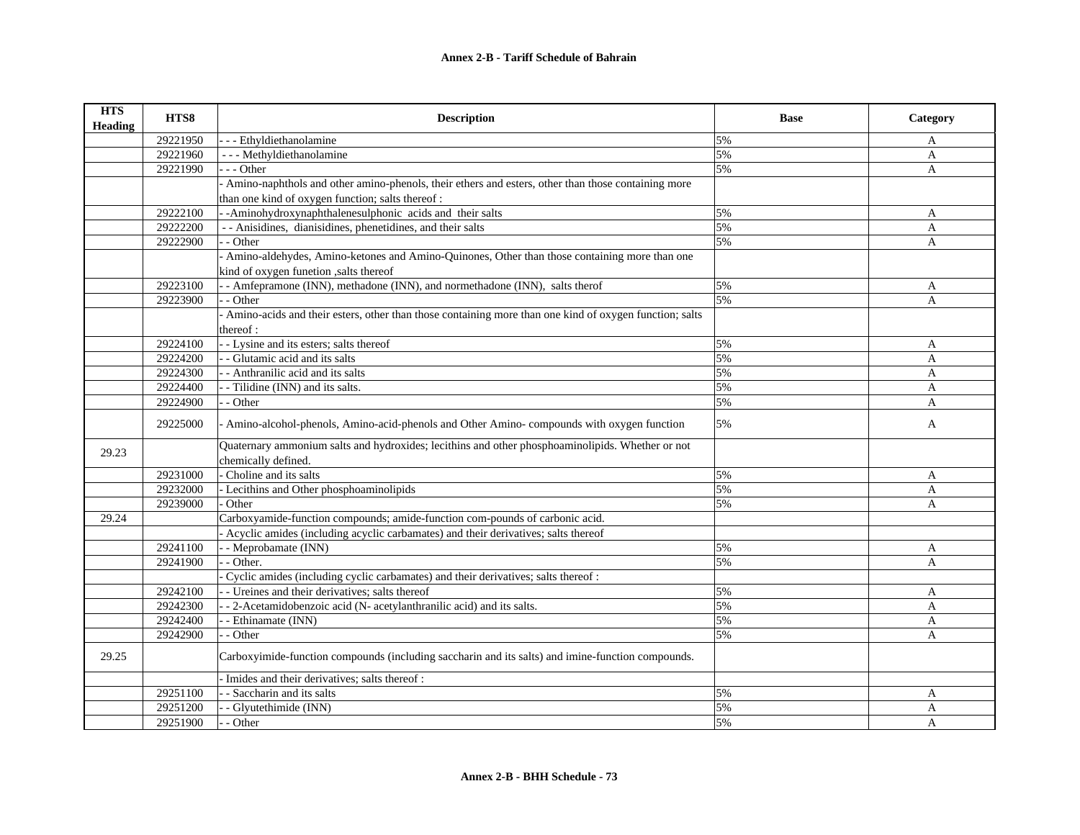| <b>HTS</b><br>Heading | HTS8     | <b>Description</b>                                                                                                      | <b>Base</b> | Category     |
|-----------------------|----------|-------------------------------------------------------------------------------------------------------------------------|-------------|--------------|
|                       | 29221950 | - - Ethyldiethanolamine                                                                                                 | 5%          | A            |
|                       | 29221960 | - - - Methyldiethanolamine                                                                                              | 5%          | $\mathbf{A}$ |
|                       | 29221990 | --- Other                                                                                                               | 5%          | $\mathbf{A}$ |
|                       |          | - Amino-naphthols and other amino-phenols, their ethers and esters, other than those containing more                    |             |              |
|                       |          | than one kind of oxygen function; salts thereof :                                                                       |             |              |
|                       | 29222100 | - Aminohydroxynaphthalenesulphonic acids and their salts                                                                | 5%          | A            |
|                       | 29222200 | - - Anisidines, dianisidines, phenetidines, and their salts                                                             | 5%          | A            |
|                       | 29222900 | - - Other                                                                                                               | 5%          | A            |
|                       |          | - Amino-aldehydes, Amino-ketones and Amino-Quinones, Other than those containing more than one                          |             |              |
|                       |          | kind of oxygen function , salts thereof                                                                                 |             |              |
|                       | 29223100 | - Amfepramone (INN), methadone (INN), and normethadone (INN), salts therof                                              | 5%          | A            |
|                       | 29223900 | - Other                                                                                                                 | 5%          | A            |
|                       |          | - Amino-acids and their esters, other than those containing more than one kind of oxygen function; salts                |             |              |
|                       |          | thereof:                                                                                                                |             |              |
|                       | 29224100 | - - Lysine and its esters; salts thereof                                                                                | 5%          | A            |
|                       | 29224200 | - Glutamic acid and its salts                                                                                           | 5%          | A            |
|                       | 29224300 | - Anthranilic acid and its salts                                                                                        | 5%          | A            |
|                       | 29224400 | - Tilidine (INN) and its salts.                                                                                         | 5%          | $\mathbf{A}$ |
|                       | 29224900 | - Other                                                                                                                 | 5%          | $\mathbf{A}$ |
|                       | 29225000 | - Amino-alcohol-phenols, Amino-acid-phenols and Other Amino-compounds with oxygen function                              | 5%          | A            |
| 29.23                 |          | Quaternary ammonium salts and hydroxides; lecithins and other phosphoaminolipids. Whether or not<br>chemically defined. |             |              |
|                       | 29231000 | Choline and its salts                                                                                                   | 5%          | A            |
|                       | 29232000 | Lecithins and Other phosphoaminolipids                                                                                  | 5%          | A            |
|                       | 29239000 | Other                                                                                                                   | 5%          | A            |
| 29.24                 |          | Carboxyamide-function compounds; amide-function com-pounds of carbonic acid.                                            |             |              |
|                       |          | - Acyclic amides (including acyclic carbamates) and their derivatives; salts thereof                                    |             |              |
|                       | 29241100 | - - Meprobamate (INN)                                                                                                   | 5%          | A            |
|                       | 29241900 | $-$ Other.                                                                                                              | 5%          | A            |
|                       |          | Cyclic amides (including cyclic carbamates) and their derivatives; salts thereof:                                       |             |              |
|                       | 29242100 | - Ureines and their derivatives; salts thereof                                                                          | 5%          | A            |
|                       | 29242300 | - 2-Acetamidobenzoic acid (N- acetylanthranilic acid) and its salts.                                                    | 5%          | $\mathbf{A}$ |
|                       | 29242400 | - Ethinamate (INN)                                                                                                      | 5%          | A            |
|                       | 29242900 | - Other                                                                                                                 | 5%          | A            |
| 29.25                 |          | Carboxyimide-function compounds (including saccharin and its salts) and imine-function compounds.                       |             |              |
|                       |          | Imides and their derivatives; salts thereof :                                                                           |             |              |
|                       | 29251100 | - Saccharin and its salts                                                                                               | 5%          | A            |
|                       | 29251200 | - Glyutethimide (INN)                                                                                                   | 5%          | A            |
|                       | 29251900 | - - Other                                                                                                               | 5%          | A            |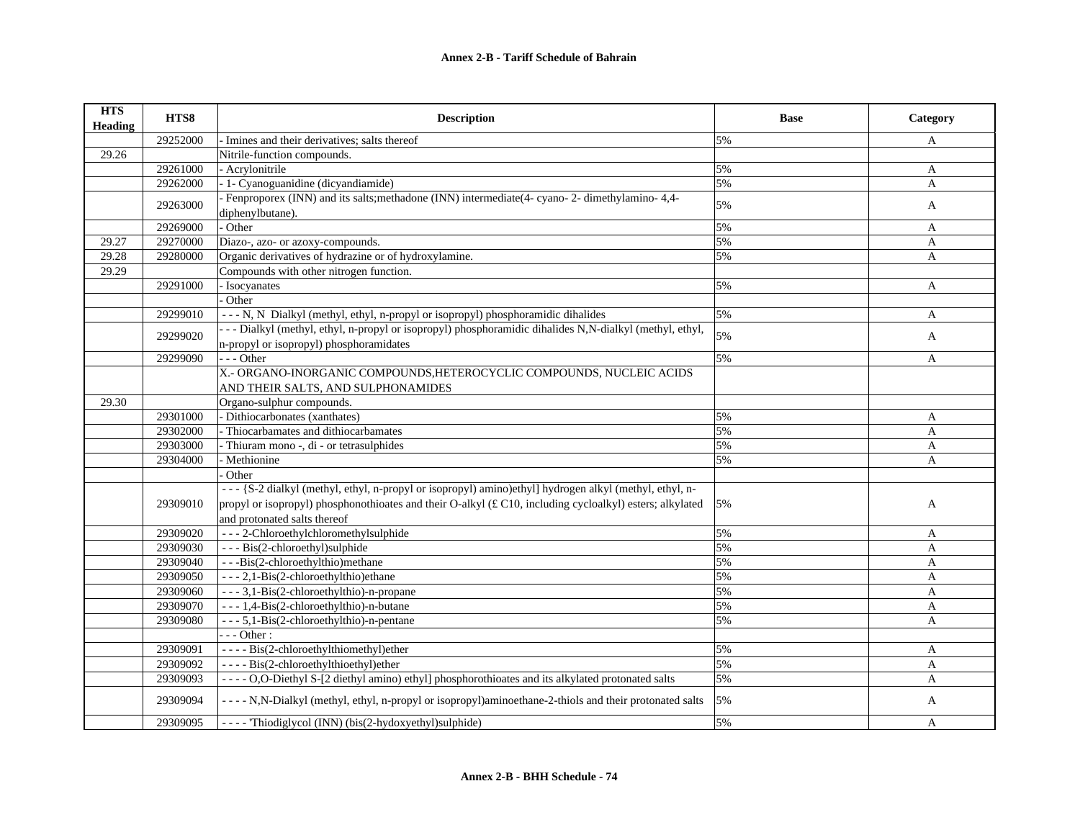| <b>HTS</b><br>Heading | HTS8     | <b>Description</b>                                                                                                                                   | <b>Base</b> | Category     |
|-----------------------|----------|------------------------------------------------------------------------------------------------------------------------------------------------------|-------------|--------------|
|                       | 29252000 | - Imines and their derivatives; salts thereof                                                                                                        | 5%          | A            |
| 29.26                 |          | Nitrile-function compounds.                                                                                                                          |             |              |
|                       | 29261000 | - Acrylonitrile                                                                                                                                      | 5%          | A            |
|                       | 29262000 | - 1- Cyanoguanidine (dicyandiamide)                                                                                                                  | 5%          | A            |
|                       | 29263000 | - Fenproporex (INN) and its salts; methadone (INN) intermediate (4- cyano-2- dimethylamino-4,4-<br>diphenylbutane).                                  | 5%          | A            |
|                       | 29269000 | - Other                                                                                                                                              | 5%          | A            |
| 29.27                 | 29270000 | Diazo-, azo- or azoxy-compounds.                                                                                                                     | 5%          | A            |
| 29.28                 | 29280000 | Organic derivatives of hydrazine or of hydroxylamine.                                                                                                | 5%          | A            |
| 29.29                 |          | Compounds with other nitrogen function.                                                                                                              |             |              |
|                       | 29291000 | - Isocyanates                                                                                                                                        | 5%          | A            |
|                       |          | Other                                                                                                                                                |             |              |
|                       | 29299010 | - - - N, N Dialkyl (methyl, ethyl, n-propyl or isopropyl) phosphoramidic dihalides                                                                   | 5%          | A            |
|                       | 29299020 | - - - Dialkyl (methyl, ethyl, n-propyl or isopropyl) phosphoramidic dihalides N,N-dialkyl (methyl, ethyl,<br>n-propyl or isopropyl) phosphoramidates | 5%          | A            |
|                       | 29299090 | $- -$ Other                                                                                                                                          | 5%          | A            |
|                       |          | X.- ORGANO-INORGANIC COMPOUNDS, HETEROCYCLIC COMPOUNDS, NUCLEIC ACIDS                                                                                |             |              |
|                       |          | AND THEIR SALTS. AND SULPHONAMIDES                                                                                                                   |             |              |
| 29.30                 |          | Organo-sulphur compounds.                                                                                                                            |             |              |
|                       | 29301000 | - Dithiocarbonates (xanthates)                                                                                                                       | 5%          | A            |
|                       | 29302000 | - Thiocarbamates and dithiocarbamates                                                                                                                | 5%          | A            |
|                       | 29303000 | - Thiuram mono -, di - or tetrasulphides                                                                                                             | 5%          | A            |
|                       | 29304000 | - Methionine                                                                                                                                         | 5%          | A            |
|                       |          | Other                                                                                                                                                |             |              |
|                       |          | --- {S-2 dialkyl (methyl, ethyl, n-propyl or isopropyl) amino)ethyl] hydrogen alkyl (methyl, ethyl, n-                                               |             |              |
|                       | 29309010 | propyl or isopropyl) phosphonothioates and their O-alkyl (£ C10, including cycloalkyl) esters; alkylated                                             | 5%          | A            |
|                       |          | and protonated salts thereof                                                                                                                         |             |              |
|                       | 29309020 | --- 2-Chloroethylchloromethylsulphide                                                                                                                | 5%          | A            |
|                       | 29309030 | --- Bis(2-chloroethyl)sulphide                                                                                                                       | 5%          | A            |
|                       | 29309040 | --Bis(2-chloroethylthio)methane                                                                                                                      | 5%          | A            |
|                       | 29309050 | - - - 2,1-Bis(2-chloroethylthio)ethane                                                                                                               | 5%          | A            |
|                       | 29309060 | --- 3,1-Bis(2-chloroethylthio)-n-propane                                                                                                             | 5%          | A            |
|                       | 29309070 | --- 1,4-Bis(2-chloroethylthio)-n-butane                                                                                                              | 5%          | A            |
|                       | 29309080 | - - - 5,1-Bis(2-chloroethylthio)-n-pentane                                                                                                           | 5%          | $\mathbf{A}$ |
|                       |          | $- -$ Other :                                                                                                                                        |             |              |
|                       | 29309091 | ---- Bis(2-chloroethylthiomethyl)ether                                                                                                               | 5%          | A            |
|                       | 29309092 | ---- Bis(2-chloroethylthioethyl)ether                                                                                                                | 5%          | A            |
|                       | 29309093 | ---- O,O-Diethyl S-[2 diethyl amino) ethyll phosphorothioates and its alkylated protonated salts                                                     | 5%          | $\mathbf{A}$ |
|                       | 29309094 | - - - - N, N-Dialkyl (methyl, ethyl, n-propyl or isopropyl)aminoethane-2-thiols and their protonated salts                                           | 5%          | A            |
|                       | 29309095 | ---- Thiodiglycol (INN) (bis(2-hydoxyethyl)sulphide)                                                                                                 | 5%          | A            |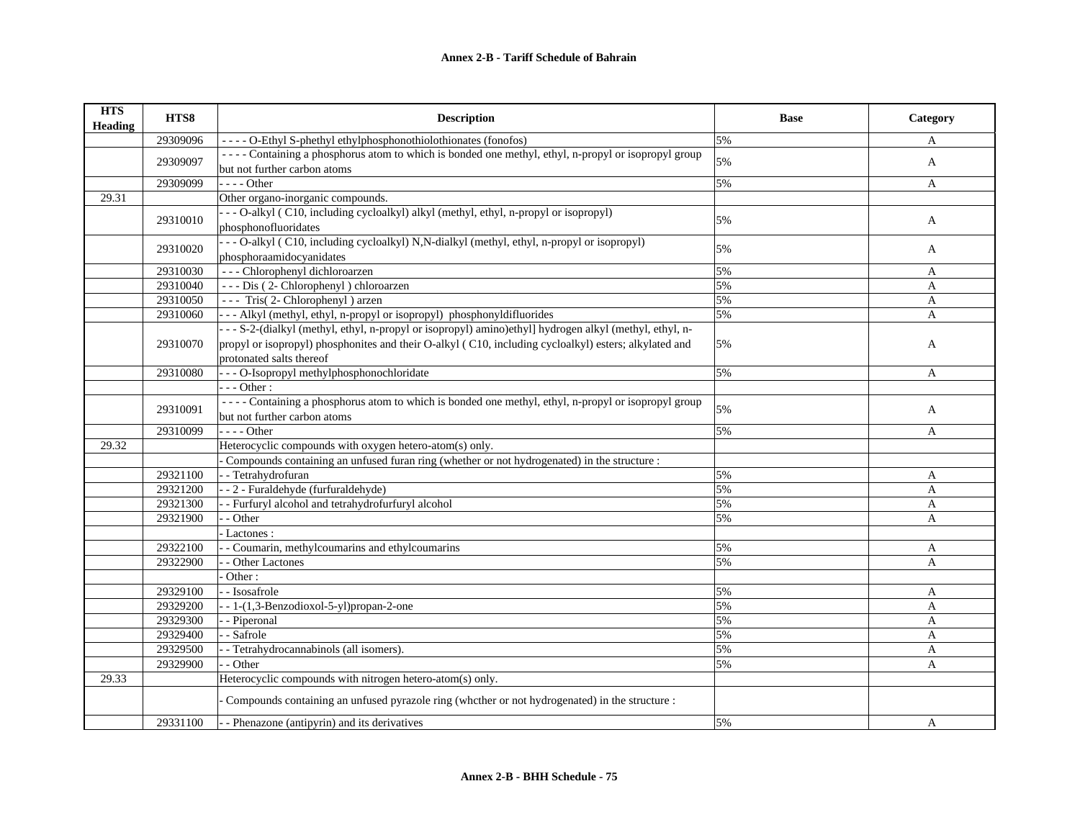| <b>HTS</b><br><b>Heading</b> | HTS8     | <b>Description</b>                                                                                                       | <b>Base</b> | Category     |
|------------------------------|----------|--------------------------------------------------------------------------------------------------------------------------|-------------|--------------|
|                              | 29309096 | ---- O-Ethyl S-phethyl ethylphosphonothiolothionates (fonofos)                                                           | 5%          | A            |
|                              |          | ---- Containing a phosphorus atom to which is bonded one methyl, ethyl, n-propyl or isopropyl group                      | 5%          |              |
|                              | 29309097 | but not further carbon atoms                                                                                             |             | A            |
|                              | 29309099 | $- - -$ Other                                                                                                            | 5%          | A            |
| 29.31                        |          | Other organo-inorganic compounds.                                                                                        |             |              |
|                              | 29310010 | - - - O-alkyl (C10, including cycloalkyl) alkyl (methyl, ethyl, n-propyl or isopropyl)                                   | 5%          | A            |
|                              |          | phosphonofluoridates                                                                                                     |             |              |
|                              | 29310020 | - - - O-alkyl (C10, including cycloalkyl) N,N-dialkyl (methyl, ethyl, n-propyl or isopropyl)<br>phosphoraamidocyanidates | 5%          | A            |
|                              | 29310030 | --- Chlorophenyl dichloroarzen                                                                                           | 5%          | A            |
|                              | 29310040 | --- Dis (2- Chlorophenyl) chloroarzen                                                                                    | 5%          | A            |
|                              | 29310050 | --- Tris(2-Chlorophenyl) arzen                                                                                           | 5%          | A            |
|                              | 29310060 | --- Alkyl (methyl, ethyl, n-propyl or isopropyl) phosphonyldifluorides                                                   | 5%          | A            |
|                              |          | --- S-2-(dialkyl (methyl, ethyl, n-propyl or isopropyl) amino)ethyl] hydrogen alkyl (methyl, ethyl, n-                   |             |              |
|                              | 29310070 | propyl or isopropyl) phosphonites and their O-alkyl (C10, including cycloalkyl) esters; alkylated and                    | 5%          | A            |
|                              |          | protonated salts thereof                                                                                                 |             |              |
|                              | 29310080 | - - - O-Isopropyl methylphosphonochloridate                                                                              | 5%          | A            |
|                              |          | $- -$ Other :                                                                                                            |             |              |
|                              | 29310091 | ---- Containing a phosphorus atom to which is bonded one methyl, ethyl, n-propyl or isopropyl group                      | 5%          | A            |
|                              |          | but not further carbon atoms                                                                                             |             |              |
|                              | 29310099 | $- - -$ Other                                                                                                            | 5%          | A            |
| 29.32                        |          | Heterocyclic compounds with oxygen hetero-atom(s) only.                                                                  |             |              |
|                              |          | Compounds containing an unfused furan ring (whether or not hydrogenated) in the structure :                              |             |              |
|                              | 29321100 | - - Tetrahydrofuran                                                                                                      | 5%          | A            |
|                              | 29321200 | --2 - Furaldehyde (furfuraldehyde)                                                                                       | 5%          | A            |
|                              | 29321300 | - Furfuryl alcohol and tetrahydrofurfuryl alcohol                                                                        | 5%          | A            |
|                              | 29321900 | - - Other                                                                                                                | 5%          | A            |
|                              |          | - Lactones :                                                                                                             |             |              |
|                              | 29322100 | - Coumarin, methylcoumarins and ethylcoumarins                                                                           | 5%          | A            |
|                              | 29322900 | - Other Lactones                                                                                                         | 5%          | $\mathbf{A}$ |
|                              |          | Other:                                                                                                                   |             |              |
|                              | 29329100 | - Isosafrole                                                                                                             | 5%          | A            |
|                              | 29329200 | $-1-(1,3-Benzodioxol-5-yl) propan-2-one$                                                                                 | 5%          | $\mathbf{A}$ |
|                              | 29329300 | - Piperonal                                                                                                              | 5%          | $\mathbf{A}$ |
|                              | 29329400 | - Safrole                                                                                                                | 5%          | A            |
|                              | 29329500 | - Tetrahydrocannabinols (all isomers).                                                                                   | 5%          | A            |
|                              | 29329900 | - Other                                                                                                                  | 5%          | A            |
| 29.33                        |          | Heterocyclic compounds with nitrogen hetero-atom(s) only.                                                                |             |              |
|                              |          | Compounds containing an unfused pyrazole ring (whether or not hydrogenated) in the structure :                           |             |              |
|                              | 29331100 | - - Phenazone (antipyrin) and its derivatives                                                                            | 5%          | A            |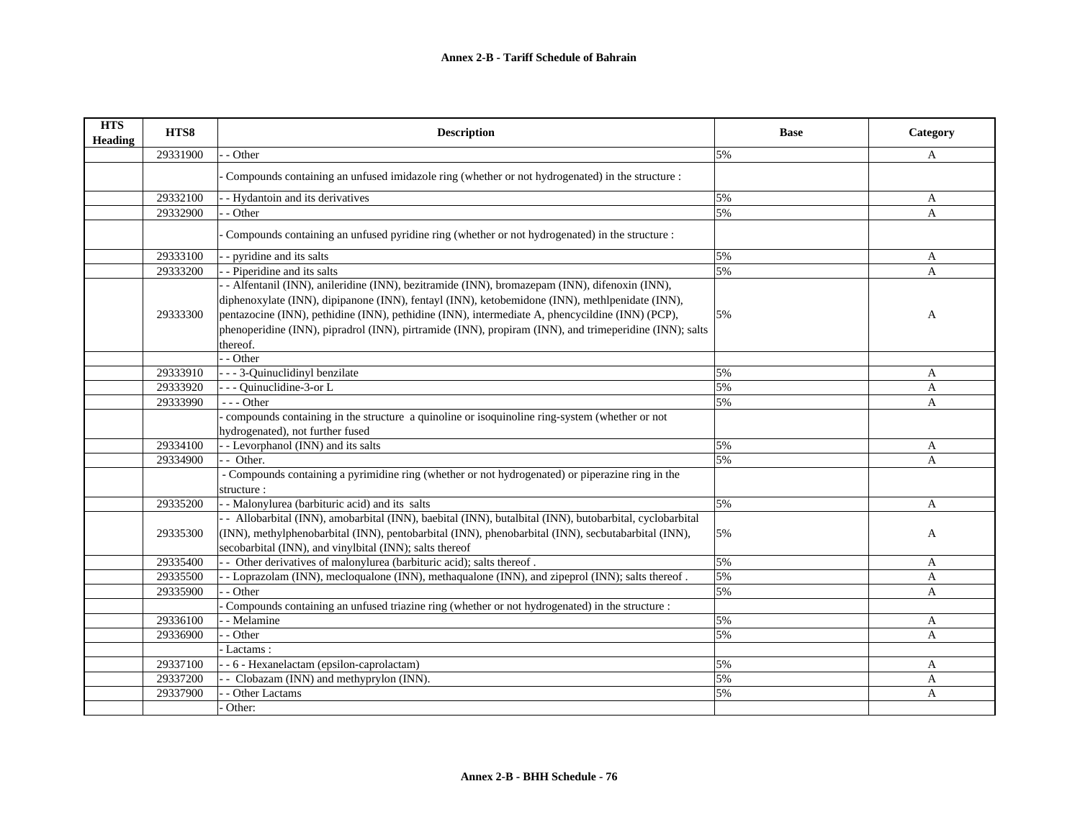| <b>HTS</b><br><b>Heading</b> | HTS8     | <b>Description</b>                                                                                                                                            | <b>Base</b> | Category     |
|------------------------------|----------|---------------------------------------------------------------------------------------------------------------------------------------------------------------|-------------|--------------|
|                              | 29331900 | - Other                                                                                                                                                       | 5%          | A            |
|                              |          | Compounds containing an unfused imidazole ring (whether or not hydrogenated) in the structure :                                                               |             |              |
|                              | 29332100 | - Hydantoin and its derivatives                                                                                                                               | 5%          | A            |
|                              | 29332900 | - Other                                                                                                                                                       | 5%          | A            |
|                              |          | Compounds containing an unfused pyridine ring (whether or not hydrogenated) in the structure :                                                                |             |              |
|                              | 29333100 | - pyridine and its salts                                                                                                                                      | 5%          | A            |
|                              | 29333200 | - Piperidine and its salts                                                                                                                                    | 5%          | A            |
|                              |          | - - Alfentanil (INN), anileridine (INN), bezitramide (INN), bromazepam (INN), difenoxin (INN),                                                                |             |              |
|                              |          | diphenoxylate (INN), dipipanone (INN), fentayl (INN), ketobemidone (INN), methlpenidate (INN),                                                                |             |              |
|                              | 29333300 | pentazocine (INN), pethidine (INN), pethidine (INN), intermediate A, phencycildine (INN) (PCP),                                                               | 5%          | A            |
|                              |          | phenoperidine (INN), pipradrol (INN), pirtramide (INN), propiram (INN), and trimeperidine (INN); salts<br>thereof.                                            |             |              |
|                              |          | - Other                                                                                                                                                       |             |              |
|                              | 29333910 | - - - 3-Quinuclidinyl benzilate                                                                                                                               | 5%          | A            |
|                              | 29333920 | - - Quinuclidine-3-or L                                                                                                                                       | 5%          | A            |
|                              | 29333990 | $- -$ Other                                                                                                                                                   | 5%          | $\mathbf{A}$ |
|                              |          | compounds containing in the structure a quinoline or isoquinoline ring-system (whether or not                                                                 |             |              |
|                              |          | hydrogenated), not further fused                                                                                                                              |             |              |
|                              | 29334100 | - - Levorphanol (INN) and its salts<br>- Other.                                                                                                               | 5%<br>5%    | A            |
|                              | 29334900 | - Compounds containing a pyrimidine ring (whether or not hydrogenated) or piperazine ring in the                                                              |             | A            |
|                              |          | structure:                                                                                                                                                    |             |              |
|                              | 29335200 | - - Malonylurea (barbituric acid) and its salts                                                                                                               | 5%          | A            |
|                              |          | - - Allobarbital (INN), amobarbital (INN), baebital (INN), butalbital (INN), butobarbital, cyclobarbital                                                      |             |              |
|                              | 29335300 | (INN), methylphenobarbital (INN), pentobarbital (INN), phenobarbital (INN), secbutabarbital (INN),<br>secobarbital (INN), and vinylbital (INN); salts thereof | 5%          | A            |
|                              | 29335400 | - Other derivatives of malonylurea (barbituric acid); salts thereof.                                                                                          | 5%          | A            |
|                              | 29335500 | - Loprazolam (INN), mecloqualone (INN), methaqualone (INN), and zipeprol (INN); salts thereof.                                                                | 5%          | A            |
|                              | 29335900 | - Other                                                                                                                                                       | 5%          | A            |
|                              |          | Compounds containing an unfused triazine ring (whether or not hydrogenated) in the structure :                                                                |             |              |
|                              | 29336100 | - Melamine                                                                                                                                                    | 5%          | A            |
|                              | 29336900 | - Other                                                                                                                                                       | 5%          | $\mathsf{A}$ |
|                              |          | Lactams:                                                                                                                                                      |             |              |
|                              | 29337100 | - - 6 - Hexanelactam (epsilon-caprolactam)                                                                                                                    | 5%          | A            |
|                              | 29337200 | - Clobazam (INN) and methyprylon (INN).                                                                                                                       | 5%          | A            |
|                              | 29337900 | - Other Lactams                                                                                                                                               | 5%          | A            |
|                              |          | Other:                                                                                                                                                        |             |              |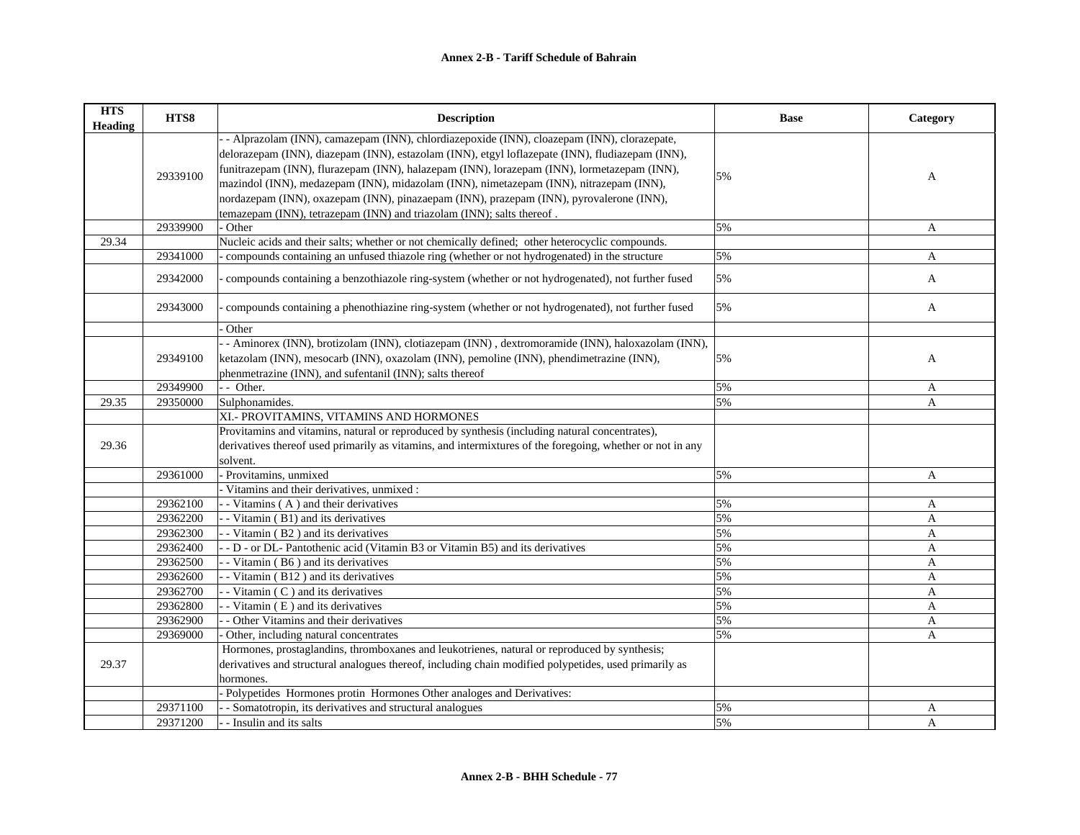| <b>HTS</b><br><b>Heading</b> | HTS8     | <b>Description</b>                                                                                        | <b>Base</b> | Category     |
|------------------------------|----------|-----------------------------------------------------------------------------------------------------------|-------------|--------------|
|                              |          | - - Alprazolam (INN), camazepam (INN), chlordiazepoxide (INN), cloazepam (INN), clorazepate,              |             |              |
|                              |          | delorazepam (INN), diazepam (INN), estazolam (INN), etgyl loflazepate (INN), fludiazepam (INN),           |             |              |
|                              | 29339100 | funitrazepam (INN), flurazepam (INN), halazepam (INN), lorazepam (INN), lormetazepam (INN),               | 5%          | A            |
|                              |          | mazindol (INN), medazepam (INN), midazolam (INN), nimetazepam (INN), nitrazepam (INN),                    |             |              |
|                              |          | nordazepam (INN), oxazepam (INN), pinazaepam (INN), prazepam (INN), pyrovalerone (INN),                   |             |              |
|                              |          | temazepam (INN), tetrazepam (INN) and triazolam (INN); salts thereof.                                     |             |              |
|                              | 29339900 | - Other                                                                                                   | 5%          | A            |
| 29.34                        |          | Nucleic acids and their salts; whether or not chemically defined; other heterocyclic compounds.           |             |              |
|                              | 29341000 | - compounds containing an unfused thiazole ring (whether or not hydrogenated) in the structure            | 5%          | A            |
|                              | 29342000 | compounds containing a benzothiazole ring-system (whether or not hydrogenated), not further fused         | 5%          | $\mathbf{A}$ |
|                              | 29343000 | compounds containing a phenothiazine ring-system (whether or not hydrogenated), not further fused         | 5%          | A            |
|                              |          | Other                                                                                                     |             |              |
|                              |          | - Aminorex (INN), brotizolam (INN), clotiazepam (INN), dextromoramide (INN), haloxazolam (INN),           |             |              |
|                              | 29349100 | ketazolam (INN), mesocarb (INN), oxazolam (INN), pemoline (INN), phendimetrazine (INN),                   | 5%          | A            |
|                              |          | phenmetrazine (INN), and sufentanil (INN); salts thereof                                                  |             |              |
|                              | 29349900 | - - Other.                                                                                                | 5%          | A            |
| 29.35                        | 29350000 | Sulphonamides.                                                                                            | 5%          | A            |
|                              |          | XI.- PROVITAMINS, VITAMINS AND HORMONES                                                                   |             |              |
|                              |          | Provitamins and vitamins, natural or reproduced by synthesis (including natural concentrates),            |             |              |
| 29.36                        |          | derivatives thereof used primarily as vitamins, and intermixtures of the foregoing, whether or not in any |             |              |
|                              |          | solvent.                                                                                                  |             |              |
|                              | 29361000 | - Provitamins, unmixed                                                                                    | 5%          | A            |
|                              |          | Vitamins and their derivatives, unmixed :                                                                 |             |              |
|                              | 29362100 | - - Vitamins (A) and their derivatives                                                                    | 5%          | A            |
|                              | 29362200 | - Vitamin (B1) and its derivatives                                                                        | 5%          | A            |
|                              | 29362300 | - Vitamin (B2) and its derivatives                                                                        | 5%          | A            |
|                              | 29362400 | - D - or DL- Pantothenic acid (Vitamin B3 or Vitamin B5) and its derivatives                              | 5%          | A            |
|                              | 29362500 | - Vitamin (B6) and its derivatives                                                                        | 5%          | A            |
|                              | 29362600 | - - Vitamin (B12) and its derivatives                                                                     | 5%          | A            |
|                              | 29362700 | - - Vitamin (C) and its derivatives                                                                       | 5%          | A            |
|                              | 29362800 | - Vitamin (E) and its derivatives                                                                         | 5%          | A            |
|                              | 29362900 | - - Other Vitamins and their derivatives                                                                  | 5%          | A            |
|                              | 29369000 | Other, including natural concentrates                                                                     | 5%          | A            |
|                              |          | Hormones, prostaglandins, thromboxanes and leukotrienes, natural or reproduced by synthesis;              |             |              |
| 29.37                        |          | derivatives and structural analogues thereof, including chain modified polypetides, used primarily as     |             |              |
|                              |          | hormones.                                                                                                 |             |              |
|                              |          | Polypetides Hormones protin Hormones Other analoges and Derivatives:                                      |             |              |
|                              | 29371100 | - - Somatotropin, its derivatives and structural analogues                                                | 5%          | A            |
|                              | 29371200 | - - Insulin and its salts                                                                                 | 5%          | $\mathbf{A}$ |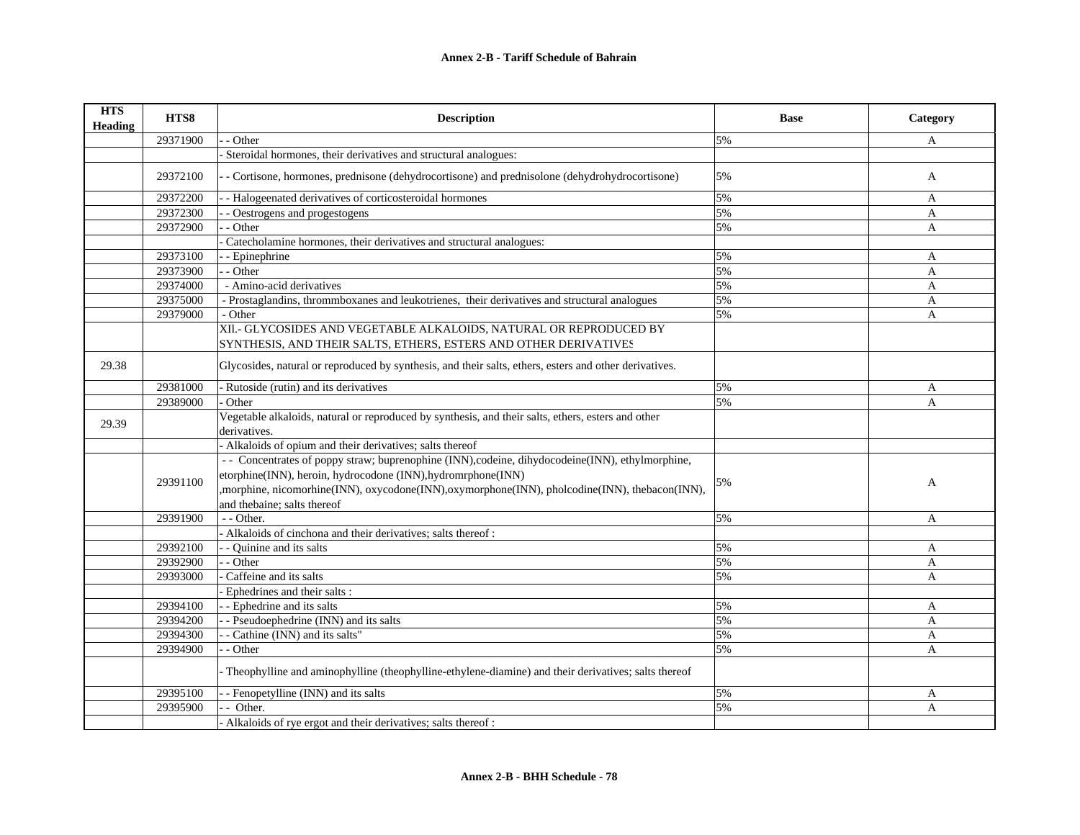| <b>HTS</b><br><b>Heading</b> | HTS8     | <b>Description</b>                                                                                                                     | <b>Base</b> | Category     |
|------------------------------|----------|----------------------------------------------------------------------------------------------------------------------------------------|-------------|--------------|
|                              | 29371900 | - Other                                                                                                                                | 5%          | A            |
|                              |          | Steroidal hormones, their derivatives and structural analogues:                                                                        |             |              |
|                              | 29372100 | - Cortisone, hormones, prednisone (dehydrocortisone) and prednisolone (dehydrohydrocortisone)                                          | 5%          | $\mathbf{A}$ |
|                              | 29372200 | - Halogeenated derivatives of corticosteroidal hormones                                                                                | 5%          | A            |
|                              | 29372300 | - Oestrogens and progestogens                                                                                                          | 5%          | A            |
|                              | 29372900 | - Other                                                                                                                                | 5%          | A            |
|                              |          | Catecholamine hormones, their derivatives and structural analogues:                                                                    |             |              |
|                              | 29373100 | - Epinephrine                                                                                                                          | 5%          | A            |
|                              | 29373900 | - Other                                                                                                                                | 5%          | A            |
|                              | 29374000 | - Amino-acid derivatives                                                                                                               | 5%          | $\mathbf{A}$ |
|                              | 29375000 | - Prostaglandins, thrommboxanes and leukotrienes, their derivatives and structural analogues                                           | 5%          | A            |
|                              | 29379000 | - Other                                                                                                                                | 5%          | A            |
|                              |          | XII.- GLYCOSIDES AND VEGETABLE ALKALOIDS, NATURAL OR REPRODUCED BY<br>SYNTHESIS, AND THEIR SALTS, ETHERS, ESTERS AND OTHER DERIVATIVES |             |              |
| 29.38                        |          | Glycosides, natural or reproduced by synthesis, and their salts, ethers, esters and other derivatives.                                 |             |              |
|                              | 29381000 | - Rutoside (rutin) and its derivatives                                                                                                 | 5%          | A            |
|                              | 29389000 | Other                                                                                                                                  | 5%          | $\mathbf{A}$ |
| 29.39                        |          | Vegetable alkaloids, natural or reproduced by synthesis, and their salts, ethers, esters and other<br>derivatives.                     |             |              |
|                              |          | Alkaloids of opium and their derivatives; salts thereof                                                                                |             |              |
|                              |          | - Concentrates of poppy straw; buprenophine (INN), codeine, dihydocodeine(INN), ethylmorphine,                                         |             |              |
|                              | 29391100 | etorphine(INN), heroin, hydrocodone (INN), hydromrphone(INN)                                                                           |             |              |
|                              |          | ,morphine, nicomorhine(INN), oxycodone(INN), oxymorphone(INN), pholcodine(INN), thebacon(INN),                                         | 5%          | A            |
|                              |          | and thebaine; salts thereof                                                                                                            |             |              |
|                              | 29391900 | - - Other.                                                                                                                             | 5%          | $\mathbf{A}$ |
|                              |          | - Alkaloids of cinchona and their derivatives; salts thereof :                                                                         |             |              |
|                              | 29392100 | - Quinine and its salts                                                                                                                | 5%          | A            |
|                              | 29392900 | $-$ Other                                                                                                                              | 5%          | A            |
|                              | 29393000 | Caffeine and its salts                                                                                                                 | 5%          | A            |
|                              |          | - Ephedrines and their salts :                                                                                                         |             |              |
|                              | 29394100 | - - Ephedrine and its salts                                                                                                            | 5%          | A            |
|                              | 29394200 | - Pseudoephedrine (INN) and its salts                                                                                                  | 5%          | $\mathbf{A}$ |
|                              | 29394300 | - Cathine (INN) and its salts"                                                                                                         | 5%          | A            |
|                              | 29394900 | - Other                                                                                                                                | 5%          | A            |
|                              |          | Theophylline and aminophylline (theophylline-ethylene-diamine) and their derivatives; salts thereof                                    |             |              |
|                              | 29395100 | - Fenopetylline (INN) and its salts                                                                                                    | 5%          | A            |
|                              | 29395900 | - Other.                                                                                                                               | 5%          | A            |
|                              |          | Alkaloids of rye ergot and their derivatives; salts thereof :                                                                          |             |              |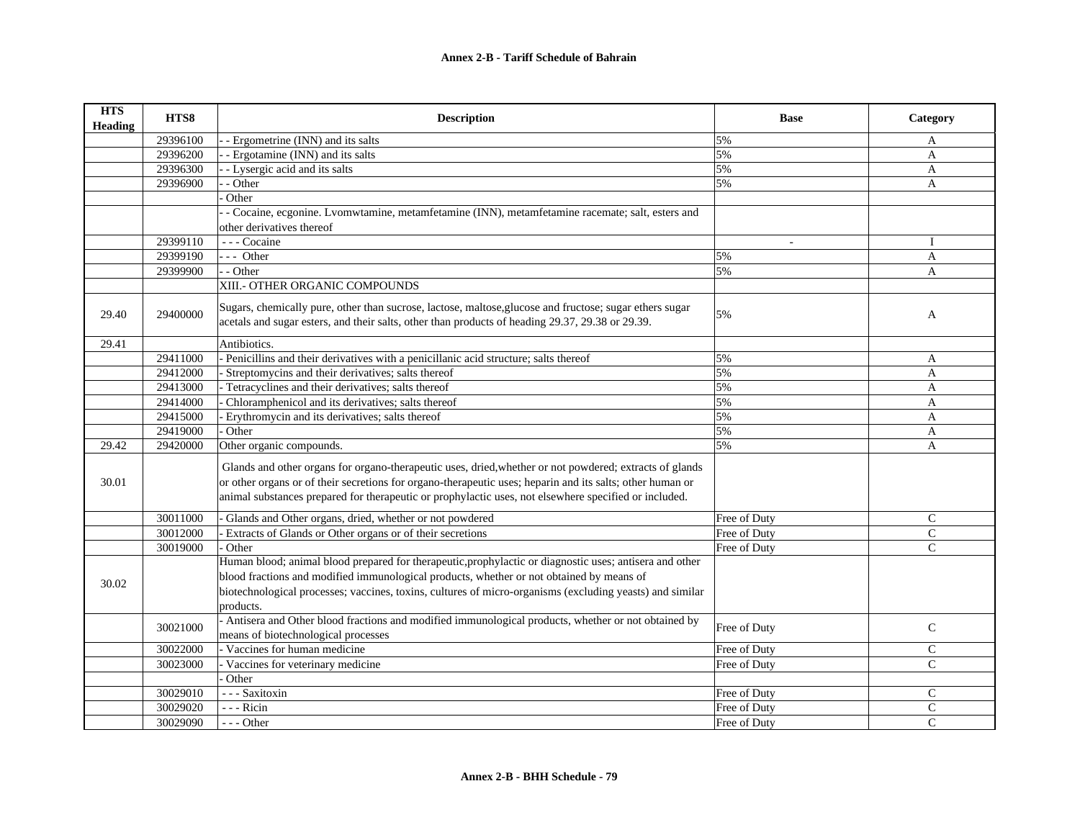| <b>HTS</b><br><b>Heading</b> | HTS8     | <b>Description</b>                                                                                        | <b>Base</b>    | Category     |
|------------------------------|----------|-----------------------------------------------------------------------------------------------------------|----------------|--------------|
|                              | 29396100 | - Ergometrine (INN) and its salts                                                                         | 5%             | A            |
|                              | 29396200 | - Ergotamine (INN) and its salts                                                                          | 5%             | $\mathbf{A}$ |
|                              | 29396300 | - Lysergic acid and its salts                                                                             | 5%             | $\mathbf{A}$ |
|                              | 29396900 | - Other                                                                                                   | 5%             | A            |
|                              |          | Other                                                                                                     |                |              |
|                              |          | - Cocaine, ecgonine. Lvomwtamine, metamfetamine (INN), metamfetamine racemate; salt, esters and           |                |              |
|                              |          | other derivatives thereof                                                                                 |                |              |
|                              | 29399110 | --- Cocaine                                                                                               | $\overline{a}$ | $\mathbf{I}$ |
|                              | 29399190 | $--$ Other                                                                                                | 5%             | A            |
|                              | 29399900 | - - Other                                                                                                 | 5%             | A            |
|                              |          | XIII.- OTHER ORGANIC COMPOUNDS                                                                            |                |              |
| 29.40                        | 29400000 | Sugars, chemically pure, other than sucrose, lactose, maltose, glucose and fructose; sugar ethers sugar   | 5%             | A            |
|                              |          | acetals and sugar esters, and their salts, other than products of heading 29.37, 29.38 or 29.39.          |                |              |
| 29.41                        |          | Antibiotics.                                                                                              |                |              |
|                              | 29411000 | - Penicillins and their derivatives with a penicillanic acid structure; salts thereof                     | 5%             | A            |
|                              | 29412000 | Streptomycins and their derivatives; salts thereof                                                        | 5%             | A            |
|                              | 29413000 | - Tetracyclines and their derivatives; salts thereof                                                      | 5%             | $\mathbf{A}$ |
|                              | 29414000 | Chloramphenicol and its derivatives; salts thereof                                                        | 5%             | $\mathbf{A}$ |
|                              | 29415000 | Erythromycin and its derivatives; salts thereof                                                           | 5%             | A            |
|                              | 29419000 | Other                                                                                                     | 5%             | A            |
| 29.42                        | 29420000 | Other organic compounds.                                                                                  | 5%             | A            |
|                              |          | Glands and other organs for organo-therapeutic uses, dried, whether or not powdered; extracts of glands   |                |              |
| 30.01                        |          | or other organs or of their secretions for organo-therapeutic uses; heparin and its salts; other human or |                |              |
|                              |          | animal substances prepared for therapeutic or prophylactic uses, not elsewhere specified or included.     |                |              |
|                              | 30011000 | Glands and Other organs, dried, whether or not powdered                                                   | Free of Duty   | $\mathsf{C}$ |
|                              | 30012000 | Extracts of Glands or Other organs or of their secretions                                                 | Free of Duty   | $\mathsf{C}$ |
|                              | 30019000 | Other                                                                                                     | Free of Duty   | $\mathsf{C}$ |
|                              |          | Human blood; animal blood prepared for therapeutic, prophylactic or diagnostic uses; antisera and other   |                |              |
| 30.02                        |          | blood fractions and modified immunological products, whether or not obtained by means of                  |                |              |
|                              |          | biotechnological processes; vaccines, toxins, cultures of micro-organisms (excluding yeasts) and similar  |                |              |
|                              |          | products.                                                                                                 |                |              |
|                              | 30021000 | - Antisera and Other blood fractions and modified immunological products, whether or not obtained by      | Free of Duty   | $\mathsf{C}$ |
|                              |          | means of biotechnological processes                                                                       |                |              |
|                              | 30022000 | Vaccines for human medicine                                                                               | Free of Duty   | $\mathbf C$  |
|                              | 30023000 | Vaccines for veterinary medicine                                                                          | Free of Duty   | $\mathsf{C}$ |
|                              |          | Other                                                                                                     |                |              |
|                              | 30029010 | --- Saxitoxin                                                                                             | Free of Duty   | $\mathsf{C}$ |
|                              | 30029020 | --- Ricin                                                                                                 | Free of Duty   | $\mathbf C$  |
|                              | 30029090 | $--$ Other                                                                                                | Free of Duty   | $\mathsf{C}$ |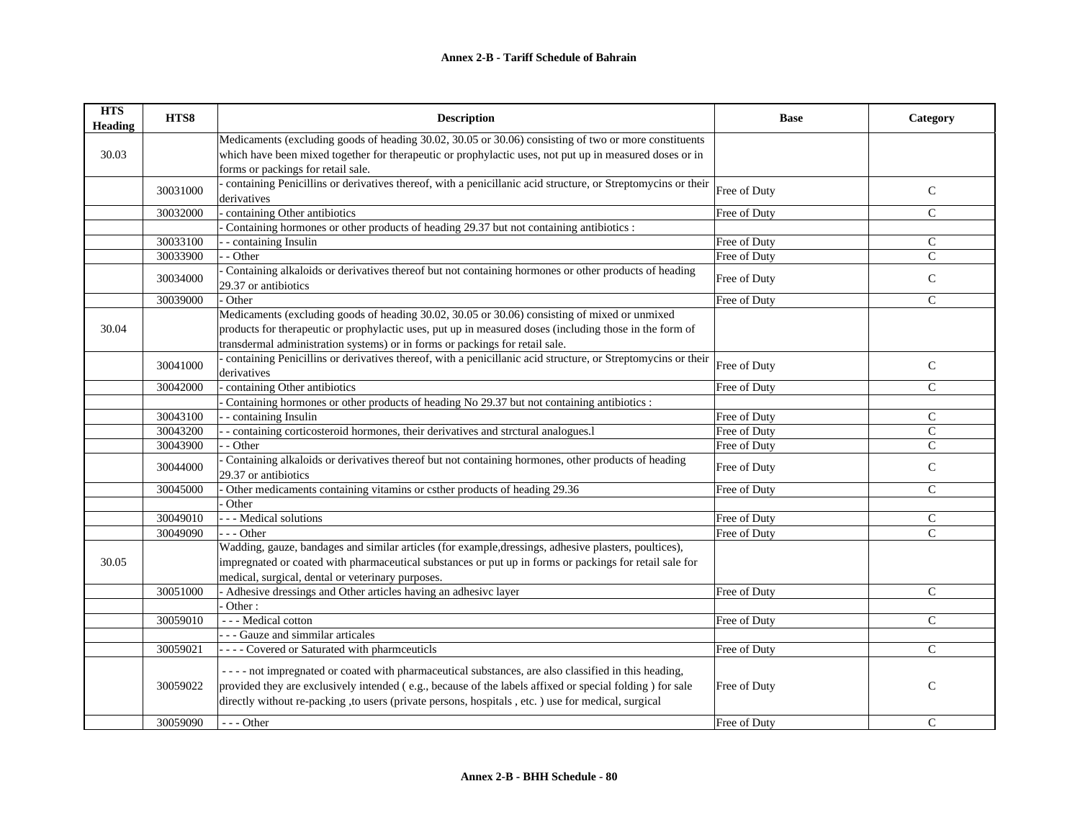| <b>HTS</b><br><b>Heading</b> | HTS8     | <b>Description</b>                                                                                                         | <b>Base</b>  | Category       |
|------------------------------|----------|----------------------------------------------------------------------------------------------------------------------------|--------------|----------------|
|                              |          | Medicaments (excluding goods of heading 30.02, 30.05 or 30.06) consisting of two or more constituents                      |              |                |
| 30.03                        |          | which have been mixed together for therapeutic or prophylactic uses, not put up in measured doses or in                    |              |                |
|                              |          | forms or packings for retail sale.                                                                                         |              |                |
|                              | 30031000 | containing Penicillins or derivatives thereof, with a penicillanic acid structure, or Streptomycins or their               | Free of Duty | $\mathcal{C}$  |
|                              |          | derivatives                                                                                                                |              |                |
|                              | 30032000 | containing Other antibiotics                                                                                               | Free of Duty | $\mathcal{C}$  |
|                              |          | Containing hormones or other products of heading 29.37 but not containing antibiotics :                                    |              |                |
|                              | 30033100 | - containing Insulin                                                                                                       | Free of Duty | $\mathcal{C}$  |
|                              | 30033900 | - - Other                                                                                                                  | Free of Duty | $\mathcal{C}$  |
|                              | 30034000 | Containing alkaloids or derivatives thereof but not containing hormones or other products of heading                       | Free of Duty | $\mathsf{C}$   |
|                              |          | 29.37 or antibiotics                                                                                                       |              |                |
|                              | 30039000 | Other                                                                                                                      | Free of Duty | $\mathcal{C}$  |
|                              |          | Medicaments (excluding goods of heading 30.02, 30.05 or 30.06) consisting of mixed or unmixed                              |              |                |
| 30.04                        |          | products for therapeutic or prophylactic uses, put up in measured doses (including those in the form of                    |              |                |
|                              |          | transdermal administration systems) or in forms or packings for retail sale.                                               |              |                |
|                              | 30041000 | - containing Penicillins or derivatives thereof, with a penicillanic acid structure, or Streptomycins or their             | Free of Duty | $\mathsf{C}$   |
|                              |          | derivatives                                                                                                                |              |                |
|                              | 30042000 | containing Other antibiotics                                                                                               | Free of Duty | $\mathsf{C}$   |
|                              |          | Containing hormones or other products of heading No 29.37 but not containing antibiotics :                                 |              |                |
|                              | 30043100 | - - containing Insulin                                                                                                     | Free of Duty | $\mathsf{C}$   |
|                              | 30043200 | - containing corticosteroid hormones, their derivatives and strctural analogues.1                                          | Free of Duty | $\mathsf{C}$   |
|                              | 30043900 | - Other                                                                                                                    | Free of Duty | $\mathcal{C}$  |
|                              | 30044000 | Containing alkaloids or derivatives thereof but not containing hormones, other products of heading<br>29.37 or antibiotics | Free of Duty | $\mathsf{C}$   |
|                              | 30045000 | Other medicaments containing vitamins or csther products of heading 29.36                                                  | Free of Duty | $\mathsf{C}$   |
|                              |          | Other                                                                                                                      |              |                |
|                              | 30049010 | - - - Medical solutions                                                                                                    | Free of Duty | C              |
|                              | 30049090 | --- Other                                                                                                                  | Free of Duty | $\overline{C}$ |
|                              |          | Wadding, gauze, bandages and similar articles (for example, dressings, adhesive plasters, poultices),                      |              |                |
| 30.05                        |          | impregnated or coated with pharmaceutical substances or put up in forms or packings for retail sale for                    |              |                |
|                              |          | medical, surgical, dental or veterinary purposes.                                                                          |              |                |
|                              | 30051000 | - Adhesive dressings and Other articles having an adhesive layer                                                           | Free of Duty | $\mathsf{C}$   |
|                              |          | Other:                                                                                                                     |              |                |
|                              | 30059010 | - - - Medical cotton                                                                                                       | Free of Duty | $\mathsf{C}$   |
|                              |          | - - - Gauze and simmilar articales                                                                                         |              |                |
|                              | 30059021 | - - - - Covered or Saturated with pharmceuticls                                                                            | Free of Duty | $\mathsf{C}$   |
|                              |          | ---- not impregnated or coated with pharmaceutical substances, are also classified in this heading,                        |              |                |
|                              | 30059022 | provided they are exclusively intended (e.g., because of the labels affixed or special folding) for sale                   | Free of Duty | $\mathsf{C}$   |
|                              |          | directly without re-packing ,to users (private persons, hospitals, etc.) use for medical, surgical                         |              |                |
|                              | 30059090 | $- -$ Other                                                                                                                | Free of Duty | $\mathcal{C}$  |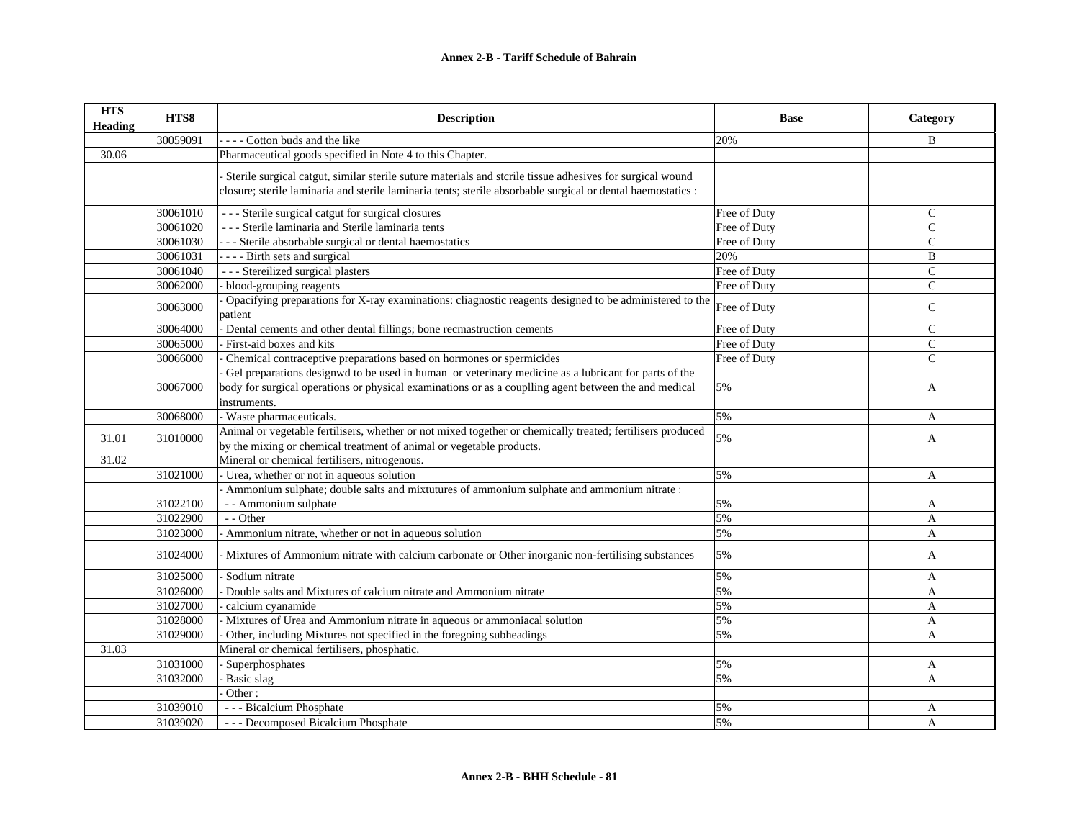| <b>HTS</b><br><b>Heading</b> | HTS8     | <b>Description</b>                                                                                                                                                                                                            | <b>Base</b>  | Category       |
|------------------------------|----------|-------------------------------------------------------------------------------------------------------------------------------------------------------------------------------------------------------------------------------|--------------|----------------|
|                              | 30059091 | --- Cotton buds and the like                                                                                                                                                                                                  | 20%          | B              |
| 30.06                        |          | Pharmaceutical goods specified in Note 4 to this Chapter.                                                                                                                                                                     |              |                |
|                              |          | Sterile surgical catgut, similar sterile suture materials and stcrile tissue adhesives for surgical wound<br>closure; sterile laminaria and sterile laminaria tents; sterile absorbable surgical or dental haemostatics :     |              |                |
|                              | 30061010 | --- Sterile surgical catgut for surgical closures                                                                                                                                                                             | Free of Duty | $\mathsf{C}$   |
|                              | 30061020 | - - - Sterile laminaria and Sterile laminaria tents                                                                                                                                                                           | Free of Duty | $\overline{C}$ |
|                              | 30061030 | - - - Sterile absorbable surgical or dental haemostatics                                                                                                                                                                      | Free of Duty | $\mathcal{C}$  |
|                              | 30061031 | - - - - Birth sets and surgical                                                                                                                                                                                               | 20%          | B              |
|                              | 30061040 | --- Stereilized surgical plasters                                                                                                                                                                                             | Free of Duty | $\mathcal{C}$  |
|                              | 30062000 | - blood-grouping reagents                                                                                                                                                                                                     | Free of Duty | $\mathbf C$    |
|                              | 30063000 | Opacifying preparations for X-ray examinations: cliagnostic reagents designed to be administered to the<br>patient                                                                                                            | Free of Duty | $\mathsf{C}$   |
|                              | 30064000 | - Dental cements and other dental fillings; bone recmastruction cements                                                                                                                                                       | Free of Duty | $\mathcal{C}$  |
|                              | 30065000 | First-aid boxes and kits                                                                                                                                                                                                      | Free of Duty | $\mathsf{C}$   |
|                              | 30066000 | Chemical contraceptive preparations based on hormones or spermicides                                                                                                                                                          | Free of Duty | C              |
|                              | 30067000 | Gel preparations designwd to be used in human or veterinary medicine as a lubricant for parts of the<br>body for surgical operations or physical examinations or as a couplling agent between the and medical<br>instruments. | 5%           | A              |
|                              | 30068000 | - Waste pharmaceuticals.                                                                                                                                                                                                      | 5%           | A              |
| 31.01                        | 31010000 | Animal or vegetable fertilisers, whether or not mixed together or chemically treated; fertilisers produced<br>by the mixing or chemical treatment of animal or vegetable products.                                            | 5%           | $\mathbf{A}$   |
| 31.02                        |          | Mineral or chemical fertilisers, nitrogenous.                                                                                                                                                                                 |              |                |
|                              | 31021000 | - Urea, whether or not in aqueous solution                                                                                                                                                                                    | 5%           | A              |
|                              |          | Ammonium sulphate; double salts and mixtutures of ammonium sulphate and ammonium nitrate :                                                                                                                                    |              |                |
|                              | 31022100 | - - Ammonium sulphate                                                                                                                                                                                                         | 5%           | A              |
|                              | 31022900 | - - Other                                                                                                                                                                                                                     | 5%           | $\mathbf{A}$   |
|                              | 31023000 | Ammonium nitrate, whether or not in aqueous solution                                                                                                                                                                          | 5%           | A              |
|                              | 31024000 | - Mixtures of Ammonium nitrate with calcium carbonate or Other inorganic non-fertilising substances                                                                                                                           | 5%           | A              |
|                              | 31025000 | Sodium nitrate                                                                                                                                                                                                                | 5%           | A              |
|                              | 31026000 | Double salts and Mixtures of calcium nitrate and Ammonium nitrate                                                                                                                                                             | 5%           | A              |
|                              | 31027000 | calcium cyanamide                                                                                                                                                                                                             | 5%           | A              |
|                              | 31028000 | Mixtures of Urea and Ammonium nitrate in aqueous or ammoniacal solution                                                                                                                                                       | 5%           | A              |
|                              | 31029000 | Other, including Mixtures not specified in the foregoing subheadings                                                                                                                                                          | 5%           | A              |
| 31.03                        |          | Mineral or chemical fertilisers, phosphatic.                                                                                                                                                                                  |              |                |
|                              | 31031000 | Superphosphates                                                                                                                                                                                                               | 5%           | A              |
|                              | 31032000 | Basic slag                                                                                                                                                                                                                    | 5%           | A              |
|                              |          | Other:                                                                                                                                                                                                                        |              |                |
|                              | 31039010 | - - - Bicalcium Phosphate                                                                                                                                                                                                     | 5%           | A              |
|                              | 31039020 | --- Decomposed Bicalcium Phosphate                                                                                                                                                                                            | 5%           | A              |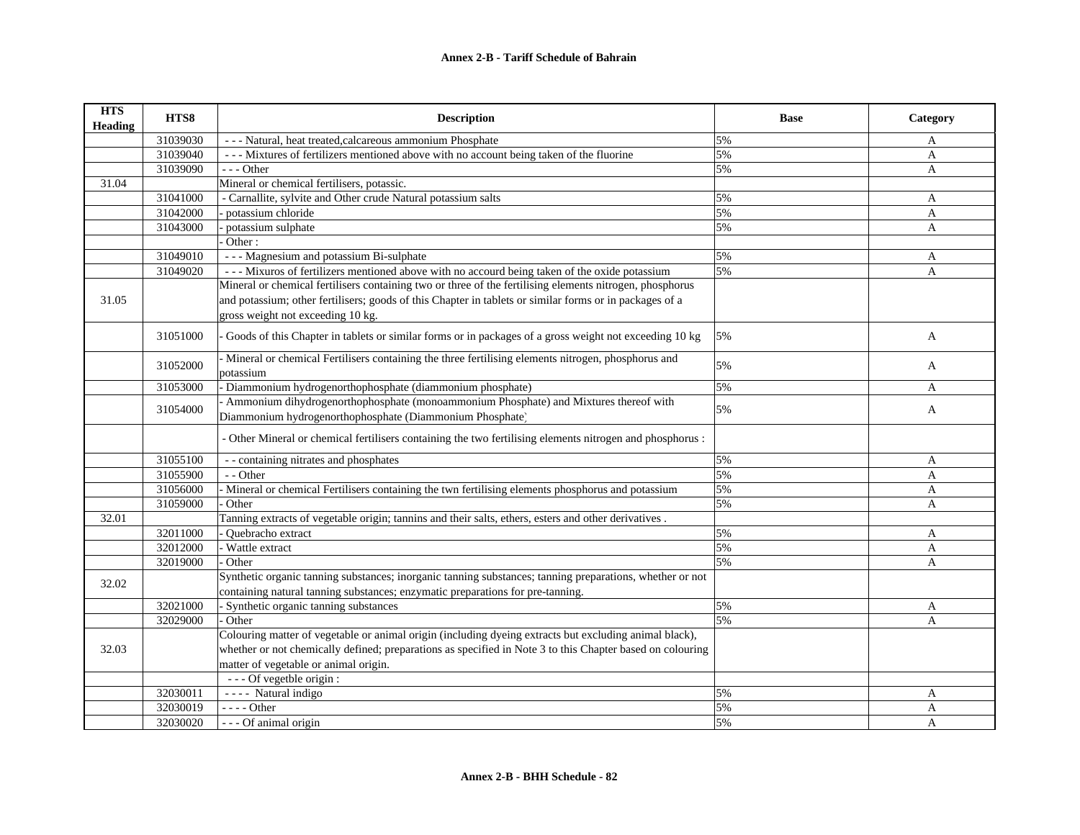| <b>HTS</b><br><b>Heading</b> | HTS8     | <b>Description</b>                                                                                                | <b>Base</b> | Category     |
|------------------------------|----------|-------------------------------------------------------------------------------------------------------------------|-------------|--------------|
|                              | 31039030 | - - - Natural, heat treated, calcareous ammonium Phosphate                                                        | 5%          | A            |
|                              | 31039040 | --- Mixtures of fertilizers mentioned above with no account being taken of the fluorine                           | 5%          | A            |
|                              | 31039090 | --- Other                                                                                                         | 5%          | $\mathbf{A}$ |
| 31.04                        |          | Mineral or chemical fertilisers, potassic.                                                                        |             |              |
|                              | 31041000 | - Carnallite, sylvite and Other crude Natural potassium salts                                                     | 5%          | A            |
|                              | 31042000 | potassium chloride                                                                                                | 5%          | A            |
|                              | 31043000 | potassium sulphate                                                                                                | 5%          | $\mathbf{A}$ |
|                              |          | Other:                                                                                                            |             |              |
|                              | 31049010 | --- Magnesium and potassium Bi-sulphate                                                                           | 5%          | A            |
|                              | 31049020 | --- Mixuros of fertilizers mentioned above with no accourd being taken of the oxide potassium                     | 5%          | A            |
|                              |          | Mineral or chemical fertilisers containing two or three of the fertilising elements nitrogen, phosphorus          |             |              |
| 31.05                        |          | and potassium; other fertilisers; goods of this Chapter in tablets or similar forms or in packages of a           |             |              |
|                              |          | gross weight not exceeding 10 kg.                                                                                 |             |              |
|                              | 31051000 | Goods of this Chapter in tablets or similar forms or in packages of a gross weight not exceeding 10 kg            | 5%          | A            |
|                              | 31052000 | - Mineral or chemical Fertilisers containing the three fertilising elements nitrogen, phosphorus and<br>potassium | 5%          | A            |
|                              | 31053000 | Diammonium hydrogenorthophosphate (diammonium phosphate)                                                          | 5%          | A            |
|                              |          | - Ammonium dihydrogenorthophosphate (monoammonium Phosphate) and Mixtures thereof with                            |             |              |
|                              | 31054000 | Diammonium hydrogenorthophosphate (Diammonium Phosphate)                                                          | 5%          | A            |
|                              |          | - Other Mineral or chemical fertilisers containing the two fertilising elements nitrogen and phosphorus :         |             |              |
|                              | 31055100 | - - containing nitrates and phosphates                                                                            | 5%          | A            |
|                              | 31055900 | - - Other                                                                                                         | 5%          | A            |
|                              | 31056000 | Mineral or chemical Fertilisers containing the twn fertilising elements phosphorus and potassium                  | 5%          | A            |
|                              | 31059000 | Other                                                                                                             | 5%          | $\mathbf{A}$ |
| 32.01                        |          | Tanning extracts of vegetable origin; tannins and their salts, ethers, esters and other derivatives.              |             |              |
|                              | 32011000 | Quebracho extract                                                                                                 | 5%          | A            |
|                              | 32012000 | Wattle extract                                                                                                    | 5%          | A            |
|                              | 32019000 | Other                                                                                                             | 5%          | $\mathbf{A}$ |
|                              |          | Synthetic organic tanning substances; inorganic tanning substances; tanning preparations, whether or not          |             |              |
| 32.02                        |          | containing natural tanning substances; enzymatic preparations for pre-tanning.                                    |             |              |
|                              | 32021000 | - Synthetic organic tanning substances                                                                            | 5%          | A            |
|                              | 32029000 | - Other                                                                                                           | 5%          | $\mathbf{A}$ |
|                              |          | Colouring matter of vegetable or animal origin (including dyeing extracts but excluding animal black),            |             |              |
| 32.03                        |          | whether or not chemically defined; preparations as specified in Note 3 to this Chapter based on colouring         |             |              |
|                              |          | matter of vegetable or animal origin.                                                                             |             |              |
|                              |          | --- Of vegetble origin :                                                                                          |             |              |
|                              | 32030011 | ---- Natural indigo                                                                                               | 5%          | A            |
|                              | 32030019 | $--- Other$                                                                                                       | 5%          | A            |
|                              | 32030020 | --- Of animal origin                                                                                              | 5%          | A            |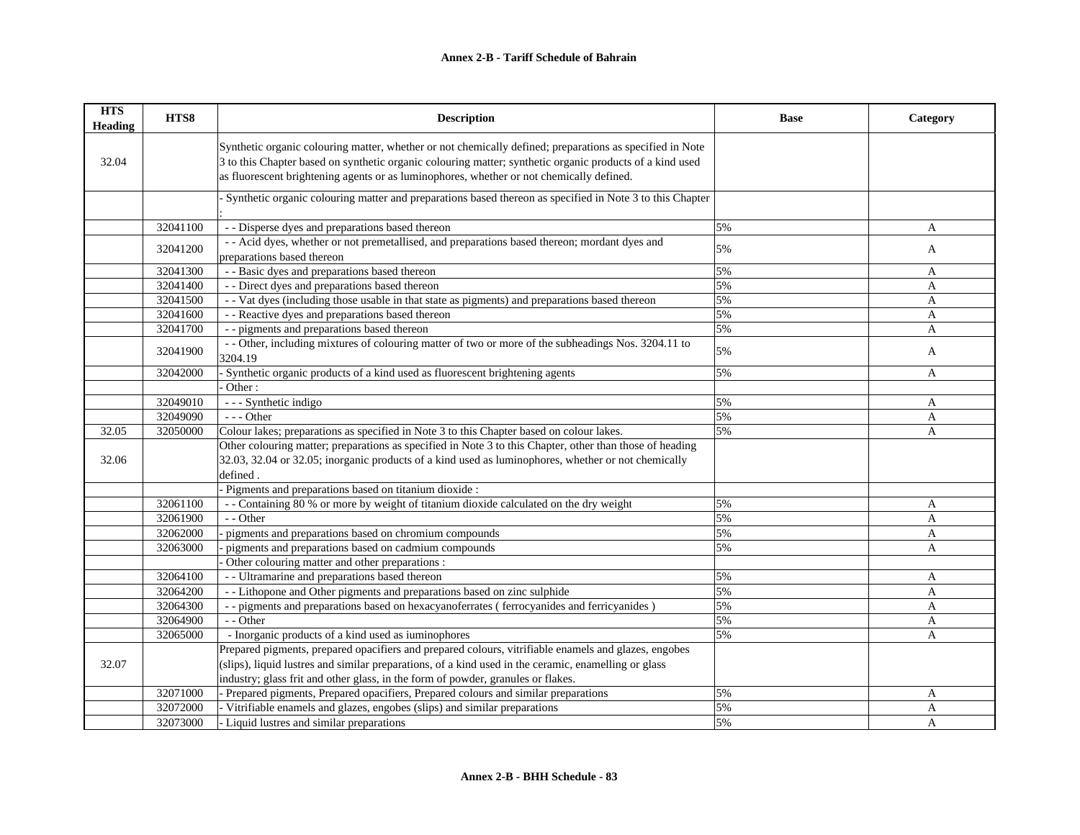| <b>HTS</b><br><b>Heading</b> | HTS8     | <b>Description</b>                                                                                                                                                                                                                                                                                               | <b>Base</b> | Category       |
|------------------------------|----------|------------------------------------------------------------------------------------------------------------------------------------------------------------------------------------------------------------------------------------------------------------------------------------------------------------------|-------------|----------------|
| 32.04                        |          | Synthetic organic colouring matter, whether or not chemically defined; preparations as specified in Note<br>3 to this Chapter based on synthetic organic colouring matter; synthetic organic products of a kind used<br>as fluorescent brightening agents or as luminophores, whether or not chemically defined. |             |                |
|                              |          | Synthetic organic colouring matter and preparations based thereon as specified in Note 3 to this Chapter                                                                                                                                                                                                         |             |                |
|                              | 32041100 | - - Disperse dyes and preparations based thereon                                                                                                                                                                                                                                                                 | 5%          | A              |
|                              | 32041200 | - - Acid dyes, whether or not premetallised, and preparations based thereon; mordant dyes and<br>preparations based thereon                                                                                                                                                                                      | 5%          | A              |
|                              | 32041300 | - - Basic dyes and preparations based thereon                                                                                                                                                                                                                                                                    | 5%          | A              |
|                              | 32041400 | - - Direct dyes and preparations based thereon                                                                                                                                                                                                                                                                   | 5%          | $\overline{A}$ |
|                              | 32041500 | - - Vat dyes (including those usable in that state as pigments) and preparations based thereon                                                                                                                                                                                                                   | 5%          | A              |
|                              | 32041600 | - - Reactive dyes and preparations based thereon                                                                                                                                                                                                                                                                 | 5%          | A              |
|                              | 32041700 | - - pigments and preparations based thereon                                                                                                                                                                                                                                                                      | 5%          | A              |
|                              | 32041900 | - - Other, including mixtures of colouring matter of two or more of the subheadings Nos. 3204.11 to<br>3204.19                                                                                                                                                                                                   | 5%          | A              |
|                              | 32042000 | - Synthetic organic products of a kind used as fluorescent brightening agents                                                                                                                                                                                                                                    | 5%          | A              |
|                              |          | Other:                                                                                                                                                                                                                                                                                                           |             |                |
|                              | 32049010 | - - - Synthetic indigo                                                                                                                                                                                                                                                                                           | 5%          | A              |
|                              | 32049090 | $- -$ Other                                                                                                                                                                                                                                                                                                      | 5%          | A              |
| 32.05                        | 32050000 | Colour lakes; preparations as specified in Note 3 to this Chapter based on colour lakes.                                                                                                                                                                                                                         | 5%          | A              |
|                              |          | Other colouring matter; preparations as specified in Note 3 to this Chapter, other than those of heading                                                                                                                                                                                                         |             |                |
| 32.06                        |          | 32.03, 32.04 or 32.05; inorganic products of a kind used as luminophores, whether or not chemically                                                                                                                                                                                                              |             |                |
|                              |          | defined                                                                                                                                                                                                                                                                                                          |             |                |
|                              |          | Pigments and preparations based on titanium dioxide :                                                                                                                                                                                                                                                            |             |                |
|                              | 32061100 | - Containing 80 % or more by weight of titanium dioxide calculated on the dry weight                                                                                                                                                                                                                             | 5%          | A              |
|                              | 32061900 | - - Other                                                                                                                                                                                                                                                                                                        | 5%          | A              |
|                              | 32062000 | pigments and preparations based on chromium compounds                                                                                                                                                                                                                                                            | 5%          | A              |
|                              | 32063000 | pigments and preparations based on cadmium compounds                                                                                                                                                                                                                                                             | 5%          | A              |
|                              |          | Other colouring matter and other preparations :                                                                                                                                                                                                                                                                  |             |                |
|                              | 32064100 | - - Ultramarine and preparations based thereon                                                                                                                                                                                                                                                                   | 5%          | A              |
|                              | 32064200 | - - Lithopone and Other pigments and preparations based on zinc sulphide                                                                                                                                                                                                                                         | 5%          | A              |
|                              | 32064300 | - - pigments and preparations based on hexacyanoferrates (ferrocyanides and ferricyanides)                                                                                                                                                                                                                       | 5%          | A              |
|                              | 32064900 | - - Other                                                                                                                                                                                                                                                                                                        | 5%          | A              |
|                              | 32065000 | - Inorganic products of a kind used as iuminophores                                                                                                                                                                                                                                                              | 5%          | A              |
|                              |          | Prepared pigments, prepared opacifiers and prepared colours, vitrifiable enamels and glazes, engobes                                                                                                                                                                                                             |             |                |
| 32.07                        |          | (slips), liquid lustres and similar preparations, of a kind used in the ceramic, enamelling or glass                                                                                                                                                                                                             |             |                |
|                              |          | industry; glass frit and other glass, in the form of powder, granules or flakes.                                                                                                                                                                                                                                 |             |                |
|                              | 32071000 | - Prepared pigments, Prepared opacifiers, Prepared colours and similar preparations                                                                                                                                                                                                                              | 5%          | A              |
|                              | 32072000 | - Vitrifiable enamels and glazes, engobes (slips) and similar preparations                                                                                                                                                                                                                                       | 5%          | A              |
|                              | 32073000 | - Liquid lustres and similar preparations                                                                                                                                                                                                                                                                        | 5%          | $\overline{A}$ |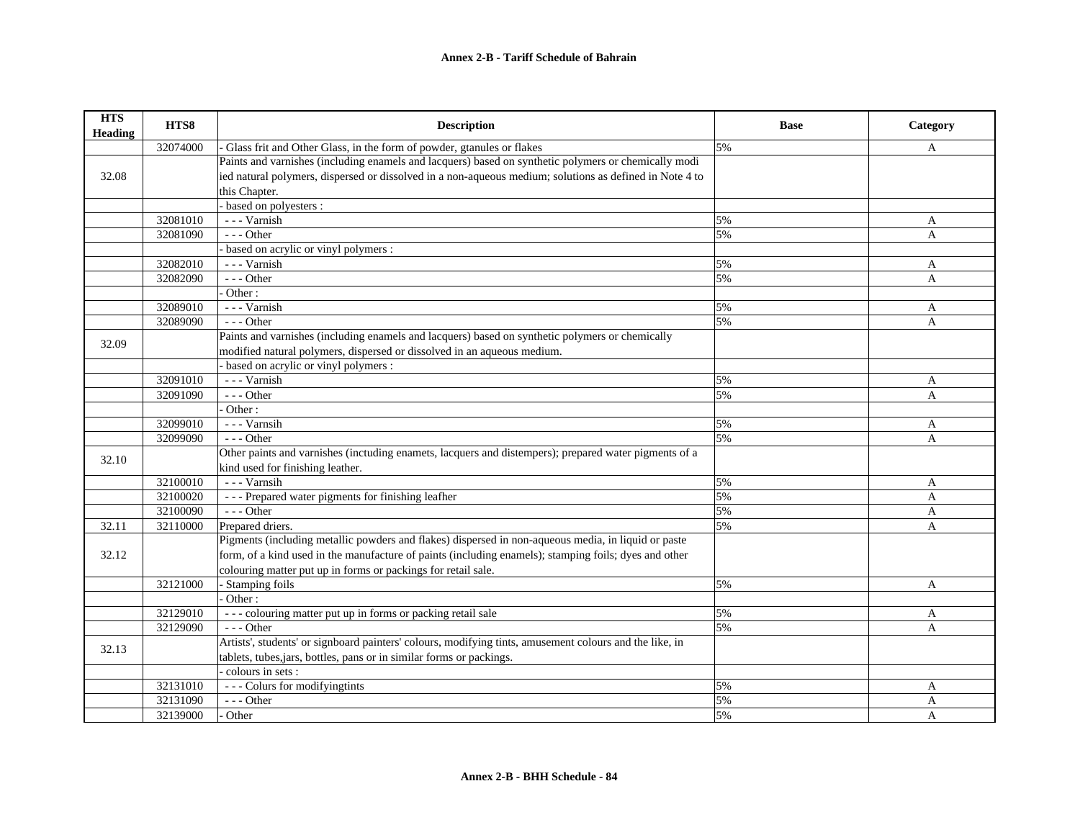| <b>HTS</b><br><b>Heading</b> | HTS8     | <b>Description</b>                                                                                      | <b>Base</b> | Category       |
|------------------------------|----------|---------------------------------------------------------------------------------------------------------|-------------|----------------|
|                              | 32074000 | Glass frit and Other Glass, in the form of powder, gtanules or flakes                                   | 5%          | A              |
|                              |          | Paints and varnishes (including enamels and lacquers) based on synthetic polymers or chemically modi    |             |                |
| 32.08                        |          | ied natural polymers, dispersed or dissolved in a non-aqueous medium; solutions as defined in Note 4 to |             |                |
|                              |          | this Chapter.                                                                                           |             |                |
|                              |          | based on polyesters :                                                                                   |             |                |
|                              | 32081010 | --- Varnish                                                                                             | 5%          | A              |
|                              | 32081090 | $- -$ Other                                                                                             | 5%          | A              |
|                              |          | based on acrylic or vinyl polymers :                                                                    |             |                |
|                              | 32082010 | --- Varnish                                                                                             | 5%          | A              |
|                              | 32082090 | $- -$ Other                                                                                             | 5%          | A              |
|                              |          | Other:                                                                                                  |             |                |
|                              | 32089010 | --- Varnish                                                                                             | 5%          | A              |
|                              | 32089090 | $- -$ Other                                                                                             | 5%          | A              |
| 32.09                        |          | Paints and varnishes (including enamels and lacquers) based on synthetic polymers or chemically         |             |                |
|                              |          | modified natural polymers, dispersed or dissolved in an aqueous medium.                                 |             |                |
|                              |          | based on acrylic or vinyl polymers :                                                                    |             |                |
|                              | 32091010 | --- Varnish                                                                                             | 5%          | A              |
|                              | 32091090 | --- Other                                                                                               | 5%          | A              |
|                              |          | Other:                                                                                                  |             |                |
|                              | 32099010 | --- Varnsih                                                                                             | 5%          | A              |
|                              | 32099090 | --- Other                                                                                               | 5%          | A              |
| 32.10                        |          | Other paints and varnishes (inctuding enamets, lacquers and distempers); prepared water pigments of a   |             |                |
|                              |          | kind used for finishing leather.                                                                        |             |                |
|                              | 32100010 | --- Varnsih                                                                                             | 5%          | A              |
|                              | 32100020 | --- Prepared water pigments for finishing leafher                                                       | 5%          | A              |
|                              | 32100090 | $- -$ Other                                                                                             | 5%          | A              |
| 32.11                        | 32110000 | Prepared driers.                                                                                        | 5%          | A              |
|                              |          | Pigments (including metallic powders and flakes) dispersed in non-aqueous media, in liquid or paste     |             |                |
| 32.12                        |          | form, of a kind used in the manufacture of paints (including enamels); stamping foils; dyes and other   |             |                |
|                              |          | colouring matter put up in forms or packings for retail sale.                                           |             |                |
|                              | 32121000 | - Stamping foils                                                                                        | 5%          | A              |
|                              |          | Other:                                                                                                  |             |                |
|                              | 32129010 | --- colouring matter put up in forms or packing retail sale                                             | 5%          | A              |
|                              | 32129090 | $- -$ Other                                                                                             | 5%          | $\mathbf{A}$   |
| 32.13                        |          | Artists', students' or signboard painters' colours, modifying tints, amusement colours and the like, in |             |                |
|                              |          | tablets, tubes, jars, bottles, pans or in similar forms or packings.                                    |             |                |
|                              |          | colours in sets :                                                                                       |             |                |
|                              | 32131010 | --- Colurs for modifyingtints                                                                           | 5%          | A              |
|                              | 32131090 | $--$ Other                                                                                              | 5%          | $\mathbf{A}$   |
|                              | 32139000 | Other                                                                                                   | 5%          | $\overline{A}$ |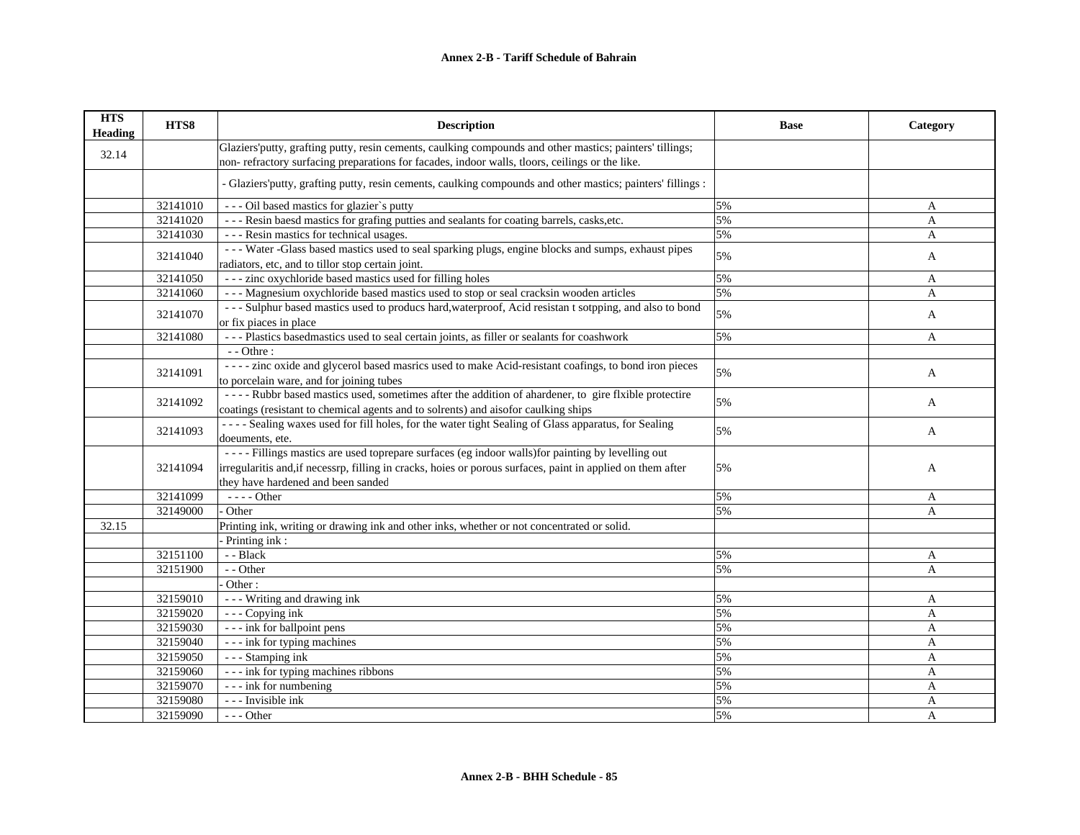| <b>HTS</b><br><b>Heading</b> | HTS8     | <b>Description</b>                                                                                                                                                                                                                                     | <b>Base</b> | Category     |
|------------------------------|----------|--------------------------------------------------------------------------------------------------------------------------------------------------------------------------------------------------------------------------------------------------------|-------------|--------------|
| 32.14                        |          | Glaziers' putty, grafting putty, resin cements, caulking compounds and other mastics; painters' tillings;<br>non-refractory surfacing preparations for facades, indoor walls, tloors, ceilings or the like.                                            |             |              |
|                              |          | - Glaziers' putty, grafting putty, resin cements, caulking compounds and other mastics; painters' fillings :                                                                                                                                           |             |              |
|                              | 32141010 | --- Oil based mastics for glazier's putty                                                                                                                                                                                                              | 5%          | A            |
|                              | 32141020 | --- Resin baesd mastics for grafing putties and sealants for coating barrels, casks, etc.                                                                                                                                                              | 5%          | $\mathbf{A}$ |
|                              | 32141030 | --- Resin mastics for technical usages.                                                                                                                                                                                                                | 5%          | A            |
|                              | 32141040 | --- Water -Glass based mastics used to seal sparking plugs, engine blocks and sumps, exhaust pipes<br>radiators, etc, and to tillor stop certain joint.                                                                                                | 5%          | A            |
|                              | 32141050 | --- zinc oxychloride based mastics used for filling holes                                                                                                                                                                                              | 5%          | A            |
|                              | 32141060 | --- Magnesium oxychloride based mastics used to stop or seal cracksin wooden articles                                                                                                                                                                  | 5%          | A            |
|                              | 32141070 | --- Sulphur based mastics used to producs hard, waterproof, Acid resistant sotpping, and also to bond<br>or fix piaces in place                                                                                                                        | 5%          | A            |
|                              | 32141080 | --- Plastics based<br>mastics used to seal certain joints, as filler or sealants for coashwork                                                                                                                                                         | 5%          | A            |
|                              |          | $-$ - Othre :                                                                                                                                                                                                                                          |             |              |
|                              | 32141091 | ---- zinc oxide and glycerol based masrics used to make Acid-resistant coafings, to bond iron pieces<br>to porcelain ware, and for joining tubes                                                                                                       | 5%          | A            |
|                              | 32141092 | ---- Rubbr based mastics used, sometimes after the addition of ahardener, to gire flxible protectire<br>coatings (resistant to chemical agents and to solrents) and aisofor caulking ships                                                             | 5%          | A            |
|                              | 32141093 | ---- Sealing waxes used for fill holes, for the water tight Sealing of Glass apparatus, for Sealing<br>doeuments, ete.                                                                                                                                 | 5%          | A            |
|                              | 32141094 | ---- Fillings mastics are used toprepare surfaces (eg indoor walls) for painting by levelling out<br>irregularitis and, if necessrp, filling in cracks, hoies or porous surfaces, paint in applied on them after<br>they have hardened and been sanded | 5%          | A            |
|                              | 32141099 | - - - - Other                                                                                                                                                                                                                                          | 5%          | A            |
|                              | 32149000 | Other                                                                                                                                                                                                                                                  | 5%          | A            |
| 32.15                        |          | Printing ink, writing or drawing ink and other inks, whether or not concentrated or solid.                                                                                                                                                             |             |              |
|                              |          | Printing ink:                                                                                                                                                                                                                                          |             |              |
|                              | 32151100 | - - Black                                                                                                                                                                                                                                              | 5%          | A            |
|                              | 32151900 | - - Other                                                                                                                                                                                                                                              | 5%          | $\mathbf{A}$ |
|                              |          | Other:                                                                                                                                                                                                                                                 |             |              |
|                              | 32159010 | - - - Writing and drawing ink                                                                                                                                                                                                                          | 5%          | A            |
|                              | 32159020 | - - - Copying ink                                                                                                                                                                                                                                      | 5%          | A            |
|                              | 32159030 | - - - ink for ballpoint pens                                                                                                                                                                                                                           | 5%          | A            |
|                              | 32159040 | --- ink for typing machines                                                                                                                                                                                                                            | 5%          | A            |
|                              | 32159050 | - - - Stamping ink                                                                                                                                                                                                                                     | 5%          | A            |
|                              | 32159060 | --- ink for typing machines ribbons                                                                                                                                                                                                                    | 5%          | A            |
|                              | 32159070 | - - - ink for numbering                                                                                                                                                                                                                                | 5%          | A            |
|                              | 32159080 | - - - Invisible ink                                                                                                                                                                                                                                    | 5%          | A            |
|                              | 32159090 | $--$ Other                                                                                                                                                                                                                                             | 5%          | A            |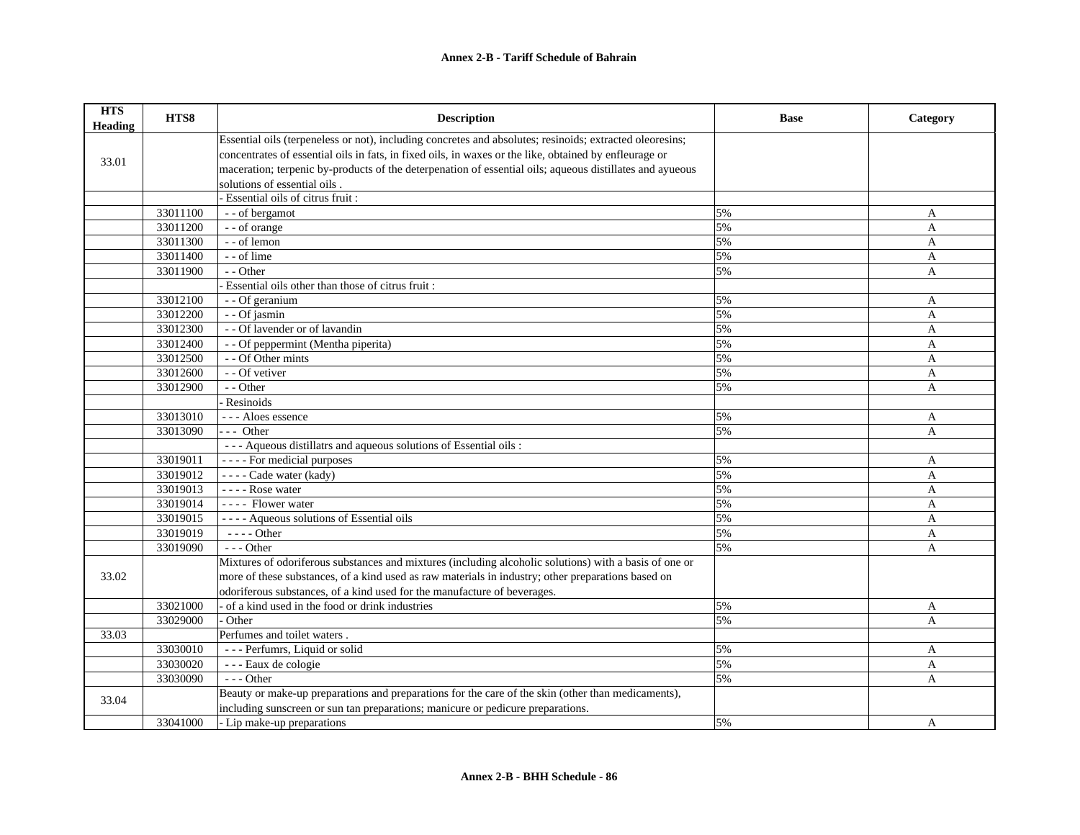| <b>HTS</b><br>Heading | HTS8     | <b>Description</b>                                                                                       | <b>Base</b> | Category       |
|-----------------------|----------|----------------------------------------------------------------------------------------------------------|-------------|----------------|
|                       |          | Essential oils (terpeneless or not), including concretes and absolutes; resinoids; extracted oleoresins; |             |                |
| 33.01                 |          | concentrates of essential oils in fats, in fixed oils, in waxes or the like, obtained by enfleurage or   |             |                |
|                       |          | maceration; terpenic by-products of the deterpenation of essential oils; aqueous distillates and ayueous |             |                |
|                       |          | solutions of essential oils.                                                                             |             |                |
|                       |          | - Essential oils of citrus fruit :                                                                       |             |                |
|                       | 33011100 | - - of bergamot                                                                                          | 5%          | A              |
|                       | 33011200 | - - of orange                                                                                            | 5%          | A              |
|                       | 33011300 | - - of lemon                                                                                             | 5%          | A              |
|                       | 33011400 | - - of lime                                                                                              | 5%          | A              |
|                       | 33011900 | - - Other                                                                                                | 5%          | A              |
|                       |          | Essential oils other than those of citrus fruit:                                                         |             |                |
|                       | 33012100 | - - Of geranium                                                                                          | 5%          | A              |
|                       | 33012200 | - - Of jasmin                                                                                            | 5%          | A              |
|                       | 33012300 | - - Of lavender or of lavandin                                                                           | 5%          | $\overline{A}$ |
|                       | 33012400 | - - Of peppermint (Mentha piperita)                                                                      | 5%          | $\mathbf{A}$   |
|                       | 33012500 | - - Of Other mints                                                                                       | 5%          | A              |
|                       | 33012600 | - - Of vetiver                                                                                           | 5%          | A              |
|                       | 33012900 | - - Other                                                                                                | 5%          | $\overline{A}$ |
|                       |          | Resinoids                                                                                                |             |                |
|                       | 33013010 | --- Aloes essence                                                                                        | 5%          | A              |
|                       | 33013090 | $- -$ Other                                                                                              | 5%          | $\mathbf{A}$   |
|                       |          | - - - Aqueous distillatrs and aqueous solutions of Essential oils :                                      |             |                |
|                       | 33019011 | - - - - For medicial purposes                                                                            | 5%          | A              |
|                       | 33019012 | $---$ Cade water (kady)                                                                                  | 5%          | $\mathbf{A}$   |
|                       | 33019013 | $---$ Rose water                                                                                         | 5%          | A              |
|                       | 33019014 | ---- Flower water                                                                                        | 5%          | $\mathbf{A}$   |
|                       | 33019015 | ---- Aqueous solutions of Essential oils                                                                 | 5%          | $\overline{A}$ |
|                       | 33019019 | $---$ Other                                                                                              | 5%          | A              |
|                       | 33019090 | $- -$ Other                                                                                              | 5%          | A              |
|                       |          | Mixtures of odoriferous substances and mixtures (including alcoholic solutions) with a basis of one or   |             |                |
| 33.02                 |          | more of these substances, of a kind used as raw materials in industry; other preparations based on       |             |                |
|                       |          | odoriferous substances, of a kind used for the manufacture of beverages.                                 |             |                |
|                       | 33021000 | of a kind used in the food or drink industries                                                           | 5%          | A              |
|                       | 33029000 | Other                                                                                                    | 5%          | A              |
| 33.03                 |          | Perfumes and toilet waters.                                                                              |             |                |
|                       | 33030010 | --- Perfumrs, Liquid or solid                                                                            | 5%          | A              |
|                       | 33030020 | - - - Eaux de cologie                                                                                    | 5%          | A              |
|                       | 33030090 | $- -$ Other                                                                                              | 5%          | $\overline{A}$ |
|                       |          | Beauty or make-up preparations and preparations for the care of the skin (other than medicaments),       |             |                |
| 33.04                 |          | including sunscreen or sun tan preparations; manicure or pedicure preparations.                          |             |                |
|                       | 33041000 | - Lip make-up preparations                                                                               | 5%          | A              |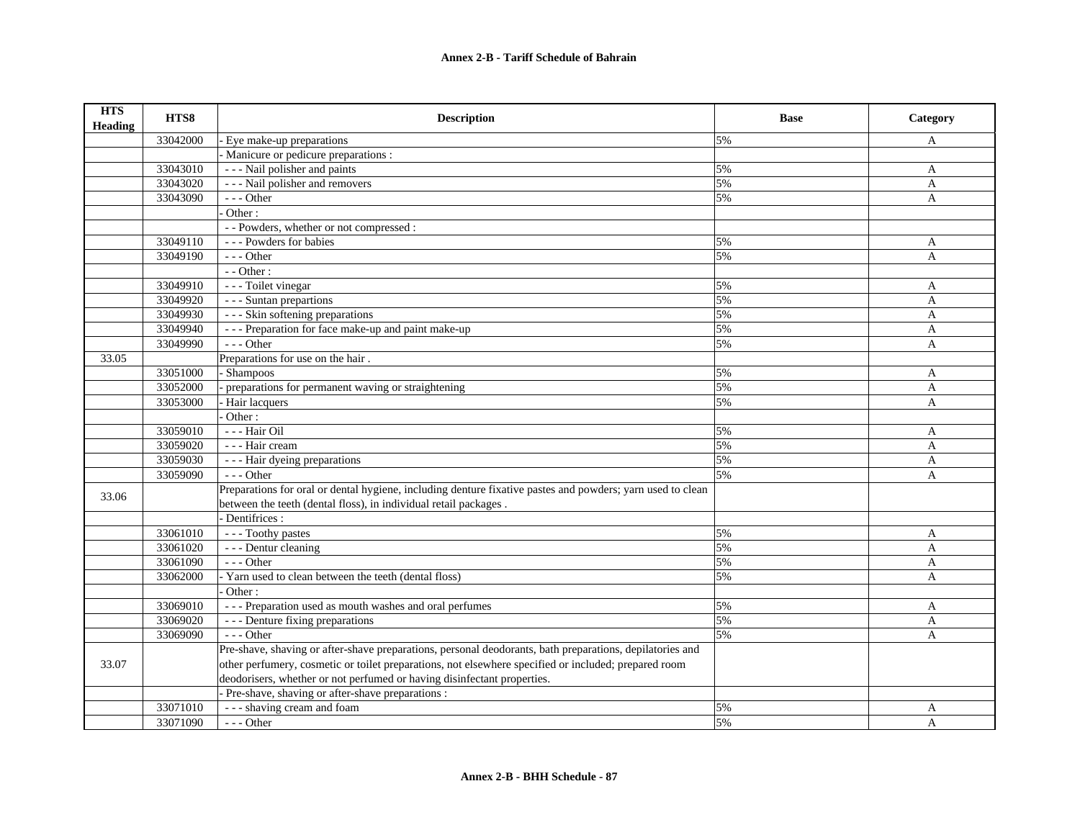| <b>HTS</b><br><b>Heading</b> | HTS8     | <b>Description</b>                                                                                         | <b>Base</b> | Category     |
|------------------------------|----------|------------------------------------------------------------------------------------------------------------|-------------|--------------|
|                              | 33042000 | - Eye make-up preparations                                                                                 | 5%          | A            |
|                              |          | Manicure or pedicure preparations :                                                                        |             |              |
|                              | 33043010 | --- Nail polisher and paints                                                                               | 5%          | A            |
|                              | 33043020 | - - - Nail polisher and removers                                                                           | 5%          | A            |
|                              | 33043090 | $--$ Other                                                                                                 | 5%          | A            |
|                              |          | Other:                                                                                                     |             |              |
|                              |          | - - Powders, whether or not compressed :                                                                   |             |              |
|                              | 33049110 | --- Powders for babies                                                                                     | 5%          | A            |
|                              | 33049190 | $- -$ Other                                                                                                | 5%          | A            |
|                              |          | - - Other :                                                                                                |             |              |
|                              | 33049910 | - - - Toilet vinegar                                                                                       | 5%          | A            |
|                              | 33049920 | - - - Suntan prepartions                                                                                   | 5%          | A            |
|                              | 33049930 | --- Skin softening preparations                                                                            | 5%          | A            |
|                              | 33049940 | --- Preparation for face make-up and paint make-up                                                         | 5%          | A            |
|                              | 33049990 | $- -$ Other                                                                                                | 5%          | A            |
| 33.05                        |          | Preparations for use on the hair.                                                                          |             |              |
|                              | 33051000 | - Shampoos                                                                                                 | 5%          | A            |
|                              | 33052000 | preparations for permanent waving or straightening                                                         | 5%          | A            |
|                              | 33053000 | Hair lacquers                                                                                              | 5%          | A            |
|                              |          | Other:                                                                                                     |             |              |
|                              | 33059010 | --- Hair Oil                                                                                               | 5%          | A            |
|                              | 33059020 | - - - Hair cream                                                                                           | 5%          | $\mathbf{A}$ |
|                              | 33059030 | - - - Hair dyeing preparations                                                                             | 5%          | $\mathbf{A}$ |
|                              | 33059090 | $- -$ Other                                                                                                | 5%          | A            |
| 33.06                        |          | Preparations for oral or dental hygiene, including denture fixative pastes and powders; yarn used to clean |             |              |
|                              |          | between the teeth (dental floss), in individual retail packages.                                           |             |              |
|                              |          | Dentifrices :                                                                                              |             |              |
|                              | 33061010 | --- Toothy pastes                                                                                          | 5%          | A            |
|                              | 33061020 | - - - Dentur cleaning                                                                                      | 5%          | A            |
|                              | 33061090 | $- -$ Other                                                                                                | 5%          | A            |
|                              | 33062000 | - Yarn used to clean between the teeth (dental floss)                                                      | 5%          | A            |
|                              |          | Other:                                                                                                     |             |              |
|                              | 33069010 | --- Preparation used as mouth washes and oral perfumes                                                     | 5%          | A            |
|                              | 33069020 | --- Denture fixing preparations                                                                            | 5%          | A            |
|                              | 33069090 | $- -$ Other                                                                                                | 5%          | $\mathbf{A}$ |
|                              |          | Pre-shave, shaving or after-shave preparations, personal deodorants, bath preparations, depilatories and   |             |              |
| 33.07                        |          | other perfumery, cosmetic or toilet preparations, not elsewhere specified or included; prepared room       |             |              |
|                              |          | deodorisers, whether or not perfumed or having disinfectant properties.                                    |             |              |
|                              |          | - Pre-shave, shaving or after-shave preparations :                                                         |             |              |
|                              | 33071010 | - - - shaving cream and foam                                                                               | 5%          | A            |
|                              | 33071090 | --- Other                                                                                                  | 5%          | $\mathbf{A}$ |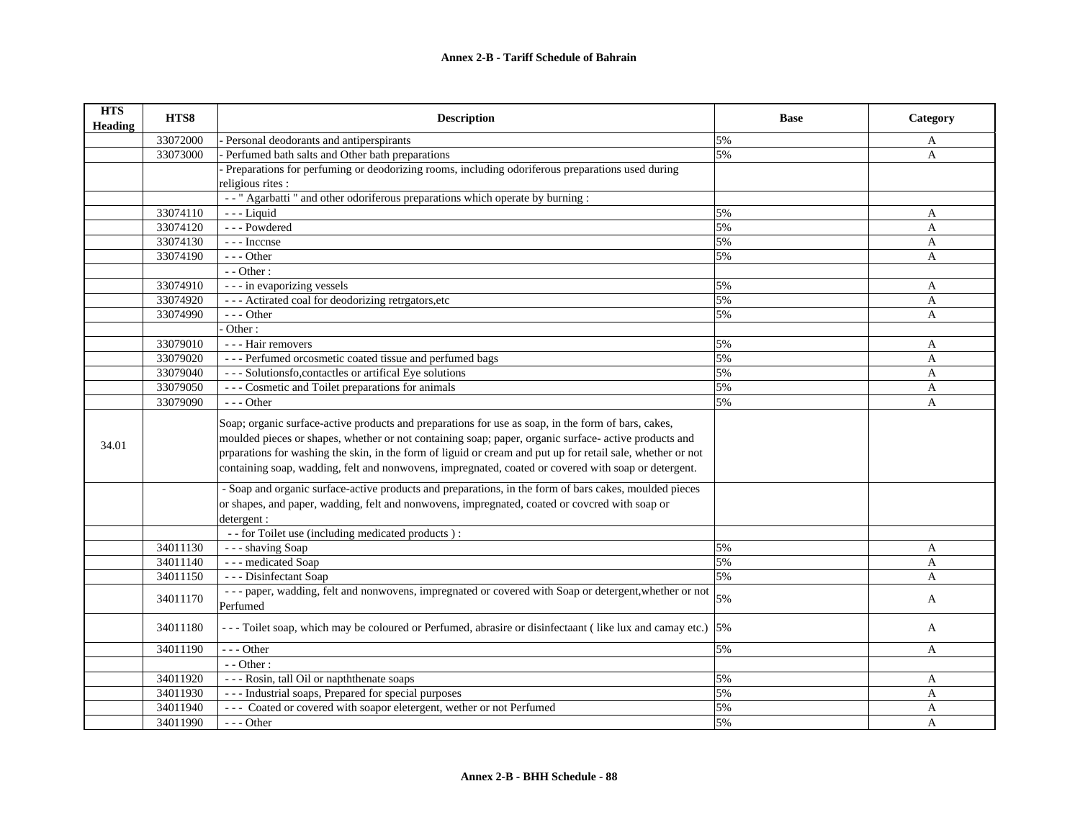| <b>HTS</b><br><b>Heading</b> | HTS8     | <b>Description</b>                                                                                                                                                                                                                                                                                                                                                                                                                                                                                                                                                                                                                                                                                                   | <b>Base</b> | Category     |
|------------------------------|----------|----------------------------------------------------------------------------------------------------------------------------------------------------------------------------------------------------------------------------------------------------------------------------------------------------------------------------------------------------------------------------------------------------------------------------------------------------------------------------------------------------------------------------------------------------------------------------------------------------------------------------------------------------------------------------------------------------------------------|-------------|--------------|
|                              | 33072000 | - Personal deodorants and antiperspirants                                                                                                                                                                                                                                                                                                                                                                                                                                                                                                                                                                                                                                                                            | 5%          | A            |
|                              | 33073000 | Perfumed bath salts and Other bath preparations                                                                                                                                                                                                                                                                                                                                                                                                                                                                                                                                                                                                                                                                      | 5%          | A            |
|                              |          | Preparations for perfuming or deodorizing rooms, including odoriferous preparations used during                                                                                                                                                                                                                                                                                                                                                                                                                                                                                                                                                                                                                      |             |              |
|                              |          | religious rites :                                                                                                                                                                                                                                                                                                                                                                                                                                                                                                                                                                                                                                                                                                    |             |              |
|                              |          | -- " Agarbatti " and other odoriferous preparations which operate by burning :                                                                                                                                                                                                                                                                                                                                                                                                                                                                                                                                                                                                                                       |             |              |
|                              | 33074110 | $- -$ Liquid                                                                                                                                                                                                                                                                                                                                                                                                                                                                                                                                                                                                                                                                                                         | 5%          | A            |
|                              | 33074120 | --- Powdered                                                                                                                                                                                                                                                                                                                                                                                                                                                                                                                                                                                                                                                                                                         | 5%          | A            |
|                              | 33074130 | --- Incense                                                                                                                                                                                                                                                                                                                                                                                                                                                                                                                                                                                                                                                                                                          | 5%          | A            |
|                              | 33074190 | $- -$ Other                                                                                                                                                                                                                                                                                                                                                                                                                                                                                                                                                                                                                                                                                                          | 5%          | A            |
|                              |          | - - Other :                                                                                                                                                                                                                                                                                                                                                                                                                                                                                                                                                                                                                                                                                                          |             |              |
|                              | 33074910 | - - - in evaporizing vessels                                                                                                                                                                                                                                                                                                                                                                                                                                                                                                                                                                                                                                                                                         | 5%          | A            |
|                              | 33074920 | --- Actirated coal for deodorizing retrgators, etc                                                                                                                                                                                                                                                                                                                                                                                                                                                                                                                                                                                                                                                                   | 5%          | A            |
|                              | 33074990 | $- -$ Other                                                                                                                                                                                                                                                                                                                                                                                                                                                                                                                                                                                                                                                                                                          | 5%          | A            |
|                              |          | Other:                                                                                                                                                                                                                                                                                                                                                                                                                                                                                                                                                                                                                                                                                                               |             |              |
|                              | 33079010 | - - - Hair removers                                                                                                                                                                                                                                                                                                                                                                                                                                                                                                                                                                                                                                                                                                  | 5%          | A            |
|                              | 33079020 | --- Perfumed or<br>cosmetic coated tissue and perfumed bags                                                                                                                                                                                                                                                                                                                                                                                                                                                                                                                                                                                                                                                          | 5%          | A            |
|                              | 33079040 | --- Solutionsfo, contactles or artifical Eye solutions                                                                                                                                                                                                                                                                                                                                                                                                                                                                                                                                                                                                                                                               | 5%          | A            |
|                              | 33079050 | --- Cosmetic and Toilet preparations for animals                                                                                                                                                                                                                                                                                                                                                                                                                                                                                                                                                                                                                                                                     | 5%          | $\mathbf{A}$ |
|                              | 33079090 | $- -$ Other                                                                                                                                                                                                                                                                                                                                                                                                                                                                                                                                                                                                                                                                                                          | 5%          | $\mathbf{A}$ |
| 34.01                        |          | Soap; organic surface-active products and preparations for use as soap, in the form of bars, cakes,<br>moulded pieces or shapes, whether or not containing soap; paper, organic surface- active products and<br>prparations for washing the skin, in the form of liguid or cream and put up for retail sale, whether or not<br>containing soap, wadding, felt and nonwovens, impregnated, coated or covered with soap or detergent.<br>- Soap and organic surface-active products and preparations, in the form of bars cakes, moulded pieces<br>or shapes, and paper, wadding, felt and nonwovens, impregnated, coated or covcred with soap or<br>detergent:<br>- - for Toilet use (including medicated products) : |             |              |
|                              | 34011130 | --- shaving Soap                                                                                                                                                                                                                                                                                                                                                                                                                                                                                                                                                                                                                                                                                                     | 5%          | A            |
|                              | 34011140 | --- medicated Soap                                                                                                                                                                                                                                                                                                                                                                                                                                                                                                                                                                                                                                                                                                   | 5%          | A            |
|                              | 34011150 | --- Disinfectant Soap                                                                                                                                                                                                                                                                                                                                                                                                                                                                                                                                                                                                                                                                                                | 5%          | A            |
|                              | 34011170 | ---paper, wadding, felt and nonwovens, impregnated or covered with Soap or detergent, whether or not                                                                                                                                                                                                                                                                                                                                                                                                                                                                                                                                                                                                                 | 5%          | A            |
|                              |          | Perfumed                                                                                                                                                                                                                                                                                                                                                                                                                                                                                                                                                                                                                                                                                                             |             |              |
|                              | 34011180 | ---Toilet soap, which may be coloured or Perfumed, abrasire or disinfectant (like lux and camay etc.) 5%                                                                                                                                                                                                                                                                                                                                                                                                                                                                                                                                                                                                             |             | A            |
|                              | 34011190 | --- Other                                                                                                                                                                                                                                                                                                                                                                                                                                                                                                                                                                                                                                                                                                            | 5%          | A            |
|                              |          | $-$ - Other :                                                                                                                                                                                                                                                                                                                                                                                                                                                                                                                                                                                                                                                                                                        |             |              |
|                              | 34011920 | --- Rosin, tall Oil or napththenate soaps                                                                                                                                                                                                                                                                                                                                                                                                                                                                                                                                                                                                                                                                            | 5%          | A            |
|                              | 34011930 | --- Industrial soaps, Prepared for special purposes                                                                                                                                                                                                                                                                                                                                                                                                                                                                                                                                                                                                                                                                  | 5%          | A            |
|                              | 34011940 | --- Coated or covered with soapor eletergent, wether or not Perfumed                                                                                                                                                                                                                                                                                                                                                                                                                                                                                                                                                                                                                                                 | 5%          | A            |
|                              | 34011990 | $--$ Other                                                                                                                                                                                                                                                                                                                                                                                                                                                                                                                                                                                                                                                                                                           | 5%          | A            |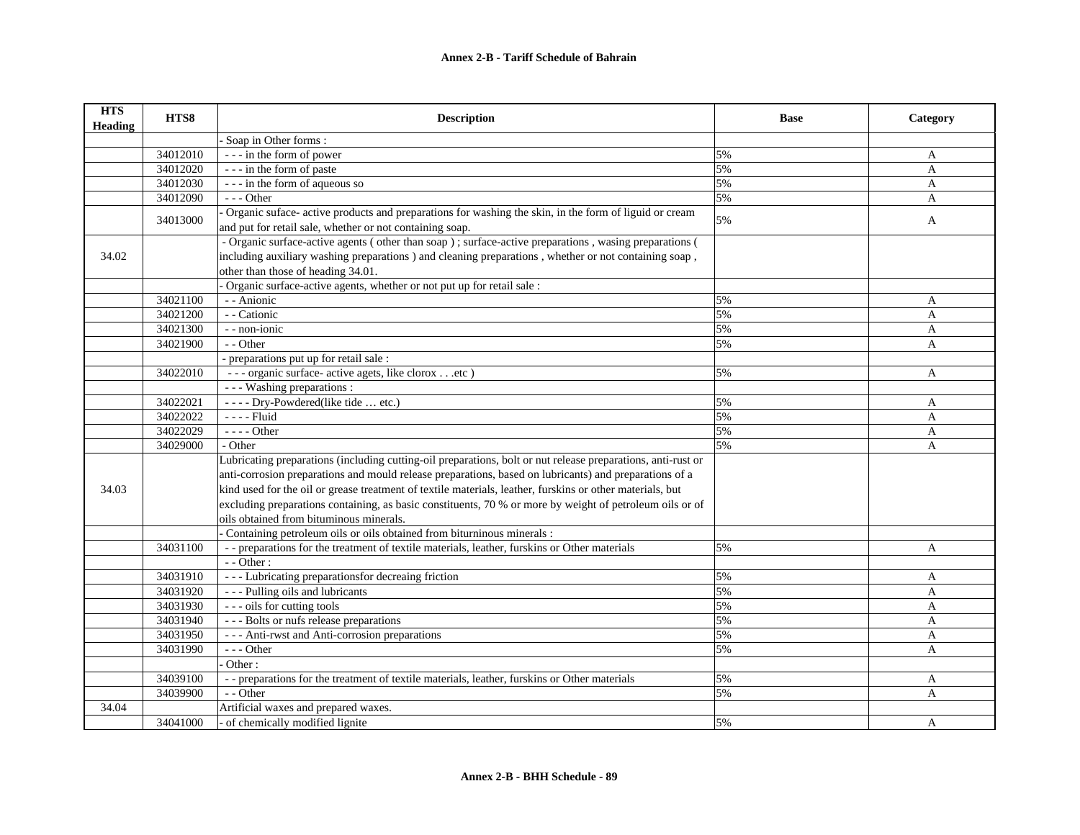| <b>HTS</b><br><b>Heading</b> | HTS8     | <b>Description</b>                                                                                           | <b>Base</b> | Category     |
|------------------------------|----------|--------------------------------------------------------------------------------------------------------------|-------------|--------------|
|                              |          | Soap in Other forms:                                                                                         |             |              |
|                              | 34012010 | --- in the form of power                                                                                     | 5%          | A            |
|                              | 34012020 | --- in the form of paste                                                                                     | 5%          | $\mathbf{A}$ |
|                              | 34012030 | --- in the form of aqueous so                                                                                | 5%          | A            |
|                              | 34012090 | $- -$ Other                                                                                                  | 5%          | A            |
|                              | 34013000 | Organic suface- active products and preparations for washing the skin, in the form of liguid or cream        | 5%          | $\mathbf{A}$ |
|                              |          | and put for retail sale, whether or not containing soap.                                                     |             |              |
|                              |          | - Organic surface-active agents (other than soap); surface-active preparations, wasing preparations (        |             |              |
| 34.02                        |          | including auxiliary washing preparations ) and cleaning preparations, whether or not containing soap,        |             |              |
|                              |          | other than those of heading 34.01.                                                                           |             |              |
|                              |          | Organic surface-active agents, whether or not put up for retail sale :                                       |             |              |
|                              | 34021100 | - - Anionic                                                                                                  | 5%          | A            |
|                              | 34021200 | - - Cationic                                                                                                 | 5%          | A            |
|                              | 34021300 | - - non-ionic                                                                                                | 5%          | A            |
|                              | 34021900 | - - Other                                                                                                    | 5%          | A            |
|                              |          | - preparations put up for retail sale :                                                                      |             |              |
|                              | 34022010 | --- organic surface- active agets, like clorox etc )                                                         | 5%          | A            |
|                              |          | - - - Washing preparations :                                                                                 |             |              |
|                              | 34022021 | ---- Dry-Powdered(like tide  etc.)                                                                           | 5%          | A            |
|                              | 34022022 | - - - - Fluid                                                                                                | 5%          | A            |
|                              | 34022029 | - - - - Other                                                                                                | 5%          | A            |
|                              | 34029000 | - Other                                                                                                      | 5%          | A            |
|                              |          | Lubricating preparations (including cutting-oil preparations, bolt or nut release preparations, anti-rust or |             |              |
|                              |          | anti-corrosion preparations and mould release preparations, based on lubricants) and preparations of a       |             |              |
| 34.03                        |          | kind used for the oil or grease treatment of textile materials, leather, furskins or other materials, but    |             |              |
|                              |          | excluding preparations containing, as basic constituents, 70 % or more by weight of petroleum oils or of     |             |              |
|                              |          | oils obtained from bituminous minerals.                                                                      |             |              |
|                              |          | Containing petroleum oils or oils obtained from biturninous minerals :                                       |             |              |
|                              | 34031100 | - - preparations for the treatment of textile materials, leather, furskins or Other materials                | 5%          | A            |
|                              |          | $-$ - Other :                                                                                                |             |              |
|                              | 34031910 | --- Lubricating preparationsfor decreaing friction                                                           | 5%          | A            |
|                              | 34031920 | --- Pulling oils and lubricants                                                                              | 5%          | $\mathbf{A}$ |
|                              | 34031930 | --- oils for cutting tools                                                                                   | 5%          | $\mathbf{A}$ |
|                              | 34031940 | --- Bolts or nufs release preparations                                                                       | 5%          | $\mathbf{A}$ |
|                              | 34031950 | --- Anti-rwst and Anti-corrosion preparations                                                                | 5%          | A            |
|                              | 34031990 | $- -$ Other                                                                                                  | 5%          | A            |
|                              |          | Other:                                                                                                       |             |              |
|                              | 34039100 | -- preparations for the treatment of textile materials, leather, furskins or Other materials                 | 5%          | A            |
|                              | 34039900 | $-$ - Other                                                                                                  | 5%          | A            |
| 34.04                        |          | Artificial waxes and prepared waxes.                                                                         |             |              |
|                              | 34041000 | of chemically modified lignite                                                                               | 5%          | A            |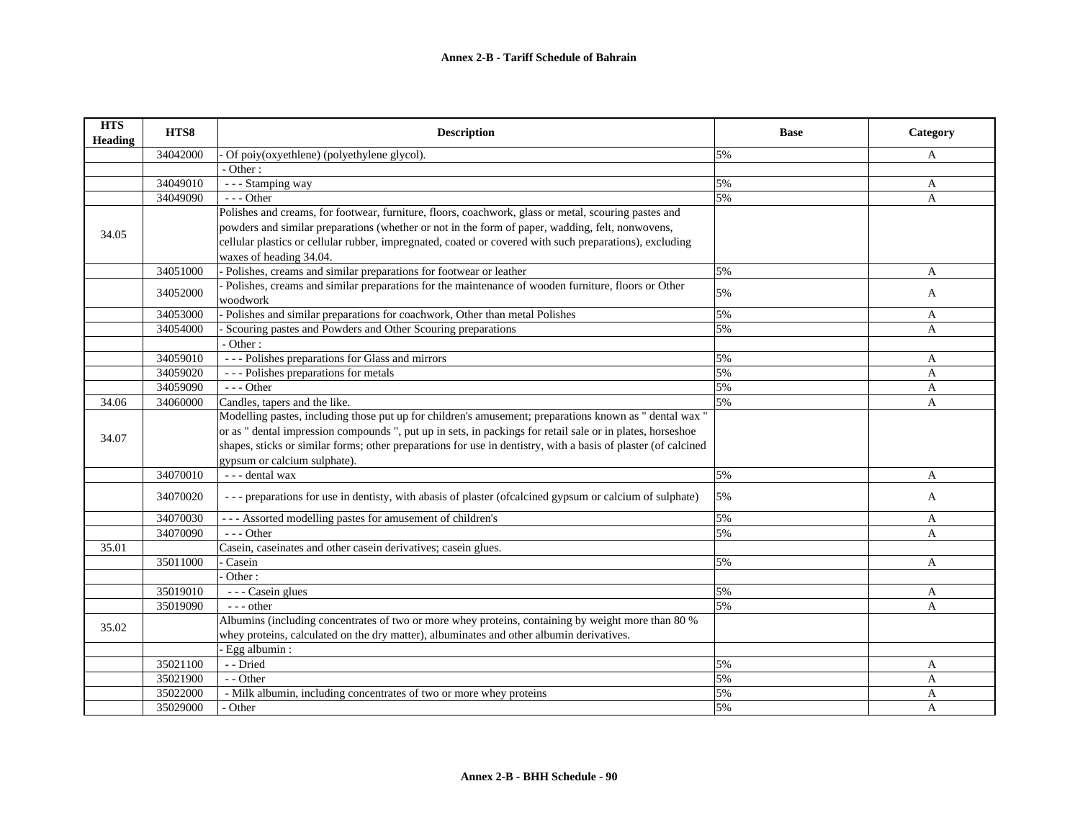| <b>HTS</b><br><b>Heading</b> | HTS8     | <b>Description</b>                                                                                             | <b>Base</b> | Category     |
|------------------------------|----------|----------------------------------------------------------------------------------------------------------------|-------------|--------------|
|                              | 34042000 | Of poiy(oxyethlene) (polyethylene glycol).                                                                     | 5%          | A            |
|                              |          | - Other:                                                                                                       |             |              |
|                              | 34049010 | - - - Stamping way                                                                                             | 5%          | A            |
|                              | 34049090 | --- Other                                                                                                      | 5%          | A            |
|                              |          | Polishes and creams, for footwear, furniture, floors, coachwork, glass or metal, scouring pastes and           |             |              |
| 34.05                        |          | powders and similar preparations (whether or not in the form of paper, wadding, felt, nonwovens,               |             |              |
|                              |          | cellular plastics or cellular rubber, impregnated, coated or covered with such preparations), excluding        |             |              |
|                              |          | waxes of heading 34.04.                                                                                        |             |              |
|                              | 34051000 | - Polishes, creams and similar preparations for footwear or leather                                            | 5%          | A            |
|                              | 34052000 | - Polishes, creams and similar preparations for the maintenance of wooden furniture, floors or Other           | 5%          | A            |
|                              |          | woodwork                                                                                                       |             |              |
|                              | 34053000 | Polishes and similar preparations for coachwork, Other than metal Polishes                                     | 5%          | A            |
|                              | 34054000 | Scouring pastes and Powders and Other Scouring preparations                                                    | 5%          | A            |
|                              |          | - Other:                                                                                                       |             |              |
|                              | 34059010 | --- Polishes preparations for Glass and mirrors                                                                | 5%          | A            |
|                              | 34059020 | --- Polishes preparations for metals                                                                           | 5%          | $\mathbf{A}$ |
|                              | 34059090 | $---$ Other                                                                                                    | 5%          | A            |
| 34.06                        | 34060000 | Candles, tapers and the like.                                                                                  | 5%          | A            |
|                              |          | Modelling pastes, including those put up for children's amusement; preparations known as " dental wax "        |             |              |
| 34.07                        |          | or as " dental impression compounds ", put up in sets, in packings for retail sale or in plates, horseshoe     |             |              |
|                              |          | shapes, sticks or similar forms; other preparations for use in dentistry, with a basis of plaster (of calcined |             |              |
|                              |          | gypsum or calcium sulphate).                                                                                   |             |              |
|                              | 34070010 | --- dental wax                                                                                                 | 5%          | $\mathbf{A}$ |
|                              | 34070020 | --- preparations for use in dentisty, with abasis of plaster (ofcalcined gypsum or calcium of sulphate)        | 5%          | A            |
|                              | 34070030 | --- Assorted modelling pastes for amusement of children's                                                      | 5%          | A            |
|                              | 34070090 | $- -$ Other                                                                                                    | 5%          | A            |
| 35.01                        |          | Casein, caseinates and other casein derivatives; casein glues.                                                 |             |              |
|                              | 35011000 | Casein                                                                                                         | 5%          | $\mathbf{A}$ |
|                              |          | Other:                                                                                                         |             |              |
|                              | 35019010 | $\overline{\phantom{a} \phantom{a}}$ - - - Casein glues                                                        | 5%          | A            |
|                              | 35019090 | $---$ other                                                                                                    | 5%          | A            |
| 35.02                        |          | Albumins (including concentrates of two or more whey proteins, containing by weight more than 80 %             |             |              |
|                              |          | whey proteins, calculated on the dry matter), albuminates and other albumin derivatives.                       |             |              |
|                              |          | - Egg albumin:                                                                                                 |             |              |
|                              | 35021100 | - - Dried                                                                                                      | 5%          | A            |
|                              | 35021900 | - - Other                                                                                                      | 5%          | $\mathbf{A}$ |
|                              | 35022000 | - Milk albumin, including concentrates of two or more whey proteins                                            | 5%          | A            |
|                              | 35029000 | - Other                                                                                                        | 5%          | A            |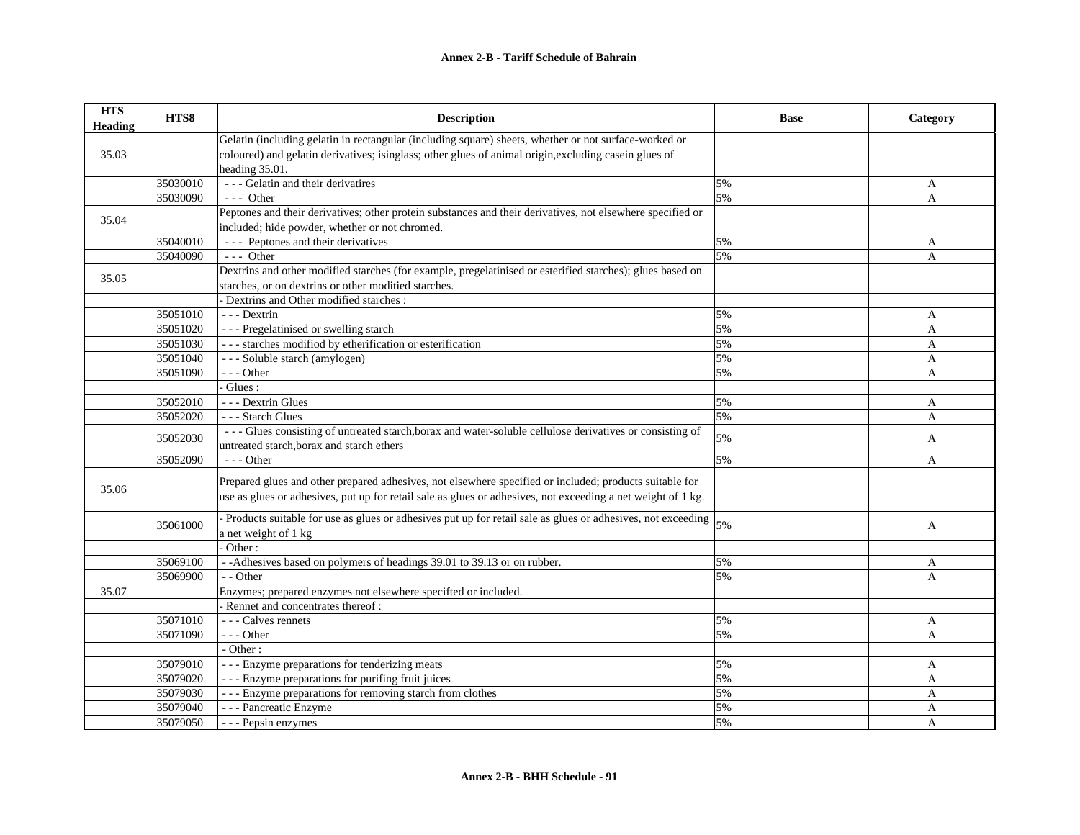| <b>HTS</b><br><b>Heading</b> | HTS8     | <b>Description</b>                                                                                            | <b>Base</b> | Category       |
|------------------------------|----------|---------------------------------------------------------------------------------------------------------------|-------------|----------------|
|                              |          | Gelatin (including gelatin in rectangular (including square) sheets, whether or not surface-worked or         |             |                |
| 35.03                        |          | coloured) and gelatin derivatives; isinglass; other glues of animal origin, excluding casein glues of         |             |                |
|                              |          | heading 35.01.                                                                                                |             |                |
|                              | 35030010 | --- Gelatin and their derivatires                                                                             | 5%          | A              |
|                              | 35030090 | $--$ Other                                                                                                    | 5%          | A              |
| 35.04                        |          | Peptones and their derivatives; other protein substances and their derivatives, not elsewhere specified or    |             |                |
|                              |          | included; hide powder, whether or not chromed.                                                                |             |                |
|                              | 35040010 | --- Peptones and their derivatives                                                                            | 5%          | A              |
|                              | 35040090 | $--$ Other                                                                                                    | 5%          | A              |
| 35.05                        |          | Dextrins and other modified starches (for example, pregelatinised or esterified starches); glues based on     |             |                |
|                              |          | starches, or on dextrins or other moditied starches.                                                          |             |                |
|                              |          | - Dextrins and Other modified starches :                                                                      |             |                |
|                              | 35051010 | $- -$ Dextrin                                                                                                 | 5%          | A              |
|                              | 35051020 | --- Pregelatinised or swelling starch                                                                         | 5%          | $\overline{A}$ |
|                              | 35051030 | --- starches modified by etherification or esterification                                                     | 5%          | A              |
|                              | 35051040 | --- Soluble starch (amylogen)                                                                                 | 5%          | A              |
|                              | 35051090 | $--$ Other                                                                                                    | 5%          | A              |
|                              |          | Glues:                                                                                                        |             |                |
|                              | 35052010 | --- Dextrin Glues                                                                                             | 5%          | A              |
|                              | 35052020 | --- Starch Glues                                                                                              | 5%          | A              |
|                              | 35052030 | --- Glues consisting of untreated starch, borax and water-soluble cellulose derivatives or consisting of      | 5%          | A              |
|                              |          | untreated starch, borax and starch ethers                                                                     |             |                |
|                              | 35052090 | $- -$ Other                                                                                                   | 5%          | A              |
| 35.06                        |          | Prepared glues and other prepared adhesives, not elsewhere specified or included; products suitable for       |             |                |
|                              |          | use as glues or adhesives, put up for retail sale as glues or adhesives, not exceeding a net weight of 1 kg.  |             |                |
|                              | 35061000 | - Products suitable for use as glues or adhesives put up for retail sale as glues or adhesives, not exceeding | 5%          | A              |
|                              |          | a net weight of 1 kg                                                                                          |             |                |
|                              |          | Other:                                                                                                        |             |                |
|                              | 35069100 | - -Adhesives based on polymers of headings 39.01 to 39.13 or on rubber.                                       | 5%          | A              |
|                              | 35069900 | $-$ - Other                                                                                                   | 5%          | A              |
| 35.07                        |          | Enzymes; prepared enzymes not elsewhere specifted or included.                                                |             |                |
|                              |          | - Rennet and concentrates thereof:                                                                            |             |                |
|                              | 35071010 | --- Calves rennets                                                                                            | 5%          | A              |
|                              | 35071090 | --- Other                                                                                                     | 5%          | A              |
|                              |          | - Other:                                                                                                      |             |                |
|                              | 35079010 | --- Enzyme preparations for tenderizing meats                                                                 | 5%          | A              |
|                              | 35079020 | --- Enzyme preparations for purifing fruit juices                                                             | 5%          | A              |
|                              | 35079030 | - - - Enzyme preparations for removing starch from clothes                                                    | 5%          | A              |
|                              | 35079040 | - - - Pancreatic Enzyme                                                                                       | 5%          | A              |
|                              | 35079050 | - - - Pepsin enzymes                                                                                          | 5%          | A              |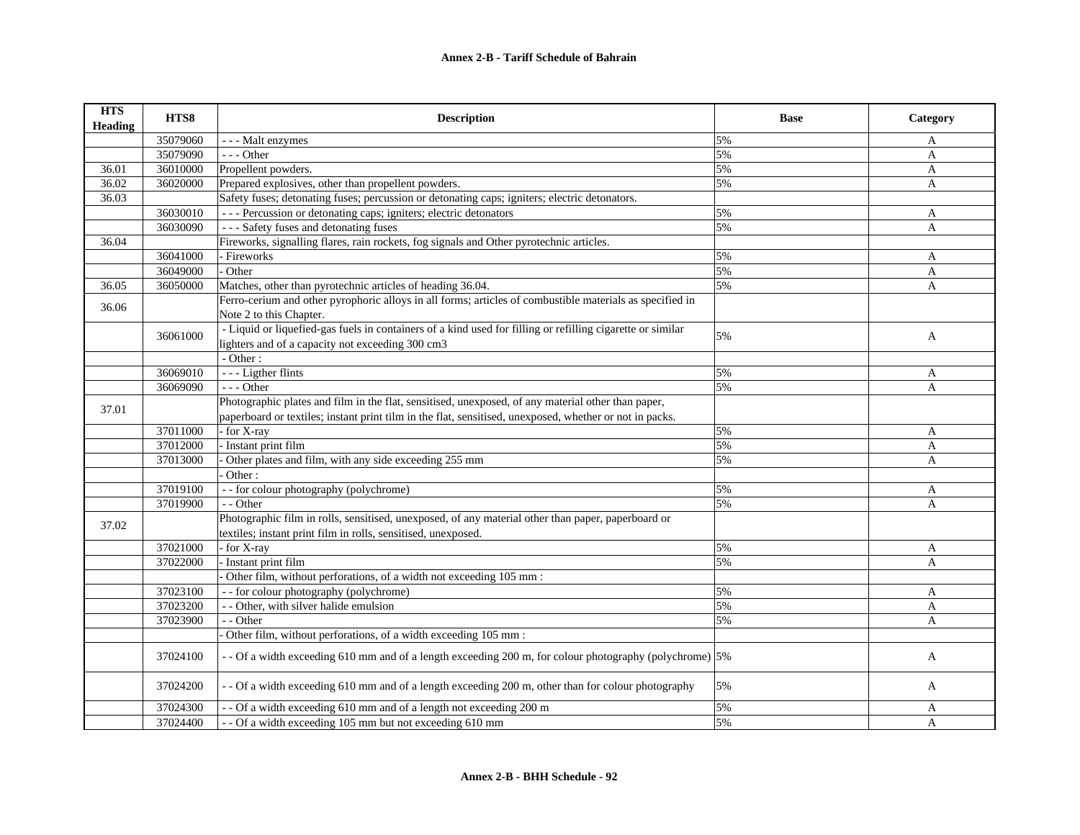| <b>HTS</b><br><b>Heading</b> | HTS8     | <b>Description</b>                                                                                                                                                         | <b>Base</b> | Category     |
|------------------------------|----------|----------------------------------------------------------------------------------------------------------------------------------------------------------------------------|-------------|--------------|
|                              | 35079060 | - - - Malt enzymes                                                                                                                                                         | 5%          | A            |
|                              | 35079090 | $- -$ Other                                                                                                                                                                | 5%          | $\mathbf{A}$ |
| 36.01                        | 36010000 | Propellent powders.                                                                                                                                                        | 5%          | $\mathbf{A}$ |
| 36.02                        | 36020000 | Prepared explosives, other than propellent powders.                                                                                                                        | 5%          | $\mathbf{A}$ |
| 36.03                        |          | Safety fuses; detonating fuses; percussion or detonating caps; igniters; electric detonators.                                                                              |             |              |
|                              | 36030010 | --- Percussion or detonating caps; igniters; electric detonators                                                                                                           | 5%          | A            |
|                              | 36030090 | --- Safety fuses and detonating fuses                                                                                                                                      | 5%          | A            |
| 36.04                        |          | Fireworks, signalling flares, rain rockets, fog signals and Other pyrotechnic articles.                                                                                    |             |              |
|                              | 36041000 | - Fireworks                                                                                                                                                                | 5%          | A            |
|                              | 36049000 | Other                                                                                                                                                                      | 5%          | A            |
| 36.05                        | 36050000 | Matches, other than pyrotechnic articles of heading 36.04.                                                                                                                 | 5%          | A            |
| 36.06                        |          | Ferro-cerium and other pyrophoric alloys in all forms; articles of combustible materials as specified in<br>Note 2 to this Chapter.                                        |             |              |
|                              | 36061000 | - Liquid or liquefied-gas fuels in containers of a kind used for filling or refilling cigarette or similar<br>lighters and of a capacity not exceeding 300 cm3<br>- Other: | 5%          | A            |
|                              | 36069010 | - - - Ligther flints                                                                                                                                                       | 5%          | A            |
|                              | 36069090 | --- Other                                                                                                                                                                  | 5%          | $\mathbf{A}$ |
|                              |          | Photographic plates and film in the flat, sensitised, unexposed, of any material other than paper,                                                                         |             |              |
| 37.01                        |          | paperboard or textiles; instant print tilm in the flat, sensitised, unexposed, whether or not in packs.                                                                    |             |              |
|                              | 37011000 | for X-ray                                                                                                                                                                  | 5%          | A            |
|                              | 37012000 | Instant print film                                                                                                                                                         | 5%          | A            |
|                              | 37013000 | Other plates and film, with any side exceeding 255 mm                                                                                                                      | 5%          | A            |
|                              |          | Other:                                                                                                                                                                     |             |              |
|                              | 37019100 | - - for colour photography (polychrome)                                                                                                                                    | 5%          | A            |
|                              | 37019900 | - - Other                                                                                                                                                                  | 5%          | A            |
| 37.02                        |          | Photographic film in rolls, sensitised, unexposed, of any material other than paper, paperboard or<br>textiles; instant print film in rolls, sensitised, unexposed.        |             |              |
|                              | 37021000 | - for X-ray                                                                                                                                                                | 5%          | A            |
|                              | 37022000 | Instant print film                                                                                                                                                         | 5%          | A            |
|                              |          | Other film, without perforations, of a width not exceeding 105 mm :                                                                                                        |             |              |
|                              | 37023100 | - - for colour photography (polychrome)                                                                                                                                    | 5%          | A            |
|                              | 37023200 | - - Other, with silver halide emulsion                                                                                                                                     | 5%          | $\mathbf{A}$ |
|                              | 37023900 | - - Other                                                                                                                                                                  | 5%          | $\mathbf{A}$ |
|                              |          | Other film, without perforations, of a width exceeding 105 mm :                                                                                                            |             |              |
|                              | 37024100 | - - Of a width exceeding 610 mm and of a length exceeding 200 m, for colour photography (polychrome) 5%                                                                    |             | A            |
|                              | 37024200 | - - Of a width exceeding 610 mm and of a length exceeding 200 m, other than for colour photography                                                                         | 5%          | A            |
|                              | 37024300 | - - Of a width exceeding 610 mm and of a length not exceeding 200 m                                                                                                        | 5%          | A            |
|                              | 37024400 | - - Of a width exceeding 105 mm but not exceeding 610 mm                                                                                                                   | 5%          | A            |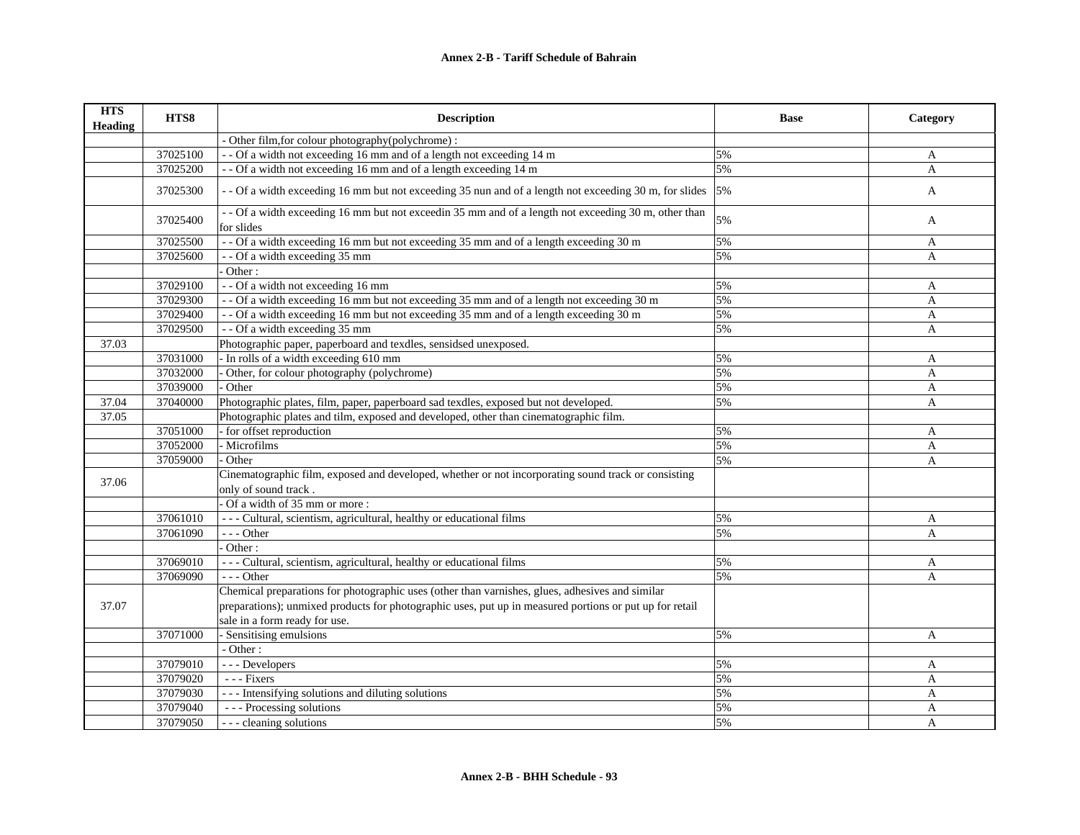| <b>HTS</b><br><b>Heading</b> | HTS8     | <b>Description</b>                                                                                                          | <b>Base</b> | Category     |
|------------------------------|----------|-----------------------------------------------------------------------------------------------------------------------------|-------------|--------------|
|                              |          | - Other film, for colour photography (polychrome) :                                                                         |             |              |
|                              | 37025100 | - - Of a width not exceeding 16 mm and of a length not exceeding 14 m                                                       | 5%          | A            |
|                              | 37025200 | - - Of a width not exceeding 16 mm and of a length exceeding 14 m                                                           | 5%          | $\mathbf{A}$ |
|                              | 37025300 | - - Of a width exceeding 16 mm but not exceeding 35 nun and of a length not exceeding 30 m, for slides                      | 5%          | A            |
|                              | 37025400 | - - Of a width exceeding 16 mm but not exceedin 35 mm and of a length not exceeding 30 m, other than<br>for slides          | 5%          | A            |
|                              | 37025500 | - - Of a width exceeding 16 mm but not exceeding 35 mm and of a length exceeding 30 m                                       | 5%          | A            |
|                              | 37025600 | - - Of a width exceeding 35 mm                                                                                              | 5%          | A            |
|                              |          | Other:                                                                                                                      |             |              |
|                              | 37029100 | - - Of a width not exceeding 16 mm                                                                                          | 5%          | A            |
|                              | 37029300 | -- Of a width exceeding 16 mm but not exceeding 35 mm and of a length not exceeding 30 m                                    | 5%          | A            |
|                              | 37029400 | -- Of a width exceeding 16 mm but not exceeding 35 mm and of a length exceeding 30 m                                        | 5%          | A            |
|                              | 37029500 | - - Of a width exceeding 35 mm                                                                                              | 5%          | A            |
| 37.03                        |          | Photographic paper, paperboard and texdles, sensidsed unexposed.                                                            |             |              |
|                              | 37031000 | In rolls of a width exceeding 610 mm                                                                                        | 5%          | A            |
|                              | 37032000 | Other, for colour photography (polychrome)                                                                                  | 5%          | A            |
|                              | 37039000 | Other                                                                                                                       | 5%          | $\mathbf{A}$ |
| 37.04                        | 37040000 | Photographic plates, film, paper, paperboard sad texdles, exposed but not developed.                                        | 5%          | $\mathbf{A}$ |
| 37.05                        |          | Photographic plates and tilm, exposed and developed, other than cinematographic film.                                       |             |              |
|                              | 37051000 | for offset reproduction                                                                                                     | 5%          | A            |
|                              | 37052000 | - Microfilms                                                                                                                | 5%          | A            |
|                              | 37059000 | Other                                                                                                                       | 5%          | A            |
| 37.06                        |          | Cinematographic film, exposed and developed, whether or not incorporating sound track or consisting<br>only of sound track. |             |              |
|                              |          | Of a width of 35 mm or more:                                                                                                |             |              |
|                              | 37061010 | - - - Cultural, scientism, agricultural, healthy or educational films                                                       | 5%          | A            |
|                              | 37061090 | $- -$ Other                                                                                                                 | 5%          | A            |
|                              |          | Other:                                                                                                                      |             |              |
|                              | 37069010 | --- Cultural, scientism, agricultural, healthy or educational films                                                         | 5%          | A            |
|                              | 37069090 | $- -$ Other                                                                                                                 | 5%          | $\mathbf{A}$ |
|                              |          | Chemical preparations for photographic uses (other than varnishes, glues, adhesives and similar                             |             |              |
| 37.07                        |          | preparations); unmixed products for photographic uses, put up in measured portions or put up for retail                     |             |              |
|                              |          | sale in a form ready for use.                                                                                               |             |              |
|                              | 37071000 | - Sensitising emulsions                                                                                                     | 5%          | A            |
|                              |          | - Other:                                                                                                                    |             |              |
|                              | 37079010 | --- Developers                                                                                                              | 5%          | A            |
|                              | 37079020 | $- -$ Fixers                                                                                                                | 5%          | A            |
|                              | 37079030 | --- Intensifying solutions and diluting solutions                                                                           | 5%          | A            |
|                              | 37079040 | --- Processing solutions                                                                                                    | 5%          | A            |
|                              | 37079050 | --- cleaning solutions                                                                                                      | 5%          | A            |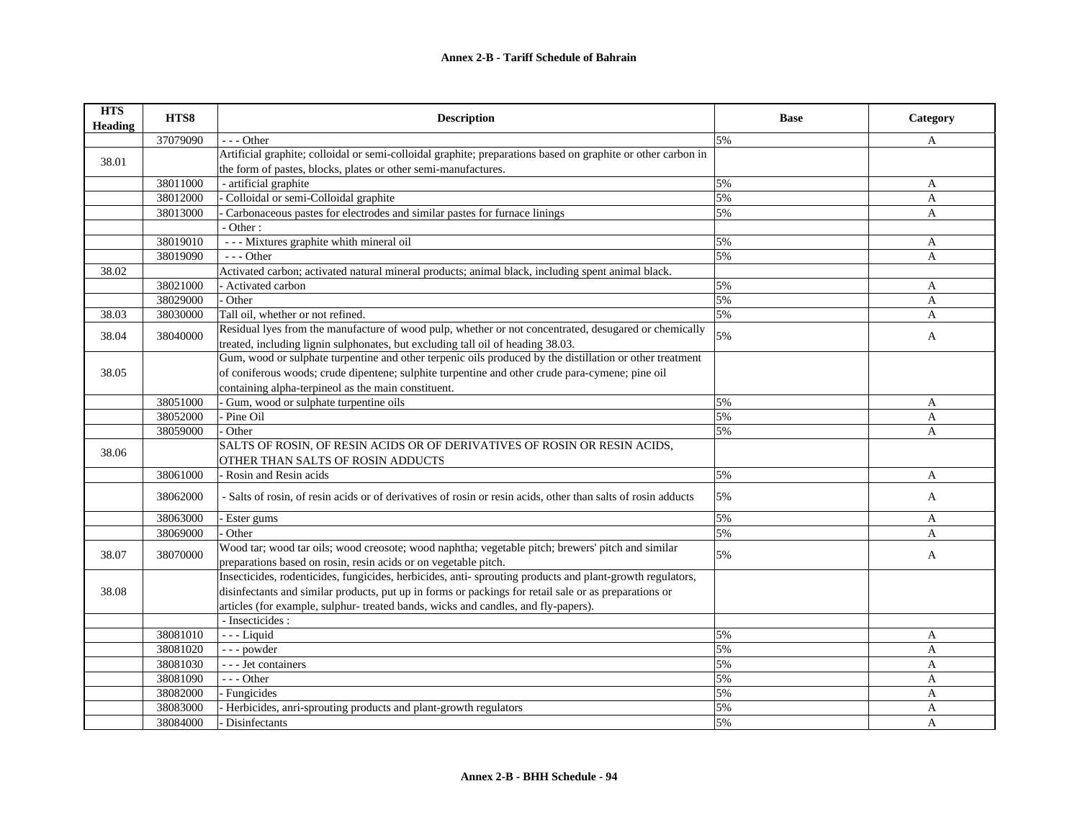| <b>HTS</b><br>Heading | HTS8     | <b>Description</b>                                                                                            | <b>Base</b> | Category     |
|-----------------------|----------|---------------------------------------------------------------------------------------------------------------|-------------|--------------|
|                       | 37079090 | $- -$ Other                                                                                                   | 5%          | A            |
| 38.01                 |          | Artificial graphite; colloidal or semi-colloidal graphite; preparations based on graphite or other carbon in  |             |              |
|                       |          | the form of pastes, blocks, plates or other semi-manufactures.                                                |             |              |
|                       | 38011000 | - artificial graphite                                                                                         | 5%          | A            |
|                       | 38012000 | Colloidal or semi-Colloidal graphite                                                                          | 5%          | A            |
|                       | 38013000 | Carbonaceous pastes for electrodes and similar pastes for furnace linings                                     | 5%          | A            |
|                       |          | - Other:                                                                                                      |             |              |
|                       | 38019010 | --- Mixtures graphite whith mineral oil                                                                       | 5%          | A            |
|                       | 38019090 | $- -$ Other                                                                                                   | 5%          | A            |
| 38.02                 |          | Activated carbon; activated natural mineral products; animal black, including spent animal black.             |             |              |
|                       | 38021000 | - Activated carbon                                                                                            | 5%          | A            |
|                       | 38029000 | Other                                                                                                         | 5%          | $\mathbf{A}$ |
| 38.03                 | 38030000 | Tall oil, whether or not refined.                                                                             | 5%          | A            |
| 38.04                 | 38040000 | Residual lyes from the manufacture of wood pulp, whether or not concentrated, desugared or chemically         | 5%          | A            |
|                       |          | treated, including lignin sulphonates, but excluding tall oil of heading 38.03.                               |             |              |
|                       |          | Gum, wood or sulphate turpentine and other terpenic oils produced by the distillation or other treatment      |             |              |
| 38.05                 |          | of coniferous woods; crude dipentene; sulphite turpentine and other crude para-cymene; pine oil               |             |              |
|                       |          | containing alpha-terpineol as the main constituent.                                                           |             |              |
|                       | 38051000 | Gum, wood or sulphate turpentine oils                                                                         | 5%          | A            |
|                       | 38052000 | - Pine Oil                                                                                                    | 5%          | A            |
|                       | 38059000 | Other                                                                                                         | 5%          | A            |
| 38.06                 |          | SALTS OF ROSIN, OF RESIN ACIDS OR OF DERIVATIVES OF ROSIN OR RESIN ACIDS,                                     |             |              |
|                       |          | OTHER THAN SALTS OF ROSIN ADDUCTS                                                                             |             |              |
|                       | 38061000 | - Rosin and Resin acids                                                                                       | 5%          | A            |
|                       | 38062000 | - Salts of rosin, of resin acids or of derivatives of rosin or resin acids, other than salts of rosin adducts | 5%          | A            |
|                       | 38063000 | Ester gums                                                                                                    | 5%          | A            |
|                       | 38069000 | Other                                                                                                         | 5%          | A            |
| 38.07                 | 38070000 | Wood tar; wood tar oils; wood creosote; wood naphtha; vegetable pitch; brewers' pitch and similar             | 5%          |              |
|                       |          | preparations based on rosin, resin acids or on vegetable pitch.                                               |             | A            |
|                       |          | Insecticides, rodenticides, fungicides, herbicides, anti-sprouting products and plant-growth regulators,      |             |              |
| 38.08                 |          | disinfectants and similar products, put up in forms or packings for retail sale or as preparations or         |             |              |
|                       |          | articles (for example, sulphur- treated bands, wicks and candles, and fly-papers).                            |             |              |
|                       |          | - Insecticides :                                                                                              |             |              |
|                       | 38081010 | $--$ Liquid                                                                                                   | 5%          | A            |
|                       | 38081020 | --- powder                                                                                                    | 5%          | A            |
|                       | 38081030 | - - - Jet containers                                                                                          | 5%          | $\mathbf{A}$ |
|                       | 38081090 | $- -$ Other                                                                                                   | 5%          | $\mathbf{A}$ |
|                       | 38082000 | - Fungicides                                                                                                  | 5%          | A            |
|                       | 38083000 | Herbicides, anri-sprouting products and plant-growth regulators                                               | 5%          | A            |
|                       | 38084000 | Disinfectants                                                                                                 | 5%          | A            |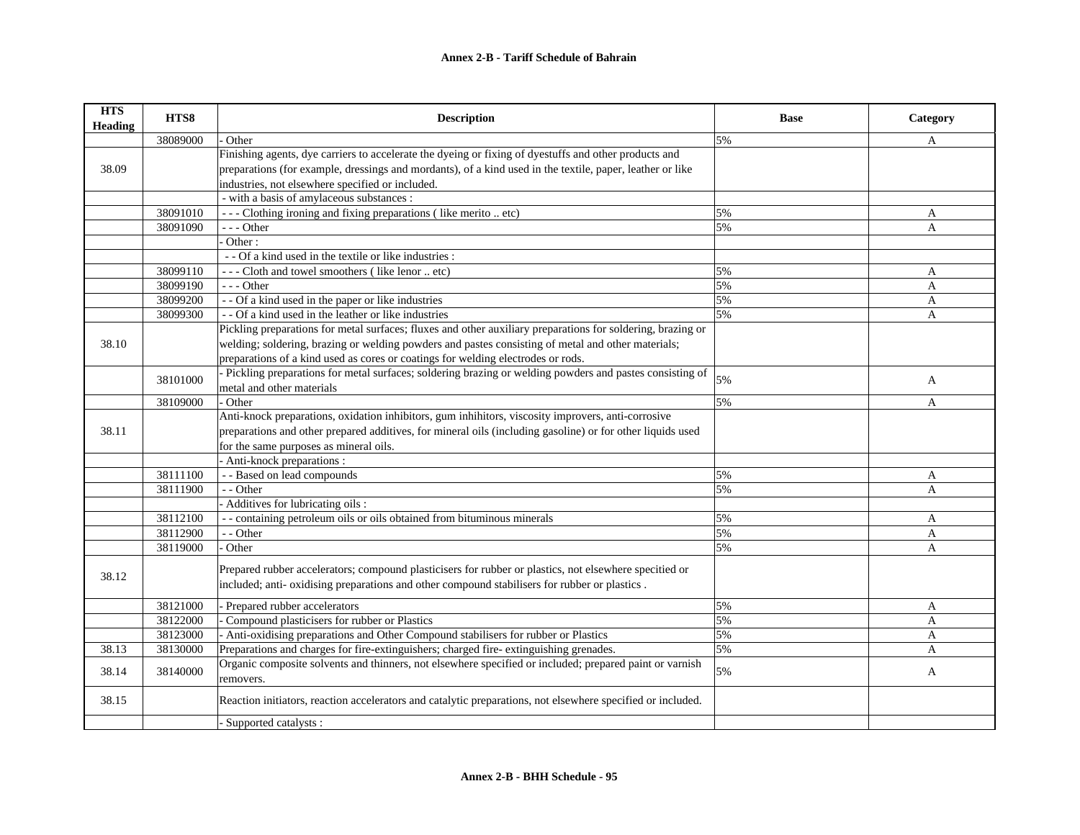| <b>HTS</b><br><b>Heading</b> | HTS8     | <b>Description</b>                                                                                          | <b>Base</b> | Category     |
|------------------------------|----------|-------------------------------------------------------------------------------------------------------------|-------------|--------------|
|                              | 38089000 | Other                                                                                                       | 5%          | A            |
|                              |          | Finishing agents, dye carriers to accelerate the dyeing or fixing of dyestuffs and other products and       |             |              |
| 38.09                        |          | preparations (for example, dressings and mordants), of a kind used in the textile, paper, leather or like   |             |              |
|                              |          | industries, not elsewhere specified or included.                                                            |             |              |
|                              |          | - with a basis of amylaceous substances :                                                                   |             |              |
|                              | 38091010 | --- Clothing ironing and fixing preparations (like merito  etc)                                             | 5%          | A            |
|                              | 38091090 | --- Other                                                                                                   | 5%          | A            |
|                              |          | Other:                                                                                                      |             |              |
|                              |          | - - Of a kind used in the textile or like industries :                                                      |             |              |
|                              | 38099110 | --- Cloth and towel smoothers (like lenor  etc)                                                             | 5%          | A            |
|                              | 38099190 | $- -$ Other                                                                                                 | 5%          | A            |
|                              | 38099200 | - - Of a kind used in the paper or like industries                                                          | 5%          | A            |
|                              | 38099300 | - - Of a kind used in the leather or like industries                                                        | 5%          | A            |
|                              |          | Pickling preparations for metal surfaces; fluxes and other auxiliary preparations for soldering, brazing or |             |              |
| 38.10                        |          | welding; soldering, brazing or welding powders and pastes consisting of metal and other materials;          |             |              |
|                              |          | preparations of a kind used as cores or coatings for welding electrodes or rods.                            |             |              |
|                              | 38101000 | - Pickling preparations for metal surfaces; soldering brazing or welding powders and pastes consisting of   | 5%          | A            |
|                              |          | metal and other materials                                                                                   |             |              |
|                              | 38109000 | Other                                                                                                       | 5%          | A            |
|                              |          | Anti-knock preparations, oxidation inhibitors, gum inhihitors, viscosity improvers, anti-corrosive          |             |              |
| 38.11                        |          | preparations and other prepared additives, for mineral oils (including gasoline) or for other liquids used  |             |              |
|                              |          | for the same purposes as mineral oils.                                                                      |             |              |
|                              |          | - Anti-knock preparations :                                                                                 |             |              |
|                              | 38111100 | - - Based on lead compounds                                                                                 | 5%          | A            |
|                              | 38111900 | - - Other                                                                                                   | 5%          | $\mathbf{A}$ |
|                              |          | Additives for lubricating oils :                                                                            |             |              |
|                              | 38112100 | - - containing petroleum oils or oils obtained from bituminous minerals                                     | 5%          | A            |
|                              | 38112900 | - - Other                                                                                                   | 5%          | A            |
|                              | 38119000 | Other                                                                                                       | 5%          | A            |
|                              |          | Prepared rubber accelerators; compound plasticisers for rubber or plastics, not elsewhere specitied or      |             |              |
| 38.12                        |          | included; anti- oxidising preparations and other compound stabilisers for rubber or plastics.               |             |              |
|                              |          |                                                                                                             |             |              |
|                              | 38121000 | Prepared rubber accelerators                                                                                | 5%          | A            |
|                              | 38122000 | Compound plasticisers for rubber or Plastics                                                                | 5%          | A            |
|                              | 38123000 | Anti-oxidising preparations and Other Compound stabilisers for rubber or Plastics                           | 5%          | $\mathbf{A}$ |
| 38.13                        | 38130000 | Preparations and charges for fire-extinguishers; charged fire-extinguishing grenades.                       | 5%          | A            |
| 38.14                        | 38140000 | Organic composite solvents and thinners, not elsewhere specified or included; prepared paint or varnish     | 5%          | A            |
|                              |          | removers.                                                                                                   |             |              |
| 38.15                        |          | Reaction initiators, reaction accelerators and catalytic preparations, not elsewhere specified or included. |             |              |
|                              |          | Supported catalysts:                                                                                        |             |              |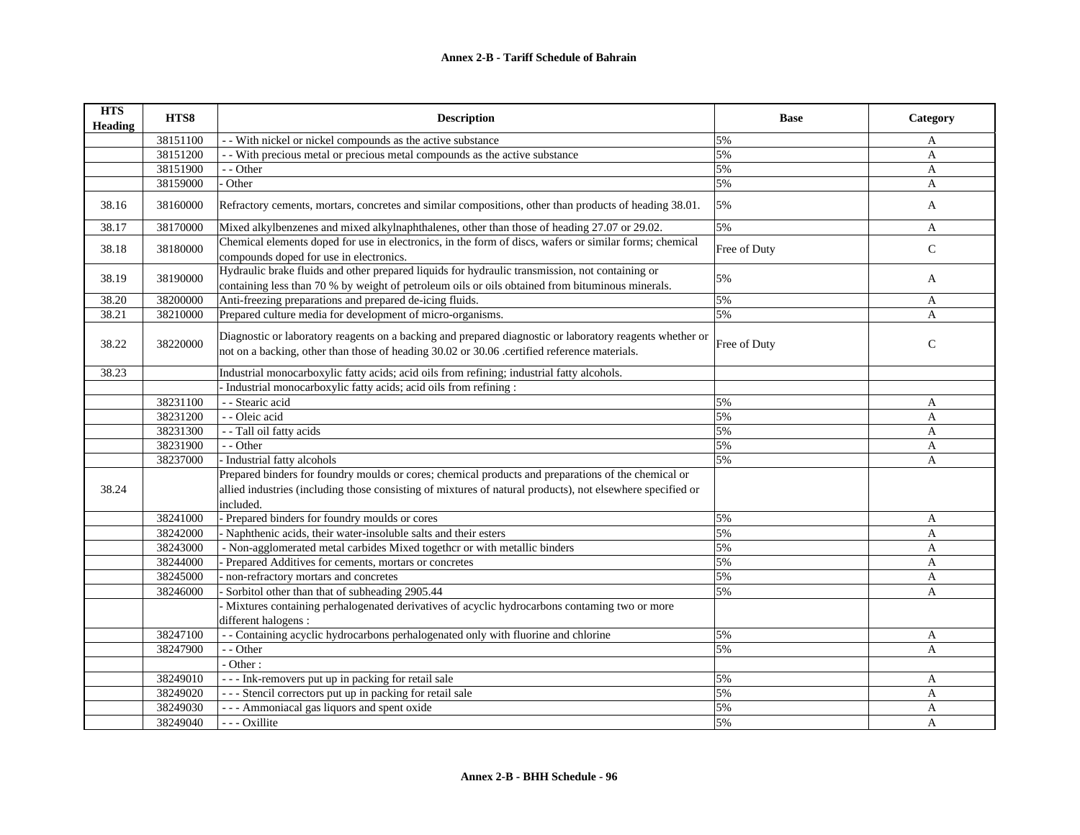| <b>HTS</b><br><b>Heading</b> | HTS8     | <b>Description</b>                                                                                                                                                                                                             | <b>Base</b>  | Category     |
|------------------------------|----------|--------------------------------------------------------------------------------------------------------------------------------------------------------------------------------------------------------------------------------|--------------|--------------|
|                              | 38151100 | - With nickel or nickel compounds as the active substance                                                                                                                                                                      | 5%           | A            |
|                              | 38151200 | - With precious metal or precious metal compounds as the active substance                                                                                                                                                      | 5%           | A            |
|                              | 38151900 | - - Other                                                                                                                                                                                                                      | 5%           | $\mathbf{A}$ |
|                              | 38159000 | Other                                                                                                                                                                                                                          | 5%           | $\mathbf{A}$ |
| 38.16                        | 38160000 | Refractory cements, mortars, concretes and similar compositions, other than products of heading 38.01.                                                                                                                         | 5%           | A            |
| 38.17                        | 38170000 | Mixed alkylbenzenes and mixed alkylnaphthalenes, other than those of heading 27.07 or 29.02.                                                                                                                                   | 5%           | A            |
| 38.18                        | 38180000 | Chemical elements doped for use in electronics, in the form of discs, wafers or similar forms; chemical<br>compounds doped for use in electronics.                                                                             | Free of Duty | $\mathsf{C}$ |
| 38.19                        | 38190000 | Hydraulic brake fluids and other prepared liquids for hydraulic transmission, not containing or<br>containing less than 70 % by weight of petroleum oils or oils obtained from bituminous minerals.                            | 5%           | A            |
| 38.20                        | 38200000 | Anti-freezing preparations and prepared de-icing fluids.                                                                                                                                                                       | 5%           | A            |
| 38.21                        | 38210000 | Prepared culture media for development of micro-organisms.                                                                                                                                                                     | 5%           | A            |
| 38.22                        | 38220000 | Diagnostic or laboratory reagents on a backing and prepared diagnostic or laboratory reagents whether or<br>not on a backing, other than those of heading 30.02 or 30.06 .certified reference materials.                       | Free of Duty | $\mathsf{C}$ |
| 38.23                        |          | Industrial monocarboxylic fatty acids; acid oils from refining; industrial fatty alcohols.                                                                                                                                     |              |              |
|                              |          | - Industrial monocarboxylic fatty acids; acid oils from refining :                                                                                                                                                             |              |              |
|                              | 38231100 | - - Stearic acid                                                                                                                                                                                                               | 5%           | A            |
|                              | 38231200 | - - Oleic acid                                                                                                                                                                                                                 | 5%           | $\mathbf{A}$ |
|                              | 38231300 | - - Tall oil fatty acids                                                                                                                                                                                                       | 5%           | A            |
|                              | 38231900 | - - Other                                                                                                                                                                                                                      | 5%           | A            |
|                              | 38237000 | - Industrial fatty alcohols                                                                                                                                                                                                    | 5%           | $\mathbf{A}$ |
| 38.24                        |          | Prepared binders for foundry moulds or cores; chemical products and preparations of the chemical or<br>allied industries (including those consisting of mixtures of natural products), not elsewhere specified or<br>included. |              |              |
|                              | 38241000 | - Prepared binders for foundry moulds or cores                                                                                                                                                                                 | 5%           | $\mathbf{A}$ |
|                              | 38242000 | - Naphthenic acids, their water-insoluble salts and their esters                                                                                                                                                               | 5%           | A            |
|                              | 38243000 | - Non-agglomerated metal carbides Mixed togethcr or with metallic binders                                                                                                                                                      | 5%           | $\mathbf{A}$ |
|                              | 38244000 | - Prepared Additives for cements, mortars or concretes                                                                                                                                                                         | 5%           | A            |
|                              | 38245000 | non-refractory mortars and concretes                                                                                                                                                                                           | 5%           | A            |
|                              | 38246000 | Sorbitol other than that of subheading 2905.44                                                                                                                                                                                 | 5%           | A            |
|                              |          | - Mixtures containing perhalogenated derivatives of acyclic hydrocarbons contaming two or more<br>different halogens :                                                                                                         |              |              |
|                              | 38247100 | - - Containing acyclic hydrocarbons perhalogenated only with fluorine and chlorine                                                                                                                                             | 5%           | A            |
|                              | 38247900 | - - Other                                                                                                                                                                                                                      | 5%           | A            |
|                              |          | - Other:                                                                                                                                                                                                                       |              |              |
|                              | 38249010 | --- Ink-removers put up in packing for retail sale                                                                                                                                                                             | 5%           | A            |
|                              | 38249020 | --- Stencil correctors put up in packing for retail sale                                                                                                                                                                       | 5%           | $\mathbf{A}$ |
|                              | 38249030 | --- Ammoniacal gas liquors and spent oxide                                                                                                                                                                                     | 5%           | $\mathbf{A}$ |
|                              | 38249040 | --- Oxillite                                                                                                                                                                                                                   | 5%           | $\mathbf{A}$ |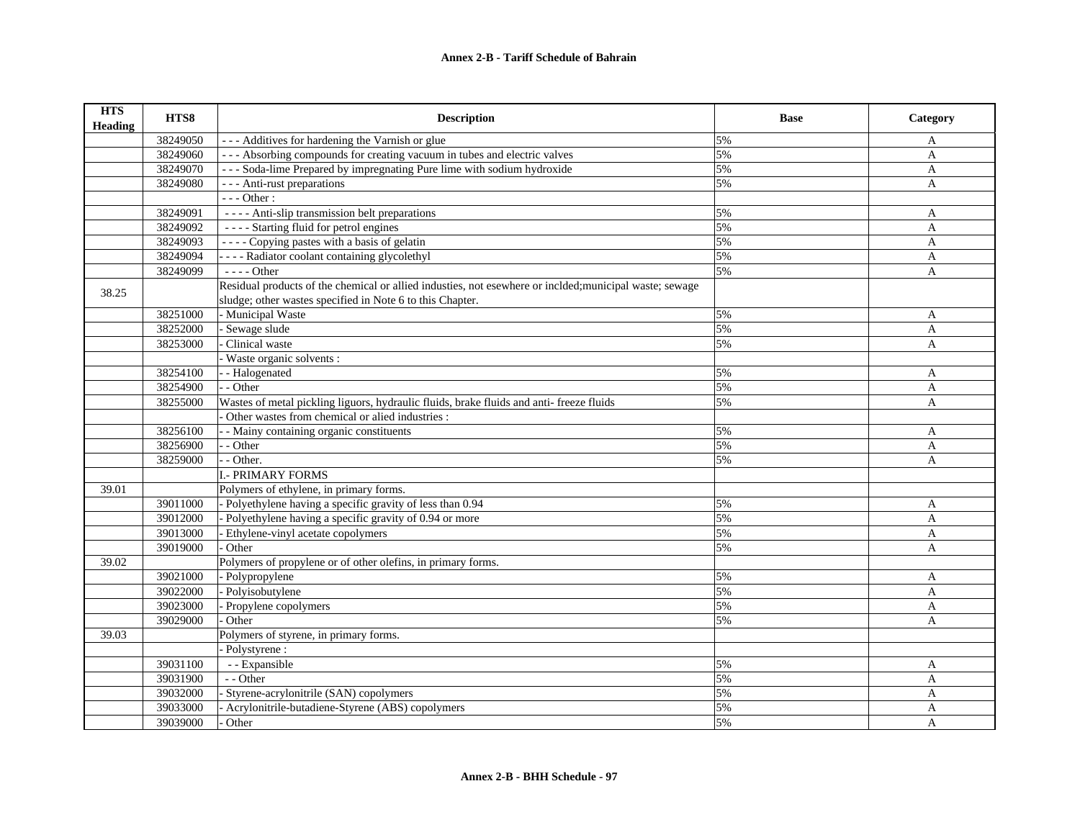| <b>HTS</b><br><b>Heading</b> | HTS8     | <b>Description</b>                                                                                      | <b>Base</b> | Category     |
|------------------------------|----------|---------------------------------------------------------------------------------------------------------|-------------|--------------|
|                              | 38249050 | --- Additives for hardening the Varnish or glue                                                         | 5%          | A            |
|                              | 38249060 | --- Absorbing compounds for creating vacuum in tubes and electric valves                                | 5%          | A            |
|                              | 38249070 | --- Soda-lime Prepared by impregnating Pure lime with sodium hydroxide                                  | 5%          | $\mathbf{A}$ |
|                              | 38249080 | - - - Anti-rust preparations                                                                            | 5%          | A            |
|                              |          | $--- Other:$                                                                                            |             |              |
|                              | 38249091 | ---- Anti-slip transmission belt preparations                                                           | 5%          | A            |
|                              | 38249092 | ---- Starting fluid for petrol engines                                                                  | 5%          | $\mathbf{A}$ |
|                              | 38249093 | ---- Copying pastes with a basis of gelatin                                                             | 5%          | $\mathbf{A}$ |
|                              | 38249094 | - - - - Radiator coolant containing glycolethyl                                                         | 5%          | A            |
|                              | 38249099 | $--- Other$                                                                                             | 5%          | A            |
| 38.25                        |          | Residual products of the chemical or allied industies, not esewhere or inclded; municipal waste; sewage |             |              |
|                              |          | sludge; other wastes specified in Note 6 to this Chapter.                                               |             |              |
|                              | 38251000 | - Municipal Waste                                                                                       | 5%          | A            |
|                              | 38252000 | Sewage slude                                                                                            | 5%          | $\mathbf{A}$ |
|                              | 38253000 | Clinical waste                                                                                          | 5%          | A            |
|                              |          | Waste organic solvents :                                                                                |             |              |
|                              | 38254100 | - Halogenated                                                                                           | 5%          | A            |
|                              | 38254900 | - - Other                                                                                               | 5%          | A            |
|                              | 38255000 | Wastes of metal pickling liguors, hydraulic fluids, brake fluids and anti-freeze fluids                 | 5%          | A            |
|                              |          | Other wastes from chemical or alied industries :                                                        |             |              |
|                              | 38256100 | - Mainy containing organic constituents                                                                 | 5%          | A            |
|                              | 38256900 | - Other                                                                                                 | 5%          | $\mathbf{A}$ |
|                              | 38259000 | $-$ - Other.                                                                                            | 5%          | $\mathbf{A}$ |
|                              |          | <b>I.- PRIMARY FORMS</b>                                                                                |             |              |
| 39.01                        |          | Polymers of ethylene, in primary forms.                                                                 |             |              |
|                              | 39011000 | - Polyethylene having a specific gravity of less than 0.94                                              | 5%          | A            |
|                              | 39012000 | Polyethylene having a specific gravity of 0.94 or more                                                  | 5%          | A            |
|                              | 39013000 | Ethylene-vinyl acetate copolymers                                                                       | 5%          | A            |
|                              | 39019000 | Other                                                                                                   | 5%          | A            |
| 39.02                        |          | Polymers of propylene or of other olefins, in primary forms.                                            |             |              |
|                              | 39021000 | - Polypropylene                                                                                         | 5%          | A            |
|                              | 39022000 | Polyisobutylene                                                                                         | 5%          | A            |
|                              | 39023000 | Propylene copolymers                                                                                    | 5%          | A            |
|                              | 39029000 | Other                                                                                                   | 5%          | A            |
| 39.03                        |          | Polymers of styrene, in primary forms.                                                                  |             |              |
|                              |          | - Polystyrene :                                                                                         |             |              |
|                              | 39031100 | - - Expansible                                                                                          | 5%          | A            |
|                              | 39031900 | - - Other                                                                                               | 5%          | A            |
|                              | 39032000 | Styrene-acrylonitrile (SAN) copolymers                                                                  | 5%          | A            |
|                              | 39033000 | Acrylonitrile-butadiene-Styrene (ABS) copolymers                                                        | 5%          | A            |
|                              | 39039000 | Other                                                                                                   | 5%          | $\mathbf{A}$ |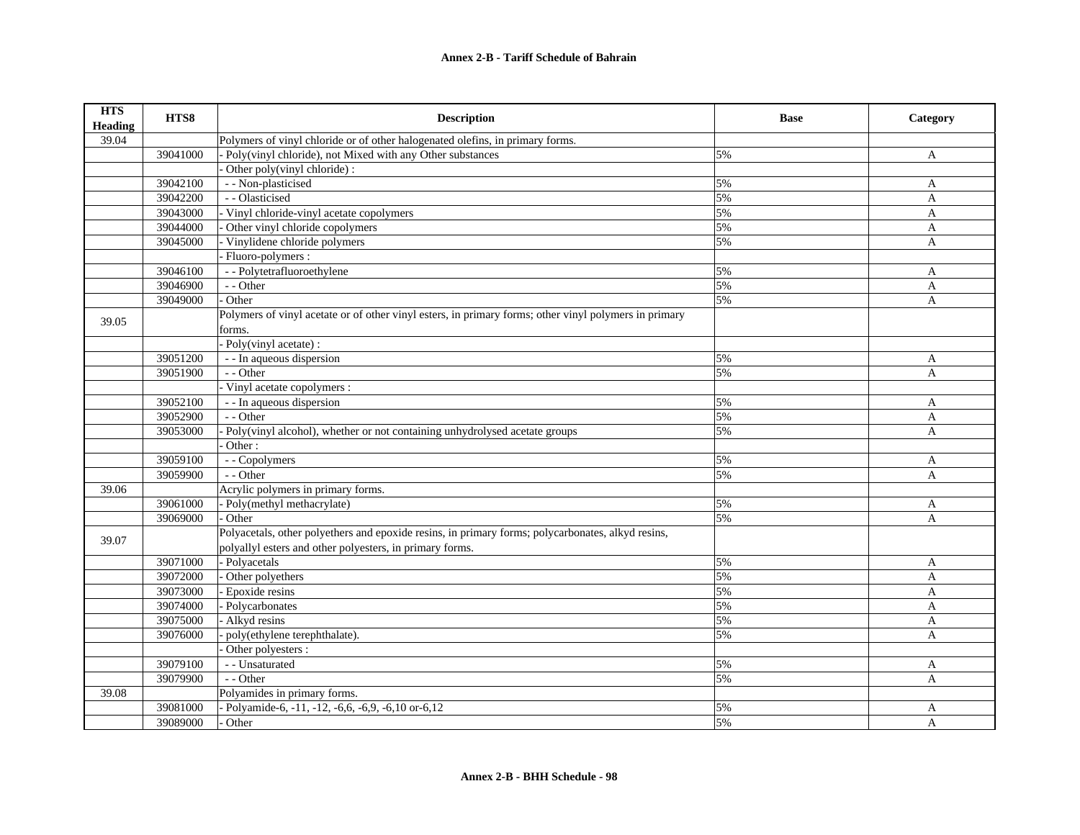| <b>HTS</b><br><b>Heading</b> | HTS8     | <b>Description</b>                                                                                    | <b>Base</b> | Category     |
|------------------------------|----------|-------------------------------------------------------------------------------------------------------|-------------|--------------|
| 39.04                        |          | Polymers of vinyl chloride or of other halogenated olefins, in primary forms.                         |             |              |
|                              | 39041000 | Poly(vinyl chloride), not Mixed with any Other substances                                             | 5%          | A            |
|                              |          | Other poly(vinyl chloride):                                                                           |             |              |
|                              | 39042100 | - - Non-plasticised                                                                                   | 5%          | A            |
|                              | 39042200 | - - Olasticised                                                                                       | 5%          | A            |
|                              | 39043000 | - Vinyl chloride-vinyl acetate copolymers                                                             | 5%          | A            |
|                              | 39044000 | Other vinyl chloride copolymers                                                                       | 5%          | A            |
|                              | 39045000 | Vinylidene chloride polymers                                                                          | 5%          | A            |
|                              |          | Fluoro-polymers:                                                                                      |             |              |
|                              | 39046100 | - - Polytetrafluoroethylene                                                                           | 5%          | A            |
|                              | 39046900 | - - Other                                                                                             | 5%          | A            |
|                              | 39049000 | Other                                                                                                 | 5%          | A            |
| 39.05                        |          | Polymers of vinyl acetate or of other vinyl esters, in primary forms; other vinyl polymers in primary |             |              |
|                              |          | forms.                                                                                                |             |              |
|                              |          | Poly(vinyl acetate):                                                                                  |             |              |
|                              | 39051200 | - - In aqueous dispersion                                                                             | 5%          | A            |
|                              | 39051900 | - - Other                                                                                             | 5%          | $\mathbf{A}$ |
|                              |          | Vinyl acetate copolymers :                                                                            |             |              |
|                              | 39052100 | - - In aqueous dispersion                                                                             | 5%          | A            |
|                              | 39052900 | - - Other                                                                                             | 5%          | A            |
|                              | 39053000 | Poly(vinyl alcohol), whether or not containing unhydrolysed acetate groups                            | 5%          | $\mathbf{A}$ |
|                              |          | Other:                                                                                                |             |              |
|                              | 39059100 | - - Copolymers                                                                                        | 5%          | A            |
|                              | 39059900 | - - Other                                                                                             | 5%          | A            |
| 39.06                        |          | Acrylic polymers in primary forms.                                                                    |             |              |
|                              | 39061000 | - Poly(methyl methacrylate)                                                                           | 5%          | A            |
|                              | 39069000 | Other                                                                                                 | 5%          | A            |
| 39.07                        |          | Polyacetals, other polyethers and epoxide resins, in primary forms; polycarbonates, alkyd resins,     |             |              |
|                              |          | polyallyl esters and other polyesters, in primary forms.                                              |             |              |
|                              | 39071000 | - Polyacetals                                                                                         | 5%          | A            |
|                              | 39072000 | Other polyethers                                                                                      | 5%          | A            |
|                              | 39073000 | - Epoxide resins                                                                                      | 5%          | A            |
|                              | 39074000 | - Polycarbonates                                                                                      | 5%          | A            |
|                              | 39075000 | Alkyd resins                                                                                          | 5%          | $\mathbf{A}$ |
|                              | 39076000 | poly(ethylene terephthalate).                                                                         | 5%          | A            |
|                              |          | Other polyesters :                                                                                    |             |              |
|                              | 39079100 | - - Unsaturated                                                                                       | 5%          | A            |
|                              | 39079900 | $-$ - Other                                                                                           | 5%          | A            |
| 39.08                        |          | Polyamides in primary forms.                                                                          |             |              |
|                              | 39081000 | Polyamide-6, -11, -12, -6,6, -6,9, -6,10 or-6,12                                                      | 5%          | A            |
|                              | 39089000 | Other                                                                                                 | 5%          | A            |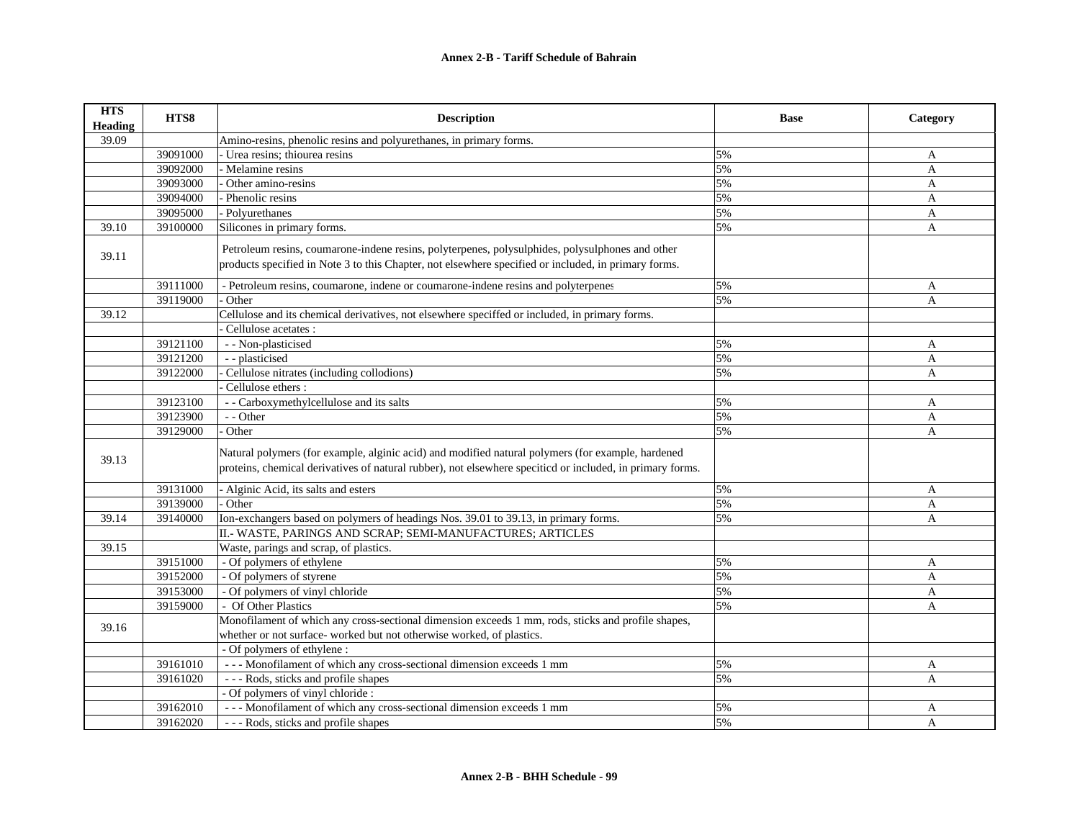| <b>HTS</b><br><b>Heading</b> | HTS8     | <b>Description</b>                                                                                                                                                                                                                                                                           | <b>Base</b> | Category     |
|------------------------------|----------|----------------------------------------------------------------------------------------------------------------------------------------------------------------------------------------------------------------------------------------------------------------------------------------------|-------------|--------------|
| 39.09                        |          | Amino-resins, phenolic resins and polyurethanes, in primary forms.                                                                                                                                                                                                                           |             |              |
|                              | 39091000 | Urea resins: thiourea resins                                                                                                                                                                                                                                                                 | 5%          | A            |
|                              | 39092000 | - Melamine resins                                                                                                                                                                                                                                                                            | 5%          | $\mathbf{A}$ |
|                              | 39093000 | Other amino-resins                                                                                                                                                                                                                                                                           | 5%          | $\mathbf{A}$ |
|                              | 39094000 | - Phenolic resins                                                                                                                                                                                                                                                                            | 5%          | A            |
|                              | 39095000 | - Polyurethanes                                                                                                                                                                                                                                                                              | 5%          | A            |
| 39.10                        | 39100000 | Silicones in primary forms.                                                                                                                                                                                                                                                                  | 5%          | $\mathbf{A}$ |
| 39.11                        | 39111000 | Petroleum resins, coumarone-indene resins, polyterpenes, polysulphides, polysulphones and other<br>products specified in Note 3 to this Chapter, not elsewhere specified or included, in primary forms.<br>- Petroleum resins, coumarone, indene or coumarone-indene resins and polyterpenes | 5%          | A            |
|                              | 39119000 | Other                                                                                                                                                                                                                                                                                        | 5%          | A            |
| 39.12                        |          | Cellulose and its chemical derivatives, not elsewhere speciffed or included, in primary forms.                                                                                                                                                                                               |             |              |
|                              |          | Cellulose acetates :                                                                                                                                                                                                                                                                         |             |              |
|                              | 39121100 | - - Non-plasticised                                                                                                                                                                                                                                                                          | 5%          | A            |
|                              | 39121200 | - - plasticised                                                                                                                                                                                                                                                                              | 5%          | A            |
|                              | 39122000 | Cellulose nitrates (including collodions)                                                                                                                                                                                                                                                    | 5%          | A            |
|                              |          | Cellulose ethers:                                                                                                                                                                                                                                                                            |             |              |
|                              | 39123100 | - - Carboxymethylcellulose and its salts                                                                                                                                                                                                                                                     | 5%          | A            |
|                              | 39123900 | - - Other                                                                                                                                                                                                                                                                                    | 5%          | $\mathbf{A}$ |
|                              | 39129000 | - Other                                                                                                                                                                                                                                                                                      | 5%          | $\mathbf{A}$ |
| 39.13                        |          | Natural polymers (for example, alginic acid) and modified natural polymers (for example, hardened<br>proteins, chemical derivatives of natural rubber), not elsewhere speciticd or included, in primary forms.                                                                               |             |              |
|                              | 39131000 | - Alginic Acid, its salts and esters                                                                                                                                                                                                                                                         | 5%          | A            |
|                              | 39139000 | - Other                                                                                                                                                                                                                                                                                      | 5%          | A            |
| 39.14                        | 39140000 | Ion-exchangers based on polymers of headings Nos. 39.01 to 39.13, in primary forms.                                                                                                                                                                                                          | 5%          | A            |
|                              |          | II.- WASTE, PARINGS AND SCRAP; SEMI-MANUFACTURES; ARTICLES                                                                                                                                                                                                                                   |             |              |
| 39.15                        |          | Waste, parings and scrap, of plastics.                                                                                                                                                                                                                                                       |             |              |
|                              | 39151000 | - Of polymers of ethylene                                                                                                                                                                                                                                                                    | 5%          | A            |
|                              | 39152000 | - Of polymers of styrene                                                                                                                                                                                                                                                                     | 5%          | $\mathbf{A}$ |
|                              | 39153000 | - Of polymers of vinyl chloride                                                                                                                                                                                                                                                              | 5%          | A            |
|                              | 39159000 | - Of Other Plastics                                                                                                                                                                                                                                                                          | 5%          | $\mathbf{A}$ |
| 39.16                        |          | Monofilament of which any cross-sectional dimension exceeds 1 mm, rods, sticks and profile shapes,                                                                                                                                                                                           |             |              |
|                              |          | whether or not surface- worked but not otherwise worked, of plastics.                                                                                                                                                                                                                        |             |              |
|                              |          | - Of polymers of ethylene :                                                                                                                                                                                                                                                                  |             |              |
|                              | 39161010 | --- Monofilament of which any cross-sectional dimension exceeds 1 mm                                                                                                                                                                                                                         | 5%          | A            |
|                              | 39161020 | --- Rods, sticks and profile shapes                                                                                                                                                                                                                                                          | 5%          | $\mathbf{A}$ |
|                              |          | - Of polymers of vinyl chloride :                                                                                                                                                                                                                                                            |             |              |
|                              | 39162010 | --- Monofilament of which any cross-sectional dimension exceeds 1 mm                                                                                                                                                                                                                         | 5%          | A            |
|                              | 39162020 | --- Rods, sticks and profile shapes                                                                                                                                                                                                                                                          | 5%          | A            |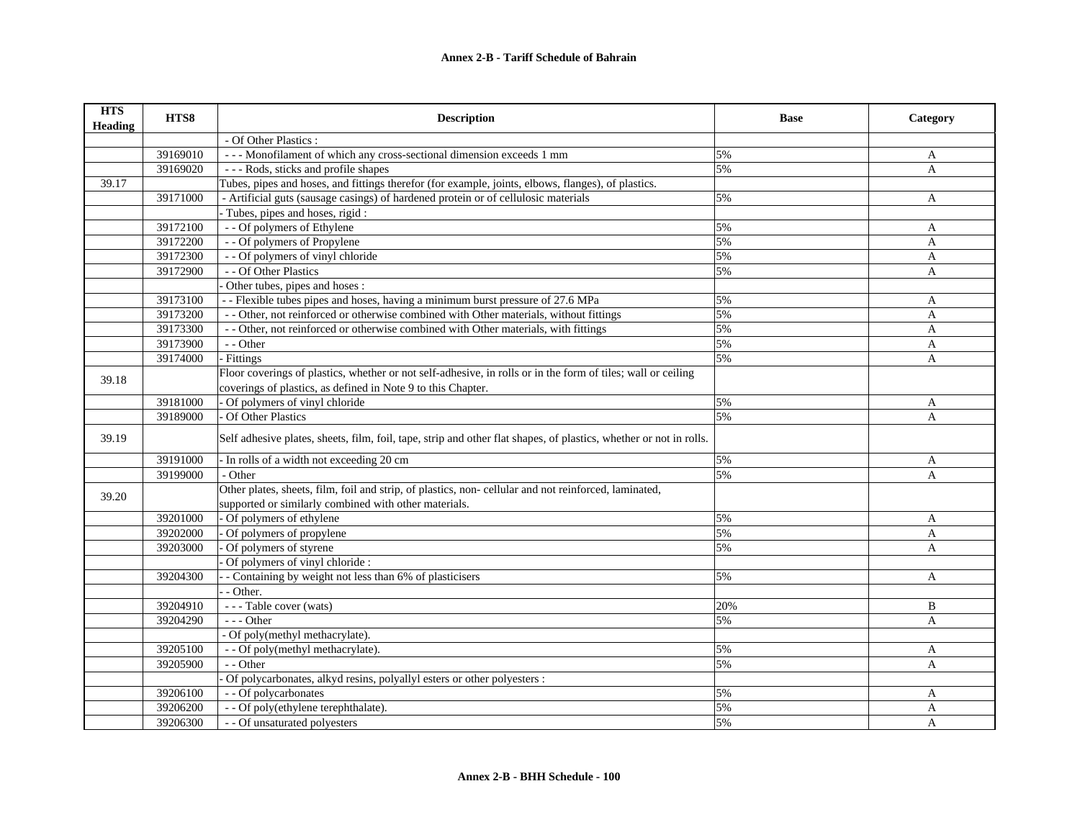| <b>HTS</b><br><b>Heading</b> | HTS8     | <b>Description</b>                                                                                                 | <b>Base</b> | Category     |
|------------------------------|----------|--------------------------------------------------------------------------------------------------------------------|-------------|--------------|
|                              |          | - Of Other Plastics :                                                                                              |             |              |
|                              | 39169010 | --- Monofilament of which any cross-sectional dimension exceeds 1 mm                                               | 5%          | A            |
|                              | 39169020 | --- Rods, sticks and profile shapes                                                                                | 5%          | $\mathbf{A}$ |
| 39.17                        |          | Tubes, pipes and hoses, and fittings therefor (for example, joints, elbows, flanges), of plastics.                 |             |              |
|                              | 39171000 | - Artificial guts (sausage casings) of hardened protein or of cellulosic materials                                 | 5%          | A            |
|                              |          | Tubes, pipes and hoses, rigid:                                                                                     |             |              |
|                              | 39172100 | - - Of polymers of Ethylene                                                                                        | 5%          | A            |
|                              | 39172200 | - - Of polymers of Propylene                                                                                       | 5%          | A            |
|                              | 39172300 | - - Of polymers of vinyl chloride                                                                                  | 5%          | A            |
|                              | 39172900 | - - Of Other Plastics                                                                                              | 5%          | A            |
|                              |          | Other tubes, pipes and hoses :                                                                                     |             |              |
|                              | 39173100 | - - Flexible tubes pipes and hoses, having a minimum burst pressure of 27.6 MPa                                    | 5%          | A            |
|                              | 39173200 | - Other, not reinforced or otherwise combined with Other materials, without fittings                               | 5%          | A            |
|                              | 39173300 | - - Other, not reinforced or otherwise combined with Other materials, with fittings                                | 5%          | $\mathbf{A}$ |
|                              | 39173900 | - - Other                                                                                                          | 5%          | A            |
|                              | 39174000 | - Fittings                                                                                                         | 5%          | A            |
| 39.18                        |          | Floor coverings of plastics, whether or not self-adhesive, in rolls or in the form of tiles; wall or ceiling       |             |              |
|                              |          | coverings of plastics, as defined in Note 9 to this Chapter.                                                       |             |              |
|                              | 39181000 | Of polymers of vinyl chloride                                                                                      | 5%          | A            |
|                              | 39189000 | Of Other Plastics                                                                                                  | 5%          | A            |
| 39.19                        |          | Self adhesive plates, sheets, film, foil, tape, strip and other flat shapes, of plastics, whether or not in rolls. |             |              |
|                              | 39191000 | In rolls of a width not exceeding 20 cm                                                                            | 5%          | A            |
|                              | 39199000 | - Other                                                                                                            | 5%          | A            |
|                              |          | Other plates, sheets, film, foil and strip, of plastics, non-cellular and not reinforced, laminated,               |             |              |
| 39.20                        |          | supported or similarly combined with other materials.                                                              |             |              |
|                              | 39201000 | Of polymers of ethylene                                                                                            | 5%          | A            |
|                              | 39202000 | Of polymers of propylene                                                                                           | 5%          | A            |
|                              | 39203000 | Of polymers of styrene                                                                                             | 5%          | A            |
|                              |          | Of polymers of vinyl chloride :                                                                                    |             |              |
|                              | 39204300 | - Containing by weight not less than 6% of plasticisers                                                            | 5%          | A            |
|                              |          | - Other.                                                                                                           |             |              |
|                              | 39204910 | --- Table cover (wats)                                                                                             | 20%         | B            |
|                              | 39204290 | $- -$ Other                                                                                                        | 5%          | A            |
|                              |          | - Of poly(methyl methacrylate).                                                                                    |             |              |
|                              | 39205100 | - - Of poly(methyl methacrylate).                                                                                  | 5%          | A            |
|                              | 39205900 | - - Other                                                                                                          | 5%          | A            |
|                              |          | Of polycarbonates, alkyd resins, polyallyl esters or other polyesters :                                            |             |              |
|                              | 39206100 | - - Of polycarbonates                                                                                              | 5%          | A            |
|                              | 39206200 | - - Of poly(ethylene terephthalate).                                                                               | 5%          | A            |
|                              | 39206300 | - - Of unsaturated polyesters                                                                                      | 5%          | A            |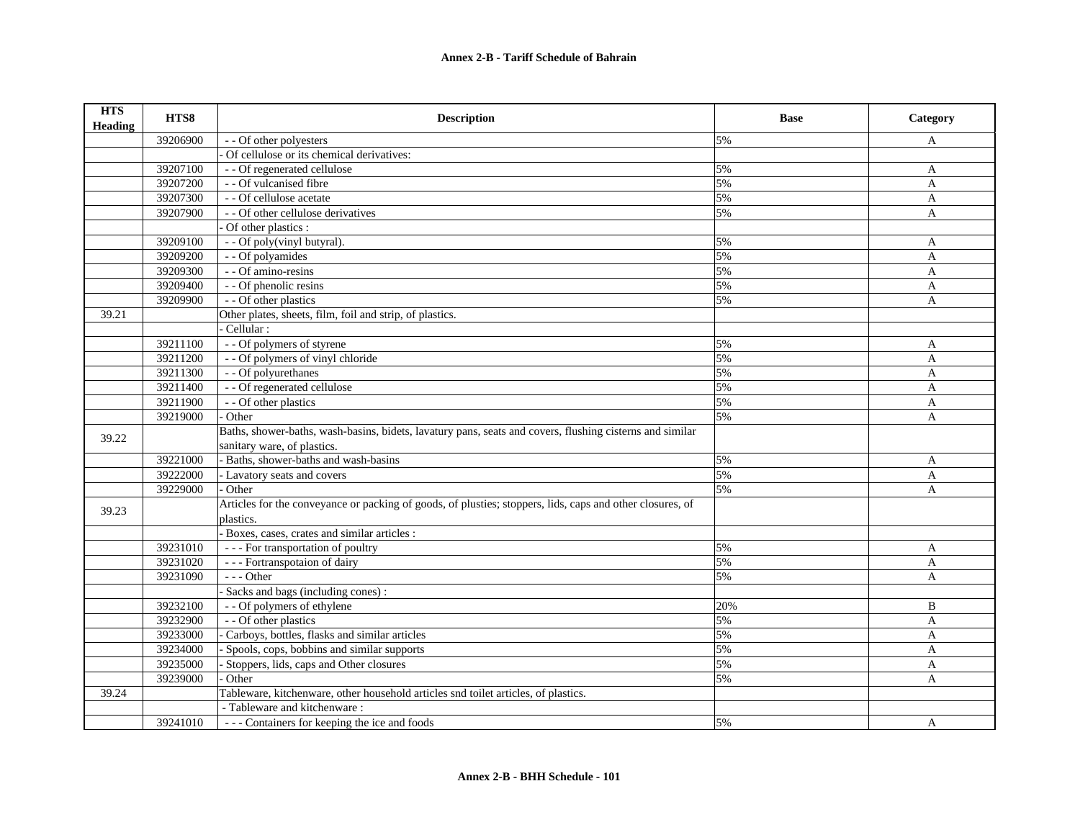| <b>HTS</b><br><b>Heading</b> | HTS8     | <b>Description</b>                                                                                        | <b>Base</b> | Category     |
|------------------------------|----------|-----------------------------------------------------------------------------------------------------------|-------------|--------------|
|                              | 39206900 | - - Of other polyesters                                                                                   | 5%          | A            |
|                              |          | Of cellulose or its chemical derivatives:                                                                 |             |              |
|                              | 39207100 | - - Of regenerated cellulose                                                                              | 5%          | A            |
|                              | 39207200 | - - Of vulcanised fibre                                                                                   | 5%          | A            |
|                              | 39207300 | - - Of cellulose acetate                                                                                  | 5%          | $\mathbf{A}$ |
|                              | 39207900 | - - Of other cellulose derivatives                                                                        | 5%          | A            |
|                              |          | Of other plastics :                                                                                       |             |              |
|                              | 39209100 | - - Of poly(vinyl butyral).                                                                               | 5%          | A            |
|                              | 39209200 | - - Of polyamides                                                                                         | 5%          | A            |
|                              | 39209300 | - - Of amino-resins                                                                                       | 5%          | A            |
|                              | 39209400 | - - Of phenolic resins                                                                                    | 5%          | $\mathbf{A}$ |
|                              | 39209900 | - - Of other plastics                                                                                     | 5%          | $\mathbf{A}$ |
| 39.21                        |          | Other plates, sheets, film, foil and strip, of plastics.                                                  |             |              |
|                              |          | Cellular:                                                                                                 |             |              |
|                              | 39211100 | - - Of polymers of styrene                                                                                | 5%          | A            |
|                              | 39211200 | - - Of polymers of vinyl chloride                                                                         | 5%          | A            |
|                              | 39211300 | - - Of polyurethanes                                                                                      | 5%          | A            |
|                              | 39211400 | - - Of regenerated cellulose                                                                              | 5%          | A            |
|                              | 39211900 | - - Of other plastics                                                                                     | 5%          | A            |
|                              | 39219000 | Other                                                                                                     | 5%          | A            |
| 39.22                        |          | Baths, shower-baths, wash-basins, bidets, lavatury pans, seats and covers, flushing cisterns and similar  |             |              |
|                              |          | sanitary ware, of plastics.                                                                               |             |              |
|                              | 39221000 | Baths, shower-baths and wash-basins                                                                       | 5%          | A            |
|                              | 39222000 | - Lavatory seats and covers                                                                               | 5%          | A            |
|                              | 39229000 | Other                                                                                                     | 5%          | A            |
| 39.23                        |          | Articles for the conveyance or packing of goods, of plusties; stoppers, lids, caps and other closures, of |             |              |
|                              |          | plastics.                                                                                                 |             |              |
|                              |          | Boxes, cases, crates and similar articles :                                                               |             |              |
|                              | 39231010 | --- For transportation of poultry                                                                         | 5%          | A            |
|                              | 39231020 | --- Fortranspotaion of dairy                                                                              | 5%          | $\mathbf{A}$ |
|                              | 39231090 | $- -$ Other                                                                                               | 5%          | $\mathbf{A}$ |
|                              |          | Sacks and bags (including cones):                                                                         |             |              |
|                              | 39232100 | - - Of polymers of ethylene                                                                               | 20%         | B            |
|                              | 39232900 | - - Of other plastics                                                                                     | 5%          | $\mathbf{A}$ |
|                              | 39233000 | Carboys, bottles, flasks and similar articles                                                             | 5%          | A            |
|                              | 39234000 | Spools, cops, bobbins and similar supports                                                                | 5%          | A            |
|                              | 39235000 | Stoppers, lids, caps and Other closures                                                                   | 5%          | A            |
|                              | 39239000 | Other                                                                                                     | 5%          | A            |
| 39.24                        |          | Tableware, kitchenware, other household articles snd toilet articles, of plastics.                        |             |              |
|                              |          | - Tableware and kitchenware:                                                                              |             |              |
|                              | 39241010 | ---Containers for keeping the ice and foods                                                               | 5%          | A            |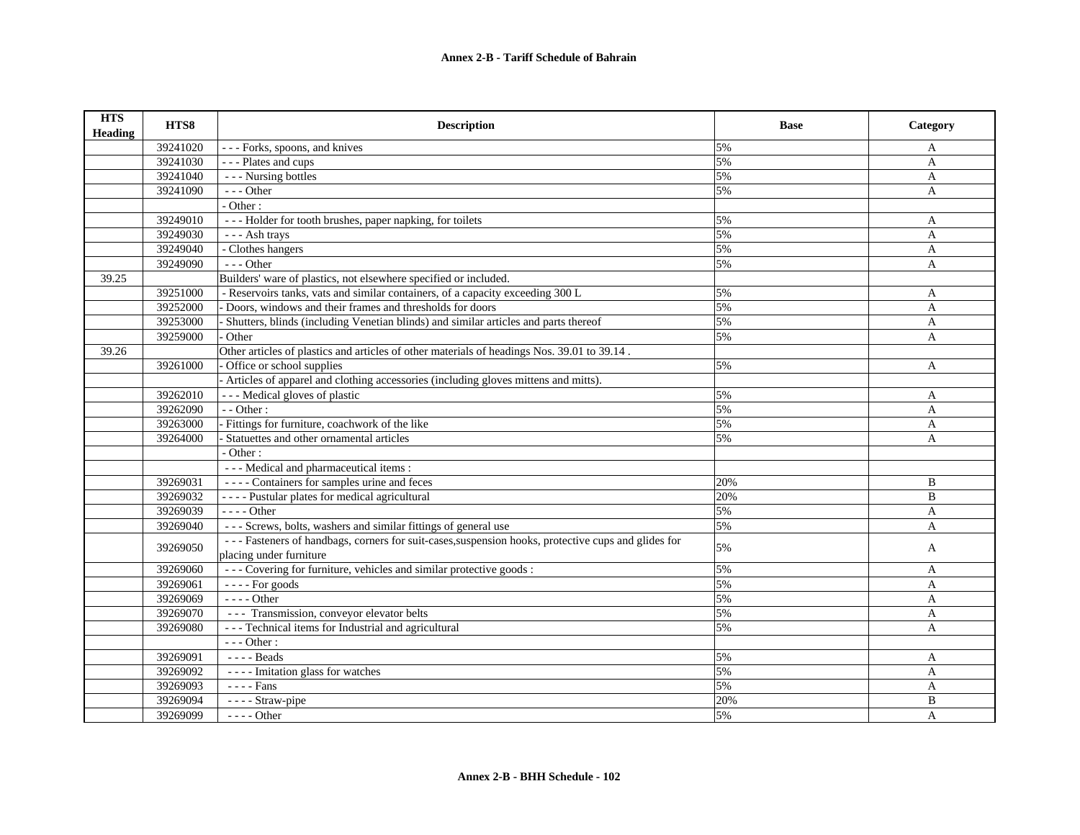| <b>HTS</b><br><b>Heading</b> | HTS8                 | <b>Description</b>                                                                                  | <b>Base</b> | Category          |
|------------------------------|----------------------|-----------------------------------------------------------------------------------------------------|-------------|-------------------|
|                              | 39241020             | --- Forks, spoons, and knives                                                                       | 5%          | A                 |
|                              | 39241030             | - - - Plates and cups                                                                               | 5%          | A                 |
|                              | 39241040             | --- Nursing bottles                                                                                 | 5%          | A                 |
|                              | 39241090             | $--- Other$                                                                                         | 5%          | A                 |
|                              |                      | - Other:                                                                                            |             |                   |
|                              | 39249010             | --- Holder for tooth brushes, paper napking, for toilets                                            | 5%          | A                 |
|                              | 39249030             | --- Ash trays                                                                                       | 5%          | A                 |
|                              | 39249040             | - Clothes hangers                                                                                   | 5%          | A                 |
|                              | 39249090             | $- -$ Other                                                                                         | 5%          | A                 |
| 39.25                        |                      | Builders' ware of plastics, not elsewhere specified or included.                                    |             |                   |
|                              | 39251000             | - Reservoirs tanks, vats and similar containers, of a capacity exceeding 300 L                      | 5%          | $\mathbf{A}$      |
|                              | 39252000             | - Doors, windows and their frames and thresholds for doors                                          | 5%          | $\mathbf{A}$      |
|                              | 39253000             | Shutters, blinds (including Venetian blinds) and similar articles and parts thereof                 | 5%          | A                 |
|                              | 39259000             | Other                                                                                               | 5%          | $\mathbf{A}$      |
| 39.26                        |                      | Other articles of plastics and articles of other materials of headings Nos. 39.01 to 39.14.         |             |                   |
|                              | 39261000             | Office or school supplies                                                                           | 5%          | A                 |
|                              |                      | Articles of apparel and clothing accessories (including gloves mittens and mitts).                  |             |                   |
|                              | 39262010             | --- Medical gloves of plastic                                                                       | 5%          | A                 |
|                              | 39262090             | $-$ - Other :                                                                                       | 5%          | A                 |
|                              | 39263000             | - Fittings for furniture, coachwork of the like                                                     | 5%          | A                 |
|                              | 39264000             | Statuettes and other ornamental articles                                                            | 5%          | A                 |
|                              |                      | - Other:                                                                                            |             |                   |
|                              |                      | - - - Medical and pharmaceutical items :                                                            |             |                   |
|                              | 39269031             | ---- Containers for samples urine and feces                                                         | 20%         | B                 |
|                              | 39269032             | ---- Pustular plates for medical agricultural                                                       | 20%         | B                 |
|                              | 39269039             | $--- Other$                                                                                         | 5%          | A                 |
|                              | 39269040             | --- Screws, bolts, washers and similar fittings of general use                                      | 5%          | A                 |
|                              | 39269050             | --- Fasteners of handbags, corners for suit-cases, suspension hooks, protective cups and glides for | 5%          | A                 |
|                              |                      | placing under furniture<br>--- Covering for furniture, vehicles and similar protective goods :      | 5%          |                   |
|                              | 39269060<br>39269061 | $---$ For goods                                                                                     | 5%          | A<br>$\mathbf{A}$ |
|                              |                      |                                                                                                     |             |                   |
|                              | 39269069             | - - - - Other                                                                                       | 5%          | A                 |
|                              | 39269070             | --- Transmission, conveyor elevator belts                                                           | 5%          | A                 |
|                              | 39269080             | --- Technical items for Industrial and agricultural                                                 | 5%          | A                 |
|                              |                      | $--$ Other:                                                                                         |             |                   |
|                              | 39269091             | $---$ Beads                                                                                         | 5%          | A                 |
|                              | 39269092             | ---- Imitation glass for watches                                                                    | 5%          | $\mathbf{A}$      |
|                              | 39269093             | - - - - Fans                                                                                        | 5%          | A                 |
|                              | 39269094             | - - - - Straw-pipe                                                                                  | 20%         | B                 |
|                              | 39269099             | - - - - Other                                                                                       | 5%          | A                 |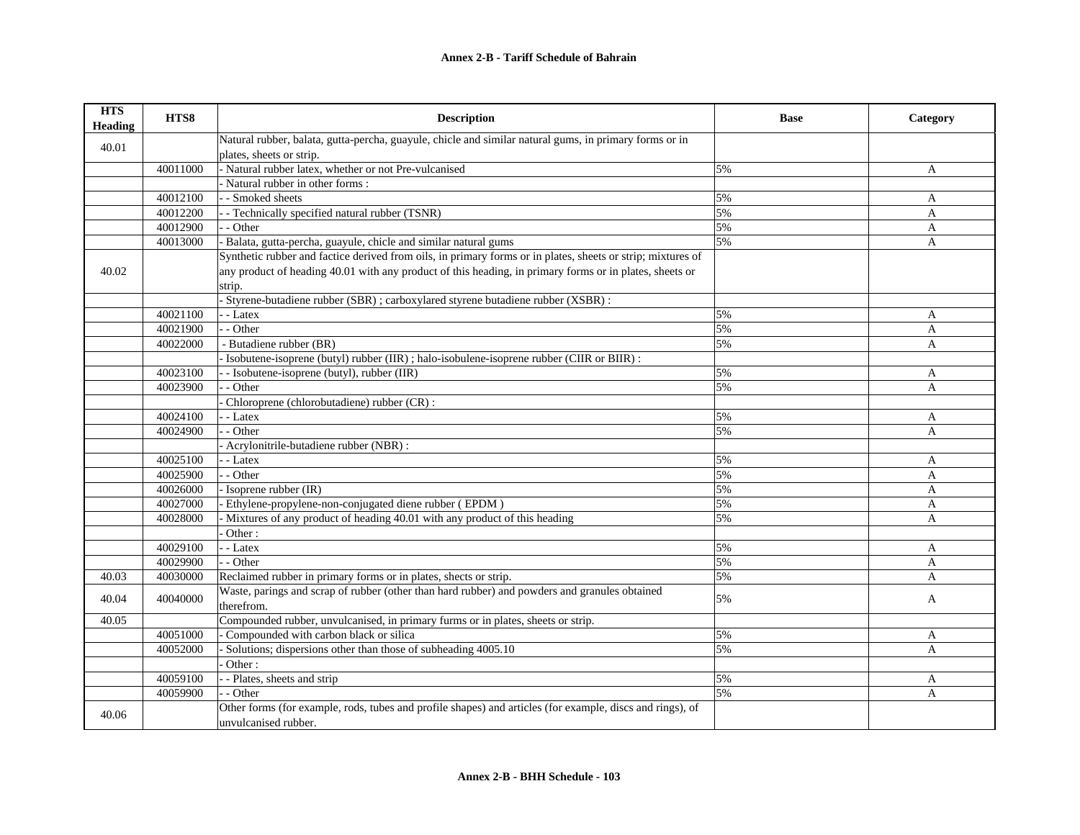| <b>HTS</b><br><b>Heading</b> | HTS8     | <b>Description</b>                                                                                          | <b>Base</b> | Category       |
|------------------------------|----------|-------------------------------------------------------------------------------------------------------------|-------------|----------------|
| 40.01                        |          | Natural rubber, balata, gutta-percha, guayule, chicle and similar natural gums, in primary forms or in      |             |                |
|                              |          | plates, sheets or strip.                                                                                    |             |                |
|                              | 40011000 | - Natural rubber latex, whether or not Pre-vulcanised                                                       | 5%          | A              |
|                              |          | Natural rubber in other forms:                                                                              |             |                |
|                              | 40012100 | - - Smoked sheets                                                                                           | 5%          | A              |
|                              | 40012200 | - Technically specified natural rubber (TSNR)                                                               | 5%          | A              |
|                              | 40012900 | - - Other                                                                                                   | 5%          | $\overline{A}$ |
|                              | 40013000 | - Balata, gutta-percha, guayule, chicle and similar natural gums                                            | 5%          | $\overline{A}$ |
|                              |          | Synthetic rubber and factice derived from oils, in primary forms or in plates, sheets or strip; mixtures of |             |                |
| 40.02                        |          | any product of heading 40.01 with any product of this heading, in primary forms or in plates, sheets or     |             |                |
|                              |          | strip.                                                                                                      |             |                |
|                              |          | Styrene-butadiene rubber (SBR) ; carboxylared styrene butadiene rubber (XSBR) :                             |             |                |
|                              | 40021100 | - - Latex                                                                                                   | 5%          | A              |
|                              | 40021900 | - - Other                                                                                                   | 5%          | A              |
|                              | 40022000 | - Butadiene rubber (BR)                                                                                     | 5%          | A              |
|                              |          | - Isobutene-isoprene (butyl) rubber (IIR); halo-isobulene-isoprene rubber (CIIR or BIIR):                   |             |                |
|                              | 40023100 | - - Isobutene-isoprene (butyl), rubber (IIR)                                                                | 5%          | A              |
|                              | 40023900 | - - Other                                                                                                   | 5%          | $\mathbf{A}$   |
|                              |          | Chloroprene (chlorobutadiene) rubber (CR):                                                                  |             |                |
|                              | 40024100 | - - Latex                                                                                                   | 5%          | A              |
|                              | 40024900 | - Other                                                                                                     | 5%          | $\mathbf{A}$   |
|                              |          | - Acrylonitrile-butadiene rubber (NBR) :                                                                    |             |                |
|                              | 40025100 | - - Latex                                                                                                   | 5%          | A              |
|                              | 40025900 | - - Other                                                                                                   | 5%          | A              |
|                              | 40026000 | - Isoprene rubber (IR)                                                                                      | 5%          | A              |
|                              | 40027000 | - Ethylene-propylene-non-conjugated diene rubber (EPDM)                                                     | 5%          | A              |
|                              | 40028000 | Mixtures of any product of heading 40.01 with any product of this heading                                   | 5%          | A              |
|                              |          | Other:                                                                                                      |             |                |
|                              | 40029100 | - - Latex                                                                                                   | 5%          | A              |
|                              | 40029900 | - - Other                                                                                                   | 5%          | A              |
| 40.03                        | 40030000 | Reclaimed rubber in primary forms or in plates, shects or strip.                                            | 5%          | A              |
|                              |          | Waste, parings and scrap of rubber (other than hard rubber) and powders and granules obtained               |             |                |
| 40.04                        | 40040000 | therefrom.                                                                                                  | 5%          | A              |
| 40.05                        |          | Compounded rubber, unvulcanised, in primary furms or in plates, sheets or strip.                            |             |                |
|                              | 40051000 | Compounded with carbon black or silica                                                                      | 5%          | A              |
|                              | 40052000 | Solutions; dispersions other than those of subheading 4005.10                                               | 5%          | A              |
|                              |          | Other:                                                                                                      |             |                |
|                              | 40059100 | - - Plates, sheets and strip                                                                                | 5%          | A              |
|                              | 40059900 | - Other                                                                                                     | 5%          | A              |
|                              |          | Other forms (for example, rods, tubes and profile shapes) and articles (for example, discs and rings), of   |             |                |
| 40.06                        |          | unvulcanised rubber.                                                                                        |             |                |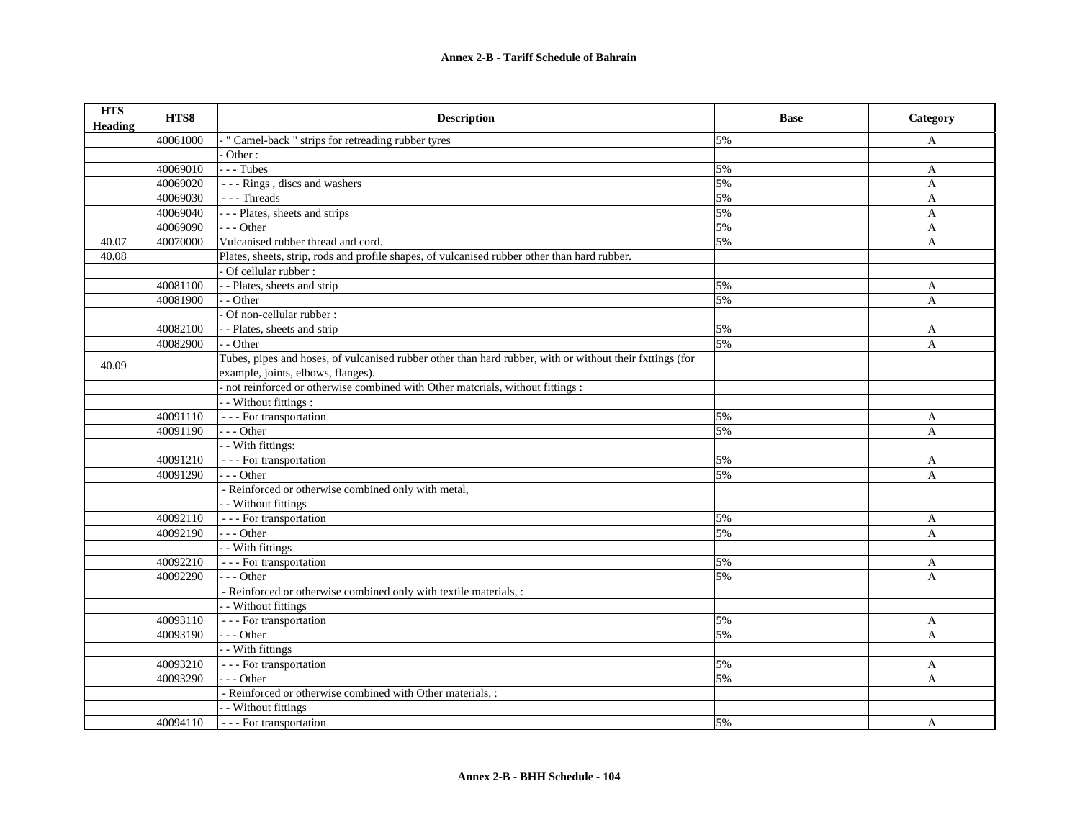| <b>HTS</b><br><b>Heading</b> | HTS8     | <b>Description</b>                                                                                       | <b>Base</b> | Category     |
|------------------------------|----------|----------------------------------------------------------------------------------------------------------|-------------|--------------|
|                              | 40061000 | " Camel-back " strips for retreading rubber tyres                                                        | 5%          | A            |
|                              |          | Other:                                                                                                   |             |              |
|                              | 40069010 | $- -$ Tubes                                                                                              | 5%          | A            |
|                              | 40069020 | --- Rings, discs and washers                                                                             | 5%          | $\mathbf{A}$ |
|                              | 40069030 | --- Threads                                                                                              | 5%          | A            |
|                              | 40069040 | - - - Plates, sheets and strips                                                                          | 5%          | $\mathbf{A}$ |
|                              | 40069090 | $- -$ Other                                                                                              | 5%          | A            |
| 40.07                        | 40070000 | Vulcanised rubber thread and cord.                                                                       | 5%          | $\mathbf{A}$ |
| 40.08                        |          | Plates, sheets, strip, rods and profile shapes, of vulcanised rubber other than hard rubber.             |             |              |
|                              |          | Of cellular rubber:                                                                                      |             |              |
|                              | 40081100 | - - Plates, sheets and strip                                                                             | 5%          | A            |
|                              | 40081900 | - Other                                                                                                  | 5%          | $\mathbf{A}$ |
|                              |          | Of non-cellular rubber:                                                                                  |             |              |
|                              | 40082100 | -- Plates, sheets and strip                                                                              | 5%          | A            |
|                              | 40082900 | - - Other                                                                                                | 5%          | $\mathbf{A}$ |
| 40.09                        |          | Tubes, pipes and hoses, of vulcanised rubber other than hard rubber, with or without their fxttings (for |             |              |
|                              |          | example, joints, elbows, flanges).                                                                       |             |              |
|                              |          | not reinforced or otherwise combined with Other materials, without fittings :                            |             |              |
|                              |          | - Without fittings :                                                                                     |             |              |
|                              | 40091110 | - - - For transportation                                                                                 | 5%          | A            |
|                              | 40091190 | --- Other                                                                                                | 5%          | $\mathbf{A}$ |
|                              |          | - With fittings:                                                                                         |             |              |
|                              | 40091210 | - - - For transportation                                                                                 | 5%          | A            |
|                              | 40091290 | $- -$ Other                                                                                              | 5%          | A            |
|                              |          | - Reinforced or otherwise combined only with metal,                                                      |             |              |
|                              |          | - Without fittings                                                                                       |             |              |
|                              | 40092110 | - - - For transportation                                                                                 | 5%          | A            |
|                              | 40092190 | $- -$ Other                                                                                              | 5%          | A            |
|                              |          | - With fittings                                                                                          |             |              |
|                              | 40092210 | - - - For transportation                                                                                 | 5%          | A            |
|                              | 40092290 | $- -$ Other                                                                                              | 5%          | A            |
|                              |          | - Reinforced or otherwise combined only with textile materials, :                                        |             |              |
|                              |          | - Without fittings                                                                                       |             |              |
|                              | 40093110 | - - - For transportation                                                                                 | 5%          | A            |
|                              | 40093190 | $- -$ Other                                                                                              | 5%          | A            |
|                              |          | - With fittings                                                                                          |             |              |
|                              | 40093210 | - - - For transportation                                                                                 | 5%          | A            |
|                              | 40093290 | $- -$ Other                                                                                              | 5%          | A            |
|                              |          | - Reinforced or otherwise combined with Other materials, :                                               |             |              |
|                              |          | - - Without fittings                                                                                     |             |              |
|                              | 40094110 | --- For transportation                                                                                   | 5%          | A            |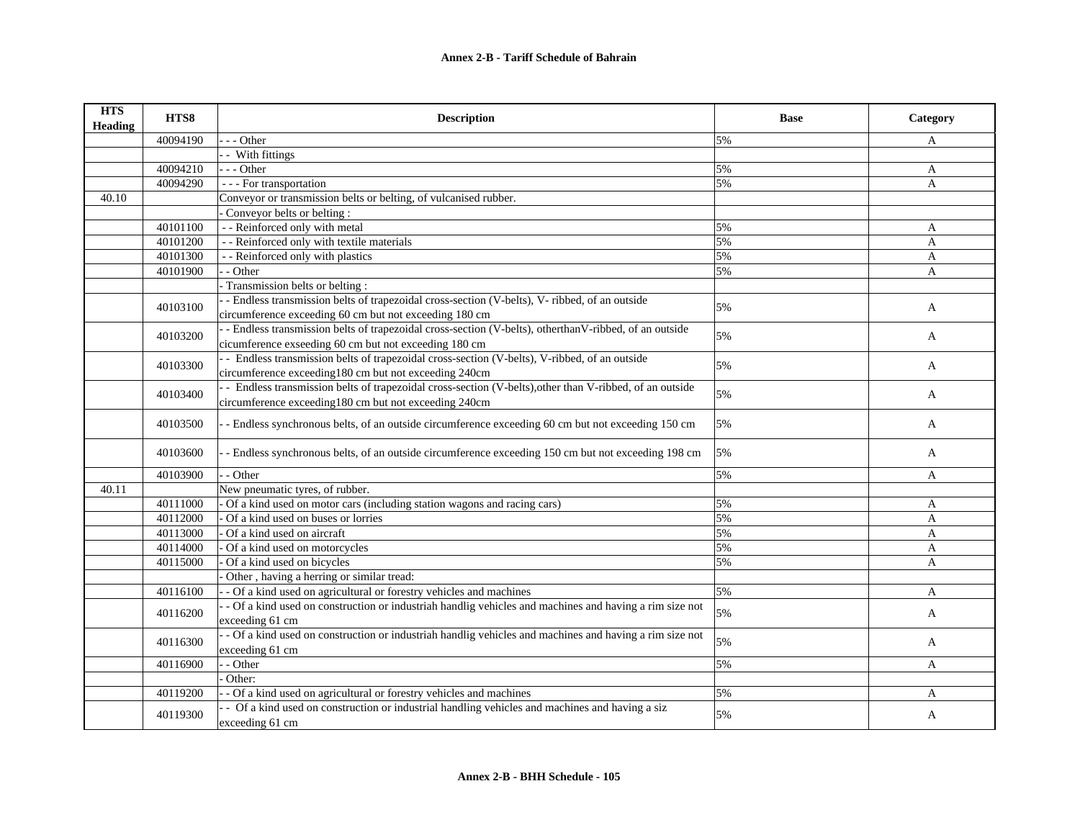| <b>HTS</b><br><b>Heading</b> | HTS8     | <b>Description</b>                                                                                                | <b>Base</b> | Category     |
|------------------------------|----------|-------------------------------------------------------------------------------------------------------------------|-------------|--------------|
|                              | 40094190 | - - Other                                                                                                         | 5%          | A            |
|                              |          | - With fittings                                                                                                   |             |              |
|                              | 40094210 | --- Other                                                                                                         | 5%          | A            |
|                              | 40094290 | - - - For transportation                                                                                          | 5%          | A            |
| 40.10                        |          | Conveyor or transmission belts or belting, of vulcanised rubber.                                                  |             |              |
|                              |          | Conveyor belts or belting:                                                                                        |             |              |
|                              | 40101100 | - - Reinforced only with metal                                                                                    | 5%          | A            |
|                              | 40101200 | - - Reinforced only with textile materials                                                                        | 5%          | A            |
|                              | 40101300 | - - Reinforced only with plastics                                                                                 | 5%          | A            |
|                              | 40101900 | - - Other                                                                                                         | 5%          | A            |
|                              |          | Transmission belts or belting:                                                                                    |             |              |
|                              | 40103100 | - Endless transmission belts of trapezoidal cross-section (V-belts), V- ribbed, of an outside                     | 5%          |              |
|                              |          | circumference exceeding 60 cm but not exceeding 180 cm                                                            |             | A            |
|                              | 40103200 | - - Endless transmission belts of trapezoidal cross-section (V-belts), otherthanV-ribbed, of an outside           | 5%          | A            |
|                              |          | cicumference exseeding 60 cm but not exceeding 180 cm                                                             |             |              |
|                              | 40103300 | - Endless transmission belts of trapezoidal cross-section (V-belts), V-ribbed, of an outside                      | 5%          |              |
|                              |          | circumference exceeding180 cm but not exceeding 240cm                                                             |             | A            |
|                              | 40103400 | - Endless transmission belts of trapezoidal cross-section (V-belts), other than V-ribbed, of an outside           | 5%          | $\mathbf{A}$ |
|                              |          | circumference exceeding180 cm but not exceeding 240cm                                                             |             |              |
|                              | 40103500 | - Endless synchronous belts, of an outside circumference exceeding 60 cm but not exceeding 150 cm                 | 5%          | A            |
|                              | 40103600 | - Endless synchronous belts, of an outside circumference exceeding 150 cm but not exceeding 198 cm                | 5%          | A            |
|                              | 40103900 | $-$ Other                                                                                                         | 5%          | A            |
| 40.11                        |          | New pneumatic tyres, of rubber.                                                                                   |             |              |
|                              | 40111000 | Of a kind used on motor cars (including station wagons and racing cars)                                           | 5%          | A            |
|                              | 40112000 | Of a kind used on buses or lorries                                                                                | 5%          | $\mathbf{A}$ |
|                              | 40113000 | Of a kind used on aircraft                                                                                        | 5%          | A            |
|                              | 40114000 | Of a kind used on motorcycles                                                                                     | 5%          | A            |
|                              | 40115000 | Of a kind used on bicycles                                                                                        | 5%          | $\mathsf{A}$ |
|                              |          | Other, having a herring or similar tread:                                                                         |             |              |
|                              | 40116100 | - Of a kind used on agricultural or forestry vehicles and machines                                                | 5%          | A            |
|                              | 40116200 | - Of a kind used on construction or industriah handlig vehicles and machines and having a rim size not            | 5%          | $\mathbf{A}$ |
|                              |          | exceeding 61 cm                                                                                                   |             |              |
|                              | 40116300 | - - Of a kind used on construction or industriah handlig vehicles and machines and having a rim size not          | 5%          | $\mathbf{A}$ |
|                              |          | exceeding 61 cm                                                                                                   |             |              |
|                              | 40116900 | - - Other                                                                                                         | 5%          | $\mathbf{A}$ |
|                              |          | Other:                                                                                                            |             |              |
|                              | 40119200 | - Of a kind used on agricultural or forestry vehicles and machines                                                | 5%          | A            |
|                              | 40119300 | - Of a kind used on construction or industrial handling vehicles and machines and having a siz<br>exceeding 61 cm | 5%          | A            |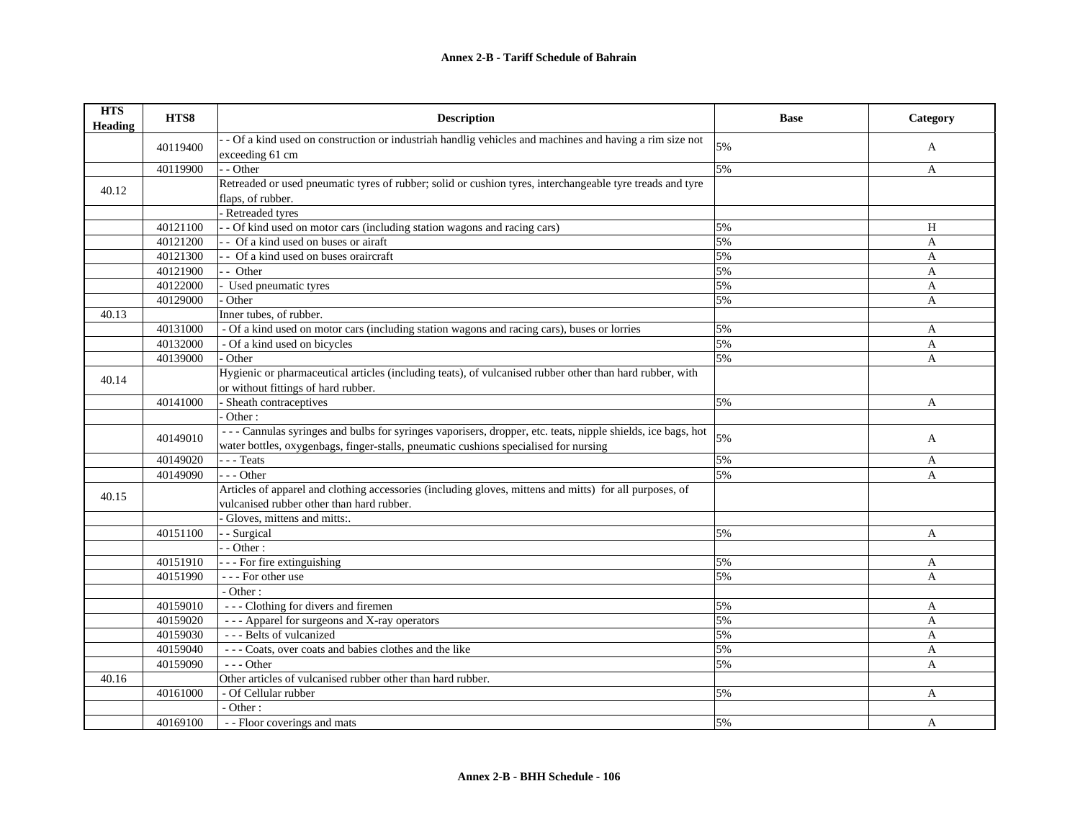| <b>HTS</b><br><b>Heading</b> | HTS8     | <b>Description</b>                                                                                         | <b>Base</b>      | Category     |
|------------------------------|----------|------------------------------------------------------------------------------------------------------------|------------------|--------------|
|                              |          | - Of a kind used on construction or industriah handlig vehicles and machines and having a rim size not     | 5%               |              |
|                              | 40119400 | exceeding 61 cm                                                                                            |                  | A            |
|                              | 40119900 | - - Other                                                                                                  | 5%               | A            |
| 40.12                        |          | Retreaded or used pneumatic tyres of rubber; solid or cushion tyres, interchangeable tyre treads and tyre  |                  |              |
|                              |          | flaps, of rubber.                                                                                          |                  |              |
|                              |          | Retreaded tyres                                                                                            |                  |              |
|                              | 40121100 | - - Of kind used on motor cars (including station wagons and racing cars)                                  | $\overline{5\%}$ | H            |
|                              | 40121200 | - Of a kind used on buses or airaft                                                                        | 5%               | A            |
|                              | 40121300 | - Of a kind used on buses oraircraft                                                                       | 5%               | A            |
|                              | 40121900 | - - Other                                                                                                  | 5%               | $\mathbf{A}$ |
|                              | 40122000 | Used pneumatic tyres                                                                                       | 5%               | $\mathbf{A}$ |
|                              | 40129000 | Other                                                                                                      | 5%               | A            |
| 40.13                        |          | Inner tubes, of rubber.                                                                                    |                  |              |
|                              | 40131000 | - Of a kind used on motor cars (including station wagons and racing cars), buses or lorries                | 5%               | A            |
|                              | 40132000 | - Of a kind used on bicycles                                                                               | 5%               | A            |
|                              | 40139000 | Other                                                                                                      | 5%               | A            |
|                              |          | Hygienic or pharmaceutical articles (including teats), of vulcanised rubber other than hard rubber, with   |                  |              |
| 40.14                        |          | or without fittings of hard rubber.                                                                        |                  |              |
|                              | 40141000 | Sheath contraceptives                                                                                      | 5%               | A            |
|                              |          | Other:                                                                                                     |                  |              |
|                              |          | ---Cannulas syringes and bulbs for syringes vaporisers, dropper, etc. teats, nipple shields, ice bags, hot | 5%               |              |
|                              | 40149010 | water bottles, oxygenbags, finger-stalls, pneumatic cushions specialised for nursing                       |                  | A            |
|                              | 40149020 | --- Teats                                                                                                  | 5%               | A            |
|                              | 40149090 | $-- Other$                                                                                                 | 5%               | A            |
|                              |          | Articles of apparel and clothing accessories (including gloves, mittens and mitts) for all purposes, of    |                  |              |
| 40.15                        |          | vulcanised rubber other than hard rubber.                                                                  |                  |              |
|                              |          | Gloves, mittens and mitts:.                                                                                |                  |              |
|                              | 40151100 | - Surgical                                                                                                 | 5%               | A            |
|                              |          | - Other:                                                                                                   |                  |              |
|                              | 40151910 | - - - For fire extinguishing                                                                               | 5%               | A            |
|                              | 40151990 | --- For other use                                                                                          | 5%               | A            |
|                              |          | - Other:                                                                                                   |                  |              |
|                              | 40159010 | --- Clothing for divers and firemen                                                                        | 5%               | A            |
|                              | 40159020 | --- Apparel for surgeons and X-ray operators                                                               | 5%               | A            |
|                              | 40159030 | --- Belts of vulcanized                                                                                    | 5%               | A            |
|                              | 40159040 | --- Coats, over coats and babies clothes and the like                                                      | 5%               | A            |
|                              | 40159090 | $- -$ Other                                                                                                | 5%               | $\mathbf{A}$ |
| 40.16                        |          | Other articles of vulcanised rubber other than hard rubber.                                                |                  |              |
|                              | 40161000 | - Of Cellular rubber                                                                                       | 5%               | A            |
|                              |          | - Other:                                                                                                   |                  |              |
|                              | 40169100 | - - Floor coverings and mats                                                                               | 5%               | A            |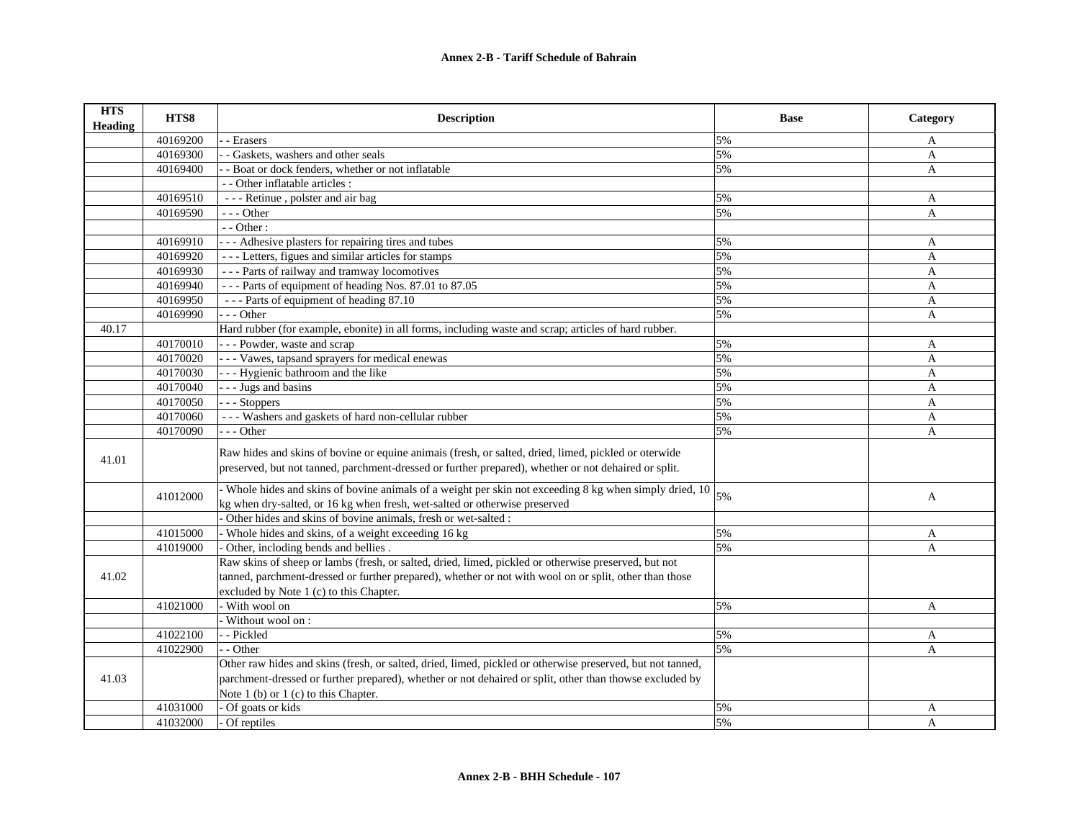| <b>HTS</b><br>Heading | HTS8     | <b>Description</b>                                                                                                                                                                                                                                            | <b>Base</b> | Category     |
|-----------------------|----------|---------------------------------------------------------------------------------------------------------------------------------------------------------------------------------------------------------------------------------------------------------------|-------------|--------------|
|                       | 40169200 | - Erasers                                                                                                                                                                                                                                                     | 5%          | A            |
|                       | 40169300 | - Gaskets, washers and other seals                                                                                                                                                                                                                            | 5%          | $\mathbf{A}$ |
|                       | 40169400 | - - Boat or dock fenders, whether or not inflatable                                                                                                                                                                                                           | 5%          | $\mathbf{A}$ |
|                       |          | - - Other inflatable articles :                                                                                                                                                                                                                               |             |              |
|                       | 40169510 | --- Retinue, polster and air bag                                                                                                                                                                                                                              | 5%          | A            |
|                       | 40169590 | $- -$ Other                                                                                                                                                                                                                                                   | 5%          | $\mathbf{A}$ |
|                       |          | $-$ - Other :                                                                                                                                                                                                                                                 |             |              |
|                       | 40169910 | - - - Adhesive plasters for repairing tires and tubes                                                                                                                                                                                                         | 5%          | A            |
|                       | 40169920 | --- Letters, figues and similar articles for stamps                                                                                                                                                                                                           | 5%          | A            |
|                       | 40169930 | --- Parts of railway and tramway locomotives                                                                                                                                                                                                                  | 5%          | A            |
|                       | 40169940 | --- Parts of equipment of heading Nos. 87.01 to 87.05                                                                                                                                                                                                         | 5%          | A            |
|                       | 40169950 | --- Parts of equipment of heading 87.10                                                                                                                                                                                                                       | 5%          | A            |
|                       | 40169990 | --- Other                                                                                                                                                                                                                                                     | 5%          | A            |
| 40.17                 |          | Hard rubber (for example, ebonite) in all forms, including waste and scrap; articles of hard rubber.                                                                                                                                                          |             |              |
|                       | 40170010 | - - - Powder, waste and scrap                                                                                                                                                                                                                                 | 5%          | A            |
|                       | 40170020 | - - - Vawes, tapsand sprayers for medical enewas                                                                                                                                                                                                              | 5%          | $\mathbf{A}$ |
|                       | 40170030 | - - - Hygienic bathroom and the like                                                                                                                                                                                                                          | 5%          | A            |
|                       | 40170040 | - - - Jugs and basins                                                                                                                                                                                                                                         | 5%          | $\mathbf{A}$ |
|                       | 40170050 | --- Stoppers                                                                                                                                                                                                                                                  | 5%          | $\mathbf{A}$ |
|                       | 40170060 | --- Washers and gaskets of hard non-cellular rubber                                                                                                                                                                                                           | 5%          | A            |
|                       | 40170090 | - - - Other                                                                                                                                                                                                                                                   | 5%          | $\mathbf{A}$ |
| 41.01                 |          | Raw hides and skins of bovine or equine animais (fresh, or salted, dried, limed, pickled or oterwide<br>preserved, but not tanned, parchment-dressed or further prepared), whether or not dehaired or split.                                                  |             |              |
|                       | 41012000 | Whole hides and skins of bovine animals of a weight per skin not exceeding 8 kg when simply dried, 10                                                                                                                                                         | 5%          | A            |
|                       |          | kg when dry-salted, or 16 kg when fresh, wet-salted or otherwise preserved                                                                                                                                                                                    |             |              |
|                       |          | Other hides and skins of bovine animals, fresh or wet-salted :                                                                                                                                                                                                |             |              |
|                       | 41015000 | - Whole hides and skins, of a weight exceeding 16 kg                                                                                                                                                                                                          | 5%          | A            |
|                       | 41019000 | Other, incloding bends and bellies.                                                                                                                                                                                                                           | 5%          | A            |
| 41.02                 |          | Raw skins of sheep or lambs (fresh, or salted, dried, limed, pickled or otherwise preserved, but not<br>tanned, parchment-dressed or further prepared), whether or not with wool on or split, other than those<br>excluded by Note 1 (c) to this Chapter.     |             |              |
|                       | 41021000 | - With wool on                                                                                                                                                                                                                                                | 5%          | A            |
|                       |          | Without wool on:                                                                                                                                                                                                                                              |             |              |
|                       | 41022100 | - Pickled                                                                                                                                                                                                                                                     | 5%          | A            |
|                       | 41022900 | - - Other                                                                                                                                                                                                                                                     | 5%          | A            |
| 41.03                 |          | Other raw hides and skins (fresh, or salted, dried, limed, pickled or otherwise preserved, but not tanned,<br>parchment-dressed or further prepared), whether or not dehaired or split, other than thowse excluded by<br>Note 1 (b) or 1 (c) to this Chapter. |             |              |
|                       | 41031000 | - Of goats or kids                                                                                                                                                                                                                                            | 5%          | A            |
|                       | 41032000 | - Of reptiles                                                                                                                                                                                                                                                 | 5%          | A            |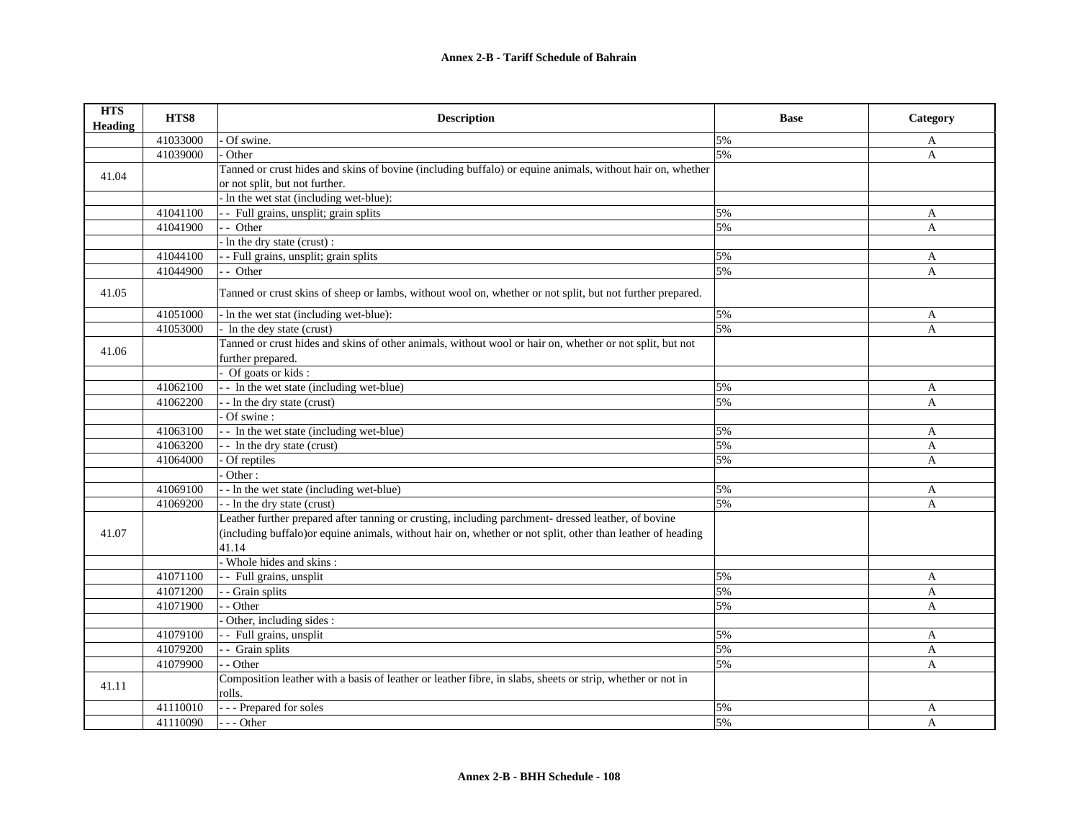| <b>HTS</b><br><b>Heading</b> | HTS8     | <b>Description</b>                                                                                                   | <b>Base</b> | Category     |
|------------------------------|----------|----------------------------------------------------------------------------------------------------------------------|-------------|--------------|
|                              | 41033000 | Of swine.                                                                                                            | 5%          | A            |
|                              | 41039000 | Other                                                                                                                | 5%          | A            |
| 41.04                        |          | Tanned or crust hides and skins of bovine (including buffalo) or equine animals, without hair on, whether            |             |              |
|                              |          | or not split, but not further.                                                                                       |             |              |
|                              |          | - In the wet stat (including wet-blue):                                                                              |             |              |
|                              | 41041100 | - - Full grains, unsplit; grain splits                                                                               | 5%          | A            |
|                              | 41041900 | - - Other                                                                                                            | 5%          | $\mathbf{A}$ |
|                              |          | - In the dry state (crust):                                                                                          |             |              |
|                              | 41044100 | - - Full grains, unsplit; grain splits                                                                               | 5%          | A            |
|                              | 41044900 | - - Other                                                                                                            | 5%          | $\mathbf{A}$ |
| 41.05                        |          | Tanned or crust skins of sheep or lambs, without wool on, whether or not split, but not further prepared.            |             |              |
|                              | 41051000 | In the wet stat (including wet-blue):                                                                                | 5%          | A            |
|                              | 41053000 | - In the dey state (crust)                                                                                           | 5%          | A            |
| 41.06                        |          | Tanned or crust hides and skins of other animals, without wool or hair on, whether or not split, but not             |             |              |
|                              |          | further prepared.                                                                                                    |             |              |
|                              |          | Of goats or kids:                                                                                                    |             |              |
|                              | 41062100 | - - In the wet state (including wet-blue)                                                                            | 5%          | A            |
|                              | 41062200 | - - In the dry state (crust)                                                                                         | 5%          | A            |
|                              |          | Of swine:                                                                                                            |             |              |
|                              | 41063100 | - - In the wet state (including wet-blue)                                                                            | 5%          | A            |
|                              | 41063200 | - - In the dry state (crust)                                                                                         | 5%          | A            |
|                              | 41064000 | Of reptiles                                                                                                          | 5%          | A            |
|                              |          | Other:                                                                                                               |             |              |
|                              | 41069100 | - - In the wet state (including wet-blue)                                                                            | 5%          | A            |
|                              | 41069200 | -- In the dry state (crust)                                                                                          | 5%          | A            |
|                              |          | Leather further prepared after tanning or crusting, including parchment- dressed leather, of bovine                  |             |              |
| 41.07                        |          | (including buffalo) or equine animals, without hair on, whether or not split, other than leather of heading          |             |              |
|                              |          | 41.14                                                                                                                |             |              |
|                              |          | Whole hides and skins:                                                                                               |             |              |
|                              | 41071100 | - - Full grains, unsplit                                                                                             | 5%          | A            |
|                              | 41071200 | - Grain splits                                                                                                       | 5%          | A            |
|                              | 41071900 | - Other                                                                                                              | 5%          | A            |
|                              |          | Other, including sides :                                                                                             |             |              |
|                              | 41079100 | - - Full grains, unsplit                                                                                             | 5%          | A            |
|                              | 41079200 | - - Grain splits                                                                                                     | 5%          | A            |
|                              | 41079900 | - Other                                                                                                              | 5%          | A            |
| 41.11                        |          | Composition leather with a basis of leather or leather fibre, in slabs, sheets or strip, whether or not in<br>rolls. |             |              |
|                              | 41110010 | - - - Prepared for soles                                                                                             | 5%          | A            |
|                              | 41110090 | --- Other                                                                                                            | 5%          | A            |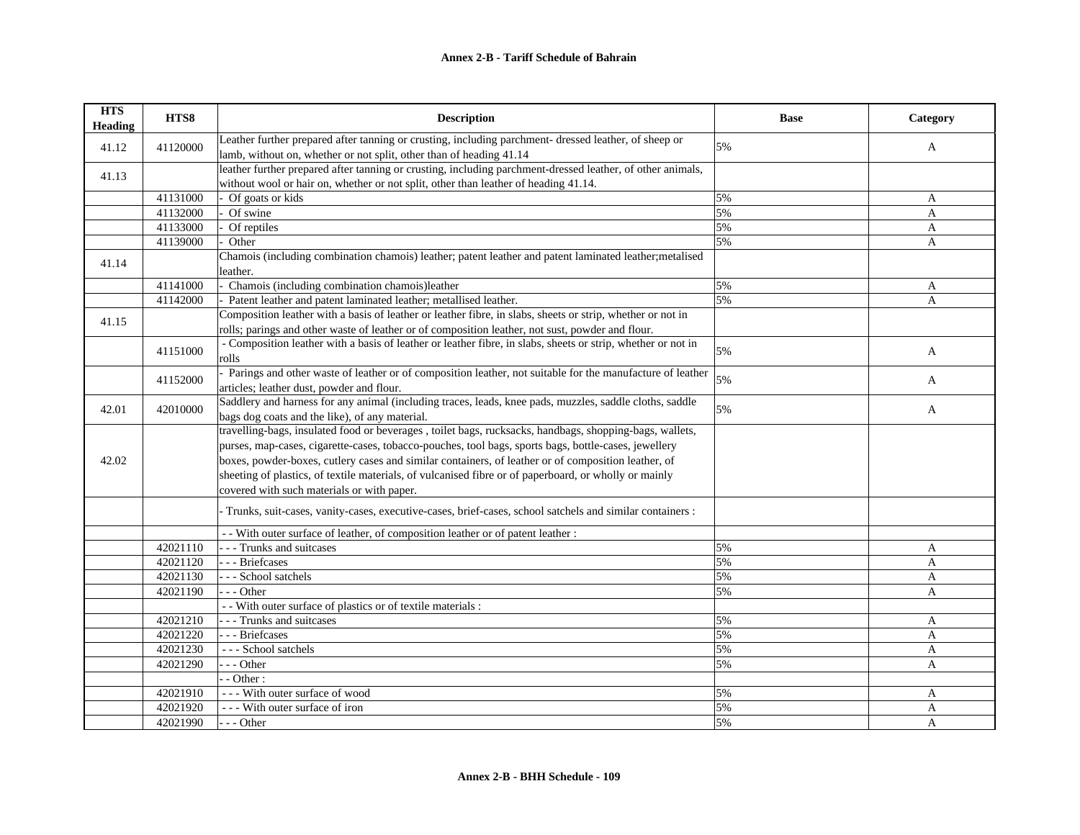| <b>HTS</b><br><b>Heading</b> | HTS8     | <b>Description</b>                                                                                           | <b>Base</b> | Category       |
|------------------------------|----------|--------------------------------------------------------------------------------------------------------------|-------------|----------------|
| 41.12                        | 41120000 | Leather further prepared after tanning or crusting, including parchment- dressed leather, of sheep or        | 5%          | A              |
|                              |          | lamb, without on, whether or not split, other than of heading 41.14                                          |             |                |
| 41.13                        |          | leather further prepared after tanning or crusting, including parchment-dressed leather, of other animals,   |             |                |
|                              |          | without wool or hair on, whether or not split, other than leather of heading 41.14.                          |             |                |
|                              | 41131000 | Of goats or kids                                                                                             | 5%          | A              |
|                              | 41132000 | Of swine                                                                                                     | 5%          | A              |
|                              | 41133000 | Of reptiles                                                                                                  | 5%          | $\overline{A}$ |
|                              | 41139000 | Other                                                                                                        | 5%          | $\mathbf{A}$   |
| 41.14                        |          | Chamois (including combination chamois) leather; patent leather and patent laminated leather; metalised      |             |                |
|                              |          | leather.                                                                                                     |             |                |
|                              | 41141000 | - Chamois (including combination chamois)leather                                                             | 5%          | A              |
|                              | 41142000 | Patent leather and patent laminated leather; metallised leather.                                             | 5%          | $\mathbf{A}$   |
| 41.15                        |          | Composition leather with a basis of leather or leather fibre, in slabs, sheets or strip, whether or not in   |             |                |
|                              |          | rolls; parings and other waste of leather or of composition leather, not sust, powder and flour.             |             |                |
|                              | 41151000 | - Composition leather with a basis of leather or leather fibre, in slabs, sheets or strip, whether or not in | 5%          | A              |
|                              |          | rolls                                                                                                        |             |                |
|                              | 41152000 | - Parings and other waste of leather or of composition leather, not suitable for the manufacture of leather  | 5%          | $\mathbf{A}$   |
|                              |          | articles; leather dust, powder and flour.                                                                    |             |                |
| 42.01                        | 42010000 | Saddlery and harness for any animal (including traces, leads, knee pads, muzzles, saddle cloths, saddle      | 5%          | A              |
|                              |          | bags dog coats and the like), of any material.                                                               |             |                |
|                              |          | travelling-bags, insulated food or beverages , toilet bags, rucksacks, handbags, shopping-bags, wallets,     |             |                |
|                              |          | purses, map-cases, cigarette-cases, tobacco-pouches, tool bags, sports bags, bottle-cases, jewellery         |             |                |
| 42.02                        |          | boxes, powder-boxes, cutlery cases and similar containers, of leather or of composition leather, of          |             |                |
|                              |          | sheeting of plastics, of textile materials, of vulcanised fibre or of paperboard, or wholly or mainly        |             |                |
|                              |          | covered with such materials or with paper.                                                                   |             |                |
|                              |          | Trunks, suit-cases, vanity-cases, executive-cases, brief-cases, school satchels and similar containers :     |             |                |
|                              |          | - With outer surface of leather, of composition leather or of patent leather :                               |             |                |
|                              | 42021110 | - - - Trunks and suitcases                                                                                   | 5%          | A              |
|                              | 42021120 | --- Briefcases                                                                                               | 5%          | A              |
|                              | 42021130 | --- School satchels                                                                                          | 5%          | A              |
|                              | 42021190 | --- Other                                                                                                    | 5%          | A              |
|                              |          | - - With outer surface of plastics or of textile materials :                                                 |             |                |
|                              | 42021210 | - - - Trunks and suitcases                                                                                   | 5%          | A              |
|                              | 42021220 | --- Briefcases                                                                                               | 5%          | $\mathbf{A}$   |
|                              | 42021230 | --- School satchels                                                                                          | 5%          | A              |
|                              | 42021290 | $- -$ Other                                                                                                  | 5%          | $\mathbf{A}$   |
|                              |          | $-$ - Other :                                                                                                |             |                |
|                              | 42021910 | --- With outer surface of wood                                                                               | 5%          | A              |
|                              | 42021920 | --- With outer surface of iron                                                                               | 5%          | A              |
|                              | 42021990 | --- Other                                                                                                    | 5%          | A              |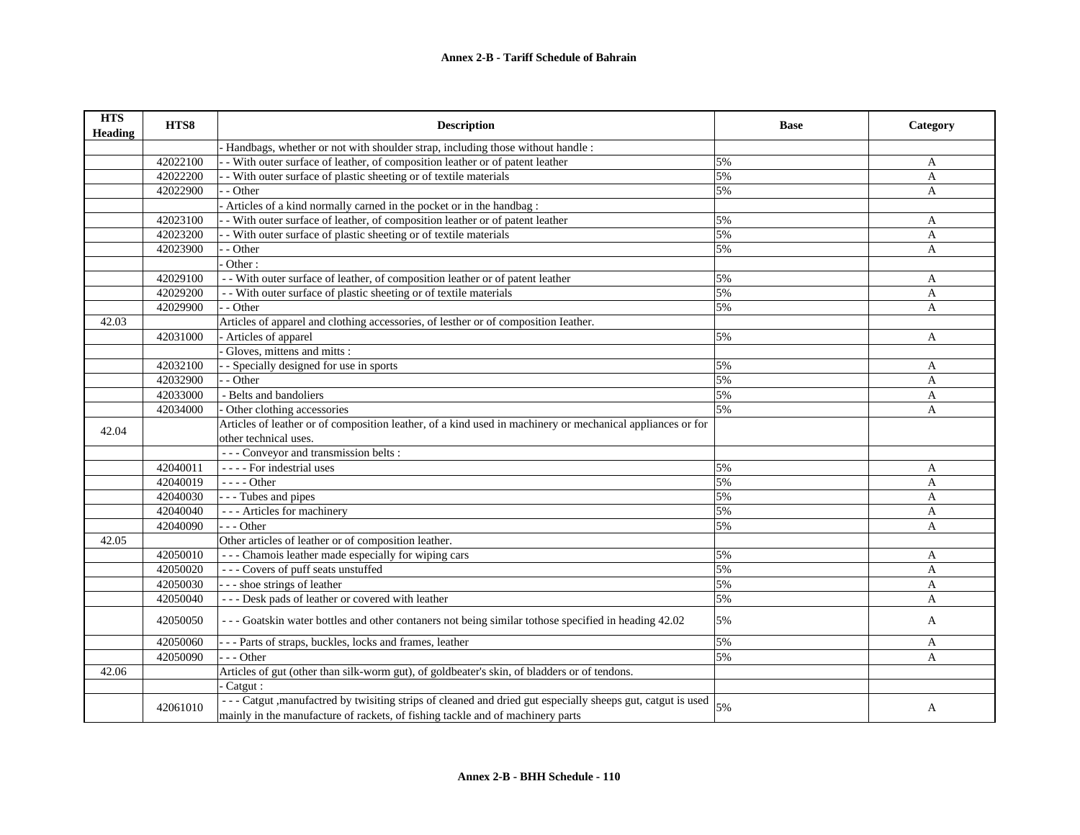| <b>HTS</b><br><b>Heading</b> | HTS8     | <b>Description</b>                                                                                          | <b>Base</b> | Category     |
|------------------------------|----------|-------------------------------------------------------------------------------------------------------------|-------------|--------------|
|                              |          | Handbags, whether or not with shoulder strap, including those without handle :                              |             |              |
|                              | 42022100 | - With outer surface of leather, of composition leather or of patent leather                                | 5%          | A            |
|                              | 42022200 | - With outer surface of plastic sheeting or of textile materials                                            | 5%          | A            |
|                              | 42022900 | - - Other                                                                                                   | 5%          | $\mathbf{A}$ |
|                              |          | Articles of a kind normally carned in the pocket or in the handbag :                                        |             |              |
|                              | 42023100 | - With outer surface of leather, of composition leather or of patent leather                                | 5%          | A            |
|                              | 42023200 | - With outer surface of plastic sheeting or of textile materials                                            | 5%          | A            |
|                              | 42023900 | - Other                                                                                                     | 5%          | A            |
|                              |          | Other:                                                                                                      |             |              |
|                              | 42029100 | - With outer surface of leather, of composition leather or of patent leather                                | 5%          | $\mathbf{A}$ |
|                              | 42029200 | - With outer surface of plastic sheeting or of textile materials                                            | 5%          | $\mathbf{A}$ |
|                              | 42029900 | $-$ Other                                                                                                   | 5%          | $\mathbf{A}$ |
| 42.03                        |          | Articles of apparel and clothing accessories, of lesther or of composition Ieather.                         |             |              |
|                              | 42031000 | - Articles of apparel                                                                                       | 5%          | A            |
|                              |          | Gloves, mittens and mitts :                                                                                 |             |              |
|                              | 42032100 | - Specially designed for use in sports                                                                      | 5%          | A            |
|                              | 42032900 | - Other                                                                                                     | 5%          | A            |
|                              | 42033000 | - Belts and bandoliers                                                                                      | 5%          | A            |
|                              | 42034000 | Other clothing accessories                                                                                  | 5%          | A            |
|                              |          | Articles of leather or of composition leather, of a kind used in machinery or mechanical appliances or for  |             |              |
| 42.04                        |          | other technical uses.                                                                                       |             |              |
|                              |          | --- Conveyor and transmission belts :                                                                       |             |              |
|                              | 42040011 | - - - - For indestrial uses                                                                                 | 5%          | A            |
|                              | 42040019 | - - - - Other                                                                                               | 5%          | A            |
|                              | 42040030 | - - - Tubes and pipes                                                                                       | 5%          | A            |
|                              | 42040040 | - - - Articles for machinery                                                                                | 5%          | A            |
|                              | 42040090 | $- -$ Other                                                                                                 | 5%          | A            |
| 42.05                        |          | Other articles of leather or of composition leather.                                                        |             |              |
|                              | 42050010 | --- Chamois leather made especially for wiping cars                                                         | 5%          | A            |
|                              | 42050020 | --- Covers of puff seats unstuffed                                                                          | 5%          | A            |
|                              | 42050030 | --- shoe strings of leather                                                                                 | 5%          | A            |
|                              | 42050040 | --- Desk pads of leather or covered with leather                                                            | 5%          | $\mathbf{A}$ |
|                              | 42050050 | --- Goatskin water bottles and other contaners not being similar to those specified in heading 42.02        | 5%          | A            |
|                              | 42050060 | --- Parts of straps, buckles, locks and frames, leather                                                     | 5%          | A            |
|                              | 42050090 | $- -$ Other                                                                                                 | 5%          | A            |
| 42.06                        |          | Articles of gut (other than silk-worm gut), of goldbeater's skin, of bladders or of tendons.                |             |              |
|                              |          | Catgut:                                                                                                     |             |              |
|                              |          | --- Catgut , manufactred by twisiting strips of cleaned and dried gut especially sheeps gut, catgut is used |             |              |
|                              | 42061010 | mainly in the manufacture of rackets, of fishing tackle and of machinery parts                              | 5%          | A            |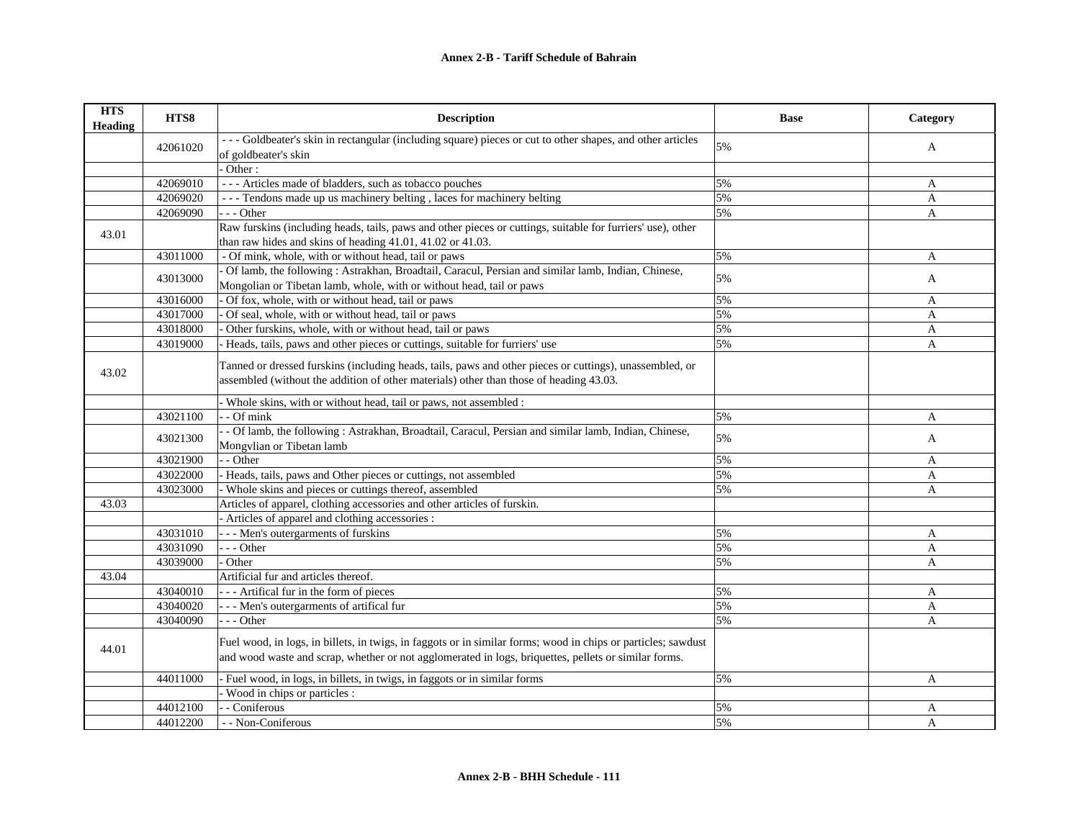| <b>HTS</b><br><b>Heading</b> | HTS8     | <b>Description</b>                                                                                                                                                                                                    | <b>Base</b> | Category     |
|------------------------------|----------|-----------------------------------------------------------------------------------------------------------------------------------------------------------------------------------------------------------------------|-------------|--------------|
|                              |          | --- Goldbeater's skin in rectangular (including square) pieces or cut to other shapes, and other articles                                                                                                             | 5%          |              |
|                              | 42061020 | of goldbeater's skin                                                                                                                                                                                                  |             | $\mathbf{A}$ |
|                              |          | Other:                                                                                                                                                                                                                |             |              |
|                              | 42069010 | --- Articles made of bladders, such as tobacco pouches                                                                                                                                                                | 5%          | A            |
|                              | 42069020 | --- Tendons made up us machinery belting, laces for machinery belting                                                                                                                                                 | 5%          | A            |
|                              | 42069090 | $- -$ Other                                                                                                                                                                                                           | 5%          | A            |
| 43.01                        |          | Raw furskins (including heads, tails, paws and other pieces or cuttings, suitable for furriers' use), other                                                                                                           |             |              |
|                              |          | than raw hides and skins of heading 41.01, 41.02 or 41.03.                                                                                                                                                            |             |              |
|                              | 43011000 | - Of mink, whole, with or without head, tail or paws                                                                                                                                                                  | 5%          | A            |
|                              |          | Of lamb, the following: Astrakhan, Broadtail, Caracul, Persian and similar lamb, Indian, Chinese,                                                                                                                     | 5%          |              |
|                              | 43013000 | Mongolian or Tibetan lamb, whole, with or without head, tail or paws                                                                                                                                                  |             | A            |
|                              | 43016000 | Of fox, whole, with or without head, tail or paws                                                                                                                                                                     | 5%          | A            |
|                              | 43017000 | Of seal, whole, with or without head, tail or paws                                                                                                                                                                    | 5%          | A            |
|                              | 43018000 | Other furskins, whole, with or without head, tail or paws                                                                                                                                                             | 5%          | A            |
|                              | 43019000 | - Heads, tails, paws and other pieces or cuttings, suitable for furriers' use                                                                                                                                         | 5%          | $\mathbf{A}$ |
| 43.02                        |          | Tanned or dressed furskins (including heads, tails, paws and other pieces or cuttings), unassembled, or<br>assembled (without the addition of other materials) other than those of heading 43.03.                     |             |              |
|                              |          | - Whole skins, with or without head, tail or paws, not assembled :                                                                                                                                                    |             |              |
|                              | 43021100 | - Of mink                                                                                                                                                                                                             | 5%          | A            |
|                              | 43021300 | - Of lamb, the following: Astrakhan, Broadtail, Caracul, Persian and similar lamb, Indian, Chinese,<br>Mongvlian or Tibetan lamb                                                                                      | 5%          | $\mathbf{A}$ |
|                              | 43021900 | - Other                                                                                                                                                                                                               | 5%          | A            |
|                              | 43022000 | - Heads, tails, paws and Other pieces or cuttings, not assembled                                                                                                                                                      | 5%          | A            |
|                              | 43023000 | Whole skins and pieces or cuttings thereof, assembled                                                                                                                                                                 | 5%          | A            |
| 43.03                        |          | Articles of apparel, clothing accessories and other articles of furskin.                                                                                                                                              |             |              |
|                              |          | - Articles of apparel and clothing accessories :                                                                                                                                                                      |             |              |
|                              | 43031010 | - - Men's outergarments of furskins                                                                                                                                                                                   | 5%          | A            |
|                              | 43031090 | --- Other                                                                                                                                                                                                             | 5%          | A            |
|                              | 43039000 | Other                                                                                                                                                                                                                 | 5%          | A            |
| 43.04                        |          | Artificial fur and articles thereof.                                                                                                                                                                                  |             |              |
|                              | 43040010 | --- Artifical fur in the form of pieces                                                                                                                                                                               | 5%          | A            |
|                              | 43040020 | - - - Men's outergarments of artifical fur                                                                                                                                                                            | 5%          | A            |
|                              | 43040090 | $- -$ Other                                                                                                                                                                                                           | 5%          | A            |
| 44.01                        |          | Fuel wood, in logs, in billets, in twigs, in faggots or in similar forms; wood in chips or particles; sawdust<br>and wood waste and scrap, whether or not agglomerated in logs, briquettes, pellets or similar forms. |             |              |
|                              | 44011000 | Fuel wood, in logs, in billets, in twigs, in faggots or in similar forms                                                                                                                                              | 5%          | $\mathbf{A}$ |
|                              |          | - Wood in chips or particles :                                                                                                                                                                                        |             |              |
|                              | 44012100 | - Coniferous                                                                                                                                                                                                          | 5%          | A            |
|                              | 44012200 | - - Non-Coniferous                                                                                                                                                                                                    | 5%          | $\mathbf{A}$ |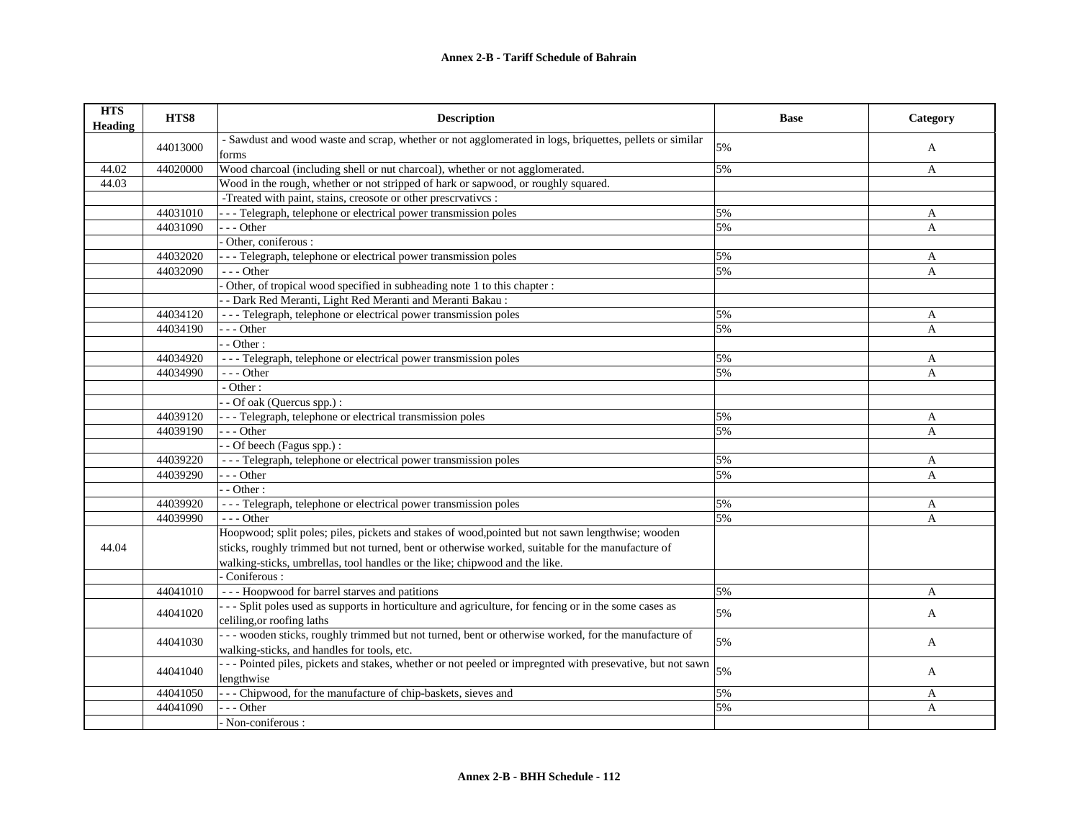| <b>HTS</b><br><b>Heading</b> | HTS8     | <b>Description</b>                                                                                                                                 | <b>Base</b> | Category     |
|------------------------------|----------|----------------------------------------------------------------------------------------------------------------------------------------------------|-------------|--------------|
|                              | 44013000 | - Sawdust and wood waste and scrap, whether or not agglomerated in logs, briquettes, pellets or similar<br>forms                                   | 5%          | A            |
| 44.02                        | 44020000 | Wood charcoal (including shell or nut charcoal), whether or not agglomerated.                                                                      | 5%          | A            |
| 44.03                        |          | Wood in the rough, whether or not stripped of hark or sapwood, or roughly squared.                                                                 |             |              |
|                              |          | -Treated with paint, stains, creosote or other prescrvatives :                                                                                     |             |              |
|                              | 44031010 | - - - Telegraph, telephone or electrical power transmission poles                                                                                  | 5%          | A            |
|                              | 44031090 | $- -$ Other                                                                                                                                        | 5%          | A            |
|                              |          | Other, coniferous :                                                                                                                                |             |              |
|                              | 44032020 | - - Telegraph, telephone or electrical power transmission poles                                                                                    | 5%          | A            |
|                              | 44032090 | $- -$ Other                                                                                                                                        | 5%          | A            |
|                              |          | Other, of tropical wood specified in subheading note 1 to this chapter :                                                                           |             |              |
|                              |          | - Dark Red Meranti, Light Red Meranti and Meranti Bakau:                                                                                           |             |              |
|                              | 44034120 | --- Telegraph, telephone or electrical power transmission poles                                                                                    | 5%          | A            |
|                              | 44034190 | $-$ - Other                                                                                                                                        | 5%          | $\mathbf{A}$ |
|                              |          | $-$ Other :                                                                                                                                        |             |              |
|                              | 44034920 | --- Telegraph, telephone or electrical power transmission poles                                                                                    | 5%          | A            |
|                              | 44034990 | --- Other                                                                                                                                          | 5%          | A            |
|                              |          | - Other:                                                                                                                                           |             |              |
|                              |          | - Of oak (Quercus spp.) :                                                                                                                          |             |              |
|                              | 44039120 | - - Telegraph, telephone or electrical transmission poles                                                                                          | 5%          | A            |
|                              | 44039190 | $- -$ Other                                                                                                                                        | 5%          | A            |
|                              |          | - Of beech (Fagus spp.) :                                                                                                                          |             |              |
|                              | 44039220 | --- Telegraph, telephone or electrical power transmission poles                                                                                    | 5%          | A            |
|                              | 44039290 | $- -$ Other                                                                                                                                        | 5%          | A            |
|                              |          | $-$ Other :                                                                                                                                        |             |              |
|                              | 44039920 | --- Telegraph, telephone or electrical power transmission poles                                                                                    | 5%          | A            |
|                              | 44039990 | $- -$ Other                                                                                                                                        | 5%          | A            |
|                              |          | Hoopwood; split poles; piles, pickets and stakes of wood, pointed but not sawn lengthwise; wooden                                                  |             |              |
| 44.04                        |          | sticks, roughly trimmed but not turned, bent or otherwise worked, suitable for the manufacture of                                                  |             |              |
|                              |          | walking-sticks, umbrellas, tool handles or the like; chipwood and the like.                                                                        |             |              |
|                              |          | - Coniferous :                                                                                                                                     |             |              |
|                              | 44041010 | --- Hoopwood for barrel starves and patitions                                                                                                      | 5%          | A            |
|                              |          | -- Split poles used as supports in horticulture and agriculture, for fencing or in the some cases as                                               |             |              |
|                              | 44041020 | celiling, or roofing laths                                                                                                                         | 5%          | A            |
|                              | 44041030 | --- wooden sticks, roughly trimmed but not turned, bent or otherwise worked, for the manufacture of<br>walking-sticks, and handles for tools, etc. | 5%          | A            |
|                              | 44041040 | --- Pointed piles, pickets and stakes, whether or not peeled or impregnted with presevative, but not sawn                                          | 5%          |              |
|                              |          | lengthwise                                                                                                                                         |             | A            |
|                              | 44041050 | -- Chipwood, for the manufacture of chip-baskets, sieves and                                                                                       | 5%          | A            |
|                              | 44041090 | $-$ - Other                                                                                                                                        | 5%          | A            |
|                              |          | - Non-coniferous :                                                                                                                                 |             |              |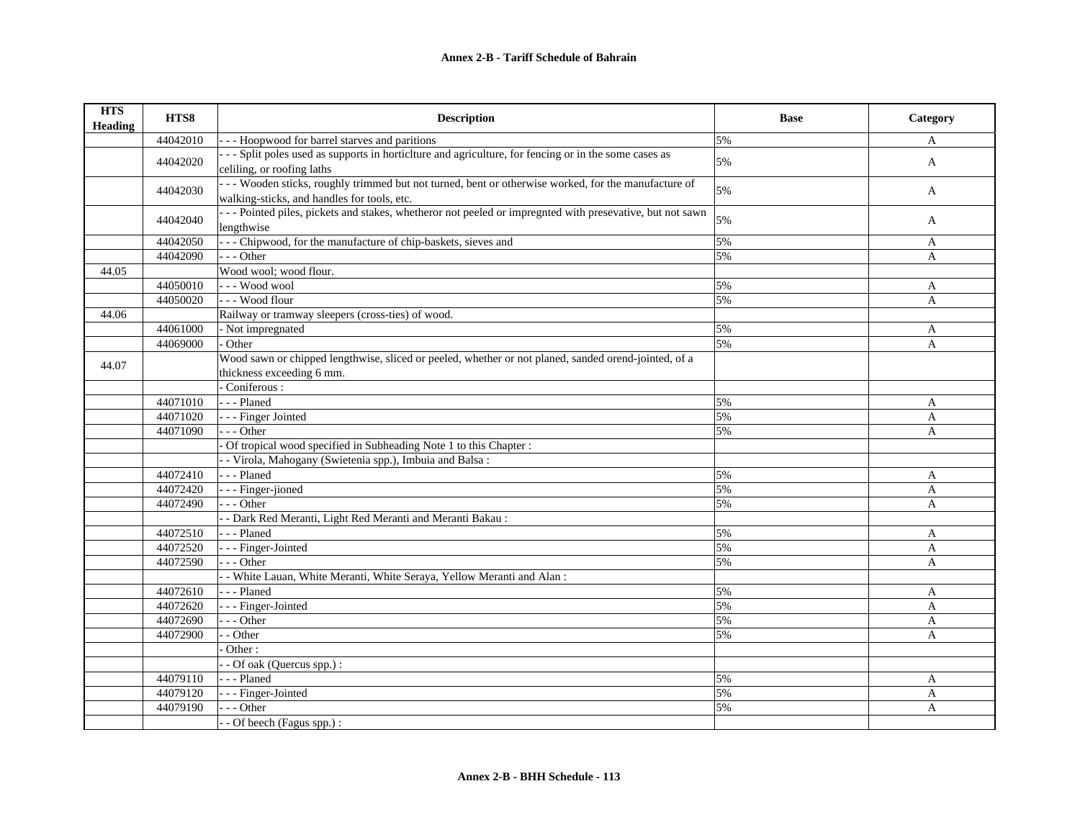| <b>HTS</b><br><b>Heading</b> | HTS8     | <b>Description</b>                                                                                                                                 | <b>Base</b> | Category     |
|------------------------------|----------|----------------------------------------------------------------------------------------------------------------------------------------------------|-------------|--------------|
|                              | 44042010 | - - - Hoopwood for barrel starves and paritions                                                                                                    | 5%          | A            |
|                              | 44042020 | --- Split poles used as supports in horticiture and agriculture, for fencing or in the some cases as<br>celiling, or roofing laths                 | 5%          | A            |
|                              | 44042030 | --- Wooden sticks, roughly trimmed but not turned, bent or otherwise worked, for the manufacture of<br>walking-sticks, and handles for tools, etc. | 5%          | A            |
|                              | 44042040 | --- Pointed piles, pickets and stakes, whetheror not peeled or impregnted with presevative, but not sawn<br>lengthwise                             | 5%          | A            |
|                              | 44042050 | --- Chipwood, for the manufacture of chip-baskets, sieves and                                                                                      | 5%          | A            |
|                              | 44042090 | $- -$ Other                                                                                                                                        | 5%          | A            |
| 44.05                        |          | Wood wool; wood flour.                                                                                                                             |             |              |
|                              | 44050010 | --- Wood wool                                                                                                                                      | 5%          | A            |
|                              | 44050020 | --- Wood flour                                                                                                                                     | 5%          | $\mathbf{A}$ |
| 44.06                        |          | Railway or tramway sleepers (cross-ties) of wood.                                                                                                  |             |              |
|                              | 44061000 | - Not impregnated                                                                                                                                  | 5%          | A            |
|                              | 44069000 | Other                                                                                                                                              | 5%          | A            |
| 44.07                        |          | Wood sawn or chipped lengthwise, sliced or peeled, whether or not planed, sanded orend-jointed, of a                                               |             |              |
|                              |          | thickness exceeding 6 mm.                                                                                                                          |             |              |
|                              |          | Coniferous:                                                                                                                                        |             |              |
|                              | 44071010 | - - - Planed                                                                                                                                       | 5%          | A            |
|                              | 44071020 | - - - Finger Jointed                                                                                                                               | 5%          | A            |
|                              | 44071090 | $- -$ Other                                                                                                                                        | 5%          | A            |
|                              |          | Of tropical wood specified in Subheading Note 1 to this Chapter :                                                                                  |             |              |
|                              |          | - Virola, Mahogany (Swietenia spp.), Imbuia and Balsa:                                                                                             |             |              |
|                              | 44072410 | --- Planed                                                                                                                                         | 5%          | A            |
|                              | 44072420 | - - - Finger-jioned                                                                                                                                | 5%          | $\mathbf{A}$ |
|                              | 44072490 | $- -$ Other                                                                                                                                        | 5%          | A            |
|                              |          | - - Dark Red Meranti, Light Red Meranti and Meranti Bakau:                                                                                         |             |              |
|                              | 44072510 | - - - Planed                                                                                                                                       | 5%          | A            |
|                              | 44072520 | - - - Finger-Jointed                                                                                                                               | 5%          | $\mathbf{A}$ |
|                              | 44072590 | $- -$ Other                                                                                                                                        | 5%          | A            |
|                              |          | - White Lauan, White Meranti, White Seraya, Yellow Meranti and Alan:                                                                               |             |              |
|                              | 44072610 | - - - Planed                                                                                                                                       | 5%          | A            |
|                              | 44072620 | - - - Finger-Jointed                                                                                                                               | 5%          | $\mathbf{A}$ |
|                              | 44072690 | $- -$ Other                                                                                                                                        | 5%          | A            |
|                              | 44072900 | - Other                                                                                                                                            | 5%          | A            |
|                              |          | Other:                                                                                                                                             |             |              |
|                              |          | - Of oak (Quercus spp.) :                                                                                                                          |             |              |
|                              | 44079110 | --- Planed                                                                                                                                         | 5%          | A            |
|                              | 44079120 | - - - Finger-Jointed                                                                                                                               | 5%          | A            |
|                              | 44079190 | --- Other                                                                                                                                          | 5%          | A            |
|                              |          | - Of beech (Fagus spp.) :                                                                                                                          |             |              |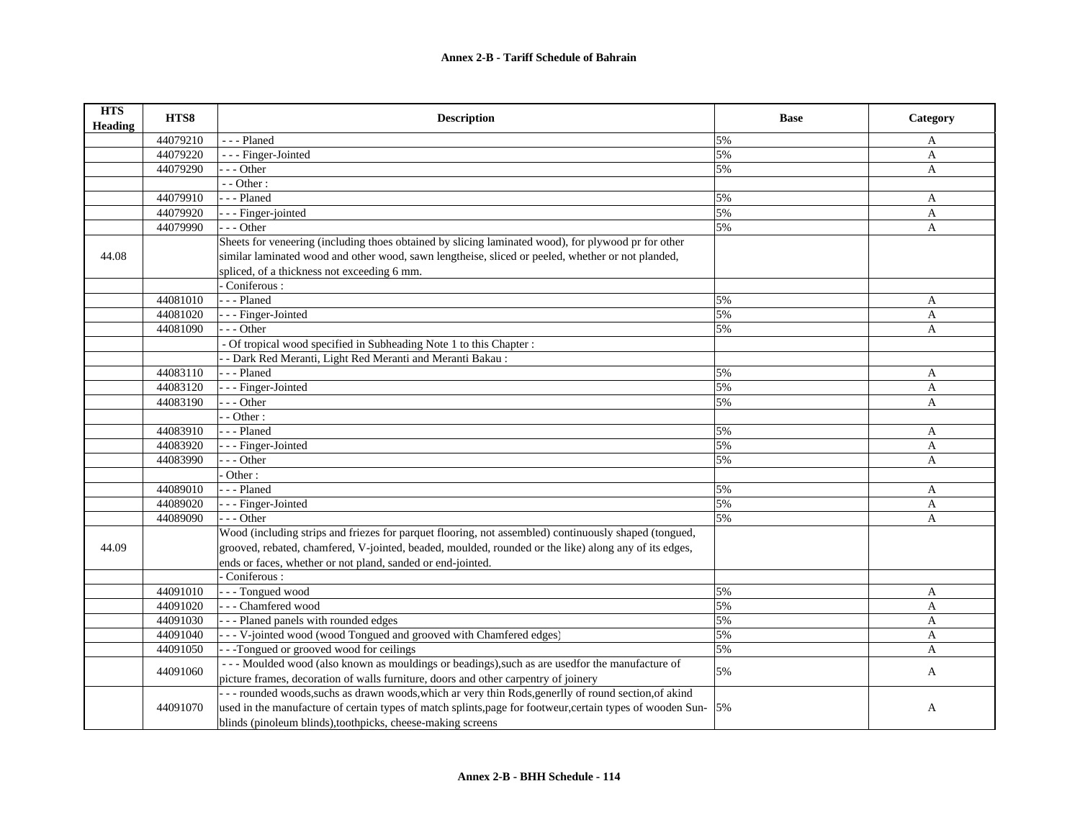## **Annex 2-B - Tariff Schedule of Bahrain**

| <b>HTS</b><br><b>Heading</b> | HTS8     | <b>Description</b>                                                                                            | <b>Base</b> | Category     |
|------------------------------|----------|---------------------------------------------------------------------------------------------------------------|-------------|--------------|
|                              | 44079210 | --- Planed                                                                                                    | 5%          | A            |
|                              | 44079220 | - - - Finger-Jointed                                                                                          | 5%          | $\mathbf{A}$ |
|                              | 44079290 | - - - Other                                                                                                   | 5%          | $\mathbf{A}$ |
|                              |          | - - Other:                                                                                                    |             |              |
|                              | 44079910 | - - - Planed                                                                                                  | 5%          | A            |
|                              | 44079920 | - - - Finger-jointed                                                                                          | 5%          | A            |
|                              | 44079990 | $- -$ Other                                                                                                   | 5%          | $\mathbf{A}$ |
|                              |          | Sheets for veneering (including thoes obtained by slicing laminated wood), for plywood pr for other           |             |              |
| 44.08                        |          | similar laminated wood and other wood, sawn lengtheise, sliced or peeled, whether or not planded,             |             |              |
|                              |          | spliced, of a thickness not exceeding 6 mm.                                                                   |             |              |
|                              |          | Coniferous:                                                                                                   |             |              |
|                              | 44081010 | --- Planed                                                                                                    | 5%          | A            |
|                              | 44081020 | - - - Finger-Jointed                                                                                          | 5%          | A            |
|                              | 44081090 | $- -$ Other                                                                                                   | 5%          | A            |
|                              |          | - Of tropical wood specified in Subheading Note 1 to this Chapter :                                           |             |              |
|                              |          | - Dark Red Meranti, Light Red Meranti and Meranti Bakau:                                                      |             |              |
|                              | 44083110 | --- Planed                                                                                                    | 5%          | A            |
|                              | 44083120 | - - - Finger-Jointed                                                                                          | 5%          | $\mathbf{A}$ |
|                              | 44083190 | $- -$ Other                                                                                                   | 5%          | $\mathbf{A}$ |
|                              |          | $-$ - Other :                                                                                                 |             |              |
|                              | 44083910 | --- Planed                                                                                                    | 5%          | A            |
|                              | 44083920 | - - Finger-Jointed                                                                                            | 5%          | A            |
|                              | 44083990 | $-$ - Other                                                                                                   | 5%          | $\mathbf{A}$ |
|                              |          | Other:                                                                                                        |             |              |
|                              | 44089010 | --- Planed                                                                                                    | 5%          | A            |
|                              | 44089020 | - - - Finger-Jointed                                                                                          | 5%          | A            |
|                              | 44089090 | $- -$ Other                                                                                                   | 5%          | A            |
|                              |          | Wood (including strips and friezes for parquet flooring, not assembled) continuously shaped (tongued,         |             |              |
| 44.09                        |          | grooved, rebated, chamfered, V-jointed, beaded, moulded, rounded or the like) along any of its edges,         |             |              |
|                              |          | ends or faces, whether or not pland, sanded or end-jointed.                                                   |             |              |
|                              |          | Coniferous:                                                                                                   |             |              |
|                              | 44091010 | - - - Tongued wood                                                                                            | 5%          | A            |
|                              | 44091020 | --- Chamfered wood                                                                                            | 5%          | $\mathbf{A}$ |
|                              | 44091030 | --- Planed panels with rounded edges                                                                          | 5%          | A            |
|                              | 44091040 | - - - V-jointed wood (wood Tongued and grooved with Chamfered edges)                                          | 5%          | A            |
|                              | 44091050 | --Tongued or grooved wood for ceilings                                                                        | 5%          | A            |
|                              | 44091060 | --- Moulded wood (also known as mouldings or beadings), such as are used for the manufacture of               | 5%          | A            |
|                              |          | picture frames, decoration of walls furniture, doors and other carpentry of joinery                           |             |              |
|                              |          | --- rounded woods, suchs as drawn woods, which ar very thin Rods, generlly of round section, of akind         |             |              |
|                              | 44091070 | used in the manufacture of certain types of match splints, page for footweur, certain types of wooden Sun- 5% |             | A            |
|                              |          | blinds (pinoleum blinds), toothpicks, cheese-making screens                                                   |             |              |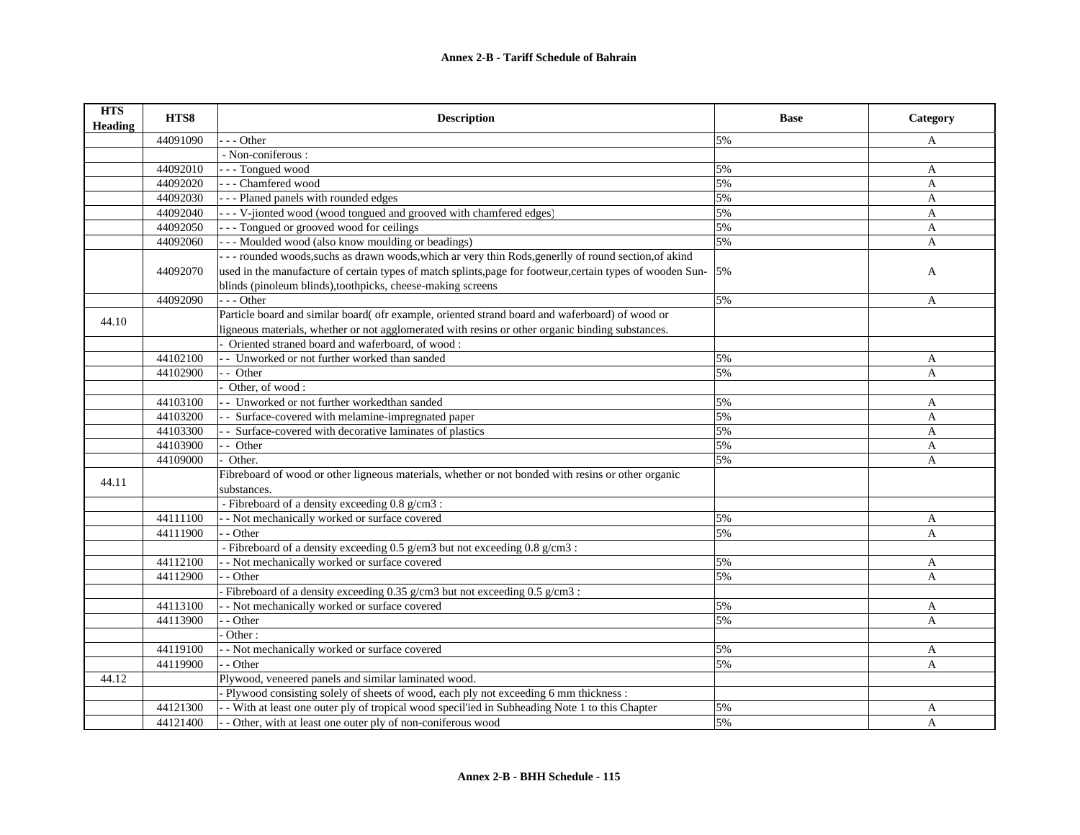| <b>HTS</b><br><b>Heading</b> | HTS8     | <b>Description</b>                                                                                            | <b>Base</b> | Category     |
|------------------------------|----------|---------------------------------------------------------------------------------------------------------------|-------------|--------------|
|                              | 44091090 | $-$ - Other                                                                                                   | 5%          | A            |
|                              |          | - Non-coniferous :                                                                                            |             |              |
|                              | 44092010 | - - - Tongued wood                                                                                            | 5%          | A            |
|                              | 44092020 | --- Chamfered wood                                                                                            | 5%          | $\mathbf{A}$ |
|                              | 44092030 | --- Planed panels with rounded edges                                                                          | 5%          | A            |
|                              | 44092040 | - - - V-jionted wood (wood tongued and grooved with chamfered edges)                                          | 5%          | A            |
|                              | 44092050 | --- Tongued or grooved wood for ceilings                                                                      | 5%          | $\mathbf{A}$ |
|                              | 44092060 | - - - Moulded wood (also know moulding or beadings)                                                           | 5%          | $\mathbf{A}$ |
|                              |          | --- rounded woods, suchs as drawn woods, which ar very thin Rods, generlly of round section, of akind         |             |              |
|                              | 44092070 | used in the manufacture of certain types of match splints, page for footweur, certain types of wooden Sun- 5% |             | A            |
|                              |          | blinds (pinoleum blinds), toothpicks, cheese-making screens                                                   |             |              |
|                              | 44092090 | $- -$ Other                                                                                                   | 5%          | A            |
|                              |          | Particle board and similar board( ofr example, oriented strand board and waferboard) of wood or               |             |              |
| 44.10                        |          | ligneous materials, whether or not agglomerated with resins or other organic binding substances.              |             |              |
|                              |          | Oriented straned board and waferboard, of wood:                                                               |             |              |
|                              | 44102100 | - Unworked or not further worked than sanded                                                                  | 5%          | A            |
|                              | 44102900 | - Other                                                                                                       | 5%          | A            |
|                              |          | Other, of wood:                                                                                               |             |              |
|                              | 44103100 | - Unworked or not further workedthan sanded                                                                   | 5%          | A            |
|                              | 44103200 | - Surface-covered with melamine-impregnated paper                                                             | 5%          | $\mathbf{A}$ |
|                              | 44103300 | - Surface-covered with decorative laminates of plastics                                                       | 5%          | A            |
|                              | 44103900 | - Other                                                                                                       | 5%          | A            |
|                              | 44109000 | Other.                                                                                                        | 5%          | $\mathbf{A}$ |
|                              |          | Fibreboard of wood or other ligneous materials, whether or not bonded with resins or other organic            |             |              |
| 44.11                        |          | substances.                                                                                                   |             |              |
|                              |          | - Fibreboard of a density exceeding 0.8 g/cm3:                                                                |             |              |
|                              | 44111100 | - Not mechanically worked or surface covered                                                                  | 5%          | A            |
|                              | 44111900 | - - Other                                                                                                     | 5%          | A            |
|                              |          | - Fibreboard of a density exceeding 0.5 g/em3 but not exceeding 0.8 g/cm3 :                                   |             |              |
|                              | 44112100 | - Not mechanically worked or surface covered                                                                  | 5%          | A            |
|                              | 44112900 | - Other                                                                                                       | 5%          | A            |
|                              |          | - Fibreboard of a density exceeding $0.35$ g/cm3 but not exceeding $0.5$ g/cm3:                               |             |              |
|                              | 44113100 | - Not mechanically worked or surface covered                                                                  | 5%          | A            |
|                              | 44113900 | $-$ Other                                                                                                     | 5%          | $\mathbf{A}$ |
|                              |          | Other:                                                                                                        |             |              |
|                              | 44119100 | - Not mechanically worked or surface covered                                                                  | 5%          | A            |
|                              | 44119900 | - Other                                                                                                       | 5%          | A            |
| 44.12                        |          | Plywood, veneered panels and similar laminated wood.                                                          |             |              |
|                              |          | Plywood consisting solely of sheets of wood, each ply not exceeding 6 mm thickness :                          |             |              |
|                              | 44121300 | - With at least one outer ply of tropical wood specil'ied in Subheading Note 1 to this Chapter                | 5%          | A            |
|                              | 44121400 | - Other, with at least one outer ply of non-coniferous wood                                                   | 5%          | $\mathbf{A}$ |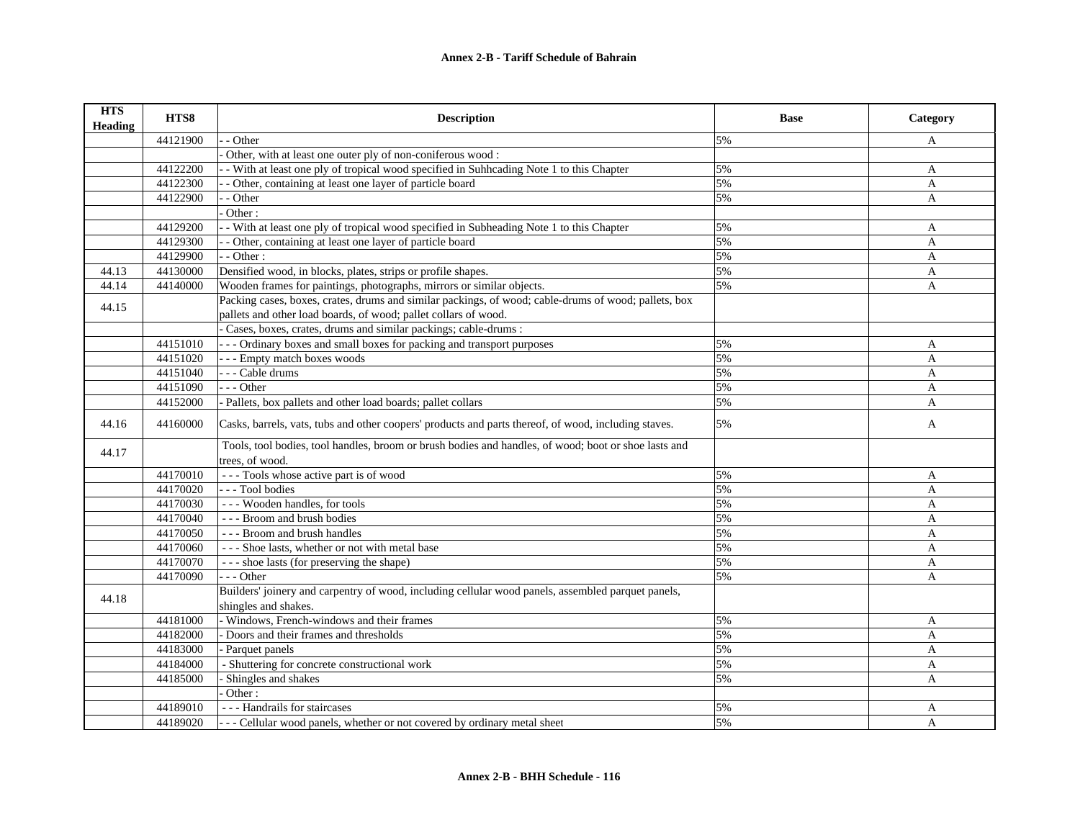| <b>HTS</b><br><b>Heading</b> | HTS8     | <b>Description</b>                                                                                                      | <b>Base</b> | Category     |
|------------------------------|----------|-------------------------------------------------------------------------------------------------------------------------|-------------|--------------|
|                              | 44121900 | - Other                                                                                                                 | 5%          | A            |
|                              |          | Other, with at least one outer ply of non-coniferous wood:                                                              |             |              |
|                              | 44122200 | - With at least one ply of tropical wood specified in Suhhcading Note 1 to this Chapter                                 | 5%          | $\mathbf{A}$ |
|                              | 44122300 | - Other, containing at least one layer of particle board                                                                | 5%          | A            |
|                              | 44122900 | - Other                                                                                                                 | 5%          | A            |
|                              |          | Other:                                                                                                                  |             |              |
|                              | 44129200 | - With at least one ply of tropical wood specified in Subheading Note 1 to this Chapter                                 | 5%          | A            |
|                              | 44129300 | - Other, containing at least one layer of particle board                                                                | 5%          | $\mathbf{A}$ |
|                              | 44129900 | - - Other:                                                                                                              | 5%          | A            |
| 44.13                        | 44130000 | Densified wood, in blocks, plates, strips or profile shapes.                                                            | 5%          | A            |
| 44.14                        | 44140000 | Wooden frames for paintings, photographs, mirrors or similar objects.                                                   | 5%          | A            |
| 44.15                        |          | Packing cases, boxes, crates, drums and similar packings, of wood; cable-drums of wood; pallets, box                    |             |              |
|                              |          | pallets and other load boards, of wood; pallet collars of wood.                                                         |             |              |
|                              |          | Cases, boxes, crates, drums and similar packings; cable-drums :                                                         |             |              |
|                              | 44151010 | --- Ordinary boxes and small boxes for packing and transport purposes                                                   | 5%          | A            |
|                              | 44151020 | --- Empty match boxes woods                                                                                             | 5%          | A            |
|                              | 44151040 | - - - Cable drums                                                                                                       | 5%          | A            |
|                              | 44151090 | --- Other                                                                                                               | 5%          | A            |
|                              | 44152000 | - Pallets, box pallets and other load boards; pallet collars                                                            | 5%          | A            |
| 44.16                        | 44160000 | Casks, barrels, vats, tubs and other coopers' products and parts thereof, of wood, including staves.                    | 5%          | A            |
| 44.17                        |          | Tools, tool bodies, tool handles, broom or brush bodies and handles, of wood; boot or shoe lasts and<br>trees, of wood. |             |              |
|                              | 44170010 | --- Tools whose active part is of wood                                                                                  | 5%          | A            |
|                              | 44170020 | --- Tool bodies                                                                                                         | 5%          | A            |
|                              | 44170030 | --- Wooden handles, for tools                                                                                           | 5%          | $\mathbf{A}$ |
|                              | 44170040 | --- Broom and brush bodies                                                                                              | 5%          | $\mathbf{A}$ |
|                              | 44170050 | --- Broom and brush handles                                                                                             | 5%          | A            |
|                              | 44170060 | --- Shoe lasts, whether or not with metal base                                                                          | 5%          | A            |
|                              | 44170070 | --- shoe lasts (for preserving the shape)                                                                               | 5%          | A            |
|                              | 44170090 | --- Other                                                                                                               | 5%          | A            |
| 44.18                        |          | Builders' joinery and carpentry of wood, including cellular wood panels, assembled parquet panels,                      |             |              |
|                              |          | shingles and shakes.                                                                                                    |             |              |
|                              | 44181000 | - Windows, French-windows and their frames                                                                              | 5%          | A            |
|                              | 44182000 | Doors and their frames and thresholds                                                                                   | 5%          | A            |
|                              | 44183000 | - Parquet panels                                                                                                        | 5%          | A            |
|                              | 44184000 | - Shuttering for concrete constructional work                                                                           | 5%          | A            |
|                              | 44185000 | Shingles and shakes                                                                                                     | 5%          | A            |
|                              |          | Other:                                                                                                                  |             |              |
|                              | 44189010 | --- Handrails for staircases                                                                                            | 5%          | A            |
|                              | 44189020 | --- Cellular wood panels, whether or not covered by ordinary metal sheet                                                | 5%          | $\mathbf{A}$ |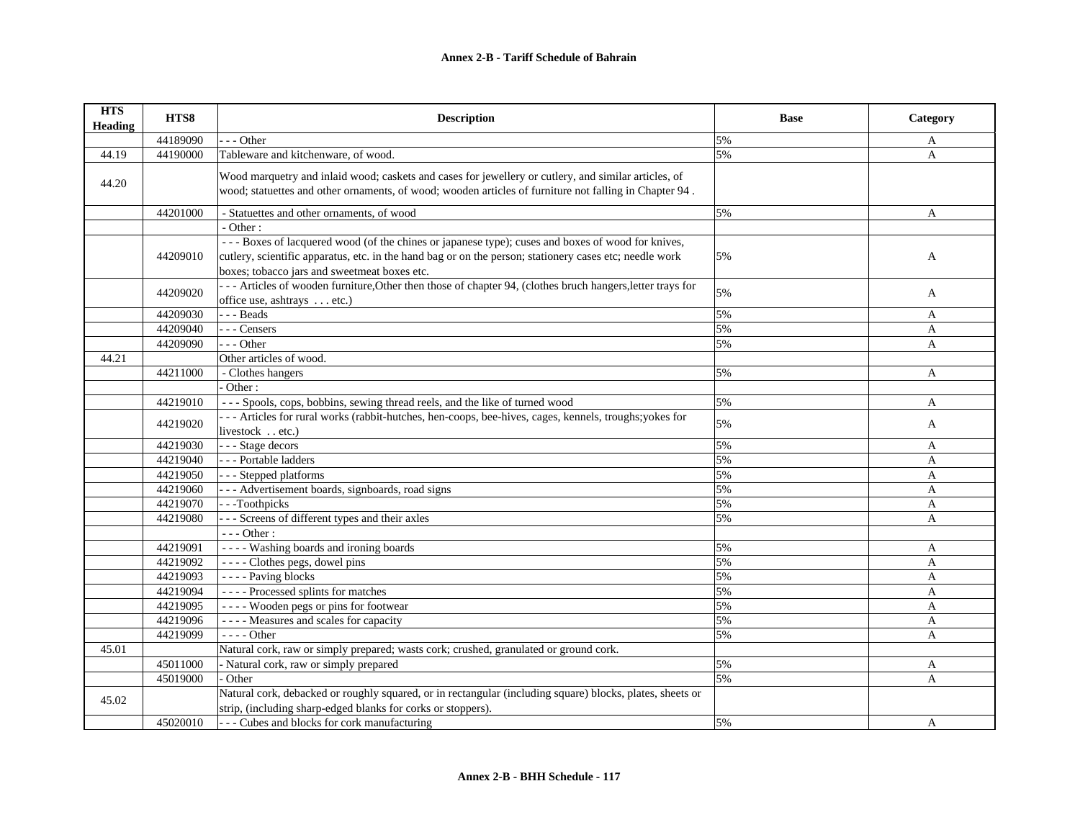| <b>HTS</b><br><b>Heading</b> | HTS8     | <b>Description</b>                                                                                                                                                                                                                                           | <b>Base</b> | Category     |
|------------------------------|----------|--------------------------------------------------------------------------------------------------------------------------------------------------------------------------------------------------------------------------------------------------------------|-------------|--------------|
|                              | 44189090 | $-$ - Other                                                                                                                                                                                                                                                  | 5%          | A            |
| 44.19                        | 44190000 | Tableware and kitchenware, of wood.                                                                                                                                                                                                                          | 5%          | A            |
| 44.20                        |          | Wood marquetry and inlaid wood; caskets and cases for jewellery or cutlery, and similar articles, of<br>wood; statuettes and other ornaments, of wood; wooden articles of furniture not falling in Chapter 94.                                               |             |              |
|                              | 44201000 | - Statuettes and other ornaments, of wood                                                                                                                                                                                                                    | 5%          | A            |
|                              |          | - Other:                                                                                                                                                                                                                                                     |             |              |
|                              | 44209010 | --- Boxes of lacquered wood (of the chines or japanese type); cuses and boxes of wood for knives,<br>cutlery, scientific apparatus, etc. in the hand bag or on the person; stationery cases etc; needle work<br>boxes; tobacco jars and sweetmeat boxes etc. | 5%          | A            |
|                              | 44209020 | --- Articles of wooden furniture, Other then those of chapter 94, (clothes bruch hangers, letter trays for<br>office use, ashtrays  etc.)                                                                                                                    | 5%          | A            |
|                              | 44209030 | $- -$ Beads                                                                                                                                                                                                                                                  | 5%          | A            |
|                              | 44209040 | --- Censers                                                                                                                                                                                                                                                  | 5%          | A            |
|                              | 44209090 | $-- Other$                                                                                                                                                                                                                                                   | 5%          | A            |
| 44.21                        |          | Other articles of wood.                                                                                                                                                                                                                                      |             |              |
|                              | 44211000 | - Clothes hangers                                                                                                                                                                                                                                            | 5%          | A            |
|                              |          | Other:                                                                                                                                                                                                                                                       |             |              |
|                              | 44219010 | --- Spools, cops, bobbins, sewing thread reels, and the like of turned wood                                                                                                                                                                                  | 5%          | A            |
|                              | 44219020 | --- Articles for rural works (rabbit-hutches, hen-coops, bee-hives, cages, kennels, troughs; yokes for<br>livestock etc.)                                                                                                                                    | 5%          | A            |
|                              | 44219030 | - - - Stage decors                                                                                                                                                                                                                                           | 5%          | A            |
|                              | 44219040 | --- Portable ladders                                                                                                                                                                                                                                         | 5%          | A            |
|                              | 44219050 | --- Stepped platforms                                                                                                                                                                                                                                        | 5%          | $\mathbf{A}$ |
|                              | 44219060 | --- Advertisement boards, signboards, road signs                                                                                                                                                                                                             | 5%          | A            |
|                              | 44219070 | --Toothpicks                                                                                                                                                                                                                                                 | 5%          | $\mathbf{A}$ |
|                              | 44219080 | - - - Screens of different types and their axles                                                                                                                                                                                                             | 5%          | $\mathbf{A}$ |
|                              |          | - - - Other :                                                                                                                                                                                                                                                |             |              |
|                              | 44219091 | ---- Washing boards and ironing boards                                                                                                                                                                                                                       | 5%          | A            |
|                              | 44219092 | ---- Clothes pegs, dowel pins                                                                                                                                                                                                                                | 5%          | A            |
|                              | 44219093 | - - - - Paving blocks                                                                                                                                                                                                                                        | 5%          | A            |
|                              | 44219094 | ---- Processed splints for matches                                                                                                                                                                                                                           | 5%          | A            |
|                              | 44219095 | ---- Wooden pegs or pins for footwear                                                                                                                                                                                                                        | 5%          | A            |
|                              | 44219096 | ---- Measures and scales for capacity                                                                                                                                                                                                                        | 5%          | $\mathbf{A}$ |
|                              | 44219099 | - - - - Other                                                                                                                                                                                                                                                | 5%          | $\mathbf{A}$ |
| 45.01                        |          | Natural cork, raw or simply prepared; wasts cork; crushed, granulated or ground cork.                                                                                                                                                                        |             |              |
|                              | 45011000 | - Natural cork, raw or simply prepared                                                                                                                                                                                                                       | 5%          | A            |
|                              | 45019000 | Other                                                                                                                                                                                                                                                        | 5%          | A            |
| 45.02                        |          | Natural cork, debacked or roughly squared, or in rectangular (including square) blocks, plates, sheets or<br>strip, (including sharp-edged blanks for corks or stoppers).                                                                                    |             |              |
|                              | 45020010 | - - - Cubes and blocks for cork manufacturing                                                                                                                                                                                                                | 5%          | A            |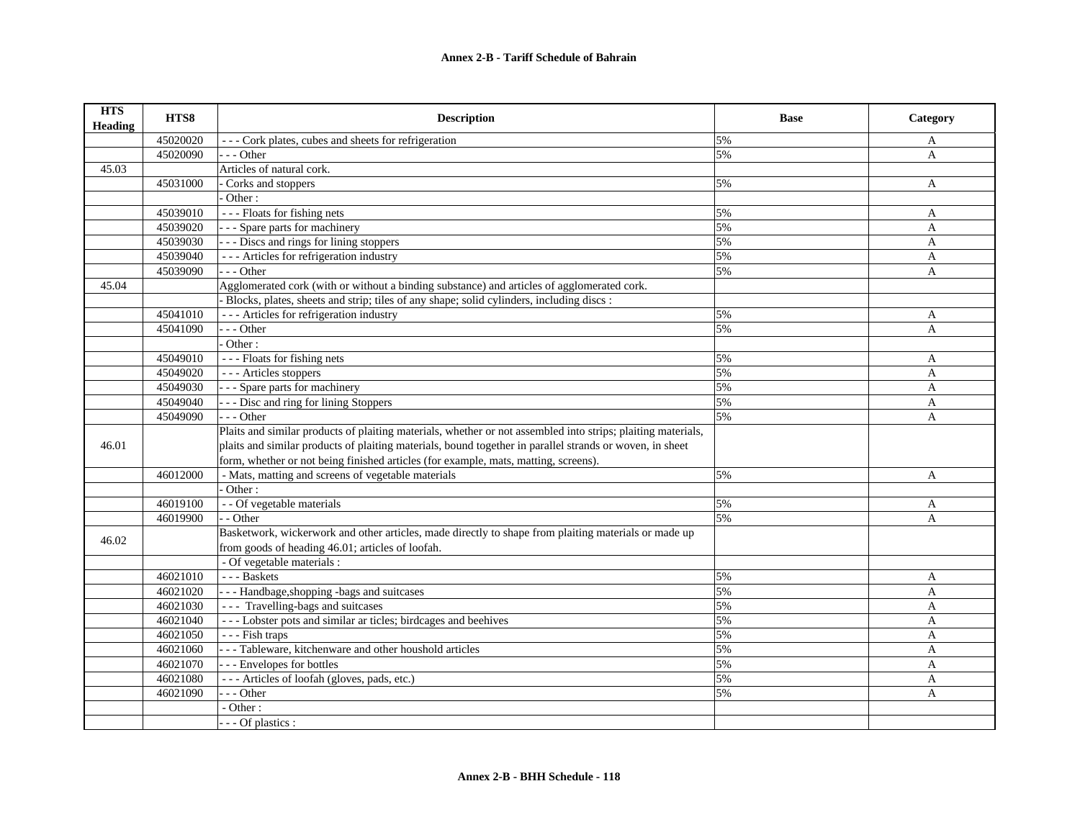| <b>HTS</b><br>Heading | HTS8     | <b>Description</b>                                                                                           | <b>Base</b> | Category     |
|-----------------------|----------|--------------------------------------------------------------------------------------------------------------|-------------|--------------|
|                       | 45020020 | --- Cork plates, cubes and sheets for refrigeration                                                          | 5%          | A            |
|                       | 45020090 | --- Other                                                                                                    | 5%          | A            |
| 45.03                 |          | Articles of natural cork.                                                                                    |             |              |
|                       | 45031000 | Corks and stoppers                                                                                           | 5%          | A            |
|                       |          | Other:                                                                                                       |             |              |
|                       | 45039010 | --- Floats for fishing nets                                                                                  | 5%          | A            |
|                       | 45039020 | - - - Spare parts for machinery                                                                              | 5%          | A            |
|                       | 45039030 | - - - Discs and rings for lining stoppers                                                                    | 5%          | $\mathbf{A}$ |
|                       | 45039040 | --- Articles for refrigeration industry                                                                      | 5%          | A            |
|                       | 45039090 | $- -$ Other                                                                                                  | 5%          | A            |
| 45.04                 |          | Agglomerated cork (with or without a binding substance) and articles of agglomerated cork.                   |             |              |
|                       |          | Blocks, plates, sheets and strip; tiles of any shape; solid cylinders, including discs :                     |             |              |
|                       | 45041010 | --- Articles for refrigeration industry                                                                      | 5%          | A            |
|                       | 45041090 | $-$ - Other                                                                                                  | 5%          | A            |
|                       |          | Other:                                                                                                       |             |              |
|                       | 45049010 | $\overline{-}$ - - Floats for fishing nets                                                                   | 5%          | A            |
|                       | 45049020 | --- Articles stoppers                                                                                        | 5%          | A            |
|                       | 45049030 | - - - Spare parts for machinery                                                                              | 5%          | $\mathbf{A}$ |
|                       | 45049040 | - - - Disc and ring for lining Stoppers                                                                      | 5%          | $\mathbf{A}$ |
|                       | 45049090 | $- -$ Other                                                                                                  | 5%          | A            |
|                       |          | Plaits and similar products of plaiting materials, whether or not assembled into strips; plaiting materials, |             |              |
| 46.01                 |          | plaits and similar products of plaiting materials, bound together in parallel strands or woven, in sheet     |             |              |
|                       |          | form, whether or not being finished articles (for example, mats, matting, screens).                          |             |              |
|                       | 46012000 | - Mats, matting and screens of vegetable materials                                                           | 5%          | A            |
|                       |          | Other:                                                                                                       |             |              |
|                       | 46019100 | - - Of vegetable materials                                                                                   | 5%          | A            |
|                       | 46019900 | - Other                                                                                                      | 5%          | $\mathbf{A}$ |
| 46.02                 |          | Basketwork, wickerwork and other articles, made directly to shape from plaiting materials or made up         |             |              |
|                       |          | from goods of heading 46.01; articles of loofah.                                                             |             |              |
|                       |          | - Of vegetable materials :                                                                                   |             |              |
|                       | 46021010 | --- Baskets                                                                                                  | 5%          | $\mathbf{A}$ |
|                       | 46021020 | - - - Handbage, shopping -bags and suitcases                                                                 | 5%          | $\mathbf{A}$ |
|                       | 46021030 | --- Travelling-bags and suitcases                                                                            | 5%          | A            |
|                       | 46021040 | --- Lobster pots and similar ar ticles; birdcages and beehives                                               | 5%          | A            |
|                       | 46021050 | - - - Fish traps                                                                                             | 5%          | A            |
|                       | 46021060 | --- Tableware, kitchenware and other houshold articles                                                       | 5%          | A            |
|                       | 46021070 | --- Envelopes for bottles                                                                                    | 5%          | A            |
|                       | 46021080 | --- Articles of loofah (gloves, pads, etc.)                                                                  | 5%          | A            |
|                       | 46021090 | $-$ - Other                                                                                                  | 5%          | A            |
|                       |          | - Other:                                                                                                     |             |              |
|                       |          | - - Of plastics :                                                                                            |             |              |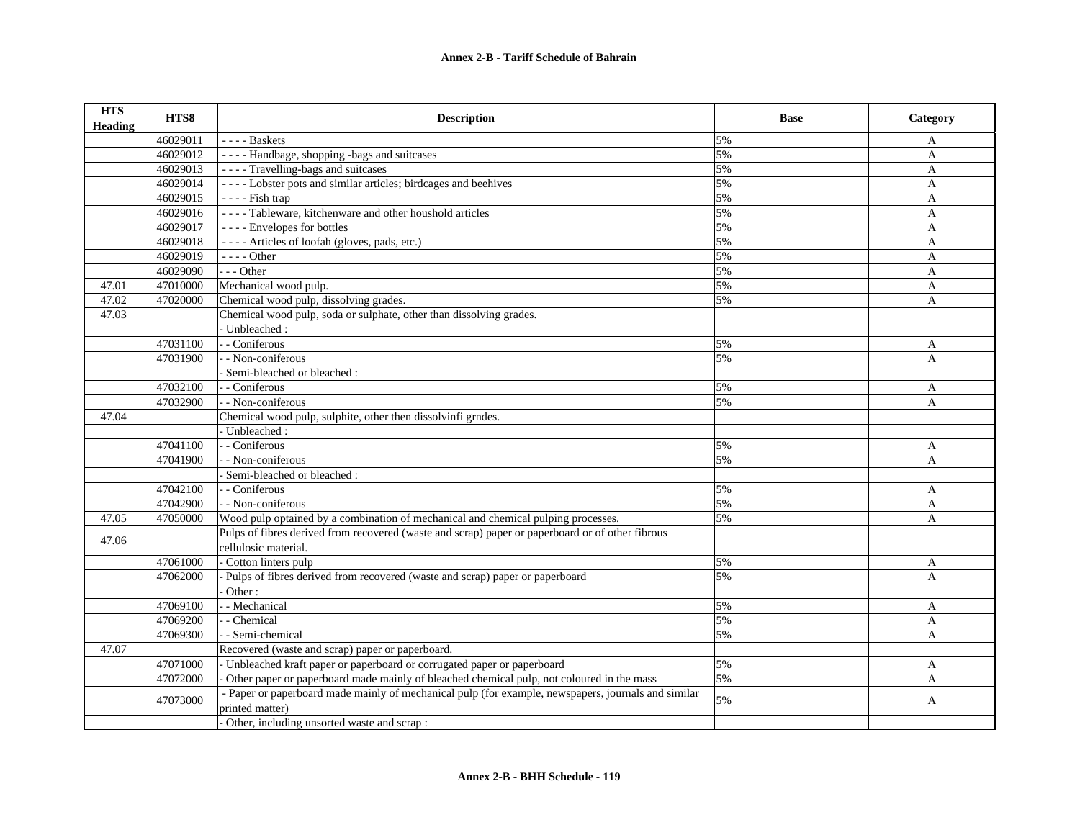| <b>HTS</b><br><b>Heading</b> | HTS8     | <b>Description</b>                                                                                                     | <b>Base</b> | Category                  |
|------------------------------|----------|------------------------------------------------------------------------------------------------------------------------|-------------|---------------------------|
|                              | 46029011 | $---$ Baskets                                                                                                          | 5%          | A                         |
|                              | 46029012 | ---- Handbage, shopping -bags and suitcases                                                                            | 5%          | A                         |
|                              | 46029013 | ---- Travelling-bags and suitcases                                                                                     | 5%          | $\mathbf{A}$              |
|                              | 46029014 | ---- Lobster pots and similar articles; birdcages and beehives                                                         | 5%          | A                         |
|                              | 46029015 | $---$ Fish trap                                                                                                        | 5%          | $\mathbf{A}$              |
|                              | 46029016 | ---- Tableware, kitchenware and other houshold articles                                                                | 5%          | $\mathbf{A}$              |
|                              | 46029017 | ---- Envelopes for bottles                                                                                             | 5%          | A                         |
|                              | 46029018 | ---- Articles of loofah (gloves, pads, etc.)                                                                           | 5%          | A                         |
|                              | 46029019 | $--- Other$                                                                                                            | 5%          | A                         |
|                              | 46029090 | $--$ Other                                                                                                             | 5%          | A                         |
| 47.01                        | 47010000 | Mechanical wood pulp.                                                                                                  | 5%          | $\mathbf{A}$              |
| 47.02                        | 47020000 | Chemical wood pulp, dissolving grades.                                                                                 | 5%          | $\mathbf{A}$              |
| 47.03                        |          | Chemical wood pulp, soda or sulphate, other than dissolving grades.                                                    |             |                           |
|                              |          | Unbleached:                                                                                                            |             |                           |
|                              | 47031100 | - - Coniferous                                                                                                         | 5%          | A                         |
|                              | 47031900 | - Non-coniferous                                                                                                       | 5%          | $\mathbf{A}$              |
|                              |          | Semi-bleached or bleached :                                                                                            |             |                           |
|                              | 47032100 | - - Coniferous                                                                                                         | 5%          | A                         |
|                              | 47032900 | - - Non-coniferous                                                                                                     | 5%          | $\mathbf{A}$              |
| 47.04                        |          | Chemical wood pulp, sulphite, other then dissolvinfi grndes.                                                           |             |                           |
|                              |          | Unbleached:                                                                                                            |             |                           |
|                              | 47041100 | - - Coniferous                                                                                                         | 5%          | A                         |
|                              | 47041900 | - Non-coniferous                                                                                                       | 5%          | $\mathbf{A}$              |
|                              |          | - Semi-bleached or bleached :                                                                                          |             |                           |
|                              | 47042100 | - Coniferous                                                                                                           | 5%          | A                         |
|                              | 47042900 | - - Non-coniferous                                                                                                     | 5%          | $\boldsymbol{\mathsf{A}}$ |
| 47.05                        | 47050000 | Wood pulp optained by a combination of mechanical and chemical pulping processes.                                      | 5%          | A                         |
| 47.06                        |          | Pulps of fibres derived from recovered (waste and scrap) paper or paperboard or of other fibrous                       |             |                           |
|                              |          | cellulosic material.                                                                                                   |             |                           |
|                              | 47061000 | Cotton linters pulp                                                                                                    | 5%          | A                         |
|                              | 47062000 | Pulps of fibres derived from recovered (waste and scrap) paper or paperboard                                           | 5%          | $\mathsf{A}$              |
|                              |          | Other:                                                                                                                 |             |                           |
|                              | 47069100 | - Mechanical                                                                                                           | 5%          | A                         |
|                              | 47069200 | - - Chemical                                                                                                           | 5%          | $\mathbf{A}$              |
|                              | 47069300 | - Semi-chemical                                                                                                        | 5%          | A                         |
| 47.07                        |          | Recovered (waste and scrap) paper or paperboard.                                                                       |             |                           |
|                              | 47071000 | - Unbleached kraft paper or paperboard or corrugated paper or paperboard                                               | 5%          | A                         |
|                              | 47072000 | Other paper or paperboard made mainly of bleached chemical pulp, not coloured in the mass                              | 5%          | A                         |
|                              | 47073000 | - Paper or paperboard made mainly of mechanical pulp (for example, newspapers, journals and similar<br>printed matter) | 5%          | A                         |
|                              |          | Other, including unsorted waste and scrap :                                                                            |             |                           |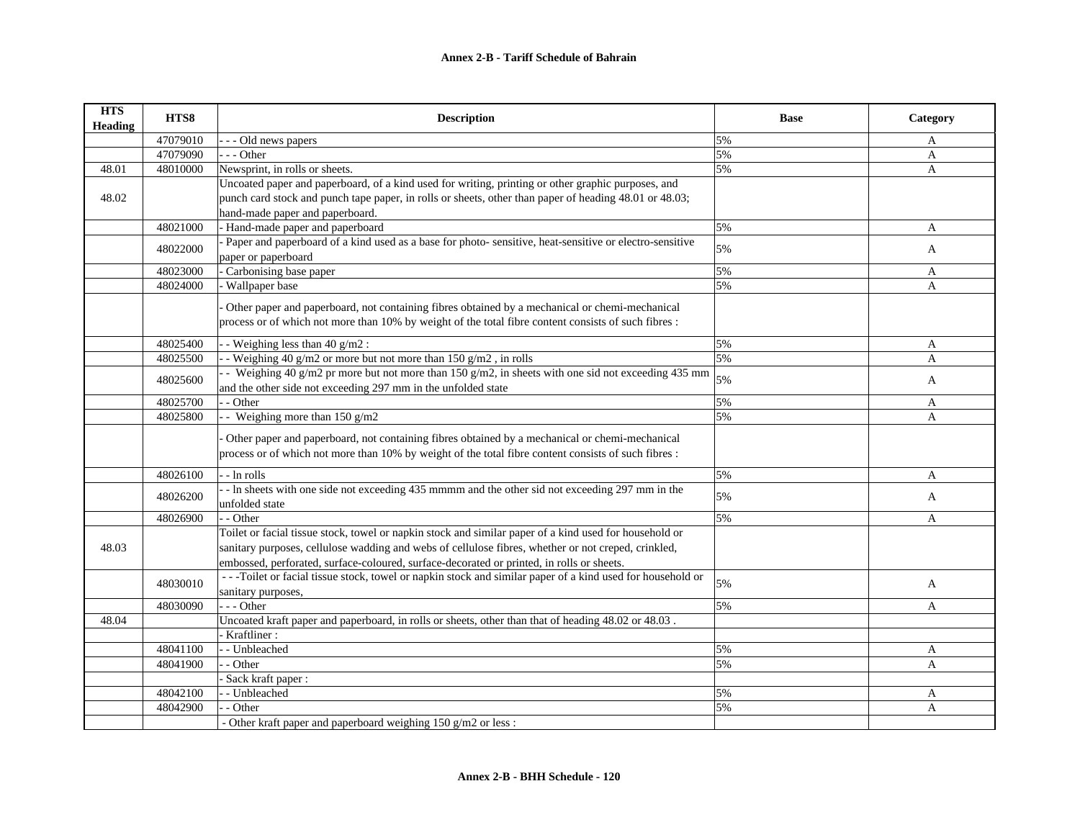## **Annex 2-B - Tariff Schedule of Bahrain**

| <b>HTS</b><br>Heading | HTS8     | <b>Description</b>                                                                                       | <b>Base</b> | Category     |
|-----------------------|----------|----------------------------------------------------------------------------------------------------------|-------------|--------------|
|                       | 47079010 | Old news papers                                                                                          | 5%          | A            |
|                       | 47079090 | - - Other                                                                                                | 5%          | A            |
| 48.01                 | 48010000 | Newsprint, in rolls or sheets.                                                                           | 5%          | A            |
|                       |          | Uncoated paper and paperboard, of a kind used for writing, printing or other graphic purposes, and       |             |              |
| 48.02                 |          | punch card stock and punch tape paper, in rolls or sheets, other than paper of heading 48.01 or 48.03;   |             |              |
|                       |          | hand-made paper and paperboard.                                                                          |             |              |
|                       | 48021000 | - Hand-made paper and paperboard                                                                         | 5%          | A            |
|                       | 48022000 | Paper and paperboard of a kind used as a base for photo-sensitive, heat-sensitive or electro-sensitive   | 5%          | A            |
|                       |          | paper or paperboard                                                                                      |             |              |
|                       | 48023000 | Carbonising base paper                                                                                   | 5%          | A            |
|                       | 48024000 | - Wallpaper base                                                                                         | 5%          | A            |
|                       |          | Other paper and paperboard, not containing fibres obtained by a mechanical or chemi-mechanical           |             |              |
|                       |          | process or of which not more than 10% by weight of the total fibre content consists of such fibres :     |             |              |
|                       |          |                                                                                                          |             |              |
|                       | 48025400 | - - Weighing less than 40 g/m2 :                                                                         | 5%          | A            |
|                       | 48025500 | - Weighing 40 g/m2 or more but not more than $150$ g/m2, in rolls                                        | 5%          | A            |
|                       | 48025600 | - Weighing 40 g/m2 pr more but not more than 150 g/m2, in sheets with one sid not exceeding 435 mm       | 5%          | $\mathbf{A}$ |
|                       |          | and the other side not exceeding 297 mm in the unfolded state                                            |             |              |
|                       | 48025700 | - Other                                                                                                  | 5%          | A            |
|                       | 48025800 | - - Weighing more than $150$ g/m2                                                                        | 5%          | A            |
|                       |          | Other paper and paperboard, not containing fibres obtained by a mechanical or chemi-mechanical           |             |              |
|                       |          | process or of which not more than 10% by weight of the total fibre content consists of such fibres :     |             |              |
|                       |          |                                                                                                          |             |              |
|                       | 48026100 | - - ln rolls                                                                                             | 5%          | A            |
|                       | 48026200 | -- In sheets with one side not exceeding 435 mmmm and the other sid not exceeding 297 mm in the          | 5%          | A            |
|                       |          | unfolded state                                                                                           |             |              |
|                       | 48026900 | - - Other                                                                                                | 5%          | A            |
|                       |          | Toilet or facial tissue stock, towel or napkin stock and similar paper of a kind used for household or   |             |              |
| 48.03                 |          | sanitary purposes, cellulose wadding and webs of cellulose fibres, whether or not creped, crinkled,      |             |              |
|                       |          | embossed, perforated, surface-coloured, surface-decorated or printed, in rolls or sheets.                |             |              |
|                       | 48030010 | --Toilet or facial tissue stock, towel or napkin stock and similar paper of a kind used for household or | 5%          | A            |
|                       |          | sanitary purposes,                                                                                       |             |              |
|                       | 48030090 | --- Other                                                                                                | 5%          | A            |
| 48.04                 |          | Uncoated kraft paper and paperboard, in rolls or sheets, other than that of heading 48.02 or 48.03.      |             |              |
|                       |          | - Kraftliner:                                                                                            |             |              |
|                       | 48041100 | - - Unbleached                                                                                           | 5%          | A            |
|                       | 48041900 | - Other                                                                                                  | 5%          | A            |
|                       |          | - Sack kraft paper:                                                                                      |             |              |
|                       | 48042100 | - - Unbleached                                                                                           | 5%          | A            |
|                       | 48042900 | - Other                                                                                                  | 5%          | A            |
|                       |          | - Other kraft paper and paperboard weighing 150 g/m2 or less :                                           |             |              |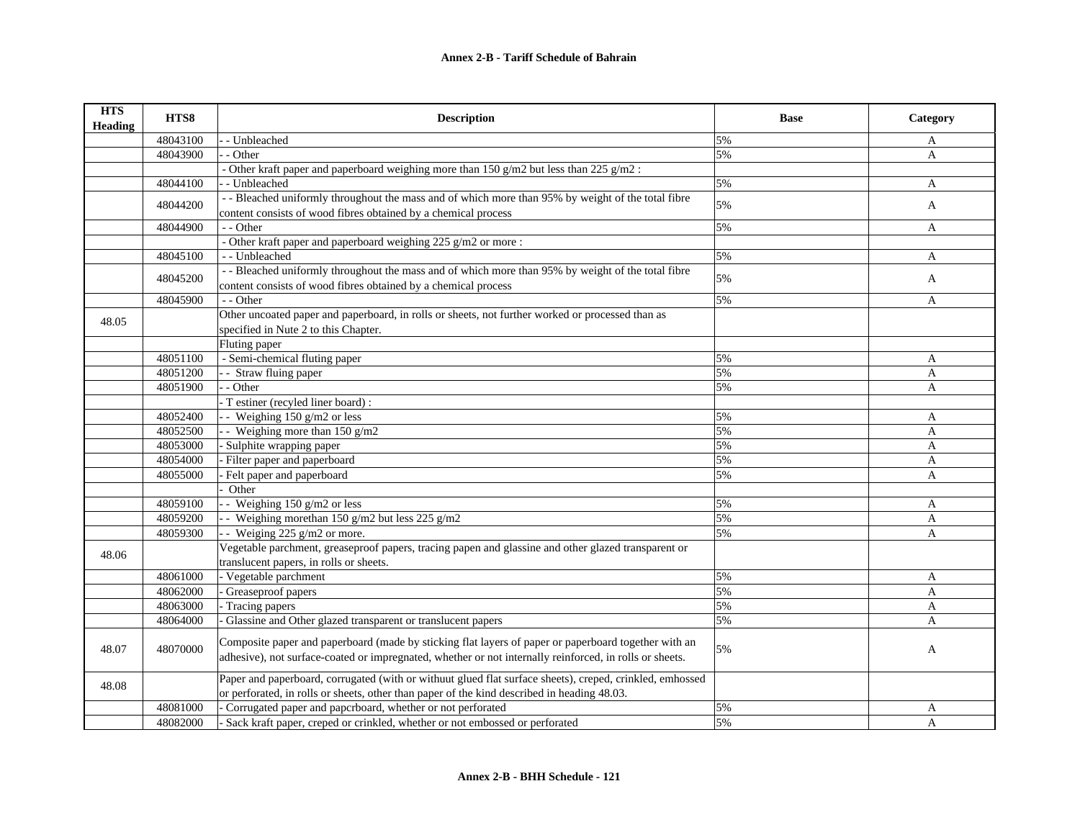| <b>HTS</b><br><b>Heading</b> | HTS8     | <b>Description</b>                                                                                                                                                                                              | <b>Base</b> | Category     |
|------------------------------|----------|-----------------------------------------------------------------------------------------------------------------------------------------------------------------------------------------------------------------|-------------|--------------|
|                              | 48043100 | - Unbleached                                                                                                                                                                                                    | 5%          | A            |
|                              | 48043900 | - Other                                                                                                                                                                                                         | 5%          | A            |
|                              |          | - Other kraft paper and paperboard weighing more than 150 $g/m2$ but less than 225 $g/m2$ :                                                                                                                     |             |              |
|                              | 48044100 | - Unbleached                                                                                                                                                                                                    | 5%          | A            |
|                              |          | - - Bleached uniformly throughout the mass and of which more than 95% by weight of the total fibre                                                                                                              |             |              |
|                              | 48044200 | content consists of wood fibres obtained by a chemical process                                                                                                                                                  | 5%          | A            |
|                              | 48044900 | - - Other                                                                                                                                                                                                       | 5%          | $\mathbf{A}$ |
|                              |          | - Other kraft paper and paperboard weighing 225 g/m2 or more :                                                                                                                                                  |             |              |
|                              | 48045100 | - - Unbleached                                                                                                                                                                                                  | 5%          | A            |
|                              |          | - - Bleached uniformly throughout the mass and of which more than 95% by weight of the total fibre                                                                                                              |             |              |
|                              | 48045200 | content consists of wood fibres obtained by a chemical process                                                                                                                                                  | 5%          | A            |
|                              | 48045900 | - - Other                                                                                                                                                                                                       | 5%          | A            |
|                              |          | Other uncoated paper and paperboard, in rolls or sheets, not further worked or processed than as                                                                                                                |             |              |
| 48.05                        |          | specified in Nute 2 to this Chapter.                                                                                                                                                                            |             |              |
|                              |          | Fluting paper                                                                                                                                                                                                   |             |              |
|                              | 48051100 | - Semi-chemical fluting paper                                                                                                                                                                                   | 5%          | A            |
|                              | 48051200 | - Straw fluing paper                                                                                                                                                                                            | 5%          | A            |
|                              | 48051900 | - Other                                                                                                                                                                                                         | 5%          | $\mathbf{A}$ |
|                              |          | - T estiner (recyled liner board) :                                                                                                                                                                             |             |              |
|                              | 48052400 | - Weighing $150$ g/m2 or less                                                                                                                                                                                   | 5%          | A            |
|                              | 48052500 | - Weighing more than $150 \text{ g/m2}$                                                                                                                                                                         | 5%          | A            |
|                              | 48053000 | Sulphite wrapping paper                                                                                                                                                                                         | 5%          | A            |
|                              | 48054000 | Filter paper and paperboard                                                                                                                                                                                     | 5%          | A            |
|                              | 48055000 | Felt paper and paperboard                                                                                                                                                                                       | 5%          | A            |
|                              |          | Other                                                                                                                                                                                                           |             |              |
|                              | 48059100 | - Weighing $150$ g/m2 or less                                                                                                                                                                                   | 5%          | A            |
|                              | 48059200 | - Weighing more than 150 g/m2 but less 225 g/m2                                                                                                                                                                 | 5%          | A            |
|                              | 48059300 | - Weiging 225 $g/m2$ or more.                                                                                                                                                                                   | 5%          | A            |
| 48.06                        |          | Vegetable parchment, greaseproof papers, tracing papen and glassine and other glazed transparent or                                                                                                             |             |              |
|                              |          | translucent papers, in rolls or sheets.                                                                                                                                                                         |             |              |
|                              | 48061000 | - Vegetable parchment                                                                                                                                                                                           | 5%          | A            |
|                              | 48062000 | Greaseproof papers                                                                                                                                                                                              | 5%          | A            |
|                              | 48063000 | Tracing papers                                                                                                                                                                                                  | 5%          | A            |
|                              | 48064000 | Glassine and Other glazed transparent or translucent papers                                                                                                                                                     | 5%          | A            |
| 48.07                        | 48070000 | Composite paper and paperboard (made by sticking flat layers of paper or paperboard together with an<br>adhesive), not surface-coated or impregnated, whether or not internally reinforced, in rolls or sheets. | 5%          | A            |
| 48.08                        |          | Paper and paperboard, corrugated (with or withuut glued flat surface sheets), creped, crinkled, emhossed<br>or perforated, in rolls or sheets, other than paper of the kind described in heading 48.03.         |             |              |
|                              | 48081000 | Corrugated paper and papcrboard, whether or not perforated                                                                                                                                                      | 5%          | A            |
|                              | 48082000 | Sack kraft paper, creped or crinkled, whether or not embossed or perforated                                                                                                                                     | 5%          | $\mathbf{A}$ |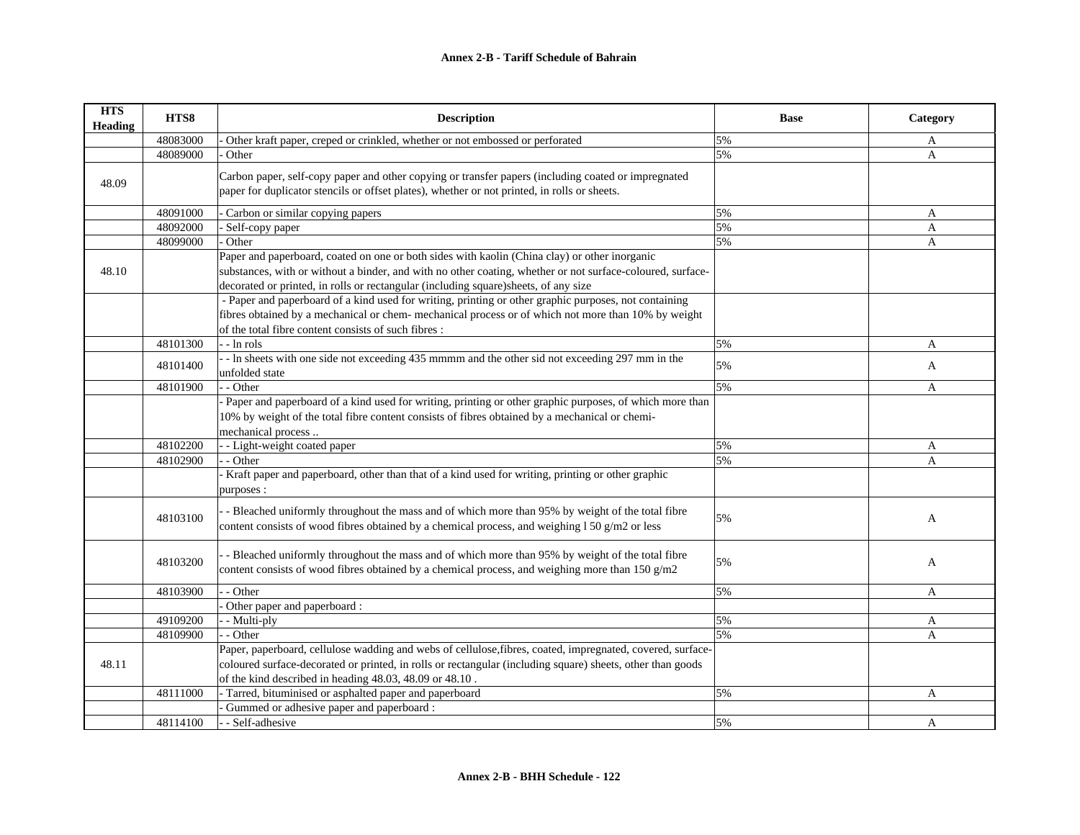| <b>HTS</b><br><b>Heading</b> | HTS8     | <b>Description</b>                                                                                                                                                                                                                                                                                 | <b>Base</b> | Category     |
|------------------------------|----------|----------------------------------------------------------------------------------------------------------------------------------------------------------------------------------------------------------------------------------------------------------------------------------------------------|-------------|--------------|
|                              | 48083000 | Other kraft paper, creped or crinkled, whether or not embossed or perforated                                                                                                                                                                                                                       | 5%          | A            |
|                              | 48089000 | Other                                                                                                                                                                                                                                                                                              | 5%          | A            |
| 48.09                        |          | Carbon paper, self-copy paper and other copying or transfer papers (including coated or impregnated<br>paper for duplicator stencils or offset plates), whether or not printed, in rolls or sheets.                                                                                                |             |              |
|                              | 48091000 | Carbon or similar copying papers                                                                                                                                                                                                                                                                   | 5%          | A            |
|                              | 48092000 | Self-copy paper                                                                                                                                                                                                                                                                                    | 5%          | A            |
|                              | 48099000 | Other                                                                                                                                                                                                                                                                                              | 5%          | A            |
| 48.10                        |          | Paper and paperboard, coated on one or both sides with kaolin (China clay) or other inorganic<br>substances, with or without a binder, and with no other coating, whether or not surface-coloured, surface-<br>decorated or printed, in rolls or rectangular (including square)sheets, of any size |             |              |
|                              |          | - Paper and paperboard of a kind used for writing, printing or other graphic purposes, not containing<br>fibres obtained by a mechanical or chem- mechanical process or of which not more than 10% by weight<br>of the total fibre content consists of such fibres :                               |             |              |
|                              | 48101300 | $\cdot$ - $\ln$ rols                                                                                                                                                                                                                                                                               | 5%          | A            |
|                              | 48101400 | - In sheets with one side not exceeding 435 mmmm and the other sid not exceeding 297 mm in the<br>unfolded state                                                                                                                                                                                   | 5%          | A            |
|                              | 48101900 | - Other                                                                                                                                                                                                                                                                                            | 5%          | A            |
|                              |          | Paper and paperboard of a kind used for writing, printing or other graphic purposes, of which more than<br>10% by weight of the total fibre content consists of fibres obtained by a mechanical or chemi-<br>mechanical process                                                                    |             |              |
|                              | 48102200 | - Light-weight coated paper                                                                                                                                                                                                                                                                        | 5%          | A            |
|                              | 48102900 | - Other                                                                                                                                                                                                                                                                                            | 5%          | A            |
|                              |          | - Kraft paper and paperboard, other than that of a kind used for writing, printing or other graphic<br>purposes :                                                                                                                                                                                  |             |              |
|                              | 48103100 | - Bleached uniformly throughout the mass and of which more than 95% by weight of the total fibre<br>content consists of wood fibres obtained by a chemical process, and weighing 1 50 g/m2 or less                                                                                                 | 5%          | A            |
|                              | 48103200 | - Bleached uniformly throughout the mass and of which more than 95% by weight of the total fibre<br>content consists of wood fibres obtained by a chemical process, and weighing more than $150 g/m2$                                                                                              | 5%          | A            |
|                              | 48103900 | - Other                                                                                                                                                                                                                                                                                            | 5%          | $\mathbf{A}$ |
|                              |          | Other paper and paperboard :                                                                                                                                                                                                                                                                       |             |              |
|                              | 49109200 | - Multi-ply                                                                                                                                                                                                                                                                                        | 5%          | A            |
|                              | 48109900 | - Other                                                                                                                                                                                                                                                                                            | 5%          | A            |
|                              |          | Paper, paperboard, cellulose wadding and webs of cellulose, fibres, coated, impregnated, covered, surface-                                                                                                                                                                                         |             |              |
| 48.11                        |          | coloured surface-decorated or printed, in rolls or rectangular (including square) sheets, other than goods                                                                                                                                                                                         |             |              |
|                              |          | of the kind described in heading 48.03, 48.09 or 48.10.                                                                                                                                                                                                                                            |             |              |
|                              | 48111000 | - Tarred, bituminised or asphalted paper and paperboard                                                                                                                                                                                                                                            | 5%          | A            |
|                              |          | Gummed or adhesive paper and paperboard :                                                                                                                                                                                                                                                          |             |              |
|                              | 48114100 | - Self-adhesive                                                                                                                                                                                                                                                                                    | 5%          | A            |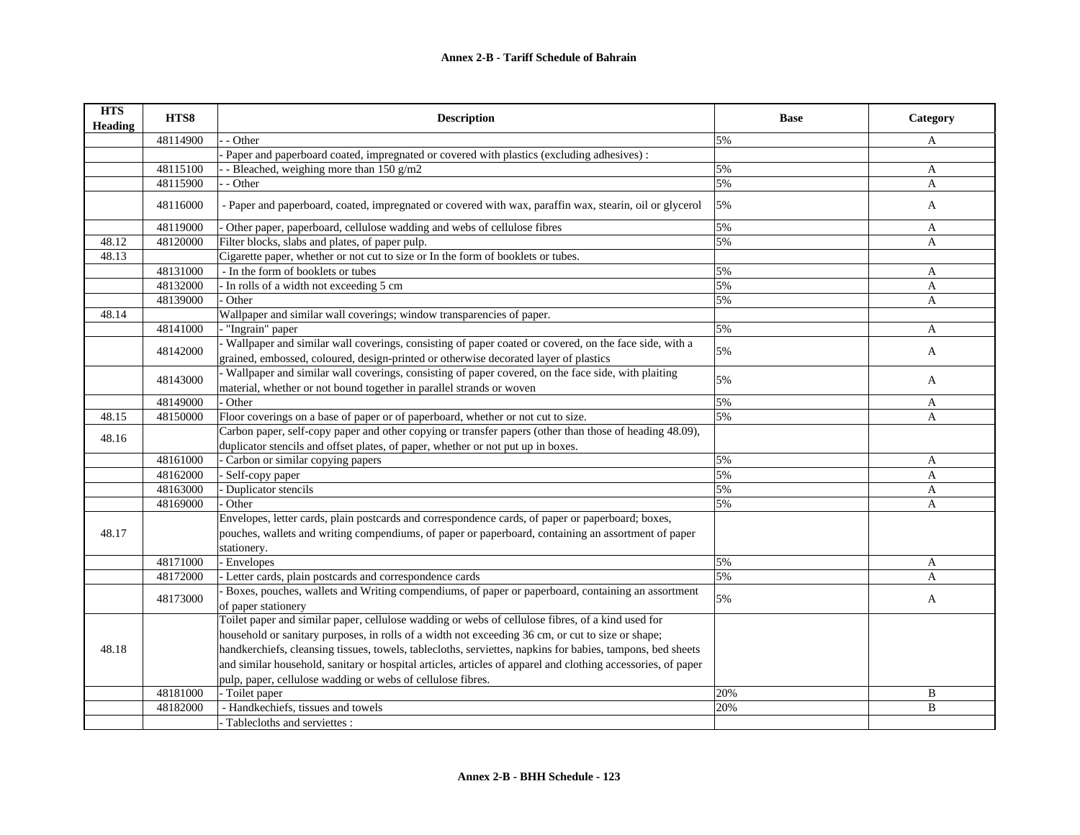| <b>HTS</b><br><b>Heading</b> | HTS8     | <b>Description</b>                                                                                                                                                                            | <b>Base</b> | Category |
|------------------------------|----------|-----------------------------------------------------------------------------------------------------------------------------------------------------------------------------------------------|-------------|----------|
|                              | 48114900 | - Other                                                                                                                                                                                       | 5%          | A        |
|                              |          | Paper and paperboard coated, impregnated or covered with plastics (excluding adhesives):                                                                                                      |             |          |
|                              | 48115100 | - Bleached, weighing more than 150 g/m2                                                                                                                                                       | 5%          | A        |
|                              | 48115900 | - Other                                                                                                                                                                                       | 5%          | A        |
|                              | 48116000 | - Paper and paperboard, coated, impregnated or covered with wax, paraffin wax, stearin, oil or glycerol                                                                                       | 5%          | A        |
|                              | 48119000 | Other paper, paperboard, cellulose wadding and webs of cellulose fibres                                                                                                                       | 5%          | A        |
| 48.12                        | 48120000 | Filter blocks, slabs and plates, of paper pulp.                                                                                                                                               | 5%          | A        |
| 48.13                        |          | Cigarette paper, whether or not cut to size or In the form of booklets or tubes.                                                                                                              |             |          |
|                              | 48131000 | - In the form of booklets or tubes                                                                                                                                                            | 5%          | A        |
|                              | 48132000 | - In rolls of a width not exceeding 5 cm                                                                                                                                                      | 5%          | A        |
|                              | 48139000 | Other                                                                                                                                                                                         | 5%          | A        |
| 48.14                        |          | Wallpaper and similar wall coverings; window transparencies of paper.                                                                                                                         |             |          |
|                              | 48141000 | - "Ingrain" paper                                                                                                                                                                             | 5%          | A        |
|                              | 48142000 | Wallpaper and similar wall coverings, consisting of paper coated or covered, on the face side, with a<br>grained, embossed, coloured, design-printed or otherwise decorated layer of plastics | 5%          | A        |
|                              | 48143000 | - Wallpaper and similar wall coverings, consisting of paper covered, on the face side, with plaiting<br>material, whether or not bound together in parallel strands or woven                  | 5%          | A        |
|                              | 48149000 | - Other                                                                                                                                                                                       | 5%          | A        |
| 48.15                        | 48150000 | Floor coverings on a base of paper or of paperboard, whether or not cut to size.                                                                                                              | 5%          | A        |
|                              |          | Carbon paper, self-copy paper and other copying or transfer papers (other than those of heading 48.09),                                                                                       |             |          |
| 48.16                        |          | duplicator stencils and offset plates, of paper, whether or not put up in boxes.                                                                                                              |             |          |
|                              | 48161000 | - Carbon or similar copying papers                                                                                                                                                            | 5%          | A        |
|                              | 48162000 | - Self-copy paper                                                                                                                                                                             | 5%          | A        |
|                              | 48163000 | Duplicator stencils                                                                                                                                                                           | 5%          | A        |
|                              | 48169000 | - Other                                                                                                                                                                                       | 5%          | A        |
|                              |          | Envelopes, letter cards, plain postcards and correspondence cards, of paper or paperboard; boxes,                                                                                             |             |          |
| 48.17                        |          | pouches, wallets and writing compendiums, of paper or paperboard, containing an assortment of paper                                                                                           |             |          |
|                              |          | stationery.                                                                                                                                                                                   |             |          |
|                              | 48171000 | - Envelopes                                                                                                                                                                                   | 5%          | A        |
|                              | 48172000 | - Letter cards, plain postcards and correspondence cards                                                                                                                                      | 5%          | A        |
|                              |          | - Boxes, pouches, wallets and Writing compendiums, of paper or paperboard, containing an assortment                                                                                           |             |          |
|                              | 48173000 | of paper stationery                                                                                                                                                                           | 5%          | A        |
|                              |          | Toilet paper and similar paper, cellulose wadding or webs of cellulose fibres, of a kind used for                                                                                             |             |          |
|                              |          | household or sanitary purposes, in rolls of a width not exceeding 36 cm, or cut to size or shape;                                                                                             |             |          |
| 48.18                        |          | handkerchiefs, cleansing tissues, towels, tablecloths, serviettes, napkins for babies, tampons, bed sheets                                                                                    |             |          |
|                              |          | and similar household, sanitary or hospital articles, articles of apparel and clothing accessories, of paper                                                                                  |             |          |
|                              |          | pulp, paper, cellulose wadding or webs of cellulose fibres.                                                                                                                                   |             |          |
|                              | 48181000 | - Toilet paper                                                                                                                                                                                | 20%         | B        |
|                              | 48182000 | - Handkechiefs, tissues and towels                                                                                                                                                            | 20%         | B        |
|                              |          | - Tablecloths and serviettes :                                                                                                                                                                |             |          |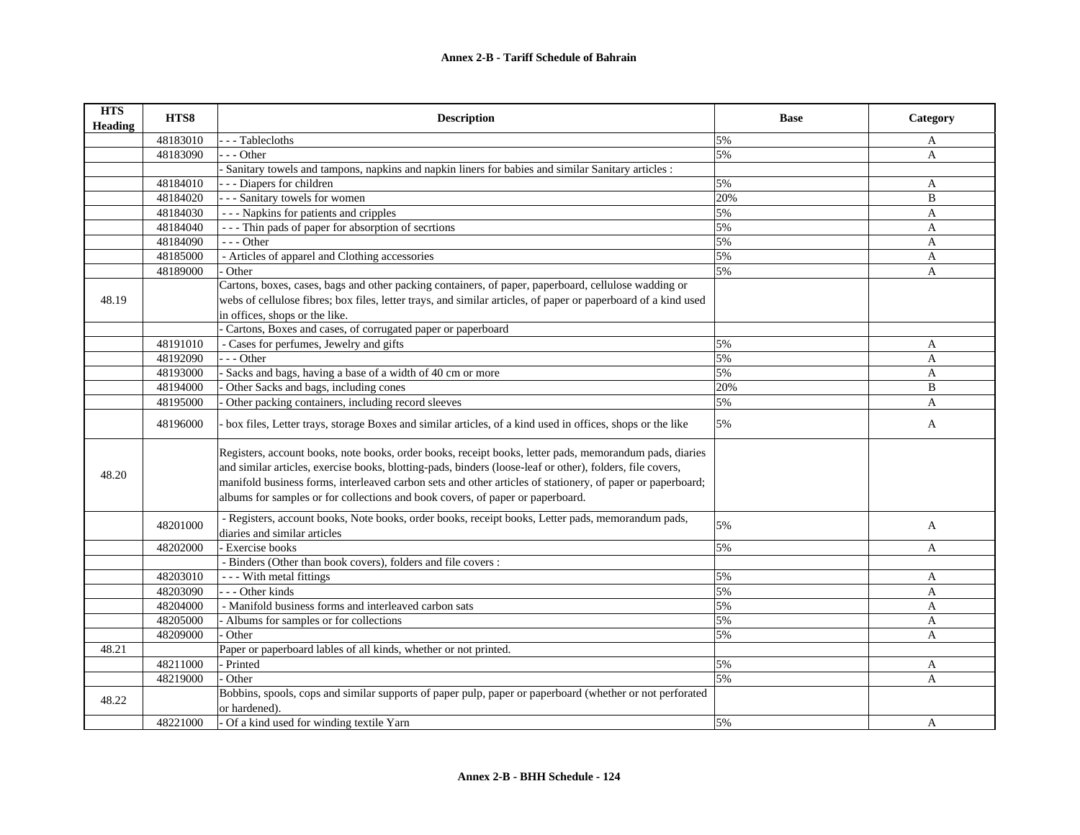| <b>HTS</b><br><b>Heading</b> | HTS8     | <b>Description</b>                                                                                                                                                                                                                                                                                                                                                                                                   | <b>Base</b> | Category     |
|------------------------------|----------|----------------------------------------------------------------------------------------------------------------------------------------------------------------------------------------------------------------------------------------------------------------------------------------------------------------------------------------------------------------------------------------------------------------------|-------------|--------------|
|                              | 48183010 | - - Tablecloths                                                                                                                                                                                                                                                                                                                                                                                                      | 5%          | $\mathbf{A}$ |
|                              | 48183090 | - - Other                                                                                                                                                                                                                                                                                                                                                                                                            | 5%          | $\mathbf{A}$ |
|                              |          | Sanitary towels and tampons, napkins and napkin liners for babies and similar Sanitary articles :                                                                                                                                                                                                                                                                                                                    |             |              |
|                              | 48184010 | - - - Diapers for children                                                                                                                                                                                                                                                                                                                                                                                           | 5%          | $\mathbf{A}$ |
|                              | 48184020 | - - - Sanitary towels for women                                                                                                                                                                                                                                                                                                                                                                                      | 20%         | B            |
|                              | 48184030 | --- Napkins for patients and cripples                                                                                                                                                                                                                                                                                                                                                                                | 5%          | A            |
|                              | 48184040 | - - - Thin pads of paper for absorption of secrtions                                                                                                                                                                                                                                                                                                                                                                 | 5%          | A            |
|                              | 48184090 | $- -$ Other                                                                                                                                                                                                                                                                                                                                                                                                          | 5%          | $\mathbf{A}$ |
|                              | 48185000 | - Articles of apparel and Clothing accessories                                                                                                                                                                                                                                                                                                                                                                       | 5%          | A            |
|                              | 48189000 | Other                                                                                                                                                                                                                                                                                                                                                                                                                | 5%          | $\mathbf{A}$ |
|                              |          | Cartons, boxes, cases, bags and other packing containers, of paper, paperboard, cellulose wadding or                                                                                                                                                                                                                                                                                                                 |             |              |
| 48.19                        |          | webs of cellulose fibres; box files, letter trays, and similar articles, of paper or paperboard of a kind used                                                                                                                                                                                                                                                                                                       |             |              |
|                              |          | in offices, shops or the like.                                                                                                                                                                                                                                                                                                                                                                                       |             |              |
|                              |          | Cartons, Boxes and cases, of corrugated paper or paperboard                                                                                                                                                                                                                                                                                                                                                          |             |              |
|                              | 48191010 | - Cases for perfumes, Jewelry and gifts                                                                                                                                                                                                                                                                                                                                                                              | 5%          | A            |
|                              | 48192090 | $-$ - Other                                                                                                                                                                                                                                                                                                                                                                                                          | 5%          | A            |
|                              | 48193000 | Sacks and bags, having a base of a width of 40 cm or more                                                                                                                                                                                                                                                                                                                                                            | 5%          | A            |
|                              | 48194000 | Other Sacks and bags, including cones                                                                                                                                                                                                                                                                                                                                                                                | 20%         | B            |
|                              | 48195000 | Other packing containers, including record sleeves                                                                                                                                                                                                                                                                                                                                                                   | 5%          | A            |
|                              | 48196000 | box files, Letter trays, storage Boxes and similar articles, of a kind used in offices, shops or the like                                                                                                                                                                                                                                                                                                            | 5%          | A            |
| 48.20                        |          | Registers, account books, note books, order books, receipt books, letter pads, memorandum pads, diaries<br>and similar articles, exercise books, blotting-pads, binders (loose-leaf or other), folders, file covers,<br>manifold business forms, interleaved carbon sets and other articles of stationery, of paper or paperboard;<br>albums for samples or for collections and book covers, of paper or paperboard. |             |              |
|                              | 48201000 | - Registers, account books, Note books, order books, receipt books, Letter pads, memorandum pads,<br>diaries and similar articles                                                                                                                                                                                                                                                                                    | 5%          | A            |
|                              | 48202000 | Exercise books                                                                                                                                                                                                                                                                                                                                                                                                       | 5%          | A            |
|                              |          | - Binders (Other than book covers), folders and file covers:                                                                                                                                                                                                                                                                                                                                                         |             |              |
|                              | 48203010 | --- With metal fittings                                                                                                                                                                                                                                                                                                                                                                                              | 5%          | A            |
|                              | 48203090 | -- Other kinds                                                                                                                                                                                                                                                                                                                                                                                                       | 5%          | A            |
|                              | 48204000 | - Manifold business forms and interleaved carbon sats                                                                                                                                                                                                                                                                                                                                                                | 5%          | A            |
|                              | 48205000 | - Albums for samples or for collections                                                                                                                                                                                                                                                                                                                                                                              | 5%          | A            |
|                              | 48209000 | Other                                                                                                                                                                                                                                                                                                                                                                                                                | 5%          | A            |
| 48.21                        |          | Paper or paperboard lables of all kinds, whether or not printed.                                                                                                                                                                                                                                                                                                                                                     |             |              |
|                              | 48211000 | Printed                                                                                                                                                                                                                                                                                                                                                                                                              | 5%          | A            |
|                              | 48219000 | Other                                                                                                                                                                                                                                                                                                                                                                                                                | 5%          | A            |
| 48.22                        |          | Bobbins, spools, cops and similar supports of paper pulp, paper or paperboard (whether or not perforated<br>or hardened).                                                                                                                                                                                                                                                                                            |             |              |
|                              | 48221000 | - Of a kind used for winding textile Yarn                                                                                                                                                                                                                                                                                                                                                                            | 5%          | A            |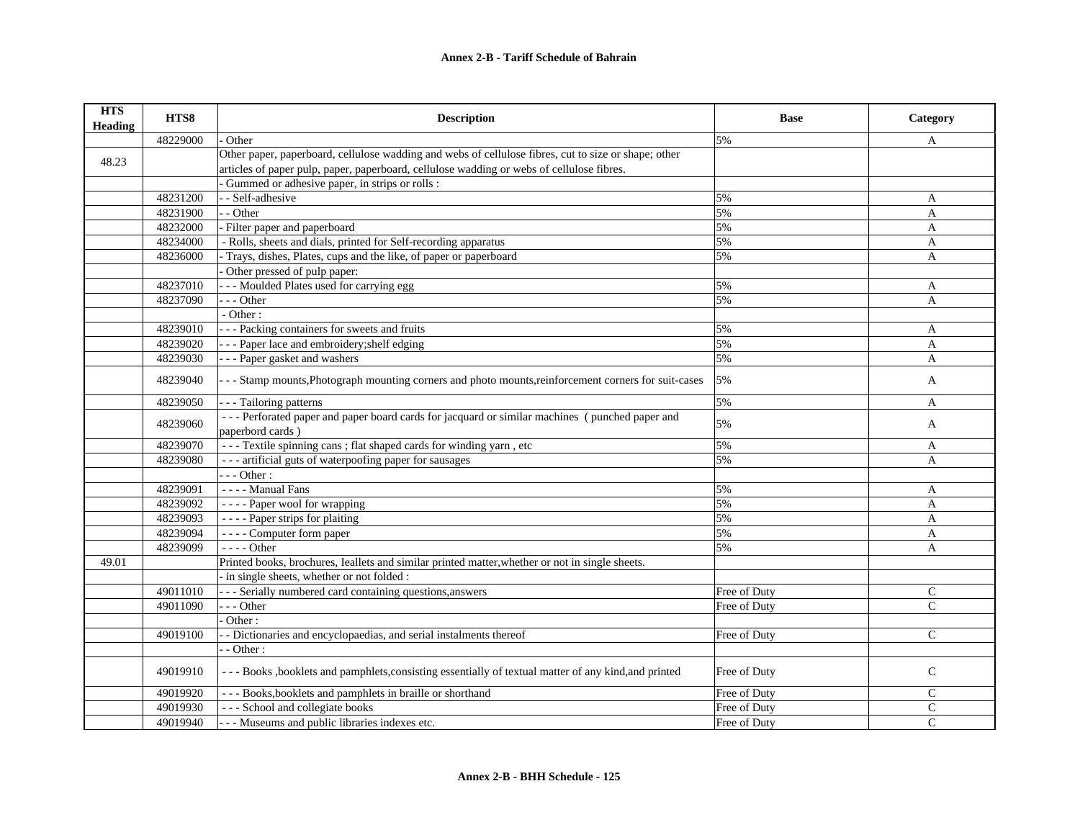| <b>HTS</b><br><b>Heading</b> | HTS8     | <b>Description</b>                                                                                    | <b>Base</b>  | Category       |
|------------------------------|----------|-------------------------------------------------------------------------------------------------------|--------------|----------------|
|                              | 48229000 | Other                                                                                                 | 5%           | A              |
|                              |          | Other paper, paperboard, cellulose wadding and webs of cellulose fibres, cut to size or shape; other  |              |                |
| 48.23                        |          | articles of paper pulp, paper, paperboard, cellulose wadding or webs of cellulose fibres.             |              |                |
|                              |          | Gummed or adhesive paper, in strips or rolls :                                                        |              |                |
|                              | 48231200 | - Self-adhesive                                                                                       | 5%           | A              |
|                              | 48231900 | - Other                                                                                               | 5%           | A              |
|                              | 48232000 | Filter paper and paperboard                                                                           | 5%           | A              |
|                              | 48234000 | - Rolls, sheets and dials, printed for Self-recording apparatus                                       | 5%           | A              |
|                              | 48236000 | Trays, dishes, Plates, cups and the like, of paper or paperboard                                      | 5%           | A              |
|                              |          | Other pressed of pulp paper:                                                                          |              |                |
|                              | 48237010 | - - Moulded Plates used for carrying egg                                                              | 5%           | A              |
|                              | 48237090 | - - Other                                                                                             | 5%           | A              |
|                              |          | $-$ Other :                                                                                           |              |                |
|                              | 48239010 | - - Packing containers for sweets and fruits                                                          | 5%           | A              |
|                              | 48239020 | - - Paper lace and embroidery; shelf edging                                                           | 5%           | A              |
|                              | 48239030 | - - Paper gasket and washers                                                                          | 5%           | A              |
|                              | 48239040 | -- Stamp mounts, Photograph mounting corners and photo mounts, reinforcement corners for suit-cases   | 5%           | $\mathbf{A}$   |
|                              | 48239050 | - - Tailoring patterns                                                                                | 5%           | A              |
|                              |          | --- Perforated paper and paper board cards for jacquard or similar machines (punched paper and        |              |                |
|                              | 48239060 | paperbord cards)                                                                                      | 5%           | A              |
|                              | 48239070 | --- Textile spinning cans ; flat shaped cards for winding yarn, etc                                   | 5%           | A              |
|                              | 48239080 | --- artificial guts of waterpoofing paper for sausages                                                | 5%           | A              |
|                              |          | $- -$ Other :                                                                                         |              |                |
|                              | 48239091 | ---- Manual Fans                                                                                      | 5%           | A              |
|                              | 48239092 | ---- Paper wool for wrapping                                                                          | 5%           | A              |
|                              | 48239093 | - - - - Paper strips for plaiting                                                                     | 5%           | A              |
|                              | 48239094 | - - - - Computer form paper                                                                           | 5%           | A              |
|                              | 48239099 | - - - - Other                                                                                         | 5%           | A              |
| 49.01                        |          | Printed books, brochures, Ieallets and similar printed matter, whether or not in single sheets.       |              |                |
|                              |          | in single sheets, whether or not folded :                                                             |              |                |
|                              | 49011010 | - - - Serially numbered card containing questions, answers                                            | Free of Duty | C              |
|                              | 49011090 | $-$ - Other                                                                                           | Free of Duty | $\mathsf{C}$   |
|                              |          | Other:                                                                                                |              |                |
|                              | 49019100 | - Dictionaries and encyclopaedias, and serial instalments thereof                                     | Free of Duty | $\mathcal{C}$  |
|                              |          | - Other:                                                                                              |              |                |
|                              | 49019910 | --- Books , booklets and pamphlets, consisting essentially of textual matter of any kind, and printed | Free of Duty | $\mathbf C$    |
|                              | 49019920 | - - - Books, booklets and pamphlets in braille or shorthand                                           | Free of Duty | $\mathsf{C}$   |
|                              | 49019930 | --- School and collegiate books                                                                       | Free of Duty | $\mathbf C$    |
|                              | 49019940 | - - - Museums and public libraries indexes etc.                                                       | Free of Duty | $\overline{C}$ |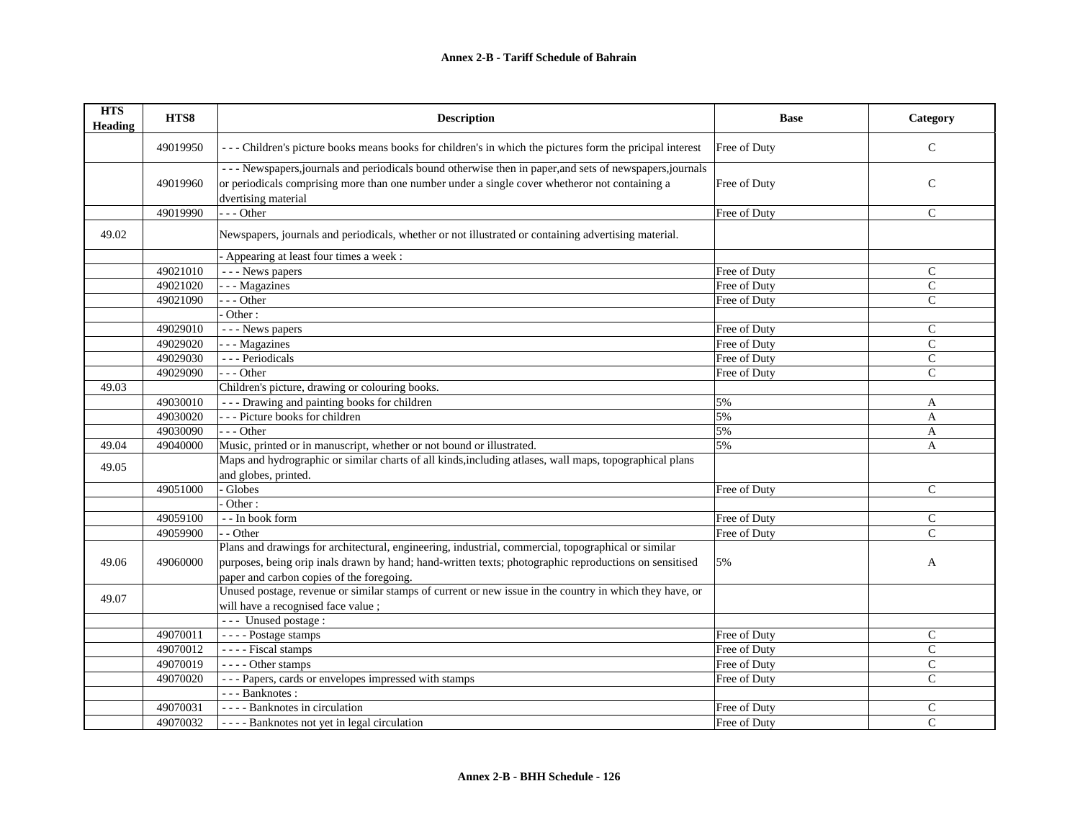| <b>HTS</b><br><b>Heading</b> | HTS8     | <b>Description</b>                                                                                                                                                                                                                | <b>Base</b>  | Category      |
|------------------------------|----------|-----------------------------------------------------------------------------------------------------------------------------------------------------------------------------------------------------------------------------------|--------------|---------------|
|                              | 49019950 | --- Children's picture books means books for children's in which the pictures form the pricipal interest                                                                                                                          | Free of Duty | $\mathsf{C}$  |
|                              | 49019960 | --- Newspapers, journals and periodicals bound otherwise then in paper, and sets of newspapers, journals<br>or periodicals comprising more than one number under a single cover whetheror not containing a<br>dvertising material | Free of Duty | $\mathsf{C}$  |
|                              | 49019990 | $- -$ Other                                                                                                                                                                                                                       | Free of Duty | $\mathcal{C}$ |
| 49.02                        |          | Newspapers, journals and periodicals, whether or not illustrated or containing advertising material.                                                                                                                              |              |               |
|                              |          | - Appearing at least four times a week :                                                                                                                                                                                          |              |               |
|                              | 49021010 | --- News papers                                                                                                                                                                                                                   | Free of Duty | $\mathcal{C}$ |
|                              | 49021020 | - - - Magazines                                                                                                                                                                                                                   | Free of Duty | $\mathcal{C}$ |
|                              | 49021090 | $- -$ Other                                                                                                                                                                                                                       | Free of Duty | $\mathcal{C}$ |
|                              |          | Other:                                                                                                                                                                                                                            |              |               |
|                              | 49029010 | - - - News papers                                                                                                                                                                                                                 | Free of Duty | $\mathcal{C}$ |
|                              | 49029020 | - - - Magazines                                                                                                                                                                                                                   | Free of Duty | $\mathcal{C}$ |
|                              | 49029030 | --- Periodicals                                                                                                                                                                                                                   | Free of Duty | $\mathsf{C}$  |
|                              | 49029090 | --- Other                                                                                                                                                                                                                         | Free of Duty | $\mathbf C$   |
| 49.03                        |          | Children's picture, drawing or colouring books.                                                                                                                                                                                   |              |               |
|                              | 49030010 | --- Drawing and painting books for children                                                                                                                                                                                       | 5%           | A             |
|                              | 49030020 | --- Picture books for children                                                                                                                                                                                                    | 5%           | A             |
|                              | 49030090 | --- Other                                                                                                                                                                                                                         | 5%           | A             |
| 49.04                        | 49040000 | Music, printed or in manuscript, whether or not bound or illustrated.                                                                                                                                                             | 5%           | A             |
|                              |          | Maps and hydrographic or similar charts of all kinds, including atlases, wall maps, topographical plans                                                                                                                           |              |               |
| 49.05                        |          | and globes, printed.                                                                                                                                                                                                              |              |               |
|                              | 49051000 | Globes                                                                                                                                                                                                                            | Free of Duty | $\mathcal{C}$ |
|                              |          | Other:                                                                                                                                                                                                                            |              |               |
|                              | 49059100 | - - In book form                                                                                                                                                                                                                  | Free of Duty | $\mathsf{C}$  |
|                              | 49059900 | - - Other                                                                                                                                                                                                                         | Free of Duty | $\mathsf{C}$  |
|                              |          | Plans and drawings for architectural, engineering, industrial, commercial, topographical or similar                                                                                                                               |              |               |
| 49.06                        | 49060000 | purposes, being orip inals drawn by hand; hand-written texts; photographic reproductions on sensitised                                                                                                                            | 5%           | A             |
|                              |          | paper and carbon copies of the foregoing.                                                                                                                                                                                         |              |               |
|                              |          | Unused postage, revenue or similar stamps of current or new issue in the country in which they have, or                                                                                                                           |              |               |
| 49.07                        |          | will have a recognised face value;                                                                                                                                                                                                |              |               |
|                              |          | --- Unused postage :                                                                                                                                                                                                              |              |               |
|                              | 49070011 | - - - - Postage stamps                                                                                                                                                                                                            | Free of Duty | $\mathsf C$   |
|                              | 49070012 | ---- Fiscal stamps                                                                                                                                                                                                                | Free of Duty | $\mathsf{C}$  |
|                              | 49070019 | ---- Other stamps                                                                                                                                                                                                                 | Free of Duty | $\mathsf{C}$  |
|                              | 49070020 | --- Papers, cards or envelopes impressed with stamps                                                                                                                                                                              | Free of Duty | C             |
|                              |          | --- Banknotes :                                                                                                                                                                                                                   |              |               |
|                              | 49070031 | - - - - Banknotes in circulation                                                                                                                                                                                                  | Free of Duty | $\mathsf{C}$  |
|                              | 49070032 | ---- Banknotes not yet in legal circulation                                                                                                                                                                                       | Free of Duty | $\mathsf{C}$  |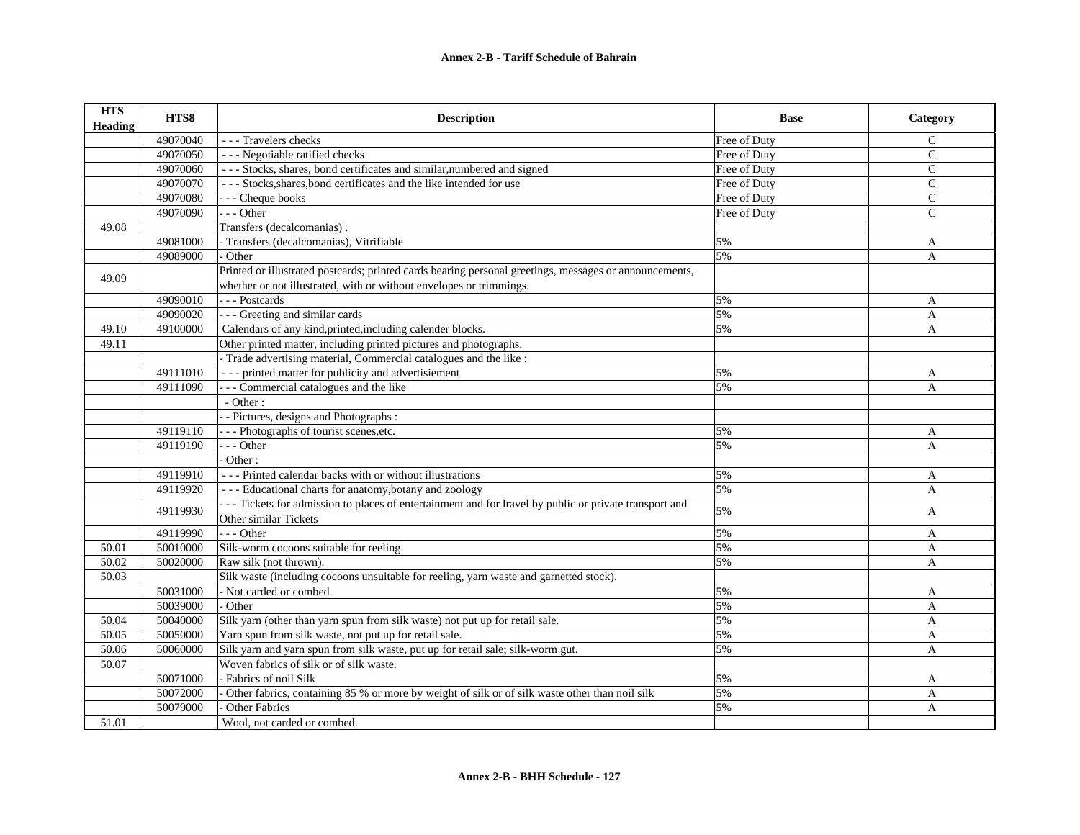| <b>HTS</b><br><b>Heading</b> | HTS8     | <b>Description</b>                                                                                     | <b>Base</b>  | Category      |
|------------------------------|----------|--------------------------------------------------------------------------------------------------------|--------------|---------------|
|                              | 49070040 | - - - Travelers checks                                                                                 | Free of Duty | $\mathcal{C}$ |
|                              | 49070050 | --- Negotiable ratified checks                                                                         | Free of Duty | $\mathcal{C}$ |
|                              | 49070060 | --- Stocks, shares, bond certificates and similar, numbered and signed                                 | Free of Duty | $\mathbf{C}$  |
|                              | 49070070 | --- Stocks, shares, bond certificates and the like intended for use                                    | Free of Duty | $\mathsf{C}$  |
|                              | 49070080 | - - - Cheque books                                                                                     | Free of Duty | $\mathsf{C}$  |
|                              | 49070090 | $- -$ Other                                                                                            | Free of Duty | C             |
| 49.08                        |          | Transfers (decalcomanias).                                                                             |              |               |
|                              | 49081000 | - Transfers (decalcomanias), Vitrifiable                                                               | 5%           | A             |
|                              | 49089000 | - Other                                                                                                | 5%           | A             |
| 49.09                        |          | Printed or illustrated postcards; printed cards bearing personal greetings, messages or announcements, |              |               |
|                              |          | whether or not illustrated, with or without envelopes or trimmings.                                    |              |               |
|                              | 49090010 | --- Postcards                                                                                          | 5%           | A             |
|                              | 49090020 | - - - Greeting and similar cards                                                                       | 5%           | A             |
| 49.10                        | 49100000 | Calendars of any kind, printed, including calender blocks.                                             | 5%           | A             |
| 49.11                        |          | Other printed matter, including printed pictures and photographs.                                      |              |               |
|                              |          | - Trade advertising material, Commercial catalogues and the like :                                     |              |               |
|                              | 49111010 | --- printed matter for publicity and advertisiement                                                    | 5%           | A             |
|                              | 49111090 | - - Commercial catalogues and the like                                                                 | 5%           | $\mathbf{A}$  |
|                              |          | - Other:                                                                                               |              |               |
|                              |          | - Pictures, designs and Photographs :                                                                  |              |               |
|                              | 49119110 | - - - Photographs of tourist scenes, etc.                                                              | 5%           | A             |
|                              | 49119190 | $- -$ Other                                                                                            | 5%           | $\mathbf{A}$  |
|                              |          | Other:                                                                                                 |              |               |
|                              | 49119910 | --- Printed calendar backs with or without illustrations                                               | 5%           | A             |
|                              | 49119920 | --- Educational charts for anatomy, botany and zoology                                                 | 5%           | $\mathbf{A}$  |
|                              | 49119930 | --- Tickets for admission to places of entertainment and for lravel by public or private transport and | 5%           | A             |
|                              |          | Other similar Tickets                                                                                  |              |               |
|                              | 49119990 | $- -$ Other                                                                                            | 5%           | A             |
| 50.01                        | 50010000 | Silk-worm cocoons suitable for reeling.                                                                | 5%           | A             |
| 50.02                        | 50020000 | Raw silk (not thrown).                                                                                 | 5%           | $\mathbf{A}$  |
| 50.03                        |          | Silk waste (including cocoons unsuitable for reeling, yarn waste and garnetted stock).                 |              |               |
|                              | 50031000 | - Not carded or combed                                                                                 | 5%           | A             |
|                              | 50039000 | - Other                                                                                                | 5%           | $\mathbf{A}$  |
| 50.04                        | 50040000 | Silk yarn (other than yarn spun from silk waste) not put up for retail sale.                           | 5%           | $\mathbf{A}$  |
| 50.05                        | 50050000 | Yarn spun from silk waste, not put up for retail sale.                                                 | 5%           | A             |
| 50.06                        | 50060000 | Silk yarn and yarn spun from silk waste, put up for retail sale; silk-worm gut.                        | 5%           | A             |
| 50.07                        |          | Woven fabrics of silk or of silk waste.                                                                |              |               |
|                              | 50071000 | - Fabrics of noil Silk                                                                                 | 5%           | A             |
|                              | 50072000 | Other fabrics, containing 85 % or more by weight of silk or of silk waste other than noil silk         | 5%           | A             |
|                              | 50079000 | Other Fabrics                                                                                          | 5%           | A             |
| 51.01                        |          | Wool, not carded or combed.                                                                            |              |               |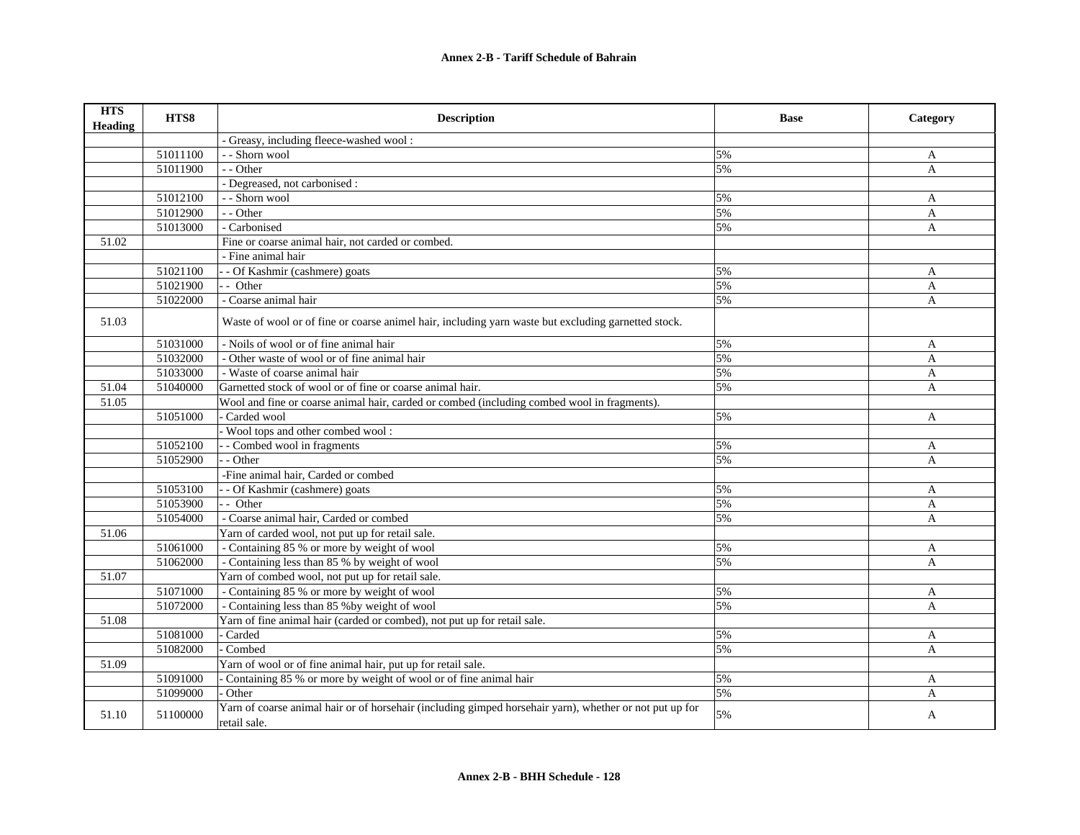| <b>HTS</b><br>Heading | HTS8     | <b>Description</b>                                                                                                      | <b>Base</b> | Category     |
|-----------------------|----------|-------------------------------------------------------------------------------------------------------------------------|-------------|--------------|
|                       |          | - Greasy, including fleece-washed wool:                                                                                 |             |              |
|                       | 51011100 | - - Shorn wool                                                                                                          | 5%          | A            |
|                       | 51011900 | - - Other                                                                                                               | 5%          | A            |
|                       |          | - Degreased, not carbonised :                                                                                           |             |              |
|                       | 51012100 | - - Shorn wool                                                                                                          | 5%          | A            |
|                       | 51012900 | - - Other                                                                                                               | 5%          | A            |
|                       | 51013000 | - Carbonised                                                                                                            | 5%          | A            |
| 51.02                 |          | Fine or coarse animal hair, not carded or combed.                                                                       |             |              |
|                       |          | - Fine animal hair                                                                                                      |             |              |
|                       | 51021100 | - Of Kashmir (cashmere) goats                                                                                           | 5%          | A            |
|                       | 51021900 | - - Other                                                                                                               | 5%          | A            |
|                       | 51022000 | - Coarse animal hair                                                                                                    | 5%          | A            |
| 51.03                 |          | Waste of wool or of fine or coarse animel hair, including yarn waste but excluding garnetted stock.                     |             |              |
|                       | 51031000 | - Noils of wool or of fine animal hair                                                                                  | 5%          | A            |
|                       | 51032000 | - Other waste of wool or of fine animal hair                                                                            | 5%          | A            |
|                       | 51033000 | - Waste of coarse animal hair                                                                                           | 5%          | A            |
| 51.04                 | 51040000 | Garnetted stock of wool or of fine or coarse animal hair.                                                               | 5%          | A            |
| 51.05                 |          | Wool and fine or coarse animal hair, carded or combed (including combed wool in fragments).                             |             |              |
|                       | 51051000 | Carded wool                                                                                                             | 5%          | A            |
|                       |          | Wool tops and other combed wool:                                                                                        |             |              |
|                       | 51052100 | - Combed wool in fragments                                                                                              | 5%          | A            |
|                       | 51052900 | - Other                                                                                                                 | 5%          | A            |
|                       |          | -Fine animal hair, Carded or combed                                                                                     |             |              |
|                       | 51053100 | - Of Kashmir (cashmere) goats                                                                                           | 5%          | A            |
|                       | 51053900 | - - Other                                                                                                               | 5%          | A            |
|                       | 51054000 | - Coarse animal hair, Carded or combed                                                                                  | 5%          | A            |
| 51.06                 |          | Yarn of carded wool, not put up for retail sale.                                                                        |             |              |
|                       | 51061000 | - Containing 85 % or more by weight of wool                                                                             | 5%          | A            |
|                       | 51062000 | - Containing less than 85 % by weight of wool                                                                           | 5%          | A            |
| 51.07                 |          | Yarn of combed wool, not put up for retail sale.                                                                        |             |              |
|                       | 51071000 | - Containing 85 % or more by weight of wool                                                                             | 5%          | A            |
|                       | 51072000 | - Containing less than 85 % by weight of wool                                                                           | 5%          | $\mathbf{A}$ |
| 51.08                 |          | Yarn of fine animal hair (carded or combed), not put up for retail sale.                                                |             |              |
|                       | 51081000 | Carded                                                                                                                  | 5%          | A            |
|                       | 51082000 | Combed                                                                                                                  | 5%          | A            |
| 51.09                 |          | Yarn of wool or of fine animal hair, put up for retail sale.                                                            |             |              |
|                       | 51091000 | Containing 85 % or more by weight of wool or of fine animal hair                                                        | 5%          | A            |
|                       | 51099000 | Other                                                                                                                   | 5%          | A            |
| 51.10                 | 51100000 | Yarn of coarse animal hair or of horsehair (including gimped horsehair yarn), whether or not put up for<br>retail sale. | 5%          | A            |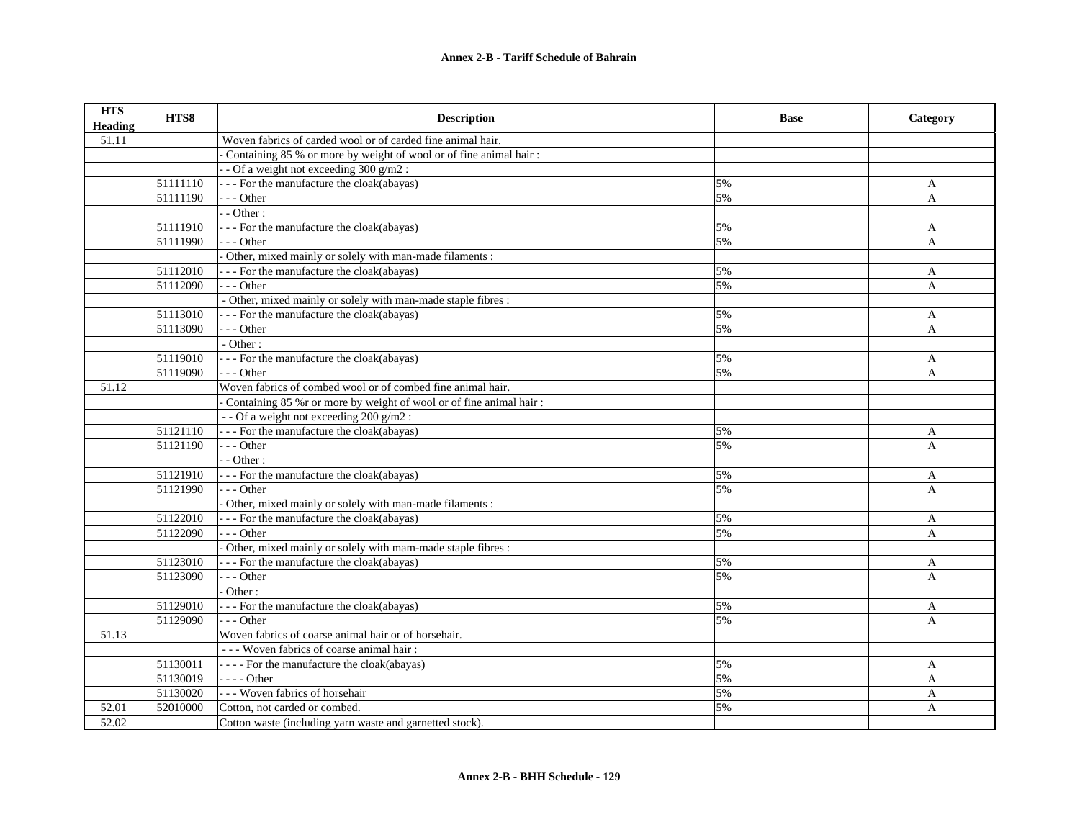| <b>HTS</b><br><b>Heading</b> | HTS8     | <b>Description</b>                                                  | <b>Base</b> | Category     |
|------------------------------|----------|---------------------------------------------------------------------|-------------|--------------|
| 51.11                        |          | Woven fabrics of carded wool or of carded fine animal hair.         |             |              |
|                              |          | Containing 85 % or more by weight of wool or of fine animal hair:   |             |              |
|                              |          | - Of a weight not exceeding 300 g/m2 :                              |             |              |
|                              | 51111110 | - - - For the manufacture the cloak(abayas)                         | 5%          | A            |
|                              | 51111190 | $-$ - Other                                                         | 5%          | A            |
|                              |          | - Other:                                                            |             |              |
|                              | 51111910 | - - For the manufacture the cloak(abayas)                           | 5%          | A            |
|                              | 51111990 | $-$ - Other                                                         | 5%          | A            |
|                              |          | Other, mixed mainly or solely with man-made filaments :             |             |              |
|                              | 51112010 | - - For the manufacture the cloak(abayas)                           | 5%          | A            |
|                              | 51112090 | $-$ - Other                                                         | 5%          | A            |
|                              |          | - Other, mixed mainly or solely with man-made staple fibres :       |             |              |
|                              | 51113010 | - - For the manufacture the cloak(abayas)                           | 5%          | A            |
|                              | 51113090 | $- -$ Other                                                         | 5%          | A            |
|                              |          | - Other:                                                            |             |              |
|                              | 51119010 | - - For the manufacture the cloak(abayas)                           | 5%          | A            |
|                              | 51119090 | $- -$ Other                                                         | 5%          | A            |
| 51.12                        |          | Woven fabrics of combed wool or of combed fine animal hair.         |             |              |
|                              |          | Containing 85 % r or more by weight of wool or of fine animal hair: |             |              |
|                              |          | - - Of a weight not exceeding 200 g/m2 :                            |             |              |
|                              | 51121110 | - - - For the manufacture the cloak(abayas)                         | 5%          | A            |
|                              | 51121190 | --- Other                                                           | 5%          | A            |
|                              |          | $-$ - Other :                                                       |             |              |
|                              | 51121910 | - - - For the manufacture the cloak(abayas)                         | 5%          | A            |
|                              | 51121990 | --- Other                                                           | 5%          | A            |
|                              |          | Other, mixed mainly or solely with man-made filaments :             |             |              |
|                              | 51122010 | - - - For the manufacture the cloak(abayas)                         | 5%          | $\mathbf{A}$ |
|                              | 51122090 | $-$ - Other                                                         | 5%          | A            |
|                              |          | Other, mixed mainly or solely with mam-made staple fibres :         |             |              |
|                              | 51123010 | - - - For the manufacture the cloak(abayas)                         | 5%          | A            |
|                              | 51123090 | $-$ - Other                                                         | 5%          | A            |
|                              |          | Other:                                                              |             |              |
|                              | 51129010 | - - - For the manufacture the cloak(abayas)                         | 5%          | A            |
|                              | 51129090 | $- -$ Other                                                         | 5%          | A            |
| 51.13                        |          | Woven fabrics of coarse animal hair or of horsehair.                |             |              |
|                              |          | - - - Woven fabrics of coarse animal hair:                          |             |              |
|                              | 51130011 | - - - - For the manufacture the cloak(abayas)                       | 5%          | A            |
|                              | 51130019 | $- - -$ Other                                                       | 5%          | $\mathbf{A}$ |
|                              | 51130020 | - - Woven fabrics of horsehair                                      | 5%          | $\mathbf{A}$ |
| 52.01                        | 52010000 | Cotton, not carded or combed.                                       | 5%          | A            |
| 52.02                        |          | Cotton waste (including yarn waste and garnetted stock).            |             |              |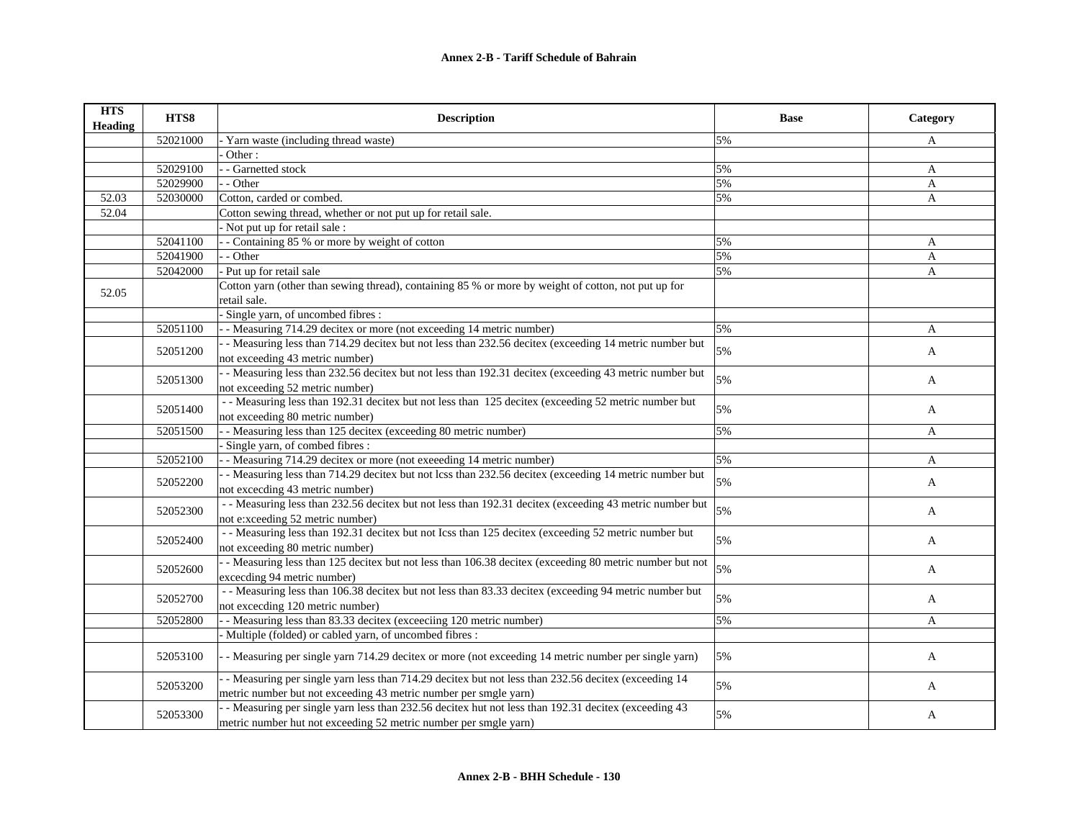| <b>HTS</b><br><b>Heading</b> | HTS8     | <b>Description</b>                                                                                      | <b>Base</b> | Category     |
|------------------------------|----------|---------------------------------------------------------------------------------------------------------|-------------|--------------|
|                              | 52021000 | Yarn waste (including thread waste)                                                                     | 5%          | A            |
|                              |          | Other:                                                                                                  |             |              |
|                              | 52029100 | - - Garnetted stock                                                                                     | 5%          | A            |
|                              | 52029900 | - - Other                                                                                               | 5%          | $\mathbf{A}$ |
| 52.03                        | 52030000 | Cotton, carded or combed.                                                                               | 5%          | A            |
| 52.04                        |          | Cotton sewing thread, whether or not put up for retail sale.                                            |             |              |
|                              |          | - Not put up for retail sale:                                                                           |             |              |
|                              | 52041100 | - Containing 85 % or more by weight of cotton                                                           | 5%          | A            |
|                              | 52041900 | - - Other                                                                                               | 5%          | A            |
|                              | 52042000 | - Put up for retail sale                                                                                | 5%          | A            |
|                              |          | Cotton yarn (other than sewing thread), containing 85 % or more by weight of cotton, not put up for     |             |              |
| 52.05                        |          | retail sale.                                                                                            |             |              |
|                              |          | Single yarn, of uncombed fibres :                                                                       |             |              |
|                              | 52051100 | - Measuring 714.29 decitex or more (not exceeding 14 metric number)                                     | 5%          | $\mathbf{A}$ |
|                              |          | - Measuring less than 714.29 decitex but not less than 232.56 decitex (exceeding 14 metric number but   | 5%          |              |
|                              | 52051200 | not exceeding 43 metric number)                                                                         |             | A            |
|                              |          | - Measuring less than 232.56 decitex but not less than 192.31 decitex (exceeding 43 metric number but   |             |              |
|                              | 52051300 | not exceeding 52 metric number)                                                                         | 5%          | $\mathbf{A}$ |
|                              |          | - - Measuring less than 192.31 decitex but not less than 125 decitex (exceeding 52 metric number but    | 5%          |              |
|                              | 52051400 | not exceeding 80 metric number)                                                                         |             | A            |
|                              | 52051500 | - - Measuring less than 125 decitex (exceeding 80 metric number)                                        | 5%          | $\mathbf{A}$ |
|                              |          | Single yarn, of combed fibres :                                                                         |             |              |
|                              | 52052100 | - Measuring 714.29 decitex or more (not exeeeding 14 metric number)                                     | 5%          | A            |
|                              |          | - Measuring less than 714.29 decitex but not lcss than 232.56 decitex (exceeding 14 metric number but   | 5%          |              |
|                              | 52052200 | not exceeding 43 metric number)                                                                         |             | A            |
|                              |          | - - Measuring less than 232.56 decitex but not less than 192.31 decitex (exceeding 43 metric number but | 5%          |              |
|                              | 52052300 | not e:xceeding 52 metric number)                                                                        |             | A            |
|                              | 52052400 | - - Measuring less than 192.31 decitex but not Icss than 125 decitex (exceeding 52 metric number but    | 5%          | A            |
|                              |          | not exceeding 80 metric number)                                                                         |             |              |
|                              | 52052600 | - Measuring less than 125 decitex but not less than 106.38 decitex (exceeding 80 metric number but not  | 5%          | A            |
|                              |          | exceeding 94 metric number)                                                                             |             |              |
|                              | 52052700 | - - Measuring less than 106.38 decitex but not less than 83.33 decitex (exceeding 94 metric number but  | 5%          |              |
|                              |          | not exceeding 120 metric number)                                                                        |             | A            |
|                              | 52052800 | - Measuring less than 83.33 decitex (exceeding 120 metric number)                                       | 5%          | A            |
|                              |          | - Multiple (folded) or cabled yarn, of uncombed fibres :                                                |             |              |
|                              | 52053100 | - Measuring per single yarn 714.29 decitex or more (not exceeding 14 metric number per single yarn)     | 5%          | A            |
|                              |          | - Measuring per single yarn less than 714.29 decitex but not less than 232.56 decitex (exceeding 14     |             |              |
|                              | 52053200 | metric number but not exceeding 43 metric number per smgle yarn)                                        | 5%          | A            |
|                              |          | - Measuring per single yarn less than 232.56 decitex hut not less than 192.31 decitex (exceeding 43     |             |              |
|                              | 52053300 | metric number hut not exceeding 52 metric number per smgle yarn)                                        | 5%          | A            |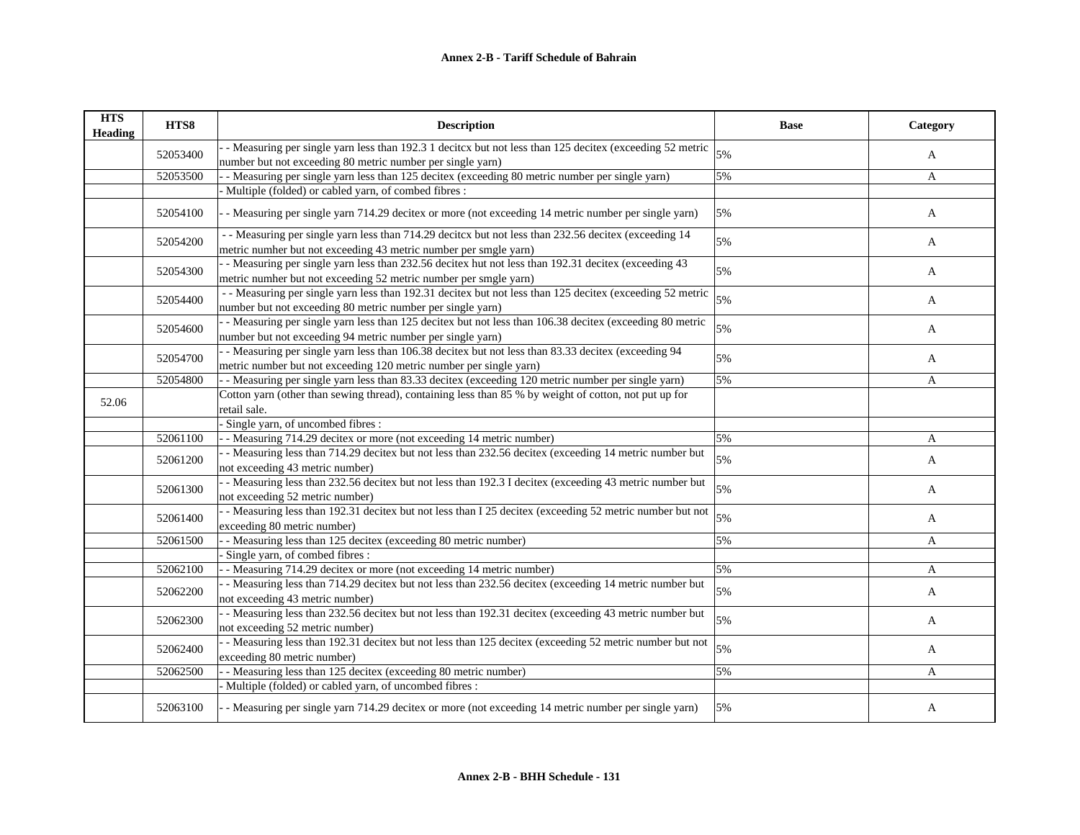| <b>HTS</b><br><b>Heading</b> | HTS8     | <b>Description</b>                                                                                                                                                       | <b>Base</b> | Category     |
|------------------------------|----------|--------------------------------------------------------------------------------------------------------------------------------------------------------------------------|-------------|--------------|
|                              | 52053400 | - Measuring per single yarn less than 192.3 1 decitcx but not less than 125 decitex (exceeding 52 metric<br>number but not exceeding 80 metric number per single yarn)   | 5%          | A            |
|                              | 52053500 | - Measuring per single yarn less than 125 decitex (exceeding 80 metric number per single yarn)                                                                           | 5%          | A            |
|                              |          | Multiple (folded) or cabled yarn, of combed fibres :                                                                                                                     |             |              |
|                              | 52054100 | - Measuring per single yarn 714.29 decitex or more (not exceeding 14 metric number per single yarn)                                                                      | 5%          | A            |
|                              | 52054200 | - Measuring per single yarn less than 714.29 decitors but not less than 232.56 decitex (exceeding 14<br>metric numher but not exceeding 43 metric number per smgle yarn) | 5%          | A            |
|                              | 52054300 | - Measuring per single yarn less than 232.56 decitex hut not less than 192.31 decitex (exceeding 43<br>metric numher but not exceeding 52 metric number per smgle yarn)  | 5%          | A            |
|                              | 52054400 | - - Measuring per single yarn less than 192.31 decitex but not less than 125 decitex (exceeding 52 metric<br>number but not exceeding 80 metric number per single yarn)  | 5%          | A            |
|                              | 52054600 | - Measuring per single yarn less than 125 decitex but not less than 106.38 decitex (exceeding 80 metric<br>number but not exceeding 94 metric number per single yarn)    | 5%          | A            |
|                              | 52054700 | - Measuring per single yarn less than 106.38 decitex but not less than 83.33 decitex (exceeding 94<br>metric number but not exceeding 120 metric number per single yarn) | 5%          | A            |
|                              | 52054800 | - Measuring per single yarn less than 83.33 decitex (exceeding 120 metric number per single yarn)                                                                        | 5%          | A            |
| 52.06                        |          | Cotton yarn (other than sewing thread), containing less than 85 % by weight of cotton, not put up for<br>retail sale.                                                    |             |              |
|                              |          | Single yarn, of uncombed fibres:                                                                                                                                         |             |              |
|                              | 52061100 | - Measuring 714.29 decitex or more (not exceeding 14 metric number)                                                                                                      | 5%          | A            |
|                              | 52061200 | - - Measuring less than 714.29 decitex but not less than 232.56 decitex (exceeding 14 metric number but<br>not exceeding 43 metric number)                               | 5%          | A            |
|                              | 52061300 | - Measuring less than 232.56 decitex but not less than 192.3 I decitex (exceeding 43 metric number but<br>not exceeding 52 metric number)                                | 5%          | A            |
|                              | 52061400 | - - Measuring less than 192.31 decitex but not less than I 25 decitex (exceeding 52 metric number but not<br>exceeding 80 metric number)                                 | 5%          | $\mathbf{A}$ |
|                              | 52061500 | - Measuring less than 125 decitex (exceeding 80 metric number)                                                                                                           | 5%          | $\mathbf{A}$ |
|                              |          | Single yarn, of combed fibres :                                                                                                                                          |             |              |
|                              | 52062100 | - Measuring 714.29 decitex or more (not exceeding 14 metric number)                                                                                                      | 5%          | A            |
|                              | 52062200 | - Measuring less than 714.29 decitex but not less than 232.56 decitex (exceeding 14 metric number but<br>not exceeding 43 metric number)                                 | 5%          | A            |
|                              | 52062300 | - Measuring less than 232.56 decitex but not less than 192.31 decitex (exceeding 43 metric number but<br>not exceeding 52 metric number)                                 | 5%          | A            |
|                              | 52062400 | - Measuring less than 192.31 decitex but not less than 125 decitex (exceeding 52 metric number but not<br>exceeding 80 metric number)                                    | 5%          | A            |
|                              | 52062500 | - Measuring less than 125 decitex (exceeding 80 metric number)                                                                                                           | 5%          | A            |
|                              |          | - Multiple (folded) or cabled yarn, of uncombed fibres :                                                                                                                 |             |              |
|                              | 52063100 | - Measuring per single yarn 714.29 decitex or more (not exceeding 14 metric number per single yarn)                                                                      | 5%          | A            |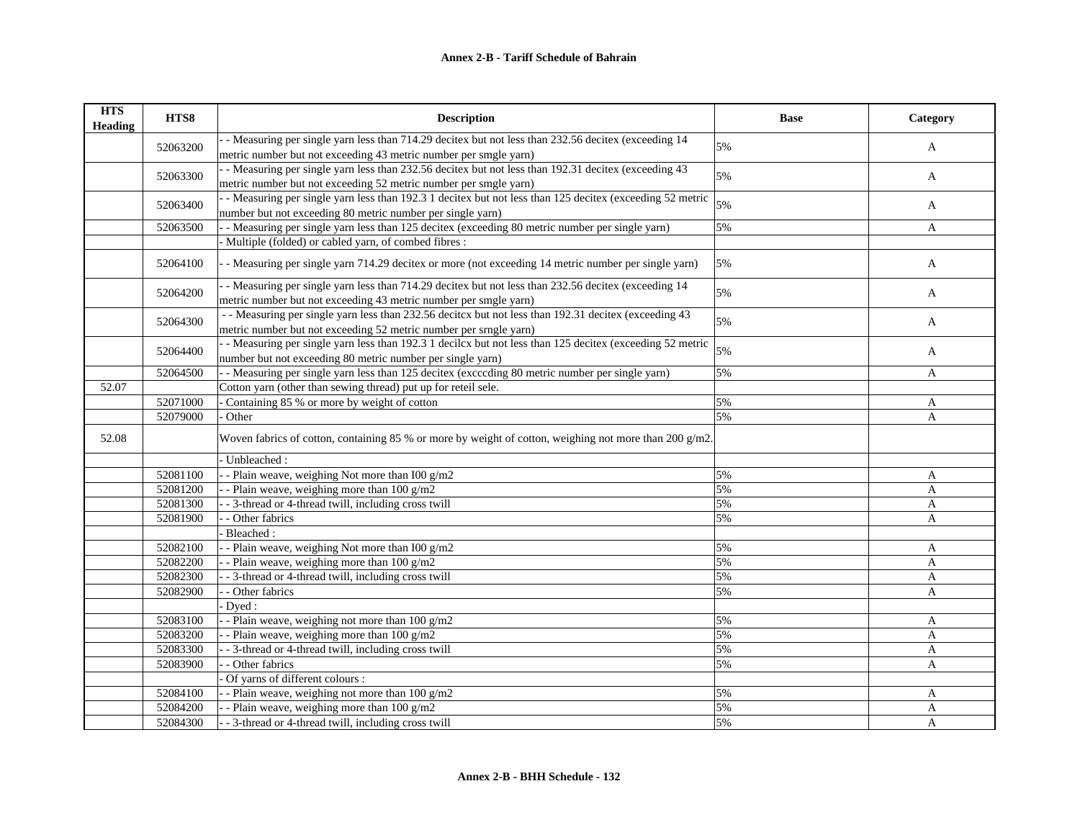## **Annex 2-B - Tariff Schedule of Bahrain**

| <b>HTS</b><br><b>Heading</b> | HTS8     | <b>Description</b>                                                                                        | <b>Base</b> | Category     |
|------------------------------|----------|-----------------------------------------------------------------------------------------------------------|-------------|--------------|
|                              |          | - Measuring per single yarn less than 714.29 decitex but not less than 232.56 decitex (exceeding 14       | 5%          |              |
|                              | 52063200 | metric number but not exceeding 43 metric number per smgle yarn)                                          |             | A            |
|                              |          | - Measuring per single yarn less than 232.56 decitex but not less than 192.31 decitex (exceeding 43       | 5%          | A            |
|                              | 52063300 | metric number but not exceeding 52 metric number per smgle yarn)                                          |             |              |
|                              | 52063400 | - Measuring per single yarn less than 192.3 1 decitex but not less than 125 decitex (exceeding 52 metric  | 5%          | A            |
|                              |          | number but not exceeding 80 metric number per single yarn)                                                |             |              |
|                              | 52063500 | - - Measuring per single yarn less than 125 decitex (exceeding 80 metric number per single yarn)          | 5%          | A            |
|                              |          | - Multiple (folded) or cabled yarn, of combed fibres :                                                    |             |              |
|                              | 52064100 | - Measuring per single yarn 714.29 decitex or more (not exceeding 14 metric number per single yarn)       | 5%          | A            |
|                              |          | - Measuring per single yarn less than 714.29 decitex but not less than 232.56 decitex (exceeding 14       | 5%          |              |
|                              | 52064200 | metric number but not exceeding 43 metric number per smgle yarn)                                          |             | A            |
|                              | 52064300 | - Measuring per single yarn less than 232.56 decitcx but not less than 192.31 decitex (exceeding 43       | 5%          |              |
|                              |          | metric number but not exceeding 52 metric number per srngle yarn)                                         |             | $\mathbf{A}$ |
|                              | 52064400 | - Measuring per single yarn less than 192.3 1 decilcx but not less than 125 decitex (exceeding 52 metric  | 5%          |              |
|                              |          | number but not exceeding 80 metric number per single yarn)                                                |             | A            |
|                              | 52064500 | - Measuring per single yarn less than 125 decitex (excccding 80 metric number per single yarn)            | 5%          | A            |
| 52.07                        |          | Cotton yarn (other than sewing thread) put up for reteil sele.                                            |             |              |
|                              | 52071000 | Containing 85 % or more by weight of cotton                                                               | 5%          | A            |
|                              | 52079000 | Other                                                                                                     | 5%          | A            |
| 52.08                        |          | Woven fabrics of cotton, containing 85 % or more by weight of cotton, weighing not more than 200 $g/m2$ . |             |              |
|                              |          | Unbleached:                                                                                               |             |              |
|                              | 52081100 | - Plain weave, weighing Not more than I00 g/m2                                                            | 5%          | A            |
|                              | 52081200 | - Plain weave, weighing more than $100$ g/m2                                                              | 5%          | A            |
|                              | 52081300 | - - 3-thread or 4-thread twill, including cross twill                                                     | 5%          | A            |
|                              | 52081900 | - Other fabrics                                                                                           | 5%          | A            |
|                              |          | Bleached:                                                                                                 |             |              |
|                              | 52082100 | - Plain weave, weighing Not more than I00 g/m2                                                            | 5%          | A            |
|                              | 52082200 | - Plain weave, weighing more than 100 g/m2                                                                | 5%          | A            |
|                              | 52082300 | - 3-thread or 4-thread twill, including cross twill                                                       | 5%          | $\mathbf{A}$ |
|                              | 52082900 | - Other fabrics                                                                                           | 5%          | A            |
|                              |          | Dyed:                                                                                                     |             |              |
|                              | 52083100 | - Plain weave, weighing not more than 100 g/m2                                                            | 5%          | A            |
|                              | 52083200 | - Plain weave, weighing more than $100$ g/m2                                                              | 5%          | A            |
|                              | 52083300 | - 3-thread or 4-thread twill, including cross twill                                                       | 5%          | A            |
|                              | 52083900 | - Other fabrics                                                                                           | 5%          | A            |
|                              |          | Of yarns of different colours :                                                                           |             |              |
|                              | 52084100 | - Plain weave, weighing not more than $100$ g/m2                                                          | 5%          | A            |
|                              | 52084200 | - Plain weave, weighing more than 100 g/m2                                                                | 5%          | A            |
|                              | 52084300 | - - 3-thread or 4-thread twill, including cross twill                                                     | 5%          | A            |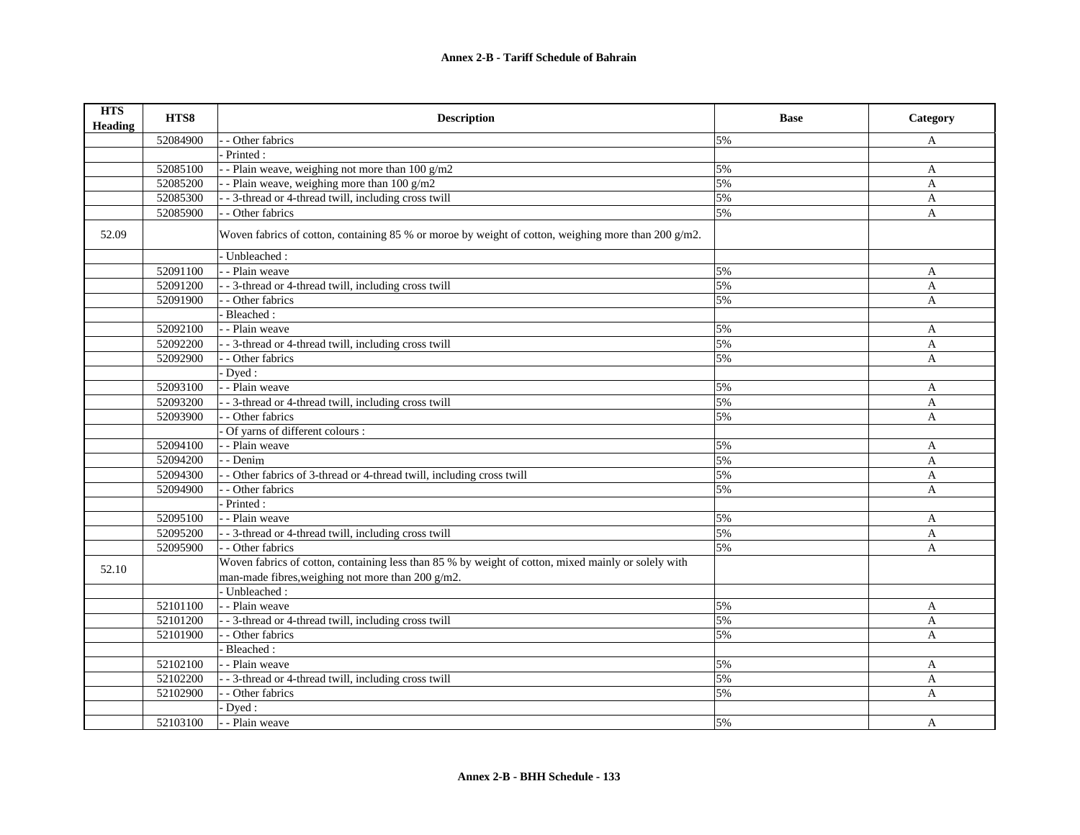| <b>HTS</b><br><b>Heading</b> | HTS8     | <b>Description</b>                                                                                                                                       | <b>Base</b> | Category     |
|------------------------------|----------|----------------------------------------------------------------------------------------------------------------------------------------------------------|-------------|--------------|
|                              | 52084900 | - Other fabrics                                                                                                                                          | 5%          | A            |
|                              |          | Printed:                                                                                                                                                 |             |              |
|                              | 52085100 | - - Plain weave, weighing not more than $100 g/m2$                                                                                                       | 5%          | A            |
|                              | 52085200 | - Plain weave, weighing more than $100 g/m2$                                                                                                             | 5%          | A            |
|                              | 52085300 | - - 3-thread or 4-thread twill, including cross twill                                                                                                    | 5%          | A            |
|                              | 52085900 | - Other fabrics                                                                                                                                          | 5%          | A            |
| 52.09                        |          | Woven fabrics of cotton, containing 85 % or moroe by weight of cotton, weighing more than 200 $g/m2$ .                                                   |             |              |
|                              |          | - Unbleached:                                                                                                                                            |             |              |
|                              | 52091100 | - - Plain weave                                                                                                                                          | 5%          | A            |
|                              | 52091200 | - - 3-thread or 4-thread twill, including cross twill                                                                                                    | 5%          | A            |
|                              | 52091900 | - - Other fabrics                                                                                                                                        | 5%          | $\mathbf{A}$ |
|                              |          | Bleached:                                                                                                                                                |             |              |
|                              | 52092100 | - - Plain weave                                                                                                                                          | 5%          | A            |
|                              | 52092200 | - - 3-thread or 4-thread twill, including cross twill                                                                                                    | 5%          | A            |
|                              | 52092900 | - Other fabrics                                                                                                                                          | 5%          | A            |
|                              |          | Dyed:                                                                                                                                                    |             |              |
|                              | 52093100 | - - Plain weave                                                                                                                                          | 5%          | A            |
|                              | 52093200 | - - 3-thread or 4-thread twill, including cross twill                                                                                                    | 5%          | $\mathbf{A}$ |
|                              | 52093900 | - - Other fabrics                                                                                                                                        | 5%          | A            |
|                              |          | Of yarns of different colours :                                                                                                                          |             |              |
|                              | 52094100 | - - Plain weave                                                                                                                                          | 5%          | A            |
|                              | 52094200 | - Denim                                                                                                                                                  | 5%          | A            |
|                              | 52094300 | - Other fabrics of 3-thread or 4-thread twill, including cross twill                                                                                     | 5%          | A            |
|                              | 52094900 | - Other fabrics                                                                                                                                          | 5%          | $\mathbf{A}$ |
|                              |          | Printed:                                                                                                                                                 |             |              |
|                              | 52095100 | - - Plain weave                                                                                                                                          | 5%          | A            |
|                              | 52095200 | - - 3-thread or 4-thread twill, including cross twill                                                                                                    | 5%          | A            |
|                              | 52095900 | - - Other fabrics                                                                                                                                        | 5%          | $\mathbf{A}$ |
| 52.10                        |          | Woven fabrics of cotton, containing less than 85 % by weight of cotton, mixed mainly or solely with<br>man-made fibres, weighing not more than 200 g/m2. |             |              |
|                              |          | - Unbleached:                                                                                                                                            |             |              |
|                              | 52101100 | - - Plain weave                                                                                                                                          | 5%          | A            |
|                              | 52101200 | - - 3-thread or 4-thread twill, including cross twill                                                                                                    | 5%          | $\mathbf{A}$ |
|                              | 52101900 | - - Other fabrics                                                                                                                                        | 5%          | A            |
|                              |          | Bleached:                                                                                                                                                |             |              |
|                              | 52102100 | - - Plain weave                                                                                                                                          | 5%          | A            |
|                              | 52102200 | - 3-thread or 4-thread twill, including cross twill                                                                                                      | 5%          | A            |
|                              | 52102900 | - Other fabrics                                                                                                                                          | 5%          | A            |
|                              |          | Dyed:                                                                                                                                                    |             |              |
|                              | 52103100 | - - Plain weave                                                                                                                                          | 5%          | A            |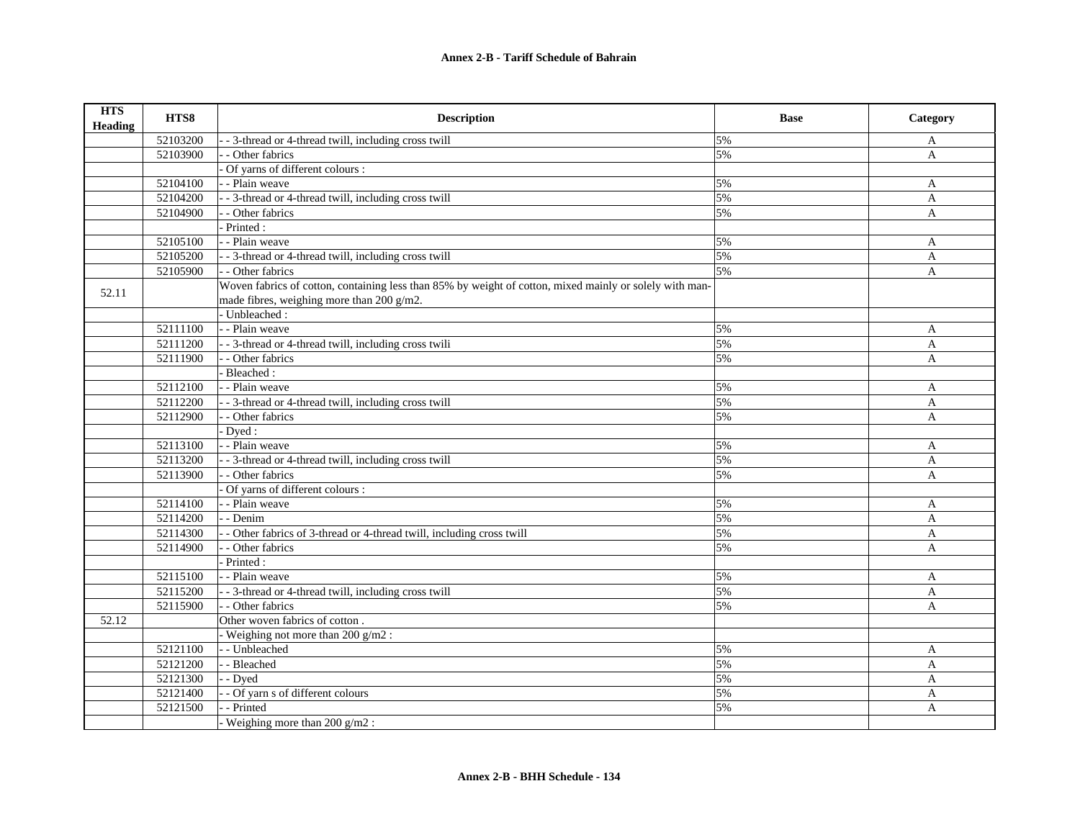| <b>HTS</b><br><b>Heading</b> | HTS8     | <b>Description</b>                                                                                      | <b>Base</b> | Category     |
|------------------------------|----------|---------------------------------------------------------------------------------------------------------|-------------|--------------|
|                              | 52103200 | - 3-thread or 4-thread twill, including cross twill                                                     | 5%          | A            |
|                              | 52103900 | - Other fabrics                                                                                         | 5%          | A            |
|                              |          | Of yarns of different colours :                                                                         |             |              |
|                              | 52104100 | - - Plain weave                                                                                         | 5%          | A            |
|                              | 52104200 | - - 3-thread or 4-thread twill, including cross twill                                                   | 5%          | $\mathbf{A}$ |
|                              | 52104900 | - Other fabrics                                                                                         | 5%          | $\mathbf{A}$ |
|                              |          | - Printed :                                                                                             |             |              |
|                              | 52105100 | - - Plain weave                                                                                         | 5%          | $\mathbf{A}$ |
|                              | 52105200 | - - 3-thread or 4-thread twill, including cross twill                                                   | 5%          | A            |
|                              | 52105900 | - - Other fabrics                                                                                       | 5%          | $\mathbf{A}$ |
| 52.11                        |          | Woven fabrics of cotton, containing less than 85% by weight of cotton, mixed mainly or solely with man- |             |              |
|                              |          | made fibres, weighing more than 200 g/m2.                                                               |             |              |
|                              |          | - Unbleached:                                                                                           |             |              |
|                              | 52111100 | - - Plain weave                                                                                         | 5%          | A            |
|                              | 52111200 | - - 3-thread or 4-thread twill, including cross twili                                                   | 5%          | A            |
|                              | 52111900 | - - Other fabrics                                                                                       | 5%          | $\mathbf{A}$ |
|                              |          | Bleached:                                                                                               |             |              |
|                              | 52112100 | - - Plain weave                                                                                         | 5%          | A            |
|                              | 52112200 | - 3-thread or 4-thread twill, including cross twill                                                     | 5%          | A            |
|                              | 52112900 | - - Other fabrics                                                                                       | 5%          | A            |
|                              |          | Dyed:                                                                                                   |             |              |
|                              | 52113100 | - - Plain weave                                                                                         | 5%          | A            |
|                              | 52113200 | - 3-thread or 4-thread twill, including cross twill                                                     | 5%          | A            |
|                              | 52113900 | - - Other fabrics                                                                                       | 5%          | A            |
|                              |          | Of yarns of different colours :                                                                         |             |              |
|                              | 52114100 | - - Plain weave                                                                                         | 5%          | A            |
|                              | 52114200 | - - Denim                                                                                               | 5%          | A            |
|                              | 52114300 | - Other fabrics of 3-thread or 4-thread twill, including cross twill                                    | 5%          | A            |
|                              | 52114900 | - - Other fabrics                                                                                       | 5%          | A            |
|                              |          | Printed:                                                                                                |             |              |
|                              | 52115100 | - - Plain weave                                                                                         | 5%          | A            |
|                              | 52115200 | - 3-thread or 4-thread twill, including cross twill                                                     | 5%          | A            |
|                              | 52115900 | - - Other fabrics                                                                                       | 5%          | $\mathbf{A}$ |
| 52.12                        |          | Other woven fabrics of cotton.                                                                          |             |              |
|                              |          | - Weighing not more than $200$ g/m2 :                                                                   |             |              |
|                              | 52121100 | - - Unbleached                                                                                          | 5%          | A            |
|                              | 52121200 | - - Bleached                                                                                            | 5%          | $\mathbf{A}$ |
|                              | 52121300 | - - Dyed                                                                                                | 5%          | $\mathbf{A}$ |
|                              | 52121400 | - Of yarn s of different colours                                                                        | 5%          | A            |
|                              | 52121500 | - Printed                                                                                               | 5%          | A            |
|                              |          | Weighing more than 200 g/m2 :                                                                           |             |              |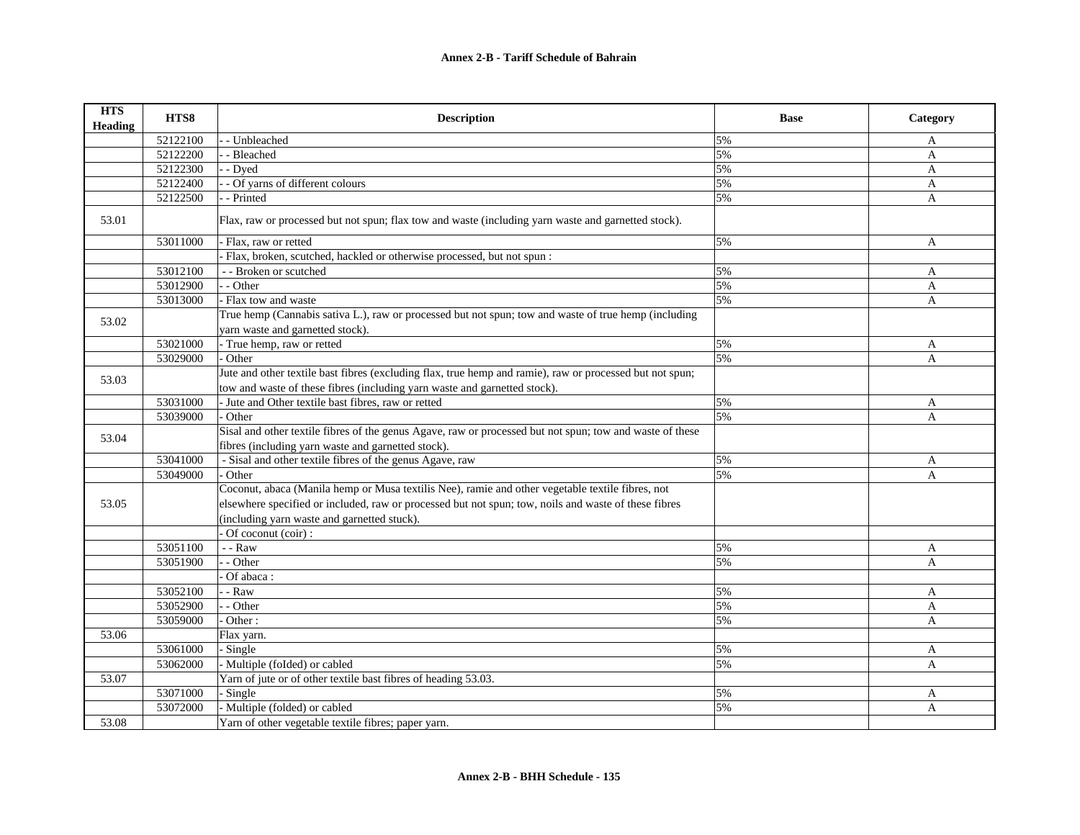| <b>HTS</b><br><b>Heading</b> | HTS8     | <b>Description</b>                                                                                                                                                                                                                                      | <b>Base</b> | Category     |
|------------------------------|----------|---------------------------------------------------------------------------------------------------------------------------------------------------------------------------------------------------------------------------------------------------------|-------------|--------------|
|                              | 52122100 | - Unbleached                                                                                                                                                                                                                                            | 5%          | A            |
|                              | 52122200 | - Bleached                                                                                                                                                                                                                                              | 5%          | $\mathbf{A}$ |
|                              | 52122300 | - Dyed                                                                                                                                                                                                                                                  | 5%          | A            |
|                              | 52122400 | - Of yarns of different colours                                                                                                                                                                                                                         | 5%          | A            |
|                              | 52122500 | - Printed                                                                                                                                                                                                                                               | 5%          | A            |
| 53.01                        |          | Flax, raw or processed but not spun; flax tow and waste (including yarn waste and garnetted stock).                                                                                                                                                     |             |              |
|                              | 53011000 | Flax, raw or retted                                                                                                                                                                                                                                     | 5%          | A            |
|                              |          | Flax, broken, scutched, hackled or otherwise processed, but not spun:                                                                                                                                                                                   |             |              |
|                              | 53012100 | - - Broken or scutched                                                                                                                                                                                                                                  | 5%          | A            |
|                              | 53012900 | $-$ Other                                                                                                                                                                                                                                               | 5%          | A            |
|                              | 53013000 | - Flax tow and waste                                                                                                                                                                                                                                    | 5%          | $\mathbf{A}$ |
| 53.02                        |          | True hemp (Cannabis sativa L.), raw or processed but not spun; tow and waste of true hemp (including<br>yarn waste and garnetted stock).                                                                                                                |             |              |
|                              | 53021000 | - True hemp, raw or retted                                                                                                                                                                                                                              | 5%          | A            |
|                              | 53029000 | Other                                                                                                                                                                                                                                                   | 5%          | A            |
| 53.03                        |          | Jute and other textile bast fibres (excluding flax, true hemp and ramie), raw or processed but not spun;<br>tow and waste of these fibres (including yarn waste and garnetted stock).                                                                   |             |              |
|                              | 53031000 | - Jute and Other textile bast fibres, raw or retted                                                                                                                                                                                                     | 5%          | A            |
|                              | 53039000 | Other                                                                                                                                                                                                                                                   | 5%          | A            |
| 53.04                        |          | Sisal and other textile fibres of the genus Agave, raw or processed but not spun; tow and waste of these<br>fibres (including yarn waste and garnetted stock).                                                                                          |             |              |
|                              | 53041000 | - Sisal and other textile fibres of the genus Agave, raw                                                                                                                                                                                                | 5%          | A            |
|                              | 53049000 | Other                                                                                                                                                                                                                                                   | 5%          | A            |
| 53.05                        |          | Coconut, abaca (Manila hemp or Musa textilis Nee), ramie and other vegetable textile fibres, not<br>elsewhere specified or included, raw or processed but not spun; tow, noils and waste of these fibres<br>(including yarn waste and garnetted stuck). |             |              |
|                              | 53051100 | Of coconut (coir) :<br>$-$ - $\text{Raw}$                                                                                                                                                                                                               | 5%          | A            |
|                              | 53051900 | - Other                                                                                                                                                                                                                                                 | 5%          | $\mathsf{A}$ |
|                              |          | Of abaca:                                                                                                                                                                                                                                               |             |              |
|                              | 53052100 | $-$ Raw                                                                                                                                                                                                                                                 | 5%          | A            |
|                              | 53052900 | - Other                                                                                                                                                                                                                                                 | 5%          | A            |
|                              | 53059000 | Other:                                                                                                                                                                                                                                                  | 5%          | $\mathbf{A}$ |
| 53.06                        |          | Flax yarn.                                                                                                                                                                                                                                              |             |              |
|                              | 53061000 | Single                                                                                                                                                                                                                                                  | 5%          | A            |
|                              | 53062000 | Multiple (foIded) or cabled                                                                                                                                                                                                                             | 5%          | A            |
| 53.07                        |          | Yarn of jute or of other textile bast fibres of heading 53.03.                                                                                                                                                                                          |             |              |
|                              | 53071000 | - Single                                                                                                                                                                                                                                                | 5%          | A            |
|                              | 53072000 | Multiple (folded) or cabled                                                                                                                                                                                                                             | 5%          | A            |
| 53.08                        |          | Yarn of other vegetable textile fibres; paper yarn.                                                                                                                                                                                                     |             |              |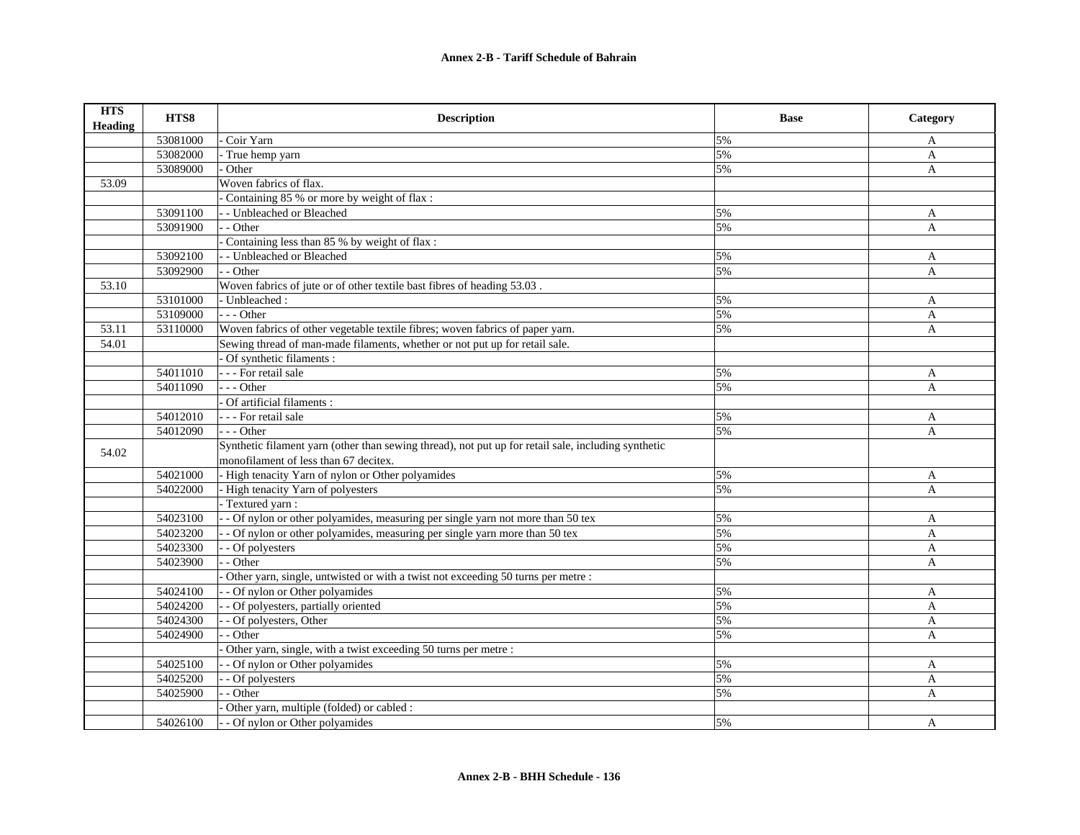| <b>HTS</b><br><b>Heading</b> | HTS8     | <b>Description</b>                                                                                                                           | <b>Base</b> | Category     |
|------------------------------|----------|----------------------------------------------------------------------------------------------------------------------------------------------|-------------|--------------|
|                              | 53081000 | Coir Yarn                                                                                                                                    | 5%          | A            |
|                              | 53082000 | True hemp yarn                                                                                                                               | 5%          | A            |
|                              | 53089000 | Other                                                                                                                                        | 5%          | A            |
| 53.09                        |          | Woven fabrics of flax.                                                                                                                       |             |              |
|                              |          | Containing 85 % or more by weight of flax :                                                                                                  |             |              |
|                              | 53091100 | - Unbleached or Bleached                                                                                                                     | 5%          | A            |
|                              | 53091900 | $-$ - Other                                                                                                                                  | 5%          | A            |
|                              |          | Containing less than 85 % by weight of flax :                                                                                                |             |              |
|                              | 53092100 | - Unbleached or Bleached                                                                                                                     | 5%          | A            |
|                              | 53092900 | - - Other                                                                                                                                    | 5%          | A            |
| 53.10                        |          | Woven fabrics of jute or of other textile bast fibres of heading 53.03.                                                                      |             |              |
|                              | 53101000 | - Unbleached:                                                                                                                                | 5%          | A            |
|                              | 53109000 | $- -$ Other                                                                                                                                  | 5%          | A            |
| 53.11                        | 53110000 | Woven fabrics of other vegetable textile fibres; woven fabrics of paper yarn.                                                                | 5%          | $\mathbf{A}$ |
| 54.01                        |          | Sewing thread of man-made filaments, whether or not put up for retail sale.                                                                  |             |              |
|                              |          | Of synthetic filaments :                                                                                                                     |             |              |
|                              | 54011010 | - - - For retail sale                                                                                                                        | 5%          | A            |
|                              | 54011090 | $- -$ Other                                                                                                                                  | 5%          | $\mathbf{A}$ |
|                              |          | Of artificial filaments :                                                                                                                    |             |              |
|                              | 54012010 | - - - For retail sale                                                                                                                        | 5%          | A            |
|                              | 54012090 | $- -$ Other                                                                                                                                  | 5%          | A            |
| 54.02                        |          | Synthetic filament yarn (other than sewing thread), not put up for retail sale, including synthetic<br>monofilament of less than 67 decitex. |             |              |
|                              | 54021000 | - High tenacity Yarn of nylon or Other polyamides                                                                                            | 5%          | A            |
|                              | 54022000 | - High tenacity Yarn of polyesters                                                                                                           | 5%          | A            |
|                              |          | - Textured yarn:                                                                                                                             |             |              |
|                              | 54023100 | -- Of nylon or other polyamides, measuring per single yarn not more than 50 tex                                                              | 5%          | A            |
|                              | 54023200 | - Of nylon or other polyamides, measuring per single yarn more than 50 tex                                                                   | 5%          | A            |
|                              | 54023300 | - - Of polyesters                                                                                                                            | 5%          | A            |
|                              | 54023900 | $-$ Other                                                                                                                                    | 5%          | $\mathsf{A}$ |
|                              |          | Other yarn, single, untwisted or with a twist not exceeding 50 turns per metre :                                                             |             |              |
|                              | 54024100 | - Of nylon or Other polyamides                                                                                                               | 5%          | A            |
|                              | 54024200 | - Of polyesters, partially oriented                                                                                                          | 5%          | A            |
|                              | 54024300 | - Of polyesters, Other                                                                                                                       | 5%          | A            |
|                              | 54024900 | - Other                                                                                                                                      | 5%          | A            |
|                              |          | Other yarn, single, with a twist exceeding 50 turns per metre :                                                                              |             |              |
|                              | 54025100 | - Of nylon or Other polyamides                                                                                                               | 5%          | A            |
|                              | 54025200 | - Of polyesters                                                                                                                              | 5%          | $\mathbf{A}$ |
|                              | 54025900 | - - Other                                                                                                                                    | 5%          | A            |
|                              |          | Other yarn, multiple (folded) or cabled :                                                                                                    |             |              |
|                              | 54026100 | - - Of nylon or Other polyamides                                                                                                             | 5%          | A            |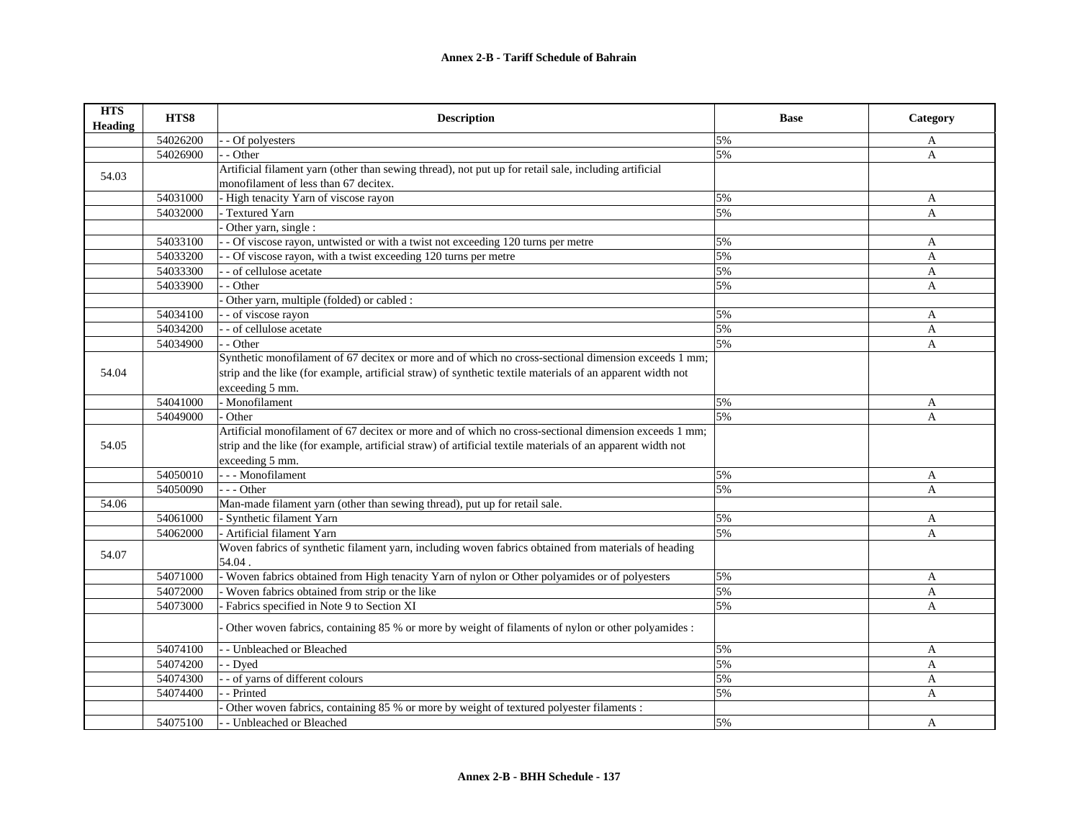| <b>HTS</b><br><b>Heading</b> | HTS8     | <b>Description</b>                                                                                          | <b>Base</b> | Category     |
|------------------------------|----------|-------------------------------------------------------------------------------------------------------------|-------------|--------------|
|                              | 54026200 | - Of polyesters                                                                                             | 5%          | A            |
|                              | 54026900 | - Other                                                                                                     | 5%          | A            |
| 54.03                        |          | Artificial filament yarn (other than sewing thread), not put up for retail sale, including artificial       |             |              |
|                              |          | monofilament of less than 67 decitex.                                                                       |             |              |
|                              | 54031000 | - High tenacity Yarn of viscose rayon                                                                       | 5%          | A            |
|                              | 54032000 | Textured Yarn                                                                                               | 5%          | A            |
|                              |          | Other yarn, single :                                                                                        |             |              |
|                              | 54033100 | - Of viscose rayon, untwisted or with a twist not exceeding 120 turns per metre                             | 5%          | A            |
|                              | 54033200 | - Of viscose rayon, with a twist exceeding 120 turns per metre                                              | 5%          | A            |
|                              | 54033300 | - of cellulose acetate                                                                                      | 5%          | A            |
|                              | 54033900 | - Other                                                                                                     | 5%          | A            |
|                              |          | Other yarn, multiple (folded) or cabled :                                                                   |             |              |
|                              | 54034100 | - of viscose rayon                                                                                          | 5%          | A            |
|                              | 54034200 | - of cellulose acetate                                                                                      | 5%          | A            |
|                              | 54034900 | - Other                                                                                                     | 5%          | $\mathbf{A}$ |
|                              |          | Synthetic monofilament of 67 decitex or more and of which no cross-sectional dimension exceeds 1 mm;        |             |              |
| 54.04                        |          | strip and the like (for example, artificial straw) of synthetic textile materials of an apparent width not  |             |              |
|                              |          | exceeding 5 mm.                                                                                             |             |              |
|                              | 54041000 | - Monofilament                                                                                              | 5%          | A            |
|                              | 54049000 | Other                                                                                                       | 5%          | A            |
|                              |          | Artificial monofilament of 67 decitex or more and of which no cross-sectional dimension exceeds 1 mm;       |             |              |
| 54.05                        |          | strip and the like (for example, artificial straw) of artificial textile materials of an apparent width not |             |              |
|                              |          | exceeding 5 mm.                                                                                             |             |              |
|                              | 54050010 | - - - Monofilament                                                                                          | 5%          | A            |
|                              | 54050090 | --- Other                                                                                                   | 5%          | A            |
| 54.06                        |          | Man-made filament yarn (other than sewing thread), put up for retail sale.                                  |             |              |
|                              | 54061000 | - Synthetic filament Yarn                                                                                   | 5%          | A            |
|                              | 54062000 | - Artificial filament Yarn                                                                                  | 5%          | A            |
| 54.07                        |          | Woven fabrics of synthetic filament yarn, including woven fabrics obtained from materials of heading        |             |              |
|                              |          | 54.04.                                                                                                      |             |              |
|                              | 54071000 | - Woven fabrics obtained from High tenacity Yarn of nylon or Other polyamides or of polyesters              | 5%          | A            |
|                              | 54072000 | Woven fabrics obtained from strip or the like                                                               | 5%          | A            |
|                              | 54073000 | Fabrics specified in Note 9 to Section XI                                                                   | 5%          | A            |
|                              |          | Other woven fabrics, containing 85 % or more by weight of filaments of nylon or other polyamides :          |             |              |
|                              | 54074100 | - Unbleached or Bleached                                                                                    | 5%          | A            |
|                              | 54074200 | - Dyed                                                                                                      | 5%          | A            |
|                              | 54074300 | - of yarns of different colours                                                                             | 5%          | $\mathbf{A}$ |
|                              | 54074400 | - Printed                                                                                                   | 5%          | A            |
|                              |          | Other woven fabrics, containing 85 % or more by weight of textured polyester filaments :                    |             |              |
|                              | 54075100 | - Unbleached or Bleached                                                                                    | 5%          | A            |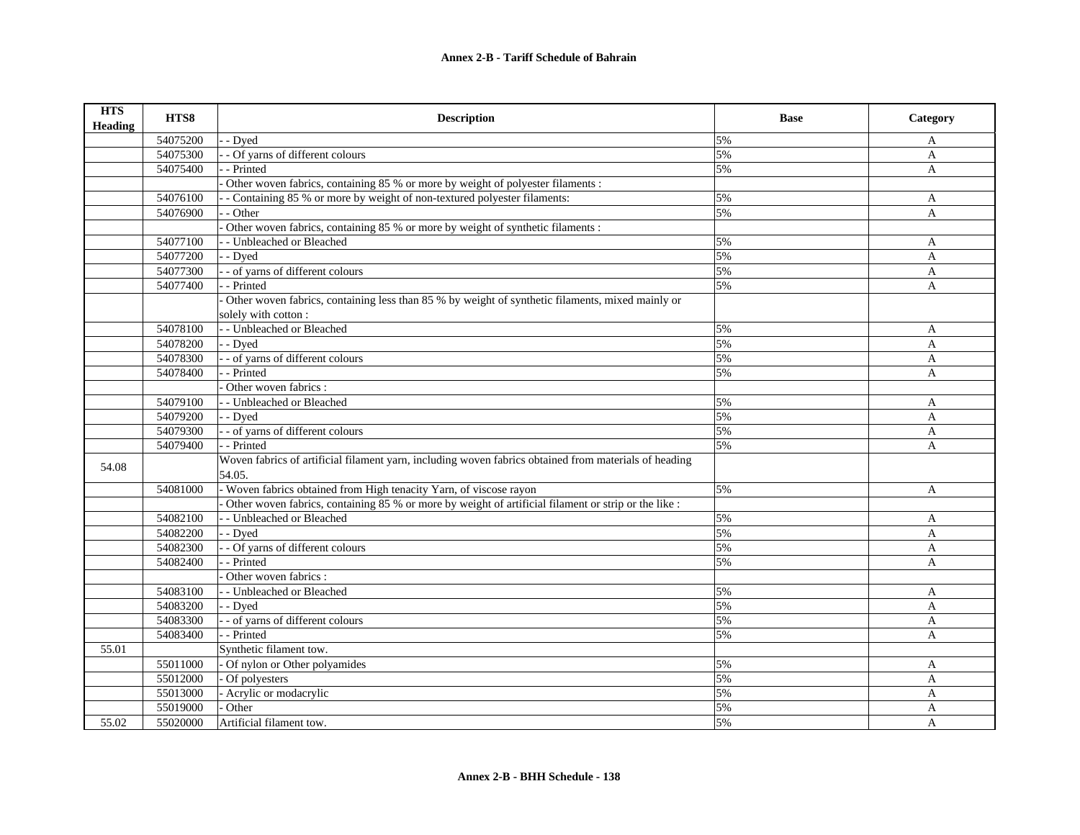| <b>HTS</b><br><b>Heading</b> | HTS8     | <b>Description</b>                                                                                              | <b>Base</b> | Category     |
|------------------------------|----------|-----------------------------------------------------------------------------------------------------------------|-------------|--------------|
|                              | 54075200 | - Dved                                                                                                          | 5%          | A            |
|                              | 54075300 | - Of yarns of different colours                                                                                 | 5%          | A            |
|                              | 54075400 | - Printed                                                                                                       | 5%          | $\mathbf{A}$ |
|                              |          | Other woven fabrics, containing 85 % or more by weight of polyester filaments :                                 |             |              |
|                              | 54076100 | - Containing 85 % or more by weight of non-textured polyester filaments:                                        | 5%          | A            |
|                              | 54076900 | - Other                                                                                                         | 5%          | A            |
|                              |          | Other woven fabrics, containing 85 % or more by weight of synthetic filaments :                                 |             |              |
|                              | 54077100 | - - Unbleached or Bleached                                                                                      | 5%          | A            |
|                              | 54077200 | - - Dyed                                                                                                        | 5%          | A            |
|                              | 54077300 | - - of yarns of different colours                                                                               | 5%          | A            |
|                              | 54077400 | - Printed                                                                                                       | 5%          | A            |
|                              |          | Other woven fabrics, containing less than 85 % by weight of synthetic filaments, mixed mainly or                |             |              |
|                              |          | solely with cotton:                                                                                             |             |              |
|                              | 54078100 | - - Unbleached or Bleached                                                                                      | 5%          | A            |
|                              | 54078200 | - - Dyed                                                                                                        | 5%          | A            |
|                              | 54078300 | - - of yarns of different colours                                                                               | 5%          | A            |
|                              | 54078400 | - - Printed                                                                                                     | 5%          | $\mathbf{A}$ |
|                              |          | Other woven fabrics :                                                                                           |             |              |
|                              | 54079100 | - - Unbleached or Bleached                                                                                      | 5%          | A            |
|                              | 54079200 | - - Dved                                                                                                        | 5%          | A            |
|                              | 54079300 | - - of yarns of different colours                                                                               | 5%          | A            |
|                              | 54079400 | - - Printed                                                                                                     | 5%          | A            |
| 54.08                        |          | Woven fabrics of artificial filament yarn, including woven fabrics obtained from materials of heading<br>54.05. |             |              |
|                              | 54081000 | - Woven fabrics obtained from High tenacity Yarn, of viscose rayon                                              | 5%          | A            |
|                              |          | Other woven fabrics, containing 85 % or more by weight of artificial filament or strip or the like :            |             |              |
|                              | 54082100 | - - Unbleached or Bleached                                                                                      | 5%          | A            |
|                              | 54082200 | - - Dyed                                                                                                        | 5%          | A            |
|                              | 54082300 | - Of yarns of different colours                                                                                 | 5%          | A            |
|                              | 54082400 | - - Printed                                                                                                     | 5%          | A            |
|                              |          | Other woven fabrics :                                                                                           |             |              |
|                              | 54083100 | - - Unbleached or Bleached                                                                                      | 5%          | A            |
|                              | 54083200 | - - Dyed                                                                                                        | 5%          | A            |
|                              | 54083300 | - - of yarns of different colours                                                                               | 5%          | A            |
|                              | 54083400 | - Printed                                                                                                       | 5%          | $\mathbf{A}$ |
| 55.01                        |          | Synthetic filament tow.                                                                                         |             |              |
|                              | 55011000 | Of nylon or Other polyamides                                                                                    | 5%          | A            |
|                              | 55012000 | Of polyesters                                                                                                   | 5%          | $\mathbf{A}$ |
|                              | 55013000 | - Acrylic or modacrylic                                                                                         | 5%          | $\mathbf{A}$ |
|                              | 55019000 | Other                                                                                                           | 5%          | A            |
| 55.02                        | 55020000 | Artificial filament tow.                                                                                        | 5%          | $\mathbf{A}$ |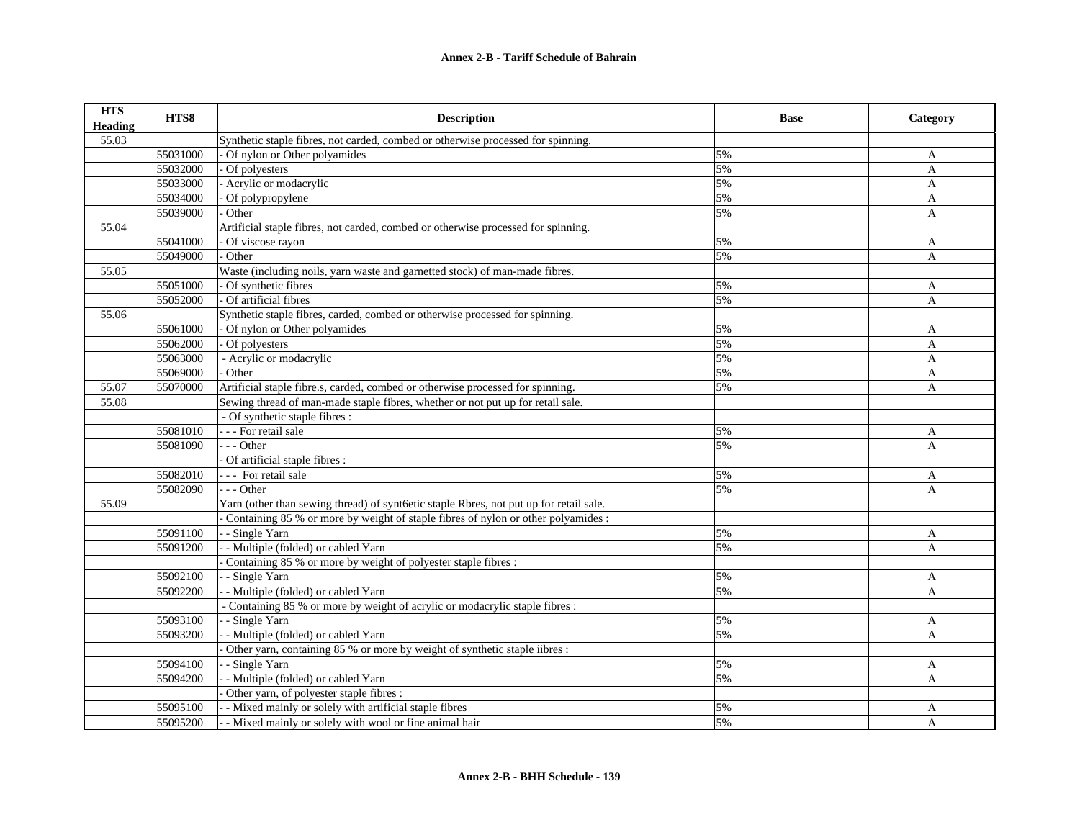| <b>HTS</b><br><b>Heading</b> | HTS8     | <b>Description</b>                                                                     | <b>Base</b> | Category     |
|------------------------------|----------|----------------------------------------------------------------------------------------|-------------|--------------|
| 55.03                        |          | Synthetic staple fibres, not carded, combed or otherwise processed for spinning.       |             |              |
|                              | 55031000 | Of nylon or Other polyamides                                                           | 5%          | A            |
|                              | 55032000 | Of polyesters                                                                          | 5%          | $\mathbf{A}$ |
|                              | 55033000 | Acrylic or modacrylic                                                                  | 5%          | $\mathbf{A}$ |
|                              | 55034000 | Of polypropylene                                                                       | 5%          | A            |
|                              | 55039000 | Other                                                                                  | 5%          | A            |
| 55.04                        |          | Artificial staple fibres, not carded, combed or otherwise processed for spinning.      |             |              |
|                              | 55041000 | Of viscose rayon                                                                       | 5%          | A            |
|                              | 55049000 | Other                                                                                  | 5%          | A            |
| 55.05                        |          | Waste (including noils, yarn waste and garnetted stock) of man-made fibres.            |             |              |
|                              | 55051000 | Of synthetic fibres                                                                    | 5%          | A            |
|                              | 55052000 | Of artificial fibres                                                                   | 5%          | A            |
| 55.06                        |          | Synthetic staple fibres, carded, combed or otherwise processed for spinning.           |             |              |
|                              | 55061000 | Of nylon or Other polyamides                                                           | 5%          | A            |
|                              | 55062000 | Of polyesters                                                                          | 5%          | A            |
|                              | 55063000 | - Acrylic or modacrylic                                                                | 5%          | A            |
|                              | 55069000 | Other                                                                                  | 5%          | A            |
| 55.07                        | 55070000 | Artificial staple fibre.s, carded, combed or otherwise processed for spinning.         | 5%          | A            |
| 55.08                        |          | Sewing thread of man-made staple fibres, whether or not put up for retail sale.        |             |              |
|                              |          | - Of synthetic staple fibres :                                                         |             |              |
|                              | 55081010 | - - - For retail sale                                                                  | 5%          | A            |
|                              | 55081090 | $- -$ Other                                                                            | 5%          | $\mathbf{A}$ |
|                              |          | Of artificial staple fibres :                                                          |             |              |
|                              | 55082010 | --- For retail sale                                                                    | 5%          | A            |
|                              | 55082090 | --- Other                                                                              | 5%          | A            |
| 55.09                        |          | Yarn (other than sewing thread) of syntfetic staple Rbres, not put up for retail sale. |             |              |
|                              |          | Containing 85 % or more by weight of staple fibres of nylon or other polyamides :      |             |              |
|                              | 55091100 | - - Single Yarn                                                                        | 5%          | A            |
|                              | 55091200 | - Multiple (folded) or cabled Yarn                                                     | 5%          | A            |
|                              |          | Containing 85 % or more by weight of polyester staple fibres :                         |             |              |
|                              | 55092100 | - Single Yarn                                                                          | 5%          | A            |
|                              | 55092200 | - Multiple (folded) or cabled Yarn                                                     | 5%          | A            |
|                              |          | - Containing 85 % or more by weight of acrylic or modacrylic staple fibres :           |             |              |
|                              | 55093100 | - Single Yarn                                                                          | 5%          | A            |
|                              | 55093200 | - Multiple (folded) or cabled Yarn                                                     | 5%          | A            |
|                              |          | Other yarn, containing 85 % or more by weight of synthetic staple iibres :             |             |              |
|                              | 55094100 | - Single Yarn                                                                          | 5%          | A            |
|                              | 55094200 | - Multiple (folded) or cabled Yarn                                                     | 5%          | A            |
|                              |          | Other yarn, of polyester staple fibres :                                               |             |              |
|                              | 55095100 | - Mixed mainly or solely with artificial staple fibres                                 | 5%          | A            |
|                              | 55095200 | - Mixed mainly or solely with wool or fine animal hair                                 | 5%          | $\mathbf{A}$ |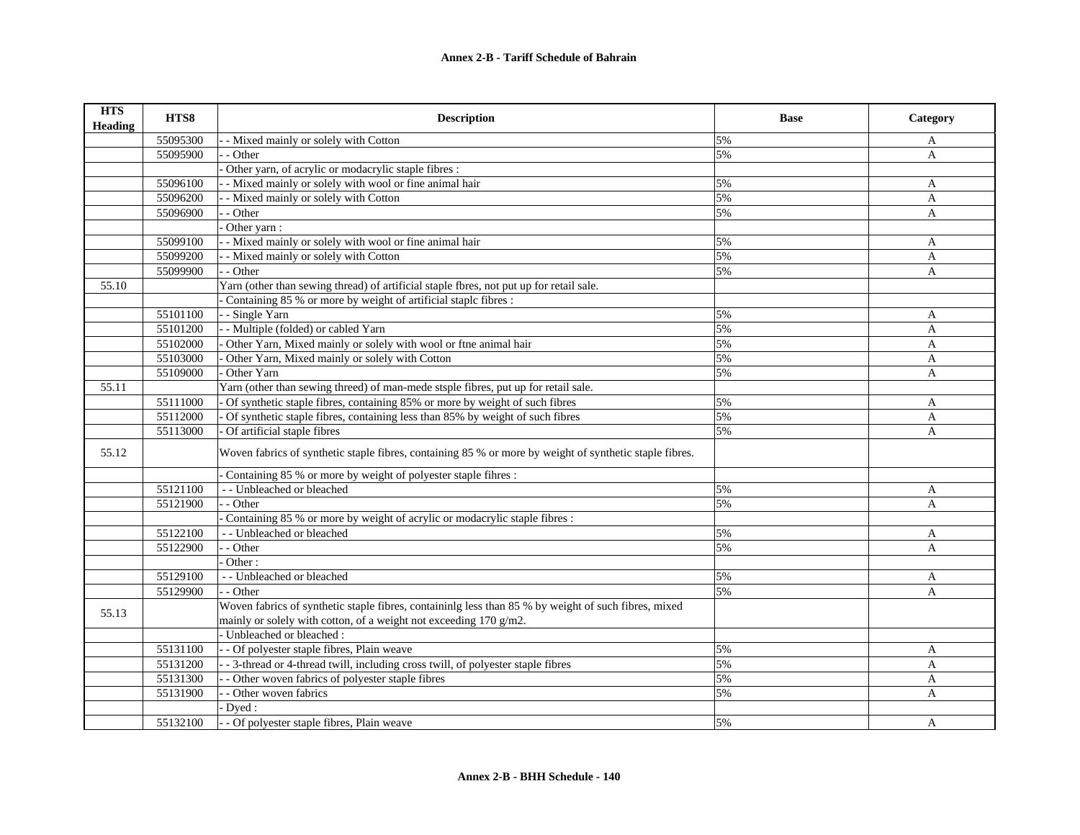| <b>HTS</b><br><b>Heading</b> | HTS8     | <b>Description</b>                                                                                      | <b>Base</b> | Category     |
|------------------------------|----------|---------------------------------------------------------------------------------------------------------|-------------|--------------|
|                              | 55095300 | - Mixed mainly or solely with Cotton                                                                    | 5%          | A            |
|                              | 55095900 | - Other                                                                                                 | 5%          | A            |
|                              |          | Other yarn, of acrylic or modacrylic staple fibres :                                                    |             |              |
|                              | 55096100 | - Mixed mainly or solely with wool or fine animal hair                                                  | 5%          | A            |
|                              | 55096200 | - Mixed mainly or solely with Cotton                                                                    | 5%          | A            |
|                              | 55096900 | - Other                                                                                                 | 5%          | A            |
|                              |          | Other yarn:                                                                                             |             |              |
|                              | 55099100 | - Mixed mainly or solely with wool or fine animal hair                                                  | 5%          | A            |
|                              | 55099200 | - Mixed mainly or solely with Cotton                                                                    | 5%          | A            |
|                              | 55099900 | - - Other                                                                                               | 5%          | A            |
| 55.10                        |          | Yarn (other than sewing thread) of artificial staple fbres, not put up for retail sale.                 |             |              |
|                              |          | Containing 85 % or more by weight of artificial staple fibres :                                         |             |              |
|                              | 55101100 | - Single Yarn                                                                                           | 5%          | A            |
|                              | 55101200 | - Multiple (folded) or cabled Yarn                                                                      | 5%          | A            |
|                              | 55102000 | Other Yarn, Mixed mainly or solely with wool or ftne animal hair                                        | 5%          | A            |
|                              | 55103000 | Other Yarn, Mixed mainly or solely with Cotton                                                          | 5%          | A            |
|                              | 55109000 | Other Yarn                                                                                              | 5%          | A            |
| 55.11                        |          | Yarn (other than sewing threed) of man-mede stsple fibres, put up for retail sale.                      |             |              |
|                              | 55111000 | Of synthetic staple fibres, containing 85% or more by weight of such fibres                             | 5%          | A            |
|                              | 55112000 | Of synthetic staple fibres, containing less than 85% by weight of such fibres                           | 5%          | A            |
|                              | 55113000 | Of artificial staple fibres                                                                             | 5%          | A            |
| 55.12                        |          | Woven fabrics of synthetic staple fibres, containing 85 % or more by weight of synthetic staple fibres. |             |              |
|                              |          | Containing 85 % or more by weight of polyester staple fihres:                                           |             |              |
|                              | 55121100 | - - Unbleached or bleached                                                                              | 5%          | A            |
|                              | 55121900 | - Other                                                                                                 | 5%          | A            |
|                              |          | Containing 85 % or more by weight of acrylic or modacrylic staple fibres :                              |             |              |
|                              | 55122100 | - - Unbleached or bleached                                                                              | 5%          | A            |
|                              | 55122900 | - Other                                                                                                 | 5%          | A            |
|                              |          | Other:                                                                                                  |             |              |
|                              | 55129100 | - - Unbleached or bleached                                                                              | 5%          | A            |
|                              | 55129900 | - - Other                                                                                               | 5%          | A            |
| 55.13                        |          | Woven fabrics of synthetic staple fibres, containinlg less than 85 % by weight of such fibres, mixed    |             |              |
|                              |          | mainly or solely with cotton, of a weight not exceeding 170 g/m2.                                       |             |              |
|                              |          | - Unbleached or bleached :                                                                              |             |              |
|                              | 55131100 | - Of polyester staple fibres, Plain weave                                                               | 5%          | A            |
|                              | 55131200 | - 3-thread or 4-thread twill, including cross twill, of polyester staple fibres                         | 5%          | A            |
|                              | 55131300 | - Other woven fabrics of polyester staple fibres                                                        | 5%          | $\mathbf{A}$ |
|                              | 55131900 | - Other woven fabrics                                                                                   | 5%          | A            |
|                              |          | Dyed:                                                                                                   |             |              |
|                              | 55132100 | - - Of polyester staple fibres, Plain weave                                                             | 5%          | A            |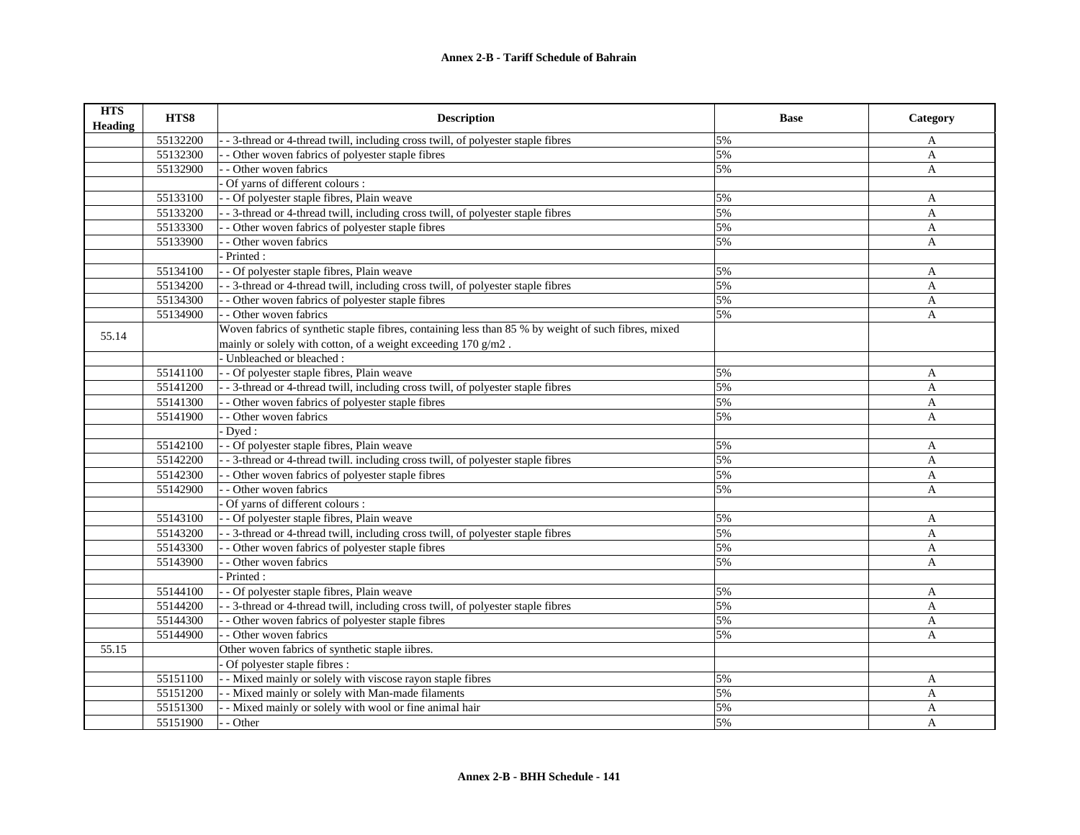| <b>HTS</b><br>Heading | HTS8     | <b>Description</b>                                                                                  | <b>Base</b> | Category     |
|-----------------------|----------|-----------------------------------------------------------------------------------------------------|-------------|--------------|
|                       | 55132200 | - - 3-thread or 4-thread twill, including cross twill, of polyester staple fibres                   | 5%          | A            |
|                       | 55132300 | - Other woven fabrics of polyester staple fibres                                                    | 5%          | $\mathbf{A}$ |
|                       | 55132900 | - - Other woven fabrics                                                                             | 5%          | $\mathbf{A}$ |
|                       |          | Of yarns of different colours :                                                                     |             |              |
|                       | 55133100 | - - Of polyester staple fibres, Plain weave                                                         | 5%          | A            |
|                       | 55133200 | - 3-thread or 4-thread twill, including cross twill, of polyester staple fibres                     | 5%          | $\mathbf{A}$ |
|                       | 55133300 | - - Other woven fabrics of polyester staple fibres                                                  | 5%          | A            |
|                       | 55133900 | - Other woven fabrics                                                                               | 5%          | $\mathbf{A}$ |
|                       |          | - Printed :                                                                                         |             |              |
|                       | 55134100 | - - Of polyester staple fibres, Plain weave                                                         | 5%          | $\mathbf{A}$ |
|                       | 55134200 | - - 3-thread or 4-thread twill, including cross twill, of polyester staple fibres                   | 5%          | A            |
|                       | 55134300 | - Other woven fabrics of polyester staple fibres                                                    | 5%          | A            |
|                       | 55134900 | - - Other woven fabrics                                                                             | 5%          | A            |
|                       |          | Woven fabrics of synthetic staple fibres, containing less than 85 % by weight of such fibres, mixed |             |              |
| 55.14                 |          | mainly or solely with cotton, of a weight exceeding 170 g/m2.                                       |             |              |
|                       |          | - Unbleached or bleached :                                                                          |             |              |
|                       | 55141100 | - - Of polyester staple fibres, Plain weave                                                         | 5%          | A            |
|                       | 55141200 | - - 3-thread or 4-thread twill, including cross twill, of polyester staple fibres                   | 5%          | $\mathbf{A}$ |
|                       | 55141300 | - Other woven fabrics of polyester staple fibres                                                    | 5%          | A            |
|                       | 55141900 | - - Other woven fabrics                                                                             | 5%          | A            |
|                       |          | Dved:                                                                                               |             |              |
|                       | 55142100 | - Of polyester staple fibres, Plain weave                                                           | 5%          | A            |
|                       | 55142200 | - - 3-thread or 4-thread twill. including cross twill, of polyester staple fibres                   | 5%          | A            |
|                       | 55142300 | - Other woven fabrics of polyester staple fibres                                                    | 5%          | A            |
|                       | 55142900 | - Other woven fabrics                                                                               | 5%          | A            |
|                       |          | Of yarns of different colours :                                                                     |             |              |
|                       | 55143100 | - - Of polyester staple fibres, Plain weave                                                         | 5%          | A            |
|                       | 55143200 | - - 3-thread or 4-thread twill, including cross twill, of polyester staple fibres                   | 5%          | A            |
|                       | 55143300 | - - Other woven fabrics of polyester staple fibres                                                  | 5%          | A            |
|                       | 55143900 | - Other woven fabrics                                                                               | 5%          | A            |
|                       |          | Printed:                                                                                            |             |              |
|                       | 55144100 | - Of polyester staple fibres, Plain weave                                                           | 5%          | A            |
|                       | 55144200 | - - 3-thread or 4-thread twill, including cross twill, of polyester staple fibres                   | 5%          | $\mathbf{A}$ |
|                       | 55144300 | - Other woven fabrics of polyester staple fibres                                                    | 5%          | A            |
|                       | 55144900 | - - Other woven fabrics                                                                             | 5%          | $\mathbf{A}$ |
| 55.15                 |          | Other woven fabrics of synthetic staple iibres.                                                     |             |              |
|                       |          | Of polyester staple fibres :                                                                        |             |              |
|                       | 55151100 | - - Mixed mainly or solely with viscose rayon staple fibres                                         | 5%          | A            |
|                       | 55151200 | - - Mixed mainly or solely with Man-made filaments                                                  | 5%          | A            |
|                       | 55151300 | - - Mixed mainly or solely with wool or fine animal hair                                            | 5%          | A            |
|                       | 55151900 | - - Other                                                                                           | 5%          | A            |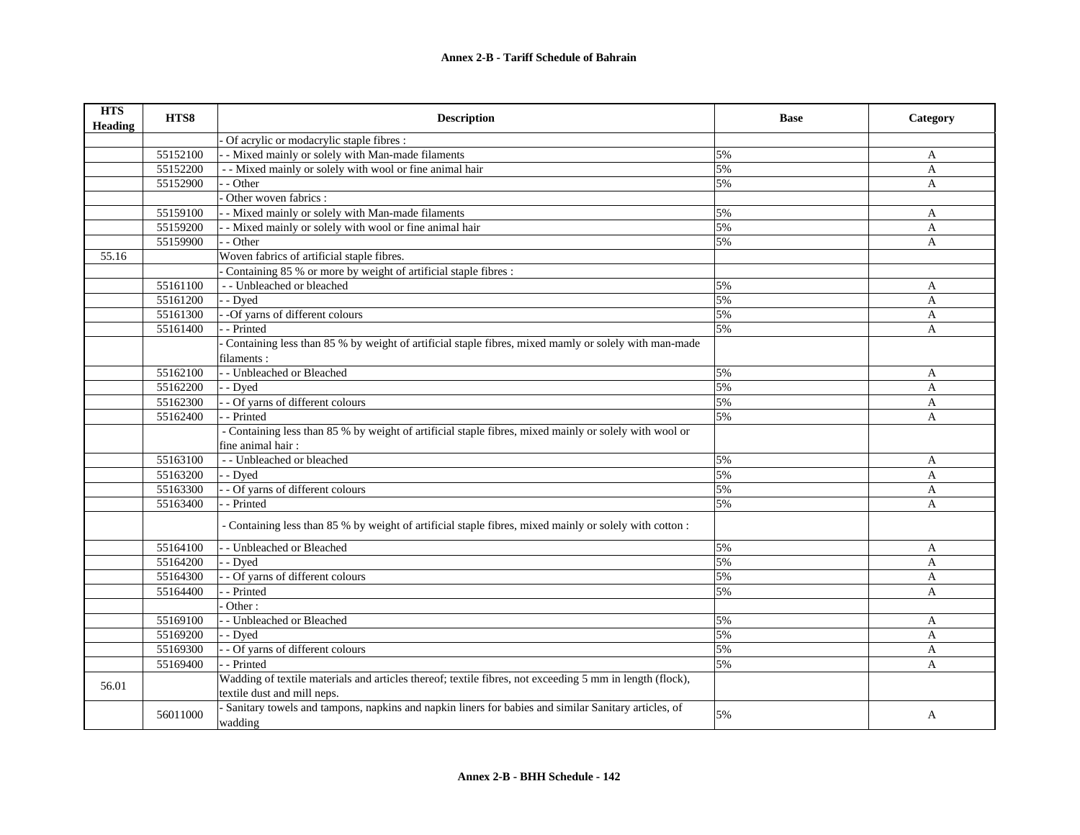| <b>HTS</b><br><b>Heading</b> | HTS8     | <b>Description</b>                                                                                                                      | <b>Base</b> | Category     |
|------------------------------|----------|-----------------------------------------------------------------------------------------------------------------------------------------|-------------|--------------|
|                              |          | Of acrylic or modacrylic staple fibres :                                                                                                |             |              |
|                              | 55152100 | - Mixed mainly or solely with Man-made filaments                                                                                        | 5%          | A            |
|                              | 55152200 | - - Mixed mainly or solely with wool or fine animal hair                                                                                | 5%          | $\mathbf{A}$ |
|                              | 55152900 | - Other                                                                                                                                 | 5%          | $\mathbf{A}$ |
|                              |          | Other woven fabrics :                                                                                                                   |             |              |
|                              | 55159100 | - Mixed mainly or solely with Man-made filaments                                                                                        | 5%          | A            |
|                              | 55159200 | - Mixed mainly or solely with wool or fine animal hair                                                                                  | 5%          | A            |
|                              | 55159900 | - Other                                                                                                                                 | 5%          | A            |
| 55.16                        |          | Woven fabrics of artificial staple fibres.                                                                                              |             |              |
|                              |          | Containing 85 % or more by weight of artificial staple fibres :                                                                         |             |              |
|                              | 55161100 | - - Unbleached or bleached                                                                                                              | 5%          | A            |
|                              | 55161200 | - Dyed                                                                                                                                  | 5%          | A            |
|                              | 55161300 | -Of yarns of different colours                                                                                                          | 5%          | A            |
|                              | 55161400 | - Printed                                                                                                                               | 5%          | A            |
|                              |          | Containing less than 85 % by weight of artificial staple fibres, mixed mamly or solely with man-made                                    |             |              |
|                              |          | filaments :                                                                                                                             |             |              |
|                              | 55162100 | - Unbleached or Bleached                                                                                                                | 5%          | A            |
|                              | 55162200 | - Dyed                                                                                                                                  | 5%          | $\mathbf{A}$ |
|                              | 55162300 | - Of yarns of different colours                                                                                                         | 5%          | A            |
|                              | 55162400 | - Printed                                                                                                                               | 5%          | A            |
|                              |          | - Containing less than 85 % by weight of artificial staple fibres, mixed mainly or solely with wool or<br>fine animal hair:             |             |              |
|                              | 55163100 | - - Unbleached or bleached                                                                                                              | 5%          | A            |
|                              | 55163200 | - Dyed                                                                                                                                  | 5%          | A            |
|                              | 55163300 | - Of yarns of different colours                                                                                                         | 5%          | A            |
|                              | 55163400 | - Printed                                                                                                                               | 5%          | A            |
|                              |          | - Containing less than 85 % by weight of artificial staple fibres, mixed mainly or solely with cotton :                                 |             |              |
|                              | 55164100 | - Unbleached or Bleached                                                                                                                | 5%          | A            |
|                              | 55164200 | - Dyed                                                                                                                                  | 5%          | A            |
|                              | 55164300 | - Of yarns of different colours                                                                                                         | 5%          | A            |
|                              | 55164400 | - Printed                                                                                                                               | 5%          | A            |
|                              |          | Other:                                                                                                                                  |             |              |
|                              | 55169100 | - Unbleached or Bleached                                                                                                                | 5%          | A            |
|                              | 55169200 | - Dyed                                                                                                                                  | 5%          | A            |
|                              | 55169300 | - Of yarns of different colours                                                                                                         | 5%          | $\mathbf{A}$ |
|                              | 55169400 | - Printed                                                                                                                               | 5%          | A            |
| 56.01                        |          | Wadding of textile materials and articles thereof; textile fibres, not exceeding 5 mm in length (flock),<br>textile dust and mill neps. |             |              |
|                              | 56011000 | - Sanitary towels and tampons, napkins and napkin liners for babies and similar Sanitary articles, of<br>wadding                        | 5%          | A            |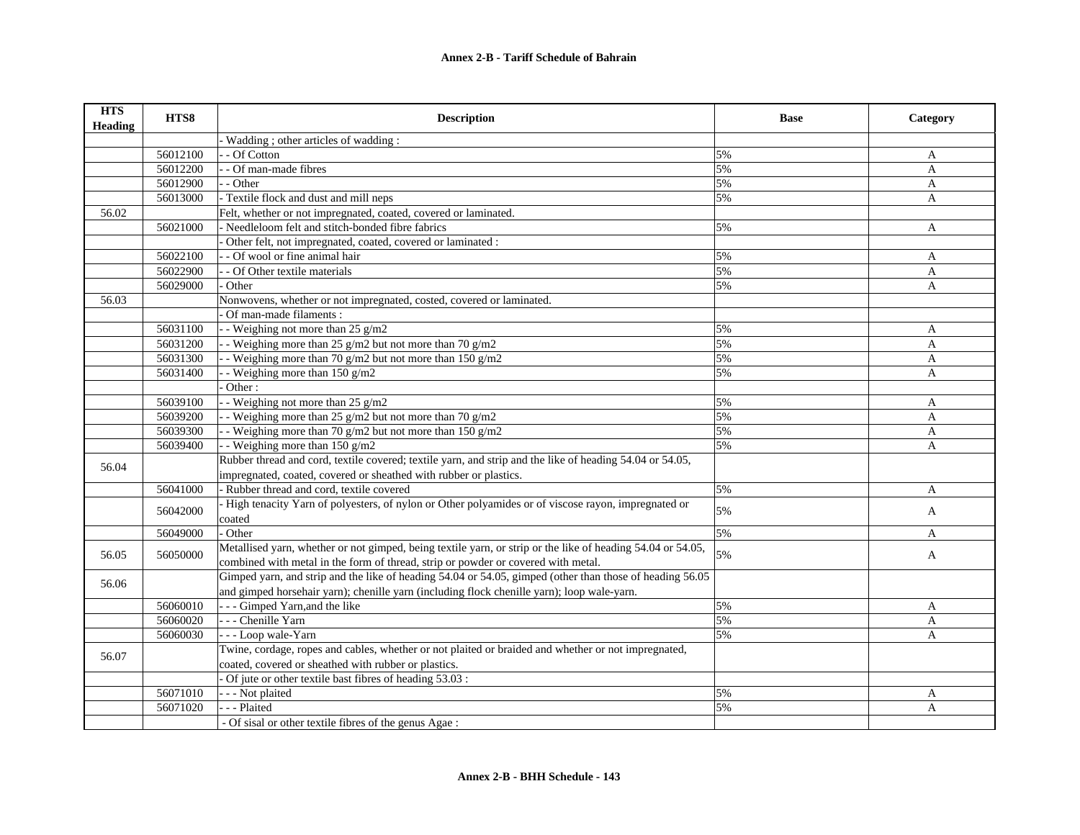| <b>HTS</b><br><b>Heading</b> | HTS8     | <b>Description</b>                                                                                          | <b>Base</b> | Category     |
|------------------------------|----------|-------------------------------------------------------------------------------------------------------------|-------------|--------------|
|                              |          | Wadding; other articles of wadding:                                                                         |             |              |
|                              | 56012100 | - Of Cotton                                                                                                 | 5%          | A            |
|                              | 56012200 | - Of man-made fibres                                                                                        | 5%          | A            |
|                              | 56012900 | - Other                                                                                                     | 5%          | A            |
|                              | 56013000 | Textile flock and dust and mill neps                                                                        | 5%          | A            |
| 56.02                        |          | Felt, whether or not impregnated, coated, covered or laminated.                                             |             |              |
|                              | 56021000 | - Needleloom felt and stitch-bonded fibre fabrics                                                           | 5%          | A            |
|                              |          | Other felt, not impregnated, coated, covered or laminated :                                                 |             |              |
|                              | 56022100 | - Of wool or fine animal hair                                                                               | 5%          | A            |
|                              | 56022900 | - Of Other textile materials                                                                                | 5%          | A            |
|                              | 56029000 | Other                                                                                                       | 5%          | A            |
| 56.03                        |          | Nonwovens, whether or not impregnated, costed, covered or laminated.                                        |             |              |
|                              |          | Of man-made filaments :                                                                                     |             |              |
|                              | 56031100 | - Weighing not more than $25$ g/m2                                                                          | 5%          | A            |
|                              | 56031200 | - Weighing more than 25 g/m2 but not more than 70 g/m2                                                      | 5%          | A            |
|                              | 56031300 | - Weighing more than 70 g/m2 but not more than 150 g/m2                                                     | 5%          | A            |
|                              | 56031400 | - Weighing more than $150$ g/m2                                                                             | 5%          | A            |
|                              |          | Other:                                                                                                      |             |              |
|                              | 56039100 | - Weighing not more than $25$ g/m <sup>2</sup>                                                              | 5%          | A            |
|                              | 56039200 | - Weighing more than 25 $g/m2$ but not more than 70 $g/m2$                                                  | 5%          | $\mathbf{A}$ |
|                              | 56039300 | - Weighing more than 70 g/m2 but not more than 150 g/m2                                                     | 5%          | A            |
|                              | 56039400 | - Weighing more than $150$ g/m2                                                                             | 5%          | A            |
| 56.04                        |          | Rubber thread and cord, textile covered; textile yarn, and strip and the like of heading 54.04 or 54.05,    |             |              |
|                              |          | impregnated, coated, covered or sheathed with rubber or plastics.                                           |             |              |
|                              | 56041000 | - Rubber thread and cord, textile covered                                                                   | 5%          | A            |
|                              | 56042000 | High tenacity Yarn of polyesters, of nylon or Other polyamides or of viscose rayon, impregnated or          | 5%          | A            |
|                              |          | coated                                                                                                      |             |              |
|                              | 56049000 | - Other                                                                                                     | 5%          | A            |
| 56.05                        | 56050000 | Metallised yarn, whether or not gimped, being textile yarn, or strip or the like of heading 54.04 or 54.05, | 5%          | A            |
|                              |          | combined with metal in the form of thread, strip or powder or covered with metal.                           |             |              |
| 56.06                        |          | Gimped yarn, and strip and the like of heading 54.04 or 54.05, gimped (other than those of heading 56.05    |             |              |
|                              |          | and gimped horsehair yarn); chenille yarn (including flock chenille yarn); loop wale-yarn.                  |             |              |
|                              | 56060010 | - - - Gimped Yarn, and the like                                                                             | 5%          | A            |
|                              | 56060020 | --- Chenille Yarn                                                                                           | 5%          | A            |
|                              | 56060030 | - - Loop wale-Yarn                                                                                          | 5%          | A            |
| 56.07                        |          | Twine, cordage, ropes and cables, whether or not plaited or braided and whether or not impregnated,         |             |              |
|                              |          | coated, covered or sheathed with rubber or plastics.                                                        |             |              |
|                              |          | Of jute or other textile bast fibres of heading 53.03 :                                                     |             |              |
|                              | 56071010 | - - Not plaited                                                                                             | 5%          | A            |
|                              | 56071020 | - - Plaited                                                                                                 | 5%          | A            |
|                              |          | - Of sisal or other textile fibres of the genus Agae :                                                      |             |              |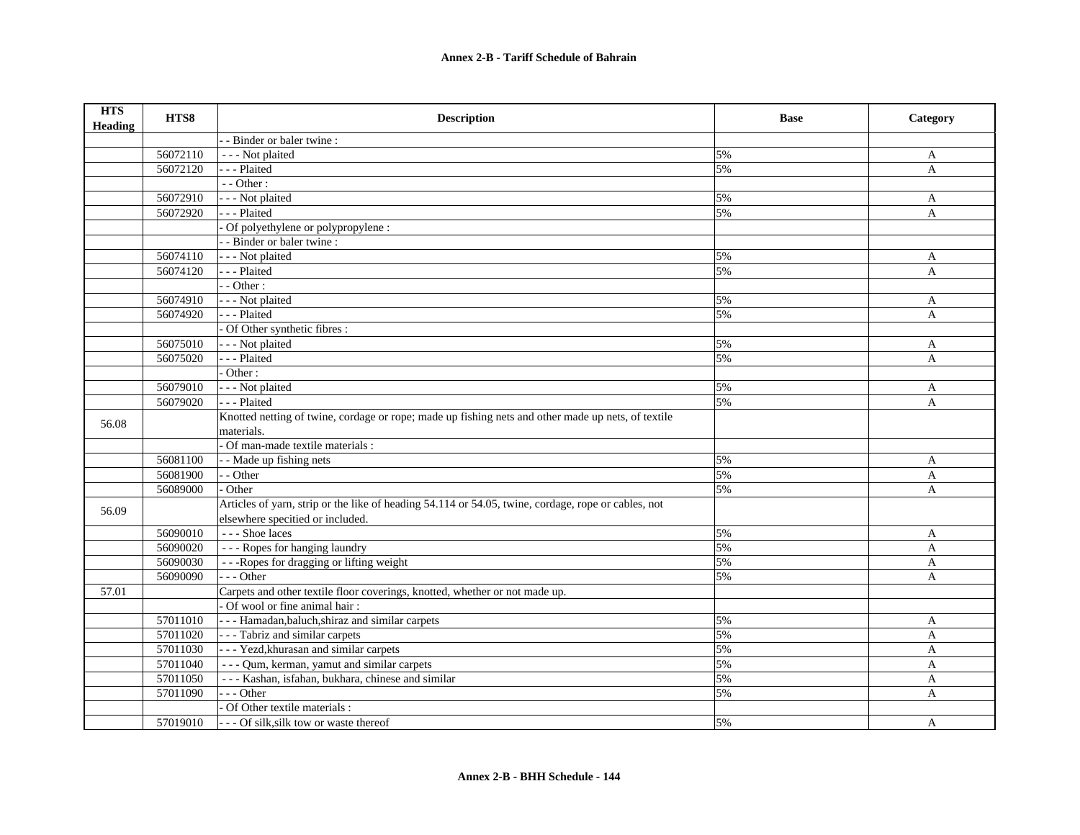| <b>HTS</b><br><b>Heading</b> | HTS8     | <b>Description</b>                                                                                  | <b>Base</b> | Category     |
|------------------------------|----------|-----------------------------------------------------------------------------------------------------|-------------|--------------|
|                              |          | - Binder or baler twine:                                                                            |             |              |
|                              | 56072110 | - - - Not plaited                                                                                   | 5%          | A            |
|                              | 56072120 | --- Plaited                                                                                         | 5%          | $\mathbf{A}$ |
|                              |          | $-$ - Other :                                                                                       |             |              |
|                              | 56072910 | - - - Not plaited                                                                                   | 5%          | A            |
|                              | 56072920 | --- Plaited                                                                                         | 5%          | $\mathbf{A}$ |
|                              |          | Of polyethylene or polypropylene :                                                                  |             |              |
|                              |          | - Binder or baler twine :                                                                           |             |              |
|                              | 56074110 | - - - Not plaited                                                                                   | 5%          | A            |
|                              | 56074120 | - - - Plaited                                                                                       | 5%          | A            |
|                              |          | - Other:                                                                                            |             |              |
|                              | 56074910 | - - - Not plaited                                                                                   | 5%          | A            |
|                              | 56074920 | - - - Plaited                                                                                       | 5%          | A            |
|                              |          | Of Other synthetic fibres :                                                                         |             |              |
|                              | 56075010 | - - - Not plaited                                                                                   | 5%          | A            |
|                              | 56075020 | - - - Plaited                                                                                       | 5%          | A            |
|                              |          | Other:                                                                                              |             |              |
|                              | 56079010 | - - - Not plaited                                                                                   | 5%          | A            |
|                              | 56079020 | - - - Plaited                                                                                       | 5%          | $\mathbf{A}$ |
| 56.08                        |          | Knotted netting of twine, cordage or rope; made up fishing nets and other made up nets, of textile  |             |              |
|                              |          | materials.                                                                                          |             |              |
|                              |          | Of man-made textile materials :                                                                     |             |              |
|                              | 56081100 | - - Made up fishing nets                                                                            | 5%          | A            |
|                              | 56081900 | - - Other                                                                                           | 5%          | A            |
|                              | 56089000 | - Other                                                                                             | 5%          | A            |
| 56.09                        |          | Articles of yarn, strip or the like of heading 54.114 or 54.05, twine, cordage, rope or cables, not |             |              |
|                              |          | elsewhere specitied or included.                                                                    |             |              |
|                              | 56090010 | --- Shoe laces                                                                                      | 5%          | A            |
|                              | 56090020 | --- Ropes for hanging laundry                                                                       | 5%          | $\mathbf{A}$ |
|                              | 56090030 | ---Ropes for dragging or lifting weight                                                             | 5%          | A            |
|                              | 56090090 | $- -$ Other                                                                                         | 5%          | A            |
| 57.01                        |          | Carpets and other textile floor coverings, knotted, whether or not made up.                         |             |              |
|                              |          | Of wool or fine animal hair:                                                                        |             |              |
|                              | 57011010 | - - - Hamadan, baluch, shiraz and similar carpets                                                   | 5%          | A            |
|                              | 57011020 | --- Tabriz and similar carpets                                                                      | 5%          | A            |
|                              | 57011030 | --- Yezd, khurasan and similar carpets                                                              | 5%          | A            |
|                              | 57011040 | - - - Qum, kerman, yamut and similar carpets                                                        | 5%          | A            |
|                              | 57011050 | --- Kashan, isfahan, bukhara, chinese and similar                                                   | 5%          | A            |
|                              | 57011090 | $- -$ Other                                                                                         | 5%          | A            |
|                              |          | Of Other textile materials :                                                                        |             |              |
|                              | 57019010 | --- Of silk, silk tow or waste thereof                                                              | 5%          | A            |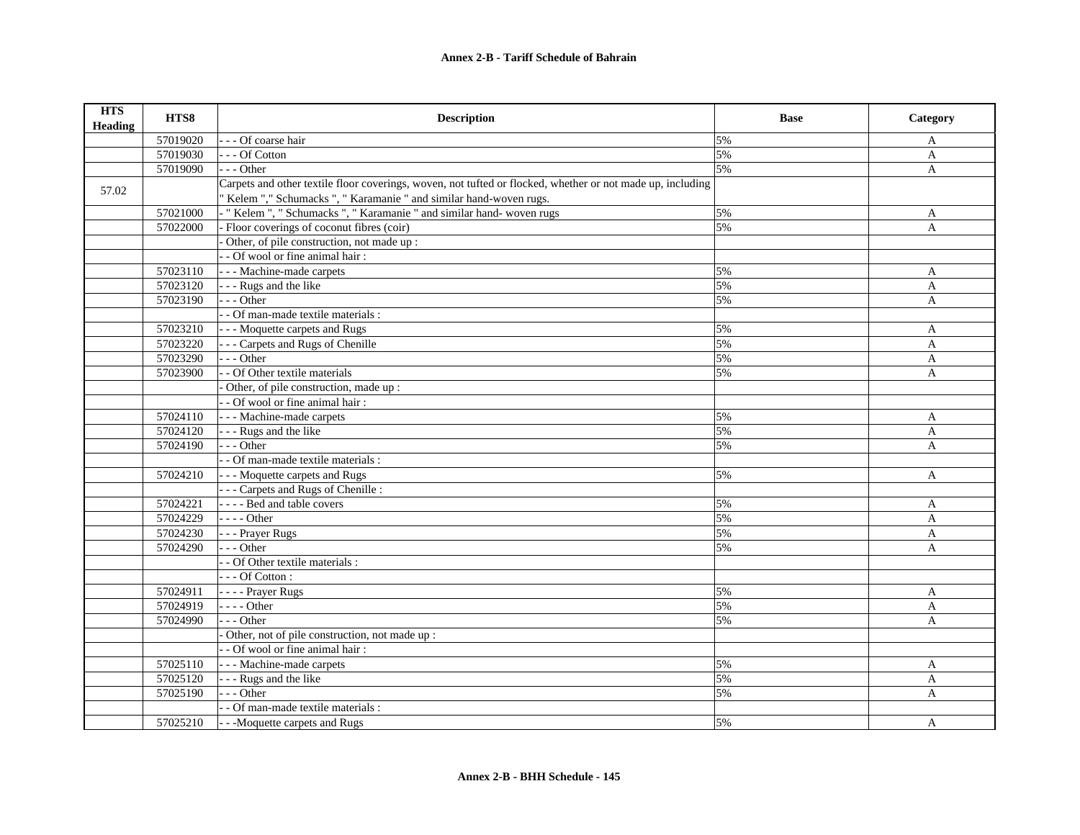| <b>HTS</b><br><b>Heading</b> | HTS8     | <b>Description</b>                                                                                         | <b>Base</b> | Category     |
|------------------------------|----------|------------------------------------------------------------------------------------------------------------|-------------|--------------|
|                              | 57019020 | - - Of coarse hair                                                                                         | 5%          | A            |
|                              | 57019030 | --- Of Cotton                                                                                              | 5%          | A            |
|                              | 57019090 | $- -$ Other                                                                                                | 5%          | $\mathbf{A}$ |
| 57.02                        |          | Carpets and other textile floor coverings, woven, not tufted or flocked, whether or not made up, including |             |              |
|                              |          | "Kelem "," Schumacks ", "Karamanie " and similar hand-woven rugs.                                          |             |              |
|                              | 57021000 | - "Kelem ", " Schumacks ", " Karamanie " and similar hand- woven rugs                                      | 5%          | A            |
|                              | 57022000 | Floor coverings of coconut fibres (coir)                                                                   | 5%          | $\mathbf{A}$ |
|                              |          | Other, of pile construction, not made up :                                                                 |             |              |
|                              |          | - Of wool or fine animal hair:                                                                             |             |              |
|                              | 57023110 | - - - Machine-made carpets                                                                                 | 5%          | A            |
|                              | 57023120 | - - - Rugs and the like                                                                                    | 5%          | A            |
|                              | 57023190 | $-$ - Other                                                                                                | 5%          | A            |
|                              |          | - Of man-made textile materials :                                                                          |             |              |
|                              | 57023210 | - - - Moquette carpets and Rugs                                                                            | 5%          | A            |
|                              | 57023220 | - - Carpets and Rugs of Chenille                                                                           | 5%          | A            |
|                              | 57023290 | $- -$ Other                                                                                                | 5%          | A            |
|                              | 57023900 | - Of Other textile materials                                                                               | 5%          | A            |
|                              |          | Other, of pile construction, made up :                                                                     |             |              |
|                              |          | - - Of wool or fine animal hair :                                                                          |             |              |
|                              | 57024110 | - - - Machine-made carpets                                                                                 | 5%          | A            |
|                              | 57024120 | - - - Rugs and the like                                                                                    | 5%          | A            |
|                              | 57024190 | $- -$ Other                                                                                                | 5%          | $\mathbf{A}$ |
|                              |          | - Of man-made textile materials :                                                                          |             |              |
|                              | 57024210 | - - - Moquette carpets and Rugs                                                                            | 5%          | A            |
|                              |          | - - - Carpets and Rugs of Chenille :                                                                       |             |              |
|                              | 57024221 | - - - - Bed and table covers                                                                               | 5%          | A            |
|                              | 57024229 | $---Other$                                                                                                 | 5%          | $\mathbf{A}$ |
|                              | 57024230 | - - - Prayer Rugs                                                                                          | 5%          | A            |
|                              | 57024290 | $- -$ Other                                                                                                | 5%          | A            |
|                              |          | - Of Other textile materials :                                                                             |             |              |
|                              |          | $- -$ Of Cotton :                                                                                          |             |              |
|                              | 57024911 | - - - - Prayer Rugs                                                                                        | 5%          | A            |
|                              | 57024919 | $---Other$                                                                                                 | 5%          | $\mathbf{A}$ |
|                              | 57024990 | $-$ - Other                                                                                                | 5%          | $\mathbf{A}$ |
|                              |          | Other, not of pile construction, not made up :                                                             |             |              |
|                              |          | - Of wool or fine animal hair:                                                                             |             |              |
|                              | 57025110 | - - - Machine-made carpets                                                                                 | 5%          | A            |
|                              | 57025120 | - - - Rugs and the like                                                                                    | 5%          | A            |
|                              | 57025190 | $-$ - Other                                                                                                | 5%          | A            |
|                              |          | - Of man-made textile materials :                                                                          |             |              |
|                              | 57025210 | - - - Moquette carpets and Rugs                                                                            | 5%          | A            |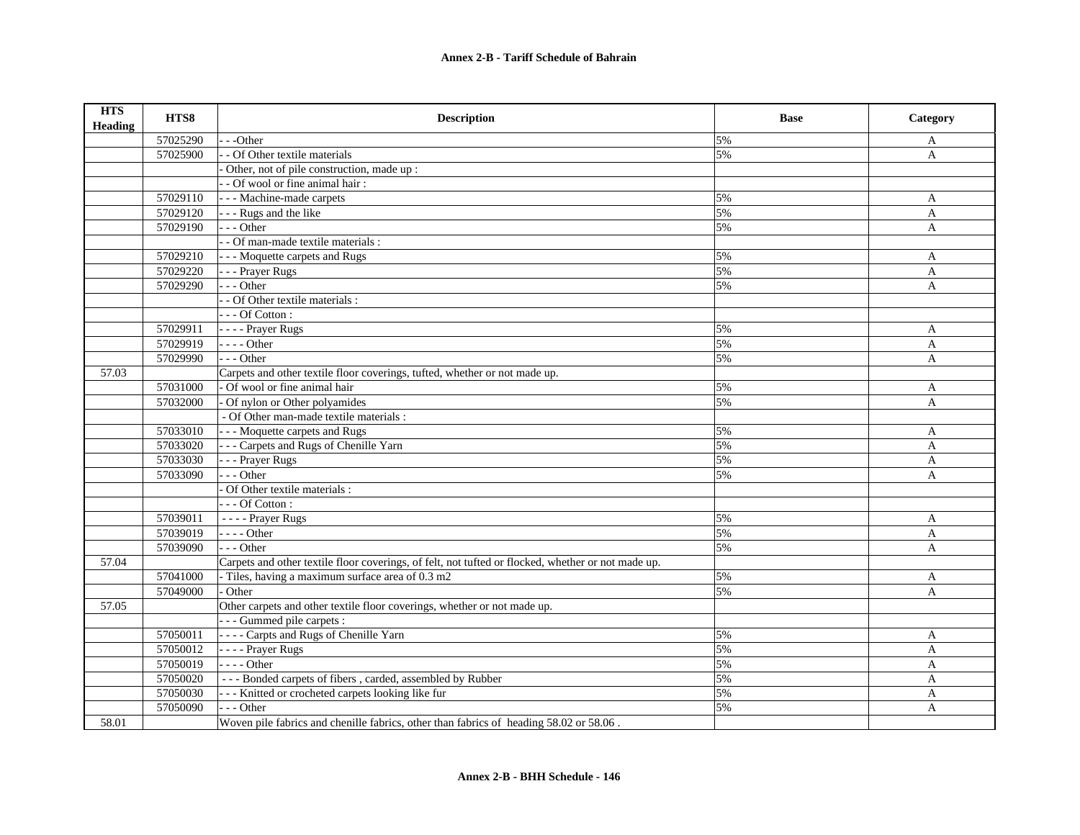| <b>HTS</b><br><b>Heading</b> | HTS8     | <b>Description</b>                                                                                 | <b>Base</b> | Category     |
|------------------------------|----------|----------------------------------------------------------------------------------------------------|-------------|--------------|
|                              | 57025290 | - - -Other                                                                                         | 5%          | A            |
|                              | 57025900 | - - Of Other textile materials                                                                     | 5%          | A            |
|                              |          | Other, not of pile construction, made up :                                                         |             |              |
|                              |          | - - Of wool or fine animal hair :                                                                  |             |              |
|                              | 57029110 | --- Machine-made carpets                                                                           | 5%          | A            |
|                              | 57029120 | - - - Rugs and the like                                                                            | 5%          | A            |
|                              | 57029190 | $--- Other$                                                                                        | 5%          | $\mathbf{A}$ |
|                              |          | - - Of man-made textile materials :                                                                |             |              |
|                              | 57029210 | --- Moquette carpets and Rugs                                                                      | 5%          | A            |
|                              | 57029220 | - - - Prayer Rugs                                                                                  | 5%          | A            |
|                              | 57029290 | $--- Other$                                                                                        | 5%          | A            |
|                              |          | - - Of Other textile materials :                                                                   |             |              |
|                              |          | $--$ Of Cotton :                                                                                   |             |              |
|                              | 57029911 | - - - - Prayer Rugs                                                                                | 5%          | A            |
|                              | 57029919 | $---Other$                                                                                         | 5%          | A            |
|                              | 57029990 | $- -$ Other                                                                                        | 5%          | A            |
| 57.03                        |          | Carpets and other textile floor coverings, tufted, whether or not made up.                         |             |              |
|                              | 57031000 | - Of wool or fine animal hair                                                                      | 5%          | A            |
|                              | 57032000 | Of nylon or Other polyamides                                                                       | 5%          | A            |
|                              |          | - Of Other man-made textile materials :                                                            |             |              |
|                              | 57033010 | --- Moquette carpets and Rugs                                                                      | 5%          | A            |
|                              | 57033020 | --- Carpets and Rugs of Chenille Yarn                                                              | 5%          | $\mathbf{A}$ |
|                              | 57033030 | - - - Prayer Rugs                                                                                  | 5%          | $\mathbf{A}$ |
|                              | 57033090 | --- Other                                                                                          | 5%          | A            |
|                              |          | Of Other textile materials :                                                                       |             |              |
|                              |          | $---$ Of Cotton :                                                                                  |             |              |
|                              | 57039011 | $\overline{\phantom{1}}$ - - - Prayer Rugs                                                         | 5%          | A            |
|                              | 57039019 | $--- Other$                                                                                        | 5%          | A            |
|                              | 57039090 | $- -$ Other                                                                                        | 5%          | A            |
| 57.04                        |          | Carpets and other textile floor coverings, of felt, not tufted or flocked, whether or not made up. |             |              |
|                              | 57041000 | - Tiles, having a maximum surface area of 0.3 m2                                                   | 5%          | A            |
|                              | 57049000 | - Other                                                                                            | 5%          | $\mathbf{A}$ |
| 57.05                        |          | Other carpets and other textile floor coverings, whether or not made up.                           |             |              |
|                              |          | --- Gummed pile carpets :                                                                          |             |              |
|                              | 57050011 | - - - - Carpts and Rugs of Chenille Yarn                                                           | 5%          | A            |
|                              | 57050012 | - - - - Prayer Rugs                                                                                | 5%          | A            |
|                              | 57050019 | $--$ Other                                                                                         | 5%          | $\mathbf{A}$ |
|                              | 57050020 | --- Bonded carpets of fibers, carded, assembled by Rubber                                          | 5%          | $\mathbf{A}$ |
|                              | 57050030 | --- Knitted or crocheted carpets looking like fur                                                  | 5%          | A            |
|                              | 57050090 | --- Other                                                                                          | 5%          | A            |
| 58.01                        |          | Woven pile fabrics and chenille fabrics, other than fabrics of heading 58.02 or 58.06.             |             |              |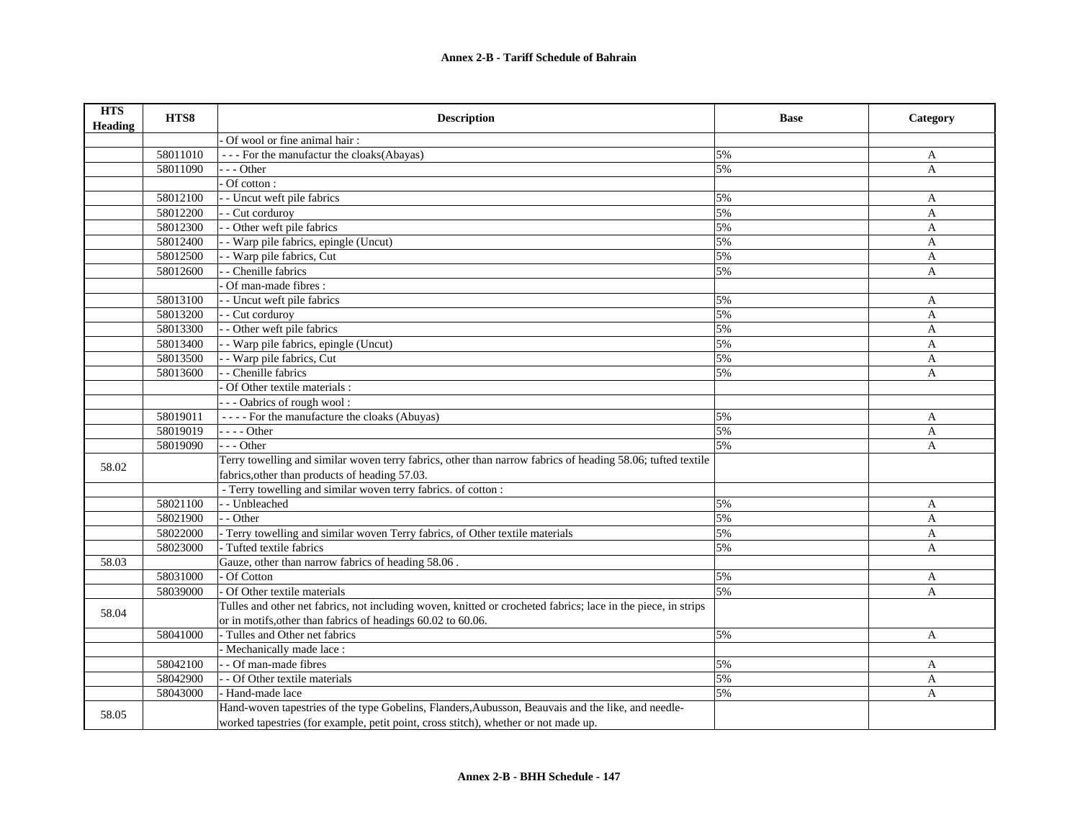| <b>HTS</b><br>Heading | HTS8     | <b>Description</b>                                                                                            | <b>Base</b> | Category     |
|-----------------------|----------|---------------------------------------------------------------------------------------------------------------|-------------|--------------|
|                       |          | Of wool or fine animal hair:                                                                                  |             |              |
|                       | 58011010 | --- For the manufactur the cloaks(Abayas)                                                                     | 5%          | A            |
|                       | 58011090 | $- -$ Other                                                                                                   | 5%          | $\mathbf{A}$ |
|                       |          | Of cotton:                                                                                                    |             |              |
|                       | 58012100 | - - Uncut weft pile fabrics                                                                                   | 5%          | A            |
|                       | 58012200 | - - Cut corduroy                                                                                              | 5%          | $\mathbf{A}$ |
|                       | 58012300 | - - Other weft pile fabrics                                                                                   | 5%          | $\mathbf{A}$ |
|                       | 58012400 | - Warp pile fabrics, epingle (Uncut)                                                                          | 5%          | A            |
|                       | 58012500 | - Warp pile fabrics, Cut                                                                                      | 5%          | A            |
|                       | 58012600 | - Chenille fabrics                                                                                            | 5%          | A            |
|                       |          | Of man-made fibres :                                                                                          |             |              |
|                       | 58013100 | - Uncut weft pile fabrics                                                                                     | 5%          | A            |
|                       | 58013200 | - - Cut corduroy                                                                                              | 5%          | A            |
|                       | 58013300 | - - Other weft pile fabrics                                                                                   | 5%          | A            |
|                       | 58013400 | - Warp pile fabrics, epingle (Uncut)                                                                          | 5%          | $\mathbf{A}$ |
|                       | 58013500 | - Warp pile fabrics, Cut                                                                                      | 5%          | A            |
|                       | 58013600 | - Chenille fabrics                                                                                            | 5%          | A            |
|                       |          | Of Other textile materials :                                                                                  |             |              |
|                       |          | --- Oabrics of rough wool:                                                                                    |             |              |
|                       | 58019011 | ---- For the manufacture the cloaks (Abuyas)                                                                  | 5%          | A            |
|                       | 58019019 | - - - - Other                                                                                                 | 5%          | A            |
|                       | 58019090 | $- -$ Other                                                                                                   | 5%          | A            |
| 58.02                 |          | Terry towelling and similar woven terry fabrics, other than narrow fabrics of heading 58.06; tufted textile   |             |              |
|                       |          | fabrics, other than products of heading 57.03.                                                                |             |              |
|                       |          | - Terry towelling and similar woven terry fabrics. of cotton :                                                |             |              |
|                       | 58021100 | - - Unbleached                                                                                                | 5%          | A            |
|                       | 58021900 | - - Other                                                                                                     | 5%          | A            |
|                       | 58022000 | - Terry towelling and similar woven Terry fabrics, of Other textile materials                                 | 5%          | A            |
|                       | 58023000 | - Tufted textile fabrics                                                                                      | 5%          | A            |
| 58.03                 |          | Gauze, other than narrow fabrics of heading 58.06.                                                            |             |              |
|                       | 58031000 | Of Cotton                                                                                                     | 5%          | A            |
|                       | 58039000 | Of Other textile materials                                                                                    | 5%          | A            |
| 58.04                 |          | Tulles and other net fabrics, not including woven, knitted or crocheted fabrics; lace in the piece, in strips |             |              |
|                       |          | or in motifs, other than fabrics of headings 60.02 to 60.06.                                                  |             |              |
|                       | 58041000 | - Tulles and Other net fabrics                                                                                | 5%          | A            |
|                       |          | - Mechanically made lace :                                                                                    |             |              |
|                       | 58042100 | - - Of man-made fibres                                                                                        | 5%          | A            |
|                       | 58042900 | - - Of Other textile materials                                                                                | 5%          | A            |
|                       | 58043000 | - Hand-made lace                                                                                              | 5%          | A            |
| 58.05                 |          | Hand-woven tapestries of the type Gobelins, Flanders, Aubusson, Beauvais and the like, and needle-            |             |              |
|                       |          | worked tapestries (for example, petit point, cross stitch), whether or not made up.                           |             |              |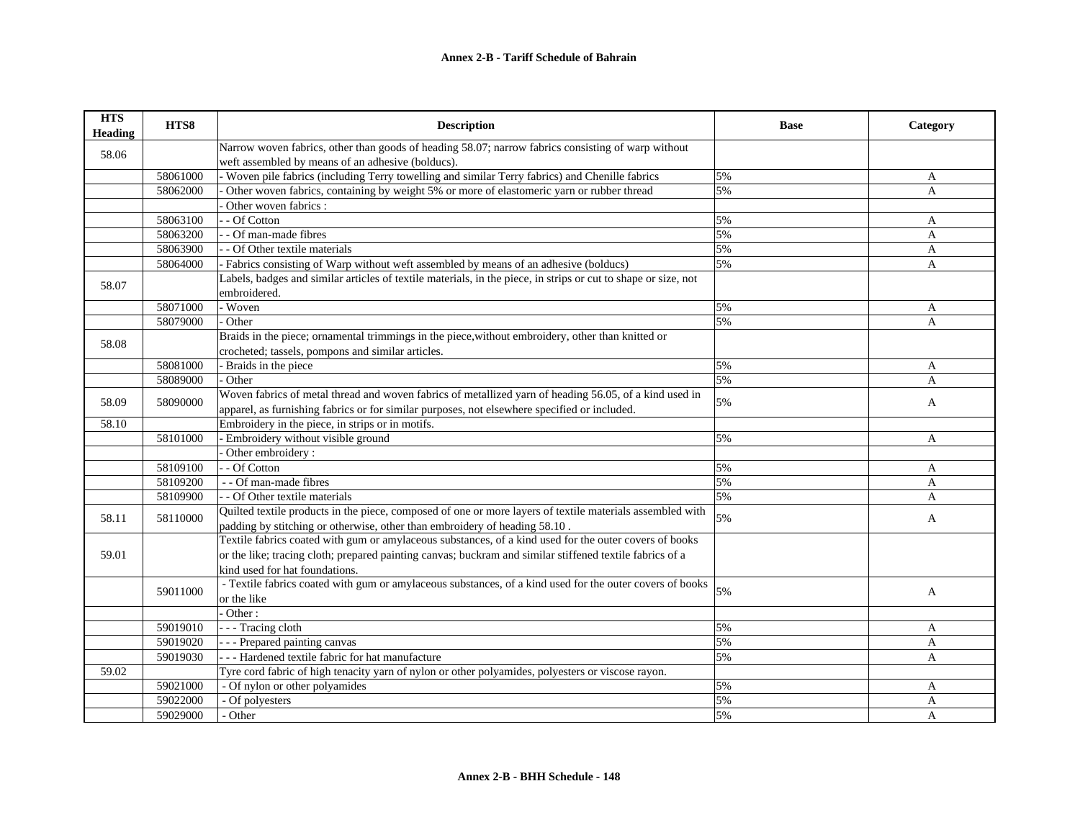| <b>HTS</b><br><b>Heading</b> | HTS8     | <b>Description</b>                                                                                                             | <b>Base</b> | Category       |
|------------------------------|----------|--------------------------------------------------------------------------------------------------------------------------------|-------------|----------------|
| 58.06                        |          | Narrow woven fabrics, other than goods of heading 58.07; narrow fabrics consisting of warp without                             |             |                |
|                              |          | weft assembled by means of an adhesive (bolducs).                                                                              |             |                |
|                              | 58061000 | Woven pile fabrics (including Terry towelling and similar Terry fabrics) and Chenille fabrics                                  | 5%          | A              |
|                              | 58062000 | Other woven fabrics, containing by weight 5% or more of elastomeric yarn or rubber thread                                      | 5%          | $\overline{A}$ |
|                              |          | Other woven fabrics :                                                                                                          |             |                |
|                              | 58063100 | - Of Cotton                                                                                                                    | 5%          | A              |
|                              | 58063200 | - Of man-made fibres                                                                                                           | 5%          | A              |
|                              | 58063900 | - Of Other textile materials                                                                                                   | 5%          | A              |
|                              | 58064000 | - Fabrics consisting of Warp without weft assembled by means of an adhesive (bolducs)                                          | 5%          | A              |
| 58.07                        |          | Labels, badges and similar articles of textile materials, in the piece, in strips or cut to shape or size, not<br>embroidered. |             |                |
|                              | 58071000 | - Woven                                                                                                                        | 5%          | A              |
|                              | 58079000 | Other                                                                                                                          | 5%          | A              |
|                              |          | Braids in the piece; ornamental trimmings in the piece, without embroidery, other than knitted or                              |             |                |
| 58.08                        |          | crocheted; tassels, pompons and similar articles.                                                                              |             |                |
|                              | 58081000 | - Braids in the piece                                                                                                          | 5%          | A              |
|                              | 58089000 | Other                                                                                                                          | 5%          | A              |
|                              |          | Woven fabrics of metal thread and woven fabrics of metallized yarn of heading 56.05, of a kind used in                         |             |                |
| 58.09                        | 58090000 | apparel, as furnishing fabrics or for similar purposes, not elsewhere specified or included.                                   | 5%          | A              |
| 58.10                        |          | Embroidery in the piece, in strips or in motifs.                                                                               |             |                |
|                              | 58101000 | Embroidery without visible ground                                                                                              | 5%          | A              |
|                              |          | Other embroidery:                                                                                                              |             |                |
|                              | 58109100 | - - Of Cotton                                                                                                                  | 5%          | A              |
|                              | 58109200 | - - Of man-made fibres                                                                                                         | 5%          | $\mathbf{A}$   |
|                              | 58109900 | - - Of Other textile materials                                                                                                 | 5%          | A              |
|                              |          | Quilted textile products in the piece, composed of one or more layers of textile materials assembled with                      |             |                |
| 58.11                        | 58110000 | padding by stitching or otherwise, other than embroidery of heading 58.10.                                                     | 5%          | A              |
|                              |          | Textile fabrics coated with gum or amylaceous substances, of a kind used for the outer covers of books                         |             |                |
| 59.01                        |          | or the like; tracing cloth; prepared painting canvas; buckram and similar stiffened textile fabrics of a                       |             |                |
|                              |          | kind used for hat foundations.                                                                                                 |             |                |
|                              |          | - Textile fabrics coated with gum or amylaceous substances, of a kind used for the outer covers of books                       |             |                |
|                              | 59011000 | or the like                                                                                                                    | 5%          | A              |
|                              |          | - Other:                                                                                                                       |             |                |
|                              | 59019010 | - - - Tracing cloth                                                                                                            | 5%          | A              |
|                              | 59019020 | - - - Prepared painting canvas                                                                                                 | 5%          | A              |
|                              | 59019030 | - - - Hardened textile fabric for hat manufacture                                                                              | 5%          | $\overline{A}$ |
| 59.02                        |          | Tyre cord fabric of high tenacity yarn of nylon or other polyamides, polyesters or viscose rayon.                              |             |                |
|                              | 59021000 | - Of nylon or other polyamides                                                                                                 | 5%          | A              |
|                              | 59022000 | - Of polyesters                                                                                                                | 5%          | A              |
|                              | 59029000 | - Other                                                                                                                        | 5%          | $\overline{A}$ |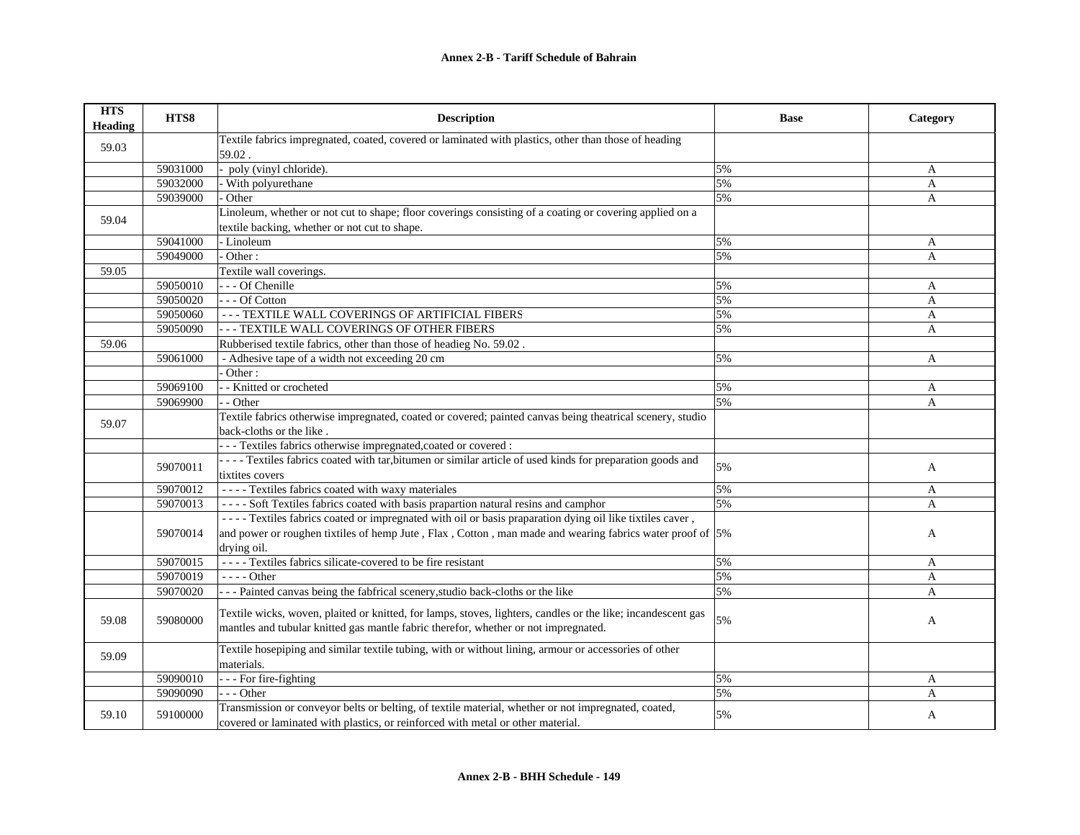| <b>HTS</b><br><b>Heading</b> | HTS8     | <b>Description</b>                                                                                           | <b>Base</b> | Category     |
|------------------------------|----------|--------------------------------------------------------------------------------------------------------------|-------------|--------------|
| 59.03                        |          | Textile fabrics impregnated, coated, covered or laminated with plastics, other than those of heading         |             |              |
|                              |          | 59.02.                                                                                                       |             |              |
|                              | 59031000 | poly (vinyl chloride).                                                                                       | 5%          | A            |
|                              | 59032000 | - With polyurethane                                                                                          | 5%          | A            |
|                              | 59039000 | Other                                                                                                        | 5%          | A            |
| 59.04                        |          | Linoleum, whether or not cut to shape; floor coverings consisting of a coating or covering applied on a      |             |              |
|                              |          | textile backing, whether or not cut to shape.                                                                |             |              |
|                              | 59041000 | - Linoleum                                                                                                   | 5%          | A            |
|                              | 59049000 | - Other:                                                                                                     | 5%          | A            |
| 59.05                        |          | Textile wall coverings.                                                                                      |             |              |
|                              | 59050010 | - - - Of Chenille                                                                                            | 5%          | A            |
|                              | 59050020 | --- Of Cotton                                                                                                | 5%          | A            |
|                              | 59050060 | --- TEXTILE WALL COVERINGS OF ARTIFICIAL FIBERS                                                              | 5%          | A            |
|                              | 59050090 | --- TEXTILE WALL COVERINGS OF OTHER FIBERS                                                                   | 5%          | A            |
| 59.06                        |          | Rubberised textile fabrics, other than those of headieg No. 59.02.                                           |             |              |
|                              | 59061000 | - Adhesive tape of a width not exceeding 20 cm                                                               | 5%          | A            |
|                              |          | Other:                                                                                                       |             |              |
|                              | 59069100 | - - Knitted or crocheted                                                                                     | 5%          | A            |
|                              | 59069900 | - - Other                                                                                                    | 5%          | $\mathbf{A}$ |
|                              |          | Textile fabrics otherwise impregnated, coated or covered; painted canvas being theatrical scenery, studio    |             |              |
| 59.07                        |          | back-cloths or the like.                                                                                     |             |              |
|                              |          | - - - Textiles fabrics otherwise impregnated, coated or covered :                                            |             |              |
|                              |          | ---- Textiles fabrics coated with tar, bitumen or similar article of used kinds for preparation goods and    |             |              |
|                              | 59070011 | tixtites covers                                                                                              | 5%          | A            |
|                              | 59070012 | ---- Textiles fabrics coated with waxy materiales                                                            | 5%          | A            |
|                              | 59070013 | ---- Soft Textiles fabrics coated with basis prapartion natural resins and camphor                           | 5%          | A            |
|                              |          | ---- Textiles fabrics coated or impregnated with oil or basis praparation dying oil like tixtiles caver,     |             |              |
|                              | 59070014 | and power or roughen tixtiles of hemp Jute, Flax, Cotton, man made and wearing fabrics water proof of $5\%$  |             | A            |
|                              |          | drying oil.                                                                                                  |             |              |
|                              | 59070015 | ----Textiles fabrics silicate-covered to be fire resistant                                                   | 5%          | A            |
|                              | 59070019 | $\overline{\phantom{a} \phantom{a}}$ - $\overline{\phantom{a} \phantom{a}}$ - Other                          | 5%          | A            |
|                              | 59070020 | --- Painted canvas being the fabfrical scenery, studio back-cloths or the like                               | 5%          | A            |
|                              |          |                                                                                                              |             |              |
| 59.08                        | 59080000 | Textile wicks, woven, plaited or knitted, for lamps, stoves, lighters, candles or the like; incandescent gas | 5%          | A            |
|                              |          | mantles and tubular knitted gas mantle fabric therefor, whether or not impregnated.                          |             |              |
|                              |          | Textile hosepiping and similar textile tubing, with or without lining, armour or accessories of other        |             |              |
| 59.09                        |          | materials.                                                                                                   |             |              |
|                              | 59090010 | - - - For fire-fighting                                                                                      | 5%          | A            |
|                              | 59090090 | $- -$ Other                                                                                                  | 5%          | A            |
|                              |          | Transmission or conveyor belts or belting, of textile material, whether or not impregnated, coated,          |             |              |
| 59.10                        | 59100000 | covered or laminated with plastics, or reinforced with metal or other material.                              | 5%          | A            |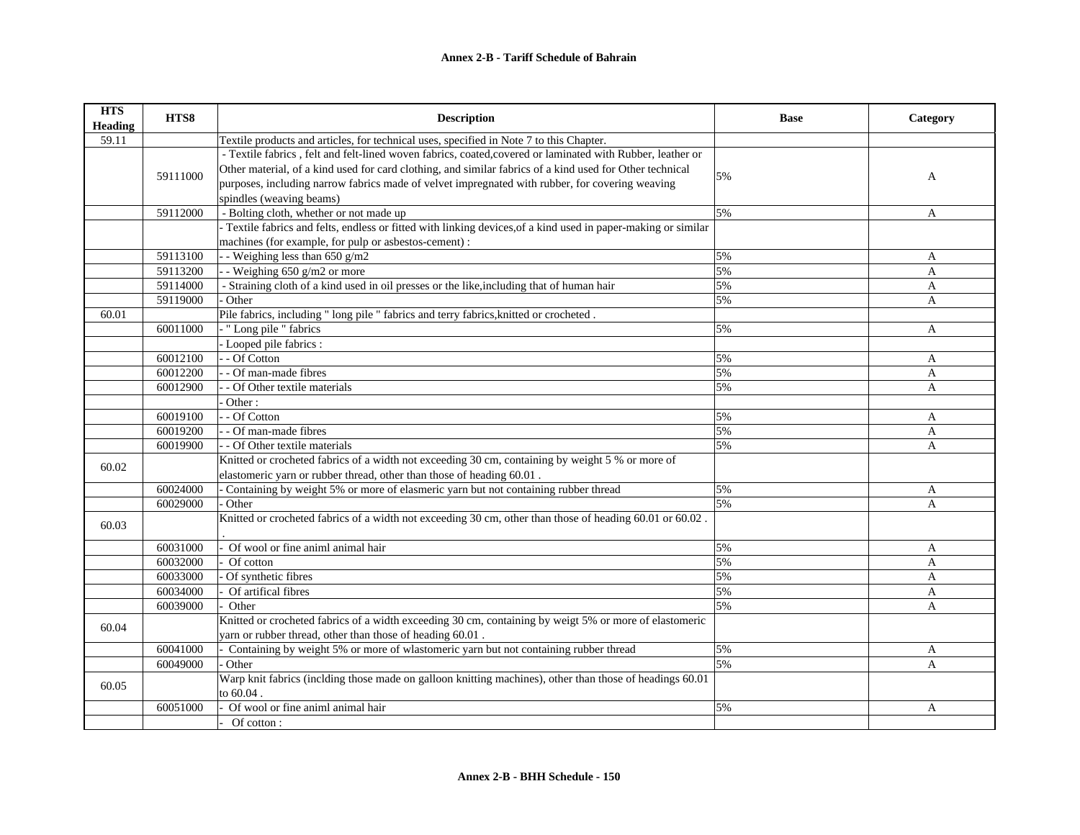## **Annex 2-B - Tariff Schedule of Bahrain**

| <b>HTS</b><br><b>Heading</b> | HTS8     | <b>Description</b>                                                                                                    | <b>Base</b> | Category     |
|------------------------------|----------|-----------------------------------------------------------------------------------------------------------------------|-------------|--------------|
| 59.11                        |          | Textile products and articles, for technical uses, specified in Note 7 to this Chapter.                               |             |              |
|                              |          | - Textile fabrics, felt and felt-lined woven fabrics, coated, covered or laminated with Rubber, leather or            |             |              |
|                              |          | Other material, of a kind used for card clothing, and similar fabrics of a kind used for Other technical              |             |              |
|                              | 59111000 | purposes, including narrow fabrics made of velvet impregnated with rubber, for covering weaving                       | 5%          | A            |
|                              |          | spindles (weaving beams)                                                                                              |             |              |
|                              | 59112000 | - Bolting cloth, whether or not made up                                                                               | 5%          | $\mathbf{A}$ |
|                              |          | - Textile fabrics and felts, endless or fitted with linking devices, of a kind used in paper-making or similar        |             |              |
|                              |          | machines (for example, for pulp or asbestos-cement) :                                                                 |             |              |
|                              | 59113100 | - - Weighing less than 650 g/m2                                                                                       | 5%          | A            |
|                              | 59113200 | $\overline{-}$ - Weighing 650 g/m2 or more                                                                            | 5%          | A            |
|                              | 59114000 | - Straining cloth of a kind used in oil presses or the like, including that of human hair                             | 5%          | A            |
|                              | 59119000 | Other                                                                                                                 | 5%          | A            |
| 60.01                        |          | Pile fabrics, including " long pile " fabrics and terry fabrics, knitted or crocheted.                                |             |              |
|                              | 60011000 | - "Long pile " fabrics                                                                                                | 5%          | $\mathbf{A}$ |
|                              |          | - Looped pile fabrics :                                                                                               |             |              |
|                              | 60012100 | - - Of Cotton                                                                                                         | 5%          | A            |
|                              | 60012200 | - - Of man-made fibres                                                                                                | 5%          | A            |
|                              | 60012900 | - Of Other textile materials                                                                                          | 5%          | $\mathbf{A}$ |
|                              |          | Other:                                                                                                                |             |              |
|                              | 60019100 | - - Of Cotton                                                                                                         | 5%          | A            |
|                              | 60019200 | - Of man-made fibres                                                                                                  | 5%          | $\mathbf{A}$ |
|                              | 60019900 | - - Of Other textile materials                                                                                        | 5%          | A            |
| 60.02                        |          | Knitted or crocheted fabrics of a width not exceeding 30 cm, containing by weight 5 % or more of                      |             |              |
|                              |          | elastomeric yarn or rubber thread, other than those of heading 60.01.                                                 |             |              |
|                              | 60024000 | Containing by weight 5% or more of elasmeric yarn but not containing rubber thread                                    | 5%          | A            |
|                              | 60029000 | - Other                                                                                                               | 5%          | A            |
| 60.03                        |          | Knitted or crocheted fabrics of a width not exceeding 30 cm, other than those of heading 60.01 or 60.02.              |             |              |
|                              | 60031000 | Of wool or fine animl animal hair                                                                                     | 5%          | A            |
|                              | 60032000 | Of cotton                                                                                                             | 5%          | $\mathbf{A}$ |
|                              | 60033000 | $\overline{Of}$ synthetic fibres                                                                                      | 5%          | $\mathbf{A}$ |
|                              | 60034000 | Of artifical fibres                                                                                                   | 5%          | A            |
|                              | 60039000 | Other                                                                                                                 | 5%          | A            |
| 60.04                        |          | Knitted or crocheted fabrics of a width exceeding 30 cm, containing by weigt 5% or more of elastomeric                |             |              |
|                              |          | yarn or rubber thread, other than those of heading 60.01.                                                             |             |              |
|                              | 60041000 | Containing by weight 5% or more of wlastomeric yarn but not containing rubber thread                                  | 5%          | A            |
|                              | 60049000 | Other                                                                                                                 | 5%          | A            |
| 60.05                        |          | Warp knit fabrics (inclding those made on galloon knitting machines), other than those of headings 60.01<br>to 60.04. |             |              |
|                              | 60051000 | Of wool or fine animl animal hair                                                                                     | 5%          | A            |
|                              |          | Of cotton:                                                                                                            |             |              |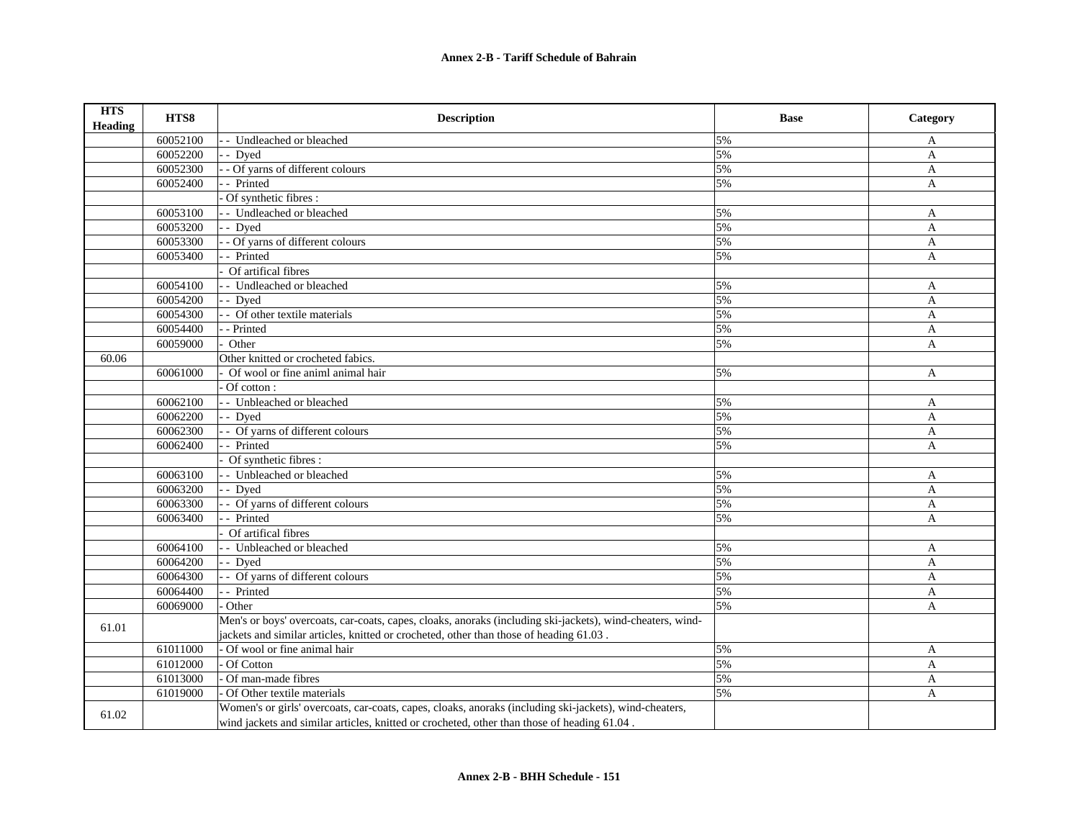| <b>HTS</b><br><b>Heading</b> | HTS8     | <b>Description</b>                                                                                        | <b>Base</b> | Category     |
|------------------------------|----------|-----------------------------------------------------------------------------------------------------------|-------------|--------------|
|                              | 60052100 | - - Undleached or bleached                                                                                | 5%          | A            |
|                              | 60052200 | - Dyed                                                                                                    | 5%          | $\mathbf{A}$ |
|                              | 60052300 | - - Of yarns of different colours                                                                         | 5%          | A            |
|                              | 60052400 | - Printed                                                                                                 | 5%          | $\mathbf{A}$ |
|                              |          | Of synthetic fibres :                                                                                     |             |              |
|                              | 60053100 | - Undleached or bleached                                                                                  | 5%          | A            |
|                              | 60053200 | - Dyed                                                                                                    | 5%          | $\mathbf{A}$ |
|                              | 60053300 | - Of yarns of different colours                                                                           | 5%          | $\mathbf{A}$ |
|                              | 60053400 | - Printed                                                                                                 | 5%          | A            |
|                              |          | Of artifical fibres                                                                                       |             |              |
|                              | 60054100 | - Undleached or bleached                                                                                  | 5%          | A            |
|                              | 60054200 | - Dved                                                                                                    | 5%          | A            |
|                              | 60054300 | - Of other textile materials                                                                              | 5%          | A            |
|                              | 60054400 | - Printed                                                                                                 | 5%          | A            |
|                              | 60059000 | Other                                                                                                     | 5%          | A            |
| 60.06                        |          | Other knitted or crocheted fabics.                                                                        |             |              |
|                              | 60061000 | Of wool or fine animl animal hair                                                                         | 5%          | A            |
|                              |          | Of cotton:                                                                                                |             |              |
|                              | 60062100 | - - Unbleached or bleached                                                                                | 5%          | A            |
|                              | 60062200 | - - Dyed                                                                                                  | 5%          | A            |
|                              | 60062300 | - Of yarns of different colours                                                                           | 5%          | $\mathbf{A}$ |
|                              | 60062400 | - Printed                                                                                                 | 5%          | A            |
|                              |          | Of synthetic fibres:                                                                                      |             |              |
|                              | 60063100 | - - Unbleached or bleached                                                                                | 5%          | A            |
|                              | 60063200 | - - Dyed                                                                                                  | 5%          | A            |
|                              | 60063300 | - Of yarns of different colours                                                                           | 5%          | A            |
|                              | 60063400 | - Printed                                                                                                 | 5%          | A            |
|                              |          | Of artifical fibres                                                                                       |             |              |
|                              | 60064100 | - Unbleached or bleached                                                                                  | 5%          | A            |
|                              | 60064200 | - Dyed                                                                                                    | 5%          | A            |
|                              | 60064300 | - Of yarns of different colours                                                                           | 5%          | $\mathbf{A}$ |
|                              | 60064400 | -- Printed                                                                                                | 5%          | A            |
|                              | 60069000 | Other                                                                                                     | 5%          | A            |
| 61.01                        |          | Men's or boys' overcoats, car-coats, capes, cloaks, anoraks (including ski-jackets), wind-cheaters, wind- |             |              |
|                              |          | jackets and similar articles, knitted or crocheted, other than those of heading 61.03.                    |             |              |
|                              | 61011000 | Of wool or fine animal hair                                                                               | 5%          | A            |
|                              | 61012000 | Of Cotton                                                                                                 | 5%          | A            |
|                              | 61013000 | Of man-made fibres                                                                                        | 5%          | $\mathbf{A}$ |
|                              | 61019000 | Of Other textile materials                                                                                | 5%          | $\mathbf{A}$ |
| 61.02                        |          | Women's or girls' overcoats, car-coats, capes, cloaks, anoraks (including ski-jackets), wind-cheaters,    |             |              |
|                              |          | wind jackets and similar articles, knitted or crocheted, other than those of heading 61.04.               |             |              |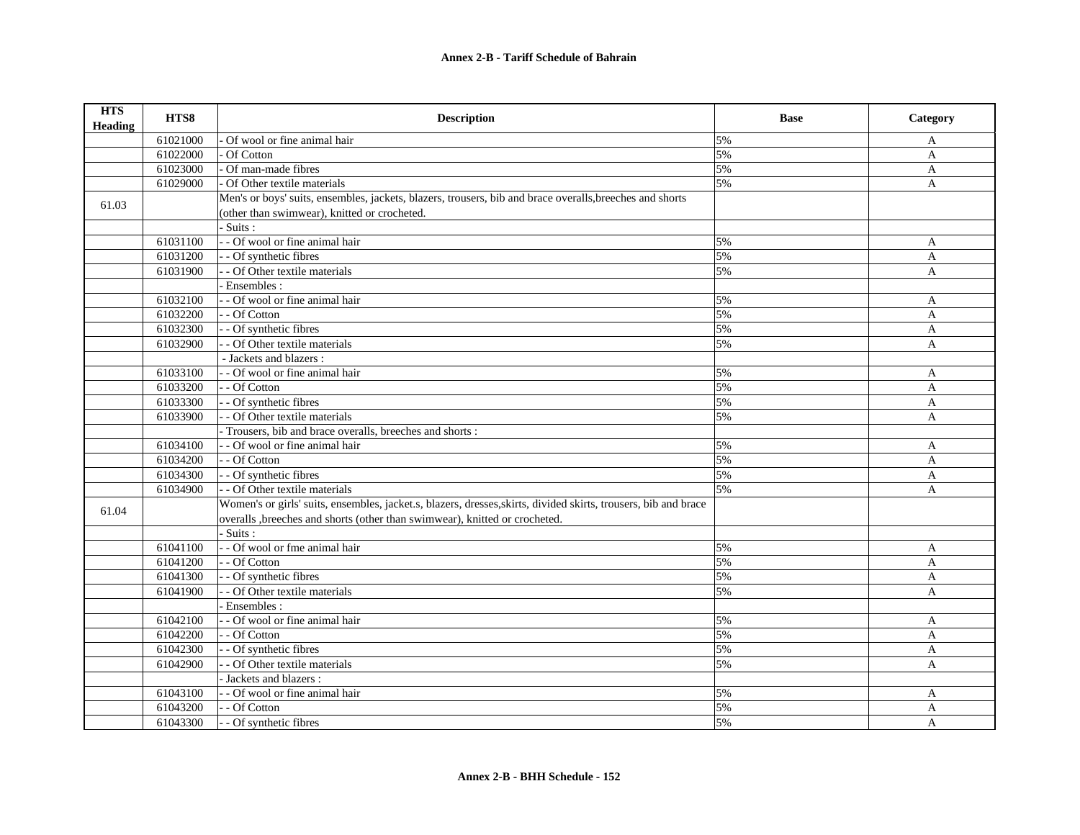| <b>HTS</b><br><b>Heading</b> | HTS8     | <b>Description</b>                                                                                              | <b>Base</b> | Category     |
|------------------------------|----------|-----------------------------------------------------------------------------------------------------------------|-------------|--------------|
|                              | 61021000 | Of wool or fine animal hair                                                                                     | 5%          | A            |
|                              | 61022000 | Of Cotton                                                                                                       | 5%          | $\mathbf{A}$ |
|                              | 61023000 | Of man-made fibres                                                                                              | 5%          | $\mathbf{A}$ |
|                              | 61029000 | Of Other textile materials                                                                                      | 5%          | $\mathbf{A}$ |
| 61.03                        |          | Men's or boys' suits, ensembles, jackets, blazers, trousers, bib and brace overalls, breeches and shorts        |             |              |
|                              |          | (other than swimwear), knitted or crocheted.                                                                    |             |              |
|                              |          | - Suits :                                                                                                       |             |              |
|                              | 61031100 | - Of wool or fine animal hair                                                                                   | 5%          | A            |
|                              | 61031200 | - - Of synthetic fibres                                                                                         | 5%          | A            |
|                              | 61031900 | - - Of Other textile materials                                                                                  | 5%          | A            |
|                              |          | - Ensembles :                                                                                                   |             |              |
|                              | 61032100 | - - Of wool or fine animal hair                                                                                 | 5%          | $\mathbf{A}$ |
|                              | 61032200 | - - Of Cotton                                                                                                   | 5%          | $\mathbf{A}$ |
|                              | 61032300 | - - Of synthetic fibres                                                                                         | 5%          | $\mathbf{A}$ |
|                              | 61032900 | - Of Other textile materials                                                                                    | 5%          | $\mathbf{A}$ |
|                              |          | - Jackets and blazers :                                                                                         |             |              |
|                              | 61033100 | - - Of wool or fine animal hair                                                                                 | 5%          | A            |
|                              | 61033200 | - - Of Cotton                                                                                                   | 5%          | $\mathbf{A}$ |
|                              | 61033300 | - - Of synthetic fibres                                                                                         | 5%          | A            |
|                              | 61033900 | - - Of Other textile materials                                                                                  | 5%          | A            |
|                              |          | Trousers, bib and brace overalls, breeches and shorts:                                                          |             |              |
|                              | 61034100 | - - Of wool or fine animal hair                                                                                 | 5%          | A            |
|                              | 61034200 | - - Of Cotton                                                                                                   | 5%          | A            |
|                              | 61034300 | - - Of synthetic fibres                                                                                         | 5%          | A            |
|                              | 61034900 | - - Of Other textile materials                                                                                  | 5%          | A            |
| 61.04                        |          | Women's or girls' suits, ensembles, jacket.s, blazers, dresses, skirts, divided skirts, trousers, bib and brace |             |              |
|                              |          | overalls breeches and shorts (other than swimwear), knitted or crocheted.                                       |             |              |
|                              |          | $-Suits:$                                                                                                       |             |              |
|                              | 61041100 | - - Of wool or fme animal hair                                                                                  | 5%          | A            |
|                              | 61041200 | - - Of Cotton                                                                                                   | 5%          | $\mathbf{A}$ |
|                              | 61041300 | - - Of synthetic fibres                                                                                         | 5%          | $\mathbf{A}$ |
|                              | 61041900 | - Of Other textile materials                                                                                    | 5%          | A            |
|                              |          | Ensembles:                                                                                                      |             |              |
|                              | 61042100 | - - Of wool or fine animal hair                                                                                 | 5%          | A            |
|                              | 61042200 | - - Of Cotton                                                                                                   | 5%          | A            |
|                              | 61042300 | - - Of synthetic fibres                                                                                         | 5%          | A            |
|                              | 61042900 | - - Of Other textile materials                                                                                  | 5%          | A            |
|                              |          | Jackets and blazers :                                                                                           |             |              |
|                              | 61043100 | - - Of wool or fine animal hair                                                                                 | 5%          | A            |
|                              | 61043200 | - - Of Cotton                                                                                                   | 5%          | A            |
|                              | 61043300 | - - Of synthetic fibres                                                                                         | 5%          | A            |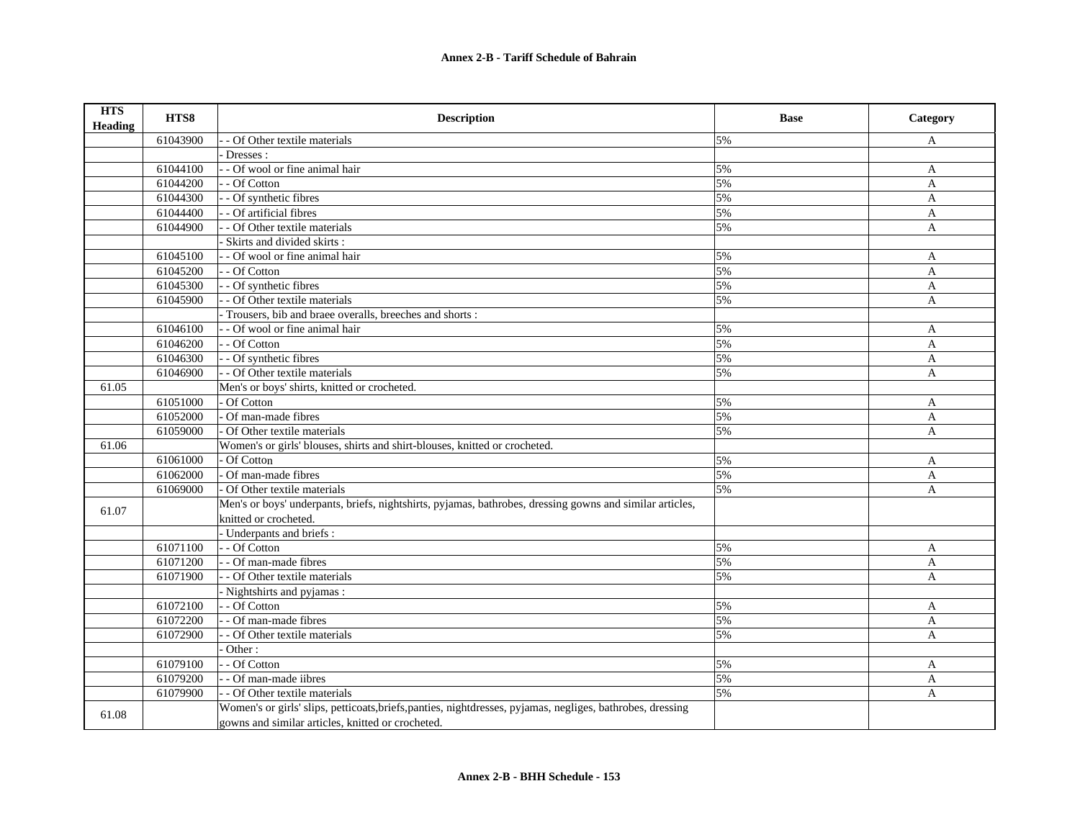| <b>HTS</b><br>Heading | HTS8     | <b>Description</b>                                                                                         | <b>Base</b> | Category     |
|-----------------------|----------|------------------------------------------------------------------------------------------------------------|-------------|--------------|
|                       | 61043900 | - Of Other textile materials                                                                               | 5%          | A            |
|                       |          | Dresses:                                                                                                   |             |              |
|                       | 61044100 | - - Of wool or fine animal hair                                                                            | 5%          | A            |
|                       | 61044200 | - - Of Cotton                                                                                              | 5%          | $\mathbf{A}$ |
|                       | 61044300 | - - Of synthetic fibres                                                                                    | 5%          | A            |
|                       | 61044400 | - Of artificial fibres                                                                                     | 5%          | $\mathbf{A}$ |
|                       | 61044900 | - - Of Other textile materials                                                                             | 5%          | A            |
|                       |          | Skirts and divided skirts:                                                                                 |             |              |
|                       | 61045100 | - - Of wool or fine animal hair                                                                            | 5%          | A            |
|                       | 61045200 | - - Of Cotton                                                                                              | 5%          | A            |
|                       | 61045300 | - - Of synthetic fibres                                                                                    | 5%          | A            |
|                       | 61045900 | - Of Other textile materials                                                                               | 5%          | A            |
|                       |          | Trousers, bib and braee overalls, breeches and shorts:                                                     |             |              |
|                       | 61046100 | - - Of wool or fine animal hair                                                                            | 5%          | A            |
|                       | 61046200 | - - Of Cotton                                                                                              | 5%          | $\mathbf{A}$ |
|                       | 61046300 | - - Of synthetic fibres                                                                                    | 5%          | $\mathbf{A}$ |
|                       | 61046900 | - Of Other textile materials                                                                               | 5%          | $\mathbf{A}$ |
| 61.05                 |          | Men's or boys' shirts, knitted or crocheted.                                                               |             |              |
|                       | 61051000 | Of Cotton                                                                                                  | 5%          | $\mathbf{A}$ |
|                       | 61052000 | Of man-made fibres                                                                                         | 5%          | A            |
|                       | 61059000 | Of Other textile materials                                                                                 | 5%          | A            |
| 61.06                 |          | Women's or girls' blouses, shirts and shirt-blouses, knitted or crocheted.                                 |             |              |
|                       | 61061000 | Of Cotton                                                                                                  | 5%          | A            |
|                       | 61062000 | Of man-made fibres                                                                                         | 5%          | A            |
|                       | 61069000 | Of Other textile materials                                                                                 | 5%          | A            |
| 61.07                 |          | Men's or boys' underpants, briefs, nightshirts, pyjamas, bathrobes, dressing gowns and similar articles,   |             |              |
|                       |          | knitted or crocheted.                                                                                      |             |              |
|                       |          | - Underpants and briefs :                                                                                  |             |              |
|                       | 61071100 | - - Of Cotton                                                                                              | 5%          | $\mathbf{A}$ |
|                       | 61071200 | - - Of man-made fibres                                                                                     | 5%          | $\mathbf{A}$ |
|                       | 61071900 | - Of Other textile materials                                                                               | 5%          | A            |
|                       |          | - Nightshirts and pyjamas:                                                                                 |             |              |
|                       | 61072100 | - - Of Cotton                                                                                              | 5%          | A            |
|                       | 61072200 | - - Of man-made fibres                                                                                     | 5%          | $\mathbf{A}$ |
|                       | 61072900 | - Of Other textile materials                                                                               | 5%          | A            |
|                       |          | Other:                                                                                                     |             |              |
|                       | 61079100 | - - Of Cotton                                                                                              | 5%          | A            |
|                       | 61079200 | - Of man-made iibres                                                                                       | 5%          | A            |
|                       | 61079900 | - - Of Other textile materials                                                                             | 5%          | A            |
| 61.08                 |          | Women's or girls' slips, petticoats, briefs, panties, nightdresses, pyjamas, negliges, bathrobes, dressing |             |              |
|                       |          | gowns and similar articles, knitted or crocheted.                                                          |             |              |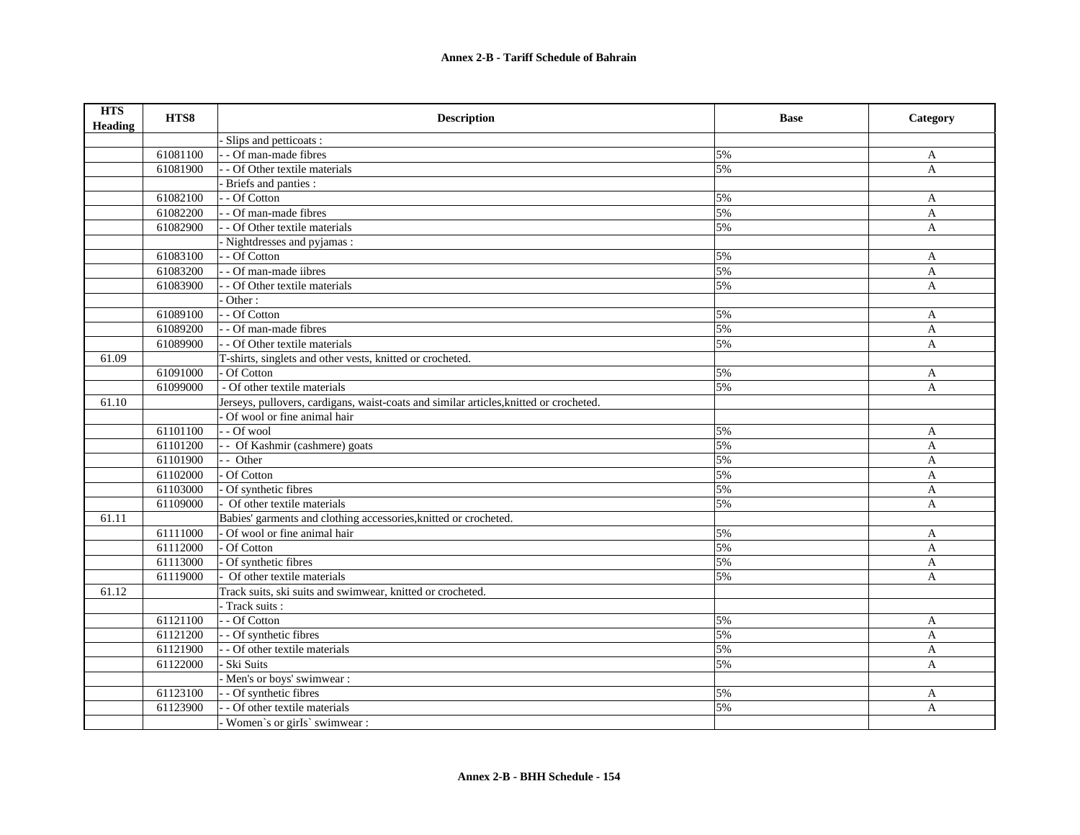| <b>HTS</b><br><b>Heading</b> | HTS8     | <b>Description</b>                                                                     | <b>Base</b>      | Category     |
|------------------------------|----------|----------------------------------------------------------------------------------------|------------------|--------------|
|                              |          | Slips and petticoats:                                                                  |                  |              |
|                              | 61081100 | - - Of man-made fibres                                                                 | 5%               | A            |
|                              | 61081900 | - - Of Other textile materials                                                         | 5%               | $\mathbf{A}$ |
|                              |          | Briefs and panties :                                                                   |                  |              |
|                              | 61082100 | - - Of Cotton                                                                          | 5%               | A            |
|                              | 61082200 | - - Of man-made fibres                                                                 | 5%               | $\mathbf{A}$ |
|                              | 61082900 | - - Of Other textile materials                                                         | 5%               | $\mathbf{A}$ |
|                              |          | - Nightdresses and pyjamas:                                                            |                  |              |
|                              | 61083100 | - - Of Cotton                                                                          | 5%               | A            |
|                              | 61083200 | - - Of man-made iibres                                                                 | 5%               | A            |
|                              | 61083900 | - - Of Other textile materials                                                         | 5%               | A            |
|                              |          | Other:                                                                                 |                  |              |
|                              | 61089100 | - - Of Cotton                                                                          | 5%               | A            |
|                              | 61089200 | - - Of man-made fibres                                                                 | 5%               | $\mathbf{A}$ |
|                              | 61089900 | - - Of Other textile materials                                                         | 5%               | $\mathbf{A}$ |
| 61.09                        |          | T-shirts, singlets and other vests, knitted or crocheted.                              |                  |              |
|                              | 61091000 | Of Cotton                                                                              | 5%               | A            |
|                              | 61099000 | - Of other textile materials                                                           | 5%               | $\mathbf{A}$ |
| 61.10                        |          | Jerseys, pullovers, cardigans, waist-coats and similar articles, knitted or crocheted. |                  |              |
|                              |          | Of wool or fine animal hair                                                            |                  |              |
|                              | 61101100 | - - Of wool                                                                            | 5%               | A            |
|                              | 61101200 | - - Of Kashmir (cashmere) goats                                                        | 5%               | A            |
|                              | 61101900 | - - Other                                                                              | 5%               | A            |
|                              | 61102000 | Of Cotton                                                                              | 5%               | A            |
|                              | 61103000 | Of synthetic fibres                                                                    | 5%               | A            |
|                              | 61109000 | - Of other textile materials                                                           | 5%               | A            |
| 61.11                        |          | Babies' garments and clothing accessories, knitted or crocheted.                       |                  |              |
|                              | 61111000 | Of wool or fine animal hair                                                            | 5%               | A            |
|                              | 61112000 | Of Cotton                                                                              | $\overline{5\%}$ | $\mathbf{A}$ |
|                              | 61113000 | Of synthetic fibres                                                                    | 5%               | A            |
|                              | 61119000 | Of other textile materials                                                             | 5%               | A            |
| 61.12                        |          | Track suits, ski suits and swimwear, knitted or crocheted.                             |                  |              |
|                              |          | - Track suits :                                                                        |                  |              |
|                              | 61121100 | - - Of Cotton                                                                          | 5%               | A            |
|                              | 61121200 | - - Of synthetic fibres                                                                | 5%               | A            |
|                              | 61121900 | - - Of other textile materials                                                         | 5%               | $\mathbf{A}$ |
|                              | 61122000 | - Ski Suits                                                                            | 5%               | A            |
|                              |          | - Men's or boys' swimwear :                                                            |                  |              |
|                              | 61123100 | - - Of synthetic fibres                                                                | 5%               | A            |
|                              | 61123900 | - - Of other textile materials                                                         | 5%               | A            |
|                              |          | Women's or girls' swimwear :                                                           |                  |              |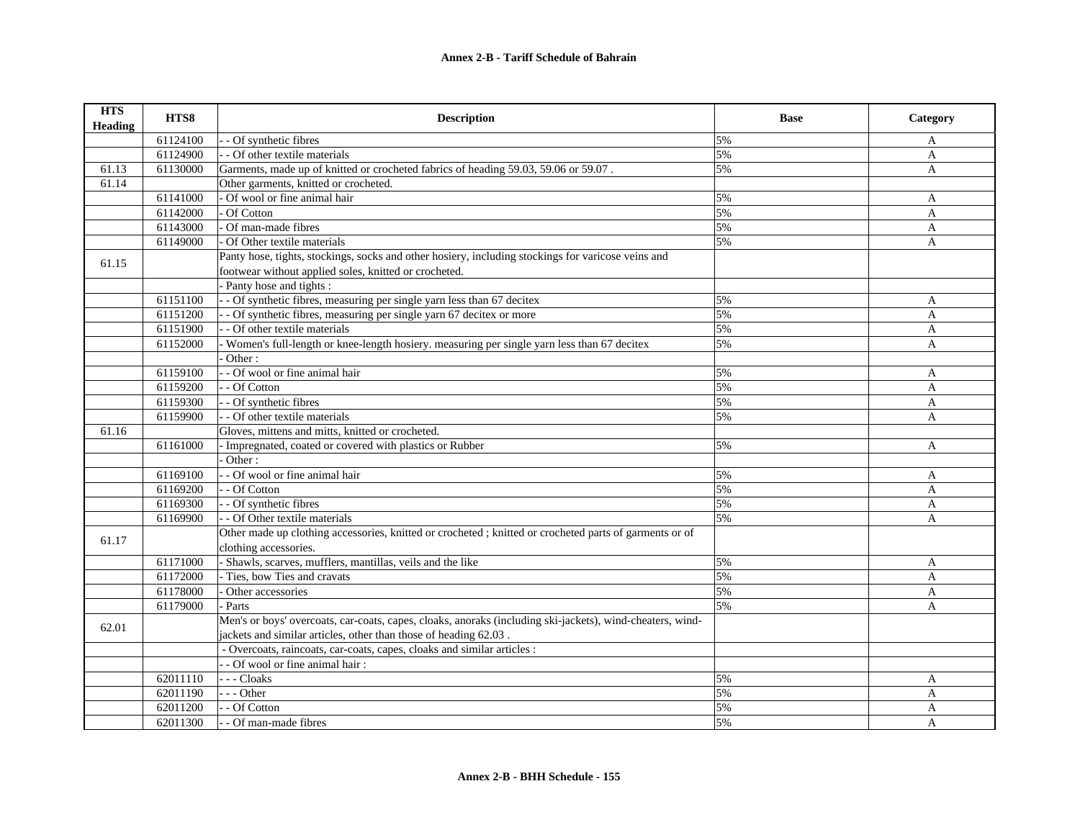| <b>HTS</b><br><b>Heading</b> | HTS8     | <b>Description</b>                                                                                        | <b>Base</b> | Category     |
|------------------------------|----------|-----------------------------------------------------------------------------------------------------------|-------------|--------------|
|                              | 61124100 | - Of synthetic fibres                                                                                     | 5%          | A            |
|                              | 61124900 | - Of other textile materials                                                                              | 5%          | A            |
| 61.13                        | 61130000 | Garments, made up of knitted or crocheted fabrics of heading 59.03, 59.06 or 59.07.                       | 5%          | A            |
| 61.14                        |          | Other garments, knitted or crocheted.                                                                     |             |              |
|                              | 61141000 | Of wool or fine animal hair                                                                               | 5%          | A            |
|                              | 61142000 | Of Cotton                                                                                                 | 5%          | $\mathbf{A}$ |
|                              | 61143000 | Of man-made fibres                                                                                        | 5%          | A            |
|                              | 61149000 | Of Other textile materials                                                                                | 5%          | $\mathbf{A}$ |
|                              |          | Panty hose, tights, stockings, socks and other hosiery, including stockings for varicose veins and        |             |              |
| 61.15                        |          | footwear without applied soles, knitted or crocheted.                                                     |             |              |
|                              |          | - Panty hose and tights :                                                                                 |             |              |
|                              | 61151100 | - Of synthetic fibres, measuring per single yarn less than 67 decitex                                     | 5%          | A            |
|                              | 61151200 | - Of synthetic fibres, measuring per single yarn 67 decitex or more                                       | 5%          | A            |
|                              | 61151900 | - - Of other textile materials                                                                            | 5%          | A            |
|                              | 61152000 | Women's full-length or knee-length hosiery. measuring per single yarn less than 67 decitex                | 5%          | A            |
|                              |          | Other:                                                                                                    |             |              |
|                              | 61159100 | - Of wool or fine animal hair                                                                             | 5%          | A            |
|                              | 61159200 | - - Of Cotton                                                                                             | 5%          | $\mathbf{A}$ |
|                              | 61159300 | - Of synthetic fibres                                                                                     | 5%          | A            |
|                              | 61159900 | - - Of other textile materials                                                                            | 5%          | A            |
| 61.16                        |          | Gloves, mittens and mitts, knitted or crocheted.                                                          |             |              |
|                              | 61161000 | Impregnated, coated or covered with plastics or Rubber                                                    | 5%          | A            |
|                              |          | Other:                                                                                                    |             |              |
|                              | 61169100 | - - Of wool or fine animal hair                                                                           | 5%          | A            |
|                              | 61169200 | - - Of Cotton                                                                                             | 5%          | A            |
|                              | 61169300 | - - Of synthetic fibres                                                                                   | 5%          | A            |
|                              | 61169900 | - - Of Other textile materials                                                                            | 5%          | A            |
|                              |          | Other made up clothing accessories, knitted or crocheted ; knitted or crocheted parts of garments or of   |             |              |
| 61.17                        |          | clothing accessories.                                                                                     |             |              |
|                              | 61171000 | Shawls, scarves, mufflers, mantillas, veils and the like                                                  | 5%          | A            |
|                              | 61172000 | Ties, bow Ties and cravats                                                                                | 5%          | $\mathbf{A}$ |
|                              | 61178000 | Other accessories                                                                                         | 5%          | A            |
|                              | 61179000 | - Parts                                                                                                   | 5%          | A            |
|                              |          | Men's or boys' overcoats, car-coats, capes, cloaks, anoraks (including ski-jackets), wind-cheaters, wind- |             |              |
| 62.01                        |          | jackets and similar articles, other than those of heading 62.03.                                          |             |              |
|                              |          | Overcoats, raincoats, car-coats, capes, cloaks and similar articles :                                     |             |              |
|                              |          | - Of wool or fine animal hair:                                                                            |             |              |
|                              | 62011110 | --- Cloaks                                                                                                | 5%          | $\mathbf{A}$ |
|                              | 62011190 | --- Other                                                                                                 | 5%          | A            |
|                              | 62011200 | - - Of Cotton                                                                                             | 5%          | A            |
|                              | 62011300 | - - Of man-made fibres                                                                                    | 5%          | A            |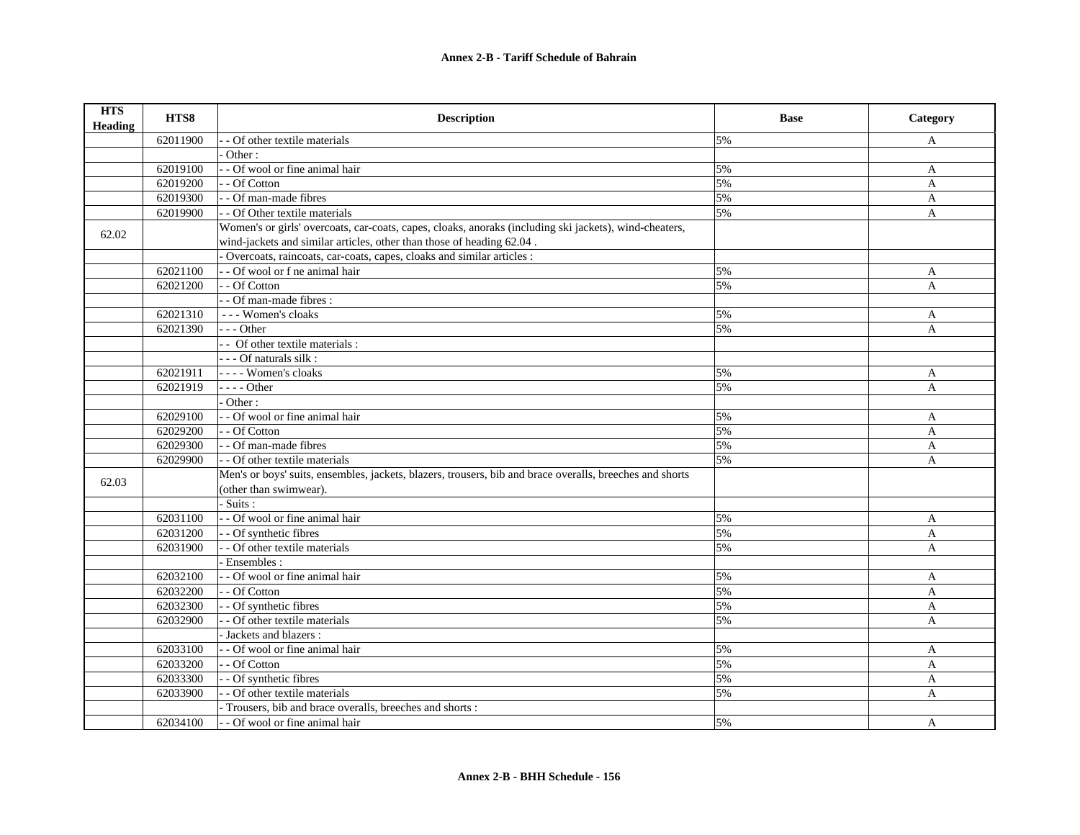| <b>HTS</b><br><b>Heading</b> | HTS8     | <b>Description</b>                                                                                       | <b>Base</b> | Category              |
|------------------------------|----------|----------------------------------------------------------------------------------------------------------|-------------|-----------------------|
|                              | 62011900 | - Of other textile materials                                                                             | 5%          | A                     |
|                              |          | Other:                                                                                                   |             |                       |
|                              | 62019100 | - - Of wool or fine animal hair                                                                          | 5%          | A                     |
|                              | 62019200 | - - Of Cotton                                                                                            | 5%          | A                     |
|                              | 62019300 | - - Of man-made fibres                                                                                   | 5%          | $\mathbf{A}$          |
|                              | 62019900 | - - Of Other textile materials                                                                           | 5%          | $\mathbf{A}$          |
| 62.02                        |          | Women's or girls' overcoats, car-coats, capes, cloaks, anoraks (including ski jackets), wind-cheaters,   |             |                       |
|                              |          | wind-jackets and similar articles, other than those of heading 62.04.                                    |             |                       |
|                              |          | Overcoats, raincoats, car-coats, capes, cloaks and similar articles :                                    |             |                       |
|                              | 62021100 | - - Of wool or f ne animal hair                                                                          | 5%          | A                     |
|                              | 62021200 | - - Of Cotton                                                                                            | 5%          | $\mathbf{A}$          |
|                              |          | - - Of man-made fibres :                                                                                 |             |                       |
|                              | 62021310 | --- Women's cloaks                                                                                       | 5%          | A                     |
|                              | 62021390 | $-- Other$                                                                                               | 5%          | $\mathbf{A}$          |
|                              |          | - Of other textile materials :                                                                           |             |                       |
|                              |          | - - - Of naturals silk :                                                                                 |             |                       |
|                              | 62021911 | - - - - Women's cloaks                                                                                   | 5%          | A                     |
|                              | 62021919 | $---Other$                                                                                               | 5%          | $\boldsymbol{\rm{A}}$ |
|                              |          | Other:                                                                                                   |             |                       |
|                              | 62029100 | - - Of wool or fine animal hair                                                                          | 5%          | A                     |
|                              | 62029200 | - - Of Cotton                                                                                            | 5%          | A                     |
|                              | 62029300 | - - Of man-made fibres                                                                                   | 5%          | A                     |
|                              | 62029900 | - - Of other textile materials                                                                           | 5%          | $\mathbf{A}$          |
| 62.03                        |          | Men's or boys' suits, ensembles, jackets, blazers, trousers, bib and brace overalls, breeches and shorts |             |                       |
|                              |          | (other than swimwear).                                                                                   |             |                       |
|                              |          | - Suits :                                                                                                |             |                       |
|                              | 62031100 | - - Of wool or fine animal hair                                                                          | 5%          | A                     |
|                              | 62031200 | - - Of synthetic fibres                                                                                  | 5%          | A                     |
|                              | 62031900 | - - Of other textile materials                                                                           | 5%          | A                     |
|                              |          | Ensembles:                                                                                               |             |                       |
|                              | 62032100 | - - Of wool or fine animal hair                                                                          | 5%          | A                     |
|                              | 62032200 | - - Of Cotton                                                                                            | 5%          | A                     |
|                              | 62032300 | - Of synthetic fibres                                                                                    | 5%          | $\mathbf{A}$          |
|                              | 62032900 | - Of other textile materials                                                                             | 5%          | $\mathbf{A}$          |
|                              |          | - Jackets and blazers :                                                                                  |             |                       |
|                              | 62033100 | - - Of wool or fine animal hair                                                                          | 5%          | A                     |
|                              | 62033200 | - - Of Cotton                                                                                            | 5%          | $\mathbf{A}$          |
|                              | 62033300 | - - Of synthetic fibres                                                                                  | 5%          | $\mathbf{A}$          |
|                              | 62033900 | - - Of other textile materials                                                                           | 5%          | $\mathbf{A}$          |
|                              |          | Trousers, bib and brace overalls, breeches and shorts :                                                  |             |                       |
|                              | 62034100 | - - Of wool or fine animal hair                                                                          | 5%          | A                     |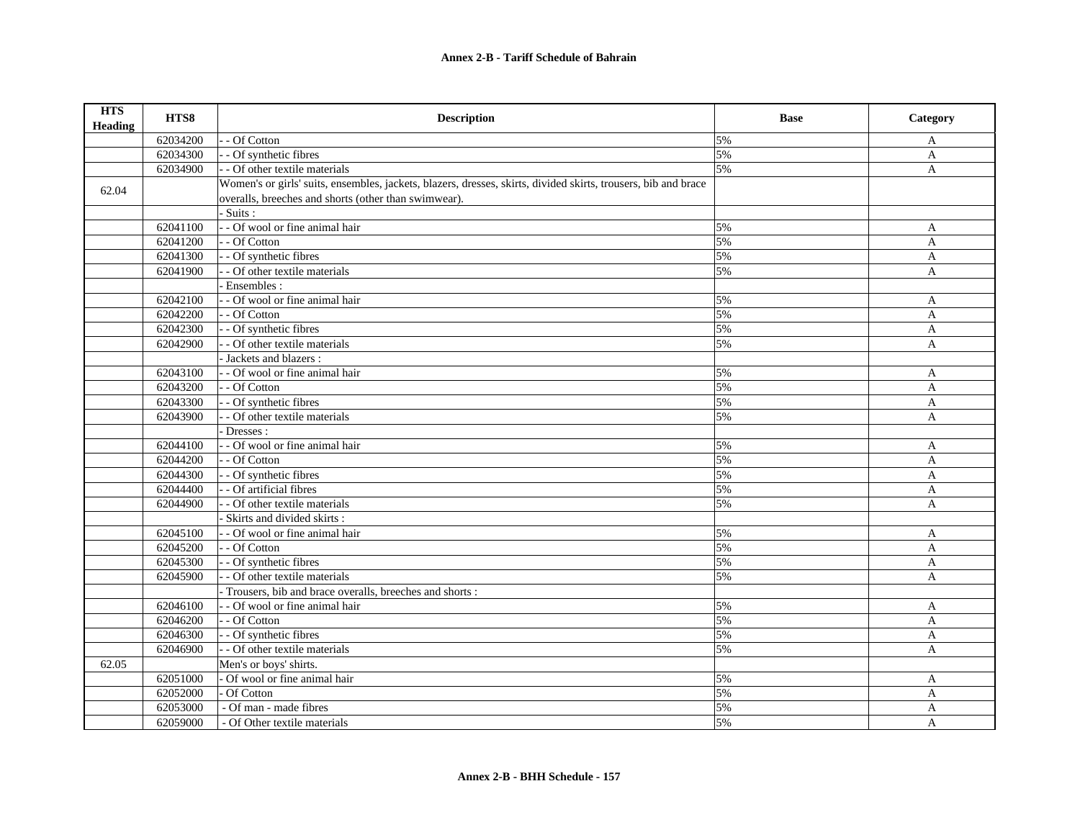## **Annex 2-B - Tariff Schedule of Bahrain**

| <b>HTS</b><br>Heading | HTS8     | <b>Description</b>                                                                                             | <b>Base</b> | Category     |
|-----------------------|----------|----------------------------------------------------------------------------------------------------------------|-------------|--------------|
|                       | 62034200 | - Of Cotton                                                                                                    | 5%          | A            |
|                       | 62034300 | - Of synthetic fibres                                                                                          | 5%          | A            |
|                       | 62034900 | - - Of other textile materials                                                                                 | 5%          | $\mathbf{A}$ |
| 62.04                 |          | Women's or girls' suits, ensembles, jackets, blazers, dresses, skirts, divided skirts, trousers, bib and brace |             |              |
|                       |          | overalls, breeches and shorts (other than swimwear).                                                           |             |              |
|                       |          | Suits:                                                                                                         |             |              |
|                       | 62041100 | - - Of wool or fine animal hair                                                                                | 5%          | A            |
|                       | 62041200 | - Of Cotton                                                                                                    | 5%          | A            |
|                       | 62041300 | - Of synthetic fibres                                                                                          | 5%          | A            |
|                       | 62041900 | - Of other textile materials                                                                                   | 5%          | A            |
|                       |          | Ensembles:                                                                                                     |             |              |
|                       | 62042100 | - - Of wool or fine animal hair                                                                                | 5%          | $\mathbf{A}$ |
|                       | 62042200 | - - Of Cotton                                                                                                  | 5%          | $\mathbf{A}$ |
|                       | 62042300 | - - Of synthetic fibres                                                                                        | 5%          | $\mathbf{A}$ |
|                       | 62042900 | - Of other textile materials                                                                                   | 5%          | $\mathbf{A}$ |
|                       |          | - Jackets and blazers :                                                                                        |             |              |
|                       | 62043100 | - Of wool or fine animal hair                                                                                  | 5%          | $\mathbf{A}$ |
|                       | 62043200 | - - Of Cotton                                                                                                  | 5%          | $\mathbf{A}$ |
|                       | 62043300 | - - Of synthetic fibres                                                                                        | 5%          | $\mathbf{A}$ |
|                       | 62043900 | - Of other textile materials                                                                                   | 5%          | A            |
|                       |          | Dresses:                                                                                                       |             |              |
|                       | 62044100 | - - Of wool or fine animal hair                                                                                | 5%          | A            |
|                       | 62044200 | - Of Cotton                                                                                                    | 5%          | $\mathbf{A}$ |
|                       | 62044300 | - Of synthetic fibres                                                                                          | 5%          | A            |
|                       | 62044400 | - - Of artificial fibres                                                                                       | 5%          | A            |
|                       | 62044900 | - Of other textile materials                                                                                   | 5%          | A            |
|                       |          | Skirts and divided skirts:                                                                                     |             |              |
|                       | 62045100 | - - Of wool or fine animal hair                                                                                | 5%          | A            |
|                       | 62045200 | - - Of Cotton                                                                                                  | 5%          | $\mathbf{A}$ |
|                       | 62045300 | - Of synthetic fibres                                                                                          | 5%          | A            |
|                       | 62045900 | - Of other textile materials                                                                                   | 5%          | A            |
|                       |          | Trousers, bib and brace overalls, breeches and shorts:                                                         |             |              |
|                       | 62046100 | - - Of wool or fine animal hair                                                                                | 5%          | A            |
|                       | 62046200 | - Of Cotton                                                                                                    | 5%          | A            |
|                       | 62046300 | - Of synthetic fibres                                                                                          | 5%          | A            |
|                       | 62046900 | - - Of other textile materials                                                                                 | 5%          | A            |
| 62.05                 |          | Men's or boys' shirts.                                                                                         |             |              |
|                       | 62051000 | Of wool or fine animal hair                                                                                    | 5%          | A            |
|                       | 62052000 | Of Cotton                                                                                                      | 5%          | A            |
|                       | 62053000 | - Of man - made fibres                                                                                         | 5%          | $\mathbf{A}$ |
|                       | 62059000 | - Of Other textile materials                                                                                   | 5%          | A            |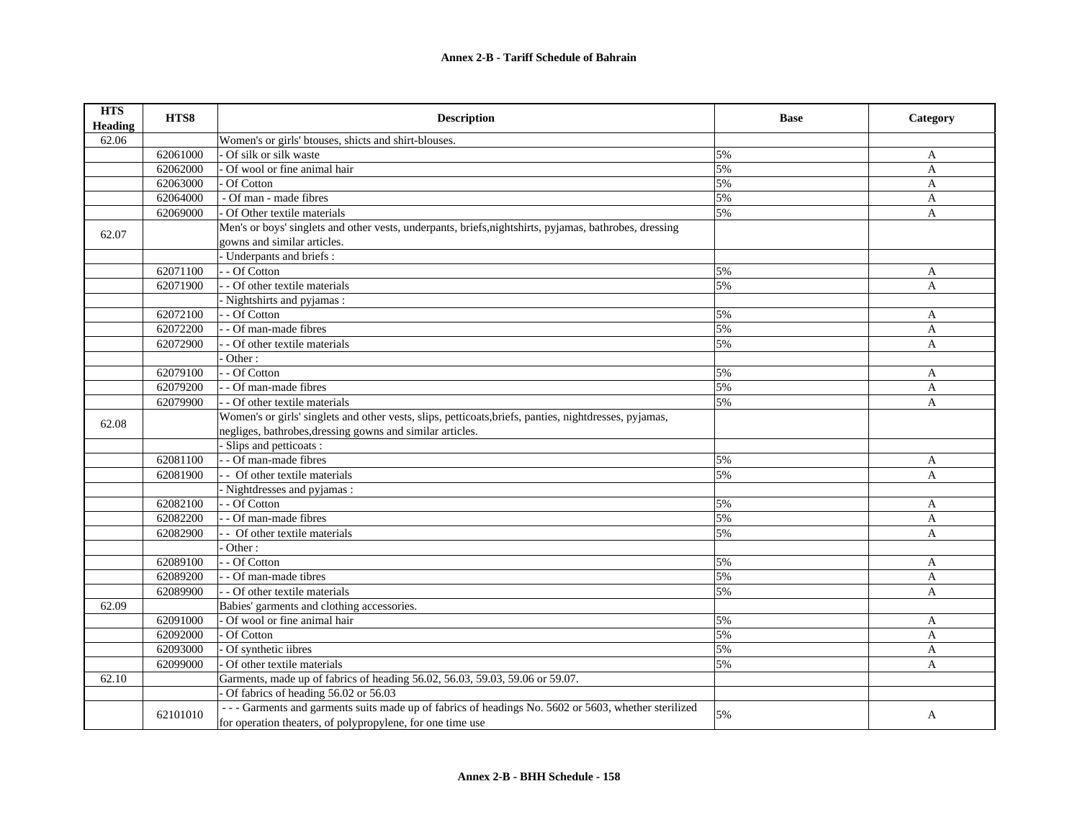| <b>HTS</b><br><b>Heading</b> | HTS8     | <b>Description</b>                                                                                     | <b>Base</b> | Category     |
|------------------------------|----------|--------------------------------------------------------------------------------------------------------|-------------|--------------|
| 62.06                        |          | Women's or girls' btouses, shicts and shirt-blouses.                                                   |             |              |
|                              | 62061000 | Of silk or silk waste                                                                                  | 5%          | A            |
|                              | 62062000 | Of wool or fine animal hair                                                                            | 5%          | $\mathbf{A}$ |
|                              | 62063000 | Of Cotton                                                                                              | 5%          | A            |
|                              | 62064000 | - Of man - made fibres                                                                                 | 5%          | $\mathbf{A}$ |
|                              | 62069000 | Of Other textile materials                                                                             | 5%          | A            |
|                              |          | Men's or boys' singlets and other vests, underpants, briefs, nightshirts, pyjamas, bathrobes, dressing |             |              |
| 62.07                        |          | gowns and similar articles.                                                                            |             |              |
|                              |          | - Underpants and briefs :                                                                              |             |              |
|                              | 62071100 | - - Of Cotton                                                                                          | 5%          | A            |
|                              | 62071900 | - - Of other textile materials                                                                         | 5%          | $\mathbf{A}$ |
|                              |          | - Nightshirts and pyjamas:                                                                             |             |              |
|                              | 62072100 | - - Of Cotton                                                                                          | 5%          | A            |
|                              | 62072200 | - - Of man-made fibres                                                                                 | 5%          | $\mathbf{A}$ |
|                              | 62072900 | - Of other textile materials                                                                           | 5%          | $\mathbf{A}$ |
|                              |          | Other:                                                                                                 |             |              |
|                              | 62079100 | - Of Cotton                                                                                            | 5%          | A            |
|                              | 62079200 | - - Of man-made fibres                                                                                 | 5%          | $\mathbf{A}$ |
|                              | 62079900 | - Of other textile materials                                                                           | 5%          | $\mathbf{A}$ |
|                              |          | Women's or girls' singlets and other vests, slips, petticoats, briefs, panties, nightdresses, pyjamas, |             |              |
| 62.08                        |          | negliges, bathrobes, dressing gowns and similar articles.                                              |             |              |
|                              |          | Slips and petticoats :                                                                                 |             |              |
|                              | 62081100 | - - Of man-made fibres                                                                                 | 5%          | A            |
|                              | 62081900 | - Of other textile materials                                                                           | 5%          | A            |
|                              |          | - Nightdresses and pyjamas:                                                                            |             |              |
|                              | 62082100 | - - Of Cotton                                                                                          | 5%          | A            |
|                              | 62082200 | - Of man-made fibres                                                                                   | 5%          | A            |
|                              | 62082900 | - Of other textile materials                                                                           | 5%          | A            |
|                              |          | Other:                                                                                                 |             |              |
|                              | 62089100 | - - Of Cotton                                                                                          | 5%          | A            |
|                              | 62089200 | - Of man-made tibres                                                                                   | 5%          | A            |
|                              | 62089900 | - Of other textile materials                                                                           | 5%          | $\mathbf{A}$ |
| 62.09                        |          | Babies' garments and clothing accessories.                                                             |             |              |
|                              | 62091000 | Of wool or fine animal hair                                                                            | 5%          | $\mathbf{A}$ |
|                              | 62092000 | Of Cotton                                                                                              | 5%          | A            |
|                              | 62093000 | Of synthetic iibres                                                                                    | 5%          | A            |
|                              | 62099000 | Of other textile materials                                                                             | 5%          | A            |
| 62.10                        |          | Garments, made up of fabrics of heading 56.02, 56.03, 59.03, 59.06 or 59.07.                           |             |              |
|                              |          | Of fabrics of heading 56.02 or 56.03                                                                   |             |              |
|                              |          | --- Garments and garments suits made up of fabrics of headings No. 5602 or 5603, whether sterilized    |             |              |
|                              | 62101010 | for operation theaters, of polypropylene, for one time use                                             | 5%          | A            |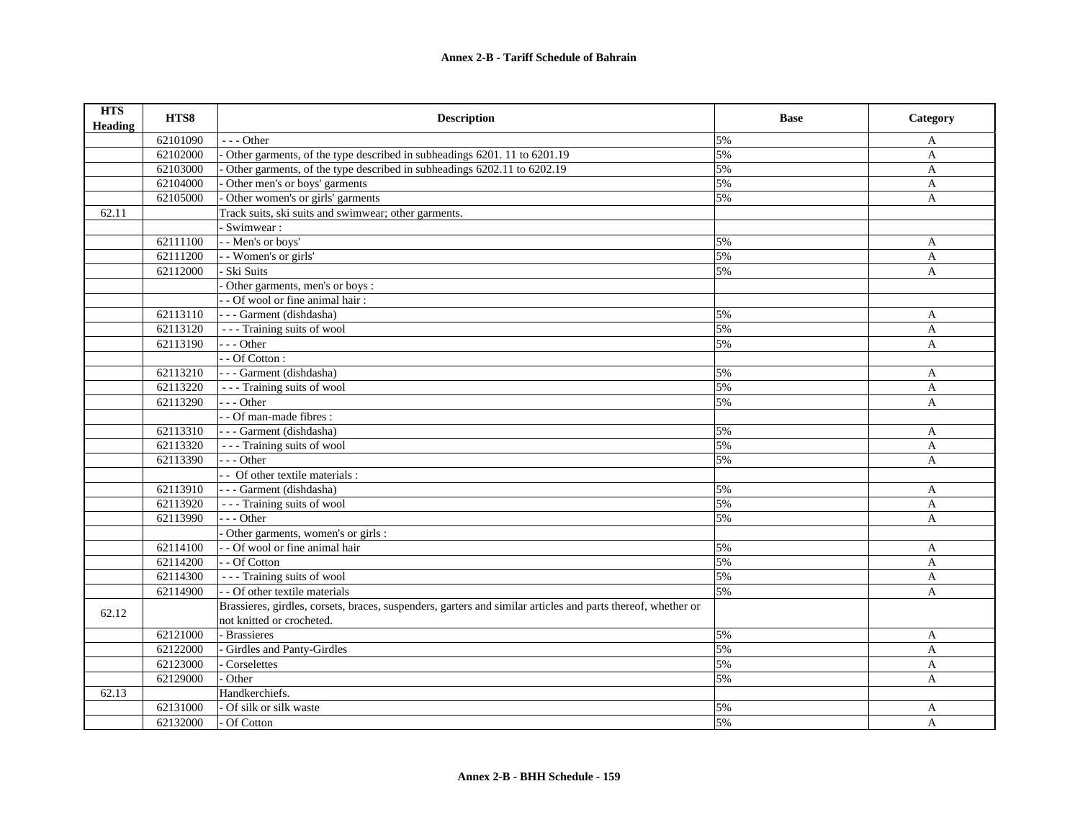| <b>HTS</b><br><b>Heading</b> | HTS8     | <b>Description</b>                                                                                           | <b>Base</b> | Category     |
|------------------------------|----------|--------------------------------------------------------------------------------------------------------------|-------------|--------------|
|                              | 62101090 | $- -$ Other                                                                                                  | 5%          | A            |
|                              | 62102000 | Other garments, of the type described in subheadings 6201.11 to 6201.19                                      | 5%          | A            |
|                              | 62103000 | Other garments, of the type described in subheadings 6202.11 to 6202.19                                      | 5%          | $\mathbf{A}$ |
|                              | 62104000 | Other men's or boys' garments                                                                                | 5%          | $\mathbf{A}$ |
|                              | 62105000 | Other women's or girls' garments                                                                             | 5%          | A            |
| 62.11                        |          | Track suits, ski suits and swimwear; other garments.                                                         |             |              |
|                              |          | Swimwear:                                                                                                    |             |              |
|                              | 62111100 | - - Men's or boys'                                                                                           | 5%          | $\mathbf{A}$ |
|                              | 62111200 | - - Women's or girls'                                                                                        | 5%          | A            |
|                              | 62112000 | Ski Suits                                                                                                    | 5%          | A            |
|                              |          | Other garments, men's or boys :                                                                              |             |              |
|                              |          | - - Of wool or fine animal hair :                                                                            |             |              |
|                              | 62113110 | - - - Garment (dishdasha)                                                                                    | 5%          | A            |
|                              | 62113120 | --- Training suits of wool                                                                                   | 5%          | A            |
|                              | 62113190 | $- -$ Other                                                                                                  | 5%          | $\mathbf{A}$ |
|                              |          | - - Of Cotton :                                                                                              |             |              |
|                              | 62113210 | --- Garment (dishdasha)                                                                                      | 5%          | A            |
|                              | 62113220 | --- Training suits of wool                                                                                   | 5%          | $\mathbf{A}$ |
|                              | 62113290 | $- -$ Other                                                                                                  | 5%          | $\mathbf{A}$ |
|                              |          | - - Of man-made fibres :                                                                                     |             |              |
|                              | 62113310 | --- Garment (dishdasha)                                                                                      | 5%          | A            |
|                              | 62113320 | --- Training suits of wool                                                                                   | 5%          | A            |
|                              | 62113390 | - - - Other                                                                                                  | 5%          | A            |
|                              |          | - - Of other textile materials :                                                                             |             |              |
|                              | 62113910 | --- Garment (dishdasha)                                                                                      | 5%          | A            |
|                              | 62113920 | --- Training suits of wool                                                                                   | 5%          | A            |
|                              | 62113990 | --- Other                                                                                                    | 5%          | A            |
|                              |          | Other garments, women's or girls :                                                                           |             |              |
|                              | 62114100 | - - Of wool or fine animal hair                                                                              | 5%          | $\mathbf{A}$ |
|                              | 62114200 | - - Of Cotton                                                                                                | 5%          | $\mathbf{A}$ |
|                              | 62114300 | --- Training suits of wool                                                                                   | 5%          | A            |
|                              | 62114900 | - - Of other textile materials                                                                               | 5%          | $\mathbf{A}$ |
| 62.12                        |          | Brassieres, girdles, corsets, braces, suspenders, garters and similar articles and parts thereof, whether or |             |              |
|                              |          | not knitted or crocheted.                                                                                    |             |              |
|                              | 62121000 | - Brassieres                                                                                                 | 5%          | A            |
|                              | 62122000 | Girdles and Panty-Girdles                                                                                    | 5%          | A            |
|                              | 62123000 | Corselettes                                                                                                  | 5%          | A            |
|                              | 62129000 | Other                                                                                                        | 5%          | $\mathbf{A}$ |
| 62.13                        |          | Handkerchiefs.                                                                                               |             |              |
|                              | 62131000 | Of silk or silk waste                                                                                        | 5%          | $\mathbf{A}$ |
|                              | 62132000 | Of Cotton                                                                                                    | 5%          | A            |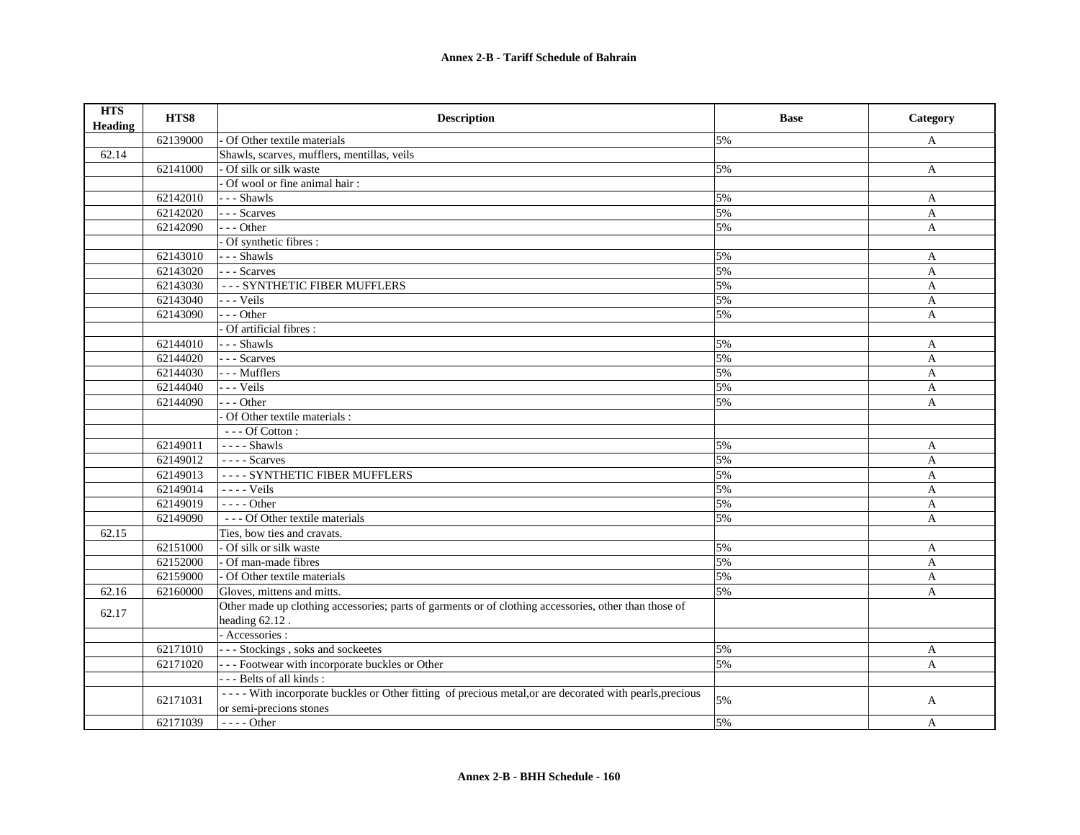| <b>HTS</b><br><b>Heading</b> | HTS8     | <b>Description</b>                                                                                       | <b>Base</b> | Category     |
|------------------------------|----------|----------------------------------------------------------------------------------------------------------|-------------|--------------|
|                              | 62139000 | Of Other textile materials                                                                               | 5%          | A            |
| 62.14                        |          | Shawls, scarves, mufflers, mentillas, veils                                                              |             |              |
|                              | 62141000 | Of silk or silk waste                                                                                    | 5%          | A            |
|                              |          | Of wool or fine animal hair:                                                                             |             |              |
|                              | 62142010 | --- Shawls                                                                                               | 5%          | A            |
|                              | 62142020 | --- Scarves                                                                                              | 5%          | A            |
|                              | 62142090 | $--$ Other                                                                                               | 5%          | $\mathbf{A}$ |
|                              |          | Of synthetic fibres :                                                                                    |             |              |
|                              | 62143010 | --- Shawls                                                                                               | 5%          | A            |
|                              | 62143020 | --- Scarves                                                                                              | 5%          | A            |
|                              | 62143030 | --- SYNTHETIC FIBER MUFFLERS                                                                             | 5%          | $\mathbf{A}$ |
|                              | 62143040 | $\vert$ - - - Veils                                                                                      | 5%          | A            |
|                              | 62143090 | --- Other                                                                                                | 5%          | A            |
|                              |          | Of artificial fibres :                                                                                   |             |              |
|                              | 62144010 | $---$ Shawls                                                                                             | 5%          | A            |
|                              | 62144020 | $\vert$ --Scarves                                                                                        | 5%          | $\mathbf{A}$ |
|                              | 62144030 | --- Mufflers                                                                                             | 5%          | A            |
|                              | 62144040 | --- Veils                                                                                                | 5%          | $\mathbf{A}$ |
|                              | 62144090 | $--$ Other                                                                                               | 5%          | A            |
|                              |          | Of Other textile materials :                                                                             |             |              |
|                              |          | $\overline{\ }$ - - - Of Cotton :                                                                        |             |              |
|                              | 62149011 | $---$ Shawls                                                                                             | 5%          | A            |
|                              | 62149012 | $\overline{\phantom{a} \phantom{a}}$ - - - - Scarves                                                     | 5%          | $\mathbf{A}$ |
|                              | 62149013 | ---- SYNTHETIC FIBER MUFFLERS                                                                            | 5%          | A            |
|                              | 62149014 | ---- Veils                                                                                               | 5%          | A            |
|                              | 62149019 | - - - - Other                                                                                            | 5%          | A            |
|                              | 62149090 | --- Of Other textile materials                                                                           | 5%          | A            |
| 62.15                        |          | Ties, bow ties and cravats.                                                                              |             |              |
|                              | 62151000 | - Of silk or silk waste                                                                                  | 5%          | A            |
|                              | 62152000 | Of man-made fibres                                                                                       | 5%          | A            |
|                              | 62159000 | Of Other textile materials                                                                               | 5%          | $\mathbf{A}$ |
| 62.16                        | 62160000 | Gloves, mittens and mitts.                                                                               | 5%          | A            |
| 62.17                        |          | Other made up clothing accessories; parts of garments or of clothing accessories, other than those of    |             |              |
|                              |          | heading 62.12.                                                                                           |             |              |
|                              |          | - Accessories :                                                                                          |             |              |
|                              | 62171010 | --- Stockings, soks and sockeetes                                                                        | 5%          | $\mathbf{A}$ |
|                              | 62171020 | - - - Footwear with incorporate buckles or Other                                                         | 5%          | $\mathbf{A}$ |
|                              |          | --- Belts of all kinds:                                                                                  |             |              |
|                              |          | ---- With incorporate buckles or Other fitting of precious metal, or are decorated with pearls, precious | 5%          |              |
|                              | 62171031 | or semi-precions stones                                                                                  |             | A            |
|                              | 62171039 | ---- Other                                                                                               | 5%          | A            |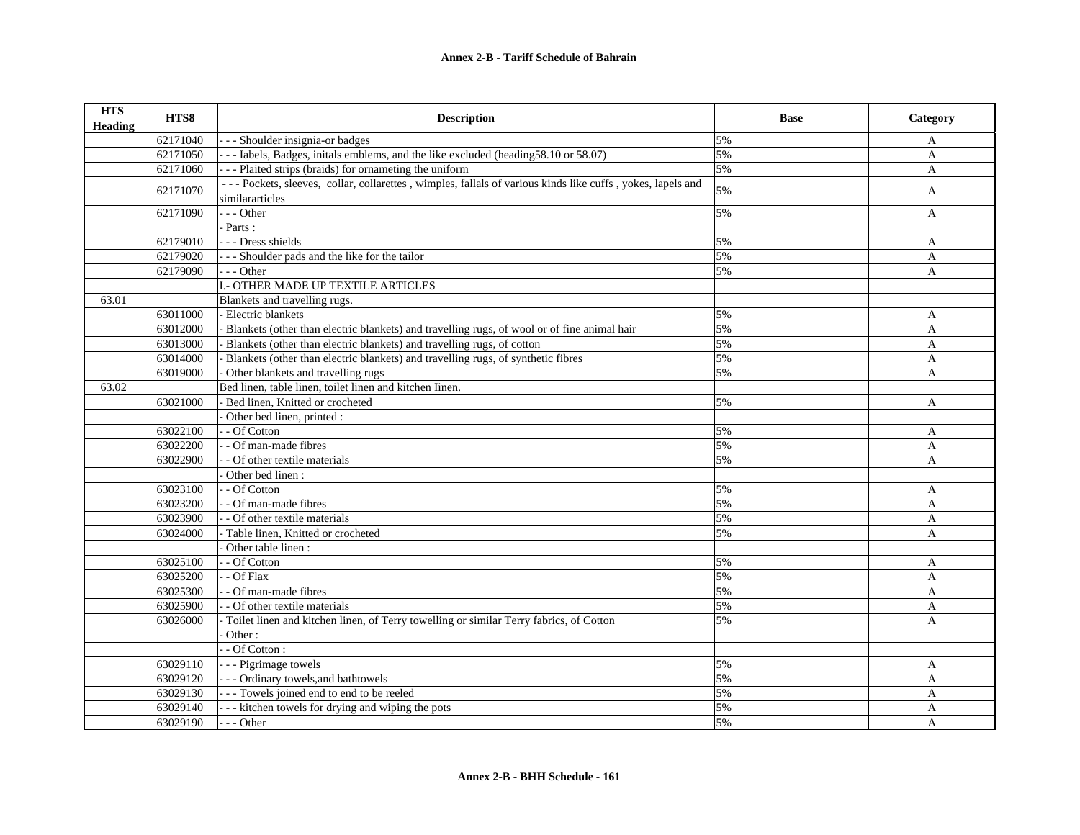| <b>HTS</b><br><b>Heading</b> | HTS8     | <b>Description</b>                                                                                                            | <b>Base</b> | Category     |
|------------------------------|----------|-------------------------------------------------------------------------------------------------------------------------------|-------------|--------------|
|                              | 62171040 | - - - Shoulder insignia-or badges                                                                                             | 5%          | A            |
|                              | 62171050 | --- Iabels, Badges, initals emblems, and the like excluded (heading 58.10 or 58.07)                                           | 5%          | A            |
|                              | 62171060 | - - - Plaited strips (braids) for ornameting the uniform                                                                      | 5%          | $\mathbf{A}$ |
|                              | 62171070 | --- Pockets, sleeves, collar, collarettes, wimples, fallals of various kinds like cuffs, yokes, lapels and<br>similararticles | 5%          | A            |
|                              | 62171090 | $- -$ Other                                                                                                                   | 5%          | A            |
|                              |          | Parts:                                                                                                                        |             |              |
|                              | 62179010 | - - - Dress shields                                                                                                           | 5%          | $\mathbf{A}$ |
|                              | 62179020 | - - - Shoulder pads and the like for the tailor                                                                               | 5%          | A            |
|                              | 62179090 | $--$ Other                                                                                                                    | 5%          | A            |
|                              |          | <b>I.- OTHER MADE UP TEXTILE ARTICLES</b>                                                                                     |             |              |
| 63.01                        |          | Blankets and travelling rugs.                                                                                                 |             |              |
|                              | 63011000 | - Electric blankets                                                                                                           | 5%          | A            |
|                              | 63012000 | - Blankets (other than electric blankets) and travelling rugs, of wool or of fine animal hair                                 | 5%          | A            |
|                              | 63013000 | Blankets (other than electric blankets) and travelling rugs, of cotton                                                        | 5%          | $\mathbf{A}$ |
|                              | 63014000 | Blankets (other than electric blankets) and travelling rugs, of synthetic fibres                                              | 5%          | A            |
|                              | 63019000 | Other blankets and travelling rugs                                                                                            | 5%          | A            |
| 63.02                        |          | Bed linen, table linen, toilet linen and kitchen Iinen.                                                                       |             |              |
|                              | 63021000 | - Bed linen, Knitted or crocheted                                                                                             | 5%          | A            |
|                              |          | Other bed linen, printed :                                                                                                    |             |              |
|                              | 63022100 | - Of Cotton                                                                                                                   | 5%          | A            |
|                              | 63022200 | - - Of man-made fibres                                                                                                        | 5%          | A            |
|                              | 63022900 | - Of other textile materials                                                                                                  | 5%          | A            |
|                              |          | Other bed linen:                                                                                                              |             |              |
|                              | 63023100 | - - Of Cotton                                                                                                                 | 5%          | $\mathbf{A}$ |
|                              | 63023200 | - Of man-made fibres                                                                                                          | 5%          | A            |
|                              | 63023900 | - Of other textile materials                                                                                                  | 5%          | A            |
|                              | 63024000 | Table linen, Knitted or crocheted                                                                                             | 5%          | A            |
|                              |          | Other table linen:                                                                                                            |             |              |
|                              | 63025100 | - - Of Cotton                                                                                                                 | 5%          | A            |
|                              | 63025200 | - Of Flax                                                                                                                     | 5%          | A            |
|                              | 63025300 | - Of man-made fibres                                                                                                          | 5%          | A            |
|                              | 63025900 | - Of other textile materials                                                                                                  | 5%          | A            |
|                              | 63026000 | Toilet linen and kitchen linen, of Terry towelling or similar Terry fabrics, of Cotton                                        | 5%          | $\mathbf{A}$ |
|                              |          | Other:                                                                                                                        |             |              |
|                              |          | $-$ - Of Cotton :                                                                                                             |             |              |
|                              | 63029110 | - - - Pigrimage towels                                                                                                        | 5%          | A            |
|                              | 63029120 | - - - Ordinary towels, and bathtowels                                                                                         | 5%          | A            |
|                              | 63029130 | --- Towels joined end to end to be reeled                                                                                     | 5%          | A            |
|                              | 63029140 | - - - kitchen towels for drying and wiping the pots                                                                           | 5%          | A            |
|                              | 63029190 | --- Other                                                                                                                     | 5%          | A            |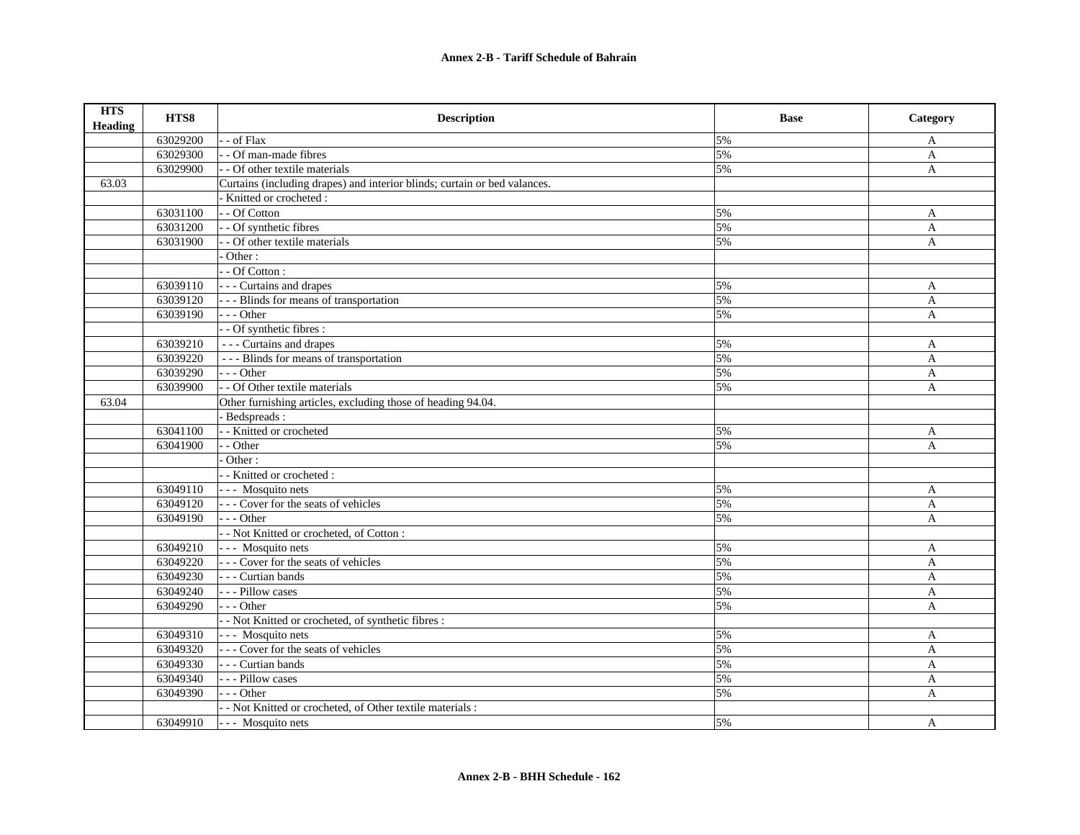| <b>HTS</b><br><b>Heading</b> | HTS8     | <b>Description</b>                                                        | <b>Base</b> | Category     |
|------------------------------|----------|---------------------------------------------------------------------------|-------------|--------------|
|                              | 63029200 | - - of Flax                                                               | 5%          | A            |
|                              | 63029300 | - - Of man-made fibres                                                    | 5%          | A            |
|                              | 63029900 | - - Of other textile materials                                            | 5%          | A            |
| 63.03                        |          | Curtains (including drapes) and interior blinds; curtain or bed valances. |             |              |
|                              |          | Knitted or crocheted:                                                     |             |              |
|                              | 63031100 | - - Of Cotton                                                             | 5%          | A            |
|                              | 63031200 | - - Of synthetic fibres                                                   | 5%          | A            |
|                              | 63031900 | - Of other textile materials                                              | 5%          | A            |
|                              |          | Other:                                                                    |             |              |
|                              |          | - - Of Cotton :                                                           |             |              |
|                              | 63039110 | --- Curtains and drapes                                                   | 5%          | A            |
|                              | 63039120 | --- Blinds for means of transportation                                    | 5%          | $\mathbf{A}$ |
|                              | 63039190 | $- -$ Other                                                               | 5%          | $\mathbf{A}$ |
|                              |          | - - Of synthetic fibres :                                                 |             |              |
|                              | 63039210 | --- Curtains and drapes                                                   | 5%          | A            |
|                              | 63039220 | --- Blinds for means of transportation                                    | 5%          | $\mathbf{A}$ |
|                              | 63039290 | --- Other                                                                 | 5%          | A            |
|                              | 63039900 | - - Of Other textile materials                                            | 5%          | $\mathbf{A}$ |
| 63.04                        |          | Other furnishing articles, excluding those of heading 94.04.              |             |              |
|                              |          | Bedspreads:                                                               |             |              |
|                              | 63041100 | - - Knitted or crocheted                                                  | 5%          | A            |
|                              | 63041900 | - - Other                                                                 | 5%          | A            |
|                              |          | Other:                                                                    |             |              |
|                              |          | - - Knitted or crocheted :                                                |             |              |
|                              | 63049110 | --- Mosquito nets                                                         | 5%          | $\mathbf{A}$ |
|                              | 63049120 | --- Cover for the seats of vehicles                                       | 5%          | A            |
|                              | 63049190 | $--$ Other                                                                | 5%          | A            |
|                              |          | - - Not Knitted or crocheted, of Cotton :                                 |             |              |
|                              | 63049210 | --- Mosquito nets                                                         | 5%          | A            |
|                              | 63049220 | --- Cover for the seats of vehicles                                       | 5%          | $\mathbf{A}$ |
|                              | 63049230 | - - - Curtian bands                                                       | 5%          | $\mathbf{A}$ |
|                              | 63049240 | --- Pillow cases                                                          | 5%          | $\mathbf{A}$ |
|                              | 63049290 | --- Other                                                                 | 5%          | $\mathbf{A}$ |
|                              |          | - - Not Knitted or crocheted, of synthetic fibres :                       |             |              |
|                              | 63049310 | --- Mosquito nets                                                         | 5%          | A            |
|                              | 63049320 | --- Cover for the seats of vehicles                                       | 5%          | A            |
|                              | 63049330 | - - - Curtian bands                                                       | 5%          | $\mathbf{A}$ |
|                              | 63049340 | - - - Pillow cases                                                        | 5%          | A            |
|                              | 63049390 | --- Other                                                                 | 5%          | A            |
|                              |          | - - Not Knitted or crocheted, of Other textile materials :                |             |              |
|                              | 63049910 | --- Mosquito nets                                                         | 5%          | A            |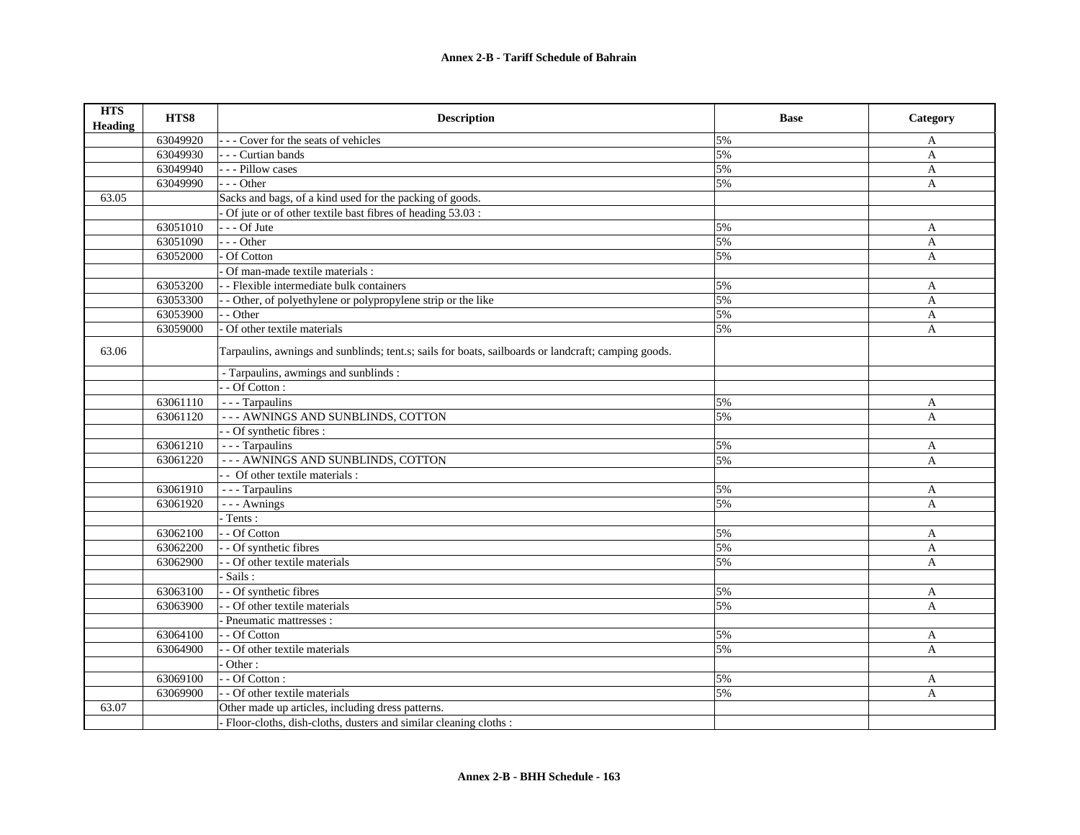| <b>HTS</b><br><b>Heading</b> | HTS8     | <b>Description</b>                                                                                  | <b>Base</b> | Category     |
|------------------------------|----------|-----------------------------------------------------------------------------------------------------|-------------|--------------|
|                              | 63049920 | --- Cover for the seats of vehicles                                                                 | 5%          | A            |
|                              | 63049930 | - - - Curtian bands                                                                                 | 5%          | $\mathbf{A}$ |
|                              | 63049940 | --- Pillow cases                                                                                    | 5%          | $\mathbf{A}$ |
|                              | 63049990 | $- -$ Other                                                                                         | 5%          | $\mathbf{A}$ |
| 63.05                        |          | Sacks and bags, of a kind used for the packing of goods.                                            |             |              |
|                              |          | Of jute or of other textile bast fibres of heading 53.03 :                                          |             |              |
|                              | 63051010 | $- -$ Of Jute                                                                                       | 5%          | A            |
|                              | 63051090 | $- -$ Other                                                                                         | 5%          | A            |
|                              | 63052000 | Of Cotton                                                                                           | 5%          | A            |
|                              |          | Of man-made textile materials :                                                                     |             |              |
|                              | 63053200 | - - Flexible intermediate bulk containers                                                           | 5%          | A            |
|                              | 63053300 | - Other, of polyethylene or polypropylene strip or the like                                         | 5%          | A            |
|                              | 63053900 | - Other                                                                                             | 5%          | A            |
|                              | 63059000 | Of other textile materials                                                                          | 5%          | $\mathbf{A}$ |
| 63.06                        |          | Tarpaulins, awnings and sunblinds; tent.s; sails for boats, sailboards or landcraft; camping goods. |             |              |
|                              |          | - Tarpaulins, awmings and sunblinds :                                                               |             |              |
|                              |          | - - Of Cotton :                                                                                     |             |              |
|                              | 63061110 | - - - Tarpaulins                                                                                    | 5%          | A            |
|                              | 63061120 | --- AWNINGS AND SUNBLINDS, COTTON                                                                   | 5%          | $\mathbf{A}$ |
|                              |          | - - Of synthetic fibres :                                                                           |             |              |
|                              | 63061210 | - - - Tarpaulins                                                                                    | 5%          | A            |
|                              | 63061220 | --- AWNINGS AND SUNBLINDS, COTTON                                                                   | 5%          | A            |
|                              |          | - - Of other textile materials :                                                                    |             |              |
|                              | 63061910 | - - - Tarpaulins                                                                                    | 5%          | A            |
|                              | 63061920 | --- Awnings                                                                                         | 5%          | A            |
|                              |          | Tents:                                                                                              |             |              |
|                              | 63062100 | - - Of Cotton                                                                                       | 5%          | A            |
|                              | 63062200 | - Of synthetic fibres                                                                               | 5%          | A            |
|                              | 63062900 | - - Of other textile materials                                                                      | 5%          | A            |
|                              |          | Sails:                                                                                              |             |              |
|                              | 63063100 | - Of synthetic fibres                                                                               | 5%          | A            |
|                              | 63063900 | - Of other textile materials                                                                        | 5%          | $\mathbf{A}$ |
|                              |          | Pneumatic mattresses :                                                                              |             |              |
|                              | 63064100 | - Of Cotton                                                                                         | 5%          | A            |
|                              | 63064900 | - Of other textile materials                                                                        | 5%          | A            |
|                              |          | Other:                                                                                              |             |              |
|                              | 63069100 | $-$ Of Cotton:                                                                                      | 5%          | A            |
|                              | 63069900 | - Of other textile materials                                                                        | 5%          | A            |
| 63.07                        |          | Other made up articles, including dress patterns.                                                   |             |              |
|                              |          | - Floor-cloths, dish-cloths, dusters and similar cleaning cloths :                                  |             |              |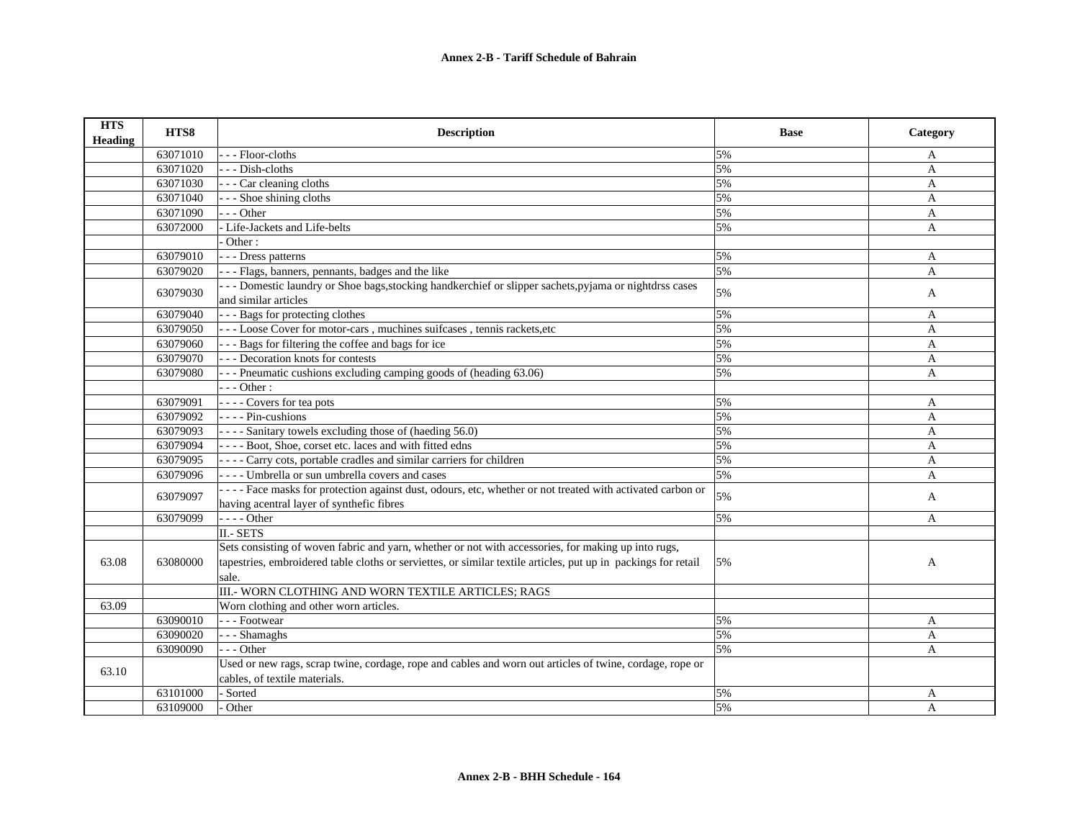| <b>HTS</b><br>Heading | HTS8     | <b>Description</b>                                                                                             | <b>Base</b> | Category     |
|-----------------------|----------|----------------------------------------------------------------------------------------------------------------|-------------|--------------|
|                       | 63071010 | --- Floor-cloths                                                                                               | 5%          | A            |
|                       | 63071020 | --- Dish-cloths                                                                                                | 5%          | A            |
|                       | 63071030 | - - - Car cleaning cloths                                                                                      | 5%          | A            |
|                       | 63071040 | --- Shoe shining cloths                                                                                        | 5%          | A            |
|                       | 63071090 | $- -$ Other                                                                                                    | 5%          | $\mathbf{A}$ |
|                       | 63072000 | - Life-Jackets and Life-belts                                                                                  | 5%          | $\mathbf{A}$ |
|                       |          | Other:                                                                                                         |             |              |
|                       | 63079010 | - - - Dress patterns                                                                                           | 5%          | A            |
|                       | 63079020 | - - - Flags, banners, pennants, badges and the like                                                            | 5%          | A            |
|                       | 63079030 | --- Domestic laundry or Shoe bags, stocking handkerchief or slipper sachets, pyjama or nightdrss cases         | 5%          | A            |
|                       |          | and similar articles                                                                                           |             |              |
|                       | 63079040 | --- Bags for protecting clothes                                                                                | 5%          | A            |
|                       | 63079050 | --- Loose Cover for motor-cars, muchines suifcases, tennis rackets, etc                                        | 5%          | A            |
|                       | 63079060 | --- Bags for filtering the coffee and bags for ice                                                             | 5%          | A            |
|                       | 63079070 | - - - Decoration knots for contests                                                                            | 5%          | A            |
|                       | 63079080 | --- Pneumatic cushions excluding camping goods of (heading 63.06)                                              | 5%          | $\mathbf{A}$ |
|                       |          | $--$ Other :                                                                                                   |             |              |
|                       | 63079091 | ---- Covers for tea pots                                                                                       | 5%          | A            |
|                       | 63079092 | $--- Pin-cushions$                                                                                             | 5%          | A            |
|                       | 63079093 | ---- Sanitary towels excluding those of (haeding 56.0)                                                         | 5%          | A            |
|                       | 63079094 | ---- Boot, Shoe, corset etc. laces and with fitted edns                                                        | 5%          | A            |
|                       | 63079095 | - - - - Carry cots, portable cradles and similar carriers for children                                         | 5%          | A            |
|                       | 63079096 | ---- Umbrella or sun umbrella covers and cases                                                                 | 5%          | A            |
|                       | 63079097 | ---- Face masks for protection against dust, odours, etc, whether or not treated with activated carbon or      | 5%          | A            |
|                       |          | having acentral layer of synthefic fibres                                                                      |             |              |
|                       | 63079099 | - - - - Other                                                                                                  | 5%          | $\mathbf{A}$ |
|                       |          | II.- SETS                                                                                                      |             |              |
|                       |          | Sets consisting of woven fabric and yarn, whether or not with accessories, for making up into rugs,            |             |              |
| 63.08                 | 63080000 | tapestries, embroidered table cloths or serviettes, or similar textile articles, put up in packings for retail | 5%          | A            |
|                       |          | sale.                                                                                                          |             |              |
|                       |          | III.- WORN CLOTHING AND WORN TEXTILE ARTICLES; RAGS                                                            |             |              |
| 63.09                 |          | Worn clothing and other worn articles.                                                                         |             |              |
|                       | 63090010 | --- Footwear                                                                                                   | 5%          | A            |
|                       | 63090020 | --- Shamaghs                                                                                                   | 5%          | A            |
|                       | 63090090 | $- -$ Other                                                                                                    | 5%          | A            |
| 63.10                 |          | Used or new rags, scrap twine, cordage, rope and cables and worn out articles of twine, cordage, rope or       |             |              |
|                       |          | cables, of textile materials.                                                                                  |             |              |
|                       | 63101000 | - Sorted                                                                                                       | 5%          | A            |
|                       | 63109000 | Other                                                                                                          | 5%          | A            |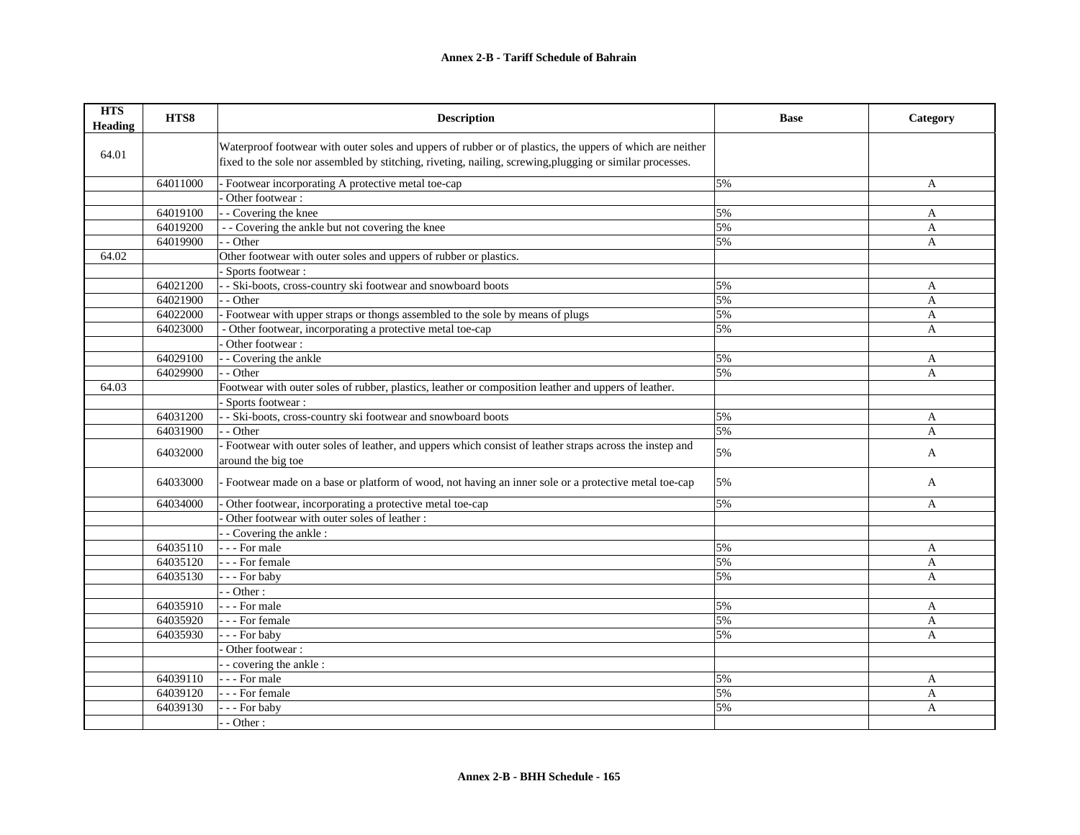| <b>HTS</b><br><b>Heading</b> | HTS8     | <b>Description</b>                                                                                                                                                                                                     | <b>Base</b> | Category       |
|------------------------------|----------|------------------------------------------------------------------------------------------------------------------------------------------------------------------------------------------------------------------------|-------------|----------------|
| 64.01                        |          | Waterproof footwear with outer soles and uppers of rubber or of plastics, the uppers of which are neither<br>fixed to the sole nor assembled by stitching, riveting, nailing, screwing, plugging or similar processes. |             |                |
|                              | 64011000 | - Footwear incorporating A protective metal toe-cap                                                                                                                                                                    | 5%          | A              |
|                              |          | Other footwear:                                                                                                                                                                                                        |             |                |
|                              | 64019100 | - - Covering the knee                                                                                                                                                                                                  | 5%          | A              |
|                              | 64019200 | - - Covering the ankle but not covering the knee                                                                                                                                                                       | 5%          | $\overline{A}$ |
|                              | 64019900 | - - Other                                                                                                                                                                                                              | 5%          | A              |
| 64.02                        |          | Other footwear with outer soles and uppers of rubber or plastics.                                                                                                                                                      |             |                |
|                              |          | - Sports footwear :                                                                                                                                                                                                    |             |                |
|                              | 64021200 | - - Ski-boots, cross-country ski footwear and snowboard boots                                                                                                                                                          | 5%          | A              |
|                              | 64021900 | - Other                                                                                                                                                                                                                | 5%          | $\mathbf{A}$   |
|                              | 64022000 | Footwear with upper straps or thongs assembled to the sole by means of plugs                                                                                                                                           | 5%          | A              |
|                              | 64023000 | - Other footwear, incorporating a protective metal toe-cap                                                                                                                                                             | 5%          | $\overline{A}$ |
|                              |          | Other footwear:                                                                                                                                                                                                        |             |                |
|                              | 64029100 | - - Covering the ankle                                                                                                                                                                                                 | 5%          | A              |
|                              | 64029900 | - - Other                                                                                                                                                                                                              | 5%          | A              |
| 64.03                        |          | Footwear with outer soles of rubber, plastics, leather or composition leather and uppers of leather.                                                                                                                   |             |                |
|                              |          | - Sports footwear :                                                                                                                                                                                                    |             |                |
|                              | 64031200 | - - Ski-boots, cross-country ski footwear and snowboard boots                                                                                                                                                          | 5%          | A              |
|                              | 64031900 | - - Other                                                                                                                                                                                                              | 5%          | $\overline{A}$ |
|                              | 64032000 | - Footwear with outer soles of leather, and uppers which consist of leather straps across the instep and<br>around the big toe                                                                                         | 5%          | A              |
|                              | 64033000 | Footwear made on a base or platform of wood, not having an inner sole or a protective metal toe-cap                                                                                                                    | 5%          | A              |
|                              | 64034000 | Other footwear, incorporating a protective metal toe-cap                                                                                                                                                               | 5%          | A              |
|                              |          | Other footwear with outer soles of leather :                                                                                                                                                                           |             |                |
|                              |          | - Covering the ankle:                                                                                                                                                                                                  |             |                |
|                              | 64035110 | - - - For male                                                                                                                                                                                                         | 5%          | A              |
|                              | 64035120 | - - - For female                                                                                                                                                                                                       | 5%          | $\overline{A}$ |
|                              | 64035130 | --- For baby                                                                                                                                                                                                           | 5%          | A              |
|                              |          | $-$ - Other :                                                                                                                                                                                                          |             |                |
|                              | 64035910 | --- For male                                                                                                                                                                                                           | 5%          | A              |
|                              | 64035920 | --- For female                                                                                                                                                                                                         | 5%          | $\overline{A}$ |
|                              | 64035930 | --- For baby                                                                                                                                                                                                           | 5%          | A              |
|                              |          | Other footwear:                                                                                                                                                                                                        |             |                |
|                              |          | - - covering the ankle :                                                                                                                                                                                               |             |                |
|                              | 64039110 | --- For male                                                                                                                                                                                                           | 5%          | A              |
|                              | 64039120 | - - - For female                                                                                                                                                                                                       | 5%          | A              |
|                              | 64039130 | - - For baby                                                                                                                                                                                                           | 5%          | $\mathbf{A}$   |
|                              |          | $-$ - Other :                                                                                                                                                                                                          |             |                |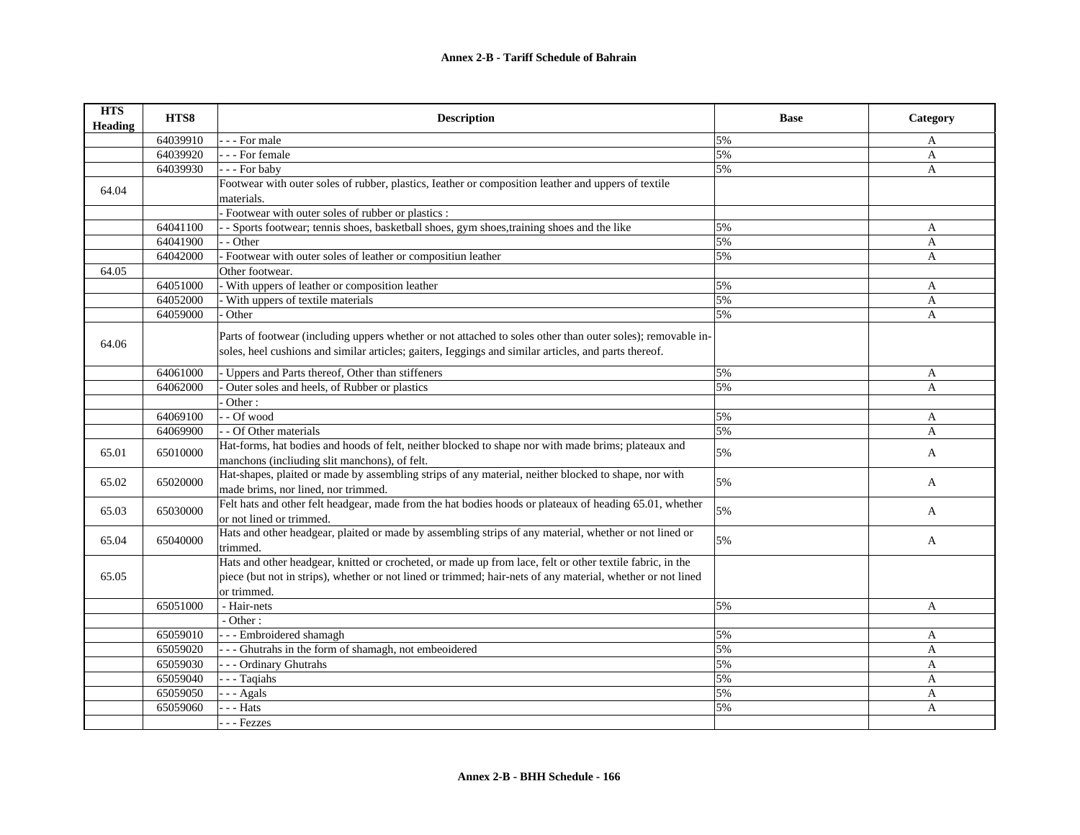| <b>HTS</b><br><b>Heading</b> | HTS8     | <b>Description</b>                                                                                                                                                                                                                      | <b>Base</b> | Category     |
|------------------------------|----------|-----------------------------------------------------------------------------------------------------------------------------------------------------------------------------------------------------------------------------------------|-------------|--------------|
|                              | 64039910 | - - For male                                                                                                                                                                                                                            | 5%          | A            |
|                              | 64039920 | - - - For female                                                                                                                                                                                                                        | 5%          | A            |
|                              | 64039930 | --- For baby                                                                                                                                                                                                                            | 5%          | A            |
| 64.04                        |          | Footwear with outer soles of rubber, plastics, Ieather or composition leather and uppers of textile                                                                                                                                     |             |              |
|                              |          | materials.                                                                                                                                                                                                                              |             |              |
|                              |          | Footwear with outer soles of rubber or plastics :                                                                                                                                                                                       |             |              |
|                              | 64041100 | - Sports footwear; tennis shoes, basketball shoes, gym shoes, training shoes and the like                                                                                                                                               | 5%          | A            |
|                              | 64041900 | - - Other                                                                                                                                                                                                                               | 5%          | A            |
|                              | 64042000 | - Footwear with outer soles of leather or compositiun leather                                                                                                                                                                           | 5%          | $\mathbf{A}$ |
| 64.05                        |          | Other footwear.                                                                                                                                                                                                                         |             |              |
|                              | 64051000 | With uppers of leather or composition leather                                                                                                                                                                                           | 5%          | A            |
|                              | 64052000 | With uppers of textile materials                                                                                                                                                                                                        | 5%          | $\mathbf{A}$ |
|                              | 64059000 | Other                                                                                                                                                                                                                                   | 5%          | A            |
| 64.06                        |          | Parts of footwear (including uppers whether or not attached to soles other than outer soles); removable in-                                                                                                                             |             |              |
|                              |          | soles, heel cushions and similar articles; gaiters, Ieggings and similar articles, and parts thereof.                                                                                                                                   |             |              |
|                              | 64061000 | - Uppers and Parts thereof, Other than stiffeners                                                                                                                                                                                       | 5%          | A            |
|                              | 64062000 | Outer soles and heels, of Rubber or plastics                                                                                                                                                                                            | 5%          | $\mathbf{A}$ |
|                              |          | Other:                                                                                                                                                                                                                                  |             |              |
|                              | 64069100 | - - Of wood                                                                                                                                                                                                                             | 5%          | A            |
|                              | 64069900 | - - Of Other materials                                                                                                                                                                                                                  | 5%          | A            |
| 65.01                        | 65010000 | Hat-forms, hat bodies and hoods of felt, neither blocked to shape nor with made brims; plateaux and<br>manchons (incliuding slit manchons), of felt.                                                                                    | 5%          | A            |
| 65.02                        | 65020000 | Hat-shapes, plaited or made by assembling strips of any material, neither blocked to shape, nor with<br>made brims, nor lined, nor trimmed.                                                                                             | 5%          | A            |
| 65.03                        | 65030000 | Felt hats and other felt headgear, made from the hat bodies hoods or plateaux of heading 65.01, whether<br>or not lined or trimmed.                                                                                                     | 5%          | A            |
| 65.04                        | 65040000 | Hats and other headgear, plaited or made by assembling strips of any material, whether or not lined or<br>trimmed.                                                                                                                      | 5%          | A            |
| 65.05                        |          | Hats and other headgear, knitted or crocheted, or made up from lace, felt or other textile fabric, in the<br>piece (but not in strips), whether or not lined or trimmed; hair-nets of any material, whether or not lined<br>or trimmed. |             |              |
|                              | 65051000 | - Hair-nets                                                                                                                                                                                                                             | 5%          | A            |
|                              |          | $-$ Other:                                                                                                                                                                                                                              |             |              |
|                              | 65059010 | --- Embroidered shamagh                                                                                                                                                                                                                 | 5%          | A            |
|                              | 65059020 | --- Ghutrahs in the form of shamagh, not embeoidered                                                                                                                                                                                    | 5%          | A            |
|                              | 65059030 | --- Ordinary Ghutrahs                                                                                                                                                                                                                   | 5%          | A            |
|                              | 65059040 | --- Taqiahs                                                                                                                                                                                                                             | 5%          | A            |
|                              | 65059050 | $-$ - Agals                                                                                                                                                                                                                             | 5%          | A            |
|                              | 65059060 | - - Hats                                                                                                                                                                                                                                | 5%          | A            |
|                              |          | - - Fezzes                                                                                                                                                                                                                              |             |              |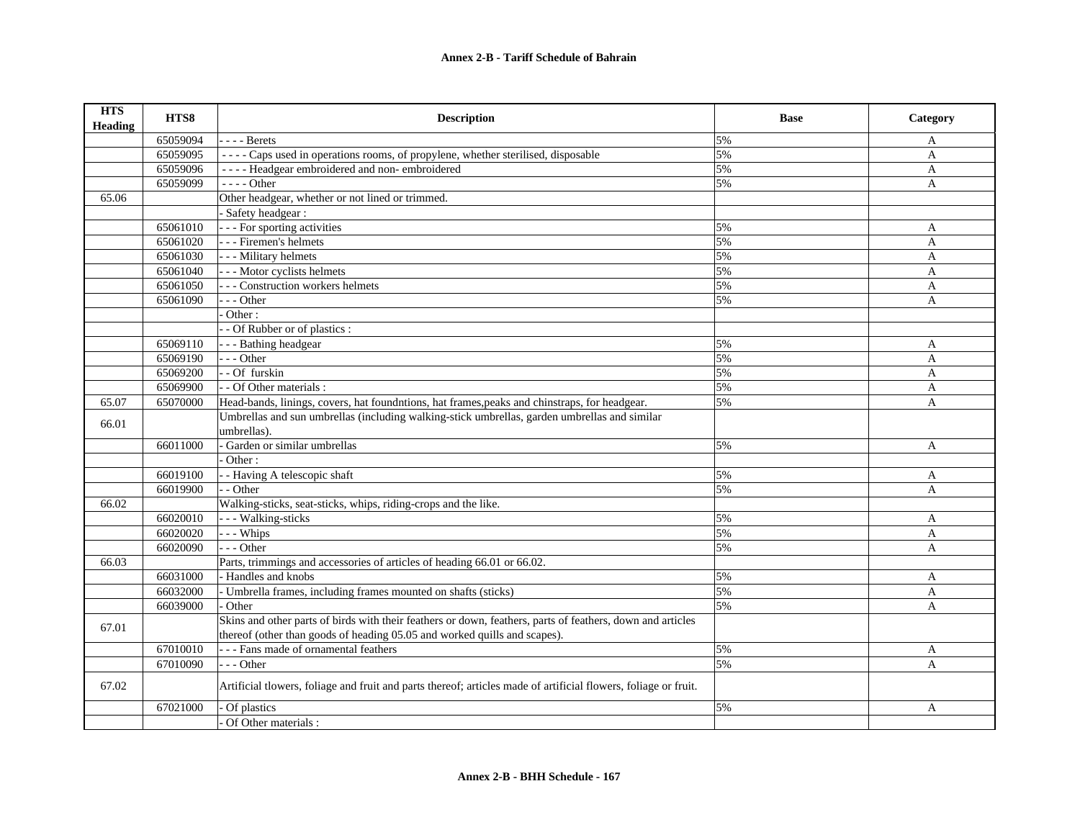| <b>HTS</b><br><b>Heading</b> | HTS8     | <b>Description</b>                                                                                              | <b>Base</b> | Category     |
|------------------------------|----------|-----------------------------------------------------------------------------------------------------------------|-------------|--------------|
|                              | 65059094 | $--$ Berets                                                                                                     | 5%          | A            |
|                              | 65059095 | ---- Caps used in operations rooms, of propylene, whether sterilised, disposable                                | 5%          | $\mathbf{A}$ |
|                              | 65059096 | ---- Headgear embroidered and non-embroidered                                                                   | 5%          | $\mathbf{A}$ |
|                              | 65059099 | $\overline{\phantom{a}---}$ Other                                                                               | 5%          | $\mathbf{A}$ |
| 65.06                        |          | Other headgear, whether or not lined or trimmed.                                                                |             |              |
|                              |          | Safety headgear:                                                                                                |             |              |
|                              | 65061010 | - - - For sporting activities                                                                                   | 5%          | A            |
|                              | 65061020 | - - Firemen's helmets                                                                                           | 5%          | A            |
|                              | 65061030 | - - - Military helmets                                                                                          | 5%          | A            |
|                              | 65061040 | - - - Motor cyclists helmets                                                                                    | 5%          | A            |
|                              | 65061050 | - - - Construction workers helmets                                                                              | 5%          | A            |
|                              | 65061090 | - - Other                                                                                                       | 5%          | A            |
|                              |          | Other:                                                                                                          |             |              |
|                              |          | - Of Rubber or of plastics :                                                                                    |             |              |
|                              | 65069110 | -- Bathing headgear                                                                                             | 5%          | A            |
|                              | 65069190 | - - Other                                                                                                       | 5%          | A            |
|                              | 65069200 | - Of furskin                                                                                                    | 5%          | A            |
|                              | 65069900 | - - Of Other materials :                                                                                        | 5%          | $\mathbf{A}$ |
| 65.07                        | 65070000 | Head-bands, linings, covers, hat foundntions, hat frames, peaks and chinstraps, for headgear.                   | 5%          | $\mathbf{A}$ |
| 66.01                        |          | Umbrellas and sun umbrellas (including walking-stick umbrellas, garden umbrellas and similar                    |             |              |
|                              |          | umbrellas).                                                                                                     |             |              |
|                              | 66011000 | Garden or similar umbrellas                                                                                     | 5%          | A            |
|                              |          | Other:                                                                                                          |             |              |
|                              | 66019100 | - Having A telescopic shaft                                                                                     | 5%          | A            |
|                              | 66019900 | $-$ Other                                                                                                       | 5%          | A            |
| 66.02                        |          | Walking-sticks, seat-sticks, whips, riding-crops and the like.                                                  |             |              |
|                              | 66020010 | - - - Walking-sticks                                                                                            | 5%          | A            |
|                              | 66020020 | - - Whips                                                                                                       | 5%          | A            |
|                              | 66020090 | $- -$ Other                                                                                                     | 5%          | A            |
| 66.03                        |          | Parts, trimmings and accessories of articles of heading 66.01 or 66.02.                                         |             |              |
|                              | 66031000 | - Handles and knobs                                                                                             | 5%          | $\mathbf{A}$ |
|                              | 66032000 | Umbrella frames, including frames mounted on shafts (sticks)                                                    | 5%          | A            |
|                              | 66039000 | Other                                                                                                           | 5%          | $\mathbf{A}$ |
| 67.01                        |          | Skins and other parts of birds with their feathers or down, feathers, parts of feathers, down and articles      |             |              |
|                              |          | thereof (other than goods of heading 05.05 and worked quills and scapes).                                       |             |              |
|                              | 67010010 | - - - Fans made of ornamental feathers                                                                          | 5%          | A            |
|                              | 67010090 | - - Other                                                                                                       | 5%          | A            |
| 67.02                        |          | Artificial tlowers, foliage and fruit and parts thereof; articles made of artificial flowers, foliage or fruit. |             |              |
|                              | 67021000 | Of plastics                                                                                                     | 5%          | A            |
|                              |          | Of Other materials :                                                                                            |             |              |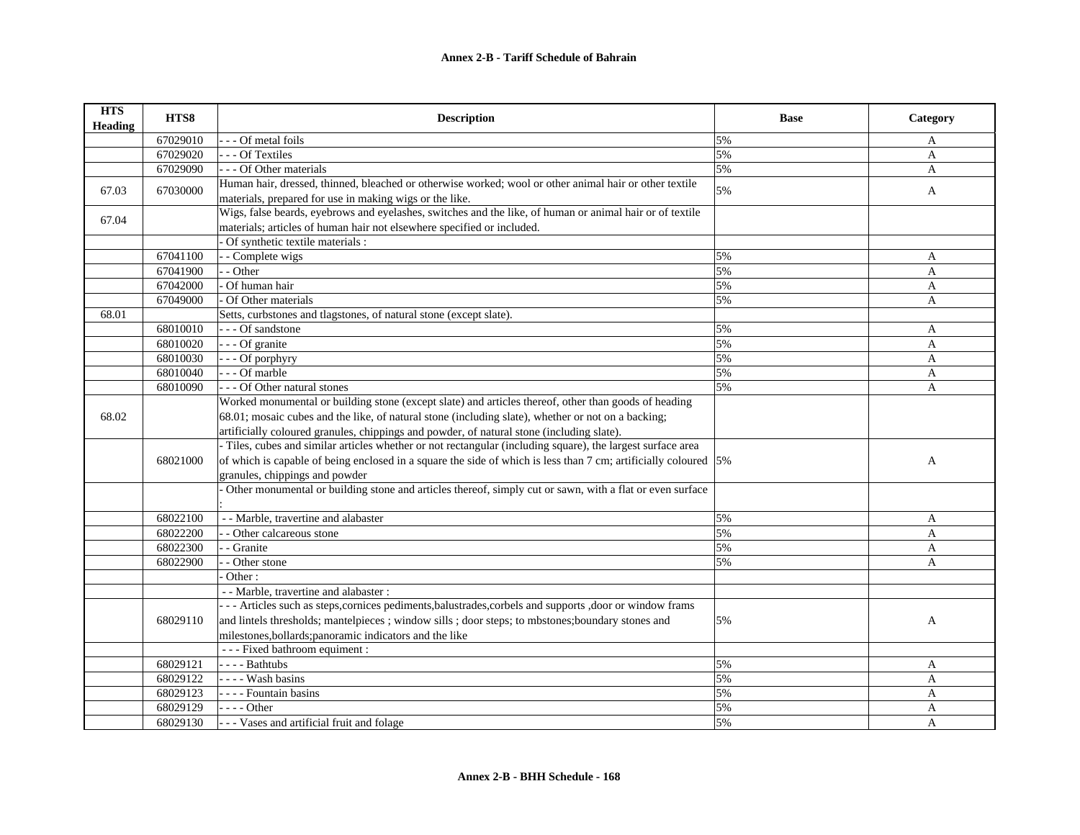| <b>HTS</b><br><b>Heading</b> | HTS8     | <b>Description</b>                                                                                                                                                                 | <b>Base</b> | Category     |
|------------------------------|----------|------------------------------------------------------------------------------------------------------------------------------------------------------------------------------------|-------------|--------------|
|                              | 67029010 | Of metal foils                                                                                                                                                                     | 5%          | A            |
|                              | 67029020 | - - Of Textiles                                                                                                                                                                    | 5%          | $\mathbf{A}$ |
|                              | 67029090 | - - - Of Other materials                                                                                                                                                           | 5%          | A            |
| 67.03                        | 67030000 | Human hair, dressed, thinned, bleached or otherwise worked; wool or other animal hair or other textile                                                                             | 5%          | A            |
|                              |          | materials, prepared for use in making wigs or the like.                                                                                                                            |             |              |
| 67.04                        |          | Wigs, false beards, eyebrows and eyelashes, switches and the like, of human or animal hair or of textile<br>materials; articles of human hair not elsewhere specified or included. |             |              |
|                              |          | Of synthetic textile materials :                                                                                                                                                   |             |              |
|                              | 67041100 | - Complete wigs                                                                                                                                                                    | 5%          | A            |
|                              | 67041900 | - Other                                                                                                                                                                            | 5%          | A            |
|                              | 67042000 | Of human hair                                                                                                                                                                      | 5%          |              |
|                              |          | Of Other materials                                                                                                                                                                 |             | A            |
| 68.01                        | 67049000 | Setts, curbstones and tlagstones, of natural stone (except slate).                                                                                                                 | 5%          | A            |
|                              | 68010010 | --- Of sandstone                                                                                                                                                                   | 5%          |              |
|                              | 68010020 | $\overline{\cdot}$ - - Of granite                                                                                                                                                  | 5%          | A            |
|                              |          |                                                                                                                                                                                    |             | A            |
|                              | 68010030 | - Of porphyry<br>$-$ - Of marble                                                                                                                                                   | 5%          | $\mathbf{A}$ |
|                              | 68010040 |                                                                                                                                                                                    | 5%          | A            |
|                              | 68010090 | - - - Of Other natural stones                                                                                                                                                      | 5%          | A            |
|                              |          | Worked monumental or building stone (except slate) and articles thereof, other than goods of heading                                                                               |             |              |
| 68.02                        |          | 68.01; mosaic cubes and the like, of natural stone (including slate), whether or not on a backing;                                                                                 |             |              |
|                              |          | artificially coloured granules, chippings and powder, of natural stone (including slate).                                                                                          |             |              |
|                              |          | - Tiles, cubes and similar articles whether or not rectangular (including square), the largest surface area                                                                        |             |              |
|                              | 68021000 | of which is capable of being enclosed in a square the side of which is less than 7 cm; artificially coloured $\left 5\% \right $                                                   |             | A            |
|                              |          | granules, chippings and powder                                                                                                                                                     |             |              |
|                              |          | Other monumental or building stone and articles thereof, simply cut or sawn, with a flat or even surface                                                                           |             |              |
|                              | 68022100 | - - Marble, travertine and alabaster                                                                                                                                               | 5%          | A            |
|                              | 68022200 | - Other calcareous stone                                                                                                                                                           | 5%          | A            |
|                              | 68022300 | - Granite                                                                                                                                                                          | 5%          | A            |
|                              | 68022900 | - Other stone                                                                                                                                                                      | 5%          | A            |
|                              |          | Other:                                                                                                                                                                             |             |              |
|                              |          | - - Marble, travertine and alabaster :                                                                                                                                             |             |              |
|                              |          | --- Articles such as steps, cornices pediments, balustrades, corbels and supports, door or window frams                                                                            |             |              |
|                              | 68029110 | and lintels thresholds; mantelpieces ; window sills ; door steps; to mbstones; boundary stones and                                                                                 | 5%          | $\mathbf{A}$ |
|                              |          | milestones, bollards; panoramic indicators and the like                                                                                                                            |             |              |
|                              |          | --- Fixed bathroom equiment :                                                                                                                                                      |             |              |
|                              | 68029121 | ---- Bathtubs                                                                                                                                                                      | 5%          | A            |
|                              | 68029122 | - - - - Wash basins                                                                                                                                                                | 5%          | $\mathbf{A}$ |
|                              | 68029123 | - - - - Fountain basins                                                                                                                                                            | 5%          | $\mathbf{A}$ |
|                              | 68029129 | $- - -$ Other                                                                                                                                                                      | 5%          | A            |
|                              | 68029130 | - - - Vases and artificial fruit and folage                                                                                                                                        | 5%          | $\mathbf{A}$ |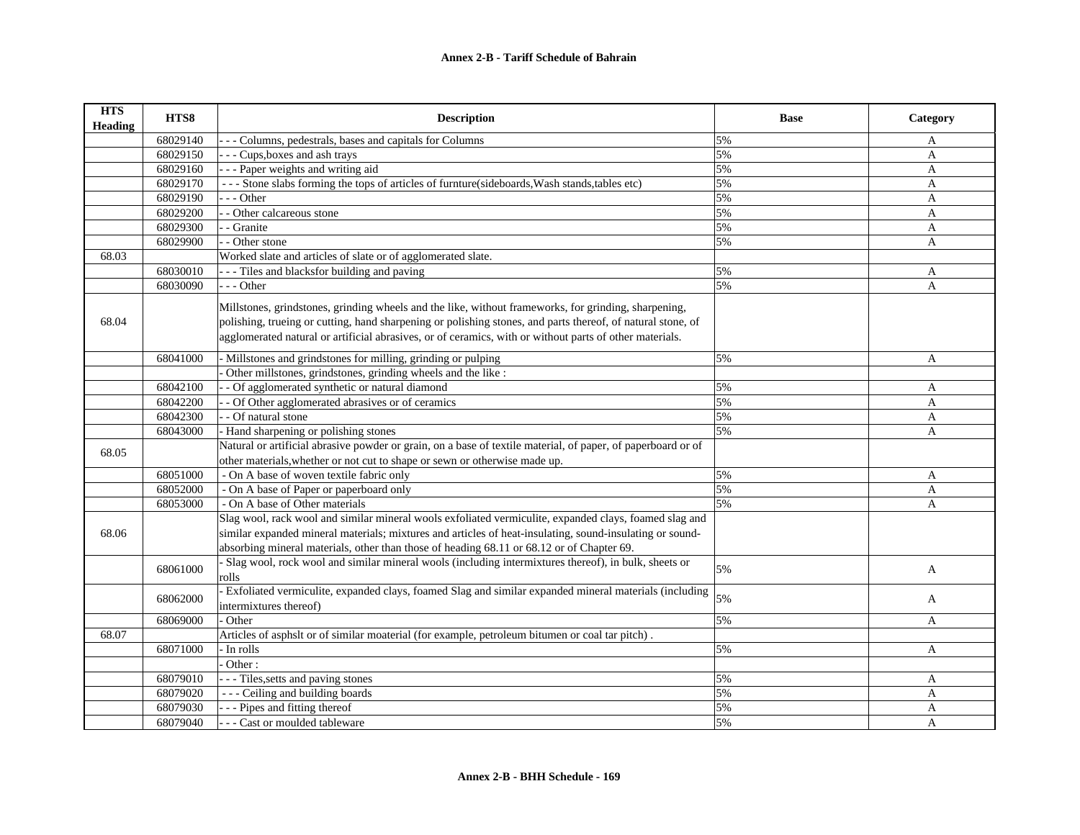| <b>HTS</b><br><b>Heading</b> | HTS8     | <b>Description</b>                                                                                                                                                                                                                                                                                                             | <b>Base</b> | Category     |
|------------------------------|----------|--------------------------------------------------------------------------------------------------------------------------------------------------------------------------------------------------------------------------------------------------------------------------------------------------------------------------------|-------------|--------------|
|                              | 68029140 | Columns, pedestrals, bases and capitals for Columns                                                                                                                                                                                                                                                                            | 5%          | A            |
|                              | 68029150 | - - Cups, boxes and ash trays                                                                                                                                                                                                                                                                                                  | 5%          | $\mathbf{A}$ |
|                              | 68029160 | - - Paper weights and writing aid                                                                                                                                                                                                                                                                                              | 5%          | $\mathbf{A}$ |
|                              | 68029170 | --- Stone slabs forming the tops of articles of furnture(sideboards, Wash stands, tables etc)                                                                                                                                                                                                                                  | 5%          | $\mathbf{A}$ |
|                              | 68029190 | - - - Other                                                                                                                                                                                                                                                                                                                    | 5%          | $\mathbf{A}$ |
|                              | 68029200 | - Other calcareous stone                                                                                                                                                                                                                                                                                                       | 5%          | A            |
|                              | 68029300 | - Granite                                                                                                                                                                                                                                                                                                                      | 5%          | $\mathbf{A}$ |
|                              | 68029900 | - Other stone                                                                                                                                                                                                                                                                                                                  | 5%          | $\mathbf{A}$ |
| 68.03                        |          | Worked slate and articles of slate or of agglomerated slate.                                                                                                                                                                                                                                                                   |             |              |
|                              | 68030010 | - - - Tiles and blacksfor building and paving                                                                                                                                                                                                                                                                                  | 5%          | A            |
|                              | 68030090 | --- Other                                                                                                                                                                                                                                                                                                                      | 5%          | $\mathbf{A}$ |
| 68.04                        |          | Millstones, grindstones, grinding wheels and the like, without frameworks, for grinding, sharpening,<br>polishing, trueing or cutting, hand sharpening or polishing stones, and parts thereof, of natural stone, of<br>agglomerated natural or artificial abrasives, or of ceramics, with or without parts of other materials. |             |              |
|                              |          |                                                                                                                                                                                                                                                                                                                                |             |              |
|                              | 68041000 | Millstones and grindstones for milling, grinding or pulping                                                                                                                                                                                                                                                                    | 5%          | $\mathbf{A}$ |
|                              |          | Other millstones, grindstones, grinding wheels and the like :                                                                                                                                                                                                                                                                  |             |              |
|                              | 68042100 | - Of agglomerated synthetic or natural diamond                                                                                                                                                                                                                                                                                 | 5%          | A            |
|                              | 68042200 | - Of Other agglomerated abrasives or of ceramics                                                                                                                                                                                                                                                                               | 5%          | A            |
|                              | 68042300 | - Of natural stone                                                                                                                                                                                                                                                                                                             | 5%          | $\mathbf{A}$ |
|                              | 68043000 | - Hand sharpening or polishing stones                                                                                                                                                                                                                                                                                          | 5%          | A            |
| 68.05                        |          | Natural or artificial abrasive powder or grain, on a base of textile material, of paper, of paperboard or of<br>other materials, whether or not cut to shape or sewn or otherwise made up.                                                                                                                                     |             |              |
|                              | 68051000 | - On A base of woven textile fabric only                                                                                                                                                                                                                                                                                       | 5%          | A            |
|                              | 68052000 | - On A base of Paper or paperboard only                                                                                                                                                                                                                                                                                        | 5%          | $\mathbf{A}$ |
|                              | 68053000 | - On A base of Other materials                                                                                                                                                                                                                                                                                                 | 5%          | $\mathbf{A}$ |
|                              |          | Slag wool, rack wool and similar mineral wools exfoliated vermiculite, expanded clays, foamed slag and                                                                                                                                                                                                                         |             |              |
| 68.06                        |          | similar expanded mineral materials; mixtures and articles of heat-insulating, sound-insulating or sound-                                                                                                                                                                                                                       |             |              |
|                              |          | absorbing mineral materials, other than those of heading 68.11 or 68.12 or of Chapter 69.                                                                                                                                                                                                                                      |             |              |
|                              | 68061000 | - Slag wool, rock wool and similar mineral wools (including intermixtures thereof), in bulk, sheets or<br>rolls                                                                                                                                                                                                                | 5%          | A            |
|                              | 68062000 | - Exfoliated vermiculite, expanded clays, foamed Slag and similar expanded mineral materials (including<br>intermixtures thereof)                                                                                                                                                                                              | 5%          | A            |
|                              | 68069000 | Other                                                                                                                                                                                                                                                                                                                          | 5%          | $\mathbf{A}$ |
| 68.07                        |          | Articles of asphslt or of similar moaterial (for example, petroleum bitumen or coal tar pitch).                                                                                                                                                                                                                                |             |              |
|                              | 68071000 | - In rolls                                                                                                                                                                                                                                                                                                                     | 5%          | A            |
|                              |          | Other:                                                                                                                                                                                                                                                                                                                         |             |              |
|                              | 68079010 | - - - Tiles, setts and paving stones                                                                                                                                                                                                                                                                                           | 5%          | A            |
|                              | 68079020 | --- Ceiling and building boards                                                                                                                                                                                                                                                                                                | 5%          | A            |
|                              | 68079030 | - - - Pipes and fitting thereof                                                                                                                                                                                                                                                                                                | 5%          | A            |
|                              | 68079040 | - - Cast or moulded tableware                                                                                                                                                                                                                                                                                                  | 5%          | $\mathbf{A}$ |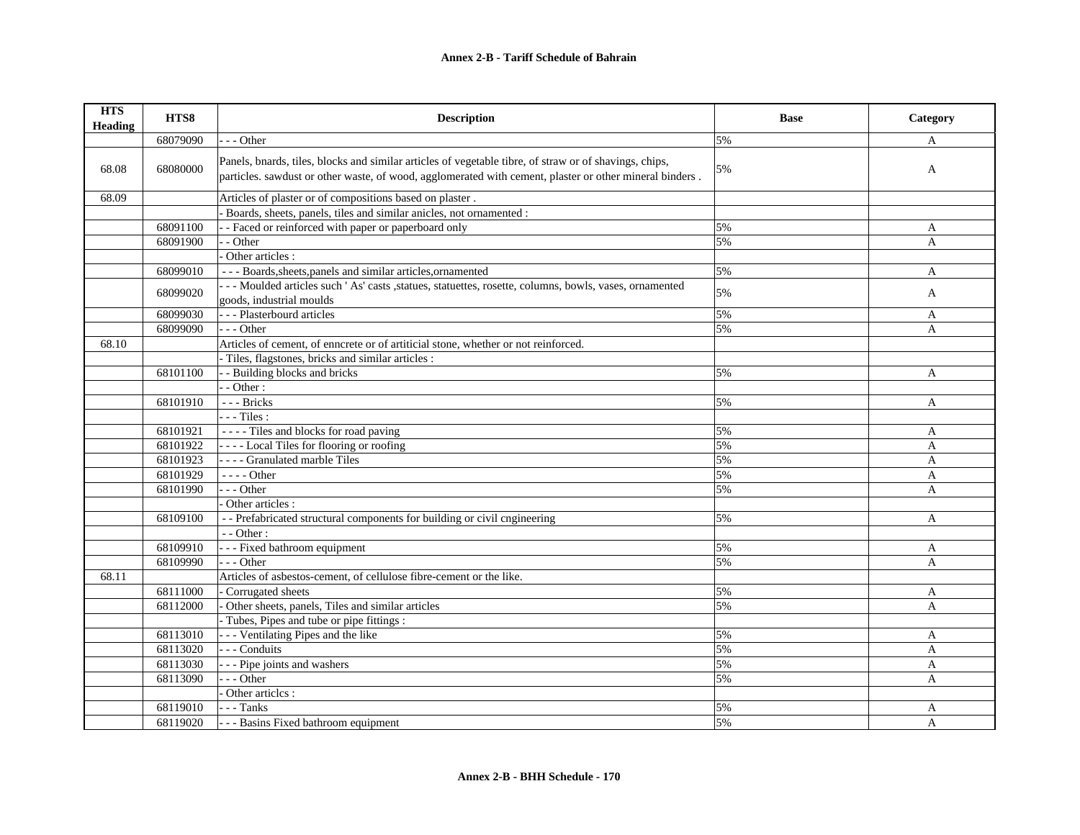| <b>HTS</b><br><b>Heading</b> | HTS8     | <b>Description</b>                                                                                                                                                                                                | <b>Base</b> | Category     |
|------------------------------|----------|-------------------------------------------------------------------------------------------------------------------------------------------------------------------------------------------------------------------|-------------|--------------|
|                              | 68079090 | $-$ - Other                                                                                                                                                                                                       | 5%          | A            |
| 68.08                        | 68080000 | Panels, bnards, tiles, blocks and similar articles of vegetable tibre, of straw or of shavings, chips,<br>particles. sawdust or other waste, of wood, agglomerated with cement, plaster or other mineral binders. | 5%          | A            |
| 68.09                        |          | Articles of plaster or of compositions based on plaster.                                                                                                                                                          |             |              |
|                              |          | Boards, sheets, panels, tiles and similar anicles, not ornamented :                                                                                                                                               |             |              |
|                              | 68091100 | - - Faced or reinforced with paper or paperboard only                                                                                                                                                             | 5%          | A            |
|                              | 68091900 | - Other                                                                                                                                                                                                           | 5%          | A            |
|                              |          | Other articles :                                                                                                                                                                                                  |             |              |
|                              | 68099010 | --- Boards, sheets, panels and similar articles, ornamented                                                                                                                                                       | 5%          | A            |
|                              | 68099020 | --- Moulded articles such 'As' casts , statues, statuettes, rosette, columns, bowls, vases, ornamented<br>goods, industrial moulds                                                                                | 5%          | A            |
|                              | 68099030 | --- Plasterbourd articles                                                                                                                                                                                         | 5%          | A            |
|                              | 68099090 | $- -$ Other                                                                                                                                                                                                       | 5%          | A            |
| 68.10                        |          | Articles of cement, of enncrete or of artiticial stone, whether or not reinforced.                                                                                                                                |             |              |
|                              |          | Tiles, flagstones, bricks and similar articles :                                                                                                                                                                  |             |              |
|                              | 68101100 | - Building blocks and bricks                                                                                                                                                                                      | 5%          | A            |
|                              |          | - Other:                                                                                                                                                                                                          |             |              |
|                              | 68101910 | --- Bricks                                                                                                                                                                                                        | 5%          | A            |
|                              |          | $- -$ Tiles :                                                                                                                                                                                                     |             |              |
|                              | 68101921 | ---- Tiles and blocks for road paving                                                                                                                                                                             | 5%          | A            |
|                              | 68101922 | ---- Local Tiles for flooring or roofing                                                                                                                                                                          | 5%          | A            |
|                              | 68101923 | - - - - Granulated marble Tiles                                                                                                                                                                                   | 5%          | $\mathbf{A}$ |
|                              | 68101929 | $--- Other$                                                                                                                                                                                                       | 5%          | A            |
|                              | 68101990 | --- Other                                                                                                                                                                                                         | 5%          | A            |
|                              |          | Other articles :                                                                                                                                                                                                  |             |              |
|                              | 68109100 | -- Prefabricated structural components for building or civil cngineering                                                                                                                                          | 5%          | A            |
|                              |          | - - Other:                                                                                                                                                                                                        |             |              |
|                              | 68109910 | - - - Fixed bathroom equipment                                                                                                                                                                                    | 5%          | A            |
|                              | 68109990 | $- -$ Other                                                                                                                                                                                                       | 5%          | A            |
| 68.11                        |          | Articles of asbestos-cement, of cellulose fibre-cement or the like.                                                                                                                                               |             |              |
|                              | 68111000 | - Corrugated sheets                                                                                                                                                                                               | 5%          | A            |
|                              | 68112000 | Other sheets, panels, Tiles and similar articles                                                                                                                                                                  | 5%          | A            |
|                              |          | Tubes, Pipes and tube or pipe fittings :                                                                                                                                                                          |             |              |
|                              | 68113010 | - - - Ventilating Pipes and the like                                                                                                                                                                              | 5%          | A            |
|                              | 68113020 | - - - Conduits                                                                                                                                                                                                    | 5%          | A            |
|                              | 68113030 | - - - Pipe joints and washers                                                                                                                                                                                     | 5%          | $\mathbf{A}$ |
|                              | 68113090 | $- -$ Other                                                                                                                                                                                                       | 5%          | $\mathsf{A}$ |
|                              |          | Other articles :                                                                                                                                                                                                  |             |              |
|                              | 68119010 | - - - Tanks                                                                                                                                                                                                       | 5%          | A            |
|                              | 68119020 | - - - Basins Fixed bathroom equipment                                                                                                                                                                             | 5%          | $\mathbf{A}$ |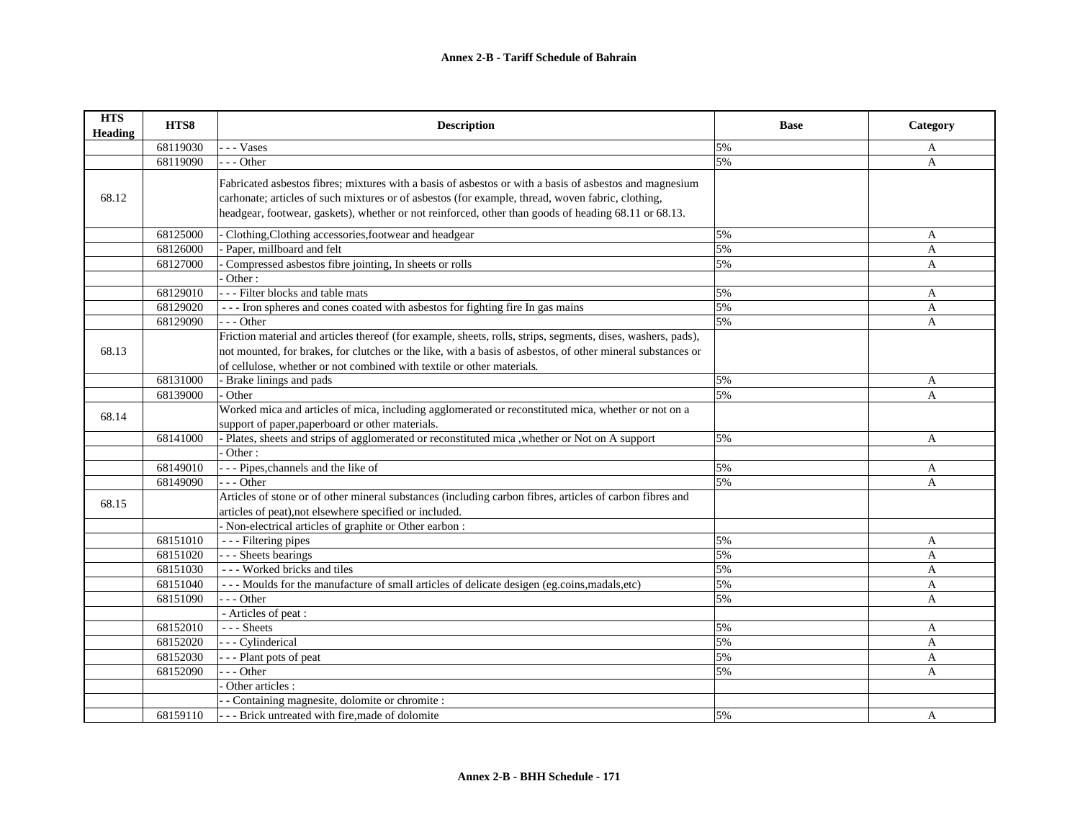| <b>HTS</b><br><b>Heading</b> | HTS8     | <b>Description</b>                                                                                                                                                                                                                                                                                                   | <b>Base</b> | Category     |
|------------------------------|----------|----------------------------------------------------------------------------------------------------------------------------------------------------------------------------------------------------------------------------------------------------------------------------------------------------------------------|-------------|--------------|
|                              | 68119030 | - - Vases                                                                                                                                                                                                                                                                                                            | 5%          | A            |
|                              | 68119090 | - - Other                                                                                                                                                                                                                                                                                                            | 5%          | A            |
| 68.12                        |          | Fabricated asbestos fibres; mixtures with a basis of asbestos or with a basis of asbestos and magnesium<br>carhonate; articles of such mixtures or of asbestos (for example, thread, woven fabric, clothing,<br>headgear, footwear, gaskets), whether or not reinforced, other than goods of heading 68.11 or 68.13. |             |              |
|                              | 68125000 | Clothing, Clothing accessories, footwear and headgear                                                                                                                                                                                                                                                                | 5%          | A            |
|                              | 68126000 | Paper, millboard and felt                                                                                                                                                                                                                                                                                            | 5%          | A            |
|                              | 68127000 | Compressed asbestos fibre jointing, In sheets or rolls                                                                                                                                                                                                                                                               | 5%          | A            |
|                              |          | Other:                                                                                                                                                                                                                                                                                                               |             |              |
|                              | 68129010 | - - - Filter blocks and table mats                                                                                                                                                                                                                                                                                   | 5%          | A            |
|                              | 68129020 | --- Iron spheres and cones coated with asbestos for fighting fire In gas mains                                                                                                                                                                                                                                       | 5%          | A            |
|                              | 68129090 | --- Other                                                                                                                                                                                                                                                                                                            | 5%          | $\mathbf{A}$ |
|                              |          | Friction material and articles thereof (for example, sheets, rolls, strips, segments, dises, washers, pads),                                                                                                                                                                                                         |             |              |
| 68.13                        |          | not mounted, for brakes, for clutches or the like, with a basis of asbestos, of other mineral substances or<br>of cellulose, whether or not combined with textile or other materials.                                                                                                                                |             |              |
|                              | 68131000 | - Brake linings and pads                                                                                                                                                                                                                                                                                             | 5%          | A            |
|                              | 68139000 | Other                                                                                                                                                                                                                                                                                                                | 5%          | A            |
| 68.14                        |          | Worked mica and articles of mica, including agglomerated or reconstituted mica, whether or not on a<br>support of paper, paperboard or other materials.                                                                                                                                                              |             |              |
|                              | 68141000 | Plates, sheets and strips of agglomerated or reconstituted mica , whether or Not on A support                                                                                                                                                                                                                        | 5%          | A            |
|                              |          | Other:                                                                                                                                                                                                                                                                                                               |             |              |
|                              | 68149010 | --- Pipes, channels and the like of                                                                                                                                                                                                                                                                                  | 5%          | A            |
|                              | 68149090 | $-$ - Other                                                                                                                                                                                                                                                                                                          | 5%          | A            |
| 68.15                        |          | Articles of stone or of other mineral substances (including carbon fibres, articles of carbon fibres and<br>articles of peat), not elsewhere specified or included.<br>- Non-electrical articles of graphite or Other earbon :                                                                                       |             |              |
|                              | 68151010 | --- Filtering pipes                                                                                                                                                                                                                                                                                                  | 5%          | A            |
|                              | 68151020 | - - - Sheets bearings                                                                                                                                                                                                                                                                                                | 5%          | A            |
|                              | 68151030 | --- Worked bricks and tiles                                                                                                                                                                                                                                                                                          | 5%          | A            |
|                              | 68151040 | --- Moulds for the manufacture of small articles of delicate desigen (eg.coins, madals, etc)                                                                                                                                                                                                                         | 5%          | A            |
|                              | 68151090 | $-$ - Other                                                                                                                                                                                                                                                                                                          | 5%          | $\mathbf{A}$ |
|                              |          | - Articles of peat :                                                                                                                                                                                                                                                                                                 |             |              |
|                              | 68152010 | $--$ Sheets                                                                                                                                                                                                                                                                                                          | 5%          | A            |
|                              | 68152020 | - - Cylinderical                                                                                                                                                                                                                                                                                                     | 5%          | A            |
|                              | 68152030 | -- Plant pots of peat                                                                                                                                                                                                                                                                                                | 5%          | A            |
|                              | 68152090 | $-$ - Other                                                                                                                                                                                                                                                                                                          | 5%          | A            |
|                              |          | Other articles :                                                                                                                                                                                                                                                                                                     |             |              |
|                              |          | - Containing magnesite, dolomite or chromite :                                                                                                                                                                                                                                                                       |             |              |
|                              | 68159110 | - - Brick untreated with fire, made of dolomite                                                                                                                                                                                                                                                                      | 5%          | A            |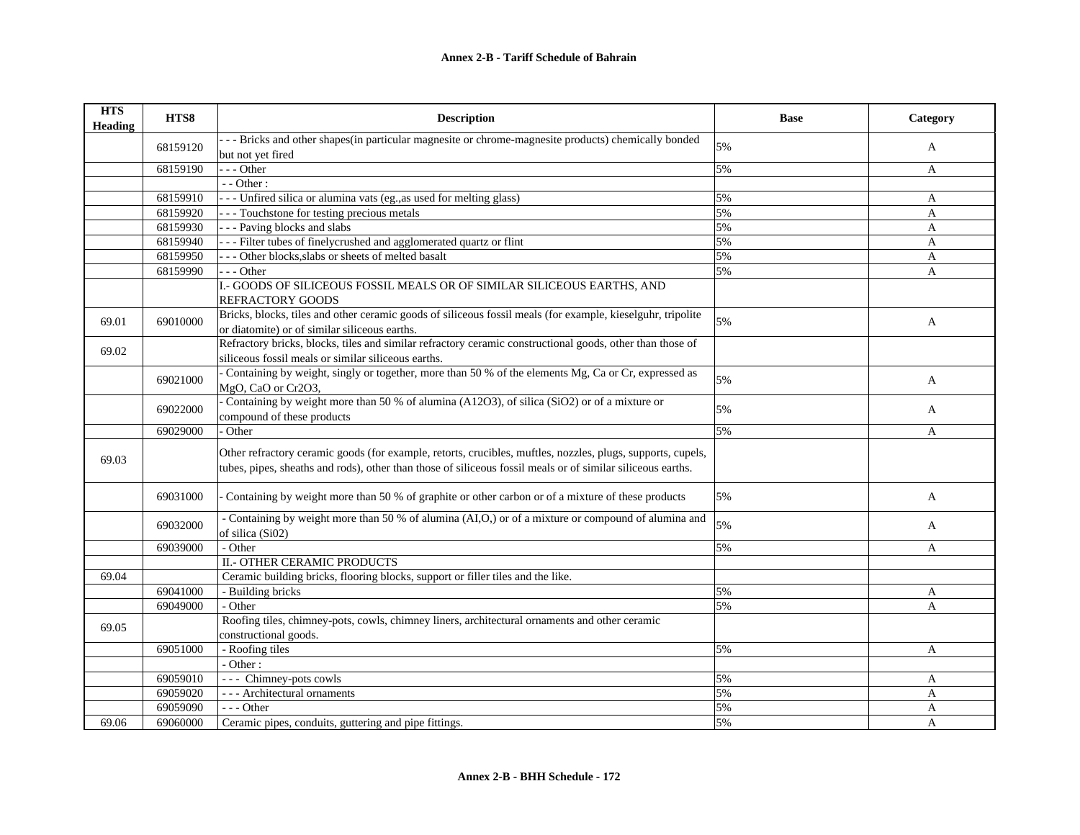| <b>HTS</b><br><b>Heading</b> | HTS8     | <b>Description</b>                                                                                                                                                                                                         | <b>Base</b> | Category     |
|------------------------------|----------|----------------------------------------------------------------------------------------------------------------------------------------------------------------------------------------------------------------------------|-------------|--------------|
|                              |          | - - Bricks and other shapes(in particular magnesite or chrome-magnesite products) chemically bonded                                                                                                                        | 5%          |              |
|                              | 68159120 | but not yet fired                                                                                                                                                                                                          |             | A            |
|                              | 68159190 | - - Other                                                                                                                                                                                                                  | 5%          | A            |
|                              |          | - - Other:                                                                                                                                                                                                                 |             |              |
|                              | 68159910 | --- Unfired silica or alumina vats (eg., as used for melting glass)                                                                                                                                                        | 5%          | A            |
|                              | 68159920 | --- Touchstone for testing precious metals                                                                                                                                                                                 | 5%          | A            |
|                              | 68159930 | -- Paving blocks and slabs                                                                                                                                                                                                 | 5%          | A            |
|                              | 68159940 | -- Filter tubes of finelycrushed and agglomerated quartz or flint                                                                                                                                                          | 5%          | A            |
|                              | 68159950 | - - Other blocks, slabs or sheets of melted basalt                                                                                                                                                                         | 5%          | A            |
|                              | 68159990 | --- Other                                                                                                                                                                                                                  | 5%          | A            |
|                              |          | I.- GOODS OF SILICEOUS FOSSIL MEALS OR OF SIMILAR SILICEOUS EARTHS, AND                                                                                                                                                    |             |              |
|                              |          | REFRACTORY GOODS                                                                                                                                                                                                           |             |              |
| 69.01                        | 69010000 | Bricks, blocks, tiles and other ceramic goods of siliceous fossil meals (for example, kieselguhr, tripolite<br>or diatomite) or of similar siliceous earths.                                                               | 5%          | A            |
| 69.02                        |          | Refractory bricks, blocks, tiles and similar refractory ceramic constructional goods, other than those of<br>siliceous fossil meals or similar siliceous earths.                                                           |             |              |
|                              | 69021000 | - Containing by weight, singly or together, more than 50 % of the elements Mg, Ca or Cr, expressed as<br>MgO, CaO or Cr2O3,                                                                                                | 5%          | A            |
|                              | 69022000 | Containing by weight more than 50 % of alumina (A12O3), of silica (SiO2) or of a mixture or<br>compound of these products                                                                                                  | 5%          | A            |
|                              | 69029000 | Other                                                                                                                                                                                                                      | 5%          | A            |
| 69.03                        |          | Other refractory ceramic goods (for example, retorts, crucibles, muftles, nozzles, plugs, supports, cupels,<br>tubes, pipes, sheaths and rods), other than those of siliceous fossil meals or of similar siliceous earths. |             |              |
|                              | 69031000 | Containing by weight more than 50 % of graphite or other carbon or of a mixture of these products                                                                                                                          | 5%          | $\mathbf{A}$ |
|                              | 69032000 | - Containing by weight more than 50 % of alumina (AI,O,) or of a mixture or compound of alumina and<br>of silica (Si02)                                                                                                    | 5%          | $\mathbf{A}$ |
|                              | 69039000 | - Other                                                                                                                                                                                                                    | 5%          | A            |
|                              |          | II.- OTHER CERAMIC PRODUCTS                                                                                                                                                                                                |             |              |
| 69.04                        |          | Ceramic building bricks, flooring blocks, support or filler tiles and the like.                                                                                                                                            |             |              |
|                              | 69041000 | - Building bricks                                                                                                                                                                                                          | 5%          | A            |
|                              | 69049000 | - Other                                                                                                                                                                                                                    | 5%          | A            |
| 69.05                        |          | Roofing tiles, chimney-pots, cowls, chimney liners, architectural ornaments and other ceramic<br>constructional goods.                                                                                                     |             |              |
|                              | 69051000 | - Roofing tiles                                                                                                                                                                                                            | 5%          | A            |
|                              |          | - Other:                                                                                                                                                                                                                   |             |              |
|                              | 69059010 | --- Chimney-pots cowls                                                                                                                                                                                                     | 5%          | A            |
|                              | 69059020 | - - - Architectural ornaments                                                                                                                                                                                              | 5%          | $\mathbf{A}$ |
|                              | 69059090 | $- -$ Other                                                                                                                                                                                                                | 5%          | A            |
| 69.06                        | 69060000 | Ceramic pipes, conduits, guttering and pipe fittings.                                                                                                                                                                      | 5%          | $\mathbf{A}$ |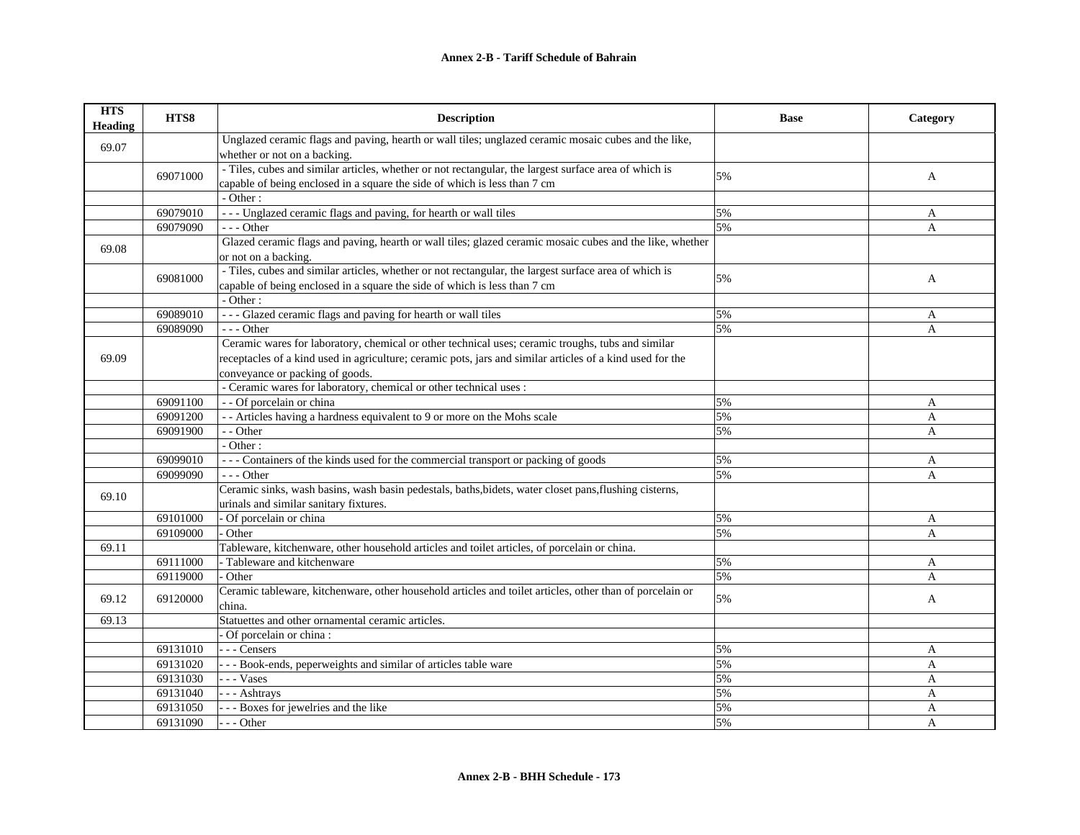| <b>HTS</b><br>Heading | HTS8     | <b>Description</b>                                                                                        | <b>Base</b> | Category |
|-----------------------|----------|-----------------------------------------------------------------------------------------------------------|-------------|----------|
| 69.07                 |          | Unglazed ceramic flags and paving, hearth or wall tiles; unglazed ceramic mosaic cubes and the like,      |             |          |
|                       |          | whether or not on a backing.                                                                              |             |          |
|                       | 69071000 | - Tiles, cubes and similar articles, whether or not rectangular, the largest surface area of which is     | 5%          | A        |
|                       |          | capable of being enclosed in a square the side of which is less than 7 cm                                 |             |          |
|                       |          | $-$ Other :                                                                                               |             |          |
|                       | 69079010 | --- Unglazed ceramic flags and paving, for hearth or wall tiles                                           | 5%          | A        |
|                       | 69079090 | $--- Other$                                                                                               | 5%          | A        |
| 69.08                 |          | Glazed ceramic flags and paving, hearth or wall tiles; glazed ceramic mosaic cubes and the like, whether  |             |          |
|                       |          | or not on a backing.                                                                                      |             |          |
|                       | 69081000 | - Tiles, cubes and similar articles, whether or not rectangular, the largest surface area of which is     | 5%          | A        |
|                       |          | capable of being enclosed in a square the side of which is less than 7 cm                                 |             |          |
|                       |          | - Other:                                                                                                  |             |          |
|                       | 69089010 | --- Glazed ceramic flags and paving for hearth or wall tiles                                              | 5%          | A        |
|                       | 69089090 | --- Other                                                                                                 | 5%          | A        |
|                       |          | Ceramic wares for laboratory, chemical or other technical uses; ceramic troughs, tubs and similar         |             |          |
| 69.09                 |          | receptacles of a kind used in agriculture; ceramic pots, jars and similar articles of a kind used for the |             |          |
|                       |          | conveyance or packing of goods.                                                                           |             |          |
|                       |          | - Ceramic wares for laboratory, chemical or other technical uses :                                        |             |          |
|                       | 69091100 | - - Of porcelain or china                                                                                 | 5%          | A        |
|                       | 69091200 | - - Articles having a hardness equivalent to 9 or more on the Mohs scale                                  | 5%          | A        |
|                       | 69091900 | - - Other                                                                                                 | 5%          | A        |
|                       |          | - Other:                                                                                                  |             |          |
|                       | 69099010 | --- Containers of the kinds used for the commercial transport or packing of goods                         | 5%          | A        |
|                       | 69099090 | $- -$ Other                                                                                               | 5%          | A        |
| 69.10                 |          | Ceramic sinks, wash basins, wash basin pedestals, baths, bidets, water closet pans, flushing cisterns,    |             |          |
|                       |          | urinals and similar sanitary fixtures.                                                                    |             |          |
|                       | 69101000 | - Of porcelain or china                                                                                   | 5%          | A        |
|                       | 69109000 | Other                                                                                                     | 5%          | A        |
| 69.11                 |          | Tableware, kitchenware, other household articles and toilet articles, of porcelain or china.              |             |          |
|                       | 69111000 | - Tableware and kitchenware                                                                               | 5%          | A        |
|                       | 69119000 | Other                                                                                                     | 5%          | A        |
| 69.12                 | 69120000 | Ceramic tableware, kitchenware, other household articles and toilet articles, other than of porcelain or  | 5%          | A        |
|                       |          | china.                                                                                                    |             |          |
| 69.13                 |          | Statuettes and other ornamental ceramic articles.                                                         |             |          |
|                       |          | - Of porcelain or china :                                                                                 |             |          |
|                       | 69131010 | --- Censers                                                                                               | 5%          | A        |
|                       | 69131020 | - - - Book-ends, peperweights and similar of articles table ware                                          | 5%          | A        |
|                       | 69131030 | $\vert$ - - - Vases                                                                                       | 5%          | A        |
|                       | 69131040 | --- Ashtrays                                                                                              | 5%          | A        |
|                       | 69131050 | --- Boxes for jewelries and the like                                                                      | 5%          | A        |
|                       | 69131090 | --- Other                                                                                                 | 5%          | A        |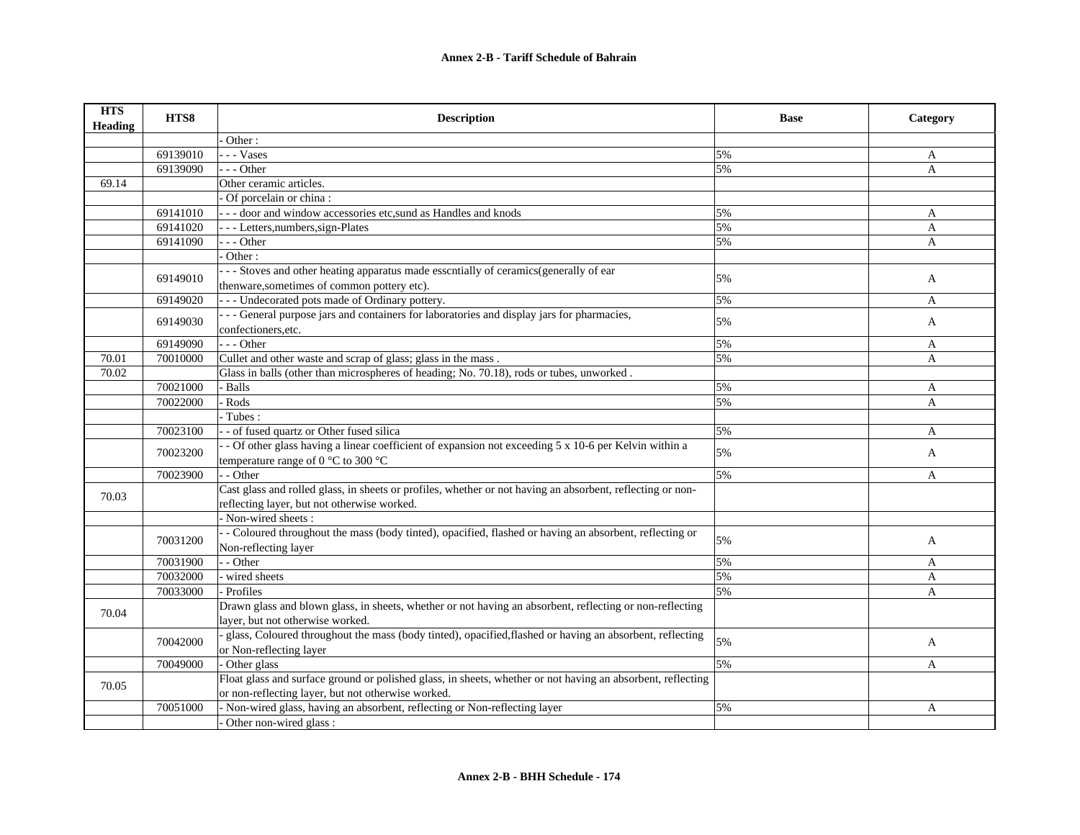| <b>HTS</b><br><b>Heading</b> | HTS8     | <b>Description</b>                                                                                                                                              | <b>Base</b> | Category     |
|------------------------------|----------|-----------------------------------------------------------------------------------------------------------------------------------------------------------------|-------------|--------------|
|                              |          | Other:                                                                                                                                                          |             |              |
|                              | 69139010 | - - Vases                                                                                                                                                       | 5%          | A            |
|                              | 69139090 | - - - Other                                                                                                                                                     | 5%          | A            |
| 69.14                        |          | Other ceramic articles.                                                                                                                                         |             |              |
|                              |          | Of porcelain or china:                                                                                                                                          |             |              |
|                              | 69141010 | --- door and window accessories etc,sund as Handles and knods                                                                                                   | 5%          | A            |
|                              | 69141020 | - - - Letters, numbers, sign-Plates                                                                                                                             | 5%          | A            |
|                              | 69141090 | - - Other                                                                                                                                                       | 5%          | A            |
|                              |          | Other:                                                                                                                                                          |             |              |
|                              |          | --- Stoves and other heating apparatus made esscntially of ceramics (generally of ear                                                                           |             |              |
|                              | 69149010 | thenware, sometimes of common pottery etc).                                                                                                                     | 5%          | $\mathbf{A}$ |
|                              | 69149020 | - - - Undecorated pots made of Ordinary pottery.                                                                                                                | 5%          | A            |
|                              |          | --- General purpose jars and containers for laboratories and display jars for pharmacies,                                                                       |             |              |
|                              | 69149030 | confectioners, etc.                                                                                                                                             | 5%          | A            |
|                              | 69149090 | $- -$ Other                                                                                                                                                     | 5%          | A            |
| 70.01                        | 70010000 | Cullet and other waste and scrap of glass; glass in the mass.                                                                                                   | 5%          | A            |
| 70.02                        |          | Glass in balls (other than microspheres of heading; No. 70.18), rods or tubes, unworked.                                                                        |             |              |
|                              | 70021000 | - Balls                                                                                                                                                         | 5%          | A            |
|                              | 70022000 | Rods                                                                                                                                                            | 5%          | A            |
|                              |          | Tubes:                                                                                                                                                          |             |              |
|                              | 70023100 | - of fused quartz or Other fused silica                                                                                                                         | 5%          | A            |
|                              | 70023200 | - Of other glass having a linear coefficient of expansion not exceeding 5 x 10-6 per Kelvin within a<br>temperature range of 0 $^{\circ}$ C to 300 $^{\circ}$ C | 5%          | A            |
|                              |          | - - Other                                                                                                                                                       | 5%          |              |
|                              | 70023900 |                                                                                                                                                                 |             | A            |
| 70.03                        |          | Cast glass and rolled glass, in sheets or profiles, whether or not having an absorbent, reflecting or non-                                                      |             |              |
|                              |          | reflecting layer, but not otherwise worked.                                                                                                                     |             |              |
|                              |          | - Non-wired sheets:                                                                                                                                             |             |              |
|                              | 70031200 | - Coloured throughout the mass (body tinted), opacified, flashed or having an absorbent, reflecting or<br>Non-reflecting layer                                  | 5%          | A            |
|                              | 70031900 | - Other                                                                                                                                                         | 5%          | A            |
|                              | 70032000 | wired sheets                                                                                                                                                    | 5%          | $\mathbf{A}$ |
|                              | 70033000 | Profiles                                                                                                                                                        | 5%          | A            |
|                              |          | Drawn glass and blown glass, in sheets, whether or not having an absorbent, reflecting or non-reflecting                                                        |             |              |
| 70.04                        |          | layer, but not otherwise worked.                                                                                                                                |             |              |
|                              |          | glass, Coloured throughout the mass (body tinted), opacified, flashed or having an absorbent, reflecting                                                        |             |              |
|                              | 70042000 | or Non-reflecting layer                                                                                                                                         | 5%          | A            |
|                              | 70049000 | Other glass                                                                                                                                                     | 5%          | A            |
|                              |          | Float glass and surface ground or polished glass, in sheets, whether or not having an absorbent, reflecting                                                     |             |              |
| 70.05                        |          | or non-reflecting layer, but not otherwise worked.                                                                                                              |             |              |
|                              | 70051000 | - Non-wired glass, having an absorbent, reflecting or Non-reflecting layer                                                                                      | 5%          | A            |
|                              |          | Other non-wired glass :                                                                                                                                         |             |              |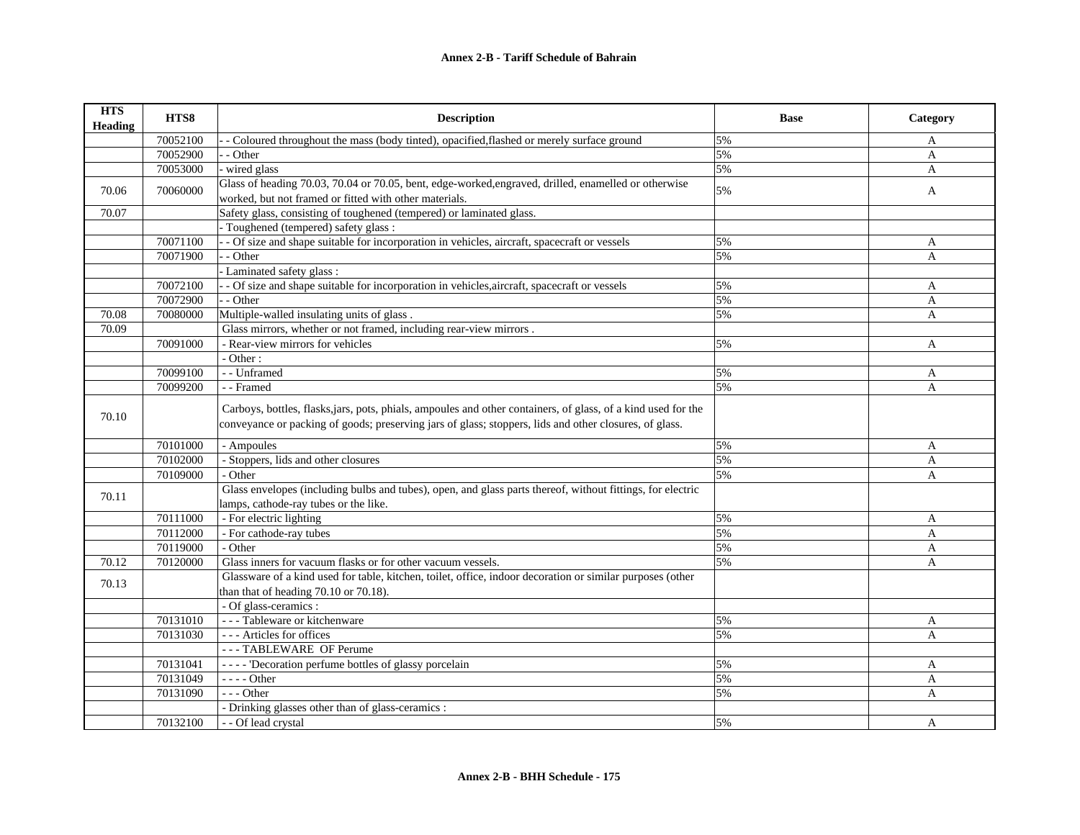| <b>HTS</b><br><b>Heading</b> | HTS8     | <b>Description</b>                                                                                                                                                                                                      | <b>Base</b> | Category     |
|------------------------------|----------|-------------------------------------------------------------------------------------------------------------------------------------------------------------------------------------------------------------------------|-------------|--------------|
|                              | 70052100 | - Coloured throughout the mass (body tinted), opacified, flashed or merely surface ground                                                                                                                               | 5%          | A            |
|                              | 70052900 | - - Other                                                                                                                                                                                                               | 5%          | A            |
|                              | 70053000 | wired glass                                                                                                                                                                                                             | 5%          | A            |
| 70.06                        | 70060000 | Glass of heading 70.03, 70.04 or 70.05, bent, edge-worked, engraved, drilled, enamelled or otherwise<br>worked, but not framed or fitted with other materials.                                                          | 5%          | A            |
| 70.07                        |          | Safety glass, consisting of toughened (tempered) or laminated glass.                                                                                                                                                    |             |              |
|                              |          | - Toughened (tempered) safety glass :                                                                                                                                                                                   |             |              |
|                              | 70071100 | - Of size and shape suitable for incorporation in vehicles, aircraft, spacecraft or vessels                                                                                                                             | 5%          | A            |
|                              | 70071900 | - - Other                                                                                                                                                                                                               | 5%          | A            |
|                              |          | Laminated safety glass:                                                                                                                                                                                                 |             |              |
|                              | 70072100 | - Of size and shape suitable for incorporation in vehicles, aircraft, spacecraft or vessels                                                                                                                             | 5%          | A            |
|                              | 70072900 | - - Other                                                                                                                                                                                                               | 5%          | A            |
| 70.08                        | 70080000 | Multiple-walled insulating units of glass.                                                                                                                                                                              | 5%          | A            |
| 70.09                        |          | Glass mirrors, whether or not framed, including rear-view mirrors.                                                                                                                                                      |             |              |
|                              | 70091000 | - Rear-view mirrors for vehicles                                                                                                                                                                                        | 5%          | A            |
|                              |          | - Other:                                                                                                                                                                                                                |             |              |
|                              | 70099100 | - - Unframed                                                                                                                                                                                                            | 5%          | A            |
|                              | 70099200 | - - Framed                                                                                                                                                                                                              | 5%          | $\mathbf{A}$ |
| 70.10                        |          | Carboys, bottles, flasks, jars, pots, phials, ampoules and other containers, of glass, of a kind used for the<br>conveyance or packing of goods; preserving jars of glass; stoppers, lids and other closures, of glass. |             |              |
|                              | 70101000 | - Ampoules                                                                                                                                                                                                              | 5%          | A            |
|                              | 70102000 | - Stoppers, lids and other closures                                                                                                                                                                                     | 5%          | A            |
|                              | 70109000 | - Other                                                                                                                                                                                                                 | 5%          | A            |
| 70.11                        |          | Glass envelopes (including bulbs and tubes), open, and glass parts thereof, without fittings, for electric<br>lamps, cathode-ray tubes or the like.                                                                     |             |              |
|                              | 70111000 | - For electric lighting                                                                                                                                                                                                 | 5%          | $\mathbf{A}$ |
|                              | 70112000 | - For cathode-ray tubes                                                                                                                                                                                                 | 5%          | A            |
|                              | 70119000 | - Other                                                                                                                                                                                                                 | 5%          | A            |
| 70.12                        | 70120000 | Glass inners for vacuum flasks or for other vacuum vessels.                                                                                                                                                             | 5%          | A            |
| 70.13                        |          | Glassware of a kind used for table, kitchen, toilet, office, indoor decoration or similar purposes (other<br>than that of heading 70.10 or 70.18).                                                                      |             |              |
|                              |          | - Of glass-ceramics :                                                                                                                                                                                                   |             |              |
|                              | 70131010 | --- Tableware or kitchenware                                                                                                                                                                                            | 5%          | A            |
|                              | 70131030 | --- Articles for offices                                                                                                                                                                                                | 5%          | $\mathbf{A}$ |
|                              |          | --- TABLEWARE OF Perume                                                                                                                                                                                                 |             |              |
|                              | 70131041 | ---- 'Decoration perfume bottles of glassy porcelain                                                                                                                                                                    | 5%          | A            |
|                              | 70131049 | $\overline{\phantom{a} \phantom{a}}$ - $\overline{\phantom{a} \phantom{a}}$ - $\overline{\phantom{a} \phantom{a}}$ Other                                                                                                | 5%          | $\mathbf{A}$ |
|                              | 70131090 | $- -$ Other                                                                                                                                                                                                             | 5%          | A            |
|                              |          | - Drinking glasses other than of glass-ceramics :                                                                                                                                                                       |             |              |
|                              | 70132100 | - - Of lead crystal                                                                                                                                                                                                     | 5%          | A            |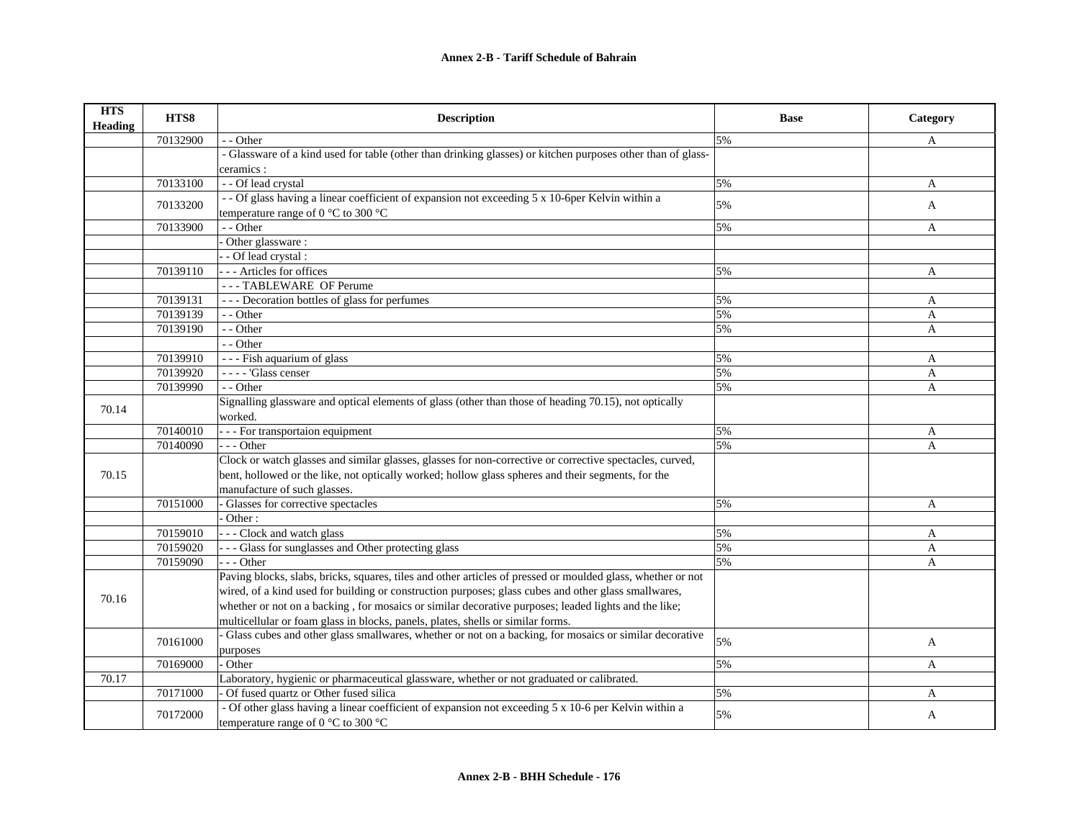| <b>HTS</b><br>Heading | HTS8     | <b>Description</b>                                                                                          | <b>Base</b> | Category |
|-----------------------|----------|-------------------------------------------------------------------------------------------------------------|-------------|----------|
|                       | 70132900 | - - Other                                                                                                   | 5%          | A        |
|                       |          | - Glassware of a kind used for table (other than drinking glasses) or kitchen purposes other than of glass- |             |          |
|                       |          | ceramics :                                                                                                  |             |          |
|                       | 70133100 | - - Of lead crystal                                                                                         | 5%          | A        |
|                       | 70133200 | -- Of glass having a linear coefficient of expansion not exceeding 5 x 10-6per Kelvin within a              | 5%          | A        |
|                       |          | temperature range of $0^{\circ}$ C to 300 $^{\circ}$ C                                                      |             |          |
|                       | 70133900 | - - Other                                                                                                   | 5%          | A        |
|                       |          | Other glassware:                                                                                            |             |          |
|                       |          | - Of lead crystal :                                                                                         |             |          |
|                       | 70139110 | -- Articles for offices                                                                                     | 5%          | A        |
|                       |          | --- TABLEWARE OF Perume                                                                                     |             |          |
|                       | 70139131 | --- Decoration bottles of glass for perfumes                                                                | 5%          | A        |
|                       | 70139139 | - - Other                                                                                                   | 5%          | A        |
|                       | 70139190 | - - Other                                                                                                   | 5%          | A        |
|                       |          | - - Other                                                                                                   |             |          |
|                       | 70139910 | --- Fish aquarium of glass                                                                                  | 5%          | A        |
|                       | 70139920 | - - - - 'Glass censer                                                                                       | 5%          | A        |
|                       | 70139990 | - - Other                                                                                                   | 5%          | A        |
| 70.14                 |          | Signalling glassware and optical elements of glass (other than those of heading 70.15), not optically       |             |          |
|                       |          | worked.                                                                                                     |             |          |
|                       | 70140010 | - - - For transportaion equipment                                                                           | 5%          | A        |
|                       | 70140090 | $- -$ Other                                                                                                 | 5%          | A        |
|                       |          | Clock or watch glasses and similar glasses, glasses for non-corrective or corrective spectacles, curved,    |             |          |
| 70.15                 |          | bent, hollowed or the like, not optically worked; hollow glass spheres and their segments, for the          |             |          |
|                       |          | manufacture of such glasses.                                                                                |             |          |
|                       | 70151000 | Glasses for corrective spectacles                                                                           | 5%          | A        |
|                       |          | Other:                                                                                                      |             |          |
|                       | 70159010 | -- Clock and watch glass                                                                                    | 5%          | A        |
|                       | 70159020 | - - Glass for sunglasses and Other protecting glass                                                         | 5%          | A        |
|                       | 70159090 | $- -$ Other                                                                                                 | 5%          | A        |
|                       |          | Paving blocks, slabs, bricks, squares, tiles and other articles of pressed or moulded glass, whether or not |             |          |
| 70.16                 |          | wired, of a kind used for building or construction purposes; glass cubes and other glass smallwares,        |             |          |
|                       |          | whether or not on a backing, for mosaics or similar decorative purposes; leaded lights and the like;        |             |          |
|                       |          | multicellular or foam glass in blocks, panels, plates, shells or similar forms.                             |             |          |
|                       | 70161000 | Glass cubes and other glass smallwares, whether or not on a backing, for mosaics or similar decorative      | 5%          | A        |
|                       |          | purposes                                                                                                    |             |          |
|                       | 70169000 | Other                                                                                                       | 5%          | A        |
| 70.17                 |          | Laboratory, hygienic or pharmaceutical glassware, whether or not graduated or calibrated.                   |             |          |
|                       | 70171000 | Of fused quartz or Other fused silica                                                                       | 5%          | A        |
|                       | 70172000 | - Of other glass having a linear coefficient of expansion not exceeding 5 x 10-6 per Kelvin within a        | 5%          | A        |
|                       |          | temperature range of 0 $^{\circ}$ C to 300 $^{\circ}$ C                                                     |             |          |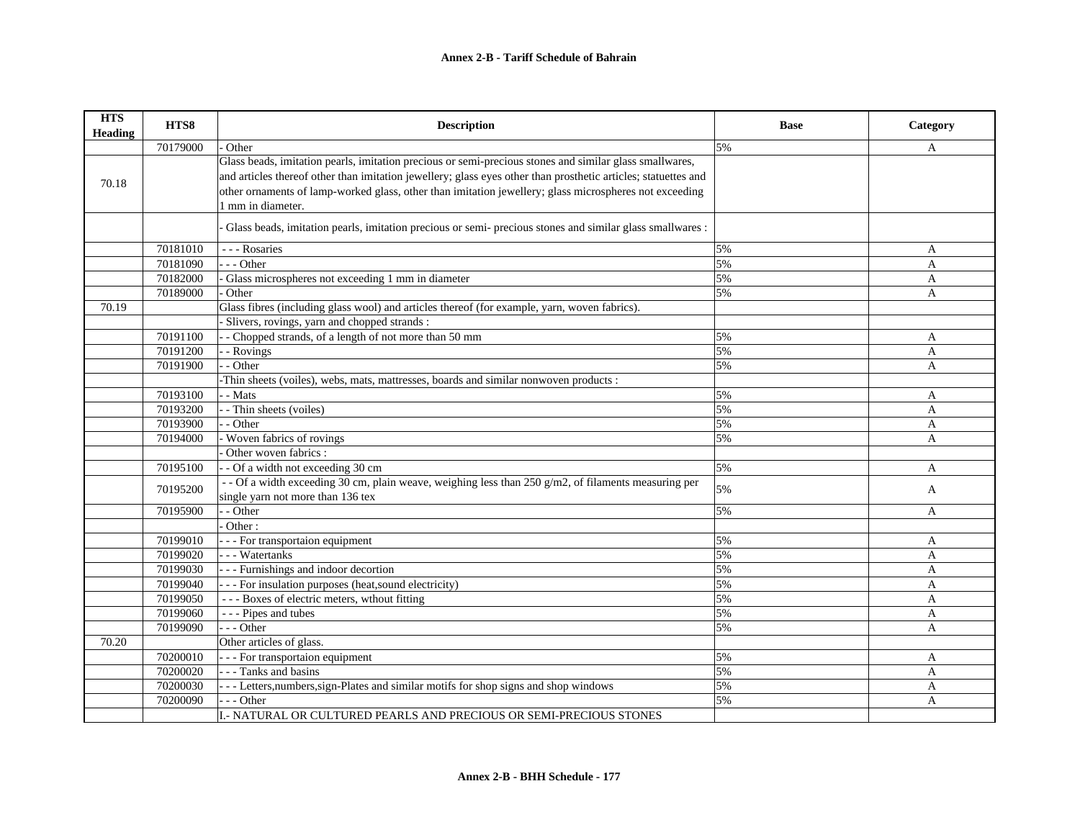| <b>HTS</b><br><b>Heading</b> | HTS8     | <b>Description</b>                                                                                             | <b>Base</b> | Category     |
|------------------------------|----------|----------------------------------------------------------------------------------------------------------------|-------------|--------------|
|                              | 70179000 | Other                                                                                                          | 5%          | A            |
|                              |          | Glass beads, imitation pearls, imitation precious or semi-precious stones and similar glass smallwares,        |             |              |
| 70.18                        |          | and articles thereof other than imitation jewellery; glass eyes other than prosthetic articles; statuettes and |             |              |
|                              |          | other ornaments of lamp-worked glass, other than imitation jewellery; glass microspheres not exceeding         |             |              |
|                              |          | 1 mm in diameter.                                                                                              |             |              |
|                              |          | Glass beads, imitation pearls, imitation precious or semi- precious stones and similar glass smallwares :      |             |              |
|                              | 70181010 | --- Rosaries                                                                                                   | 5%          | A            |
|                              | 70181090 | $-$ - Other                                                                                                    | 5%          | A            |
|                              | 70182000 | Glass microspheres not exceeding 1 mm in diameter                                                              | 5%          | A            |
|                              | 70189000 | Other                                                                                                          | 5%          | A            |
| 70.19                        |          | Glass fibres (including glass wool) and articles thereof (for example, yarn, woven fabrics).                   |             |              |
|                              |          | Slivers, rovings, yarn and chopped strands:                                                                    |             |              |
|                              | 70191100 | - Chopped strands, of a length of not more than 50 mm                                                          | 5%          | A            |
|                              | 70191200 | - Rovings                                                                                                      | 5%          | A            |
|                              | 70191900 | - Other                                                                                                        | 5%          | A            |
|                              |          | -Thin sheets (voiles), webs, mats, mattresses, boards and similar nonwoven products:                           |             |              |
|                              | 70193100 | - Mats                                                                                                         | 5%          | A            |
|                              | 70193200 | - Thin sheets (voiles)                                                                                         | 5%          | $\mathbf{A}$ |
|                              | 70193900 | - Other                                                                                                        | 5%          | A            |
|                              | 70194000 | Woven fabrics of rovings                                                                                       | 5%          | A            |
|                              |          | Other woven fabrics:                                                                                           |             |              |
|                              | 70195100 | - - Of a width not exceeding 30 cm                                                                             | 5%          | A            |
|                              | 70195200 | - - Of a width exceeding 30 cm, plain weave, weighing less than $250$ g/m2, of filaments measuring per         | 5%          | A            |
|                              |          | single yarn not more than 136 tex                                                                              |             |              |
|                              | 70195900 | - - Other                                                                                                      | 5%          | A            |
|                              |          | Other:                                                                                                         |             |              |
|                              | 70199010 | - - - For transportaion equipment                                                                              | 5%          | A            |
|                              | 70199020 | --- Watertanks                                                                                                 | 5%          | A            |
|                              | 70199030 | - - - Furnishings and indoor decortion                                                                         | 5%          | A            |
|                              | 70199040 | - - - For insulation purposes (heat, sound electricity)                                                        | 5%          | A            |
|                              | 70199050 | --- Boxes of electric meters, wthout fitting                                                                   | 5%          | A            |
|                              | 70199060 | - - - Pipes and tubes                                                                                          | 5%          | A            |
|                              | 70199090 | $- -$ Other                                                                                                    | 5%          | A            |
| 70.20                        |          | Other articles of glass.                                                                                       |             |              |
|                              | 70200010 | - - - For transportaion equipment                                                                              | 5%          | A            |
|                              | 70200020 | - - - Tanks and basins                                                                                         | 5%          | A            |
|                              | 70200030 | --- Letters, numbers, sign-Plates and similar motifs for shop signs and shop windows                           | 5%          | A            |
|                              | 70200090 | --- Other                                                                                                      | 5%          | $\mathbf{A}$ |
|                              |          | I.- NATURAL OR CULTURED PEARLS AND PRECIOUS OR SEMI-PRECIOUS STONES                                            |             |              |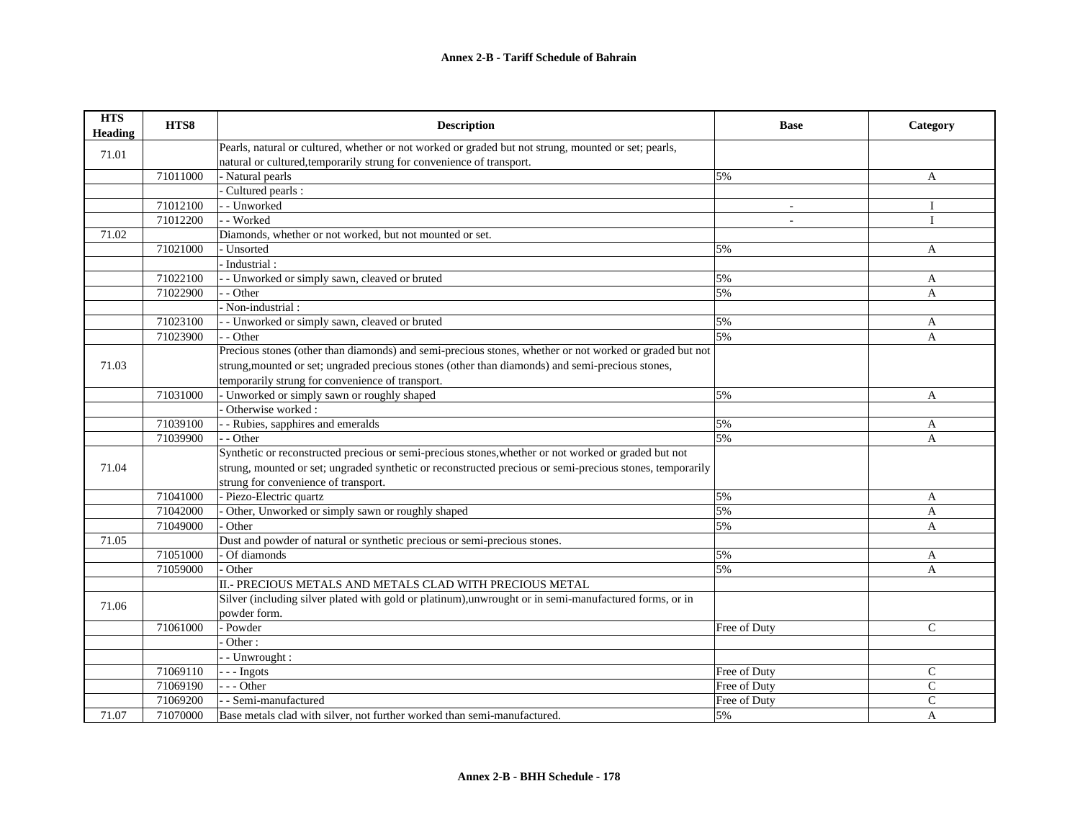| <b>HTS</b><br><b>Heading</b> | HTS8     | <b>Description</b>                                                                                        | <b>Base</b>  | Category       |
|------------------------------|----------|-----------------------------------------------------------------------------------------------------------|--------------|----------------|
| 71.01                        |          | Pearls, natural or cultured, whether or not worked or graded but not strung, mounted or set; pearls,      |              |                |
|                              |          | natural or cultured, temporarily strung for convenience of transport.                                     |              |                |
|                              | 71011000 | - Natural pearls                                                                                          | 5%           | A              |
|                              |          | Cultured pearls :                                                                                         |              |                |
|                              | 71012100 | - - Unworked                                                                                              |              | Ι              |
|                              | 71012200 | - - Worked                                                                                                | $\sim$       | $\mathbf{I}$   |
| 71.02                        |          | Diamonds, whether or not worked, but not mounted or set.                                                  |              |                |
|                              | 71021000 | · Unsorted                                                                                                | 5%           | A              |
|                              |          | Industrial:                                                                                               |              |                |
|                              | 71022100 | - Unworked or simply sawn, cleaved or bruted                                                              | 5%           | A              |
|                              | 71022900 | - Other                                                                                                   | 5%           | A              |
|                              |          | Non-industrial:                                                                                           |              |                |
|                              | 71023100 | - Unworked or simply sawn, cleaved or bruted                                                              | 5%           | A              |
|                              | 71023900 | - Other                                                                                                   | 5%           | A              |
|                              |          | Precious stones (other than diamonds) and semi-precious stones, whether or not worked or graded but not   |              |                |
| 71.03                        |          | strung, mounted or set; ungraded precious stones (other than diamonds) and semi-precious stones,          |              |                |
|                              |          | temporarily strung for convenience of transport.                                                          |              |                |
|                              | 71031000 | - Unworked or simply sawn or roughly shaped                                                               | 5%           | $\overline{A}$ |
|                              |          | Otherwise worked:                                                                                         |              |                |
|                              | 71039100 | - Rubies, sapphires and emeralds                                                                          | 5%           | A              |
|                              | 71039900 | - - Other                                                                                                 | 5%           | A              |
|                              |          | Synthetic or reconstructed precious or semi-precious stones, whether or not worked or graded but not      |              |                |
| 71.04                        |          | strung, mounted or set; ungraded synthetic or reconstructed precious or semi-precious stones, temporarily |              |                |
|                              |          | strung for convenience of transport.                                                                      |              |                |
|                              | 71041000 | - Piezo-Electric quartz                                                                                   | 5%           | A              |
|                              | 71042000 | Other, Unworked or simply sawn or roughly shaped                                                          | 5%           | A              |
|                              | 71049000 | Other                                                                                                     | 5%           | A              |
| 71.05                        |          | Dust and powder of natural or synthetic precious or semi-precious stones.                                 |              |                |
|                              | 71051000 | Of diamonds                                                                                               | 5%           | A              |
|                              | 71059000 | Other                                                                                                     | 5%           | A              |
|                              |          | II.- PRECIOUS METALS AND METALS CLAD WITH PRECIOUS METAL                                                  |              |                |
|                              |          | Silver (including silver plated with gold or platinum), unwrought or in semi-manufactured forms, or in    |              |                |
| 71.06                        |          | powder form.                                                                                              |              |                |
|                              | 71061000 | Powder                                                                                                    | Free of Duty | $\mathsf{C}$   |
|                              |          | Other:                                                                                                    |              |                |
|                              |          | - Unwrought:                                                                                              |              |                |
|                              | 71069110 | $- -$ Ingots                                                                                              | Free of Duty | $\mathsf{C}$   |
|                              | 71069190 | $-$ - Other                                                                                               | Free of Duty | $\mathsf{C}$   |
|                              | 71069200 | - Semi-manufactured                                                                                       | Free of Duty | $\mathsf{C}$   |
| 71.07                        | 71070000 | Base metals clad with silver, not further worked than semi-manufactured.                                  | 5%           | $\overline{A}$ |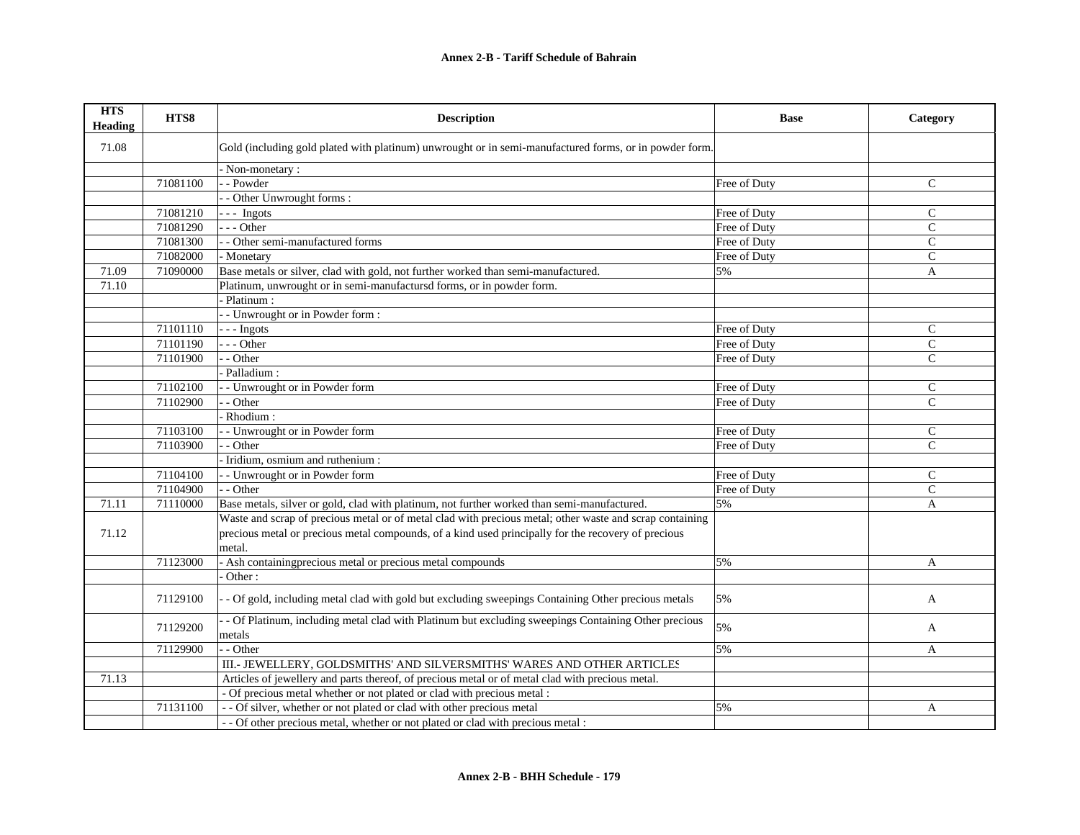| <b>HTS</b><br><b>Heading</b> | HTS8     | <b>Description</b>                                                                                            | <b>Base</b>  | Category      |
|------------------------------|----------|---------------------------------------------------------------------------------------------------------------|--------------|---------------|
| 71.08                        |          | Gold (including gold plated with platinum) unwrought or in semi-manufactured forms, or in powder form.        |              |               |
|                              |          | - Non-monetary :                                                                                              |              |               |
|                              | 71081100 | - - Powder                                                                                                    | Free of Duty | $\mathcal{C}$ |
|                              |          | - Other Unwrought forms:                                                                                      |              |               |
|                              | 71081210 | $--$ Ingots                                                                                                   | Free of Duty | $\mathsf{C}$  |
|                              | 71081290 | $--$ Other                                                                                                    | Free of Duty | $\mathsf{C}$  |
|                              | 71081300 | - - Other semi-manufactured forms                                                                             | Free of Duty | $\mathsf{C}$  |
|                              | 71082000 | - Monetary                                                                                                    | Free of Duty | $\mathcal{C}$ |
| 71.09                        | 71090000 | Base metals or silver, clad with gold, not further worked than semi-manufactured.                             | 5%           | A             |
| 71.10                        |          | Platinum, unwrought or in semi-manufactursd forms, or in powder form.                                         |              |               |
|                              |          | Platinum :                                                                                                    |              |               |
|                              |          | - Unwrought or in Powder form:                                                                                |              |               |
|                              | 71101110 | --- Ingots                                                                                                    | Free of Duty | $\mathsf{C}$  |
|                              | 71101190 | $- -$ Other                                                                                                   | Free of Duty | $\mathsf{C}$  |
|                              | 71101900 | - Other                                                                                                       | Free of Duty | $\mathcal{C}$ |
|                              |          | Palladium:                                                                                                    |              |               |
|                              | 71102100 | - - Unwrought or in Powder form                                                                               | Free of Duty | $\mathsf{C}$  |
|                              | 71102900 | - Other                                                                                                       | Free of Duty | $\mathsf{C}$  |
|                              |          | - Rhodium:                                                                                                    |              |               |
|                              | 71103100 | - Unwrought or in Powder form                                                                                 | Free of Duty | ${\bf C}$     |
|                              | 71103900 | - Other                                                                                                       | Free of Duty | $\mathcal{C}$ |
|                              |          | - Iridium, osmium and ruthenium :                                                                             |              |               |
|                              | 71104100 | - - Unwrought or in Powder form                                                                               | Free of Duty | $\mathsf{C}$  |
|                              | 71104900 | - - Other                                                                                                     | Free of Duty | $\mathsf{C}$  |
| 71.11                        | 71110000 | Base metals, silver or gold, clad with platinum, not further worked than semi-manufactured.                   | 5%           | $\mathbf{A}$  |
|                              |          | Waste and scrap of precious metal or of metal clad with precious metal; other waste and scrap containing      |              |               |
| 71.12                        |          | precious metal or precious metal compounds, of a kind used principally for the recovery of precious           |              |               |
|                              |          | metal.                                                                                                        |              |               |
|                              | 71123000 | - Ash containingprecious metal or precious metal compounds                                                    | 5%           | A             |
|                              |          | Other:                                                                                                        |              |               |
|                              | 71129100 | - Of gold, including metal clad with gold but excluding sweepings Containing Other precious metals            | 5%           | A             |
|                              | 71129200 | - Of Platinum, including metal clad with Platinum but excluding sweepings Containing Other precious<br>metals | 5%           | A             |
|                              | 71129900 | - - Other                                                                                                     | 5%           | A             |
|                              |          | III.- JEWELLERY, GOLDSMITHS' AND SILVERSMITHS' WARES AND OTHER ARTICLES                                       |              |               |
| 71.13                        |          | Articles of jewellery and parts thereof, of precious metal or of metal clad with precious metal.              |              |               |
|                              |          | - Of precious metal whether or not plated or clad with precious metal :                                       |              |               |
|                              | 71131100 | - - Of silver, whether or not plated or clad with other precious metal                                        | 5%           | A             |
|                              |          | - - Of other precious metal, whether or not plated or clad with precious metal :                              |              |               |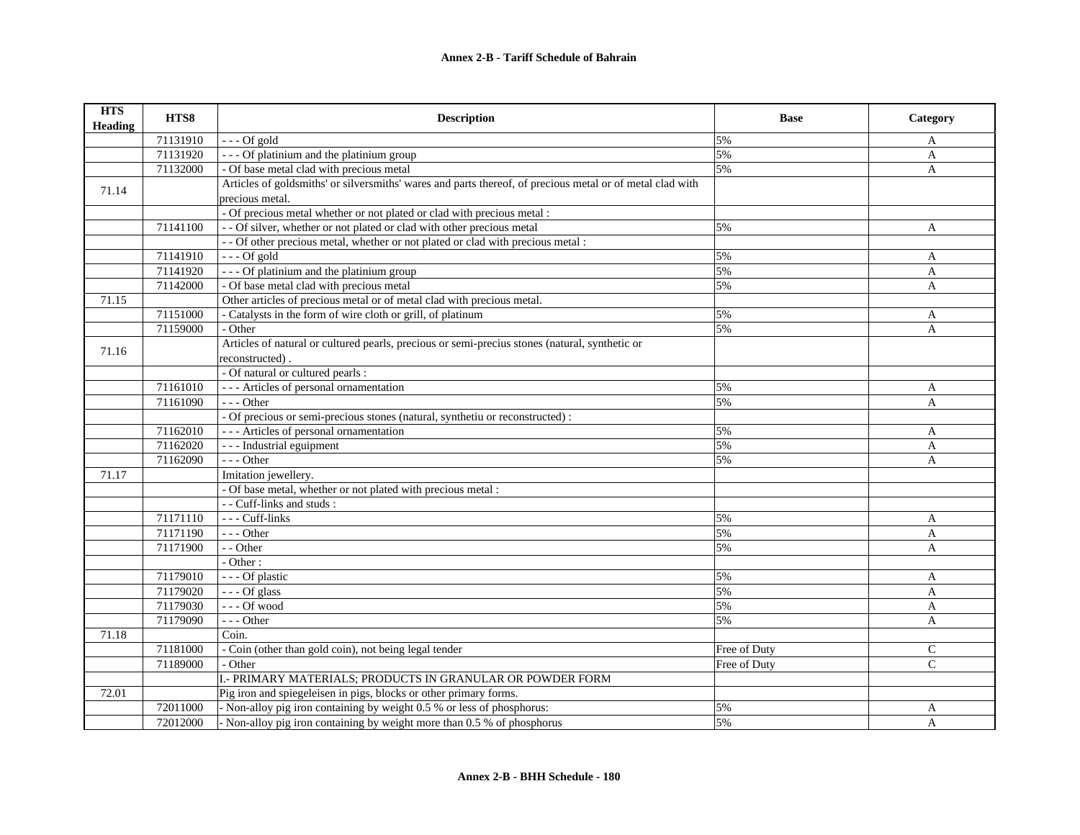| <b>HTS</b><br><b>Heading</b> | HTS8     | <b>Description</b>                                                                                        | <b>Base</b>  | Category     |
|------------------------------|----------|-----------------------------------------------------------------------------------------------------------|--------------|--------------|
|                              | 71131910 | $--$ Of gold                                                                                              | 5%           | A            |
|                              | 71131920 | - - - Of platinium and the platinium group                                                                | 5%           | A            |
|                              | 71132000 | - Of base metal clad with precious metal                                                                  | 5%           | A            |
| 71.14                        |          | Articles of goldsmiths' or silversmiths' wares and parts thereof, of precious metal or of metal clad with |              |              |
|                              |          | precious metal.                                                                                           |              |              |
|                              |          | - Of precious metal whether or not plated or clad with precious metal :                                   |              |              |
|                              | 71141100 | - - Of silver, whether or not plated or clad with other precious metal                                    | 5%           | A            |
|                              |          | - - Of other precious metal, whether or not plated or clad with precious metal :                          |              |              |
|                              | 71141910 | $--$ Of gold                                                                                              | 5%           | A            |
|                              | 71141920 | - - - Of platinium and the platinium group                                                                | 5%           | A            |
|                              | 71142000 | - Of base metal clad with precious metal                                                                  | 5%           | A            |
| 71.15                        |          | Other articles of precious metal or of metal clad with precious metal.                                    |              |              |
|                              | 71151000 | - Catalysts in the form of wire cloth or grill, of platinum                                               | 5%           | A            |
|                              | 71159000 | - Other                                                                                                   | 5%           | $\mathbf{A}$ |
| 71.16                        |          | Articles of natural or cultured pearls, precious or semi-precius stones (natural, synthetic or            |              |              |
|                              |          | reconstructed).                                                                                           |              |              |
|                              |          | - Of natural or cultured pearls :                                                                         |              |              |
|                              | 71161010 | --- Articles of personal ornamentation                                                                    | 5%           | A            |
|                              | 71161090 | $---$ Other                                                                                               | 5%           | $\mathbf{A}$ |
|                              |          | - Of precious or semi-precious stones (natural, synthetiu or reconstructed) :                             |              |              |
|                              | 71162010 | --- Articles of personal ornamentation                                                                    | 5%           | A            |
|                              | 71162020 | - - - Industrial eguipment                                                                                | 5%           | A            |
|                              | 71162090 | $- -$ Other                                                                                               | 5%           | A            |
| 71.17                        |          | Imitation jewellery.                                                                                      |              |              |
|                              |          | - Of base metal, whether or not plated with precious metal :                                              |              |              |
|                              |          | - - Cuff-links and studs:                                                                                 |              |              |
|                              | 71171110 | --- Cuff-links                                                                                            | 5%           | A            |
|                              | 71171190 | $---$ Other                                                                                               | 5%           | A            |
|                              | 71171900 | - - Other                                                                                                 | 5%           | A            |
|                              |          | $-$ Other :                                                                                               |              |              |
|                              | 71179010 | --- Of plastic                                                                                            | 5%           | A            |
|                              | 71179020 | $--$ Of glass                                                                                             | 5%           | A            |
|                              | 71179030 | $\text{- - - Of wood}$                                                                                    | 5%           | A            |
|                              | 71179090 | $---$ Other                                                                                               | 5%           | $\mathbf{A}$ |
| 71.18                        |          | Coin.                                                                                                     |              |              |
|                              | 71181000 | - Coin (other than gold coin), not being legal tender                                                     | Free of Duty | C            |
|                              | 71189000 | - Other                                                                                                   | Free of Duty | $\mathsf{C}$ |
|                              |          | I.- PRIMARY MATERIALS; PRODUCTS IN GRANULAR OR POWDER FORM                                                |              |              |
| 72.01                        |          | Pig iron and spiegeleisen in pigs, blocks or other primary forms.                                         |              |              |
|                              | 72011000 | - Non-alloy pig iron containing by weight 0.5 % or less of phosphorus:                                    | 5%           | A            |
|                              | 72012000 | - Non-alloy pig iron containing by weight more than 0.5 % of phosphorus                                   | 5%           | A            |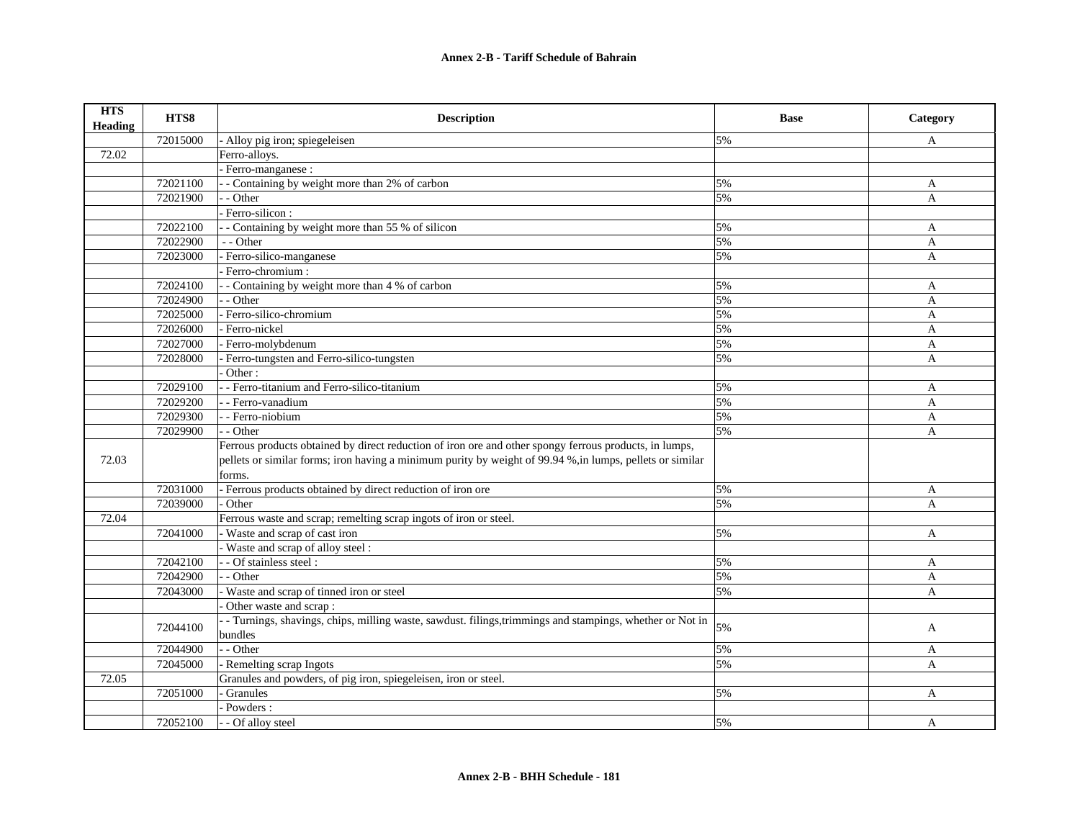| <b>HTS</b><br><b>Heading</b> | HTS8     | <b>Description</b>                                                                                        | <b>Base</b> | Category     |
|------------------------------|----------|-----------------------------------------------------------------------------------------------------------|-------------|--------------|
|                              | 72015000 | Alloy pig iron; spiegeleisen                                                                              | 5%          | A            |
| 72.02                        |          | Ferro-alloys.                                                                                             |             |              |
|                              |          | - Ferro-manganese :                                                                                       |             |              |
|                              | 72021100 | - Containing by weight more than 2% of carbon                                                             | 5%          | A            |
|                              | 72021900 | - - Other                                                                                                 | 5%          | A            |
|                              |          | Ferro-silicon:                                                                                            |             |              |
|                              | 72022100 | - Containing by weight more than 55 % of silicon                                                          | 5%          | A            |
|                              | 72022900 | - - Other                                                                                                 | 5%          | A            |
|                              | 72023000 | - Ferro-silico-manganese                                                                                  | 5%          | A            |
|                              |          | Ferro-chromium:                                                                                           |             |              |
|                              | 72024100 | - - Containing by weight more than 4 % of carbon                                                          | 5%          | A            |
|                              | 72024900 | - Other                                                                                                   | 5%          | A            |
|                              | 72025000 | - Ferro-silico-chromium                                                                                   | 5%          | A            |
|                              | 72026000 | Ferro-nickel                                                                                              | 5%          | A            |
|                              | 72027000 | - Ferro-molybdenum                                                                                        | 5%          | A            |
|                              | 72028000 | Ferro-tungsten and Ferro-silico-tungsten                                                                  | 5%          | $\mathbf{A}$ |
|                              |          | Other:                                                                                                    |             |              |
|                              | 72029100 | - - Ferro-titanium and Ferro-silico-titanium                                                              | 5%          | A            |
|                              | 72029200 | - - Ferro-vanadium                                                                                        | 5%          | A            |
|                              | 72029300 | - - Ferro-niobium                                                                                         | 5%          | A            |
|                              | 72029900 | - Other                                                                                                   | 5%          | A            |
|                              |          | Ferrous products obtained by direct reduction of iron ore and other spongy ferrous products, in lumps,    |             |              |
| 72.03                        |          | pellets or similar forms; iron having a minimum purity by weight of 99.94 %, in lumps, pellets or similar |             |              |
|                              |          | forms.                                                                                                    |             |              |
|                              | 72031000 | - Ferrous products obtained by direct reduction of iron ore                                               | 5%          | A            |
|                              | 72039000 | Other                                                                                                     | 5%          | A            |
| 72.04                        |          | Ferrous waste and scrap; remelting scrap ingots of iron or steel.                                         |             |              |
|                              | 72041000 | - Waste and scrap of cast iron                                                                            | 5%          | A            |
|                              |          | Waste and scrap of alloy steel:                                                                           |             |              |
|                              | 72042100 | - - Of stainless steel :                                                                                  | 5%          | A            |
|                              | 72042900 | - - Other                                                                                                 | 5%          | A            |
|                              | 72043000 | Waste and scrap of tinned iron or steel                                                                   | 5%          | A            |
|                              |          | Other waste and scrap:                                                                                    |             |              |
|                              |          | - Turnings, shavings, chips, milling waste, sawdust. filings, trimmings and stampings, whether or Not in  |             |              |
|                              | 72044100 | bundles                                                                                                   | 5%          | A            |
|                              | 72044900 | - - Other                                                                                                 | 5%          | A            |
|                              | 72045000 | - Remelting scrap Ingots                                                                                  | 5%          | $\mathsf{A}$ |
| 72.05                        |          | Granules and powders, of pig iron, spiegeleisen, iron or steel.                                           |             |              |
|                              | 72051000 | Granules                                                                                                  | 5%          | A            |
|                              |          | Powders:                                                                                                  |             |              |
|                              | 72052100 | - - Of alloy steel                                                                                        | 5%          | A            |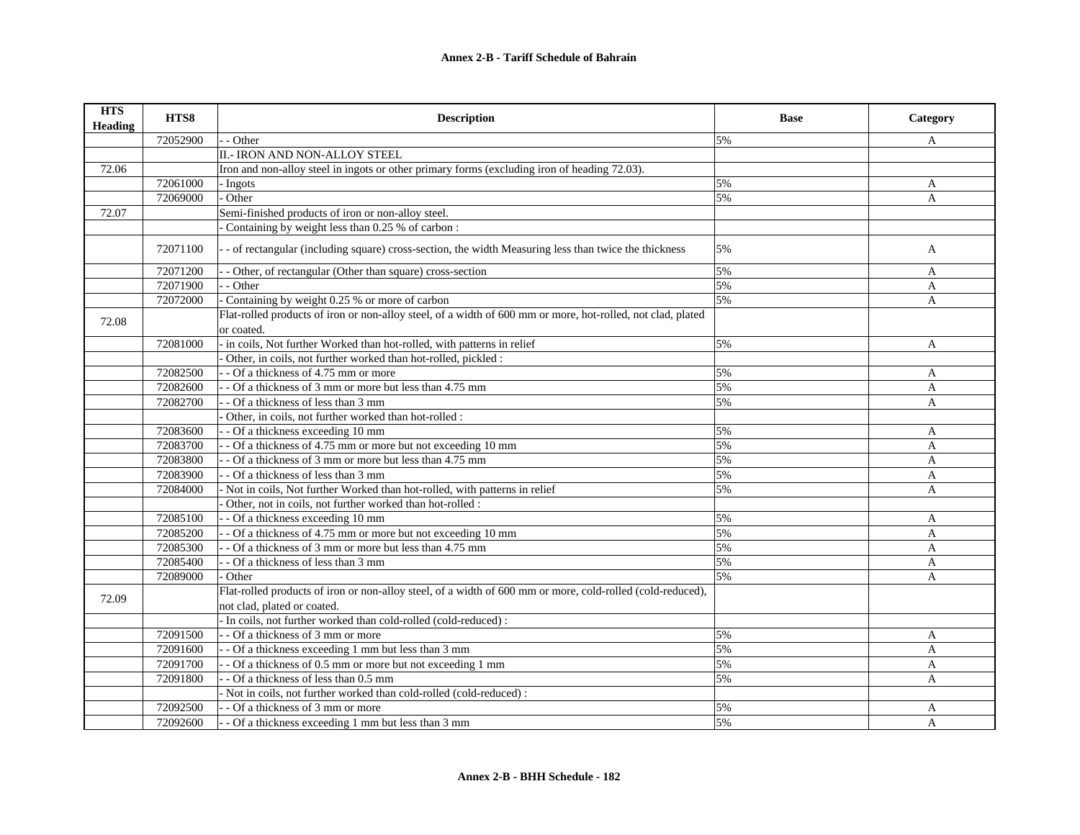| <b>HTS</b><br>Heading | HTS8     | <b>Description</b>                                                                                                        | <b>Base</b> | Category     |
|-----------------------|----------|---------------------------------------------------------------------------------------------------------------------------|-------------|--------------|
|                       | 72052900 | - Other                                                                                                                   | 5%          | A            |
|                       |          | II.- IRON AND NON-ALLOY STEEL                                                                                             |             |              |
| 72.06                 |          | Iron and non-alloy steel in ingots or other primary forms (excluding iron of heading 72.03).                              |             |              |
|                       | 72061000 | - Ingots                                                                                                                  | 5%          | A            |
|                       | 72069000 | Other                                                                                                                     | 5%          | A            |
| 72.07                 |          | Semi-finished products of iron or non-alloy steel.                                                                        |             |              |
|                       |          | Containing by weight less than 0.25 % of carbon :                                                                         |             |              |
|                       | 72071100 | - of rectangular (including square) cross-section, the width Measuring less than twice the thickness                      | 5%          | A            |
|                       | 72071200 | - Other, of rectangular (Other than square) cross-section                                                                 | 5%          | A            |
|                       | 72071900 | - Other                                                                                                                   | 5%          | $\mathbf{A}$ |
|                       | 72072000 | Containing by weight 0.25 % or more of carbon                                                                             | 5%          | A            |
| 72.08                 |          | Flat-rolled products of iron or non-alloy steel, of a width of 600 mm or more, hot-rolled, not clad, plated<br>or coated. |             |              |
|                       | 72081000 | in coils, Not further Worked than hot-rolled, with patterns in relief                                                     | 5%          | $\mathbf{A}$ |
|                       |          | Other, in coils, not further worked than hot-rolled, pickled :                                                            |             |              |
|                       | 72082500 | - Of a thickness of 4.75 mm or more                                                                                       | 5%          | A            |
|                       | 72082600 | - Of a thickness of 3 mm or more but less than 4.75 mm                                                                    | 5%          | A            |
|                       | 72082700 | - Of a thickness of less than 3 mm                                                                                        | 5%          | A            |
|                       |          | Other, in coils, not further worked than hot-rolled :                                                                     |             |              |
|                       | 72083600 | - Of a thickness exceeding 10 mm                                                                                          | 5%          | A            |
|                       | 72083700 | - Of a thickness of 4.75 mm or more but not exceeding 10 mm                                                               | 5%          | A            |
|                       | 72083800 | - Of a thickness of 3 mm or more but less than 4.75 mm                                                                    | 5%          | A            |
|                       | 72083900 | - Of a thickness of less than 3 mm                                                                                        | 5%          | A            |
|                       | 72084000 | Not in coils, Not further Worked than hot-rolled, with patterns in relief                                                 | 5%          | A            |
|                       |          | Other, not in coils, not further worked than hot-rolled :                                                                 |             |              |
|                       | 72085100 | - Of a thickness exceeding 10 mm                                                                                          | 5%          | A            |
|                       | 72085200 | - Of a thickness of 4.75 mm or more but not exceeding 10 mm                                                               | 5%          | A            |
|                       | 72085300 | - Of a thickness of 3 mm or more but less than 4.75 mm                                                                    | 5%          | $\mathbf{A}$ |
|                       | 72085400 | - Of a thickness of less than 3 mm                                                                                        | 5%          | A            |
|                       | 72089000 | Other                                                                                                                     | 5%          | A            |
| 72.09                 |          | Flat-rolled products of iron or non-alloy steel, of a width of 600 mm or more, cold-rolled (cold-reduced),                |             |              |
|                       |          | not clad, plated or coated.                                                                                               |             |              |
|                       |          | - In coils, not further worked than cold-rolled (cold-reduced) :                                                          |             |              |
|                       | 72091500 | - Of a thickness of 3 mm or more                                                                                          | 5%          | A            |
|                       | 72091600 | - - Of a thickness exceeding 1 mm but less than 3 mm                                                                      | 5%          | A            |
|                       | 72091700 | - Of a thickness of 0.5 mm or more but not exceeding 1 mm                                                                 | 5%          | A            |
|                       | 72091800 | - - Of a thickness of less than 0.5 mm                                                                                    | 5%          | A            |
|                       |          | - Not in coils, not further worked than cold-rolled (cold-reduced) :                                                      |             |              |
|                       | 72092500 | - - Of a thickness of 3 mm or more                                                                                        | 5%          | A            |
|                       | 72092600 | - Of a thickness exceeding 1 mm but less than 3 mm                                                                        | 5%          | A            |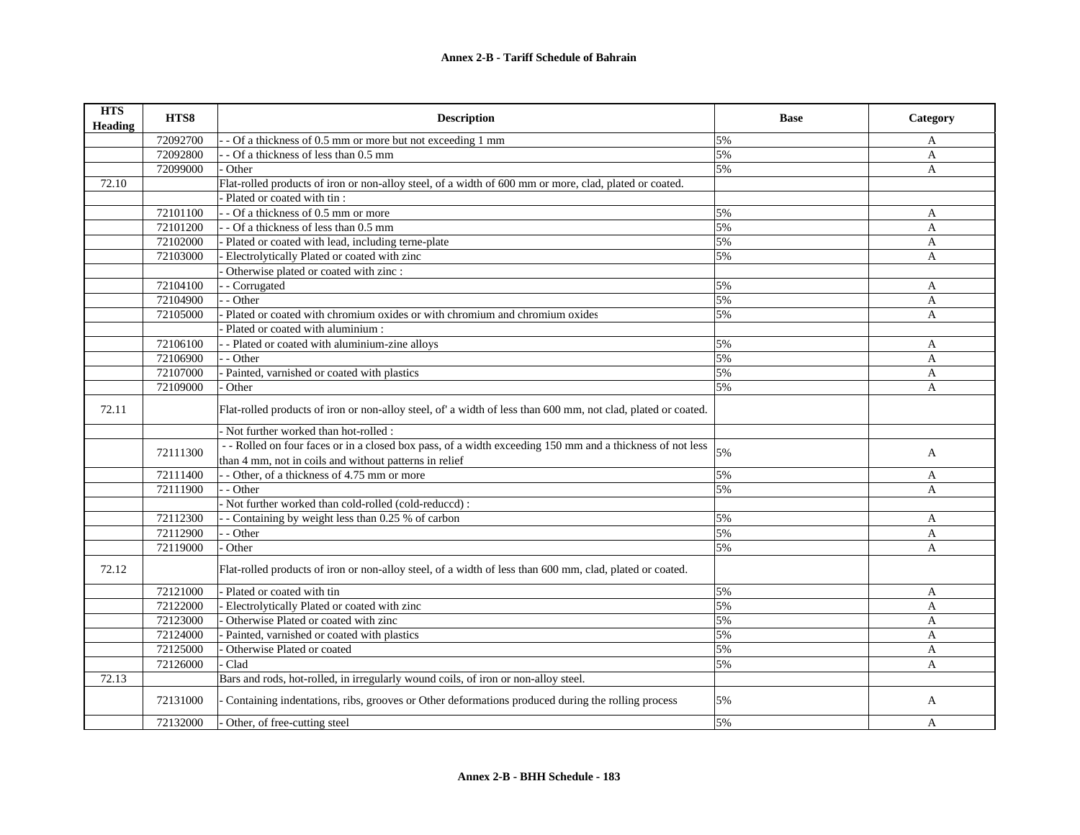| <b>HTS</b><br><b>Heading</b> | HTS8     | <b>Description</b>                                                                                                                                                  | <b>Base</b> | Category     |
|------------------------------|----------|---------------------------------------------------------------------------------------------------------------------------------------------------------------------|-------------|--------------|
|                              | 72092700 | - Of a thickness of 0.5 mm or more but not exceeding 1 mm                                                                                                           | 5%          | A            |
|                              | 72092800 | - Of a thickness of less than 0.5 mm                                                                                                                                | 5%          | $\mathbf{A}$ |
|                              | 72099000 | Other                                                                                                                                                               | 5%          | A            |
| 72.10                        |          | Flat-rolled products of iron or non-alloy steel, of a width of 600 mm or more, clad, plated or coated.                                                              |             |              |
|                              |          | Plated or coated with tin :                                                                                                                                         |             |              |
|                              | 72101100 | - Of a thickness of 0.5 mm or more                                                                                                                                  | 5%          | A            |
|                              | 72101200 | - - Of a thickness of less than 0.5 mm                                                                                                                              | 5%          | A            |
|                              | 72102000 | Plated or coated with lead, including terne-plate                                                                                                                   | 5%          | $\mathbf{A}$ |
|                              | 72103000 | Electrolytically Plated or coated with zinc                                                                                                                         | 5%          | A            |
|                              |          | Otherwise plated or coated with zinc :                                                                                                                              |             |              |
|                              | 72104100 | - - Corrugated                                                                                                                                                      | 5%          | A            |
|                              | 72104900 | $-$ Other                                                                                                                                                           | 5%          | A            |
|                              | 72105000 | - Plated or coated with chromium oxides or with chromium and chromium oxides                                                                                        | 5%          | A            |
|                              |          | Plated or coated with aluminium :                                                                                                                                   |             |              |
|                              | 72106100 | - - Plated or coated with aluminium-zine alloys                                                                                                                     | 5%          | $\mathbf{A}$ |
|                              | 72106900 | - - Other                                                                                                                                                           | 5%          | A            |
|                              | 72107000 | Painted, varnished or coated with plastics                                                                                                                          | 5%          | A            |
|                              | 72109000 | Other                                                                                                                                                               | 5%          | A            |
| 72.11                        |          | Flat-rolled products of iron or non-alloy steel, of' a width of less than 600 mm, not clad, plated or coated.                                                       |             |              |
|                              |          | Not further worked than hot-rolled:                                                                                                                                 |             |              |
|                              | 72111300 | - - Rolled on four faces or in a closed box pass, of a width exceeding 150 mm and a thickness of not less<br>than 4 mm, not in coils and without patterns in relief | 5%          | $\mathbf{A}$ |
|                              | 72111400 | - Other, of a thickness of 4.75 mm or more                                                                                                                          | 5%          | A            |
|                              | 72111900 | - - Other                                                                                                                                                           | 5%          | $\mathbf{A}$ |
|                              |          | - Not further worked than cold-rolled (cold-reduced) :                                                                                                              |             |              |
|                              | 72112300 | - Containing by weight less than 0.25 % of carbon                                                                                                                   | 5%          | A            |
|                              | 72112900 | - - Other                                                                                                                                                           | 5%          | A            |
|                              | 72119000 | Other                                                                                                                                                               | 5%          | A            |
| 72.12                        |          | Flat-rolled products of iron or non-alloy steel, of a width of less than 600 mm, clad, plated or coated.                                                            |             |              |
|                              | 72121000 | - Plated or coated with tin                                                                                                                                         | 5%          | A            |
|                              | 72122000 | Electrolytically Plated or coated with zinc                                                                                                                         | 5%          | A            |
|                              | 72123000 | Otherwise Plated or coated with zinc                                                                                                                                | 5%          | $\mathbf{A}$ |
|                              | 72124000 | Painted, varnished or coated with plastics                                                                                                                          | 5%          | $\mathbf{A}$ |
|                              | 72125000 | Otherwise Plated or coated                                                                                                                                          | 5%          | A            |
|                              | 72126000 | Clad                                                                                                                                                                | 5%          | A            |
| 72.13                        |          | Bars and rods, hot-rolled, in irregularly wound coils, of iron or non-alloy steel.                                                                                  |             |              |
|                              | 72131000 | Containing indentations, ribs, grooves or Other deformations produced during the rolling process                                                                    | 5%          | A            |
|                              | 72132000 | Other, of free-cutting steel                                                                                                                                        | 5%          | A            |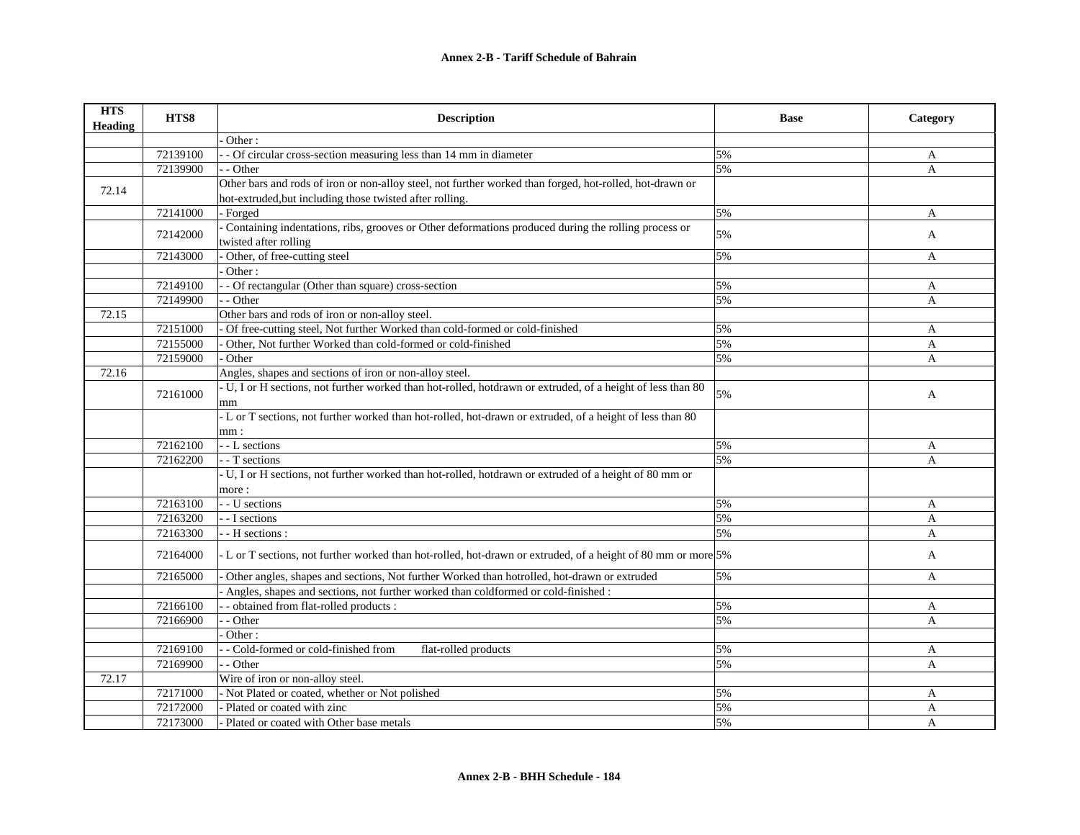| <b>HTS</b><br><b>Heading</b> | HTS8     | <b>Description</b>                                                                                            | <b>Base</b> | Category     |
|------------------------------|----------|---------------------------------------------------------------------------------------------------------------|-------------|--------------|
|                              |          | Other:                                                                                                        |             |              |
|                              | 72139100 | - Of circular cross-section measuring less than 14 mm in diameter                                             | 5%          | A            |
|                              | 72139900 | - Other                                                                                                       | 5%          | A            |
| 72.14                        |          | Other bars and rods of iron or non-alloy steel, not further worked than forged, hot-rolled, hot-drawn or      |             |              |
|                              |          | hot-extruded, but including those twisted after rolling.                                                      |             |              |
|                              | 72141000 | Forged                                                                                                        | 5%          | A            |
|                              | 72142000 | Containing indentations, ribs, grooves or Other deformations produced during the rolling process or           | 5%          |              |
|                              |          | twisted after rolling                                                                                         |             | A            |
|                              | 72143000 | Other, of free-cutting steel                                                                                  | 5%          | A            |
|                              |          | Other:                                                                                                        |             |              |
|                              | 72149100 | - Of rectangular (Other than square) cross-section                                                            | 5%          | A            |
|                              | 72149900 | - Other                                                                                                       | 5%          | A            |
| 72.15                        |          | Other bars and rods of iron or non-alloy steel.                                                               |             |              |
|                              | 72151000 | Of free-cutting steel, Not further Worked than cold-formed or cold-finished                                   | 5%          | $\mathbf{A}$ |
|                              | 72155000 | Other, Not further Worked than cold-formed or cold-finished                                                   | 5%          | $\mathbf{A}$ |
|                              | 72159000 | Other                                                                                                         | 5%          | A            |
| 72.16                        |          | Angles, shapes and sections of iron or non-alloy steel.                                                       |             |              |
|                              |          | - U, I or H sections, not further worked than hot-rolled, hotdrawn or extruded, of a height of less than 80   |             |              |
|                              | 72161000 | mm                                                                                                            | 5%          | A            |
|                              |          | - L or T sections, not further worked than hot-rolled, hot-drawn or extruded, of a height of less than 80     |             |              |
|                              |          | mm:                                                                                                           |             |              |
|                              | 72162100 | - - L sections                                                                                                | 5%          | A            |
|                              | 72162200 | - T sections                                                                                                  | 5%          | A            |
|                              |          | - U, I or H sections, not further worked than hot-rolled, hotdrawn or extruded of a height of 80 mm or        |             |              |
|                              |          | more:                                                                                                         |             |              |
|                              | 72163100 | - - U sections                                                                                                | 5%          | A            |
|                              | 72163200 | - - I sections                                                                                                | 5%          | A            |
|                              | 72163300 | - H sections :                                                                                                | 5%          | A            |
|                              | 72164000 | - L or T sections, not further worked than hot-rolled, hot-drawn or extruded, of a height of 80 mm or more 5% |             | A            |
|                              | 72165000 | Other angles, shapes and sections, Not further Worked than hotrolled, hot-drawn or extruded                   | 5%          | A            |
|                              |          | Angles, shapes and sections, not further worked than coldformed or cold-finished :                            |             |              |
|                              | 72166100 | - obtained from flat-rolled products :                                                                        | 5%          | A            |
|                              | 72166900 | - Other                                                                                                       | 5%          | A            |
|                              |          | Other:                                                                                                        |             |              |
|                              | 72169100 | - Cold-formed or cold-finished from<br>flat-rolled products                                                   | 5%          | A            |
|                              | 72169900 | - Other                                                                                                       | 5%          | A            |
| 72.17                        |          | Wire of iron or non-alloy steel.                                                                              |             |              |
|                              | 72171000 | - Not Plated or coated, whether or Not polished                                                               | 5%          | A            |
|                              | 72172000 | Plated or coated with zinc                                                                                    | 5%          | A            |
|                              | 72173000 | - Plated or coated with Other base metals                                                                     | 5%          | $\mathbf{A}$ |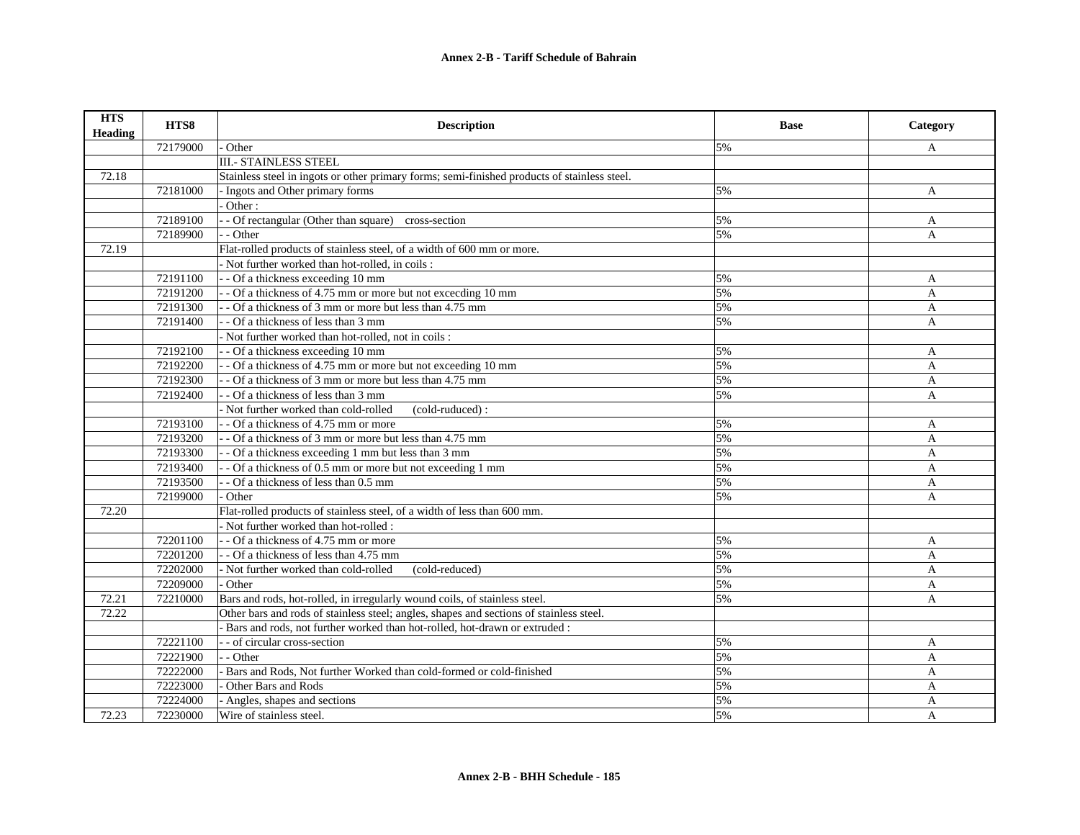| <b>HTS</b><br><b>Heading</b> | HTS8     | <b>Description</b>                                                                           | <b>Base</b> | Category       |
|------------------------------|----------|----------------------------------------------------------------------------------------------|-------------|----------------|
|                              | 72179000 | Other                                                                                        | 5%          | A              |
|                              |          | <b>III.- STAINLESS STEEL</b>                                                                 |             |                |
| 72.18                        |          | Stainless steel in ingots or other primary forms; semi-finished products of stainless steel. |             |                |
|                              | 72181000 | - Ingots and Other primary forms                                                             | 5%          | A              |
|                              |          | Other:                                                                                       |             |                |
|                              | 72189100 | - Of rectangular (Other than square) cross-section                                           | 5%          | A              |
|                              | 72189900 | - - Other                                                                                    | 5%          | $\mathbf{A}$   |
| 72.19                        |          | Flat-rolled products of stainless steel, of a width of 600 mm or more.                       |             |                |
|                              |          | - Not further worked than hot-rolled, in coils :                                             |             |                |
|                              | 72191100 | - - Of a thickness exceeding 10 mm                                                           | 5%          | A              |
|                              | 72191200 | - - Of a thickness of 4.75 mm or more but not exceeding 10 mm                                | 5%          | $\mathbf{A}$   |
|                              | 72191300 | - - Of a thickness of 3 mm or more but less than 4.75 mm                                     | 5%          | $\mathbf{A}$   |
|                              | 72191400 | - - Of a thickness of less than 3 mm                                                         | 5%          | $\mathbf{A}$   |
|                              |          | - Not further worked than hot-rolled, not in coils :                                         |             |                |
|                              | 72192100 | - - Of a thickness exceeding 10 mm                                                           | 5%          | A              |
|                              | 72192200 | - - Of a thickness of 4.75 mm or more but not exceeding 10 mm                                | 5%          | A              |
|                              | 72192300 | - - Of a thickness of 3 mm or more but less than 4.75 mm                                     | 5%          | A              |
|                              | 72192400 | - - Of a thickness of less than 3 mm                                                         | 5%          | $\overline{A}$ |
|                              |          | - Not further worked than cold-rolled<br>(cold-ruduced):                                     |             |                |
|                              | 72193100 | - - Of a thickness of 4.75 mm or more                                                        | 5%          | A              |
|                              | 72193200 | - - Of a thickness of 3 mm or more but less than 4.75 mm                                     | 5%          | $\mathbf{A}$   |
|                              | 72193300 | - - Of a thickness exceeding 1 mm but less than 3 mm                                         | 5%          | $\mathbf{A}$   |
|                              | 72193400 | - - Of a thickness of 0.5 mm or more but not exceeding 1 mm                                  | 5%          | $\mathbf{A}$   |
|                              | 72193500 | - - Of a thickness of less than 0.5 mm                                                       | 5%          | $\mathbf{A}$   |
|                              | 72199000 | Other                                                                                        | 5%          | $\mathbf{A}$   |
| 72.20                        |          | Flat-rolled products of stainless steel, of a width of less than 600 mm.                     |             |                |
|                              |          | - Not further worked than hot-rolled :                                                       |             |                |
|                              | 72201100 | - - Of a thickness of 4.75 mm or more                                                        | 5%          | A              |
|                              | 72201200 | - - Of a thickness of less than 4.75 mm                                                      | 5%          | A              |
|                              | 72202000 | - Not further worked than cold-rolled<br>(cold-reduced)                                      | 5%          | A              |
|                              | 72209000 | - Other                                                                                      | 5%          | A              |
| 72.21                        | 72210000 | Bars and rods, hot-rolled, in irregularly wound coils, of stainless steel.                   | 5%          | $\mathbf{A}$   |
| 72.22                        |          | Other bars and rods of stainless steel; angles, shapes and sections of stainless steel.      |             |                |
|                              |          | - Bars and rods, not further worked than hot-rolled, hot-drawn or extruded:                  |             |                |
|                              | 72221100 | - - of circular cross-section                                                                | 5%          | A              |
|                              | 72221900 | - - Other                                                                                    | 5%          | $\mathbf{A}$   |
|                              | 72222000 | Bars and Rods, Not further Worked than cold-formed or cold-finished                          | 5%          | $\overline{A}$ |
|                              | 72223000 | Other Bars and Rods                                                                          | 5%          | $\mathbf{A}$   |
|                              | 72224000 | Angles, shapes and sections                                                                  | 5%          | $\overline{A}$ |
| 72.23                        | 72230000 | Wire of stainless steel.                                                                     | 5%          | $\overline{A}$ |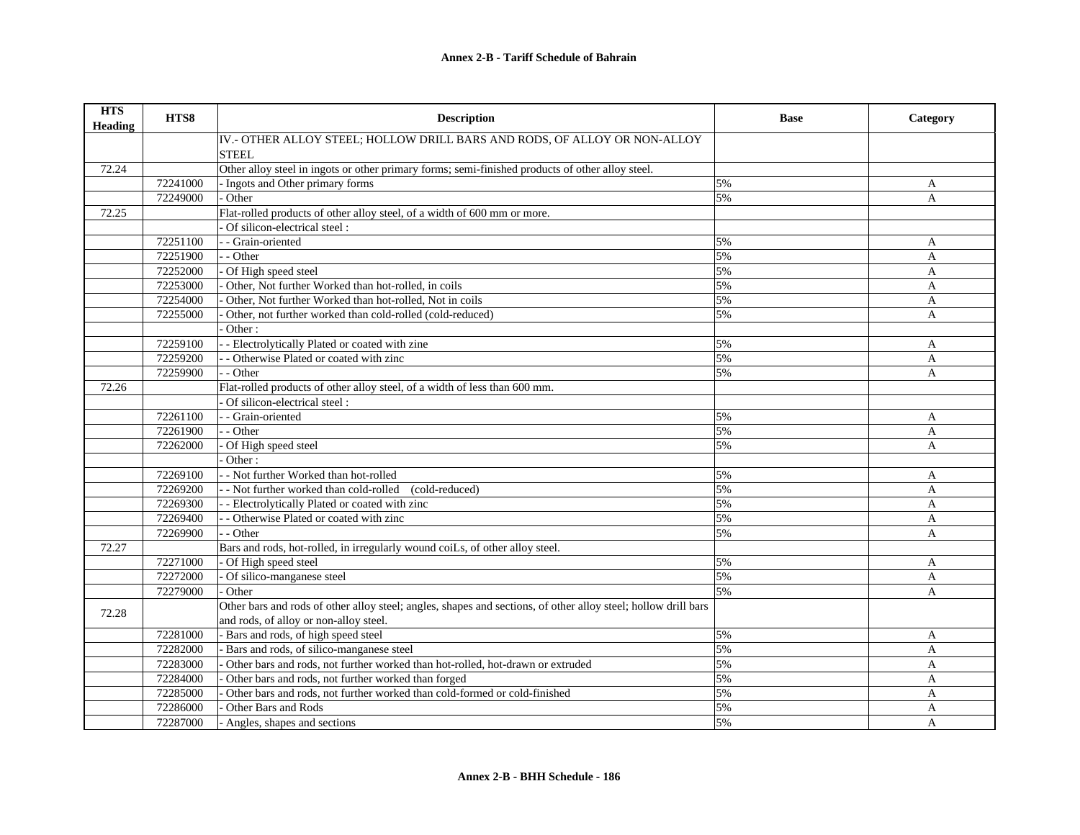| <b>HTS</b><br><b>Heading</b> | HTS8     | <b>Description</b>                                                                                             | <b>Base</b> | Category       |
|------------------------------|----------|----------------------------------------------------------------------------------------------------------------|-------------|----------------|
|                              |          | IV.- OTHER ALLOY STEEL; HOLLOW DRILL BARS AND RODS, OF ALLOY OR NON-ALLOY                                      |             |                |
|                              |          | <b>STEEL</b>                                                                                                   |             |                |
| 72.24                        |          | Other alloy steel in ingots or other primary forms; semi-finished products of other alloy steel.               |             |                |
|                              | 72241000 | - Ingots and Other primary forms                                                                               | 5%          | A              |
|                              | 72249000 | Other                                                                                                          | 5%          | $\mathbf{A}$   |
| 72.25                        |          | Flat-rolled products of other alloy steel, of a width of 600 mm or more.                                       |             |                |
|                              |          | Of silicon-electrical steel:                                                                                   |             |                |
|                              | 72251100 | - Grain-oriented                                                                                               | 5%          | A              |
|                              | 72251900 | - - Other                                                                                                      | 5%          | A              |
|                              | 72252000 | Of High speed steel                                                                                            | 5%          | $\mathbf{A}$   |
|                              | 72253000 | Other, Not further Worked than hot-rolled, in coils                                                            | 5%          | $\mathbf{A}$   |
|                              | 72254000 | Other, Not further Worked than hot-rolled, Not in coils                                                        | 5%          | A              |
|                              | 72255000 | Other, not further worked than cold-rolled (cold-reduced)                                                      | 5%          | A              |
|                              |          | Other:                                                                                                         |             |                |
|                              | 72259100 | - Electrolytically Plated or coated with zine                                                                  | 5%          | A              |
|                              | 72259200 | - Otherwise Plated or coated with zinc                                                                         | 5%          | A              |
|                              | 72259900 | - Other                                                                                                        | 5%          | A              |
| 72.26                        |          | Flat-rolled products of other alloy steel, of a width of less than 600 mm.                                     |             |                |
|                              |          | - Of silicon-electrical steel :                                                                                |             |                |
|                              | 72261100 | - Grain-oriented                                                                                               | 5%          | A              |
|                              | 72261900 | - Other                                                                                                        | 5%          | A              |
|                              | 72262000 | Of High speed steel                                                                                            | 5%          | $\overline{A}$ |
|                              |          | Other:                                                                                                         |             |                |
|                              | 72269100 | - Not further Worked than hot-rolled                                                                           | 5%          | A              |
|                              | 72269200 | - Not further worked than cold-rolled (cold-reduced)                                                           | 5%          | A              |
|                              | 72269300 | - - Electrolytically Plated or coated with zinc                                                                | 5%          | A              |
|                              | 72269400 | - Otherwise Plated or coated with zinc                                                                         | 5%          | A              |
|                              | 72269900 | - Other                                                                                                        | 5%          | A              |
| 72.27                        |          | Bars and rods, hot-rolled, in irregularly wound coiLs, of other alloy steel.                                   |             |                |
|                              | 72271000 | - Of High speed steel                                                                                          | 5%          | A              |
|                              | 72272000 | Of silico-manganese steel                                                                                      | 5%          | $\mathbf{A}$   |
|                              | 72279000 | Other                                                                                                          | 5%          | A              |
| 72.28                        |          | Other bars and rods of other alloy steel; angles, shapes and sections, of other alloy steel; hollow drill bars |             |                |
|                              |          | and rods, of alloy or non-alloy steel.                                                                         |             |                |
|                              | 72281000 | - Bars and rods, of high speed steel                                                                           | 5%          | A              |
|                              | 72282000 | Bars and rods, of silico-manganese steel                                                                       | 5%          | A              |
|                              | 72283000 | Other bars and rods, not further worked than hot-rolled, hot-drawn or extruded                                 | 5%          | A              |
|                              | 72284000 | Other bars and rods, not further worked than forged                                                            | 5%          | A              |
|                              | 72285000 | Other bars and rods, not further worked than cold-formed or cold-finished                                      | 5%          | A              |
|                              | 72286000 | Other Bars and Rods                                                                                            | 5%          | A              |
|                              | 72287000 | - Angles, shapes and sections                                                                                  | 5%          | $\overline{A}$ |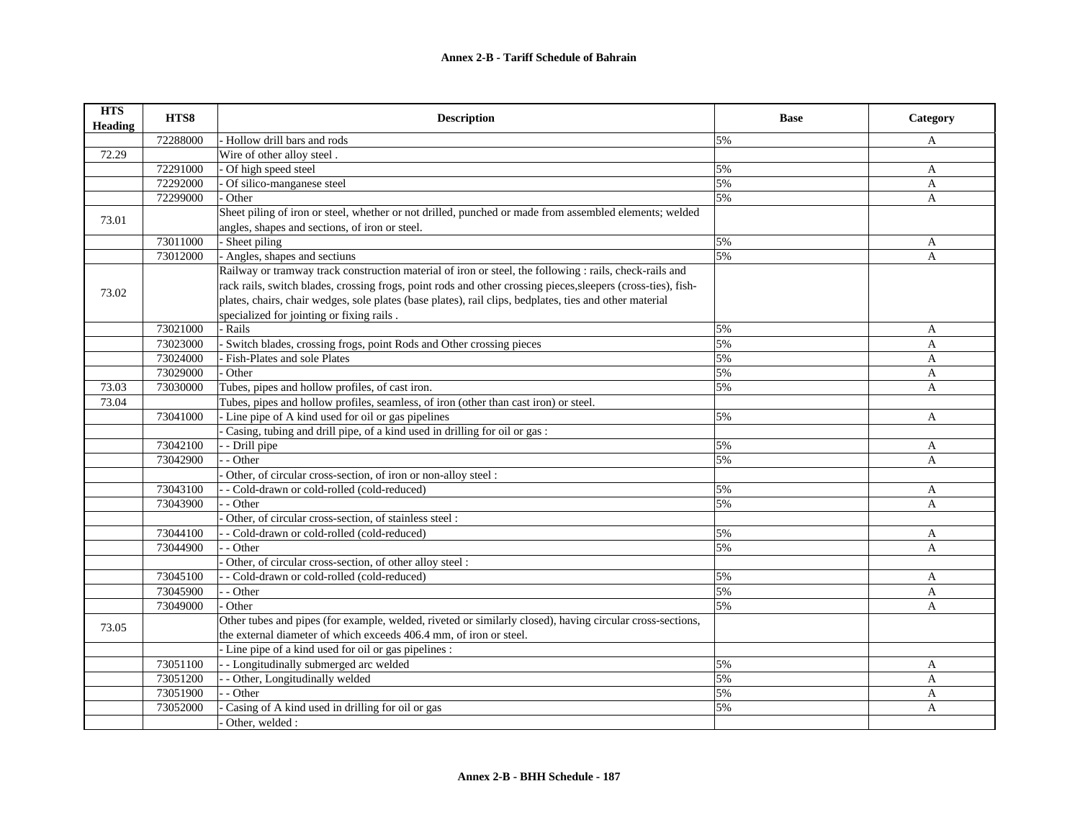| <b>HTS</b><br><b>Heading</b> | HTS8     | <b>Description</b>                                                                                            | <b>Base</b> | Category     |
|------------------------------|----------|---------------------------------------------------------------------------------------------------------------|-------------|--------------|
|                              | 72288000 | - Hollow drill bars and rods                                                                                  | 5%          | A            |
| 72.29                        |          | Wire of other alloy steel.                                                                                    |             |              |
|                              | 72291000 | - Of high speed steel                                                                                         | 5%          | A            |
|                              | 72292000 | Of silico-manganese steel                                                                                     | 5%          | A            |
|                              | 72299000 | Other                                                                                                         | 5%          | A            |
| 73.01                        |          | Sheet piling of iron or steel, whether or not drilled, punched or made from assembled elements; welded        |             |              |
|                              |          | angles, shapes and sections, of iron or steel.                                                                |             |              |
|                              | 73011000 | - Sheet piling                                                                                                | 5%          | A            |
|                              | 73012000 | - Angles, shapes and sectiuns                                                                                 | 5%          | A            |
|                              |          | Railway or tramway track construction material of iron or steel, the following : rails, check-rails and       |             |              |
| 73.02                        |          | rack rails, switch blades, crossing frogs, point rods and other crossing pieces, sleepers (cross-ties), fish- |             |              |
|                              |          | plates, chairs, chair wedges, sole plates (base plates), rail clips, bedplates, ties and other material       |             |              |
|                              |          | specialized for jointing or fixing rails.                                                                     |             |              |
|                              | 73021000 | - Rails                                                                                                       | 5%          | A            |
|                              | 73023000 | - Switch blades, crossing frogs, point Rods and Other crossing pieces                                         | 5%          | A            |
|                              | 73024000 | Fish-Plates and sole Plates                                                                                   | 5%          | A            |
|                              | 73029000 | Other                                                                                                         | 5%          | A            |
| 73.03                        | 73030000 | Tubes, pipes and hollow profiles, of cast iron.                                                               | 5%          | $\mathbf{A}$ |
| 73.04                        |          | Tubes, pipes and hollow profiles, seamless, of iron (other than cast iron) or steel.                          |             |              |
|                              | 73041000 | - Line pipe of A kind used for oil or gas pipelines                                                           | 5%          | A            |
|                              |          | Casing, tubing and drill pipe, of a kind used in drilling for oil or gas :                                    |             |              |
|                              | 73042100 | - Drill pipe                                                                                                  | 5%          | A            |
|                              | 73042900 | - Other                                                                                                       | 5%          | A            |
|                              |          | Other, of circular cross-section, of iron or non-alloy steel :                                                |             |              |
|                              | 73043100 | - Cold-drawn or cold-rolled (cold-reduced)                                                                    | 5%          | A            |
|                              | 73043900 | - Other                                                                                                       | 5%          | A            |
|                              |          | Other, of circular cross-section, of stainless steel :                                                        |             |              |
|                              | 73044100 | - Cold-drawn or cold-rolled (cold-reduced)                                                                    | 5%          | A            |
|                              | 73044900 | - Other                                                                                                       | 5%          | A            |
|                              |          | Other, of circular cross-section, of other alloy steel :                                                      |             |              |
|                              | 73045100 | - Cold-drawn or cold-rolled (cold-reduced)                                                                    | 5%          | A            |
|                              | 73045900 | $-$ - Other                                                                                                   | 5%          | A            |
|                              | 73049000 | Other                                                                                                         | 5%          | $\mathbf{A}$ |
|                              |          | Other tubes and pipes (for example, welded, riveted or similarly closed), having circular cross-sections,     |             |              |
| 73.05                        |          | the external diameter of which exceeds 406.4 mm, of iron or steel.                                            |             |              |
|                              |          | - Line pipe of a kind used for oil or gas pipelines :                                                         |             |              |
|                              | 73051100 | - - Longitudinally submerged arc welded                                                                       | 5%          | A            |
|                              | 73051200 | - - Other, Longitudinally welded                                                                              | 5%          | A            |
|                              | 73051900 | - Other                                                                                                       | 5%          | A            |
|                              | 73052000 | Casing of A kind used in drilling for oil or gas                                                              | 5%          | A            |
|                              |          | Other, welded :                                                                                               |             |              |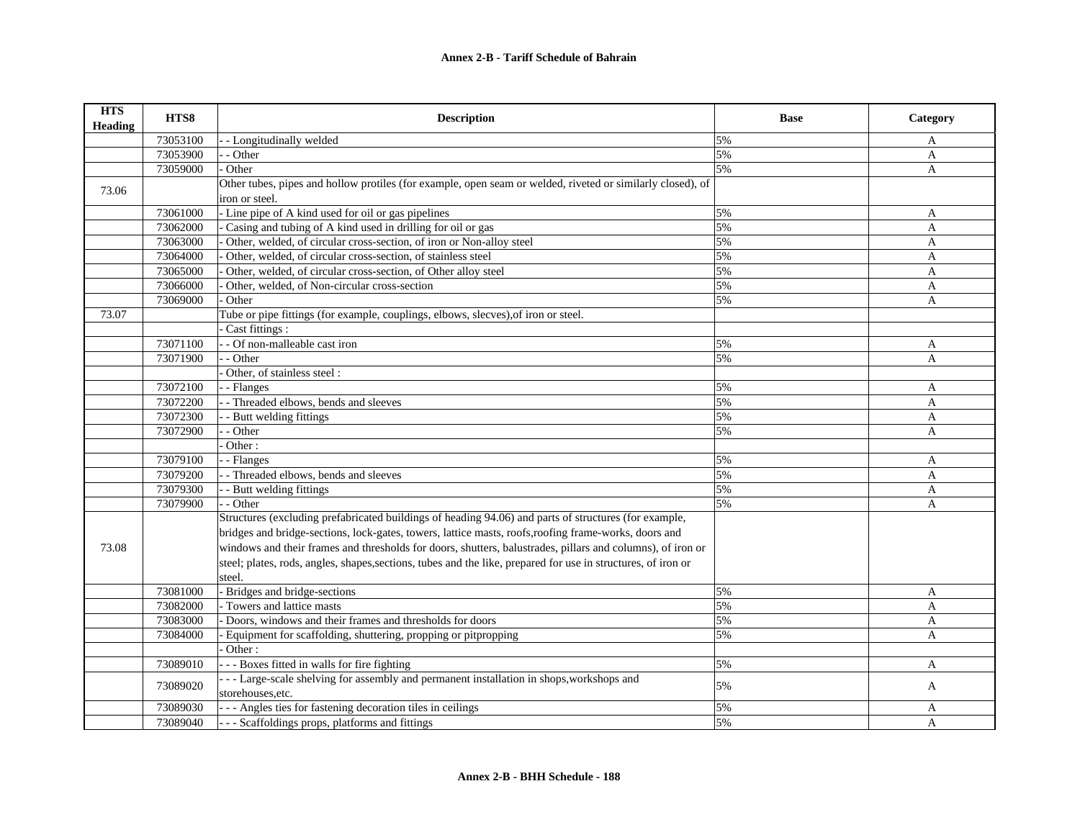| <b>HTS</b><br><b>Heading</b> | HTS8     | <b>Description</b>                                                                                            | <b>Base</b> | Category     |
|------------------------------|----------|---------------------------------------------------------------------------------------------------------------|-------------|--------------|
|                              | 73053100 | - - Longitudinally welded                                                                                     | 5%          | A            |
|                              | 73053900 | - - Other                                                                                                     | 5%          | A            |
|                              | 73059000 | Other                                                                                                         | 5%          | A            |
| 73.06                        |          | Other tubes, pipes and hollow protiles (for example, open seam or welded, riveted or similarly closed), of    |             |              |
|                              |          | iron or steel.                                                                                                |             |              |
|                              | 73061000 | - Line pipe of A kind used for oil or gas pipelines                                                           | 5%          | A            |
|                              | 73062000 | Casing and tubing of A kind used in drilling for oil or gas                                                   | 5%          | A            |
|                              | 73063000 | Other, welded, of circular cross-section, of iron or Non-alloy steel                                          | 5%          | A            |
|                              | 73064000 | Other, welded, of circular cross-section, of stainless steel                                                  | 5%          | A            |
|                              | 73065000 | Other, welded, of circular cross-section, of Other alloy steel                                                | 5%          | $\mathbf{A}$ |
|                              | 73066000 | Other, welded, of Non-circular cross-section                                                                  | 5%          | A            |
|                              | 73069000 | Other                                                                                                         | 5%          | A            |
| 73.07                        |          | Tube or pipe fittings (for example, couplings, elbows, slecves), of iron or steel.                            |             |              |
|                              |          | Cast fittings :                                                                                               |             |              |
|                              | 73071100 | - - Of non-malleable cast iron                                                                                | 5%          | A            |
|                              | 73071900 | - Other                                                                                                       | 5%          | A            |
|                              |          | Other, of stainless steel:                                                                                    |             |              |
|                              | 73072100 | - Flanges                                                                                                     | 5%          | A            |
|                              | 73072200 | - Threaded elbows, bends and sleeves                                                                          | 5%          | $\mathbf{A}$ |
|                              | 73072300 | - Butt welding fittings                                                                                       | 5%          | A            |
|                              | 73072900 | - Other                                                                                                       | 5%          | A            |
|                              |          | Other:                                                                                                        |             |              |
|                              | 73079100 | - Flanges                                                                                                     | 5%          | A            |
|                              | 73079200 | - - Threaded elbows, bends and sleeves                                                                        | 5%          | A            |
|                              | 73079300 | - Butt welding fittings                                                                                       | 5%          | A            |
|                              | 73079900 | - - Other                                                                                                     | 5%          | A            |
|                              |          | Structures (excluding prefabricated buildings of heading 94.06) and parts of structures (for example,         |             |              |
|                              |          | bridges and bridge-sections, lock-gates, towers, lattice masts, roofs, roofing frame-works, doors and         |             |              |
| 73.08                        |          | windows and their frames and thresholds for doors, shutters, balustrades, pillars and columns), of iron or    |             |              |
|                              |          | steel; plates, rods, angles, shapes, sections, tubes and the like, prepared for use in structures, of iron or |             |              |
|                              |          | steel.                                                                                                        |             |              |
|                              | 73081000 | - Bridges and bridge-sections                                                                                 | 5%          | A            |
|                              | 73082000 | - Towers and lattice masts                                                                                    | 5%          | A            |
|                              | 73083000 | Doors, windows and their frames and thresholds for doors                                                      | 5%          | A            |
|                              | 73084000 | Equipment for scaffolding, shuttering, propping or pitpropping                                                | 5%          | $\mathbf{A}$ |
|                              |          | Other:                                                                                                        |             |              |
|                              | 73089010 | --- Boxes fitted in walls for fire fighting                                                                   | 5%          | A            |
|                              | 73089020 | --- Large-scale shelving for assembly and permanent installation in shops, workshops and                      | 5%          |              |
|                              |          | storehouses.etc.                                                                                              |             | A            |
|                              | 73089030 | --- Angles ties for fastening decoration tiles in ceilings                                                    | 5%          | A            |
|                              | 73089040 | - - - Scaffoldings props, platforms and fittings                                                              | 5%          | $\mathbf{A}$ |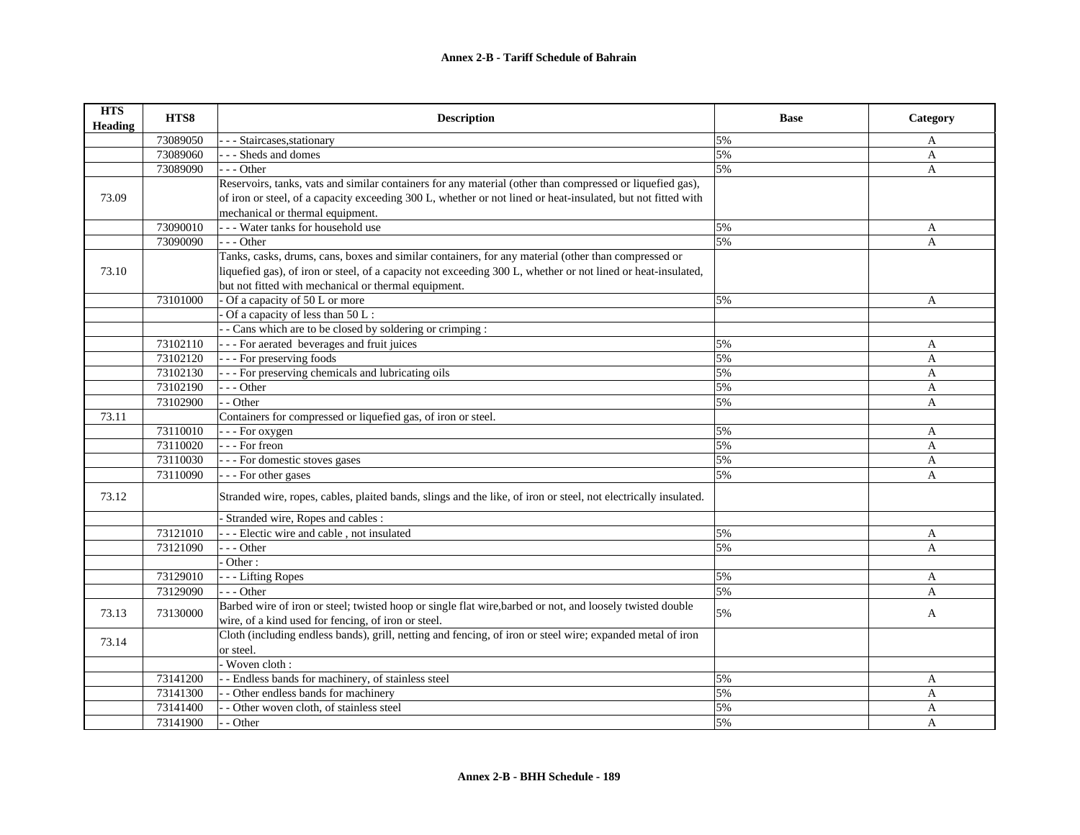| <b>HTS</b><br>Heading | HTS8     | <b>Description</b>                                                                                              | <b>Base</b> | Category     |
|-----------------------|----------|-----------------------------------------------------------------------------------------------------------------|-------------|--------------|
|                       | 73089050 | - Staircases, stationary                                                                                        | 5%          | A            |
|                       | 73089060 | - Sheds and domes                                                                                               | 5%          | A            |
|                       | 73089090 | $- -$ Other                                                                                                     | 5%          | $\mathbf{A}$ |
|                       |          | Reservoirs, tanks, vats and similar containers for any material (other than compressed or liquefied gas),       |             |              |
| 73.09                 |          | of iron or steel, of a capacity exceeding 300 L, whether or not lined or heat-insulated, but not fitted with    |             |              |
|                       |          | mechanical or thermal equipment.                                                                                |             |              |
|                       | 73090010 | --- Water tanks for household use                                                                               | 5%          | A            |
|                       | 73090090 | $- -$ Other                                                                                                     | 5%          | A            |
|                       |          | Tanks, casks, drums, cans, boxes and similar containers, for any material (other than compressed or             |             |              |
| 73.10                 |          | liquefied gas), of iron or steel, of a capacity not exceeding 300 L, whether or not lined or heat-insulated,    |             |              |
|                       |          | but not fitted with mechanical or thermal equipment.                                                            |             |              |
|                       | 73101000 | - Of a capacity of 50 L or more                                                                                 | 5%          | $\mathbf{A}$ |
|                       |          | Of a capacity of less than 50 L:                                                                                |             |              |
|                       |          | - Cans which are to be closed by soldering or crimping :                                                        |             |              |
|                       | 73102110 | --- For aerated beverages and fruit juices                                                                      | 5%          | A            |
|                       | 73102120 | --- For preserving foods                                                                                        | 5%          | A            |
|                       | 73102130 | --- For preserving chemicals and lubricating oils                                                               | 5%          | A            |
|                       | 73102190 | $- -$ Other                                                                                                     | 5%          | A            |
|                       | 73102900 | $-$ - Other                                                                                                     | 5%          | A            |
| 73.11                 |          | Containers for compressed or liquefied gas, of iron or steel.                                                   |             |              |
|                       | 73110010 | - - - For oxygen                                                                                                | 5%          | A            |
|                       | 73110020 | $\vert$ - - For freon                                                                                           | 5%          | A            |
|                       | 73110030 | --- For domestic stoves gases                                                                                   | 5%          | A            |
|                       | 73110090 | - - - For other gases                                                                                           | 5%          | A            |
| 73.12                 |          | Stranded wire, ropes, cables, plaited bands, slings and the like, of iron or steel, not electrically insulated. |             |              |
|                       |          | - Stranded wire, Ropes and cables :                                                                             |             |              |
|                       | 73121010 | --- Electic wire and cable, not insulated                                                                       | 5%          | A            |
|                       | 73121090 | $- -$ Other                                                                                                     | 5%          | $\mathbf{A}$ |
|                       |          | - Other:                                                                                                        |             |              |
|                       | 73129010 | --- Lifting Ropes                                                                                               | 5%          | A            |
|                       | 73129090 | $- -$ Other                                                                                                     | 5%          | A            |
| 73.13                 | 73130000 | Barbed wire of iron or steel; twisted hoop or single flat wire, barbed or not, and loosely twisted double       | 5%          |              |
|                       |          | wire, of a kind used for fencing, of iron or steel.                                                             |             | A            |
| 73.14                 |          | Cloth (including endless bands), grill, netting and fencing, of iron or steel wire; expanded metal of iron      |             |              |
|                       |          | or steel.                                                                                                       |             |              |
|                       |          | - Woven cloth :                                                                                                 |             |              |
|                       | 73141200 | - - Endless bands for machinery, of stainless steel                                                             | 5%          | A            |
|                       | 73141300 | - - Other endless bands for machinery                                                                           | 5%          | A            |
|                       | 73141400 | - - Other woven cloth, of stainless steel                                                                       | 5%          | A            |
|                       | 73141900 | - - Other                                                                                                       | 5%          | $\mathbf{A}$ |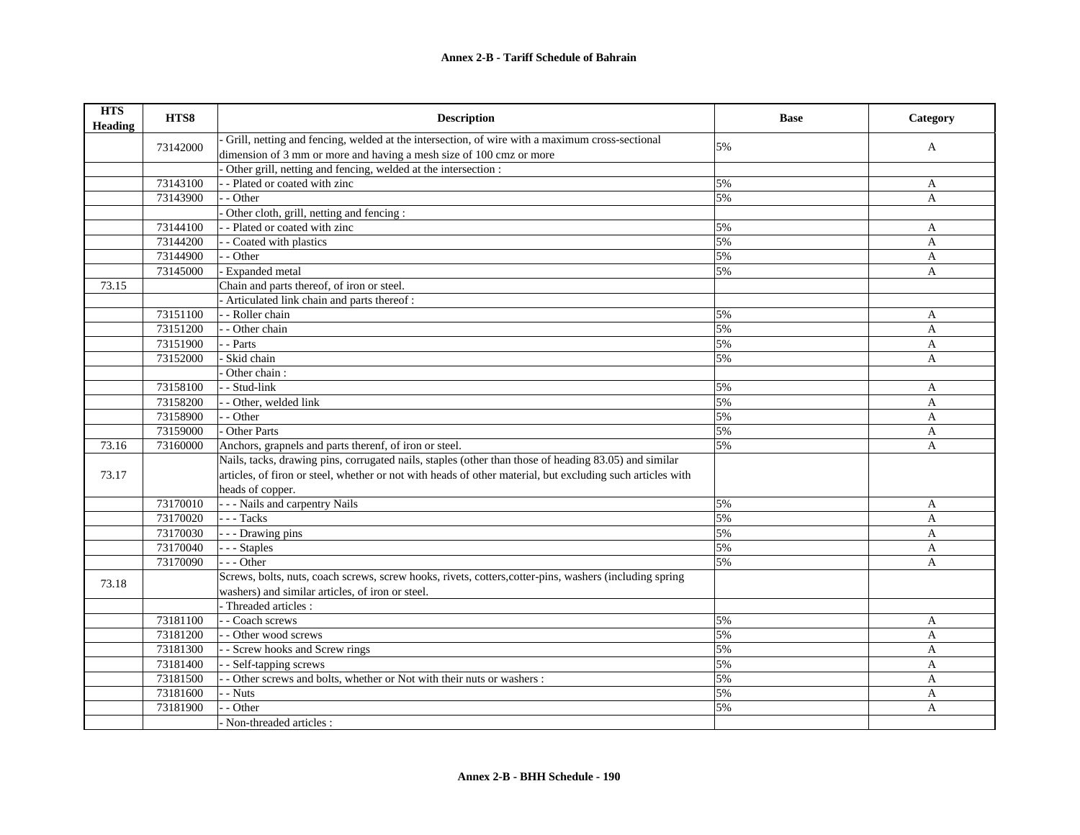| <b>HTS</b><br>Heading | HTS8     | <b>Description</b>                                                                                         | <b>Base</b> | Category     |
|-----------------------|----------|------------------------------------------------------------------------------------------------------------|-------------|--------------|
|                       | 73142000 | Grill, netting and fencing, welded at the intersection, of wire with a maximum cross-sectional             | 5%          |              |
|                       |          | dimension of 3 mm or more and having a mesh size of 100 cmz or more                                        |             | A            |
|                       |          | Other grill, netting and fencing, welded at the intersection :                                             |             |              |
|                       | 73143100 | - - Plated or coated with zinc                                                                             | 5%          | A            |
|                       | 73143900 | - - Other                                                                                                  | 5%          | A            |
|                       |          | Other cloth, grill, netting and fencing:                                                                   |             |              |
|                       | 73144100 | -- Plated or coated with zinc                                                                              | 5%          | A            |
|                       | 73144200 | - - Coated with plastics                                                                                   | 5%          | A            |
|                       | 73144900 | - - Other                                                                                                  | 5%          | A            |
|                       | 73145000 | - Expanded metal                                                                                           | 5%          | A            |
| 73.15                 |          | Chain and parts thereof, of iron or steel.                                                                 |             |              |
|                       |          | - Articulated link chain and parts thereof :                                                               |             |              |
|                       | 73151100 | - - Roller chain                                                                                           | 5%          | A            |
|                       | 73151200 | - - Other chain                                                                                            | 5%          | A            |
|                       | 73151900 | - - Parts                                                                                                  | 5%          | $\mathbf{A}$ |
|                       | 73152000 | - Skid chain                                                                                               | 5%          | A            |
|                       |          | Other chain:                                                                                               |             |              |
|                       | 73158100 | - - Stud-link                                                                                              | 5%          | A            |
|                       | 73158200 | - - Other, welded link                                                                                     | 5%          | $\mathbf{A}$ |
|                       | 73158900 | - - Other                                                                                                  | 5%          | A            |
|                       | 73159000 | - Other Parts                                                                                              | 5%          | A            |
| 73.16                 | 73160000 | Anchors, grapnels and parts therenf, of iron or steel.                                                     | 5%          | $\mathbf{A}$ |
|                       |          | Nails, tacks, drawing pins, corrugated nails, staples (other than those of heading 83.05) and similar      |             |              |
| 73.17                 |          | articles, of firon or steel, whether or not with heads of other material, but excluding such articles with |             |              |
|                       |          | heads of copper.                                                                                           |             |              |
|                       | 73170010 | - - - Nails and carpentry Nails                                                                            | 5%          | A            |
|                       | 73170020 | $\vert$ - - Tacks                                                                                          | 5%          | A            |
|                       | 73170030 | --- Drawing pins                                                                                           | 5%          | A            |
|                       | 73170040 | --- Staples                                                                                                | 5%          | $\mathbf{A}$ |
|                       | 73170090 | $--$ Other                                                                                                 | 5%          | $\mathbf{A}$ |
|                       |          | Screws, bolts, nuts, coach screws, screw hooks, rivets, cotters, cotter-pins, washers (including spring    |             |              |
| 73.18                 |          | washers) and similar articles, of iron or steel.                                                           |             |              |
|                       |          | - Threaded articles :                                                                                      |             |              |
|                       | 73181100 | - - Coach screws                                                                                           | 5%          | $\mathbf{A}$ |
|                       | 73181200 | - - Other wood screws                                                                                      | 5%          | A            |
|                       | 73181300 | - - Screw hooks and Screw rings                                                                            | 5%          | A            |
|                       | 73181400 | - - Self-tapping screws                                                                                    | 5%          | A            |
|                       | 73181500 | - Other screws and bolts, whether or Not with their nuts or washers :                                      | 5%          | A            |
|                       | 73181600 | - - Nuts                                                                                                   | 5%          | A            |
|                       | 73181900 | - Other                                                                                                    | 5%          | A            |
|                       |          | - Non-threaded articles :                                                                                  |             |              |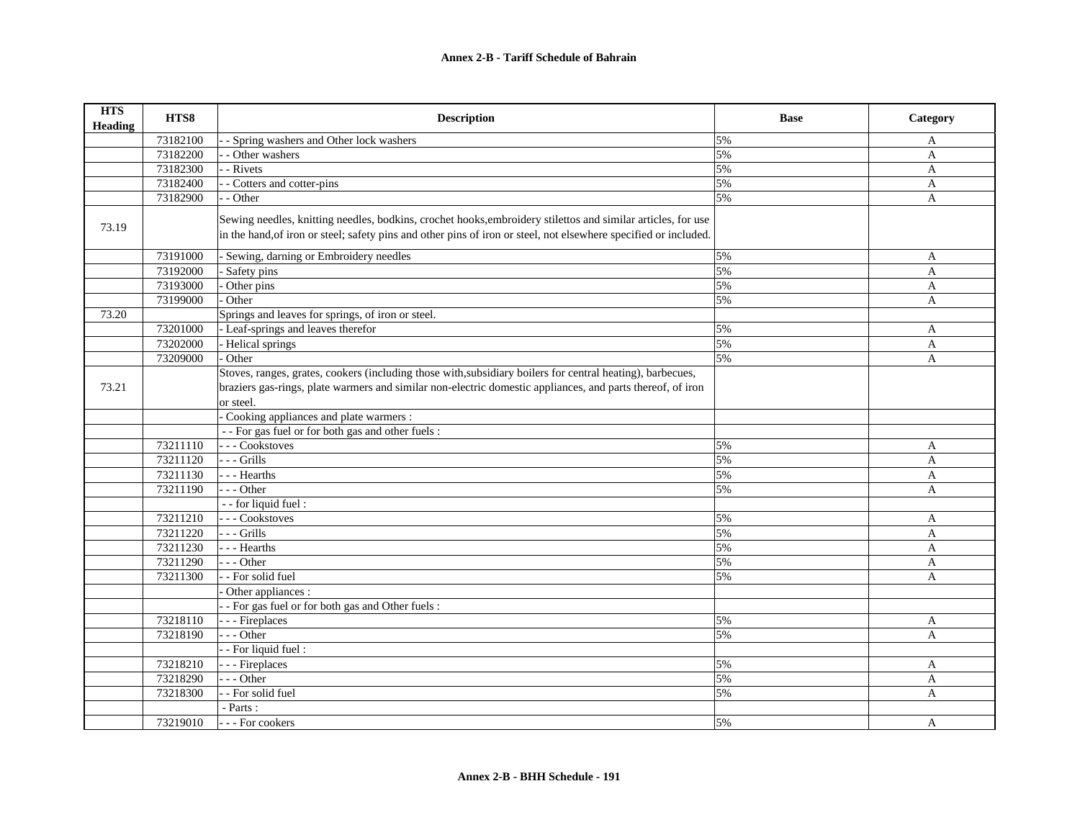| <b>HTS</b><br>Heading | HTS8     | <b>Description</b>                                                                                                                                                                                                                                                              | <b>Base</b> | Category     |
|-----------------------|----------|---------------------------------------------------------------------------------------------------------------------------------------------------------------------------------------------------------------------------------------------------------------------------------|-------------|--------------|
|                       | 73182100 | - Spring washers and Other lock washers                                                                                                                                                                                                                                         | 5%          | A            |
|                       | 73182200 | - Other washers                                                                                                                                                                                                                                                                 | 5%          | A            |
|                       | 73182300 | - Rivets                                                                                                                                                                                                                                                                        | 5%          | A            |
|                       | 73182400 | - Cotters and cotter-pins                                                                                                                                                                                                                                                       | 5%          | A            |
|                       | 73182900 | - Other                                                                                                                                                                                                                                                                         | 5%          | A            |
| 73.19                 |          | Sewing needles, knitting needles, bodkins, crochet hooks, embroidery stilettos and similar articles, for use<br>in the hand, of iron or steel; safety pins and other pins of iron or steel, not elsewhere specified or included.                                                |             |              |
|                       | 73191000 | - Sewing, darning or Embroidery needles                                                                                                                                                                                                                                         | 5%          | A            |
|                       | 73192000 | Safety pins                                                                                                                                                                                                                                                                     | 5%          | A            |
|                       | 73193000 | Other pins                                                                                                                                                                                                                                                                      | 5%          | A            |
|                       | 73199000 | Other                                                                                                                                                                                                                                                                           | 5%          | A            |
| 73.20                 |          | Springs and leaves for springs, of iron or steel.                                                                                                                                                                                                                               |             |              |
|                       | 73201000 | - Leaf-springs and leaves therefor                                                                                                                                                                                                                                              | 5%          | A            |
|                       | 73202000 | - Helical springs                                                                                                                                                                                                                                                               | 5%          | A            |
|                       | 73209000 | - Other                                                                                                                                                                                                                                                                         | 5%          | A            |
| 73.21                 |          | Stoves, ranges, grates, cookers (including those with, subsidiary boilers for central heating), barbecues,<br>braziers gas-rings, plate warmers and similar non-electric domestic appliances, and parts thereof, of iron<br>or steel.<br>Cooking appliances and plate warmers : |             |              |
|                       |          | - - For gas fuel or for both gas and other fuels :                                                                                                                                                                                                                              |             |              |
|                       | 73211110 | --- Cookstoves                                                                                                                                                                                                                                                                  | 5%          | A            |
|                       | 73211120 | - Grills                                                                                                                                                                                                                                                                        | 5%          | A            |
|                       | 73211130 | - - - Hearths                                                                                                                                                                                                                                                                   | 5%          | A            |
|                       | 73211190 | - - - Other                                                                                                                                                                                                                                                                     | 5%          | A            |
|                       |          | - - for liquid fuel :                                                                                                                                                                                                                                                           |             |              |
|                       | 73211210 | --- Cookstoves                                                                                                                                                                                                                                                                  | 5%          | A            |
|                       | 73211220 | $--$ Grills                                                                                                                                                                                                                                                                     | 5%          | A            |
|                       | 73211230 | - - - Hearths                                                                                                                                                                                                                                                                   | 5%          | A            |
|                       | 73211290 | $- -$ Other                                                                                                                                                                                                                                                                     | 5%          | A            |
|                       | 73211300 | - - For solid fuel                                                                                                                                                                                                                                                              | 5%          | $\mathbf{A}$ |
|                       |          | Other appliances :                                                                                                                                                                                                                                                              |             |              |
|                       |          | - For gas fuel or for both gas and Other fuels :                                                                                                                                                                                                                                |             |              |
|                       | 73218110 | - - - Fireplaces                                                                                                                                                                                                                                                                | 5%          | A            |
|                       | 73218190 | $- -$ Other                                                                                                                                                                                                                                                                     | 5%          | A            |
|                       |          | - - For liquid fuel :                                                                                                                                                                                                                                                           |             |              |
|                       | 73218210 | - - - Fireplaces                                                                                                                                                                                                                                                                | 5%          | A            |
|                       | 73218290 | $-$ - Other                                                                                                                                                                                                                                                                     | 5%          | A            |
|                       | 73218300 | - For solid fuel                                                                                                                                                                                                                                                                | 5%          | A            |
|                       |          | - Parts :                                                                                                                                                                                                                                                                       |             |              |
|                       | 73219010 | --- For cookers                                                                                                                                                                                                                                                                 | 5%          | A            |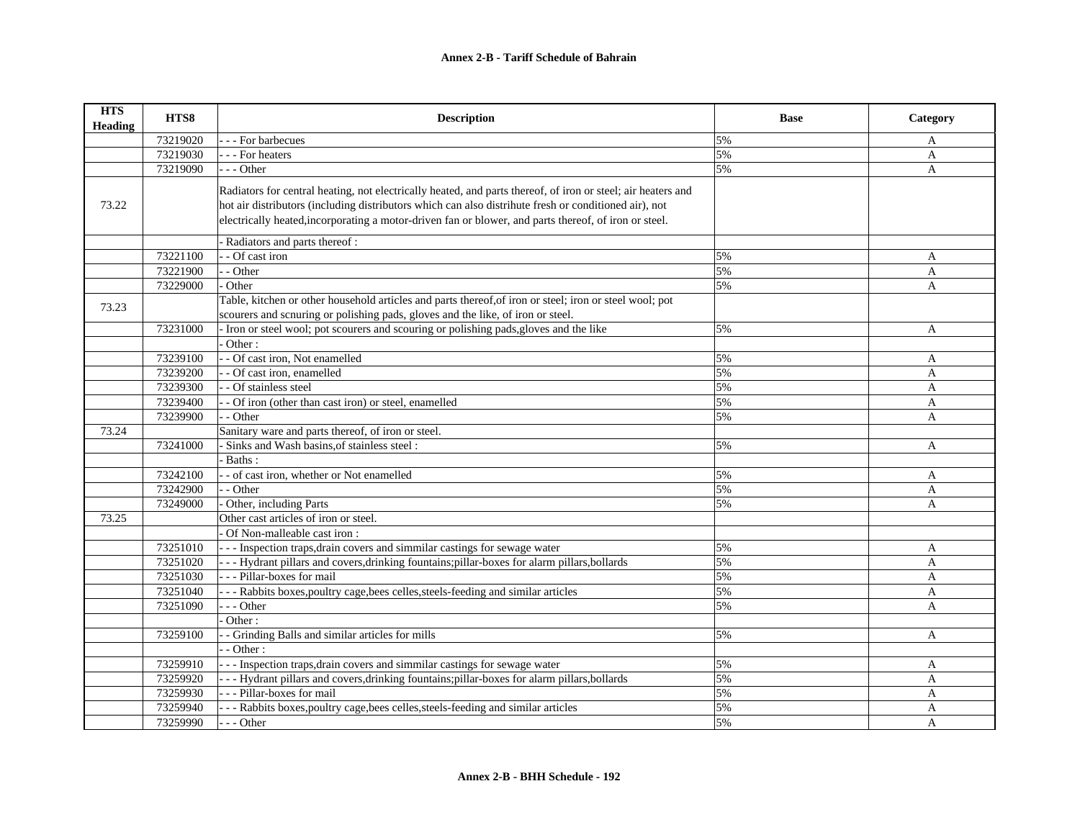| <b>HTS</b><br><b>Heading</b> | HTS8     | <b>Description</b>                                                                                           | <b>Base</b> | Category     |
|------------------------------|----------|--------------------------------------------------------------------------------------------------------------|-------------|--------------|
|                              | 73219020 | - - For barbecues                                                                                            | 5%          | A            |
|                              | 73219030 | - - - For heaters                                                                                            | 5%          | A            |
|                              | 73219090 | --- Other                                                                                                    | 5%          | A            |
|                              |          | Radiators for central heating, not electrically heated, and parts thereof, of iron or steel; air heaters and |             |              |
| 73.22                        |          | hot air distributors (including distributors which can also distrihute fresh or conditioned air), not        |             |              |
|                              |          | electrically heated, incorporating a motor-driven fan or blower, and parts thereof, of iron or steel.        |             |              |
|                              |          |                                                                                                              |             |              |
|                              |          | - Radiators and parts thereof :                                                                              |             |              |
|                              | 73221100 | - Of cast iron                                                                                               | 5%          | A            |
|                              | 73221900 | - - Other                                                                                                    | 5%          | $\mathbf{A}$ |
|                              | 73229000 | Other                                                                                                        | 5%          | A            |
| 73.23                        |          | Table, kitchen or other household articles and parts thereof, of iron or steel; iron or steel wool; pot      |             |              |
|                              |          | scourers and scnuring or polishing pads, gloves and the like, of iron or steel.                              |             |              |
|                              | 73231000 | Iron or steel wool; pot scourers and scouring or polishing pads, gloves and the like                         | 5%          | A            |
|                              |          | Other:                                                                                                       |             |              |
|                              | 73239100 | - Of cast iron, Not enamelled                                                                                | 5%          | A            |
|                              | 73239200 | - Of cast iron, enamelled                                                                                    | 5%          | A            |
|                              | 73239300 | - Of stainless steel                                                                                         | 5%          | $\mathbf{A}$ |
|                              | 73239400 | - Of iron (other than cast iron) or steel, enamelled                                                         | 5%          | A            |
|                              | 73239900 | - Other                                                                                                      | 5%          | A            |
| 73.24                        |          | Sanitary ware and parts thereof, of iron or steel.                                                           |             |              |
|                              | 73241000 | Sinks and Wash basins, of stainless steel:                                                                   | 5%          | A            |
|                              |          | Baths:                                                                                                       |             |              |
|                              | 73242100 | - - of cast iron, whether or Not enamelled                                                                   | 5%          | A            |
|                              | 73242900 | - - Other                                                                                                    | 5%          | A            |
|                              | 73249000 | Other, including Parts                                                                                       | 5%          | A            |
| 73.25                        |          | Other cast articles of iron or steel.                                                                        |             |              |
|                              |          | Of Non-malleable cast iron:                                                                                  |             |              |
|                              | 73251010 | --- Inspection traps, drain covers and simmilar castings for sewage water                                    | 5%          | A            |
|                              | 73251020 | --- Hydrant pillars and covers, drinking fountains; pillar-boxes for alarm pillars, bollards                 | 5%          | A            |
|                              | 73251030 | --- Pillar-boxes for mail                                                                                    | 5%          | $\mathbf{A}$ |
|                              | 73251040 | - - - Rabbits boxes, poultry cage, bees celles, steels-feeding and similar articles                          | 5%          | A            |
|                              | 73251090 | --- Other                                                                                                    | 5%          | $\mathbf{A}$ |
|                              |          | Other:                                                                                                       |             |              |
|                              | 73259100 | - Grinding Balls and similar articles for mills                                                              | 5%          | $\mathbf{A}$ |
|                              |          | - Other:                                                                                                     |             |              |
|                              | 73259910 | - - Inspection traps, drain covers and simmilar castings for sewage water                                    | 5%          | A            |
|                              | 73259920 | --- Hydrant pillars and covers, drinking fountains; pillar-boxes for alarm pillars, bollards                 | 5%          | A            |
|                              | 73259930 | --- Pillar-boxes for mail                                                                                    | 5%          | A            |
|                              | 73259940 | - - - Rabbits boxes, poultry cage, bees celles, steels-feeding and similar articles                          | 5%          | A            |
|                              | 73259990 | --- Other                                                                                                    | 5%          | A            |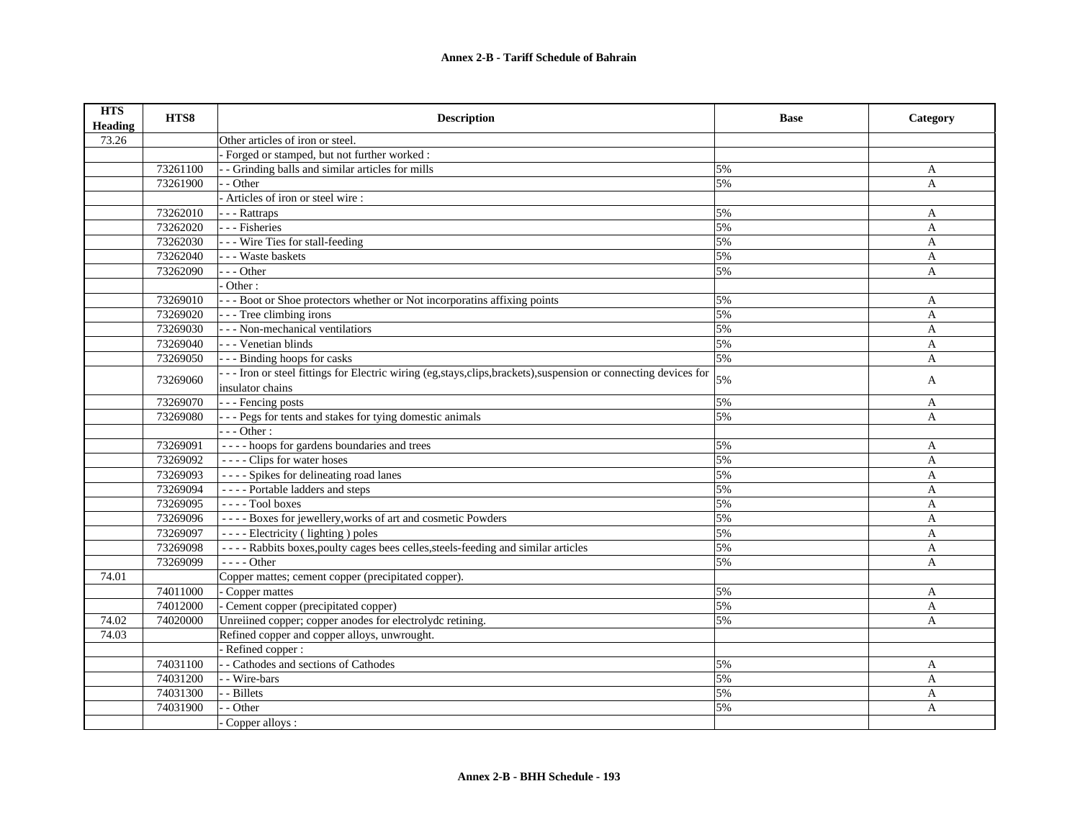| <b>HTS</b><br><b>Heading</b> | HTS8     | <b>Description</b>                                                                                                | <b>Base</b> | Category     |
|------------------------------|----------|-------------------------------------------------------------------------------------------------------------------|-------------|--------------|
| 73.26                        |          | Other articles of iron or steel.                                                                                  |             |              |
|                              |          | - Forged or stamped, but not further worked :                                                                     |             |              |
|                              | 73261100 | - Grinding balls and similar articles for mills                                                                   | 5%          | A            |
|                              | 73261900 | - Other                                                                                                           | 5%          | $\mathbf{A}$ |
|                              |          | - Articles of iron or steel wire :                                                                                |             |              |
|                              | 73262010 | - - - Rattraps                                                                                                    | 5%          | A            |
|                              | 73262020 | - - - Fisheries                                                                                                   | 5%          | A            |
|                              | 73262030 | - - - Wire Ties for stall-feeding                                                                                 | 5%          | $\mathbf{A}$ |
|                              | 73262040 | - - - Waste baskets                                                                                               | 5%          | A            |
|                              | 73262090 | $- -$ Other                                                                                                       | 5%          | A            |
|                              |          | Other:                                                                                                            |             |              |
|                              | 73269010 | --- Boot or Shoe protectors whether or Not incorporatins affixing points                                          | 5%          | A            |
|                              | 73269020 | - - - Tree climbing irons                                                                                         | 5%          | A            |
|                              | 73269030 | - - - Non-mechanical ventilatiors                                                                                 | 5%          | A            |
|                              | 73269040 | - - - Venetian blinds                                                                                             | 5%          | $\mathbf{A}$ |
|                              | 73269050 | --- Binding hoops for casks                                                                                       | 5%          | A            |
|                              | 73269060 | --- Iron or steel fittings for Electric wiring (eg, stays, clips, brackets), suspension or connecting devices for | 5%          | A            |
|                              |          | insulator chains                                                                                                  |             |              |
|                              | 73269070 | - - - Fencing posts                                                                                               | 5%          | A            |
|                              | 73269080 | --- Pegs for tents and stakes for tying domestic animals                                                          | 5%          | A            |
|                              |          | $- -$ Other :                                                                                                     |             |              |
|                              | 73269091 | ---- hoops for gardens boundaries and trees                                                                       | 5%          | A            |
|                              | 73269092 | $---$ Clips for water hoses                                                                                       | 5%          | A            |
|                              | 73269093 | ---- Spikes for delineating road lanes                                                                            | 5%          | A            |
|                              | 73269094 | ---- Portable ladders and steps                                                                                   | 5%          | A            |
|                              | 73269095 | $---$ Tool boxes                                                                                                  | 5%          | A            |
|                              | 73269096 | ---- Boxes for jewellery, works of art and cosmetic Powders                                                       | 5%          | A            |
|                              | 73269097 | ---- Electricity (lighting) poles                                                                                 | 5%          | A            |
|                              | 73269098 | ---- Rabbits boxes, poulty cages bees celles, steels-feeding and similar articles                                 | 5%          | A            |
|                              | 73269099 | $---$ Other                                                                                                       | 5%          | A            |
| 74.01                        |          | Copper mattes; cement copper (precipitated copper).                                                               |             |              |
|                              | 74011000 | - Copper mattes                                                                                                   | 5%          | A            |
|                              | 74012000 | - Cement copper (precipitated copper)                                                                             | 5%          | $\mathbf{A}$ |
| 74.02                        | 74020000 | Unreiined copper; copper anodes for electrolydc retining.                                                         | 5%          | $\mathbf{A}$ |
| 74.03                        |          | Refined copper and copper alloys, unwrought.                                                                      |             |              |
|                              |          | - Refined copper:                                                                                                 |             |              |
|                              | 74031100 | - - Cathodes and sections of Cathodes                                                                             | 5%          | A            |
|                              | 74031200 | - - Wire-bars                                                                                                     | 5%          | A            |
|                              | 74031300 | - Billets                                                                                                         | 5%          | A            |
|                              | 74031900 | - Other                                                                                                           | 5%          | A            |
|                              |          | Copper alloys :                                                                                                   |             |              |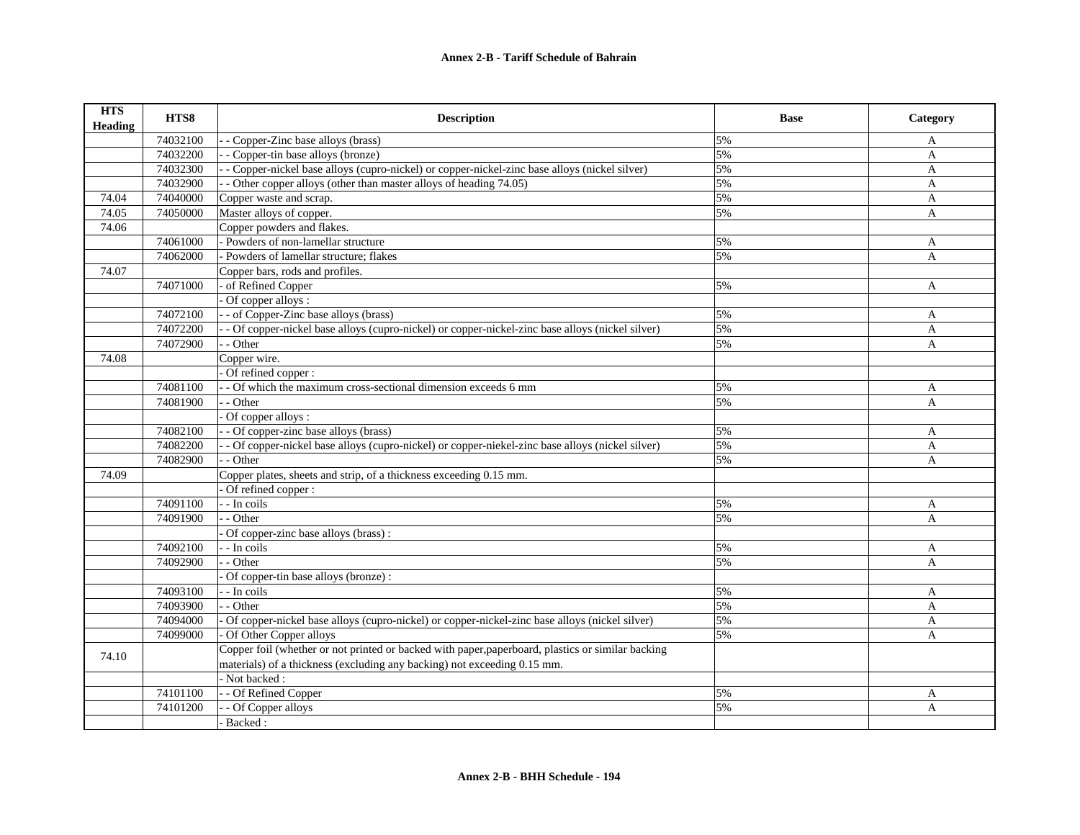| <b>HTS</b><br><b>Heading</b> | HTS8     | <b>Description</b>                                                                                | <b>Base</b> | Category     |
|------------------------------|----------|---------------------------------------------------------------------------------------------------|-------------|--------------|
|                              | 74032100 | Copper-Zinc base alloys (brass)                                                                   | 5%          | A            |
|                              | 74032200 | - Copper-tin base alloys (bronze)                                                                 | 5%          | $\mathbf{A}$ |
|                              | 74032300 | - Copper-nickel base alloys (cupro-nickel) or copper-nickel-zinc base alloys (nickel silver)      | 5%          | $\mathbf{A}$ |
|                              | 74032900 | - Other copper alloys (other than master alloys of heading 74.05)                                 | 5%          | $\mathbf{A}$ |
| 74.04                        | 74040000 | Copper waste and scrap.                                                                           | 5%          | A            |
| 74.05                        | 74050000 | Master alloys of copper.                                                                          | 5%          | $\mathbf{A}$ |
| 74.06                        |          | Copper powders and flakes.                                                                        |             |              |
|                              | 74061000 | - Powders of non-lamellar structure                                                               | 5%          | A            |
|                              | 74062000 | - Powders of lamellar structure; flakes                                                           | 5%          | A            |
| 74.07                        |          | Copper bars, rods and profiles.                                                                   |             |              |
|                              | 74071000 | of Refined Copper                                                                                 | 5%          | A            |
|                              |          | Of copper alloys :                                                                                |             |              |
|                              | 74072100 | - of Copper-Zinc base alloys (brass)                                                              | 5%          | A            |
|                              | 74072200 | - Of copper-nickel base alloys (cupro-nickel) or copper-nickel-zinc base alloys (nickel silver)   | 5%          | A            |
|                              | 74072900 | - Other                                                                                           | 5%          | $\mathbf{A}$ |
| 74.08                        |          | Copper wire.                                                                                      |             |              |
|                              |          | Of refined copper:                                                                                |             |              |
|                              | 74081100 | - Of which the maximum cross-sectional dimension exceeds 6 mm                                     | 5%          | A            |
|                              | 74081900 | - Other                                                                                           | 5%          | $\mathbf{A}$ |
|                              |          | Of copper alloys :                                                                                |             |              |
|                              | 74082100 | - Of copper-zinc base alloys (brass)                                                              | 5%          | A            |
|                              | 74082200 | - Of copper-nickel base alloys (cupro-nickel) or copper-niekel-zinc base alloys (nickel silver)   | 5%          | A            |
|                              | 74082900 | - Other                                                                                           | 5%          | A            |
| 74.09                        |          | Copper plates, sheets and strip, of a thickness exceeding 0.15 mm.                                |             |              |
|                              |          | Of refined copper:                                                                                |             |              |
|                              | 74091100 | - - In coils                                                                                      | 5%          | A            |
|                              | 74091900 | - Other                                                                                           | 5%          | $\mathbf{A}$ |
|                              |          | Of copper-zinc base alloys (brass):                                                               |             |              |
|                              | 74092100 | - In coils                                                                                        | 5%          | A            |
|                              | 74092900 | - Other                                                                                           | 5%          | A            |
|                              |          | Of copper-tin base alloys (bronze):                                                               |             |              |
|                              | 74093100 | - In coils                                                                                        | 5%          | A            |
|                              | 74093900 | - Other                                                                                           | 5%          | $\mathbf{A}$ |
|                              | 74094000 | Of copper-nickel base alloys (cupro-nickel) or copper-nickel-zinc base alloys (nickel silver)     | 5%          | A            |
|                              | 74099000 | Of Other Copper alloys                                                                            | 5%          | A            |
|                              |          | Copper foil (whether or not printed or backed with paper, paperboard, plastics or similar backing |             |              |
| 74.10                        |          | materials) of a thickness (excluding any backing) not exceeding 0.15 mm.                          |             |              |
|                              |          | - Not backed :                                                                                    |             |              |
|                              | 74101100 | - Of Refined Copper                                                                               | 5%          | A            |
|                              | 74101200 | - Of Copper alloys                                                                                | 5%          | A            |
|                              |          | - Backed:                                                                                         |             |              |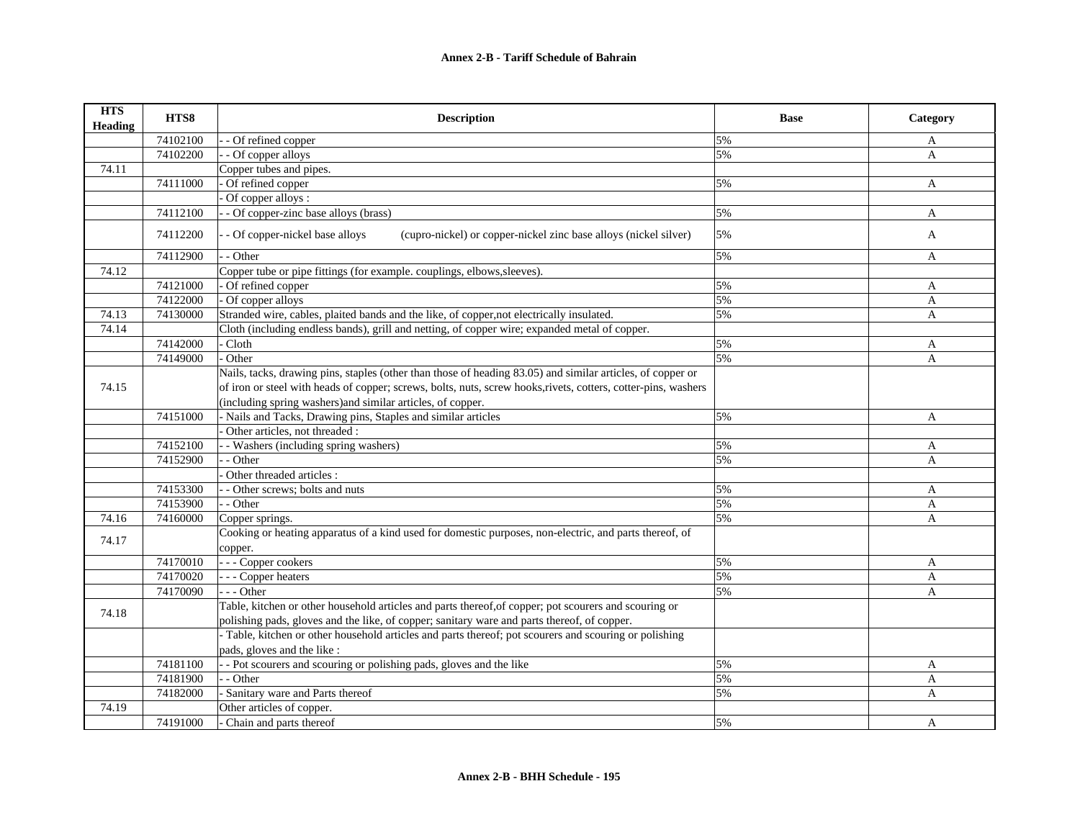| <b>HTS</b><br><b>Heading</b> | HTS8                 | <b>Description</b>                                                                                                                    | <b>Base</b> | Category     |
|------------------------------|----------------------|---------------------------------------------------------------------------------------------------------------------------------------|-------------|--------------|
|                              | 74102100             | - Of refined copper                                                                                                                   | 5%          | A            |
|                              | 74102200             | - Of copper alloys                                                                                                                    | 5%          | $\mathbf{A}$ |
| 74.11                        |                      | Copper tubes and pipes.                                                                                                               |             |              |
|                              | 74111000             | $\overline{O}$ f refined copper                                                                                                       | 5%          | A            |
|                              |                      | Of copper alloys :                                                                                                                    |             |              |
|                              | 74112100             | - Of copper-zinc base alloys (brass)                                                                                                  | 5%          | $\mathbf{A}$ |
|                              | 74112200             | (cupro-nickel) or copper-nickel zinc base alloys (nickel silver)<br>- Of copper-nickel base alloys                                    | 5%          | A            |
|                              | 74112900             | - Other                                                                                                                               | 5%          | A            |
| 74.12                        |                      | Copper tube or pipe fittings (for example. couplings, elbows, sleeves).                                                               |             |              |
|                              | 74121000             | Of refined copper                                                                                                                     | 5%          | A            |
|                              | 74122000             | Of copper alloys                                                                                                                      | 5%          | A            |
| 74.13                        | 74130000             | Stranded wire, cables, plaited bands and the like, of copper, not electrically insulated.                                             | 5%          | A            |
| 74.14                        |                      | Cloth (including endless bands), grill and netting, of copper wire; expanded metal of copper.                                         |             |              |
|                              | 74142000             | Cloth                                                                                                                                 | 5%          | A            |
|                              | 74149000             | Other                                                                                                                                 | 5%          | A            |
|                              |                      | Nails, tacks, drawing pins, staples (other than those of heading 83.05) and similar articles, of copper or                            |             |              |
| 74.15                        |                      | of iron or steel with heads of copper; screws, bolts, nuts, screw hooks, rivets, cotters, cotter-pins, washers                        |             |              |
|                              |                      | (including spring washers) and similar articles, of copper.                                                                           |             |              |
|                              | 74151000             | - Nails and Tacks, Drawing pins, Staples and similar articles                                                                         | 5%          | A            |
|                              |                      | Other articles, not threaded :                                                                                                        |             |              |
|                              | 74152100             | - Washers (including spring washers)                                                                                                  | 5%          | A            |
|                              | 74152900             | - Other                                                                                                                               | 5%          | A            |
|                              |                      | Other threaded articles :                                                                                                             |             |              |
|                              | 74153300             | - Other screws; bolts and nuts                                                                                                        | 5%          | A            |
|                              | 74153900             | - - Other                                                                                                                             | 5%          | A            |
| 74.16                        | 74160000             | Copper springs.                                                                                                                       | 5%          | A            |
| 74.17                        |                      | Cooking or heating apparatus of a kind used for domestic purposes, non-electric, and parts thereof, of<br>copper.                     |             |              |
|                              | 74170010             | - - - Copper cookers                                                                                                                  | 5%          | A            |
|                              | 74170020             | - Copper heaters                                                                                                                      | 5%          | A            |
|                              | 74170090             | $- -$ Other                                                                                                                           | 5%          | A            |
| 74.18                        |                      | Table, kitchen or other household articles and parts thereof, of copper; pot scourers and scouring or                                 |             |              |
|                              |                      | polishing pads, gloves and the like, of copper; sanitary ware and parts thereof, of copper.                                           |             |              |
|                              |                      | - Table, kitchen or other household articles and parts thereof; pot scourers and scouring or polishing<br>pads, gloves and the like : |             |              |
|                              |                      | - Pot scourers and scouring or polishing pads, gloves and the like                                                                    | 5%          |              |
|                              | 74181100<br>74181900 | - Other                                                                                                                               | 5%          | A            |
|                              |                      |                                                                                                                                       |             | A            |
|                              | 74182000             | - Sanitary ware and Parts thereof                                                                                                     | 5%          | A            |
| 74.19                        |                      | Other articles of copper.                                                                                                             |             |              |
|                              | 74191000             | - Chain and parts thereof                                                                                                             | 5%          | A            |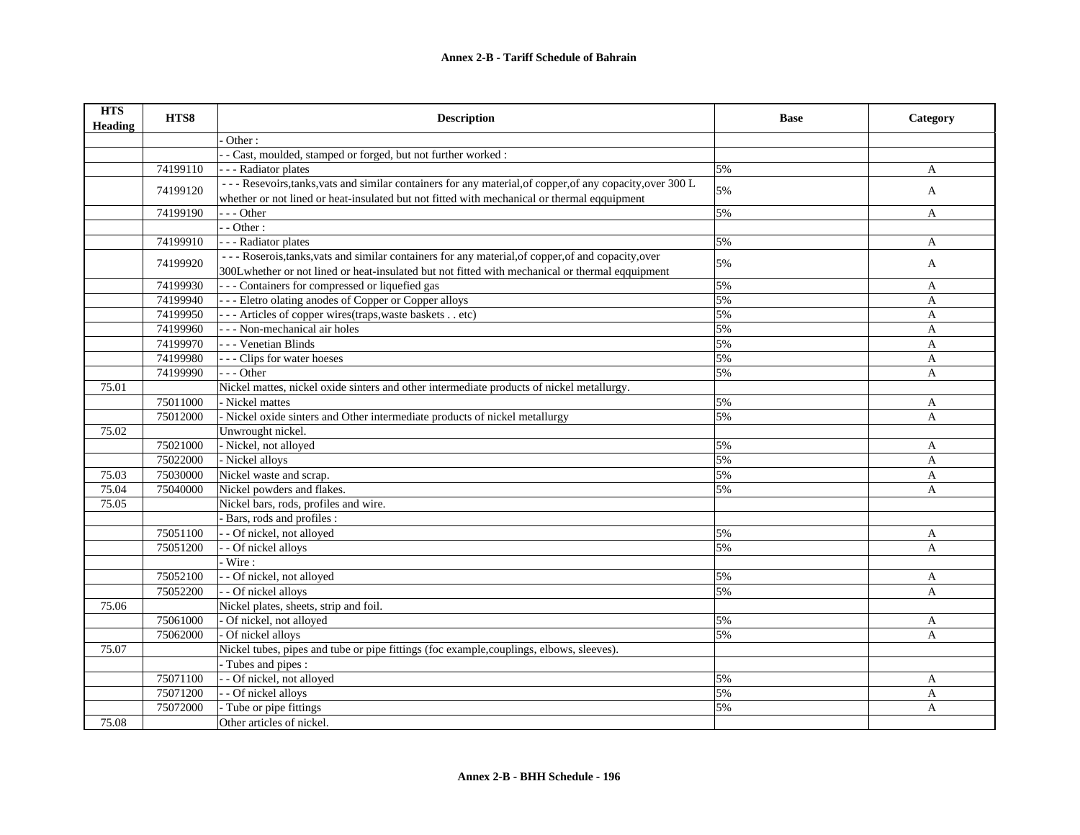| <b>HTS</b><br><b>Heading</b> | HTS8     | <b>Description</b>                                                                                                                                                                                        | <b>Base</b> | Category     |
|------------------------------|----------|-----------------------------------------------------------------------------------------------------------------------------------------------------------------------------------------------------------|-------------|--------------|
|                              |          | Other:                                                                                                                                                                                                    |             |              |
|                              |          | - Cast, moulded, stamped or forged, but not further worked :                                                                                                                                              |             |              |
|                              | 74199110 | - - Radiator plates                                                                                                                                                                                       | 5%          | A            |
|                              | 74199120 | --- Resevoirs, tanks, vats and similar containers for any material, of copper, of any copacity, over 300 L<br>whether or not lined or heat-insulated but not fitted with mechanical or thermal eqquipment | 5%          | A            |
|                              | 74199190 | $- -$ Other                                                                                                                                                                                               | 5%          | A            |
|                              |          | $-Other:$                                                                                                                                                                                                 |             |              |
|                              | 74199910 | - - - Radiator plates                                                                                                                                                                                     | 5%          | A            |
|                              |          | --- Roserois, tanks, vats and similar containers for any material, of copper, of and copacity, over                                                                                                       |             |              |
|                              | 74199920 | 300Lwhether or not lined or heat-insulated but not fitted with mechanical or thermal eqquipment                                                                                                           | 5%          | A            |
|                              | 74199930 | --- Containers for compressed or liquefied gas                                                                                                                                                            | 5%          | A            |
|                              | 74199940 | --- Eletro olating anodes of Copper or Copper alloys                                                                                                                                                      | 5%          | $\mathbf{A}$ |
|                              | 74199950 | --- Articles of copper wires (traps, waste baskets etc)                                                                                                                                                   | 5%          | A            |
|                              | 74199960 | - - - Non-mechanical air holes                                                                                                                                                                            | 5%          | $\mathbf{A}$ |
|                              | 74199970 | - - - Venetian Blinds                                                                                                                                                                                     | 5%          | A            |
|                              | 74199980 | - Clips for water hoeses                                                                                                                                                                                  | 5%          | A            |
|                              | 74199990 | $-$ - Other                                                                                                                                                                                               | 5%          | $\mathbf{A}$ |
| 75.01                        |          | Nickel mattes, nickel oxide sinters and other intermediate products of nickel metallurgy.                                                                                                                 |             |              |
|                              | 75011000 | - Nickel mattes                                                                                                                                                                                           | 5%          | A            |
|                              | 75012000 | - Nickel oxide sinters and Other intermediate products of nickel metallurgy                                                                                                                               | 5%          | A            |
| 75.02                        |          | Unwrought nickel.                                                                                                                                                                                         |             |              |
|                              | 75021000 | - Nickel, not alloyed                                                                                                                                                                                     | 5%          | A            |
|                              | 75022000 | - Nickel alloys                                                                                                                                                                                           | 5%          | A            |
| 75.03                        | 75030000 | Nickel waste and scrap.                                                                                                                                                                                   | 5%          | A            |
| 75.04                        | 75040000 | Nickel powders and flakes.                                                                                                                                                                                | 5%          | A            |
| 75.05                        |          | Nickel bars, rods, profiles and wire.                                                                                                                                                                     |             |              |
|                              |          | - Bars, rods and profiles :                                                                                                                                                                               |             |              |
|                              | 75051100 | - Of nickel, not alloyed                                                                                                                                                                                  | 5%          | A            |
|                              | 75051200 | - Of nickel alloys                                                                                                                                                                                        | 5%          | A            |
|                              |          | Wire:                                                                                                                                                                                                     |             |              |
|                              | 75052100 | - Of nickel, not alloyed                                                                                                                                                                                  | 5%          | $\mathbf{A}$ |
|                              | 75052200 | - Of nickel alloys                                                                                                                                                                                        | 5%          | A            |
| 75.06                        |          | Nickel plates, sheets, strip and foil.                                                                                                                                                                    |             |              |
|                              | 75061000 | Of nickel, not alloyed                                                                                                                                                                                    | 5%          | A            |
|                              | 75062000 | Of nickel alloys                                                                                                                                                                                          | 5%          | A            |
| 75.07                        |          | Nickel tubes, pipes and tube or pipe fittings (foc example, couplings, elbows, sleeves).                                                                                                                  |             |              |
|                              |          | - Tubes and pipes :                                                                                                                                                                                       |             |              |
|                              | 75071100 | - - Of nickel, not alloyed                                                                                                                                                                                | 5%          | A            |
|                              | 75071200 | - Of nickel alloys                                                                                                                                                                                        | 5%          | A            |
|                              | 75072000 | Tube or pipe fittings                                                                                                                                                                                     | 5%          | A            |
| 75.08                        |          | Other articles of nickel.                                                                                                                                                                                 |             |              |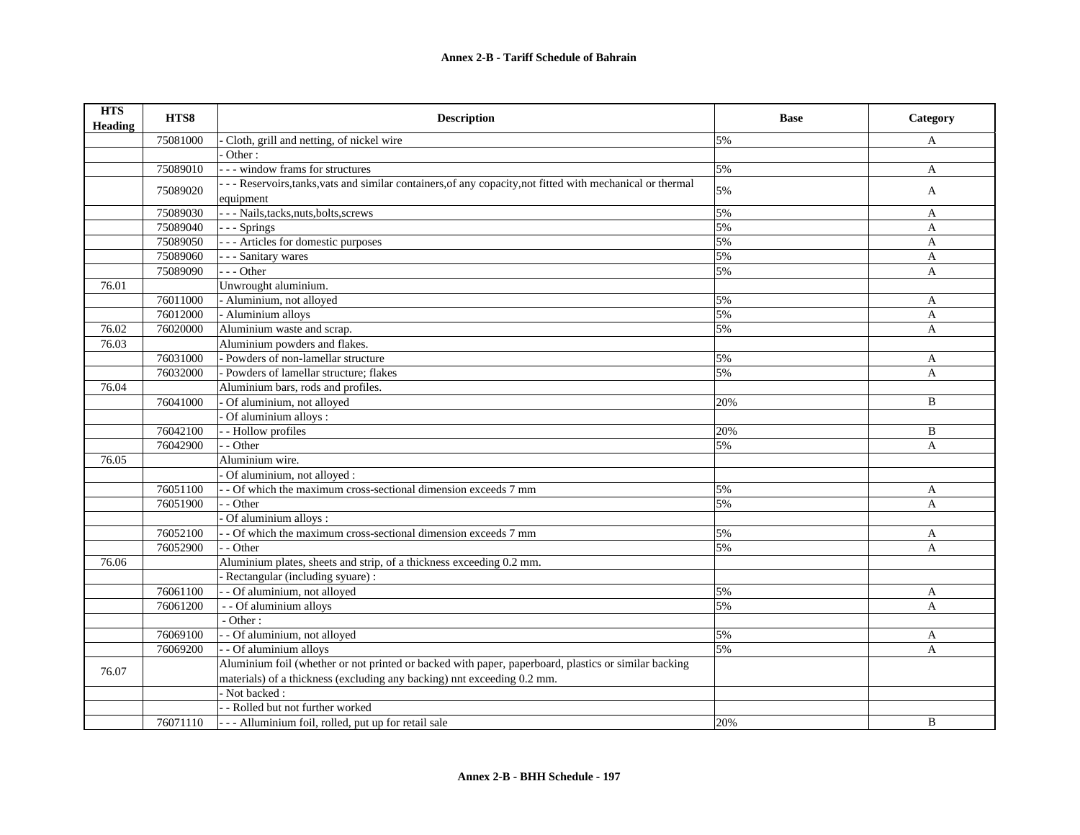| <b>HTS</b><br><b>Heading</b> | HTS8     | <b>Description</b>                                                                                                     | <b>Base</b> | Category     |
|------------------------------|----------|------------------------------------------------------------------------------------------------------------------------|-------------|--------------|
|                              | 75081000 | Cloth, grill and netting, of nickel wire                                                                               | 5%          | A            |
|                              |          | Other:                                                                                                                 |             |              |
|                              | 75089010 | --- window frams for structures                                                                                        | 5%          | A            |
|                              | 75089020 | -- Reservoirs, tanks, vats and similar containers, of any copacity, not fitted with mechanical or thermal<br>equipment | 5%          | A            |
|                              | 75089030 | - - - Nails, tacks, nuts, bolts, screws                                                                                | 5%          | A            |
|                              | 75089040 | - - - Springs                                                                                                          | 5%          | A            |
|                              | 75089050 | - - - Articles for domestic purposes                                                                                   | 5%          | A            |
|                              | 75089060 | - - Sanitary wares                                                                                                     | 5%          | A            |
|                              | 75089090 | $- -$ Other                                                                                                            | 5%          | A            |
| 76.01                        |          | Unwrought aluminium.                                                                                                   |             |              |
|                              | 76011000 | - Aluminium, not alloyed                                                                                               | 5%          | A            |
|                              | 76012000 | - Aluminium alloys                                                                                                     | 5%          | A            |
| 76.02                        | 76020000 | Aluminium waste and scrap.                                                                                             | 5%          | A            |
| 76.03                        |          | Aluminium powders and flakes.                                                                                          |             |              |
|                              | 76031000 | - Powders of non-lamellar structure                                                                                    | 5%          | A            |
|                              | 76032000 | - Powders of lamellar structure: flakes                                                                                | 5%          | $\mathbf{A}$ |
| 76.04                        |          | Aluminium bars, rods and profiles.                                                                                     |             |              |
|                              | 76041000 | Of aluminium, not alloyed                                                                                              | 20%         | B            |
|                              |          | Of aluminium alloys :                                                                                                  |             |              |
|                              | 76042100 | - Hollow profiles                                                                                                      | 20%         | B            |
|                              | 76042900 | - Other                                                                                                                | 5%          | A            |
| 76.05                        |          | Aluminium wire.                                                                                                        |             |              |
|                              |          | Of aluminium, not alloyed :                                                                                            |             |              |
|                              | 76051100 | - Of which the maximum cross-sectional dimension exceeds 7 mm                                                          | 5%          | A            |
|                              | 76051900 | - Other                                                                                                                | 5%          | A            |
|                              |          | Of aluminium alloys :                                                                                                  |             |              |
|                              | 76052100 | - Of which the maximum cross-sectional dimension exceeds 7 mm                                                          | 5%          | A            |
|                              | 76052900 | - Other                                                                                                                | 5%          | A            |
| 76.06                        |          | Aluminium plates, sheets and strip, of a thickness exceeding 0.2 mm.                                                   |             |              |
|                              |          | Rectangular (including syuare) :                                                                                       |             |              |
|                              | 76061100 | - Of aluminium, not alloyed                                                                                            | 5%          | A            |
|                              | 76061200 | - - Of aluminium alloys                                                                                                | 5%          | $\mathbf{A}$ |
|                              |          | - Other:                                                                                                               |             |              |
|                              | 76069100 | - Of aluminium, not alloyed                                                                                            | 5%          | A            |
|                              | 76069200 | - Of aluminium alloys                                                                                                  | 5%          | A            |
| 76.07                        |          | Aluminium foil (whether or not printed or backed with paper, paperboard, plastics or similar backing                   |             |              |
|                              |          | materials) of a thickness (excluding any backing) nnt exceeding 0.2 mm.                                                |             |              |
|                              |          | - Not backed:                                                                                                          |             |              |
|                              |          | - Rolled but not further worked                                                                                        |             |              |
|                              | 76071110 | - - - Alluminium foil, rolled, put up for retail sale                                                                  | 20%         | B            |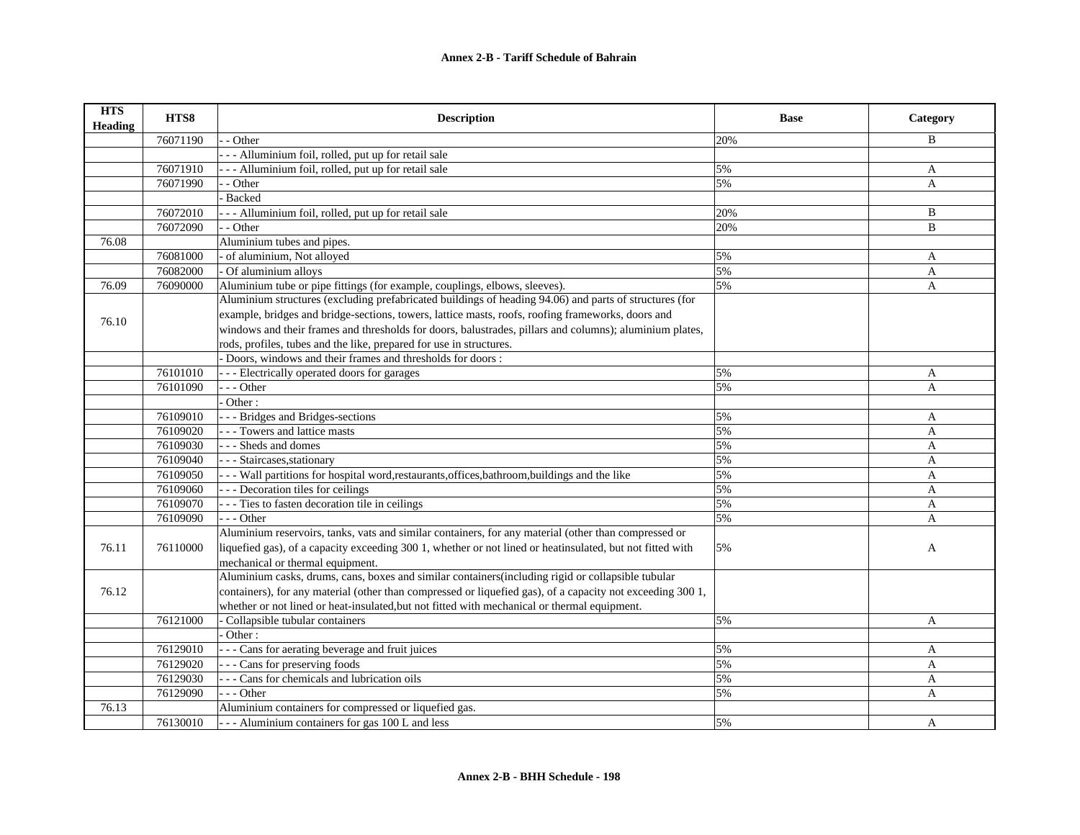| <b>HTS</b><br><b>Heading</b> | HTS8     | <b>Description</b>                                                                                         | <b>Base</b> | Category     |
|------------------------------|----------|------------------------------------------------------------------------------------------------------------|-------------|--------------|
|                              | 76071190 | - Other                                                                                                    | 20%         | B            |
|                              |          | -- Alluminium foil, rolled, put up for retail sale                                                         |             |              |
|                              | 76071910 | - - - Alluminium foil, rolled, put up for retail sale                                                      | 5%          | $\mathbf{A}$ |
|                              | 76071990 | - Other                                                                                                    | 5%          | $\mathbf{A}$ |
|                              |          | <b>Backed</b>                                                                                              |             |              |
|                              | 76072010 | - - - Alluminium foil, rolled, put up for retail sale                                                      | 20%         | B            |
|                              | 76072090 | - - Other                                                                                                  | 20%         | $\mathbf{B}$ |
| 76.08                        |          | Aluminium tubes and pipes.                                                                                 |             |              |
|                              | 76081000 | - of aluminium, Not alloyed                                                                                | 5%          | A            |
|                              | 76082000 | - Of aluminium alloys                                                                                      | 5%          | $\mathbf{A}$ |
| 76.09                        | 76090000 | Aluminium tube or pipe fittings (for example, couplings, elbows, sleeves).                                 | 5%          | $\mathbf{A}$ |
|                              |          | Aluminium structures (excluding prefabricated buildings of heading 94.06) and parts of structures (for     |             |              |
|                              |          | example, bridges and bridge-sections, towers, lattice masts, roofs, roofing frameworks, doors and          |             |              |
| 76.10                        |          | windows and their frames and thresholds for doors, balustrades, pillars and columns); aluminium plates,    |             |              |
|                              |          | rods, profiles, tubes and the like, prepared for use in structures.                                        |             |              |
|                              |          | Doors, windows and their frames and thresholds for doors:                                                  |             |              |
|                              | 76101010 | --- Electrically operated doors for garages                                                                | 5%          | A            |
|                              | 76101090 | - - - Other                                                                                                | 5%          | $\mathbf{A}$ |
|                              |          | Other:                                                                                                     |             |              |
|                              | 76109010 | --- Bridges and Bridges-sections                                                                           | 5%          | A            |
|                              | 76109020 | - - - Towers and lattice masts                                                                             | 5%          | A            |
|                              | 76109030 | --- Sheds and domes                                                                                        | 5%          | $\mathbf{A}$ |
|                              | 76109040 | - - - Staircases, stationary                                                                               | 5%          | $\mathbf{A}$ |
|                              | 76109050 | - - - Wall partitions for hospital word, restaurants, offices, bathroom, buildings and the like            | 5%          | A            |
|                              | 76109060 | - - - Decoration tiles for ceilings                                                                        | 5%          | $\mathbf{A}$ |
|                              | 76109070 | - - - Ties to fasten decoration tile in ceilings                                                           | 5%          | $\mathbf{A}$ |
|                              | 76109090 | - - - Other                                                                                                | 5%          | A            |
|                              |          | Aluminium reservoirs, tanks, vats and similar containers, for any material (other than compressed or       |             |              |
| 76.11                        | 76110000 | liquefied gas), of a capacity exceeding 300 1, whether or not lined or heatinsulated, but not fitted with  | 5%          | A            |
|                              |          | mechanical or thermal equipment.                                                                           |             |              |
|                              |          | Aluminium casks, drums, cans, boxes and similar containers(including rigid or collapsible tubular          |             |              |
| 76.12                        |          | containers), for any material (other than compressed or liquefied gas), of a capacity not exceeding 300 1, |             |              |
|                              |          | whether or not lined or heat-insulated, but not fitted with mechanical or thermal equipment.               |             |              |
|                              | 76121000 | Collapsible tubular containers                                                                             | 5%          | $\mathbf{A}$ |
|                              |          | Other:                                                                                                     |             |              |
|                              | 76129010 | - - - Cans for aerating beverage and fruit juices                                                          | 5%          | A            |
|                              | 76129020 | - - - Cans for preserving foods                                                                            | 5%          | $\mathbf{A}$ |
|                              | 76129030 | - - - Cans for chemicals and lubrication oils                                                              | 5%          | $\mathbf{A}$ |
|                              | 76129090 | $- -$ Other                                                                                                | 5%          | A            |
| 76.13                        |          | Aluminium containers for compressed or liquefied gas.                                                      |             |              |
|                              | 76130010 | --- Aluminium containers for gas 100 L and less                                                            | 5%          | A            |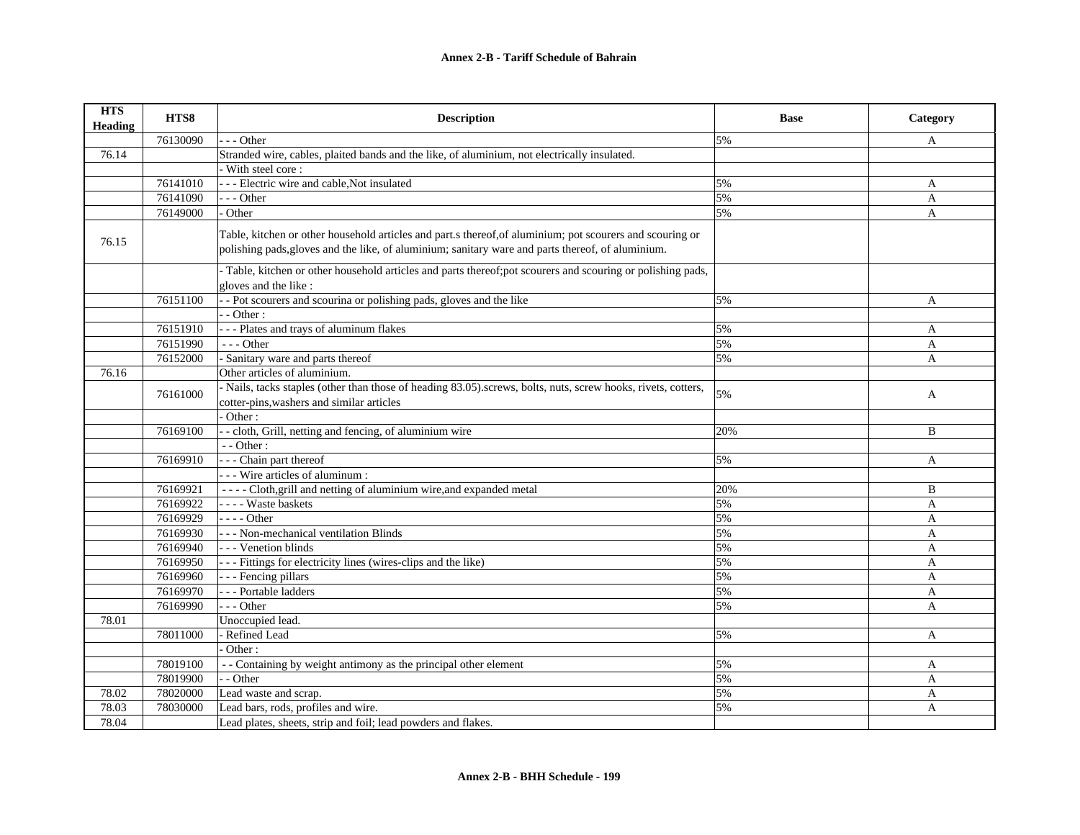| <b>HTS</b><br><b>Heading</b> | HTS8     | <b>Description</b>                                                                                                                                                                                             | <b>Base</b> | Category     |
|------------------------------|----------|----------------------------------------------------------------------------------------------------------------------------------------------------------------------------------------------------------------|-------------|--------------|
|                              | 76130090 | - - Other                                                                                                                                                                                                      | 5%          | A            |
| 76.14                        |          | Stranded wire, cables, plaited bands and the like, of aluminium, not electrically insulated.                                                                                                                   |             |              |
|                              |          | - With steel core:                                                                                                                                                                                             |             |              |
|                              | 76141010 | - - - Electric wire and cable, Not insulated                                                                                                                                                                   | 5%          | A            |
|                              | 76141090 | --- Other                                                                                                                                                                                                      | 5%          | A            |
|                              | 76149000 | Other                                                                                                                                                                                                          | 5%          | $\mathbf{A}$ |
| 76.15                        |          | Table, kitchen or other household articles and part.s thereof, of aluminium; pot scourers and scouring or<br>polishing pads, gloves and the like, of aluminium; sanitary ware and parts thereof, of aluminium. |             |              |
|                              |          | - Table, kitchen or other household articles and parts thereof;pot scourers and scouring or polishing pads,<br>gloves and the like:                                                                            |             |              |
|                              | 76151100 | - Pot scourers and scourina or polishing pads, gloves and the like                                                                                                                                             | 5%          | A            |
|                              |          | - Other:                                                                                                                                                                                                       |             |              |
|                              | 76151910 | --- Plates and trays of aluminum flakes                                                                                                                                                                        | 5%          | A            |
|                              | 76151990 | $- -$ Other                                                                                                                                                                                                    | 5%          | $\mathbf{A}$ |
|                              | 76152000 | - Sanitary ware and parts thereof                                                                                                                                                                              | 5%          | A            |
| 76.16                        |          | Other articles of aluminium.                                                                                                                                                                                   |             |              |
|                              | 76161000 | - Nails, tacks staples (other than those of heading 83.05).screws, bolts, nuts, screw hooks, rivets, cotters,                                                                                                  | 5%          | A            |
|                              |          | cotter-pins, washers and similar articles                                                                                                                                                                      |             |              |
|                              |          | Other:                                                                                                                                                                                                         |             |              |
|                              | 76169100 | - - cloth, Grill, netting and fencing, of aluminium wire                                                                                                                                                       | 20%         | B            |
|                              |          | - - Other:                                                                                                                                                                                                     |             |              |
|                              | 76169910 | - - - Chain part thereof                                                                                                                                                                                       | 5%          | A            |
|                              |          | - - - Wire articles of aluminum :                                                                                                                                                                              |             |              |
|                              | 76169921 | - - - - Cloth, grill and netting of aluminium wire, and expanded metal                                                                                                                                         | 20%         | B            |
|                              | 76169922 | - - - - Waste baskets                                                                                                                                                                                          | 5%          | A            |
|                              | 76169929 | $---Other$                                                                                                                                                                                                     | 5%          | $\mathbf{A}$ |
|                              | 76169930 | - - - Non-mechanical ventilation Blinds                                                                                                                                                                        | 5%          | A            |
|                              | 76169940 | - - - Venetion blinds                                                                                                                                                                                          | 5%          | $\mathbf{A}$ |
|                              | 76169950 | --- Fittings for electricity lines (wires-clips and the like)                                                                                                                                                  | 5%          | $\mathbf{A}$ |
|                              | 76169960 | - - - Fencing pillars                                                                                                                                                                                          | 5%          | A            |
|                              | 76169970 | - - - Portable ladders                                                                                                                                                                                         | 5%          | A            |
|                              | 76169990 | $- -$ Other                                                                                                                                                                                                    | 5%          | $\mathbf{A}$ |
| 78.01                        |          | Unoccupied lead.                                                                                                                                                                                               |             |              |
|                              | 78011000 | - Refined Lead                                                                                                                                                                                                 | 5%          | A            |
|                              |          | Other:                                                                                                                                                                                                         |             |              |
|                              | 78019100 | - - Containing by weight antimony as the principal other element                                                                                                                                               | 5%          | A            |
|                              | 78019900 | - Other                                                                                                                                                                                                        | 5%          | A            |
| 78.02                        | 78020000 | Lead waste and scrap.                                                                                                                                                                                          | 5%          | A            |
| 78.03                        | 78030000 | Lead bars, rods, profiles and wire.                                                                                                                                                                            | 5%          | A            |
| 78.04                        |          | Lead plates, sheets, strip and foil; lead powders and flakes.                                                                                                                                                  |             |              |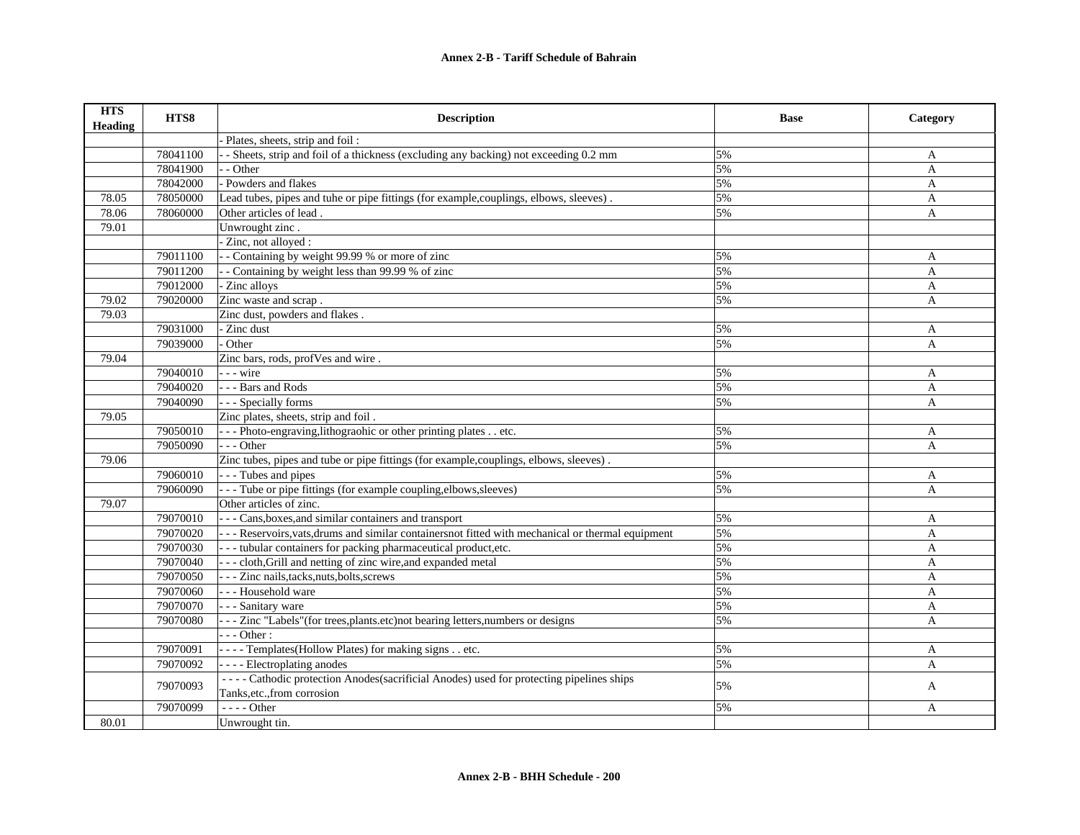| <b>HTS</b><br><b>Heading</b> | HTS8     | <b>Description</b>                                                                                   | <b>Base</b> | Category     |
|------------------------------|----------|------------------------------------------------------------------------------------------------------|-------------|--------------|
|                              |          | Plates, sheets, strip and foil:                                                                      |             |              |
|                              | 78041100 | - Sheets, strip and foil of a thickness (excluding any backing) not exceeding 0.2 mm                 | 5%          | A            |
|                              | 78041900 | - Other                                                                                              | 5%          | A            |
|                              | 78042000 | - Powders and flakes                                                                                 | 5%          | A            |
| 78.05                        | 78050000 | Lead tubes, pipes and tuhe or pipe fittings (for example, couplings, elbows, sleeves).               | 5%          | A            |
| 78.06                        | 78060000 | Other articles of lead.                                                                              | 5%          | A            |
| 79.01                        |          | Unwrought zinc.                                                                                      |             |              |
|                              |          | Zinc, not alloyed :                                                                                  |             |              |
|                              | 79011100 | - Containing by weight 99.99 % or more of zinc                                                       | 5%          | A            |
|                              | 79011200 | - Containing by weight less than 99.99 % of zinc                                                     | 5%          | $\mathbf{A}$ |
|                              | 79012000 | Zinc alloys                                                                                          | 5%          | A            |
| 79.02                        | 79020000 | Zinc waste and scrap.                                                                                | 5%          | A            |
| 79.03                        |          | Zinc dust, powders and flakes.                                                                       |             |              |
|                              | 79031000 | Zinc dust                                                                                            | 5%          | A            |
|                              | 79039000 | Other                                                                                                | 5%          | A            |
| 79.04                        |          | Zinc bars, rods, profVes and wire.                                                                   |             |              |
|                              | 79040010 | - - - wire                                                                                           | 5%          | A            |
|                              | 79040020 | --- Bars and Rods                                                                                    | 5%          | A            |
|                              | 79040090 | - - - Specially forms                                                                                | 5%          | A            |
| 79.05                        |          | Zinc plates, sheets, strip and foil.                                                                 |             |              |
|                              | 79050010 | - - - Photo-engraving, lithograohic or other printing plates etc.                                    | 5%          | A            |
|                              | 79050090 | $- -$ Other                                                                                          | 5%          | A            |
| 79.06                        |          | Zinc tubes, pipes and tube or pipe fittings (for example, couplings, elbows, sleeves).               |             |              |
|                              | 79060010 | - - - Tubes and pipes                                                                                | 5%          | A            |
|                              | 79060090 | - - - Tube or pipe fittings (for example coupling, elbows, sleeves)                                  | 5%          | $\mathbf{A}$ |
| 79.07                        |          | Other articles of zinc.                                                                              |             |              |
|                              | 79070010 | - - - Cans, boxes, and similar containers and transport                                              | 5%          | A            |
|                              | 79070020 | - - - Reservoirs, vats, drums and similar containers not fitted with mechanical or thermal equipment | 5%          | A            |
|                              | 79070030 | --- tubular containers for packing pharmaceutical product, etc.                                      | 5%          | A            |
|                              | 79070040 | - - - cloth, Grill and netting of zinc wire, and expanded metal                                      | 5%          | A            |
|                              | 79070050 | - - - Zinc nails, tacks, nuts, bolts, screws                                                         | 5%          | A            |
|                              | 79070060 | --- Household ware                                                                                   | 5%          | A            |
|                              | 79070070 | - - - Sanitary ware                                                                                  | 5%          | A            |
|                              | 79070080 | - - - Zinc "Labels" (for trees, plants.etc) not bearing letters, numbers or designs                  | 5%          | A            |
|                              |          | $- -$ Other :                                                                                        |             |              |
|                              | 79070091 | ---- Templates(Hollow Plates) for making signs etc.                                                  | 5%          | A            |
|                              | 79070092 | - - - - Electroplating anodes                                                                        | 5%          | A            |
|                              | 79070093 | ---- Cathodic protection Anodes (sacrificial Anodes) used for protecting pipelines ships             | 5%          |              |
|                              |          | Tanks, etc., from corrosion                                                                          |             | A            |
|                              | 79070099 | $---Other$                                                                                           | 5%          | A            |
| 80.01                        |          | Unwrought tin.                                                                                       |             |              |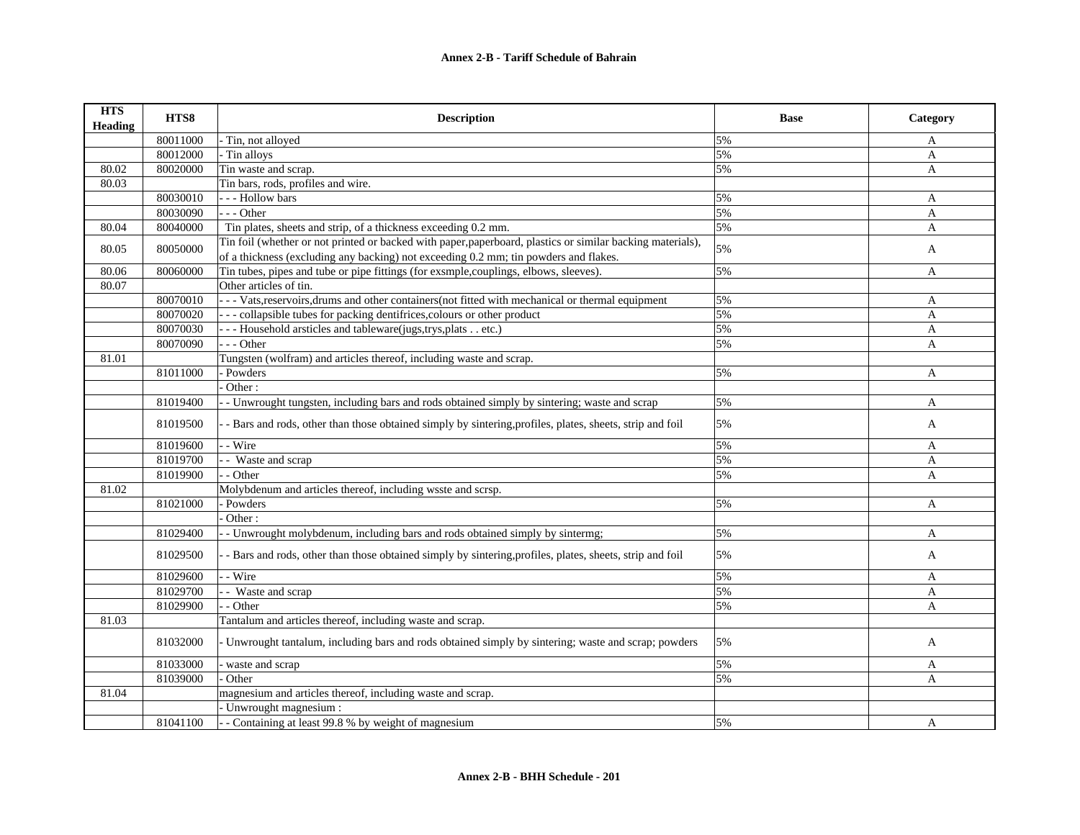| <b>HTS</b><br><b>Heading</b> | HTS8     | <b>Description</b>                                                                                         | <b>Base</b> | Category     |
|------------------------------|----------|------------------------------------------------------------------------------------------------------------|-------------|--------------|
|                              | 80011000 | Tin, not alloyed                                                                                           | 5%          | A            |
|                              | 80012000 | - Tin alloys                                                                                               | 5%          | A            |
| 80.02                        | 80020000 | Tin waste and scrap.                                                                                       | 5%          | $\mathbf{A}$ |
| 80.03                        |          | Tin bars, rods, profiles and wire.                                                                         |             |              |
|                              | 80030010 | --- Hollow bars                                                                                            | 5%          | A            |
|                              | 80030090 | $-$ - Other                                                                                                | 5%          | A            |
| 80.04                        | 80040000 | Tin plates, sheets and strip, of a thickness exceeding 0.2 mm.                                             | 5%          | $\mathbf{A}$ |
| 80.05                        | 80050000 | Tin foil (whether or not printed or backed with paper, paperboard, plastics or similar backing materials), | 5%          | A            |
|                              |          | of a thickness (excluding any backing) not exceeding 0.2 mm; tin powders and flakes.                       |             |              |
| 80.06                        | 80060000 | Tin tubes, pipes and tube or pipe fittings (for exsmple, couplings, elbows, sleeves).                      | 5%          | A            |
| 80.07                        |          | Other articles of tin.                                                                                     |             |              |
|                              | 80070010 | - - - Vats, reservoirs, drums and other containers (not fitted with mechanical or thermal equipment        | 5%          | A            |
|                              | 80070020 | --- collapsible tubes for packing dentifrices, colours or other product                                    | 5%          | A            |
|                              | 80070030 | -- Household arsticles and tableware(jugs,trys,plats etc.)                                                 | 5%          | A            |
|                              | 80070090 | $- -$ Other                                                                                                | 5%          | $\mathbf{A}$ |
| 81.01                        |          | Tungsten (wolfram) and articles thereof, including waste and scrap.                                        |             |              |
|                              | 81011000 | - Powders                                                                                                  | 5%          | A            |
|                              |          | Other:                                                                                                     |             |              |
|                              | 81019400 | - Unwrought tungsten, including bars and rods obtained simply by sintering; waste and scrap                | 5%          | A            |
|                              | 81019500 | - Bars and rods, other than those obtained simply by sintering, profiles, plates, sheets, strip and foil   | 5%          | A            |
|                              | 81019600 | - Wire                                                                                                     | 5%          | A            |
|                              | 81019700 | - Waste and scrap                                                                                          | 5%          | A            |
|                              | 81019900 | - Other                                                                                                    | 5%          | A            |
| 81.02                        |          | Molybdenum and articles thereof, including wsste and scrsp.                                                |             |              |
|                              | 81021000 | - Powders                                                                                                  | 5%          | A            |
|                              |          | Other:                                                                                                     |             |              |
|                              | 81029400 | - Unwrought molybdenum, including bars and rods obtained simply by sintermg;                               | 5%          | A            |
|                              | 81029500 | - Bars and rods, other than those obtained simply by sintering, profiles, plates, sheets, strip and foil   | 5%          | A            |
|                              | 81029600 | - Wire                                                                                                     | 5%          | A            |
|                              | 81029700 | - Waste and scrap                                                                                          | 5%          | A            |
|                              | 81029900 | - Other                                                                                                    | 5%          | $\mathbf{A}$ |
| 81.03                        |          | Tantalum and articles thereof, including waste and scrap.                                                  |             |              |
|                              | 81032000 | Unwrought tantalum, including bars and rods obtained simply by sintering; waste and scrap; powders         | 5%          | A            |
|                              | 81033000 | waste and scrap                                                                                            | 5%          | A            |
|                              | 81039000 | Other                                                                                                      | 5%          | A            |
| 81.04                        |          | magnesium and articles thereof, including waste and scrap.                                                 |             |              |
|                              |          | - Unwrought magnesium :                                                                                    |             |              |
|                              | 81041100 | -- Containing at least 99.8 % by weight of magnesium                                                       | 5%          | A            |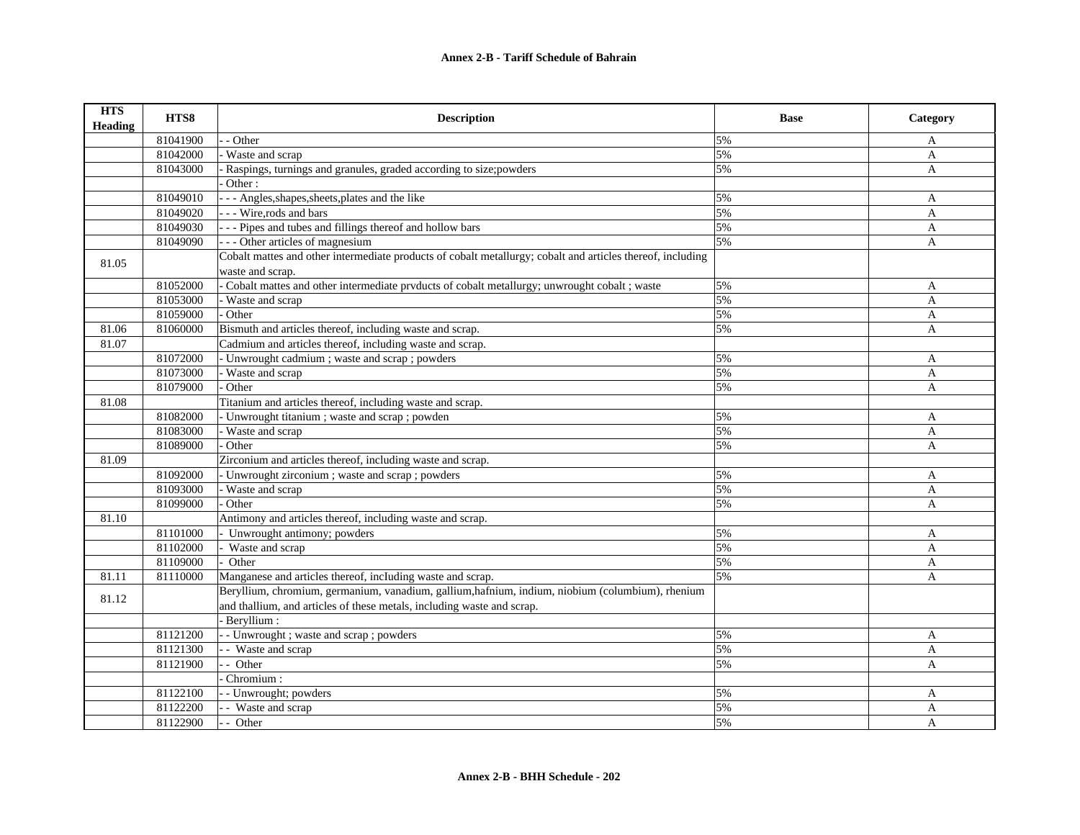| <b>HTS</b><br><b>Heading</b> | HTS8     | <b>Description</b>                                                                                         | <b>Base</b> | Category     |
|------------------------------|----------|------------------------------------------------------------------------------------------------------------|-------------|--------------|
|                              | 81041900 | - Other                                                                                                    | 5%          | A            |
|                              | 81042000 | Waste and scrap                                                                                            | 5%          | $\mathbf{A}$ |
|                              | 81043000 | Raspings, turnings and granules, graded according to size; powders                                         | 5%          | A            |
|                              |          | Other:                                                                                                     |             |              |
|                              | 81049010 | - - - Angles, shapes, sheets, plates and the like                                                          | 5%          | A            |
|                              | 81049020 | --- Wire, rods and bars                                                                                    | 5%          | A            |
|                              | 81049030 | - - - Pipes and tubes and fillings thereof and hollow bars                                                 | 5%          | A            |
|                              | 81049090 | --- Other articles of magnesium                                                                            | 5%          | A            |
|                              |          | Cobalt mattes and other intermediate products of cobalt metallurgy; cobalt and articles thereof, including |             |              |
| 81.05                        |          | waste and scrap.                                                                                           |             |              |
|                              | 81052000 | Cobalt mattes and other intermediate prvducts of cobalt metallurgy; unwrought cobalt ; waste               | 5%          | A            |
|                              | 81053000 | Waste and scrap                                                                                            | 5%          | $\mathbf{A}$ |
|                              | 81059000 | Other                                                                                                      | 5%          | A            |
| 81.06                        | 81060000 | Bismuth and articles thereof, including waste and scrap.                                                   | 5%          | A            |
| 81.07                        |          | Cadmium and articles thereof, including waste and scrap.                                                   |             |              |
|                              | 81072000 | - Unwrought cadmium ; waste and scrap ; powders                                                            | 5%          | $\mathbf{A}$ |
|                              | 81073000 | Waste and scrap                                                                                            | 5%          | A            |
|                              | 81079000 | Other                                                                                                      | 5%          | A            |
| 81.08                        |          | Titanium and articles thereof, including waste and scrap.                                                  |             |              |
|                              | 81082000 | - Unwrought titanium; waste and scrap; powden                                                              | 5%          | A            |
|                              | 81083000 | Waste and scrap                                                                                            | 5%          | A            |
|                              | 81089000 | Other                                                                                                      | 5%          | A            |
| 81.09                        |          | Zirconium and articles thereof, including waste and scrap.                                                 |             |              |
|                              | 81092000 | - Unwrought zirconium; waste and scrap; powders                                                            | 5%          | A            |
|                              | 81093000 | Waste and scrap                                                                                            | 5%          | A            |
|                              | 81099000 | Other                                                                                                      | 5%          | A            |
| 81.10                        |          | Antimony and articles thereof, including waste and scrap.                                                  |             |              |
|                              | 81101000 | - Unwrought antimony; powders                                                                              | 5%          | A            |
|                              | 81102000 | Waste and scrap                                                                                            | 5%          | A            |
|                              | 81109000 | Other                                                                                                      | 5%          | $\mathbf{A}$ |
| 81.11                        | 81110000 | Manganese and articles thereof, including waste and scrap.                                                 | 5%          | A            |
| 81.12                        |          | Beryllium, chromium, germanium, vanadium, gallium, hafnium, indium, niobium (columbium), rhenium           |             |              |
|                              |          | and thallium, and articles of these metals, including waste and scrap.                                     |             |              |
|                              |          | Beryllium:                                                                                                 |             |              |
|                              | 81121200 | - - Unwrought ; waste and scrap ; powders                                                                  | 5%          | A            |
|                              | 81121300 | - Waste and scrap                                                                                          | 5%          | $\mathbf{A}$ |
|                              | 81121900 | - - Other                                                                                                  | 5%          | A            |
|                              |          | Chromium:                                                                                                  |             |              |
|                              | 81122100 | - - Unwrought; powders                                                                                     | 5%          | A            |
|                              | 81122200 | - - Waste and scrap                                                                                        | 5%          | A            |
|                              | 81122900 | - - Other                                                                                                  | 5%          | A            |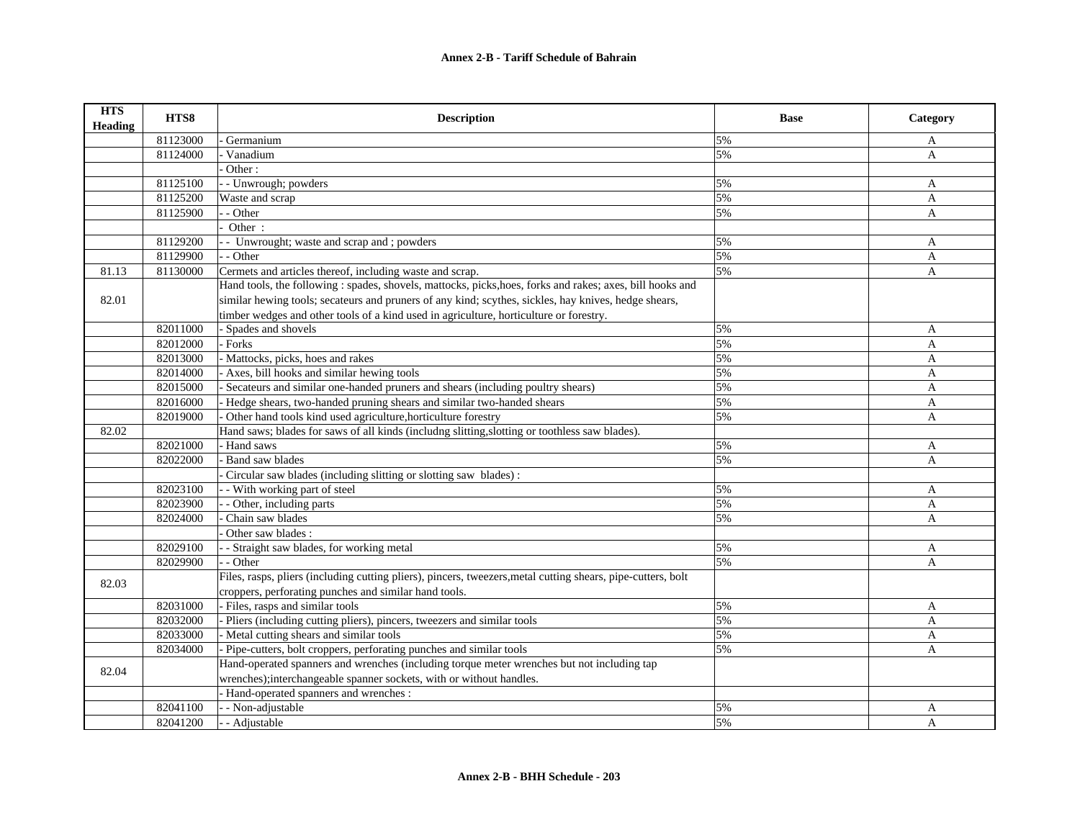| <b>HTS</b><br><b>Heading</b> | HTS8     | <b>Description</b>                                                                                           | <b>Base</b> | Category     |
|------------------------------|----------|--------------------------------------------------------------------------------------------------------------|-------------|--------------|
|                              | 81123000 | Germanium                                                                                                    | 5%          | A            |
|                              | 81124000 | Vanadium                                                                                                     | 5%          | $\mathbf{A}$ |
|                              |          | Other:                                                                                                       |             |              |
|                              | 81125100 | - - Unwrough; powders                                                                                        | 5%          | A            |
|                              | 81125200 | Waste and scrap                                                                                              | 5%          | A            |
|                              | 81125900 | - Other                                                                                                      | 5%          | A            |
|                              |          | Other:                                                                                                       |             |              |
|                              | 81129200 | - Unwrought; waste and scrap and ; powders                                                                   | 5%          | A            |
|                              | 81129900 | $-$ Other                                                                                                    | 5%          | A            |
| 81.13                        | 81130000 | Cermets and articles thereof, including waste and scrap.                                                     | 5%          | A            |
|                              |          | Hand tools, the following : spades, shovels, mattocks, picks, hoes, forks and rakes; axes, bill hooks and    |             |              |
| 82.01                        |          | similar hewing tools; secateurs and pruners of any kind; scythes, sickles, hay knives, hedge shears,         |             |              |
|                              |          | timber wedges and other tools of a kind used in agriculture, horticulture or forestry.                       |             |              |
|                              | 82011000 | - Spades and shovels                                                                                         | 5%          | A            |
|                              | 82012000 | - Forks                                                                                                      | 5%          | A            |
|                              | 82013000 | - Mattocks, picks, hoes and rakes                                                                            | 5%          | $\mathbf{A}$ |
|                              | 82014000 | Axes, bill hooks and similar hewing tools                                                                    | 5%          | A            |
|                              | 82015000 | Secateurs and similar one-handed pruners and shears (including poultry shears)                               | 5%          | $\mathbf{A}$ |
|                              | 82016000 | - Hedge shears, two-handed pruning shears and similar two-handed shears                                      | 5%          | A            |
|                              | 82019000 | Other hand tools kind used agriculture, horticulture forestry                                                | 5%          | A            |
| 82.02                        |          | Hand saws; blades for saws of all kinds (includng slitting, slotting or toothless saw blades).               |             |              |
|                              | 82021000 | - Hand saws                                                                                                  | 5%          | A            |
|                              | 82022000 | <b>Band saw blades</b>                                                                                       | 5%          | A            |
|                              |          | Circular saw blades (including slitting or slotting saw blades):                                             |             |              |
|                              | 82023100 | - With working part of steel                                                                                 | 5%          | A            |
|                              | 82023900 | - - Other, including parts                                                                                   | 5%          | A            |
|                              | 82024000 | Chain saw blades                                                                                             | 5%          | A            |
|                              |          | Other saw blades:                                                                                            |             |              |
|                              | 82029100 | - Straight saw blades, for working metal                                                                     | 5%          | A            |
|                              | 82029900 | - - Other                                                                                                    | 5%          | A            |
| 82.03                        |          | Files, rasps, pliers (including cutting pliers), pincers, tweezers, metal cutting shears, pipe-cutters, bolt |             |              |
|                              |          | croppers, perforating punches and similar hand tools.                                                        |             |              |
|                              | 82031000 | - Files, rasps and similar tools                                                                             | 5%          | A            |
|                              | 82032000 | Pliers (including cutting pliers), pincers, tweezers and similar tools                                       | 5%          | $\mathbf{A}$ |
|                              | 82033000 | - Metal cutting shears and similar tools                                                                     | 5%          | A            |
|                              | 82034000 | - Pipe-cutters, bolt croppers, perforating punches and similar tools                                         | 5%          | A            |
| 82.04                        |          | Hand-operated spanners and wrenches (including torque meter wrenches but not including tap                   |             |              |
|                              |          | wrenches);interchangeable spanner sockets, with or without handles.                                          |             |              |
|                              |          | - Hand-operated spanners and wrenches :                                                                      |             |              |
|                              | 82041100 | - - Non-adjustable                                                                                           | 5%          | A            |
|                              | 82041200 | - - Adjustable                                                                                               | 5%          | A            |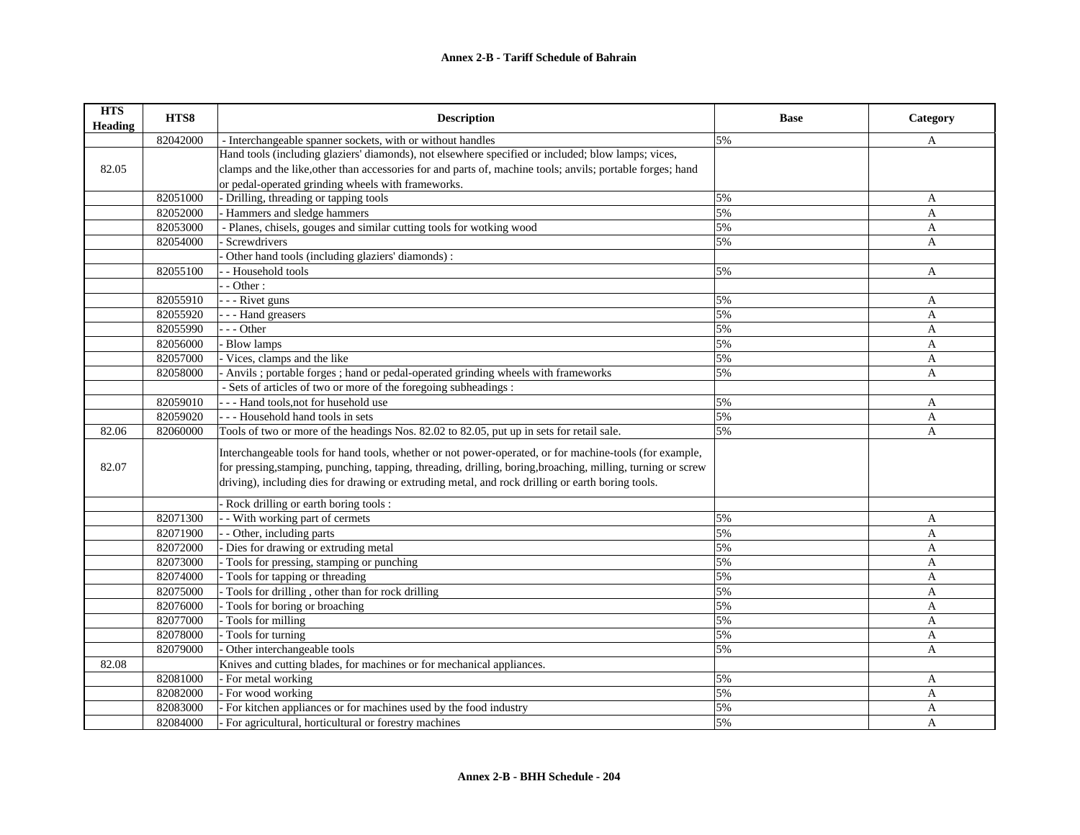| <b>HTS</b><br>Heading | HTS8     | <b>Description</b>                                                                                           | <b>Base</b> | Category     |
|-----------------------|----------|--------------------------------------------------------------------------------------------------------------|-------------|--------------|
|                       | 82042000 | - Interchangeable spanner sockets, with or without handles                                                   | 5%          | A            |
|                       |          | Hand tools (including glaziers' diamonds), not elsewhere specified or included; blow lamps; vices,           |             |              |
| 82.05                 |          | clamps and the like, other than accessories for and parts of, machine tools; anvils; portable forges; hand   |             |              |
|                       |          | or pedal-operated grinding wheels with frameworks.                                                           |             |              |
|                       | 82051000 | - Drilling, threading or tapping tools                                                                       | 5%          | A            |
|                       | 82052000 | - Hammers and sledge hammers                                                                                 | 5%          | A            |
|                       | 82053000 | - Planes, chisels, gouges and similar cutting tools for wotking wood                                         | 5%          | A            |
|                       | 82054000 | Screwdrivers                                                                                                 | 5%          | A            |
|                       |          | Other hand tools (including glaziers' diamonds):                                                             |             |              |
|                       | 82055100 | - - Household tools                                                                                          | 5%          | A            |
|                       |          | $-$ - Other :                                                                                                |             |              |
|                       | 82055910 | - - - Rivet guns                                                                                             | 5%          | A            |
|                       | 82055920 | - - - Hand greasers                                                                                          | 5%          | A            |
|                       | 82055990 | $- -$ Other                                                                                                  | 5%          | A            |
|                       | 82056000 | - Blow lamps                                                                                                 | 5%          | $\mathbf{A}$ |
|                       | 82057000 | - Vices, clamps and the like                                                                                 | 5%          | A            |
|                       | 82058000 | - Anvils; portable forges; hand or pedal-operated grinding wheels with frameworks                            | 5%          | A            |
|                       |          | - Sets of articles of two or more of the foregoing subheadings :                                             |             |              |
|                       | 82059010 | --- Hand tools, not for husehold use                                                                         | 5%          | $\mathbf{A}$ |
|                       | 82059020 | --- Household hand tools in sets                                                                             | 5%          | A            |
| 82.06                 | 82060000 | Tools of two or more of the headings Nos. 82.02 to 82.05, put up in sets for retail sale.                    | 5%          | A            |
|                       |          | Interchangeable tools for hand tools, whether or not power-operated, or for machine-tools (for example,      |             |              |
| 82.07                 |          | for pressing, stamping, punching, tapping, threading, drilling, boring, broaching, milling, turning or screw |             |              |
|                       |          | driving), including dies for drawing or extruding metal, and rock drilling or earth boring tools.            |             |              |
|                       |          | Rock drilling or earth boring tools :                                                                        |             |              |
|                       | 82071300 | - - With working part of cermets                                                                             | 5%          | A            |
|                       | 82071900 | - - Other, including parts                                                                                   | 5%          | A            |
|                       | 82072000 | - Dies for drawing or extruding metal                                                                        | 5%          | $\mathbf{A}$ |
|                       | 82073000 | - Tools for pressing, stamping or punching                                                                   | 5%          | A            |
|                       | 82074000 | - Tools for tapping or threading                                                                             | 5%          | A            |
|                       | 82075000 | Tools for drilling, other than for rock drilling                                                             | 5%          | A            |
|                       | 82076000 | - Tools for boring or broaching                                                                              | 5%          | $\mathbf{A}$ |
|                       | 82077000 | - Tools for milling                                                                                          | 5%          | A            |
|                       | 82078000 | - Tools for turning                                                                                          | 5%          | A            |
|                       | 82079000 | Other interchangeable tools                                                                                  | 5%          | A            |
| 82.08                 |          | Knives and cutting blades, for machines or for mechanical appliances.                                        |             |              |
|                       | 82081000 | - For metal working                                                                                          | 5%          | A            |
|                       | 82082000 | - For wood working                                                                                           | 5%          | A            |
|                       | 82083000 | For kitchen appliances or for machines used by the food industry                                             | 5%          | A            |
|                       | 82084000 | - For agricultural, horticultural or forestry machines                                                       | 5%          | A            |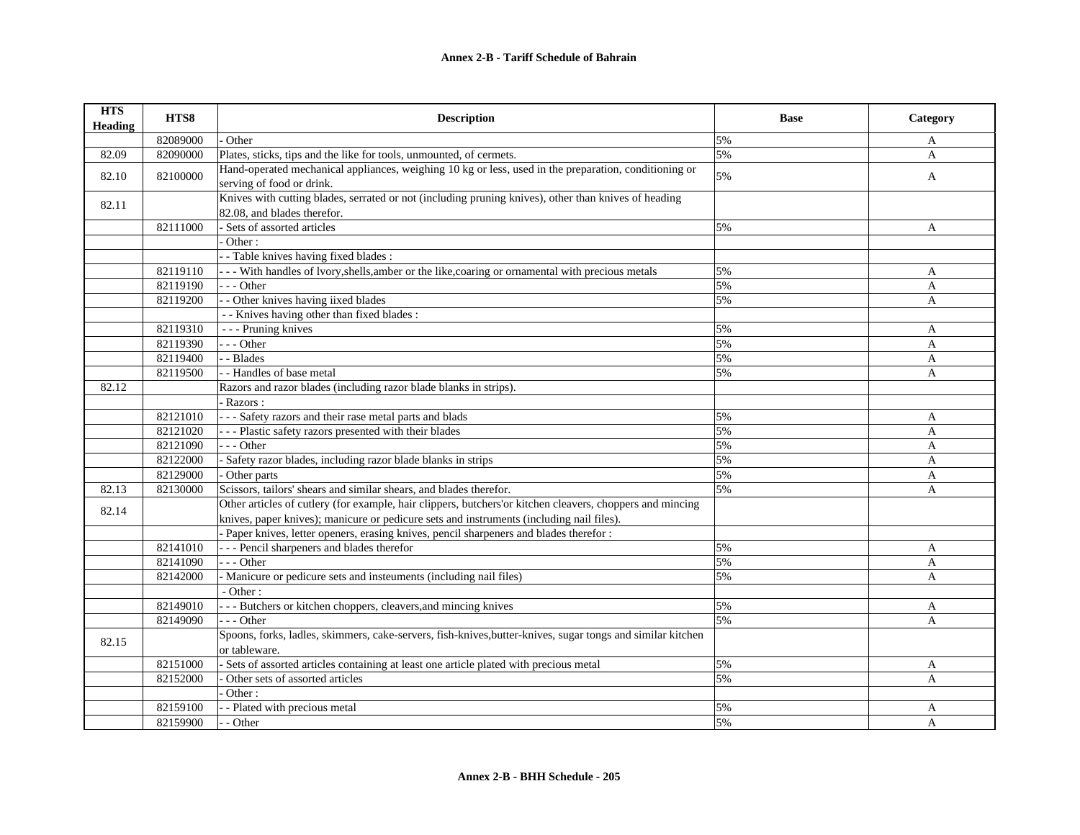| <b>HTS</b><br><b>Heading</b> | HTS8     | <b>Description</b>                                                                                                                                                                                    | <b>Base</b> | Category     |
|------------------------------|----------|-------------------------------------------------------------------------------------------------------------------------------------------------------------------------------------------------------|-------------|--------------|
|                              | 82089000 | Other                                                                                                                                                                                                 | 5%          | A            |
| 82.09                        | 82090000 | Plates, sticks, tips and the like for tools, unmounted, of cermets.                                                                                                                                   | 5%          | $\mathbf{A}$ |
| 82.10                        | 82100000 | Hand-operated mechanical appliances, weighing 10 kg or less, used in the preparation, conditioning or<br>serving of food or drink.                                                                    | 5%          | $\mathbf{A}$ |
| 82.11                        |          | Knives with cutting blades, serrated or not (including pruning knives), other than knives of heading<br>82.08, and blades therefor.                                                                   |             |              |
|                              | 82111000 | - Sets of assorted articles                                                                                                                                                                           | 5%          | A            |
|                              |          | Other:                                                                                                                                                                                                |             |              |
|                              |          | - Table knives having fixed blades:                                                                                                                                                                   |             |              |
|                              | 82119110 | - - - With handles of lvory, shells, amber or the like, coaring or ornamental with precious metals                                                                                                    | 5%          | A            |
|                              | 82119190 | $- -$ Other                                                                                                                                                                                           | 5%          | A            |
|                              | 82119200 | - - Other knives having iixed blades                                                                                                                                                                  | 5%          | A            |
|                              |          | - - Knives having other than fixed blades :                                                                                                                                                           |             |              |
|                              | 82119310 | - - - Pruning knives                                                                                                                                                                                  | 5%          | A            |
|                              | 82119390 | $- -$ Other                                                                                                                                                                                           | 5%          | A            |
|                              | 82119400 | - - Blades                                                                                                                                                                                            | 5%          | A            |
|                              | 82119500 | - - Handles of base metal                                                                                                                                                                             | 5%          | A            |
| 82.12                        |          | Razors and razor blades (including razor blade blanks in strips).                                                                                                                                     |             |              |
|                              |          | - Razors:                                                                                                                                                                                             |             |              |
|                              | 82121010 | - - - Safety razors and their rase metal parts and blads                                                                                                                                              | 5%          | A            |
|                              | 82121020 | --- Plastic safety razors presented with their blades                                                                                                                                                 | 5%          | $\mathbf{A}$ |
|                              | 82121090 | $- -$ Other                                                                                                                                                                                           | 5%          | A            |
|                              | 82122000 | - Safety razor blades, including razor blade blanks in strips                                                                                                                                         | 5%          | A            |
|                              | 82129000 | - Other parts                                                                                                                                                                                         | 5%          | A            |
| 82.13                        | 82130000 | Scissors, tailors' shears and similar shears, and blades therefor.                                                                                                                                    | 5%          | A            |
| 82.14                        |          | Other articles of cutlery (for example, hair clippers, butchers'or kitchen cleavers, choppers and mincing<br>knives, paper knives); manicure or pedicure sets and instruments (including nail files). |             |              |
|                              |          | - Paper knives, letter openers, erasing knives, pencil sharpeners and blades therefor :                                                                                                               |             |              |
|                              | 82141010 | --- Pencil sharpeners and blades therefor                                                                                                                                                             | 5%          | A            |
|                              | 82141090 | --- Other                                                                                                                                                                                             | 5%          | A            |
|                              | 82142000 | - Manicure or pedicure sets and insteuments (including nail files)                                                                                                                                    | 5%          | A            |
|                              |          | - Other:                                                                                                                                                                                              |             |              |
|                              | 82149010 | - - - Butchers or kitchen choppers, cleavers, and mincing knives                                                                                                                                      | 5%          | A            |
|                              | 82149090 | $- -$ Other                                                                                                                                                                                           | 5%          | $\mathbf{A}$ |
| 82.15                        |          | Spoons, forks, ladles, skimmers, cake-servers, fish-knives, butter-knives, sugar tongs and similar kitchen<br>or tableware.                                                                           |             |              |
|                              | 82151000 | - Sets of assorted articles containing at least one article plated with precious metal                                                                                                                | 5%          | A            |
|                              | 82152000 | Other sets of assorted articles                                                                                                                                                                       | 5%          | A            |
|                              |          | $\overline{\cdot}$ Other:                                                                                                                                                                             |             |              |
|                              | 82159100 | - - Plated with precious metal                                                                                                                                                                        | 5%          | A            |
|                              | 82159900 | - - Other                                                                                                                                                                                             | 5%          | A            |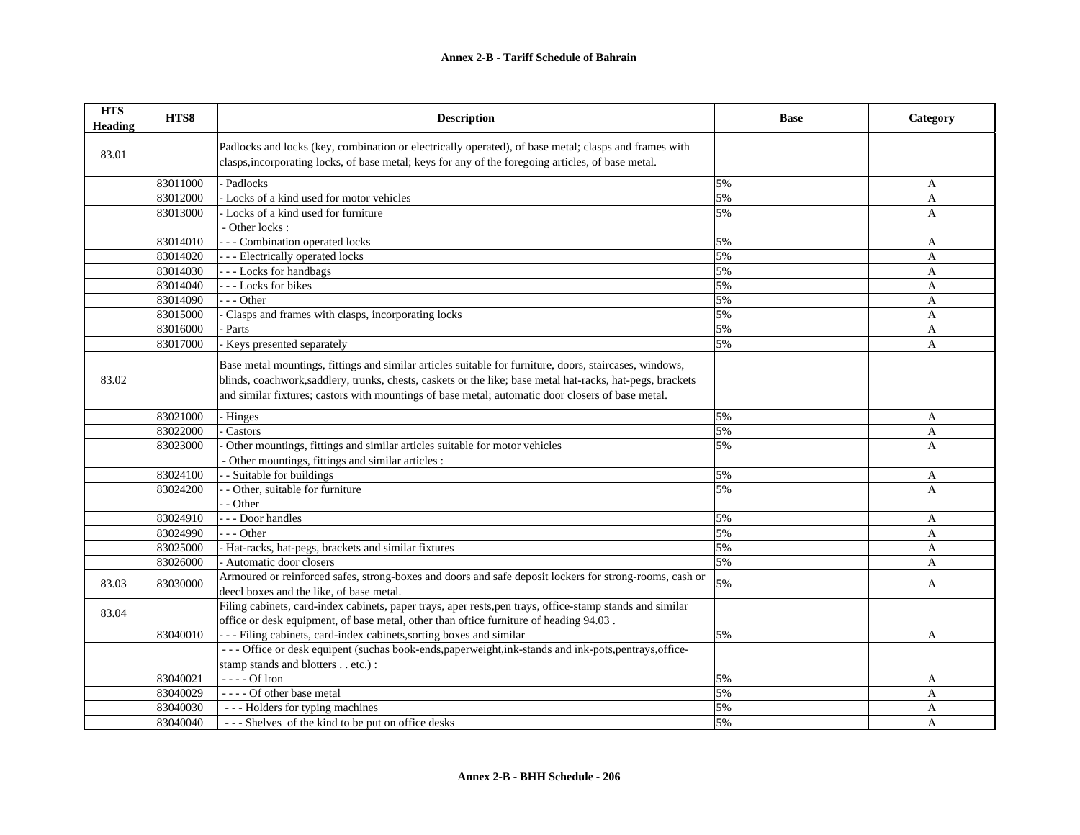| <b>HTS</b><br><b>Heading</b> | HTS8     | <b>Description</b>                                                                                                                                                                                                                                                                                                         | <b>Base</b> | Category       |
|------------------------------|----------|----------------------------------------------------------------------------------------------------------------------------------------------------------------------------------------------------------------------------------------------------------------------------------------------------------------------------|-------------|----------------|
| 83.01                        |          | Padlocks and locks (key, combination or electrically operated), of base metal; clasps and frames with<br>clasps, incorporating locks, of base metal; keys for any of the foregoing articles, of base metal.                                                                                                                |             |                |
|                              | 83011000 | - Padlocks                                                                                                                                                                                                                                                                                                                 | 5%          | A              |
|                              | 83012000 | - Locks of a kind used for motor vehicles                                                                                                                                                                                                                                                                                  | 5%          | A              |
|                              | 83013000 | - Locks of a kind used for furniture                                                                                                                                                                                                                                                                                       | 5%          | A              |
|                              |          | - Other locks:                                                                                                                                                                                                                                                                                                             |             |                |
|                              | 83014010 | - - - Combination operated locks                                                                                                                                                                                                                                                                                           | 5%          | A              |
|                              | 83014020 | - - - Electrically operated locks                                                                                                                                                                                                                                                                                          | 5%          | A              |
|                              | 83014030 | --- Locks for handbags                                                                                                                                                                                                                                                                                                     | 5%          | A              |
|                              | 83014040 | --- Locks for bikes                                                                                                                                                                                                                                                                                                        | 5%          | A              |
|                              | 83014090 | $-$ - Other                                                                                                                                                                                                                                                                                                                | 5%          | A              |
|                              | 83015000 | Clasps and frames with clasps, incorporating locks                                                                                                                                                                                                                                                                         | 5%          | A              |
|                              | 83016000 | Parts                                                                                                                                                                                                                                                                                                                      | 5%          | A              |
|                              | 83017000 | Keys presented separately                                                                                                                                                                                                                                                                                                  | 5%          | $\overline{A}$ |
| 83.02                        |          | Base metal mountings, fittings and similar articles suitable for furniture, doors, staircases, windows,<br>blinds, coachwork, saddlery, trunks, chests, caskets or the like; base metal hat-racks, hat-pegs, brackets<br>and similar fixtures; castors with mountings of base metal; automatic door closers of base metal. |             |                |
|                              | 83021000 | - Hinges                                                                                                                                                                                                                                                                                                                   | 5%          | A              |
|                              | 83022000 | Castors                                                                                                                                                                                                                                                                                                                    | 5%          | A              |
|                              | 83023000 | Other mountings, fittings and similar articles suitable for motor vehicles                                                                                                                                                                                                                                                 | 5%          | $\mathbf{A}$   |
|                              |          | - Other mountings, fittings and similar articles :                                                                                                                                                                                                                                                                         |             |                |
|                              | 83024100 | - Suitable for buildings                                                                                                                                                                                                                                                                                                   | 5%          | A              |
|                              | 83024200 | - Other, suitable for furniture                                                                                                                                                                                                                                                                                            | 5%          | A              |
|                              |          | - Other                                                                                                                                                                                                                                                                                                                    |             |                |
|                              | 83024910 | - - Door handles                                                                                                                                                                                                                                                                                                           | 5%          | A              |
|                              | 83024990 | - - Other                                                                                                                                                                                                                                                                                                                  | 5%          | A              |
|                              | 83025000 | - Hat-racks, hat-pegs, brackets and similar fixtures                                                                                                                                                                                                                                                                       | 5%          | A              |
|                              | 83026000 | - Automatic door closers                                                                                                                                                                                                                                                                                                   | 5%          | A              |
| 83.03                        | 83030000 | Armoured or reinforced safes, strong-boxes and doors and safe deposit lockers for strong-rooms, cash or<br>deecl boxes and the like, of base metal.                                                                                                                                                                        | 5%          | A              |
| 83.04                        |          | Filing cabinets, card-index cabinets, paper trays, aper rests, pen trays, office-stamp stands and similar<br>office or desk equipment, of base metal, other than oftice furniture of heading 94.03.                                                                                                                        |             |                |
|                              | 83040010 | --- Filing cabinets, card-index cabinets, sorting boxes and similar                                                                                                                                                                                                                                                        | 5%          | A              |
|                              |          | --- Office or desk equipent (suchas book-ends, paperweight, ink-stands and ink-pots, pentrays, office-                                                                                                                                                                                                                     |             |                |
|                              |          | stamp stands and blotters etc.) :                                                                                                                                                                                                                                                                                          |             |                |
|                              | 83040021 | $---$ Of Iron                                                                                                                                                                                                                                                                                                              | 5%          | A              |
|                              | 83040029 | ---- Of other base metal                                                                                                                                                                                                                                                                                                   | 5%          | A              |
|                              | 83040030 | --- Holders for typing machines                                                                                                                                                                                                                                                                                            | 5%          | A              |
|                              | 83040040 | --- Shelves of the kind to be put on office desks                                                                                                                                                                                                                                                                          | 5%          | $\overline{A}$ |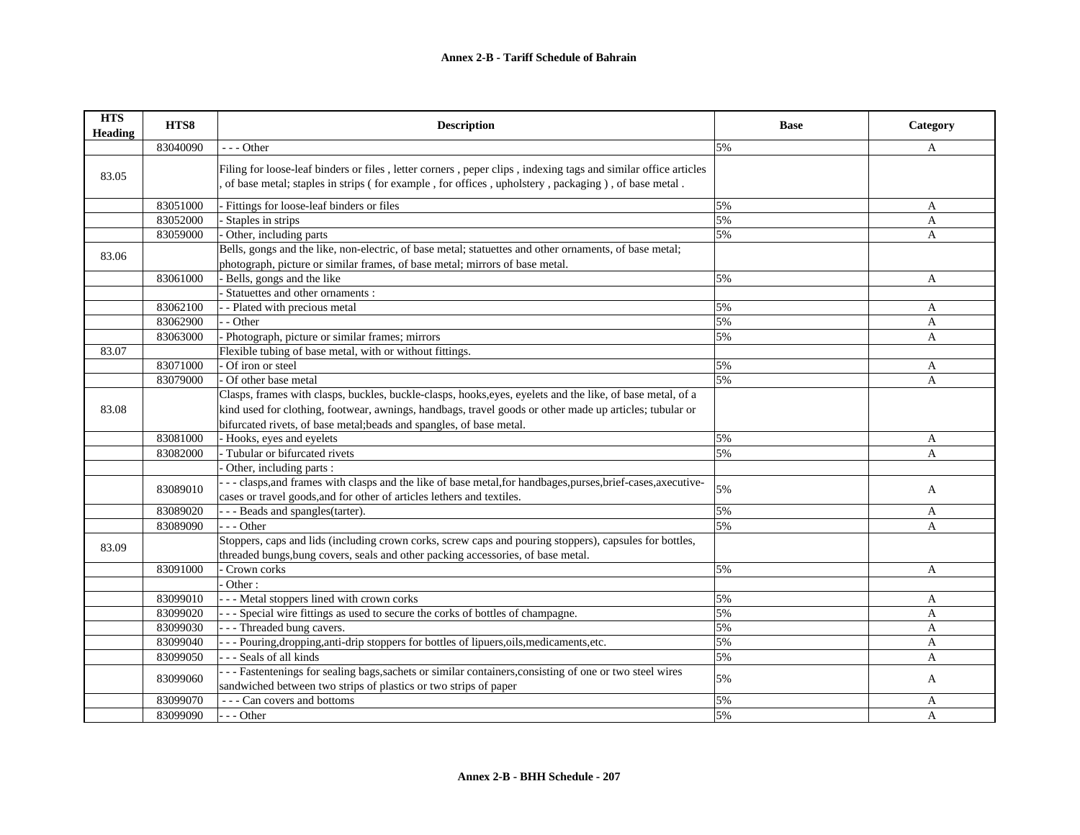| <b>HTS</b><br><b>Heading</b> | HTS8     | <b>Description</b>                                                                                                                                                                                                                                                                            | <b>Base</b> | Category     |
|------------------------------|----------|-----------------------------------------------------------------------------------------------------------------------------------------------------------------------------------------------------------------------------------------------------------------------------------------------|-------------|--------------|
|                              | 83040090 | $--$ Other                                                                                                                                                                                                                                                                                    | 5%          | A            |
| 83.05                        |          | Filing for loose-leaf binders or files, letter corners, peper clips, indexing tags and similar office articles<br>of base metal; staples in strips (for example, for offices, upholstery, packaging), of base metal.                                                                          |             |              |
|                              | 83051000 | - Fittings for loose-leaf binders or files                                                                                                                                                                                                                                                    | 5%          | A            |
|                              | 83052000 | Staples in strips                                                                                                                                                                                                                                                                             | 5%          | A            |
|                              | 83059000 | Other, including parts                                                                                                                                                                                                                                                                        | 5%          | A            |
| 83.06                        |          | Bells, gongs and the like, non-electric, of base metal; statuettes and other ornaments, of base metal;<br>photograph, picture or similar frames, of base metal; mirrors of base metal.                                                                                                        |             |              |
|                              | 83061000 | Bells, gongs and the like                                                                                                                                                                                                                                                                     | 5%          | $\mathbf{A}$ |
|                              |          | Statuettes and other ornaments :                                                                                                                                                                                                                                                              |             |              |
|                              | 83062100 | - Plated with precious metal                                                                                                                                                                                                                                                                  | 5%          | A            |
|                              | 83062900 | - - Other                                                                                                                                                                                                                                                                                     | 5%          | $\mathbf{A}$ |
|                              | 83063000 | Photograph, picture or similar frames; mirrors                                                                                                                                                                                                                                                | 5%          | $\mathbf{A}$ |
| 83.07                        |          | Flexible tubing of base metal, with or without fittings.                                                                                                                                                                                                                                      |             |              |
|                              | 83071000 | Of iron or steel                                                                                                                                                                                                                                                                              | 5%          | A            |
|                              | 83079000 | Of other base metal                                                                                                                                                                                                                                                                           | 5%          | A            |
| 83.08                        |          | Clasps, frames with clasps, buckles, buckle-clasps, hooks, eyes, eyelets and the like, of base metal, of a<br>kind used for clothing, footwear, awnings, handbags, travel goods or other made up articles; tubular or<br>bifurcated rivets, of base metal; beads and spangles, of base metal. |             |              |
|                              | 83081000 | - Hooks, eyes and eyelets                                                                                                                                                                                                                                                                     | 5%          | A            |
|                              | 83082000 | - Tubular or bifurcated rivets                                                                                                                                                                                                                                                                | 5%          | $\mathbf{A}$ |
|                              |          | Other, including parts :                                                                                                                                                                                                                                                                      |             |              |
|                              | 83089010 | --- clasps, and frames with clasps and the like of base metal, for handbages, purses, brief-cases, axecutive-<br>cases or travel goods, and for other of articles lethers and textiles.                                                                                                       | 5%          | A            |
|                              | 83089020 | --- Beads and spangles(tarter).                                                                                                                                                                                                                                                               | 5%          | A            |
|                              | 83089090 | $- -$ Other                                                                                                                                                                                                                                                                                   | 5%          | A            |
| 83.09                        |          | Stoppers, caps and lids (including crown corks, screw caps and pouring stoppers), capsules for bottles,<br>threaded bungs, bung covers, seals and other packing accessories, of base metal.                                                                                                   |             |              |
|                              | 83091000 | Crown corks                                                                                                                                                                                                                                                                                   | 5%          | A            |
|                              |          | Other:                                                                                                                                                                                                                                                                                        |             |              |
|                              | 83099010 | - - - Metal stoppers lined with crown corks                                                                                                                                                                                                                                                   | 5%          | $\mathbf{A}$ |
|                              | 83099020 | --- Special wire fittings as used to secure the corks of bottles of champagne.                                                                                                                                                                                                                | 5%          | $\mathbf{A}$ |
|                              | 83099030 | -- Threaded bung cavers.                                                                                                                                                                                                                                                                      | 5%          | $\mathbf{A}$ |
|                              | 83099040 | - Pouring, dropping, anti-drip stoppers for bottles of lipuers, oils, medicaments, etc.                                                                                                                                                                                                       | 5%          | A            |
|                              | 83099050 | --- Seals of all kinds                                                                                                                                                                                                                                                                        | 5%          | A            |
|                              | 83099060 | --- Fastentenings for sealing bags, sachets or similar containers, consisting of one or two steel wires<br>sandwiched between two strips of plastics or two strips of paper                                                                                                                   | 5%          | A            |
|                              | 83099070 | - - - Can covers and bottoms                                                                                                                                                                                                                                                                  | 5%          | $\mathbf{A}$ |
|                              | 83099090 | $- -$ Other                                                                                                                                                                                                                                                                                   | 5%          | A            |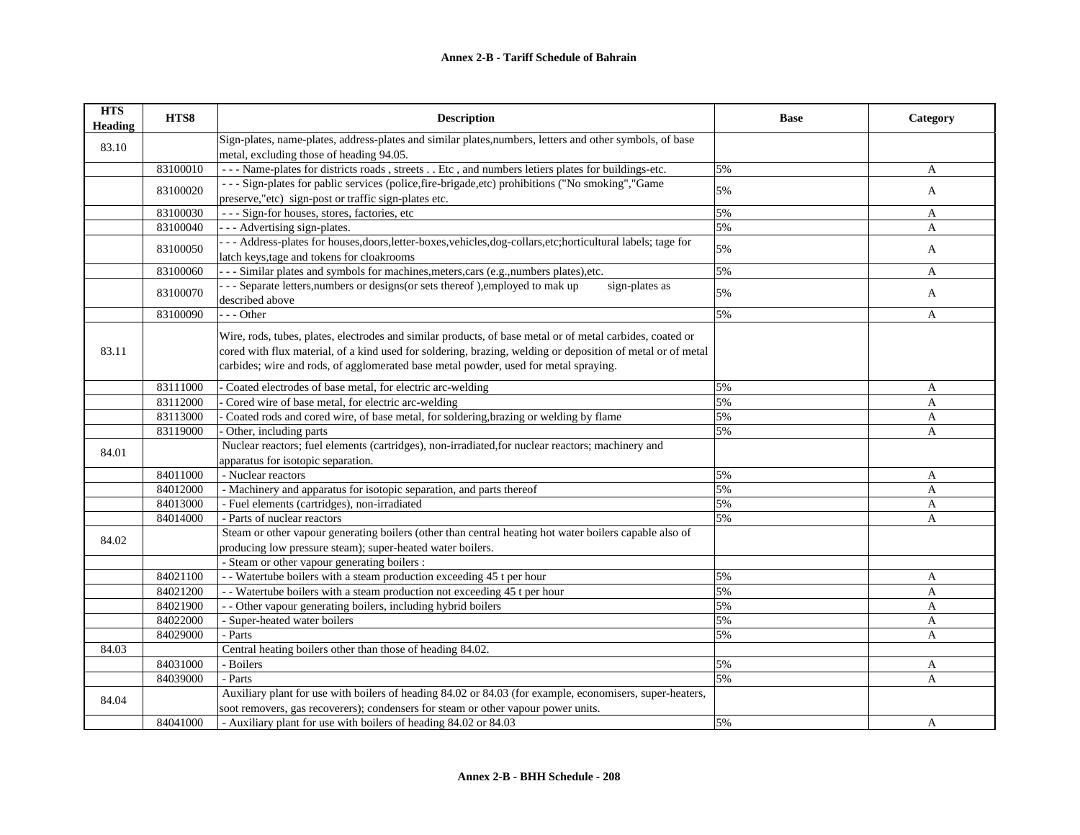| <b>HTS</b><br><b>Heading</b> | HTS8     | <b>Description</b>                                                                                            | <b>Base</b> | Category     |
|------------------------------|----------|---------------------------------------------------------------------------------------------------------------|-------------|--------------|
| 83.10                        |          | Sign-plates, name-plates, address-plates and similar plates, numbers, letters and other symbols, of base      |             |              |
|                              |          | metal, excluding those of heading 94.05.                                                                      |             |              |
|                              | 83100010 | --- Name-plates for districts roads, streets Etc, and numbers letiers plates for buildings-etc.               | 5%          | A            |
|                              | 83100020 | --- Sign-plates for pablic services (police, fire-brigade, etc) prohibitions ("No smoking", "Game             | 5%          | A            |
|                              |          | preserve,"etc) sign-post or traffic sign-plates etc.                                                          |             |              |
|                              | 83100030 | --- Sign-for houses, stores, factories, etc                                                                   | 5%          | A            |
|                              | 83100040 | -- Advertising sign-plates.                                                                                   | 5%          | A            |
|                              | 83100050 | -- Address-plates for houses, doors, letter-boxes, vehicles, dog-collars, etc; horticultural labels; tage for | 5%          | A            |
|                              |          | latch keys, tage and tokens for cloakrooms                                                                    |             |              |
|                              | 83100060 | -- Similar plates and symbols for machines, meters, cars (e.g., numbers plates), etc.                         | 5%          | $\mathbf{A}$ |
|                              | 83100070 | - - Separate letters, numbers or designs (or sets thereof), employed to mak up<br>sign-plates as              | 5%          | A            |
|                              |          | described above                                                                                               |             |              |
|                              | 83100090 | $- -$ Other                                                                                                   | 5%          | A            |
|                              |          | Wire, rods, tubes, plates, electrodes and similar products, of base metal or of metal carbides, coated or     |             |              |
| 83.11                        |          | cored with flux material, of a kind used for soldering, brazing, welding or deposition of metal or of metal   |             |              |
|                              |          | carbides; wire and rods, of agglomerated base metal powder, used for metal spraying.                          |             |              |
|                              |          |                                                                                                               |             |              |
|                              | 83111000 | Coated electrodes of base metal, for electric arc-welding                                                     | 5%          | A            |
|                              | 83112000 | Cored wire of base metal, for electric arc-welding                                                            | 5%          | A            |
|                              | 83113000 | Coated rods and cored wire, of base metal, for soldering, brazing or welding by flame                         | 5%          | A            |
|                              | 83119000 | Other, including parts                                                                                        | 5%          | A            |
| 84.01                        |          | Nuclear reactors; fuel elements (cartridges), non-irradiated, for nuclear reactors; machinery and             |             |              |
|                              |          | apparatus for isotopic separation.                                                                            |             |              |
|                              | 84011000 | - Nuclear reactors                                                                                            | 5%          | A            |
|                              | 84012000 | - Machinery and apparatus for isotopic separation, and parts thereof                                          | 5%          | A            |
|                              | 84013000 | - Fuel elements (cartridges), non-irradiated                                                                  | 5%          | A            |
|                              | 84014000 | - Parts of nuclear reactors                                                                                   | 5%          | A            |
| 84.02                        |          | Steam or other vapour generating boilers (other than central heating hot water boilers capable also of        |             |              |
|                              |          | producing low pressure steam); super-heated water boilers.                                                    |             |              |
|                              |          | - Steam or other vapour generating boilers :                                                                  |             |              |
|                              | 84021100 | - - Watertube boilers with a steam production exceeding 45 t per hour                                         | 5%          | A            |
|                              | 84021200 | - - Watertube boilers with a steam production not exceeding 45 t per hour                                     | 5%          | A            |
|                              | 84021900 | - - Other vapour generating boilers, including hybrid boilers                                                 | 5%          | A            |
|                              | 84022000 | - Super-heated water boilers                                                                                  | 5%          | A            |
|                              | 84029000 | - Parts                                                                                                       | 5%          | A            |
| 84.03                        |          | Central heating boilers other than those of heading 84.02.                                                    |             |              |
|                              | 84031000 | - Boilers                                                                                                     | 5%          | A            |
|                              | 84039000 | - Parts                                                                                                       | 5%          | A            |
| 84.04                        |          | Auxiliary plant for use with boilers of heading 84.02 or 84.03 (for example, economisers, super-heaters,      |             |              |
|                              |          | soot removers, gas recoverers); condensers for steam or other vapour power units.                             |             |              |
|                              | 84041000 | - Auxiliary plant for use with boilers of heading 84.02 or 84.03                                              | 5%          | A            |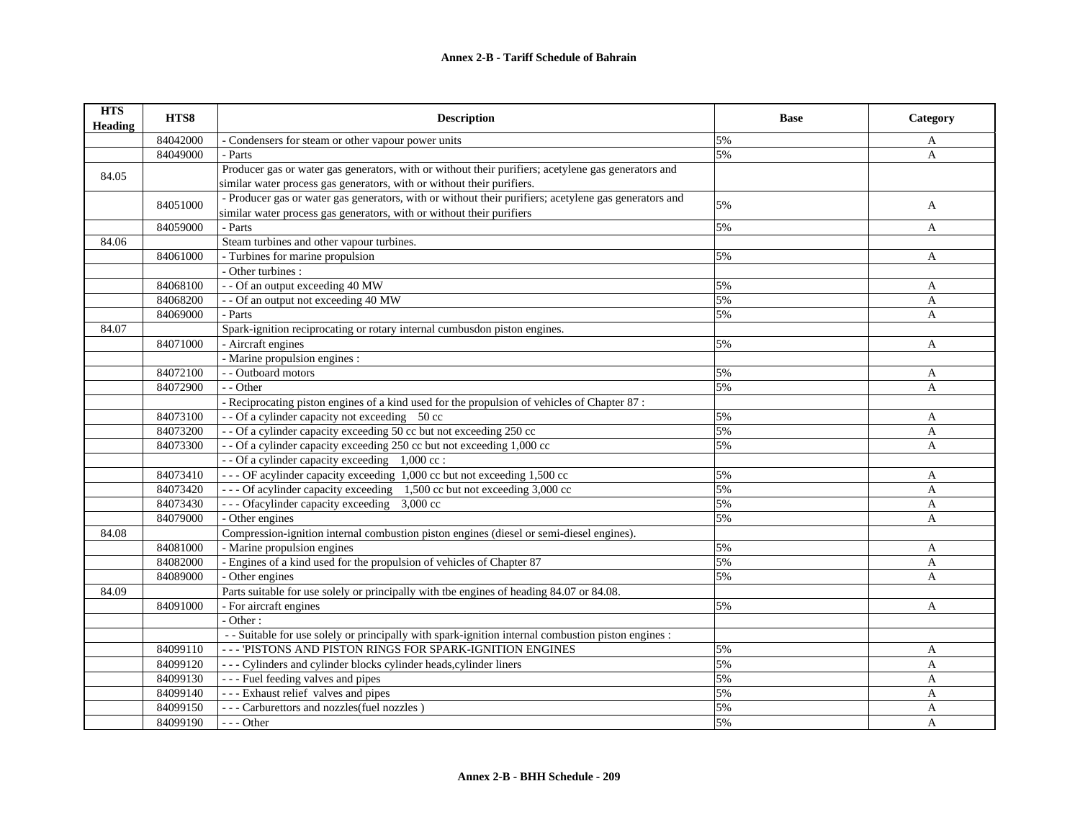| <b>HTS</b><br><b>Heading</b> | HTS8     | <b>Description</b>                                                                                    | <b>Base</b> | Category                  |
|------------------------------|----------|-------------------------------------------------------------------------------------------------------|-------------|---------------------------|
|                              | 84042000 | - Condensers for steam or other vapour power units                                                    | 5%          | A                         |
|                              | 84049000 | - Parts                                                                                               | 5%          | A                         |
| 84.05                        |          | Producer gas or water gas generators, with or without their purifiers; acetylene gas generators and   |             |                           |
|                              |          | similar water process gas generators, with or without their purifiers.                                |             |                           |
|                              |          | - Producer gas or water gas generators, with or without their purifiers; acetylene gas generators and |             |                           |
|                              | 84051000 | similar water process gas generators, with or without their purifiers                                 | 5%          | A                         |
|                              | 84059000 | - Parts                                                                                               | 5%          | A                         |
| 84.06                        |          | Steam turbines and other vapour turbines.                                                             |             |                           |
|                              | 84061000 | - Turbines for marine propulsion                                                                      | 5%          | A                         |
|                              |          | - Other turbines :                                                                                    |             |                           |
|                              | 84068100 | - - Of an output exceeding 40 MW                                                                      | 5%          | A                         |
|                              | 84068200 | - - Of an output not exceeding 40 MW                                                                  | 5%          | A                         |
|                              | 84069000 | - Parts                                                                                               | 5%          | A                         |
| 84.07                        |          | Spark-ignition reciprocating or rotary internal cumbusdon piston engines.                             |             |                           |
|                              | 84071000 | - Aircraft engines                                                                                    | 5%          | A                         |
|                              |          | - Marine propulsion engines :                                                                         |             |                           |
|                              | 84072100 | - - Outboard motors                                                                                   | 5%          | A                         |
|                              | 84072900 | - - Other                                                                                             | 5%          | A                         |
|                              |          | - Reciprocating piston engines of a kind used for the propulsion of vehicles of Chapter 87:           |             |                           |
|                              | 84073100 | - - Of a cylinder capacity not exceeding 50 cc                                                        | 5%          | A                         |
|                              | 84073200 | - - Of a cylinder capacity exceeding 50 cc but not exceeding 250 cc                                   | 5%          | $\mathbf{A}$              |
|                              | 84073300 | -- Of a cylinder capacity exceeding 250 cc but not exceeding 1,000 cc                                 | 5%          | $\mathbf{A}$              |
|                              |          | - - Of a cylinder capacity exceeding 1,000 cc :                                                       |             |                           |
|                              | 84073410 | --- OF acylinder capacity exceeding 1,000 cc but not exceeding 1,500 cc                               | 5%          | A                         |
|                              | 84073420 | --- Of acylinder capacity exceeding 1,500 cc but not exceeding 3,000 cc                               | 5%          | A                         |
|                              | 84073430 | --- Of acylinder capacity exceeding 3,000 cc                                                          | 5%          | $\boldsymbol{\mathsf{A}}$ |
|                              | 84079000 | - Other engines                                                                                       | 5%          | A                         |
| 84.08                        |          | Compression-ignition internal combustion piston engines (diesel or semi-diesel engines).              |             |                           |
|                              | 84081000 | - Marine propulsion engines                                                                           | 5%          | A                         |
|                              | 84082000 | - Engines of a kind used for the propulsion of vehicles of Chapter 87                                 | 5%          | $\mathbf{A}$              |
|                              | 84089000 | $-$ Other engines                                                                                     | 5%          | $\mathsf{A}$              |
| 84.09                        |          | Parts suitable for use solely or principally with the engines of heading 84.07 or 84.08.              |             |                           |
|                              | 84091000 | - For aircraft engines                                                                                | 5%          | A                         |
|                              |          | - Other:                                                                                              |             |                           |
|                              |          | - Suitable for use solely or principally with spark-ignition internal combustion piston engines :     |             |                           |
|                              | 84099110 | --- 'PISTONS AND PISTON RINGS FOR SPARK-IGNITION ENGINES                                              | 5%          | A                         |
|                              | 84099120 | - - - Cylinders and cylinder blocks cylinder heads, cylinder liners                                   | 5%          | A                         |
|                              | 84099130 | --- Fuel feeding valves and pipes                                                                     | 5%          | A                         |
|                              | 84099140 | --- Exhaust relief valves and pipes                                                                   | 5%          | A                         |
|                              | 84099150 | --- Carburettors and nozzles (fuel nozzles)                                                           | 5%          | A                         |
|                              | 84099190 | $--$ Other                                                                                            | 5%          | $\mathbf{A}$              |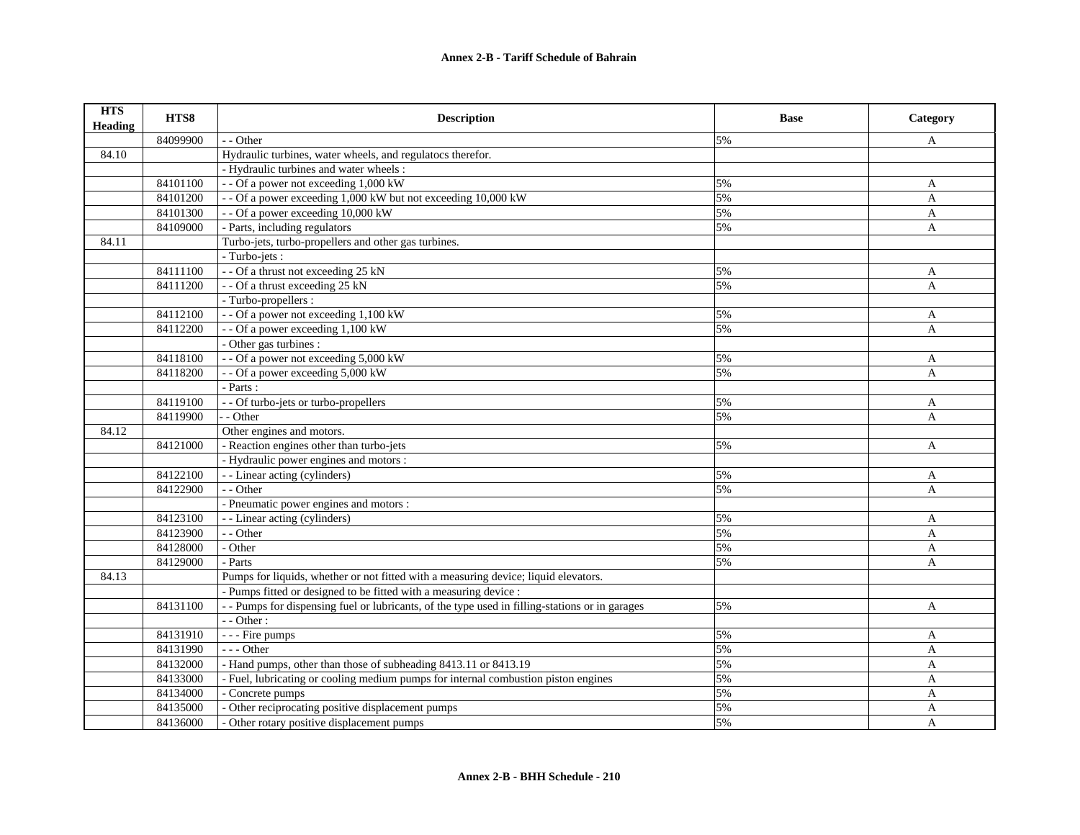| <b>HTS</b><br><b>Heading</b> | HTS8     | <b>Description</b>                                                                            | <b>Base</b> | Category     |
|------------------------------|----------|-----------------------------------------------------------------------------------------------|-------------|--------------|
|                              | 84099900 | - - Other                                                                                     | 5%          | A            |
| 84.10                        |          | Hydraulic turbines, water wheels, and regulatocs therefor.                                    |             |              |
|                              |          | - Hydraulic turbines and water wheels :                                                       |             |              |
|                              | 84101100 | - - Of a power not exceeding 1,000 kW                                                         | 5%          | A            |
|                              | 84101200 | - - Of a power exceeding 1,000 kW but not exceeding 10,000 kW                                 | 5%          | A            |
|                              | 84101300 | - - Of a power exceeding 10,000 kW                                                            | 5%          | A            |
|                              | 84109000 | - Parts, including regulators                                                                 | 5%          | A            |
| 84.11                        |          | Turbo-jets, turbo-propellers and other gas turbines.                                          |             |              |
|                              |          | - Turbo-jets :                                                                                |             |              |
|                              | 84111100 | - - Of a thrust not exceeding 25 kN                                                           | 5%          | A            |
|                              | 84111200 | - - Of a thrust exceeding 25 kN                                                               | 5%          | A            |
|                              |          | - Turbo-propellers :                                                                          |             |              |
|                              | 84112100 | - - Of a power not exceeding 1,100 kW                                                         | 5%          | A            |
|                              | 84112200 | - - Of a power exceeding 1,100 kW                                                             | 5%          | $\mathbf{A}$ |
|                              |          | - Other gas turbines :                                                                        |             |              |
|                              | 84118100 | - - Of a power not exceeding 5,000 kW                                                         | 5%          | A            |
|                              | 84118200 | - - Of a power exceeding 5,000 kW                                                             | 5%          | A            |
|                              |          | - Parts :                                                                                     |             |              |
|                              | 84119100 | - - Of turbo-jets or turbo-propellers                                                         | 5%          | A            |
|                              | 84119900 | - - Other                                                                                     | 5%          | A            |
| 84.12                        |          | Other engines and motors.                                                                     |             |              |
|                              | 84121000 | - Reaction engines other than turbo-jets                                                      | 5%          | $\mathbf{A}$ |
|                              |          | - Hydraulic power engines and motors :                                                        |             |              |
|                              | 84122100 | - - Linear acting (cylinders)                                                                 | 5%          | A            |
|                              | 84122900 | - - Other                                                                                     | 5%          | A            |
|                              |          | - Pneumatic power engines and motors :                                                        |             |              |
|                              | 84123100 | - - Linear acting (cylinders)                                                                 | 5%          | A            |
|                              | 84123900 | - - Other                                                                                     | 5%          | A            |
|                              | 84128000 | - Other                                                                                       | 5%          | A            |
|                              | 84129000 | - Parts                                                                                       | 5%          | A            |
| 84.13                        |          | Pumps for liquids, whether or not fitted with a measuring device; liquid elevators.           |             |              |
|                              |          | - Pumps fitted or designed to be fitted with a measuring device :                             |             |              |
|                              | 84131100 | - Pumps for dispensing fuel or lubricants, of the type used in filling-stations or in garages | 5%          | $\mathbf{A}$ |
|                              |          | $-$ - Other :                                                                                 |             |              |
|                              | 84131910 | - - - Fire pumps                                                                              | 5%          | A            |
|                              | 84131990 | $--- Other$                                                                                   | 5%          | $\mathbf{A}$ |
|                              | 84132000 | - Hand pumps, other than those of subheading 8413.11 or 8413.19                               | 5%          | $\mathbf{A}$ |
|                              | 84133000 | - Fuel, lubricating or cooling medium pumps for internal combustion piston engines            | 5%          | A            |
|                              | 84134000 | - Concrete pumps                                                                              | 5%          | A            |
|                              | 84135000 | - Other reciprocating positive displacement pumps                                             | 5%          | A            |
|                              | 84136000 | - Other rotary positive displacement pumps                                                    | 5%          | A            |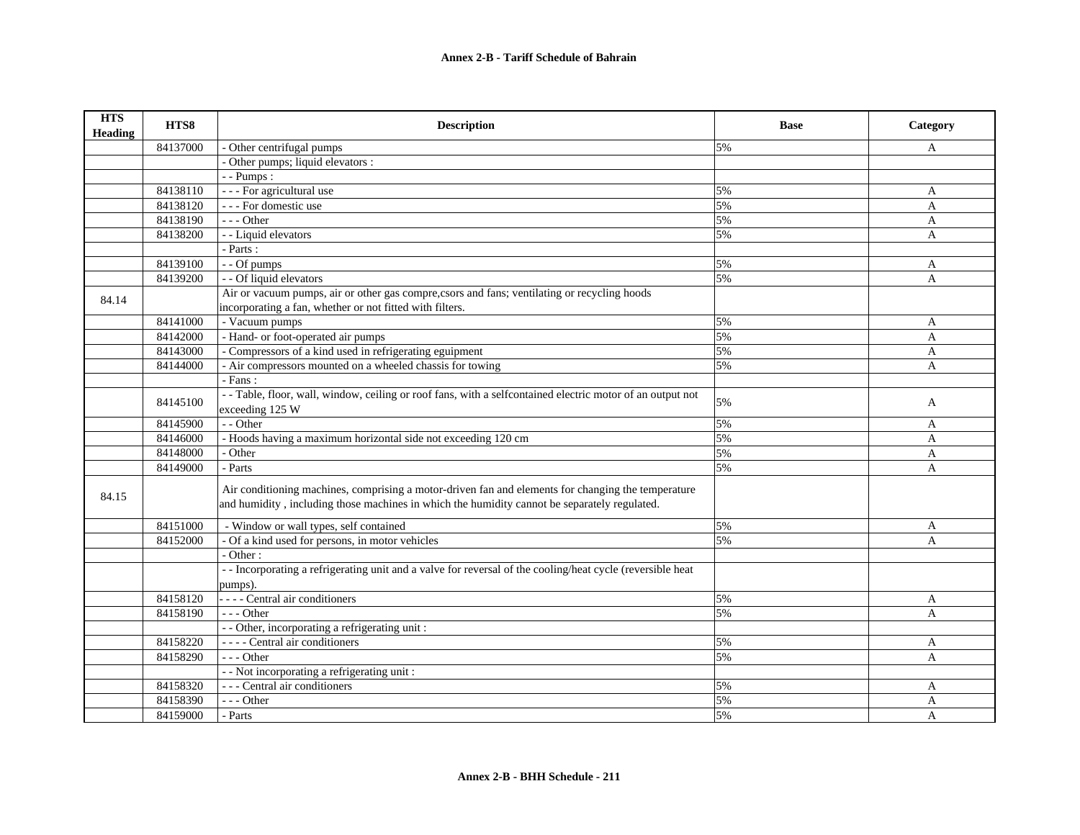| <b>HTS</b><br><b>Heading</b> | HTS8     | <b>Description</b>                                                                                                                                                                                 | <b>Base</b> | Category       |
|------------------------------|----------|----------------------------------------------------------------------------------------------------------------------------------------------------------------------------------------------------|-------------|----------------|
|                              | 84137000 | - Other centrifugal pumps                                                                                                                                                                          | 5%          | $\mathbf{A}$   |
|                              |          | - Other pumps; liquid elevators :                                                                                                                                                                  |             |                |
|                              |          | - - Pumps:                                                                                                                                                                                         |             |                |
|                              | 84138110 | - - - For agricultural use                                                                                                                                                                         | 5%          | A              |
|                              | 84138120 | --- For domestic use                                                                                                                                                                               | 5%          | $\overline{A}$ |
|                              | 84138190 | $- -$ Other                                                                                                                                                                                        | 5%          | $\overline{A}$ |
|                              | 84138200 | - - Liquid elevators                                                                                                                                                                               | 5%          | A              |
|                              |          | - Parts :                                                                                                                                                                                          |             |                |
|                              | 84139100 | - - Of pumps                                                                                                                                                                                       | 5%          | A              |
|                              | 84139200 | - - Of liquid elevators                                                                                                                                                                            | 5%          | $\overline{A}$ |
| 84.14                        |          | Air or vacuum pumps, air or other gas compre, csors and fans; ventilating or recycling hoods                                                                                                       |             |                |
|                              |          | incorporating a fan, whether or not fitted with filters.                                                                                                                                           |             |                |
|                              | 84141000 | - Vacuum pumps                                                                                                                                                                                     | 5%          | A              |
|                              | 84142000 | - Hand- or foot-operated air pumps                                                                                                                                                                 | 5%          | $\mathbf{A}$   |
|                              | 84143000 | - Compressors of a kind used in refrigerating eguipment                                                                                                                                            | 5%          | A              |
|                              | 84144000 | - Air compressors mounted on a wheeled chassis for towing                                                                                                                                          | 5%          | A              |
|                              |          | - Fans:                                                                                                                                                                                            |             |                |
|                              | 84145100 | - - Table, floor, wall, window, ceiling or roof fans, with a selfcontained electric motor of an output not<br>exceeding 125 W                                                                      | 5%          | A              |
|                              | 84145900 | - - Other                                                                                                                                                                                          | 5%          | A              |
|                              | 84146000 | - Hoods having a maximum horizontal side not exceeding 120 cm                                                                                                                                      | 5%          | A              |
|                              | 84148000 | - Other                                                                                                                                                                                            | 5%          | $\overline{A}$ |
|                              | 84149000 | - Parts                                                                                                                                                                                            | 5%          | $\mathbf{A}$   |
| 84.15                        |          | Air conditioning machines, comprising a motor-driven fan and elements for changing the temperature<br>and humidity, including those machines in which the humidity cannot be separately regulated. |             |                |
|                              | 84151000 | - Window or wall types, self contained                                                                                                                                                             | 5%          | A              |
|                              | 84152000 | - Of a kind used for persons, in motor vehicles                                                                                                                                                    | 5%          | A              |
|                              |          | $-$ Other :                                                                                                                                                                                        |             |                |
|                              |          | -- Incorporating a refrigerating unit and a valve for reversal of the cooling/heat cycle (reversible heat                                                                                          |             |                |
|                              |          | pumps).                                                                                                                                                                                            |             |                |
|                              | 84158120 | - - - - Central air conditioners                                                                                                                                                                   | 5%          | A              |
|                              | 84158190 | $--$ Other                                                                                                                                                                                         | 5%          | A              |
|                              |          | - - Other, incorporating a refrigerating unit:                                                                                                                                                     |             |                |
|                              | 84158220 | ---- Central air conditioners                                                                                                                                                                      | 5%          | A              |
|                              | 84158290 | $- -$ Other                                                                                                                                                                                        | 5%          | A              |
|                              |          | - - Not incorporating a refrigerating unit:                                                                                                                                                        |             |                |
|                              | 84158320 | --- Central air conditioners                                                                                                                                                                       | 5%          | A              |
|                              | 84158390 | $--$ Other                                                                                                                                                                                         | 5%          | A              |
|                              | 84159000 | - Parts                                                                                                                                                                                            | 5%          | A              |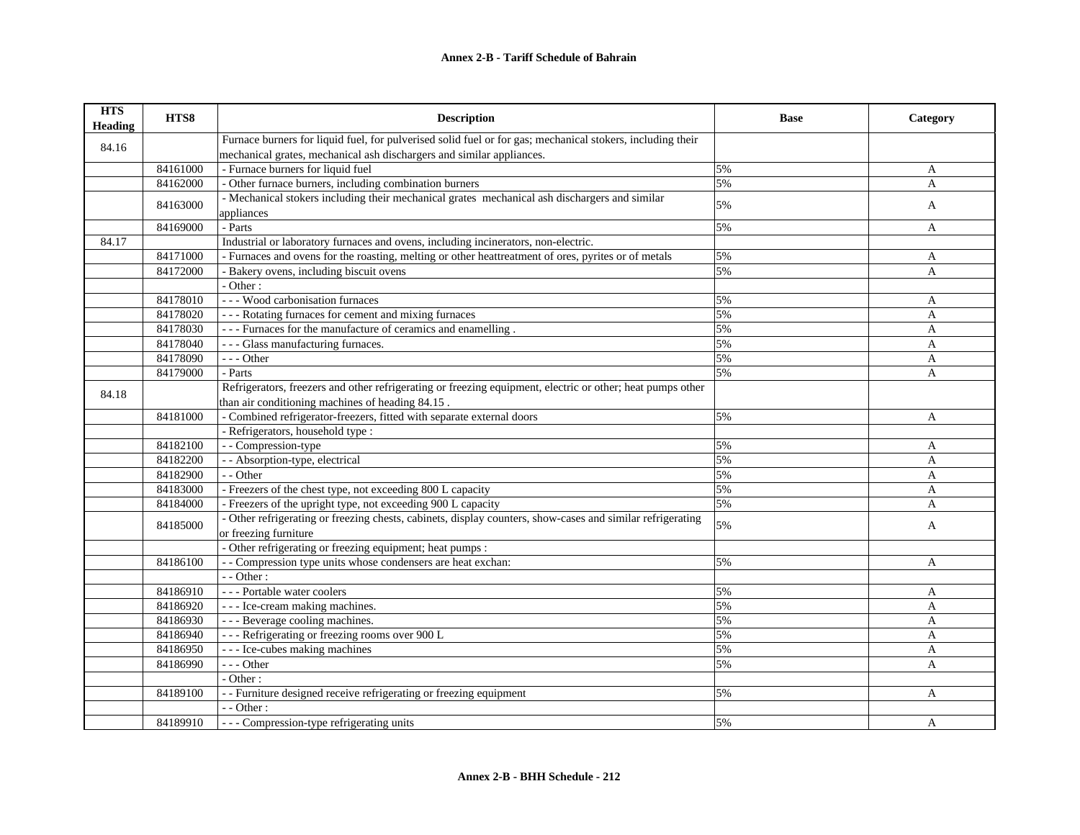| <b>HTS</b><br><b>Heading</b> | HTS8     | <b>Description</b>                                                                                          | <b>Base</b> | Category     |
|------------------------------|----------|-------------------------------------------------------------------------------------------------------------|-------------|--------------|
| 84.16                        |          | Furnace burners for liquid fuel, for pulverised solid fuel or for gas; mechanical stokers, including their  |             |              |
|                              |          | mechanical grates, mechanical ash dischargers and similar appliances.                                       |             |              |
|                              | 84161000 | - Furnace burners for liquid fuel                                                                           | 5%          | A            |
|                              | 84162000 | - Other furnace burners, including combination burners                                                      | 5%          | A            |
|                              | 84163000 | - Mechanical stokers including their mechanical grates mechanical ash dischargers and similar<br>appliances | 5%          | A            |
|                              | 84169000 | - Parts                                                                                                     | 5%          | A            |
| 84.17                        |          | Industrial or laboratory furnaces and ovens, including incinerators, non-electric.                          |             |              |
|                              | 84171000 | - Furnaces and ovens for the roasting, melting or other heattreatment of ores, pyrites or of metals         | 5%          | A            |
|                              | 84172000 | - Bakery ovens, including biscuit ovens                                                                     | 5%          | A            |
|                              |          | - Other:                                                                                                    |             |              |
|                              | 84178010 | --- Wood carbonisation furnaces                                                                             | 5%          | A            |
|                              | 84178020 | --- Rotating furnaces for cement and mixing furnaces                                                        | 5%          | A            |
|                              | 84178030 | - - - Furnaces for the manufacture of ceramics and enamelling.                                              | 5%          | A            |
|                              | 84178040 | --- Glass manufacturing furnaces.                                                                           | 5%          | A            |
|                              | 84178090 | $--$ Other                                                                                                  | 5%          | A            |
|                              | 84179000 | - Parts                                                                                                     | 5%          | A            |
| 84.18                        |          | Refrigerators, freezers and other refrigerating or freezing equipment, electric or other; heat pumps other  |             |              |
|                              |          | than air conditioning machines of heading 84.15.                                                            |             |              |
|                              | 84181000 | - Combined refrigerator-freezers, fitted with separate external doors                                       | 5%          | A            |
|                              |          | - Refrigerators, household type :                                                                           |             |              |
|                              | 84182100 | - - Compression-type                                                                                        | 5%          | A            |
|                              | 84182200 | - - Absorption-type, electrical                                                                             | 5%          | $\mathbf{A}$ |
|                              | 84182900 | - - Other                                                                                                   | 5%          | A            |
|                              | 84183000 | - Freezers of the chest type, not exceeding 800 L capacity                                                  | 5%          | A            |
|                              | 84184000 | - Freezers of the upright type, not exceeding 900 L capacity                                                | 5%          | A            |
|                              | 84185000 | - Other refrigerating or freezing chests, cabinets, display counters, show-cases and similar refrigerating  | 5%          | A            |
|                              |          | or freezing furniture                                                                                       |             |              |
|                              |          | - Other refrigerating or freezing equipment; heat pumps :                                                   |             |              |
|                              | 84186100 | - - Compression type units whose condensers are heat exchan:                                                | 5%          | A            |
|                              |          | $-$ - Other :                                                                                               |             |              |
|                              | 84186910 | --- Portable water coolers                                                                                  | 5%          | A            |
|                              | 84186920 | - - - Ice-cream making machines.                                                                            | 5%          | A            |
|                              | 84186930 | --- Beverage cooling machines.                                                                              | 5%          | A            |
|                              | 84186940 | --- Refrigerating or freezing rooms over 900 L                                                              | 5%          | A            |
|                              | 84186950 | --- Ice-cubes making machines                                                                               | 5%          | A            |
|                              | 84186990 | --- Other                                                                                                   | 5%          | A            |
|                              |          | - Other:                                                                                                    |             |              |
|                              | 84189100 | - - Furniture designed receive refrigerating or freezing equipment                                          | 5%          | A            |
|                              |          | - - Other:                                                                                                  |             |              |
|                              | 84189910 | --- Compression-type refrigerating units                                                                    | 5%          | A            |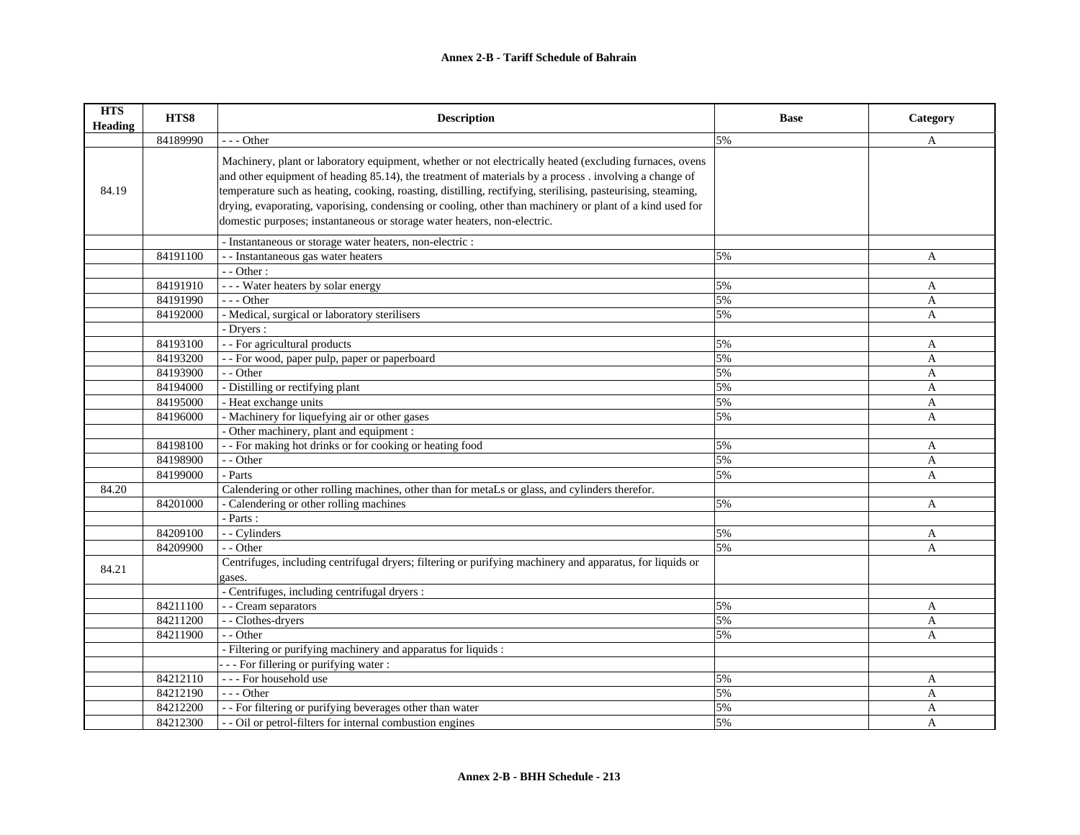| <b>HTS</b><br>Heading | HTS8     | <b>Description</b>                                                                                                                                                                                                                                                                                                                                                                                                                                                                                                        | <b>Base</b> | Category |
|-----------------------|----------|---------------------------------------------------------------------------------------------------------------------------------------------------------------------------------------------------------------------------------------------------------------------------------------------------------------------------------------------------------------------------------------------------------------------------------------------------------------------------------------------------------------------------|-------------|----------|
|                       | 84189990 | $- -$ Other                                                                                                                                                                                                                                                                                                                                                                                                                                                                                                               | 5%          | A        |
| 84.19                 |          | Machinery, plant or laboratory equipment, whether or not electrically heated (excluding furnaces, ovens<br>and other equipment of heading 85.14), the treatment of materials by a process . involving a change of<br>temperature such as heating, cooking, roasting, distilling, rectifying, sterilising, pasteurising, steaming,<br>drying, evaporating, vaporising, condensing or cooling, other than machinery or plant of a kind used for<br>domestic purposes; instantaneous or storage water heaters, non-electric. |             |          |
|                       |          | - Instantaneous or storage water heaters, non-electric :                                                                                                                                                                                                                                                                                                                                                                                                                                                                  |             |          |
|                       | 84191100 | - - Instantaneous gas water heaters                                                                                                                                                                                                                                                                                                                                                                                                                                                                                       | 5%          | A        |
|                       |          | - - Other:                                                                                                                                                                                                                                                                                                                                                                                                                                                                                                                |             |          |
|                       | 84191910 | --- Water heaters by solar energy                                                                                                                                                                                                                                                                                                                                                                                                                                                                                         | 5%          | A        |
|                       | 84191990 | $- -$ Other                                                                                                                                                                                                                                                                                                                                                                                                                                                                                                               | 5%          | A        |
|                       | 84192000 | - Medical, surgical or laboratory sterilisers                                                                                                                                                                                                                                                                                                                                                                                                                                                                             | 5%          | A        |
|                       |          | - Dryers :                                                                                                                                                                                                                                                                                                                                                                                                                                                                                                                |             |          |
|                       | 84193100 | - - For agricultural products                                                                                                                                                                                                                                                                                                                                                                                                                                                                                             | 5%          | A        |
|                       | 84193200 | - - For wood, paper pulp, paper or paperboard                                                                                                                                                                                                                                                                                                                                                                                                                                                                             | 5%          | A        |
|                       | 84193900 | - - Other                                                                                                                                                                                                                                                                                                                                                                                                                                                                                                                 | 5%          | A        |
|                       | 84194000 | - Distilling or rectifying plant                                                                                                                                                                                                                                                                                                                                                                                                                                                                                          | 5%          | A        |
|                       | 84195000 | - Heat exchange units                                                                                                                                                                                                                                                                                                                                                                                                                                                                                                     | 5%          | A        |
|                       | 84196000 | - Machinery for liquefying air or other gases                                                                                                                                                                                                                                                                                                                                                                                                                                                                             | 5%          | A        |
|                       |          | - Other machinery, plant and equipment :                                                                                                                                                                                                                                                                                                                                                                                                                                                                                  |             |          |
|                       | 84198100 | - - For making hot drinks or for cooking or heating food                                                                                                                                                                                                                                                                                                                                                                                                                                                                  | 5%          | A        |
|                       | 84198900 | - - Other                                                                                                                                                                                                                                                                                                                                                                                                                                                                                                                 | 5%          | A        |
|                       | 84199000 | - Parts                                                                                                                                                                                                                                                                                                                                                                                                                                                                                                                   | 5%          | A        |
| 84.20                 |          | Calendering or other rolling machines, other than for metaLs or glass, and cylinders therefor.                                                                                                                                                                                                                                                                                                                                                                                                                            |             |          |
|                       | 84201000 | - Calendering or other rolling machines                                                                                                                                                                                                                                                                                                                                                                                                                                                                                   | 5%          | A        |
|                       |          | - Parts :                                                                                                                                                                                                                                                                                                                                                                                                                                                                                                                 |             |          |
|                       | 84209100 | - - Cylinders                                                                                                                                                                                                                                                                                                                                                                                                                                                                                                             | 5%          | A        |
|                       | 84209900 | - - Other                                                                                                                                                                                                                                                                                                                                                                                                                                                                                                                 | 5%          | A        |
| 84.21                 |          | Centrifuges, including centrifugal dryers; filtering or purifying machinery and apparatus, for liquids or<br>gases.                                                                                                                                                                                                                                                                                                                                                                                                       |             |          |
|                       |          | - Centrifuges, including centrifugal dryers :                                                                                                                                                                                                                                                                                                                                                                                                                                                                             |             |          |
|                       | 84211100 | - - Cream separators                                                                                                                                                                                                                                                                                                                                                                                                                                                                                                      | 5%          | A        |
|                       | 84211200 | - - Clothes-dryers                                                                                                                                                                                                                                                                                                                                                                                                                                                                                                        | 5%          | A        |
|                       | 84211900 | - - Other                                                                                                                                                                                                                                                                                                                                                                                                                                                                                                                 | 5%          | A        |
|                       |          | - Filtering or purifying machinery and apparatus for liquids :                                                                                                                                                                                                                                                                                                                                                                                                                                                            |             |          |
|                       |          | - - For fillering or purifying water :                                                                                                                                                                                                                                                                                                                                                                                                                                                                                    |             |          |
|                       | 84212110 | --- For household use                                                                                                                                                                                                                                                                                                                                                                                                                                                                                                     | 5%          | A        |
|                       | 84212190 | $- -$ Other                                                                                                                                                                                                                                                                                                                                                                                                                                                                                                               | 5%          | A        |
|                       | 84212200 | - - For filtering or purifying beverages other than water                                                                                                                                                                                                                                                                                                                                                                                                                                                                 | 5%          | A        |
|                       | 84212300 | - - Oil or petrol-filters for internal combustion engines                                                                                                                                                                                                                                                                                                                                                                                                                                                                 | 5%          | A        |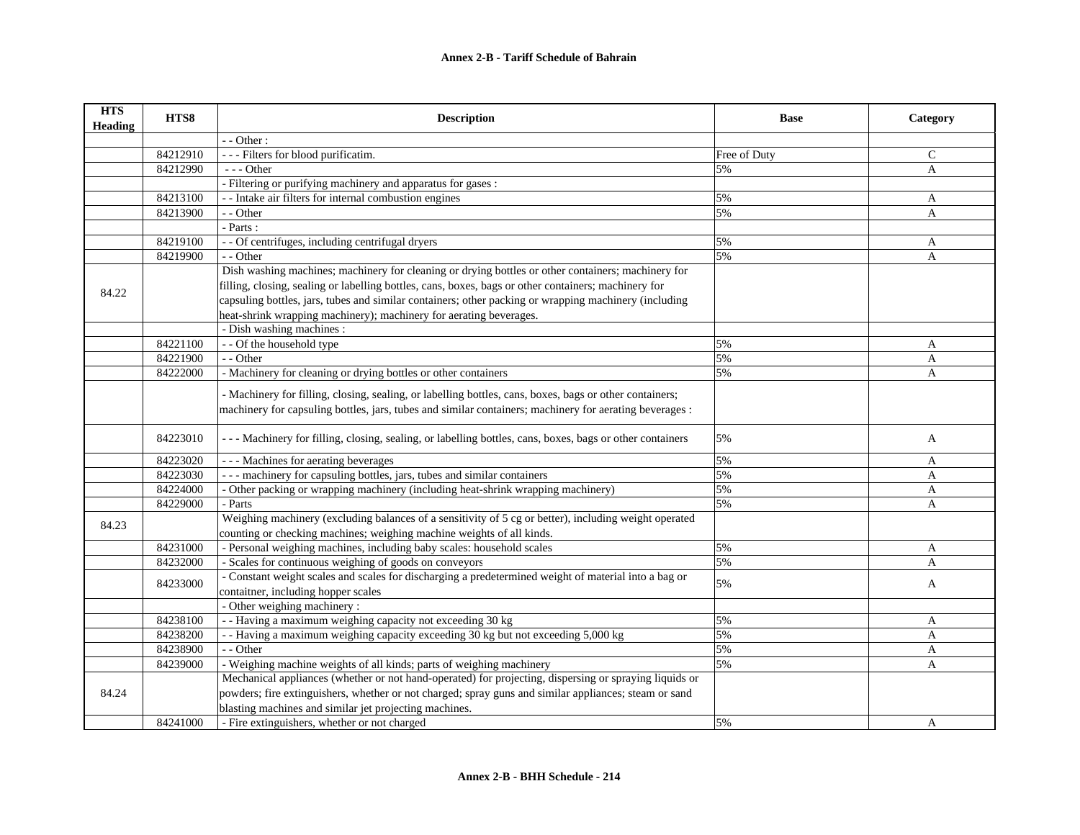| <b>HTS</b><br><b>Heading</b> | HTS8     | <b>Description</b>                                                                                                                                                                                                 | <b>Base</b>  | Category     |
|------------------------------|----------|--------------------------------------------------------------------------------------------------------------------------------------------------------------------------------------------------------------------|--------------|--------------|
|                              |          | $-$ - Other :                                                                                                                                                                                                      |              |              |
|                              | 84212910 | --- Filters for blood purificatim.                                                                                                                                                                                 | Free of Duty | C            |
|                              | 84212990 | --- Other                                                                                                                                                                                                          | 5%           | A            |
|                              |          | - Filtering or purifying machinery and apparatus for gases :                                                                                                                                                       |              |              |
|                              | 84213100 | - - Intake air filters for internal combustion engines                                                                                                                                                             | 5%           | A            |
|                              | 84213900 | - - Other                                                                                                                                                                                                          | 5%           | $\mathbf{A}$ |
|                              |          | - Parts :                                                                                                                                                                                                          |              |              |
|                              | 84219100 | - - Of centrifuges, including centrifugal dryers                                                                                                                                                                   | 5%           | A            |
|                              | 84219900 | - - Other                                                                                                                                                                                                          | 5%           | A            |
|                              |          | Dish washing machines; machinery for cleaning or drying bottles or other containers; machinery for                                                                                                                 |              |              |
| 84.22                        |          | filling, closing, sealing or labelling bottles, cans, boxes, bags or other containers; machinery for                                                                                                               |              |              |
|                              |          | capsuling bottles, jars, tubes and similar containers; other packing or wrapping machinery (including                                                                                                              |              |              |
|                              |          | heat-shrink wrapping machinery); machinery for aerating beverages.                                                                                                                                                 |              |              |
|                              |          | - Dish washing machines :                                                                                                                                                                                          |              |              |
|                              | 84221100 | - - Of the household type                                                                                                                                                                                          | 5%           | A            |
|                              | 84221900 | - - Other                                                                                                                                                                                                          | 5%           | A            |
|                              | 84222000 | - Machinery for cleaning or drying bottles or other containers                                                                                                                                                     | 5%           | A            |
|                              |          | - Machinery for filling, closing, sealing, or labelling bottles, cans, boxes, bags or other containers;<br>machinery for capsuling bottles, jars, tubes and similar containers; machinery for aerating beverages : |              |              |
|                              | 84223010 | --- Machinery for filling, closing, sealing, or labelling bottles, cans, boxes, bags or other containers                                                                                                           | 5%           | A            |
|                              | 84223020 | --- Machines for aerating beverages                                                                                                                                                                                | 5%           | A            |
|                              | 84223030 | --- machinery for capsuling bottles, jars, tubes and similar containers                                                                                                                                            | 5%           | A            |
|                              | 84224000 | - Other packing or wrapping machinery (including heat-shrink wrapping machinery)                                                                                                                                   | 5%           | A            |
|                              | 84229000 | - Parts                                                                                                                                                                                                            | 5%           | A            |
| 84.23                        |          | Weighing machinery (excluding balances of a sensitivity of 5 cg or better), including weight operated                                                                                                              |              |              |
|                              |          | counting or checking machines; weighing machine weights of all kinds.                                                                                                                                              |              |              |
|                              | 84231000 | - Personal weighing machines, including baby scales: household scales                                                                                                                                              | 5%           | A            |
|                              | 84232000 | - Scales for continuous weighing of goods on conveyors                                                                                                                                                             | 5%           | A            |
|                              | 84233000 | - Constant weight scales and scales for discharging a predetermined weight of material into a bag or                                                                                                               | 5%           | A            |
|                              |          | contaitner, including hopper scales                                                                                                                                                                                |              |              |
|                              |          | - Other weighing machinery :                                                                                                                                                                                       |              |              |
|                              | 84238100 | - - Having a maximum weighing capacity not exceeding 30 kg                                                                                                                                                         | 5%           | A            |
|                              | 84238200 | -- Having a maximum weighing capacity exceeding 30 kg but not exceeding 5,000 kg                                                                                                                                   | 5%           | A            |
|                              | 84238900 | - - Other                                                                                                                                                                                                          | 5%           | A            |
|                              | 84239000 | - Weighing machine weights of all kinds; parts of weighing machinery                                                                                                                                               | 5%           | A            |
|                              |          | Mechanical appliances (whether or not hand-operated) for projecting, dispersing or spraying liquids or                                                                                                             |              |              |
| 84.24                        |          | powders; fire extinguishers, whether or not charged; spray guns and similar appliances; steam or sand                                                                                                              |              |              |
|                              |          | blasting machines and similar jet projecting machines.                                                                                                                                                             |              |              |
|                              | 84241000 | - Fire extinguishers, whether or not charged                                                                                                                                                                       | 5%           | A            |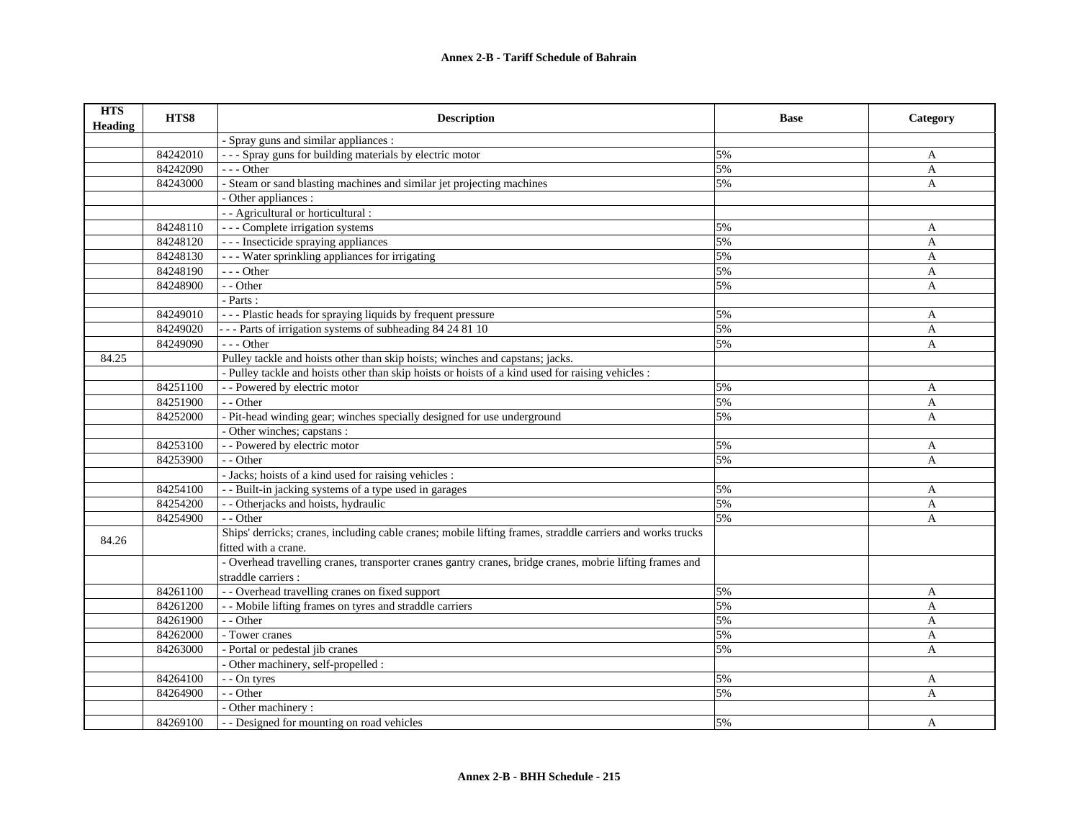| <b>HTS</b><br><b>Heading</b> | HTS8     | <b>Description</b>                                                                                         | <b>Base</b> | Category     |
|------------------------------|----------|------------------------------------------------------------------------------------------------------------|-------------|--------------|
|                              |          | - Spray guns and similar appliances :                                                                      |             |              |
|                              | 84242010 | --- Spray guns for building materials by electric motor                                                    | 5%          | A            |
|                              | 84242090 | $--$ Other                                                                                                 | 5%          | $\mathbf{A}$ |
|                              | 84243000 | - Steam or sand blasting machines and similar jet projecting machines                                      | 5%          | A            |
|                              |          | - Other appliances :                                                                                       |             |              |
|                              |          | - - Agricultural or horticultural :                                                                        |             |              |
|                              | 84248110 | --- Complete irrigation systems                                                                            | 5%          | A            |
|                              | 84248120 | --- Insecticide spraying appliances                                                                        | 5%          | $\mathbf{A}$ |
|                              | 84248130 | --- Water sprinkling appliances for irrigating                                                             | 5%          | A            |
|                              | 84248190 | --- Other                                                                                                  | 5%          | A            |
|                              | 84248900 | - - Other                                                                                                  | 5%          | A            |
|                              |          | $-$ Parts :                                                                                                |             |              |
|                              | 84249010 | --- Plastic heads for spraying liquids by frequent pressure                                                | 5%          | A            |
|                              | 84249020 | --- Parts of irrigation systems of subheading 84 24 81 10                                                  | 5%          | A            |
|                              | 84249090 | $--$ Other                                                                                                 | 5%          | A            |
| 84.25                        |          | Pulley tackle and hoists other than skip hoists; winches and capstans; jacks.                              |             |              |
|                              |          | - Pulley tackle and hoists other than skip hoists or hoists of a kind used for raising vehicles :          |             |              |
|                              | 84251100 | - - Powered by electric motor                                                                              | 5%          | A            |
|                              | 84251900 | - - Other                                                                                                  | 5%          | $\mathbf{A}$ |
|                              | 84252000 | - Pit-head winding gear; winches specially designed for use underground                                    | 5%          | A            |
|                              |          | - Other winches; capstans :                                                                                |             |              |
|                              | 84253100 | - - Powered by electric motor                                                                              | 5%          | A            |
|                              | 84253900 | - - Other                                                                                                  | 5%          | $\mathbf{A}$ |
|                              |          | - Jacks; hoists of a kind used for raising vehicles :                                                      |             |              |
|                              | 84254100 | - - Built-in jacking systems of a type used in garages                                                     | 5%          | A            |
|                              | 84254200 | - - Otherjacks and hoists, hydraulic                                                                       | 5%          | $\mathbf{A}$ |
|                              | 84254900 | - - Other                                                                                                  | 5%          | A            |
|                              |          | Ships' derricks; cranes, including cable cranes; mobile lifting frames, straddle carriers and works trucks |             |              |
| 84.26                        |          | fitted with a crane.                                                                                       |             |              |
|                              |          | - Overhead travelling cranes, transporter cranes gantry cranes, bridge cranes, mobrie lifting frames and   |             |              |
|                              |          | straddle carriers :                                                                                        |             |              |
|                              | 84261100 | - - Overhead travelling cranes on fixed support                                                            | 5%          | A            |
|                              | 84261200 | - - Mobile lifting frames on tyres and straddle carriers                                                   | 5%          | A            |
|                              | 84261900 | - - Other                                                                                                  | 5%          | A            |
|                              | 84262000 | - Tower cranes                                                                                             | 5%          | A            |
|                              | 84263000 | - Portal or pedestal jib cranes                                                                            | 5%          | A            |
|                              |          | - Other machinery, self-propelled :                                                                        |             |              |
|                              | 84264100 | - - On tyres                                                                                               | 5%          | A            |
|                              | 84264900 | - - Other                                                                                                  | 5%          | A            |
|                              |          | - Other machinery:                                                                                         |             |              |
|                              | 84269100 | - - Designed for mounting on road vehicles                                                                 | 5%          | A            |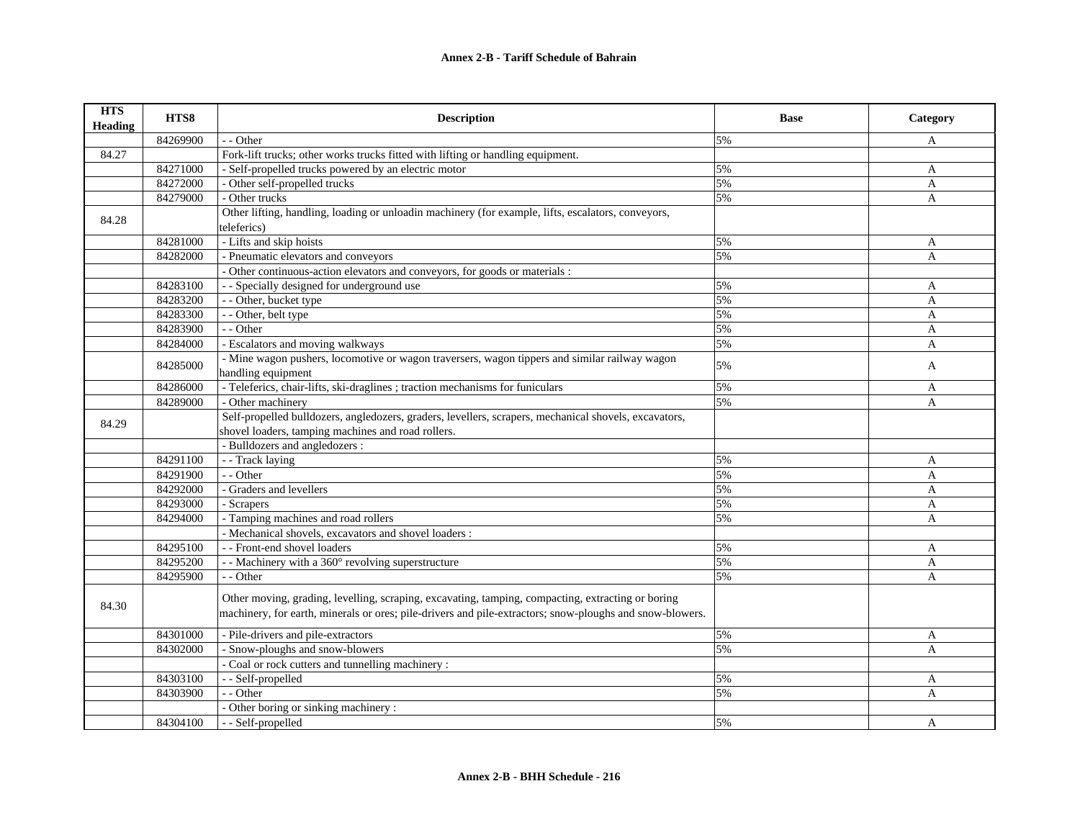| <b>HTS</b><br><b>Heading</b> | HTS8                 | <b>Description</b>                                                                                       | <b>Base</b> | Category          |
|------------------------------|----------------------|----------------------------------------------------------------------------------------------------------|-------------|-------------------|
|                              | 84269900             | - - Other                                                                                                | 5%          | A                 |
| 84.27                        |                      | Fork-lift trucks; other works trucks fitted with lifting or handling equipment.                          |             |                   |
|                              | 84271000             | - Self-propelled trucks powered by an electric motor                                                     | 5%          | A                 |
|                              | 84272000             | - Other self-propelled trucks                                                                            | 5%          | A                 |
|                              | 84279000             | - Other trucks                                                                                           | 5%          | A                 |
| 84.28                        |                      | Other lifting, handling, loading or unloadin machinery (for example, lifts, escalators, conveyors,       |             |                   |
|                              |                      | teleferics)                                                                                              | 5%          |                   |
|                              | 84281000<br>84282000 | - Lifts and skip hoists<br>- Pneumatic elevators and conveyors                                           | 5%          | $\mathbf{A}$      |
|                              |                      | - Other continuous-action elevators and conveyors, for goods or materials :                              |             | A                 |
|                              | 84283100             | - - Specially designed for underground use                                                               | 5%          |                   |
|                              | 84283200             | - - Other, bucket type                                                                                   | 5%          | A                 |
|                              | 84283300             | - - Other, belt type                                                                                     | 5%          | A<br>A            |
|                              |                      | - - Other                                                                                                | 5%          |                   |
|                              | 84283900<br>84284000 | - Escalators and moving walkways                                                                         | 5%          | A<br>A            |
|                              |                      | - Mine wagon pushers, locomotive or wagon traversers, wagon tippers and similar railway wagon            |             |                   |
|                              | 84285000             | handling equipment                                                                                       | 5%          | A                 |
|                              | 84286000             | - Teleferics, chair-lifts, ski-draglines ; traction mechanisms for funiculars                            | 5%          |                   |
|                              | 84289000             | - Other machinery                                                                                        | 5%          | A<br>$\mathbf{A}$ |
|                              |                      | Self-propelled bulldozers, angledozers, graders, levellers, scrapers, mechanical shovels, excavators,    |             |                   |
| 84.29                        |                      | shovel loaders, tamping machines and road rollers.                                                       |             |                   |
|                              |                      | - Bulldozers and angledozers :                                                                           |             |                   |
|                              | 84291100             | - - Track laying                                                                                         | 5%          | A                 |
|                              | 84291900             | - - Other                                                                                                | 5%          | A                 |
|                              | 84292000             | - Graders and levellers                                                                                  | 5%          | A                 |
|                              | 84293000             | - Scrapers                                                                                               | 5%          | A                 |
|                              | 84294000             | - Tamping machines and road rollers                                                                      | 5%          | $\mathbf{A}$      |
|                              |                      | - Mechanical shovels, excavators and shovel loaders :                                                    |             |                   |
|                              | 84295100             | - - Front-end shovel loaders                                                                             | 5%          | A                 |
|                              | 84295200             | - - Machinery with a 360° revolving superstructure                                                       | 5%          | A                 |
|                              | 84295900             | - - Other                                                                                                | 5%          | A                 |
|                              |                      |                                                                                                          |             |                   |
| 84.30                        |                      | Other moving, grading, levelling, scraping, excavating, tamping, compacting, extracting or boring        |             |                   |
|                              |                      | machinery, for earth, minerals or ores; pile-drivers and pile-extractors; snow-ploughs and snow-blowers. |             |                   |
|                              | 84301000             | - Pile-drivers and pile-extractors                                                                       | 5%          | A                 |
|                              | 84302000             | - Snow-ploughs and snow-blowers                                                                          | 5%          | A                 |
|                              |                      | - Coal or rock cutters and tunnelling machinery :                                                        |             |                   |
|                              | 84303100             | - - Self-propelled                                                                                       | 5%          | A                 |
|                              | 84303900             | - - Other                                                                                                | 5%          | A                 |
|                              |                      | - Other boring or sinking machinery :                                                                    |             |                   |
|                              | 84304100             | - - Self-propelled                                                                                       | 5%          | A                 |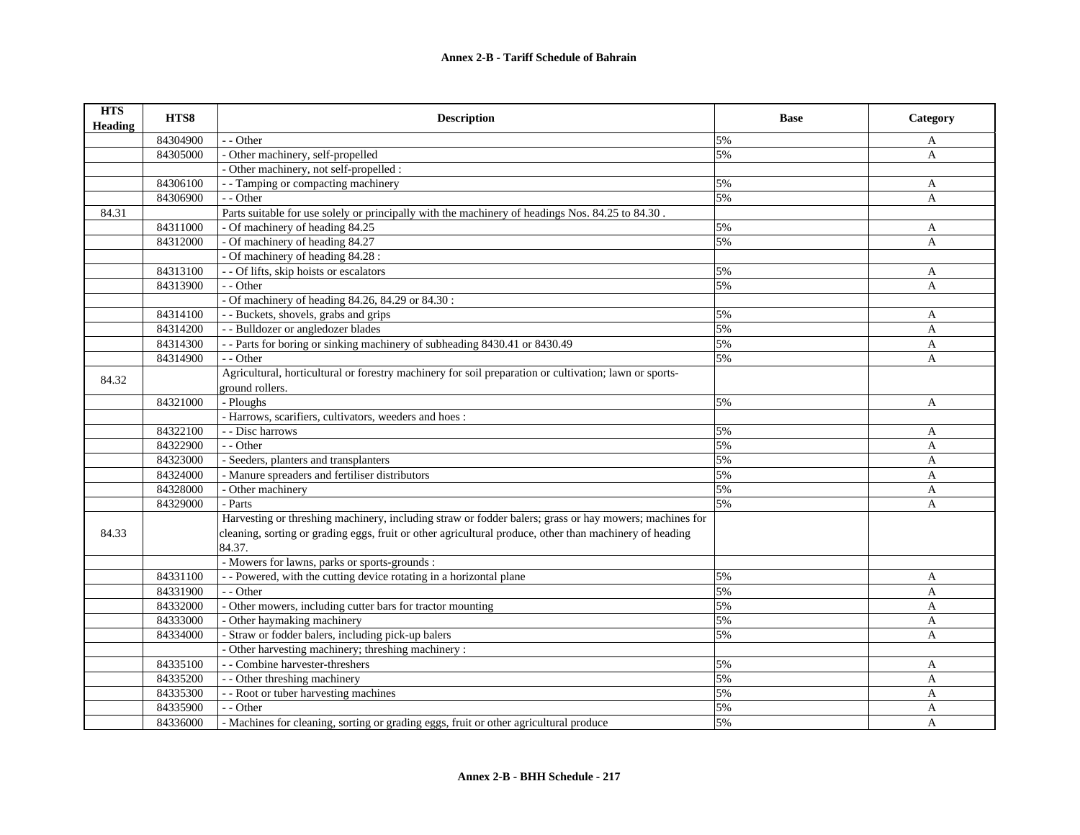| <b>HTS</b><br><b>Heading</b> | HTS8     | <b>Description</b>                                                                                      | <b>Base</b> | Category     |
|------------------------------|----------|---------------------------------------------------------------------------------------------------------|-------------|--------------|
|                              | 84304900 | - - Other                                                                                               | 5%          | $\mathbf{A}$ |
|                              | 84305000 | - Other machinery, self-propelled                                                                       | 5%          | $\mathbf{A}$ |
|                              |          | - Other machinery, not self-propelled :                                                                 |             |              |
|                              | 84306100 | - - Tamping or compacting machinery                                                                     | 5%          | $\mathbf{A}$ |
|                              | 84306900 | - - Other                                                                                               | 5%          | A            |
| 84.31                        |          | Parts suitable for use solely or principally with the machinery of headings Nos. 84.25 to 84.30.        |             |              |
|                              | 84311000 | - Of machinery of heading 84.25                                                                         | 5%          | A            |
|                              | 84312000 | - Of machinery of heading 84.27                                                                         | 5%          | $\mathbf{A}$ |
|                              |          | - Of machinery of heading 84.28 :                                                                       |             |              |
|                              | 84313100 | - - Of lifts, skip hoists or escalators                                                                 | 5%          | A            |
|                              | 84313900 | - - Other                                                                                               | 5%          | A            |
|                              |          | - Of machinery of heading 84.26, 84.29 or 84.30 :                                                       |             |              |
|                              | 84314100 | - - Buckets, shovels, grabs and grips                                                                   | 5%          | A            |
|                              | 84314200 | - - Bulldozer or angledozer blades                                                                      | 5%          | A            |
|                              | 84314300 | -- Parts for boring or sinking machinery of subheading 8430.41 or 8430.49                               | 5%          | A            |
|                              | 84314900 | $-$ - Other                                                                                             | 5%          | A            |
|                              |          | Agricultural, horticultural or forestry machinery for soil preparation or cultivation; lawn or sports-  |             |              |
| 84.32                        |          | ground rollers.                                                                                         |             |              |
|                              | 84321000 | - Ploughs                                                                                               | 5%          | A            |
|                              |          | - Harrows, scarifiers, cultivators, weeders and hoes:                                                   |             |              |
|                              | 84322100 | - - Disc harrows                                                                                        | 5%          | A            |
|                              | 84322900 | - - Other                                                                                               | 5%          | A            |
|                              | 84323000 | - Seeders, planters and transplanters                                                                   | 5%          | A            |
|                              | 84324000 | - Manure spreaders and fertiliser distributors                                                          | 5%          | A            |
|                              | 84328000 | - Other machinery                                                                                       | 5%          | A            |
|                              | 84329000 | - Parts                                                                                                 | 5%          | A            |
|                              |          | Harvesting or threshing machinery, including straw or fodder balers; grass or hay mowers; machines for  |             |              |
| 84.33                        |          | cleaning, sorting or grading eggs, fruit or other agricultural produce, other than machinery of heading |             |              |
|                              |          | 84.37.                                                                                                  |             |              |
|                              |          | - Mowers for lawns, parks or sports-grounds :                                                           |             |              |
|                              | 84331100 | - - Powered, with the cutting device rotating in a horizontal plane                                     | 5%          | A            |
|                              | 84331900 | - - Other                                                                                               | 5%          | A            |
|                              | 84332000 | - Other mowers, including cutter bars for tractor mounting                                              | 5%          | A            |
|                              | 84333000 | - Other haymaking machinery                                                                             | 5%          | A            |
|                              | 84334000 | - Straw or fodder balers, including pick-up balers                                                      | 5%          | A            |
|                              |          | - Other harvesting machinery; threshing machinery :                                                     |             |              |
|                              | 84335100 | - - Combine harvester-threshers                                                                         | 5%          | A            |
|                              | 84335200 | - - Other threshing machinery                                                                           | 5%          | A            |
|                              | 84335300 | - - Root or tuber harvesting machines                                                                   | 5%          | A            |
|                              | 84335900 | - - Other                                                                                               | 5%          | A            |
|                              | 84336000 | - Machines for cleaning, sorting or grading eggs, fruit or other agricultural produce                   | 5%          | $\mathsf{A}$ |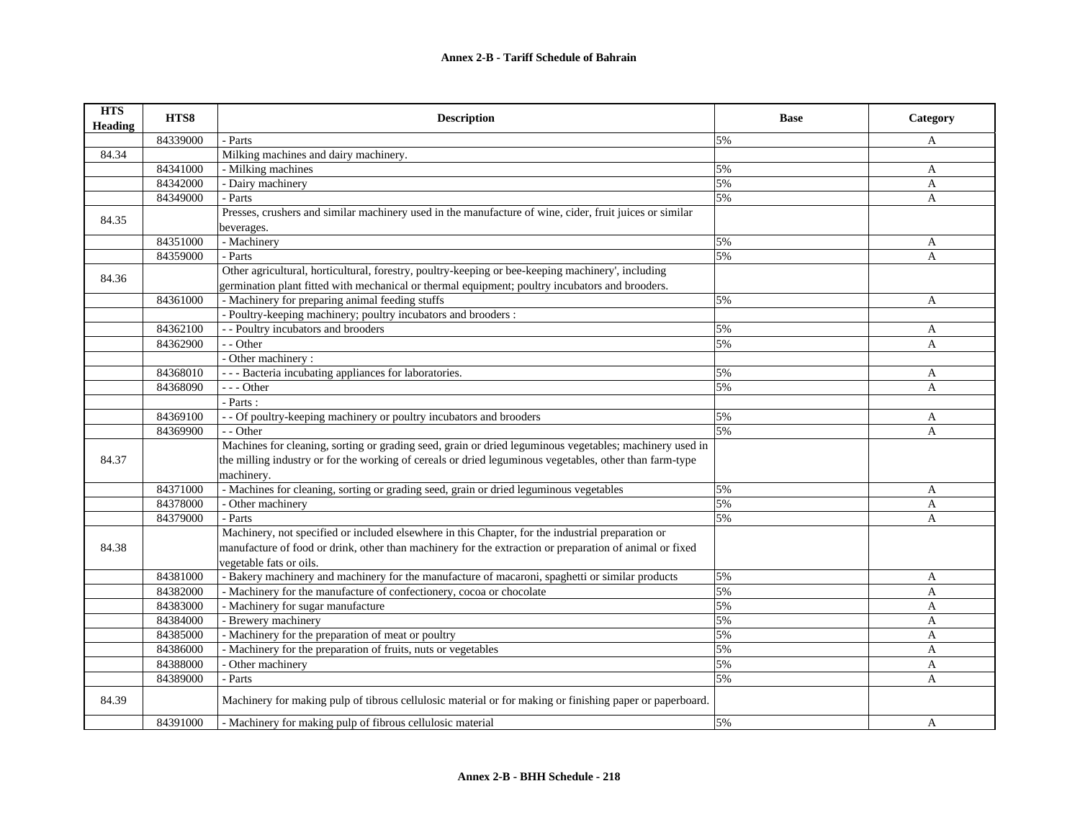| <b>HTS</b><br>Heading | HTS8     | <b>Description</b>                                                                                                                 | <b>Base</b> | Category     |
|-----------------------|----------|------------------------------------------------------------------------------------------------------------------------------------|-------------|--------------|
|                       | 84339000 | - Parts                                                                                                                            | 5%          | A            |
| 84.34                 |          | Milking machines and dairy machinery.                                                                                              |             |              |
|                       | 84341000 | - Milking machines                                                                                                                 | 5%          | A            |
|                       | 84342000 | - Dairy machinery                                                                                                                  | 5%          | A            |
|                       | 84349000 | - Parts                                                                                                                            | 5%          | A            |
| 84.35                 |          | Presses, crushers and similar machinery used in the manufacture of wine, cider, fruit juices or similar<br>beverages.              |             |              |
|                       | 84351000 | - Machinery                                                                                                                        | 5%          | A            |
|                       | 84359000 | - Parts                                                                                                                            | 5%          | A            |
|                       |          | Other agricultural, horticultural, forestry, poultry-keeping or bee-keeping machinery', including                                  |             |              |
| 84.36                 |          | germination plant fitted with mechanical or thermal equipment; poultry incubators and brooders.                                    |             |              |
|                       | 84361000 | - Machinery for preparing animal feeding stuffs                                                                                    | 5%          | A            |
|                       |          | - Poultry-keeping machinery; poultry incubators and brooders :                                                                     |             |              |
|                       | 84362100 | - - Poultry incubators and brooders                                                                                                | 5%          | A            |
|                       | 84362900 | $-$ - Other                                                                                                                        | 5%          | A            |
|                       |          | - Other machinery:                                                                                                                 |             |              |
|                       | 84368010 | --- Bacteria incubating appliances for laboratories.                                                                               | 5%          | A            |
|                       | 84368090 | --- Other                                                                                                                          | 5%          | A            |
|                       |          | - Parts :                                                                                                                          |             |              |
|                       | 84369100 | - - Of poultry-keeping machinery or poultry incubators and brooders                                                                | 5%          | A            |
|                       | 84369900 | - - Other                                                                                                                          | 5%          | $\mathbf{A}$ |
|                       |          | Machines for cleaning, sorting or grading seed, grain or dried leguminous vegetables; machinery used in                            |             |              |
| 84.37                 |          | the milling industry or for the working of cereals or dried leguminous vegetables, other than farm-type<br>machinery.              |             |              |
|                       | 84371000 | - Machines for cleaning, sorting or grading seed, grain or dried leguminous vegetables                                             | 5%          | A            |
|                       | 84378000 | - Other machinery                                                                                                                  | 5%          | A            |
|                       | 84379000 | - Parts                                                                                                                            | 5%          | $\mathbf{A}$ |
|                       |          | Machinery, not specified or included elsewhere in this Chapter, for the industrial preparation or                                  |             |              |
| 84.38                 |          | manufacture of food or drink, other than machinery for the extraction or preparation of animal or fixed<br>vegetable fats or oils. |             |              |
|                       | 84381000 | - Bakery machinery and machinery for the manufacture of macaroni, spaghetti or similar products                                    | 5%          | $\mathbf{A}$ |
|                       | 84382000 | - Machinery for the manufacture of confectionery, cocoa or chocolate                                                               | 5%          | A            |
|                       | 84383000 | - Machinery for sugar manufacture                                                                                                  | 5%          | A            |
|                       | 84384000 | - Brewery machinery                                                                                                                | 5%          | A            |
|                       | 84385000 | - Machinery for the preparation of meat or poultry                                                                                 | 5%          | A            |
|                       | 84386000 | - Machinery for the preparation of fruits, nuts or vegetables                                                                      | 5%          | A            |
|                       | 84388000 | - Other machinery                                                                                                                  | 5%          | A            |
|                       | 84389000 | - Parts                                                                                                                            | 5%          | A            |
| 84.39                 |          | Machinery for making pulp of tibrous cellulosic material or for making or finishing paper or paperboard.                           |             |              |
|                       | 84391000 | - Machinery for making pulp of fibrous cellulosic material                                                                         | 5%          | A            |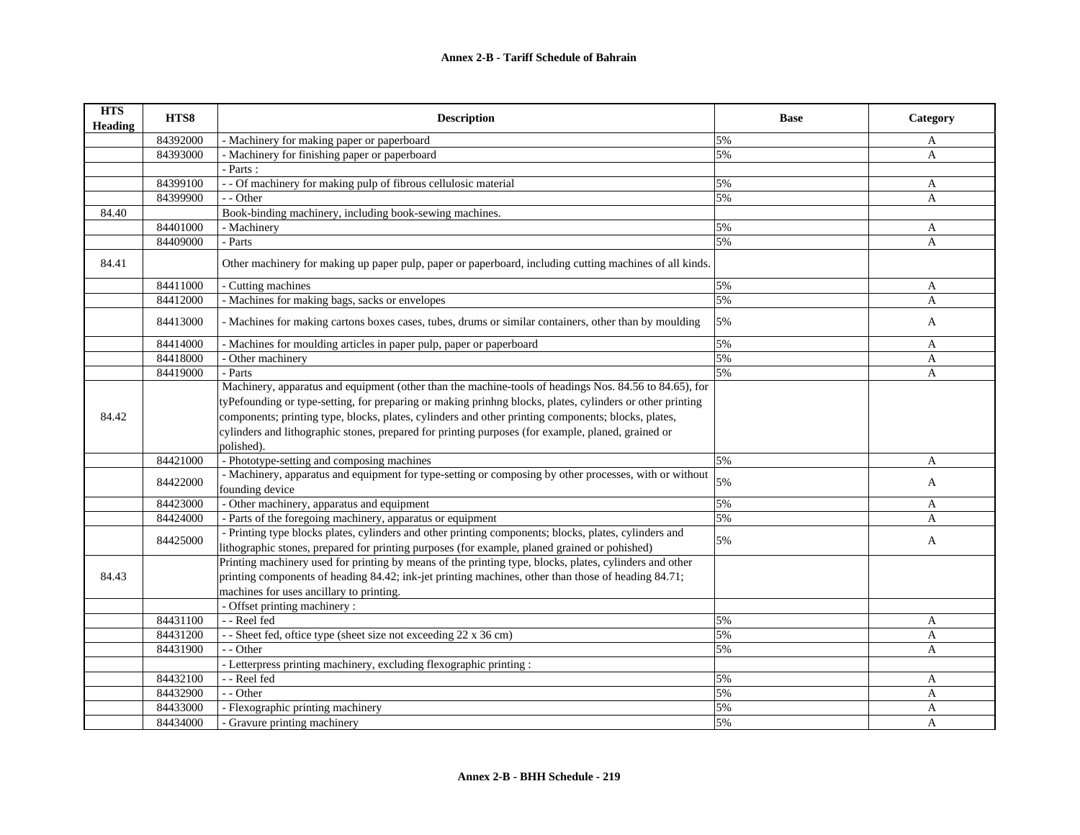| <b>HTS</b><br><b>Heading</b> | HTS8     | <b>Description</b>                                                                                         | <b>Base</b> | Category     |
|------------------------------|----------|------------------------------------------------------------------------------------------------------------|-------------|--------------|
|                              | 84392000 | - Machinery for making paper or paperboard                                                                 | 5%          | A            |
|                              | 84393000 | - Machinery for finishing paper or paperboard                                                              | 5%          | A            |
|                              |          | - Parts :                                                                                                  |             |              |
|                              | 84399100 | - - Of machinery for making pulp of fibrous cellulosic material                                            | 5%          | A            |
|                              | 84399900 | - - Other                                                                                                  | 5%          | A            |
| 84.40                        |          | Book-binding machinery, including book-sewing machines.                                                    |             |              |
|                              | 84401000 | - Machinery                                                                                                | 5%          | A            |
|                              | 84409000 | - Parts                                                                                                    | 5%          | A            |
| 84.41                        |          | Other machinery for making up paper pulp, paper or paperboard, including cutting machines of all kinds.    |             |              |
|                              | 84411000 | - Cutting machines                                                                                         | 5%          | A            |
|                              | 84412000 | - Machines for making bags, sacks or envelopes                                                             | 5%          | $\mathbf{A}$ |
|                              | 84413000 | - Machines for making cartons boxes cases, tubes, drums or similar containers, other than by moulding      | 5%          | A            |
|                              | 84414000 | - Machines for moulding articles in paper pulp, paper or paperboard                                        | 5%          | A            |
|                              | 84418000 | - Other machinery                                                                                          | 5%          | A            |
|                              | 84419000 | - Parts                                                                                                    | 5%          | A            |
|                              |          | Machinery, apparatus and equipment (other than the machine-tools of headings Nos. 84.56 to 84.65), for     |             |              |
|                              |          | tyPefounding or type-setting, for preparing or making printing blocks, plates, cylinders or other printing |             |              |
| 84.42                        |          | components; printing type, blocks, plates, cylinders and other printing components; blocks, plates,        |             |              |
|                              |          | cylinders and lithographic stones, prepared for printing purposes (for example, planed, grained or         |             |              |
|                              |          | polished).                                                                                                 |             |              |
|                              | 84421000 | - Phototype-setting and composing machines                                                                 | 5%          | A            |
|                              | 84422000 | - Machinery, apparatus and equipment for type-setting or composing by other processes, with or without     | 5%          | A            |
|                              |          | founding device                                                                                            |             |              |
|                              | 84423000 | - Other machinery, apparatus and equipment                                                                 | 5%          | A            |
|                              | 84424000 | - Parts of the foregoing machinery, apparatus or equipment                                                 | 5%          | A            |
|                              | 84425000 | - Printing type blocks plates, cylinders and other printing components; blocks, plates, cylinders and      | 5%          | A            |
|                              |          | lithographic stones, prepared for printing purposes (for example, planed grained or pohished)              |             |              |
|                              |          | Printing machinery used for printing by means of the printing type, blocks, plates, cylinders and other    |             |              |
| 84.43                        |          | printing components of heading 84.42; ink-jet printing machines, other than those of heading 84.71;        |             |              |
|                              |          | machines for uses ancillary to printing.                                                                   |             |              |
|                              |          | - Offset printing machinery :                                                                              |             |              |
|                              | 84431100 | - - Reel fed                                                                                               | 5%          | A            |
|                              | 84431200 | - - Sheet fed, oftice type (sheet size not exceeding 22 x 36 cm)                                           | 5%          | $\mathbf{A}$ |
|                              | 84431900 | - - Other                                                                                                  | 5%          | A            |
|                              |          | - Letterpress printing machinery, excluding flexographic printing :                                        |             |              |
|                              | 84432100 | - - Reel fed                                                                                               | 5%          | A            |
|                              | 84432900 | - - Other                                                                                                  | 5%          | A            |
|                              | 84433000 | - Flexographic printing machinery                                                                          | 5%          | A            |
|                              | 84434000 | - Gravure printing machinery                                                                               | 5%          | A            |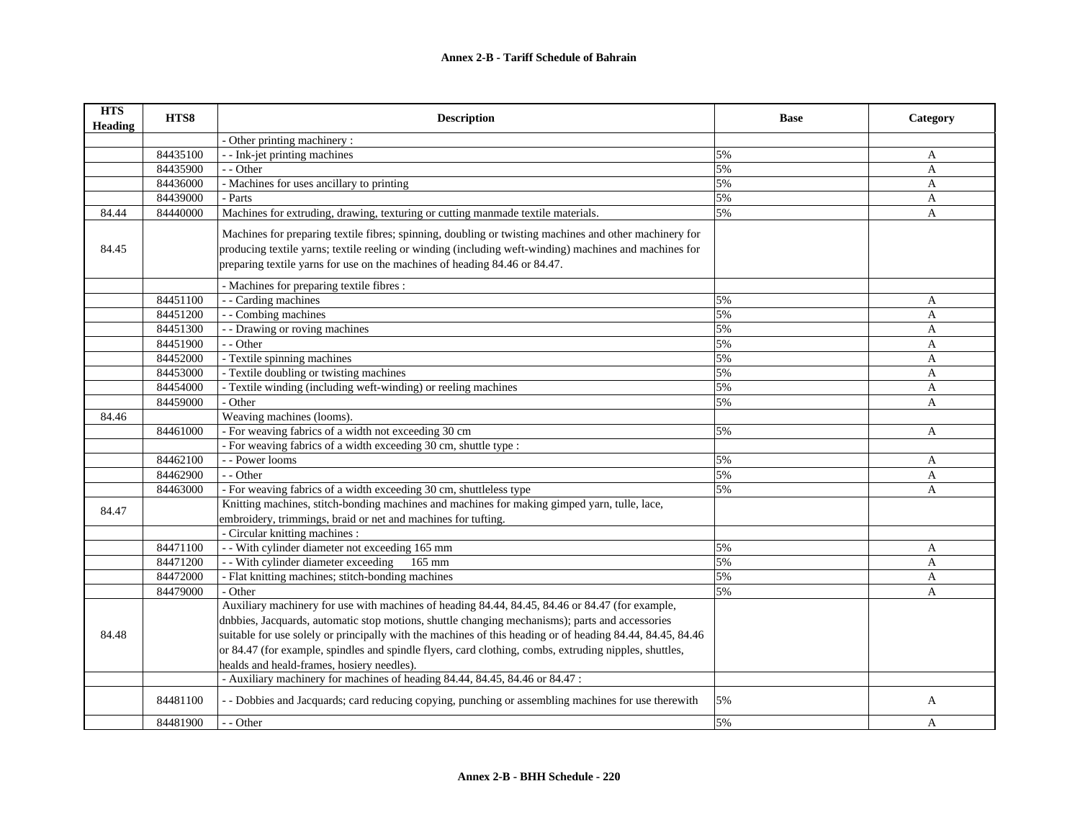| <b>HTS</b><br><b>Heading</b> | HTS8     | <b>Description</b>                                                                                                                                                                                                                                                                             | <b>Base</b> | Category              |
|------------------------------|----------|------------------------------------------------------------------------------------------------------------------------------------------------------------------------------------------------------------------------------------------------------------------------------------------------|-------------|-----------------------|
|                              |          | - Other printing machinery :                                                                                                                                                                                                                                                                   |             |                       |
|                              | 84435100 | - - Ink-jet printing machines                                                                                                                                                                                                                                                                  | 5%          | A                     |
|                              | 84435900 | - - Other                                                                                                                                                                                                                                                                                      | 5%          | $\boldsymbol{\rm{A}}$ |
|                              | 84436000 | - Machines for uses ancillary to printing                                                                                                                                                                                                                                                      | 5%          | $\mathbf{A}$          |
|                              | 84439000 | - Parts                                                                                                                                                                                                                                                                                        | 5%          | A                     |
| 84.44                        | 84440000 | Machines for extruding, drawing, texturing or cutting manmade textile materials.                                                                                                                                                                                                               | 5%          | A                     |
| 84.45                        |          | Machines for preparing textile fibres; spinning, doubling or twisting machines and other machinery for<br>producing textile yarns; textile reeling or winding (including weft-winding) machines and machines for<br>preparing textile yarns for use on the machines of heading 84.46 or 84.47. |             |                       |
|                              |          | - Machines for preparing textile fibres :                                                                                                                                                                                                                                                      |             |                       |
|                              | 84451100 | - - Carding machines                                                                                                                                                                                                                                                                           | 5%          | A                     |
|                              | 84451200 | - - Combing machines                                                                                                                                                                                                                                                                           | 5%          | A                     |
|                              | 84451300 | - - Drawing or roving machines                                                                                                                                                                                                                                                                 | 5%          | A                     |
|                              | 84451900 | - - Other                                                                                                                                                                                                                                                                                      | 5%          | $\mathbf{A}$          |
|                              | 84452000 | - Textile spinning machines                                                                                                                                                                                                                                                                    | 5%          | A                     |
|                              | 84453000 | - Textile doubling or twisting machines                                                                                                                                                                                                                                                        | 5%          | A                     |
|                              | 84454000 | - Textile winding (including weft-winding) or reeling machines                                                                                                                                                                                                                                 | 5%          | $\mathbf{A}$          |
|                              | 84459000 | - Other                                                                                                                                                                                                                                                                                        | 5%          | A                     |
| 84.46                        |          | Weaving machines (looms).                                                                                                                                                                                                                                                                      |             |                       |
|                              | 84461000 | - For weaving fabrics of a width not exceeding 30 cm                                                                                                                                                                                                                                           | 5%          | A                     |
|                              |          | - For weaving fabrics of a width exceeding 30 cm, shuttle type :                                                                                                                                                                                                                               |             |                       |
|                              | 84462100 | - - Power looms                                                                                                                                                                                                                                                                                | 5%          | $\mathbf{A}$          |
|                              | 84462900 | - - Other                                                                                                                                                                                                                                                                                      | 5%          | A                     |
|                              | 84463000 | - For weaving fabrics of a width exceeding 30 cm, shuttleless type                                                                                                                                                                                                                             | 5%          | A                     |
| 84.47                        |          | Knitting machines, stitch-bonding machines and machines for making gimped yarn, tulle, lace,<br>embroidery, trimmings, braid or net and machines for tufting.                                                                                                                                  |             |                       |
|                              |          | - Circular knitting machines :                                                                                                                                                                                                                                                                 |             |                       |
|                              | 84471100 | - With cylinder diameter not exceeding 165 mm                                                                                                                                                                                                                                                  | 5%          | A                     |
|                              | 84471200 | - With cylinder diameter exceeding<br>$165$ mm                                                                                                                                                                                                                                                 | 5%          | A                     |
|                              | 84472000 | - Flat knitting machines; stitch-bonding machines                                                                                                                                                                                                                                              | 5%          | A                     |
|                              | 84479000 | - Other                                                                                                                                                                                                                                                                                        | 5%          | A                     |
|                              |          | Auxiliary machinery for use with machines of heading 84.44, 84.45, 84.46 or 84.47 (for example,                                                                                                                                                                                                |             |                       |
|                              |          | dnbbies, Jacquards, automatic stop motions, shuttle changing mechanisms); parts and accessories                                                                                                                                                                                                |             |                       |
| 84.48                        |          | suitable for use solely or principally with the machines of this heading or of heading 84.44, 84.45, 84.46                                                                                                                                                                                     |             |                       |
|                              |          | or 84.47 (for example, spindles and spindle flyers, card clothing, combs, extruding nipples, shuttles,                                                                                                                                                                                         |             |                       |
|                              |          | healds and heald-frames, hosiery needles).<br>- Auxiliary machinery for machines of heading 84.44, 84.45, 84.46 or 84.47 :                                                                                                                                                                     |             |                       |
|                              |          |                                                                                                                                                                                                                                                                                                |             |                       |
|                              | 84481100 | - - Dobbies and Jacquards; card reducing copying, punching or assembling machines for use therewith                                                                                                                                                                                            | 5%          | A                     |
|                              | 84481900 | - - Other                                                                                                                                                                                                                                                                                      | 5%          | A                     |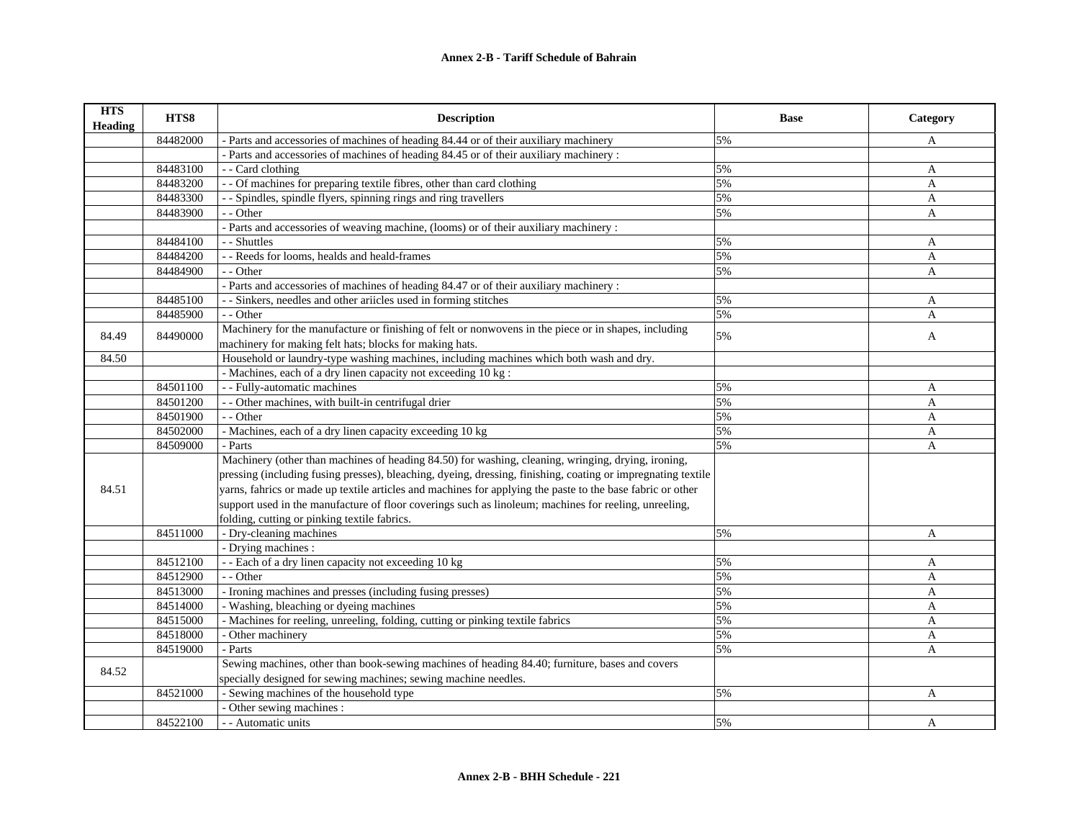| <b>HTS</b><br><b>Heading</b> | HTS8     | <b>Description</b>                                                                                                                                 | <b>Base</b> | Category     |
|------------------------------|----------|----------------------------------------------------------------------------------------------------------------------------------------------------|-------------|--------------|
|                              | 84482000 | - Parts and accessories of machines of heading 84.44 or of their auxiliary machinery                                                               | 5%          | A            |
|                              |          | - Parts and accessories of machines of heading 84.45 or of their auxiliary machinery :                                                             |             |              |
|                              | 84483100 | - - Card clothing                                                                                                                                  | 5%          | $\mathbf{A}$ |
|                              | 84483200 | - - Of machines for preparing textile fibres, other than card clothing                                                                             | 5%          | $\mathbf{A}$ |
|                              | 84483300 | - - Spindles, spindle flyers, spinning rings and ring travellers                                                                                   | 5%          | A            |
|                              | 84483900 | - - Other                                                                                                                                          | 5%          | $\mathbf{A}$ |
|                              |          | - Parts and accessories of weaving machine, (looms) or of their auxiliary machinery :                                                              |             |              |
|                              | 84484100 | - - Shuttles                                                                                                                                       | 5%          | A            |
|                              | 84484200 | - - Reeds for looms, healds and heald-frames                                                                                                       | 5%          | A            |
|                              | 84484900 | - - Other                                                                                                                                          | 5%          | $\mathbf{A}$ |
|                              |          | - Parts and accessories of machines of heading 84.47 or of their auxiliary machinery :                                                             |             |              |
|                              | 84485100 | - - Sinkers, needles and other ariicles used in forming stitches                                                                                   | 5%          | A            |
|                              | 84485900 | - - Other                                                                                                                                          | 5%          | A            |
| 84.49                        | 84490000 | Machinery for the manufacture or finishing of felt or nonwovens in the piece or in shapes, including                                               | 5%          | A            |
|                              |          | machinery for making felt hats; blocks for making hats.<br>Household or laundry-type washing machines, including machines which both wash and dry. |             |              |
| 84.50                        |          |                                                                                                                                                    |             |              |
|                              |          | - Machines, each of a dry linen capacity not exceeding 10 kg :                                                                                     |             |              |
|                              | 84501100 | - - Fully-automatic machines                                                                                                                       | 5%          | A            |
|                              | 84501200 | - - Other machines, with built-in centrifugal drier                                                                                                | 5%          | A            |
|                              | 84501900 | - - Other                                                                                                                                          | 5%          | A            |
|                              | 84502000 | - Machines, each of a dry linen capacity exceeding 10 kg                                                                                           | 5%          | $\mathbf{A}$ |
|                              | 84509000 | - Parts                                                                                                                                            | 5%          | A            |
|                              |          | Machinery (other than machines of heading 84.50) for washing, cleaning, wringing, drying, ironing,                                                 |             |              |
|                              |          | pressing (including fusing presses), bleaching, dyeing, dressing, finishing, coating or impregnating textile                                       |             |              |
| 84.51                        |          | yarns, fahrics or made up textile articles and machines for applying the paste to the base fabric or other                                         |             |              |
|                              |          | support used in the manufacture of floor coverings such as linoleum; machines for reeling, unreeling,                                              |             |              |
|                              |          | folding, cutting or pinking textile fabrics.                                                                                                       |             |              |
|                              | 84511000 | - Dry-cleaning machines                                                                                                                            | 5%          | A            |
|                              |          | - Drying machines :                                                                                                                                |             |              |
|                              | 84512100 | - - Each of a dry linen capacity not exceeding 10 kg                                                                                               | 5%          | A            |
|                              | 84512900 | - - Other                                                                                                                                          | 5%          | A            |
|                              | 84513000 | - Ironing machines and presses (including fusing presses)                                                                                          | 5%          | A            |
|                              | 84514000 | - Washing, bleaching or dyeing machines                                                                                                            | 5%          | $\mathbf{A}$ |
|                              | 84515000 | - Machines for reeling, unreeling, folding, cutting or pinking textile fabrics                                                                     | 5%          | A            |
|                              | 84518000 | - Other machinery                                                                                                                                  | 5%          | A            |
|                              | 84519000 | - Parts                                                                                                                                            | 5%          | A            |
| 84.52                        |          | Sewing machines, other than book-sewing machines of heading 84.40; furniture, bases and covers                                                     |             |              |
|                              |          | specially designed for sewing machines; sewing machine needles.                                                                                    |             |              |
|                              | 84521000 | - Sewing machines of the household type                                                                                                            | 5%          | A            |
|                              |          | - Other sewing machines :                                                                                                                          |             |              |
|                              | 84522100 | - - Automatic units                                                                                                                                | 5%          | A            |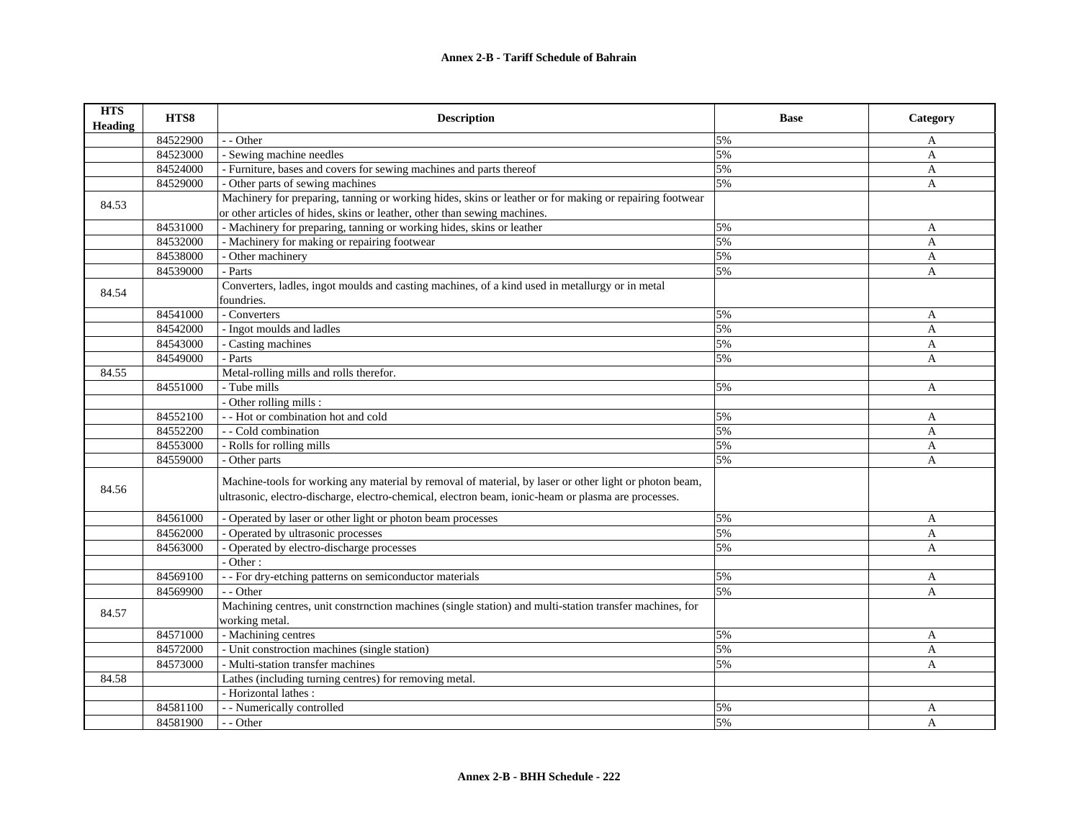| <b>HTS</b><br><b>Heading</b> | HTS8     | <b>Description</b>                                                                                                                                                                                            | <b>Base</b> | Category     |
|------------------------------|----------|---------------------------------------------------------------------------------------------------------------------------------------------------------------------------------------------------------------|-------------|--------------|
|                              | 84522900 | - - Other                                                                                                                                                                                                     | 5%          | A            |
|                              | 84523000 | - Sewing machine needles                                                                                                                                                                                      | 5%          | A            |
|                              | 84524000 | - Furniture, bases and covers for sewing machines and parts thereof                                                                                                                                           | 5%          | A            |
|                              | 84529000 | - Other parts of sewing machines                                                                                                                                                                              | 5%          | A            |
| 84.53                        |          | Machinery for preparing, tanning or working hides, skins or leather or for making or repairing footwear                                                                                                       |             |              |
|                              |          | or other articles of hides, skins or leather, other than sewing machines.                                                                                                                                     |             |              |
|                              | 84531000 | - Machinery for preparing, tanning or working hides, skins or leather                                                                                                                                         | 5%          | A            |
|                              | 84532000 | - Machinery for making or repairing footwear                                                                                                                                                                  | 5%          | A            |
|                              | 84538000 | - Other machinery                                                                                                                                                                                             | 5%          | A            |
|                              | 84539000 | - Parts                                                                                                                                                                                                       | 5%          | A            |
| 84.54                        |          | Converters, ladles, ingot moulds and casting machines, of a kind used in metallurgy or in metal                                                                                                               |             |              |
|                              |          | foundries.                                                                                                                                                                                                    |             |              |
|                              | 84541000 | - Converters                                                                                                                                                                                                  | 5%          | A            |
|                              | 84542000 | - Ingot moulds and ladles                                                                                                                                                                                     | 5%          | A            |
|                              | 84543000 | - Casting machines                                                                                                                                                                                            | 5%          | A            |
|                              | 84549000 | - Parts                                                                                                                                                                                                       | 5%          | A            |
| 84.55                        |          | Metal-rolling mills and rolls therefor.                                                                                                                                                                       |             |              |
|                              | 84551000 | - Tube mills                                                                                                                                                                                                  | 5%          | A            |
|                              |          | - Other rolling mills :                                                                                                                                                                                       |             |              |
|                              | 84552100 | - - Hot or combination hot and cold                                                                                                                                                                           | 5%          | A            |
|                              | 84552200 | - - Cold combination                                                                                                                                                                                          | 5%          | A            |
|                              | 84553000 | - Rolls for rolling mills                                                                                                                                                                                     | 5%          | A            |
|                              | 84559000 | - Other parts                                                                                                                                                                                                 | 5%          | A            |
| 84.56                        |          | Machine-tools for working any material by removal of material, by laser or other light or photon beam,<br>ultrasonic, electro-discharge, electro-chemical, electron beam, ionic-heam or plasma are processes. |             |              |
|                              | 84561000 | - Operated by laser or other light or photon beam processes                                                                                                                                                   | 5%          | A            |
|                              | 84562000 | - Operated by ultrasonic processes                                                                                                                                                                            | 5%          | A            |
|                              | 84563000 | - Operated by electro-discharge processes                                                                                                                                                                     | 5%          | A            |
|                              |          | - Other:                                                                                                                                                                                                      |             |              |
|                              | 84569100 | - - For dry-etching patterns on semiconductor materials                                                                                                                                                       | 5%          | $\mathbf{A}$ |
|                              | 84569900 | - - Other                                                                                                                                                                                                     | 5%          | A            |
| 84.57                        |          | Machining centres, unit construction machines (single station) and multi-station transfer machines, for<br>working metal.                                                                                     |             |              |
|                              | 84571000 | - Machining centres                                                                                                                                                                                           | 5%          | A            |
|                              | 84572000 | - Unit constroction machines (single station)                                                                                                                                                                 | 5%          | A            |
|                              | 84573000 | - Multi-station transfer machines                                                                                                                                                                             | 5%          | A            |
| 84.58                        |          | Lathes (including turning centres) for removing metal.                                                                                                                                                        |             |              |
|                              |          | - Horizontal lathes :                                                                                                                                                                                         |             |              |
|                              | 84581100 | - - Numerically controlled                                                                                                                                                                                    | 5%          | A            |
|                              | 84581900 | - - Other                                                                                                                                                                                                     | 5%          | A            |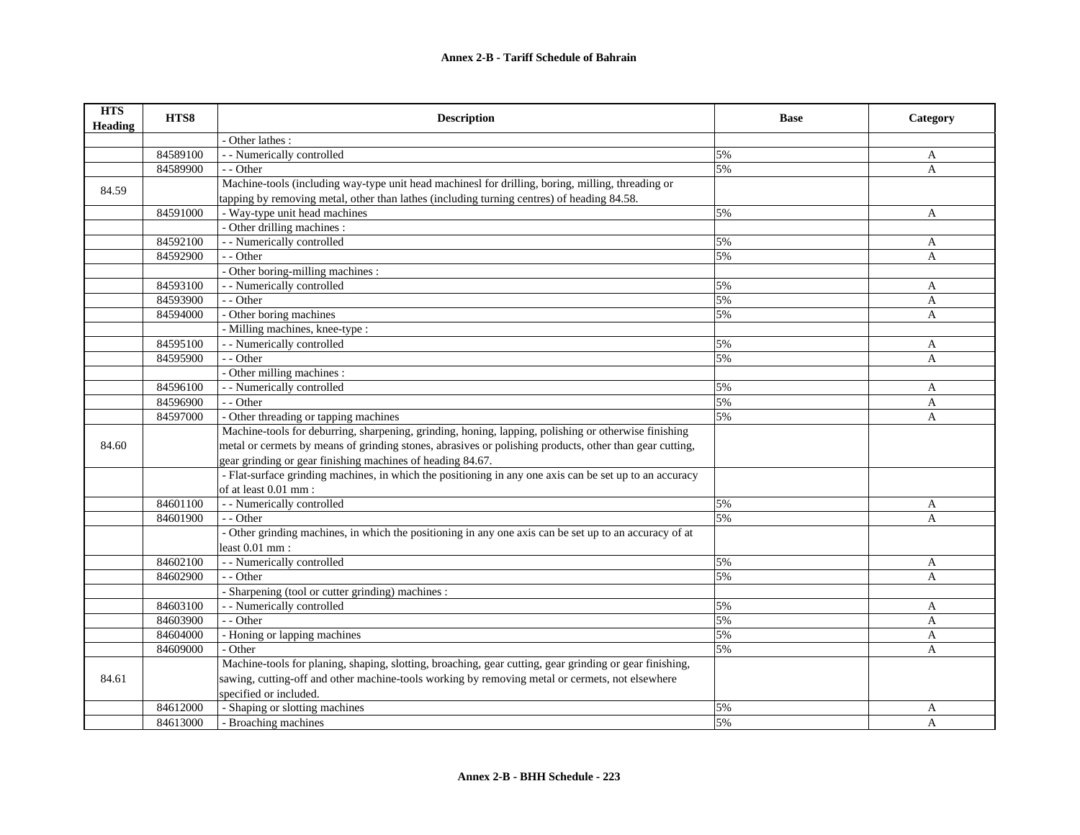| <b>HTS</b><br><b>Heading</b> | HTS8     | <b>Description</b>                                                                                      | <b>Base</b> | Category     |
|------------------------------|----------|---------------------------------------------------------------------------------------------------------|-------------|--------------|
|                              |          | - Other lathes :                                                                                        |             |              |
|                              | 84589100 | - - Numerically controlled                                                                              | 5%          | A            |
|                              | 84589900 | - - Other                                                                                               | 5%          | A            |
| 84.59                        |          | Machine-tools (including way-type unit head machinesl for drilling, boring, milling, threading or       |             |              |
|                              |          | tapping by removing metal, other than lathes (including turning centres) of heading 84.58.              |             |              |
|                              | 84591000 | - Way-type unit head machines                                                                           | 5%          | A            |
|                              |          | - Other drilling machines :                                                                             |             |              |
|                              | 84592100 | - - Numerically controlled                                                                              | 5%          | A            |
|                              | 84592900 | - - Other                                                                                               | 5%          | A            |
|                              |          | - Other boring-milling machines :                                                                       |             |              |
|                              | 84593100 | - - Numerically controlled                                                                              | 5%          | A            |
|                              | 84593900 | - - Other                                                                                               | 5%          | A            |
|                              | 84594000 | - Other boring machines                                                                                 | 5%          | A            |
|                              |          | - Milling machines, knee-type :                                                                         |             |              |
|                              | 84595100 | - - Numerically controlled                                                                              | 5%          | $\mathbf{A}$ |
|                              | 84595900 | - - Other                                                                                               | 5%          | A            |
|                              |          | - Other milling machines :                                                                              |             |              |
|                              | 84596100 | - - Numerically controlled                                                                              | 5%          | A            |
|                              | 84596900 | - - Other                                                                                               | 5%          | A            |
|                              | 84597000 | - Other threading or tapping machines                                                                   | 5%          | A            |
|                              |          | Machine-tools for deburring, sharpening, grinding, honing, lapping, polishing or otherwise finishing    |             |              |
| 84.60                        |          | metal or cermets by means of grinding stones, abrasives or polishing products, other than gear cutting, |             |              |
|                              |          | gear grinding or gear finishing machines of heading 84.67.                                              |             |              |
|                              |          | - Flat-surface grinding machines, in which the positioning in any one axis can be set up to an accuracy |             |              |
|                              |          | of at least 0.01 mm:                                                                                    |             |              |
|                              | 84601100 | - - Numerically controlled                                                                              | 5%          | A            |
|                              | 84601900 | - - Other                                                                                               | 5%          | A            |
|                              |          | - Other grinding machines, in which the positioning in any one axis can be set up to an accuracy of at  |             |              |
|                              |          | least $0.01$ mm:                                                                                        |             |              |
|                              | 84602100 | - - Numerically controlled                                                                              | 5%          | A            |
|                              | 84602900 | - - Other                                                                                               | 5%          | A            |
|                              |          | - Sharpening (tool or cutter grinding) machines :                                                       |             |              |
|                              | 84603100 | - - Numerically controlled                                                                              | 5%          | A            |
|                              | 84603900 | - - Other                                                                                               | 5%          | $\mathbf{A}$ |
|                              | 84604000 | - Honing or lapping machines                                                                            | 5%          | A            |
|                              | 84609000 | - Other                                                                                                 | 5%          | A            |
|                              |          | Machine-tools for planing, shaping, slotting, broaching, gear cutting, gear grinding or gear finishing, |             |              |
| 84.61                        |          | sawing, cutting-off and other machine-tools working by removing metal or cermets, not elsewhere         |             |              |
|                              |          | specified or included.                                                                                  |             |              |
|                              | 84612000 | - Shaping or slotting machines                                                                          | 5%          | A            |
|                              | 84613000 | - Broaching machines                                                                                    | 5%          | A            |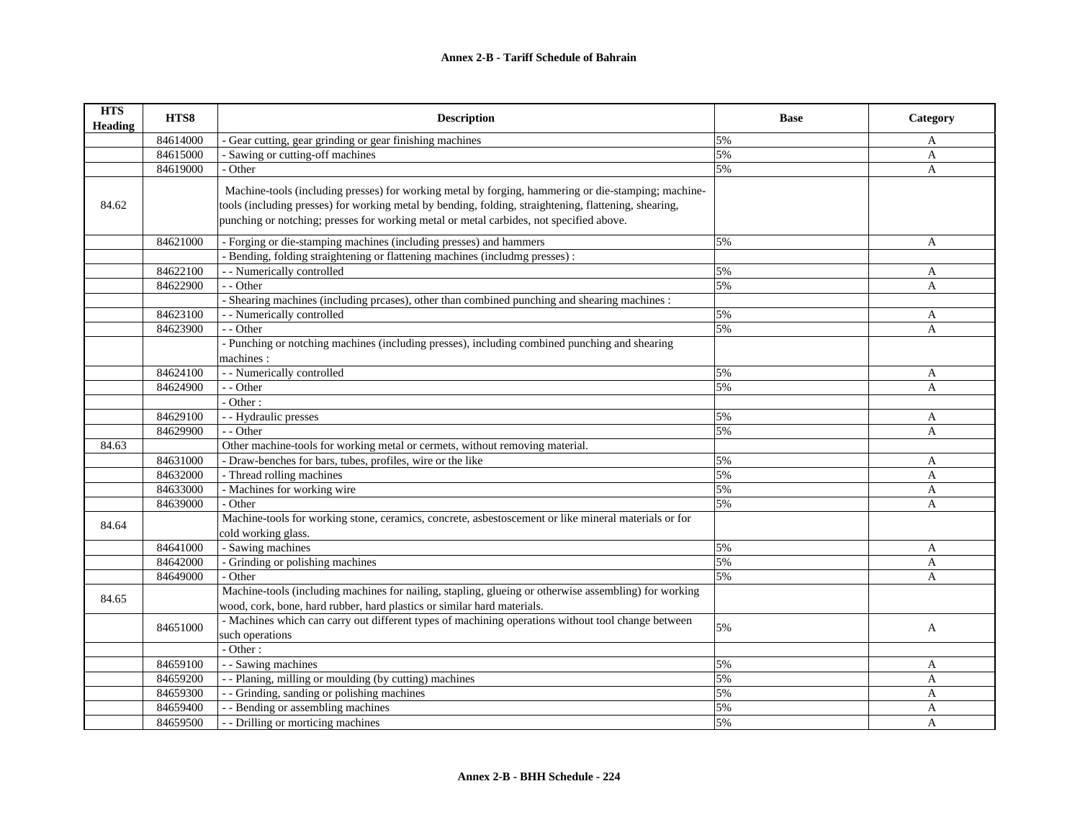| <b>HTS</b><br><b>Heading</b> | HTS8     | <b>Description</b>                                                                                    | <b>Base</b> | Category     |
|------------------------------|----------|-------------------------------------------------------------------------------------------------------|-------------|--------------|
|                              | 84614000 | - Gear cutting, gear grinding or gear finishing machines                                              | 5%          | A            |
|                              | 84615000 | - Sawing or cutting-off machines                                                                      | 5%          | A            |
|                              | 84619000 | - Other                                                                                               | 5%          | A            |
|                              |          | Machine-tools (including presses) for working metal by forging, hammering or die-stamping; machine-   |             |              |
| 84.62                        |          | tools (including presses) for working metal by bending, folding, straightening, flattening, shearing, |             |              |
|                              |          | punching or notching; presses for working metal or metal carbides, not specified above.               |             |              |
|                              |          |                                                                                                       |             |              |
|                              | 84621000 | - Forging or die-stamping machines (including presses) and hammers                                    | 5%          | A            |
|                              |          | - Bending, folding straightening or flattening machines (including presses) :                         |             |              |
|                              | 84622100 | - - Numerically controlled                                                                            | 5%          | A            |
|                              | 84622900 | - - Other                                                                                             | 5%          | $\mathbf{A}$ |
|                              |          | - Shearing machines (including preases), other than combined punching and shearing machines :         |             |              |
|                              | 84623100 | - - Numerically controlled                                                                            | 5%          | A            |
|                              | 84623900 | - - Other                                                                                             | 5%          | $\mathbf{A}$ |
|                              |          | - Punching or notching machines (including presses), including combined punching and shearing         |             |              |
|                              |          | machines:                                                                                             |             |              |
|                              | 84624100 | - - Numerically controlled                                                                            | 5%          | A            |
|                              | 84624900 | - - Other                                                                                             | 5%          | $\mathbf{A}$ |
|                              |          | - Other:                                                                                              |             |              |
|                              | 84629100 | - - Hydraulic presses                                                                                 | 5%          | A            |
|                              | 84629900 | - - Other                                                                                             | 5%          | A            |
| 84.63                        |          | Other machine-tools for working metal or cermets, without removing material.                          |             |              |
|                              | 84631000 | - Draw-benches for bars, tubes, profiles, wire or the like                                            | 5%          | A            |
|                              | 84632000 | - Thread rolling machines                                                                             | 5%          | $\mathbf{A}$ |
|                              | 84633000 | - Machines for working wire                                                                           | 5%          | A            |
|                              | 84639000 | - Other                                                                                               | 5%          | $\mathbf{A}$ |
|                              |          | Machine-tools for working stone, ceramics, concrete, asbestoscement or like mineral materials or for  |             |              |
| 84.64                        |          | cold working glass.                                                                                   |             |              |
|                              | 84641000 | - Sawing machines                                                                                     | 5%          | $\mathbf{A}$ |
|                              | 84642000 | - Grinding or polishing machines                                                                      | 5%          | A            |
|                              | 84649000 | - Other                                                                                               | 5%          | $\mathbf{A}$ |
|                              |          | Machine-tools (including machines for nailing, stapling, glueing or otherwise assembling) for working |             |              |
| 84.65                        |          | wood, cork, bone, hard rubber, hard plastics or similar hard materials.                               |             |              |
|                              |          | - Machines which can carry out different types of machining operations without tool change between    |             |              |
|                              | 84651000 | such operations                                                                                       | 5%          | A            |
|                              |          | - Other:                                                                                              |             |              |
|                              | 84659100 | - - Sawing machines                                                                                   | 5%          | A            |
|                              | 84659200 | - - Planing, milling or moulding (by cutting) machines                                                | 5%          | $\mathbf{A}$ |
|                              | 84659300 | - - Grinding, sanding or polishing machines                                                           | 5%          | A            |
|                              | 84659400 | - - Bending or assembling machines                                                                    | 5%          | A            |
|                              | 84659500 | - - Drilling or morticing machines                                                                    | 5%          | $\mathbf{A}$ |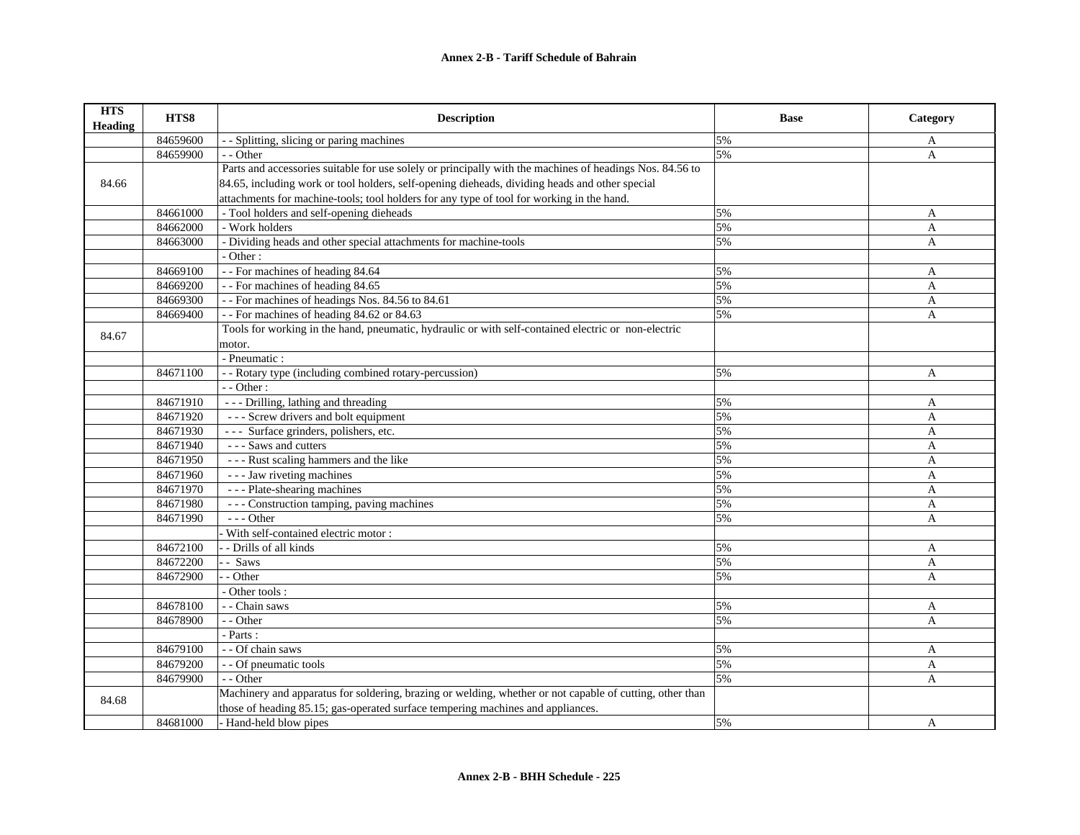| <b>HTS</b><br><b>Heading</b>                                                                                      | HTS8     | <b>Description</b>                                                                                       | <b>Base</b> | Category |
|-------------------------------------------------------------------------------------------------------------------|----------|----------------------------------------------------------------------------------------------------------|-------------|----------|
|                                                                                                                   | 84659600 | - Splitting, slicing or paring machines                                                                  | 5%          | A        |
|                                                                                                                   | 84659900 | - - Other                                                                                                | 5%          | A        |
|                                                                                                                   |          | Parts and accessories suitable for use solely or principally with the machines of headings Nos. 84.56 to |             |          |
| 84.66                                                                                                             |          | 84.65, including work or tool holders, self-opening dieheads, dividing heads and other special           |             |          |
|                                                                                                                   |          | attachments for machine-tools; tool holders for any type of tool for working in the hand.                |             |          |
|                                                                                                                   | 84661000 | - Tool holders and self-opening dieheads                                                                 | 5%          | A        |
|                                                                                                                   | 84662000 | - Work holders                                                                                           | 5%          | A        |
|                                                                                                                   | 84663000 | - Dividing heads and other special attachments for machine-tools                                         | 5%          | A        |
|                                                                                                                   |          | - Other:                                                                                                 |             |          |
|                                                                                                                   | 84669100 | - - For machines of heading 84.64                                                                        | 5%          | A        |
|                                                                                                                   | 84669200 | - - For machines of heading 84.65                                                                        | 5%          | A        |
|                                                                                                                   | 84669300 | - - For machines of headings Nos. 84.56 to 84.61                                                         | 5%          | A        |
|                                                                                                                   | 84669400 | -- For machines of heading 84.62 or 84.63                                                                | 5%          | A        |
| 84.67                                                                                                             |          | Tools for working in the hand, pneumatic, hydraulic or with self-contained electric or non-electric      |             |          |
|                                                                                                                   |          | motor.                                                                                                   |             |          |
|                                                                                                                   |          | - Pneumatic :                                                                                            |             |          |
|                                                                                                                   | 84671100 | - - Rotary type (including combined rotary-percussion)                                                   | 5%          | A        |
|                                                                                                                   |          | - - Other:                                                                                               |             |          |
|                                                                                                                   | 84671910 | - - - Drilling, lathing and threading                                                                    | 5%          | A        |
|                                                                                                                   | 84671920 | - - - Screw drivers and bolt equipment                                                                   | 5%          | A        |
|                                                                                                                   | 84671930 | --- Surface grinders, polishers, etc.                                                                    | 5%          | A        |
|                                                                                                                   | 84671940 | - - - Saws and cutters                                                                                   | 5%          | A        |
|                                                                                                                   | 84671950 | - - - Rust scaling hammers and the like                                                                  | 5%          | A        |
|                                                                                                                   | 84671960 | --- Jaw riveting machines                                                                                | 5%          | A        |
|                                                                                                                   | 84671970 | --- Plate-shearing machines                                                                              | 5%          | A        |
|                                                                                                                   | 84671980 | --- Construction tamping, paving machines                                                                | 5%          | A        |
|                                                                                                                   | 84671990 | $- -$ Other                                                                                              | 5%          | A        |
|                                                                                                                   |          | With self-contained electric motor:                                                                      |             |          |
|                                                                                                                   | 84672100 | - Drills of all kinds                                                                                    | 5%          | A        |
|                                                                                                                   | 84672200 | - - Saws                                                                                                 | 5%          | A        |
|                                                                                                                   | 84672900 | - Other                                                                                                  | 5%          | A        |
|                                                                                                                   |          | - Other tools:                                                                                           |             |          |
|                                                                                                                   | 84678100 | - - Chain saws                                                                                           | 5%          | A        |
|                                                                                                                   | 84678900 | - - Other                                                                                                | 5%          | A        |
|                                                                                                                   |          | - Parts:                                                                                                 |             |          |
|                                                                                                                   | 84679100 | - - Of chain saws                                                                                        | 5%          | A        |
|                                                                                                                   | 84679200 | - - Of pneumatic tools                                                                                   | 5%          | A        |
|                                                                                                                   | 84679900 | - - Other                                                                                                | 5%          | A        |
| Machinery and apparatus for soldering, brazing or welding, whether or not capable of cutting, other than<br>84.68 |          |                                                                                                          |             |          |
|                                                                                                                   |          | those of heading 85.15; gas-operated surface tempering machines and appliances.                          |             |          |
|                                                                                                                   | 84681000 | - Hand-held blow pipes                                                                                   | 5%          | A        |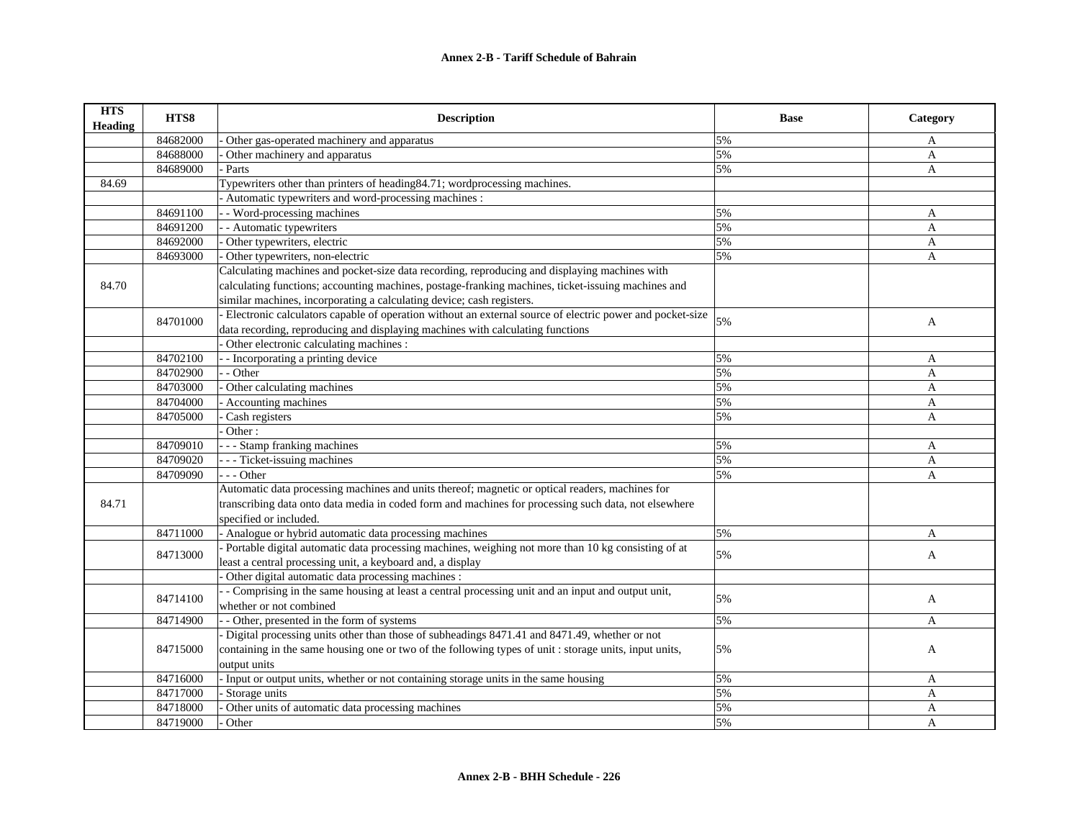| <b>HTS</b><br><b>Heading</b> | HTS8     | <b>Description</b>                                                                                         | <b>Base</b> | Category     |
|------------------------------|----------|------------------------------------------------------------------------------------------------------------|-------------|--------------|
|                              | 84682000 | Other gas-operated machinery and apparatus                                                                 | 5%          | A            |
|                              | 84688000 | Other machinery and apparatus                                                                              | 5%          | A            |
|                              | 84689000 | Parts                                                                                                      | 5%          | A            |
| 84.69                        |          | Typewriters other than printers of heading 84.71; wordprocessing machines.                                 |             |              |
|                              |          | - Automatic typewriters and word-processing machines :                                                     |             |              |
|                              | 84691100 | - Word-processing machines                                                                                 | 5%          | A            |
|                              | 84691200 | - Automatic typewriters                                                                                    | 5%          | A            |
|                              | 84692000 | Other typewriters, electric                                                                                | 5%          | A            |
|                              | 84693000 | Other typewriters, non-electric                                                                            | 5%          | $\mathbf{A}$ |
|                              |          | Calculating machines and pocket-size data recording, reproducing and displaying machines with              |             |              |
| 84.70                        |          | calculating functions; accounting machines, postage-franking machines, ticket-issuing machines and         |             |              |
|                              |          | similar machines, incorporating a calculating device; cash registers.                                      |             |              |
|                              | 84701000 | - Electronic calculators capable of operation without an external source of electric power and pocket-size | 5%          |              |
|                              |          | data recording, reproducing and displaying machines with calculating functions                             |             | A            |
|                              |          | Other electronic calculating machines :                                                                    |             |              |
|                              | 84702100 | - Incorporating a printing device                                                                          | 5%          | A            |
|                              | 84702900 | - - Other                                                                                                  | 5%          | A            |
|                              | 84703000 | Other calculating machines                                                                                 | 5%          | A            |
|                              | 84704000 | - Accounting machines                                                                                      | 5%          | A            |
|                              | 84705000 | Cash registers                                                                                             | 5%          | A            |
|                              |          | Other:                                                                                                     |             |              |
|                              | 84709010 | - - - Stamp franking machines                                                                              | 5%          | A            |
|                              | 84709020 | - - - Ticket-issuing machines                                                                              | 5%          | $\mathbf{A}$ |
|                              | 84709090 | $- -$ Other                                                                                                | 5%          | $\mathbf{A}$ |
|                              |          | Automatic data processing machines and units thereof; magnetic or optical readers, machines for            |             |              |
| 84.71                        |          | transcribing data onto data media in coded form and machines for processing such data, not elsewhere       |             |              |
|                              |          | specified or included.                                                                                     |             |              |
|                              | 84711000 | - Analogue or hybrid automatic data processing machines                                                    | 5%          | A            |
|                              | 84713000 | Portable digital automatic data processing machines, weighing not more than 10 kg consisting of at         | 5%          | A            |
|                              |          | least a central processing unit, a keyboard and, a display                                                 |             |              |
|                              |          | Other digital automatic data processing machines :                                                         |             |              |
|                              | 84714100 | - Comprising in the same housing at least a central processing unit and an input and output unit,          | 5%          |              |
|                              |          | whether or not combined                                                                                    |             | A            |
|                              | 84714900 | - Other, presented in the form of systems                                                                  | 5%          | A            |
|                              |          | - Digital processing units other than those of subheadings 8471.41 and 8471.49, whether or not             |             |              |
|                              | 84715000 | containing in the same housing one or two of the following types of unit: storage units, input units,      | 5%          | A            |
|                              |          | output units                                                                                               |             |              |
|                              | 84716000 | - Input or output units, whether or not containing storage units in the same housing                       | 5%          | A            |
|                              | 84717000 | Storage units                                                                                              | 5%          | $\mathbf{A}$ |
|                              | 84718000 | Other units of automatic data processing machines                                                          | 5%          | A            |
|                              | 84719000 | Other                                                                                                      | 5%          | $\mathbf{A}$ |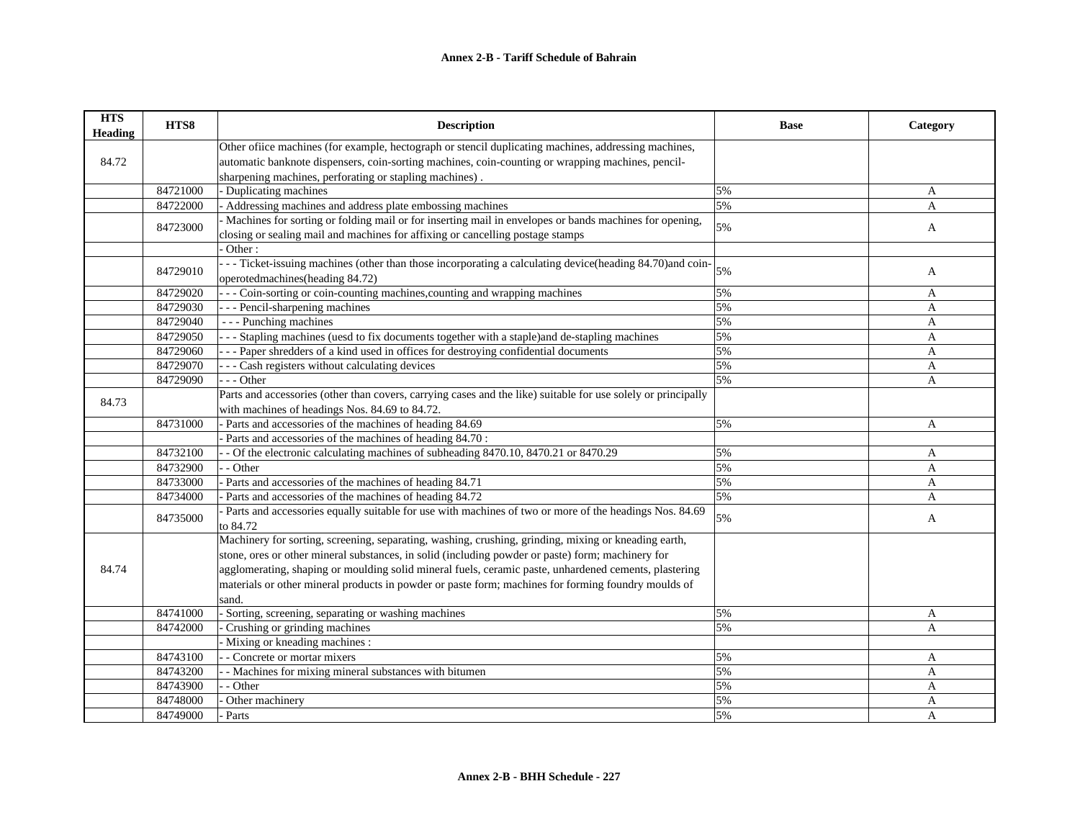| <b>HTS</b><br>Heading | HTS8     | <b>Description</b>                                                                                            | <b>Base</b> | Category       |
|-----------------------|----------|---------------------------------------------------------------------------------------------------------------|-------------|----------------|
|                       |          | Other office machines (for example, hectograph or stencil duplicating machines, addressing machines,          |             |                |
| 84.72                 |          | automatic banknote dispensers, coin-sorting machines, coin-counting or wrapping machines, pencil-             |             |                |
|                       |          | sharpening machines, perforating or stapling machines).                                                       |             |                |
|                       | 84721000 | - Duplicating machines                                                                                        | 5%          | A              |
|                       | 84722000 | - Addressing machines and address plate embossing machines                                                    | 5%          | $\overline{A}$ |
|                       | 84723000 | - Machines for sorting or folding mail or for inserting mail in envelopes or bands machines for opening,      | 5%          | $\mathbf{A}$   |
|                       |          | closing or sealing mail and machines for affixing or cancelling postage stamps                                |             |                |
|                       |          | Other:                                                                                                        |             |                |
|                       | 84729010 | --- Ticket-issuing machines (other than those incorporating a calculating device(heading 84.70) and coin-     | 5%          |                |
|                       |          | operotedmachines (heading 84.72)                                                                              |             | A              |
|                       | 84729020 | - - - Coin-sorting or coin-counting machines, counting and wrapping machines                                  | 5%          | A              |
|                       | 84729030 | --- Pencil-sharpening machines                                                                                | 5%          | A              |
|                       | 84729040 | - - - Punching machines                                                                                       | 5%          | $\mathbf{A}$   |
|                       | 84729050 | --- Stapling machines (uesd to fix documents together with a staple) and de-stapling machines                 | 5%          | $\overline{A}$ |
|                       | 84729060 | --- Paper shredders of a kind used in offices for destroying confidential documents                           | 5%          | A              |
|                       | 84729070 | - - - Cash registers without calculating devices                                                              | 5%          | A              |
|                       | 84729090 | --- Other                                                                                                     | 5%          | $\mathbf{A}$   |
|                       |          | Parts and accessories (other than covers, carrying cases and the like) suitable for use solely or principally |             |                |
| 84.73                 |          | with machines of headings Nos. 84.69 to 84.72.                                                                |             |                |
|                       | 84731000 | - Parts and accessories of the machines of heading 84.69                                                      | 5%          | A              |
|                       |          | Parts and accessories of the machines of heading 84.70:                                                       |             |                |
|                       | 84732100 | - Of the electronic calculating machines of subheading 8470.10, 8470.21 or 8470.29                            | 5%          | A              |
|                       | 84732900 | - - Other                                                                                                     | 5%          | $\overline{A}$ |
|                       | 84733000 | - Parts and accessories of the machines of heading 84.71                                                      | 5%          | A              |
|                       | 84734000 | Parts and accessories of the machines of heading 84.72                                                        | 5%          | A              |
|                       |          | Parts and accessories equally suitable for use with machines of two or more of the headings Nos. 84.69        |             |                |
|                       | 84735000 | to 84.72                                                                                                      | 5%          | A              |
|                       |          | Machinery for sorting, screening, separating, washing, crushing, grinding, mixing or kneading earth,          |             |                |
|                       |          | stone, ores or other mineral substances, in solid (including powder or paste) form; machinery for             |             |                |
| 84.74                 |          | agglomerating, shaping or moulding solid mineral fuels, ceramic paste, unhardened cements, plastering         |             |                |
|                       |          | materials or other mineral products in powder or paste form; machines for forming foundry moulds of           |             |                |
|                       |          | sand.                                                                                                         |             |                |
|                       | 84741000 | - Sorting, screening, separating or washing machines                                                          | 5%          | A              |
|                       | 84742000 | Crushing or grinding machines                                                                                 | 5%          | A              |
|                       |          | - Mixing or kneading machines :                                                                               |             |                |
|                       | 84743100 | - - Concrete or mortar mixers                                                                                 | 5%          | A              |
|                       | 84743200 | - Machines for mixing mineral substances with bitumen                                                         | 5%          | $\mathbf{A}$   |
|                       | 84743900 | - Other                                                                                                       | 5%          | $\mathbf{A}$   |
|                       | 84748000 | Other machinery                                                                                               | 5%          | $\overline{A}$ |
|                       | 84749000 | Parts                                                                                                         | 5%          | $\overline{A}$ |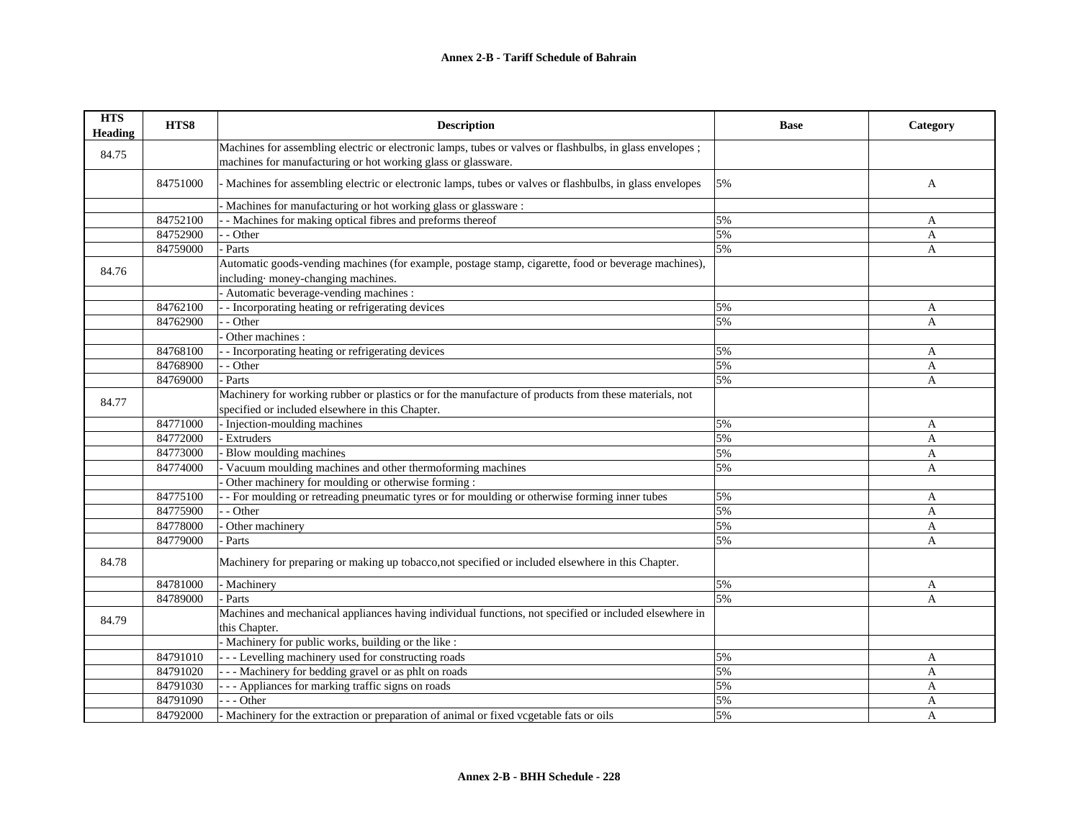| <b>HTS</b><br><b>Heading</b> | HTS8     | <b>Description</b>                                                                                                                                                        | <b>Base</b> | Category |
|------------------------------|----------|---------------------------------------------------------------------------------------------------------------------------------------------------------------------------|-------------|----------|
| 84.75                        |          | Machines for assembling electric or electronic lamps, tubes or valves or flashbulbs, in glass envelopes;<br>machines for manufacturing or hot working glass or glassware. |             |          |
|                              | 84751000 | - Machines for assembling electric or electronic lamps, tubes or valves or flashbulbs, in glass envelopes                                                                 | 5%          | A        |
|                              |          | Machines for manufacturing or hot working glass or glassware :                                                                                                            |             |          |
|                              | 84752100 | - Machines for making optical fibres and preforms thereof                                                                                                                 | 5%          | A        |
|                              | 84752900 | - Other                                                                                                                                                                   | 5%          | A        |
|                              | 84759000 | Parts                                                                                                                                                                     | 5%          | A        |
| 84.76                        |          | Automatic goods-vending machines (for example, postage stamp, cigarette, food or beverage machines),<br>including money-changing machines.                                |             |          |
|                              |          | Automatic beverage-vending machines :                                                                                                                                     |             |          |
|                              | 84762100 | - Incorporating heating or refrigerating devices                                                                                                                          | 5%          | A        |
|                              | 84762900 | - Other                                                                                                                                                                   | 5%          | A        |
|                              |          | Other machines :                                                                                                                                                          |             |          |
|                              | 84768100 | - Incorporating heating or refrigerating devices                                                                                                                          | 5%          | A        |
|                              | 84768900 | - Other                                                                                                                                                                   | 5%          | A        |
|                              | 84769000 | Parts                                                                                                                                                                     | 5%          | A        |
| 84.77                        |          | Machinery for working rubber or plastics or for the manufacture of products from these materials, not<br>specified or included elsewhere in this Chapter.                 |             |          |
|                              | 84771000 | - Injection-moulding machines                                                                                                                                             | 5%          | A        |
|                              | 84772000 | <b>Extruders</b>                                                                                                                                                          | 5%          | A        |
|                              | 84773000 | Blow moulding machines                                                                                                                                                    | 5%          | A        |
|                              | 84774000 | Vacuum moulding machines and other thermoforming machines                                                                                                                 | 5%          | A        |
|                              |          | Other machinery for moulding or otherwise forming :                                                                                                                       |             |          |
|                              | 84775100 | - For moulding or retreading pneumatic tyres or for moulding or otherwise forming inner tubes                                                                             | 5%          | A        |
|                              | 84775900 | - Other                                                                                                                                                                   | 5%          | A        |
|                              | 84778000 | Other machinery                                                                                                                                                           | 5%          | A        |
|                              | 84779000 | Parts                                                                                                                                                                     | 5%          | A        |
| 84.78                        |          | Machinery for preparing or making up tobacco, not specified or included elsewhere in this Chapter.                                                                        |             |          |
|                              | 84781000 | - Machinery                                                                                                                                                               | 5%          | A        |
|                              | 84789000 | Parts                                                                                                                                                                     | 5%          | A        |
|                              |          | Machines and mechanical appliances having individual functions, not specified or included elsewhere in                                                                    |             |          |
| 84.79                        |          | this Chapter.                                                                                                                                                             |             |          |
|                              |          | Machinery for public works, building or the like :                                                                                                                        |             |          |
|                              | 84791010 | --- Levelling machinery used for constructing roads                                                                                                                       | 5%          | A        |
|                              | 84791020 | --- Machinery for bedding gravel or as phlt on roads                                                                                                                      | 5%          | A        |
|                              | 84791030 | -- Appliances for marking traffic signs on roads                                                                                                                          | 5%          | A        |
|                              | 84791090 | - - - Other                                                                                                                                                               | 5%          | A        |
|                              | 84792000 | Machinery for the extraction or preparation of animal or fixed vcgetable fats or oils                                                                                     | 5%          | A        |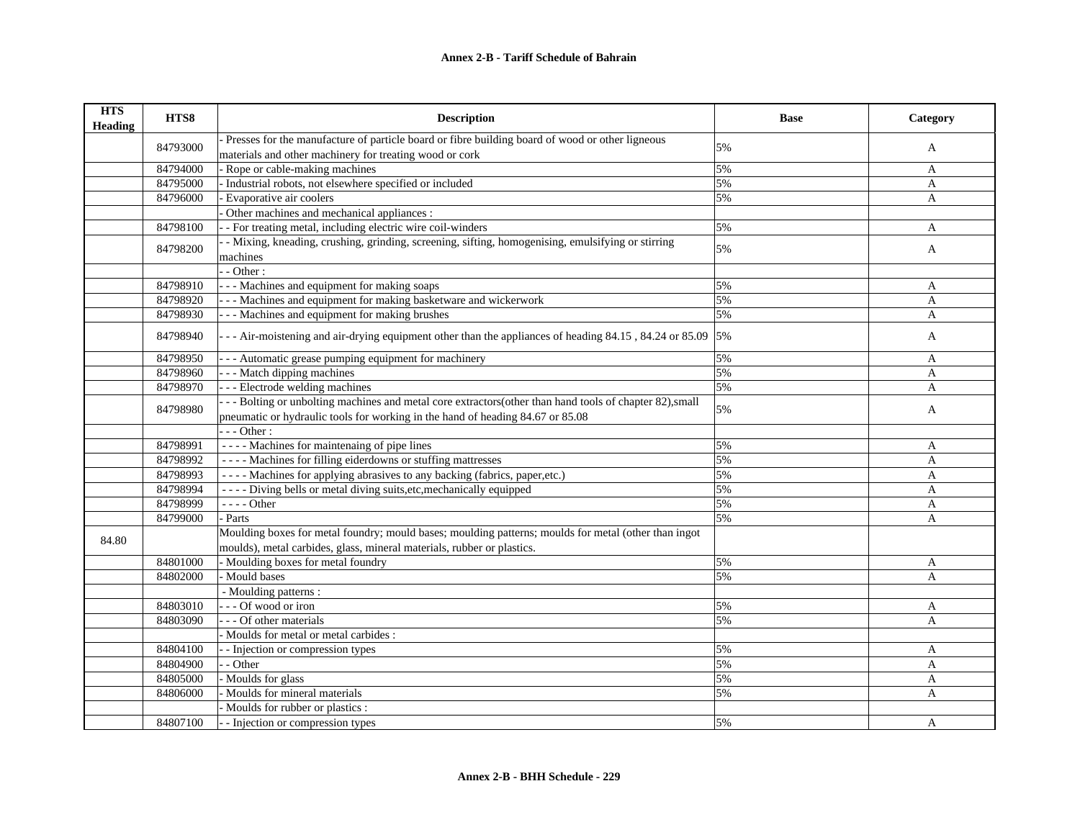| <b>HTS</b><br>Heading | HTS8     | <b>Description</b>                                                                                                      | <b>Base</b> | Category     |
|-----------------------|----------|-------------------------------------------------------------------------------------------------------------------------|-------------|--------------|
|                       |          | - Presses for the manufacture of particle board or fibre building board of wood or other ligneous                       |             |              |
|                       | 84793000 | materials and other machinery for treating wood or cork                                                                 | 5%          | A            |
|                       | 84794000 | Rope or cable-making machines                                                                                           | 5%          | A            |
|                       | 84795000 | Industrial robots, not elsewhere specified or included                                                                  | 5%          | A            |
|                       | 84796000 | Evaporative air coolers                                                                                                 | 5%          | A            |
|                       |          | Other machines and mechanical appliances :                                                                              |             |              |
|                       | 84798100 | - - For treating metal, including electric wire coil-winders                                                            | 5%          | A            |
|                       |          | - Mixing, kneading, crushing, grinding, screening, sifting, homogenising, emulsifying or stirring                       |             |              |
|                       | 84798200 | machines                                                                                                                | 5%          | A            |
|                       |          | $-$ - Other :                                                                                                           |             |              |
|                       | 84798910 | --- Machines and equipment for making soaps                                                                             | 5%          | A            |
|                       | 84798920 | - - - Machines and equipment for making basketware and wickerwork                                                       | 5%          | A            |
|                       | 84798930 | - - - Machines and equipment for making brushes                                                                         | 5%          | A            |
|                       | 84798940 | - - - Air-moistening and air-drying equipment other than the appliances of heading $84.15$ , $84.24$ or $85.09$   $5\%$ |             | A            |
|                       | 84798950 | - - Automatic grease pumping equipment for machinery                                                                    | 5%          | A            |
|                       | 84798960 | --- Match dipping machines                                                                                              | 5%          | $\mathbf{A}$ |
|                       | 84798970 | --- Electrode welding machines                                                                                          | 5%          | A            |
|                       | 84798980 | --- Bolting or unbolting machines and metal core extractors(other than hand tools of chapter 82), small                 |             |              |
|                       |          | pneumatic or hydraulic tools for working in the hand of heading 84.67 or 85.08                                          | 5%          | A            |
|                       |          | $--$ Other :                                                                                                            |             |              |
|                       | 84798991 | ---- Machines for maintenaing of pipe lines                                                                             | 5%          | A            |
|                       | 84798992 | ---- Machines for filling eiderdowns or stuffing mattresses                                                             | 5%          | A            |
|                       | 84798993 | ---- Machines for applying abrasives to any backing (fabrics, paper,etc.)                                               | 5%          | A            |
|                       | 84798994 | - - - - Diving bells or metal diving suits, etc, mechanically equipped                                                  | 5%          | A            |
|                       | 84798999 | $--- Other$                                                                                                             | 5%          | A            |
|                       | 84799000 | - Parts                                                                                                                 | 5%          | A            |
|                       |          | Moulding boxes for metal foundry; mould bases; moulding patterns; moulds for metal (other than ingot                    |             |              |
| 84.80                 |          | moulds), metal carbides, glass, mineral materials, rubber or plastics.                                                  |             |              |
|                       | 84801000 | - Moulding boxes for metal foundry                                                                                      | 5%          | A            |
|                       | 84802000 | - Mould bases                                                                                                           | 5%          | A            |
|                       |          | - Moulding patterns :                                                                                                   |             |              |
|                       | 84803010 | --- Of wood or iron                                                                                                     | 5%          | A            |
|                       | 84803090 | - - - Of other materials                                                                                                | 5%          | A            |
|                       |          | - Moulds for metal or metal carbides :                                                                                  |             |              |
|                       | 84804100 | - - Injection or compression types                                                                                      | 5%          | A            |
|                       | 84804900 | - - Other                                                                                                               | 5%          | A            |
|                       | 84805000 | - Moulds for glass                                                                                                      | 5%          | A            |
|                       | 84806000 | - Moulds for mineral materials                                                                                          | 5%          | A            |
|                       |          | Moulds for rubber or plastics :                                                                                         |             |              |
|                       | 84807100 | - - Injection or compression types                                                                                      | 5%          | A            |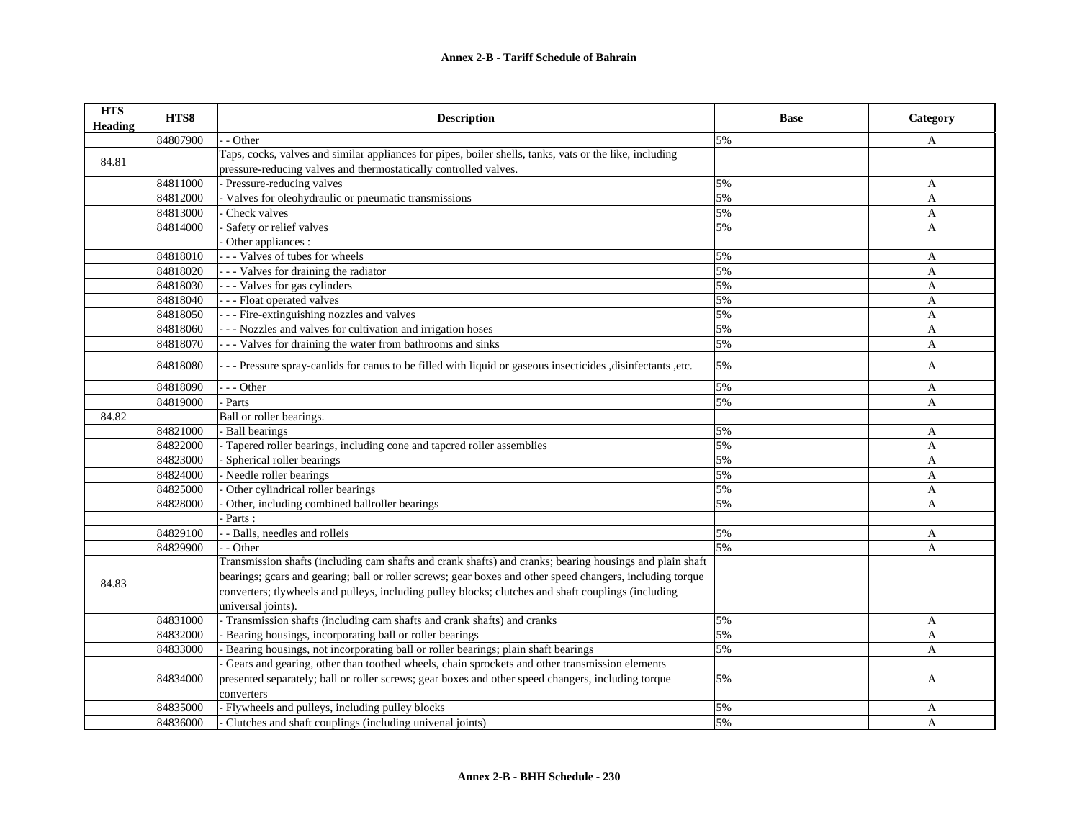| <b>HTS</b><br><b>Heading</b> | HTS8     | <b>Description</b>                                                                                           | <b>Base</b> | Category     |
|------------------------------|----------|--------------------------------------------------------------------------------------------------------------|-------------|--------------|
|                              | 84807900 | - Other                                                                                                      | 5%          | A            |
| 84.81                        |          | Taps, cocks, valves and similar appliances for pipes, boiler shells, tanks, vats or the like, including      |             |              |
|                              |          | pressure-reducing valves and thermostatically controlled valves.                                             |             |              |
|                              | 84811000 | - Pressure-reducing valves                                                                                   | 5%          | A            |
|                              | 84812000 | - Valves for oleohydraulic or pneumatic transmissions                                                        | 5%          | A            |
|                              | 84813000 | Check valves                                                                                                 | 5%          | A            |
|                              | 84814000 | Safety or relief valves                                                                                      | 5%          | A            |
|                              |          | Other appliances :                                                                                           |             |              |
|                              | 84818010 | -- Valves of tubes for wheels                                                                                | 5%          | A            |
|                              | 84818020 | - - - Valves for draining the radiator                                                                       | 5%          | A            |
|                              | 84818030 | -- Valves for gas cylinders                                                                                  | 5%          | A            |
|                              | 84818040 | - - - Float operated valves                                                                                  | 5%          | A            |
|                              | 84818050 | - - - Fire-extinguishing nozzles and valves                                                                  | 5%          | A            |
|                              | 84818060 | - - Nozzles and valves for cultivation and irrigation hoses                                                  | 5%          | A            |
|                              | 84818070 | - - Valves for draining the water from bathrooms and sinks                                                   | 5%          | A            |
|                              | 84818080 | - - Pressure spray-canlids for canus to be filled with liquid or gaseous insecticides , disinfectants , etc. | 5%          | A            |
|                              | 84818090 | - - Other                                                                                                    | 5%          | A            |
|                              | 84819000 | Parts                                                                                                        | 5%          | A            |
| 84.82                        |          | Ball or roller bearings.                                                                                     |             |              |
|                              | 84821000 | <b>Ball bearings</b>                                                                                         | 5%          | A            |
|                              | 84822000 | Tapered roller bearings, including cone and tapcred roller assemblies                                        | 5%          | A            |
|                              | 84823000 | Spherical roller bearings                                                                                    | 5%          | A            |
|                              | 84824000 | - Needle roller bearings                                                                                     | 5%          | A            |
|                              | 84825000 | Other cylindrical roller bearings                                                                            | 5%          | A            |
|                              | 84828000 | Other, including combined ballroller bearings                                                                | 5%          | A            |
|                              |          | Parts:                                                                                                       |             |              |
|                              | 84829100 | - Balls, needles and rolleis                                                                                 | 5%          | A            |
|                              | 84829900 | - Other                                                                                                      | 5%          | A            |
|                              |          | Transmission shafts (including cam shafts and crank shafts) and cranks; bearing housings and plain shaft     |             |              |
|                              |          | bearings; gcars and gearing; ball or roller screws; gear boxes and other speed changers, including torque    |             |              |
| 84.83                        |          | converters; tlywheels and pulleys, including pulley blocks; clutches and shaft couplings (including          |             |              |
|                              |          | universal joints).                                                                                           |             |              |
|                              | 84831000 | - Transmission shafts (including cam shafts and crank shafts) and cranks                                     | 5%          | A            |
|                              | 84832000 | Bearing housings, incorporating ball or roller bearings                                                      | 5%          | A            |
|                              | 84833000 | Bearing housings, not incorporating ball or roller bearings; plain shaft bearings                            | 5%          | A            |
|                              |          | Gears and gearing, other than toothed wheels, chain sprockets and other transmission elements                |             |              |
|                              | 84834000 | presented separately; ball or roller screws; gear boxes and other speed changers, including torque           | 5%          | A            |
|                              |          | converters                                                                                                   |             |              |
|                              | 84835000 | - Flywheels and pulleys, including pulley blocks                                                             | 5%          | A            |
|                              | 84836000 | Clutches and shaft couplings (including univenal joints)                                                     | 5%          | $\mathbf{A}$ |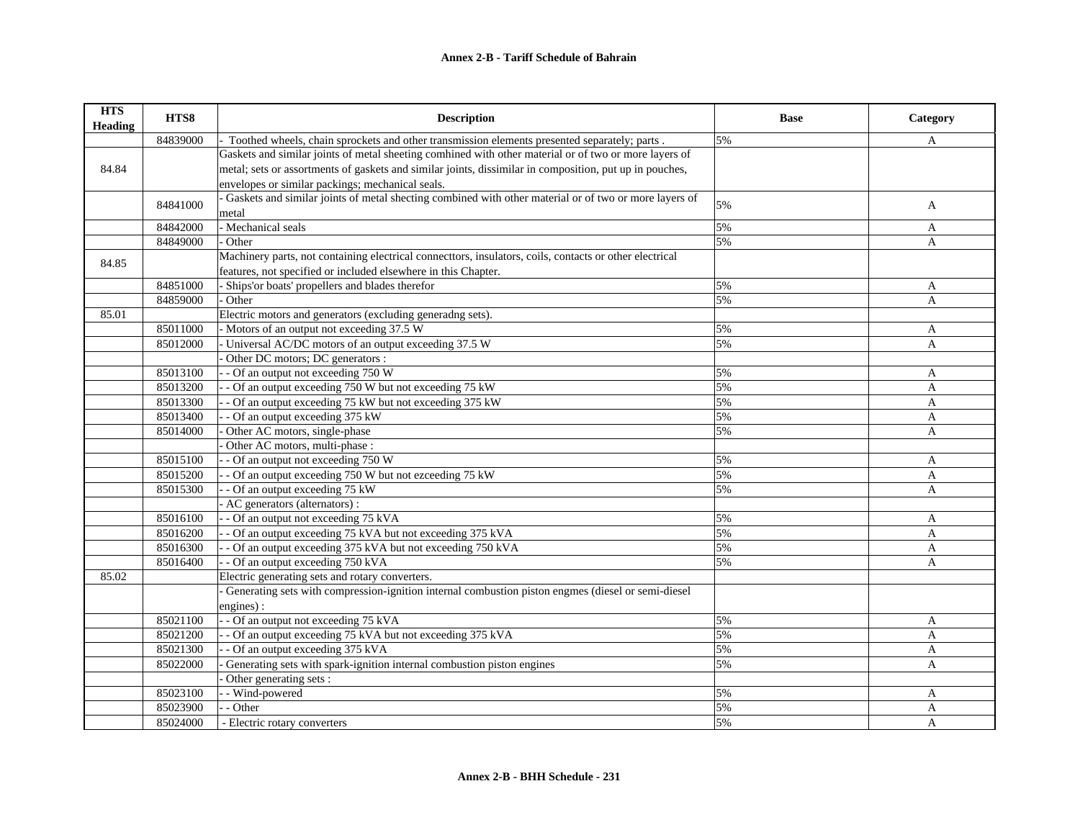| <b>HTS</b><br><b>Heading</b> | HTS8     | <b>Description</b>                                                                                      | <b>Base</b> | Category     |
|------------------------------|----------|---------------------------------------------------------------------------------------------------------|-------------|--------------|
|                              | 84839000 | Toothed wheels, chain sprockets and other transmission elements presented separately; parts .           | 5%          | A            |
|                              |          | Gaskets and similar joints of metal sheeting comhined with other material or of two or more layers of   |             |              |
| 84.84                        |          | metal; sets or assortments of gaskets and similar joints, dissimilar in composition, put up in pouches, |             |              |
|                              |          | envelopes or similar packings; mechanical seals.                                                        |             |              |
|                              | 84841000 | - Gaskets and similar joints of metal shecting combined with other material or of two or more layers of | 5%          |              |
|                              |          | metal                                                                                                   |             | A            |
|                              | 84842000 | - Mechanical seals                                                                                      | 5%          | A            |
|                              | 84849000 | - Other                                                                                                 | 5%          | A            |
| 84.85                        |          | Machinery parts, not containing electrical connecttors, insulators, coils, contacts or other electrical |             |              |
|                              |          | features, not specified or included elsewhere in this Chapter.                                          |             |              |
|                              | 84851000 | - Ships'or boats' propellers and blades therefor                                                        | 5%          | A            |
|                              | 84859000 | Other                                                                                                   | 5%          | A            |
| 85.01                        |          | Electric motors and generators (excluding generadng sets).                                              |             |              |
|                              | 85011000 | - Motors of an output not exceeding 37.5 W                                                              | 5%          | A            |
|                              | 85012000 | - Universal AC/DC motors of an output exceeding 37.5 W                                                  | 5%          | A            |
|                              |          | Other DC motors; DC generators :                                                                        |             |              |
|                              | 85013100 | - - Of an output not exceeding 750 W                                                                    | 5%          | A            |
|                              | 85013200 | - Of an output exceeding 750 W but not exceeding 75 kW                                                  | 5%          | $\mathbf{A}$ |
|                              | 85013300 | - - Of an output exceeding 75 kW but not exceeding 375 kW                                               | 5%          | A            |
|                              | 85013400 | - - Of an output exceeding 375 kW                                                                       | 5%          | A            |
|                              | 85014000 | Other AC motors, single-phase                                                                           | 5%          | A            |
|                              |          | Other AC motors, multi-phase :                                                                          |             |              |
|                              | 85015100 | - Of an output not exceeding 750 W                                                                      | 5%          | A            |
|                              | 85015200 | - Of an output exceeding 750 W but not ezceeding 75 kW                                                  | 5%          | A            |
|                              | 85015300 | - Of an output exceeding 75 kW                                                                          | 5%          | A            |
|                              |          | - AC generators (alternators) :                                                                         |             |              |
|                              | 85016100 | - - Of an output not exceeding 75 kVA                                                                   | 5%          | A            |
|                              | 85016200 | - - Of an output exceeding 75 kVA but not exceeding 375 kVA                                             | 5%          | A            |
|                              | 85016300 | - Of an output exceeding 375 kVA but not exceeding 750 kVA                                              | 5%          | A            |
|                              | 85016400 | - - Of an output exceeding 750 kVA                                                                      | 5%          | A            |
| 85.02                        |          | Electric generating sets and rotary converters.                                                         |             |              |
|                              |          | Generating sets with compression-ignition internal combustion piston engmes (diesel or semi-diesel      |             |              |
|                              |          | engines):                                                                                               |             |              |
|                              | 85021100 | - - Of an output not exceeding 75 kVA                                                                   | 5%          | A            |
|                              | 85021200 | - - Of an output exceeding 75 kVA but not exceeding 375 kVA                                             | 5%          | A            |
|                              | 85021300 | - - Of an output exceeding 375 kVA                                                                      | 5%          | $\mathbf{A}$ |
|                              | 85022000 | Generating sets with spark-ignition internal combustion piston engines                                  | 5%          | A            |
|                              |          | Other generating sets :                                                                                 |             |              |
|                              | 85023100 | - Wind-powered                                                                                          | 5%          | A            |
|                              | 85023900 | - - Other                                                                                               | 5%          | A            |
|                              | 85024000 | - Electric rotary converters                                                                            | 5%          | A            |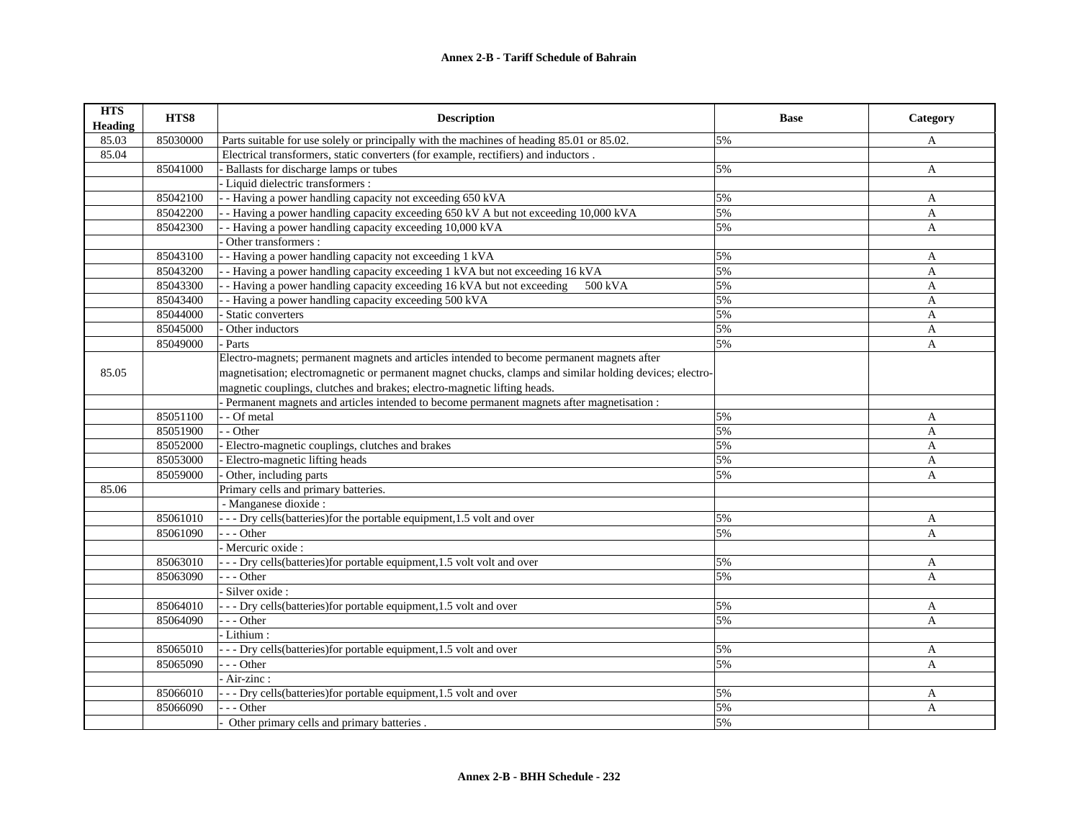| <b>HTS</b><br><b>Heading</b> | HTS8     | <b>Description</b>                                                                                      | <b>Base</b> | Category     |
|------------------------------|----------|---------------------------------------------------------------------------------------------------------|-------------|--------------|
| 85.03                        | 85030000 | Parts suitable for use solely or principally with the machines of heading 85.01 or 85.02.               | 5%          | A            |
| 85.04                        |          | Electrical transformers, static converters (for example, rectifiers) and inductors.                     |             |              |
|                              | 85041000 | - Ballasts for discharge lamps or tubes                                                                 | 5%          | A            |
|                              |          | - Liquid dielectric transformers :                                                                      |             |              |
|                              | 85042100 | - - Having a power handling capacity not exceeding 650 kVA                                              | 5%          | A            |
|                              | 85042200 | - Having a power handling capacity exceeding 650 kV A but not exceeding 10,000 kVA                      | 5%          | A            |
|                              | 85042300 | - - Having a power handling capacity exceeding 10,000 kVA                                               | 5%          | A            |
|                              |          | Other transformers :                                                                                    |             |              |
|                              | 85043100 | - - Having a power handling capacity not exceeding 1 kVA                                                | 5%          | A            |
|                              | 85043200 | - Having a power handling capacity exceeding 1 kVA but not exceeding 16 kVA                             | 5%          | A            |
|                              | 85043300 | - - Having a power handling capacity exceeding 16 kVA but not exceeding<br>500 kVA                      | 5%          | A            |
|                              | 85043400 | - Having a power handling capacity exceeding 500 kVA                                                    | 5%          | A            |
|                              | 85044000 | Static converters                                                                                       | 5%          | A            |
|                              | 85045000 | Other inductors                                                                                         | 5%          | A            |
|                              | 85049000 | - Parts                                                                                                 | 5%          | A            |
|                              |          | Electro-magnets; permanent magnets and articles intended to become permanent magnets after              |             |              |
| 85.05                        |          | magnetisation; electromagnetic or permanent magnet chucks, clamps and similar holding devices; electro- |             |              |
|                              |          | magnetic couplings, clutches and brakes; electro-magnetic lifting heads.                                |             |              |
|                              |          | - Permanent magnets and articles intended to become permanent magnets after magnetisation :             |             |              |
|                              | 85051100 | - - Of metal                                                                                            | 5%          | A            |
|                              | 85051900 | - - Other                                                                                               | 5%          | $\mathbf{A}$ |
|                              | 85052000 | - Electro-magnetic couplings, clutches and brakes                                                       | 5%          | A            |
|                              | 85053000 | Electro-magnetic lifting heads                                                                          | 5%          | A            |
|                              | 85059000 | Other, including parts                                                                                  | 5%          | A            |
| 85.06                        |          | Primary cells and primary batteries.                                                                    |             |              |
|                              |          | - Manganese dioxide :                                                                                   |             |              |
|                              | 85061010 | - - - Dry cells (batteries) for the portable equipment, 1.5 volt and over                               | 5%          | A            |
|                              | 85061090 | $- -$ Other                                                                                             | 5%          | A            |
|                              |          | Mercuric oxide:                                                                                         |             |              |
|                              | 85063010 | - - - Dry cells (batteries) for portable equipment, 1.5 volt volt and over                              | 5%          | A            |
|                              | 85063090 | $- -$ Other                                                                                             | 5%          | A            |
|                              |          | - Silver oxide :                                                                                        |             |              |
|                              | 85064010 | - - - Dry cells(batteries) for portable equipment, 1.5 volt and over                                    | 5%          | A            |
|                              | 85064090 | --- Other                                                                                               | 5%          | A            |
|                              |          | - Lithium :                                                                                             |             |              |
|                              | 85065010 | - - - Dry cells (batteries) for portable equipment, 1.5 volt and over                                   | 5%          | A            |
|                              | 85065090 | $- -$ Other                                                                                             | 5%          | A            |
|                              |          | - Air-zinc :                                                                                            |             |              |
|                              | 85066010 | - - - Dry cells(batteries) for portable equipment, 1.5 volt and over                                    | 5%          | A            |
|                              | 85066090 | --- Other                                                                                               | 5%          | A            |
|                              |          | Other primary cells and primary batteries.                                                              | 5%          |              |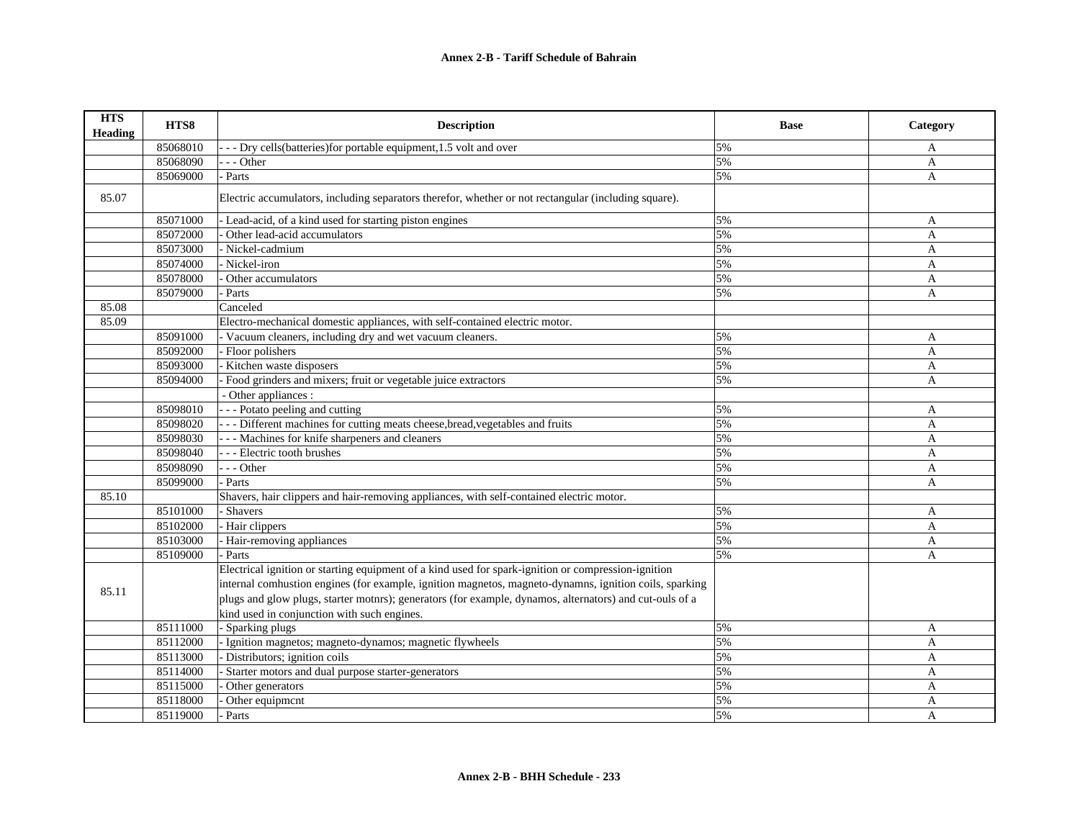| <b>HTS</b><br><b>Heading</b> | HTS8     | <b>Description</b>                                                                                      | <b>Base</b> | Category       |
|------------------------------|----------|---------------------------------------------------------------------------------------------------------|-------------|----------------|
|                              | 85068010 | --- Dry cells (batteries) for portable equipment, 1.5 volt and over                                     | 5%          | A              |
|                              | 85068090 | $-$ - Other                                                                                             | 5%          | A              |
|                              | 85069000 | Parts                                                                                                   | 5%          | $\mathbf{A}$   |
| 85.07                        |          | Electric accumulators, including separators therefor, whether or not rectangular (including square).    |             |                |
|                              | 85071000 | - Lead-acid, of a kind used for starting piston engines                                                 | 5%          | A              |
|                              | 85072000 | Other lead-acid accumulators                                                                            | 5%          | A              |
|                              | 85073000 | Nickel-cadmium                                                                                          | 5%          | A              |
|                              | 85074000 | - Nickel-iron                                                                                           | 5%          | $\mathbf{A}$   |
|                              | 85078000 | Other accumulators                                                                                      | 5%          | $\mathbf{A}$   |
|                              | 85079000 | - Parts                                                                                                 | 5%          | A              |
| 85.08                        |          | Canceled                                                                                                |             |                |
| 85.09                        |          | Electro-mechanical domestic appliances, with self-contained electric motor.                             |             |                |
|                              | 85091000 | - Vacuum cleaners, including dry and wet vacuum cleaners.                                               | 5%          | A              |
|                              | 85092000 | - Floor polishers                                                                                       | 5%          | A              |
|                              | 85093000 | Kitchen waste disposers                                                                                 | 5%          | A              |
|                              | 85094000 | Food grinders and mixers; fruit or vegetable juice extractors                                           | 5%          | A              |
|                              |          | - Other appliances :                                                                                    |             |                |
|                              | 85098010 | --- Potato peeling and cutting                                                                          | 5%          | A              |
|                              | 85098020 | - - - Different machines for cutting meats cheese, bread, vegetables and fruits                         | 5%          | A              |
|                              | 85098030 | --- Machines for knife sharpeners and cleaners                                                          | 5%          | A              |
|                              | 85098040 | --- Electric tooth brushes                                                                              | 5%          | $\mathbf{A}$   |
|                              | 85098090 | $- -$ Other                                                                                             | 5%          | A              |
|                              | 85099000 | Parts                                                                                                   | 5%          | A              |
| 85.10                        |          | Shavers, hair clippers and hair-removing appliances, with self-contained electric motor.                |             |                |
|                              | 85101000 | Shavers                                                                                                 | 5%          | A              |
|                              | 85102000 | - Hair clippers                                                                                         | 5%          | A              |
|                              | 85103000 | Hair-removing appliances                                                                                | 5%          | A              |
|                              | 85109000 | Parts                                                                                                   | 5%          | A              |
|                              |          | Electrical ignition or starting equipment of a kind used for spark-ignition or compression-ignition     |             |                |
|                              |          | internal comhustion engines (for example, ignition magnetos, magneto-dynamns, ignition coils, sparking  |             |                |
| 85.11                        |          | plugs and glow plugs, starter motnrs); generators (for example, dynamos, alternators) and cut-ouls of a |             |                |
|                              |          | kind used in conjunction with such engines.                                                             |             |                |
|                              | 85111000 | - Sparking plugs                                                                                        | 5%          | A              |
|                              | 85112000 | Ignition magnetos; magneto-dynamos; magnetic flywheels                                                  | 5%          | A              |
|                              | 85113000 | Distributors; ignition coils                                                                            | 5%          | $\mathbf{A}$   |
|                              | 85114000 | Starter motors and dual purpose starter-generators                                                      | 5%          | A              |
|                              | 85115000 | Other generators                                                                                        | 5%          | A              |
|                              | 85118000 | Other equipment                                                                                         | 5%          | A              |
|                              | 85119000 | Parts                                                                                                   | 5%          | $\overline{A}$ |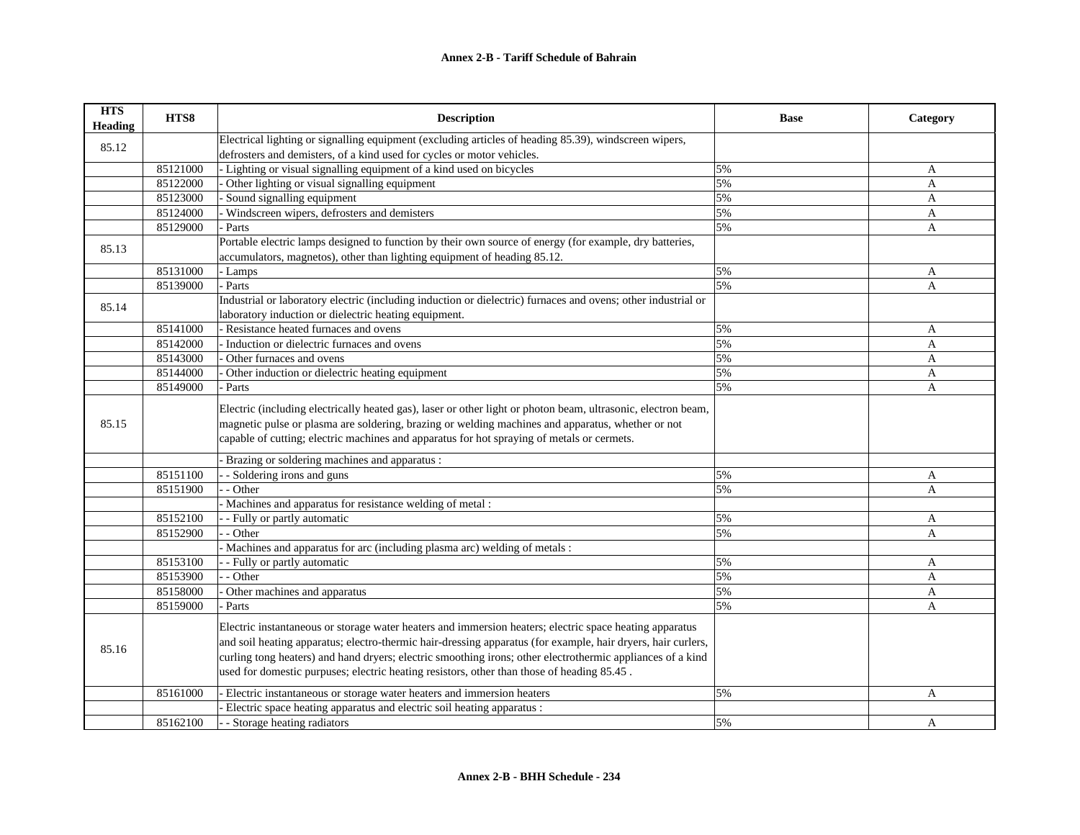| <b>HTS</b><br><b>Heading</b> | HTS8     | <b>Description</b>                                                                                                                                                                                                                                                                                                                                                                                                                  | <b>Base</b> | Category |
|------------------------------|----------|-------------------------------------------------------------------------------------------------------------------------------------------------------------------------------------------------------------------------------------------------------------------------------------------------------------------------------------------------------------------------------------------------------------------------------------|-------------|----------|
|                              |          | Electrical lighting or signalling equipment (excluding articles of heading 85.39), windscreen wipers,                                                                                                                                                                                                                                                                                                                               |             |          |
| 85.12                        |          | defrosters and demisters, of a kind used for cycles or motor vehicles.                                                                                                                                                                                                                                                                                                                                                              |             |          |
|                              | 85121000 | - Lighting or visual signalling equipment of a kind used on bicycles                                                                                                                                                                                                                                                                                                                                                                | 5%          | A        |
|                              | 85122000 | Other lighting or visual signalling equipment                                                                                                                                                                                                                                                                                                                                                                                       | 5%          | A        |
|                              | 85123000 | Sound signalling equipment                                                                                                                                                                                                                                                                                                                                                                                                          | 5%          | A        |
|                              | 85124000 | Windscreen wipers, defrosters and demisters                                                                                                                                                                                                                                                                                                                                                                                         | 5%          | A        |
|                              | 85129000 | - Parts                                                                                                                                                                                                                                                                                                                                                                                                                             | 5%          | A        |
| 85.13                        |          | Portable electric lamps designed to function by their own source of energy (for example, dry batteries,                                                                                                                                                                                                                                                                                                                             |             |          |
|                              |          | accumulators, magnetos), other than lighting equipment of heading 85.12.                                                                                                                                                                                                                                                                                                                                                            |             |          |
|                              | 85131000 | - Lamps                                                                                                                                                                                                                                                                                                                                                                                                                             | 5%          | A        |
|                              | 85139000 | - Parts                                                                                                                                                                                                                                                                                                                                                                                                                             | 5%          | A        |
|                              |          | Industrial or laboratory electric (including induction or dielectric) furnaces and ovens; other industrial or                                                                                                                                                                                                                                                                                                                       |             |          |
| 85.14                        |          | laboratory induction or dielectric heating equipment.                                                                                                                                                                                                                                                                                                                                                                               |             |          |
|                              | 85141000 | Resistance heated furnaces and ovens                                                                                                                                                                                                                                                                                                                                                                                                | 5%          | A        |
|                              | 85142000 | - Induction or dielectric furnaces and ovens                                                                                                                                                                                                                                                                                                                                                                                        | 5%          | A        |
|                              | 85143000 | Other furnaces and ovens                                                                                                                                                                                                                                                                                                                                                                                                            | 5%          | A        |
|                              | 85144000 | Other induction or dielectric heating equipment                                                                                                                                                                                                                                                                                                                                                                                     | 5%          | A        |
|                              | 85149000 | Parts                                                                                                                                                                                                                                                                                                                                                                                                                               | 5%          | A        |
| 85.15                        |          | Electric (including electrically heated gas), laser or other light or photon beam, ultrasonic, electron beam,<br>magnetic pulse or plasma are soldering, brazing or welding machines and apparatus, whether or not<br>capable of cutting; electric machines and apparatus for hot spraying of metals or cermets.                                                                                                                    |             |          |
|                              |          | Brazing or soldering machines and apparatus :                                                                                                                                                                                                                                                                                                                                                                                       |             |          |
|                              | 85151100 | - Soldering irons and guns                                                                                                                                                                                                                                                                                                                                                                                                          | 5%          | A        |
|                              | 85151900 | - Other                                                                                                                                                                                                                                                                                                                                                                                                                             | 5%          | A        |
|                              |          | Machines and apparatus for resistance welding of metal :                                                                                                                                                                                                                                                                                                                                                                            |             |          |
|                              | 85152100 | - Fully or partly automatic                                                                                                                                                                                                                                                                                                                                                                                                         | 5%          | A        |
|                              | 85152900 | - Other                                                                                                                                                                                                                                                                                                                                                                                                                             | 5%          | A        |
|                              |          | - Machines and apparatus for arc (including plasma arc) welding of metals :                                                                                                                                                                                                                                                                                                                                                         |             |          |
|                              | 85153100 | - Fully or partly automatic                                                                                                                                                                                                                                                                                                                                                                                                         | 5%          | A        |
|                              | 85153900 | - Other                                                                                                                                                                                                                                                                                                                                                                                                                             | 5%          | A        |
|                              | 85158000 | Other machines and apparatus                                                                                                                                                                                                                                                                                                                                                                                                        | 5%          | A        |
|                              | 85159000 | Parts                                                                                                                                                                                                                                                                                                                                                                                                                               | 5%          | A        |
| 85.16                        |          | Electric instantaneous or storage water heaters and immersion heaters; electric space heating apparatus<br>and soil heating apparatus; electro-thermic hair-dressing apparatus (for example, hair dryers, hair curlers,<br>curling tong heaters) and hand dryers; electric smoothing irons; other electrothermic appliances of a kind<br>used for domestic purpuses; electric heating resistors, other than those of heading 85.45. |             |          |
|                              | 85161000 | Electric instantaneous or storage water heaters and immersion heaters                                                                                                                                                                                                                                                                                                                                                               | 5%          | A        |
|                              |          | Electric space heating apparatus and electric soil heating apparatus :                                                                                                                                                                                                                                                                                                                                                              |             |          |
|                              | 85162100 | - Storage heating radiators                                                                                                                                                                                                                                                                                                                                                                                                         | 5%          | A        |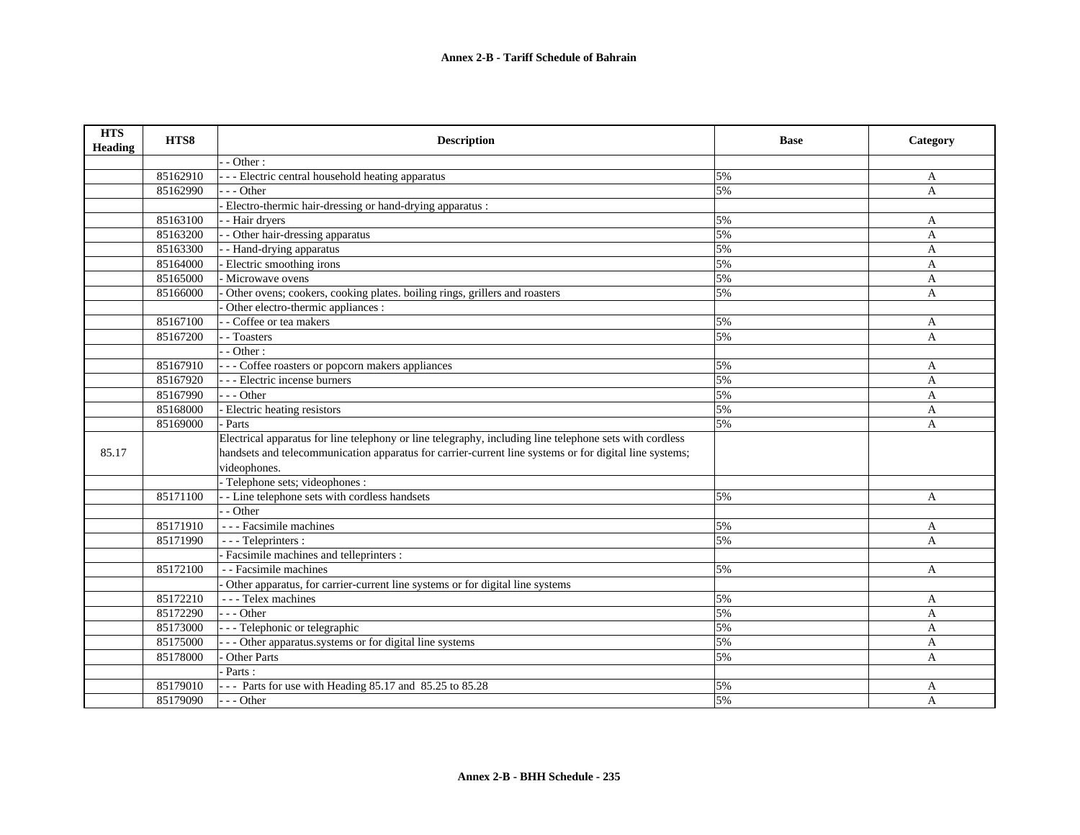| <b>HTS</b><br><b>Heading</b> | HTS8     | <b>Description</b>                                                                                      | <b>Base</b> | Category       |
|------------------------------|----------|---------------------------------------------------------------------------------------------------------|-------------|----------------|
|                              |          | - Other:                                                                                                |             |                |
|                              | 85162910 | - - - Electric central household heating apparatus                                                      | 5%          | A              |
|                              | 85162990 | $- -$ Other                                                                                             | 5%          | A              |
|                              |          | - Electro-thermic hair-dressing or hand-drying apparatus :                                              |             |                |
|                              | 85163100 | - Hair dryers                                                                                           | 5%          | A              |
|                              | 85163200 | - Other hair-dressing apparatus                                                                         | 5%          | A              |
|                              | 85163300 | - Hand-drying apparatus                                                                                 | 5%          | A              |
|                              | 85164000 | Electric smoothing irons                                                                                | 5%          | $\overline{A}$ |
|                              | 85165000 | - Microwave ovens                                                                                       | 5%          | A              |
|                              | 85166000 | Other ovens; cookers, cooking plates. boiling rings, grillers and roasters                              | 5%          | A              |
|                              |          | Other electro-thermic appliances :                                                                      |             |                |
|                              | 85167100 | - Coffee or tea makers                                                                                  | 5%          | A              |
|                              | 85167200 | - Toasters                                                                                              | 5%          | A              |
|                              |          | - Other:                                                                                                |             |                |
|                              | 85167910 | - - - Coffee roasters or popcorn makers appliances                                                      | 5%          | A              |
|                              | 85167920 | - - - Electric incense burners                                                                          | 5%          | A              |
|                              | 85167990 | $- -$ Other                                                                                             | 5%          | A              |
|                              | 85168000 | - Electric heating resistors                                                                            | 5%          | A              |
|                              | 85169000 | - Parts                                                                                                 | 5%          | A              |
|                              |          | Electrical apparatus for line telephony or line telegraphy, including line telephone sets with cordless |             |                |
| 85.17                        |          | handsets and telecommunication apparatus for carrier-current line systems or for digital line systems;  |             |                |
|                              |          | videophones.                                                                                            |             |                |
|                              |          | - Telephone sets; videophones :                                                                         |             |                |
|                              | 85171100 | - - Line telephone sets with cordless handsets                                                          | 5%          | A              |
|                              |          | - - Other                                                                                               |             |                |
|                              | 85171910 | - - - Facsimile machines                                                                                | 5%          | A              |
|                              | 85171990 | - - - Teleprinters :                                                                                    | 5%          | A              |
|                              |          | Facsimile machines and telleprinters :                                                                  |             |                |
|                              | 85172100 | - - Facsimile machines                                                                                  | 5%          | A              |
|                              |          | Other apparatus, for carrier-current line systems or for digital line systems                           |             |                |
|                              | 85172210 | - - - Telex machines                                                                                    | 5%          | A              |
|                              | 85172290 | $- -$ Other                                                                                             | 5%          | A              |
|                              | 85173000 | - - - Telephonic or telegraphic                                                                         | 5%          | A              |
|                              | 85175000 | - - Other apparatus.systems or for digital line systems                                                 | 5%          | A              |
|                              | 85178000 | <b>Other Parts</b>                                                                                      | 5%          | A              |
|                              |          | Parts:                                                                                                  |             |                |
|                              | 85179010 | --- Parts for use with Heading 85.17 and 85.25 to 85.28                                                 | 5%          | A              |
|                              | 85179090 | $- -$ Other                                                                                             | 5%          | A              |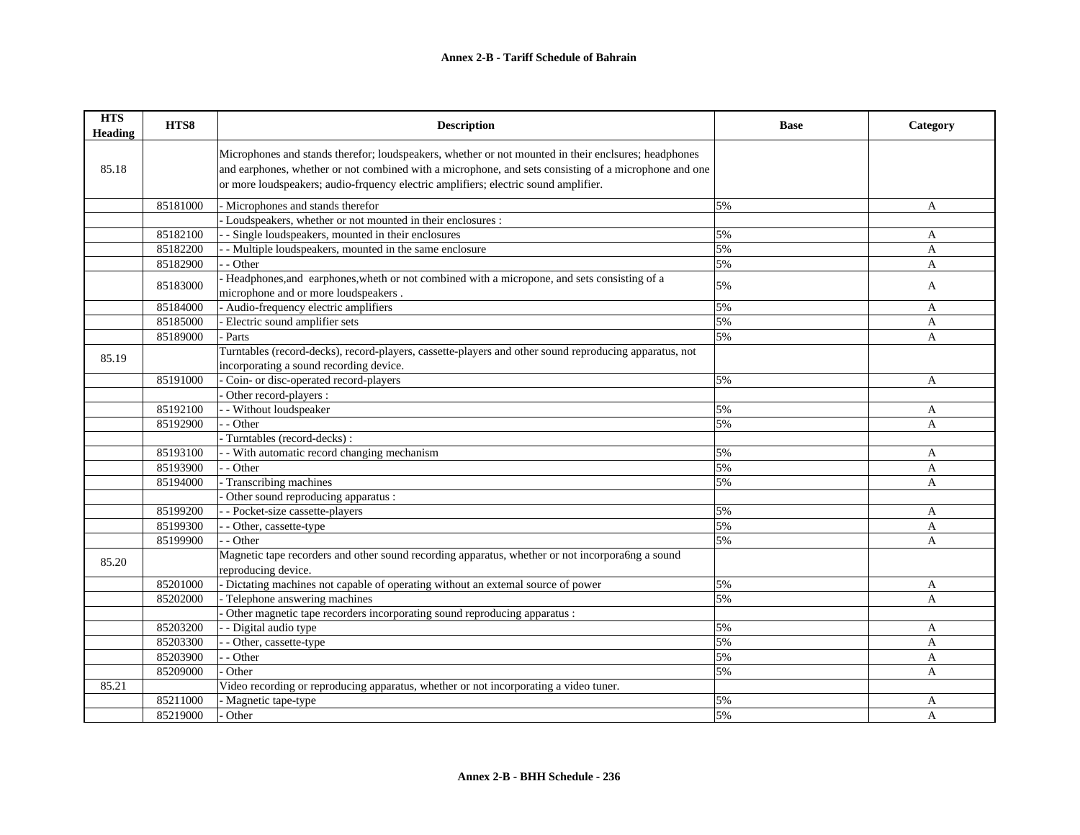| <b>HTS</b><br><b>Heading</b> | HTS8     | <b>Description</b>                                                                                     | <b>Base</b> | Category       |
|------------------------------|----------|--------------------------------------------------------------------------------------------------------|-------------|----------------|
|                              |          | Microphones and stands therefor; loudspeakers, whether or not mounted in their enclsures; headphones   |             |                |
| 85.18                        |          | and earphones, whether or not combined with a microphone, and sets consisting of a microphone and one  |             |                |
|                              |          | or more loudspeakers; audio-frquency electric amplifiers; electric sound amplifier.                    |             |                |
|                              |          |                                                                                                        |             |                |
|                              | 85181000 | - Microphones and stands therefor                                                                      | 5%          | A              |
|                              |          | - Loudspeakers, whether or not mounted in their enclosures :                                           |             |                |
|                              | 85182100 | - Single loudspeakers, mounted in their enclosures                                                     | 5%          | A              |
|                              | 85182200 | - Multiple loudspeakers, mounted in the same enclosure                                                 | 5%          | $\mathbf{A}$   |
|                              | 85182900 | - Other                                                                                                | 5%          | A              |
|                              | 85183000 | Headphones, and earphones, wheth or not combined with a micropone, and sets consisting of a            | 5%          | A              |
|                              |          | microphone and or more loudspeakers.                                                                   |             |                |
|                              | 85184000 | - Audio-frequency electric amplifiers                                                                  | 5%          | $\mathbf{A}$   |
|                              | 85185000 | Electric sound amplifier sets                                                                          | 5%          | A              |
|                              | 85189000 | Parts                                                                                                  | 5%          | A              |
| 85.19                        |          | Turntables (record-decks), record-players, cassette-players and other sound reproducing apparatus, not |             |                |
|                              |          | incorporating a sound recording device.                                                                |             |                |
|                              | 85191000 | Coin- or disc-operated record-players                                                                  | 5%          | $\mathbf{A}$   |
|                              |          | Other record-players :                                                                                 |             |                |
|                              | 85192100 | - Without loudspeaker                                                                                  | 5%          | $\mathbf{A}$   |
|                              | 85192900 | - Other                                                                                                | 5%          | A              |
|                              |          | Turntables (record-decks):                                                                             |             |                |
|                              | 85193100 | - With automatic record changing mechanism                                                             | 5%          | $\mathbf{A}$   |
|                              | 85193900 | - Other                                                                                                | 5%          | A              |
|                              | 85194000 | Transcribing machines                                                                                  | 5%          | $\mathbf{A}$   |
|                              |          | Other sound reproducing apparatus :                                                                    |             |                |
|                              | 85199200 | - Pocket-size cassette-players                                                                         | 5%          | A              |
|                              | 85199300 | - Other, cassette-type                                                                                 | 5%          | A              |
|                              | 85199900 | - Other                                                                                                | 5%          | A              |
|                              |          | Magnetic tape recorders and other sound recording apparatus, whether or not incorpora6ng a sound       |             |                |
| 85.20                        |          | reproducing device.                                                                                    |             |                |
|                              | 85201000 | - Dictating machines not capable of operating without an extemal source of power                       | 5%          | A              |
|                              | 85202000 | Telephone answering machines                                                                           | 5%          | $\mathbf{A}$   |
|                              |          | Other magnetic tape recorders incorporating sound reproducing apparatus :                              |             |                |
|                              | 85203200 | - Digital audio type                                                                                   | 5%          | A              |
|                              | 85203300 | - Other, cassette-type                                                                                 | 5%          | $\mathbf{A}$   |
|                              | 85203900 | - Other                                                                                                | 5%          | A              |
|                              | 85209000 | Other                                                                                                  | 5%          | $\mathsf{A}$   |
| 85.21                        |          | Video recording or reproducing apparatus, whether or not incorporating a video tuner.                  |             |                |
|                              | 85211000 | Magnetic tape-type                                                                                     | 5%          | A              |
|                              | 85219000 | Other                                                                                                  | 5%          | $\overline{A}$ |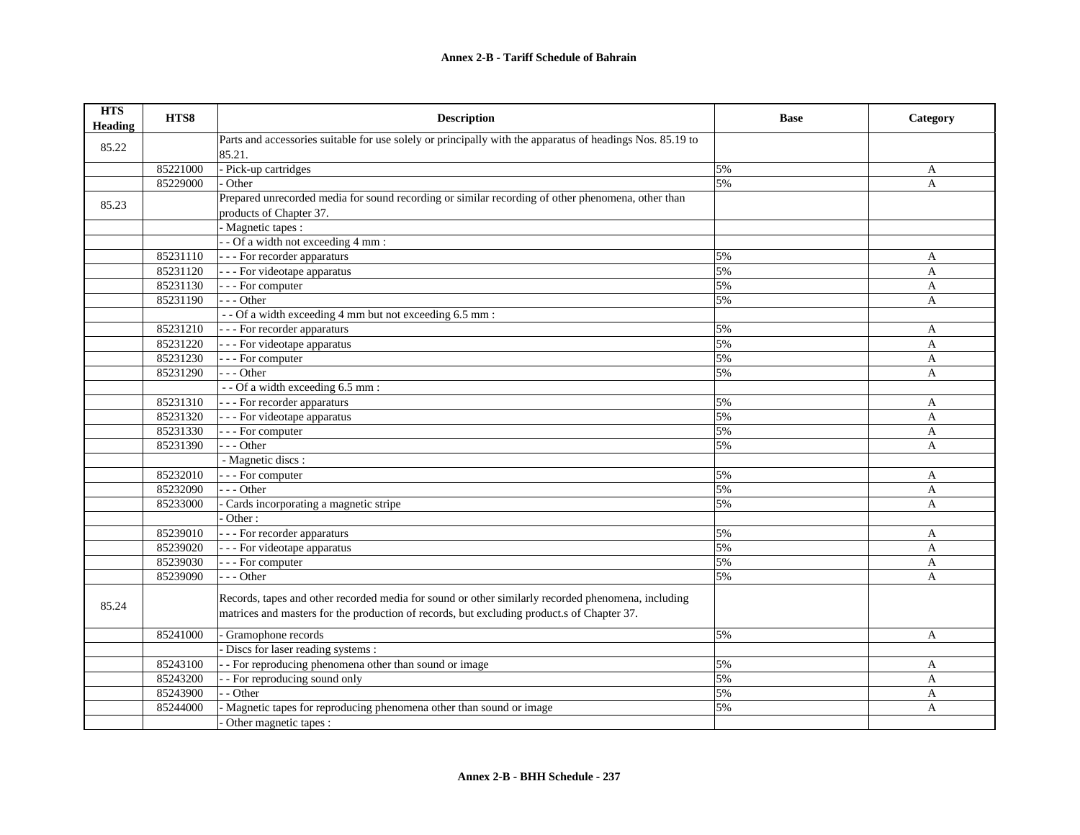| <b>HTS</b><br><b>Heading</b> | HTS8     | <b>Description</b>                                                                                        | <b>Base</b> | Category       |
|------------------------------|----------|-----------------------------------------------------------------------------------------------------------|-------------|----------------|
| 85.22                        |          | Parts and accessories suitable for use solely or principally with the apparatus of headings Nos. 85.19 to |             |                |
|                              |          | 85.21.                                                                                                    |             |                |
|                              | 85221000 | - Pick-up cartridges                                                                                      | 5%          | A              |
|                              | 85229000 | Other                                                                                                     | 5%          | A              |
| 85.23                        |          | Prepared unrecorded media for sound recording or similar recording of other phenomena, other than         |             |                |
|                              |          | products of Chapter 37.                                                                                   |             |                |
|                              |          | - Magnetic tapes :                                                                                        |             |                |
|                              |          | $-$ Of a width not exceeding 4 mm :                                                                       |             |                |
|                              | 85231110 | - - - For recorder apparaturs                                                                             | 5%          | A              |
|                              | 85231120 | - - - For videotape apparatus                                                                             | 5%          | A              |
|                              | 85231130 | - - - For computer                                                                                        | 5%          | A              |
|                              | 85231190 | $-$ - Other                                                                                               | 5%          | A              |
|                              |          | -- Of a width exceeding 4 mm but not exceeding 6.5 mm :                                                   |             |                |
|                              | 85231210 | - - - For recorder apparaturs                                                                             | 5%          | A              |
|                              | 85231220 | - - - For videotape apparatus                                                                             | 5%          | $\overline{A}$ |
|                              | 85231230 | - - For computer                                                                                          | 5%          | A              |
|                              | 85231290 | $- -$ Other                                                                                               | 5%          | A              |
|                              |          | - - Of a width exceeding 6.5 mm :                                                                         |             |                |
|                              | 85231310 | - - - For recorder apparaturs                                                                             | 5%          | A              |
|                              | 85231320 | - - - For videotape apparatus                                                                             | 5%          | A              |
|                              | 85231330 | - - - For computer                                                                                        | 5%          | A              |
|                              | 85231390 | $- -$ Other                                                                                               | 5%          | A              |
|                              |          | - Magnetic discs :                                                                                        |             |                |
|                              | 85232010 | - - - For computer                                                                                        | 5%          | A              |
|                              | 85232090 | $- -$ Other                                                                                               | 5%          | A              |
|                              | 85233000 | Cards incorporating a magnetic stripe                                                                     | 5%          | A              |
|                              |          | Other:                                                                                                    |             |                |
|                              | 85239010 | - - - For recorder apparaturs                                                                             | 5%          | A              |
|                              | 85239020 | - - - For videotape apparatus                                                                             | 5%          | $\overline{A}$ |
|                              | 85239030 | - - - For computer                                                                                        | 5%          | A              |
|                              | 85239090 | $-$ - Other                                                                                               | 5%          | A              |
|                              |          | Records, tapes and other recorded media for sound or other similarly recorded phenomena, including        |             |                |
| 85.24                        |          | matrices and masters for the production of records, but excluding product.s of Chapter 37.                |             |                |
|                              |          |                                                                                                           |             |                |
|                              | 85241000 | Gramophone records                                                                                        | 5%          | A              |
|                              |          | - Discs for laser reading systems :                                                                       |             |                |
|                              | 85243100 | - For reproducing phenomena other than sound or image                                                     | 5%          | A              |
|                              | 85243200 | - For reproducing sound only                                                                              | 5%          | A              |
|                              | 85243900 | - Other                                                                                                   | 5%          | A              |
|                              | 85244000 | Magnetic tapes for reproducing phenomena other than sound or image                                        | 5%          | A              |
|                              |          | Other magnetic tapes :                                                                                    |             |                |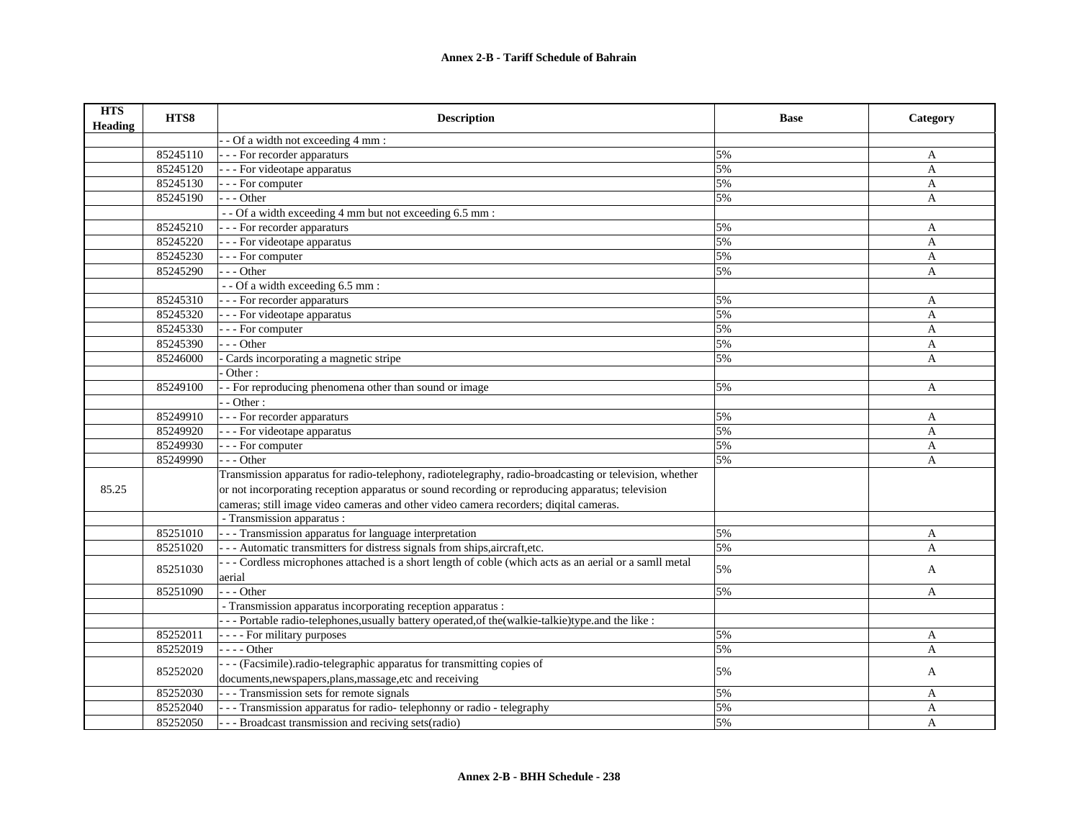| <b>HTS</b><br><b>Heading</b> | HTS8     | <b>Description</b>                                                                                     | <b>Base</b> | Category     |
|------------------------------|----------|--------------------------------------------------------------------------------------------------------|-------------|--------------|
|                              |          | - - Of a width not exceeding 4 mm :                                                                    |             |              |
|                              | 85245110 | - - - For recorder apparaturs                                                                          | 5%          | A            |
|                              | 85245120 | - - - For videotape apparatus                                                                          | 5%          | $\mathbf{A}$ |
|                              | 85245130 | - - - For computer                                                                                     | 5%          | $\mathbf{A}$ |
|                              | 85245190 | $--$ Other                                                                                             | 5%          | A            |
|                              |          | -- Of a width exceeding 4 mm but not exceeding 6.5 mm :                                                |             |              |
|                              | 85245210 | --- For recorder apparaturs                                                                            | 5%          | A            |
|                              | 85245220 | - - - For videotape apparatus                                                                          | 5%          | A            |
|                              | 85245230 | - - - For computer                                                                                     | 5%          | A            |
|                              | 85245290 | --- Other                                                                                              | 5%          | A            |
|                              |          | -- Of a width exceeding 6.5 mm :                                                                       |             |              |
|                              | 85245310 | --- For recorder apparaturs                                                                            | 5%          | A            |
|                              | 85245320 | - - - For videotape apparatus                                                                          | 5%          | A            |
|                              | 85245330 | - - - For computer                                                                                     | 5%          | A            |
|                              | 85245390 | $--$ Other                                                                                             | 5%          | A            |
|                              | 85246000 | Cards incorporating a magnetic stripe                                                                  | 5%          | $\mathbf{A}$ |
|                              |          | Other:                                                                                                 |             |              |
|                              | 85249100 | - For reproducing phenomena other than sound or image                                                  | 5%          | $\mathbf{A}$ |
|                              |          | $-$ Other :                                                                                            |             |              |
|                              | 85249910 | - - - For recorder apparaturs                                                                          | 5%          | A            |
|                              | 85249920 | - - - For videotape apparatus                                                                          | 5%          | A            |
|                              | 85249930 | - - - For computer                                                                                     | 5%          | $\mathbf{A}$ |
|                              | 85249990 | $- -$ Other                                                                                            | 5%          | $\mathbf{A}$ |
|                              |          | Transmission apparatus for radio-telephony, radiotelegraphy, radio-broadcasting or television, whether |             |              |
| 85.25                        |          | or not incorporating reception apparatus or sound recording or reproducing apparatus; television       |             |              |
|                              |          | cameras; still image video cameras and other video camera recorders; diqital cameras.                  |             |              |
|                              |          | - Transmission apparatus :                                                                             |             |              |
|                              | 85251010 | - - - Transmission apparatus for language interpretation                                               | 5%          | A            |
|                              | 85251020 | --- Automatic transmitters for distress signals from ships, aircraft, etc.                             | 5%          | A            |
|                              |          | --- Cordless microphones attached is a short length of coble (which acts as an aerial or a samll metal |             |              |
|                              | 85251030 | aerial                                                                                                 | 5%          | A            |
|                              | 85251090 | $-$ - Other                                                                                            | 5%          | A            |
|                              |          | - Transmission apparatus incorporating reception apparatus :                                           |             |              |
|                              |          | - - - Portable radio-telephones, usually battery operated, of the (walkie-talkie) type. and the like : |             |              |
|                              | 85252011 | - - - - For military purposes                                                                          | 5%          | A            |
|                              | 85252019 | $- - -$ Other                                                                                          | 5%          | A            |
|                              |          | --- (Facsimile).radio-telegraphic apparatus for transmitting copies of                                 |             |              |
|                              | 85252020 | documents, newspapers, plans, massage, etc and receiving                                               | 5%          | A            |
|                              | 85252030 | - - - Transmission sets for remote signals                                                             | 5%          | A            |
|                              | 85252040 | - - - Transmission apparatus for radio-telephonny or radio - telegraphy                                | 5%          | A            |
|                              | 85252050 | - - - Broadcast transmission and reciving sets (radio)                                                 | 5%          | A            |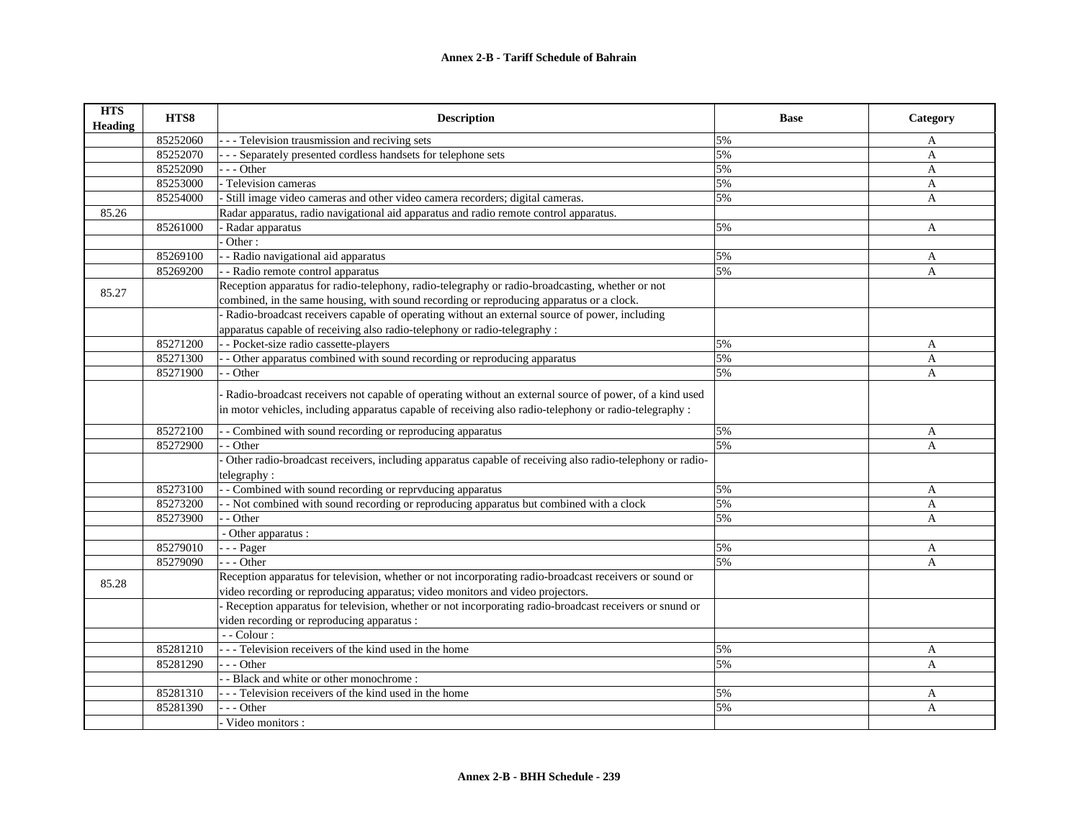| <b>HTS</b><br><b>Heading</b> | HTS8     | <b>Description</b>                                                                                                                                                                                               | <b>Base</b> | Category     |
|------------------------------|----------|------------------------------------------------------------------------------------------------------------------------------------------------------------------------------------------------------------------|-------------|--------------|
|                              | 85252060 | - - Television trausmission and reciving sets                                                                                                                                                                    | 5%          | $\mathbf{A}$ |
|                              | 85252070 | - - Separately presented cordless handsets for telephone sets                                                                                                                                                    | 5%          | A            |
|                              | 85252090 | $-$ - Other                                                                                                                                                                                                      | 5%          | $\mathbf{A}$ |
|                              | 85253000 | - Television cameras                                                                                                                                                                                             | 5%          | $\mathbf{A}$ |
|                              | 85254000 | - Still image video cameras and other video camera recorders; digital cameras.                                                                                                                                   | 5%          | A            |
| 85.26                        |          | Radar apparatus, radio navigational aid apparatus and radio remote control apparatus.                                                                                                                            |             |              |
|                              | 85261000 | - Radar apparatus                                                                                                                                                                                                | 5%          | $\mathbf{A}$ |
|                              |          | Other:                                                                                                                                                                                                           |             |              |
|                              | 85269100 | - - Radio navigational aid apparatus                                                                                                                                                                             | 5%          | A            |
|                              | 85269200 | - - Radio remote control apparatus                                                                                                                                                                               | 5%          | A            |
| 85.27                        |          | Reception apparatus for radio-telephony, radio-telegraphy or radio-broadcasting, whether or not                                                                                                                  |             |              |
|                              |          | combined, in the same housing, with sound recording or reproducing apparatus or a clock.                                                                                                                         |             |              |
|                              |          | Radio-broadcast receivers capable of operating without an external source of power, including                                                                                                                    |             |              |
|                              |          | apparatus capable of receiving also radio-telephony or radio-telegraphy :                                                                                                                                        |             |              |
|                              | 85271200 | - - Pocket-size radio cassette-players                                                                                                                                                                           | 5%          | A            |
|                              | 85271300 | - Other apparatus combined with sound recording or reproducing apparatus                                                                                                                                         | 5%          | $\mathbf{A}$ |
|                              | 85271900 | - Other                                                                                                                                                                                                          | 5%          | A            |
|                              |          | Radio-broadcast receivers not capable of operating without an external source of power, of a kind used<br>in motor vehicles, including apparatus capable of receiving also radio-telephony or radio-telegraphy : |             |              |
|                              | 85272100 | - Combined with sound recording or reproducing apparatus                                                                                                                                                         | 5%          | A            |
|                              | 85272900 | - Other                                                                                                                                                                                                          | 5%          | $\mathbf{A}$ |
|                              |          | Other radio-broadcast receivers, including apparatus capable of receiving also radio-telephony or radio-<br>telegraphy:                                                                                          |             |              |
|                              | 85273100 | - Combined with sound recording or reprvducing apparatus                                                                                                                                                         | 5%          | A            |
|                              | 85273200 | - Not combined with sound recording or reproducing apparatus but combined with a clock                                                                                                                           | 5%          | A            |
|                              | 85273900 | - Other                                                                                                                                                                                                          | 5%          | $\mathbf{A}$ |
|                              |          | - Other apparatus :                                                                                                                                                                                              |             |              |
|                              | 85279010 | $-$ - Pager                                                                                                                                                                                                      | 5%          | A            |
|                              | 85279090 | $- -$ Other                                                                                                                                                                                                      | 5%          | A            |
|                              |          | Reception apparatus for television, whether or not incorporating radio-broadcast receivers or sound or                                                                                                           |             |              |
| 85.28                        |          | video recording or reproducing apparatus; video monitors and video projectors.                                                                                                                                   |             |              |
|                              |          | - Reception apparatus for television, whether or not incorporating radio-broadcast receivers or snund or                                                                                                         |             |              |
|                              |          | viden recording or reproducing apparatus :                                                                                                                                                                       |             |              |
|                              |          | $-$ - Colour :                                                                                                                                                                                                   |             |              |
|                              | 85281210 | - - - Television receivers of the kind used in the home                                                                                                                                                          | 5%          | A            |
|                              | 85281290 | $- -$ Other                                                                                                                                                                                                      | 5%          | A            |
|                              |          | - Black and white or other monochrome:                                                                                                                                                                           |             |              |
|                              | 85281310 | -- Television receivers of the kind used in the home                                                                                                                                                             | 5%          | A            |
|                              | 85281390 | - - Other                                                                                                                                                                                                        | 5%          | A            |
|                              |          | Video monitors:                                                                                                                                                                                                  |             |              |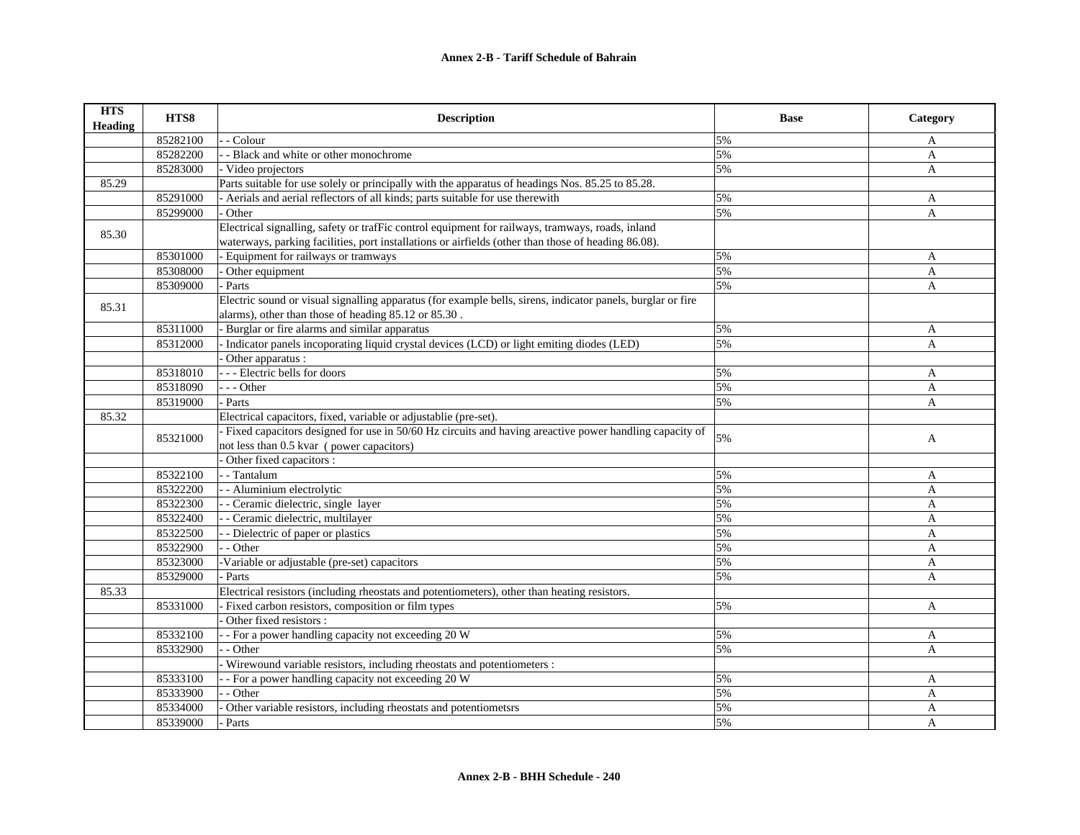| <b>HTS</b><br><b>Heading</b> | HTS8     | <b>Description</b>                                                                                          | <b>Base</b> | Category     |
|------------------------------|----------|-------------------------------------------------------------------------------------------------------------|-------------|--------------|
|                              | 85282100 | - Colour                                                                                                    | 5%          | A            |
|                              | 85282200 | - - Black and white or other monochrome                                                                     | 5%          | A            |
|                              | 85283000 | - Video projectors                                                                                          | 5%          | A            |
| 85.29                        |          | Parts suitable for use solely or principally with the apparatus of headings Nos. 85.25 to 85.28.            |             |              |
|                              | 85291000 | - Aerials and aerial reflectors of all kinds; parts suitable for use therewith                              | 5%          | A            |
|                              | 85299000 | Other                                                                                                       | 5%          | A            |
| 85.30                        |          | Electrical signalling, safety or trafFic control equipment for railways, tramways, roads, inland            |             |              |
|                              |          | waterways, parking facilities, port installations or airfields (other than those of heading 86.08).         |             |              |
|                              | 85301000 | - Equipment for railways or tramways                                                                        | 5%          | A            |
|                              | 85308000 | $\overline{\overline{\mathrm{O}}}$ ther equipment                                                           | 5%          | A            |
|                              | 85309000 | Parts                                                                                                       | 5%          | $\mathbf{A}$ |
| 85.31                        |          | Electric sound or visual signalling apparatus (for example bells, sirens, indicator panels, burglar or fire |             |              |
|                              |          | alarms), other than those of heading 85.12 or 85.30.                                                        |             |              |
|                              | 85311000 | Burglar or fire alarms and similar apparatus                                                                | 5%          | A            |
|                              | 85312000 | Indicator panels incoporating liquid crystal devices (LCD) or light emiting diodes (LED)                    | 5%          | $\mathbf{A}$ |
|                              |          | Other apparatus :                                                                                           |             |              |
|                              | 85318010 | --- Electric bells for doors                                                                                | 5%          | A            |
|                              | 85318090 | --- Other                                                                                                   | 5%          | A            |
|                              | 85319000 | Parts                                                                                                       | 5%          | $\mathbf{A}$ |
| 85.32                        |          | Electrical capacitors, fixed, variable or adjustablie (pre-set).                                            |             |              |
|                              | 85321000 | Fixed capacitors designed for use in 50/60 Hz circuits and having areactive power handling capacity of      | 5%          | A            |
|                              |          | not less than 0.5 kvar (power capacitors)                                                                   |             |              |
|                              |          | Other fixed capacitors :                                                                                    |             |              |
|                              | 85322100 | - - Tantalum                                                                                                | 5%          | A            |
|                              | 85322200 | - - Aluminium electrolytic                                                                                  | 5%          | A            |
|                              | 85322300 | - - Ceramic dielectric, single layer                                                                        | 5%          | A            |
|                              | 85322400 | - Ceramic dielectric, multilayer                                                                            | 5%          | A            |
|                              | 85322500 | - Dielectric of paper or plastics                                                                           | 5%          | A            |
|                              | 85322900 | - Other                                                                                                     | 5%          | $\mathbf{A}$ |
|                              | 85323000 | -Variable or adjustable (pre-set) capacitors                                                                | 5%          | A            |
|                              | 85329000 | - Parts                                                                                                     | 5%          | $\mathbf{A}$ |
| 85.33                        |          | Electrical resistors (including rheostats and potentiometers), other than heating resistors.                |             |              |
|                              | 85331000 | Fixed carbon resistors, composition or film types                                                           | 5%          | A            |
|                              |          | Other fixed resistors :                                                                                     |             |              |
|                              | 85332100 | - For a power handling capacity not exceeding 20 W                                                          | 5%          | A            |
|                              | 85332900 | - Other                                                                                                     | 5%          | A            |
|                              |          | Wirewound variable resistors, including rheostats and potentiometers :                                      |             |              |
|                              | 85333100 | - For a power handling capacity not exceeding 20 W                                                          | 5%          | A            |
|                              | 85333900 | - Other                                                                                                     | 5%          | A            |
|                              | 85334000 | Other variable resistors, including rheostats and potentiometsrs                                            | 5%          | A            |
|                              | 85339000 | - Parts                                                                                                     | 5%          | $\mathbf{A}$ |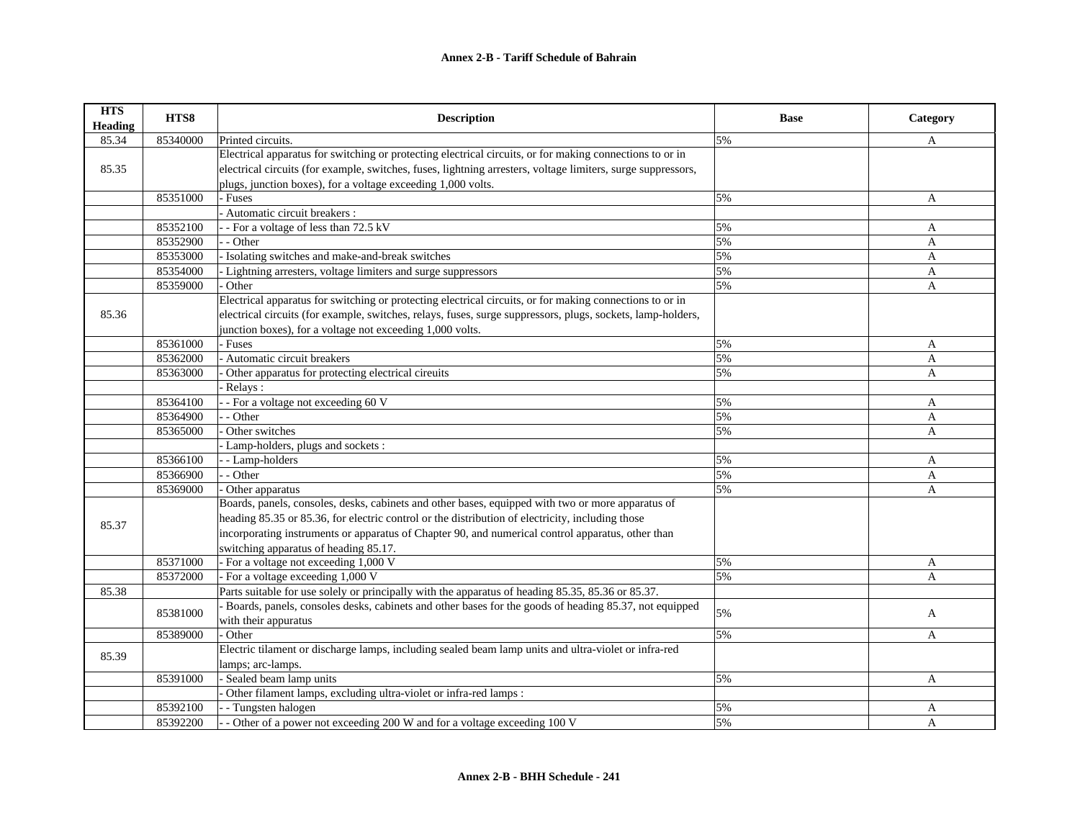| <b>HTS</b><br><b>Heading</b> | HTS8     | <b>Description</b>                                                                                           | <b>Base</b> | Category     |
|------------------------------|----------|--------------------------------------------------------------------------------------------------------------|-------------|--------------|
| 85.34                        | 85340000 | Printed circuits.                                                                                            | 5%          | A            |
|                              |          | Electrical apparatus for switching or protecting electrical circuits, or for making connections to or in     |             |              |
| 85.35                        |          | electrical circuits (for example, switches, fuses, lightning arresters, voltage limiters, surge suppressors, |             |              |
|                              |          | plugs, junction boxes), for a voltage exceeding 1,000 volts.                                                 |             |              |
|                              | 85351000 | Fuses                                                                                                        | 5%          | A            |
|                              |          | Automatic circuit breakers :                                                                                 |             |              |
|                              | 85352100 | - For a voltage of less than 72.5 kV                                                                         | 5%          | A            |
|                              | 85352900 | - Other                                                                                                      | 5%          | A            |
|                              | 85353000 | Isolating switches and make-and-break switches                                                               | 5%          | A            |
|                              | 85354000 | Lightning arresters, voltage limiters and surge suppressors                                                  | 5%          | A            |
|                              | 85359000 | Other                                                                                                        | 5%          | A            |
|                              |          | Electrical apparatus for switching or protecting electrical circuits, or for making connections to or in     |             |              |
| 85.36                        |          | electrical circuits (for example, switches, relays, fuses, surge suppressors, plugs, sockets, lamp-holders,  |             |              |
|                              |          | junction boxes), for a voltage not exceeding 1,000 volts.                                                    |             |              |
|                              | 85361000 | - Fuses                                                                                                      | 5%          | A            |
|                              | 85362000 | Automatic circuit breakers                                                                                   | 5%          | A            |
|                              | 85363000 | Other apparatus for protecting electrical cireuits                                                           | 5%          | A            |
|                              |          | Relays:                                                                                                      |             |              |
|                              | 85364100 | - For a voltage not exceeding 60 V                                                                           | 5%          | A            |
|                              | 85364900 | - Other                                                                                                      | 5%          | A            |
|                              | 85365000 | Other switches                                                                                               | 5%          | A            |
|                              |          | Lamp-holders, plugs and sockets:                                                                             |             |              |
|                              | 85366100 | - Lamp-holders                                                                                               | 5%          | A            |
|                              | 85366900 | - Other                                                                                                      | 5%          | A            |
|                              | 85369000 | Other apparatus                                                                                              | 5%          | A            |
|                              |          | Boards, panels, consoles, desks, cabinets and other bases, equipped with two or more apparatus of            |             |              |
| 85.37                        |          | heading 85.35 or 85.36, for electric control or the distribution of electricity, including those             |             |              |
|                              |          | incorporating instruments or apparatus of Chapter 90, and numerical control apparatus, other than            |             |              |
|                              |          | switching apparatus of heading 85.17.                                                                        |             |              |
|                              | 85371000 | - For a voltage not exceeding 1,000 V                                                                        | 5%          | A            |
|                              | 85372000 | - For a voltage exceeding 1,000 V                                                                            | 5%          | A            |
| 85.38                        |          | Parts suitable for use solely or principally with the apparatus of heading 85.35, 85.36 or 85.37.            |             |              |
|                              | 85381000 | Boards, panels, consoles desks, cabinets and other bases for the goods of heading 85.37, not equipped        | 5%          | $\mathbf{A}$ |
|                              |          | with their appuratus                                                                                         |             |              |
|                              | 85389000 | Other                                                                                                        | 5%          | A            |
| 85.39                        |          | Electric tilament or discharge lamps, including sealed beam lamp units and ultra-violet or infra-red         |             |              |
|                              |          | lamps; arc-lamps.                                                                                            |             |              |
|                              | 85391000 | Sealed beam lamp units                                                                                       | 5%          | $\mathbf{A}$ |
|                              |          | Other filament lamps, excluding ultra-violet or infra-red lamps :                                            |             |              |
|                              | 85392100 | - Tungsten halogen                                                                                           | 5%          | A            |
|                              | 85392200 | - Other of a power not exceeding 200 W and for a voltage exceeding 100 V                                     | 5%          | A            |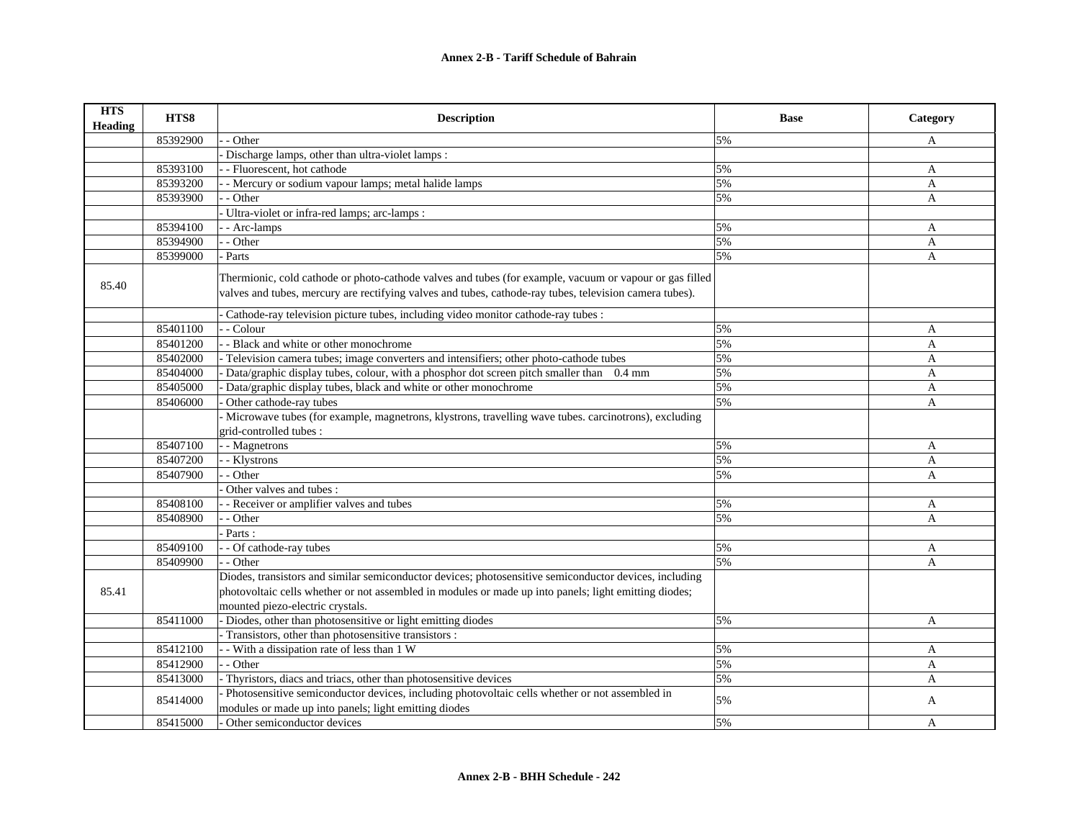| <b>HTS</b><br><b>Heading</b> | HTS8     | <b>Description</b>                                                                                                                                                                                                 | <b>Base</b> | Category     |
|------------------------------|----------|--------------------------------------------------------------------------------------------------------------------------------------------------------------------------------------------------------------------|-------------|--------------|
|                              | 85392900 | - Other                                                                                                                                                                                                            | 5%          | A            |
|                              |          | Discharge lamps, other than ultra-violet lamps :                                                                                                                                                                   |             |              |
|                              | 85393100 | - Fluorescent, hot cathode                                                                                                                                                                                         | 5%          | A            |
|                              | 85393200 | - Mercury or sodium vapour lamps; metal halide lamps                                                                                                                                                               | 5%          | $\mathbf{A}$ |
|                              | 85393900 | - Other                                                                                                                                                                                                            | 5%          | A            |
|                              |          | Ultra-violet or infra-red lamps; arc-lamps :                                                                                                                                                                       |             |              |
|                              | 85394100 | - Arc-lamps                                                                                                                                                                                                        | 5%          | A            |
|                              | 85394900 | - Other                                                                                                                                                                                                            | 5%          | A            |
|                              | 85399000 | Parts                                                                                                                                                                                                              | 5%          | A            |
| 85.40                        |          | Thermionic, cold cathode or photo-cathode valves and tubes (for example, vacuum or vapour or gas filled<br>valves and tubes, mercury are rectifying valves and tubes, cathode-ray tubes, television camera tubes). |             |              |
|                              |          | Cathode-ray television picture tubes, including video monitor cathode-ray tubes :                                                                                                                                  |             |              |
|                              | 85401100 | - Colour                                                                                                                                                                                                           | 5%          | A            |
|                              | 85401200 | - Black and white or other monochrome                                                                                                                                                                              | 5%          | A            |
|                              | 85402000 | Television camera tubes; image converters and intensifiers; other photo-cathode tubes                                                                                                                              | 5%          | A            |
|                              | 85404000 | Data/graphic display tubes, colour, with a phosphor dot screen pitch smaller than 0.4 mm                                                                                                                           | 5%          | A            |
|                              | 85405000 | Data/graphic display tubes, black and white or other monochrome                                                                                                                                                    | 5%          | $\mathbf{A}$ |
|                              | 85406000 | Other cathode-ray tubes                                                                                                                                                                                            | 5%          | A            |
|                              |          | - Microwave tubes (for example, magnetrons, klystrons, travelling wave tubes. carcinotrons), excluding<br>grid-controlled tubes:                                                                                   |             |              |
|                              | 85407100 | - Magnetrons                                                                                                                                                                                                       | 5%          | A            |
|                              | 85407200 | - Klystrons                                                                                                                                                                                                        | 5%          | $\mathbf{A}$ |
|                              | 85407900 | - Other                                                                                                                                                                                                            | 5%          | A            |
|                              |          | Other valves and tubes:                                                                                                                                                                                            |             |              |
|                              | 85408100 | - Receiver or amplifier valves and tubes                                                                                                                                                                           | 5%          | A            |
|                              | 85408900 | - Other                                                                                                                                                                                                            | 5%          | A            |
|                              |          | Parts:                                                                                                                                                                                                             |             |              |
|                              | 85409100 | - Of cathode-ray tubes                                                                                                                                                                                             | 5%          | A            |
|                              | 85409900 | $-$ Other                                                                                                                                                                                                          | 5%          | A            |
|                              |          | Diodes, transistors and similar semiconductor devices; photosensitive semiconductor devices, including                                                                                                             |             |              |
| 85.41                        |          | photovoltaic cells whether or not assembled in modules or made up into panels; light emitting diodes;                                                                                                              |             |              |
|                              |          | mounted piezo-electric crystals.                                                                                                                                                                                   |             |              |
|                              | 85411000 | - Diodes, other than photosensitive or light emitting diodes                                                                                                                                                       | 5%          | A            |
|                              |          | Transistors, other than photosensitive transistors :                                                                                                                                                               |             |              |
|                              | 85412100 | - With a dissipation rate of less than 1 W                                                                                                                                                                         | 5%          | A            |
|                              | 85412900 | - Other                                                                                                                                                                                                            | 5%          | A            |
|                              | 85413000 | Thyristors, diacs and triacs, other than photosensitive devices                                                                                                                                                    | 5%          | $\mathbf{A}$ |
|                              |          | Photosensitive semiconductor devices, including photovoltaic cells whether or not assembled in                                                                                                                     |             |              |
|                              | 85414000 | modules or made up into panels; light emitting diodes                                                                                                                                                              | 5%          | A            |
|                              | 85415000 | Other semiconductor devices                                                                                                                                                                                        | 5%          | A            |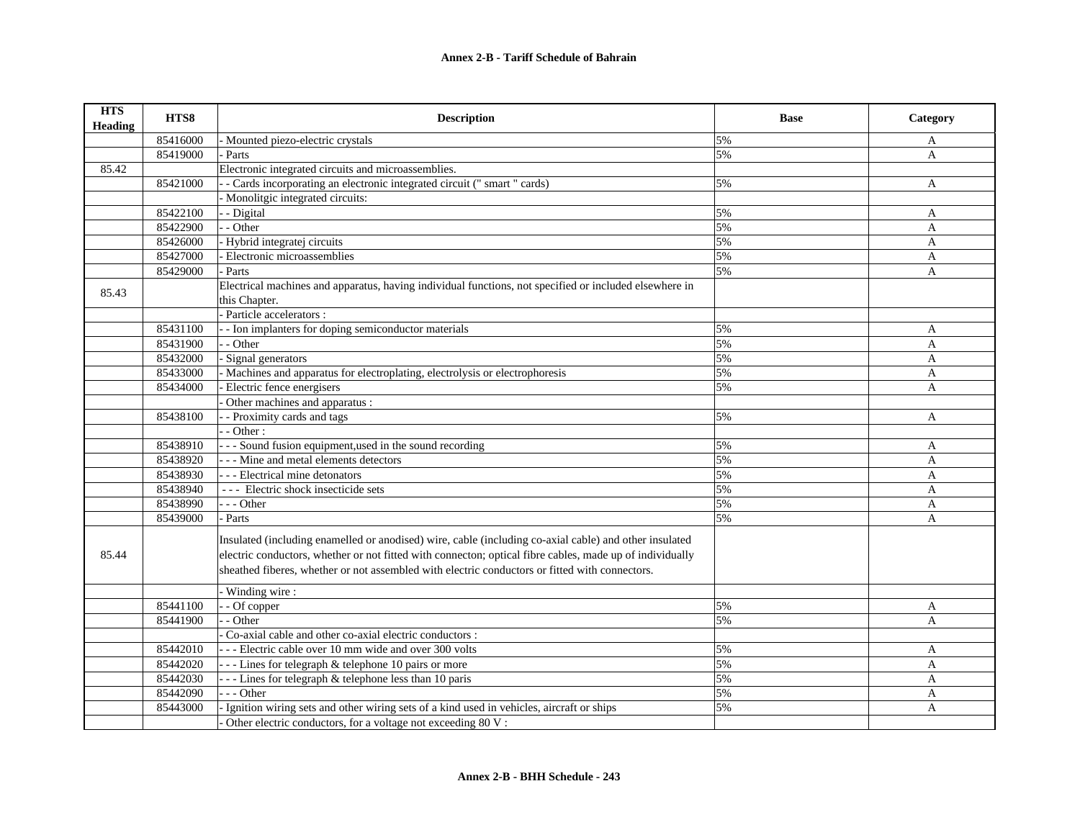| <b>HTS</b><br><b>Heading</b> | HTS8     | <b>Description</b>                                                                                                                                                                                                                                                                                                   | <b>Base</b> | Category     |
|------------------------------|----------|----------------------------------------------------------------------------------------------------------------------------------------------------------------------------------------------------------------------------------------------------------------------------------------------------------------------|-------------|--------------|
|                              | 85416000 | - Mounted piezo-electric crystals                                                                                                                                                                                                                                                                                    | 5%          | A            |
|                              | 85419000 | Parts                                                                                                                                                                                                                                                                                                                | 5%          | A            |
| 85.42                        |          | Electronic integrated circuits and microassemblies.                                                                                                                                                                                                                                                                  |             |              |
|                              | 85421000 | - Cards incorporating an electronic integrated circuit (" smart " cards)                                                                                                                                                                                                                                             | 5%          | A            |
|                              |          | - Monolitgic integrated circuits:                                                                                                                                                                                                                                                                                    |             |              |
|                              | 85422100 | - Digital                                                                                                                                                                                                                                                                                                            | 5%          | A            |
|                              | 85422900 | - - Other                                                                                                                                                                                                                                                                                                            | 5%          | A            |
|                              | 85426000 | Hybrid integratej circuits                                                                                                                                                                                                                                                                                           | 5%          | A            |
|                              | 85427000 | Electronic microassemblies                                                                                                                                                                                                                                                                                           | 5%          | A            |
|                              | 85429000 | - Parts                                                                                                                                                                                                                                                                                                              | 5%          | A            |
| 85.43                        |          | Electrical machines and apparatus, having individual functions, not specified or included elsewhere in                                                                                                                                                                                                               |             |              |
|                              |          | this Chapter.                                                                                                                                                                                                                                                                                                        |             |              |
|                              |          | Particle accelerators :                                                                                                                                                                                                                                                                                              |             |              |
|                              | 85431100 | - Ion implanters for doping semiconductor materials                                                                                                                                                                                                                                                                  | 5%          | A            |
|                              | 85431900 | $-$ Other                                                                                                                                                                                                                                                                                                            | 5%          | $\mathbf{A}$ |
|                              | 85432000 | - Signal generators                                                                                                                                                                                                                                                                                                  | 5%          | A            |
|                              | 85433000 | Machines and apparatus for electroplating, electrolysis or electrophoresis                                                                                                                                                                                                                                           | 5%          | A            |
|                              | 85434000 | Electric fence energisers                                                                                                                                                                                                                                                                                            | 5%          | $\mathbf{A}$ |
|                              |          | Other machines and apparatus :                                                                                                                                                                                                                                                                                       |             |              |
|                              | 85438100 | - Proximity cards and tags                                                                                                                                                                                                                                                                                           | 5%          | A            |
|                              |          | $-$ Other :                                                                                                                                                                                                                                                                                                          |             |              |
|                              | 85438910 | - - - Sound fusion equipment, used in the sound recording                                                                                                                                                                                                                                                            | 5%          | A            |
|                              | 85438920 | - - - Mine and metal elements detectors                                                                                                                                                                                                                                                                              | 5%          | A            |
|                              | 85438930 | - - - Electrical mine detonators                                                                                                                                                                                                                                                                                     | 5%          | A            |
|                              | 85438940 | --- Electric shock insecticide sets                                                                                                                                                                                                                                                                                  | 5%          | A            |
|                              | 85438990 | --- Other                                                                                                                                                                                                                                                                                                            | 5%          | A            |
|                              | 85439000 | Parts                                                                                                                                                                                                                                                                                                                | 5%          | A            |
| 85.44                        |          | Insulated (including enamelled or anodised) wire, cable (including co-axial cable) and other insulated<br>electric conductors, whether or not fitted with connecton; optical fibre cables, made up of individually<br>sheathed fiberes, whether or not assembled with electric conductors or fitted with connectors. |             |              |
|                              |          | Winding wire:                                                                                                                                                                                                                                                                                                        |             |              |
|                              | 85441100 | - Of copper                                                                                                                                                                                                                                                                                                          | 5%          | A            |
|                              | 85441900 | - Other                                                                                                                                                                                                                                                                                                              | 5%          | $\mathbf{A}$ |
|                              |          | Co-axial cable and other co-axial electric conductors :                                                                                                                                                                                                                                                              |             |              |
|                              | 85442010 | - - - Electric cable over 10 mm wide and over 300 volts                                                                                                                                                                                                                                                              | 5%          | A            |
|                              | 85442020 | --- Lines for telegraph & telephone 10 pairs or more                                                                                                                                                                                                                                                                 | 5%          | A            |
|                              | 85442030 | --- Lines for telegraph & telephone less than 10 paris                                                                                                                                                                                                                                                               | 5%          | $\mathbf{A}$ |
|                              | 85442090 | $- -$ Other                                                                                                                                                                                                                                                                                                          | 5%          | A            |
|                              | 85443000 | Ignition wiring sets and other wiring sets of a kind used in vehicles, aircraft or ships                                                                                                                                                                                                                             | 5%          | A            |
|                              |          | Other electric conductors, for a voltage not exceeding 80 V:                                                                                                                                                                                                                                                         |             |              |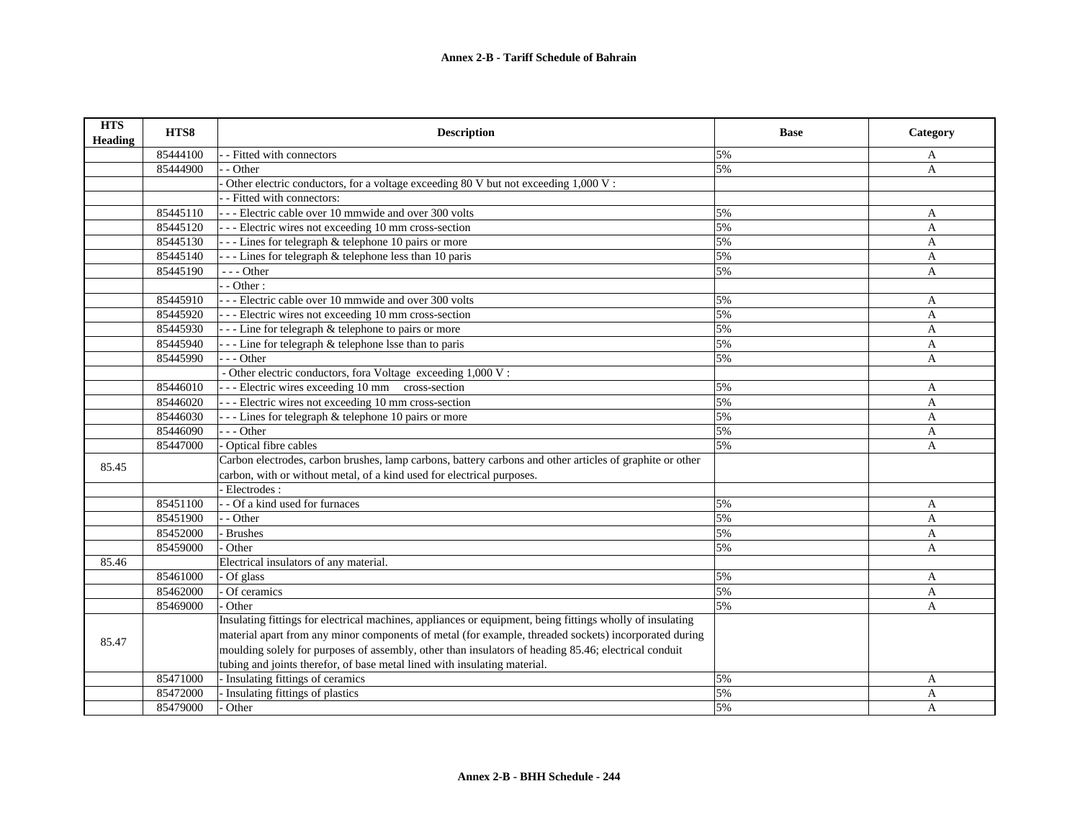| <b>HTS</b><br>Heading | HTS8     | <b>Description</b>                                                                                        | <b>Base</b> | Category       |
|-----------------------|----------|-----------------------------------------------------------------------------------------------------------|-------------|----------------|
|                       | 85444100 | - Fitted with connectors                                                                                  | 5%          | A              |
|                       | 85444900 | - Other                                                                                                   | 5%          | A              |
|                       |          | Other electric conductors, for a voltage exceeding 80 V but not exceeding 1,000 V :                       |             |                |
|                       |          | - Fitted with connectors:                                                                                 |             |                |
|                       | 85445110 | --- Electric cable over 10 mmwide and over 300 volts                                                      | 5%          | A              |
|                       | 85445120 | --- Electric wires not exceeding 10 mm cross-section                                                      | 5%          | A              |
|                       | 85445130 | --- Lines for telegraph & telephone 10 pairs or more                                                      | 5%          | $\overline{A}$ |
|                       | 85445140 | --- Lines for telegraph & telephone less than 10 paris                                                    | 5%          | A              |
|                       | 85445190 | $- -$ Other                                                                                               | 5%          | A              |
|                       |          | $-$ - Other :                                                                                             |             |                |
|                       | 85445910 | - - - Electric cable over 10 mmwide and over 300 volts                                                    | 5%          | A              |
|                       | 85445920 | --- Electric wires not exceeding 10 mm cross-section                                                      | 5%          | A              |
|                       | 85445930 | --- Line for telegraph & telephone to pairs or more                                                       | 5%          | A              |
|                       | 85445940 | --- Line for telegraph & telephone lsse than to paris                                                     | 5%          | A              |
|                       | 85445990 | $-$ - Other                                                                                               | 5%          | A              |
|                       |          | - Other electric conductors, fora Voltage exceeding 1,000 V:                                              |             |                |
|                       | 85446010 | --- Electric wires exceeding 10 mm cross-section                                                          | 5%          | A              |
|                       | 85446020 | --- Electric wires not exceeding 10 mm cross-section                                                      | 5%          | A              |
|                       | 85446030 | --- Lines for telegraph & telephone 10 pairs or more                                                      | 5%          | A              |
|                       | 85446090 | $- -$ Other                                                                                               | 5%          | A              |
|                       | 85447000 | Optical fibre cables                                                                                      | 5%          | A              |
| 85.45                 |          | Carbon electrodes, carbon brushes, lamp carbons, battery carbons and other articles of graphite or other  |             |                |
|                       |          | carbon, with or without metal, of a kind used for electrical purposes.                                    |             |                |
|                       |          | Electrodes:                                                                                               |             |                |
|                       | 85451100 | - Of a kind used for furnaces                                                                             | 5%          | A              |
|                       | 85451900 | - - Other                                                                                                 | 5%          | $\overline{A}$ |
|                       | 85452000 | - Brushes                                                                                                 | 5%          | A              |
|                       | 85459000 | Other                                                                                                     | 5%          | $\mathbf{A}$   |
| 85.46                 |          | Electrical insulators of any material.                                                                    |             |                |
|                       | 85461000 | Of glass                                                                                                  | 5%          | A              |
|                       | 85462000 | Of ceramics                                                                                               | 5%          | A              |
|                       | 85469000 | Other                                                                                                     | 5%          | A              |
|                       |          | Insulating fittings for electrical machines, appliances or equipment, being fittings wholly of insulating |             |                |
| 85.47                 |          | material apart from any minor components of metal (for example, threaded sockets) incorporated during     |             |                |
|                       |          | moulding solely for purposes of assembly, other than insulators of heading 85.46; electrical conduit      |             |                |
|                       |          | tubing and joints therefor, of base metal lined with insulating material.                                 |             |                |
|                       | 85471000 | - Insulating fittings of ceramics                                                                         | 5%          | A              |
|                       | 85472000 | - Insulating fittings of plastics                                                                         | 5%          | A              |
|                       | 85479000 | Other                                                                                                     | 5%          | A              |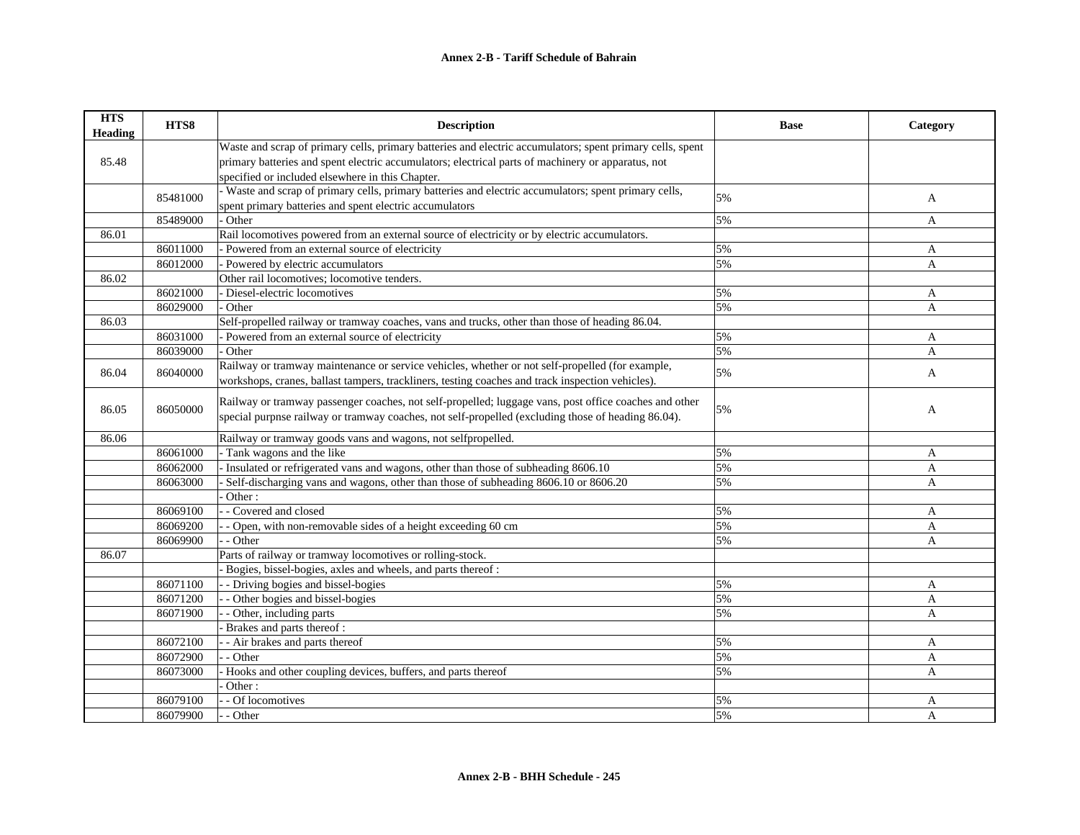| <b>HTS</b><br><b>Heading</b> | HTS8     | <b>Description</b>                                                                                        | <b>Base</b> | Category       |
|------------------------------|----------|-----------------------------------------------------------------------------------------------------------|-------------|----------------|
|                              |          | Waste and scrap of primary cells, primary batteries and electric accumulators; spent primary cells, spent |             |                |
| 85.48                        |          | primary batteries and spent electric accumulators; electrical parts of machinery or apparatus, not        |             |                |
|                              |          | specified or included elsewhere in this Chapter.                                                          |             |                |
|                              | 85481000 | - Waste and scrap of primary cells, primary batteries and electric accumulators; spent primary cells,     | 5%          |                |
|                              |          | spent primary batteries and spent electric accumulators                                                   |             | A              |
|                              | 85489000 | Other                                                                                                     | 5%          | A              |
| 86.01                        |          | Rail locomotives powered from an external source of electricity or by electric accumulators.              |             |                |
|                              | 86011000 | Powered from an external source of electricity                                                            | 5%          | A              |
|                              | 86012000 | Powered by electric accumulators                                                                          | 5%          | A              |
| 86.02                        |          | Other rail locomotives; locomotive tenders.                                                               |             |                |
|                              | 86021000 | Diesel-electric locomotives                                                                               | 5%          | A              |
|                              | 86029000 | Other                                                                                                     | 5%          | $\mathbf{A}$   |
| 86.03                        |          | Self-propelled railway or tramway coaches, vans and trucks, other than those of heading 86.04.            |             |                |
|                              | 86031000 | Powered from an external source of electricity                                                            | 5%          | A              |
|                              | 86039000 | - Other                                                                                                   | 5%          | A              |
| 86.04                        | 86040000 | Railway or tramway maintenance or service vehicles, whether or not self-propelled (for example,           | 5%          |                |
|                              |          | workshops, cranes, ballast tampers, trackliners, testing coaches and track inspection vehicles).          |             | A              |
|                              |          | Railway or tramway passenger coaches, not self-propelled; luggage vans, post office coaches and other     |             |                |
| 86.05                        | 86050000 | special purpnse railway or tramway coaches, not self-propelled (excluding those of heading 86.04).        | 5%          | A              |
|                              |          |                                                                                                           |             |                |
| 86.06                        |          | Railway or tramway goods vans and wagons, not selfpropelled.                                              |             |                |
|                              | 86061000 | Tank wagons and the like                                                                                  | 5%          | A              |
|                              | 86062000 | Insulated or refrigerated vans and wagons, other than those of subheading 8606.10                         | 5%          | $\overline{A}$ |
|                              | 86063000 | Self-discharging vans and wagons, other than those of subheading 8606.10 or 8606.20                       | 5%          | A              |
|                              |          | Other:                                                                                                    |             |                |
|                              | 86069100 | - Covered and closed                                                                                      | 5%          | A              |
|                              | 86069200 | - Open, with non-removable sides of a height exceeding 60 cm                                              | 5%          | A              |
|                              | 86069900 | - Other                                                                                                   | 5%          | A              |
| 86.07                        |          | Parts of railway or tramway locomotives or rolling-stock.                                                 |             |                |
|                              |          | Bogies, bissel-bogies, axles and wheels, and parts thereof:                                               |             |                |
|                              | 86071100 | - Driving bogies and bissel-bogies                                                                        | 5%          | A              |
|                              | 86071200 | - Other bogies and bissel-bogies                                                                          | 5%          | $\overline{A}$ |
|                              | 86071900 | - Other, including parts                                                                                  | 5%          | A              |
|                              |          | Brakes and parts thereof:                                                                                 |             |                |
|                              | 86072100 | - Air brakes and parts thereof                                                                            | 5%          | A              |
|                              | 86072900 | $-$ Other                                                                                                 | 5%          | A              |
|                              | 86073000 | Hooks and other coupling devices, buffers, and parts thereof                                              | 5%          | A              |
|                              |          | Other:                                                                                                    |             |                |
|                              | 86079100 | - Of locomotives                                                                                          | 5%          | A              |
|                              | 86079900 | - Other                                                                                                   | 5%          | A              |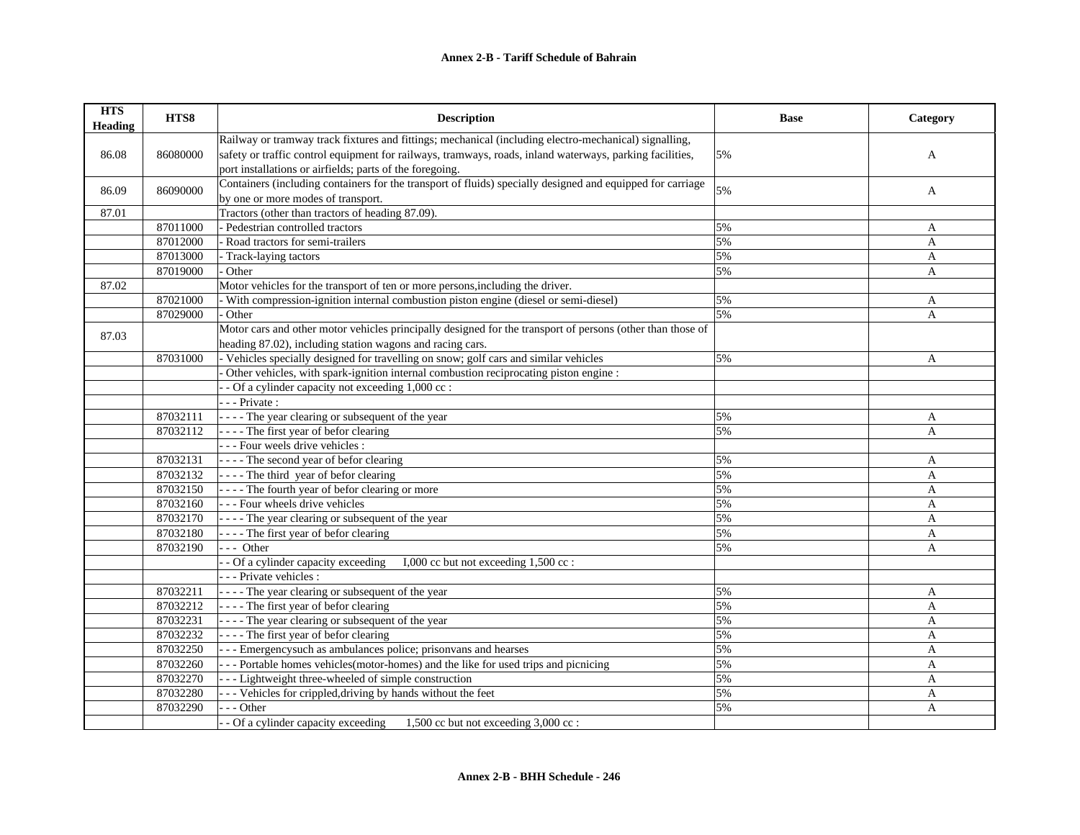| <b>HTS</b><br><b>Heading</b> | HTS8     | <b>Description</b>                                                                                         | <b>Base</b> | Category       |
|------------------------------|----------|------------------------------------------------------------------------------------------------------------|-------------|----------------|
|                              |          | Railway or tramway track fixtures and fittings; mechanical (including electro-mechanical) signalling,      |             |                |
| 86.08                        | 86080000 | safety or traffic control equipment for railways, tramways, roads, inland waterways, parking facilities,   | 5%          | A              |
|                              |          | port installations or airfields; parts of the foregoing.                                                   |             |                |
| 86.09                        | 86090000 | Containers (including containers for the transport of fluids) specially designed and equipped for carriage | 5%          | A              |
|                              |          | by one or more modes of transport.                                                                         |             |                |
| 87.01                        |          | Tractors (other than tractors of heading 87.09).                                                           |             |                |
|                              | 87011000 | - Pedestrian controlled tractors                                                                           | 5%          | A              |
|                              | 87012000 | Road tractors for semi-trailers                                                                            | 5%          | A              |
|                              | 87013000 | - Track-laying tactors                                                                                     | 5%          | A              |
|                              | 87019000 | Other                                                                                                      | 5%          | A              |
| 87.02                        |          | Motor vehicles for the transport of ten or more persons, including the driver.                             |             |                |
|                              | 87021000 | - With compression-ignition internal combustion piston engine (diesel or semi-diesel)                      | 5%          | A              |
|                              | 87029000 | Other                                                                                                      | 5%          | A              |
| 87.03                        |          | Motor cars and other motor vehicles principally designed for the transport of persons (other than those of |             |                |
|                              |          | heading 87.02), including station wagons and racing cars.                                                  |             |                |
|                              | 87031000 | - Vehicles specially designed for travelling on snow; golf cars and similar vehicles                       | 5%          | A              |
|                              |          | Other vehicles, with spark-ignition internal combustion reciprocating piston engine :                      |             |                |
|                              |          | - Of a cylinder capacity not exceeding 1,000 cc :                                                          |             |                |
|                              |          | $- -$ Private :                                                                                            |             |                |
|                              | 87032111 | $\vert$ - - - The year clearing or subsequent of the year                                                  | 5%          | A              |
|                              | 87032112 | - - - - The first year of befor clearing                                                                   | 5%          | $\overline{A}$ |
|                              |          | --- Four weels drive vehicles :                                                                            |             |                |
|                              | 87032131 | $\vert$ - - - The second year of befor clearing                                                            | 5%          | A              |
|                              | 87032132 | ---- The third year of befor clearing                                                                      | 5%          | A              |
|                              | 87032150 | $\vert$ - - - The fourth year of befor clearing or more                                                    | 5%          | A              |
|                              | 87032160 | --- Four wheels drive vehicles                                                                             | 5%          | $\overline{A}$ |
|                              | 87032170 | ---- The year clearing or subsequent of the year                                                           | 5%          | A              |
|                              | 87032180 | ---- The first year of befor clearing                                                                      | 5%          | A              |
|                              | 87032190 | $--$ Other                                                                                                 | 5%          | A              |
|                              |          | - - Of a cylinder capacity exceeding<br>I,000 cc but not exceeding 1,500 cc :                              |             |                |
|                              |          | - - - Private vehicles :                                                                                   |             |                |
|                              | 87032211 | - - - - The year clearing or subsequent of the year                                                        | 5%          | A              |
|                              | 87032212 | ---- The first year of befor clearing                                                                      | 5%          | A              |
|                              | 87032231 | $\left  \frac{1}{2} \right $ - - - The year clearing or subsequent of the year                             | 5%          | $\overline{A}$ |
|                              | 87032232 | - - - - The first year of befor clearing                                                                   | 5%          | A              |
|                              | 87032250 | --- Emergency such as ambulances police; prison vans and hearses                                           | 5%          | A              |
|                              | 87032260 | --- Portable homes vehicles (motor-homes) and the like for used trips and picnicing                        | 5%          | A              |
|                              | 87032270 | --- Lightweight three-wheeled of simple construction                                                       | 5%          | A              |
|                              | 87032280 | - - - Vehicles for crippled, driving by hands without the feet                                             | 5%          | A              |
|                              | 87032290 | - - Other                                                                                                  | 5%          | A              |
|                              |          | - Of a cylinder capacity exceeding<br>1,500 cc but not exceeding $3,000$ cc :                              |             |                |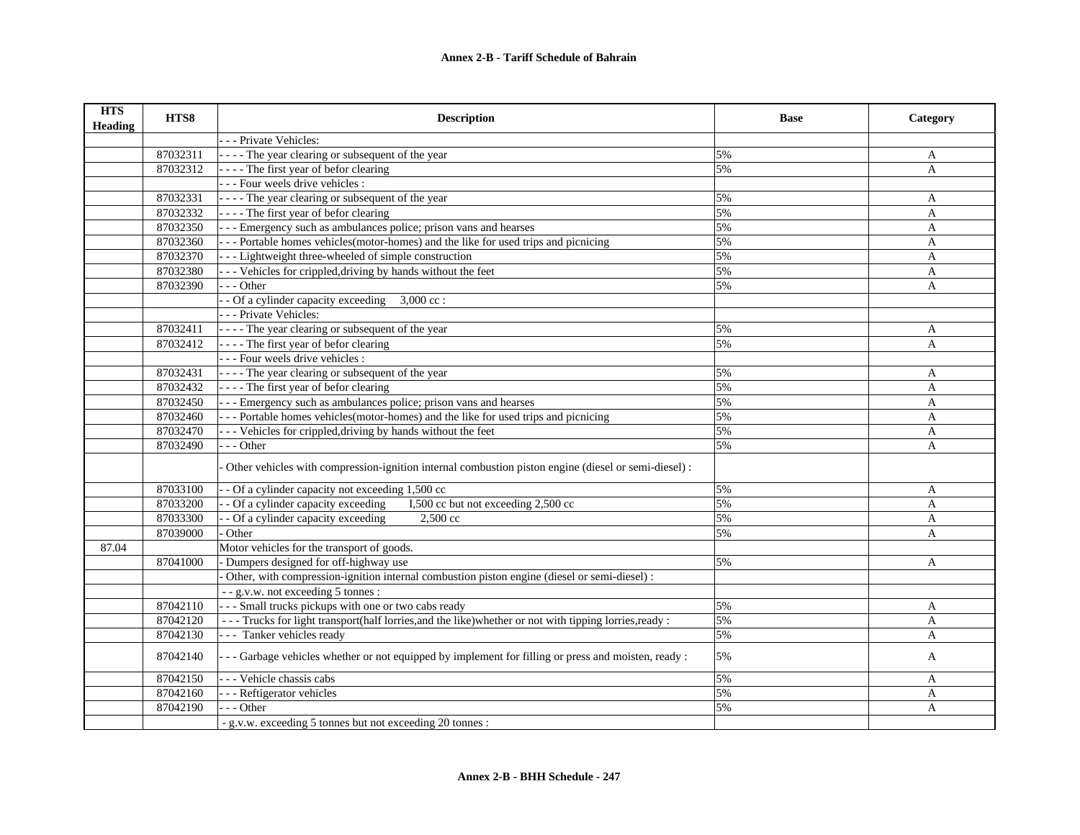| <b>HTS</b><br>Heading | HTS8     | <b>Description</b>                                                                                        | <b>Base</b> | Category     |
|-----------------------|----------|-----------------------------------------------------------------------------------------------------------|-------------|--------------|
|                       |          | - - - Private Vehicles:                                                                                   |             |              |
|                       | 87032311 | - - - - The year clearing or subsequent of the year                                                       | 5%          | A            |
|                       | 87032312 | - - - - The first year of befor clearing                                                                  | 5%          | $\mathbf{A}$ |
|                       |          | --- Four weels drive vehicles :                                                                           |             |              |
|                       | 87032331 | ---- The year clearing or subsequent of the year                                                          | 5%          | A            |
|                       | 87032332 | - - - - The first year of befor clearing                                                                  | 5%          | $\mathbf{A}$ |
|                       | 87032350 | --- Emergency such as ambulances police; prison vans and hearses                                          | 5%          | A            |
|                       | 87032360 | --- Portable homes vehicles(motor-homes) and the like for used trips and picnicing                        | 5%          | $\mathbf{A}$ |
|                       | 87032370 | --- Lightweight three-wheeled of simple construction                                                      | 5%          | A            |
|                       | 87032380 | - - - Vehicles for crippled, driving by hands without the feet                                            | 5%          | A            |
|                       | 87032390 | $- -$ Other                                                                                               | 5%          | A            |
|                       |          | - Of a cylinder capacity exceeding<br>$3,000$ cc:                                                         |             |              |
|                       |          | - - - Private Vehicles:                                                                                   |             |              |
|                       | 87032411 | - - - - The year clearing or subsequent of the year                                                       | 5%          | A            |
|                       | 87032412 | ---- The first year of befor clearing                                                                     | 5%          | $\mathbf{A}$ |
|                       |          | --- Four weels drive vehicles :                                                                           |             |              |
|                       | 87032431 | - - - - The year clearing or subsequent of the year                                                       | 5%          | A            |
|                       | 87032432 | ---- The first year of befor clearing                                                                     | 5%          | $\mathbf{A}$ |
|                       | 87032450 | --- Emergency such as ambulances police; prison vans and hearses                                          | 5%          | $\mathbf{A}$ |
|                       | 87032460 | --- Portable homes vehicles (motor-homes) and the like for used trips and picnicing                       | 5%          | A            |
|                       | 87032470 | - - - Vehicles for crippled, driving by hands without the feet                                            | 5%          | $\mathbf{A}$ |
|                       | 87032490 | $- -$ Other                                                                                               | 5%          | A            |
|                       |          | Other vehicles with compression-ignition internal combustion piston engine (diesel or semi-diesel) :      |             |              |
|                       | 87033100 | - Of a cylinder capacity not exceeding 1,500 cc                                                           | 5%          | A            |
|                       | 87033200 | - Of a cylinder capacity exceeding<br>I,500 cc but not exceeding 2,500 cc                                 | 5%          | A            |
|                       | 87033300 | - Of a cylinder capacity exceeding<br>2.500 cc                                                            | 5%          | A            |
|                       | 87039000 | Other                                                                                                     | 5%          | A            |
| 87.04                 |          | Motor vehicles for the transport of goods.                                                                |             |              |
|                       | 87041000 | Dumpers designed for off-highway use                                                                      | 5%          | A            |
|                       |          | Other, with compression-ignition internal combustion piston engine (diesel or semi-diesel) :              |             |              |
|                       |          | - - g.v.w. not exceeding 5 tonnes :                                                                       |             |              |
|                       | 87042110 | - - - Small trucks pickups with one or two cabs ready                                                     | 5%          | $\mathbf{A}$ |
|                       | 87042120 | - - - Trucks for light transport(half lorries, and the like) whether or not with tipping lorries, ready : | 5%          | A            |
|                       | 87042130 | --- Tanker vehicles ready                                                                                 | 5%          | A            |
|                       | 87042140 | --- Garbage vehicles whether or not equipped by implement for filling or press and moisten, ready :       | 5%          | A            |
|                       | 87042150 | --- Vehicle chassis cabs                                                                                  | 5%          | A            |
|                       | 87042160 | - - - Reftigerator vehicles                                                                               | 5%          | A            |
|                       | 87042190 | --- Other                                                                                                 | 5%          | A            |
|                       |          | - g.v.w. exceeding 5 tonnes but not exceeding 20 tonnes :                                                 |             |              |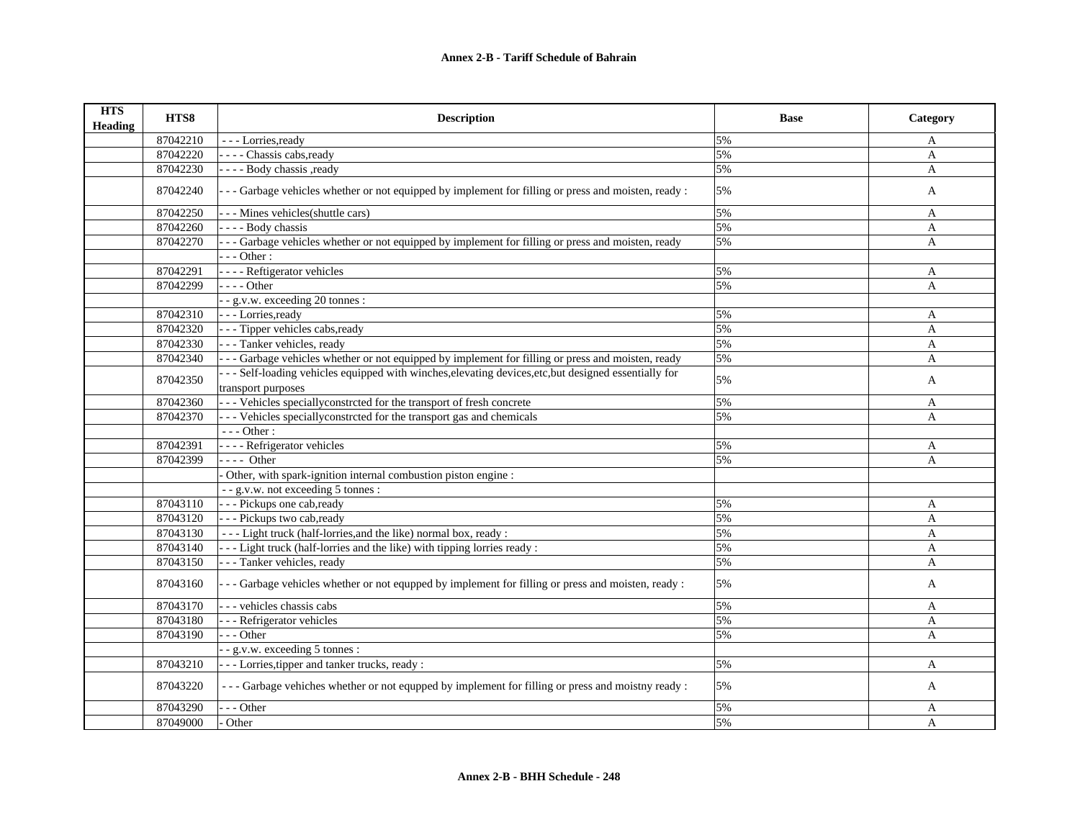| <b>HTS</b><br><b>Heading</b> | HTS8     | <b>Description</b>                                                                                                          | <b>Base</b> | Category     |
|------------------------------|----------|-----------------------------------------------------------------------------------------------------------------------------|-------------|--------------|
|                              | 87042210 | - - - Lorries, ready                                                                                                        | 5%          | A            |
|                              | 87042220 | - - - - Chassis cabs, ready                                                                                                 | 5%          | A            |
|                              | 87042230 | - - - - Body chassis , ready                                                                                                | 5%          | $\mathbf{A}$ |
|                              | 87042240 | - - - Garbage vehicles whether or not equipped by implement for filling or press and moisten, ready :                       | 5%          | A            |
|                              | 87042250 | --- Mines vehicles(shuttle cars)                                                                                            | 5%          | A            |
|                              | 87042260 | ---- Body chassis                                                                                                           | 5%          | A            |
|                              | 87042270 | --- Garbage vehicles whether or not equipped by implement for filling or press and moisten, ready                           | 5%          | A            |
|                              |          | $- -$ Other :                                                                                                               |             |              |
|                              | 87042291 | - - - - Reftigerator vehicles                                                                                               | 5%          | A            |
|                              | 87042299 | $---Other$                                                                                                                  | 5%          | A            |
|                              |          | - - g.v.w. exceeding 20 tonnes :                                                                                            |             |              |
|                              | 87042310 | - - - Lorries, ready                                                                                                        | 5%          | A            |
|                              | 87042320 | --- Tipper vehicles cabs, ready                                                                                             | 5%          | $\mathbf{A}$ |
|                              | 87042330 | --- Tanker vehicles, ready                                                                                                  | 5%          | $\mathbf{A}$ |
|                              | 87042340 | --- Garbage vehicles whether or not equipped by implement for filling or press and moisten, ready                           | 5%          | A            |
|                              | 87042350 | --- Self-loading vehicles equipped with winches, elevating devices, etc, but designed essentially for<br>transport purposes | 5%          | $\mathbf{A}$ |
|                              | 87042360 | --- Vehicles specially constreted for the transport of fresh concrete                                                       | 5%          | A            |
|                              | 87042370 | - - - Vehicles specially constreted for the transport gas and chemicals                                                     | 5%          | A            |
|                              |          | $--$ Other:                                                                                                                 |             |              |
|                              | 87042391 | - - - - Refrigerator vehicles                                                                                               | 5%          | A            |
|                              | 87042399 | $---$ Other                                                                                                                 | 5%          | A            |
|                              |          | Other, with spark-ignition internal combustion piston engine :                                                              |             |              |
|                              |          | - - g.v.w. not exceeding 5 tonnes :                                                                                         |             |              |
|                              | 87043110 | - - - Pickups one cab, ready                                                                                                | 5%          | A            |
|                              | 87043120 | - - - Pickups two cab, ready                                                                                                | 5%          | $\mathbf{A}$ |
|                              | 87043130 | - - - Light truck (half-lorries, and the like) normal box, ready :                                                          | 5%          | A            |
|                              | 87043140 | - - - Light truck (half-lorries and the like) with tipping lorries ready :                                                  | 5%          | $\mathbf{A}$ |
|                              | 87043150 | --- Tanker vehicles, ready                                                                                                  | 5%          | $\mathbf{A}$ |
|                              | 87043160 | - - - Garbage vehicles whether or not equpped by implement for filling or press and moisten, ready :                        | 5%          | A            |
|                              | 87043170 | - - - vehicles chassis cabs                                                                                                 | 5%          | A            |
|                              | 87043180 | - - - Refrigerator vehicles                                                                                                 | 5%          | A            |
|                              | 87043190 | $-$ - Other                                                                                                                 | 5%          | $\mathbf{A}$ |
|                              |          | - - g.v.w. exceeding 5 tonnes :                                                                                             |             |              |
|                              | 87043210 | - - - Lorries, tipper and tanker trucks, ready:                                                                             | 5%          | A            |
|                              | 87043220 | - - - Garbage vehiches whether or not equpped by implement for filling or press and moistny ready :                         | 5%          | A            |
|                              | 87043290 | $-$ - Other                                                                                                                 | 5%          | A            |
|                              | 87049000 | Other                                                                                                                       | 5%          | A            |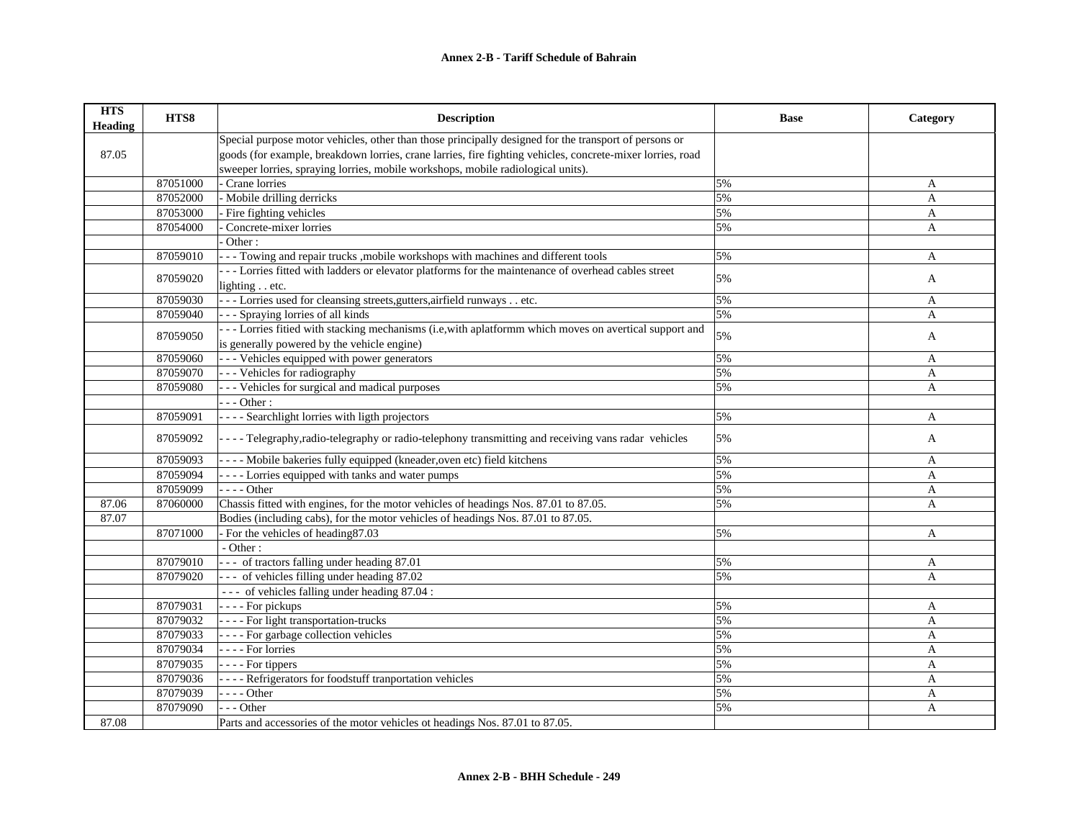| <b>HTS</b><br><b>Heading</b> | HTS8     | <b>Description</b>                                                                                         | <b>Base</b> | Category     |
|------------------------------|----------|------------------------------------------------------------------------------------------------------------|-------------|--------------|
|                              |          | Special purpose motor vehicles, other than those principally designed for the transport of persons or      |             |              |
| 87.05                        |          | goods (for example, breakdown lorries, crane larries, fire fighting vehicles, concrete-mixer lorries, road |             |              |
|                              |          | sweeper lorries, spraying lorries, mobile workshops, mobile radiological units).                           |             |              |
|                              | 87051000 | Crane lorries                                                                                              | 5%          | A            |
|                              | 87052000 | - Mobile drilling derricks                                                                                 | 5%          | A            |
|                              | 87053000 | Fire fighting vehicles                                                                                     | 5%          | A            |
|                              | 87054000 | Concrete-mixer lorries                                                                                     | 5%          | A            |
|                              |          | Other:                                                                                                     |             |              |
|                              | 87059010 | --- Towing and repair trucks , mobile workshops with machines and different tools                          | 5%          | A            |
|                              | 87059020 | --- Lorries fitted with ladders or elevator platforms for the maintenance of overhead cables street        | 5%          | A            |
|                              |          | lighting etc.                                                                                              |             |              |
|                              | 87059030 | --- Lorries used for cleansing streets, gutters, airfield runways etc.                                     | 5%          | A            |
|                              | 87059040 | --- Spraying lorries of all kinds                                                                          | 5%          | A            |
|                              |          | --- Lorries fitied with stacking mechanisms (i.e, with aplatformm which moves on avertical support and     | 5%          |              |
|                              | 87059050 | is generally powered by the vehicle engine)                                                                |             | A            |
|                              | 87059060 | - - - Vehicles equipped with power generators                                                              | 5%          | A            |
|                              | 87059070 | - - - Vehicles for radiography                                                                             | 5%          | A            |
|                              | 87059080 | - - - Vehicles for surgical and madical purposes                                                           | 5%          | $\mathbf{A}$ |
|                              |          | $-- Other:$                                                                                                |             |              |
|                              | 87059091 | - - - - Searchlight lorries with ligth projectors                                                          | 5%          | A            |
|                              | 87059092 | ---- Telegraphy, radio-telegraphy or radio-telephony transmitting and receiving vans radar vehicles        | 5%          | $\mathbf{A}$ |
|                              | 87059093 | ---- Mobile bakeries fully equipped (kneader, oven etc) field kitchens                                     | 5%          | A            |
|                              | 87059094 | - - - - Lorries equipped with tanks and water pumps                                                        | 5%          | A            |
|                              | 87059099 | $---Other$                                                                                                 | 5%          | A            |
| 87.06                        | 87060000 | Chassis fitted with engines, for the motor vehicles of headings Nos. 87.01 to 87.05.                       | 5%          | A            |
| 87.07                        |          | Bodies (including cabs), for the motor vehicles of headings Nos. 87.01 to 87.05.                           |             |              |
|                              | 87071000 | - For the vehicles of heading 87.03                                                                        | 5%          | A            |
|                              |          | - Other:                                                                                                   |             |              |
|                              | 87079010 | --- of tractors falling under heading 87.01                                                                | 5%          | A            |
|                              | 87079020 | --- of vehicles filling under heading 87.02                                                                | 5%          | A            |
|                              |          | --- of vehicles falling under heading 87.04 :                                                              |             |              |
|                              | 87079031 | - - - - For pickups                                                                                        | 5%          | A            |
|                              | 87079032 | - - - - For light transportation-trucks                                                                    | 5%          | $\mathbf{A}$ |
|                              | 87079033 | ---- For garbage collection vehicles                                                                       | 5%          | $\mathbf{A}$ |
|                              | 87079034 | - - - - For lorries                                                                                        | 5%          | A            |
|                              | 87079035 | - - - - For tippers                                                                                        | 5%          | A            |
|                              | 87079036 | - - - - Refrigerators for foodstuff tranportation vehicles                                                 | 5%          | $\mathbf{A}$ |
|                              | 87079039 | $- - -$ Other                                                                                              | 5%          | A            |
|                              | 87079090 | $-$ - Other                                                                                                | 5%          | A            |
| 87.08                        |          | Parts and accessories of the motor vehicles ot headings Nos. 87.01 to 87.05.                               |             |              |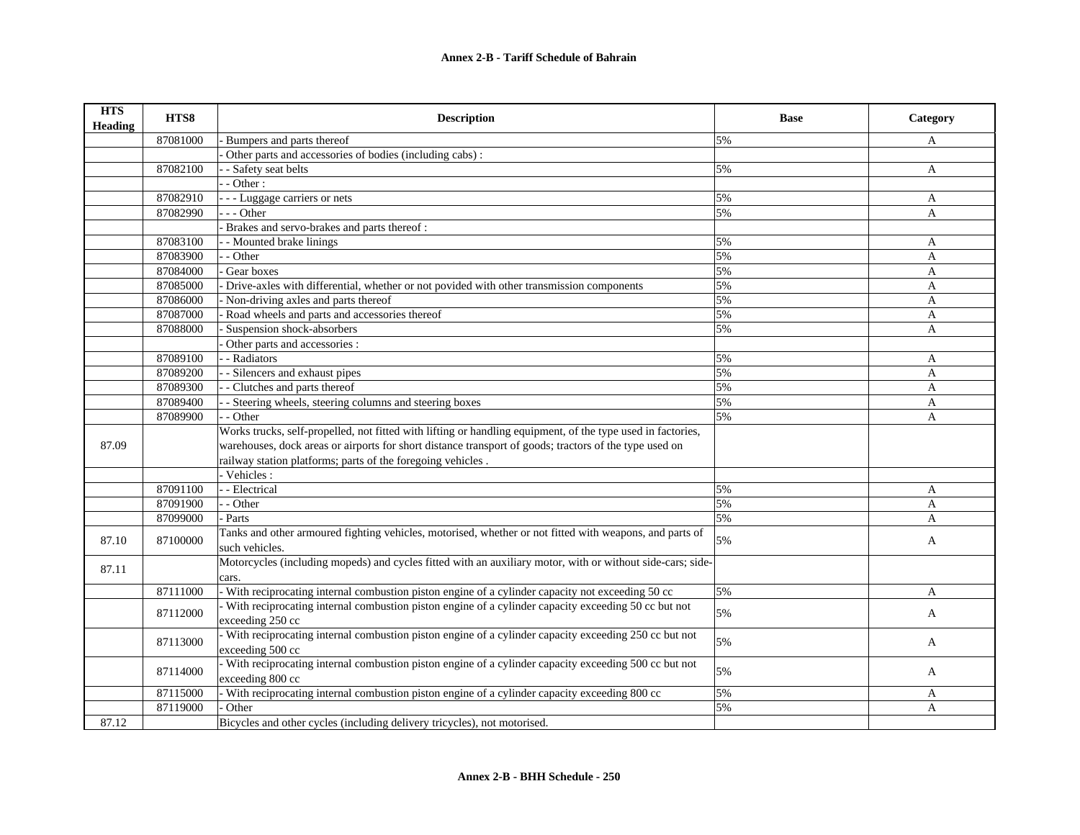| <b>HTS</b><br><b>Heading</b> | HTS8     | <b>Description</b>                                                                                          | <b>Base</b> | Category     |
|------------------------------|----------|-------------------------------------------------------------------------------------------------------------|-------------|--------------|
|                              | 87081000 | Bumpers and parts thereof                                                                                   | 5%          | A            |
|                              |          | Other parts and accessories of bodies (including cabs):                                                     |             |              |
|                              | 87082100 | - Safety seat belts                                                                                         | 5%          | A            |
|                              |          | $-$ Other :                                                                                                 |             |              |
|                              | 87082910 | - - - Luggage carriers or nets                                                                              | 5%          | A            |
|                              | 87082990 | $-$ - Other                                                                                                 | 5%          | A            |
|                              |          | Brakes and servo-brakes and parts thereof:                                                                  |             |              |
|                              | 87083100 | - Mounted brake linings                                                                                     | 5%          | A            |
|                              | 87083900 | - Other                                                                                                     | 5%          | A            |
|                              | 87084000 | Gear boxes                                                                                                  | 5%          | A            |
|                              | 87085000 | Drive-axles with differential, whether or not povided with other transmission components                    | 5%          | A            |
|                              | 87086000 | Non-driving axles and parts thereof                                                                         | 5%          | A            |
|                              | 87087000 | Road wheels and parts and accessories thereof                                                               | 5%          | A            |
|                              | 87088000 | Suspension shock-absorbers                                                                                  | 5%          | A            |
|                              |          | Other parts and accessories :                                                                               |             |              |
|                              | 87089100 | - Radiators                                                                                                 | 5%          | A            |
|                              | 87089200 | - Silencers and exhaust pipes                                                                               | 5%          | A            |
|                              | 87089300 | - Clutches and parts thereof                                                                                | 5%          | $\mathbf{A}$ |
|                              | 87089400 | - Steering wheels, steering columns and steering boxes                                                      | 5%          | $\mathbf{A}$ |
|                              | 87089900 | - Other                                                                                                     | 5%          | A            |
|                              |          | Works trucks, self-propelled, not fitted with lifting or handling equipment, of the type used in factories, |             |              |
| 87.09                        |          | warehouses, dock areas or airports for short distance transport of goods; tractors of the type used on      |             |              |
|                              |          | railway station platforms; parts of the foregoing vehicles.                                                 |             |              |
|                              |          | - Vehicles :                                                                                                |             |              |
|                              | 87091100 | - - Electrical                                                                                              | 5%          | A            |
|                              | 87091900 | - - Other                                                                                                   | 5%          | $\mathbf{A}$ |
|                              | 87099000 | Parts                                                                                                       | 5%          | A            |
|                              | 87100000 | Tanks and other armoured fighting vehicles, motorised, whether or not fitted with weapons, and parts of     | 5%          |              |
| 87.10                        |          | such vehicles.                                                                                              |             | A            |
| 87.11                        |          | Motorcycles (including mopeds) and cycles fitted with an auxiliary motor, with or without side-cars; side-  |             |              |
|                              |          | cars.                                                                                                       |             |              |
|                              | 87111000 | - With reciprocating internal combustion piston engine of a cylinder capacity not exceeding 50 cc           | 5%          | A            |
|                              | 87112000 | With reciprocating internal combustion piston engine of a cylinder capacity exceeding 50 cc but not         | 5%          | A            |
|                              |          | exceeding 250 cc                                                                                            |             |              |
|                              | 87113000 | - With reciprocating internal combustion piston engine of a cylinder capacity exceeding 250 cc but not      | 5%          | A            |
|                              |          | exceeding 500 cc                                                                                            |             |              |
|                              | 87114000 | - With reciprocating internal combustion piston engine of a cylinder capacity exceeding 500 cc but not      | 5%          |              |
|                              |          | exceeding 800 cc                                                                                            |             | A            |
|                              | 87115000 | - With reciprocating internal combustion piston engine of a cylinder capacity exceeding 800 cc              | 5%          | A            |
|                              | 87119000 | Other                                                                                                       | 5%          | A            |
| 87.12                        |          | Bicycles and other cycles (including delivery tricycles), not motorised.                                    |             |              |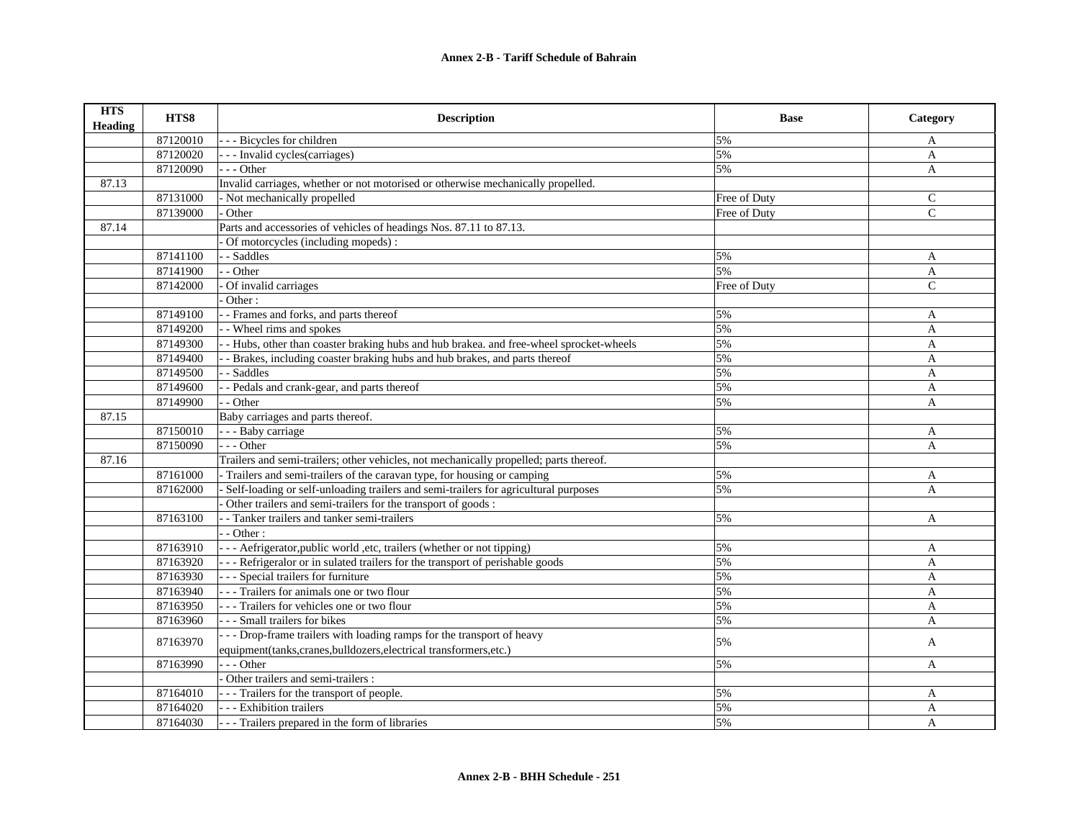| <b>HTS</b><br><b>Heading</b> | HTS8     | <b>Description</b>                                                                     | <b>Base</b>  | Category     |
|------------------------------|----------|----------------------------------------------------------------------------------------|--------------|--------------|
|                              | 87120010 | --- Bicycles for children                                                              | 5%           | A            |
|                              | 87120020 | - - - Invalid cycles(carriages)                                                        | 5%           | A            |
|                              | 87120090 | --- Other                                                                              | 5%           | $\mathbf{A}$ |
| 87.13                        |          | Invalid carriages, whether or not motorised or otherwise mechanically propelled.       |              |              |
|                              | 87131000 | - Not mechanically propelled                                                           | Free of Duty | C            |
|                              | 87139000 | Other                                                                                  | Free of Duty | $\mathsf{C}$ |
| 87.14                        |          | Parts and accessories of vehicles of headings Nos. 87.11 to 87.13.                     |              |              |
|                              |          | Of motorcycles (including mopeds):                                                     |              |              |
|                              | 87141100 | - Saddles                                                                              | 5%           | A            |
|                              | 87141900 | - - Other                                                                              | 5%           | A            |
|                              | 87142000 | Of invalid carriages                                                                   | Free of Duty | $\mathbf{C}$ |
|                              |          | Other:                                                                                 |              |              |
|                              | 87149100 | - - Frames and forks, and parts thereof                                                | 5%           | A            |
|                              | 87149200 | - Wheel rims and spokes                                                                | 5%           | A            |
|                              | 87149300 | - Hubs, other than coaster braking hubs and hub brakea. and free-wheel sprocket-wheels | 5%           | A            |
|                              | 87149400 | - Brakes, including coaster braking hubs and hub brakes, and parts thereof             | 5%           | A            |
|                              | 87149500 | - - Saddles                                                                            | 5%           | A            |
|                              | 87149600 | - Pedals and crank-gear, and parts thereof                                             | 5%           | $\mathbf{A}$ |
|                              | 87149900 | - - Other                                                                              | 5%           | A            |
| 87.15                        |          | Baby carriages and parts thereof.                                                      |              |              |
|                              | 87150010 | - - - Baby carriage                                                                    | 5%           | A            |
|                              | 87150090 | --- Other                                                                              | 5%           | $\mathbf{A}$ |
| 87.16                        |          | Trailers and semi-trailers; other vehicles, not mechanically propelled; parts thereof. |              |              |
|                              | 87161000 | - Trailers and semi-trailers of the caravan type, for housing or camping               | 5%           | A            |
|                              | 87162000 | Self-loading or self-unloading trailers and semi-trailers for agricultural purposes    | 5%           | A            |
|                              |          | Other trailers and semi-trailers for the transport of goods :                          |              |              |
|                              | 87163100 | - Tanker trailers and tanker semi-trailers                                             | 5%           | A            |
|                              |          | $-$ Other :                                                                            |              |              |
|                              | 87163910 | - - - Aefrigerator, public world, etc, trailers (whether or not tipping)               | 5%           | A            |
|                              | 87163920 | --- Refrigeralor or in sulated trailers for the transport of perishable goods          | 5%           | A            |
|                              | 87163930 | - - - Special trailers for furniture                                                   | 5%           | A            |
|                              | 87163940 | - - - Trailers for animals one or two flour                                            | 5%           | A            |
|                              | 87163950 | - - - Trailers for vehicles one or two flour                                           | 5%           | A            |
|                              | 87163960 | --- Small trailers for bikes                                                           | 5%           | A            |
|                              | 87163970 | - - - Drop-frame trailers with loading ramps for the transport of heavy                | 5%           |              |
|                              |          | equipment(tanks, cranes, bulldozers, electrical transformers, etc.)                    |              | A            |
|                              | 87163990 | $-- Other$                                                                             | 5%           | A            |
|                              |          | Other trailers and semi-trailers :                                                     |              |              |
|                              | 87164010 | --- Trailers for the transport of people.                                              | 5%           | A            |
|                              | 87164020 | - - - Exhibition trailers                                                              | 5%           | A            |
|                              | 87164030 | - - - Trailers prepared in the form of libraries                                       | 5%           | $\mathbf{A}$ |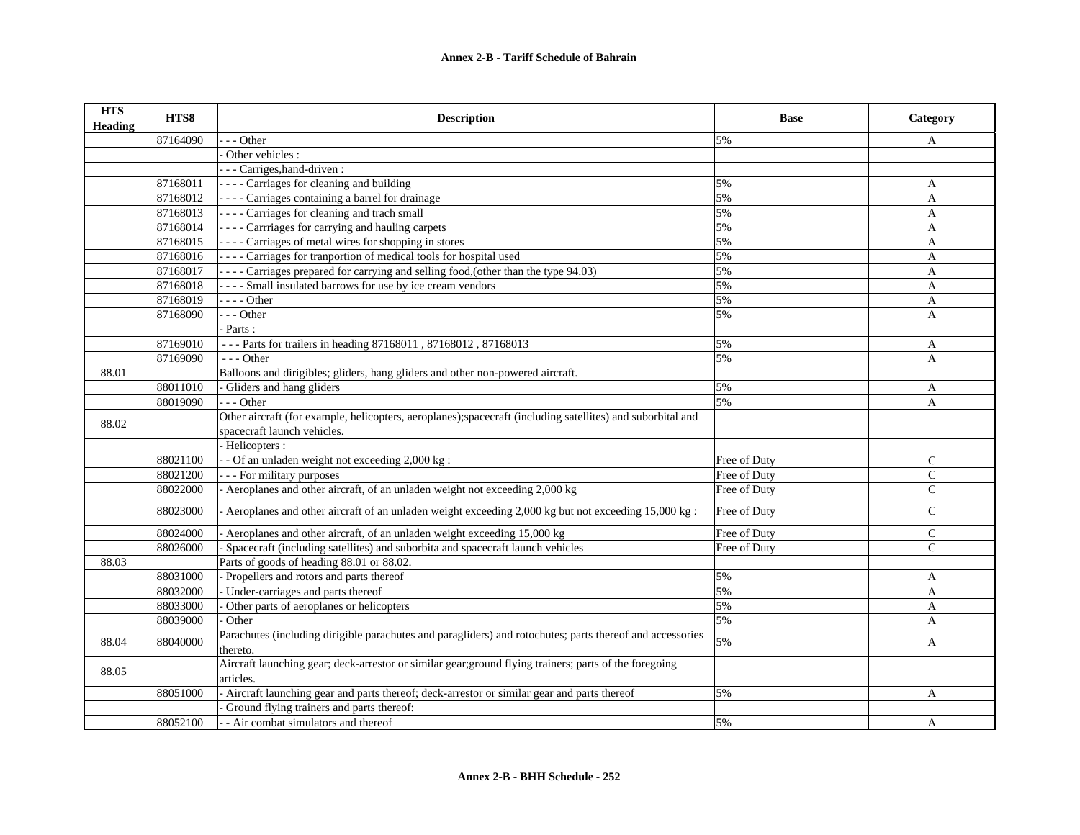| <b>HTS</b><br><b>Heading</b> | HTS8     | <b>Description</b>                                                                                         | <b>Base</b>  | Category      |
|------------------------------|----------|------------------------------------------------------------------------------------------------------------|--------------|---------------|
|                              | 87164090 | - - Other                                                                                                  | 5%           | A             |
|                              |          | Other vehicles :                                                                                           |              |               |
|                              |          | - - Carriges, hand-driven :                                                                                |              |               |
|                              | 87168011 | - - - - Carriages for cleaning and building                                                                | 5%           | A             |
|                              | 87168012 | ---- Carriages containing a barrel for drainage                                                            | 5%           | A             |
|                              | 87168013 | - - - - Carriages for cleaning and trach small                                                             | 5%           | A             |
|                              | 87168014 | - - - - Carrriages for carrying and hauling carpets                                                        | 5%           | A             |
|                              | 87168015 | ---- Carriages of metal wires for shopping in stores                                                       | 5%           | $\mathbf{A}$  |
|                              | 87168016 | - - - - Carriages for tranportion of medical tools for hospital used                                       | 5%           | A             |
|                              | 87168017 | ---- Carriages prepared for carrying and selling food, (other than the type 94.03)                         | 5%           | A             |
|                              | 87168018 | ---- Small insulated barrows for use by ice cream vendors                                                  | 5%           | A             |
|                              | 87168019 | $- - -$ Other                                                                                              | 5%           | A             |
|                              | 87168090 | $- -$ Other                                                                                                | 5%           | A             |
|                              |          | Parts:                                                                                                     |              |               |
|                              | 87169010 | --- Parts for trailers in heading 87168011, 87168012, 87168013                                             | 5%           | A             |
|                              | 87169090 | $--$ Other                                                                                                 | 5%           | A             |
| 88.01                        |          | Balloons and dirigibles; gliders, hang gliders and other non-powered aircraft.                             |              |               |
|                              | 88011010 | Gliders and hang gliders                                                                                   | 5%           | $\mathbf{A}$  |
|                              | 88019090 | $- -$ Other                                                                                                | 5%           | A             |
| 88.02                        |          | Other aircraft (for example, helicopters, aeroplanes);spacecraft (including satellites) and suborbital and |              |               |
|                              |          | spacecraft launch vehicles.                                                                                |              |               |
|                              |          | Helicopters :                                                                                              |              |               |
|                              | 88021100 | - Of an unladen weight not exceeding 2,000 kg :                                                            | Free of Duty | $\mathbf C$   |
|                              | 88021200 | - - - For military purposes                                                                                | Free of Duty | $\mathsf{C}$  |
|                              | 88022000 | Aeroplanes and other aircraft, of an unladen weight not exceeding 2,000 kg                                 | Free of Duty | $\mathcal{C}$ |
|                              | 88023000 | - Aeroplanes and other aircraft of an unladen weight exceeding $2,000$ kg but not exceeding $15,000$ kg:   | Free of Duty | $\mathsf{C}$  |
|                              | 88024000 | Aeroplanes and other aircraft, of an unladen weight exceeding 15,000 kg                                    | Free of Duty | $\mathsf{C}$  |
|                              | 88026000 | Spacecraft (including satellites) and suborbita and spacecraft launch vehicles                             | Free of Duty | $\mathsf{C}$  |
| 88.03                        |          | Parts of goods of heading 88.01 or 88.02.                                                                  |              |               |
|                              | 88031000 | Propellers and rotors and parts thereof                                                                    | 5%           | A             |
|                              | 88032000 | Under-carriages and parts thereof                                                                          | 5%           | A             |
|                              | 88033000 | Other parts of aeroplanes or helicopters                                                                   | 5%           | A             |
|                              | 88039000 | Other                                                                                                      | 5%           | A             |
| 88.04                        | 88040000 | Parachutes (including dirigible parachutes and paragliders) and rotochutes; parts thereof and accessories  | 5%           | A             |
|                              |          | thereto.                                                                                                   |              |               |
| 88.05                        |          | Aircraft launching gear; deck-arrestor or similar gear; ground flying trainers; parts of the foregoing     |              |               |
|                              |          | articles.                                                                                                  |              |               |
|                              | 88051000 | - Aircraft launching gear and parts thereof; deck-arrestor or similar gear and parts thereof               | 5%           | A             |
|                              |          | Ground flying trainers and parts thereof:                                                                  |              |               |
|                              | 88052100 | - - Air combat simulators and thereof                                                                      | 5%           | A             |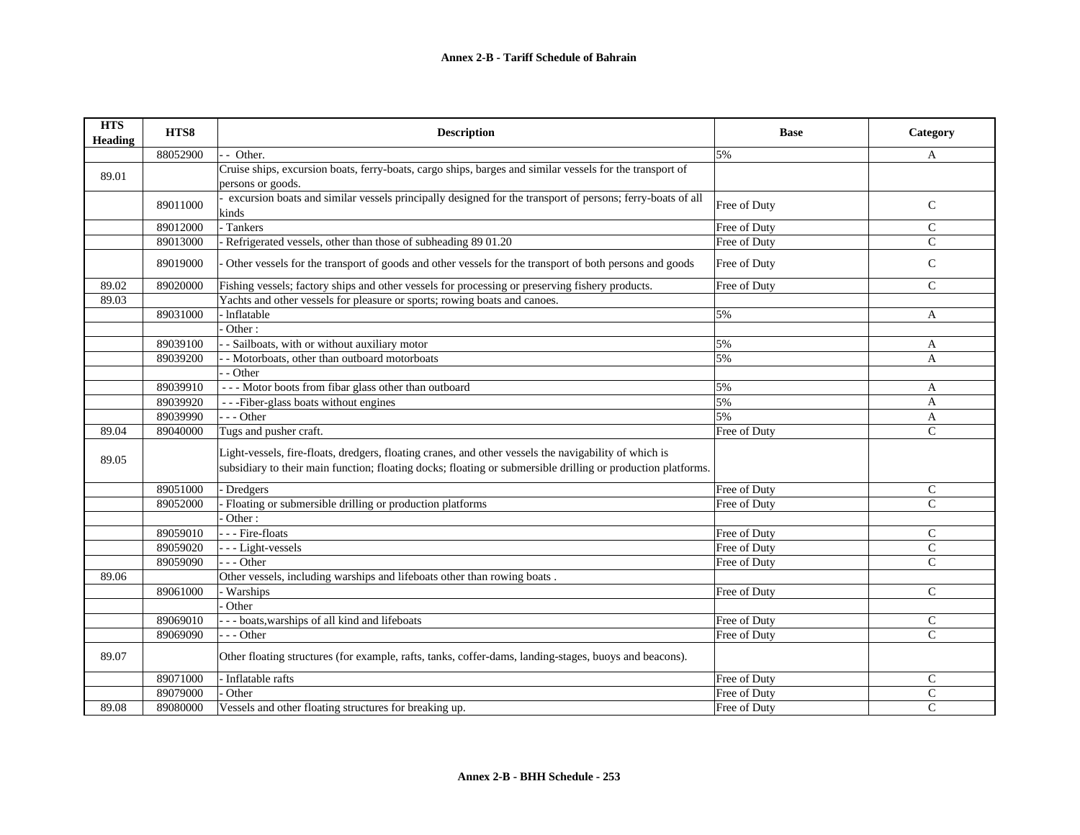| <b>HTS</b><br><b>Heading</b> | HTS8     | <b>Description</b>                                                                                                                                                                                                    | <b>Base</b>  | Category      |
|------------------------------|----------|-----------------------------------------------------------------------------------------------------------------------------------------------------------------------------------------------------------------------|--------------|---------------|
|                              | 88052900 | - - Other.                                                                                                                                                                                                            | 5%           | A             |
| 89.01                        |          | Cruise ships, excursion boats, ferry-boats, cargo ships, barges and similar vessels for the transport of<br>persons or goods.                                                                                         |              |               |
|                              | 89011000 | excursion boats and similar vessels principally designed for the transport of persons; ferry-boats of all<br>kinds                                                                                                    | Free of Duty | $\mathsf{C}$  |
|                              | 89012000 | - Tankers                                                                                                                                                                                                             | Free of Duty | $\mathsf{C}$  |
|                              | 89013000 | Refrigerated vessels, other than those of subheading 89 01.20                                                                                                                                                         | Free of Duty | $\mathsf{C}$  |
|                              | 89019000 | Other vessels for the transport of goods and other vessels for the transport of both persons and goods                                                                                                                | Free of Duty | $\mathsf{C}$  |
| 89.02                        | 89020000 | Fishing vessels; factory ships and other vessels for processing or preserving fishery products.                                                                                                                       | Free of Duty | $\mathcal{C}$ |
| 89.03                        |          | Yachts and other vessels for pleasure or sports; rowing boats and canoes.                                                                                                                                             |              |               |
|                              | 89031000 | Inflatable                                                                                                                                                                                                            | 5%           | $\mathbf{A}$  |
|                              |          | Other:                                                                                                                                                                                                                |              |               |
|                              | 89039100 | - Sailboats, with or without auxiliary motor                                                                                                                                                                          | 5%           | A             |
|                              | 89039200 | - Motorboats, other than outboard motorboats                                                                                                                                                                          | 5%           | A             |
|                              |          | - Other                                                                                                                                                                                                               |              |               |
|                              | 89039910 | --- Motor boots from fibar glass other than outboard                                                                                                                                                                  | 5%           | A             |
|                              | 89039920 | ---Fiber-glass boats without engines                                                                                                                                                                                  | 5%           | A             |
|                              | 89039990 | $- -$ Other                                                                                                                                                                                                           | 5%           | A             |
| 89.04                        | 89040000 | Tugs and pusher craft.                                                                                                                                                                                                | Free of Duty | $\mathsf{C}$  |
| 89.05                        |          | Light-vessels, fire-floats, dredgers, floating cranes, and other vessels the navigability of which is<br>subsidiary to their main function; floating docks; floating or submersible drilling or production platforms. |              |               |
|                              | 89051000 | Dredgers                                                                                                                                                                                                              | Free of Duty | $\mathsf{C}$  |
|                              | 89052000 | Floating or submersible drilling or production platforms                                                                                                                                                              | Free of Duty | $\mathsf{C}$  |
|                              |          | Other:                                                                                                                                                                                                                |              |               |
|                              | 89059010 | - - Fire-floats                                                                                                                                                                                                       | Free of Duty | $\mathsf{C}$  |
|                              | 89059020 | --- Light-vessels                                                                                                                                                                                                     | Free of Duty | $\mathsf{C}$  |
|                              | 89059090 | $-$ - Other                                                                                                                                                                                                           | Free of Duty | $\mathsf{C}$  |
| 89.06                        |          | Other vessels, including warships and lifeboats other than rowing boats.                                                                                                                                              |              |               |
|                              | 89061000 | - Warships                                                                                                                                                                                                            | Free of Duty | $\mathsf{C}$  |
|                              |          | Other                                                                                                                                                                                                                 |              |               |
|                              | 89069010 | -- boats, warships of all kind and lifeboats                                                                                                                                                                          | Free of Duty | $\mathsf{C}$  |
|                              | 89069090 | - - Other                                                                                                                                                                                                             | Free of Duty | $\mathsf{C}$  |
| 89.07                        |          | Other floating structures (for example, rafts, tanks, coffer-dams, landing-stages, buoys and beacons).                                                                                                                |              |               |
|                              | 89071000 | Inflatable rafts                                                                                                                                                                                                      | Free of Duty | $\mathsf{C}$  |
|                              | 89079000 | Other                                                                                                                                                                                                                 | Free of Duty | $\mathsf{C}$  |
| 89.08                        | 89080000 | Vessels and other floating structures for breaking up.                                                                                                                                                                | Free of Duty | $\mathsf{C}$  |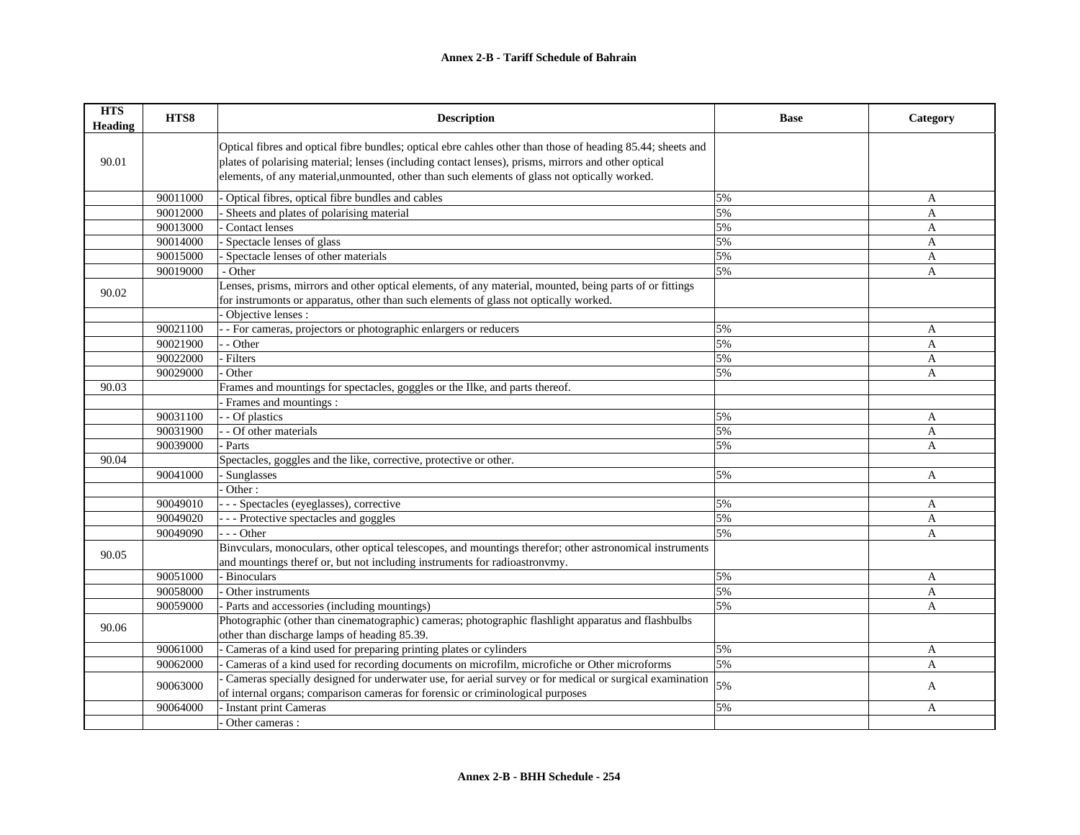| <b>HTS</b><br><b>Heading</b> | HTS8     | <b>Description</b>                                                                                                                                                                                                                                                                                                  | <b>Base</b> | Category     |
|------------------------------|----------|---------------------------------------------------------------------------------------------------------------------------------------------------------------------------------------------------------------------------------------------------------------------------------------------------------------------|-------------|--------------|
| 90.01                        |          | Optical fibres and optical fibre bundles; optical ebre cahles other than those of heading 85.44; sheets and<br>plates of polarising material; lenses (including contact lenses), prisms, mirrors and other optical<br>elements, of any material, unmounted, other than such elements of glass not optically worked. |             |              |
|                              | 90011000 | Optical fibres, optical fibre bundles and cables                                                                                                                                                                                                                                                                    | 5%          | A            |
|                              | 90012000 | Sheets and plates of polarising material                                                                                                                                                                                                                                                                            | 5%          | $\mathbf{A}$ |
|                              | 90013000 | Contact lenses                                                                                                                                                                                                                                                                                                      | 5%          | A            |
|                              | 90014000 | Spectacle lenses of glass                                                                                                                                                                                                                                                                                           | 5%          | $\mathbf{A}$ |
|                              | 90015000 | Spectacle lenses of other materials                                                                                                                                                                                                                                                                                 | 5%          | A            |
|                              | 90019000 | - Other                                                                                                                                                                                                                                                                                                             | 5%          | A            |
| 90.02                        |          | Lenses, prisms, mirrors and other optical elements, of any material, mounted, being parts of or fittings<br>for instrumonts or apparatus, other than such elements of glass not optically worked.<br>Objective lenses :                                                                                             |             |              |
|                              | 90021100 | - For cameras, projectors or photographic enlargers or reducers                                                                                                                                                                                                                                                     | 5%          | A            |
|                              | 90021900 | - Other                                                                                                                                                                                                                                                                                                             | 5%          | $\mathbf{A}$ |
|                              | 90022000 | Filters                                                                                                                                                                                                                                                                                                             | 5%          | A            |
|                              | 90029000 | Other                                                                                                                                                                                                                                                                                                               | 5%          | A            |
| 90.03                        |          | Frames and mountings for spectacles, goggles or the Ilke, and parts thereof.                                                                                                                                                                                                                                        |             |              |
|                              |          | Frames and mountings :                                                                                                                                                                                                                                                                                              |             |              |
|                              | 90031100 | - Of plastics                                                                                                                                                                                                                                                                                                       | 5%          | A            |
|                              | 90031900 | - Of other materials                                                                                                                                                                                                                                                                                                | 5%          | A            |
|                              | 90039000 | Parts                                                                                                                                                                                                                                                                                                               | 5%          | A            |
| 90.04                        |          | Spectacles, goggles and the like, corrective, protective or other.                                                                                                                                                                                                                                                  |             |              |
|                              | 90041000 | - Sunglasses                                                                                                                                                                                                                                                                                                        | 5%          | A            |
|                              |          | Other:                                                                                                                                                                                                                                                                                                              |             |              |
|                              | 90049010 | - - Spectacles (eyeglasses), corrective                                                                                                                                                                                                                                                                             | 5%          | A            |
|                              | 90049020 | - - - Protective spectacles and goggles                                                                                                                                                                                                                                                                             | 5%          | A            |
|                              | 90049090 | $-$ - Other                                                                                                                                                                                                                                                                                                         | 5%          | A            |
| 90.05                        |          | Binvculars, monoculars, other optical telescopes, and mountings therefor; other astronomical instruments<br>and mountings theref or, but not including instruments for radioastronvmy.                                                                                                                              |             |              |
|                              | 90051000 | - Binoculars                                                                                                                                                                                                                                                                                                        | 5%          | A            |
|                              | 90058000 | Other instruments                                                                                                                                                                                                                                                                                                   | 5%          | A            |
|                              | 90059000 | - Parts and accessories (including mountings)                                                                                                                                                                                                                                                                       | 5%          | A            |
| 90.06                        |          | Photographic (other than cinematographic) cameras; photographic flashlight apparatus and flashbulbs<br>other than discharge lamps of heading 85.39.                                                                                                                                                                 |             |              |
|                              | 90061000 | Cameras of a kind used for preparing printing plates or cylinders                                                                                                                                                                                                                                                   | 5%          | A            |
|                              | 90062000 | Cameras of a kind used for recording documents on microfilm, microfiche or Other microforms                                                                                                                                                                                                                         | 5%          | A            |
|                              |          | Cameras specially designed for underwater use, for aerial survey or for medical or surgical examination                                                                                                                                                                                                             |             |              |
|                              | 90063000 | of internal organs; comparison cameras for forensic or criminological purposes                                                                                                                                                                                                                                      | 5%          | A            |
|                              | 90064000 | Instant print Cameras                                                                                                                                                                                                                                                                                               | 5%          | A            |
|                              |          | Other cameras :                                                                                                                                                                                                                                                                                                     |             |              |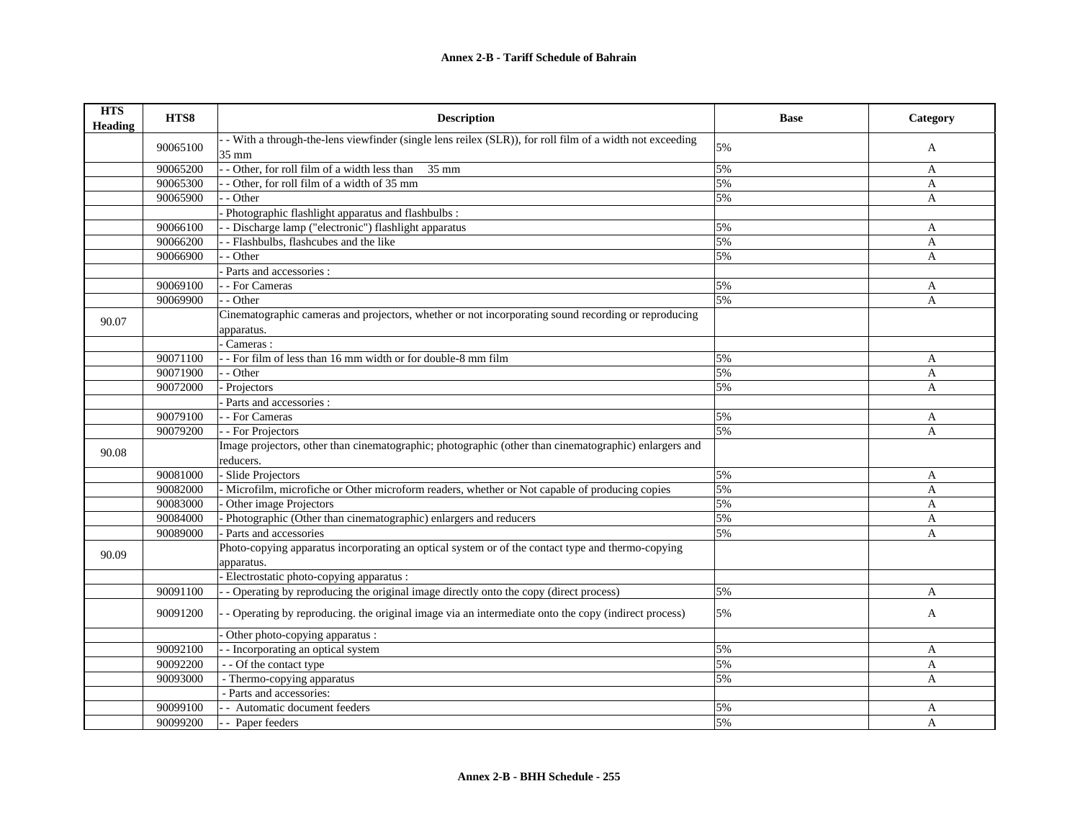| <b>HTS</b><br><b>Heading</b> | HTS8     | <b>Description</b>                                                                                                 | <b>Base</b> | Category     |
|------------------------------|----------|--------------------------------------------------------------------------------------------------------------------|-------------|--------------|
|                              | 90065100 | - With a through-the-lens viewfinder (single lens reilex (SLR)), for roll film of a width not exceeding<br>35 mm   | 5%          | A            |
|                              | 90065200 | - Other, for roll film of a width less than 35 mm                                                                  | 5%          | A            |
|                              | 90065300 | - Other, for roll film of a width of 35 mm                                                                         | 5%          | $\mathbf{A}$ |
|                              | 90065900 | $-$ Other                                                                                                          | 5%          | A            |
|                              |          | Photographic flashlight apparatus and flashbulbs :                                                                 |             |              |
|                              | 90066100 | - Discharge lamp ("electronic") flashlight apparatus                                                               | 5%          | A            |
|                              | 90066200 | - Flashbulbs, flashcubes and the like                                                                              | 5%          | $\mathbf{A}$ |
|                              | 90066900 | - Other                                                                                                            | 5%          | A            |
|                              |          | Parts and accessories :                                                                                            |             |              |
|                              | 90069100 | - - For Cameras                                                                                                    | 5%          | A            |
|                              | 90069900 | - Other                                                                                                            | 5%          | A            |
| 90.07                        |          | Cinematographic cameras and projectors, whether or not incorporating sound recording or reproducing<br>apparatus.  |             |              |
|                              |          | Cameras:                                                                                                           |             |              |
|                              | 90071100 | - For film of less than 16 mm width or for double-8 mm film                                                        | 5%          | A            |
|                              | 90071900 | - - Other                                                                                                          | 5%          | A            |
|                              | 90072000 | Projectors                                                                                                         | 5%          | $\mathbf{A}$ |
|                              |          | Parts and accessories :                                                                                            |             |              |
|                              | 90079100 | - - For Cameras                                                                                                    | 5%          | A            |
|                              | 90079200 | - - For Projectors                                                                                                 | 5%          | $\mathbf{A}$ |
| 90.08                        |          | Image projectors, other than cinematographic; photographic (other than cinematographic) enlargers and<br>reducers. |             |              |
|                              | 90081000 | - Slide Projectors                                                                                                 | 5%          | A            |
|                              | 90082000 | - Microfilm, microfiche or Other microform readers, whether or Not capable of producing copies                     | 5%          | A            |
|                              | 90083000 | Other image Projectors                                                                                             | 5%          | A            |
|                              | 90084000 | Photographic (Other than cinematographic) enlargers and reducers                                                   | 5%          | A            |
|                              | 90089000 | Parts and accessories                                                                                              | 5%          | A            |
| 90.09                        |          | Photo-copying apparatus incorporating an optical system or of the contact type and thermo-copying<br>apparatus.    |             |              |
|                              |          | - Electrostatic photo-copying apparatus :                                                                          |             |              |
|                              | 90091100 | - Operating by reproducing the original image directly onto the copy (direct process)                              | 5%          | A            |
|                              | 90091200 | - Operating by reproducing, the original image via an intermediate onto the copy (indirect process)                | 5%          | $\mathbf{A}$ |
|                              |          | Other photo-copying apparatus :                                                                                    |             |              |
|                              | 90092100 | - Incorporating an optical system                                                                                  | 5%          | A            |
|                              | 90092200 | - - Of the contact type                                                                                            | 5%          | A            |
|                              | 90093000 | - Thermo-copying apparatus                                                                                         | 5%          | $\mathbf{A}$ |
|                              |          | - Parts and accessories:                                                                                           |             |              |
|                              | 90099100 | - Automatic document feeders                                                                                       | 5%          | A            |
|                              | 90099200 | - - Paper feeders                                                                                                  | 5%          | $\mathbf{A}$ |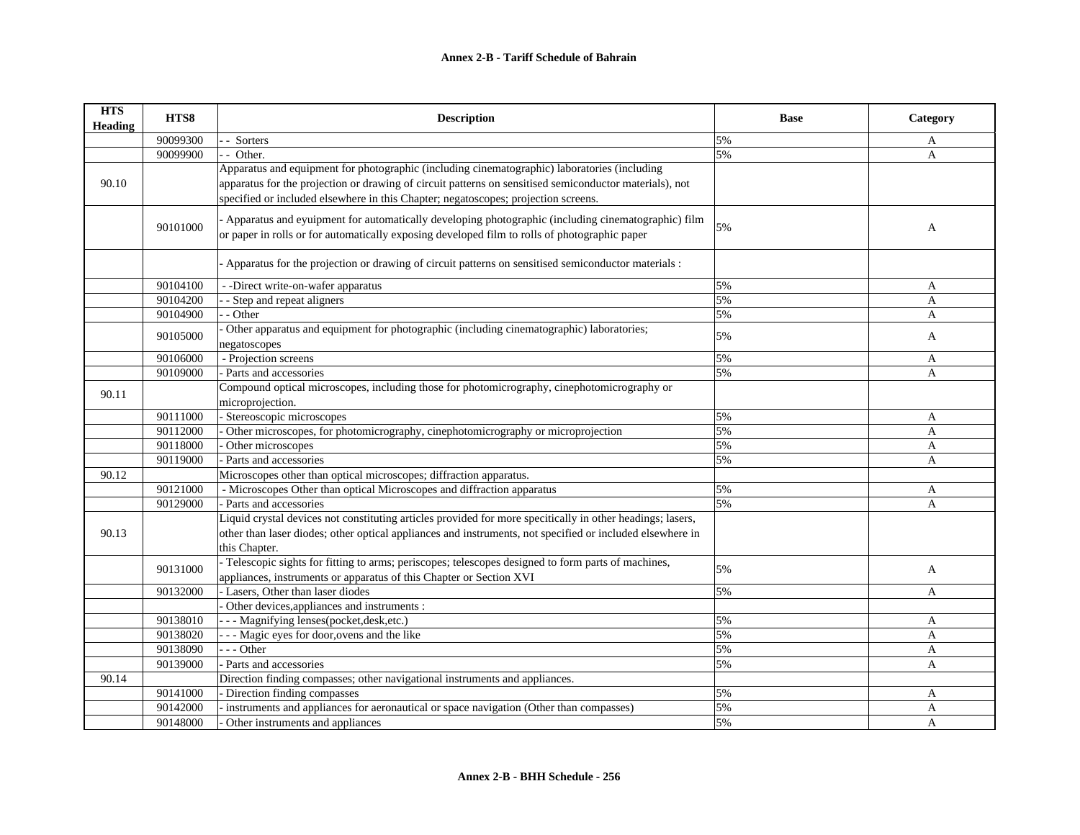| <b>HTS</b><br><b>Heading</b> | HTS8     | <b>Description</b>                                                                                                                                                                                  | <b>Base</b> | Category     |
|------------------------------|----------|-----------------------------------------------------------------------------------------------------------------------------------------------------------------------------------------------------|-------------|--------------|
|                              | 90099300 | Sorters                                                                                                                                                                                             | 5%          | A            |
|                              | 90099900 | $\sim$ Other.                                                                                                                                                                                       | 5%          | A            |
|                              |          | Apparatus and equipment for photographic (including cinematographic) laboratories (including                                                                                                        |             |              |
| 90.10                        |          | apparatus for the projection or drawing of circuit patterns on sensitised semiconductor materials), not                                                                                             |             |              |
|                              |          | specified or included elsewhere in this Chapter; negatoscopes; projection screens.                                                                                                                  |             |              |
|                              | 90101000 | Apparatus and eyuipment for automatically developing photographic (including cinematographic) film<br>or paper in rolls or for automatically exposing developed film to rolls of photographic paper | 5%          | A            |
|                              |          | Apparatus for the projection or drawing of circuit patterns on sensitised semiconductor materials :                                                                                                 |             |              |
|                              | 90104100 | - -Direct write-on-wafer apparatus                                                                                                                                                                  | 5%          | A            |
|                              | 90104200 | - Step and repeat aligners                                                                                                                                                                          | 5%          | A            |
|                              | 90104900 | - Other                                                                                                                                                                                             | 5%          | A            |
|                              | 90105000 | Other apparatus and equipment for photographic (including cinematographic) laboratories;<br>negatoscopes                                                                                            | 5%          | A            |
|                              | 90106000 | - Projection screens                                                                                                                                                                                | 5%          | A            |
|                              | 90109000 | - Parts and accessories                                                                                                                                                                             | 5%          | A            |
|                              |          | Compound optical microscopes, including those for photomicrography, cinephotomicrography or                                                                                                         |             |              |
| 90.11                        |          | microprojection.                                                                                                                                                                                    |             |              |
|                              | 90111000 | - Stereoscopic microscopes                                                                                                                                                                          | 5%          | A            |
|                              | 90112000 | Other microscopes, for photomicrography, cinephotomicrography or microprojection                                                                                                                    | 5%          | A            |
|                              | 90118000 | Other microscopes                                                                                                                                                                                   | 5%          | A            |
|                              | 90119000 | Parts and accessories                                                                                                                                                                               | 5%          | A            |
| 90.12                        |          | Microscopes other than optical microscopes; diffraction apparatus.                                                                                                                                  |             |              |
|                              | 90121000 | - Microscopes Other than optical Microscopes and diffraction apparatus                                                                                                                              | 5%          | A            |
|                              | 90129000 | - Parts and accessories                                                                                                                                                                             | 5%          | A            |
|                              |          | Liquid crystal devices not constituting articles provided for more specitically in other headings; lasers,                                                                                          |             |              |
| 90.13                        |          | other than laser diodes; other optical appliances and instruments, not specified or included elsewhere in<br>this Chapter.                                                                          |             |              |
|                              | 90131000 | - Telescopic sights for fitting to arms; periscopes; telescopes designed to form parts of machines,<br>appliances, instruments or apparatus of this Chapter or Section XVI                          | 5%          | A            |
|                              | 90132000 | - Lasers, Other than laser diodes                                                                                                                                                                   | 5%          | A            |
|                              |          | Other devices, appliances and instruments :                                                                                                                                                         |             |              |
|                              | 90138010 | --- Magnifying lenses(pocket, desk, etc.)                                                                                                                                                           | 5%          | A            |
|                              | 90138020 | - - Magic eyes for door, ovens and the like                                                                                                                                                         | 5%          | A            |
|                              | 90138090 | - - Other                                                                                                                                                                                           | 5%          | $\mathbf{A}$ |
|                              | 90139000 | - Parts and accessories                                                                                                                                                                             | 5%          | $\mathbf{A}$ |
| 90.14                        |          | Direction finding compasses; other navigational instruments and appliances.                                                                                                                         |             |              |
|                              | 90141000 | - Direction finding compasses                                                                                                                                                                       | 5%          | A            |
|                              | 90142000 | instruments and appliances for aeronautical or space navigation (Other than compasses)                                                                                                              | 5%          | A            |
|                              | 90148000 | Other instruments and appliances                                                                                                                                                                    | 5%          | A            |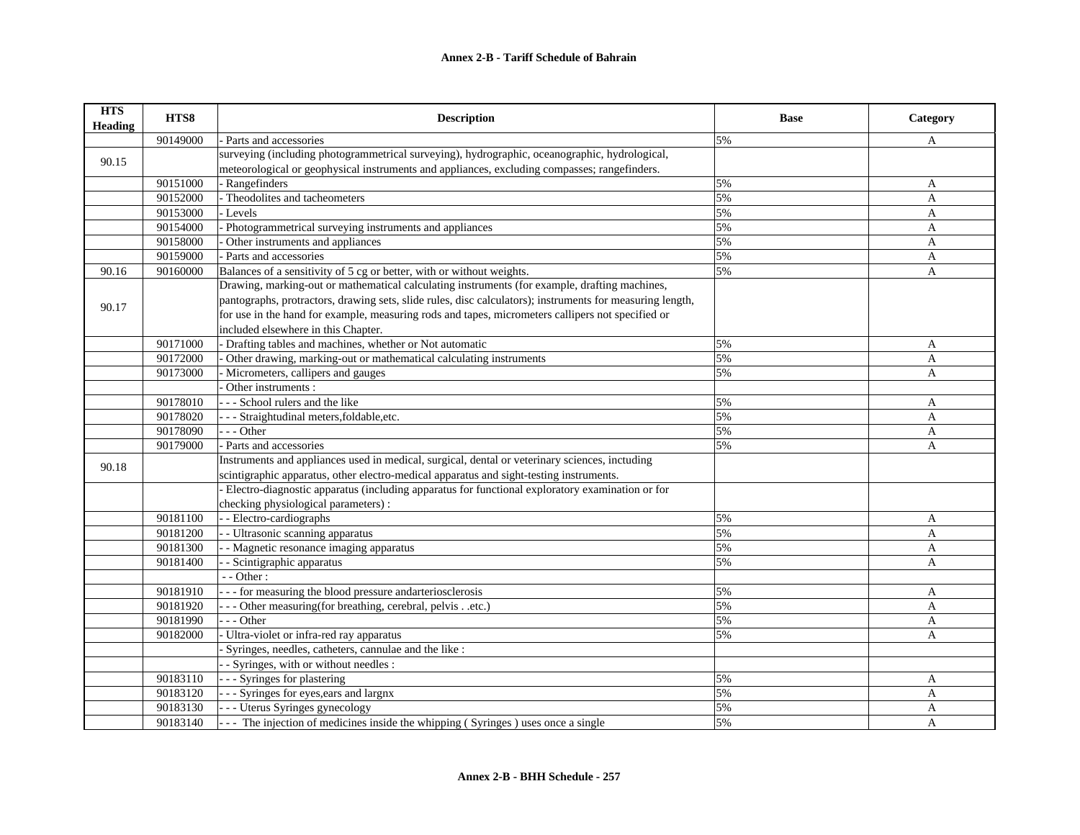| <b>HTS</b><br>Heading | HTS8     | <b>Description</b>                                                                                        | <b>Base</b> | Category     |
|-----------------------|----------|-----------------------------------------------------------------------------------------------------------|-------------|--------------|
|                       | 90149000 | Parts and accessories                                                                                     | 5%          | A            |
| 90.15                 |          | surveying (including photogrammetrical surveying), hydrographic, oceanographic, hydrological,             |             |              |
|                       |          | meteorological or geophysical instruments and appliances, excluding compasses; rangefinders.              |             |              |
|                       | 90151000 | - Rangefinders                                                                                            | 5%          | A            |
|                       | 90152000 | - Theodolites and tacheometers                                                                            | 5%          | A            |
|                       | 90153000 | Levels                                                                                                    | 5%          | A            |
|                       | 90154000 | Photogrammetrical surveying instruments and appliances                                                    | 5%          | A            |
|                       | 90158000 | Other instruments and appliances                                                                          | 5%          | A            |
|                       | 90159000 | - Parts and accessories                                                                                   | 5%          | A            |
| 90.16                 | 90160000 | Balances of a sensitivity of 5 cg or better, with or without weights.                                     | 5%          | A            |
|                       |          | Drawing, marking-out or mathematical calculating instruments (for example, drafting machines,             |             |              |
| 90.17                 |          | pantographs, protractors, drawing sets, slide rules, disc calculators); instruments for measuring length, |             |              |
|                       |          | for use in the hand for example, measuring rods and tapes, micrometers callipers not specified or         |             |              |
|                       |          | included elsewhere in this Chapter.                                                                       |             |              |
|                       | 90171000 | - Drafting tables and machines, whether or Not automatic                                                  | 5%          | A            |
|                       | 90172000 | Other drawing, marking-out or mathematical calculating instruments                                        | 5%          | A            |
|                       | 90173000 | Micrometers, callipers and gauges                                                                         | 5%          | A            |
|                       |          | Other instruments :                                                                                       |             |              |
|                       | 90178010 | --- School rulers and the like                                                                            | 5%          | A            |
|                       | 90178020 | - Straightudinal meters, foldable, etc.                                                                   | 5%          | A            |
|                       | 90178090 | $- -$ Other                                                                                               | 5%          | A            |
|                       | 90179000 | - Parts and accessories                                                                                   | 5%          | A            |
| 90.18                 |          | Instruments and appliances used in medical, surgical, dental or veterinary sciences, inctuding            |             |              |
|                       |          | scintigraphic apparatus, other electro-medical apparatus and sight-testing instruments.                   |             |              |
|                       |          | Electro-diagnostic apparatus (including apparatus for functional exploratory examination or for           |             |              |
|                       |          | checking physiological parameters) :                                                                      |             |              |
|                       | 90181100 | - - Electro-cardiographs                                                                                  | 5%          | A            |
|                       | 90181200 | - Ultrasonic scanning apparatus                                                                           | 5%          | A            |
|                       | 90181300 | - Magnetic resonance imaging apparatus                                                                    | 5%          | A            |
|                       | 90181400 | - Scintigraphic apparatus                                                                                 | 5%          | A            |
|                       |          | - - Other:                                                                                                |             |              |
|                       | 90181910 | - - for measuring the blood pressure and arteriosclerosis                                                 | 5%          | A            |
|                       | 90181920 | - - Other measuring (for breathing, cerebral, pelvisetc.)                                                 | 5%          | A            |
|                       | 90181990 | $- -$ Other                                                                                               | 5%          | A            |
|                       | 90182000 | Ultra-violet or infra-red ray apparatus                                                                   | 5%          | $\mathbf{A}$ |
|                       |          | Syringes, needles, catheters, cannulae and the like :                                                     |             |              |
|                       |          | - Syringes, with or without needles :                                                                     |             |              |
|                       | 90183110 | - Syringes for plastering                                                                                 | 5%          | A            |
|                       | 90183120 | - - Syringes for eyes, ears and largnx                                                                    | 5%          | $\mathbf{A}$ |
|                       | 90183130 | - - Uterus Syringes gynecology                                                                            | 5%          | A            |
|                       | 90183140 | -- The injection of medicines inside the whipping (Syringes) uses once a single                           | 5%          | A            |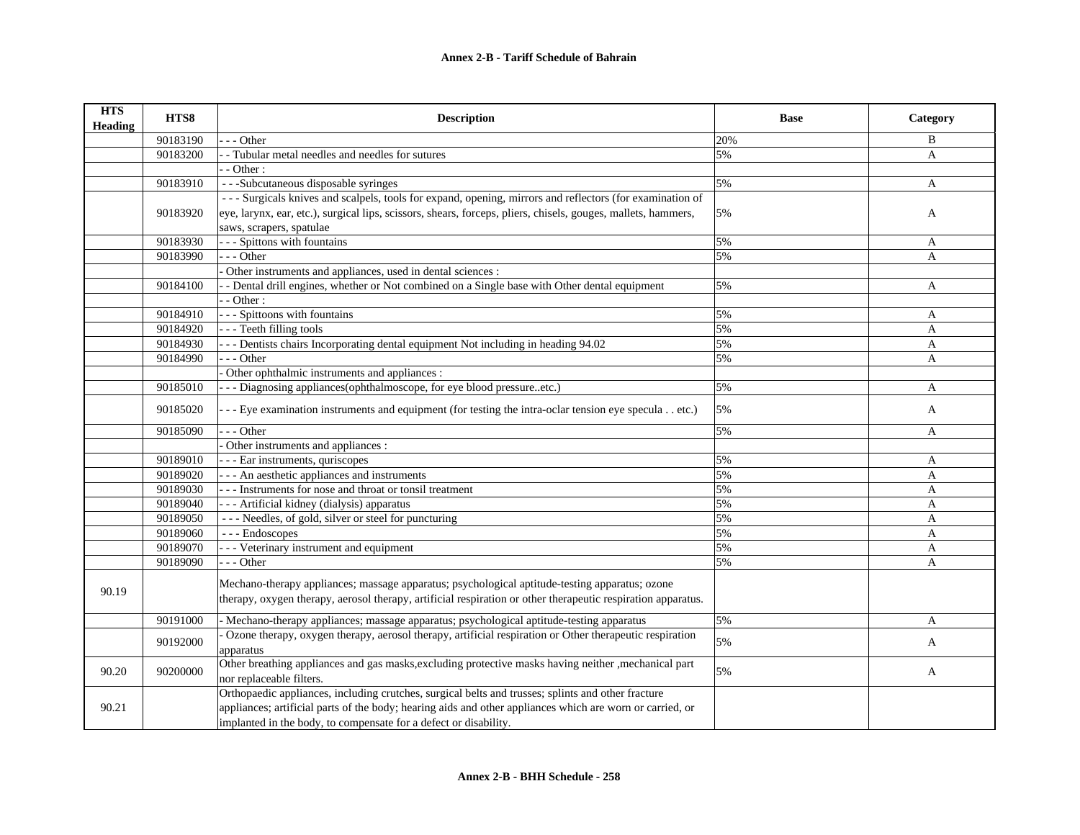| <b>HTS</b><br><b>Heading</b> | HTS8     | <b>Description</b>                                                                                                                | <b>Base</b> | Category     |
|------------------------------|----------|-----------------------------------------------------------------------------------------------------------------------------------|-------------|--------------|
|                              | 90183190 | - - Other                                                                                                                         | 20%         | B            |
|                              | 90183200 | - Tubular metal needles and needles for sutures                                                                                   | 5%          | $\mathbf{A}$ |
|                              |          | $-$ Other :                                                                                                                       |             |              |
|                              | 90183910 | - - -Subcutaneous disposable syringes                                                                                             | 5%          | A            |
|                              |          | --- Surgicals knives and scalpels, tools for expand, opening, mirrors and reflectors (for examination of                          |             |              |
|                              | 90183920 | eye, larynx, ear, etc.), surgical lips, scissors, shears, forceps, pliers, chisels, gouges, mallets, hammers,                     | 5%          | A            |
|                              |          | saws, scrapers, spatulae                                                                                                          |             |              |
|                              | 90183930 | - - Spittons with fountains                                                                                                       | 5%          | A            |
|                              | 90183990 | --- Other                                                                                                                         | 5%          | A            |
|                              |          | Other instruments and appliances, used in dental sciences :                                                                       |             |              |
|                              | 90184100 | - Dental drill engines, whether or Not combined on a Single base with Other dental equipment                                      | 5%          | A            |
|                              |          | $\cdot$ - Other :                                                                                                                 |             |              |
|                              | 90184910 | - - - Spittoons with fountains                                                                                                    | 5%          | A            |
|                              | 90184920 | - - - Teeth filling tools                                                                                                         | 5%          | A            |
|                              | 90184930 | -- Dentists chairs Incorporating dental equipment Not including in heading 94.02                                                  | 5%          | $\mathbf{A}$ |
|                              | 90184990 | $-$ - Other                                                                                                                       | 5%          | A            |
|                              |          | Other ophthalmic instruments and appliances :                                                                                     |             |              |
|                              | 90185010 | - - - Diagnosing appliances(ophthalmoscope, for eye blood pressureetc.)                                                           | 5%          | A            |
|                              | 90185020 | - - - Eye examination instruments and equipment (for testing the intra-oclar tension eye speculaetc.)                             | 5%          | A            |
|                              | 90185090 | $-$ - Other                                                                                                                       | 5%          | A            |
|                              |          | Other instruments and appliances :                                                                                                |             |              |
|                              | 90189010 | - - - Ear instruments, quriscopes                                                                                                 | 5%          | A            |
|                              | 90189020 | - - - An aesthetic appliances and instruments                                                                                     | 5%          | A            |
|                              | 90189030 | - - - Instruments for nose and throat or tonsil treatment                                                                         | 5%          | $\mathbf{A}$ |
|                              | 90189040 | - - - Artificial kidney (dialysis) apparatus                                                                                      | 5%          | $\mathbf{A}$ |
|                              | 90189050 | --- Needles, of gold, silver or steel for puncturing                                                                              | 5%          | $\mathbf{A}$ |
|                              | 90189060 | --- Endoscopes                                                                                                                    | 5%          | A            |
|                              | 90189070 | - - - Veterinary instrument and equipment                                                                                         | 5%          | A            |
|                              | 90189090 | $-$ - Other                                                                                                                       | 5%          | $\mathbf{A}$ |
| 90.19                        |          | Mechano-therapy appliances; massage apparatus; psychological aptitude-testing apparatus; ozone                                    |             |              |
|                              |          | therapy, oxygen therapy, aerosol therapy, artificial respiration or other therapeutic respiration apparatus.                      |             |              |
|                              | 90191000 | - Mechano-therapy appliances; massage apparatus; psychological aptitude-testing apparatus                                         | 5%          | A            |
|                              | 90192000 | Ozone therapy, oxygen therapy, aerosol therapy, artificial respiration or Other therapeutic respiration<br>apparatus              | 5%          | A            |
| 90.20                        | 90200000 | Other breathing appliances and gas masks, excluding protective masks having neither , mechanical part<br>nor replaceable filters. | 5%          | A            |
|                              |          | Orthopaedic appliances, including crutches, surgical belts and trusses; splints and other fracture                                |             |              |
| 90.21                        |          | appliances; artificial parts of the body; hearing aids and other appliances which are worn or carried, or                         |             |              |
|                              |          | implanted in the body, to compensate for a defect or disability.                                                                  |             |              |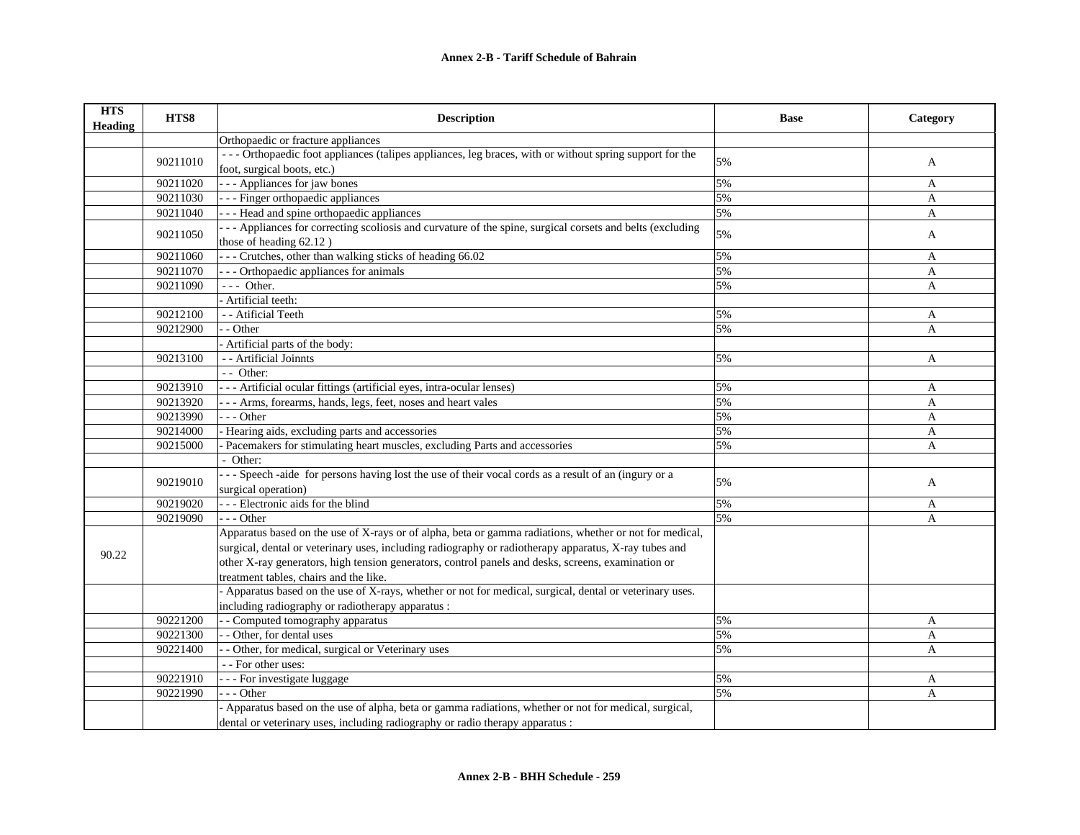| <b>HTS</b><br><b>Heading</b> | HTS8     | <b>Description</b>                                                                                       | <b>Base</b> | Category     |
|------------------------------|----------|----------------------------------------------------------------------------------------------------------|-------------|--------------|
|                              |          | Orthopaedic or fracture appliances                                                                       |             |              |
|                              |          | --- Orthopaedic foot appliances (talipes appliances, leg braces, with or without spring support for the  |             |              |
|                              | 90211010 | foot, surgical boots, etc.)                                                                              | 5%          | A            |
|                              | 90211020 | - - - Appliances for jaw bones                                                                           | 5%          | A            |
|                              | 90211030 | --- Finger orthopaedic appliances                                                                        | 5%          | A            |
|                              | 90211040 | - - - Head and spine orthopaedic appliances                                                              | 5%          | A            |
|                              | 90211050 | -- Appliances for correcting scoliosis and curvature of the spine, surgical corsets and belts (excluding | 5%          | A            |
|                              |          | those of heading 62.12)                                                                                  |             |              |
|                              | 90211060 | --- Crutches, other than walking sticks of heading 66.02                                                 | 5%          | A            |
|                              | 90211070 | - - - Orthopaedic appliances for animals                                                                 | 5%          | A            |
|                              | 90211090 | $--$ Other.                                                                                              | 5%          | A            |
|                              |          | Artificial teeth:                                                                                        |             |              |
|                              | 90212100 | - - Atificial Teeth                                                                                      | 5%          | A            |
|                              | 90212900 | - Other                                                                                                  | 5%          | A            |
|                              |          | Artificial parts of the body:                                                                            |             |              |
|                              | 90213100 | - - Artificial Joinnts                                                                                   | 5%          | A            |
|                              |          | - - Other:                                                                                               |             |              |
|                              | 90213910 | -- Artificial ocular fittings (artificial eyes, intra-ocular lenses)                                     | 5%          | A            |
|                              | 90213920 | --- Arms, forearms, hands, legs, feet, noses and heart vales                                             | 5%          | A            |
|                              | 90213990 | - - Other                                                                                                | 5%          | A            |
|                              | 90214000 | - Hearing aids, excluding parts and accessories                                                          | 5%          | A            |
|                              | 90215000 | Pacemakers for stimulating heart muscles, excluding Parts and accessories                                | 5%          | A            |
|                              |          | - Other:                                                                                                 |             |              |
|                              | 90219010 | --- Speech -aide for persons having lost the use of their vocal cords as a result of an (ingury or a     |             |              |
|                              |          | surgical operation)                                                                                      | 5%          | A            |
|                              | 90219020 | --- Electronic aids for the blind                                                                        | 5%          | A            |
|                              | 90219090 | $-$ - Other                                                                                              | 5%          | A            |
|                              |          | Apparatus based on the use of X-rays or of alpha, beta or gamma radiations, whether or not for medical,  |             |              |
| 90.22                        |          | surgical, dental or veterinary uses, including radiography or radiotherapy apparatus, X-ray tubes and    |             |              |
|                              |          | other X-ray generators, high tension generators, control panels and desks, screens, examination or       |             |              |
|                              |          | treatment tables, chairs and the like.                                                                   |             |              |
|                              |          | - Apparatus based on the use of X-rays, whether or not for medical, surgical, dental or veterinary uses. |             |              |
|                              |          | including radiography or radiotherapy apparatus :                                                        |             |              |
|                              | 90221200 | - - Computed tomography apparatus                                                                        | 5%          | $\mathbf{A}$ |
|                              | 90221300 | - Other, for dental uses                                                                                 | 5%          | A            |
|                              | 90221400 | - Other, for medical, surgical or Veterinary uses                                                        | 5%          | A            |
|                              |          | - - For other uses:                                                                                      |             |              |
|                              | 90221910 | - - For investigate luggage                                                                              | 5%          | A            |
|                              | 90221990 | $-$ - Other                                                                                              | 5%          | A            |
|                              |          | Apparatus based on the use of alpha, beta or gamma radiations, whether or not for medical, surgical,     |             |              |
|                              |          | dental or veterinary uses, including radiography or radio therapy apparatus :                            |             |              |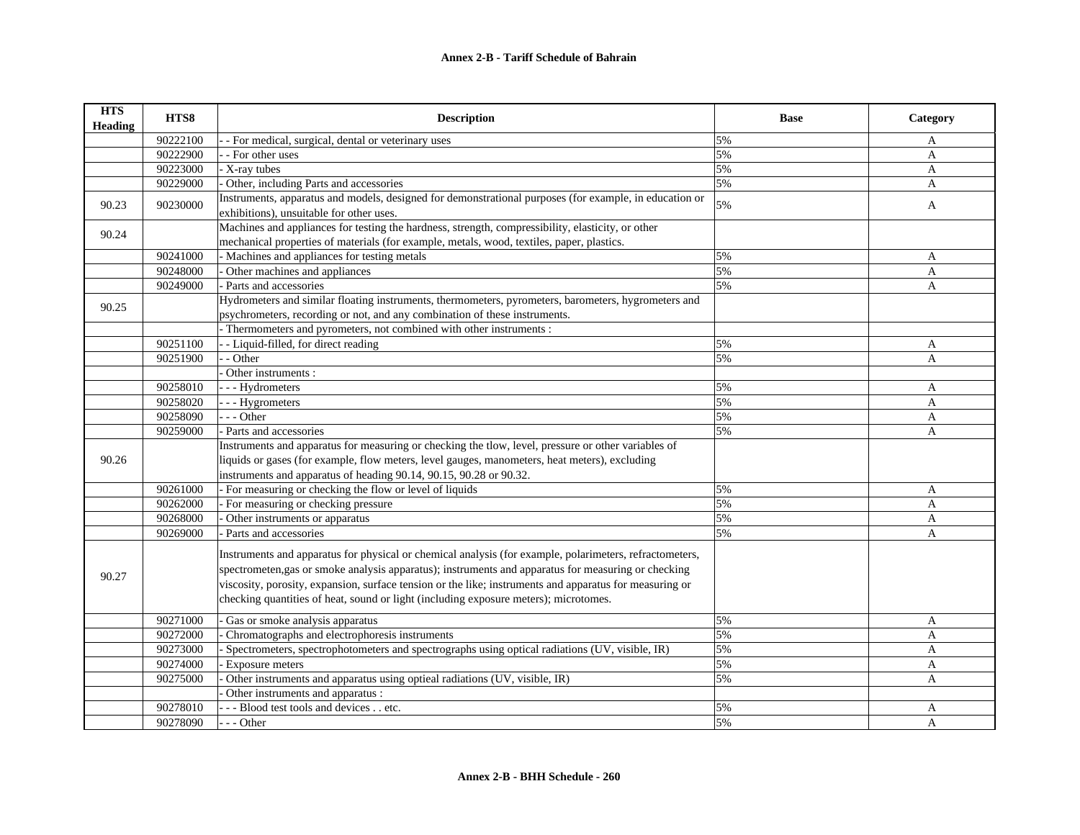| <b>HTS</b><br><b>Heading</b> | HTS8     | <b>Description</b>                                                                                                                                                                                                                                                                                                                                                                                                | <b>Base</b> | Category     |
|------------------------------|----------|-------------------------------------------------------------------------------------------------------------------------------------------------------------------------------------------------------------------------------------------------------------------------------------------------------------------------------------------------------------------------------------------------------------------|-------------|--------------|
|                              | 90222100 | - For medical, surgical, dental or veterinary uses                                                                                                                                                                                                                                                                                                                                                                | 5%          | A            |
|                              | 90222900 | - For other uses                                                                                                                                                                                                                                                                                                                                                                                                  | 5%          | A            |
|                              | 90223000 | - X-ray tubes                                                                                                                                                                                                                                                                                                                                                                                                     | 5%          | $\mathbf{A}$ |
|                              | 90229000 | Other, including Parts and accessories                                                                                                                                                                                                                                                                                                                                                                            | 5%          | $\mathbf{A}$ |
| 90.23                        | 90230000 | Instruments, apparatus and models, designed for demonstrational purposes (for example, in education or<br>exhibitions), unsuitable for other uses.                                                                                                                                                                                                                                                                | 5%          | A            |
| 90.24                        |          | Machines and appliances for testing the hardness, strength, compressibility, elasticity, or other                                                                                                                                                                                                                                                                                                                 |             |              |
|                              |          | mechanical properties of materials (for example, metals, wood, textiles, paper, plastics.                                                                                                                                                                                                                                                                                                                         |             |              |
|                              | 90241000 | - Machines and appliances for testing metals                                                                                                                                                                                                                                                                                                                                                                      | 5%          | A            |
|                              | 90248000 | Other machines and appliances                                                                                                                                                                                                                                                                                                                                                                                     | 5%          | A            |
|                              | 90249000 | - Parts and accessories                                                                                                                                                                                                                                                                                                                                                                                           | 5%          | A            |
| 90.25                        |          | Hydrometers and similar floating instruments, thermometers, pyrometers, barometers, hygrometers and<br>psychrometers, recording or not, and any combination of these instruments.                                                                                                                                                                                                                                 |             |              |
|                              |          | Thermometers and pyrometers, not combined with other instruments :                                                                                                                                                                                                                                                                                                                                                |             |              |
|                              | 90251100 | - Liquid-filled, for direct reading                                                                                                                                                                                                                                                                                                                                                                               | 5%          | A            |
|                              | 90251900 | - Other                                                                                                                                                                                                                                                                                                                                                                                                           | 5%          | A            |
|                              |          | Other instruments :                                                                                                                                                                                                                                                                                                                                                                                               |             |              |
|                              | 90258010 | - - - Hydrometers                                                                                                                                                                                                                                                                                                                                                                                                 | 5%          | A            |
|                              | 90258020 | - - - Hygrometers                                                                                                                                                                                                                                                                                                                                                                                                 | 5%          | A            |
|                              | 90258090 | $-$ - Other                                                                                                                                                                                                                                                                                                                                                                                                       | 5%          | A            |
|                              | 90259000 | Parts and accessories                                                                                                                                                                                                                                                                                                                                                                                             | 5%          | A            |
|                              |          | Instruments and apparatus for measuring or checking the tlow, level, pressure or other variables of                                                                                                                                                                                                                                                                                                               |             |              |
| 90.26                        |          | liquids or gases (for example, flow meters, level gauges, manometers, heat meters), excluding                                                                                                                                                                                                                                                                                                                     |             |              |
|                              |          | instruments and apparatus of heading 90.14, 90.15, 90.28 or 90.32.                                                                                                                                                                                                                                                                                                                                                |             |              |
|                              | 90261000 | - For measuring or checking the flow or level of liquids                                                                                                                                                                                                                                                                                                                                                          | 5%          | A            |
|                              | 90262000 | - For measuring or checking pressure                                                                                                                                                                                                                                                                                                                                                                              | 5%          | $\mathbf{A}$ |
|                              | 90268000 | Other instruments or apparatus                                                                                                                                                                                                                                                                                                                                                                                    | 5%          | A            |
|                              | 90269000 | - Parts and accessories                                                                                                                                                                                                                                                                                                                                                                                           | 5%          | A            |
| 90.27                        |          | Instruments and apparatus for physical or chemical analysis (for example, polarimeters, refractometers,<br>spectrometen, gas or smoke analysis apparatus); instruments and apparatus for measuring or checking<br>viscosity, porosity, expansion, surface tension or the like; instruments and apparatus for measuring or<br>checking quantities of heat, sound or light (including exposure meters); microtomes. |             |              |
|                              | 90271000 | Gas or smoke analysis apparatus                                                                                                                                                                                                                                                                                                                                                                                   | 5%          | $\mathbf{A}$ |
|                              | 90272000 | Chromatographs and electrophoresis instruments                                                                                                                                                                                                                                                                                                                                                                    | 5%          | $\mathbf{A}$ |
|                              | 90273000 | Spectrometers, spectrophotometers and spectrographs using optical radiations (UV, visible, IR)                                                                                                                                                                                                                                                                                                                    | 5%          | A            |
|                              | 90274000 | Exposure meters                                                                                                                                                                                                                                                                                                                                                                                                   | 5%          | A            |
|                              | 90275000 | Other instruments and apparatus using optieal radiations (UV, visible, IR)                                                                                                                                                                                                                                                                                                                                        | 5%          | A            |
|                              |          | Other instruments and apparatus :                                                                                                                                                                                                                                                                                                                                                                                 |             |              |
|                              | 90278010 | --- Blood test tools and devices etc.                                                                                                                                                                                                                                                                                                                                                                             | 5%          | A            |
|                              | 90278090 | --- Other                                                                                                                                                                                                                                                                                                                                                                                                         | 5%          | A            |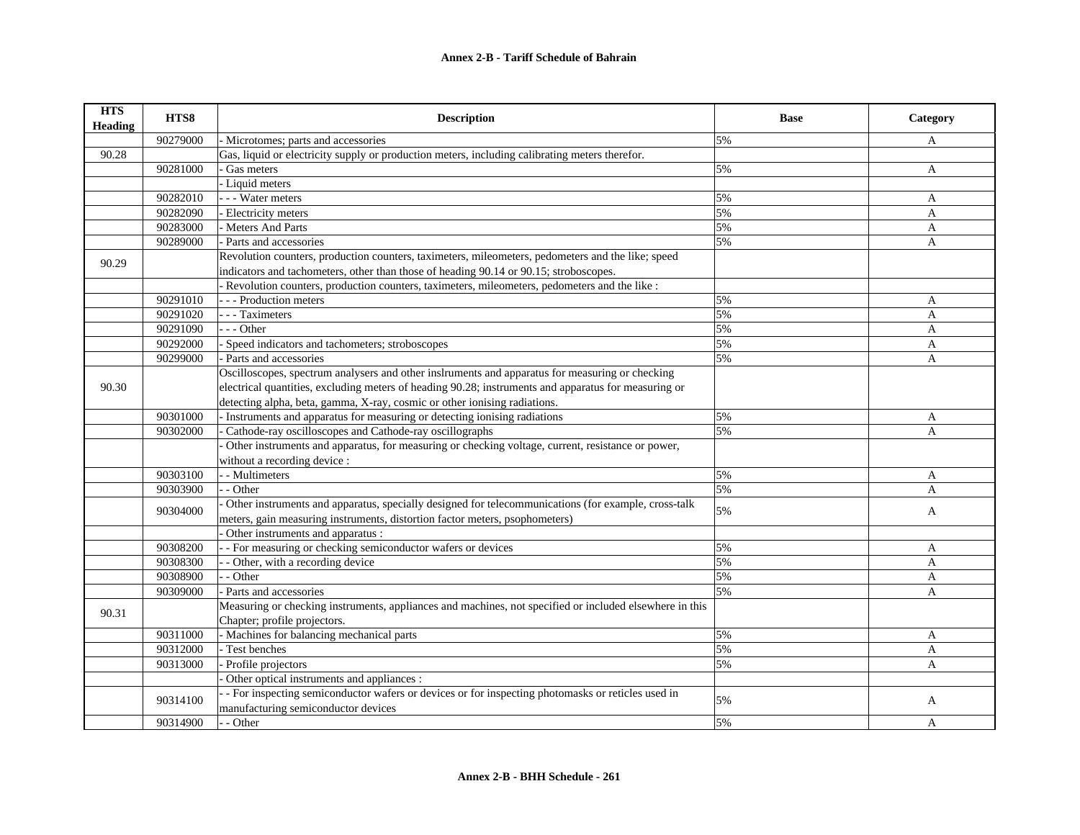| <b>HTS</b><br>Heading | HTS8     | <b>Description</b>                                                                                      | <b>Base</b> | Category     |
|-----------------------|----------|---------------------------------------------------------------------------------------------------------|-------------|--------------|
|                       | 90279000 | - Microtomes; parts and accessories                                                                     | 5%          | A            |
| 90.28                 |          | Gas, liquid or electricity supply or production meters, including calibrating meters therefor.          |             |              |
|                       | 90281000 | Gas meters                                                                                              | 5%          | A            |
|                       |          | Liquid meters                                                                                           |             |              |
|                       | 90282010 | - - Water meters                                                                                        | 5%          | A            |
|                       | 90282090 | Electricity meters                                                                                      | 5%          | A            |
|                       | 90283000 | - Meters And Parts                                                                                      | 5%          | A            |
|                       | 90289000 | - Parts and accessories                                                                                 | 5%          | A            |
|                       |          | Revolution counters, production counters, taximeters, mileometers, pedometers and the like; speed       |             |              |
| 90.29                 |          | indicators and tachometers, other than those of heading 90.14 or 90.15; stroboscopes.                   |             |              |
|                       |          | - Revolution counters, production counters, taximeters, mileometers, pedometers and the like :          |             |              |
|                       | 90291010 | - - Production meters                                                                                   | 5%          | A            |
|                       | 90291020 | - - Taximeters                                                                                          | 5%          | A            |
|                       | 90291090 | $-$ - Other                                                                                             | 5%          | A            |
|                       | 90292000 | Speed indicators and tachometers; stroboscopes                                                          | 5%          | A            |
|                       | 90299000 | - Parts and accessories                                                                                 | 5%          | A            |
|                       |          | Oscilloscopes, spectrum analysers and other inslruments and apparatus for measuring or checking         |             |              |
| 90.30                 |          | electrical quantities, excluding meters of heading 90.28; instruments and apparatus for measuring or    |             |              |
|                       |          | detecting alpha, beta, gamma, X-ray, cosmic or other ionising radiations.                               |             |              |
|                       | 90301000 | - Instruments and apparatus for measuring or detecting ionising radiations                              | 5%          | A            |
|                       | 90302000 | Cathode-ray oscilloscopes and Cathode-ray oscillographs                                                 | 5%          | A            |
|                       |          | Other instruments and apparatus, for measuring or checking voltage, current, resistance or power,       |             |              |
|                       |          | without a recording device :                                                                            |             |              |
|                       | 90303100 | - - Multimeters                                                                                         | 5%          | A            |
|                       | 90303900 | - Other                                                                                                 | 5%          | A            |
|                       |          | Other instruments and apparatus, specially designed for telecommunications (for example, cross-talk     |             |              |
|                       | 90304000 | meters, gain measuring instruments, distortion factor meters, psophometers)                             | 5%          | A            |
|                       |          | Other instruments and apparatus :                                                                       |             |              |
|                       | 90308200 | - For measuring or checking semiconductor wafers or devices                                             | 5%          | A            |
|                       | 90308300 | - Other, with a recording device                                                                        | 5%          | A            |
|                       | 90308900 | - Other                                                                                                 | 5%          | $\mathbf{A}$ |
|                       | 90309000 | Parts and accessories                                                                                   | 5%          | A            |
|                       |          | Measuring or checking instruments, appliances and machines, not specified or included elsewhere in this |             |              |
| 90.31                 |          | Chapter; profile projectors.                                                                            |             |              |
|                       | 90311000 | - Machines for balancing mechanical parts                                                               | 5%          | A            |
|                       | 90312000 | - Test benches                                                                                          | 5%          | A            |
|                       | 90313000 | Profile projectors                                                                                      | 5%          | A            |
|                       |          | Other optical instruments and appliances :                                                              |             |              |
|                       |          | - For inspecting semiconductor wafers or devices or for inspecting photomasks or reticles used in       |             |              |
|                       | 90314100 | manufacturing semiconductor devices                                                                     | 5%          | A            |
|                       | 90314900 | - - Other                                                                                               | 5%          | A            |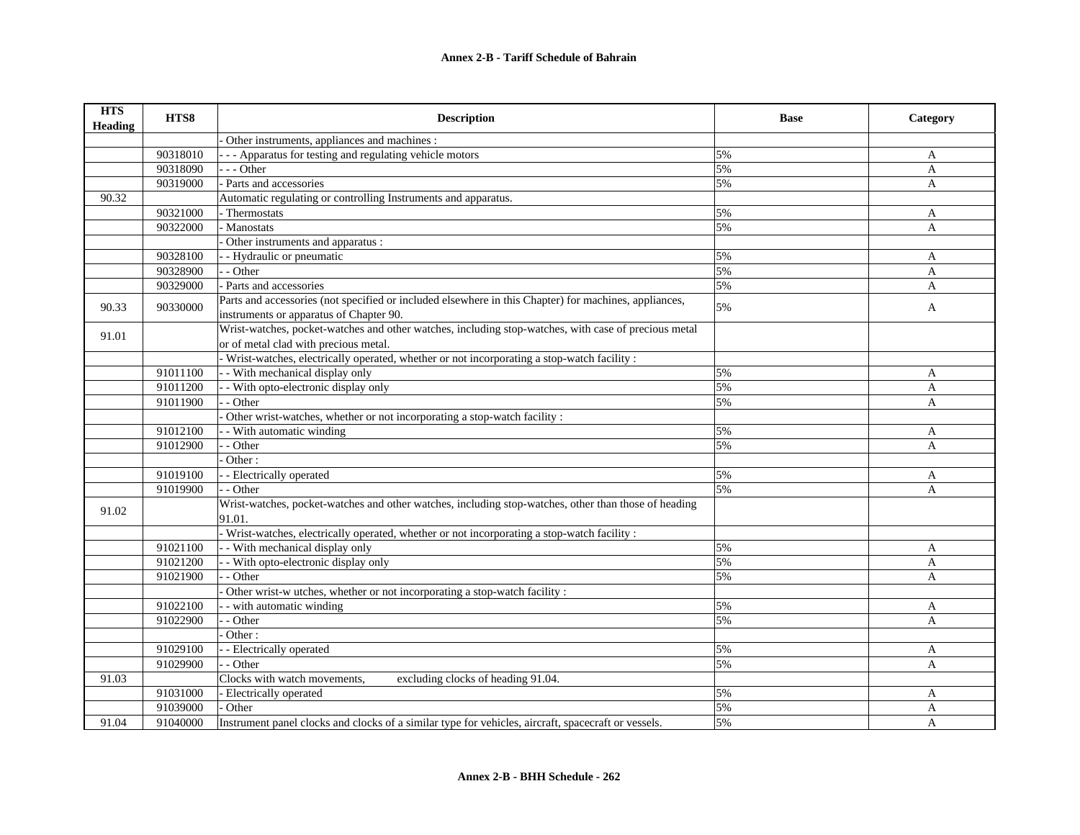| <b>HTS</b><br><b>Heading</b> | HTS8     | <b>Description</b>                                                                                                                               | <b>Base</b> | Category     |
|------------------------------|----------|--------------------------------------------------------------------------------------------------------------------------------------------------|-------------|--------------|
|                              |          | Other instruments, appliances and machines :                                                                                                     |             |              |
|                              | 90318010 | - - Apparatus for testing and regulating vehicle motors                                                                                          | 5%          | A            |
|                              | 90318090 | $-$ - Other                                                                                                                                      | 5%          | $\mathbf{A}$ |
|                              | 90319000 | Parts and accessories                                                                                                                            | 5%          | $\mathbf{A}$ |
| 90.32                        |          | Automatic regulating or controlling Instruments and apparatus.                                                                                   |             |              |
|                              | 90321000 | Thermostats                                                                                                                                      | 5%          | A            |
|                              | 90322000 | - Manostats                                                                                                                                      | 5%          | A            |
|                              |          | Other instruments and apparatus :                                                                                                                |             |              |
|                              | 90328100 | - Hydraulic or pneumatic                                                                                                                         | 5%          | A            |
|                              | 90328900 | - - Other                                                                                                                                        | 5%          | A            |
|                              | 90329000 | - Parts and accessories                                                                                                                          | 5%          | A            |
| 90.33                        | 90330000 | Parts and accessories (not specified or included elsewhere in this Chapter) for machines, appliances,<br>instruments or apparatus of Chapter 90. | 5%          | A            |
| 91.01                        |          | Wrist-watches, pocket-watches and other watches, including stop-watches, with case of precious metal<br>or of metal clad with precious metal.    |             |              |
|                              |          | Wrist-watches, electrically operated, whether or not incorporating a stop-watch facility :                                                       |             |              |
|                              | 91011100 | - With mechanical display only                                                                                                                   | 5%          | A            |
|                              | 91011200 | - With opto-electronic display only                                                                                                              | 5%          | A            |
|                              | 91011900 | - Other                                                                                                                                          | 5%          | $\mathbf{A}$ |
|                              |          | Other wrist-watches, whether or not incorporating a stop-watch facility:                                                                         |             |              |
|                              | 91012100 | - With automatic winding                                                                                                                         | 5%          | $\mathbf{A}$ |
|                              | 91012900 | - Other                                                                                                                                          | 5%          | A            |
|                              |          | Other:                                                                                                                                           |             |              |
|                              | 91019100 | - Electrically operated                                                                                                                          | 5%          | A            |
|                              | 91019900 | - Other                                                                                                                                          | 5%          | $\mathbf{A}$ |
| 91.02                        |          | Wrist-watches, pocket-watches and other watches, including stop-watches, other than those of heading<br>91.01.                                   |             |              |
|                              |          | - Wrist-watches, electrically operated, whether or not incorporating a stop-watch facility :                                                     |             |              |
|                              | 91021100 | - With mechanical display only                                                                                                                   | 5%          | A            |
|                              | 91021200 | - With opto-electronic display only                                                                                                              | 5%          | A            |
|                              | 91021900 | - Other                                                                                                                                          | 5%          | $\mathsf{A}$ |
|                              |          | Other wrist-w utches, whether or not incorporating a stop-watch facility :                                                                       |             |              |
|                              | 91022100 | - with automatic winding                                                                                                                         | 5%          | A            |
|                              | 91022900 | - Other                                                                                                                                          | 5%          | $\mathsf{A}$ |
|                              |          | Other:                                                                                                                                           |             |              |
|                              | 91029100 | - Electrically operated                                                                                                                          | 5%          | A            |
|                              | 91029900 | - Other                                                                                                                                          | 5%          | A            |
| 91.03                        |          | Clocks with watch movements,<br>excluding clocks of heading 91.04.                                                                               |             |              |
|                              | 91031000 | Electrically operated                                                                                                                            | 5%          | A            |
|                              | 91039000 | Other                                                                                                                                            | 5%          | A            |
| 91.04                        | 91040000 | Instrument panel clocks and clocks of a similar type for vehicles, aircraft, spacecraft or vessels.                                              | 5%          | A            |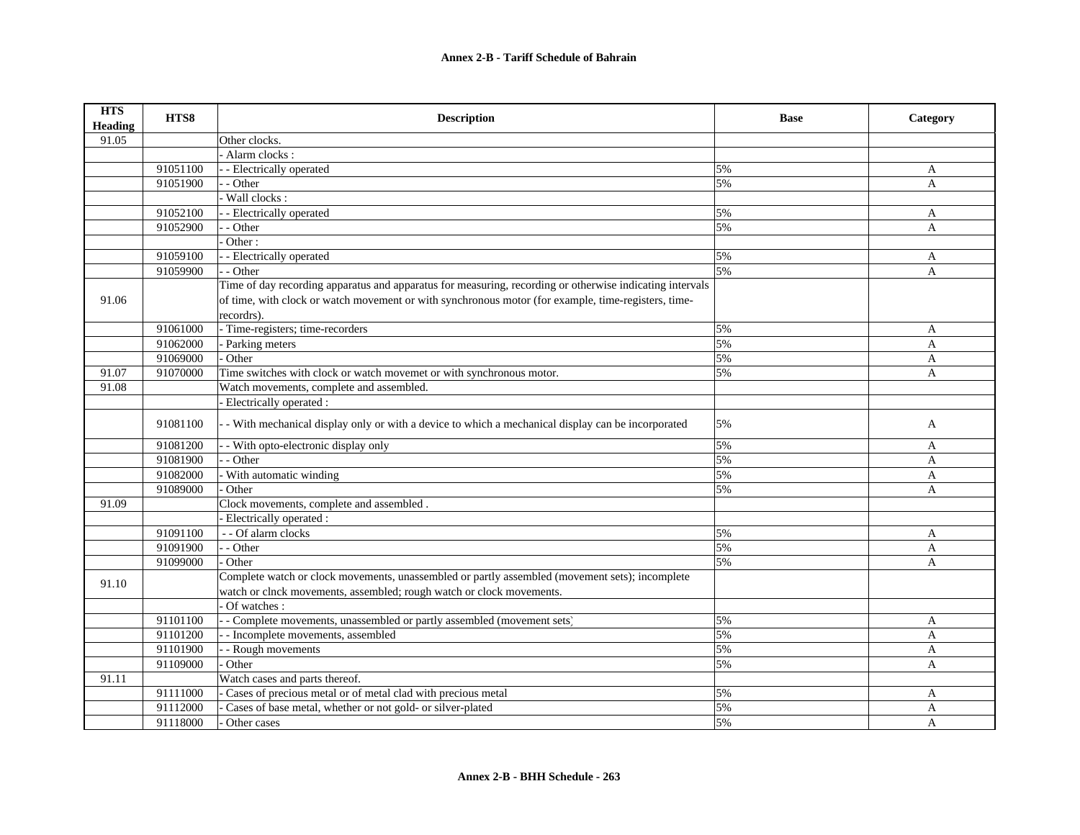| <b>HTS</b><br><b>Heading</b> | HTS8     | <b>Description</b>                                                                                       | <b>Base</b> | Category     |
|------------------------------|----------|----------------------------------------------------------------------------------------------------------|-------------|--------------|
| 91.05                        |          | Other clocks.                                                                                            |             |              |
|                              |          | - Alarm clocks :                                                                                         |             |              |
|                              | 91051100 | - - Electrically operated                                                                                | 5%          | A            |
|                              | 91051900 | - - Other                                                                                                | 5%          | $\mathbf{A}$ |
|                              |          | - Wall clocks :                                                                                          |             |              |
|                              | 91052100 | - Electrically operated                                                                                  | 5%          | A            |
|                              | 91052900 | - - Other                                                                                                | 5%          | A            |
|                              |          | Other:                                                                                                   |             |              |
|                              | 91059100 | - - Electrically operated                                                                                | 5%          | A            |
|                              | 91059900 | - - Other                                                                                                | 5%          | A            |
|                              |          | Time of day recording apparatus and apparatus for measuring, recording or otherwise indicating intervals |             |              |
| 91.06                        |          | of time, with clock or watch movement or with synchronous motor (for example, time-registers, time-      |             |              |
|                              |          | recordrs).                                                                                               |             |              |
|                              | 91061000 | - Time-registers; time-recorders                                                                         | 5%          | A            |
|                              | 91062000 | - Parking meters                                                                                         | 5%          | A            |
|                              | 91069000 | - Other                                                                                                  | 5%          | $\mathbf{A}$ |
| 91.07                        | 91070000 | Time switches with clock or watch movemet or with synchronous motor.                                     | 5%          | A            |
| 91.08                        |          | Watch movements, complete and assembled.                                                                 |             |              |
|                              |          | Electrically operated :                                                                                  |             |              |
|                              | 91081100 | - With mechanical display only or with a device to which a mechanical display can be incorporated        | 5%          | A            |
|                              | 91081200 | - With opto-electronic display only                                                                      | 5%          | A            |
|                              | 91081900 | - Other                                                                                                  | 5%          | A            |
|                              | 91082000 | - With automatic winding                                                                                 | 5%          | A            |
|                              | 91089000 | Other                                                                                                    | 5%          | A            |
| 91.09                        |          | Clock movements, complete and assembled.                                                                 |             |              |
|                              |          | Electrically operated :                                                                                  |             |              |
|                              | 91091100 | - - Of alarm clocks                                                                                      | 5%          | A            |
|                              | 91091900 | - - Other                                                                                                | 5%          | A            |
|                              | 91099000 | - Other                                                                                                  | 5%          | $\mathsf{A}$ |
|                              |          | Complete watch or clock movements, unassembled or partly assembled (movement sets); incomplete           |             |              |
| 91.10                        |          | watch or clnck movements, assembled; rough watch or clock movements.                                     |             |              |
|                              |          | Of watches:                                                                                              |             |              |
|                              | 91101100 | - - Complete movements, unassembled or partly assembled (movement sets)                                  | 5%          | A            |
|                              | 91101200 | - Incomplete movements, assembled                                                                        | 5%          | A            |
|                              | 91101900 | - Rough movements                                                                                        | 5%          | A            |
|                              | 91109000 | Other                                                                                                    | 5%          | A            |
| 91.11                        |          | Watch cases and parts thereof.                                                                           |             |              |
|                              | 91111000 | Cases of precious metal or of metal clad with precious metal                                             | 5%          | A            |
|                              | 91112000 | Cases of base metal, whether or not gold- or silver-plated                                               | 5%          | A            |
|                              | 91118000 | Other cases                                                                                              | 5%          | A            |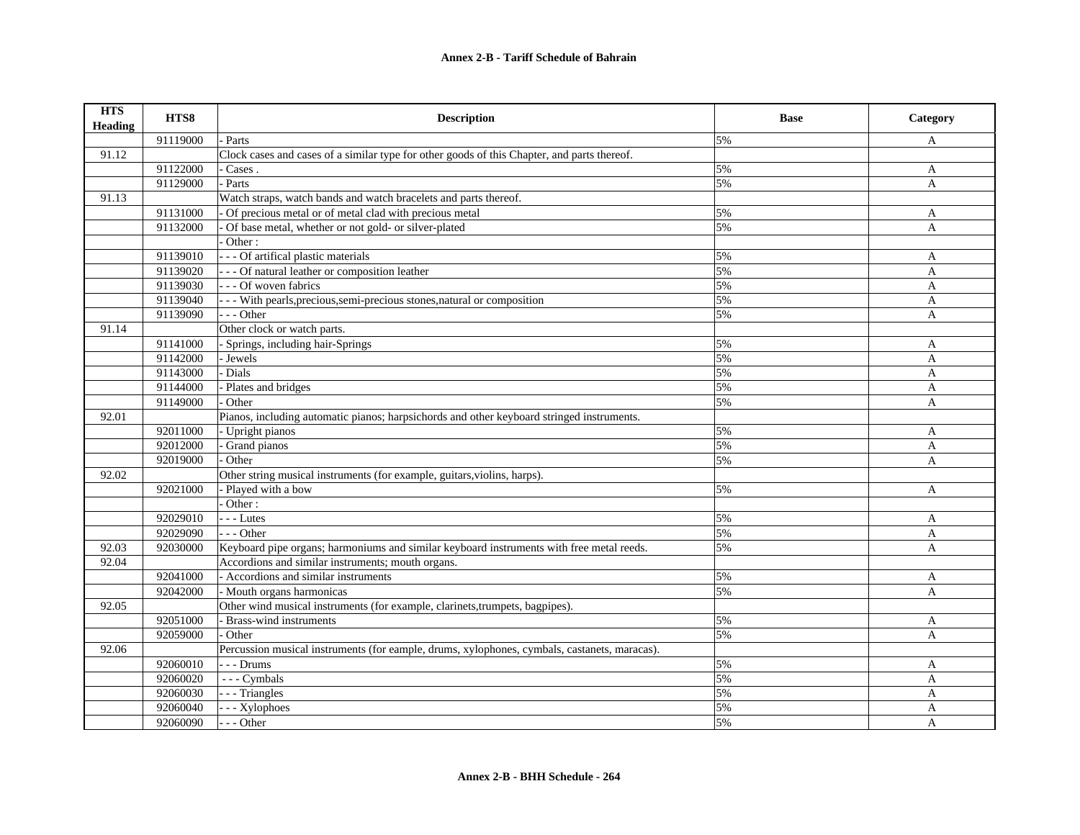| <b>HTS</b><br><b>Heading</b> | HTS8     | <b>Description</b>                                                                           | <b>Base</b> | Category     |
|------------------------------|----------|----------------------------------------------------------------------------------------------|-------------|--------------|
|                              | 91119000 | Parts                                                                                        | 5%          | A            |
| 91.12                        |          | Clock cases and cases of a similar type for other goods of this Chapter, and parts thereof.  |             |              |
|                              | 91122000 | Cases.                                                                                       | 5%          | A            |
|                              | 91129000 | Parts                                                                                        | 5%          | $\mathbf{A}$ |
| 91.13                        |          | Watch straps, watch bands and watch bracelets and parts thereof.                             |             |              |
|                              | 91131000 | Of precious metal or of metal clad with precious metal                                       | 5%          | A            |
|                              | 91132000 | Of base metal, whether or not gold- or silver-plated                                         | 5%          | A            |
|                              |          | Other:                                                                                       |             |              |
|                              | 91139010 | - - - Of artifical plastic materials                                                         | 5%          | A            |
|                              | 91139020 | - - - Of natural leather or composition leather                                              | 5%          | $\mathbf{A}$ |
|                              | 91139030 | - - - Of woven fabrics                                                                       | 5%          | $\mathbf{A}$ |
|                              | 91139040 | - - - With pearls, precious, semi-precious stones, natural or composition                    | 5%          | A            |
|                              | 91139090 | - - - Other                                                                                  | 5%          | A            |
| 91.14                        |          | Other clock or watch parts.                                                                  |             |              |
|                              | 91141000 | - Springs, including hair-Springs                                                            | 5%          | A            |
|                              | 91142000 | - Jewels                                                                                     | 5%          | A            |
|                              | 91143000 | Dials                                                                                        | 5%          | A            |
|                              | 91144000 | Plates and bridges                                                                           | 5%          | A            |
|                              | 91149000 | Other                                                                                        | 5%          | A            |
| 92.01                        |          | Pianos, including automatic pianos; harpsichords and other keyboard stringed instruments.    |             |              |
|                              | 92011000 | - Upright pianos                                                                             | 5%          | A            |
|                              | 92012000 | Grand pianos                                                                                 | 5%          | A            |
|                              | 92019000 | Other                                                                                        | 5%          | A            |
| 92.02                        |          | Other string musical instruments (for example, guitars, violins, harps).                     |             |              |
|                              | 92021000 | Played with a bow                                                                            | 5%          | A            |
|                              |          | Other:                                                                                       |             |              |
|                              | 92029010 | $-$ - Lutes                                                                                  | 5%          | $\mathbf{A}$ |
|                              | 92029090 | $- -$ Other                                                                                  | 5%          | A            |
| 92.03                        | 92030000 | Keyboard pipe organs; harmoniums and similar keyboard instruments with free metal reeds.     | 5%          | A            |
| 92.04                        |          | Accordions and similar instruments; mouth organs.                                            |             |              |
|                              | 92041000 | - Accordions and similar instruments                                                         | 5%          | A            |
|                              | 92042000 | - Mouth organs harmonicas                                                                    | 5%          | A            |
| 92.05                        |          | Other wind musical instruments (for example, clarinets, trumpets, bagpipes).                 |             |              |
|                              | 92051000 | - Brass-wind instruments                                                                     | 5%          | $\mathbf{A}$ |
|                              | 92059000 | Other                                                                                        | 5%          | A            |
| 92.06                        |          | Percussion musical instruments (for eample, drums, xylophones, cymbals, castanets, maracas). |             |              |
|                              | 92060010 | $- -$ Drums                                                                                  | 5%          | A            |
|                              | 92060020 | --- Cymbals                                                                                  | 5%          | A            |
|                              | 92060030 | - - - Triangles                                                                              | 5%          | A            |
|                              | 92060040 | - - Xylophoes                                                                                | 5%          | A            |
|                              | 92060090 | - - - Other                                                                                  | 5%          | A            |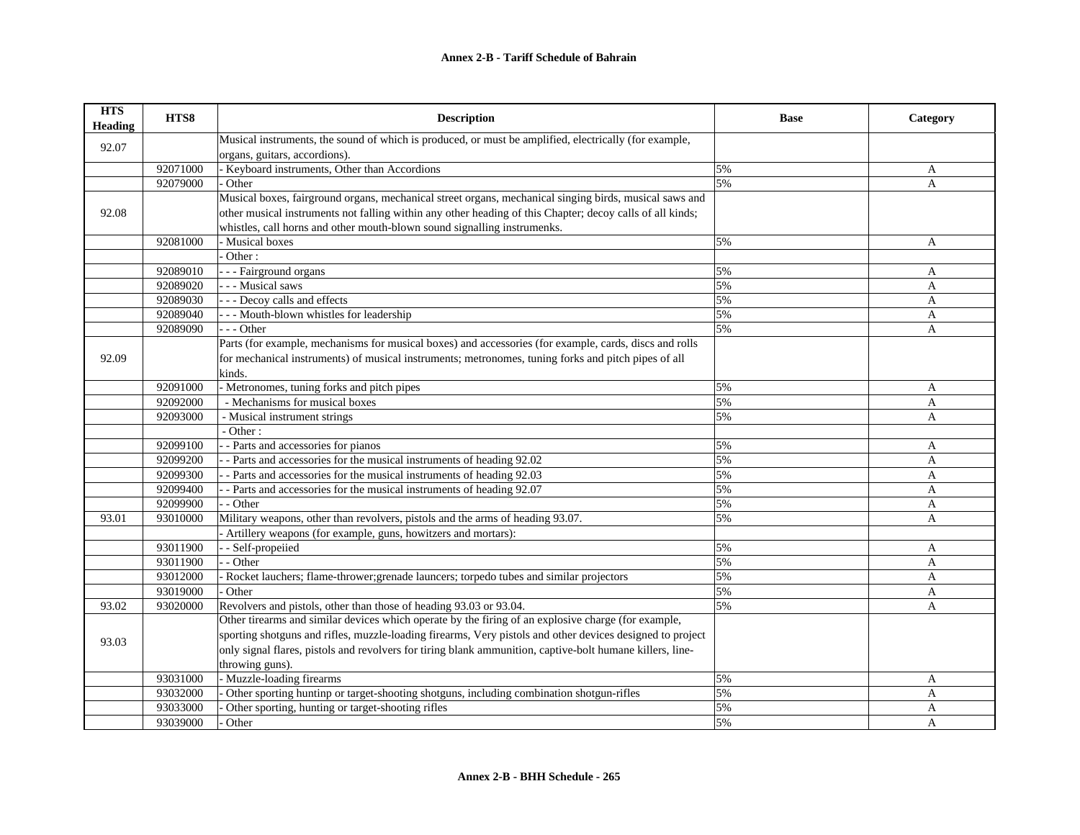| <b>HTS</b><br>Heading | HTS8     | <b>Description</b>                                                                                        | <b>Base</b> | Category     |
|-----------------------|----------|-----------------------------------------------------------------------------------------------------------|-------------|--------------|
|                       |          | Musical instruments, the sound of which is produced, or must be amplified, electrically (for example,     |             |              |
| 92.07                 |          | organs, guitars, accordions).                                                                             |             |              |
|                       | 92071000 | - Keyboard instruments, Other than Accordions                                                             | 5%          | A            |
|                       | 92079000 | Other                                                                                                     | 5%          | A            |
|                       |          | Musical boxes, fairground organs, mechanical street organs, mechanical singing birds, musical saws and    |             |              |
| 92.08                 |          | other musical instruments not falling within any other heading of this Chapter; decoy calls of all kinds; |             |              |
|                       |          | whistles, call horns and other mouth-blown sound signalling instrumenks.                                  |             |              |
|                       | 92081000 | - Musical boxes                                                                                           | 5%          | A            |
|                       |          | Other:                                                                                                    |             |              |
|                       | 92089010 | - - Fairground organs                                                                                     | 5%          | A            |
|                       | 92089020 | - - - Musical saws                                                                                        | 5%          | $\mathbf{A}$ |
|                       | 92089030 | - - - Decoy calls and effects                                                                             | 5%          | A            |
|                       | 92089040 | -- Mouth-blown whistles for leadership                                                                    | 5%          | $\mathbf{A}$ |
|                       | 92089090 | $- -$ Other                                                                                               | 5%          | $\mathbf{A}$ |
|                       |          | Parts (for example, mechanisms for musical boxes) and accessories (for example, cards, discs and rolls    |             |              |
| 92.09                 |          | for mechanical instruments) of musical instruments; metronomes, tuning forks and pitch pipes of all       |             |              |
|                       |          | kinds.                                                                                                    |             |              |
|                       | 92091000 | - Metronomes, tuning forks and pitch pipes                                                                | 5%          | A            |
|                       | 92092000 | - Mechanisms for musical boxes                                                                            | 5%          | A            |
|                       | 92093000 | - Musical instrument strings                                                                              | 5%          | A            |
|                       |          | - Other:                                                                                                  |             |              |
|                       | 92099100 | - Parts and accessories for pianos                                                                        | 5%          | A            |
|                       | 92099200 | - Parts and accessories for the musical instruments of heading 92.02                                      | 5%          | A            |
|                       | 92099300 | - Parts and accessories for the musical instruments of heading 92.03                                      | 5%          | A            |
|                       | 92099400 | - Parts and accessories for the musical instruments of heading 92.07                                      | 5%          | A            |
|                       | 92099900 | - Other                                                                                                   | 5%          | A            |
| 93.01                 | 93010000 | Military weapons, other than revolvers, pistols and the arms of heading 93.07.                            | 5%          | A            |
|                       |          | - Artillery weapons (for example, guns, howitzers and mortars):                                           |             |              |
|                       | 93011900 | - Self-propeiied                                                                                          | 5%          | A            |
|                       | 93011900 | - Other                                                                                                   | 5%          | A            |
|                       | 93012000 | Rocket lauchers; flame-thrower; grenade launcers; torpedo tubes and similar projectors                    | 5%          | A            |
|                       | 93019000 | Other                                                                                                     | 5%          | A            |
| 93.02                 | 93020000 | Revolvers and pistols, other than those of heading 93.03 or 93.04.                                        | 5%          | A            |
|                       |          | Other tirearms and similar devices which operate by the firing of an explosive charge (for example,       |             |              |
|                       |          | sporting shotguns and rifles, muzzle-loading firearms, Very pistols and other devices designed to project |             |              |
| 93.03                 |          | only signal flares, pistols and revolvers for tiring blank ammunition, captive-bolt humane killers, line- |             |              |
|                       |          | throwing guns).                                                                                           |             |              |
|                       | 93031000 | - Muzzle-loading firearms                                                                                 | 5%          | A            |
|                       | 93032000 | Other sporting huntinp or target-shooting shotguns, including combination shotgun-rifles                  | 5%          | $\mathbf{A}$ |
|                       | 93033000 | Other sporting, hunting or target-shooting rifles                                                         | 5%          | A            |
|                       | 93039000 | Other                                                                                                     | 5%          | $\mathsf{A}$ |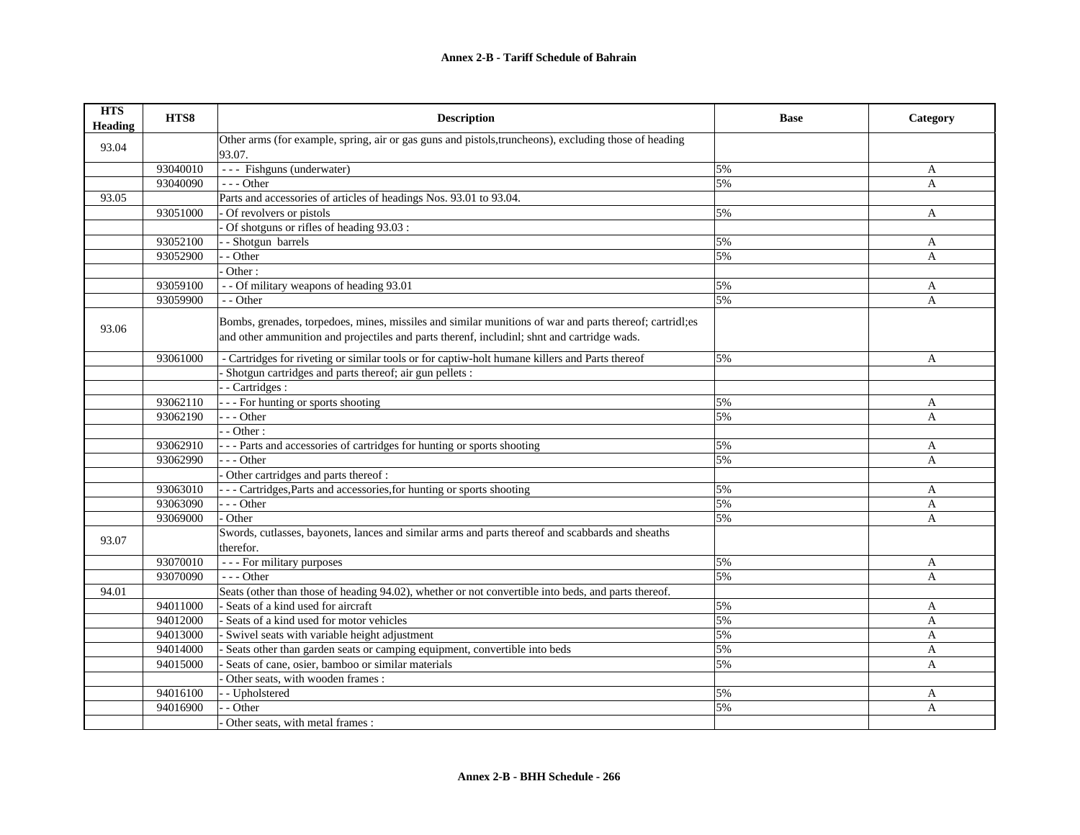| <b>HTS</b><br><b>Heading</b> | HTS8     | <b>Description</b>                                                                                              | <b>Base</b> | Category     |
|------------------------------|----------|-----------------------------------------------------------------------------------------------------------------|-------------|--------------|
| 93.04                        |          | Other arms (for example, spring, air or gas guns and pistols, truncheons), excluding those of heading<br>93.07. |             |              |
|                              | 93040010 | --- Fishguns (underwater)                                                                                       | 5%          | A            |
|                              | 93040090 | $- -$ Other                                                                                                     | 5%          | $\mathbf{A}$ |
| 93.05                        |          | Parts and accessories of articles of headings Nos. 93.01 to 93.04.                                              |             |              |
|                              | 93051000 | Of revolvers or pistols                                                                                         | 5%          | $\mathbf{A}$ |
|                              |          | Of shotguns or rifles of heading 93.03 :                                                                        |             |              |
|                              | 93052100 | - Shotgun barrels                                                                                               | 5%          | $\mathbf{A}$ |
|                              | 93052900 | - Other                                                                                                         | 5%          | A            |
|                              |          | Other:                                                                                                          |             |              |
|                              | 93059100 | - - Of military weapons of heading 93.01                                                                        | 5%          |              |
|                              |          |                                                                                                                 |             | $\mathbf{A}$ |
|                              | 93059900 | - - Other                                                                                                       | 5%          | A            |
|                              |          | Bombs, grenades, torpedoes, mines, missiles and similar munitions of war and parts thereof; cartridl;es         |             |              |
| 93.06                        |          | and other ammunition and projectiles and parts therenf, includinl; shnt and cartridge wads.                     |             |              |
|                              | 93061000 | - Cartridges for riveting or similar tools or for captiw-holt humane killers and Parts thereof                  | 5%          | A            |
|                              |          | Shotgun cartridges and parts thereof; air gun pellets :                                                         |             |              |
|                              |          | - Cartridges :                                                                                                  |             |              |
|                              | 93062110 | --- For hunting or sports shooting                                                                              | 5%          | A            |
|                              | 93062190 | $-$ - Other                                                                                                     | 5%          | A            |
|                              |          | - Other:                                                                                                        |             |              |
|                              | 93062910 | -- Parts and accessories of cartridges for hunting or sports shooting                                           | 5%          | A            |
|                              | 93062990 | - - Other                                                                                                       | 5%          | A            |
|                              |          | Other cartridges and parts thereof :                                                                            |             |              |
|                              | 93063010 | --- Cartridges, Parts and accessories, for hunting or sports shooting                                           | 5%          | A            |
|                              | 93063090 | $- -$ Other                                                                                                     | 5%          | A            |
|                              | 93069000 | Other                                                                                                           | 5%          | A            |
|                              |          | Swords, cutlasses, bayonets, lances and similar arms and parts thereof and scabbards and sheaths                |             |              |
| 93.07                        |          | therefor.                                                                                                       |             |              |
|                              | 93070010 | - - - For military purposes                                                                                     | 5%          | A            |
|                              | 93070090 | $--$ Other                                                                                                      | 5%          | A            |
| 94.01                        |          | Seats (other than those of heading 94.02), whether or not convertible into beds, and parts thereof.             |             |              |
|                              | 94011000 | - Seats of a kind used for aircraft                                                                             | 5%          | A            |
|                              | 94012000 | Seats of a kind used for motor vehicles                                                                         | 5%          | $\mathbf{A}$ |
|                              | 94013000 | Swivel seats with variable height adjustment                                                                    | 5%          | A            |
|                              | 94014000 | Seats other than garden seats or camping equipment, convertible into beds                                       | 5%          | A            |
|                              | 94015000 | Seats of cane, osier, bamboo or similar materials                                                               | 5%          | $\mathbf{A}$ |
|                              |          | Other seats, with wooden frames :                                                                               |             |              |
|                              | 94016100 | - Upholstered                                                                                                   | 5%          | A            |
|                              | 94016900 | - Other                                                                                                         | 5%          | A            |
|                              |          | Other seats, with metal frames:                                                                                 |             |              |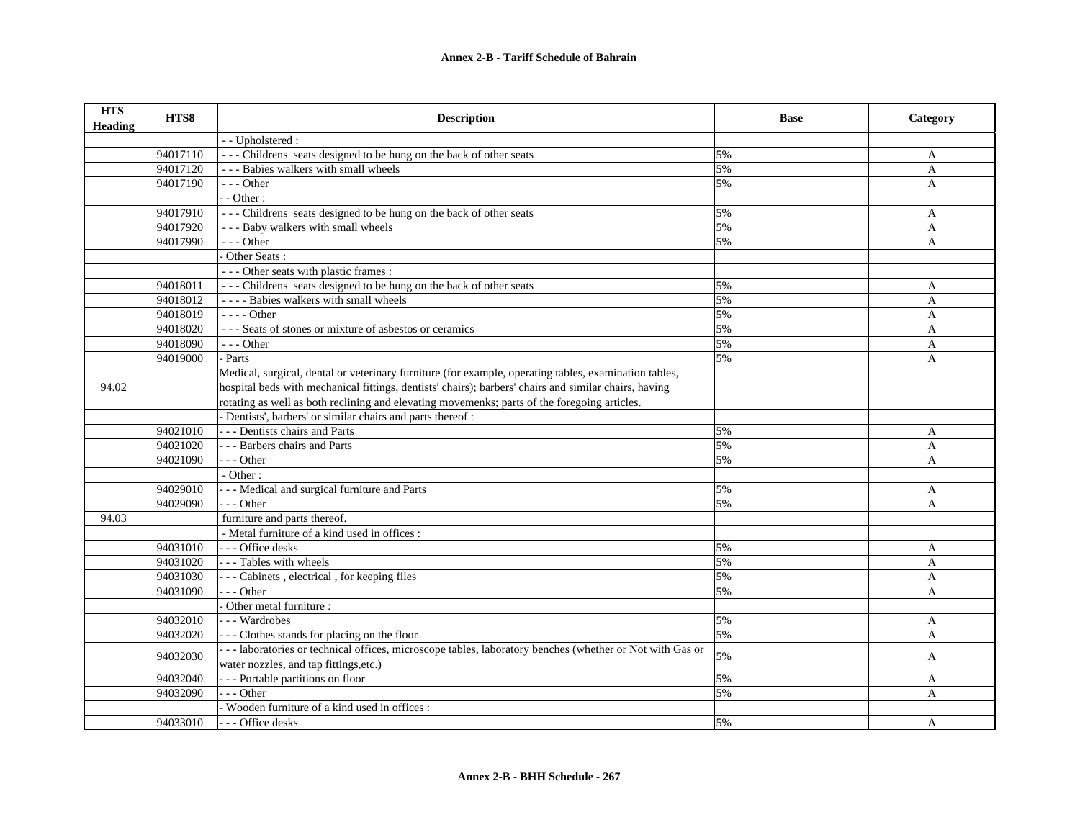| <b>HTS</b><br><b>Heading</b> | HTS8     | <b>Description</b>                                                                                       | <b>Base</b> | Category     |
|------------------------------|----------|----------------------------------------------------------------------------------------------------------|-------------|--------------|
|                              |          | - - Upholstered :                                                                                        |             |              |
|                              | 94017110 | --- Childrens seats designed to be hung on the back of other seats                                       | 5%          | A            |
|                              | 94017120 | --- Babies walkers with small wheels                                                                     | 5%          | A            |
|                              | 94017190 | $- -$ Other                                                                                              | 5%          | $\mathbf{A}$ |
|                              |          | $-$ Other :                                                                                              |             |              |
|                              | 94017910 | --- Childrens seats designed to be hung on the back of other seats                                       | 5%          | A            |
|                              | 94017920 | --- Baby walkers with small wheels                                                                       | 5%          | A            |
|                              | 94017990 | $- -$ Other                                                                                              | 5%          | $\mathbf{A}$ |
|                              |          | Other Seats:                                                                                             |             |              |
|                              |          | --- Other seats with plastic frames :                                                                    |             |              |
|                              | 94018011 | --- Childrens seats designed to be hung on the back of other seats                                       | 5%          | A            |
|                              | 94018012 | - - - - Babies walkers with small wheels                                                                 | 5%          | A            |
|                              | 94018019 | - - - - Other                                                                                            | 5%          | A            |
|                              | 94018020 | --- Seats of stones or mixture of asbestos or ceramics                                                   | 5%          | A            |
|                              | 94018090 | $- -$ Other                                                                                              | 5%          | A            |
|                              | 94019000 | Parts                                                                                                    | 5%          | A            |
|                              |          | Medical, surgical, dental or veterinary furniture (for example, operating tables, examination tables,    |             |              |
| 94.02                        |          | hospital beds with mechanical fittings, dentists' chairs); barbers' chairs and similar chairs, having    |             |              |
|                              |          | rotating as well as both reclining and elevating movemenks; parts of the foregoing articles.             |             |              |
|                              |          | - Dentists', barbers' or similar chairs and parts thereof :                                              |             |              |
|                              | 94021010 | --- Dentists chairs and Parts                                                                            | 5%          | A            |
|                              | 94021020 | - - - Barbers chairs and Parts                                                                           | 5%          | A            |
|                              | 94021090 | $- -$ Other                                                                                              | 5%          | A            |
|                              |          | - Other:                                                                                                 |             |              |
|                              | 94029010 | - - Medical and surgical furniture and Parts                                                             | 5%          | A            |
|                              | 94029090 | - - - Other                                                                                              | 5%          | A            |
| 94.03                        |          | furniture and parts thereof.                                                                             |             |              |
|                              |          | - Metal furniture of a kind used in offices :                                                            |             |              |
|                              | 94031010 | --- Office desks                                                                                         | 5%          | A            |
|                              | 94031020 | --- Tables with wheels                                                                                   | 5%          | A            |
|                              | 94031030 | --- Cabinets, electrical, for keeping files                                                              | 5%          | A            |
|                              | 94031090 | $- -$ Other                                                                                              | 5%          | A            |
|                              |          | Other metal furniture :                                                                                  |             |              |
|                              | 94032010 | --- Wardrobes                                                                                            | 5%          | A            |
|                              | 94032020 | --- Clothes stands for placing on the floor                                                              | 5%          | A            |
|                              | 94032030 | --- laboratories or technical offices, microscope tables, laboratory benches (whether or Not with Gas or | 5%          | A            |
|                              |          | water nozzles, and tap fittings, etc.)                                                                   |             |              |
|                              | 94032040 | --- Portable partitions on floor                                                                         | 5%          | A            |
|                              | 94032090 | $-$ - Other                                                                                              | 5%          | A            |
|                              |          | - Wooden furniture of a kind used in offices :                                                           |             |              |
|                              | 94033010 | - - - Office desks                                                                                       | 5%          | $\mathsf{A}$ |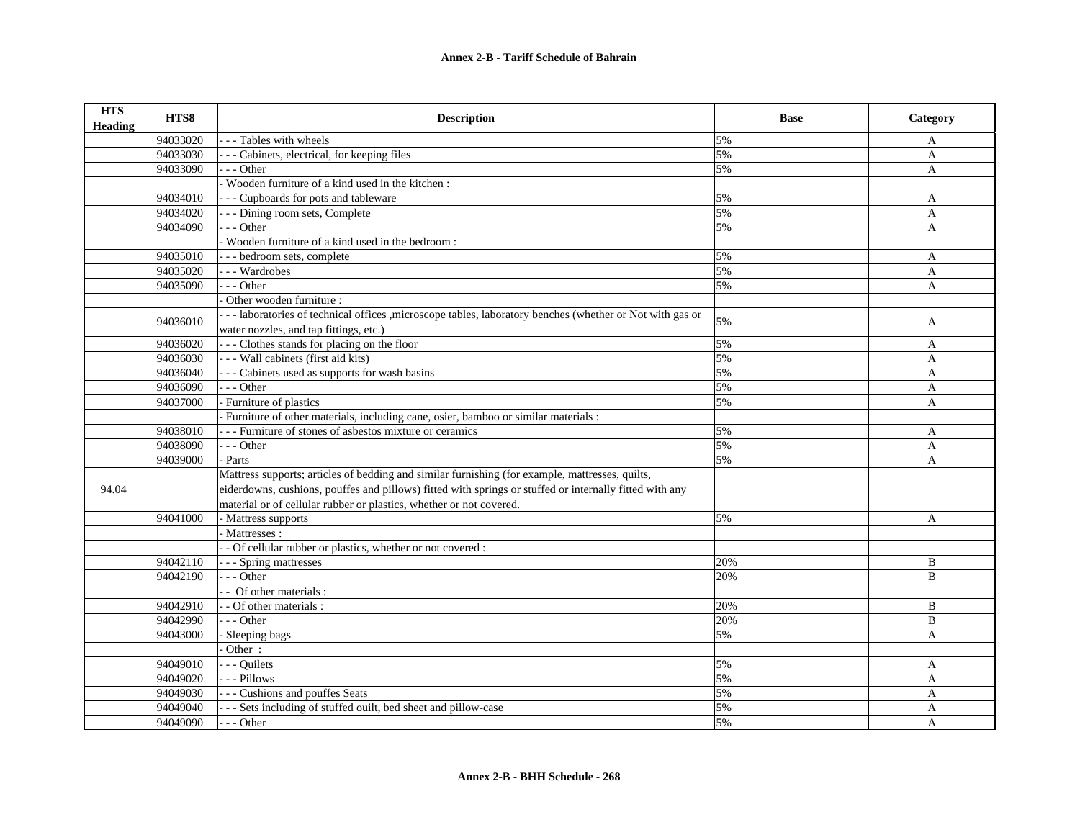| <b>HTS</b><br>Heading | HTS8     | <b>Description</b>                                                                                        | <b>Base</b> | Category     |
|-----------------------|----------|-----------------------------------------------------------------------------------------------------------|-------------|--------------|
|                       | 94033020 | --- Tables with wheels                                                                                    | 5%          | A            |
|                       | 94033030 | - - - Cabinets, electrical, for keeping files                                                             | 5%          | $\mathbf{A}$ |
|                       | 94033090 | --- Other                                                                                                 | 5%          | $\mathbf{A}$ |
|                       |          | - Wooden furniture of a kind used in the kitchen :                                                        |             |              |
|                       | 94034010 | --- Cupboards for pots and tableware                                                                      | 5%          | A            |
|                       | 94034020 | - - - Dining room sets, Complete                                                                          | 5%          | $\mathbf{A}$ |
|                       | 94034090 | $- -$ Other                                                                                               | 5%          | A            |
|                       |          | Wooden furniture of a kind used in the bedroom:                                                           |             |              |
|                       | 94035010 | --- bedroom sets, complete                                                                                | 5%          | A            |
|                       | 94035020 | --- Wardrobes                                                                                             | 5%          | A            |
|                       | 94035090 | $- -$ Other                                                                                               | 5%          | A            |
|                       |          | Other wooden furniture :                                                                                  |             |              |
|                       | 94036010 | --- laboratories of technical offices , microscope tables, laboratory benches (whether or Not with gas or | 5%          |              |
|                       |          | water nozzles, and tap fittings, etc.)                                                                    |             | A            |
|                       | 94036020 | --- Clothes stands for placing on the floor                                                               | 5%          | A            |
|                       | 94036030 | - - - Wall cabinets (first aid kits)                                                                      | 5%          | $\mathbf{A}$ |
|                       | 94036040 | --- Cabinets used as supports for wash basins                                                             | 5%          | A            |
|                       | 94036090 | --- Other                                                                                                 | 5%          | $\mathbf{A}$ |
|                       | 94037000 | Furniture of plastics                                                                                     | 5%          | $\mathbf{A}$ |
|                       |          | - Furniture of other materials, including cane, osier, bamboo or similar materials :                      |             |              |
|                       | 94038010 | - - - Furniture of stones of asbestos mixture or ceramics                                                 | 5%          | A            |
|                       | 94038090 | $- -$ Other                                                                                               | 5%          | A            |
|                       | 94039000 | - Parts                                                                                                   | 5%          | A            |
|                       |          | Mattress supports; articles of bedding and similar furnishing (for example, mattresses, quilts,           |             |              |
| 94.04                 |          | eiderdowns, cushions, pouffes and pillows) fitted with springs or stuffed or internally fitted with any   |             |              |
|                       |          | material or of cellular rubber or plastics, whether or not covered.                                       |             |              |
|                       | 94041000 | - Mattress supports                                                                                       | 5%          | A            |
|                       |          | - Mattresses :                                                                                            |             |              |
|                       |          | - - Of cellular rubber or plastics, whether or not covered :                                              |             |              |
|                       | 94042110 | - - - Spring mattresses                                                                                   | 20%         | B            |
|                       | 94042190 | $--$ Other                                                                                                | 20%         | B            |
|                       |          | - Of other materials :                                                                                    |             |              |
|                       | 94042910 | - - Of other materials :                                                                                  | 20%         | B            |
|                       | 94042990 | $- -$ Other                                                                                               | 20%         | B            |
|                       | 94043000 | Sleeping bags                                                                                             | 5%          | A            |
|                       |          | Other:                                                                                                    |             |              |
|                       | 94049010 | $--$ Quilets                                                                                              | 5%          | A            |
|                       | 94049020 | --- Pillows                                                                                               | 5%          | A            |
|                       | 94049030 | --- Cushions and pouffes Seats                                                                            | 5%          | A            |
|                       | 94049040 | --- Sets including of stuffed ouilt, bed sheet and pillow-case                                            | 5%          | A            |
|                       | 94049090 | --- Other                                                                                                 | 5%          | A            |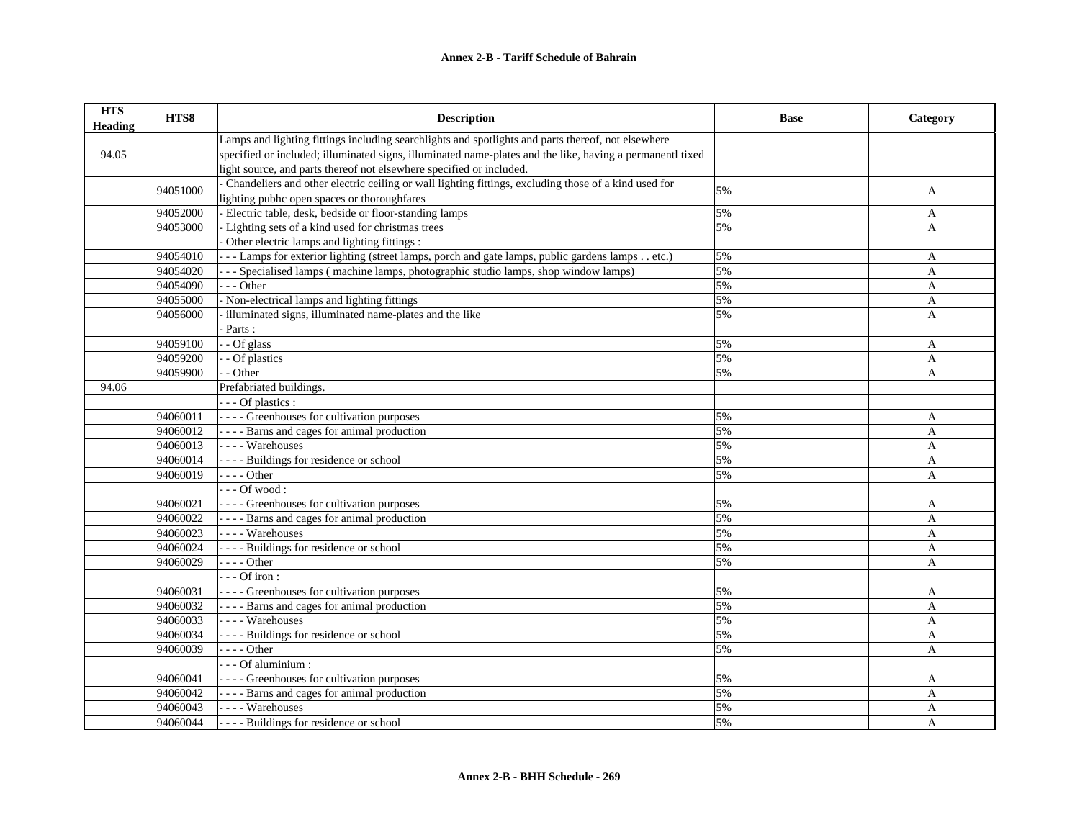| <b>HTS</b><br><b>Heading</b> | HTS8     | <b>Description</b>                                                                                        | <b>Base</b> | Category       |
|------------------------------|----------|-----------------------------------------------------------------------------------------------------------|-------------|----------------|
|                              |          | Lamps and lighting fittings including searchlights and spotlights and parts thereof, not elsewhere        |             |                |
| 94.05                        |          | specified or included; illuminated signs, illuminated name-plates and the like, having a permanentl tixed |             |                |
|                              |          | light source, and parts thereof not elsewhere specified or included.                                      |             |                |
|                              | 94051000 | Chandeliers and other electric ceiling or wall lighting fittings, excluding those of a kind used for      | 5%          | A              |
|                              |          | lighting pubhc open spaces or thoroughfares                                                               |             |                |
|                              | 94052000 | Electric table, desk, bedside or floor-standing lamps                                                     | 5%          | A              |
|                              | 94053000 | - Lighting sets of a kind used for christmas trees                                                        | 5%          | A              |
|                              |          | Other electric lamps and lighting fittings :                                                              |             |                |
|                              | 94054010 | - - - Lamps for exterior lighting (street lamps, porch and gate lamps, public gardens lamps etc.)         | 5%          | A              |
|                              | 94054020 | --- Specialised lamps (machine lamps, photographic studio lamps, shop window lamps)                       | 5%          | A              |
|                              | 94054090 | $--$ Other                                                                                                | 5%          | A              |
|                              | 94055000 | - Non-electrical lamps and lighting fittings                                                              | 5%          | A              |
|                              | 94056000 | illuminated signs, illuminated name-plates and the like                                                   | 5%          | A              |
|                              |          | Parts:                                                                                                    |             |                |
|                              | 94059100 | - - Of glass                                                                                              | 5%          | A              |
|                              | 94059200 | - Of plastics                                                                                             | 5%          | A              |
|                              | 94059900 | - - Other                                                                                                 | 5%          | A              |
| 94.06                        |          | Prefabriated buildings.                                                                                   |             |                |
|                              |          | - - - Of plastics :                                                                                       |             |                |
|                              | 94060011 | ---- Greenhouses for cultivation purposes                                                                 | 5%          | A              |
|                              | 94060012 | ---- Barns and cages for animal production                                                                | 5%          | $\mathbf{A}$   |
|                              | 94060013 | ---- Warehouses                                                                                           | 5%          | A              |
|                              | 94060014 | - - - - Buildings for residence or school                                                                 | 5%          | A              |
|                              | 94060019 | $---Other$                                                                                                | 5%          | A              |
|                              |          | $--$ Of wood :                                                                                            |             |                |
|                              | 94060021 | ---- Greenhouses for cultivation purposes                                                                 | 5%          | A              |
|                              | 94060022 | - - - - Barns and cages for animal production                                                             | 5%          | A              |
|                              | 94060023 | - - - - Warehouses                                                                                        | 5%          | A              |
|                              | 94060024 | ---- Buildings for residence or school                                                                    | 5%          | A              |
|                              | 94060029 | $--- Other$                                                                                               | 5%          | $\mathsf{A}$   |
|                              |          | $--$ Of iron:                                                                                             |             |                |
|                              | 94060031 | ---- Greenhouses for cultivation purposes                                                                 | 5%          | A              |
|                              | 94060032 | - - - - Barns and cages for animal production                                                             | 5%          | $\mathbf{A}$   |
|                              | 94060033 | - - - - Warehouses                                                                                        | 5%          | $\overline{A}$ |
|                              | 94060034 | ---- Buildings for residence or school                                                                    | 5%          | A              |
|                              | 94060039 | - - - - Other                                                                                             | 5%          | A              |
|                              |          | - - - Of aluminium :                                                                                      |             |                |
|                              | 94060041 | ---- Greenhouses for cultivation purposes                                                                 | 5%          | A              |
|                              | 94060042 | - - - - Barns and cages for animal production                                                             | 5%          | A              |
|                              | 94060043 | ---- Warehouses                                                                                           | 5%          | A              |
|                              | 94060044 | ---- Buildings for residence or school                                                                    | 5%          | A              |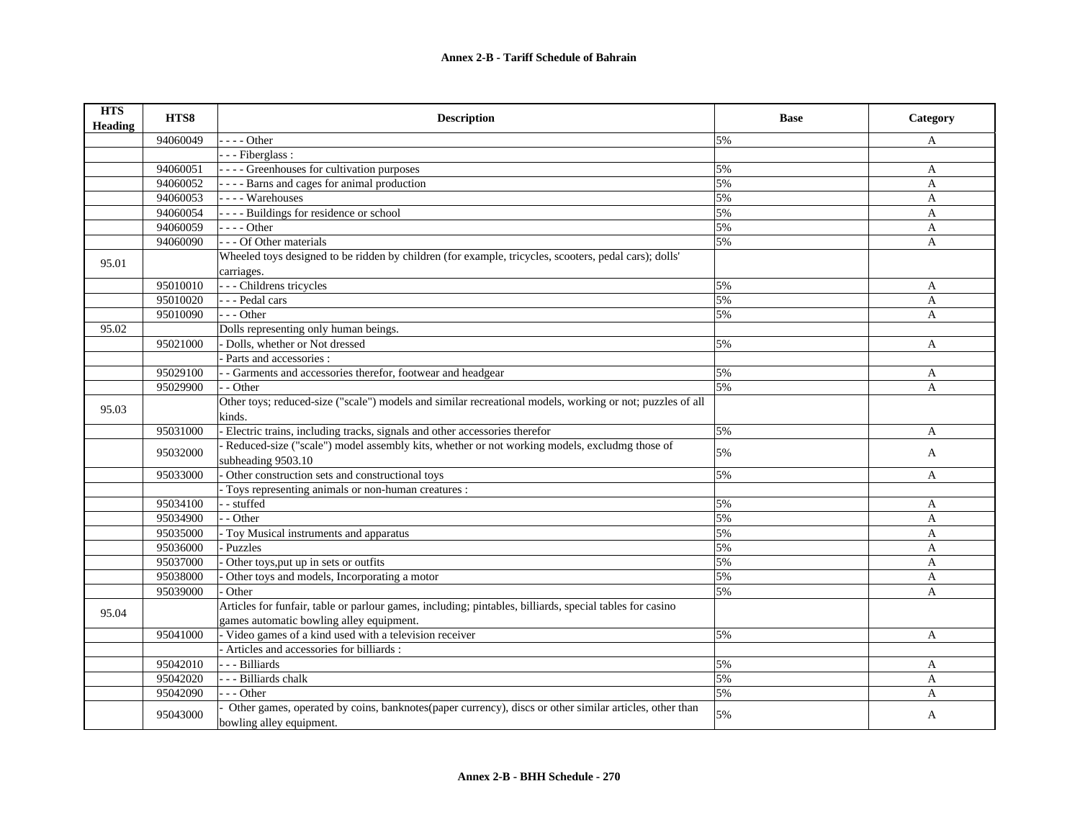| <b>HTS</b><br><b>Heading</b> | HTS8     | <b>Description</b>                                                                                                                 | <b>Base</b> | Category     |
|------------------------------|----------|------------------------------------------------------------------------------------------------------------------------------------|-------------|--------------|
|                              | 94060049 | $- - -$ Other                                                                                                                      | 5%          | A            |
|                              |          | --- Fiberglass:                                                                                                                    |             |              |
|                              | 94060051 | - - - - Greenhouses for cultivation purposes                                                                                       | 5%          | A            |
|                              | 94060052 | - - - - Barns and cages for animal production                                                                                      | 5%          | A            |
|                              | 94060053 | - - - - Warehouses                                                                                                                 | 5%          | A            |
|                              | 94060054 | - - - - Buildings for residence or school                                                                                          | 5%          | A            |
|                              | 94060059 | $---Other$                                                                                                                         | 5%          | A            |
|                              | 94060090 | - - - Of Other materials                                                                                                           | 5%          | A            |
| 95.01                        |          | Wheeled toys designed to be ridden by children (for example, tricycles, scooters, pedal cars); dolls'                              |             |              |
|                              |          | carriages.                                                                                                                         |             |              |
|                              | 95010010 | - - - Childrens tricycles                                                                                                          | 5%          | A            |
|                              | 95010020 | --- Pedal cars                                                                                                                     | 5%          | $\mathbf{A}$ |
|                              | 95010090 | $- -$ Other                                                                                                                        | 5%          | A            |
| 95.02                        |          | Dolls representing only human beings.                                                                                              |             |              |
|                              | 95021000 | Dolls, whether or Not dressed                                                                                                      | 5%          | $\mathbf{A}$ |
|                              |          | Parts and accessories :                                                                                                            |             |              |
|                              | 95029100 | - Garments and accessories therefor, footwear and headgear                                                                         | 5%          | A            |
|                              | 95029900 | - - Other                                                                                                                          | 5%          | A            |
| 95.03                        |          | Other toys; reduced-size ("scale") models and similar recreational models, working or not; puzzles of all                          |             |              |
|                              |          | kinds.                                                                                                                             |             |              |
|                              | 95031000 | Electric trains, including tracks, signals and other accessories therefor                                                          | 5%          | $\mathbf{A}$ |
|                              | 95032000 | Reduced-size ("scale") model assembly kits, whether or not working models, excludmg those of                                       | 5%          | $\mathbf{A}$ |
|                              |          | subheading 9503.10                                                                                                                 |             |              |
|                              | 95033000 | Other construction sets and constructional toys                                                                                    | 5%          | A            |
|                              |          | Toys representing animals or non-human creatures :                                                                                 |             |              |
|                              | 95034100 | - - stuffed                                                                                                                        | 5%          | A            |
|                              | 95034900 | - - Other                                                                                                                          | 5%          | A            |
|                              | 95035000 | Toy Musical instruments and apparatus                                                                                              | 5%          | A            |
|                              | 95036000 | Puzzles                                                                                                                            | 5%          | $\mathbf{A}$ |
|                              | 95037000 | Other toys, put up in sets or outfits                                                                                              | 5%          | A            |
|                              | 95038000 | Other toys and models, Incorporating a motor                                                                                       | 5%          | $\mathbf{A}$ |
|                              | 95039000 | Other                                                                                                                              | 5%          | $\mathbf{A}$ |
| 95.04                        |          | Articles for funfair, table or parlour games, including; pintables, billiards, special tables for casino                           |             |              |
|                              |          | games automatic bowling alley equipment.                                                                                           |             |              |
|                              | 95041000 | - Video games of a kind used with a television receiver                                                                            | 5%          | A            |
|                              |          | - Articles and accessories for billiards :                                                                                         |             |              |
|                              | 95042010 | --- Billiards                                                                                                                      | 5%          | A            |
|                              | 95042020 | - - - Billiards chalk                                                                                                              | 5%          | A            |
|                              | 95042090 | $- -$ Other                                                                                                                        | 5%          | A            |
|                              | 95043000 | Other games, operated by coins, banknotes(paper currency), discs or other similar articles, other than<br>bowling alley equipment. | 5%          | A            |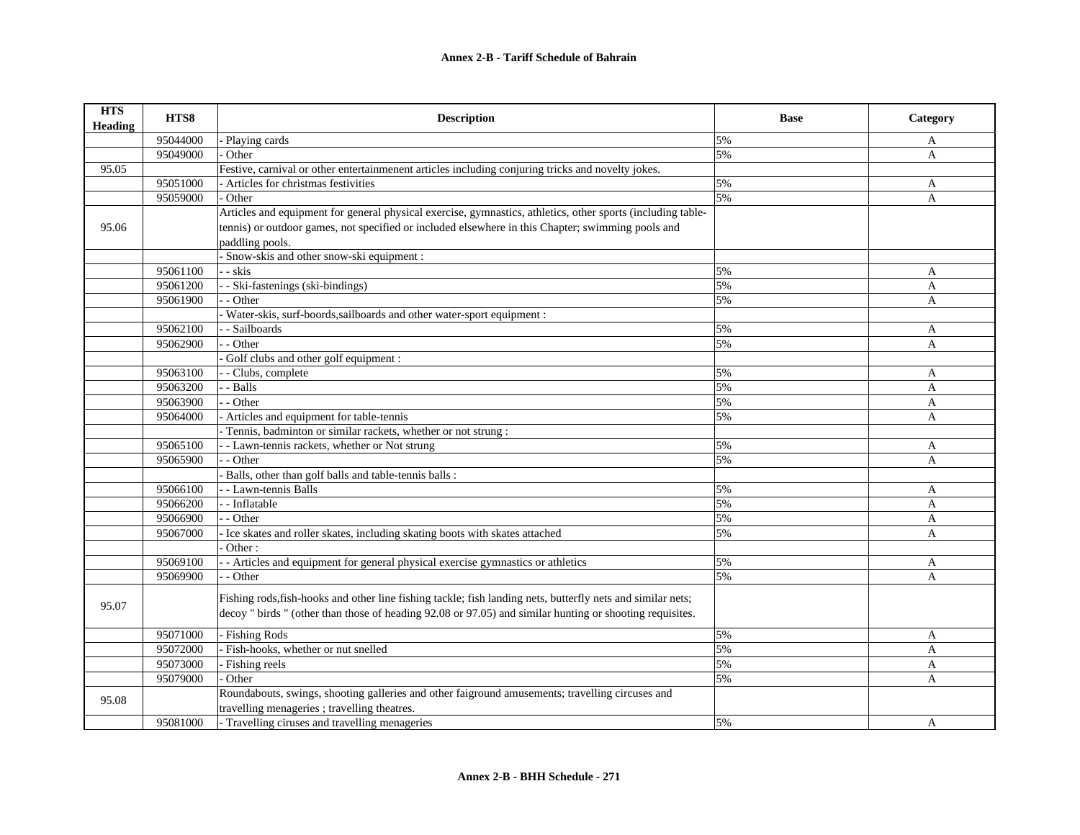| <b>HTS</b><br>Heading | HTS8     | <b>Description</b>                                                                                          | <b>Base</b> | Category     |
|-----------------------|----------|-------------------------------------------------------------------------------------------------------------|-------------|--------------|
|                       | 95044000 | - Playing cards                                                                                             | 5%          | A            |
|                       | 95049000 | Other                                                                                                       | 5%          | A            |
| 95.05                 |          | Festive, carnival or other entertainmenent articles including conjuring tricks and novelty jokes.           |             |              |
|                       | 95051000 | - Articles for christmas festivities                                                                        | 5%          | A            |
|                       | 95059000 | Other                                                                                                       | 5%          | A            |
|                       |          | Articles and equipment for general physical exercise, gymnastics, athletics, other sports (including table- |             |              |
| 95.06                 |          | tennis) or outdoor games, not specified or included elsewhere in this Chapter; swimming pools and           |             |              |
|                       |          | paddling pools.                                                                                             |             |              |
|                       |          | Snow-skis and other snow-ski equipment :                                                                    |             |              |
|                       | 95061100 | - - skis                                                                                                    | 5%          | A            |
|                       | 95061200 | - Ski-fastenings (ski-bindings)                                                                             | 5%          | A            |
|                       | 95061900 | - Other                                                                                                     | 5%          | A            |
|                       |          | - Water-skis, surf-boords, sailboards and other water-sport equipment :                                     |             |              |
|                       | 95062100 | - Sailboards                                                                                                | 5%          | A            |
|                       | 95062900 | $-$ Other                                                                                                   | 5%          | A            |
|                       |          | Golf clubs and other golf equipment :                                                                       |             |              |
|                       | 95063100 | - Clubs, complete                                                                                           | 5%          | A            |
|                       | 95063200 | - Balls                                                                                                     | 5%          | $\mathbf{A}$ |
|                       | 95063900 | - - Other                                                                                                   | 5%          | A            |
|                       | 95064000 | - Articles and equipment for table-tennis                                                                   | 5%          | A            |
|                       |          | Tennis, badminton or similar rackets, whether or not strung :                                               |             |              |
|                       | 95065100 | - - Lawn-tennis rackets, whether or Not strung                                                              | 5%          | A            |
|                       | 95065900 | - - Other                                                                                                   | 5%          | A            |
|                       |          | Balls, other than golf balls and table-tennis balls :                                                       |             |              |
|                       | 95066100 | - - Lawn-tennis Balls                                                                                       | 5%          | A            |
|                       | 95066200 | - - Inflatable                                                                                              | 5%          | A            |
|                       | 95066900 | - Other                                                                                                     | 5%          | A            |
|                       | 95067000 | - Ice skates and roller skates, including skating boots with skates attached                                | 5%          | A            |
|                       |          | Other:                                                                                                      |             |              |
|                       | 95069100 | - Articles and equipment for general physical exercise gymnastics or athletics                              | 5%          | A            |
|                       | 95069900 | - Other                                                                                                     | 5%          | A            |
|                       |          | Fishing rods, fish-hooks and other line fishing tackle; fish landing nets, butterfly nets and similar nets; |             |              |
| 95.07                 |          | decoy " birds " (other than those of heading 92.08 or 97.05) and similar hunting or shooting requisites.    |             |              |
|                       |          |                                                                                                             |             |              |
|                       | 95071000 | Fishing Rods                                                                                                | 5%          | A            |
|                       | 95072000 | - Fish-hooks, whether or nut snelled                                                                        | 5%          | A            |
|                       | 95073000 | Fishing reels                                                                                               | 5%          | A            |
|                       | 95079000 | - Other                                                                                                     | 5%          | A            |
| 95.08                 |          | Roundabouts, swings, shooting galleries and other faiground amusements; travelling circuses and             |             |              |
|                       |          | travelling menageries ; travelling theatres.                                                                |             |              |
|                       | 95081000 | - Travelling ciruses and travelling menageries                                                              | 5%          | A            |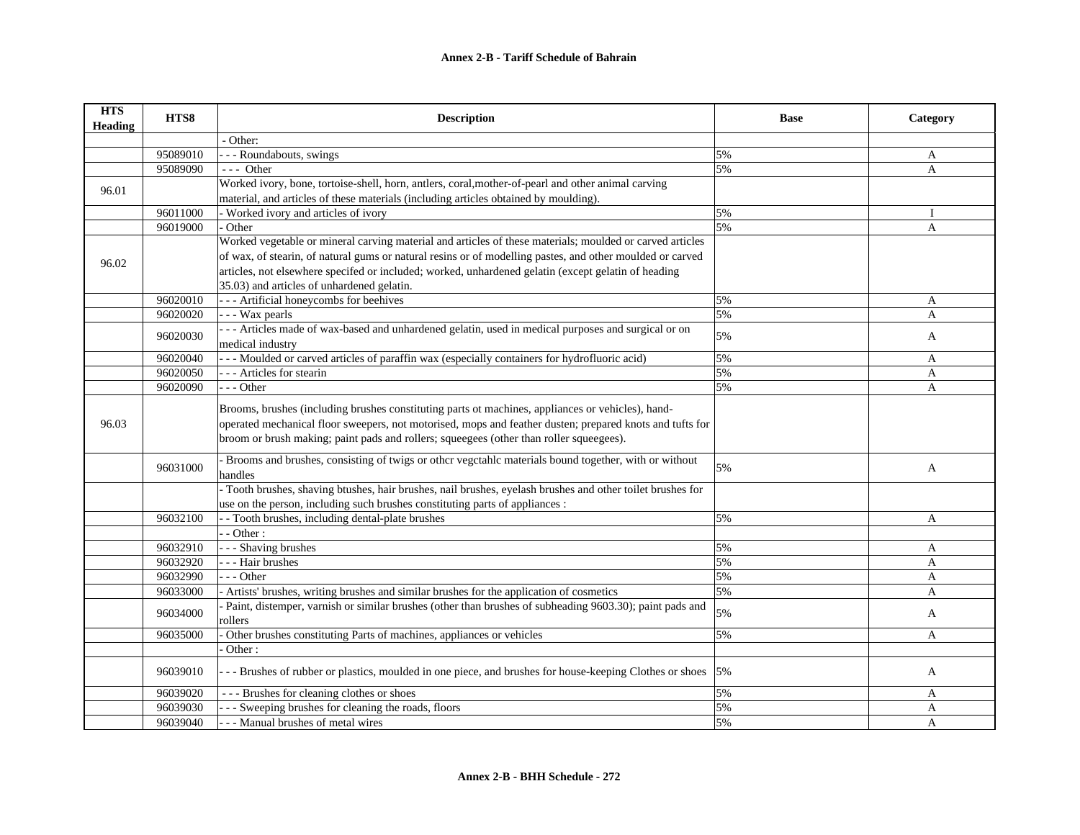| <b>HTS</b><br>Heading | HTS8     | <b>Description</b>                                                                                         | <b>Base</b> | Category       |
|-----------------------|----------|------------------------------------------------------------------------------------------------------------|-------------|----------------|
|                       |          | - Other:                                                                                                   |             |                |
|                       | 95089010 | - - - Roundabouts, swings                                                                                  | 5%          | A              |
|                       | 95089090 | $---$ Other                                                                                                | 5%          | A              |
| 96.01                 |          | Worked ivory, bone, tortoise-shell, horn, antlers, coral, mother-of-pearl and other animal carving         |             |                |
|                       |          | material, and articles of these materials (including articles obtained by moulding).                       |             |                |
|                       | 96011000 | Worked ivory and articles of ivory                                                                         | 5%          | Ι              |
|                       | 96019000 | Other                                                                                                      | 5%          | $\overline{A}$ |
|                       |          | Worked vegetable or mineral carving material and articles of these materials; moulded or carved articles   |             |                |
| 96.02                 |          | of wax, of stearin, of natural gums or natural resins or of modelling pastes, and other moulded or carved  |             |                |
|                       |          | articles, not elsewhere specifed or included; worked, unhardened gelatin (except gelatin of heading        |             |                |
|                       |          | 35.03) and articles of unhardened gelatin.                                                                 |             |                |
|                       | 96020010 | - - - Artificial honeycombs for beehives                                                                   | 5%          | A              |
|                       | 96020020 | - - - Wax pearls                                                                                           | 5%          | A              |
|                       |          | --- Articles made of wax-based and unhardened gelatin, used in medical purposes and surgical or on         | 5%          |                |
|                       | 96020030 | medical industry                                                                                           |             | A              |
|                       | 96020040 | --- Moulded or carved articles of paraffin wax (especially containers for hydrofluoric acid)               | 5%          | A              |
|                       | 96020050 | - - - Articles for stearin                                                                                 | 5%          | A              |
|                       | 96020090 | --- Other                                                                                                  | 5%          | A              |
|                       |          | Brooms, brushes (including brushes constituting parts ot machines, appliances or vehicles), hand-          |             |                |
| 96.03                 |          | operated mechanical floor sweepers, not motorised, mops and feather dusten; prepared knots and tufts for   |             |                |
|                       |          | broom or brush making; paint pads and rollers; squeegees (other than roller squeegees).                    |             |                |
|                       |          |                                                                                                            |             |                |
|                       | 96031000 | Brooms and brushes, consisting of twigs or other vegetahle materials bound together, with or without       | 5%          | A              |
|                       |          | handles                                                                                                    |             |                |
|                       |          | - Tooth brushes, shaving btushes, hair brushes, nail brushes, eyelash brushes and other toilet brushes for |             |                |
|                       |          | use on the person, including such brushes constituting parts of appliances :                               |             |                |
|                       | 96032100 | - Tooth brushes, including dental-plate brushes                                                            | 5%          | A              |
|                       |          | $-$ - Other :                                                                                              |             |                |
|                       | 96032910 | - - - Shaving brushes                                                                                      | 5%          | A              |
|                       | 96032920 | - - - Hair brushes                                                                                         | 5%          | A              |
|                       | 96032990 | $- -$ Other                                                                                                | 5%          | A              |
|                       | 96033000 | - Artists' brushes, writing brushes and similar brushes for the application of cosmetics                   | 5%          | A              |
|                       | 96034000 | Paint, distemper, varnish or similar brushes (other than brushes of subheading 9603.30); paint pads and    | 5%          | A              |
|                       |          | rollers                                                                                                    |             |                |
|                       | 96035000 | Other brushes constituting Parts of machines, appliances or vehicles                                       | 5%          | A              |
|                       |          | Other:                                                                                                     |             |                |
|                       | 96039010 | --- Brushes of rubber or plastics, moulded in one piece, and brushes for house-keeping Clothes or shoes    | 5%          | A              |
|                       | 96039020 | --- Brushes for cleaning clothes or shoes                                                                  | 5%          | A              |
|                       | 96039030 | - - Sweeping brushes for cleaning the roads, floors                                                        | 5%          | A              |
|                       | 96039040 | - - Manual brushes of metal wires                                                                          | 5%          | A              |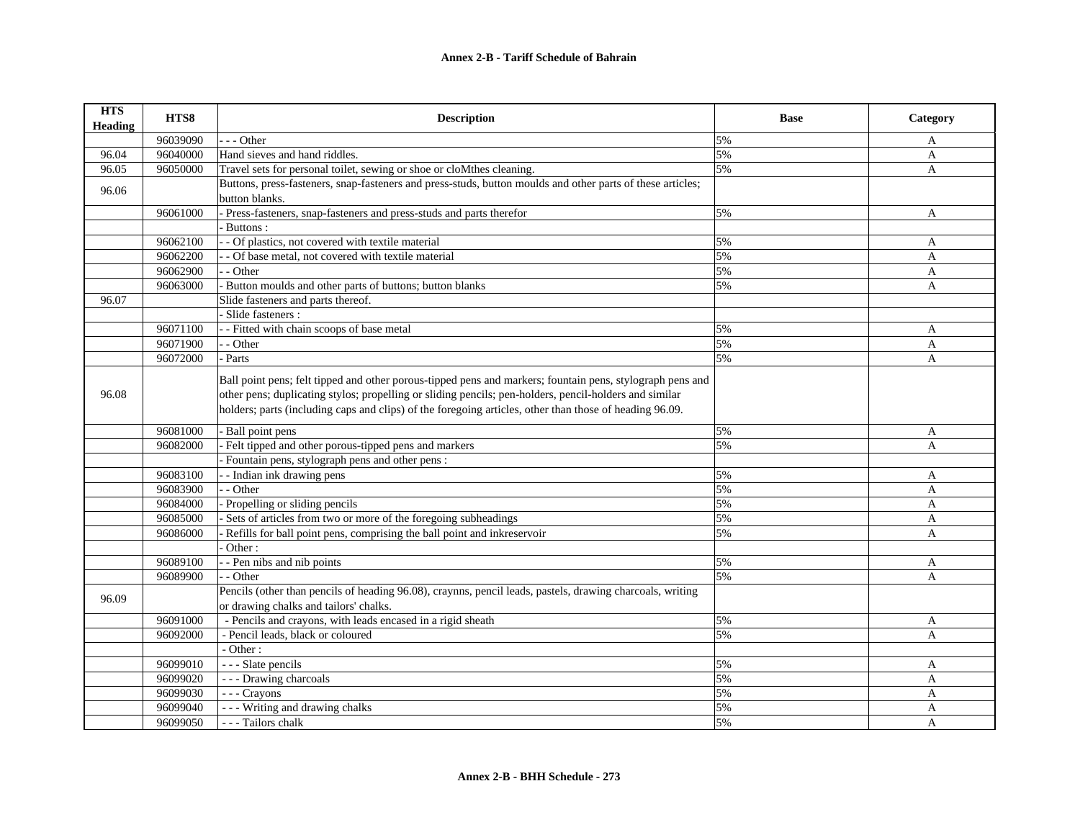| <b>HTS</b><br><b>Heading</b> | HTS8     | <b>Description</b>                                                                                                                                                                                                                                                                                                             | <b>Base</b> | Category     |
|------------------------------|----------|--------------------------------------------------------------------------------------------------------------------------------------------------------------------------------------------------------------------------------------------------------------------------------------------------------------------------------|-------------|--------------|
|                              | 96039090 | - - Other                                                                                                                                                                                                                                                                                                                      | 5%          | A            |
| 96.04                        | 96040000 | Hand sieves and hand riddles.                                                                                                                                                                                                                                                                                                  | 5%          | A            |
| 96.05                        | 96050000 | Travel sets for personal toilet, sewing or shoe or cloMthes cleaning.                                                                                                                                                                                                                                                          | 5%          | A            |
| 96.06                        |          | Buttons, press-fasteners, snap-fasteners and press-studs, button moulds and other parts of these articles;<br>button blanks.                                                                                                                                                                                                   |             |              |
|                              | 96061000 | Press-fasteners, snap-fasteners and press-studs and parts therefor                                                                                                                                                                                                                                                             | 5%          | A            |
|                              |          | Buttons:                                                                                                                                                                                                                                                                                                                       |             |              |
|                              | 96062100 | - Of plastics, not covered with textile material                                                                                                                                                                                                                                                                               | 5%          | A            |
|                              | 96062200 | - Of base metal, not covered with textile material                                                                                                                                                                                                                                                                             | 5%          | A            |
|                              | 96062900 | - Other                                                                                                                                                                                                                                                                                                                        | 5%          | A            |
|                              | 96063000 | - Button moulds and other parts of buttons; button blanks                                                                                                                                                                                                                                                                      | 5%          | A            |
| 96.07                        |          | Slide fasteners and parts thereof.                                                                                                                                                                                                                                                                                             |             |              |
|                              |          | Slide fasteners :                                                                                                                                                                                                                                                                                                              |             |              |
|                              | 96071100 | - - Fitted with chain scoops of base metal                                                                                                                                                                                                                                                                                     | 5%          | A            |
|                              | 96071900 | - Other                                                                                                                                                                                                                                                                                                                        | 5%          | $\mathbf{A}$ |
|                              | 96072000 | Parts                                                                                                                                                                                                                                                                                                                          | 5%          | A            |
| 96.08                        |          | Ball point pens; felt tipped and other porous-tipped pens and markers; fountain pens, stylograph pens and<br>other pens; duplicating stylos; propelling or sliding pencils; pen-holders, pencil-holders and similar<br>holders; parts (including caps and clips) of the foregoing articles, other than those of heading 96.09. |             |              |
|                              | 96081000 | Ball point pens                                                                                                                                                                                                                                                                                                                | 5%          | A            |
|                              | 96082000 | Felt tipped and other porous-tipped pens and markers                                                                                                                                                                                                                                                                           | 5%          | A            |
|                              |          | Fountain pens, stylograph pens and other pens :                                                                                                                                                                                                                                                                                |             |              |
|                              | 96083100 | - Indian ink drawing pens                                                                                                                                                                                                                                                                                                      | 5%          | A            |
|                              | 96083900 | - Other                                                                                                                                                                                                                                                                                                                        | 5%          | A            |
|                              | 96084000 | Propelling or sliding pencils                                                                                                                                                                                                                                                                                                  | 5%          | A            |
|                              | 96085000 | Sets of articles from two or more of the foregoing subheadings                                                                                                                                                                                                                                                                 | 5%          | A            |
|                              | 96086000 | Refills for ball point pens, comprising the ball point and inkreservoir                                                                                                                                                                                                                                                        | 5%          | A            |
|                              |          | Other:                                                                                                                                                                                                                                                                                                                         |             |              |
|                              | 96089100 | - Pen nibs and nib points                                                                                                                                                                                                                                                                                                      | 5%          | A            |
|                              | 96089900 | - Other                                                                                                                                                                                                                                                                                                                        | 5%          | A            |
| 96.09                        |          | Pencils (other than pencils of heading 96.08), craynns, pencil leads, pastels, drawing charcoals, writing<br>or drawing chalks and tailors' chalks.                                                                                                                                                                            |             |              |
|                              | 96091000 | - Pencils and crayons, with leads encased in a rigid sheath                                                                                                                                                                                                                                                                    | 5%          | A            |
|                              | 96092000 | - Pencil leads, black or coloured                                                                                                                                                                                                                                                                                              | 5%          | $\mathbf{A}$ |
|                              |          | - Other:                                                                                                                                                                                                                                                                                                                       |             |              |
|                              | 96099010 | - - - Slate pencils                                                                                                                                                                                                                                                                                                            | 5%          | A            |
|                              | 96099020 | - - - Drawing charcoals                                                                                                                                                                                                                                                                                                        | 5%          | $\mathbf{A}$ |
|                              | 96099030 | --- Crayons                                                                                                                                                                                                                                                                                                                    | 5%          | A            |
|                              | 96099040 | --- Writing and drawing chalks                                                                                                                                                                                                                                                                                                 | 5%          | A            |
|                              | 96099050 | - - - Tailors chalk                                                                                                                                                                                                                                                                                                            | 5%          | A            |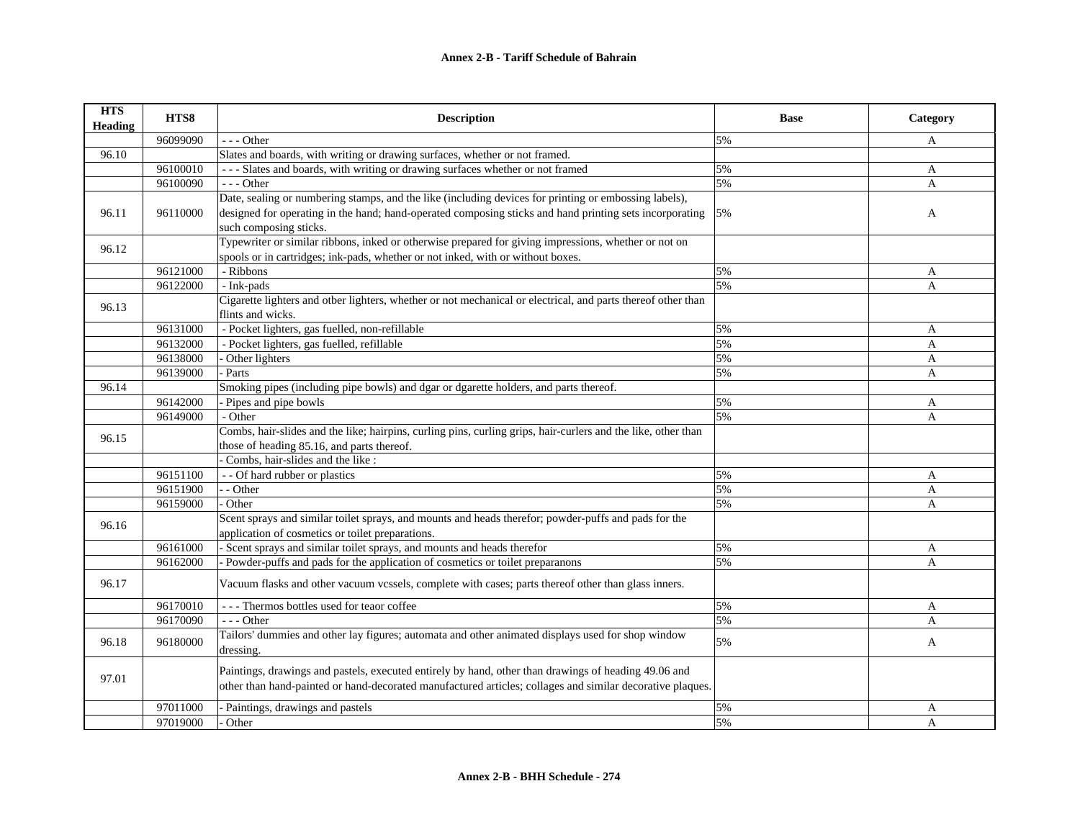| <b>HTS</b><br><b>Heading</b> | HTS8     | <b>Description</b>                                                                                                                                       | <b>Base</b> | Category     |
|------------------------------|----------|----------------------------------------------------------------------------------------------------------------------------------------------------------|-------------|--------------|
|                              | 96099090 | $- -$ Other                                                                                                                                              | 5%          | A            |
| 96.10                        |          | Slates and boards, with writing or drawing surfaces, whether or not framed.                                                                              |             |              |
|                              | 96100010 | --- Slates and boards, with writing or drawing surfaces whether or not framed                                                                            | 5%          | $\mathbf{A}$ |
|                              | 96100090 | $--$ Other                                                                                                                                               | 5%          | $\mathbf{A}$ |
|                              |          | Date, sealing or numbering stamps, and the like (including devices for printing or embossing labels),                                                    |             |              |
| 96.11                        | 96110000 | designed for operating in the hand; hand-operated composing sticks and hand printing sets incorporating<br>such composing sticks.                        | 5%          | A            |
|                              |          | Typewriter or similar ribbons, inked or otherwise prepared for giving impressions, whether or not on                                                     |             |              |
| 96.12                        |          | spools or in cartridges; ink-pads, whether or not inked, with or without boxes.                                                                          |             |              |
|                              | 96121000 | - Ribbons                                                                                                                                                | 5%          | A            |
|                              | 96122000 | - Ink-pads                                                                                                                                               | 5%          | $\mathbf{A}$ |
|                              |          | Cigarette lighters and other lighters, whether or not mechanical or electrical, and parts thereof other than                                             |             |              |
| 96.13                        |          | flints and wicks.                                                                                                                                        |             |              |
|                              | 96131000 | - Pocket lighters, gas fuelled, non-refillable                                                                                                           | 5%          | A            |
|                              | 96132000 | - Pocket lighters, gas fuelled, refillable                                                                                                               | 5%          | $\mathbf{A}$ |
|                              | 96138000 | Other lighters                                                                                                                                           | 5%          | A            |
|                              | 96139000 | Parts                                                                                                                                                    | 5%          | A            |
| 96.14                        |          | Smoking pipes (including pipe bowls) and dgar or dgarette holders, and parts thereof.                                                                    |             |              |
|                              | 96142000 | Pipes and pipe bowls                                                                                                                                     | 5%          | A            |
|                              | 96149000 | - Other                                                                                                                                                  | 5%          | $\mathbf{A}$ |
| 96.15                        |          | Combs, hair-slides and the like; hairpins, curling pins, curling grips, hair-curlers and the like, other than                                            |             |              |
|                              |          | those of heading 85.16, and parts thereof.                                                                                                               |             |              |
|                              |          | Combs, hair-slides and the like :                                                                                                                        |             |              |
|                              | 96151100 | - - Of hard rubber or plastics                                                                                                                           | 5%          | A            |
|                              | 96151900 | - Other                                                                                                                                                  | 5%          | $\mathbf{A}$ |
|                              | 96159000 | - Other                                                                                                                                                  | 5%          | $\mathbf{A}$ |
| 96.16                        |          | Scent sprays and similar toilet sprays, and mounts and heads therefor; powder-puffs and pads for the<br>application of cosmetics or toilet preparations. |             |              |
|                              | 96161000 | - Scent sprays and similar toilet sprays, and mounts and heads therefor                                                                                  | 5%          | A            |
|                              | 96162000 | - Powder-puffs and pads for the application of cosmetics or toilet preparanons                                                                           | 5%          | $\mathbf{A}$ |
|                              |          |                                                                                                                                                          |             |              |
| 96.17                        |          | Vacuum flasks and other vacuum vcssels, complete with cases; parts thereof other than glass inners.                                                      |             |              |
|                              | 96170010 | --- Thermos bottles used for teaor coffee                                                                                                                | 5%          | A            |
|                              | 96170090 | $- -$ Other                                                                                                                                              | 5%          | A            |
| 96.18                        | 96180000 | Tailors' dummies and other lay figures; automata and other animated displays used for shop window<br>dressing.                                           | 5%          | A            |
|                              |          | Paintings, drawings and pastels, executed entirely by hand, other than drawings of heading 49.06 and                                                     |             |              |
| 97.01                        |          | other than hand-painted or hand-decorated manufactured articles; collages and similar decorative plaques.                                                |             |              |
|                              | 97011000 | - Paintings, drawings and pastels                                                                                                                        | 5%          | A            |
|                              | 97019000 | Other                                                                                                                                                    | 5%          | $\mathbf{A}$ |